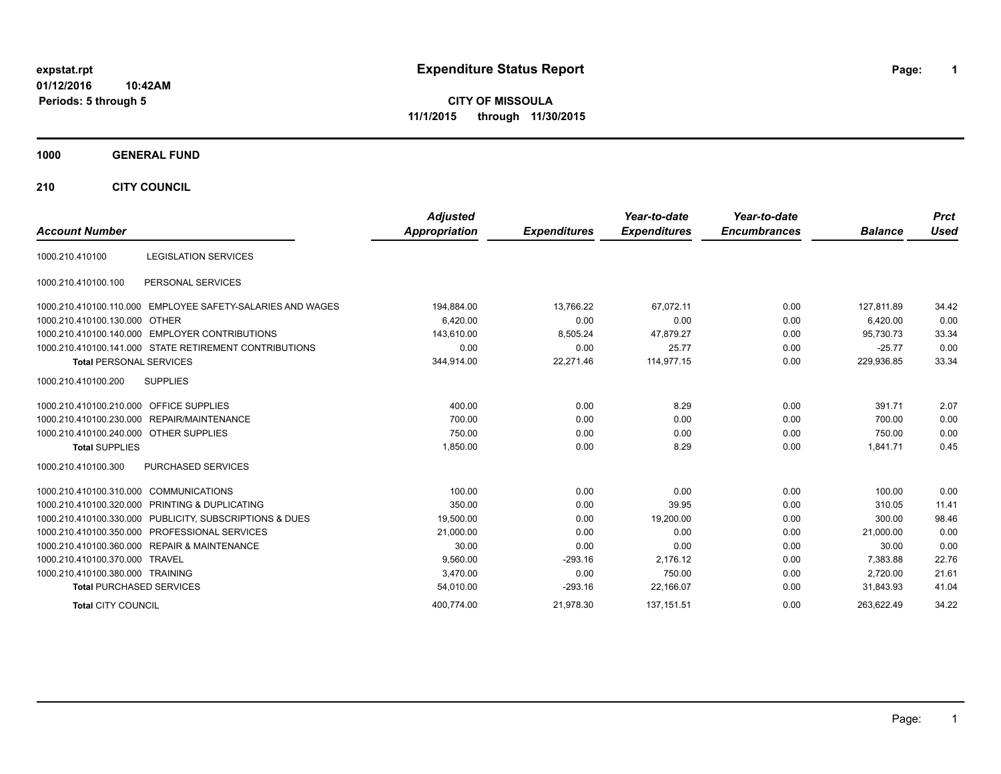# **expstat.rpt Expenditure Status Report Page:**

**1**

**CITY OF MISSOULA 11/1/2015 through 11/30/2015**

### **1000 GENERAL FUND**

**210 CITY COUNCIL**

| <b>Account Number</b>                          |                                                            | <b>Adjusted</b><br>Appropriation | <b>Expenditures</b> | Year-to-date<br><b>Expenditures</b> | Year-to-date<br><b>Encumbrances</b> | <b>Balance</b> | <b>Prct</b><br><b>Used</b> |
|------------------------------------------------|------------------------------------------------------------|----------------------------------|---------------------|-------------------------------------|-------------------------------------|----------------|----------------------------|
| 1000.210.410100                                | <b>LEGISLATION SERVICES</b>                                |                                  |                     |                                     |                                     |                |                            |
|                                                |                                                            |                                  |                     |                                     |                                     |                |                            |
| 1000.210.410100.100                            | PERSONAL SERVICES                                          |                                  |                     |                                     |                                     |                |                            |
|                                                | 1000.210.410100.110.000 EMPLOYEE SAFETY-SALARIES AND WAGES | 194,884.00                       | 13,766.22           | 67,072.11                           | 0.00                                | 127,811.89     | 34.42                      |
| 1000.210.410100.130.000 OTHER                  |                                                            | 6.420.00                         | 0.00                | 0.00                                | 0.00                                | 6.420.00       | 0.00                       |
| 1000.210.410100.140.000 EMPLOYER CONTRIBUTIONS |                                                            | 143,610.00                       | 8,505.24            | 47,879.27                           | 0.00                                | 95,730.73      | 33.34                      |
|                                                | 1000.210.410100.141.000 STATE RETIREMENT CONTRIBUTIONS     | 0.00                             | 0.00                | 25.77                               | 0.00                                | $-25.77$       | 0.00                       |
| <b>Total PERSONAL SERVICES</b>                 |                                                            | 344,914.00                       | 22,271.46           | 114,977.15                          | 0.00                                | 229,936.85     | 33.34                      |
| 1000.210.410100.200<br><b>SUPPLIES</b>         |                                                            |                                  |                     |                                     |                                     |                |                            |
| 1000.210.410100.210.000                        | <b>OFFICE SUPPLIES</b>                                     | 400.00                           | 0.00                | 8.29                                | 0.00                                | 391.71         | 2.07                       |
| 1000.210.410100.230.000 REPAIR/MAINTENANCE     |                                                            | 700.00                           | 0.00                | 0.00                                | 0.00                                | 700.00         | 0.00                       |
| 1000.210.410100.240.000 OTHER SUPPLIES         |                                                            | 750.00                           | 0.00                | 0.00                                | 0.00                                | 750.00         | 0.00                       |
| <b>Total SUPPLIES</b>                          |                                                            | 1,850.00                         | 0.00                | 8.29                                | 0.00                                | 1,841.71       | 0.45                       |
| 1000.210.410100.300                            | PURCHASED SERVICES                                         |                                  |                     |                                     |                                     |                |                            |
| 1000.210.410100.310.000 COMMUNICATIONS         |                                                            | 100.00                           | 0.00                | 0.00                                | 0.00                                | 100.00         | 0.00                       |
| 1000.210.410100.320.000 PRINTING & DUPLICATING |                                                            | 350.00                           | 0.00                | 39.95                               | 0.00                                | 310.05         | 11.41                      |
|                                                | 1000.210.410100.330.000 PUBLICITY, SUBSCRIPTIONS & DUES    | 19,500.00                        | 0.00                | 19,200.00                           | 0.00                                | 300.00         | 98.46                      |
| 1000.210.410100.350.000 PROFESSIONAL SERVICES  |                                                            | 21,000.00                        | 0.00                | 0.00                                | 0.00                                | 21,000.00      | 0.00                       |
| 1000.210.410100.360.000 REPAIR & MAINTENANCE   |                                                            | 30.00                            | 0.00                | 0.00                                | 0.00                                | 30.00          | 0.00                       |
| 1000.210.410100.370.000 TRAVEL                 |                                                            | 9,560.00                         | $-293.16$           | 2,176.12                            | 0.00                                | 7,383.88       | 22.76                      |
| 1000.210.410100.380.000 TRAINING               |                                                            | 3,470.00                         | 0.00                | 750.00                              | 0.00                                | 2,720.00       | 21.61                      |
| <b>Total PURCHASED SERVICES</b>                |                                                            | 54,010.00                        | $-293.16$           | 22,166.07                           | 0.00                                | 31,843.93      | 41.04                      |
| <b>Total CITY COUNCIL</b>                      |                                                            | 400,774.00                       | 21,978.30           | 137,151.51                          | 0.00                                | 263.622.49     | 34.22                      |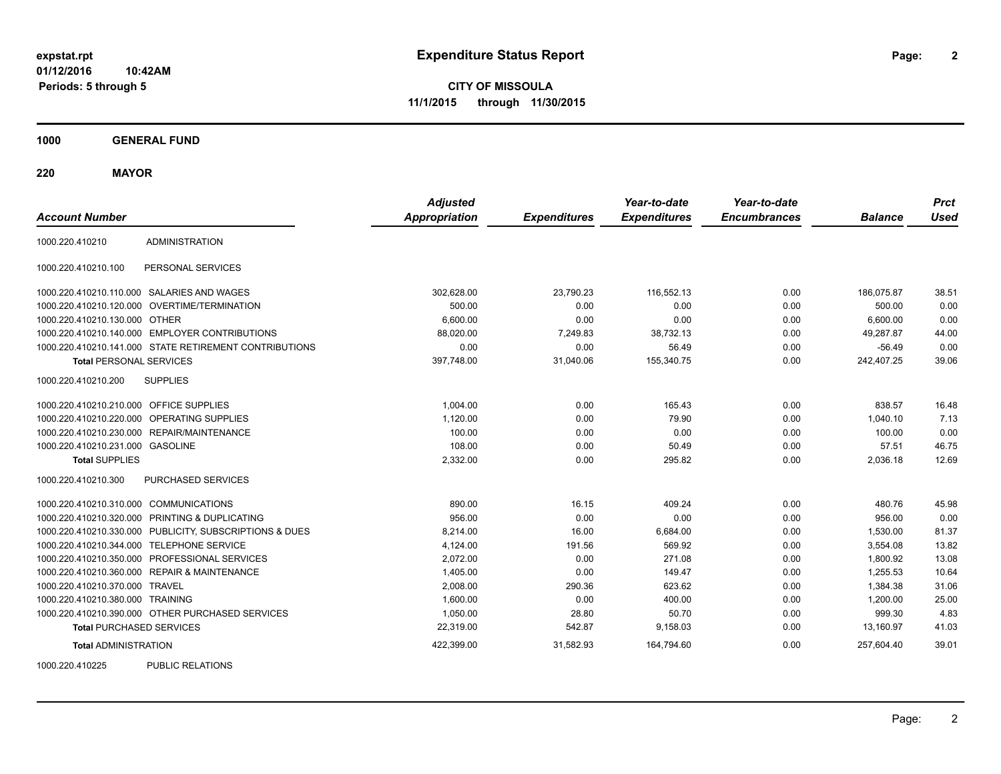**CITY OF MISSOULA 11/1/2015 through 11/30/2015**

**1000 GENERAL FUND**

**220 MAYOR**

| <b>Account Number</b>                   |                                                         | <b>Adjusted</b><br><b>Appropriation</b> | <b>Expenditures</b> | Year-to-date<br><b>Expenditures</b> | Year-to-date<br><b>Encumbrances</b> | <b>Balance</b> | <b>Prct</b><br><b>Used</b> |
|-----------------------------------------|---------------------------------------------------------|-----------------------------------------|---------------------|-------------------------------------|-------------------------------------|----------------|----------------------------|
| 1000.220.410210                         | <b>ADMINISTRATION</b>                                   |                                         |                     |                                     |                                     |                |                            |
| 1000.220.410210.100                     | PERSONAL SERVICES                                       |                                         |                     |                                     |                                     |                |                            |
|                                         | 1000.220.410210.110.000 SALARIES AND WAGES              | 302,628.00                              | 23,790.23           | 116,552.13                          | 0.00                                | 186.075.87     | 38.51                      |
| 1000.220.410210.120.000                 | OVERTIME/TERMINATION                                    | 500.00                                  | 0.00                | 0.00                                | 0.00                                | 500.00         | 0.00                       |
| 1000.220.410210.130.000 OTHER           |                                                         | 6,600.00                                | 0.00                | 0.00                                | 0.00                                | 6,600.00       | 0.00                       |
|                                         | 1000.220.410210.140.000 EMPLOYER CONTRIBUTIONS          | 88,020.00                               | 7,249.83            | 38,732.13                           | 0.00                                | 49,287.87      | 44.00                      |
|                                         | 1000.220.410210.141.000 STATE RETIREMENT CONTRIBUTIONS  | 0.00                                    | 0.00                | 56.49                               | 0.00                                | $-56.49$       | 0.00                       |
| <b>Total PERSONAL SERVICES</b>          |                                                         | 397,748.00                              | 31,040.06           | 155,340.75                          | 0.00                                | 242,407.25     | 39.06                      |
| 1000.220.410210.200                     | <b>SUPPLIES</b>                                         |                                         |                     |                                     |                                     |                |                            |
| 1000.220.410210.210.000 OFFICE SUPPLIES |                                                         | 1,004.00                                | 0.00                | 165.43                              | 0.00                                | 838.57         | 16.48                      |
| 1000.220.410210.220.000                 | OPERATING SUPPLIES                                      | 1,120.00                                | 0.00                | 79.90                               | 0.00                                | 1,040.10       | 7.13                       |
| 1000.220.410210.230.000                 | REPAIR/MAINTENANCE                                      | 100.00                                  | 0.00                | 0.00                                | 0.00                                | 100.00         | 0.00                       |
| 1000.220.410210.231.000 GASOLINE        |                                                         | 108.00                                  | 0.00                | 50.49                               | 0.00                                | 57.51          | 46.75                      |
| <b>Total SUPPLIES</b>                   |                                                         | 2,332.00                                | 0.00                | 295.82                              | 0.00                                | 2,036.18       | 12.69                      |
| 1000.220.410210.300                     | PURCHASED SERVICES                                      |                                         |                     |                                     |                                     |                |                            |
| 1000.220.410210.310.000 COMMUNICATIONS  |                                                         | 890.00                                  | 16.15               | 409.24                              | 0.00                                | 480.76         | 45.98                      |
|                                         | 1000.220.410210.320.000 PRINTING & DUPLICATING          | 956.00                                  | 0.00                | 0.00                                | 0.00                                | 956.00         | 0.00                       |
|                                         | 1000.220.410210.330.000 PUBLICITY, SUBSCRIPTIONS & DUES | 8,214.00                                | 16.00               | 6,684.00                            | 0.00                                | 1,530.00       | 81.37                      |
| 1000.220.410210.344.000                 | <b>TELEPHONE SERVICE</b>                                | 4,124.00                                | 191.56              | 569.92                              | 0.00                                | 3,554.08       | 13.82                      |
|                                         | 1000.220.410210.350.000 PROFESSIONAL SERVICES           | 2,072.00                                | 0.00                | 271.08                              | 0.00                                | 1,800.92       | 13.08                      |
|                                         | 1000.220.410210.360.000 REPAIR & MAINTENANCE            | 1,405.00                                | 0.00                | 149.47                              | 0.00                                | 1,255.53       | 10.64                      |
| 1000.220.410210.370.000 TRAVEL          |                                                         | 2.008.00                                | 290.36              | 623.62                              | 0.00                                | 1,384.38       | 31.06                      |
| 1000.220.410210.380.000 TRAINING        |                                                         | 1,600.00                                | 0.00                | 400.00                              | 0.00                                | 1,200.00       | 25.00                      |
|                                         | 1000.220.410210.390.000 OTHER PURCHASED SERVICES        | 1,050.00                                | 28.80               | 50.70                               | 0.00                                | 999.30         | 4.83                       |
| <b>Total PURCHASED SERVICES</b>         |                                                         | 22,319.00                               | 542.87              | 9,158.03                            | 0.00                                | 13,160.97      | 41.03                      |
| <b>Total ADMINISTRATION</b>             |                                                         | 422,399.00                              | 31,582.93           | 164,794.60                          | 0.00                                | 257,604.40     | 39.01                      |
| 1000000110000                           | $D(1D1)$ $D(2D1)$                                       |                                         |                     |                                     |                                     |                |                            |

1000.220.410225 PUBLIC RELATIONS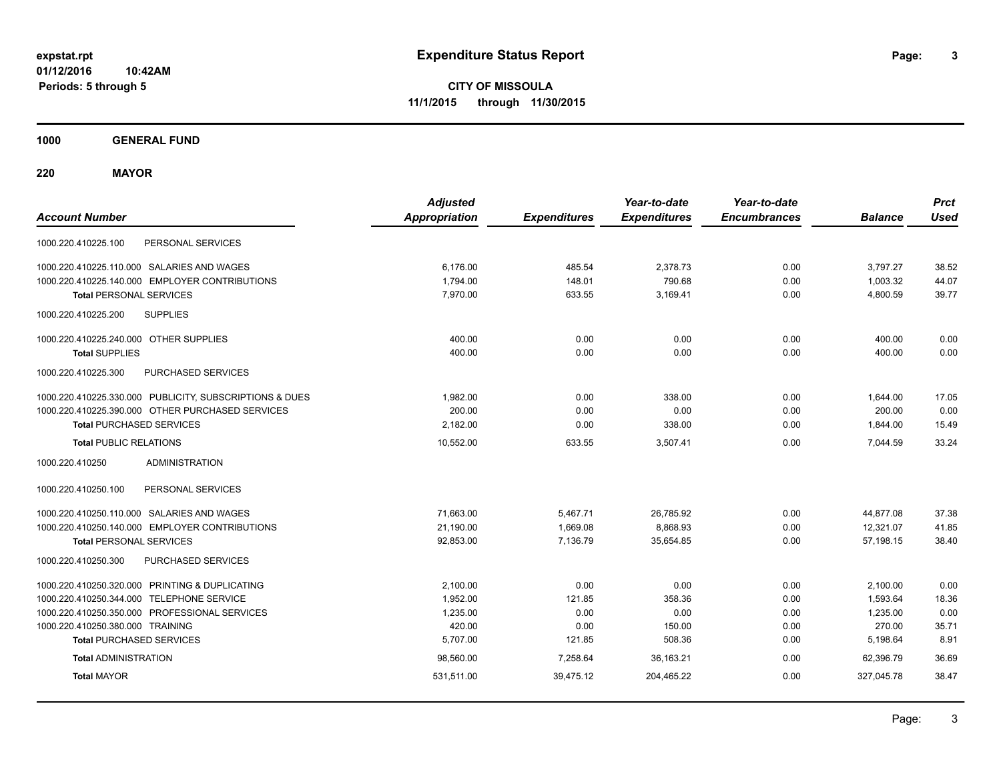**CITY OF MISSOULA 11/1/2015 through 11/30/2015**

**1000 GENERAL FUND**

**220 MAYOR**

| <b>Account Number</b>                                   | <b>Adjusted</b><br><b>Appropriation</b> | <b>Expenditures</b> | Year-to-date<br><b>Expenditures</b> | Year-to-date<br><b>Encumbrances</b> | <b>Balance</b> | <b>Prct</b><br><b>Used</b> |
|---------------------------------------------------------|-----------------------------------------|---------------------|-------------------------------------|-------------------------------------|----------------|----------------------------|
| PERSONAL SERVICES<br>1000.220.410225.100                |                                         |                     |                                     |                                     |                |                            |
| 1000.220.410225.110.000 SALARIES AND WAGES              | 6.176.00                                | 485.54              | 2,378.73                            | 0.00                                | 3,797.27       | 38.52                      |
| 1000.220.410225.140.000 EMPLOYER CONTRIBUTIONS          | 1,794.00                                | 148.01              | 790.68                              | 0.00                                | 1,003.32       | 44.07                      |
| <b>Total PERSONAL SERVICES</b>                          | 7.970.00                                | 633.55              | 3.169.41                            | 0.00                                | 4,800.59       | 39.77                      |
| 1000.220.410225.200<br><b>SUPPLIES</b>                  |                                         |                     |                                     |                                     |                |                            |
| 1000.220.410225.240.000 OTHER SUPPLIES                  | 400.00                                  | 0.00                | 0.00                                | 0.00                                | 400.00         | 0.00                       |
| <b>Total SUPPLIES</b>                                   | 400.00                                  | 0.00                | 0.00                                | 0.00                                | 400.00         | 0.00                       |
| 1000.220.410225.300<br><b>PURCHASED SERVICES</b>        |                                         |                     |                                     |                                     |                |                            |
| 1000.220.410225.330.000 PUBLICITY, SUBSCRIPTIONS & DUES | 1.982.00                                | 0.00                | 338.00                              | 0.00                                | 1,644.00       | 17.05                      |
| 1000.220.410225.390.000 OTHER PURCHASED SERVICES        | 200.00                                  | 0.00                | 0.00                                | 0.00                                | 200.00         | 0.00                       |
| <b>Total PURCHASED SERVICES</b>                         | 2,182.00                                | 0.00                | 338.00                              | 0.00                                | 1,844.00       | 15.49                      |
| <b>Total PUBLIC RELATIONS</b>                           | 10,552.00                               | 633.55              | 3,507.41                            | 0.00                                | 7,044.59       | 33.24                      |
| <b>ADMINISTRATION</b><br>1000.220.410250                |                                         |                     |                                     |                                     |                |                            |
| 1000.220.410250.100<br>PERSONAL SERVICES                |                                         |                     |                                     |                                     |                |                            |
| 1000.220.410250.110.000 SALARIES AND WAGES              | 71,663.00                               | 5,467.71            | 26,785.92                           | 0.00                                | 44,877.08      | 37.38                      |
| 1000.220.410250.140.000 EMPLOYER CONTRIBUTIONS          | 21,190.00                               | 1,669.08            | 8,868.93                            | 0.00                                | 12,321.07      | 41.85                      |
| <b>Total PERSONAL SERVICES</b>                          | 92,853.00                               | 7,136.79            | 35,654.85                           | 0.00                                | 57,198.15      | 38.40                      |
| 1000.220.410250.300<br>PURCHASED SERVICES               |                                         |                     |                                     |                                     |                |                            |
| 1000.220.410250.320.000 PRINTING & DUPLICATING          | 2,100.00                                | 0.00                | 0.00                                | 0.00                                | 2,100.00       | 0.00                       |
| 1000.220.410250.344.000 TELEPHONE SERVICE               | 1,952.00                                | 121.85              | 358.36                              | 0.00                                | 1,593.64       | 18.36                      |
| 1000.220.410250.350.000 PROFESSIONAL SERVICES           | 1,235.00                                | 0.00                | 0.00                                | 0.00                                | 1,235.00       | 0.00                       |
| 1000.220.410250.380.000 TRAINING                        | 420.00                                  | 0.00                | 150.00                              | 0.00                                | 270.00         | 35.71                      |
| <b>Total PURCHASED SERVICES</b>                         | 5,707.00                                | 121.85              | 508.36                              | 0.00                                | 5,198.64       | 8.91                       |
| <b>Total ADMINISTRATION</b>                             | 98,560.00                               | 7,258.64            | 36.163.21                           | 0.00                                | 62.396.79      | 36.69                      |
| <b>Total MAYOR</b>                                      | 531,511.00                              | 39,475.12           | 204,465.22                          | 0.00                                | 327,045.78     | 38.47                      |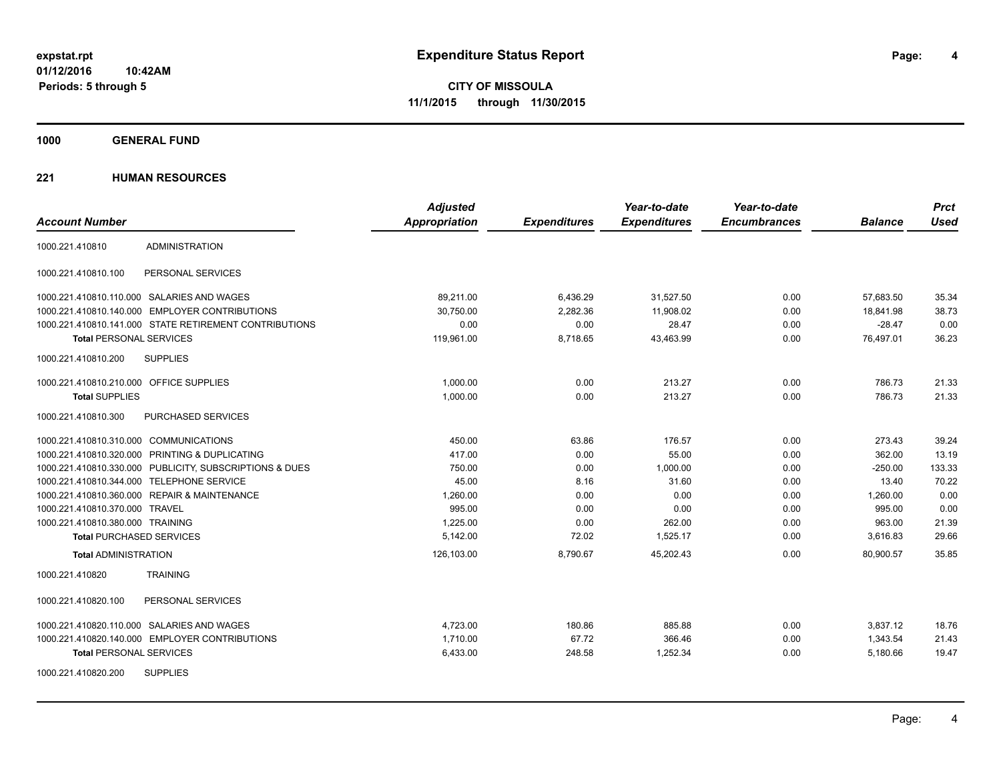**CITY OF MISSOULA 11/1/2015 through 11/30/2015**

**1000 GENERAL FUND**

|                                                         | <b>Adjusted</b>      |                     | Year-to-date        | Year-to-date        |                | <b>Prct</b> |
|---------------------------------------------------------|----------------------|---------------------|---------------------|---------------------|----------------|-------------|
| <b>Account Number</b>                                   | <b>Appropriation</b> | <b>Expenditures</b> | <b>Expenditures</b> | <b>Encumbrances</b> | <b>Balance</b> | <b>Used</b> |
| <b>ADMINISTRATION</b><br>1000.221.410810                |                      |                     |                     |                     |                |             |
| 1000.221.410810.100<br>PERSONAL SERVICES                |                      |                     |                     |                     |                |             |
| 1000.221.410810.110.000 SALARIES AND WAGES              | 89,211.00            | 6,436.29            | 31,527.50           | 0.00                | 57,683.50      | 35.34       |
| 1000.221.410810.140.000 EMPLOYER CONTRIBUTIONS          | 30.750.00            | 2,282.36            | 11,908.02           | 0.00                | 18.841.98      | 38.73       |
| 1000.221.410810.141.000 STATE RETIREMENT CONTRIBUTIONS  | 0.00                 | 0.00                | 28.47               | 0.00                | $-28.47$       | 0.00        |
| <b>Total PERSONAL SERVICES</b>                          | 119,961.00           | 8,718.65            | 43,463.99           | 0.00                | 76,497.01      | 36.23       |
| <b>SUPPLIES</b><br>1000.221.410810.200                  |                      |                     |                     |                     |                |             |
| 1000.221.410810.210.000 OFFICE SUPPLIES                 | 1.000.00             | 0.00                | 213.27              | 0.00                | 786.73         | 21.33       |
| <b>Total SUPPLIES</b>                                   | 1,000.00             | 0.00                | 213.27              | 0.00                | 786.73         | 21.33       |
| PURCHASED SERVICES<br>1000.221.410810.300               |                      |                     |                     |                     |                |             |
| 1000.221.410810.310.000 COMMUNICATIONS                  | 450.00               | 63.86               | 176.57              | 0.00                | 273.43         | 39.24       |
| 1000.221.410810.320.000 PRINTING & DUPLICATING          | 417.00               | 0.00                | 55.00               | 0.00                | 362.00         | 13.19       |
| 1000.221.410810.330.000 PUBLICITY, SUBSCRIPTIONS & DUES | 750.00               | 0.00                | 1,000.00            | 0.00                | $-250.00$      | 133.33      |
| 1000.221.410810.344.000 TELEPHONE SERVICE               | 45.00                | 8.16                | 31.60               | 0.00                | 13.40          | 70.22       |
| 1000.221.410810.360.000 REPAIR & MAINTENANCE            | 1,260.00             | 0.00                | 0.00                | 0.00                | 1,260.00       | 0.00        |
| 1000.221.410810.370.000 TRAVEL                          | 995.00               | 0.00                | 0.00                | 0.00                | 995.00         | 0.00        |
| 1000.221.410810.380.000 TRAINING                        | 1,225.00             | 0.00                | 262.00              | 0.00                | 963.00         | 21.39       |
| <b>Total PURCHASED SERVICES</b>                         | 5,142.00             | 72.02               | 1,525.17            | 0.00                | 3,616.83       | 29.66       |
| <b>Total ADMINISTRATION</b>                             | 126,103.00           | 8,790.67            | 45,202.43           | 0.00                | 80,900.57      | 35.85       |
| <b>TRAINING</b><br>1000.221.410820                      |                      |                     |                     |                     |                |             |
| 1000.221.410820.100<br>PERSONAL SERVICES                |                      |                     |                     |                     |                |             |
| 1000.221.410820.110.000 SALARIES AND WAGES              | 4,723.00             | 180.86              | 885.88              | 0.00                | 3,837.12       | 18.76       |
| 1000.221.410820.140.000 EMPLOYER CONTRIBUTIONS          | 1,710.00             | 67.72               | 366.46              | 0.00                | 1,343.54       | 21.43       |
| <b>Total PERSONAL SERVICES</b>                          | 6,433.00             | 248.58              | 1,252.34            | 0.00                | 5,180.66       | 19.47       |
| <b>SUPPLIES</b><br>1000.221.410820.200                  |                      |                     |                     |                     |                |             |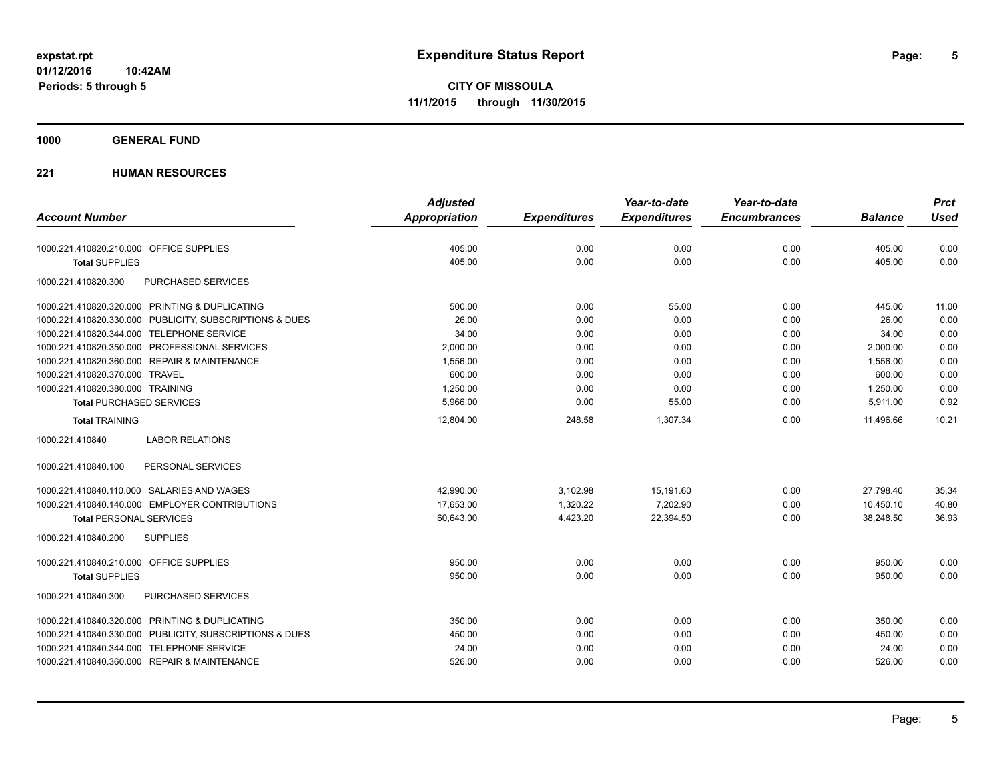**1000 GENERAL FUND**

| <b>Account Number</b>                                   | <b>Adjusted</b><br><b>Appropriation</b> |                     | Year-to-date<br><b>Expenditures</b> | Year-to-date<br><b>Encumbrances</b> | <b>Balance</b> | <b>Prct</b><br><b>Used</b> |
|---------------------------------------------------------|-----------------------------------------|---------------------|-------------------------------------|-------------------------------------|----------------|----------------------------|
|                                                         |                                         | <b>Expenditures</b> |                                     |                                     |                |                            |
| 1000.221.410820.210.000 OFFICE SUPPLIES                 | 405.00                                  | 0.00                | 0.00                                | 0.00                                | 405.00         | 0.00                       |
| <b>Total SUPPLIES</b>                                   | 405.00                                  | 0.00                | 0.00                                | 0.00                                | 405.00         | 0.00                       |
| 1000.221.410820.300<br>PURCHASED SERVICES               |                                         |                     |                                     |                                     |                |                            |
| 1000.221.410820.320.000 PRINTING & DUPLICATING          | 500.00                                  | 0.00                | 55.00                               | 0.00                                | 445.00         | 11.00                      |
| 1000.221.410820.330.000 PUBLICITY, SUBSCRIPTIONS & DUES | 26.00                                   | 0.00                | 0.00                                | 0.00                                | 26.00          | 0.00                       |
| 1000.221.410820.344.000 TELEPHONE SERVICE               | 34.00                                   | 0.00                | 0.00                                | 0.00                                | 34.00          | 0.00                       |
| 1000.221.410820.350.000 PROFESSIONAL SERVICES           | 2,000.00                                | 0.00                | 0.00                                | 0.00                                | 2,000.00       | 0.00                       |
| 1000.221.410820.360.000 REPAIR & MAINTENANCE            | 1,556.00                                | 0.00                | 0.00                                | 0.00                                | 1,556.00       | 0.00                       |
| 1000.221.410820.370.000 TRAVEL                          | 600.00                                  | 0.00                | 0.00                                | 0.00                                | 600.00         | 0.00                       |
| 1000.221.410820.380.000 TRAINING                        | 1,250.00                                | 0.00                | 0.00                                | 0.00                                | 1,250.00       | 0.00                       |
| <b>Total PURCHASED SERVICES</b>                         | 5,966.00                                | 0.00                | 55.00                               | 0.00                                | 5,911.00       | 0.92                       |
| <b>Total TRAINING</b>                                   | 12,804.00                               | 248.58              | 1,307.34                            | 0.00                                | 11,496.66      | 10.21                      |
| <b>LABOR RELATIONS</b><br>1000.221.410840               |                                         |                     |                                     |                                     |                |                            |
| 1000.221.410840.100<br>PERSONAL SERVICES                |                                         |                     |                                     |                                     |                |                            |
| 1000.221.410840.110.000 SALARIES AND WAGES              | 42,990.00                               | 3,102.98            | 15,191.60                           | 0.00                                | 27,798.40      | 35.34                      |
| 1000.221.410840.140.000 EMPLOYER CONTRIBUTIONS          | 17,653.00                               | 1,320.22            | 7,202.90                            | 0.00                                | 10,450.10      | 40.80                      |
| <b>Total PERSONAL SERVICES</b>                          | 60,643.00                               | 4,423.20            | 22,394.50                           | 0.00                                | 38,248.50      | 36.93                      |
| 1000.221.410840.200<br><b>SUPPLIES</b>                  |                                         |                     |                                     |                                     |                |                            |
| 1000.221.410840.210.000 OFFICE SUPPLIES                 | 950.00                                  | 0.00                | 0.00                                | 0.00                                | 950.00         | 0.00                       |
| <b>Total SUPPLIES</b>                                   | 950.00                                  | 0.00                | 0.00                                | 0.00                                | 950.00         | 0.00                       |
| PURCHASED SERVICES<br>1000.221.410840.300               |                                         |                     |                                     |                                     |                |                            |
| 1000.221.410840.320.000 PRINTING & DUPLICATING          | 350.00                                  | 0.00                | 0.00                                | 0.00                                | 350.00         | 0.00                       |
| 1000.221.410840.330.000 PUBLICITY, SUBSCRIPTIONS & DUES | 450.00                                  | 0.00                | 0.00                                | 0.00                                | 450.00         | 0.00                       |
| 1000.221.410840.344.000 TELEPHONE SERVICE               | 24.00                                   | 0.00                | 0.00                                | 0.00                                | 24.00          | 0.00                       |
| 1000.221.410840.360.000 REPAIR & MAINTENANCE            | 526.00                                  | 0.00                | 0.00                                | 0.00                                | 526.00         | 0.00                       |
|                                                         |                                         |                     |                                     |                                     |                |                            |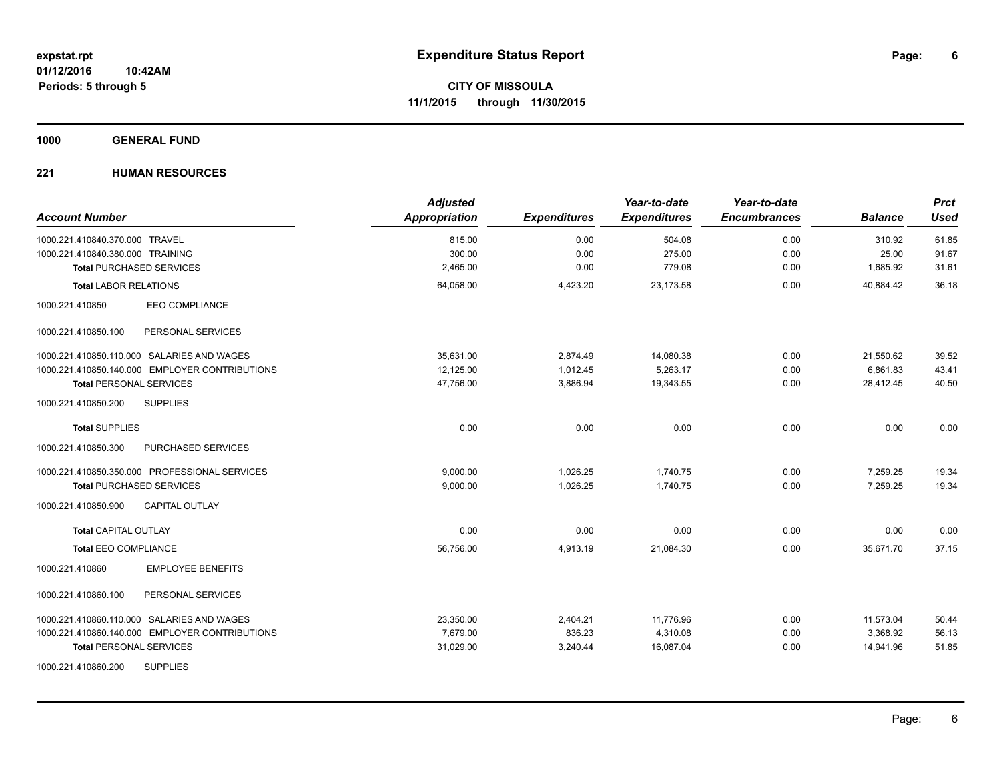**1000 GENERAL FUND**

| <b>Account Number</b>                          | <b>Adjusted</b><br>Appropriation | <b>Expenditures</b> | Year-to-date<br><b>Expenditures</b> | Year-to-date<br><b>Encumbrances</b> | <b>Balance</b> | <b>Prct</b><br><b>Used</b> |
|------------------------------------------------|----------------------------------|---------------------|-------------------------------------|-------------------------------------|----------------|----------------------------|
| 1000.221.410840.370.000 TRAVEL                 | 815.00                           | 0.00                | 504.08                              | 0.00                                | 310.92         | 61.85                      |
| 1000.221.410840.380.000 TRAINING               | 300.00                           | 0.00                | 275.00                              | 0.00                                | 25.00          | 91.67                      |
| <b>Total PURCHASED SERVICES</b>                | 2,465.00                         | 0.00                | 779.08                              | 0.00                                | 1,685.92       | 31.61                      |
| <b>Total LABOR RELATIONS</b>                   | 64,058.00                        | 4,423.20            | 23,173.58                           | 0.00                                | 40,884.42      | 36.18                      |
| 1000.221.410850<br><b>EEO COMPLIANCE</b>       |                                  |                     |                                     |                                     |                |                            |
| 1000.221.410850.100<br>PERSONAL SERVICES       |                                  |                     |                                     |                                     |                |                            |
| 1000.221.410850.110.000 SALARIES AND WAGES     | 35.631.00                        | 2,874.49            | 14,080.38                           | 0.00                                | 21,550.62      | 39.52                      |
| 1000.221.410850.140.000 EMPLOYER CONTRIBUTIONS | 12,125.00                        | 1,012.45            | 5,263.17                            | 0.00                                | 6,861.83       | 43.41                      |
| <b>Total PERSONAL SERVICES</b>                 | 47.756.00                        | 3,886.94            | 19,343.55                           | 0.00                                | 28.412.45      | 40.50                      |
| 1000.221.410850.200<br><b>SUPPLIES</b>         |                                  |                     |                                     |                                     |                |                            |
| <b>Total SUPPLIES</b>                          | 0.00                             | 0.00                | 0.00                                | 0.00                                | 0.00           | 0.00                       |
| PURCHASED SERVICES<br>1000.221.410850.300      |                                  |                     |                                     |                                     |                |                            |
| 1000.221.410850.350.000 PROFESSIONAL SERVICES  | 9.000.00                         | 1.026.25            | 1,740.75                            | 0.00                                | 7,259.25       | 19.34                      |
| <b>Total PURCHASED SERVICES</b>                | 9,000.00                         | 1,026.25            | 1,740.75                            | 0.00                                | 7,259.25       | 19.34                      |
| <b>CAPITAL OUTLAY</b><br>1000.221.410850.900   |                                  |                     |                                     |                                     |                |                            |
| <b>Total CAPITAL OUTLAY</b>                    | 0.00                             | 0.00                | 0.00                                | 0.00                                | 0.00           | 0.00                       |
| <b>Total EEO COMPLIANCE</b>                    | 56,756.00                        | 4,913.19            | 21,084.30                           | 0.00                                | 35,671.70      | 37.15                      |
| <b>EMPLOYEE BENEFITS</b><br>1000.221.410860    |                                  |                     |                                     |                                     |                |                            |
| 1000.221.410860.100<br>PERSONAL SERVICES       |                                  |                     |                                     |                                     |                |                            |
| 1000.221.410860.110.000 SALARIES AND WAGES     | 23,350.00                        | 2,404.21            | 11,776.96                           | 0.00                                | 11,573.04      | 50.44                      |
| 1000.221.410860.140.000 EMPLOYER CONTRIBUTIONS | 7,679.00                         | 836.23              | 4,310.08                            | 0.00                                | 3,368.92       | 56.13                      |
| <b>Total PERSONAL SERVICES</b>                 | 31,029.00                        | 3,240.44            | 16,087.04                           | 0.00                                | 14,941.96      | 51.85                      |
| <b>SUPPLIES</b><br>1000.221.410860.200         |                                  |                     |                                     |                                     |                |                            |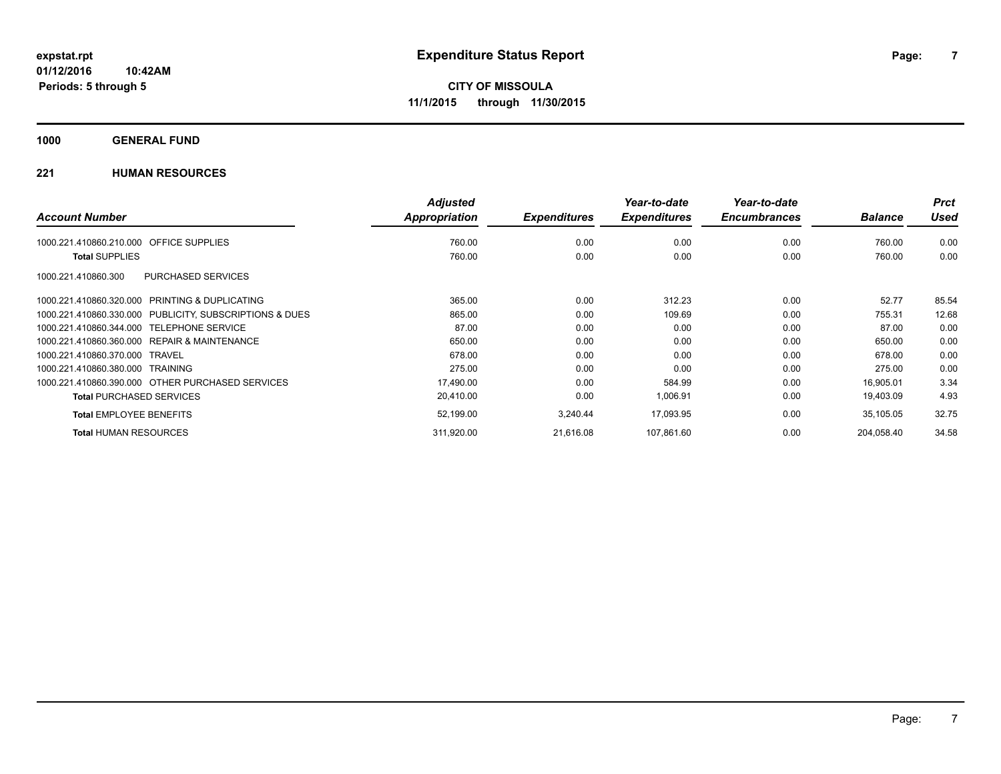**1000 GENERAL FUND**

|                                                         | <b>Adjusted</b> |                     | Year-to-date        | Year-to-date        |                | <b>Prct</b> |
|---------------------------------------------------------|-----------------|---------------------|---------------------|---------------------|----------------|-------------|
| <b>Account Number</b>                                   | Appropriation   | <b>Expenditures</b> | <b>Expenditures</b> | <b>Encumbrances</b> | <b>Balance</b> | <b>Used</b> |
| <b>OFFICE SUPPLIES</b><br>1000.221.410860.210.000       | 760.00          | 0.00                | 0.00                | 0.00                | 760.00         | 0.00        |
| <b>Total SUPPLIES</b>                                   | 760.00          | 0.00                | 0.00                | 0.00                | 760.00         | 0.00        |
| PURCHASED SERVICES<br>1000.221.410860.300               |                 |                     |                     |                     |                |             |
| 1000.221.410860.320.000 PRINTING & DUPLICATING          | 365.00          | 0.00                | 312.23              | 0.00                | 52.77          | 85.54       |
| 1000.221.410860.330.000 PUBLICITY, SUBSCRIPTIONS & DUES | 865.00          | 0.00                | 109.69              | 0.00                | 755.31         | 12.68       |
| <b>TELEPHONE SERVICE</b><br>1000.221.410860.344.000     | 87.00           | 0.00                | 0.00                | 0.00                | 87.00          | 0.00        |
| 1000.221.410860.360.000 REPAIR & MAINTENANCE            | 650.00          | 0.00                | 0.00                | 0.00                | 650.00         | 0.00        |
| 1000.221.410860.370.000 TRAVEL                          | 678.00          | 0.00                | 0.00                | 0.00                | 678.00         | 0.00        |
| 1000.221.410860.380.000 TRAINING                        | 275.00          | 0.00                | 0.00                | 0.00                | 275.00         | 0.00        |
| 1000.221.410860.390.000 OTHER PURCHASED SERVICES        | 17,490.00       | 0.00                | 584.99              | 0.00                | 16,905.01      | 3.34        |
| <b>Total PURCHASED SERVICES</b>                         | 20,410.00       | 0.00                | 1,006.91            | 0.00                | 19,403.09      | 4.93        |
| <b>Total EMPLOYEE BENEFITS</b>                          | 52,199.00       | 3,240.44            | 17,093.95           | 0.00                | 35,105.05      | 32.75       |
| <b>Total HUMAN RESOURCES</b>                            | 311,920.00      | 21,616.08           | 107,861.60          | 0.00                | 204,058.40     | 34.58       |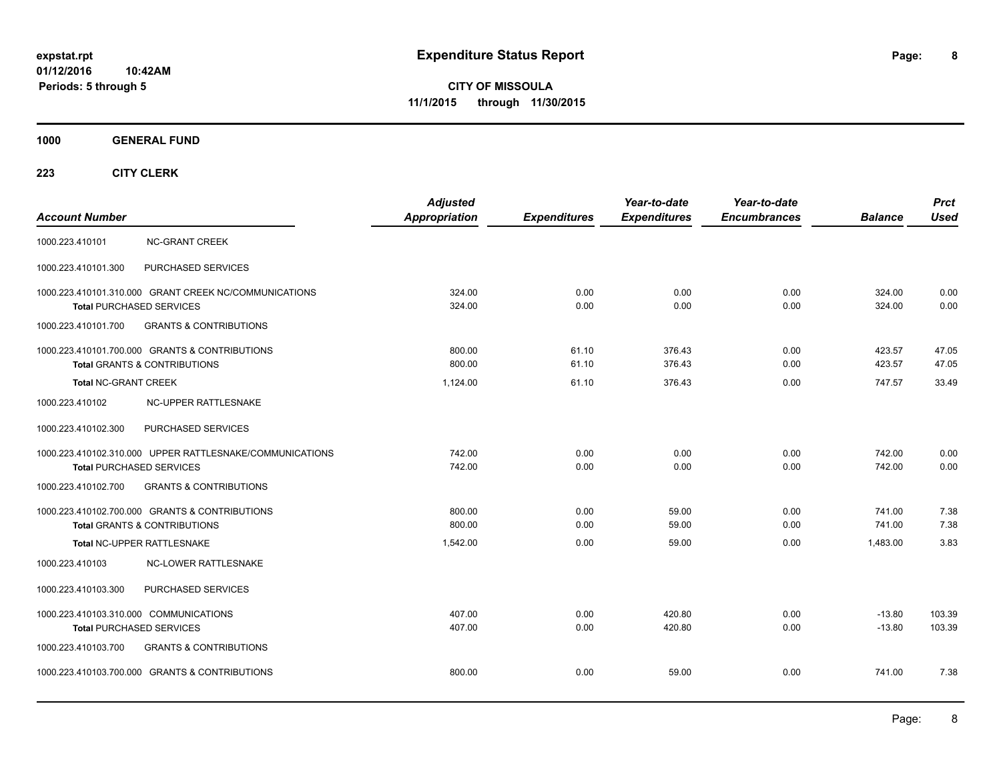**1000 GENERAL FUND**

| <b>Account Number</b>                                                     |                                                                                             | <b>Adjusted</b><br>Appropriation | <b>Expenditures</b> | Year-to-date<br><b>Expenditures</b> | Year-to-date<br><b>Encumbrances</b> | <b>Balance</b>       | <b>Prct</b><br><b>Used</b> |
|---------------------------------------------------------------------------|---------------------------------------------------------------------------------------------|----------------------------------|---------------------|-------------------------------------|-------------------------------------|----------------------|----------------------------|
| 1000.223.410101                                                           | <b>NC-GRANT CREEK</b>                                                                       |                                  |                     |                                     |                                     |                      |                            |
| 1000.223.410101.300                                                       | PURCHASED SERVICES                                                                          |                                  |                     |                                     |                                     |                      |                            |
|                                                                           | 1000.223.410101.310.000 GRANT CREEK NC/COMMUNICATIONS<br><b>Total PURCHASED SERVICES</b>    | 324.00<br>324.00                 | 0.00<br>0.00        | 0.00<br>0.00                        | 0.00<br>0.00                        | 324.00<br>324.00     | 0.00<br>0.00               |
| 1000.223.410101.700                                                       | <b>GRANTS &amp; CONTRIBUTIONS</b>                                                           |                                  |                     |                                     |                                     |                      |                            |
|                                                                           | 1000.223.410101.700.000 GRANTS & CONTRIBUTIONS<br><b>Total GRANTS &amp; CONTRIBUTIONS</b>   | 800.00<br>800.00                 | 61.10<br>61.10      | 376.43<br>376.43                    | 0.00<br>0.00                        | 423.57<br>423.57     | 47.05<br>47.05             |
| <b>Total NC-GRANT CREEK</b>                                               |                                                                                             | 1,124.00                         | 61.10               | 376.43                              | 0.00                                | 747.57               | 33.49                      |
| 1000.223.410102                                                           | NC-UPPER RATTLESNAKE                                                                        |                                  |                     |                                     |                                     |                      |                            |
| 1000.223.410102.300                                                       | PURCHASED SERVICES                                                                          |                                  |                     |                                     |                                     |                      |                            |
|                                                                           | 1000.223.410102.310.000 UPPER RATTLESNAKE/COMMUNICATIONS<br><b>Total PURCHASED SERVICES</b> | 742.00<br>742.00                 | 0.00<br>0.00        | 0.00<br>0.00                        | 0.00<br>0.00                        | 742.00<br>742.00     | 0.00<br>0.00               |
| 1000.223.410102.700                                                       | <b>GRANTS &amp; CONTRIBUTIONS</b>                                                           |                                  |                     |                                     |                                     |                      |                            |
|                                                                           | 1000.223.410102.700.000 GRANTS & CONTRIBUTIONS<br><b>Total GRANTS &amp; CONTRIBUTIONS</b>   | 800.00<br>800.00                 | 0.00<br>0.00        | 59.00<br>59.00                      | 0.00<br>0.00                        | 741.00<br>741.00     | 7.38<br>7.38               |
|                                                                           | Total NC-UPPER RATTLESNAKE                                                                  | 1,542.00                         | 0.00                | 59.00                               | 0.00                                | 1,483.00             | 3.83                       |
| 1000.223.410103                                                           | NC-LOWER RATTLESNAKE                                                                        |                                  |                     |                                     |                                     |                      |                            |
| 1000.223.410103.300                                                       | PURCHASED SERVICES                                                                          |                                  |                     |                                     |                                     |                      |                            |
| 1000.223.410103.310.000 COMMUNICATIONS<br><b>Total PURCHASED SERVICES</b> |                                                                                             | 407.00<br>407.00                 | 0.00<br>0.00        | 420.80<br>420.80                    | 0.00<br>0.00                        | $-13.80$<br>$-13.80$ | 103.39<br>103.39           |
| 1000.223.410103.700                                                       | <b>GRANTS &amp; CONTRIBUTIONS</b>                                                           |                                  |                     |                                     |                                     |                      |                            |
|                                                                           | 1000.223.410103.700.000 GRANTS & CONTRIBUTIONS                                              | 800.00                           | 0.00                | 59.00                               | 0.00                                | 741.00               | 7.38                       |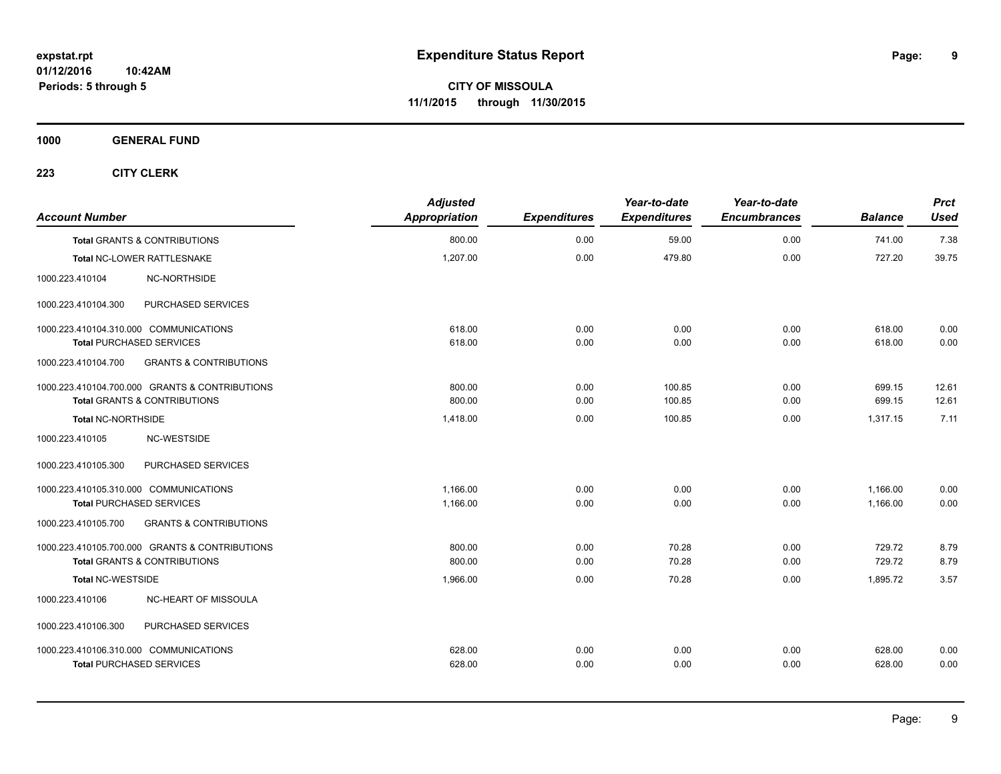**1000 GENERAL FUND**

| <b>Account Number</b>                  |                                                | <b>Adjusted</b><br>Appropriation | <b>Expenditures</b> | Year-to-date<br><b>Expenditures</b> | Year-to-date<br><b>Encumbrances</b> | <b>Balance</b> | <b>Prct</b><br><b>Used</b> |
|----------------------------------------|------------------------------------------------|----------------------------------|---------------------|-------------------------------------|-------------------------------------|----------------|----------------------------|
|                                        | <b>Total GRANTS &amp; CONTRIBUTIONS</b>        | 800.00                           | 0.00                | 59.00                               | 0.00                                | 741.00         | 7.38                       |
|                                        | Total NC-LOWER RATTLESNAKE                     | 1,207.00                         | 0.00                | 479.80                              | 0.00                                | 727.20         | 39.75                      |
| 1000.223.410104                        | <b>NC-NORTHSIDE</b>                            |                                  |                     |                                     |                                     |                |                            |
| 1000.223.410104.300                    | PURCHASED SERVICES                             |                                  |                     |                                     |                                     |                |                            |
| 1000.223.410104.310.000 COMMUNICATIONS |                                                | 618.00                           | 0.00                | 0.00                                | 0.00                                | 618.00         | 0.00                       |
| <b>Total PURCHASED SERVICES</b>        |                                                | 618.00                           | 0.00                | 0.00                                | 0.00                                | 618.00         | 0.00                       |
| 1000.223.410104.700                    | <b>GRANTS &amp; CONTRIBUTIONS</b>              |                                  |                     |                                     |                                     |                |                            |
|                                        | 1000.223.410104.700.000 GRANTS & CONTRIBUTIONS | 800.00                           | 0.00                | 100.85                              | 0.00                                | 699.15         | 12.61                      |
|                                        | <b>Total GRANTS &amp; CONTRIBUTIONS</b>        | 800.00                           | 0.00                | 100.85                              | 0.00                                | 699.15         | 12.61                      |
| Total NC-NORTHSIDE                     |                                                | 1,418.00                         | 0.00                | 100.85                              | 0.00                                | 1.317.15       | 7.11                       |
| 1000.223.410105                        | NC-WESTSIDE                                    |                                  |                     |                                     |                                     |                |                            |
| 1000.223.410105.300                    | PURCHASED SERVICES                             |                                  |                     |                                     |                                     |                |                            |
| 1000.223.410105.310.000 COMMUNICATIONS |                                                | 1,166.00                         | 0.00                | 0.00                                | 0.00                                | 1,166.00       | 0.00                       |
| <b>Total PURCHASED SERVICES</b>        |                                                | 1,166.00                         | 0.00                | 0.00                                | 0.00                                | 1,166.00       | 0.00                       |
| 1000.223.410105.700                    | <b>GRANTS &amp; CONTRIBUTIONS</b>              |                                  |                     |                                     |                                     |                |                            |
|                                        | 1000.223.410105.700.000 GRANTS & CONTRIBUTIONS | 800.00                           | 0.00                | 70.28                               | 0.00                                | 729.72         | 8.79                       |
|                                        | Total GRANTS & CONTRIBUTIONS                   | 800.00                           | 0.00                | 70.28                               | 0.00                                | 729.72         | 8.79                       |
| <b>Total NC-WESTSIDE</b>               |                                                | 1,966.00                         | 0.00                | 70.28                               | 0.00                                | 1,895.72       | 3.57                       |
| 1000.223.410106                        | NC-HEART OF MISSOULA                           |                                  |                     |                                     |                                     |                |                            |
| 1000.223.410106.300                    | PURCHASED SERVICES                             |                                  |                     |                                     |                                     |                |                            |
| 1000.223.410106.310.000 COMMUNICATIONS |                                                | 628.00                           | 0.00                | 0.00                                | 0.00                                | 628.00         | 0.00                       |
| <b>Total PURCHASED SERVICES</b>        |                                                | 628.00                           | 0.00                | 0.00                                | 0.00                                | 628.00         | 0.00                       |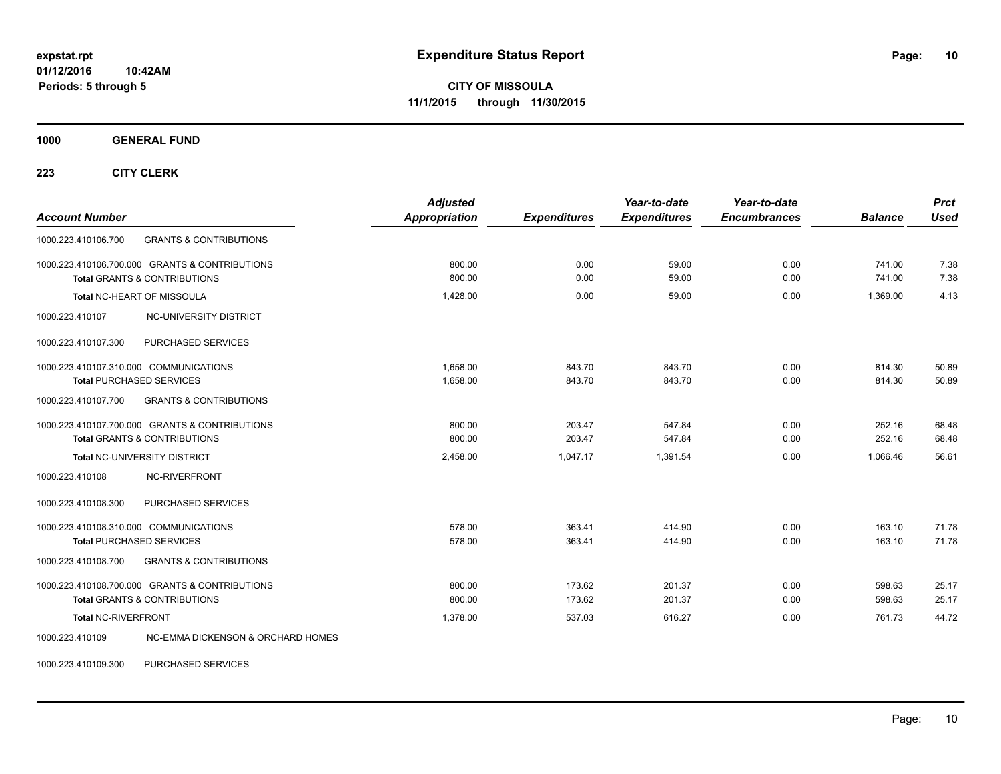**1000 GENERAL FUND**

**223 CITY CLERK**

| <b>Account Number</b>                                    | <b>Adjusted</b><br>Appropriation | <b>Expenditures</b> | Year-to-date<br><b>Expenditures</b> | Year-to-date<br><b>Encumbrances</b> | <b>Balance</b> | <b>Prct</b><br><b>Used</b> |
|----------------------------------------------------------|----------------------------------|---------------------|-------------------------------------|-------------------------------------|----------------|----------------------------|
| 1000.223.410106.700<br><b>GRANTS &amp; CONTRIBUTIONS</b> |                                  |                     |                                     |                                     |                |                            |
| 1000.223.410106.700.000 GRANTS & CONTRIBUTIONS           | 800.00                           | 0.00                | 59.00                               | 0.00                                | 741.00         | 7.38                       |
| <b>Total GRANTS &amp; CONTRIBUTIONS</b>                  | 800.00                           | 0.00                | 59.00                               | 0.00                                | 741.00         | 7.38                       |
| Total NC-HEART OF MISSOULA                               | 1,428.00                         | 0.00                | 59.00                               | 0.00                                | 1,369.00       | 4.13                       |
| NC-UNIVERSITY DISTRICT<br>1000.223.410107                |                                  |                     |                                     |                                     |                |                            |
| PURCHASED SERVICES<br>1000.223.410107.300                |                                  |                     |                                     |                                     |                |                            |
| 1000.223.410107.310.000 COMMUNICATIONS                   | 1,658.00                         | 843.70              | 843.70                              | 0.00                                | 814.30         | 50.89                      |
| <b>Total PURCHASED SERVICES</b>                          | 1,658.00                         | 843.70              | 843.70                              | 0.00                                | 814.30         | 50.89                      |
| 1000.223.410107.700<br><b>GRANTS &amp; CONTRIBUTIONS</b> |                                  |                     |                                     |                                     |                |                            |
| 1000.223.410107.700.000 GRANTS & CONTRIBUTIONS           | 800.00                           | 203.47              | 547.84                              | 0.00                                | 252.16         | 68.48                      |
| <b>Total GRANTS &amp; CONTRIBUTIONS</b>                  | 800.00                           | 203.47              | 547.84                              | 0.00                                | 252.16         | 68.48                      |
| <b>Total NC-UNIVERSITY DISTRICT</b>                      | 2,458.00                         | 1,047.17            | 1,391.54                            | 0.00                                | 1,066.46       | 56.61                      |
| NC-RIVERFRONT<br>1000.223.410108                         |                                  |                     |                                     |                                     |                |                            |
| PURCHASED SERVICES<br>1000.223.410108.300                |                                  |                     |                                     |                                     |                |                            |
| 1000.223.410108.310.000 COMMUNICATIONS                   | 578.00                           | 363.41              | 414.90                              | 0.00                                | 163.10         | 71.78                      |
| <b>Total PURCHASED SERVICES</b>                          | 578.00                           | 363.41              | 414.90                              | 0.00                                | 163.10         | 71.78                      |
| <b>GRANTS &amp; CONTRIBUTIONS</b><br>1000.223.410108.700 |                                  |                     |                                     |                                     |                |                            |
| 1000.223.410108.700.000 GRANTS & CONTRIBUTIONS           | 800.00                           | 173.62              | 201.37                              | 0.00                                | 598.63         | 25.17                      |
| <b>Total GRANTS &amp; CONTRIBUTIONS</b>                  | 800.00                           | 173.62              | 201.37                              | 0.00                                | 598.63         | 25.17                      |
| Total NC-RIVERFRONT                                      | 1,378.00                         | 537.03              | 616.27                              | 0.00                                | 761.73         | 44.72                      |
| NC-EMMA DICKENSON & ORCHARD HOMES<br>1000.223.410109     |                                  |                     |                                     |                                     |                |                            |

1000.223.410109.300 PURCHASED SERVICES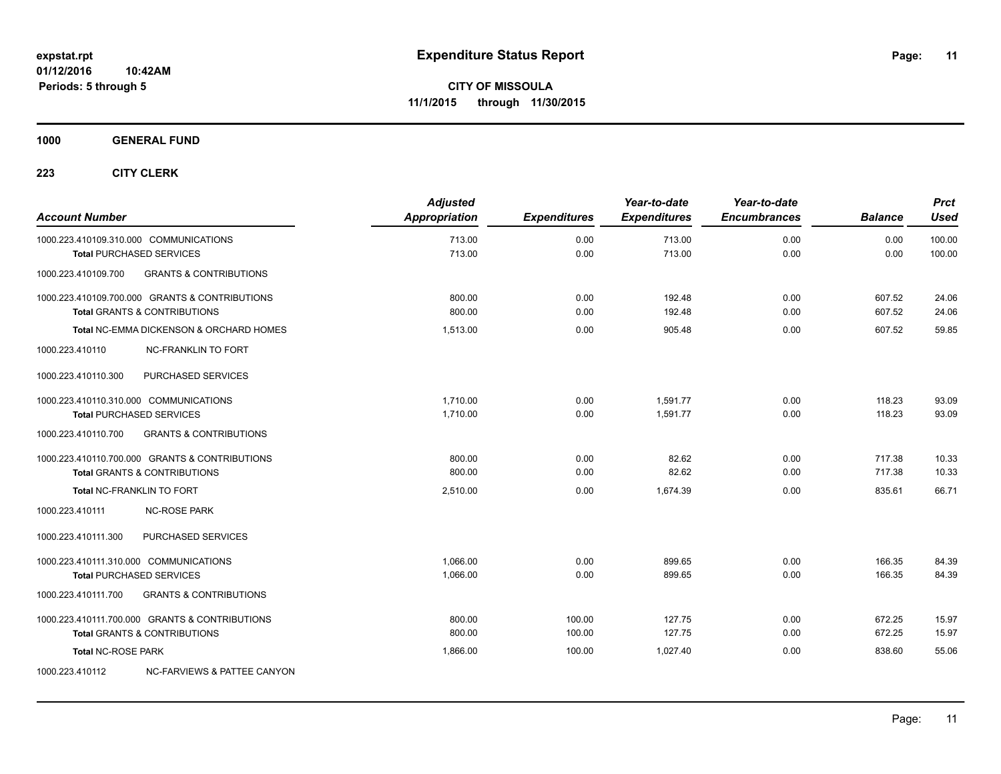**1000 GENERAL FUND**

| <b>Account Number</b>                                                                     | <b>Adjusted</b><br><b>Appropriation</b> | <b>Expenditures</b> | Year-to-date<br><b>Expenditures</b> | Year-to-date<br><b>Encumbrances</b> | <b>Balance</b>   | <b>Prct</b><br><b>Used</b> |
|-------------------------------------------------------------------------------------------|-----------------------------------------|---------------------|-------------------------------------|-------------------------------------|------------------|----------------------------|
| 1000.223.410109.310.000 COMMUNICATIONS<br><b>Total PURCHASED SERVICES</b>                 | 713.00<br>713.00                        | 0.00<br>0.00        | 713.00<br>713.00                    | 0.00<br>0.00                        | 0.00<br>0.00     | 100.00<br>100.00           |
| <b>GRANTS &amp; CONTRIBUTIONS</b><br>1000.223.410109.700                                  |                                         |                     |                                     |                                     |                  |                            |
| 1000.223.410109.700.000 GRANTS & CONTRIBUTIONS<br><b>Total GRANTS &amp; CONTRIBUTIONS</b> | 800.00<br>800.00                        | 0.00<br>0.00        | 192.48<br>192.48                    | 0.00<br>0.00                        | 607.52<br>607.52 | 24.06<br>24.06             |
| Total NC-EMMA DICKENSON & ORCHARD HOMES                                                   | 1,513.00                                | 0.00                | 905.48                              | 0.00                                | 607.52           | 59.85                      |
| <b>NC-FRANKLIN TO FORT</b><br>1000.223.410110                                             |                                         |                     |                                     |                                     |                  |                            |
| PURCHASED SERVICES<br>1000.223.410110.300                                                 |                                         |                     |                                     |                                     |                  |                            |
| 1000.223.410110.310.000 COMMUNICATIONS<br><b>Total PURCHASED SERVICES</b>                 | 1.710.00<br>1,710.00                    | 0.00<br>0.00        | 1.591.77<br>1.591.77                | 0.00<br>0.00                        | 118.23<br>118.23 | 93.09<br>93.09             |
| 1000.223.410110.700<br><b>GRANTS &amp; CONTRIBUTIONS</b>                                  |                                         |                     |                                     |                                     |                  |                            |
| 1000.223.410110.700.000 GRANTS & CONTRIBUTIONS<br><b>Total GRANTS &amp; CONTRIBUTIONS</b> | 800.00<br>800.00                        | 0.00<br>0.00        | 82.62<br>82.62                      | 0.00<br>0.00                        | 717.38<br>717.38 | 10.33<br>10.33             |
| Total NC-FRANKLIN TO FORT                                                                 | 2,510.00                                | 0.00                | 1,674.39                            | 0.00                                | 835.61           | 66.71                      |
| 1000.223.410111<br><b>NC-ROSE PARK</b>                                                    |                                         |                     |                                     |                                     |                  |                            |
| 1000.223.410111.300<br>PURCHASED SERVICES                                                 |                                         |                     |                                     |                                     |                  |                            |
| 1000.223.410111.310.000 COMMUNICATIONS<br><b>Total PURCHASED SERVICES</b>                 | 1,066.00<br>1,066.00                    | 0.00<br>0.00        | 899.65<br>899.65                    | 0.00<br>0.00                        | 166.35<br>166.35 | 84.39<br>84.39             |
| <b>GRANTS &amp; CONTRIBUTIONS</b><br>1000.223.410111.700                                  |                                         |                     |                                     |                                     |                  |                            |
| 1000.223.410111.700.000 GRANTS & CONTRIBUTIONS<br><b>Total GRANTS &amp; CONTRIBUTIONS</b> | 800.00<br>800.00                        | 100.00<br>100.00    | 127.75<br>127.75                    | 0.00<br>0.00                        | 672.25<br>672.25 | 15.97<br>15.97             |
| <b>Total NC-ROSE PARK</b>                                                                 | 1,866.00                                | 100.00              | 1,027.40                            | 0.00                                | 838.60           | 55.06                      |
| 1000.223.410112<br>NC-FARVIEWS & PATTEE CANYON                                            |                                         |                     |                                     |                                     |                  |                            |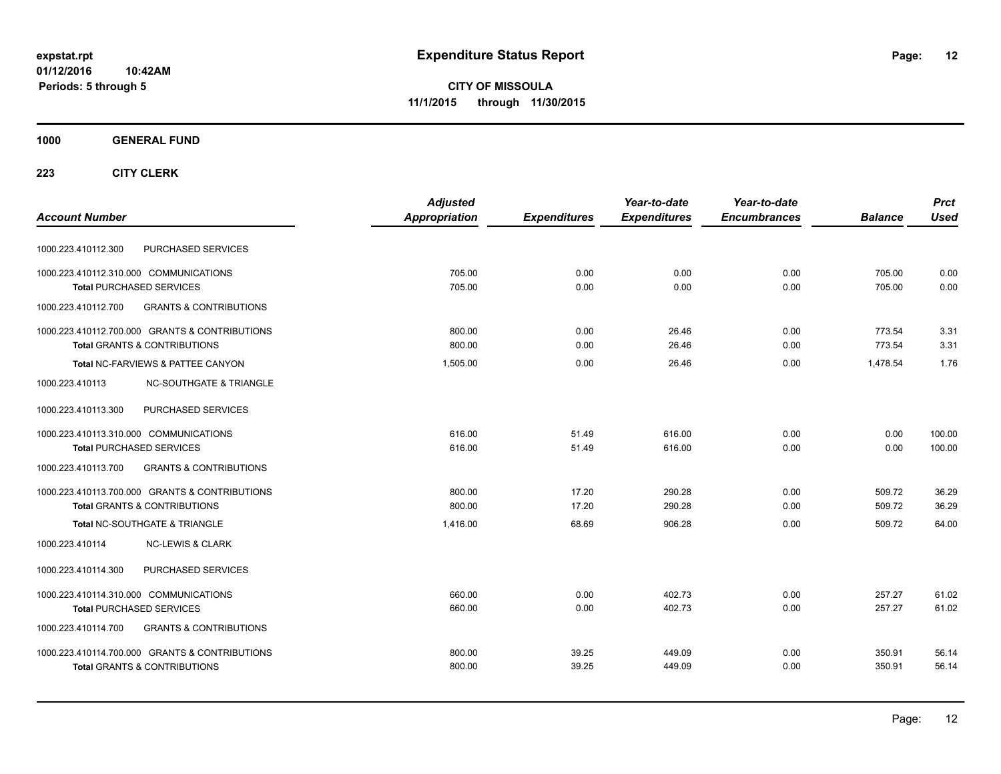**CITY OF MISSOULA 11/1/2015 through 11/30/2015**

#### **1000 GENERAL FUND**

| <b>Account Number</b>                                                                     | <b>Adjusted</b><br>Appropriation | <b>Expenditures</b> | Year-to-date<br><b>Expenditures</b> | Year-to-date<br><b>Encumbrances</b> | <b>Balance</b>   | <b>Prct</b><br><b>Used</b> |
|-------------------------------------------------------------------------------------------|----------------------------------|---------------------|-------------------------------------|-------------------------------------|------------------|----------------------------|
| PURCHASED SERVICES<br>1000.223.410112.300                                                 |                                  |                     |                                     |                                     |                  |                            |
| 1000.223.410112.310.000 COMMUNICATIONS<br><b>Total PURCHASED SERVICES</b>                 | 705.00<br>705.00                 | 0.00<br>0.00        | 0.00<br>0.00                        | 0.00<br>0.00                        | 705.00<br>705.00 | 0.00<br>0.00               |
| 1000.223.410112.700<br><b>GRANTS &amp; CONTRIBUTIONS</b>                                  |                                  |                     |                                     |                                     |                  |                            |
| 1000.223.410112.700.000 GRANTS & CONTRIBUTIONS<br><b>Total GRANTS &amp; CONTRIBUTIONS</b> | 800.00<br>800.00                 | 0.00<br>0.00        | 26.46<br>26.46                      | 0.00<br>0.00                        | 773.54<br>773.54 | 3.31<br>3.31               |
| Total NC-FARVIEWS & PATTEE CANYON                                                         | 1,505.00                         | 0.00                | 26.46                               | 0.00                                | 1,478.54         | 1.76                       |
| 1000.223.410113<br><b>NC-SOUTHGATE &amp; TRIANGLE</b>                                     |                                  |                     |                                     |                                     |                  |                            |
| PURCHASED SERVICES<br>1000.223.410113.300                                                 |                                  |                     |                                     |                                     |                  |                            |
| 1000.223.410113.310.000 COMMUNICATIONS<br><b>Total PURCHASED SERVICES</b>                 | 616.00<br>616.00                 | 51.49<br>51.49      | 616.00<br>616.00                    | 0.00<br>0.00                        | 0.00<br>0.00     | 100.00<br>100.00           |
| 1000.223.410113.700<br><b>GRANTS &amp; CONTRIBUTIONS</b>                                  |                                  |                     |                                     |                                     |                  |                            |
| 1000.223.410113.700.000 GRANTS & CONTRIBUTIONS<br><b>Total GRANTS &amp; CONTRIBUTIONS</b> | 800.00<br>800.00                 | 17.20<br>17.20      | 290.28<br>290.28                    | 0.00<br>0.00                        | 509.72<br>509.72 | 36.29<br>36.29             |
| <b>Total NC-SOUTHGATE &amp; TRIANGLE</b>                                                  | 1,416.00                         | 68.69               | 906.28                              | 0.00                                | 509.72           | 64.00                      |
| 1000.223.410114<br><b>NC-LEWIS &amp; CLARK</b>                                            |                                  |                     |                                     |                                     |                  |                            |
| PURCHASED SERVICES<br>1000.223.410114.300                                                 |                                  |                     |                                     |                                     |                  |                            |
| 1000.223.410114.310.000 COMMUNICATIONS<br><b>Total PURCHASED SERVICES</b>                 | 660.00<br>660.00                 | 0.00<br>0.00        | 402.73<br>402.73                    | 0.00<br>0.00                        | 257.27<br>257.27 | 61.02<br>61.02             |
| <b>GRANTS &amp; CONTRIBUTIONS</b><br>1000.223.410114.700                                  |                                  |                     |                                     |                                     |                  |                            |
| 1000.223.410114.700.000 GRANTS & CONTRIBUTIONS<br><b>Total GRANTS &amp; CONTRIBUTIONS</b> | 800.00<br>800.00                 | 39.25<br>39.25      | 449.09<br>449.09                    | 0.00<br>0.00                        | 350.91<br>350.91 | 56.14<br>56.14             |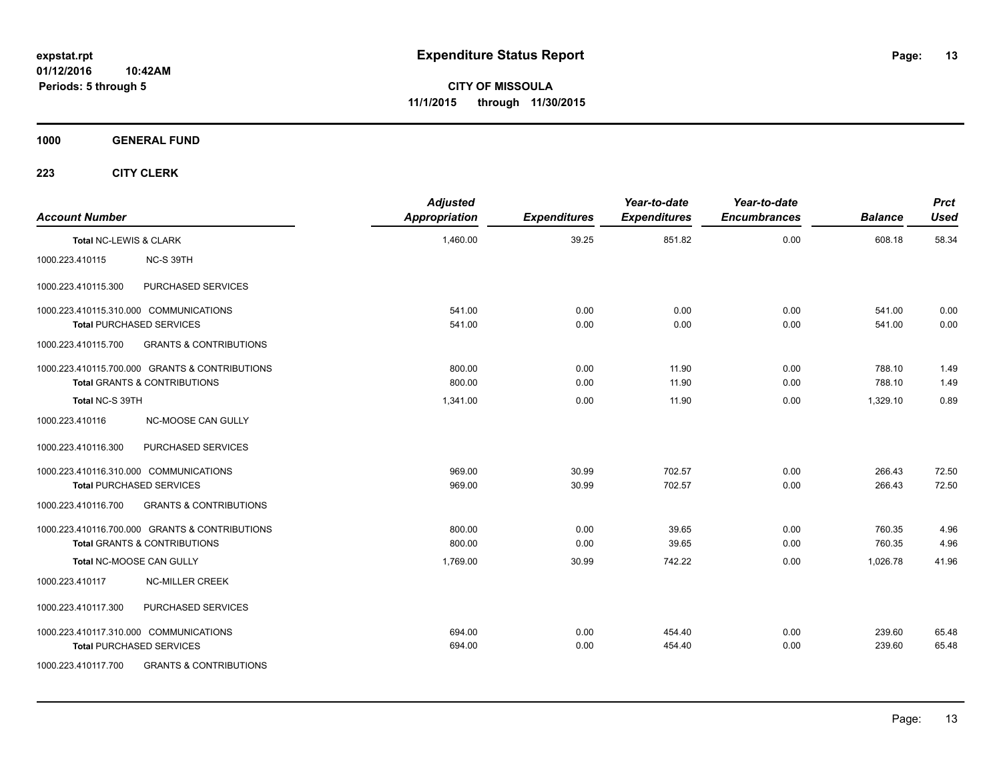**1000 GENERAL FUND**

| <b>Account Number</b>  |                                                                                           | <b>Adjusted</b><br><b>Appropriation</b> | <b>Expenditures</b> | Year-to-date<br><b>Expenditures</b> | Year-to-date<br><b>Encumbrances</b> | <b>Balance</b>   | <b>Prct</b><br><b>Used</b> |
|------------------------|-------------------------------------------------------------------------------------------|-----------------------------------------|---------------------|-------------------------------------|-------------------------------------|------------------|----------------------------|
| Total NC-LEWIS & CLARK |                                                                                           | 1,460.00                                | 39.25               | 851.82                              | 0.00                                | 608.18           | 58.34                      |
| 1000.223.410115        | NC-S 39TH                                                                                 |                                         |                     |                                     |                                     |                  |                            |
| 1000.223.410115.300    | PURCHASED SERVICES                                                                        |                                         |                     |                                     |                                     |                  |                            |
|                        | 1000.223.410115.310.000 COMMUNICATIONS<br><b>Total PURCHASED SERVICES</b>                 | 541.00<br>541.00                        | 0.00<br>0.00        | 0.00<br>0.00                        | 0.00<br>0.00                        | 541.00<br>541.00 | 0.00<br>0.00               |
| 1000.223.410115.700    | <b>GRANTS &amp; CONTRIBUTIONS</b>                                                         |                                         |                     |                                     |                                     |                  |                            |
|                        | 1000.223.410115.700.000 GRANTS & CONTRIBUTIONS<br><b>Total GRANTS &amp; CONTRIBUTIONS</b> | 800.00<br>800.00                        | 0.00<br>0.00        | 11.90<br>11.90                      | 0.00<br>0.00                        | 788.10<br>788.10 | 1.49<br>1.49               |
| Total NC-S 39TH        |                                                                                           | 1,341.00                                | 0.00                | 11.90                               | 0.00                                | 1.329.10         | 0.89                       |
| 1000.223.410116        | <b>NC-MOOSE CAN GULLY</b>                                                                 |                                         |                     |                                     |                                     |                  |                            |
| 1000.223.410116.300    | PURCHASED SERVICES                                                                        |                                         |                     |                                     |                                     |                  |                            |
|                        | 1000.223.410116.310.000 COMMUNICATIONS<br><b>Total PURCHASED SERVICES</b>                 | 969.00<br>969.00                        | 30.99<br>30.99      | 702.57<br>702.57                    | 0.00<br>0.00                        | 266.43<br>266.43 | 72.50<br>72.50             |
| 1000.223.410116.700    | <b>GRANTS &amp; CONTRIBUTIONS</b>                                                         |                                         |                     |                                     |                                     |                  |                            |
|                        | 1000.223.410116.700.000 GRANTS & CONTRIBUTIONS<br><b>Total GRANTS &amp; CONTRIBUTIONS</b> | 800.00<br>800.00                        | 0.00<br>0.00        | 39.65<br>39.65                      | 0.00<br>0.00                        | 760.35<br>760.35 | 4.96<br>4.96               |
|                        | Total NC-MOOSE CAN GULLY                                                                  | 1,769.00                                | 30.99               | 742.22                              | 0.00                                | 1,026.78         | 41.96                      |
| 1000.223.410117        | <b>NC-MILLER CREEK</b>                                                                    |                                         |                     |                                     |                                     |                  |                            |
| 1000.223.410117.300    | PURCHASED SERVICES                                                                        |                                         |                     |                                     |                                     |                  |                            |
|                        | 1000.223.410117.310.000 COMMUNICATIONS<br><b>Total PURCHASED SERVICES</b>                 | 694.00<br>694.00                        | 0.00<br>0.00        | 454.40<br>454.40                    | 0.00<br>0.00                        | 239.60<br>239.60 | 65.48<br>65.48             |
| 1000.223.410117.700    | <b>GRANTS &amp; CONTRIBUTIONS</b>                                                         |                                         |                     |                                     |                                     |                  |                            |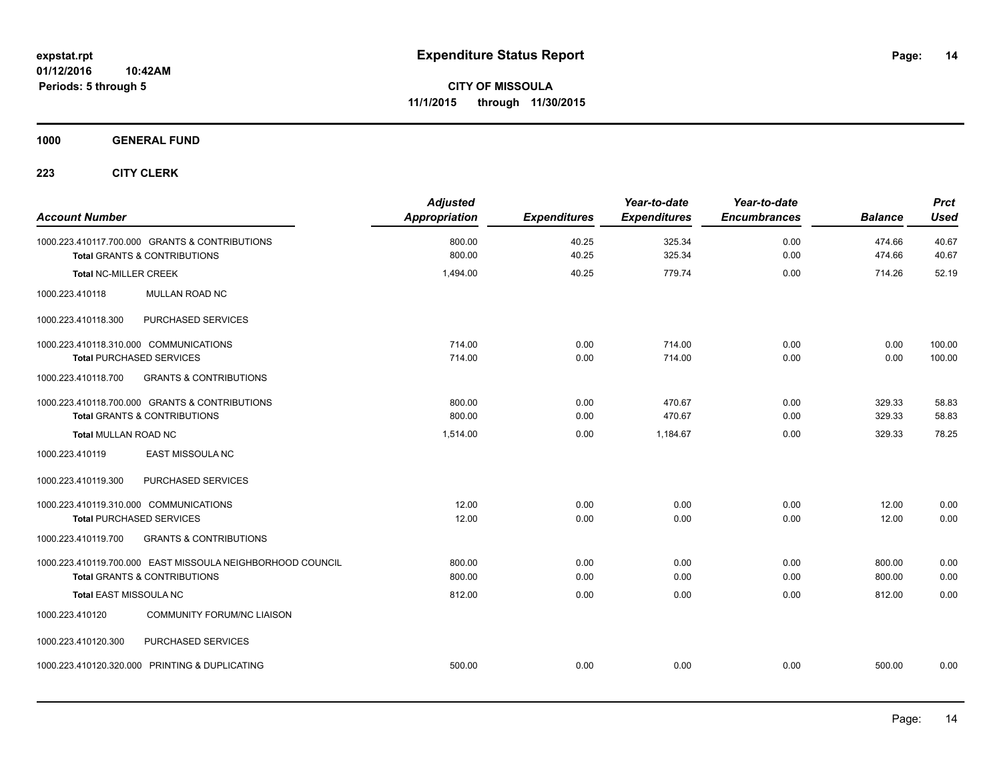**1000 GENERAL FUND**

| <b>Account Number</b>                                                                                 | <b>Adjusted</b><br>Appropriation | <b>Expenditures</b> | Year-to-date<br><b>Expenditures</b> | Year-to-date<br><b>Encumbrances</b> | <b>Balance</b>   | <b>Prct</b><br><b>Used</b> |
|-------------------------------------------------------------------------------------------------------|----------------------------------|---------------------|-------------------------------------|-------------------------------------|------------------|----------------------------|
| 1000.223.410117.700.000 GRANTS & CONTRIBUTIONS<br><b>Total GRANTS &amp; CONTRIBUTIONS</b>             | 800.00<br>800.00                 | 40.25<br>40.25      | 325.34<br>325.34                    | 0.00<br>0.00                        | 474.66<br>474.66 | 40.67<br>40.67             |
| <b>Total NC-MILLER CREEK</b>                                                                          | 1,494.00                         | 40.25               | 779.74                              | 0.00                                | 714.26           | 52.19                      |
| 1000.223.410118<br>MULLAN ROAD NC                                                                     |                                  |                     |                                     |                                     |                  |                            |
| PURCHASED SERVICES<br>1000.223.410118.300                                                             |                                  |                     |                                     |                                     |                  |                            |
| 1000.223.410118.310.000 COMMUNICATIONS<br><b>Total PURCHASED SERVICES</b>                             | 714.00<br>714.00                 | 0.00<br>0.00        | 714.00<br>714.00                    | 0.00<br>0.00                        | 0.00<br>0.00     | 100.00<br>100.00           |
| <b>GRANTS &amp; CONTRIBUTIONS</b><br>1000.223.410118.700                                              |                                  |                     |                                     |                                     |                  |                            |
| 1000.223.410118.700.000 GRANTS & CONTRIBUTIONS<br><b>Total GRANTS &amp; CONTRIBUTIONS</b>             | 800.00<br>800.00                 | 0.00<br>0.00        | 470.67<br>470.67                    | 0.00<br>0.00                        | 329.33<br>329.33 | 58.83<br>58.83             |
| <b>Total MULLAN ROAD NC</b>                                                                           | 1,514.00                         | 0.00                | 1,184.67                            | 0.00                                | 329.33           | 78.25                      |
| EAST MISSOULA NC<br>1000.223.410119                                                                   |                                  |                     |                                     |                                     |                  |                            |
| 1000.223.410119.300<br>PURCHASED SERVICES                                                             |                                  |                     |                                     |                                     |                  |                            |
| 1000.223.410119.310.000 COMMUNICATIONS<br><b>Total PURCHASED SERVICES</b>                             | 12.00<br>12.00                   | 0.00<br>0.00        | 0.00<br>0.00                        | 0.00<br>0.00                        | 12.00<br>12.00   | 0.00<br>0.00               |
| 1000.223.410119.700<br><b>GRANTS &amp; CONTRIBUTIONS</b>                                              |                                  |                     |                                     |                                     |                  |                            |
| 1000.223.410119.700.000 EAST MISSOULA NEIGHBORHOOD COUNCIL<br><b>Total GRANTS &amp; CONTRIBUTIONS</b> | 800.00<br>800.00                 | 0.00<br>0.00        | 0.00<br>0.00                        | 0.00<br>0.00                        | 800.00<br>800.00 | 0.00<br>0.00               |
| Total EAST MISSOULA NC                                                                                | 812.00                           | 0.00                | 0.00                                | 0.00                                | 812.00           | 0.00                       |
| <b>COMMUNITY FORUM/NC LIAISON</b><br>1000.223.410120                                                  |                                  |                     |                                     |                                     |                  |                            |
| 1000.223.410120.300<br>PURCHASED SERVICES                                                             |                                  |                     |                                     |                                     |                  |                            |
| 1000.223.410120.320.000 PRINTING & DUPLICATING                                                        | 500.00                           | 0.00                | 0.00                                | 0.00                                | 500.00           | 0.00                       |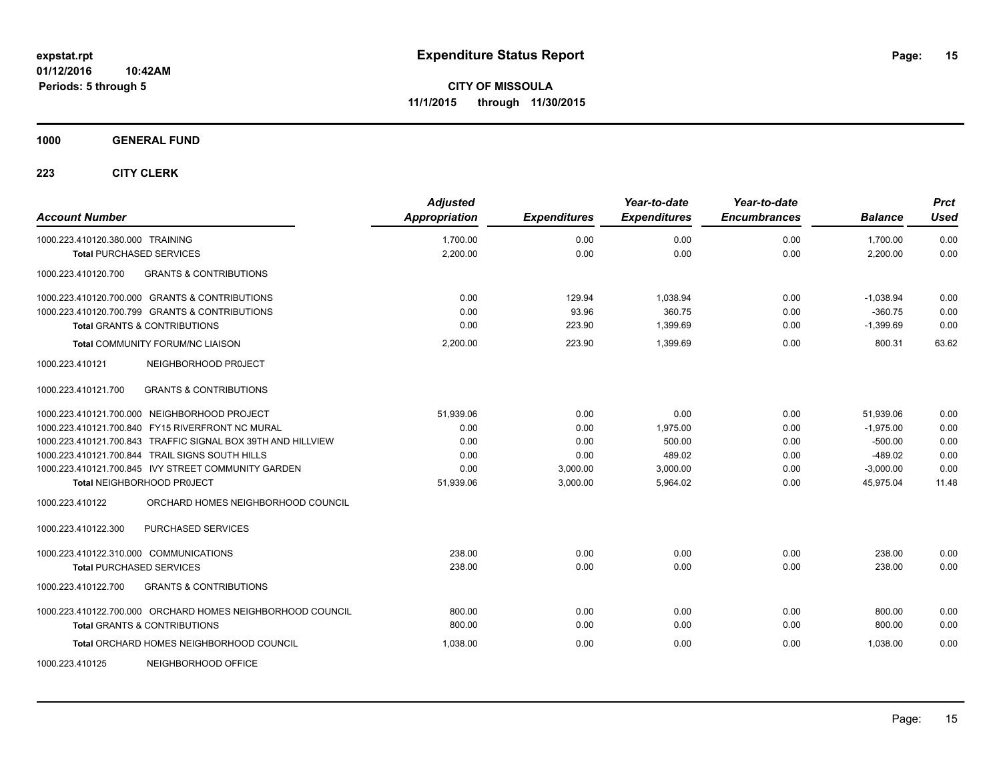**1000 GENERAL FUND**

| <b>Account Number</b>                                        | <b>Adjusted</b><br>Appropriation | <b>Expenditures</b> | Year-to-date<br><b>Expenditures</b> | Year-to-date<br><b>Encumbrances</b> | <b>Balance</b> | <b>Prct</b><br><b>Used</b> |
|--------------------------------------------------------------|----------------------------------|---------------------|-------------------------------------|-------------------------------------|----------------|----------------------------|
| 1000.223.410120.380.000 TRAINING                             | 1,700.00                         | 0.00                | 0.00                                | 0.00                                | 1,700.00       | 0.00                       |
| <b>Total PURCHASED SERVICES</b>                              | 2,200.00                         | 0.00                | 0.00                                | 0.00                                | 2,200.00       | 0.00                       |
| <b>GRANTS &amp; CONTRIBUTIONS</b><br>1000.223.410120.700     |                                  |                     |                                     |                                     |                |                            |
| 1000.223.410120.700.000 GRANTS & CONTRIBUTIONS               | 0.00                             | 129.94              | 1,038.94                            | 0.00                                | $-1,038.94$    | 0.00                       |
| 1000.223.410120.700.799 GRANTS & CONTRIBUTIONS               | 0.00                             | 93.96               | 360.75                              | 0.00                                | $-360.75$      | 0.00                       |
| <b>Total GRANTS &amp; CONTRIBUTIONS</b>                      | 0.00                             | 223.90              | 1,399.69                            | 0.00                                | $-1,399.69$    | 0.00                       |
| Total COMMUNITY FORUM/NC LIAISON                             | 2,200.00                         | 223.90              | 1,399.69                            | 0.00                                | 800.31         | 63.62                      |
| 1000.223.410121<br>NEIGHBORHOOD PROJECT                      |                                  |                     |                                     |                                     |                |                            |
| <b>GRANTS &amp; CONTRIBUTIONS</b><br>1000.223.410121.700     |                                  |                     |                                     |                                     |                |                            |
| 1000.223.410121.700.000 NEIGHBORHOOD PROJECT                 | 51,939.06                        | 0.00                | 0.00                                | 0.00                                | 51.939.06      | 0.00                       |
| 1000.223.410121.700.840 FY15 RIVERFRONT NC MURAL             | 0.00                             | 0.00                | 1,975.00                            | 0.00                                | $-1,975.00$    | 0.00                       |
| 1000.223.410121.700.843 TRAFFIC SIGNAL BOX 39TH AND HILLVIEW | 0.00                             | 0.00                | 500.00                              | 0.00                                | $-500.00$      | 0.00                       |
| 1000.223.410121.700.844 TRAIL SIGNS SOUTH HILLS              | 0.00                             | 0.00                | 489.02                              | 0.00                                | $-489.02$      | 0.00                       |
| 1000.223.410121.700.845 IVY STREET COMMUNITY GARDEN          | 0.00                             | 3,000.00            | 3,000.00                            | 0.00                                | $-3,000.00$    | 0.00                       |
| Total NEIGHBORHOOD PROJECT                                   | 51,939.06                        | 3,000.00            | 5,964.02                            | 0.00                                | 45,975.04      | 11.48                      |
| 1000.223.410122<br>ORCHARD HOMES NEIGHBORHOOD COUNCIL        |                                  |                     |                                     |                                     |                |                            |
| 1000.223.410122.300<br>PURCHASED SERVICES                    |                                  |                     |                                     |                                     |                |                            |
| 1000.223.410122.310.000 COMMUNICATIONS                       | 238.00                           | 0.00                | 0.00                                | 0.00                                | 238.00         | 0.00                       |
| <b>Total PURCHASED SERVICES</b>                              | 238.00                           | 0.00                | 0.00                                | 0.00                                | 238.00         | 0.00                       |
| 1000.223.410122.700<br><b>GRANTS &amp; CONTRIBUTIONS</b>     |                                  |                     |                                     |                                     |                |                            |
| 1000.223.410122.700.000 ORCHARD HOMES NEIGHBORHOOD COUNCIL   | 800.00                           | 0.00                | 0.00                                | 0.00                                | 800.00         | 0.00                       |
| <b>Total GRANTS &amp; CONTRIBUTIONS</b>                      | 800.00                           | 0.00                | 0.00                                | 0.00                                | 800.00         | 0.00                       |
| Total ORCHARD HOMES NEIGHBORHOOD COUNCIL                     | 1,038.00                         | 0.00                | 0.00                                | 0.00                                | 1,038.00       | 0.00                       |
| NEIGHBORHOOD OFFICE<br>1000.223.410125                       |                                  |                     |                                     |                                     |                |                            |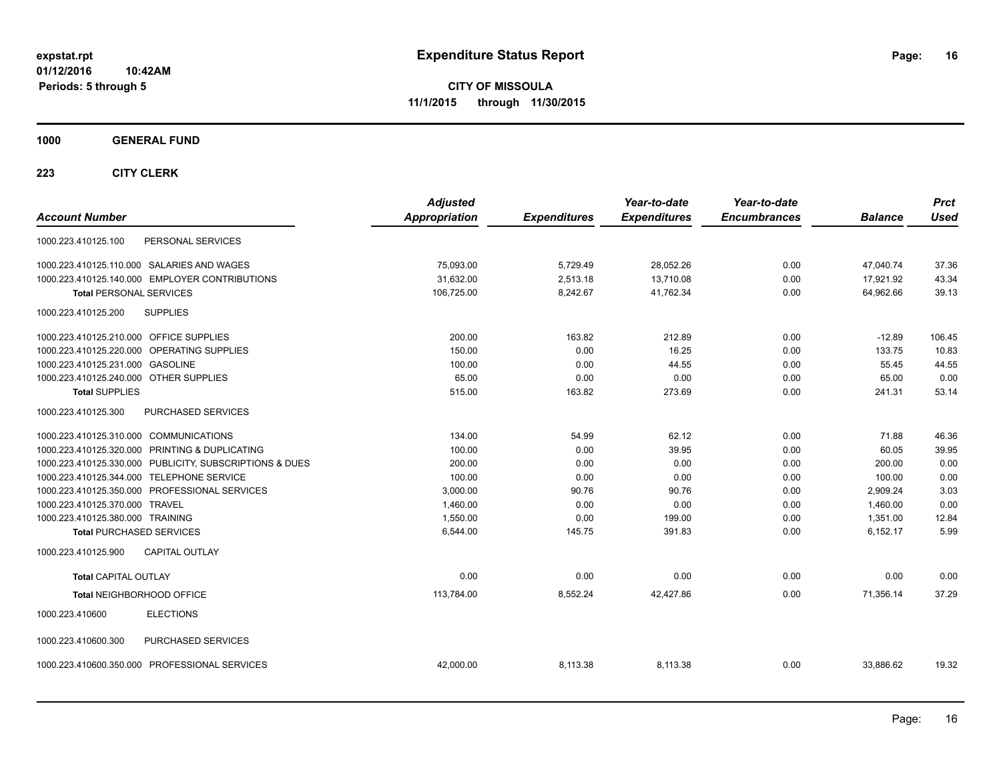**CITY OF MISSOULA 11/1/2015 through 11/30/2015**

**1000 GENERAL FUND**

| <b>Account Number</b>                                   | <b>Adjusted</b><br>Appropriation | <b>Expenditures</b> | Year-to-date<br><b>Expenditures</b> | Year-to-date<br><b>Encumbrances</b> | <b>Balance</b> | <b>Prct</b><br><b>Used</b> |
|---------------------------------------------------------|----------------------------------|---------------------|-------------------------------------|-------------------------------------|----------------|----------------------------|
| PERSONAL SERVICES<br>1000.223.410125.100                |                                  |                     |                                     |                                     |                |                            |
| 1000.223.410125.110.000 SALARIES AND WAGES              | 75,093.00                        | 5,729.49            | 28,052.26                           | 0.00                                | 47,040.74      | 37.36                      |
| 1000.223.410125.140.000 EMPLOYER CONTRIBUTIONS          | 31,632.00                        | 2,513.18            | 13,710.08                           | 0.00                                | 17,921.92      | 43.34                      |
| <b>Total PERSONAL SERVICES</b>                          | 106,725.00                       | 8,242.67            | 41,762.34                           | 0.00                                | 64,962.66      | 39.13                      |
| 1000.223.410125.200<br><b>SUPPLIES</b>                  |                                  |                     |                                     |                                     |                |                            |
| 1000.223.410125.210.000 OFFICE SUPPLIES                 | 200.00                           | 163.82              | 212.89                              | 0.00                                | $-12.89$       | 106.45                     |
| 1000.223.410125.220.000 OPERATING SUPPLIES              | 150.00                           | 0.00                | 16.25                               | 0.00                                | 133.75         | 10.83                      |
| 1000.223.410125.231.000 GASOLINE                        | 100.00                           | 0.00                | 44.55                               | 0.00                                | 55.45          | 44.55                      |
| 1000.223.410125.240.000 OTHER SUPPLIES                  | 65.00                            | 0.00                | 0.00                                | 0.00                                | 65.00          | 0.00                       |
| <b>Total SUPPLIES</b>                                   | 515.00                           | 163.82              | 273.69                              | 0.00                                | 241.31         | 53.14                      |
| PURCHASED SERVICES<br>1000.223.410125.300               |                                  |                     |                                     |                                     |                |                            |
| 1000.223.410125.310.000 COMMUNICATIONS                  | 134.00                           | 54.99               | 62.12                               | 0.00                                | 71.88          | 46.36                      |
| 1000.223.410125.320.000 PRINTING & DUPLICATING          | 100.00                           | 0.00                | 39.95                               | 0.00                                | 60.05          | 39.95                      |
| 1000.223.410125.330.000 PUBLICITY, SUBSCRIPTIONS & DUES | 200.00                           | 0.00                | 0.00                                | 0.00                                | 200.00         | 0.00                       |
| 1000.223.410125.344.000 TELEPHONE SERVICE               | 100.00                           | 0.00                | 0.00                                | 0.00                                | 100.00         | 0.00                       |
| 1000.223.410125.350.000 PROFESSIONAL SERVICES           | 3,000.00                         | 90.76               | 90.76                               | 0.00                                | 2,909.24       | 3.03                       |
| 1000.223.410125.370.000 TRAVEL                          | 1,460.00                         | 0.00                | 0.00                                | 0.00                                | 1,460.00       | 0.00                       |
| 1000.223.410125.380.000 TRAINING                        | 1,550.00                         | 0.00                | 199.00                              | 0.00                                | 1,351.00       | 12.84                      |
| <b>Total PURCHASED SERVICES</b>                         | 6,544.00                         | 145.75              | 391.83                              | 0.00                                | 6,152.17       | 5.99                       |
| CAPITAL OUTLAY<br>1000.223.410125.900                   |                                  |                     |                                     |                                     |                |                            |
| <b>Total CAPITAL OUTLAY</b>                             | 0.00                             | 0.00                | 0.00                                | 0.00                                | 0.00           | 0.00                       |
| Total NEIGHBORHOOD OFFICE                               | 113,784.00                       | 8,552.24            | 42.427.86                           | 0.00                                | 71.356.14      | 37.29                      |
| 1000.223.410600<br><b>ELECTIONS</b>                     |                                  |                     |                                     |                                     |                |                            |
| 1000.223.410600.300<br>PURCHASED SERVICES               |                                  |                     |                                     |                                     |                |                            |
| 1000.223.410600.350.000 PROFESSIONAL SERVICES           | 42,000.00                        | 8,113.38            | 8,113.38                            | 0.00                                | 33,886.62      | 19.32                      |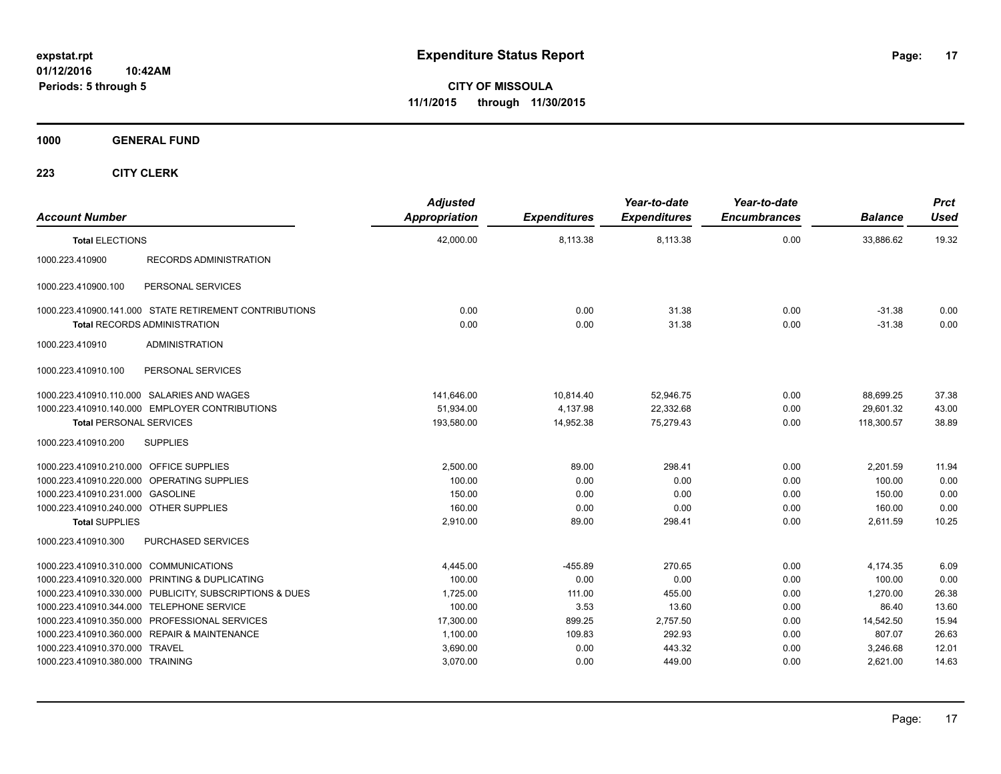**CITY OF MISSOULA 11/1/2015 through 11/30/2015**

**1000 GENERAL FUND**

| <b>Account Number</b>                   |                                                         | <b>Adjusted</b><br>Appropriation | <b>Expenditures</b> | Year-to-date<br><b>Expenditures</b> | Year-to-date<br><b>Encumbrances</b> | <b>Balance</b> | <b>Prct</b><br>Used |
|-----------------------------------------|---------------------------------------------------------|----------------------------------|---------------------|-------------------------------------|-------------------------------------|----------------|---------------------|
| <b>Total ELECTIONS</b>                  |                                                         | 42.000.00                        | 8.113.38            | 8.113.38                            | 0.00                                | 33.886.62      | 19.32               |
| 1000.223.410900                         | <b>RECORDS ADMINISTRATION</b>                           |                                  |                     |                                     |                                     |                |                     |
| 1000.223.410900.100                     | PERSONAL SERVICES                                       |                                  |                     |                                     |                                     |                |                     |
|                                         | 1000.223.410900.141.000 STATE RETIREMENT CONTRIBUTIONS  | 0.00                             | 0.00                | 31.38                               | 0.00                                | $-31.38$       | 0.00                |
|                                         | <b>Total RECORDS ADMINISTRATION</b>                     | 0.00                             | 0.00                | 31.38                               | 0.00                                | $-31.38$       | 0.00                |
| 1000.223.410910                         | <b>ADMINISTRATION</b>                                   |                                  |                     |                                     |                                     |                |                     |
| 1000.223.410910.100                     | PERSONAL SERVICES                                       |                                  |                     |                                     |                                     |                |                     |
|                                         | 1000.223.410910.110.000 SALARIES AND WAGES              | 141,646.00                       | 10,814.40           | 52,946.75                           | 0.00                                | 88,699.25      | 37.38               |
|                                         | 1000.223.410910.140.000 EMPLOYER CONTRIBUTIONS          | 51,934.00                        | 4,137.98            | 22,332.68                           | 0.00                                | 29,601.32      | 43.00               |
| <b>Total PERSONAL SERVICES</b>          |                                                         | 193,580.00                       | 14,952.38           | 75.279.43                           | 0.00                                | 118,300.57     | 38.89               |
| 1000.223.410910.200                     | <b>SUPPLIES</b>                                         |                                  |                     |                                     |                                     |                |                     |
| 1000.223.410910.210.000 OFFICE SUPPLIES |                                                         | 2,500.00                         | 89.00               | 298.41                              | 0.00                                | 2,201.59       | 11.94               |
|                                         | 1000.223.410910.220.000 OPERATING SUPPLIES              | 100.00                           | 0.00                | 0.00                                | 0.00                                | 100.00         | 0.00                |
| 1000.223.410910.231.000 GASOLINE        |                                                         | 150.00                           | 0.00                | 0.00                                | 0.00                                | 150.00         | 0.00                |
| 1000.223.410910.240.000 OTHER SUPPLIES  |                                                         | 160.00                           | 0.00                | 0.00                                | 0.00                                | 160.00         | 0.00                |
| <b>Total SUPPLIES</b>                   |                                                         | 2,910.00                         | 89.00               | 298.41                              | 0.00                                | 2,611.59       | 10.25               |
| 1000.223.410910.300                     | PURCHASED SERVICES                                      |                                  |                     |                                     |                                     |                |                     |
| 1000.223.410910.310.000 COMMUNICATIONS  |                                                         | 4,445.00                         | $-455.89$           | 270.65                              | 0.00                                | 4,174.35       | 6.09                |
|                                         | 1000.223.410910.320.000 PRINTING & DUPLICATING          | 100.00                           | 0.00                | 0.00                                | 0.00                                | 100.00         | 0.00                |
|                                         | 1000.223.410910.330.000 PUBLICITY, SUBSCRIPTIONS & DUES | 1,725.00                         | 111.00              | 455.00                              | 0.00                                | 1,270.00       | 26.38               |
|                                         | 1000.223.410910.344.000 TELEPHONE SERVICE               | 100.00                           | 3.53                | 13.60                               | 0.00                                | 86.40          | 13.60               |
|                                         | 1000.223.410910.350.000 PROFESSIONAL SERVICES           | 17,300.00                        | 899.25              | 2,757.50                            | 0.00                                | 14,542.50      | 15.94               |
|                                         | 1000.223.410910.360.000 REPAIR & MAINTENANCE            | 1,100.00                         | 109.83              | 292.93                              | 0.00                                | 807.07         | 26.63               |
| 1000.223.410910.370.000 TRAVEL          |                                                         | 3,690.00                         | 0.00                | 443.32                              | 0.00                                | 3,246.68       | 12.01               |
| 1000.223.410910.380.000 TRAINING        |                                                         | 3,070.00                         | 0.00                | 449.00                              | 0.00                                | 2,621.00       | 14.63               |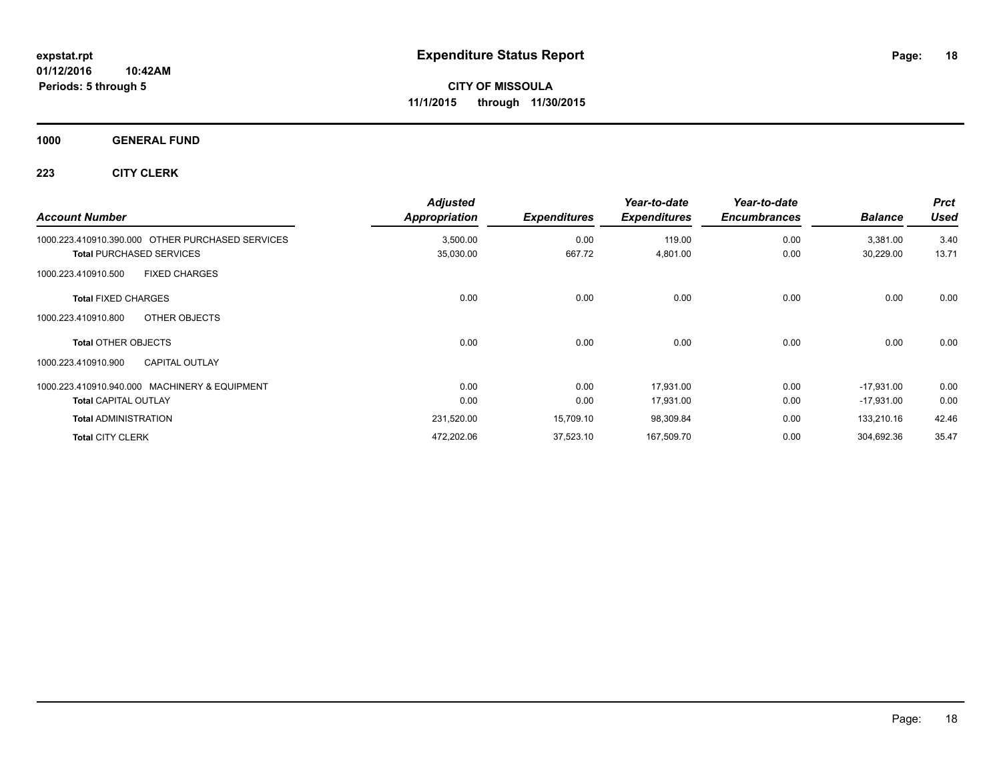#### **1000 GENERAL FUND**

| <b>Account Number</b>                            | <b>Adjusted</b><br>Appropriation | <b>Expenditures</b> | Year-to-date<br><b>Expenditures</b> | Year-to-date<br><b>Encumbrances</b> | <b>Balance</b> | <b>Prct</b><br><b>Used</b> |
|--------------------------------------------------|----------------------------------|---------------------|-------------------------------------|-------------------------------------|----------------|----------------------------|
| 1000.223.410910.390.000 OTHER PURCHASED SERVICES | 3,500.00                         | 0.00                | 119.00                              | 0.00                                | 3,381.00       | 3.40                       |
| <b>Total PURCHASED SERVICES</b>                  | 35,030.00                        | 667.72              | 4,801.00                            | 0.00                                | 30,229.00      | 13.71                      |
| <b>FIXED CHARGES</b><br>1000.223.410910.500      |                                  |                     |                                     |                                     |                |                            |
| <b>Total FIXED CHARGES</b>                       | 0.00                             | 0.00                | 0.00                                | 0.00                                | 0.00           | 0.00                       |
| OTHER OBJECTS<br>1000.223.410910.800             |                                  |                     |                                     |                                     |                |                            |
| <b>Total OTHER OBJECTS</b>                       | 0.00                             | 0.00                | 0.00                                | 0.00                                | 0.00           | 0.00                       |
| <b>CAPITAL OUTLAY</b><br>1000.223.410910.900     |                                  |                     |                                     |                                     |                |                            |
| 1000.223.410910.940.000 MACHINERY & EQUIPMENT    | 0.00                             | 0.00                | 17.931.00                           | 0.00                                | $-17.931.00$   | 0.00                       |
| <b>Total CAPITAL OUTLAY</b>                      | 0.00                             | 0.00                | 17,931.00                           | 0.00                                | $-17,931.00$   | 0.00                       |
| <b>Total ADMINISTRATION</b>                      | 231,520.00                       | 15,709.10           | 98,309.84                           | 0.00                                | 133,210.16     | 42.46                      |
| <b>Total CITY CLERK</b>                          | 472,202.06                       | 37,523.10           | 167,509.70                          | 0.00                                | 304,692.36     | 35.47                      |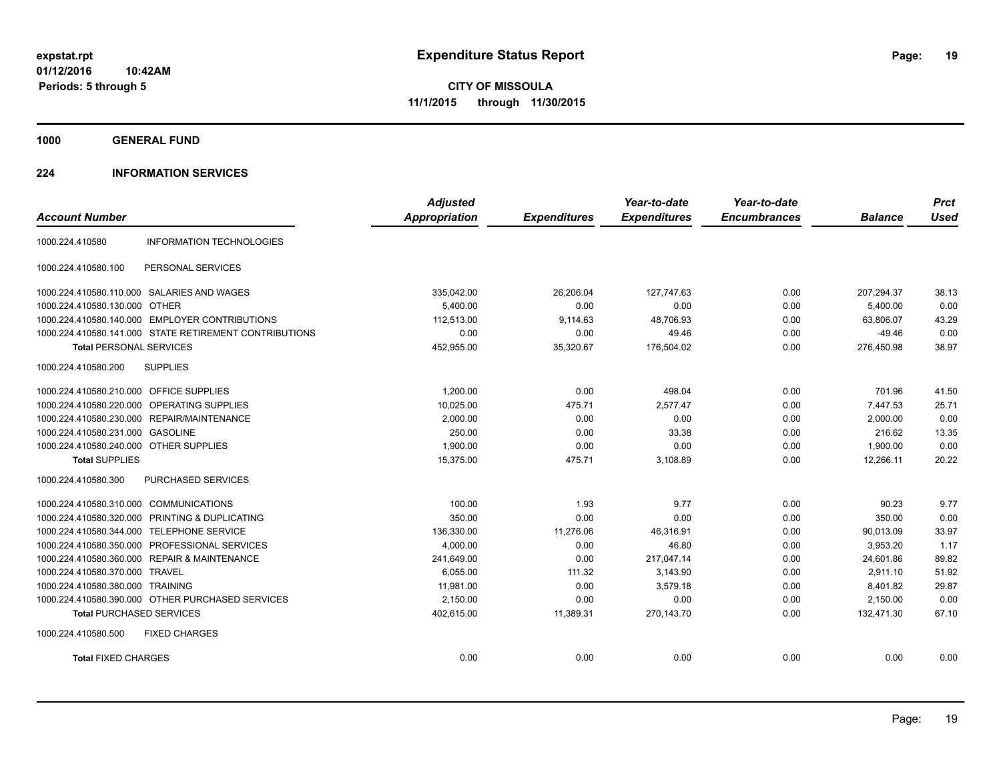**1000 GENERAL FUND**

#### **224 INFORMATION SERVICES**

|                                         |                                                        | <b>Adjusted</b>      |                     | Year-to-date        | Year-to-date        |                | <b>Prct</b> |
|-----------------------------------------|--------------------------------------------------------|----------------------|---------------------|---------------------|---------------------|----------------|-------------|
| <b>Account Number</b>                   |                                                        | <b>Appropriation</b> | <b>Expenditures</b> | <b>Expenditures</b> | <b>Encumbrances</b> | <b>Balance</b> | <b>Used</b> |
| 1000.224.410580                         | <b>INFORMATION TECHNOLOGIES</b>                        |                      |                     |                     |                     |                |             |
| 1000.224.410580.100                     | PERSONAL SERVICES                                      |                      |                     |                     |                     |                |             |
|                                         | 1000.224.410580.110.000 SALARIES AND WAGES             | 335,042.00           | 26.206.04           | 127.747.63          | 0.00                | 207,294.37     | 38.13       |
| 1000.224.410580.130.000 OTHER           |                                                        | 5.400.00             | 0.00                | 0.00                | 0.00                | 5.400.00       | 0.00        |
|                                         | 1000.224.410580.140.000 EMPLOYER CONTRIBUTIONS         | 112,513.00           | 9,114.63            | 48,706.93           | 0.00                | 63,806.07      | 43.29       |
|                                         | 1000.224.410580.141.000 STATE RETIREMENT CONTRIBUTIONS | 0.00                 | 0.00                | 49.46               | 0.00                | $-49.46$       | 0.00        |
| <b>Total PERSONAL SERVICES</b>          |                                                        | 452,955.00           | 35,320.67           | 176,504.02          | 0.00                | 276,450.98     | 38.97       |
| 1000.224.410580.200                     | <b>SUPPLIES</b>                                        |                      |                     |                     |                     |                |             |
| 1000.224.410580.210.000 OFFICE SUPPLIES |                                                        | 1,200.00             | 0.00                | 498.04              | 0.00                | 701.96         | 41.50       |
| 1000.224.410580.220.000                 | OPERATING SUPPLIES                                     | 10,025.00            | 475.71              | 2.577.47            | 0.00                | 7,447.53       | 25.71       |
|                                         | 1000.224.410580.230.000 REPAIR/MAINTENANCE             | 2,000.00             | 0.00                | 0.00                | 0.00                | 2,000.00       | 0.00        |
| 1000.224.410580.231.000 GASOLINE        |                                                        | 250.00               | 0.00                | 33.38               | 0.00                | 216.62         | 13.35       |
| 1000.224.410580.240.000 OTHER SUPPLIES  |                                                        | 1,900.00             | 0.00                | 0.00                | 0.00                | 1.900.00       | 0.00        |
| <b>Total SUPPLIES</b>                   |                                                        | 15,375.00            | 475.71              | 3,108.89            | 0.00                | 12,266.11      | 20.22       |
| 1000.224.410580.300                     | PURCHASED SERVICES                                     |                      |                     |                     |                     |                |             |
| 1000.224.410580.310.000                 | <b>COMMUNICATIONS</b>                                  | 100.00               | 1.93                | 9.77                | 0.00                | 90.23          | 9.77        |
| 1000.224.410580.320.000                 | PRINTING & DUPLICATING                                 | 350.00               | 0.00                | 0.00                | 0.00                | 350.00         | 0.00        |
| 1000.224.410580.344.000                 | <b>TELEPHONE SERVICE</b>                               | 136,330.00           | 11,276.06           | 46,316.91           | 0.00                | 90,013.09      | 33.97       |
| 1000.224.410580.350.000                 | PROFESSIONAL SERVICES                                  | 4,000.00             | 0.00                | 46.80               | 0.00                | 3,953.20       | 1.17        |
|                                         | 1000.224.410580.360.000 REPAIR & MAINTENANCE           | 241,649.00           | 0.00                | 217,047.14          | 0.00                | 24,601.86      | 89.82       |
| 1000.224.410580.370.000 TRAVEL          |                                                        | 6,055.00             | 111.32              | 3,143.90            | 0.00                | 2.911.10       | 51.92       |
| 1000.224.410580.380.000 TRAINING        |                                                        | 11.981.00            | 0.00                | 3.579.18            | 0.00                | 8.401.82       | 29.87       |
|                                         | 1000.224.410580.390.000 OTHER PURCHASED SERVICES       | 2,150.00             | 0.00                | 0.00                | 0.00                | 2,150.00       | 0.00        |
| <b>Total PURCHASED SERVICES</b>         |                                                        | 402,615.00           | 11,389.31           | 270,143.70          | 0.00                | 132,471.30     | 67.10       |
| 1000.224.410580.500                     | <b>FIXED CHARGES</b>                                   |                      |                     |                     |                     |                |             |
| <b>Total FIXED CHARGES</b>              |                                                        | 0.00                 | 0.00                | 0.00                | 0.00                | 0.00           | 0.00        |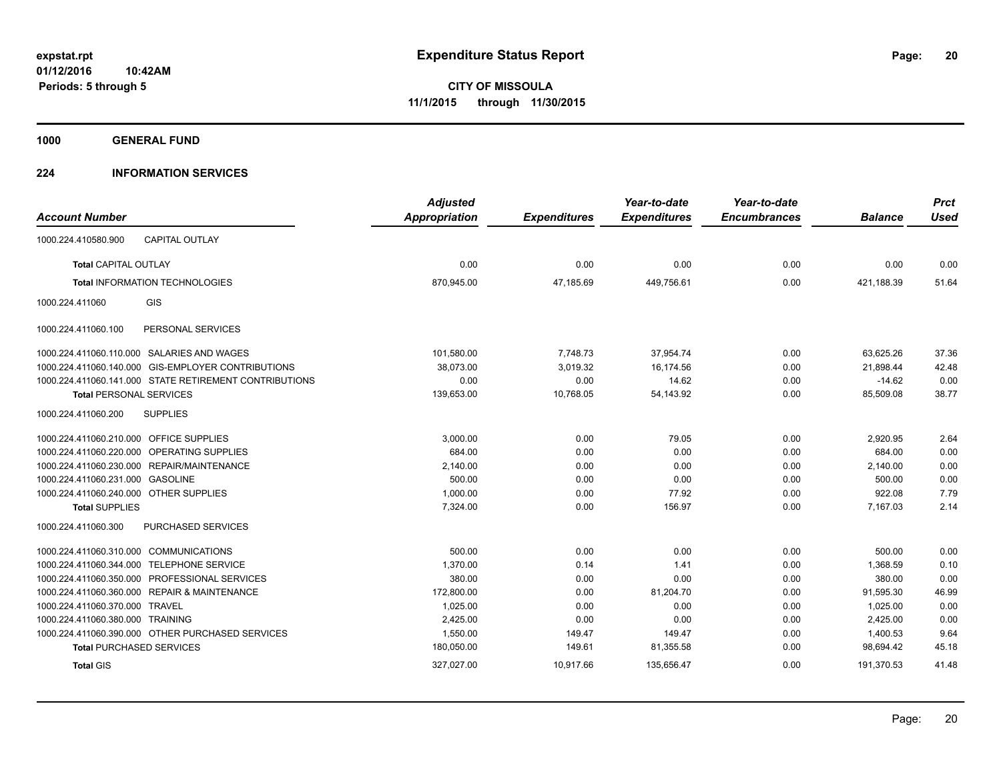**1000 GENERAL FUND**

#### **224 INFORMATION SERVICES**

| <b>Account Number</b>                   |                                                        | <b>Adjusted</b><br>Appropriation | <b>Expenditures</b> | Year-to-date<br><b>Expenditures</b> | Year-to-date<br><b>Encumbrances</b> | <b>Balance</b> | <b>Prct</b><br><b>Used</b> |
|-----------------------------------------|--------------------------------------------------------|----------------------------------|---------------------|-------------------------------------|-------------------------------------|----------------|----------------------------|
|                                         |                                                        |                                  |                     |                                     |                                     |                |                            |
| 1000.224.410580.900                     | <b>CAPITAL OUTLAY</b>                                  |                                  |                     |                                     |                                     |                |                            |
| Total CAPITAL OUTLAY                    |                                                        | 0.00                             | 0.00                | 0.00                                | 0.00                                | 0.00           | 0.00                       |
|                                         | <b>Total INFORMATION TECHNOLOGIES</b>                  | 870,945.00                       | 47,185.69           | 449.756.61                          | 0.00                                | 421.188.39     | 51.64                      |
| 1000.224.411060                         | <b>GIS</b>                                             |                                  |                     |                                     |                                     |                |                            |
| 1000.224.411060.100                     | PERSONAL SERVICES                                      |                                  |                     |                                     |                                     |                |                            |
|                                         | 1000.224.411060.110.000 SALARIES AND WAGES             | 101,580.00                       | 7,748.73            | 37,954.74                           | 0.00                                | 63,625.26      | 37.36                      |
|                                         | 1000.224.411060.140.000 GIS-EMPLOYER CONTRIBUTIONS     | 38,073.00                        | 3,019.32            | 16,174.56                           | 0.00                                | 21,898.44      | 42.48                      |
|                                         | 1000.224.411060.141.000 STATE RETIREMENT CONTRIBUTIONS | 0.00                             | 0.00                | 14.62                               | 0.00                                | $-14.62$       | 0.00                       |
| <b>Total PERSONAL SERVICES</b>          |                                                        | 139,653.00                       | 10,768.05           | 54,143.92                           | 0.00                                | 85,509.08      | 38.77                      |
| 1000.224.411060.200                     | <b>SUPPLIES</b>                                        |                                  |                     |                                     |                                     |                |                            |
| 1000.224.411060.210.000 OFFICE SUPPLIES |                                                        | 3,000.00                         | 0.00                | 79.05                               | 0.00                                | 2,920.95       | 2.64                       |
|                                         | 1000.224.411060.220.000 OPERATING SUPPLIES             | 684.00                           | 0.00                | 0.00                                | 0.00                                | 684.00         | 0.00                       |
|                                         | 1000.224.411060.230.000 REPAIR/MAINTENANCE             | 2,140.00                         | 0.00                | 0.00                                | 0.00                                | 2,140.00       | 0.00                       |
| 1000.224.411060.231.000 GASOLINE        |                                                        | 500.00                           | 0.00                | 0.00                                | 0.00                                | 500.00         | 0.00                       |
| 1000.224.411060.240.000 OTHER SUPPLIES  |                                                        | 1,000.00                         | 0.00                | 77.92                               | 0.00                                | 922.08         | 7.79                       |
| <b>Total SUPPLIES</b>                   |                                                        | 7.324.00                         | 0.00                | 156.97                              | 0.00                                | 7.167.03       | 2.14                       |
| 1000.224.411060.300                     | PURCHASED SERVICES                                     |                                  |                     |                                     |                                     |                |                            |
| 1000.224.411060.310.000 COMMUNICATIONS  |                                                        | 500.00                           | 0.00                | 0.00                                | 0.00                                | 500.00         | 0.00                       |
| 1000.224.411060.344.000                 | <b>TELEPHONE SERVICE</b>                               | 1,370.00                         | 0.14                | 1.41                                | 0.00                                | 1.368.59       | 0.10                       |
|                                         | 1000.224.411060.350.000 PROFESSIONAL SERVICES          | 380.00                           | 0.00                | 0.00                                | 0.00                                | 380.00         | 0.00                       |
|                                         | 1000.224.411060.360.000 REPAIR & MAINTENANCE           | 172,800.00                       | 0.00                | 81,204.70                           | 0.00                                | 91,595.30      | 46.99                      |
| 1000.224.411060.370.000 TRAVEL          |                                                        | 1,025.00                         | 0.00                | 0.00                                | 0.00                                | 1,025.00       | 0.00                       |
| 1000.224.411060.380.000 TRAINING        |                                                        | 2.425.00                         | 0.00                | 0.00                                | 0.00                                | 2.425.00       | 0.00                       |
|                                         | 1000.224.411060.390.000 OTHER PURCHASED SERVICES       | 1,550.00                         | 149.47              | 149.47                              | 0.00                                | 1,400.53       | 9.64                       |
|                                         | <b>Total PURCHASED SERVICES</b>                        | 180,050.00                       | 149.61              | 81,355.58                           | 0.00                                | 98,694.42      | 45.18                      |
| <b>Total GIS</b>                        |                                                        | 327,027.00                       | 10,917.66           | 135,656.47                          | 0.00                                | 191,370.53     | 41.48                      |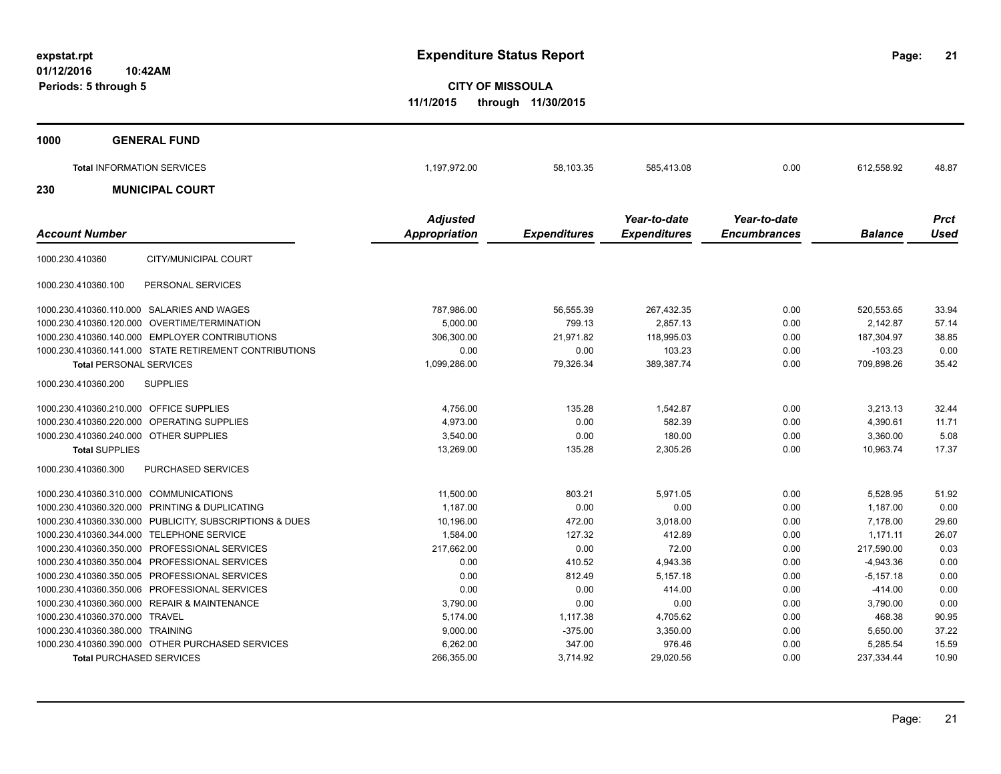**21**

**CITY OF MISSOULA 11/1/2015 through 11/30/2015**

| <b>GENERAL FUND</b><br>1000                               |                 |                     |                     |                     |                |             |
|-----------------------------------------------------------|-----------------|---------------------|---------------------|---------------------|----------------|-------------|
| <b>Total INFORMATION SERVICES</b>                         | 1,197,972.00    | 58,103.35           | 585,413.08          | 0.00                | 612,558.92     | 48.87       |
| <b>MUNICIPAL COURT</b><br>230                             |                 |                     |                     |                     |                |             |
|                                                           | <b>Adjusted</b> |                     | Year-to-date        | Year-to-date        |                | <b>Prct</b> |
| <b>Account Number</b>                                     | Appropriation   | <b>Expenditures</b> | <b>Expenditures</b> | <b>Encumbrances</b> | <b>Balance</b> | <b>Used</b> |
| CITY/MUNICIPAL COURT<br>1000.230.410360                   |                 |                     |                     |                     |                |             |
| 1000.230.410360.100<br>PERSONAL SERVICES                  |                 |                     |                     |                     |                |             |
| 1000.230.410360.110.000<br>SALARIES AND WAGES             | 787,986.00      | 56,555.39           | 267,432.35          | 0.00                | 520,553.65     | 33.94       |
| OVERTIME/TERMINATION<br>1000.230.410360.120.000           | 5,000.00        | 799.13              | 2,857.13            | 0.00                | 2,142.87       | 57.14       |
| <b>EMPLOYER CONTRIBUTIONS</b><br>1000.230.410360.140.000  | 306,300.00      | 21,971.82           | 118,995.03          | 0.00                | 187,304.97     | 38.85       |
| 1000.230.410360.141.000<br>STATE RETIREMENT CONTRIBUTIONS | 0.00            | 0.00                | 103.23              | 0.00                | $-103.23$      | 0.00        |
| <b>Total PERSONAL SERVICES</b>                            | 1,099,286.00    | 79,326.34           | 389,387.74          | 0.00                | 709,898.26     | 35.42       |
| 1000.230.410360.200<br><b>SUPPLIES</b>                    |                 |                     |                     |                     |                |             |
| 1000.230.410360.210.000<br>OFFICE SUPPLIES                | 4,756.00        | 135.28              | 1,542.87            | 0.00                | 3,213.13       | 32.44       |
| 1000.230.410360.220.000<br><b>OPERATING SUPPLIES</b>      | 4,973.00        | 0.00                | 582.39              | 0.00                | 4,390.61       | 11.71       |
| <b>OTHER SUPPLIES</b><br>1000.230.410360.240.000          | 3,540.00        | 0.00                | 180.00              | 0.00                | 3.360.00       | 5.08        |
| <b>Total SUPPLIES</b>                                     | 13,269.00       | 135.28              | 2,305.26            | 0.00                | 10.963.74      | 17.37       |

| 1000.230.410360.300                       | PURCHASED SERVICES                                      |            |           |           |      |             |       |
|-------------------------------------------|---------------------------------------------------------|------------|-----------|-----------|------|-------------|-------|
| 1000.230.410360.310.000 COMMUNICATIONS    |                                                         | 11.500.00  | 803.21    | 5.971.05  | 0.00 | 5.528.95    | 51.92 |
|                                           | 1000.230.410360.320.000 PRINTING & DUPLICATING          | 1.187.00   | 0.00      | 0.00      | 0.00 | 1.187.00    | 0.00  |
|                                           | 1000.230.410360.330.000 PUBLICITY, SUBSCRIPTIONS & DUES | 10,196.00  | 472.00    | 3.018.00  | 0.00 | 7.178.00    | 29.60 |
| 1000.230.410360.344.000 TELEPHONE SERVICE |                                                         | 1.584.00   | 127.32    | 412.89    | 0.00 | 1.171.11    | 26.07 |
|                                           | 1000.230.410360.350.000 PROFESSIONAL SERVICES           | 217.662.00 | 0.00      | 72.00     | 0.00 | 217.590.00  | 0.03  |
|                                           | 1000.230.410360.350.004 PROFESSIONAL SERVICES           | 0.00       | 410.52    | 4.943.36  | 0.00 | -4.943.36   | 0.00  |
|                                           | 1000.230.410360.350.005 PROFESSIONAL SERVICES           | 0.00       | 812.49    | 5.157.18  | 0.00 | $-5.157.18$ | 0.00  |
|                                           | 1000.230.410360.350.006 PROFESSIONAL SERVICES           | 0.00       | 0.00      | 414.00    | 0.00 | $-414.00$   | 0.00  |
|                                           | 1000.230.410360.360.000 REPAIR & MAINTENANCE            | 3.790.00   | 0.00      | 0.00      | 0.00 | 3,790.00    | 0.00  |
| 1000.230.410360.370.000 TRAVEL            |                                                         | 5.174.00   | 1.117.38  | 4.705.62  | 0.00 | 468.38      | 90.95 |
| 1000.230.410360.380.000 TRAINING          |                                                         | 9.000.00   | $-375.00$ | 3.350.00  | 0.00 | 5.650.00    | 37.22 |
|                                           | 1000.230.410360.390.000 OTHER PURCHASED SERVICES        | 6.262.00   | 347.00    | 976.46    | 0.00 | 5.285.54    | 15.59 |
| <b>Total PURCHASED SERVICES</b>           |                                                         | 266.355.00 | 3.714.92  | 29.020.56 | 0.00 | 237.334.44  | 10.90 |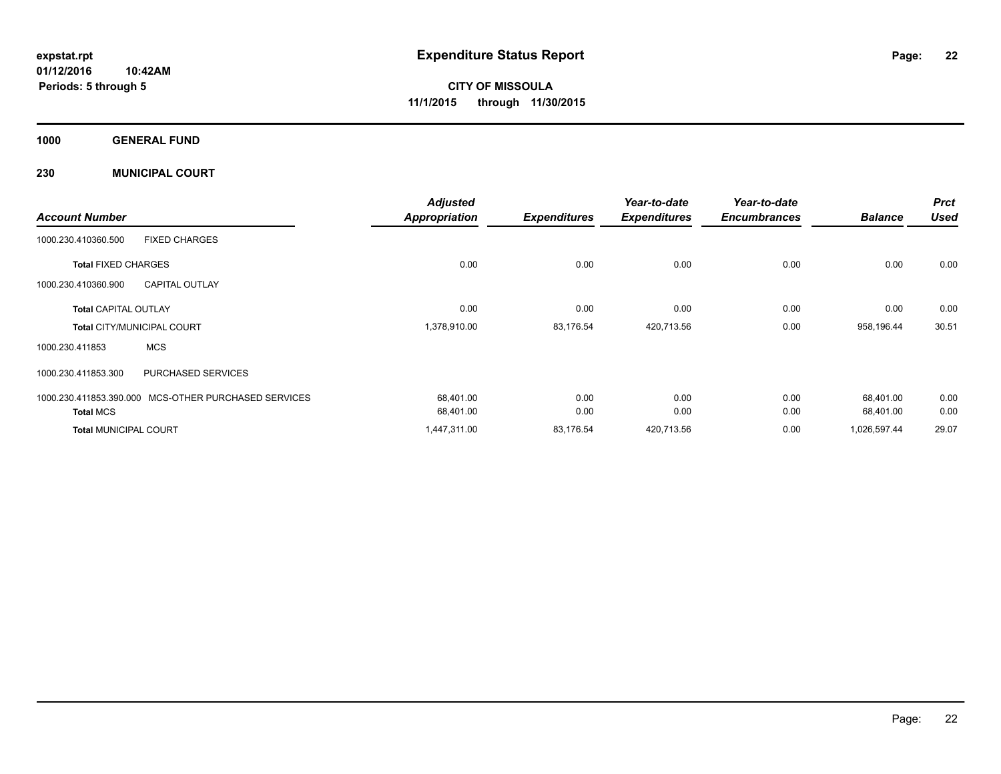**Periods: 5 through 5**

**CITY OF MISSOULA 11/1/2015 through 11/30/2015**

**1000 GENERAL FUND**

**230 MUNICIPAL COURT**

**10:42AM**

|                                   |                                                      | <b>Adjusted</b>      |                     | Year-to-date        | Year-to-date        |                | <b>Prct</b> |
|-----------------------------------|------------------------------------------------------|----------------------|---------------------|---------------------|---------------------|----------------|-------------|
| <b>Account Number</b>             |                                                      | <b>Appropriation</b> | <b>Expenditures</b> | <b>Expenditures</b> | <b>Encumbrances</b> | <b>Balance</b> | <b>Used</b> |
| 1000.230.410360.500               | <b>FIXED CHARGES</b>                                 |                      |                     |                     |                     |                |             |
| <b>Total FIXED CHARGES</b>        |                                                      | 0.00                 | 0.00                | 0.00                | 0.00                | 0.00           | 0.00        |
| 1000.230.410360.900               | <b>CAPITAL OUTLAY</b>                                |                      |                     |                     |                     |                |             |
| <b>Total CAPITAL OUTLAY</b>       |                                                      | 0.00                 | 0.00                | 0.00                | 0.00                | 0.00           | 0.00        |
| <b>Total CITY/MUNICIPAL COURT</b> |                                                      | 1,378,910.00         | 83,176.54           | 420,713.56          | 0.00                | 958,196.44     | 30.51       |
| 1000.230.411853                   | <b>MCS</b>                                           |                      |                     |                     |                     |                |             |
| 1000.230.411853.300               | <b>PURCHASED SERVICES</b>                            |                      |                     |                     |                     |                |             |
|                                   | 1000.230.411853.390.000 MCS-OTHER PURCHASED SERVICES | 68,401.00            | 0.00                | 0.00                | 0.00                | 68,401.00      | 0.00        |
| <b>Total MCS</b>                  |                                                      | 68,401.00            | 0.00                | 0.00                | 0.00                | 68,401.00      | 0.00        |
| <b>Total MUNICIPAL COURT</b>      |                                                      | 1,447,311.00         | 83,176.54           | 420,713.56          | 0.00                | 1,026,597.44   | 29.07       |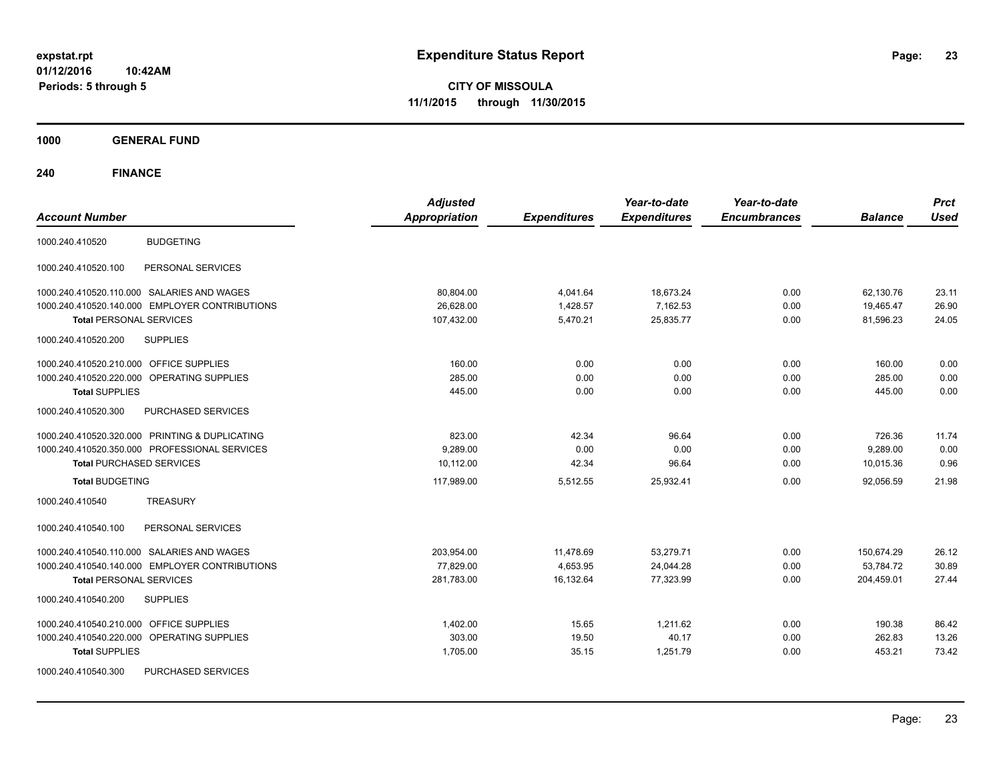**CITY OF MISSOULA 11/1/2015 through 11/30/2015**

**1000 GENERAL FUND**

| <b>Account Number</b>                             | <b>Adjusted</b><br><b>Appropriation</b> | <b>Expenditures</b> | Year-to-date<br><b>Expenditures</b> | Year-to-date<br><b>Encumbrances</b> | <b>Balance</b> | <b>Prct</b><br><b>Used</b> |
|---------------------------------------------------|-----------------------------------------|---------------------|-------------------------------------|-------------------------------------|----------------|----------------------------|
| <b>BUDGETING</b><br>1000.240.410520               |                                         |                     |                                     |                                     |                |                            |
| 1000.240.410520.100<br>PERSONAL SERVICES          |                                         |                     |                                     |                                     |                |                            |
| 1000.240.410520.110.000 SALARIES AND WAGES        | 80,804.00                               | 4,041.64            | 18,673.24                           | 0.00                                | 62,130.76      | 23.11                      |
| 1000.240.410520.140.000 EMPLOYER CONTRIBUTIONS    | 26,628.00                               | 1,428.57            | 7,162.53                            | 0.00                                | 19,465.47      | 26.90                      |
| <b>Total PERSONAL SERVICES</b>                    | 107,432.00                              | 5,470.21            | 25,835.77                           | 0.00                                | 81,596.23      | 24.05                      |
| 1000.240.410520.200<br><b>SUPPLIES</b>            |                                         |                     |                                     |                                     |                |                            |
| 1000.240.410520.210.000 OFFICE SUPPLIES           | 160.00                                  | 0.00                | 0.00                                | 0.00                                | 160.00         | 0.00                       |
| 1000.240.410520.220.000<br>OPERATING SUPPLIES     | 285.00                                  | 0.00                | 0.00                                | 0.00                                | 285.00         | 0.00                       |
| <b>Total SUPPLIES</b>                             | 445.00                                  | 0.00                | 0.00                                | 0.00                                | 445.00         | 0.00                       |
| 1000.240.410520.300<br>PURCHASED SERVICES         |                                         |                     |                                     |                                     |                |                            |
| 1000.240.410520.320.000 PRINTING & DUPLICATING    | 823.00                                  | 42.34               | 96.64                               | 0.00                                | 726.36         | 11.74                      |
| 1000.240.410520.350.000 PROFESSIONAL SERVICES     | 9,289.00                                | 0.00                | 0.00                                | 0.00                                | 9,289.00       | 0.00                       |
| <b>Total PURCHASED SERVICES</b>                   | 10.112.00                               | 42.34               | 96.64                               | 0.00                                | 10,015.36      | 0.96                       |
| <b>Total BUDGETING</b>                            | 117,989.00                              | 5,512.55            | 25,932.41                           | 0.00                                | 92,056.59      | 21.98                      |
| <b>TREASURY</b><br>1000.240.410540                |                                         |                     |                                     |                                     |                |                            |
| PERSONAL SERVICES<br>1000.240.410540.100          |                                         |                     |                                     |                                     |                |                            |
| 1000.240.410540.110.000 SALARIES AND WAGES        | 203,954.00                              | 11,478.69           | 53,279.71                           | 0.00                                | 150,674.29     | 26.12                      |
| 1000.240.410540.140.000 EMPLOYER CONTRIBUTIONS    | 77,829.00                               | 4,653.95            | 24,044.28                           | 0.00                                | 53,784.72      | 30.89                      |
| <b>Total PERSONAL SERVICES</b>                    | 281,783.00                              | 16,132.64           | 77,323.99                           | 0.00                                | 204,459.01     | 27.44                      |
| 1000.240.410540.200<br><b>SUPPLIES</b>            |                                         |                     |                                     |                                     |                |                            |
| 1000.240.410540.210.000<br><b>OFFICE SUPPLIES</b> | 1,402.00                                | 15.65               | 1,211.62                            | 0.00                                | 190.38         | 86.42                      |
| 1000.240.410540.220.000 OPERATING SUPPLIES        | 303.00                                  | 19.50               | 40.17                               | 0.00                                | 262.83         | 13.26                      |
| <b>Total SUPPLIES</b>                             | 1,705.00                                | 35.15               | 1,251.79                            | 0.00                                | 453.21         | 73.42                      |
| PURCHASED SERVICES<br>1000.240.410540.300         |                                         |                     |                                     |                                     |                |                            |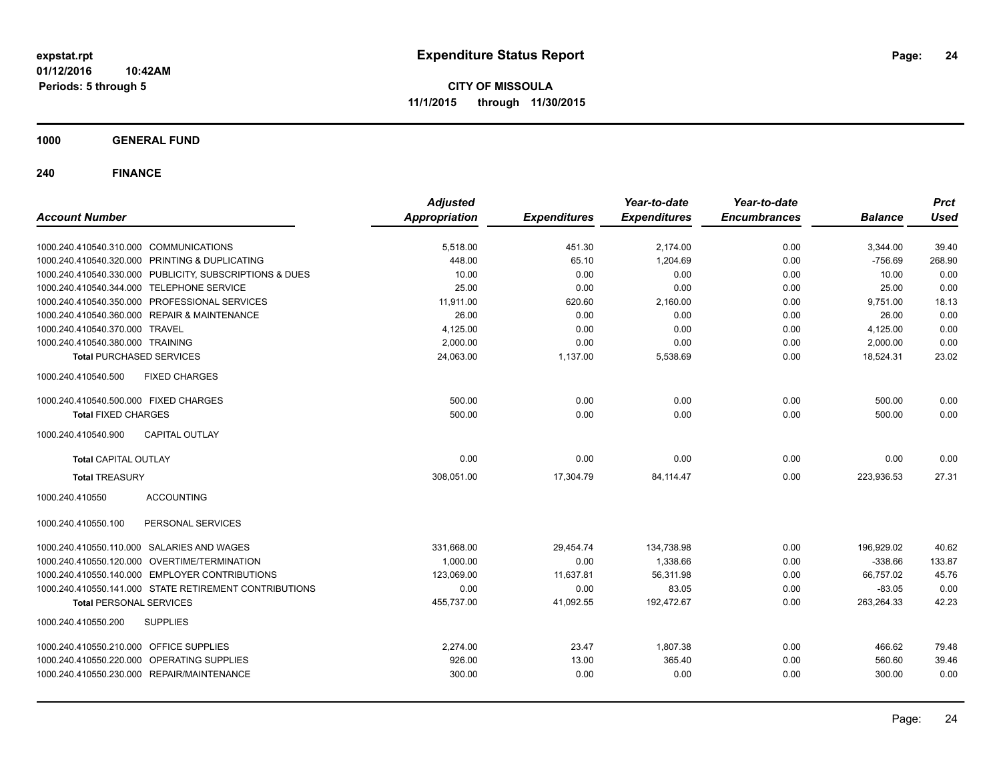**CITY OF MISSOULA 11/1/2015 through 11/30/2015**

**1000 GENERAL FUND**

| <b>Account Number</b>                        |                                                         | <b>Adjusted</b><br><b>Appropriation</b> | <b>Expenditures</b> | Year-to-date<br><b>Expenditures</b> | Year-to-date<br><b>Encumbrances</b> | <b>Balance</b> | <b>Prct</b><br><b>Used</b> |
|----------------------------------------------|---------------------------------------------------------|-----------------------------------------|---------------------|-------------------------------------|-------------------------------------|----------------|----------------------------|
|                                              |                                                         |                                         |                     |                                     |                                     |                |                            |
| 1000.240.410540.310.000 COMMUNICATIONS       |                                                         | 5,518.00                                | 451.30              | 2,174.00                            | 0.00                                | 3,344.00       | 39.40                      |
|                                              | 1000.240.410540.320.000 PRINTING & DUPLICATING          | 448.00                                  | 65.10               | 1,204.69                            | 0.00                                | $-756.69$      | 268.90                     |
|                                              | 1000.240.410540.330.000 PUBLICITY, SUBSCRIPTIONS & DUES | 10.00                                   | 0.00                | 0.00                                | 0.00                                | 10.00          | 0.00                       |
| 1000.240.410540.344.000 TELEPHONE SERVICE    |                                                         | 25.00                                   | 0.00                | 0.00                                | 0.00                                | 25.00          | 0.00                       |
|                                              | 1000.240.410540.350.000 PROFESSIONAL SERVICES           | 11,911.00                               | 620.60              | 2,160.00                            | 0.00                                | 9,751.00       | 18.13                      |
| 1000.240.410540.360.000 REPAIR & MAINTENANCE |                                                         | 26.00                                   | 0.00                | 0.00                                | 0.00                                | 26.00          | 0.00                       |
| 1000.240.410540.370.000 TRAVEL               |                                                         | 4,125.00                                | 0.00                | 0.00                                | 0.00                                | 4,125.00       | 0.00                       |
| 1000.240.410540.380.000 TRAINING             |                                                         | 2,000.00                                | 0.00                | 0.00                                | 0.00                                | 2,000.00       | 0.00                       |
| <b>Total PURCHASED SERVICES</b>              |                                                         | 24,063.00                               | 1,137.00            | 5,538.69                            | 0.00                                | 18,524.31      | 23.02                      |
| 1000.240.410540.500                          | <b>FIXED CHARGES</b>                                    |                                         |                     |                                     |                                     |                |                            |
| 1000.240.410540.500.000 FIXED CHARGES        |                                                         | 500.00                                  | 0.00                | 0.00                                | 0.00                                | 500.00         | 0.00                       |
| <b>Total FIXED CHARGES</b>                   |                                                         | 500.00                                  | 0.00                | 0.00                                | 0.00                                | 500.00         | 0.00                       |
| 1000.240.410540.900                          | <b>CAPITAL OUTLAY</b>                                   |                                         |                     |                                     |                                     |                |                            |
| <b>Total CAPITAL OUTLAY</b>                  |                                                         | 0.00                                    | 0.00                | 0.00                                | 0.00                                | 0.00           | 0.00                       |
| <b>Total TREASURY</b>                        |                                                         | 308,051.00                              | 17,304.79           | 84,114.47                           | 0.00                                | 223,936.53     | 27.31                      |
| 1000.240.410550                              | <b>ACCOUNTING</b>                                       |                                         |                     |                                     |                                     |                |                            |
| 1000.240.410550.100                          | PERSONAL SERVICES                                       |                                         |                     |                                     |                                     |                |                            |
| 1000.240.410550.110.000 SALARIES AND WAGES   |                                                         | 331,668.00                              | 29,454.74           | 134,738.98                          | 0.00                                | 196,929.02     | 40.62                      |
|                                              | 1000.240.410550.120.000 OVERTIME/TERMINATION            | 1,000.00                                | 0.00                | 1,338.66                            | 0.00                                | $-338.66$      | 133.87                     |
|                                              | 1000.240.410550.140.000 EMPLOYER CONTRIBUTIONS          | 123,069.00                              | 11,637.81           | 56,311.98                           | 0.00                                | 66,757.02      | 45.76                      |
|                                              | 1000.240.410550.141.000 STATE RETIREMENT CONTRIBUTIONS  | 0.00                                    | 0.00                | 83.05                               | 0.00                                | $-83.05$       | 0.00                       |
| <b>Total PERSONAL SERVICES</b>               |                                                         | 455,737.00                              | 41,092.55           | 192,472.67                          | 0.00                                | 263,264.33     | 42.23                      |
| 1000.240.410550.200                          | <b>SUPPLIES</b>                                         |                                         |                     |                                     |                                     |                |                            |
| 1000.240.410550.210.000                      | OFFICE SUPPLIES                                         | 2,274.00                                | 23.47               | 1,807.38                            | 0.00                                | 466.62         | 79.48                      |
| 1000.240.410550.220.000                      | OPERATING SUPPLIES                                      | 926.00                                  | 13.00               | 365.40                              | 0.00                                | 560.60         | 39.46                      |
| 1000.240.410550.230.000 REPAIR/MAINTENANCE   |                                                         | 300.00                                  | 0.00                | 0.00                                | 0.00                                | 300.00         | 0.00                       |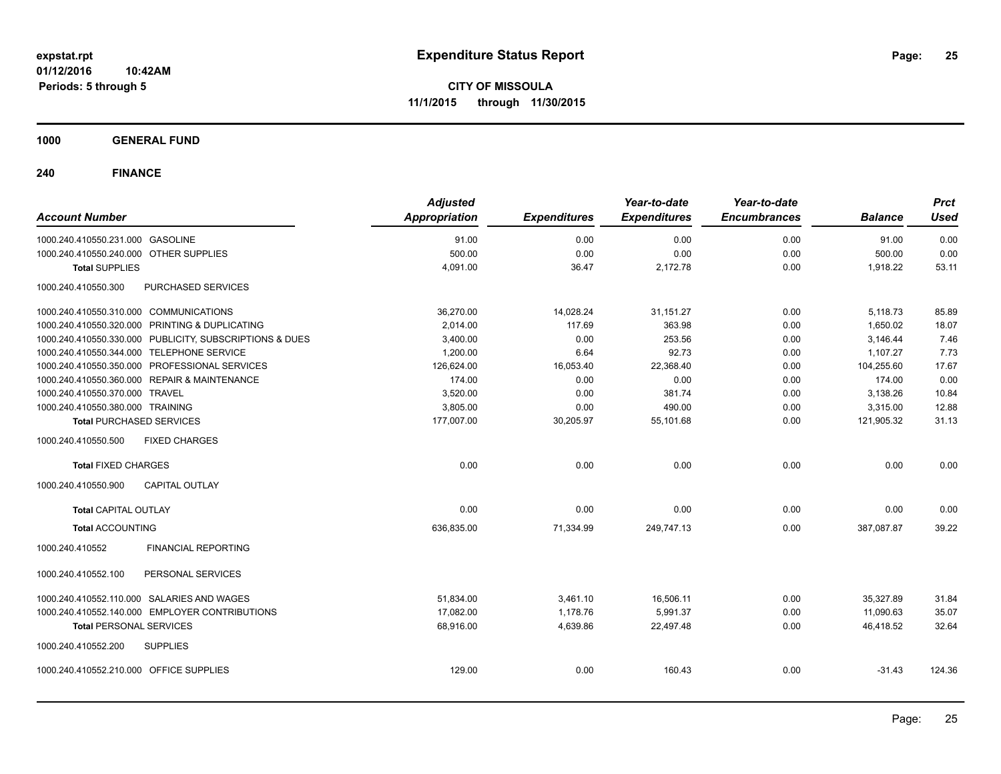**CITY OF MISSOULA 11/1/2015 through 11/30/2015**

**1000 GENERAL FUND**

| <b>Account Number</b>                     |                                                         | <b>Adjusted</b><br><b>Appropriation</b> | <b>Expenditures</b> | Year-to-date<br><b>Expenditures</b> | Year-to-date<br><b>Encumbrances</b> | <b>Balance</b> | <b>Prct</b><br><b>Used</b> |
|-------------------------------------------|---------------------------------------------------------|-----------------------------------------|---------------------|-------------------------------------|-------------------------------------|----------------|----------------------------|
| 1000.240.410550.231.000 GASOLINE          |                                                         | 91.00                                   | 0.00                | 0.00                                | 0.00                                | 91.00          | 0.00                       |
| 1000.240.410550.240.000 OTHER SUPPLIES    |                                                         | 500.00                                  | 0.00                | 0.00                                | 0.00                                | 500.00         | 0.00                       |
| <b>Total SUPPLIES</b>                     |                                                         | 4,091.00                                | 36.47               | 2,172.78                            | 0.00                                | 1,918.22       | 53.11                      |
| 1000.240.410550.300                       | PURCHASED SERVICES                                      |                                         |                     |                                     |                                     |                |                            |
| 1000.240.410550.310.000 COMMUNICATIONS    |                                                         | 36,270.00                               | 14,028.24           | 31,151.27                           | 0.00                                | 5,118.73       | 85.89                      |
|                                           | 1000.240.410550.320.000 PRINTING & DUPLICATING          | 2,014.00                                | 117.69              | 363.98                              | 0.00                                | 1,650.02       | 18.07                      |
|                                           | 1000.240.410550.330.000 PUBLICITY, SUBSCRIPTIONS & DUES | 3,400.00                                | 0.00                | 253.56                              | 0.00                                | 3,146.44       | 7.46                       |
| 1000.240.410550.344.000 TELEPHONE SERVICE |                                                         | 1,200.00                                | 6.64                | 92.73                               | 0.00                                | 1,107.27       | 7.73                       |
|                                           | 1000.240.410550.350.000 PROFESSIONAL SERVICES           | 126,624.00                              | 16,053.40           | 22,368.40                           | 0.00                                | 104,255.60     | 17.67                      |
|                                           | 1000.240.410550.360.000 REPAIR & MAINTENANCE            | 174.00                                  | 0.00                | 0.00                                | 0.00                                | 174.00         | 0.00                       |
| 1000.240.410550.370.000 TRAVEL            |                                                         | 3,520.00                                | 0.00                | 381.74                              | 0.00                                | 3,138.26       | 10.84                      |
| 1000.240.410550.380.000 TRAINING          |                                                         | 3,805.00                                | 0.00                | 490.00                              | 0.00                                | 3,315.00       | 12.88                      |
| <b>Total PURCHASED SERVICES</b>           |                                                         | 177,007.00                              | 30,205.97           | 55,101.68                           | 0.00                                | 121,905.32     | 31.13                      |
| 1000.240.410550.500                       | <b>FIXED CHARGES</b>                                    |                                         |                     |                                     |                                     |                |                            |
| <b>Total FIXED CHARGES</b>                |                                                         | 0.00                                    | 0.00                | 0.00                                | 0.00                                | 0.00           | 0.00                       |
| 1000.240.410550.900                       | <b>CAPITAL OUTLAY</b>                                   |                                         |                     |                                     |                                     |                |                            |
| <b>Total CAPITAL OUTLAY</b>               |                                                         | 0.00                                    | 0.00                | 0.00                                | 0.00                                | 0.00           | 0.00                       |
| <b>Total ACCOUNTING</b>                   |                                                         | 636,835.00                              | 71,334.99           | 249,747.13                          | 0.00                                | 387,087.87     | 39.22                      |
| 1000.240.410552                           | <b>FINANCIAL REPORTING</b>                              |                                         |                     |                                     |                                     |                |                            |
| 1000.240.410552.100                       | PERSONAL SERVICES                                       |                                         |                     |                                     |                                     |                |                            |
|                                           | 1000.240.410552.110.000 SALARIES AND WAGES              | 51,834.00                               | 3,461.10            | 16,506.11                           | 0.00                                | 35,327.89      | 31.84                      |
|                                           | 1000.240.410552.140.000 EMPLOYER CONTRIBUTIONS          | 17,082.00                               | 1,178.76            | 5,991.37                            | 0.00                                | 11,090.63      | 35.07                      |
| <b>Total PERSONAL SERVICES</b>            |                                                         | 68,916.00                               | 4,639.86            | 22,497.48                           | 0.00                                | 46.418.52      | 32.64                      |
| 1000.240.410552.200                       | <b>SUPPLIES</b>                                         |                                         |                     |                                     |                                     |                |                            |
| 1000.240.410552.210.000 OFFICE SUPPLIES   |                                                         | 129.00                                  | 0.00                | 160.43                              | 0.00                                | $-31.43$       | 124.36                     |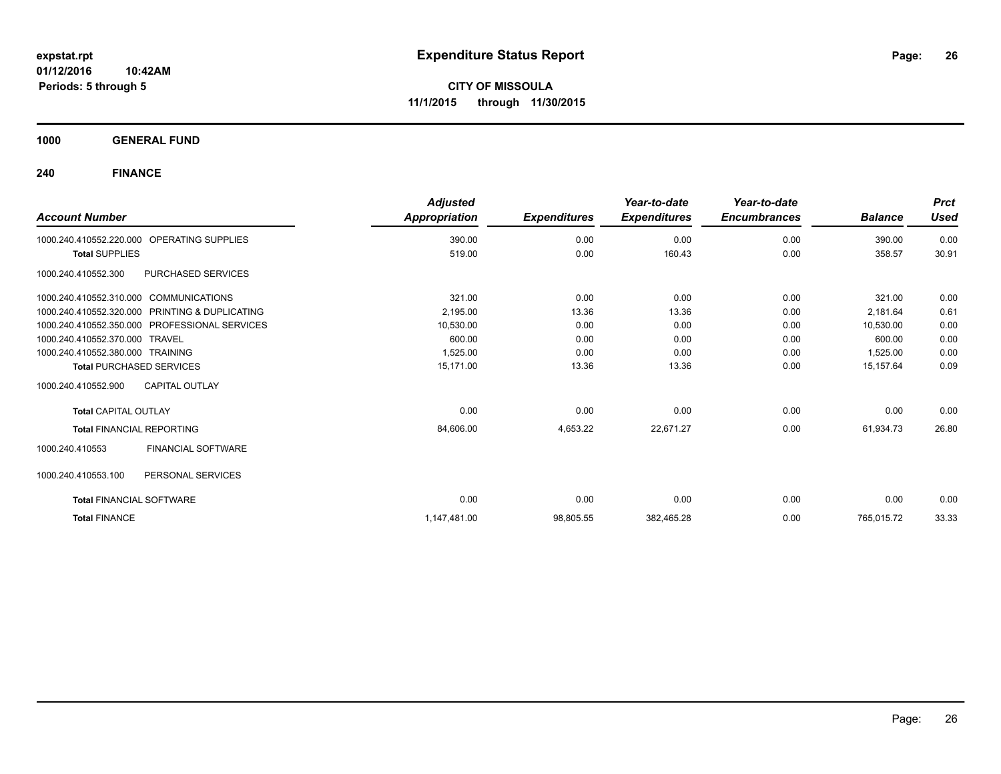**1000 GENERAL FUND**

| <b>Account Number</b>                  |                                               | <b>Adjusted</b><br>Appropriation | <b>Expenditures</b> | Year-to-date<br><b>Expenditures</b> | Year-to-date<br><b>Encumbrances</b> | <b>Balance</b> | <b>Prct</b><br><b>Used</b> |
|----------------------------------------|-----------------------------------------------|----------------------------------|---------------------|-------------------------------------|-------------------------------------|----------------|----------------------------|
| 1000.240.410552.220.000                | OPERATING SUPPLIES                            | 390.00                           | 0.00                | 0.00                                | 0.00                                | 390.00         | 0.00                       |
| <b>Total SUPPLIES</b>                  |                                               | 519.00                           | 0.00                | 160.43                              | 0.00                                | 358.57         | 30.91                      |
| 1000.240.410552.300                    | PURCHASED SERVICES                            |                                  |                     |                                     |                                     |                |                            |
| 1000.240.410552.310.000 COMMUNICATIONS |                                               | 321.00                           | 0.00                | 0.00                                | 0.00                                | 321.00         | 0.00                       |
| 1000.240.410552.320.000                | PRINTING & DUPLICATING                        | 2.195.00                         | 13.36               | 13.36                               | 0.00                                | 2,181.64       | 0.61                       |
|                                        | 1000.240.410552.350.000 PROFESSIONAL SERVICES | 10,530.00                        | 0.00                | 0.00                                | 0.00                                | 10,530.00      | 0.00                       |
| 1000.240.410552.370.000 TRAVEL         |                                               | 600.00                           | 0.00                | 0.00                                | 0.00                                | 600.00         | 0.00                       |
| 1000.240.410552.380.000 TRAINING       |                                               | 1,525.00                         | 0.00                | 0.00                                | 0.00                                | 1,525.00       | 0.00                       |
| <b>Total PURCHASED SERVICES</b>        |                                               | 15,171.00                        | 13.36               | 13.36                               | 0.00                                | 15,157.64      | 0.09                       |
| 1000.240.410552.900                    | <b>CAPITAL OUTLAY</b>                         |                                  |                     |                                     |                                     |                |                            |
| <b>Total CAPITAL OUTLAY</b>            |                                               | 0.00                             | 0.00                | 0.00                                | 0.00                                | 0.00           | 0.00                       |
| <b>Total FINANCIAL REPORTING</b>       |                                               | 84,606.00                        | 4,653.22            | 22,671.27                           | 0.00                                | 61,934.73      | 26.80                      |
| 1000.240.410553                        | <b>FINANCIAL SOFTWARE</b>                     |                                  |                     |                                     |                                     |                |                            |
| 1000.240.410553.100                    | PERSONAL SERVICES                             |                                  |                     |                                     |                                     |                |                            |
| <b>Total FINANCIAL SOFTWARE</b>        |                                               | 0.00                             | 0.00                | 0.00                                | 0.00                                | 0.00           | 0.00                       |
| <b>Total FINANCE</b>                   |                                               | 1,147,481.00                     | 98,805.55           | 382,465.28                          | 0.00                                | 765,015.72     | 33.33                      |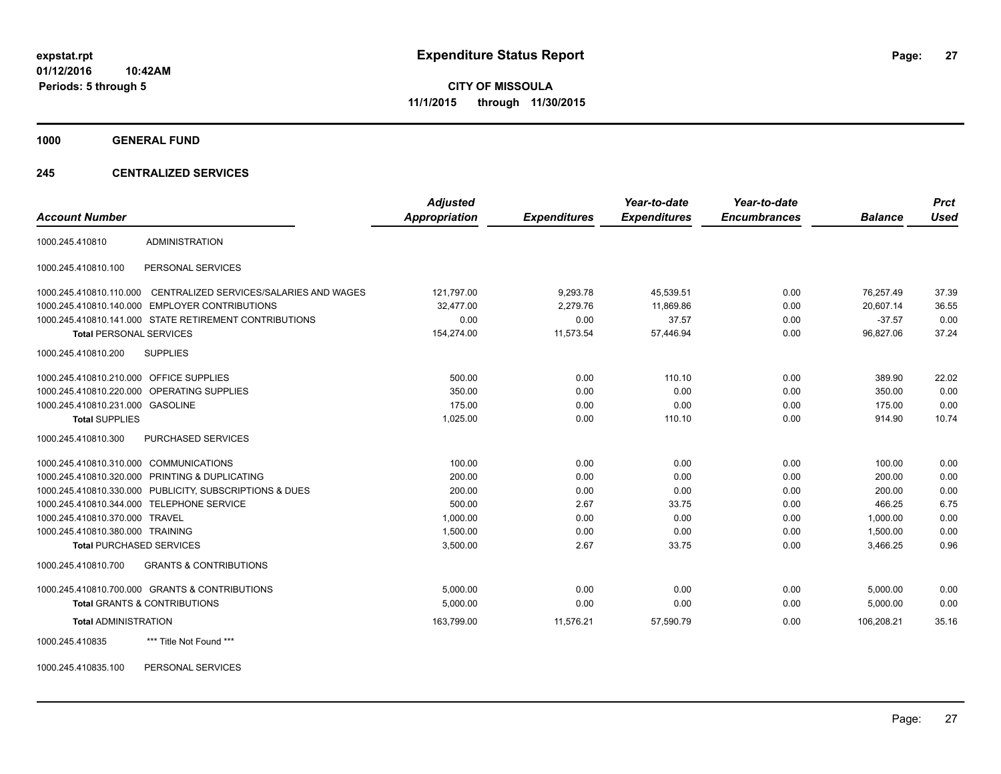**1000 GENERAL FUND**

#### **245 CENTRALIZED SERVICES**

| <b>Account Number</b>                   |                                                         | <b>Adjusted</b><br>Appropriation | <b>Expenditures</b> | Year-to-date<br><b>Expenditures</b> | Year-to-date<br><b>Encumbrances</b> | <b>Balance</b> | <b>Prct</b><br><b>Used</b> |
|-----------------------------------------|---------------------------------------------------------|----------------------------------|---------------------|-------------------------------------|-------------------------------------|----------------|----------------------------|
|                                         |                                                         |                                  |                     |                                     |                                     |                |                            |
| 1000.245.410810                         | ADMINISTRATION                                          |                                  |                     |                                     |                                     |                |                            |
| 1000.245.410810.100                     | PERSONAL SERVICES                                       |                                  |                     |                                     |                                     |                |                            |
| 1000.245.410810.110.000                 | CENTRALIZED SERVICES/SALARIES AND WAGES                 | 121,797.00                       | 9,293.78            | 45,539.51                           | 0.00                                | 76,257.49      | 37.39                      |
|                                         | 1000.245.410810.140.000 EMPLOYER CONTRIBUTIONS          | 32.477.00                        | 2.279.76            | 11.869.86                           | 0.00                                | 20.607.14      | 36.55                      |
|                                         | 1000.245.410810.141.000 STATE RETIREMENT CONTRIBUTIONS  | 0.00                             | 0.00                | 37.57                               | 0.00                                | $-37.57$       | 0.00                       |
| <b>Total PERSONAL SERVICES</b>          |                                                         | 154,274.00                       | 11,573.54           | 57,446.94                           | 0.00                                | 96,827.06      | 37.24                      |
| 1000.245.410810.200                     | <b>SUPPLIES</b>                                         |                                  |                     |                                     |                                     |                |                            |
| 1000.245.410810.210.000 OFFICE SUPPLIES |                                                         | 500.00                           | 0.00                | 110.10                              | 0.00                                | 389.90         | 22.02                      |
|                                         | 1000.245.410810.220.000 OPERATING SUPPLIES              | 350.00                           | 0.00                | 0.00                                | 0.00                                | 350.00         | 0.00                       |
| 1000.245.410810.231.000 GASOLINE        |                                                         | 175.00                           | 0.00                | 0.00                                | 0.00                                | 175.00         | 0.00                       |
| <b>Total SUPPLIES</b>                   |                                                         | 1,025.00                         | 0.00                | 110.10                              | 0.00                                | 914.90         | 10.74                      |
| 1000.245.410810.300                     | PURCHASED SERVICES                                      |                                  |                     |                                     |                                     |                |                            |
| 1000.245.410810.310.000 COMMUNICATIONS  |                                                         | 100.00                           | 0.00                | 0.00                                | 0.00                                | 100.00         | 0.00                       |
|                                         | 1000.245.410810.320.000 PRINTING & DUPLICATING          | 200.00                           | 0.00                | 0.00                                | 0.00                                | 200.00         | 0.00                       |
|                                         | 1000.245.410810.330.000 PUBLICITY, SUBSCRIPTIONS & DUES | 200.00                           | 0.00                | 0.00                                | 0.00                                | 200.00         | 0.00                       |
|                                         | 1000.245.410810.344.000 TELEPHONE SERVICE               | 500.00                           | 2.67                | 33.75                               | 0.00                                | 466.25         | 6.75                       |
| 1000.245.410810.370.000 TRAVEL          |                                                         | 1,000.00                         | 0.00                | 0.00                                | 0.00                                | 1,000.00       | 0.00                       |
| 1000.245.410810.380.000 TRAINING        |                                                         | 1,500.00                         | 0.00                | 0.00                                | 0.00                                | 1.500.00       | 0.00                       |
| <b>Total PURCHASED SERVICES</b>         |                                                         | 3,500.00                         | 2.67                | 33.75                               | 0.00                                | 3,466.25       | 0.96                       |
| 1000.245.410810.700                     | <b>GRANTS &amp; CONTRIBUTIONS</b>                       |                                  |                     |                                     |                                     |                |                            |
|                                         | 1000.245.410810.700.000 GRANTS & CONTRIBUTIONS          | 5,000.00                         | 0.00                | 0.00                                | 0.00                                | 5,000.00       | 0.00                       |
|                                         | <b>Total GRANTS &amp; CONTRIBUTIONS</b>                 | 5,000.00                         | 0.00                | 0.00                                | 0.00                                | 5,000.00       | 0.00                       |
| <b>Total ADMINISTRATION</b>             |                                                         | 163,799.00                       | 11,576.21           | 57.590.79                           | 0.00                                | 106,208.21     | 35.16                      |
| 1000.245.410835                         | *** Title Not Found ***                                 |                                  |                     |                                     |                                     |                |                            |

1000.245.410835.100 PERSONAL SERVICES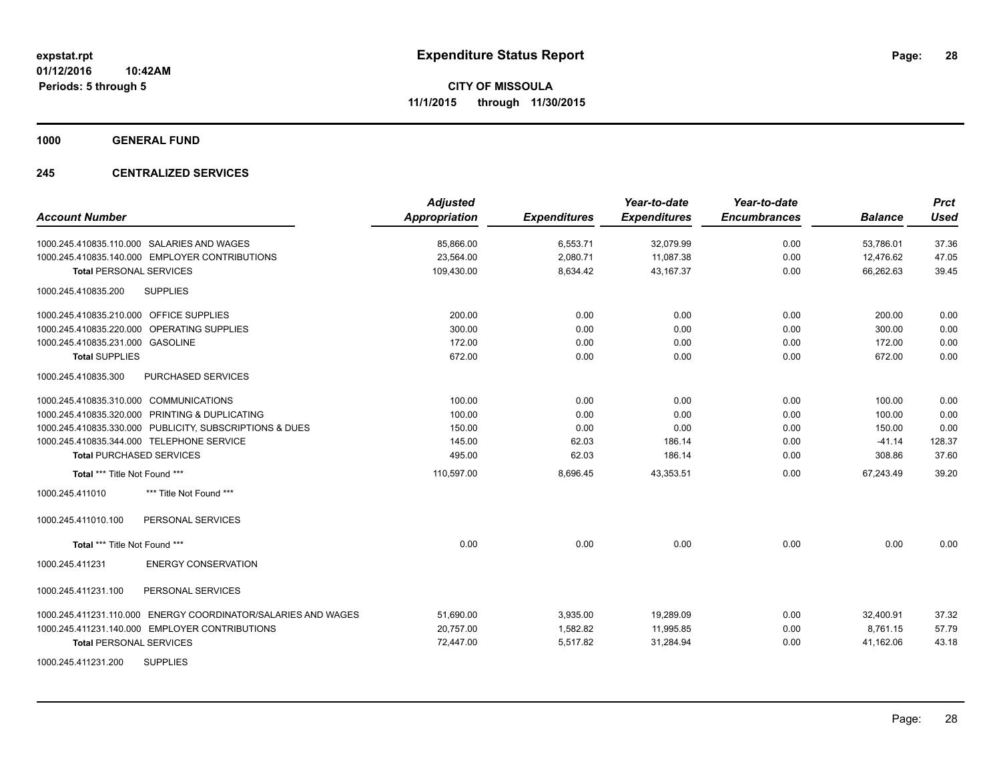**1000 GENERAL FUND**

#### **245 CENTRALIZED SERVICES**

| <b>Account Number</b>                                         | <b>Adjusted</b><br><b>Appropriation</b> | <b>Expenditures</b> | Year-to-date<br><b>Expenditures</b> | Year-to-date<br><b>Encumbrances</b> | <b>Balance</b> | <b>Prct</b><br><b>Used</b> |
|---------------------------------------------------------------|-----------------------------------------|---------------------|-------------------------------------|-------------------------------------|----------------|----------------------------|
| 1000.245.410835.110.000 SALARIES AND WAGES                    | 85,866.00                               | 6,553.71            | 32,079.99                           | 0.00                                | 53,786.01      | 37.36                      |
| 1000.245.410835.140.000 EMPLOYER CONTRIBUTIONS                | 23,564.00                               | 2,080.71            | 11,087.38                           | 0.00                                | 12,476.62      | 47.05                      |
| <b>Total PERSONAL SERVICES</b>                                | 109,430.00                              | 8,634.42            | 43,167.37                           | 0.00                                | 66,262.63      | 39.45                      |
| <b>SUPPLIES</b><br>1000.245.410835.200                        |                                         |                     |                                     |                                     |                |                            |
| 1000.245.410835.210.000 OFFICE SUPPLIES                       | 200.00                                  | 0.00                | 0.00                                | 0.00                                | 200.00         | 0.00                       |
| 1000.245.410835.220.000 OPERATING SUPPLIES                    | 300.00                                  | 0.00                | 0.00                                | 0.00                                | 300.00         | 0.00                       |
| 1000.245.410835.231.000 GASOLINE                              | 172.00                                  | 0.00                | 0.00                                | 0.00                                | 172.00         | 0.00                       |
| <b>Total SUPPLIES</b>                                         | 672.00                                  | 0.00                | 0.00                                | 0.00                                | 672.00         | 0.00                       |
| 1000.245.410835.300<br><b>PURCHASED SERVICES</b>              |                                         |                     |                                     |                                     |                |                            |
| 1000.245.410835.310.000 COMMUNICATIONS                        | 100.00                                  | 0.00                | 0.00                                | 0.00                                | 100.00         | 0.00                       |
| 1000.245.410835.320.000 PRINTING & DUPLICATING                | 100.00                                  | 0.00                | 0.00                                | 0.00                                | 100.00         | 0.00                       |
| 1000.245.410835.330.000 PUBLICITY, SUBSCRIPTIONS & DUES       | 150.00                                  | 0.00                | 0.00                                | 0.00                                | 150.00         | 0.00                       |
| 1000.245.410835.344.000 TELEPHONE SERVICE                     | 145.00                                  | 62.03               | 186.14                              | 0.00                                | $-41.14$       | 128.37                     |
| <b>Total PURCHASED SERVICES</b>                               | 495.00                                  | 62.03               | 186.14                              | 0.00                                | 308.86         | 37.60                      |
| Total *** Title Not Found ***                                 | 110,597.00                              | 8,696.45            | 43,353.51                           | 0.00                                | 67,243.49      | 39.20                      |
| 1000.245.411010<br>*** Title Not Found ***                    |                                         |                     |                                     |                                     |                |                            |
| PERSONAL SERVICES<br>1000.245.411010.100                      |                                         |                     |                                     |                                     |                |                            |
| Total *** Title Not Found ***                                 | 0.00                                    | 0.00                | 0.00                                | 0.00                                | 0.00           | 0.00                       |
| <b>ENERGY CONSERVATION</b><br>1000.245.411231                 |                                         |                     |                                     |                                     |                |                            |
| 1000.245.411231.100<br>PERSONAL SERVICES                      |                                         |                     |                                     |                                     |                |                            |
| 1000.245.411231.110.000 ENERGY COORDINATOR/SALARIES AND WAGES | 51,690.00                               | 3,935.00            | 19,289.09                           | 0.00                                | 32,400.91      | 37.32                      |
| 1000.245.411231.140.000 EMPLOYER CONTRIBUTIONS                | 20,757.00                               | 1,582.82            | 11,995.85                           | 0.00                                | 8.761.15       | 57.79                      |
| <b>Total PERSONAL SERVICES</b>                                | 72,447.00                               | 5,517.82            | 31,284.94                           | 0.00                                | 41,162.06      | 43.18                      |
| <b>SUPPLIES</b><br>1000.245.411231.200                        |                                         |                     |                                     |                                     |                |                            |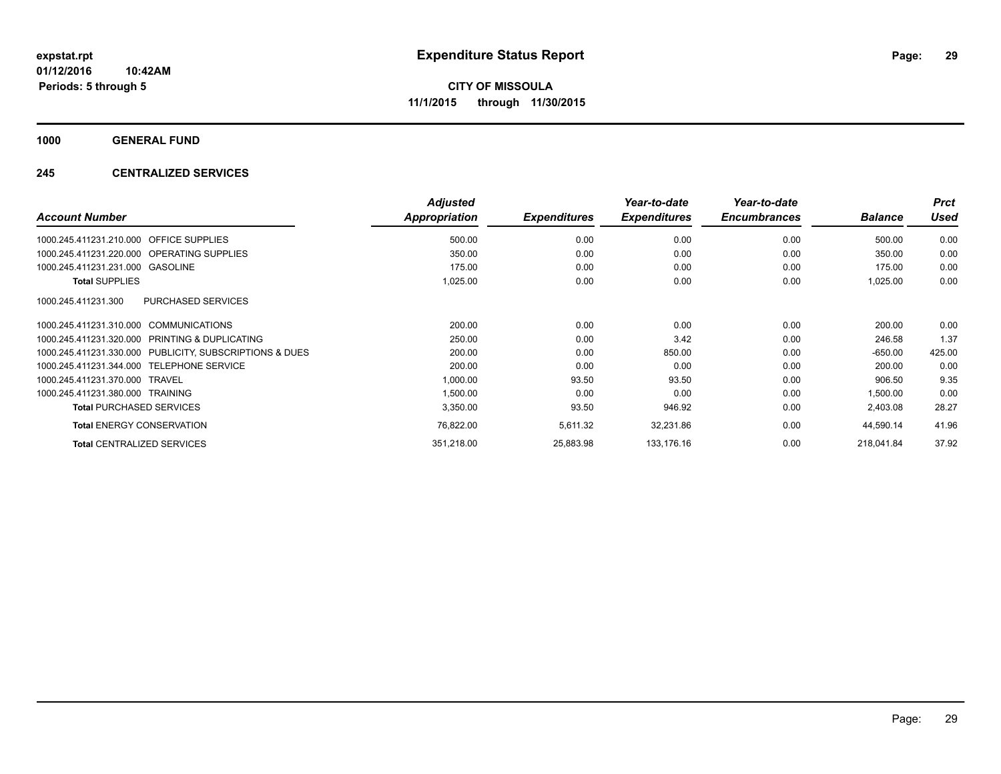**1000 GENERAL FUND**

#### **245 CENTRALIZED SERVICES**

|                                                         | <b>Adjusted</b> |                     | Year-to-date        | Year-to-date        |                | <b>Prct</b> |
|---------------------------------------------------------|-----------------|---------------------|---------------------|---------------------|----------------|-------------|
| <b>Account Number</b>                                   | Appropriation   | <b>Expenditures</b> | <b>Expenditures</b> | <b>Encumbrances</b> | <b>Balance</b> | Used        |
| 1000.245.411231.210.000 OFFICE SUPPLIES                 | 500.00          | 0.00                | 0.00                | 0.00                | 500.00         | 0.00        |
| 1000.245.411231.220.000 OPERATING SUPPLIES              | 350.00          | 0.00                | 0.00                | 0.00                | 350.00         | 0.00        |
| 1000.245.411231.231.000 GASOLINE                        | 175.00          | 0.00                | 0.00                | 0.00                | 175.00         | 0.00        |
| <b>Total SUPPLIES</b>                                   | 1,025.00        | 0.00                | 0.00                | 0.00                | 1,025.00       | 0.00        |
| 1000.245.411231.300<br>PURCHASED SERVICES               |                 |                     |                     |                     |                |             |
| 1000.245.411231.310.000 COMMUNICATIONS                  | 200.00          | 0.00                | 0.00                | 0.00                | 200.00         | 0.00        |
| 1000.245.411231.320.000 PRINTING & DUPLICATING          | 250.00          | 0.00                | 3.42                | 0.00                | 246.58         | 1.37        |
| 1000.245.411231.330.000 PUBLICITY, SUBSCRIPTIONS & DUES | 200.00          | 0.00                | 850.00              | 0.00                | $-650.00$      | 425.00      |
| 1000.245.411231.344.000 TELEPHONE SERVICE               | 200.00          | 0.00                | 0.00                | 0.00                | 200.00         | 0.00        |
| 1000.245.411231.370.000 TRAVEL                          | 1,000.00        | 93.50               | 93.50               | 0.00                | 906.50         | 9.35        |
| 1000.245.411231.380.000 TRAINING                        | 1,500.00        | 0.00                | 0.00                | 0.00                | 1,500.00       | 0.00        |
| <b>Total PURCHASED SERVICES</b>                         | 3,350.00        | 93.50               | 946.92              | 0.00                | 2,403.08       | 28.27       |
| <b>Total ENERGY CONSERVATION</b>                        | 76,822.00       | 5,611.32            | 32,231.86           | 0.00                | 44,590.14      | 41.96       |
| <b>Total CENTRALIZED SERVICES</b>                       | 351,218.00      | 25,883.98           | 133,176.16          | 0.00                | 218,041.84     | 37.92       |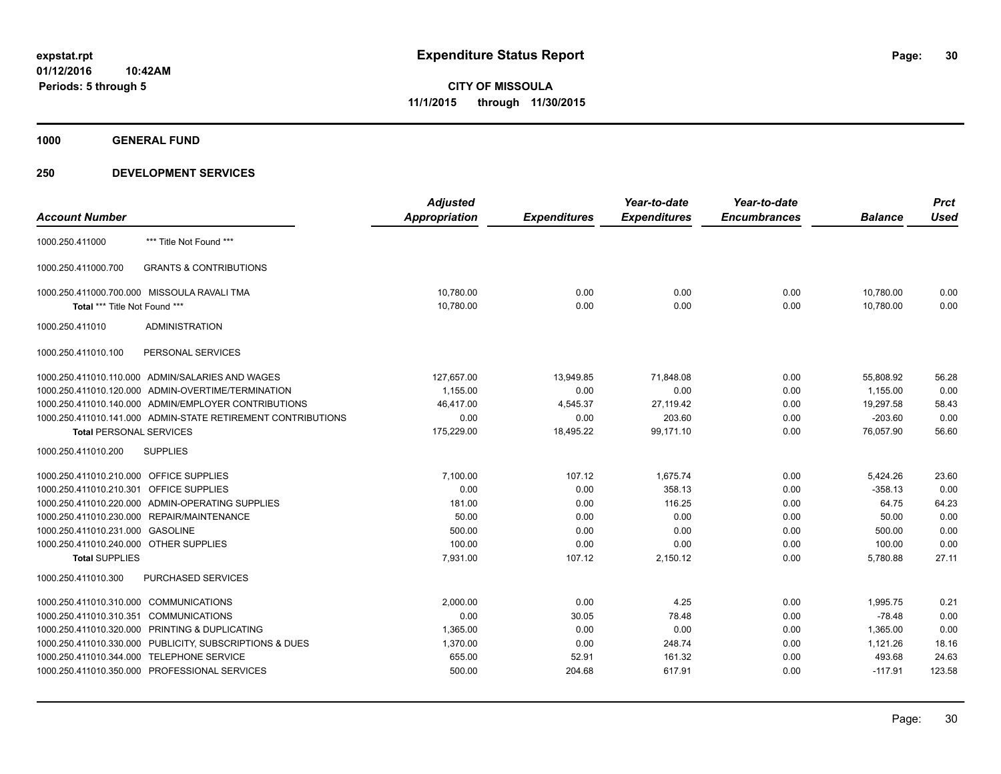**1000 GENERAL FUND**

|                                         |                                                              | <b>Adjusted</b> |                     | Year-to-date        | Year-to-date        |                | <b>Prct</b> |
|-----------------------------------------|--------------------------------------------------------------|-----------------|---------------------|---------------------|---------------------|----------------|-------------|
| <b>Account Number</b>                   |                                                              | Appropriation   | <b>Expenditures</b> | <b>Expenditures</b> | <b>Encumbrances</b> | <b>Balance</b> | <b>Used</b> |
| 1000.250.411000                         | *** Title Not Found ***                                      |                 |                     |                     |                     |                |             |
| 1000.250.411000.700                     | <b>GRANTS &amp; CONTRIBUTIONS</b>                            |                 |                     |                     |                     |                |             |
|                                         | 1000.250.411000.700.000 MISSOULA RAVALI TMA                  | 10,780.00       | 0.00                | 0.00                | 0.00                | 10,780.00      | 0.00        |
| Total *** Title Not Found ***           |                                                              | 10,780.00       | 0.00                | 0.00                | 0.00                | 10,780.00      | 0.00        |
| 1000.250.411010                         | <b>ADMINISTRATION</b>                                        |                 |                     |                     |                     |                |             |
| 1000.250.411010.100                     | PERSONAL SERVICES                                            |                 |                     |                     |                     |                |             |
|                                         | 1000.250.411010.110.000 ADMIN/SALARIES AND WAGES             | 127,657.00      | 13,949.85           | 71,848.08           | 0.00                | 55,808.92      | 56.28       |
|                                         | 1000.250.411010.120.000 ADMIN-OVERTIME/TERMINATION           | 1,155.00        | 0.00                | 0.00                | 0.00                | 1,155.00       | 0.00        |
|                                         | 1000.250.411010.140.000 ADMIN/EMPLOYER CONTRIBUTIONS         | 46,417.00       | 4,545.37            | 27,119.42           | 0.00                | 19,297.58      | 58.43       |
|                                         | 1000.250.411010.141.000 ADMIN-STATE RETIREMENT CONTRIBUTIONS | 0.00            | 0.00                | 203.60              | 0.00                | $-203.60$      | 0.00        |
| <b>Total PERSONAL SERVICES</b>          |                                                              | 175,229.00      | 18,495.22           | 99,171.10           | 0.00                | 76,057.90      | 56.60       |
| 1000.250.411010.200                     | <b>SUPPLIES</b>                                              |                 |                     |                     |                     |                |             |
| 1000.250.411010.210.000 OFFICE SUPPLIES |                                                              | 7,100.00        | 107.12              | 1,675.74            | 0.00                | 5,424.26       | 23.60       |
| 1000.250.411010.210.301 OFFICE SUPPLIES |                                                              | 0.00            | 0.00                | 358.13              | 0.00                | $-358.13$      | 0.00        |
|                                         | 1000.250.411010.220.000 ADMIN-OPERATING SUPPLIES             | 181.00          | 0.00                | 116.25              | 0.00                | 64.75          | 64.23       |
|                                         | 1000.250.411010.230.000 REPAIR/MAINTENANCE                   | 50.00           | 0.00                | 0.00                | 0.00                | 50.00          | 0.00        |
| 1000.250.411010.231.000 GASOLINE        |                                                              | 500.00          | 0.00                | 0.00                | 0.00                | 500.00         | 0.00        |
| 1000.250.411010.240.000 OTHER SUPPLIES  |                                                              | 100.00          | 0.00                | 0.00                | 0.00                | 100.00         | 0.00        |
| <b>Total SUPPLIES</b>                   |                                                              | 7,931.00        | 107.12              | 2,150.12            | 0.00                | 5,780.88       | 27.11       |
| 1000.250.411010.300                     | PURCHASED SERVICES                                           |                 |                     |                     |                     |                |             |
| 1000.250.411010.310.000 COMMUNICATIONS  |                                                              | 2,000.00        | 0.00                | 4.25                | 0.00                | 1,995.75       | 0.21        |
| 1000.250.411010.310.351 COMMUNICATIONS  |                                                              | 0.00            | 30.05               | 78.48               | 0.00                | $-78.48$       | 0.00        |
|                                         | 1000.250.411010.320.000 PRINTING & DUPLICATING               | 1,365.00        | 0.00                | 0.00                | 0.00                | 1,365.00       | 0.00        |
|                                         | 1000.250.411010.330.000 PUBLICITY, SUBSCRIPTIONS & DUES      | 1,370.00        | 0.00                | 248.74              | 0.00                | 1,121.26       | 18.16       |
|                                         | 1000.250.411010.344.000 TELEPHONE SERVICE                    | 655.00          | 52.91               | 161.32              | 0.00                | 493.68         | 24.63       |
|                                         | 1000.250.411010.350.000 PROFESSIONAL SERVICES                | 500.00          | 204.68              | 617.91              | 0.00                | $-117.91$      | 123.58      |
|                                         |                                                              |                 |                     |                     |                     |                |             |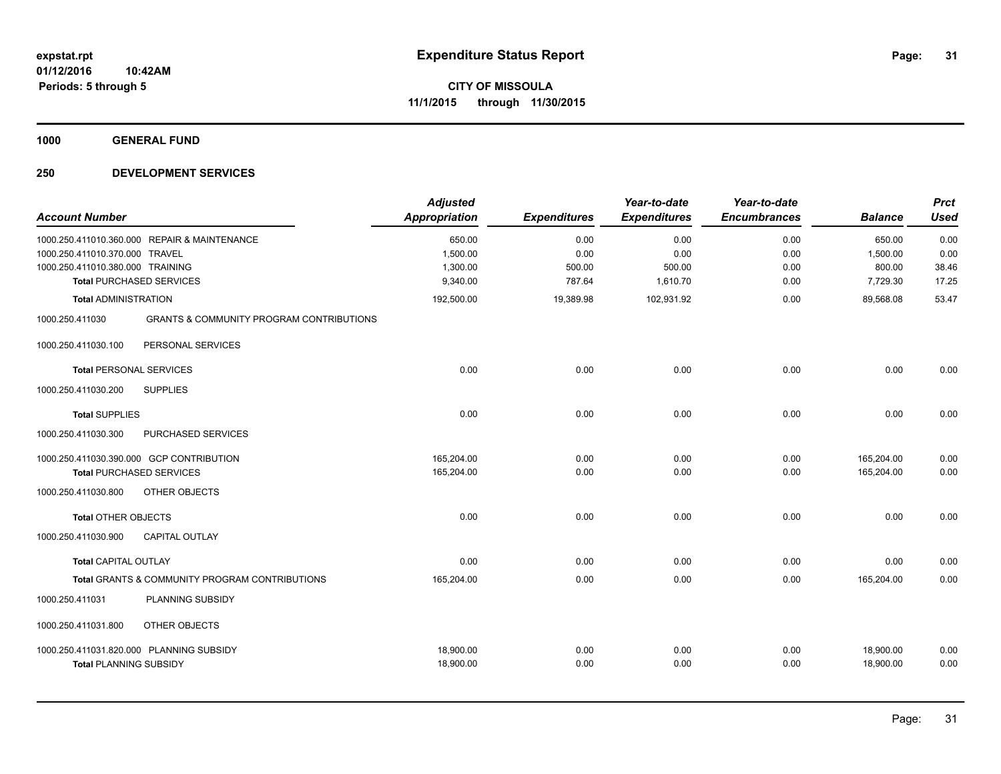**1000 GENERAL FUND**

| <b>Account Number</b>            |                                                     | <b>Adjusted</b><br><b>Appropriation</b> | <b>Expenditures</b> | Year-to-date<br><b>Expenditures</b> | Year-to-date<br><b>Encumbrances</b> | <b>Balance</b> | <b>Prct</b><br><b>Used</b> |
|----------------------------------|-----------------------------------------------------|-----------------------------------------|---------------------|-------------------------------------|-------------------------------------|----------------|----------------------------|
|                                  | 1000.250.411010.360.000 REPAIR & MAINTENANCE        | 650.00                                  | 0.00                | 0.00                                | 0.00                                | 650.00         | 0.00                       |
| 1000.250.411010.370.000 TRAVEL   |                                                     | 1,500.00                                | 0.00                | 0.00                                | 0.00                                | 1,500.00       | 0.00                       |
| 1000.250.411010.380.000 TRAINING |                                                     | 1,300.00                                | 500.00              | 500.00                              | 0.00                                | 800.00         | 38.46                      |
|                                  | <b>Total PURCHASED SERVICES</b>                     | 9,340.00                                | 787.64              | 1,610.70                            | 0.00                                | 7,729.30       | 17.25                      |
| <b>Total ADMINISTRATION</b>      |                                                     | 192,500.00                              | 19,389.98           | 102,931.92                          | 0.00                                | 89,568.08      | 53.47                      |
| 1000.250.411030                  | <b>GRANTS &amp; COMMUNITY PROGRAM CONTRIBUTIONS</b> |                                         |                     |                                     |                                     |                |                            |
| 1000.250.411030.100              | PERSONAL SERVICES                                   |                                         |                     |                                     |                                     |                |                            |
| <b>Total PERSONAL SERVICES</b>   |                                                     | 0.00                                    | 0.00                | 0.00                                | 0.00                                | 0.00           | 0.00                       |
| 1000.250.411030.200              | <b>SUPPLIES</b>                                     |                                         |                     |                                     |                                     |                |                            |
| <b>Total SUPPLIES</b>            |                                                     | 0.00                                    | 0.00                | 0.00                                | 0.00                                | 0.00           | 0.00                       |
| 1000.250.411030.300              | PURCHASED SERVICES                                  |                                         |                     |                                     |                                     |                |                            |
|                                  | 1000.250.411030.390.000 GCP CONTRIBUTION            | 165.204.00                              | 0.00                | 0.00                                | 0.00                                | 165,204.00     | 0.00                       |
|                                  | <b>Total PURCHASED SERVICES</b>                     | 165,204.00                              | 0.00                | 0.00                                | 0.00                                | 165,204.00     | 0.00                       |
| 1000.250.411030.800              | OTHER OBJECTS                                       |                                         |                     |                                     |                                     |                |                            |
| <b>Total OTHER OBJECTS</b>       |                                                     | 0.00                                    | 0.00                | 0.00                                | 0.00                                | 0.00           | 0.00                       |
| 1000.250.411030.900              | <b>CAPITAL OUTLAY</b>                               |                                         |                     |                                     |                                     |                |                            |
| <b>Total CAPITAL OUTLAY</b>      |                                                     | 0.00                                    | 0.00                | 0.00                                | 0.00                                | 0.00           | 0.00                       |
|                                  | Total GRANTS & COMMUNITY PROGRAM CONTRIBUTIONS      | 165,204.00                              | 0.00                | 0.00                                | 0.00                                | 165,204.00     | 0.00                       |
| 1000.250.411031                  | PLANNING SUBSIDY                                    |                                         |                     |                                     |                                     |                |                            |
| 1000.250.411031.800              | <b>OTHER OBJECTS</b>                                |                                         |                     |                                     |                                     |                |                            |
|                                  | 1000.250.411031.820.000 PLANNING SUBSIDY            | 18,900.00                               | 0.00                | 0.00                                | 0.00                                | 18,900.00      | 0.00                       |
| <b>Total PLANNING SUBSIDY</b>    |                                                     | 18,900.00                               | 0.00                | 0.00                                | 0.00                                | 18,900.00      | 0.00                       |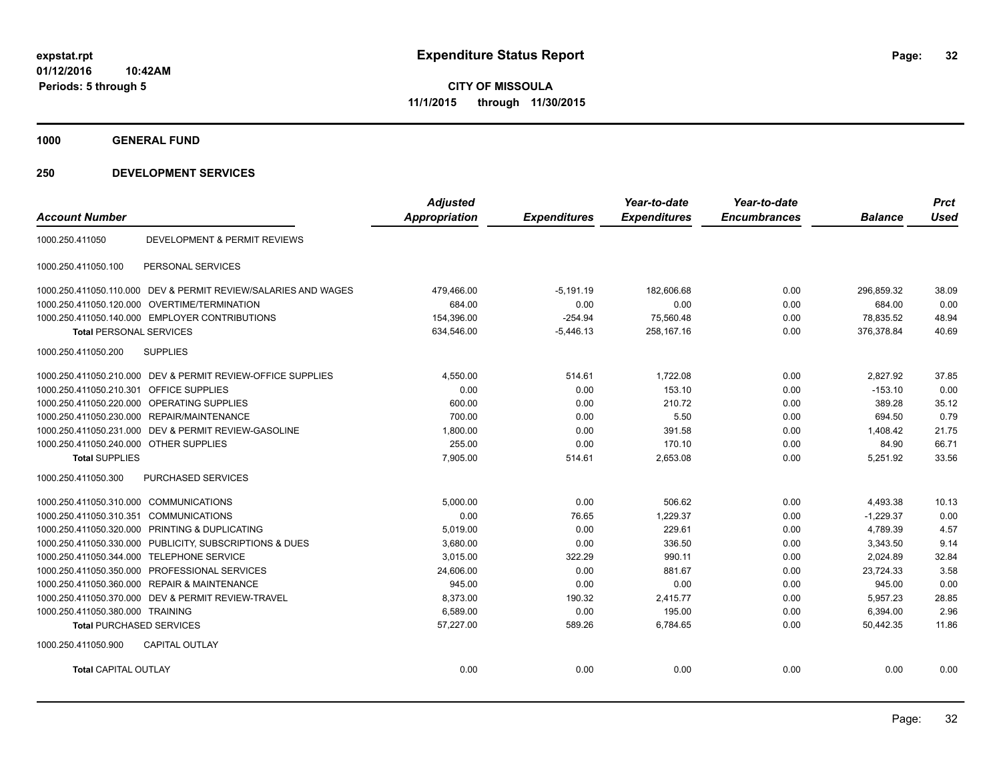**1000 GENERAL FUND**

| <b>Account Number</b>                   |                                                                | <b>Adjusted</b><br><b>Appropriation</b> | <b>Expenditures</b> | Year-to-date<br><b>Expenditures</b> | Year-to-date<br><b>Encumbrances</b> | <b>Balance</b> | <b>Prct</b><br><b>Used</b> |
|-----------------------------------------|----------------------------------------------------------------|-----------------------------------------|---------------------|-------------------------------------|-------------------------------------|----------------|----------------------------|
|                                         |                                                                |                                         |                     |                                     |                                     |                |                            |
| 1000.250.411050                         | DEVELOPMENT & PERMIT REVIEWS                                   |                                         |                     |                                     |                                     |                |                            |
| 1000.250.411050.100                     | PERSONAL SERVICES                                              |                                         |                     |                                     |                                     |                |                            |
|                                         | 1000.250.411050.110.000 DEV & PERMIT REVIEW/SALARIES AND WAGES | 479,466.00                              | $-5,191.19$         | 182,606.68                          | 0.00                                | 296,859.32     | 38.09                      |
| 1000.250.411050.120.000                 | OVERTIME/TERMINATION                                           | 684.00                                  | 0.00                | 0.00                                | 0.00                                | 684.00         | 0.00                       |
|                                         | 1000.250.411050.140.000 EMPLOYER CONTRIBUTIONS                 | 154,396.00                              | $-254.94$           | 75,560.48                           | 0.00                                | 78,835.52      | 48.94                      |
| <b>Total PERSONAL SERVICES</b>          |                                                                | 634,546.00                              | $-5,446.13$         | 258,167.16                          | 0.00                                | 376,378.84     | 40.69                      |
| 1000.250.411050.200                     | <b>SUPPLIES</b>                                                |                                         |                     |                                     |                                     |                |                            |
|                                         | 1000.250.411050.210.000 DEV & PERMIT REVIEW-OFFICE SUPPLIES    | 4,550.00                                | 514.61              | 1,722.08                            | 0.00                                | 2,827.92       | 37.85                      |
| 1000.250.411050.210.301 OFFICE SUPPLIES |                                                                | 0.00                                    | 0.00                | 153.10                              | 0.00                                | $-153.10$      | 0.00                       |
|                                         | 1000.250.411050.220.000 OPERATING SUPPLIES                     | 600.00                                  | 0.00                | 210.72                              | 0.00                                | 389.28         | 35.12                      |
| 1000.250.411050.230.000                 | REPAIR/MAINTENANCE                                             | 700.00                                  | 0.00                | 5.50                                | 0.00                                | 694.50         | 0.79                       |
|                                         | 1000.250.411050.231.000 DEV & PERMIT REVIEW-GASOLINE           | 1,800.00                                | 0.00                | 391.58                              | 0.00                                | 1,408.42       | 21.75                      |
| 1000.250.411050.240.000 OTHER SUPPLIES  |                                                                | 255.00                                  | 0.00                | 170.10                              | 0.00                                | 84.90          | 66.71                      |
| <b>Total SUPPLIES</b>                   |                                                                | 7,905.00                                | 514.61              | 2,653.08                            | 0.00                                | 5,251.92       | 33.56                      |
| 1000.250.411050.300                     | PURCHASED SERVICES                                             |                                         |                     |                                     |                                     |                |                            |
| 1000.250.411050.310.000 COMMUNICATIONS  |                                                                | 5,000.00                                | 0.00                | 506.62                              | 0.00                                | 4,493.38       | 10.13                      |
| 1000.250.411050.310.351 COMMUNICATIONS  |                                                                | 0.00                                    | 76.65               | 1,229.37                            | 0.00                                | $-1,229.37$    | 0.00                       |
|                                         | 1000.250.411050.320.000 PRINTING & DUPLICATING                 | 5,019.00                                | 0.00                | 229.61                              | 0.00                                | 4,789.39       | 4.57                       |
|                                         | 1000.250.411050.330.000 PUBLICITY, SUBSCRIPTIONS & DUES        | 3,680.00                                | 0.00                | 336.50                              | 0.00                                | 3,343.50       | 9.14                       |
| 1000.250.411050.344.000                 | <b>TELEPHONE SERVICE</b>                                       | 3,015.00                                | 322.29              | 990.11                              | 0.00                                | 2,024.89       | 32.84                      |
| 1000.250.411050.350.000                 | PROFESSIONAL SERVICES                                          | 24,606.00                               | 0.00                | 881.67                              | 0.00                                | 23,724.33      | 3.58                       |
| 1000.250.411050.360.000                 | <b>REPAIR &amp; MAINTENANCE</b>                                | 945.00                                  | 0.00                | 0.00                                | 0.00                                | 945.00         | 0.00                       |
| 1000.250.411050.370.000                 | DEV & PERMIT REVIEW-TRAVEL                                     | 8,373.00                                | 190.32              | 2,415.77                            | 0.00                                | 5,957.23       | 28.85                      |
| 1000.250.411050.380.000 TRAINING        |                                                                | 6,589.00                                | 0.00                | 195.00                              | 0.00                                | 6,394.00       | 2.96                       |
| <b>Total PURCHASED SERVICES</b>         |                                                                | 57,227.00                               | 589.26              | 6,784.65                            | 0.00                                | 50,442.35      | 11.86                      |
| 1000.250.411050.900                     | <b>CAPITAL OUTLAY</b>                                          |                                         |                     |                                     |                                     |                |                            |
| <b>Total CAPITAL OUTLAY</b>             |                                                                | 0.00                                    | 0.00                | 0.00                                | 0.00                                | 0.00           | 0.00                       |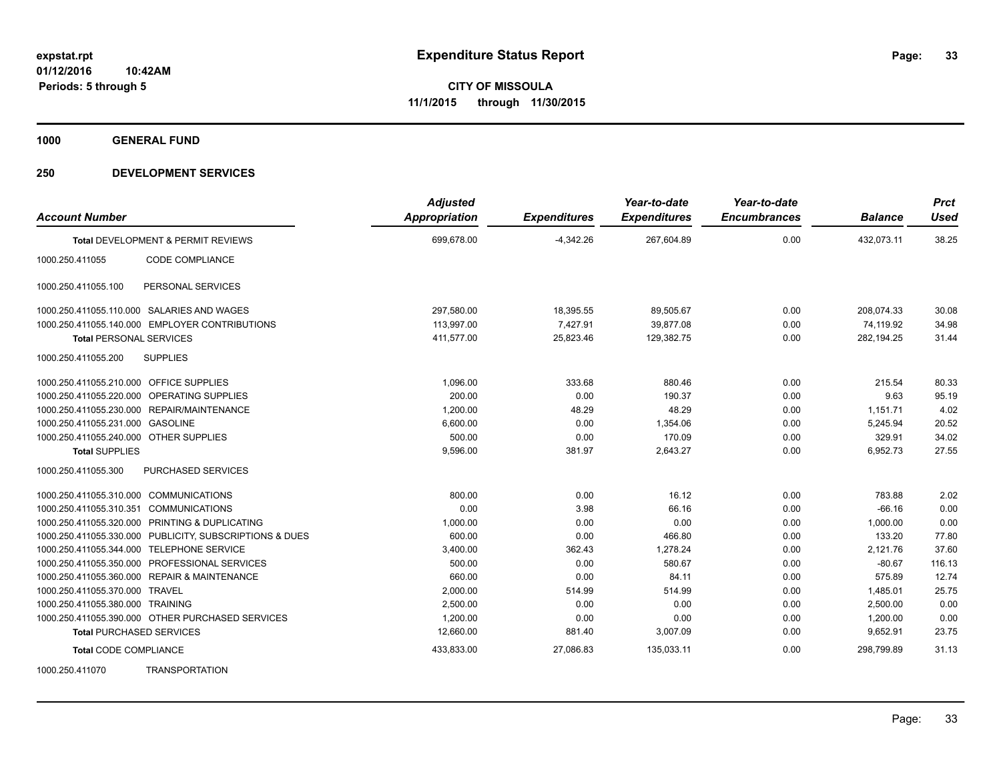**1000 GENERAL FUND**

| <b>Account Number</b>                   |                                                         | <b>Adjusted</b><br>Appropriation | <b>Expenditures</b> | Year-to-date<br><b>Expenditures</b> | Year-to-date<br><b>Encumbrances</b> | <b>Balance</b> | <b>Prct</b><br><b>Used</b> |
|-----------------------------------------|---------------------------------------------------------|----------------------------------|---------------------|-------------------------------------|-------------------------------------|----------------|----------------------------|
|                                         | Total DEVELOPMENT & PERMIT REVIEWS                      | 699,678.00                       | $-4,342.26$         | 267,604.89                          | 0.00                                | 432,073.11     | 38.25                      |
| 1000.250.411055                         | CODE COMPLIANCE                                         |                                  |                     |                                     |                                     |                |                            |
| 1000.250.411055.100                     | PERSONAL SERVICES                                       |                                  |                     |                                     |                                     |                |                            |
|                                         | 1000.250.411055.110.000 SALARIES AND WAGES              | 297,580.00                       | 18,395.55           | 89,505.67                           | 0.00                                | 208,074.33     | 30.08                      |
|                                         | 1000.250.411055.140.000 EMPLOYER CONTRIBUTIONS          | 113,997.00                       | 7,427.91            | 39,877.08                           | 0.00                                | 74,119.92      | 34.98                      |
| <b>Total PERSONAL SERVICES</b>          |                                                         | 411,577.00                       | 25,823.46           | 129,382.75                          | 0.00                                | 282,194.25     | 31.44                      |
| 1000.250.411055.200                     | <b>SUPPLIES</b>                                         |                                  |                     |                                     |                                     |                |                            |
| 1000.250.411055.210.000 OFFICE SUPPLIES |                                                         | 1,096.00                         | 333.68              | 880.46                              | 0.00                                | 215.54         | 80.33                      |
|                                         | 1000.250.411055.220.000 OPERATING SUPPLIES              | 200.00                           | 0.00                | 190.37                              | 0.00                                | 9.63           | 95.19                      |
|                                         | 1000.250.411055.230.000 REPAIR/MAINTENANCE              | 1,200.00                         | 48.29               | 48.29                               | 0.00                                | 1,151.71       | 4.02                       |
| 1000.250.411055.231.000 GASOLINE        |                                                         | 6,600.00                         | 0.00                | 1.354.06                            | 0.00                                | 5,245.94       | 20.52                      |
| 1000.250.411055.240.000 OTHER SUPPLIES  |                                                         | 500.00                           | 0.00                | 170.09                              | 0.00                                | 329.91         | 34.02                      |
| <b>Total SUPPLIES</b>                   |                                                         | 9,596.00                         | 381.97              | 2,643.27                            | 0.00                                | 6,952.73       | 27.55                      |
| 1000.250.411055.300                     | PURCHASED SERVICES                                      |                                  |                     |                                     |                                     |                |                            |
| 1000.250.411055.310.000 COMMUNICATIONS  |                                                         | 800.00                           | 0.00                | 16.12                               | 0.00                                | 783.88         | 2.02                       |
| 1000.250.411055.310.351 COMMUNICATIONS  |                                                         | 0.00                             | 3.98                | 66.16                               | 0.00                                | $-66.16$       | 0.00                       |
|                                         | 1000.250.411055.320.000 PRINTING & DUPLICATING          | 1,000.00                         | 0.00                | 0.00                                | 0.00                                | 1,000.00       | 0.00                       |
|                                         | 1000.250.411055.330.000 PUBLICITY, SUBSCRIPTIONS & DUES | 600.00                           | 0.00                | 466.80                              | 0.00                                | 133.20         | 77.80                      |
|                                         | 1000.250.411055.344.000 TELEPHONE SERVICE               | 3,400.00                         | 362.43              | 1.278.24                            | 0.00                                | 2,121.76       | 37.60                      |
|                                         | 1000.250.411055.350.000 PROFESSIONAL SERVICES           | 500.00                           | 0.00                | 580.67                              | 0.00                                | $-80.67$       | 116.13                     |
|                                         | 1000.250.411055.360.000 REPAIR & MAINTENANCE            | 660.00                           | 0.00                | 84.11                               | 0.00                                | 575.89         | 12.74                      |
| 1000.250.411055.370.000 TRAVEL          |                                                         | 2,000.00                         | 514.99              | 514.99                              | 0.00                                | 1,485.01       | 25.75                      |
| 1000.250.411055.380.000 TRAINING        |                                                         | 2,500.00                         | 0.00                | 0.00                                | 0.00                                | 2,500.00       | 0.00                       |
|                                         | 1000.250.411055.390.000 OTHER PURCHASED SERVICES        | 1,200.00                         | 0.00                | 0.00                                | 0.00                                | 1,200.00       | 0.00                       |
| <b>Total PURCHASED SERVICES</b>         |                                                         | 12,660.00                        | 881.40              | 3,007.09                            | 0.00                                | 9,652.91       | 23.75                      |
| <b>Total CODE COMPLIANCE</b>            |                                                         | 433,833.00                       | 27,086.83           | 135,033.11                          | 0.00                                | 298,799.89     | 31.13                      |
| 1000.250.411070                         | <b>TRANSPORTATION</b>                                   |                                  |                     |                                     |                                     |                |                            |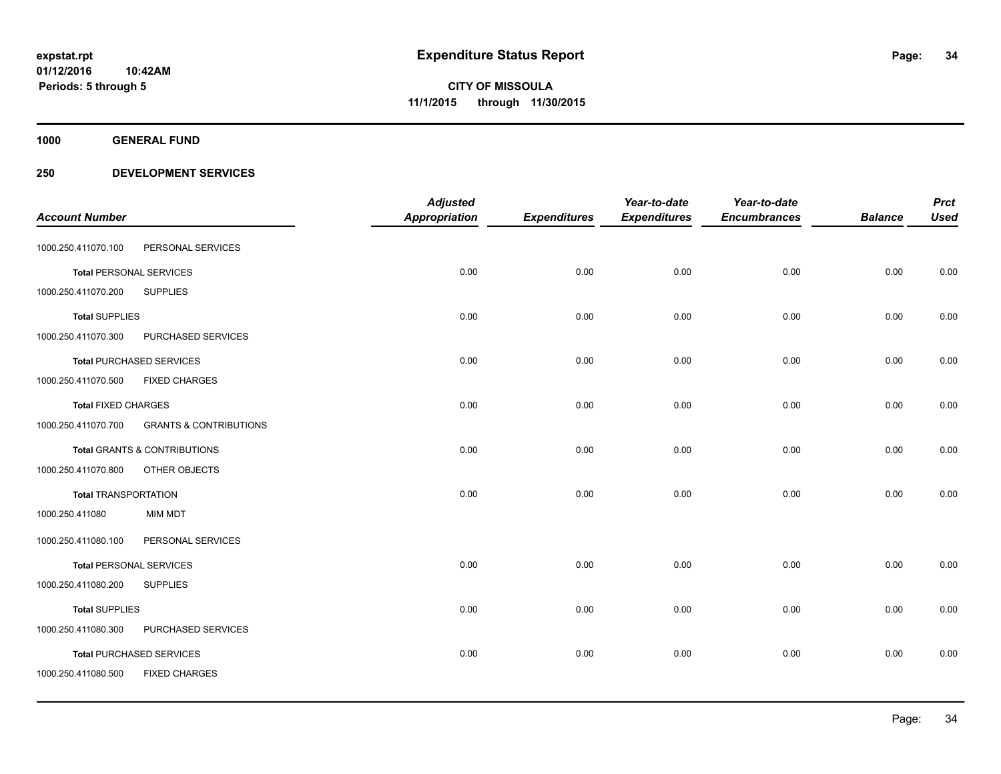**1000 GENERAL FUND**

|                                |                                         | <b>Adjusted</b>      |                     | Year-to-date        | Year-to-date        |                | <b>Prct</b> |
|--------------------------------|-----------------------------------------|----------------------|---------------------|---------------------|---------------------|----------------|-------------|
| <b>Account Number</b>          |                                         | <b>Appropriation</b> | <b>Expenditures</b> | <b>Expenditures</b> | <b>Encumbrances</b> | <b>Balance</b> | <b>Used</b> |
| 1000.250.411070.100            | PERSONAL SERVICES                       |                      |                     |                     |                     |                |             |
| <b>Total PERSONAL SERVICES</b> |                                         | 0.00                 | 0.00                | 0.00                | 0.00                | 0.00           | 0.00        |
| 1000.250.411070.200            | <b>SUPPLIES</b>                         |                      |                     |                     |                     |                |             |
| <b>Total SUPPLIES</b>          |                                         | 0.00                 | 0.00                | 0.00                | 0.00                | 0.00           | 0.00        |
| 1000.250.411070.300            | PURCHASED SERVICES                      |                      |                     |                     |                     |                |             |
|                                | <b>Total PURCHASED SERVICES</b>         | 0.00                 | 0.00                | 0.00                | 0.00                | 0.00           | 0.00        |
| 1000.250.411070.500            | <b>FIXED CHARGES</b>                    |                      |                     |                     |                     |                |             |
| <b>Total FIXED CHARGES</b>     |                                         | 0.00                 | 0.00                | 0.00                | 0.00                | 0.00           | 0.00        |
| 1000.250.411070.700            | <b>GRANTS &amp; CONTRIBUTIONS</b>       |                      |                     |                     |                     |                |             |
|                                | <b>Total GRANTS &amp; CONTRIBUTIONS</b> | 0.00                 | 0.00                | 0.00                | 0.00                | 0.00           | 0.00        |
| 1000.250.411070.800            | OTHER OBJECTS                           |                      |                     |                     |                     |                |             |
| <b>Total TRANSPORTATION</b>    |                                         | 0.00                 | 0.00                | 0.00                | 0.00                | 0.00           | 0.00        |
| 1000.250.411080                | MIM MDT                                 |                      |                     |                     |                     |                |             |
| 1000.250.411080.100            | PERSONAL SERVICES                       |                      |                     |                     |                     |                |             |
| <b>Total PERSONAL SERVICES</b> |                                         | 0.00                 | 0.00                | 0.00                | 0.00                | 0.00           | 0.00        |
| 1000.250.411080.200            | <b>SUPPLIES</b>                         |                      |                     |                     |                     |                |             |
| <b>Total SUPPLIES</b>          |                                         | 0.00                 | 0.00                | 0.00                | 0.00                | 0.00           | 0.00        |
| 1000.250.411080.300            | PURCHASED SERVICES                      |                      |                     |                     |                     |                |             |
|                                | <b>Total PURCHASED SERVICES</b>         | 0.00                 | 0.00                | 0.00                | 0.00                | 0.00           | 0.00        |
| 1000.250.411080.500            | <b>FIXED CHARGES</b>                    |                      |                     |                     |                     |                |             |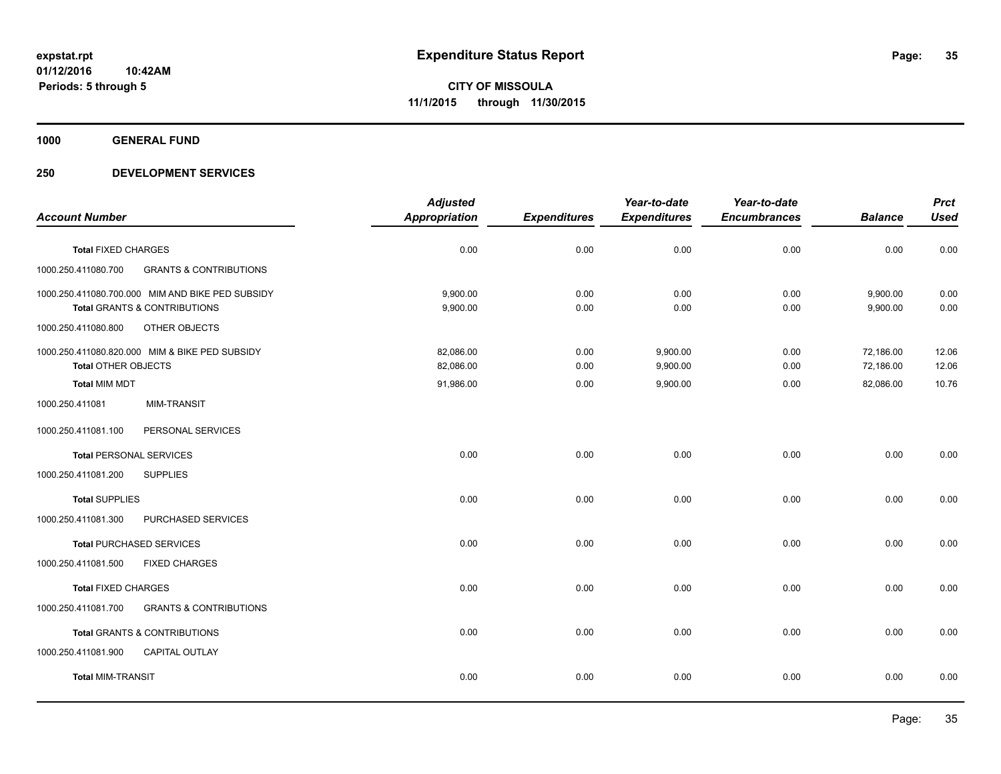**1000 GENERAL FUND**

|                                |                                                  | <b>Adjusted</b>      |                     | Year-to-date        | Year-to-date        |                | <b>Prct</b> |
|--------------------------------|--------------------------------------------------|----------------------|---------------------|---------------------|---------------------|----------------|-------------|
| <b>Account Number</b>          |                                                  | <b>Appropriation</b> | <b>Expenditures</b> | <b>Expenditures</b> | <b>Encumbrances</b> | <b>Balance</b> | <b>Used</b> |
| <b>Total FIXED CHARGES</b>     |                                                  | 0.00                 | 0.00                | 0.00                | 0.00                | 0.00           | 0.00        |
| 1000.250.411080.700            | <b>GRANTS &amp; CONTRIBUTIONS</b>                |                      |                     |                     |                     |                |             |
|                                | 1000.250.411080.700.000 MIM AND BIKE PED SUBSIDY | 9,900.00             | 0.00                | 0.00                | 0.00                | 9,900.00       | 0.00        |
|                                | <b>Total GRANTS &amp; CONTRIBUTIONS</b>          | 9,900.00             | 0.00                | 0.00                | 0.00                | 9,900.00       | 0.00        |
| 1000.250.411080.800            | OTHER OBJECTS                                    |                      |                     |                     |                     |                |             |
|                                | 1000.250.411080.820.000 MIM & BIKE PED SUBSIDY   | 82.086.00            | 0.00                | 9,900.00            | 0.00                | 72,186.00      | 12.06       |
| <b>Total OTHER OBJECTS</b>     |                                                  | 82,086.00            | 0.00                | 9,900.00            | 0.00                | 72,186.00      | 12.06       |
| <b>Total MIM MDT</b>           |                                                  | 91,986.00            | 0.00                | 9,900.00            | 0.00                | 82,086.00      | 10.76       |
| 1000.250.411081                | <b>MIM-TRANSIT</b>                               |                      |                     |                     |                     |                |             |
| 1000.250.411081.100            | PERSONAL SERVICES                                |                      |                     |                     |                     |                |             |
| <b>Total PERSONAL SERVICES</b> |                                                  | 0.00                 | 0.00                | 0.00                | 0.00                | 0.00           | 0.00        |
| 1000.250.411081.200            | <b>SUPPLIES</b>                                  |                      |                     |                     |                     |                |             |
| <b>Total SUPPLIES</b>          |                                                  | 0.00                 | 0.00                | 0.00                | 0.00                | 0.00           | 0.00        |
| 1000.250.411081.300            | PURCHASED SERVICES                               |                      |                     |                     |                     |                |             |
|                                | <b>Total PURCHASED SERVICES</b>                  | 0.00                 | 0.00                | 0.00                | 0.00                | 0.00           | 0.00        |
| 1000.250.411081.500            | <b>FIXED CHARGES</b>                             |                      |                     |                     |                     |                |             |
| <b>Total FIXED CHARGES</b>     |                                                  | 0.00                 | 0.00                | 0.00                | 0.00                | 0.00           | 0.00        |
| 1000.250.411081.700            | <b>GRANTS &amp; CONTRIBUTIONS</b>                |                      |                     |                     |                     |                |             |
|                                | <b>Total GRANTS &amp; CONTRIBUTIONS</b>          | 0.00                 | 0.00                | 0.00                | 0.00                | 0.00           | 0.00        |
| 1000.250.411081.900            | <b>CAPITAL OUTLAY</b>                            |                      |                     |                     |                     |                |             |
| <b>Total MIM-TRANSIT</b>       |                                                  | 0.00                 | 0.00                | 0.00                | 0.00                | 0.00           | 0.00        |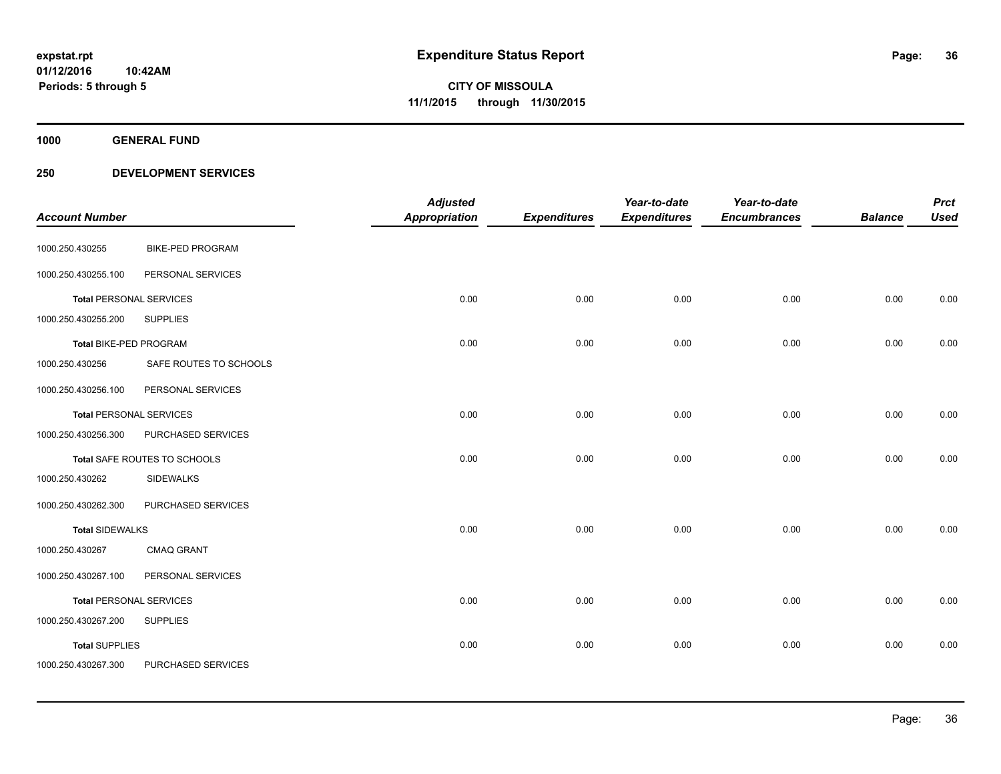**1000 GENERAL FUND**

| <b>Account Number</b>          |                         | <b>Adjusted</b><br><b>Appropriation</b> | <b>Expenditures</b> | Year-to-date<br><b>Expenditures</b> | Year-to-date<br><b>Encumbrances</b> | <b>Balance</b> | <b>Prct</b><br><b>Used</b> |
|--------------------------------|-------------------------|-----------------------------------------|---------------------|-------------------------------------|-------------------------------------|----------------|----------------------------|
| 1000.250.430255                | <b>BIKE-PED PROGRAM</b> |                                         |                     |                                     |                                     |                |                            |
| 1000.250.430255.100            | PERSONAL SERVICES       |                                         |                     |                                     |                                     |                |                            |
| <b>Total PERSONAL SERVICES</b> |                         | 0.00                                    | 0.00                | 0.00                                | 0.00                                | 0.00           | 0.00                       |
| 1000.250.430255.200            | <b>SUPPLIES</b>         |                                         |                     |                                     |                                     |                |                            |
| Total BIKE-PED PROGRAM         |                         | 0.00                                    | 0.00                | 0.00                                | 0.00                                | 0.00           | 0.00                       |
| 1000.250.430256                | SAFE ROUTES TO SCHOOLS  |                                         |                     |                                     |                                     |                |                            |
| 1000.250.430256.100            | PERSONAL SERVICES       |                                         |                     |                                     |                                     |                |                            |
| <b>Total PERSONAL SERVICES</b> |                         | 0.00                                    | 0.00                | 0.00                                | 0.00                                | 0.00           | 0.00                       |
| 1000.250.430256.300            | PURCHASED SERVICES      |                                         |                     |                                     |                                     |                |                            |
| Total SAFE ROUTES TO SCHOOLS   |                         | 0.00                                    | 0.00                | 0.00                                | 0.00                                | 0.00           | 0.00                       |
| 1000.250.430262                | <b>SIDEWALKS</b>        |                                         |                     |                                     |                                     |                |                            |
| 1000.250.430262.300            | PURCHASED SERVICES      |                                         |                     |                                     |                                     |                |                            |
| <b>Total SIDEWALKS</b>         |                         | 0.00                                    | 0.00                | 0.00                                | 0.00                                | 0.00           | 0.00                       |
| 1000.250.430267                | <b>CMAQ GRANT</b>       |                                         |                     |                                     |                                     |                |                            |
| 1000.250.430267.100            | PERSONAL SERVICES       |                                         |                     |                                     |                                     |                |                            |
| <b>Total PERSONAL SERVICES</b> |                         | 0.00                                    | 0.00                | 0.00                                | 0.00                                | 0.00           | 0.00                       |
| 1000.250.430267.200            | <b>SUPPLIES</b>         |                                         |                     |                                     |                                     |                |                            |
| <b>Total SUPPLIES</b>          |                         | 0.00                                    | 0.00                | 0.00                                | 0.00                                | 0.00           | 0.00                       |
| 1000.250.430267.300            | PURCHASED SERVICES      |                                         |                     |                                     |                                     |                |                            |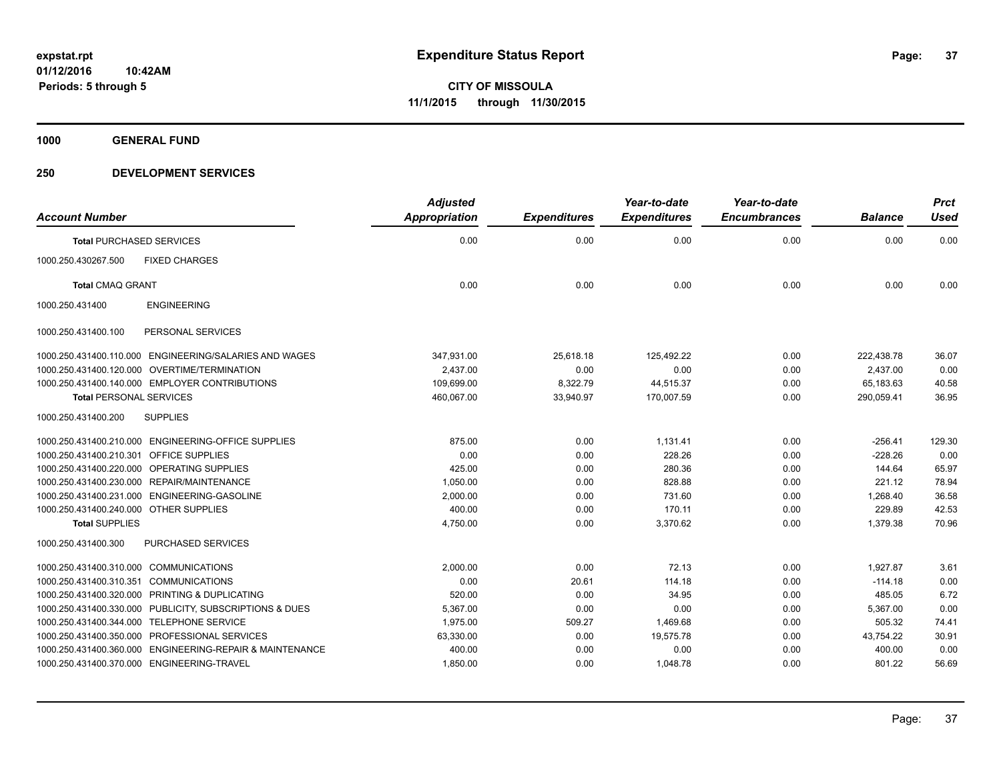**1000 GENERAL FUND**

### **250 DEVELOPMENT SERVICES**

| <b>Account Number</b>                                    | <b>Adjusted</b><br><b>Appropriation</b> | <b>Expenditures</b> | Year-to-date<br><b>Expenditures</b> | Year-to-date<br><b>Encumbrances</b> | <b>Balance</b> | <b>Prct</b><br><b>Used</b> |
|----------------------------------------------------------|-----------------------------------------|---------------------|-------------------------------------|-------------------------------------|----------------|----------------------------|
| <b>Total PURCHASED SERVICES</b>                          | 0.00                                    | 0.00                | 0.00                                | 0.00                                | 0.00           | 0.00                       |
| 1000.250.430267.500<br><b>FIXED CHARGES</b>              |                                         |                     |                                     |                                     |                |                            |
| <b>Total CMAQ GRANT</b>                                  | 0.00                                    | 0.00                | 0.00                                | 0.00                                | 0.00           | 0.00                       |
| <b>ENGINEERING</b><br>1000.250.431400                    |                                         |                     |                                     |                                     |                |                            |
| PERSONAL SERVICES<br>1000.250.431400.100                 |                                         |                     |                                     |                                     |                |                            |
| 1000.250.431400.110.000 ENGINEERING/SALARIES AND WAGES   | 347,931.00                              | 25,618.18           | 125,492.22                          | 0.00                                | 222,438.78     | 36.07                      |
| 1000.250.431400.120.000 OVERTIME/TERMINATION             | 2,437.00                                | 0.00                | 0.00                                | 0.00                                | 2,437.00       | 0.00                       |
| 1000.250.431400.140.000 EMPLOYER CONTRIBUTIONS           | 109.699.00                              | 8,322.79            | 44,515.37                           | 0.00                                | 65,183.63      | 40.58                      |
| <b>Total PERSONAL SERVICES</b>                           | 460,067.00                              | 33,940.97           | 170,007.59                          | 0.00                                | 290,059.41     | 36.95                      |
| 1000.250.431400.200<br><b>SUPPLIES</b>                   |                                         |                     |                                     |                                     |                |                            |
| 1000.250.431400.210.000 ENGINEERING-OFFICE SUPPLIES      | 875.00                                  | 0.00                | 1,131.41                            | 0.00                                | $-256.41$      | 129.30                     |
| 1000.250.431400.210.301<br><b>OFFICE SUPPLIES</b>        | 0.00                                    | 0.00                | 228.26                              | 0.00                                | $-228.26$      | 0.00                       |
| 1000.250.431400.220.000 OPERATING SUPPLIES               | 425.00                                  | 0.00                | 280.36                              | 0.00                                | 144.64         | 65.97                      |
| 1000.250.431400.230.000 REPAIR/MAINTENANCE               | 1,050.00                                | 0.00                | 828.88                              | 0.00                                | 221.12         | 78.94                      |
| 1000.250.431400.231.000 ENGINEERING-GASOLINE             | 2,000.00                                | 0.00                | 731.60                              | 0.00                                | 1,268.40       | 36.58                      |
| 1000.250.431400.240.000 OTHER SUPPLIES                   | 400.00                                  | 0.00                | 170.11                              | 0.00                                | 229.89         | 42.53                      |
| <b>Total SUPPLIES</b>                                    | 4,750.00                                | 0.00                | 3,370.62                            | 0.00                                | 1,379.38       | 70.96                      |
| 1000.250.431400.300<br><b>PURCHASED SERVICES</b>         |                                         |                     |                                     |                                     |                |                            |
| 1000.250.431400.310.000 COMMUNICATIONS                   | 2,000.00                                | 0.00                | 72.13                               | 0.00                                | 1.927.87       | 3.61                       |
| <b>COMMUNICATIONS</b><br>1000.250.431400.310.351         | 0.00                                    | 20.61               | 114.18                              | 0.00                                | $-114.18$      | 0.00                       |
| 1000.250.431400.320.000 PRINTING & DUPLICATING           | 520.00                                  | 0.00                | 34.95                               | 0.00                                | 485.05         | 6.72                       |
| 1000.250.431400.330.000 PUBLICITY, SUBSCRIPTIONS & DUES  | 5,367.00                                | 0.00                | 0.00                                | 0.00                                | 5,367.00       | 0.00                       |
| 1000.250.431400.344.000 TELEPHONE SERVICE                | 1,975.00                                | 509.27              | 1,469.68                            | 0.00                                | 505.32         | 74.41                      |
| 1000.250.431400.350.000 PROFESSIONAL SERVICES            | 63,330.00                               | 0.00                | 19,575.78                           | 0.00                                | 43,754.22      | 30.91                      |
| 1000.250.431400.360.000 ENGINEERING-REPAIR & MAINTENANCE | 400.00                                  | 0.00                | 0.00                                | 0.00                                | 400.00         | 0.00                       |
| 1000.250.431400.370.000 ENGINEERING-TRAVEL               | 1,850.00                                | 0.00                | 1,048.78                            | 0.00                                | 801.22         | 56.69                      |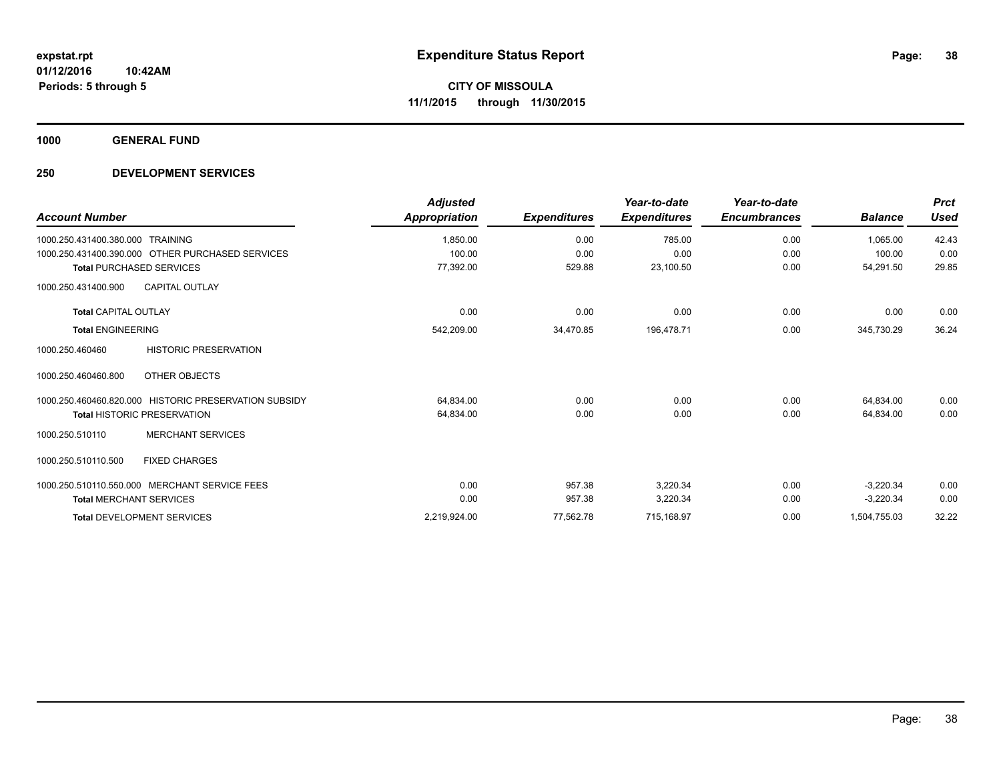**1000 GENERAL FUND**

### **250 DEVELOPMENT SERVICES**

| <b>Account Number</b>                                 | <b>Adjusted</b><br>Appropriation | <b>Expenditures</b> | Year-to-date<br><b>Expenditures</b> | Year-to-date<br><b>Encumbrances</b> | <b>Balance</b> | <b>Prct</b><br><b>Used</b> |
|-------------------------------------------------------|----------------------------------|---------------------|-------------------------------------|-------------------------------------|----------------|----------------------------|
| 1000.250.431400.380.000 TRAINING                      | 1,850.00                         | 0.00                | 785.00                              | 0.00                                | 1.065.00       | 42.43                      |
| 1000.250.431400.390.000 OTHER PURCHASED SERVICES      | 100.00                           | 0.00                | 0.00                                | 0.00                                | 100.00         | 0.00                       |
| <b>Total PURCHASED SERVICES</b>                       | 77,392.00                        | 529.88              | 23,100.50                           | 0.00                                | 54,291.50      | 29.85                      |
| 1000.250.431400.900<br><b>CAPITAL OUTLAY</b>          |                                  |                     |                                     |                                     |                |                            |
| <b>Total CAPITAL OUTLAY</b>                           | 0.00                             | 0.00                | 0.00                                | 0.00                                | 0.00           | 0.00                       |
| <b>Total ENGINEERING</b>                              | 542,209.00                       | 34,470.85           | 196,478.71                          | 0.00                                | 345,730.29     | 36.24                      |
| <b>HISTORIC PRESERVATION</b><br>1000.250.460460       |                                  |                     |                                     |                                     |                |                            |
| 1000.250.460460.800<br>OTHER OBJECTS                  |                                  |                     |                                     |                                     |                |                            |
| 1000.250.460460.820.000 HISTORIC PRESERVATION SUBSIDY | 64,834.00                        | 0.00                | 0.00                                | 0.00                                | 64.834.00      | 0.00                       |
| <b>Total HISTORIC PRESERVATION</b>                    | 64,834.00                        | 0.00                | 0.00                                | 0.00                                | 64,834.00      | 0.00                       |
| <b>MERCHANT SERVICES</b><br>1000.250.510110           |                                  |                     |                                     |                                     |                |                            |
| <b>FIXED CHARGES</b><br>1000.250.510110.500           |                                  |                     |                                     |                                     |                |                            |
| 1000.250.510110.550.000 MERCHANT SERVICE FEES         | 0.00                             | 957.38              | 3,220.34                            | 0.00                                | $-3,220.34$    | 0.00                       |
| <b>Total MERCHANT SERVICES</b>                        | 0.00                             | 957.38              | 3,220.34                            | 0.00                                | $-3,220.34$    | 0.00                       |
| <b>Total DEVELOPMENT SERVICES</b>                     | 2,219,924.00                     | 77,562.78           | 715,168.97                          | 0.00                                | 1,504,755.03   | 32.22                      |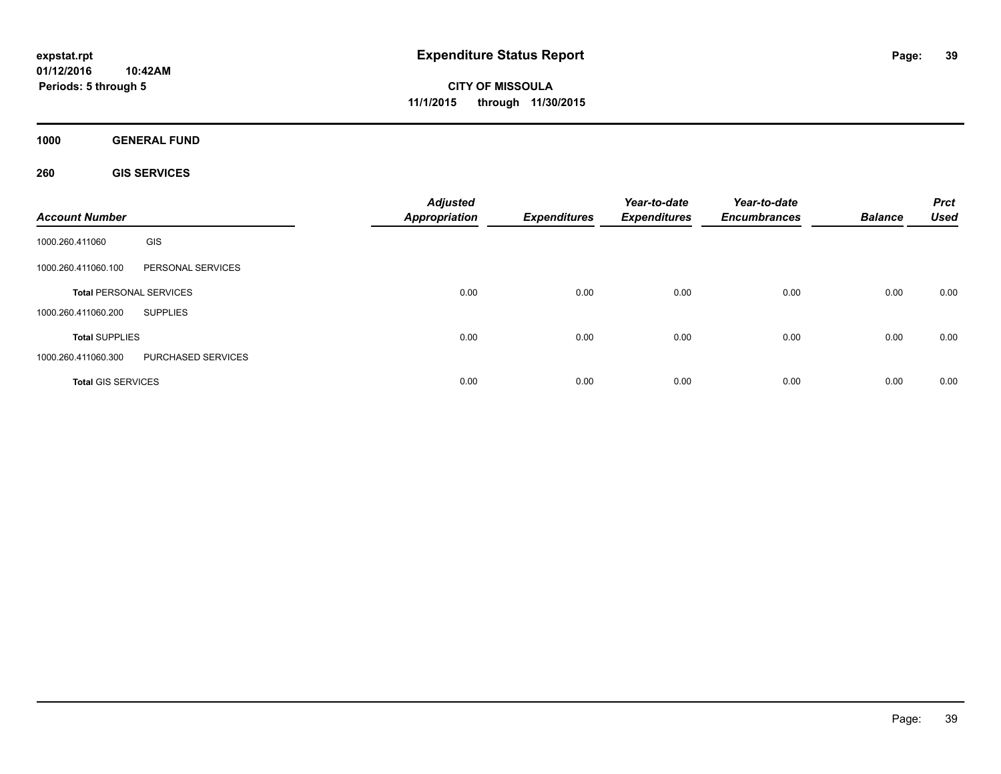**CITY OF MISSOULA 11/1/2015 through 11/30/2015**

**1000 GENERAL FUND**

**260 GIS SERVICES**

| <b>Account Number</b>     |                                | <b>Adjusted</b><br><b>Appropriation</b> | <b>Expenditures</b> | Year-to-date<br><b>Expenditures</b> | Year-to-date<br><b>Encumbrances</b> | <b>Balance</b> | <b>Prct</b><br><b>Used</b> |
|---------------------------|--------------------------------|-----------------------------------------|---------------------|-------------------------------------|-------------------------------------|----------------|----------------------------|
| 1000.260.411060           | GIS                            |                                         |                     |                                     |                                     |                |                            |
| 1000.260.411060.100       | PERSONAL SERVICES              |                                         |                     |                                     |                                     |                |                            |
|                           | <b>Total PERSONAL SERVICES</b> | 0.00                                    | 0.00                | 0.00                                | 0.00                                | 0.00           | 0.00                       |
| 1000.260.411060.200       | <b>SUPPLIES</b>                |                                         |                     |                                     |                                     |                |                            |
| <b>Total SUPPLIES</b>     |                                | 0.00                                    | 0.00                | 0.00                                | 0.00                                | 0.00           | 0.00                       |
| 1000.260.411060.300       | PURCHASED SERVICES             |                                         |                     |                                     |                                     |                |                            |
| <b>Total GIS SERVICES</b> |                                | 0.00                                    | 0.00                | 0.00                                | 0.00                                | 0.00           | 0.00                       |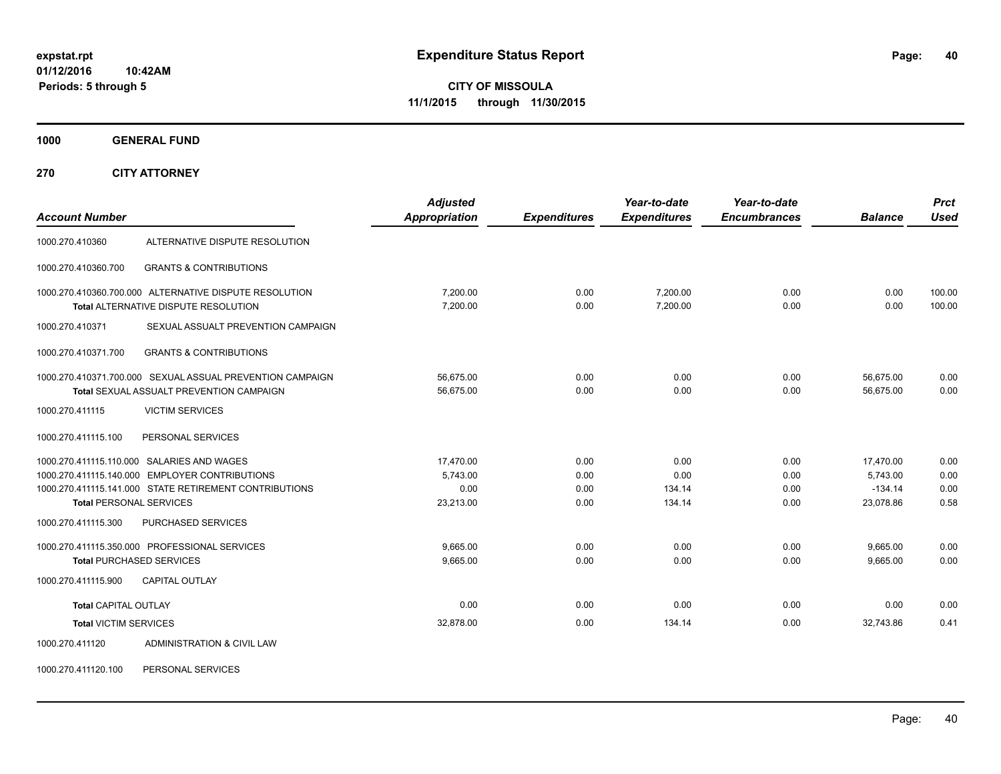**CITY OF MISSOULA 11/1/2015 through 11/30/2015**

**1000 GENERAL FUND**

**270 CITY ATTORNEY**

| <b>Account Number</b>          |                                                                                                       | <b>Adjusted</b><br><b>Appropriation</b> | <b>Expenditures</b> | Year-to-date<br><b>Expenditures</b> | Year-to-date<br><b>Encumbrances</b> | <b>Balance</b>         | <b>Prct</b><br><b>Used</b> |
|--------------------------------|-------------------------------------------------------------------------------------------------------|-----------------------------------------|---------------------|-------------------------------------|-------------------------------------|------------------------|----------------------------|
|                                |                                                                                                       |                                         |                     |                                     |                                     |                        |                            |
| 1000.270.410360                | ALTERNATIVE DISPUTE RESOLUTION                                                                        |                                         |                     |                                     |                                     |                        |                            |
| 1000.270.410360.700            | <b>GRANTS &amp; CONTRIBUTIONS</b>                                                                     |                                         |                     |                                     |                                     |                        |                            |
|                                | 1000.270.410360.700.000 ALTERNATIVE DISPUTE RESOLUTION<br><b>Total ALTERNATIVE DISPUTE RESOLUTION</b> | 7,200.00<br>7,200.00                    | 0.00<br>0.00        | 7,200.00<br>7,200.00                | 0.00<br>0.00                        | 0.00<br>0.00           | 100.00<br>100.00           |
| 1000.270.410371                | SEXUAL ASSUALT PREVENTION CAMPAIGN                                                                    |                                         |                     |                                     |                                     |                        |                            |
| 1000.270.410371.700            | <b>GRANTS &amp; CONTRIBUTIONS</b>                                                                     |                                         |                     |                                     |                                     |                        |                            |
|                                | 1000.270.410371.700.000 SEXUAL ASSUAL PREVENTION CAMPAIGN<br>Total SEXUAL ASSUALT PREVENTION CAMPAIGN | 56,675.00<br>56.675.00                  | 0.00<br>0.00        | 0.00<br>0.00                        | 0.00<br>0.00                        | 56,675.00<br>56.675.00 | 0.00<br>0.00               |
| 1000.270.411115                | <b>VICTIM SERVICES</b>                                                                                |                                         |                     |                                     |                                     |                        |                            |
| 1000.270.411115.100            | PERSONAL SERVICES                                                                                     |                                         |                     |                                     |                                     |                        |                            |
|                                | 1000.270.411115.110.000 SALARIES AND WAGES                                                            | 17,470.00                               | 0.00                | 0.00                                | 0.00                                | 17,470.00              | 0.00                       |
|                                | 1000.270.411115.140.000 EMPLOYER CONTRIBUTIONS                                                        | 5,743.00                                | 0.00                | 0.00                                | 0.00                                | 5,743.00               | 0.00                       |
|                                | 1000.270.411115.141.000 STATE RETIREMENT CONTRIBUTIONS                                                | 0.00                                    | 0.00                | 134.14                              | 0.00                                | $-134.14$              | 0.00                       |
| <b>Total PERSONAL SERVICES</b> |                                                                                                       | 23,213.00                               | 0.00                | 134.14                              | 0.00                                | 23,078.86              | 0.58                       |
| 1000.270.411115.300            | <b>PURCHASED SERVICES</b>                                                                             |                                         |                     |                                     |                                     |                        |                            |
|                                | 1000.270.411115.350.000 PROFESSIONAL SERVICES                                                         | 9.665.00                                | 0.00                | 0.00                                | 0.00                                | 9,665.00               | 0.00                       |
|                                | <b>Total PURCHASED SERVICES</b>                                                                       | 9,665.00                                | 0.00                | 0.00                                | 0.00                                | 9.665.00               | 0.00                       |
| 1000.270.411115.900            | <b>CAPITAL OUTLAY</b>                                                                                 |                                         |                     |                                     |                                     |                        |                            |
| <b>Total CAPITAL OUTLAY</b>    |                                                                                                       | 0.00                                    | 0.00                | 0.00                                | 0.00                                | 0.00                   | 0.00                       |
| <b>Total VICTIM SERVICES</b>   |                                                                                                       | 32,878.00                               | 0.00                | 134.14                              | 0.00                                | 32,743.86              | 0.41                       |
| 1000.270.411120                | ADMINISTRATION & CIVIL LAW                                                                            |                                         |                     |                                     |                                     |                        |                            |

1000.270.411120.100 PERSONAL SERVICES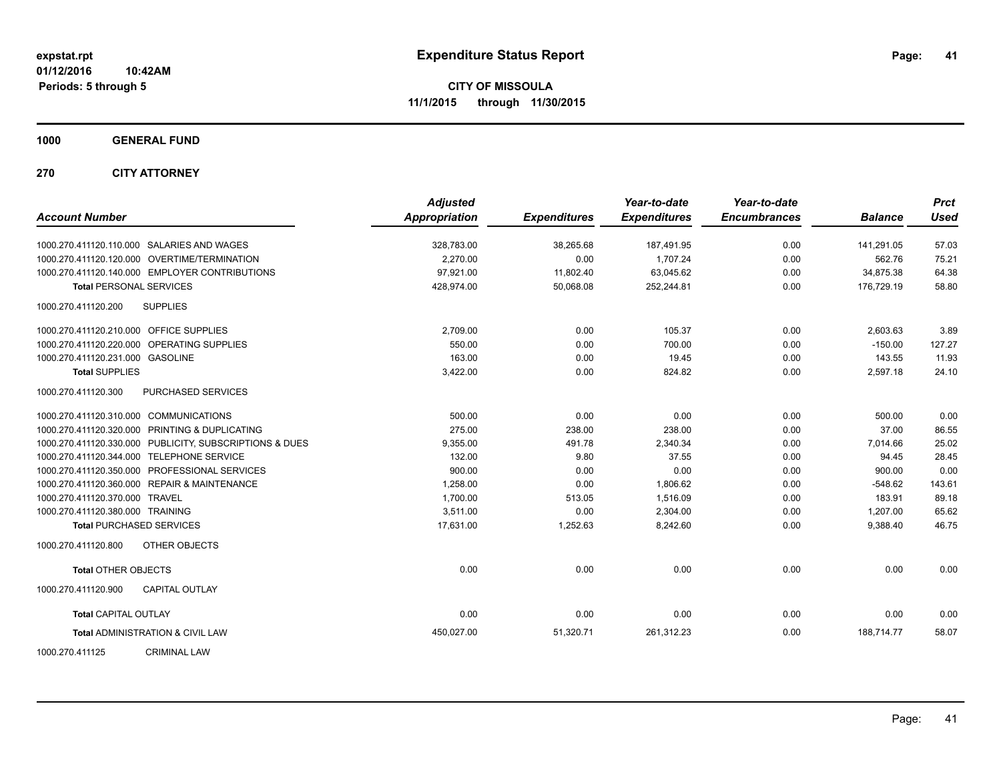**1000 GENERAL FUND**

**270 CITY ATTORNEY**

| <b>Account Number</b>                   |                                                         | <b>Adjusted</b><br><b>Appropriation</b> | <b>Expenditures</b> | Year-to-date<br><b>Expenditures</b> | Year-to-date<br><b>Encumbrances</b> | <b>Balance</b> | <b>Prct</b><br><b>Used</b> |
|-----------------------------------------|---------------------------------------------------------|-----------------------------------------|---------------------|-------------------------------------|-------------------------------------|----------------|----------------------------|
|                                         | 1000.270.411120.110.000 SALARIES AND WAGES              | 328,783.00                              | 38,265.68           | 187,491.95                          | 0.00                                | 141,291.05     | 57.03                      |
|                                         | 1000.270.411120.120.000 OVERTIME/TERMINATION            | 2.270.00                                | 0.00                | 1.707.24                            | 0.00                                | 562.76         | 75.21                      |
|                                         | 1000.270.411120.140.000 EMPLOYER CONTRIBUTIONS          | 97,921.00                               | 11,802.40           | 63,045.62                           | 0.00                                | 34,875.38      | 64.38                      |
| <b>Total PERSONAL SERVICES</b>          |                                                         | 428,974.00                              | 50,068.08           | 252,244.81                          | 0.00                                | 176,729.19     | 58.80                      |
| 1000.270.411120.200                     | <b>SUPPLIES</b>                                         |                                         |                     |                                     |                                     |                |                            |
| 1000.270.411120.210.000 OFFICE SUPPLIES |                                                         | 2,709.00                                | 0.00                | 105.37                              | 0.00                                | 2,603.63       | 3.89                       |
|                                         | 1000.270.411120.220.000 OPERATING SUPPLIES              | 550.00                                  | 0.00                | 700.00                              | 0.00                                | $-150.00$      | 127.27                     |
| 1000.270.411120.231.000 GASOLINE        |                                                         | 163.00                                  | 0.00                | 19.45                               | 0.00                                | 143.55         | 11.93                      |
| <b>Total SUPPLIES</b>                   |                                                         | 3,422.00                                | 0.00                | 824.82                              | 0.00                                | 2,597.18       | 24.10                      |
| 1000.270.411120.300                     | PURCHASED SERVICES                                      |                                         |                     |                                     |                                     |                |                            |
| 1000.270.411120.310.000 COMMUNICATIONS  |                                                         | 500.00                                  | 0.00                | 0.00                                | 0.00                                | 500.00         | 0.00                       |
|                                         | 1000.270.411120.320.000 PRINTING & DUPLICATING          | 275.00                                  | 238.00              | 238.00                              | 0.00                                | 37.00          | 86.55                      |
|                                         | 1000.270.411120.330.000 PUBLICITY, SUBSCRIPTIONS & DUES | 9,355.00                                | 491.78              | 2,340.34                            | 0.00                                | 7,014.66       | 25.02                      |
|                                         | 1000.270.411120.344.000 TELEPHONE SERVICE               | 132.00                                  | 9.80                | 37.55                               | 0.00                                | 94.45          | 28.45                      |
|                                         | 1000.270.411120.350.000 PROFESSIONAL SERVICES           | 900.00                                  | 0.00                | 0.00                                | 0.00                                | 900.00         | 0.00                       |
|                                         | 1000.270.411120.360.000 REPAIR & MAINTENANCE            | 1,258.00                                | 0.00                | 1,806.62                            | 0.00                                | $-548.62$      | 143.61                     |
| 1000.270.411120.370.000 TRAVEL          |                                                         | 1,700.00                                | 513.05              | 1,516.09                            | 0.00                                | 183.91         | 89.18                      |
| 1000.270.411120.380.000 TRAINING        |                                                         | 3,511.00                                | 0.00                | 2,304.00                            | 0.00                                | 1,207.00       | 65.62                      |
|                                         | <b>Total PURCHASED SERVICES</b>                         | 17,631.00                               | 1,252.63            | 8,242.60                            | 0.00                                | 9,388.40       | 46.75                      |
| 1000.270.411120.800                     | <b>OTHER OBJECTS</b>                                    |                                         |                     |                                     |                                     |                |                            |
| <b>Total OTHER OBJECTS</b>              |                                                         | 0.00                                    | 0.00                | 0.00                                | 0.00                                | 0.00           | 0.00                       |
| 1000.270.411120.900                     | <b>CAPITAL OUTLAY</b>                                   |                                         |                     |                                     |                                     |                |                            |
| <b>Total CAPITAL OUTLAY</b>             |                                                         | 0.00                                    | 0.00                | 0.00                                | 0.00                                | 0.00           | 0.00                       |
|                                         | <b>Total ADMINISTRATION &amp; CIVIL LAW</b>             | 450,027.00                              | 51,320.71           | 261,312.23                          | 0.00                                | 188.714.77     | 58.07                      |
| 1000.270.411125                         | <b>CRIMINAL LAW</b>                                     |                                         |                     |                                     |                                     |                |                            |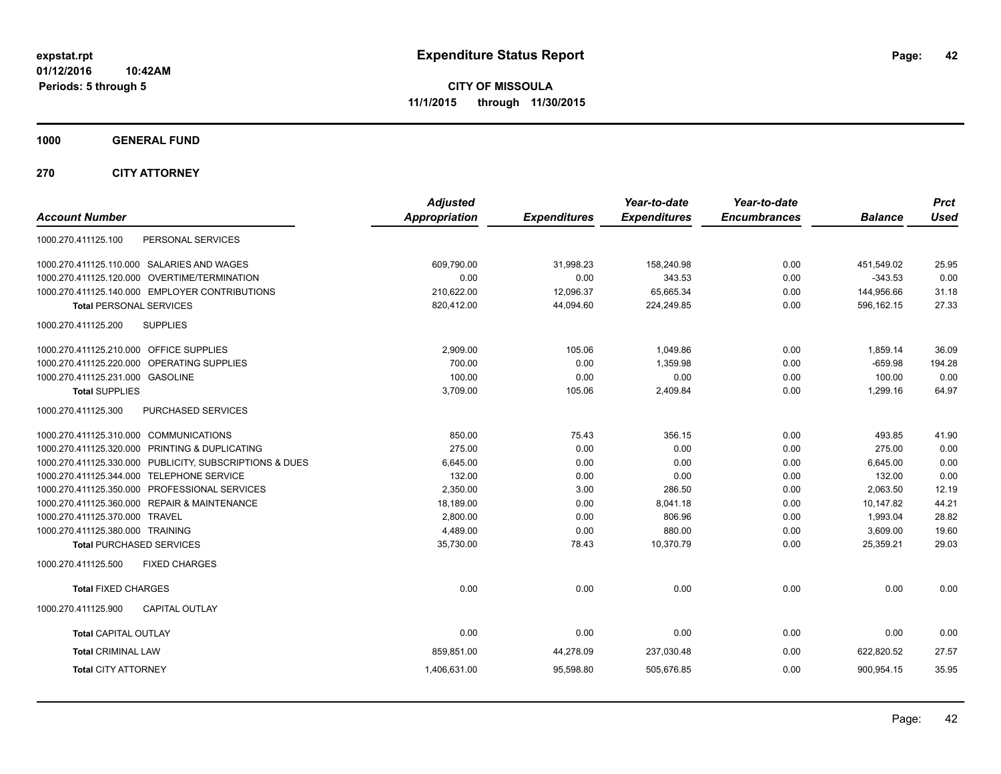**CITY OF MISSOULA 11/1/2015 through 11/30/2015**

**1000 GENERAL FUND**

**270 CITY ATTORNEY**

| <b>Account Number</b>                                   | <b>Adjusted</b><br><b>Appropriation</b> | <b>Expenditures</b> | Year-to-date<br><b>Expenditures</b> | Year-to-date<br><b>Encumbrances</b> | <b>Balance</b> | <b>Prct</b><br><b>Used</b> |
|---------------------------------------------------------|-----------------------------------------|---------------------|-------------------------------------|-------------------------------------|----------------|----------------------------|
| PERSONAL SERVICES<br>1000.270.411125.100                |                                         |                     |                                     |                                     |                |                            |
| 1000.270.411125.110.000 SALARIES AND WAGES              | 609,790.00                              | 31,998.23           | 158,240.98                          | 0.00                                | 451,549.02     | 25.95                      |
| 1000.270.411125.120.000 OVERTIME/TERMINATION            | 0.00                                    | 0.00                | 343.53                              | 0.00                                | $-343.53$      | 0.00                       |
| 1000.270.411125.140.000 EMPLOYER CONTRIBUTIONS          | 210,622.00                              | 12,096.37           | 65,665.34                           | 0.00                                | 144,956.66     | 31.18                      |
| <b>Total PERSONAL SERVICES</b>                          | 820,412.00                              | 44,094.60           | 224,249.85                          | 0.00                                | 596,162.15     | 27.33                      |
| 1000.270.411125.200<br><b>SUPPLIES</b>                  |                                         |                     |                                     |                                     |                |                            |
| 1000.270.411125.210.000 OFFICE SUPPLIES                 | 2,909.00                                | 105.06              | 1.049.86                            | 0.00                                | 1,859.14       | 36.09                      |
| OPERATING SUPPLIES<br>1000.270.411125.220.000           | 700.00                                  | 0.00                | 1,359.98                            | 0.00                                | $-659.98$      | 194.28                     |
| 1000.270.411125.231.000 GASOLINE                        | 100.00                                  | 0.00                | 0.00                                | 0.00                                | 100.00         | 0.00                       |
| <b>Total SUPPLIES</b>                                   | 3,709.00                                | 105.06              | 2,409.84                            | 0.00                                | 1,299.16       | 64.97                      |
| 1000.270.411125.300<br><b>PURCHASED SERVICES</b>        |                                         |                     |                                     |                                     |                |                            |
| 1000.270.411125.310.000 COMMUNICATIONS                  | 850.00                                  | 75.43               | 356.15                              | 0.00                                | 493.85         | 41.90                      |
| 1000.270.411125.320.000 PRINTING & DUPLICATING          | 275.00                                  | 0.00                | 0.00                                | 0.00                                | 275.00         | 0.00                       |
| 1000.270.411125.330.000 PUBLICITY, SUBSCRIPTIONS & DUES | 6,645.00                                | 0.00                | 0.00                                | 0.00                                | 6,645.00       | 0.00                       |
| 1000.270.411125.344.000 TELEPHONE SERVICE               | 132.00                                  | 0.00                | 0.00                                | 0.00                                | 132.00         | 0.00                       |
| 1000.270.411125.350.000 PROFESSIONAL SERVICES           | 2,350.00                                | 3.00                | 286.50                              | 0.00                                | 2,063.50       | 12.19                      |
| 1000.270.411125.360.000 REPAIR & MAINTENANCE            | 18,189.00                               | 0.00                | 8,041.18                            | 0.00                                | 10,147.82      | 44.21                      |
| 1000.270.411125.370.000 TRAVEL                          | 2,800.00                                | 0.00                | 806.96                              | 0.00                                | 1,993.04       | 28.82                      |
| 1000.270.411125.380.000 TRAINING                        | 4.489.00                                | 0.00                | 880.00                              | 0.00                                | 3,609.00       | 19.60                      |
| <b>Total PURCHASED SERVICES</b>                         | 35,730.00                               | 78.43               | 10,370.79                           | 0.00                                | 25,359.21      | 29.03                      |
| 1000.270.411125.500<br><b>FIXED CHARGES</b>             |                                         |                     |                                     |                                     |                |                            |
| <b>Total FIXED CHARGES</b>                              | 0.00                                    | 0.00                | 0.00                                | 0.00                                | 0.00           | 0.00                       |
| 1000.270.411125.900<br><b>CAPITAL OUTLAY</b>            |                                         |                     |                                     |                                     |                |                            |
| <b>Total CAPITAL OUTLAY</b>                             | 0.00                                    | 0.00                | 0.00                                | 0.00                                | 0.00           | 0.00                       |
| <b>Total CRIMINAL LAW</b>                               | 859,851.00                              | 44,278.09           | 237,030.48                          | 0.00                                | 622,820.52     | 27.57                      |
| <b>Total CITY ATTORNEY</b>                              | 1,406,631.00                            | 95,598.80           | 505,676.85                          | 0.00                                | 900,954.15     | 35.95                      |
|                                                         |                                         |                     |                                     |                                     |                |                            |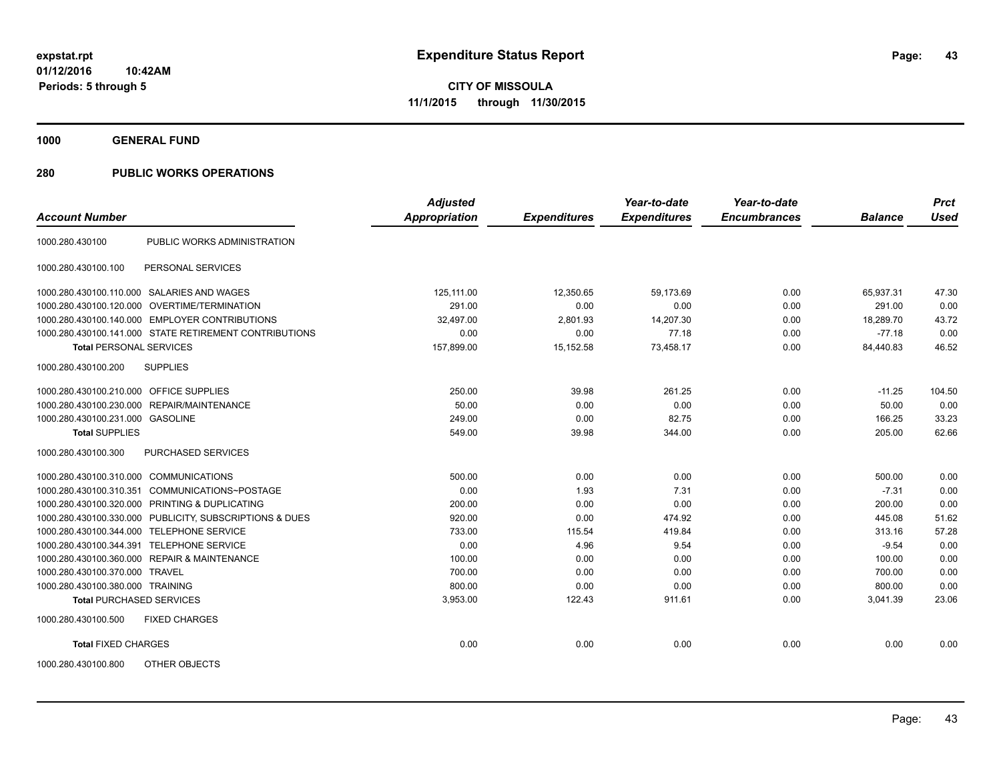**1000 GENERAL FUND**

| <b>Account Number</b>                   |                                                         | <b>Adjusted</b><br><b>Appropriation</b> | <b>Expenditures</b> | Year-to-date<br><b>Expenditures</b> | Year-to-date<br><b>Encumbrances</b> | <b>Balance</b> | <b>Prct</b><br><b>Used</b> |
|-----------------------------------------|---------------------------------------------------------|-----------------------------------------|---------------------|-------------------------------------|-------------------------------------|----------------|----------------------------|
|                                         |                                                         |                                         |                     |                                     |                                     |                |                            |
| 1000.280.430100                         | PUBLIC WORKS ADMINISTRATION                             |                                         |                     |                                     |                                     |                |                            |
| 1000.280.430100.100                     | PERSONAL SERVICES                                       |                                         |                     |                                     |                                     |                |                            |
|                                         | 1000.280.430100.110.000 SALARIES AND WAGES              | 125,111.00                              | 12,350.65           | 59,173.69                           | 0.00                                | 65,937.31      | 47.30                      |
|                                         | 1000.280.430100.120.000 OVERTIME/TERMINATION            | 291.00                                  | 0.00                | 0.00                                | 0.00                                | 291.00         | 0.00                       |
|                                         | 1000.280.430100.140.000 EMPLOYER CONTRIBUTIONS          | 32.497.00                               | 2,801.93            | 14,207.30                           | 0.00                                | 18.289.70      | 43.72                      |
|                                         | 1000.280.430100.141.000 STATE RETIREMENT CONTRIBUTIONS  | 0.00                                    | 0.00                | 77.18                               | 0.00                                | $-77.18$       | 0.00                       |
| <b>Total PERSONAL SERVICES</b>          |                                                         | 157,899.00                              | 15,152.58           | 73,458.17                           | 0.00                                | 84,440.83      | 46.52                      |
| 1000.280.430100.200                     | <b>SUPPLIES</b>                                         |                                         |                     |                                     |                                     |                |                            |
| 1000.280.430100.210.000 OFFICE SUPPLIES |                                                         | 250.00                                  | 39.98               | 261.25                              | 0.00                                | $-11.25$       | 104.50                     |
|                                         | 1000.280.430100.230.000 REPAIR/MAINTENANCE              | 50.00                                   | 0.00                | 0.00                                | 0.00                                | 50.00          | 0.00                       |
| 1000.280.430100.231.000 GASOLINE        |                                                         | 249.00                                  | 0.00                | 82.75                               | 0.00                                | 166.25         | 33.23                      |
| <b>Total SUPPLIES</b>                   |                                                         | 549.00                                  | 39.98               | 344.00                              | 0.00                                | 205.00         | 62.66                      |
| 1000.280.430100.300                     | PURCHASED SERVICES                                      |                                         |                     |                                     |                                     |                |                            |
| 1000.280.430100.310.000 COMMUNICATIONS  |                                                         | 500.00                                  | 0.00                | 0.00                                | 0.00                                | 500.00         | 0.00                       |
| 1000.280.430100.310.351                 | COMMUNICATIONS~POSTAGE                                  | 0.00                                    | 1.93                | 7.31                                | 0.00                                | $-7.31$        | 0.00                       |
|                                         | 1000.280.430100.320.000 PRINTING & DUPLICATING          | 200.00                                  | 0.00                | 0.00                                | 0.00                                | 200.00         | 0.00                       |
|                                         | 1000.280.430100.330.000 PUBLICITY, SUBSCRIPTIONS & DUES | 920.00                                  | 0.00                | 474.92                              | 0.00                                | 445.08         | 51.62                      |
|                                         | 1000.280.430100.344.000 TELEPHONE SERVICE               | 733.00                                  | 115.54              | 419.84                              | 0.00                                | 313.16         | 57.28                      |
|                                         | 1000.280.430100.344.391 TELEPHONE SERVICE               | 0.00                                    | 4.96                | 9.54                                | 0.00                                | $-9.54$        | 0.00                       |
|                                         | 1000.280.430100.360.000 REPAIR & MAINTENANCE            | 100.00                                  | 0.00                | 0.00                                | 0.00                                | 100.00         | 0.00                       |
| 1000.280.430100.370.000 TRAVEL          |                                                         | 700.00                                  | 0.00                | 0.00                                | 0.00                                | 700.00         | 0.00                       |
| 1000.280.430100.380.000 TRAINING        |                                                         | 800.00                                  | 0.00                | 0.00                                | 0.00                                | 800.00         | 0.00                       |
| <b>Total PURCHASED SERVICES</b>         |                                                         | 3,953.00                                | 122.43              | 911.61                              | 0.00                                | 3,041.39       | 23.06                      |
| 1000.280.430100.500                     | <b>FIXED CHARGES</b>                                    |                                         |                     |                                     |                                     |                |                            |
| <b>Total FIXED CHARGES</b>              |                                                         | 0.00                                    | 0.00                | 0.00                                | 0.00                                | 0.00           | 0.00                       |
| 1000.280.430100.800                     | OTHER OBJECTS                                           |                                         |                     |                                     |                                     |                |                            |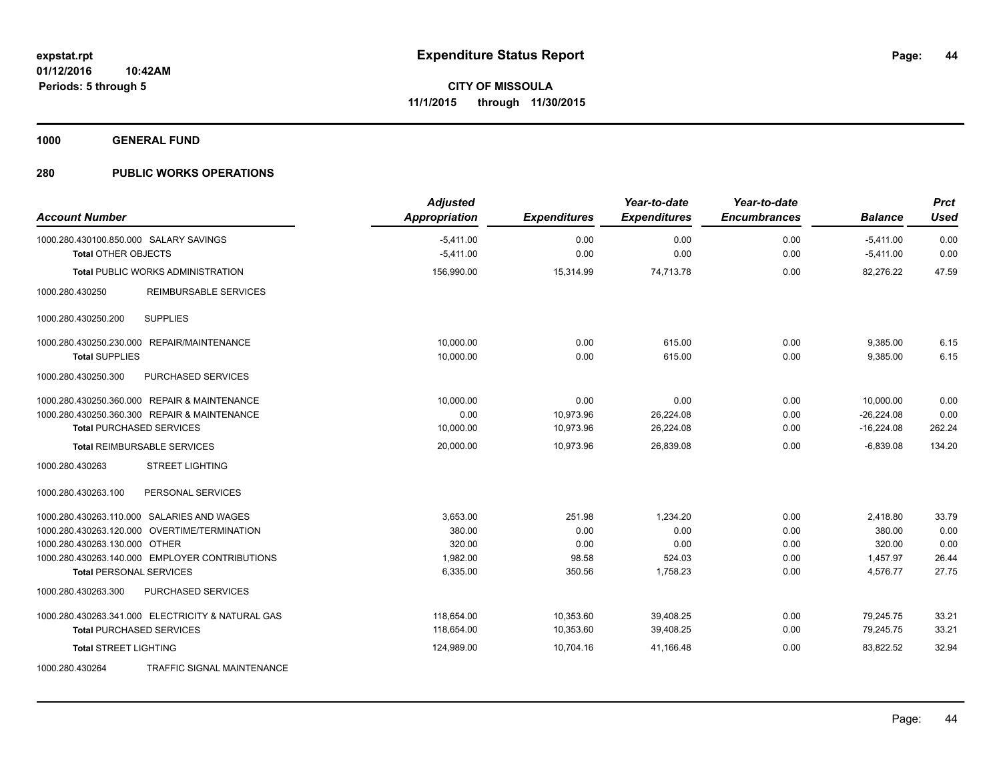**1000 GENERAL FUND**

| <b>Account Number</b>                                                | <b>Adjusted</b><br><b>Appropriation</b> | <b>Expenditures</b> | Year-to-date<br><b>Expenditures</b> | Year-to-date<br><b>Encumbrances</b> | <b>Balance</b>             | <b>Prct</b><br><b>Used</b> |
|----------------------------------------------------------------------|-----------------------------------------|---------------------|-------------------------------------|-------------------------------------|----------------------------|----------------------------|
| 1000.280.430100.850.000 SALARY SAVINGS<br><b>Total OTHER OBJECTS</b> | $-5,411.00$<br>$-5,411.00$              | 0.00<br>0.00        | 0.00<br>0.00                        | 0.00<br>0.00                        | $-5,411.00$<br>$-5,411.00$ | 0.00<br>0.00               |
| <b>Total PUBLIC WORKS ADMINISTRATION</b>                             | 156,990.00                              | 15,314.99           | 74,713.78                           | 0.00                                | 82.276.22                  | 47.59                      |
| 1000.280.430250<br><b>REIMBURSABLE SERVICES</b>                      |                                         |                     |                                     |                                     |                            |                            |
| <b>SUPPLIES</b><br>1000.280.430250.200                               |                                         |                     |                                     |                                     |                            |                            |
| 1000.280.430250.230.000 REPAIR/MAINTENANCE                           | 10,000.00                               | 0.00                | 615.00                              | 0.00                                | 9,385.00                   | 6.15                       |
| <b>Total SUPPLIES</b>                                                | 10,000.00                               | 0.00                | 615.00                              | 0.00                                | 9,385.00                   | 6.15                       |
| 1000.280.430250.300<br>PURCHASED SERVICES                            |                                         |                     |                                     |                                     |                            |                            |
| 1000.280.430250.360.000 REPAIR & MAINTENANCE                         | 10.000.00                               | 0.00                | 0.00                                | 0.00                                | 10.000.00                  | 0.00                       |
| 1000.280.430250.360.300 REPAIR & MAINTENANCE                         | 0.00                                    | 10,973.96           | 26,224.08                           | 0.00                                | $-26,224.08$               | 0.00                       |
| <b>Total PURCHASED SERVICES</b>                                      | 10,000.00                               | 10,973.96           | 26,224.08                           | 0.00                                | $-16,224.08$               | 262.24                     |
| <b>Total REIMBURSABLE SERVICES</b>                                   | 20,000.00                               | 10,973.96           | 26,839.08                           | 0.00                                | $-6,839.08$                | 134.20                     |
| <b>STREET LIGHTING</b><br>1000.280.430263                            |                                         |                     |                                     |                                     |                            |                            |
| 1000.280.430263.100<br>PERSONAL SERVICES                             |                                         |                     |                                     |                                     |                            |                            |
| 1000.280.430263.110.000 SALARIES AND WAGES                           | 3,653.00                                | 251.98              | 1,234.20                            | 0.00                                | 2,418.80                   | 33.79                      |
| 1000.280.430263.120.000 OVERTIME/TERMINATION                         | 380.00                                  | 0.00                | 0.00                                | 0.00                                | 380.00                     | 0.00                       |
| 1000.280.430263.130.000 OTHER                                        | 320.00                                  | 0.00                | 0.00                                | 0.00                                | 320.00                     | 0.00                       |
| 1000.280.430263.140.000 EMPLOYER CONTRIBUTIONS                       | 1,982.00                                | 98.58               | 524.03                              | 0.00                                | 1,457.97                   | 26.44                      |
| <b>Total PERSONAL SERVICES</b>                                       | 6,335.00                                | 350.56              | 1,758.23                            | 0.00                                | 4,576.77                   | 27.75                      |
| 1000.280.430263.300<br>PURCHASED SERVICES                            |                                         |                     |                                     |                                     |                            |                            |
| 1000.280.430263.341.000 ELECTRICITY & NATURAL GAS                    | 118,654.00                              | 10,353.60           | 39,408.25                           | 0.00                                | 79,245.75                  | 33.21                      |
| <b>Total PURCHASED SERVICES</b>                                      | 118,654.00                              | 10,353.60           | 39,408.25                           | 0.00                                | 79,245.75                  | 33.21                      |
| <b>Total STREET LIGHTING</b>                                         | 124,989.00                              | 10,704.16           | 41,166.48                           | 0.00                                | 83,822.52                  | 32.94                      |
| TRAFFIC SIGNAL MAINTENANCE<br>1000.280.430264                        |                                         |                     |                                     |                                     |                            |                            |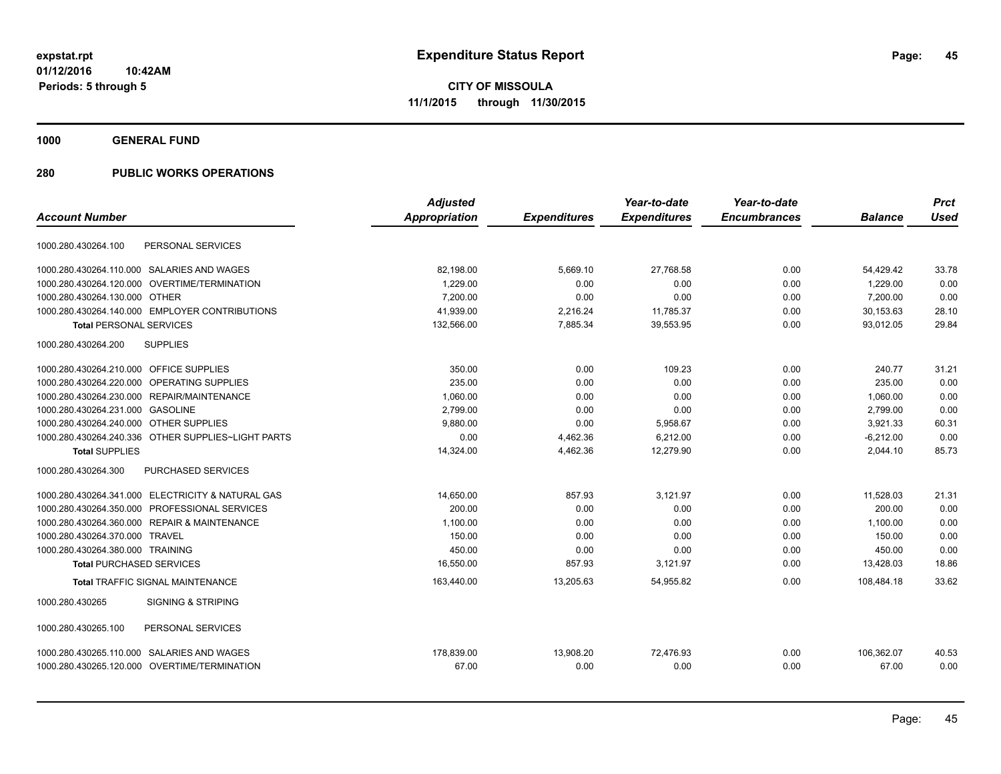**1000 GENERAL FUND**

|                                                    | <b>Adjusted</b> |                     | Year-to-date        | Year-to-date        |                | <b>Prct</b> |
|----------------------------------------------------|-----------------|---------------------|---------------------|---------------------|----------------|-------------|
| <b>Account Number</b>                              | Appropriation   | <b>Expenditures</b> | <b>Expenditures</b> | <b>Encumbrances</b> | <b>Balance</b> | <b>Used</b> |
| PERSONAL SERVICES<br>1000.280.430264.100           |                 |                     |                     |                     |                |             |
| 1000.280.430264.110.000 SALARIES AND WAGES         | 82,198.00       | 5,669.10            | 27,768.58           | 0.00                | 54,429.42      | 33.78       |
| 1000.280.430264.120.000<br>OVERTIME/TERMINATION    | 1,229.00        | 0.00                | 0.00                | 0.00                | 1,229.00       | 0.00        |
| 1000.280.430264.130.000 OTHER                      | 7,200.00        | 0.00                | 0.00                | 0.00                | 7,200.00       | 0.00        |
| 1000.280.430264.140.000 EMPLOYER CONTRIBUTIONS     | 41,939.00       | 2,216.24            | 11,785.37           | 0.00                | 30,153.63      | 28.10       |
| <b>Total PERSONAL SERVICES</b>                     | 132,566.00      | 7,885.34            | 39,553.95           | 0.00                | 93,012.05      | 29.84       |
| <b>SUPPLIES</b><br>1000.280.430264.200             |                 |                     |                     |                     |                |             |
| 1000.280.430264.210.000 OFFICE SUPPLIES            | 350.00          | 0.00                | 109.23              | 0.00                | 240.77         | 31.21       |
| 1000.280.430264.220.000 OPERATING SUPPLIES         | 235.00          | 0.00                | 0.00                | 0.00                | 235.00         | 0.00        |
| 1000.280.430264.230.000 REPAIR/MAINTENANCE         | 1,060.00        | 0.00                | 0.00                | 0.00                | 1,060.00       | 0.00        |
| 1000.280.430264.231.000 GASOLINE                   | 2,799.00        | 0.00                | 0.00                | 0.00                | 2.799.00       | 0.00        |
| 1000.280.430264.240.000 OTHER SUPPLIES             | 9.880.00        | 0.00                | 5,958.67            | 0.00                | 3,921.33       | 60.31       |
| 1000.280.430264.240.336 OTHER SUPPLIES~LIGHT PARTS | 0.00            | 4,462.36            | 6,212.00            | 0.00                | $-6,212.00$    | 0.00        |
| <b>Total SUPPLIES</b>                              | 14,324.00       | 4,462.36            | 12,279.90           | 0.00                | 2,044.10       | 85.73       |
| PURCHASED SERVICES<br>1000.280.430264.300          |                 |                     |                     |                     |                |             |
| 1000.280.430264.341.000 ELECTRICITY & NATURAL GAS  | 14.650.00       | 857.93              | 3,121.97            | 0.00                | 11,528.03      | 21.31       |
| 1000.280.430264.350.000 PROFESSIONAL SERVICES      | 200.00          | 0.00                | 0.00                | 0.00                | 200.00         | 0.00        |
| 1000.280.430264.360.000 REPAIR & MAINTENANCE       | 1,100.00        | 0.00                | 0.00                | 0.00                | 1,100.00       | 0.00        |
| 1000.280.430264.370.000 TRAVEL                     | 150.00          | 0.00                | 0.00                | 0.00                | 150.00         | 0.00        |
| 1000.280.430264.380.000 TRAINING                   | 450.00          | 0.00                | 0.00                | 0.00                | 450.00         | 0.00        |
| <b>Total PURCHASED SERVICES</b>                    | 16,550.00       | 857.93              | 3,121.97            | 0.00                | 13,428.03      | 18.86       |
| <b>Total TRAFFIC SIGNAL MAINTENANCE</b>            | 163,440.00      | 13,205.63           | 54,955.82           | 0.00                | 108,484.18     | 33.62       |
| 1000.280.430265<br><b>SIGNING &amp; STRIPING</b>   |                 |                     |                     |                     |                |             |
| PERSONAL SERVICES<br>1000.280.430265.100           |                 |                     |                     |                     |                |             |
| 1000.280.430265.110.000 SALARIES AND WAGES         | 178.839.00      | 13,908.20           | 72.476.93           | 0.00                | 106.362.07     | 40.53       |
| 1000.280.430265.120.000 OVERTIME/TERMINATION       | 67.00           | 0.00                | 0.00                | 0.00                | 67.00          | 0.00        |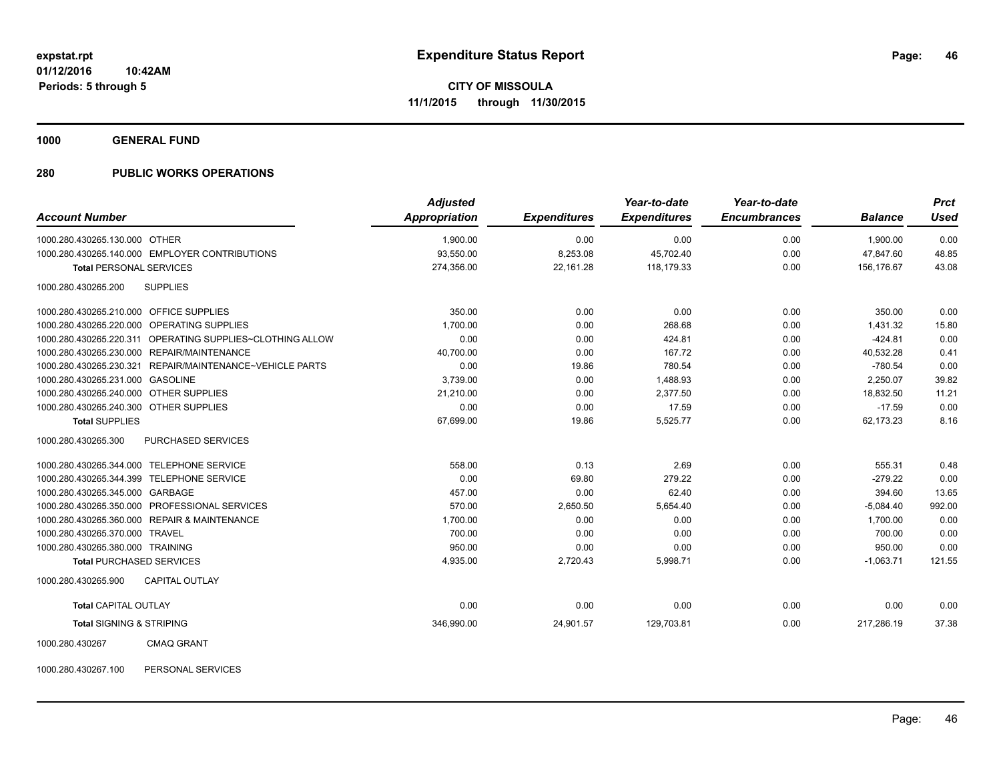**1000 GENERAL FUND**

### **280 PUBLIC WORKS OPERATIONS**

| <b>Account Number</b>                                     | <b>Adjusted</b><br><b>Appropriation</b> | <b>Expenditures</b> | Year-to-date<br><b>Expenditures</b> | Year-to-date<br><b>Encumbrances</b> | <b>Balance</b> | <b>Prct</b><br><b>Used</b> |
|-----------------------------------------------------------|-----------------------------------------|---------------------|-------------------------------------|-------------------------------------|----------------|----------------------------|
|                                                           |                                         |                     |                                     |                                     |                |                            |
| 1000.280.430265.130.000 OTHER                             | 1,900.00                                | 0.00                | 0.00                                | 0.00                                | 1,900.00       | 0.00                       |
| 1000.280.430265.140.000 EMPLOYER CONTRIBUTIONS            | 93,550.00                               | 8,253.08            | 45,702.40                           | 0.00                                | 47,847.60      | 48.85                      |
| <b>Total PERSONAL SERVICES</b>                            | 274,356.00                              | 22,161.28           | 118,179.33                          | 0.00                                | 156.176.67     | 43.08                      |
| 1000.280.430265.200<br><b>SUPPLIES</b>                    |                                         |                     |                                     |                                     |                |                            |
| 1000.280.430265.210.000 OFFICE SUPPLIES                   | 350.00                                  | 0.00                | 0.00                                | 0.00                                | 350.00         | 0.00                       |
| 1000.280.430265.220.000 OPERATING SUPPLIES                | 1,700.00                                | 0.00                | 268.68                              | 0.00                                | 1,431.32       | 15.80                      |
| 1000.280.430265.220.311 OPERATING SUPPLIES~CLOTHING ALLOW | 0.00                                    | 0.00                | 424.81                              | 0.00                                | $-424.81$      | 0.00                       |
| 1000.280.430265.230.000 REPAIR/MAINTENANCE                | 40,700.00                               | 0.00                | 167.72                              | 0.00                                | 40,532.28      | 0.41                       |
| 1000.280.430265.230.321 REPAIR/MAINTENANCE~VEHICLE PARTS  | 0.00                                    | 19.86               | 780.54                              | 0.00                                | $-780.54$      | 0.00                       |
| 1000.280.430265.231.000 GASOLINE                          | 3,739.00                                | 0.00                | 1,488.93                            | 0.00                                | 2,250.07       | 39.82                      |
| 1000.280.430265.240.000 OTHER SUPPLIES                    | 21,210.00                               | 0.00                | 2,377.50                            | 0.00                                | 18,832.50      | 11.21                      |
| 1000.280.430265.240.300 OTHER SUPPLIES                    | 0.00                                    | 0.00                | 17.59                               | 0.00                                | $-17.59$       | 0.00                       |
| <b>Total SUPPLIES</b>                                     | 67,699.00                               | 19.86               | 5,525.77                            | 0.00                                | 62.173.23      | 8.16                       |
| 1000.280.430265.300<br>PURCHASED SERVICES                 |                                         |                     |                                     |                                     |                |                            |
| 1000.280.430265.344.000 TELEPHONE SERVICE                 | 558.00                                  | 0.13                | 2.69                                | 0.00                                | 555.31         | 0.48                       |
| 1000.280.430265.344.399 TELEPHONE SERVICE                 | 0.00                                    | 69.80               | 279.22                              | 0.00                                | $-279.22$      | 0.00                       |
| 1000.280.430265.345.000 GARBAGE                           | 457.00                                  | 0.00                | 62.40                               | 0.00                                | 394.60         | 13.65                      |
| 1000.280.430265.350.000 PROFESSIONAL SERVICES             | 570.00                                  | 2,650.50            | 5,654.40                            | 0.00                                | $-5,084.40$    | 992.00                     |
| 1000.280.430265.360.000 REPAIR & MAINTENANCE              | 1,700.00                                | 0.00                | 0.00                                | 0.00                                | 1.700.00       | 0.00                       |
| 1000.280.430265.370.000 TRAVEL                            | 700.00                                  | 0.00                | 0.00                                | 0.00                                | 700.00         | 0.00                       |
| 1000.280.430265.380.000 TRAINING                          | 950.00                                  | 0.00                | 0.00                                | 0.00                                | 950.00         | 0.00                       |
| <b>Total PURCHASED SERVICES</b>                           | 4,935.00                                | 2,720.43            | 5,998.71                            | 0.00                                | $-1,063.71$    | 121.55                     |
| <b>CAPITAL OUTLAY</b><br>1000.280.430265.900              |                                         |                     |                                     |                                     |                |                            |
| <b>Total CAPITAL OUTLAY</b>                               | 0.00                                    | 0.00                | 0.00                                | 0.00                                | 0.00           | 0.00                       |
| <b>Total SIGNING &amp; STRIPING</b>                       | 346,990.00                              | 24,901.57           | 129,703.81                          | 0.00                                | 217,286.19     | 37.38                      |
| 1000.280.430267<br><b>CMAQ GRANT</b>                      |                                         |                     |                                     |                                     |                |                            |

1000.280.430267.100 PERSONAL SERVICES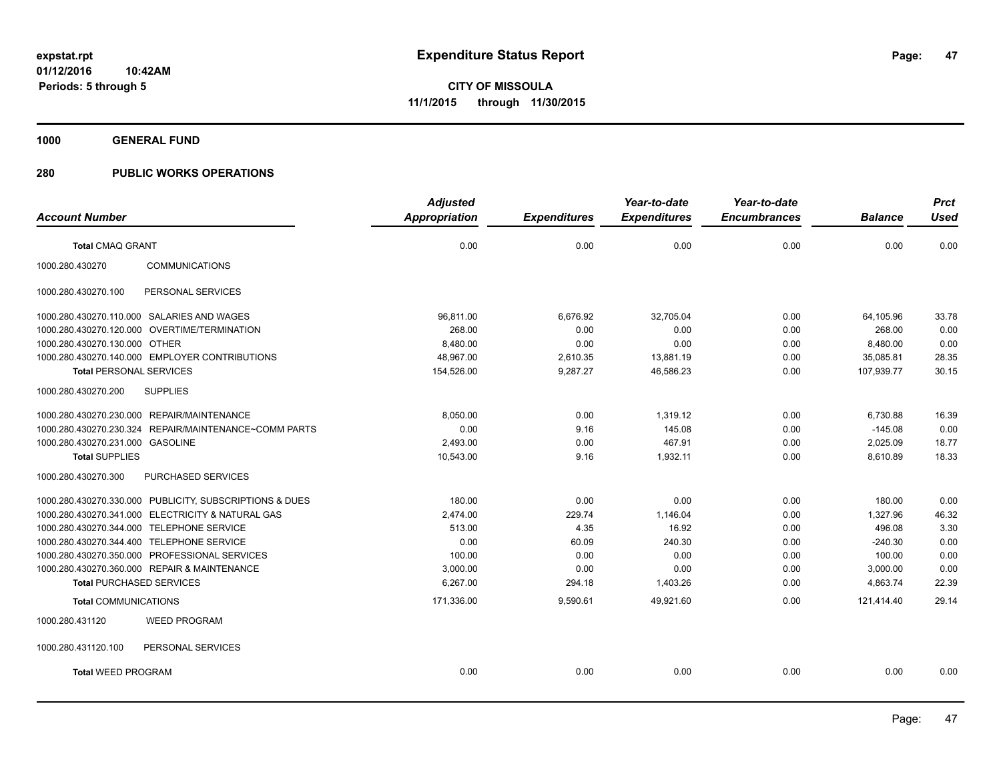**1000 GENERAL FUND**

|                                                         | <b>Adjusted</b> |                     | Year-to-date        | Year-to-date        |                | <b>Prct</b> |
|---------------------------------------------------------|-----------------|---------------------|---------------------|---------------------|----------------|-------------|
| <b>Account Number</b>                                   | Appropriation   | <b>Expenditures</b> | <b>Expenditures</b> | <b>Encumbrances</b> | <b>Balance</b> | <b>Used</b> |
| <b>Total CMAQ GRANT</b>                                 | 0.00            | 0.00                | 0.00                | 0.00                | 0.00           | 0.00        |
| 1000.280.430270<br><b>COMMUNICATIONS</b>                |                 |                     |                     |                     |                |             |
| PERSONAL SERVICES<br>1000.280.430270.100                |                 |                     |                     |                     |                |             |
| 1000.280.430270.110.000 SALARIES AND WAGES              | 96,811.00       | 6,676.92            | 32.705.04           | 0.00                | 64,105.96      | 33.78       |
| 1000.280.430270.120.000 OVERTIME/TERMINATION            | 268.00          | 0.00                | 0.00                | 0.00                | 268.00         | 0.00        |
| 1000.280.430270.130.000 OTHER                           | 8,480.00        | 0.00                | 0.00                | 0.00                | 8,480.00       | 0.00        |
| 1000.280.430270.140.000 EMPLOYER CONTRIBUTIONS          | 48,967.00       | 2,610.35            | 13,881.19           | 0.00                | 35,085.81      | 28.35       |
| <b>Total PERSONAL SERVICES</b>                          | 154,526.00      | 9,287.27            | 46,586.23           | 0.00                | 107.939.77     | 30.15       |
| 1000.280.430270.200<br><b>SUPPLIES</b>                  |                 |                     |                     |                     |                |             |
| 1000.280.430270.230.000 REPAIR/MAINTENANCE              | 8,050.00        | 0.00                | 1.319.12            | 0.00                | 6,730.88       | 16.39       |
| 1000.280.430270.230.324 REPAIR/MAINTENANCE~COMM PARTS   | 0.00            | 9.16                | 145.08              | 0.00                | $-145.08$      | 0.00        |
| 1000.280.430270.231.000 GASOLINE                        | 2,493.00        | 0.00                | 467.91              | 0.00                | 2,025.09       | 18.77       |
| <b>Total SUPPLIES</b>                                   | 10,543.00       | 9.16                | 1,932.11            | 0.00                | 8,610.89       | 18.33       |
| 1000.280.430270.300<br>PURCHASED SERVICES               |                 |                     |                     |                     |                |             |
| 1000.280.430270.330.000 PUBLICITY, SUBSCRIPTIONS & DUES | 180.00          | 0.00                | 0.00                | 0.00                | 180.00         | 0.00        |
| 1000.280.430270.341.000 ELECTRICITY & NATURAL GAS       | 2,474.00        | 229.74              | 1,146.04            | 0.00                | 1,327.96       | 46.32       |
| 1000.280.430270.344.000 TELEPHONE SERVICE               | 513.00          | 4.35                | 16.92               | 0.00                | 496.08         | 3.30        |
| 1000.280.430270.344.400 TELEPHONE SERVICE               | 0.00            | 60.09               | 240.30              | 0.00                | $-240.30$      | 0.00        |
| 1000.280.430270.350.000 PROFESSIONAL SERVICES           | 100.00          | 0.00                | 0.00                | 0.00                | 100.00         | 0.00        |
| 1000.280.430270.360.000 REPAIR & MAINTENANCE            | 3,000.00        | 0.00                | 0.00                | 0.00                | 3,000.00       | 0.00        |
| <b>Total PURCHASED SERVICES</b>                         | 6,267.00        | 294.18              | 1,403.26            | 0.00                | 4,863.74       | 22.39       |
| <b>Total COMMUNICATIONS</b>                             | 171,336.00      | 9,590.61            | 49,921.60           | 0.00                | 121,414.40     | 29.14       |
| 1000.280.431120<br><b>WEED PROGRAM</b>                  |                 |                     |                     |                     |                |             |
| 1000.280.431120.100<br>PERSONAL SERVICES                |                 |                     |                     |                     |                |             |
| <b>Total WEED PROGRAM</b>                               | 0.00            | 0.00                | 0.00                | 0.00                | 0.00           | 0.00        |
|                                                         |                 |                     |                     |                     |                |             |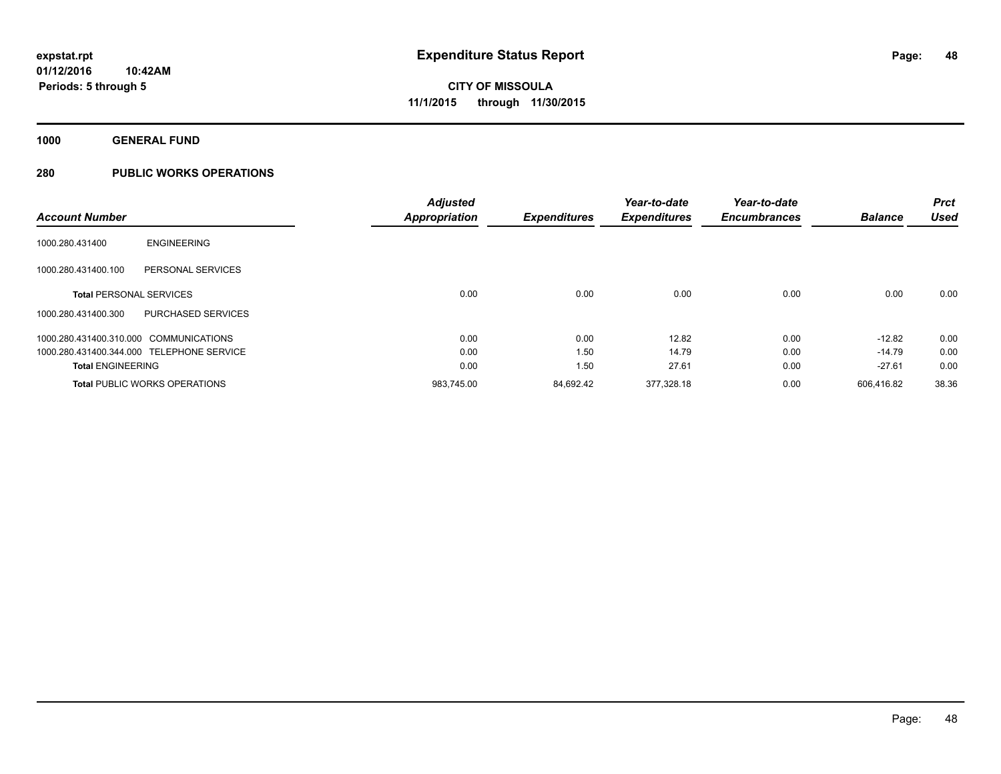**1000 GENERAL FUND**

|                                |                                           | <b>Adjusted</b>      |                     | Year-to-date        | Year-to-date        |                | <b>Prct</b> |
|--------------------------------|-------------------------------------------|----------------------|---------------------|---------------------|---------------------|----------------|-------------|
| <b>Account Number</b>          |                                           | <b>Appropriation</b> | <b>Expenditures</b> | <b>Expenditures</b> | <b>Encumbrances</b> | <b>Balance</b> | <b>Used</b> |
| 1000.280.431400                | <b>ENGINEERING</b>                        |                      |                     |                     |                     |                |             |
| 1000.280.431400.100            | PERSONAL SERVICES                         |                      |                     |                     |                     |                |             |
| <b>Total PERSONAL SERVICES</b> |                                           | 0.00                 | 0.00                | 0.00                | 0.00                | 0.00           | 0.00        |
| 1000.280.431400.300            | PURCHASED SERVICES                        |                      |                     |                     |                     |                |             |
|                                | 1000.280.431400.310.000 COMMUNICATIONS    | 0.00                 | 0.00                | 12.82               | 0.00                | $-12.82$       | 0.00        |
|                                | 1000.280.431400.344.000 TELEPHONE SERVICE | 0.00                 | 1.50                | 14.79               | 0.00                | $-14.79$       | 0.00        |
| <b>Total ENGINEERING</b>       |                                           | 0.00                 | 1.50                | 27.61               | 0.00                | $-27.61$       | 0.00        |
|                                | <b>Total PUBLIC WORKS OPERATIONS</b>      | 983.745.00           | 84.692.42           | 377.328.18          | 0.00                | 606.416.82     | 38.36       |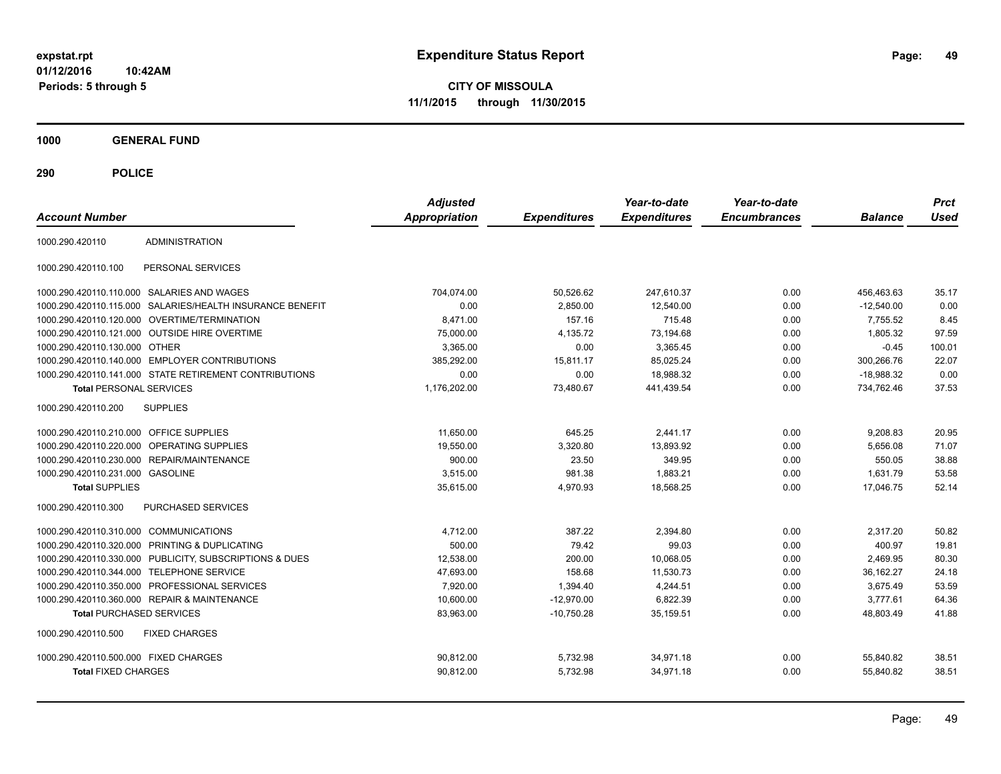**CITY OF MISSOULA 11/1/2015 through 11/30/2015**

**1000 GENERAL FUND**

| <b>Account Number</b>                   |                                                        | <b>Adjusted</b><br><b>Appropriation</b> | <b>Expenditures</b> | Year-to-date<br><b>Expenditures</b> | Year-to-date<br><b>Encumbrances</b> | <b>Balance</b> | <b>Prct</b><br><b>Used</b> |
|-----------------------------------------|--------------------------------------------------------|-----------------------------------------|---------------------|-------------------------------------|-------------------------------------|----------------|----------------------------|
| 1000.290.420110                         | <b>ADMINISTRATION</b>                                  |                                         |                     |                                     |                                     |                |                            |
| 1000.290.420110.100                     | PERSONAL SERVICES                                      |                                         |                     |                                     |                                     |                |                            |
|                                         | 1000.290.420110.110.000 SALARIES AND WAGES             | 704,074.00                              | 50,526.62           | 247,610.37                          | 0.00                                | 456,463.63     | 35.17                      |
| 1000.290.420110.115.000                 | SALARIES/HEALTH INSURANCE BENEFIT                      | 0.00                                    | 2.850.00            | 12,540.00                           | 0.00                                | $-12.540.00$   | 0.00                       |
|                                         | 1000.290.420110.120.000 OVERTIME/TERMINATION           | 8,471.00                                | 157.16              | 715.48                              | 0.00                                | 7,755.52       | 8.45                       |
|                                         | 1000.290.420110.121.000 OUTSIDE HIRE OVERTIME          | 75,000.00                               | 4,135.72            | 73,194.68                           | 0.00                                | 1,805.32       | 97.59                      |
| 1000.290.420110.130.000 OTHER           |                                                        | 3.365.00                                | 0.00                | 3,365.45                            | 0.00                                | $-0.45$        | 100.01                     |
| 1000.290.420110.140.000                 | <b>EMPLOYER CONTRIBUTIONS</b>                          | 385,292.00                              | 15,811.17           | 85,025.24                           | 0.00                                | 300,266.76     | 22.07                      |
|                                         | 1000.290.420110.141.000 STATE RETIREMENT CONTRIBUTIONS | 0.00                                    | 0.00                | 18.988.32                           | 0.00                                | $-18.988.32$   | 0.00                       |
| <b>Total PERSONAL SERVICES</b>          |                                                        | 1,176,202.00                            | 73,480.67           | 441,439.54                          | 0.00                                | 734,762.46     | 37.53                      |
| 1000.290.420110.200                     | <b>SUPPLIES</b>                                        |                                         |                     |                                     |                                     |                |                            |
| 1000.290.420110.210.000 OFFICE SUPPLIES |                                                        | 11,650.00                               | 645.25              | 2,441.17                            | 0.00                                | 9,208.83       | 20.95                      |
| 1000.290.420110.220.000                 | <b>OPERATING SUPPLIES</b>                              | 19.550.00                               | 3,320.80            | 13,893.92                           | 0.00                                | 5,656.08       | 71.07                      |
| 1000.290.420110.230.000                 | <b>REPAIR/MAINTENANCE</b>                              | 900.00                                  | 23.50               | 349.95                              | 0.00                                | 550.05         | 38.88                      |
| 1000.290.420110.231.000 GASOLINE        |                                                        | 3,515.00                                | 981.38              | 1,883.21                            | 0.00                                | 1,631.79       | 53.58                      |
| <b>Total SUPPLIES</b>                   |                                                        | 35,615.00                               | 4,970.93            | 18,568.25                           | 0.00                                | 17,046.75      | 52.14                      |
| 1000.290.420110.300                     | PURCHASED SERVICES                                     |                                         |                     |                                     |                                     |                |                            |
| 1000.290.420110.310.000 COMMUNICATIONS  |                                                        | 4,712.00                                | 387.22              | 2,394.80                            | 0.00                                | 2,317.20       | 50.82                      |
| 1000.290.420110.320.000                 | PRINTING & DUPLICATING                                 | 500.00                                  | 79.42               | 99.03                               | 0.00                                | 400.97         | 19.81                      |
| 1000.290.420110.330.000                 | PUBLICITY, SUBSCRIPTIONS & DUES                        | 12,538.00                               | 200.00              | 10,068.05                           | 0.00                                | 2,469.95       | 80.30                      |
| 1000.290.420110.344.000                 | <b>TELEPHONE SERVICE</b>                               | 47,693.00                               | 158.68              | 11,530.73                           | 0.00                                | 36.162.27      | 24.18                      |
| 1000.290.420110.350.000                 | PROFESSIONAL SERVICES                                  | 7,920.00                                | 1,394.40            | 4,244.51                            | 0.00                                | 3,675.49       | 53.59                      |
|                                         | 1000.290.420110.360.000 REPAIR & MAINTENANCE           | 10,600.00                               | $-12,970.00$        | 6,822.39                            | 0.00                                | 3,777.61       | 64.36                      |
| <b>Total PURCHASED SERVICES</b>         |                                                        | 83,963.00                               | $-10,750.28$        | 35,159.51                           | 0.00                                | 48,803.49      | 41.88                      |
| 1000.290.420110.500                     | <b>FIXED CHARGES</b>                                   |                                         |                     |                                     |                                     |                |                            |
| 1000.290.420110.500.000 FIXED CHARGES   |                                                        | 90,812.00                               | 5,732.98            | 34,971.18                           | 0.00                                | 55,840.82      | 38.51                      |
| <b>Total FIXED CHARGES</b>              |                                                        | 90,812.00                               | 5,732.98            | 34,971.18                           | 0.00                                | 55,840.82      | 38.51                      |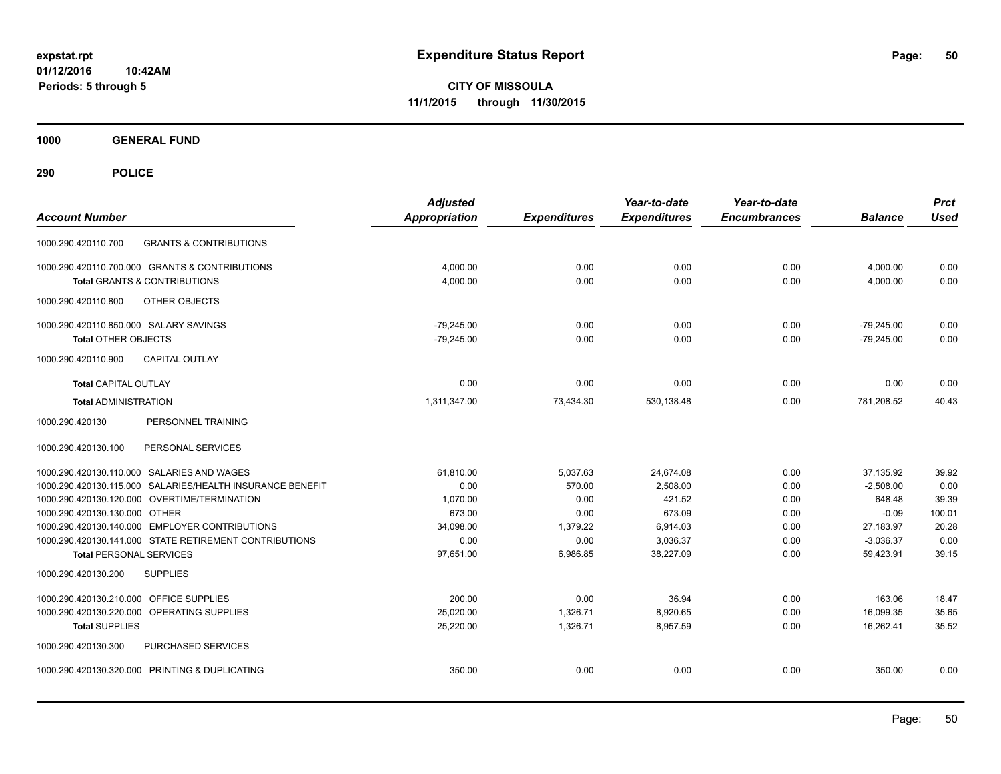**CITY OF MISSOULA 11/1/2015 through 11/30/2015**

**1000 GENERAL FUND**

| <b>Account Number</b>                                     | <b>Adjusted</b><br>Appropriation | <b>Expenditures</b> | Year-to-date<br><b>Expenditures</b> | Year-to-date<br><b>Encumbrances</b> | <b>Balance</b> | <b>Prct</b><br><b>Used</b> |
|-----------------------------------------------------------|----------------------------------|---------------------|-------------------------------------|-------------------------------------|----------------|----------------------------|
| <b>GRANTS &amp; CONTRIBUTIONS</b><br>1000.290.420110.700  |                                  |                     |                                     |                                     |                |                            |
| 1000.290.420110.700.000 GRANTS & CONTRIBUTIONS            | 4,000.00                         | 0.00                | 0.00                                | 0.00                                | 4,000.00       | 0.00                       |
| Total GRANTS & CONTRIBUTIONS                              | 4,000.00                         | 0.00                | 0.00                                | 0.00                                | 4,000.00       | 0.00                       |
| 1000.290.420110.800<br><b>OTHER OBJECTS</b>               |                                  |                     |                                     |                                     |                |                            |
| 1000.290.420110.850.000 SALARY SAVINGS                    | $-79,245.00$                     | 0.00                | 0.00                                | 0.00                                | $-79,245.00$   | 0.00                       |
| <b>Total OTHER OBJECTS</b>                                | $-79,245.00$                     | 0.00                | 0.00                                | 0.00                                | $-79,245.00$   | 0.00                       |
| CAPITAL OUTLAY<br>1000.290.420110.900                     |                                  |                     |                                     |                                     |                |                            |
| <b>Total CAPITAL OUTLAY</b>                               | 0.00                             | 0.00                | 0.00                                | 0.00                                | 0.00           | 0.00                       |
| <b>Total ADMINISTRATION</b>                               | 1,311,347.00                     | 73,434.30           | 530,138.48                          | 0.00                                | 781,208.52     | 40.43                      |
| 1000.290.420130<br>PERSONNEL TRAINING                     |                                  |                     |                                     |                                     |                |                            |
| 1000.290.420130.100<br>PERSONAL SERVICES                  |                                  |                     |                                     |                                     |                |                            |
| 1000.290.420130.110.000 SALARIES AND WAGES                | 61,810.00                        | 5,037.63            | 24,674.08                           | 0.00                                | 37,135.92      | 39.92                      |
| 1000.290.420130.115.000 SALARIES/HEALTH INSURANCE BENEFIT | 0.00                             | 570.00              | 2.508.00                            | 0.00                                | $-2.508.00$    | 0.00                       |
| 1000.290.420130.120.000 OVERTIME/TERMINATION              | 1.070.00                         | 0.00                | 421.52                              | 0.00                                | 648.48         | 39.39                      |
| 1000.290.420130.130.000 OTHER                             | 673.00                           | 0.00                | 673.09                              | 0.00                                | $-0.09$        | 100.01                     |
| 1000.290.420130.140.000 EMPLOYER CONTRIBUTIONS            | 34,098.00                        | 1,379.22            | 6,914.03                            | 0.00                                | 27,183.97      | 20.28                      |
| 1000.290.420130.141.000 STATE RETIREMENT CONTRIBUTIONS    | 0.00                             | 0.00                | 3,036.37                            | 0.00                                | $-3,036.37$    | 0.00                       |
| <b>Total PERSONAL SERVICES</b>                            | 97,651.00                        | 6,986.85            | 38,227.09                           | 0.00                                | 59,423.91      | 39.15                      |
| 1000.290.420130.200<br><b>SUPPLIES</b>                    |                                  |                     |                                     |                                     |                |                            |
| 1000.290.420130.210.000 OFFICE SUPPLIES                   | 200.00                           | 0.00                | 36.94                               | 0.00                                | 163.06         | 18.47                      |
| 1000.290.420130.220.000<br>OPERATING SUPPLIES             | 25,020.00                        | 1,326.71            | 8,920.65                            | 0.00                                | 16,099.35      | 35.65                      |
| <b>Total SUPPLIES</b>                                     | 25,220.00                        | 1,326.71            | 8,957.59                            | 0.00                                | 16,262.41      | 35.52                      |
| 1000.290.420130.300<br>PURCHASED SERVICES                 |                                  |                     |                                     |                                     |                |                            |
| 1000.290.420130.320.000 PRINTING & DUPLICATING            | 350.00                           | 0.00                | 0.00                                | 0.00                                | 350.00         | 0.00                       |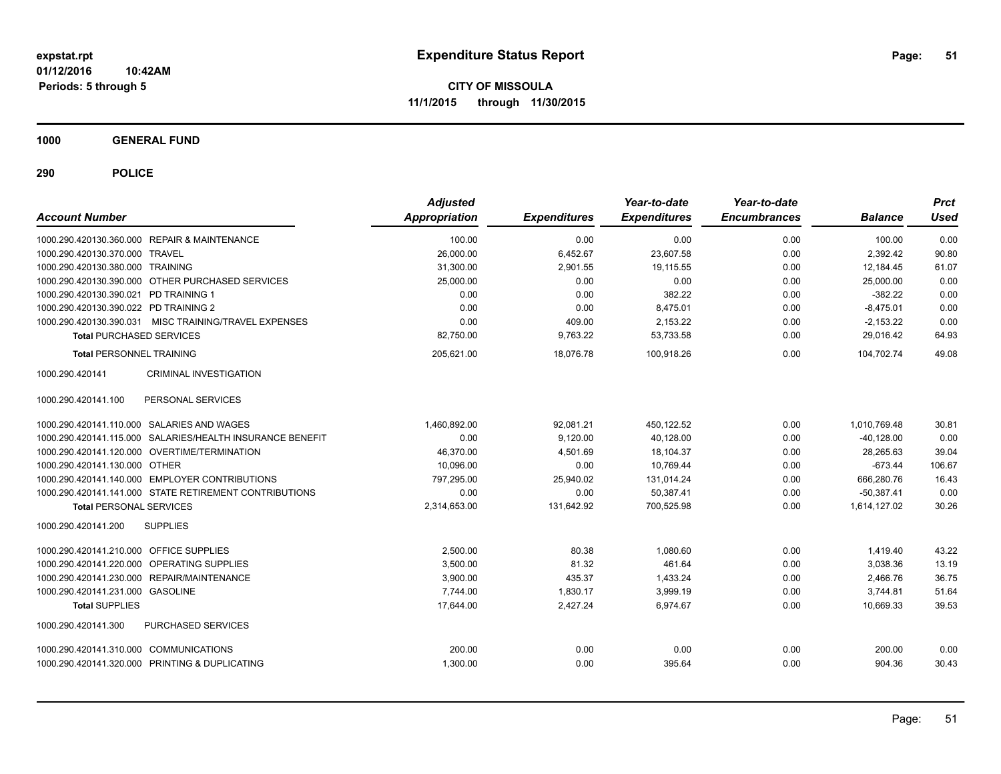**CITY OF MISSOULA 11/1/2015 through 11/30/2015**

**1000 GENERAL FUND**

| <b>Account Number</b>                                     | <b>Adjusted</b><br><b>Appropriation</b> | <b>Expenditures</b> | Year-to-date<br><b>Expenditures</b> | Year-to-date<br><b>Encumbrances</b> | <b>Balance</b> | <b>Prct</b><br><b>Used</b> |
|-----------------------------------------------------------|-----------------------------------------|---------------------|-------------------------------------|-------------------------------------|----------------|----------------------------|
| 1000.290.420130.360.000 REPAIR & MAINTENANCE              | 100.00                                  | 0.00                | 0.00                                | 0.00                                | 100.00         | 0.00                       |
| 1000.290.420130.370.000 TRAVEL                            | 26,000.00                               | 6,452.67            | 23,607.58                           | 0.00                                | 2,392.42       | 90.80                      |
| 1000.290.420130.380.000 TRAINING                          | 31,300.00                               | 2,901.55            | 19.115.55                           | 0.00                                | 12.184.45      | 61.07                      |
| 1000.290.420130.390.000 OTHER PURCHASED SERVICES          | 25.000.00                               | 0.00                | 0.00                                | 0.00                                | 25.000.00      | 0.00                       |
| 1000.290.420130.390.021 PD TRAINING 1                     | 0.00                                    | 0.00                | 382.22                              | 0.00                                | $-382.22$      | 0.00                       |
| 1000.290.420130.390.022 PD TRAINING 2                     | 0.00                                    | 0.00                | 8,475.01                            | 0.00                                | $-8,475.01$    | 0.00                       |
| 1000.290.420130.390.031 MISC TRAINING/TRAVEL EXPENSES     | 0.00                                    | 409.00              | 2,153.22                            | 0.00                                | $-2,153.22$    | 0.00                       |
| <b>Total PURCHASED SERVICES</b>                           | 82,750.00                               | 9,763.22            | 53,733.58                           | 0.00                                | 29,016.42      | 64.93                      |
| <b>Total PERSONNEL TRAINING</b>                           | 205,621.00                              | 18.076.78           | 100.918.26                          | 0.00                                | 104.702.74     | 49.08                      |
| <b>CRIMINAL INVESTIGATION</b><br>1000.290.420141          |                                         |                     |                                     |                                     |                |                            |
| PERSONAL SERVICES<br>1000.290.420141.100                  |                                         |                     |                                     |                                     |                |                            |
| 1000.290.420141.110.000 SALARIES AND WAGES                | 1,460,892.00                            | 92,081.21           | 450,122.52                          | 0.00                                | 1,010,769.48   | 30.81                      |
| 1000.290.420141.115.000 SALARIES/HEALTH INSURANCE BENEFIT | 0.00                                    | 9,120.00            | 40,128.00                           | 0.00                                | $-40,128.00$   | 0.00                       |
| 1000.290.420141.120.000 OVERTIME/TERMINATION              | 46,370.00                               | 4,501.69            | 18,104.37                           | 0.00                                | 28,265.63      | 39.04                      |
| 1000.290.420141.130.000 OTHER                             | 10,096.00                               | 0.00                | 10,769.44                           | 0.00                                | $-673.44$      | 106.67                     |
| 1000.290.420141.140.000 EMPLOYER CONTRIBUTIONS            | 797.295.00                              | 25,940.02           | 131,014.24                          | 0.00                                | 666,280.76     | 16.43                      |
| 1000.290.420141.141.000 STATE RETIREMENT CONTRIBUTIONS    | 0.00                                    | 0.00                | 50.387.41                           | 0.00                                | $-50.387.41$   | 0.00                       |
| <b>Total PERSONAL SERVICES</b>                            | 2,314,653.00                            | 131,642.92          | 700,525.98                          | 0.00                                | 1,614,127.02   | 30.26                      |
| 1000.290.420141.200<br><b>SUPPLIES</b>                    |                                         |                     |                                     |                                     |                |                            |
| 1000.290.420141.210.000 OFFICE SUPPLIES                   | 2,500.00                                | 80.38               | 1.080.60                            | 0.00                                | 1,419.40       | 43.22                      |
| 1000.290.420141.220.000 OPERATING SUPPLIES                | 3,500.00                                | 81.32               | 461.64                              | 0.00                                | 3,038.36       | 13.19                      |
| 1000.290.420141.230.000 REPAIR/MAINTENANCE                | 3,900.00                                | 435.37              | 1,433.24                            | 0.00                                | 2,466.76       | 36.75                      |
| 1000.290.420141.231.000 GASOLINE                          | 7,744.00                                | 1,830.17            | 3,999.19                            | 0.00                                | 3,744.81       | 51.64                      |
| <b>Total SUPPLIES</b>                                     | 17,644.00                               | 2,427.24            | 6.974.67                            | 0.00                                | 10,669.33      | 39.53                      |
| 1000.290.420141.300<br>PURCHASED SERVICES                 |                                         |                     |                                     |                                     |                |                            |
| 1000.290.420141.310.000 COMMUNICATIONS                    | 200.00                                  | 0.00                | 0.00                                | 0.00                                | 200.00         | 0.00                       |
| 1000.290.420141.320.000 PRINTING & DUPLICATING            | 1,300.00                                | 0.00                | 395.64                              | 0.00                                | 904.36         | 30.43                      |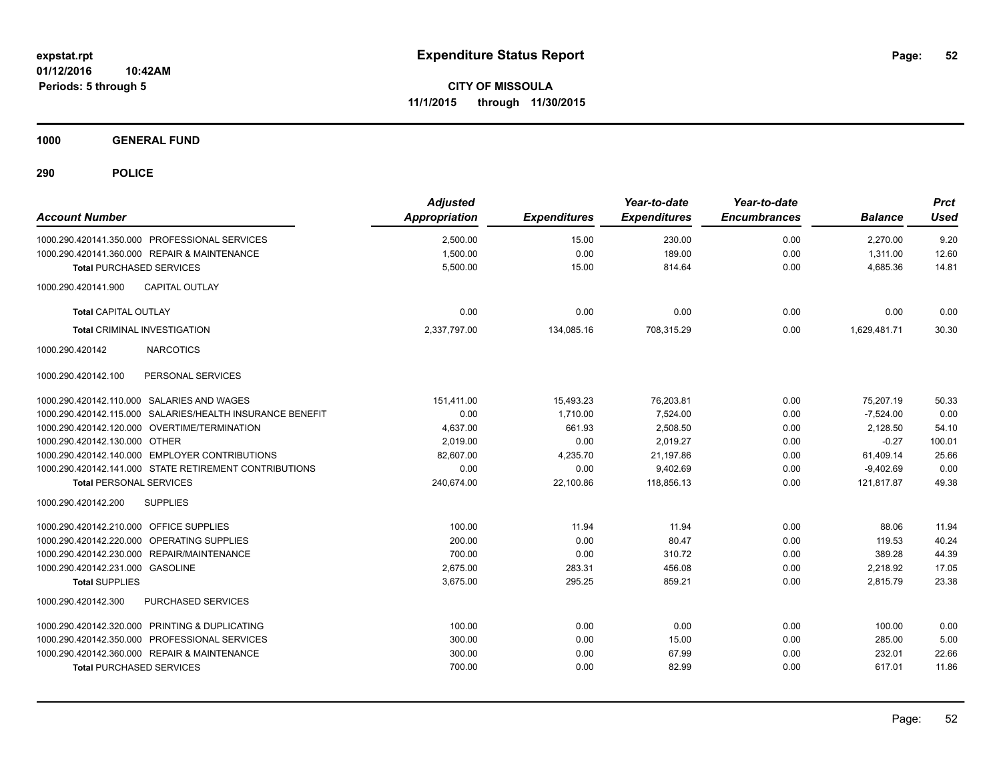**Periods: 5 through 5**

**CITY OF MISSOULA 11/1/2015 through 11/30/2015**

**1000 GENERAL FUND**

| <b>Account Number</b>                                     | <b>Adjusted</b><br><b>Appropriation</b> | <b>Expenditures</b> | Year-to-date<br><b>Expenditures</b> | Year-to-date<br><b>Encumbrances</b> | <b>Balance</b> | <b>Prct</b><br><b>Used</b> |
|-----------------------------------------------------------|-----------------------------------------|---------------------|-------------------------------------|-------------------------------------|----------------|----------------------------|
| 1000.290.420141.350.000 PROFESSIONAL SERVICES             | 2,500.00                                | 15.00               | 230.00                              | 0.00                                | 2.270.00       | 9.20                       |
| 1000.290.420141.360.000 REPAIR & MAINTENANCE              | 1,500.00                                | 0.00                | 189.00                              | 0.00                                | 1,311.00       | 12.60                      |
| <b>Total PURCHASED SERVICES</b>                           | 5,500.00                                | 15.00               | 814.64                              | 0.00                                | 4,685.36       | 14.81                      |
| <b>CAPITAL OUTLAY</b><br>1000.290.420141.900              |                                         |                     |                                     |                                     |                |                            |
| <b>Total CAPITAL OUTLAY</b>                               | 0.00                                    | 0.00                | 0.00                                | 0.00                                | 0.00           | 0.00                       |
| <b>Total CRIMINAL INVESTIGATION</b>                       | 2,337,797.00                            | 134,085.16          | 708,315.29                          | 0.00                                | 1.629.481.71   | 30.30                      |
| 1000.290.420142<br><b>NARCOTICS</b>                       |                                         |                     |                                     |                                     |                |                            |
| PERSONAL SERVICES<br>1000.290.420142.100                  |                                         |                     |                                     |                                     |                |                            |
| 1000.290.420142.110.000 SALARIES AND WAGES                | 151,411.00                              | 15,493.23           | 76,203.81                           | 0.00                                | 75.207.19      | 50.33                      |
| 1000.290.420142.115.000 SALARIES/HEALTH INSURANCE BENEFIT | 0.00                                    | 1,710.00            | 7.524.00                            | 0.00                                | $-7.524.00$    | 0.00                       |
| 1000.290.420142.120.000 OVERTIME/TERMINATION              | 4,637.00                                | 661.93              | 2,508.50                            | 0.00                                | 2,128.50       | 54.10                      |
| 1000.290.420142.130.000 OTHER                             | 2,019.00                                | 0.00                | 2,019.27                            | 0.00                                | $-0.27$        | 100.01                     |
| 1000.290.420142.140.000 EMPLOYER CONTRIBUTIONS            | 82,607.00                               | 4,235.70            | 21,197.86                           | 0.00                                | 61,409.14      | 25.66                      |
| 1000.290.420142.141.000 STATE RETIREMENT CONTRIBUTIONS    | 0.00                                    | 0.00                | 9,402.69                            | 0.00                                | $-9,402.69$    | 0.00                       |
| <b>Total PERSONAL SERVICES</b>                            | 240,674.00                              | 22,100.86           | 118,856.13                          | 0.00                                | 121,817.87     | 49.38                      |
| 1000.290.420142.200<br><b>SUPPLIES</b>                    |                                         |                     |                                     |                                     |                |                            |
| 1000.290.420142.210.000 OFFICE SUPPLIES                   | 100.00                                  | 11.94               | 11.94                               | 0.00                                | 88.06          | 11.94                      |
| 1000.290.420142.220.000 OPERATING SUPPLIES                | 200.00                                  | 0.00                | 80.47                               | 0.00                                | 119.53         | 40.24                      |
| 1000.290.420142.230.000 REPAIR/MAINTENANCE                | 700.00                                  | 0.00                | 310.72                              | 0.00                                | 389.28         | 44.39                      |
| 1000.290.420142.231.000 GASOLINE                          | 2,675.00                                | 283.31              | 456.08                              | 0.00                                | 2,218.92       | 17.05                      |
| <b>Total SUPPLIES</b>                                     | 3,675.00                                | 295.25              | 859.21                              | 0.00                                | 2,815.79       | 23.38                      |
| 1000.290.420142.300<br><b>PURCHASED SERVICES</b>          |                                         |                     |                                     |                                     |                |                            |
| 1000.290.420142.320.000 PRINTING & DUPLICATING            | 100.00                                  | 0.00                | 0.00                                | 0.00                                | 100.00         | 0.00                       |
| 1000.290.420142.350.000 PROFESSIONAL SERVICES             | 300.00                                  | 0.00                | 15.00                               | 0.00                                | 285.00         | 5.00                       |
| 1000.290.420142.360.000 REPAIR & MAINTENANCE              | 300.00                                  | 0.00                | 67.99                               | 0.00                                | 232.01         | 22.66                      |
| <b>Total PURCHASED SERVICES</b>                           | 700.00                                  | 0.00                | 82.99                               | 0.00                                | 617.01         | 11.86                      |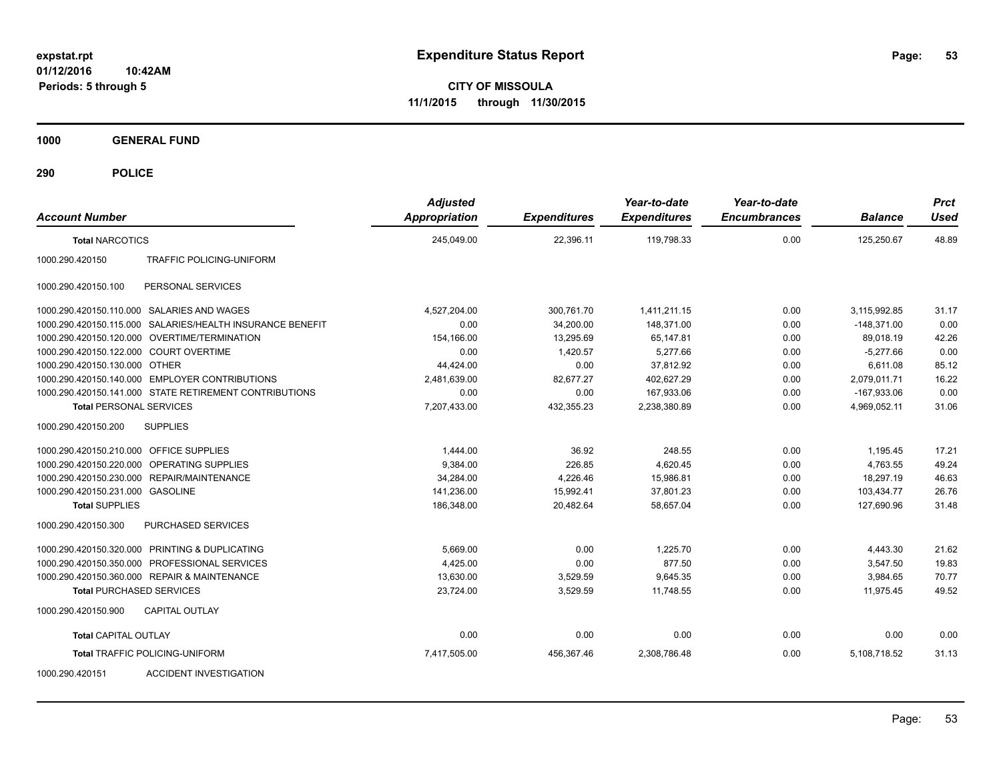**CITY OF MISSOULA 11/1/2015 through 11/30/2015**

**1000 GENERAL FUND**

| <b>Account Number</b>                   |                                                           | <b>Adjusted</b><br><b>Appropriation</b> | <b>Expenditures</b> | Year-to-date<br><b>Expenditures</b> | Year-to-date<br><b>Encumbrances</b> | <b>Balance</b> | <b>Prct</b><br>Used |
|-----------------------------------------|-----------------------------------------------------------|-----------------------------------------|---------------------|-------------------------------------|-------------------------------------|----------------|---------------------|
| <b>Total NARCOTICS</b>                  |                                                           | 245,049.00                              | 22,396.11           | 119,798.33                          | 0.00                                | 125,250.67     | 48.89               |
| 1000.290.420150                         | <b>TRAFFIC POLICING-UNIFORM</b>                           |                                         |                     |                                     |                                     |                |                     |
| 1000.290.420150.100                     | PERSONAL SERVICES                                         |                                         |                     |                                     |                                     |                |                     |
|                                         | 1000.290.420150.110.000 SALARIES AND WAGES                | 4,527,204.00                            | 300,761.70          | 1,411,211.15                        | 0.00                                | 3,115,992.85   | 31.17               |
|                                         | 1000.290.420150.115.000 SALARIES/HEALTH INSURANCE BENEFIT | 0.00                                    | 34,200.00           | 148,371.00                          | 0.00                                | $-148,371.00$  | 0.00                |
|                                         | 1000.290.420150.120.000 OVERTIME/TERMINATION              | 154,166.00                              | 13,295.69           | 65.147.81                           | 0.00                                | 89.018.19      | 42.26               |
| 1000.290.420150.122.000 COURT OVERTIME  |                                                           | 0.00                                    | 1,420.57            | 5,277.66                            | 0.00                                | $-5,277.66$    | 0.00                |
| 1000.290.420150.130.000 OTHER           |                                                           | 44,424.00                               | 0.00                | 37,812.92                           | 0.00                                | 6,611.08       | 85.12               |
|                                         | 1000.290.420150.140.000 EMPLOYER CONTRIBUTIONS            | 2,481,639.00                            | 82,677.27           | 402,627.29                          | 0.00                                | 2,079,011.71   | 16.22               |
|                                         | 1000.290.420150.141.000 STATE RETIREMENT CONTRIBUTIONS    | 0.00                                    | 0.00                | 167,933.06                          | 0.00                                | $-167,933.06$  | 0.00                |
| <b>Total PERSONAL SERVICES</b>          |                                                           | 7,207,433.00                            | 432,355.23          | 2,238,380.89                        | 0.00                                | 4,969,052.11   | 31.06               |
| 1000.290.420150.200                     | <b>SUPPLIES</b>                                           |                                         |                     |                                     |                                     |                |                     |
| 1000.290.420150.210.000 OFFICE SUPPLIES |                                                           | 1,444.00                                | 36.92               | 248.55                              | 0.00                                | 1,195.45       | 17.21               |
| 1000.290.420150.220.000                 | OPERATING SUPPLIES                                        | 9.384.00                                | 226.85              | 4,620.45                            | 0.00                                | 4.763.55       | 49.24               |
| 1000.290.420150.230.000                 | <b>REPAIR/MAINTENANCE</b>                                 | 34,284.00                               | 4,226.46            | 15,986.81                           | 0.00                                | 18,297.19      | 46.63               |
| 1000.290.420150.231.000 GASOLINE        |                                                           | 141,236.00                              | 15,992.41           | 37,801.23                           | 0.00                                | 103,434.77     | 26.76               |
| <b>Total SUPPLIES</b>                   |                                                           | 186,348.00                              | 20,482.64           | 58,657.04                           | 0.00                                | 127,690.96     | 31.48               |
| 1000.290.420150.300                     | PURCHASED SERVICES                                        |                                         |                     |                                     |                                     |                |                     |
|                                         | 1000.290.420150.320.000 PRINTING & DUPLICATING            | 5,669.00                                | 0.00                | 1,225.70                            | 0.00                                | 4,443.30       | 21.62               |
|                                         | 1000.290.420150.350.000 PROFESSIONAL SERVICES             | 4,425.00                                | 0.00                | 877.50                              | 0.00                                | 3,547.50       | 19.83               |
|                                         | 1000.290.420150.360.000 REPAIR & MAINTENANCE              | 13,630.00                               | 3,529.59            | 9,645.35                            | 0.00                                | 3,984.65       | 70.77               |
| <b>Total PURCHASED SERVICES</b>         |                                                           | 23,724.00                               | 3,529.59            | 11,748.55                           | 0.00                                | 11,975.45      | 49.52               |
| 1000.290.420150.900                     | <b>CAPITAL OUTLAY</b>                                     |                                         |                     |                                     |                                     |                |                     |
| <b>Total CAPITAL OUTLAY</b>             |                                                           | 0.00                                    | 0.00                | 0.00                                | 0.00                                | 0.00           | 0.00                |
|                                         | <b>Total TRAFFIC POLICING-UNIFORM</b>                     | 7,417,505.00                            | 456,367.46          | 2,308,786.48                        | 0.00                                | 5,108,718.52   | 31.13               |
| 1000.290.420151                         | <b>ACCIDENT INVESTIGATION</b>                             |                                         |                     |                                     |                                     |                |                     |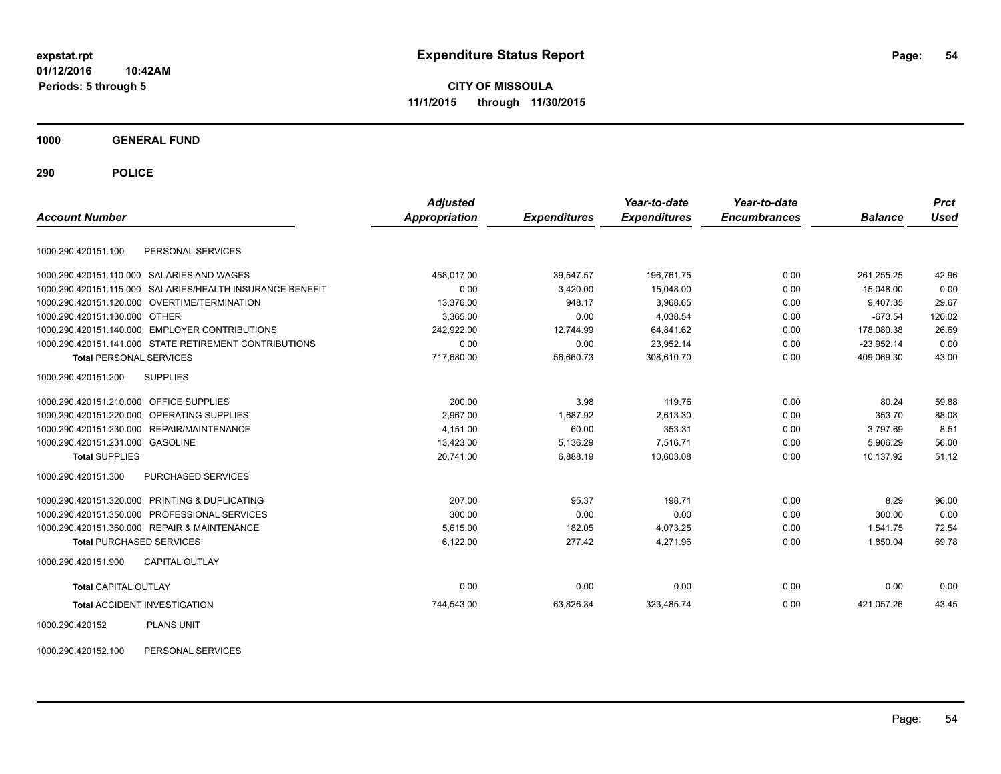**CITY OF MISSOULA 11/1/2015 through 11/30/2015**

**1000 GENERAL FUND**

**290 POLICE**

| <b>Account Number</b>                          |                                                           | <b>Adjusted</b><br><b>Appropriation</b> | <b>Expenditures</b> | Year-to-date<br><b>Expenditures</b> | Year-to-date<br><b>Encumbrances</b> | <b>Balance</b> | <b>Prct</b><br><b>Used</b> |
|------------------------------------------------|-----------------------------------------------------------|-----------------------------------------|---------------------|-------------------------------------|-------------------------------------|----------------|----------------------------|
|                                                |                                                           |                                         |                     |                                     |                                     |                |                            |
| 1000.290.420151.100                            | PERSONAL SERVICES                                         |                                         |                     |                                     |                                     |                |                            |
| 1000.290.420151.110.000 SALARIES AND WAGES     |                                                           | 458,017.00                              | 39.547.57           | 196.761.75                          | 0.00                                | 261.255.25     | 42.96                      |
|                                                | 1000.290.420151.115.000 SALARIES/HEALTH INSURANCE BENEFIT | 0.00                                    | 3,420.00            | 15,048.00                           | 0.00                                | $-15,048.00$   | 0.00                       |
| 1000.290.420151.120.000 OVERTIME/TERMINATION   |                                                           | 13,376.00                               | 948.17              | 3,968.65                            | 0.00                                | 9.407.35       | 29.67                      |
| 1000.290.420151.130.000 OTHER                  |                                                           | 3.365.00                                | 0.00                | 4.038.54                            | 0.00                                | $-673.54$      | 120.02                     |
| 1000.290.420151.140.000 EMPLOYER CONTRIBUTIONS |                                                           | 242,922.00                              | 12,744.99           | 64,841.62                           | 0.00                                | 178,080.38     | 26.69                      |
|                                                | 1000.290.420151.141.000 STATE RETIREMENT CONTRIBUTIONS    | 0.00                                    | 0.00                | 23,952.14                           | 0.00                                | $-23,952.14$   | 0.00                       |
| <b>Total PERSONAL SERVICES</b>                 |                                                           | 717,680.00                              | 56,660.73           | 308,610.70                          | 0.00                                | 409,069.30     | 43.00                      |
| 1000.290.420151.200                            | <b>SUPPLIES</b>                                           |                                         |                     |                                     |                                     |                |                            |
| 1000.290.420151.210.000 OFFICE SUPPLIES        |                                                           | 200.00                                  | 3.98                | 119.76                              | 0.00                                | 80.24          | 59.88                      |
| 1000.290.420151.220.000 OPERATING SUPPLIES     |                                                           | 2,967.00                                | 1,687.92            | 2,613.30                            | 0.00                                | 353.70         | 88.08                      |
| 1000.290.420151.230.000 REPAIR/MAINTENANCE     |                                                           | 4,151.00                                | 60.00               | 353.31                              | 0.00                                | 3,797.69       | 8.51                       |
| 1000.290.420151.231.000 GASOLINE               |                                                           | 13,423.00                               | 5,136.29            | 7,516.71                            | 0.00                                | 5,906.29       | 56.00                      |
| <b>Total SUPPLIES</b>                          |                                                           | 20,741.00                               | 6,888.19            | 10,603.08                           | 0.00                                | 10,137.92      | 51.12                      |
| 1000.290.420151.300                            | <b>PURCHASED SERVICES</b>                                 |                                         |                     |                                     |                                     |                |                            |
| 1000.290.420151.320.000 PRINTING & DUPLICATING |                                                           | 207.00                                  | 95.37               | 198.71                              | 0.00                                | 8.29           | 96.00                      |
| 1000.290.420151.350.000 PROFESSIONAL SERVICES  |                                                           | 300.00                                  | 0.00                | 0.00                                | 0.00                                | 300.00         | 0.00                       |
| 1000.290.420151.360.000 REPAIR & MAINTENANCE   |                                                           | 5.615.00                                | 182.05              | 4,073.25                            | 0.00                                | 1.541.75       | 72.54                      |
| <b>Total PURCHASED SERVICES</b>                |                                                           | 6,122.00                                | 277.42              | 4,271.96                            | 0.00                                | 1,850.04       | 69.78                      |
| 1000.290.420151.900                            | <b>CAPITAL OUTLAY</b>                                     |                                         |                     |                                     |                                     |                |                            |
| <b>Total CAPITAL OUTLAY</b>                    |                                                           | 0.00                                    | 0.00                | 0.00                                | 0.00                                | 0.00           | 0.00                       |
| <b>Total ACCIDENT INVESTIGATION</b>            |                                                           | 744,543.00                              | 63,826.34           | 323,485.74                          | 0.00                                | 421,057.26     | 43.45                      |
| 1000.290.420152                                | <b>PLANS UNIT</b>                                         |                                         |                     |                                     |                                     |                |                            |

1000.290.420152.100 PERSONAL SERVICES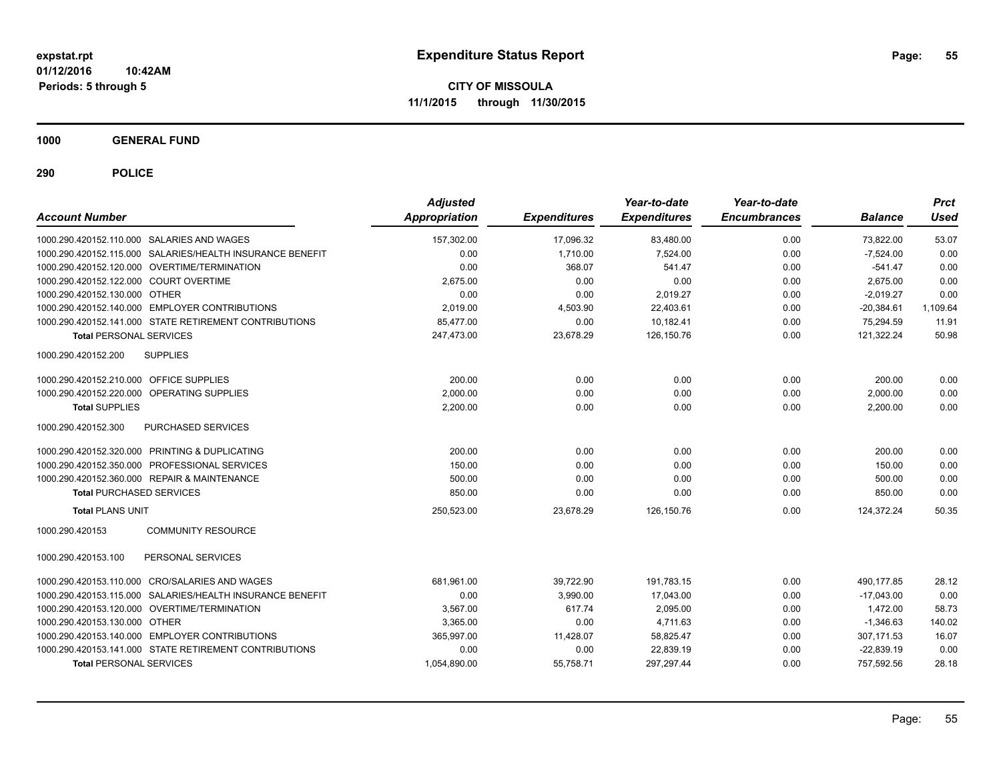**CITY OF MISSOULA 11/1/2015 through 11/30/2015**

**1000 GENERAL FUND**

| <b>Account Number</b>                   |                                                           | <b>Adjusted</b><br><b>Appropriation</b> | <b>Expenditures</b> | Year-to-date<br><b>Expenditures</b> | Year-to-date<br><b>Encumbrances</b> | <b>Balance</b> | <b>Prct</b><br><b>Used</b> |
|-----------------------------------------|-----------------------------------------------------------|-----------------------------------------|---------------------|-------------------------------------|-------------------------------------|----------------|----------------------------|
|                                         | 1000.290.420152.110.000 SALARIES AND WAGES                | 157,302.00                              | 17,096.32           | 83,480.00                           | 0.00                                | 73,822.00      | 53.07                      |
|                                         | 1000.290.420152.115.000 SALARIES/HEALTH INSURANCE BENEFIT | 0.00                                    | 1,710.00            | 7,524.00                            | 0.00                                | $-7,524.00$    | 0.00                       |
|                                         | 1000.290.420152.120.000 OVERTIME/TERMINATION              | 0.00                                    | 368.07              | 541.47                              | 0.00                                | $-541.47$      | 0.00                       |
| 1000.290.420152.122.000 COURT OVERTIME  |                                                           | 2,675.00                                | 0.00                | 0.00                                | 0.00                                | 2,675.00       | 0.00                       |
| 1000.290.420152.130.000 OTHER           |                                                           | 0.00                                    | 0.00                | 2.019.27                            | 0.00                                | $-2.019.27$    | 0.00                       |
|                                         | 1000.290.420152.140.000 EMPLOYER CONTRIBUTIONS            | 2,019.00                                | 4,503.90            | 22,403.61                           | 0.00                                | $-20,384.61$   | 1,109.64                   |
|                                         | 1000.290.420152.141.000 STATE RETIREMENT CONTRIBUTIONS    | 85,477.00                               | 0.00                | 10,182.41                           | 0.00                                | 75,294.59      | 11.91                      |
| <b>Total PERSONAL SERVICES</b>          |                                                           | 247,473.00                              | 23,678.29           | 126,150.76                          | 0.00                                | 121,322.24     | 50.98                      |
| 1000.290.420152.200                     | <b>SUPPLIES</b>                                           |                                         |                     |                                     |                                     |                |                            |
| 1000.290.420152.210.000 OFFICE SUPPLIES |                                                           | 200.00                                  | 0.00                | 0.00                                | 0.00                                | 200.00         | 0.00                       |
|                                         | 1000.290.420152.220.000 OPERATING SUPPLIES                | 2,000.00                                | 0.00                | 0.00                                | 0.00                                | 2,000.00       | 0.00                       |
| <b>Total SUPPLIES</b>                   |                                                           | 2,200.00                                | 0.00                | 0.00                                | 0.00                                | 2,200.00       | 0.00                       |
| 1000.290.420152.300                     | <b>PURCHASED SERVICES</b>                                 |                                         |                     |                                     |                                     |                |                            |
|                                         | 1000.290.420152.320.000 PRINTING & DUPLICATING            | 200.00                                  | 0.00                | 0.00                                | 0.00                                | 200.00         | 0.00                       |
|                                         | 1000.290.420152.350.000 PROFESSIONAL SERVICES             | 150.00                                  | 0.00                | 0.00                                | 0.00                                | 150.00         | 0.00                       |
|                                         | 1000.290.420152.360.000 REPAIR & MAINTENANCE              | 500.00                                  | 0.00                | 0.00                                | 0.00                                | 500.00         | 0.00                       |
| <b>Total PURCHASED SERVICES</b>         |                                                           | 850.00                                  | 0.00                | 0.00                                | 0.00                                | 850.00         | 0.00                       |
| <b>Total PLANS UNIT</b>                 |                                                           | 250,523.00                              | 23,678.29           | 126,150.76                          | 0.00                                | 124,372.24     | 50.35                      |
| 1000.290.420153                         | <b>COMMUNITY RESOURCE</b>                                 |                                         |                     |                                     |                                     |                |                            |
| 1000.290.420153.100                     | PERSONAL SERVICES                                         |                                         |                     |                                     |                                     |                |                            |
|                                         | 1000.290.420153.110.000 CRO/SALARIES AND WAGES            | 681,961.00                              | 39,722.90           | 191,783.15                          | 0.00                                | 490,177.85     | 28.12                      |
| 1000.290.420153.115.000                 | SALARIES/HEALTH INSURANCE BENEFIT                         | 0.00                                    | 3.990.00            | 17,043.00                           | 0.00                                | $-17.043.00$   | 0.00                       |
|                                         | 1000.290.420153.120.000 OVERTIME/TERMINATION              | 3,567.00                                | 617.74              | 2,095.00                            | 0.00                                | 1,472.00       | 58.73                      |
| 1000.290.420153.130.000 OTHER           |                                                           | 3,365.00                                | 0.00                | 4.711.63                            | 0.00                                | $-1,346.63$    | 140.02                     |
|                                         | 1000.290.420153.140.000 EMPLOYER CONTRIBUTIONS            | 365,997.00                              | 11,428.07           | 58,825.47                           | 0.00                                | 307,171.53     | 16.07                      |
|                                         | 1000.290.420153.141.000 STATE RETIREMENT CONTRIBUTIONS    | 0.00                                    | 0.00                | 22,839.19                           | 0.00                                | $-22,839.19$   | 0.00                       |
| <b>Total PERSONAL SERVICES</b>          |                                                           | 1,054,890.00                            | 55,758.71           | 297,297.44                          | 0.00                                | 757,592.56     | 28.18                      |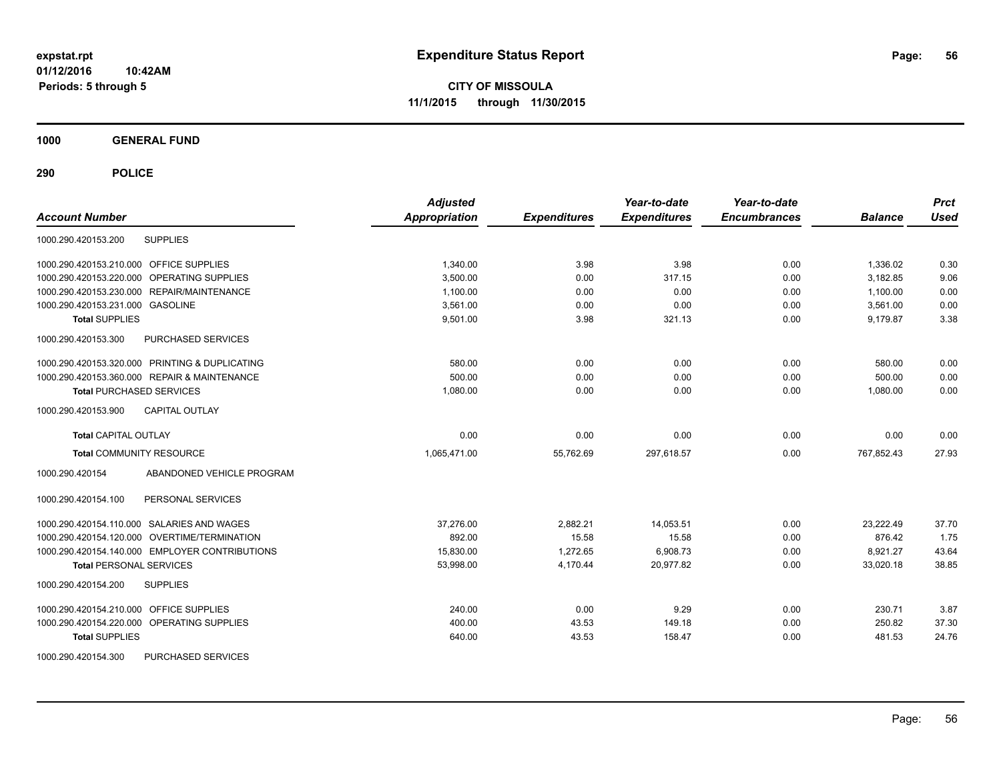**CITY OF MISSOULA 11/1/2015 through 11/30/2015**

**1000 GENERAL FUND**

| <b>Account Number</b>                          | <b>Adjusted</b><br>Appropriation | <b>Expenditures</b> | Year-to-date<br><b>Expenditures</b> | Year-to-date<br><b>Encumbrances</b> | <b>Balance</b> | <b>Prct</b><br><b>Used</b> |
|------------------------------------------------|----------------------------------|---------------------|-------------------------------------|-------------------------------------|----------------|----------------------------|
| <b>SUPPLIES</b><br>1000.290.420153.200         |                                  |                     |                                     |                                     |                |                            |
| 1000.290.420153.210.000 OFFICE SUPPLIES        | 1,340.00                         | 3.98                | 3.98                                | 0.00                                | 1,336.02       | 0.30                       |
| 1000.290.420153.220.000 OPERATING SUPPLIES     | 3.500.00                         | 0.00                | 317.15                              | 0.00                                | 3.182.85       | 9.06                       |
| 1000.290.420153.230.000 REPAIR/MAINTENANCE     | 1.100.00                         | 0.00                | 0.00                                | 0.00                                | 1.100.00       | 0.00                       |
| 1000.290.420153.231.000 GASOLINE               | 3,561.00                         | 0.00                | 0.00                                | 0.00                                | 3,561.00       | 0.00                       |
| <b>Total SUPPLIES</b>                          | 9,501.00                         | 3.98                | 321.13                              | 0.00                                | 9,179.87       | 3.38                       |
| 1000.290.420153.300<br>PURCHASED SERVICES      |                                  |                     |                                     |                                     |                |                            |
| 1000.290.420153.320.000 PRINTING & DUPLICATING | 580.00                           | 0.00                | 0.00                                | 0.00                                | 580.00         | 0.00                       |
| 1000.290.420153.360.000 REPAIR & MAINTENANCE   | 500.00                           | 0.00                | 0.00                                | 0.00                                | 500.00         | 0.00                       |
| <b>Total PURCHASED SERVICES</b>                | 1.080.00                         | 0.00                | 0.00                                | 0.00                                | 1,080.00       | 0.00                       |
| 1000.290.420153.900<br><b>CAPITAL OUTLAY</b>   |                                  |                     |                                     |                                     |                |                            |
| <b>Total CAPITAL OUTLAY</b>                    | 0.00                             | 0.00                | 0.00                                | 0.00                                | 0.00           | 0.00                       |
| <b>Total COMMUNITY RESOURCE</b>                | 1,065,471.00                     | 55,762.69           | 297,618.57                          | 0.00                                | 767,852.43     | 27.93                      |
| ABANDONED VEHICLE PROGRAM<br>1000.290.420154   |                                  |                     |                                     |                                     |                |                            |
| 1000.290.420154.100<br>PERSONAL SERVICES       |                                  |                     |                                     |                                     |                |                            |
| 1000.290.420154.110.000 SALARIES AND WAGES     | 37,276.00                        | 2,882.21            | 14,053.51                           | 0.00                                | 23,222.49      | 37.70                      |
| 1000.290.420154.120.000 OVERTIME/TERMINATION   | 892.00                           | 15.58               | 15.58                               | 0.00                                | 876.42         | 1.75                       |
| 1000.290.420154.140.000 EMPLOYER CONTRIBUTIONS | 15,830.00                        | 1,272.65            | 6,908.73                            | 0.00                                | 8,921.27       | 43.64                      |
| <b>Total PERSONAL SERVICES</b>                 | 53,998.00                        | 4,170.44            | 20,977.82                           | 0.00                                | 33,020.18      | 38.85                      |
| 1000.290.420154.200<br><b>SUPPLIES</b>         |                                  |                     |                                     |                                     |                |                            |
| 1000.290.420154.210.000 OFFICE SUPPLIES        | 240.00                           | 0.00                | 9.29                                | 0.00                                | 230.71         | 3.87                       |
| 1000.290.420154.220.000 OPERATING SUPPLIES     | 400.00                           | 43.53               | 149.18                              | 0.00                                | 250.82         | 37.30                      |
| <b>Total SUPPLIES</b>                          | 640.00                           | 43.53               | 158.47                              | 0.00                                | 481.53         | 24.76                      |
| PURCHASED SERVICES<br>1000.290.420154.300      |                                  |                     |                                     |                                     |                |                            |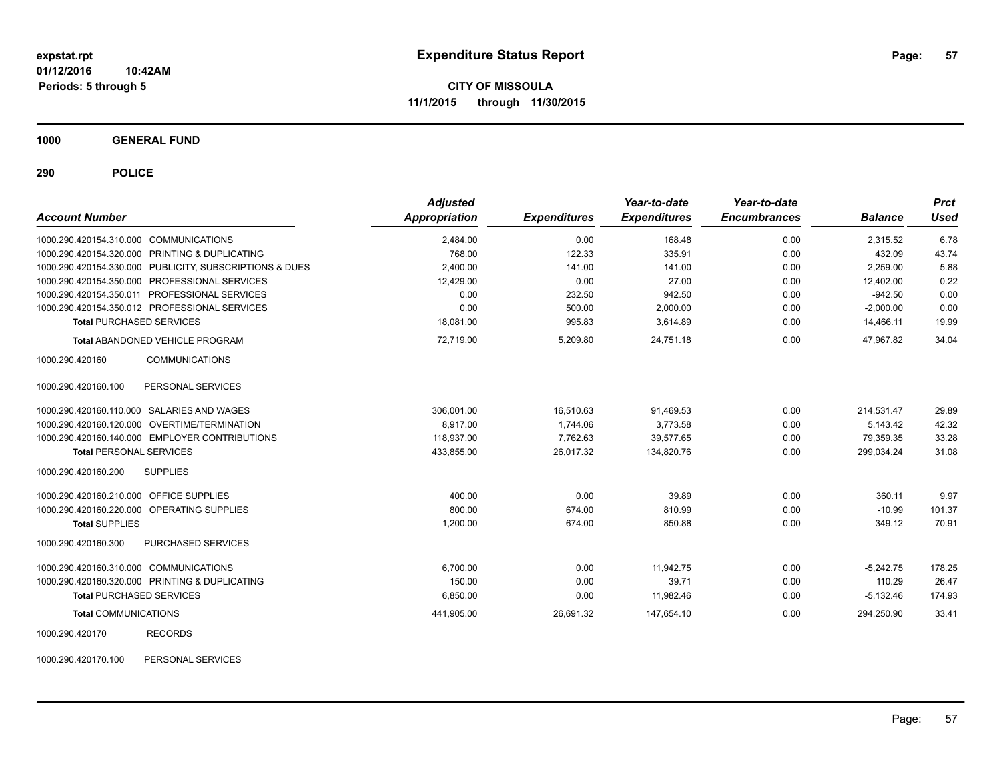**1000 GENERAL FUND**

**290 POLICE**

| <b>Account Number</b>                                   | <b>Adjusted</b><br>Appropriation | <b>Expenditures</b> | Year-to-date<br><b>Expenditures</b> | Year-to-date<br><b>Encumbrances</b> | <b>Balance</b> | <b>Prct</b><br><b>Used</b> |
|---------------------------------------------------------|----------------------------------|---------------------|-------------------------------------|-------------------------------------|----------------|----------------------------|
| 1000.290.420154.310.000 COMMUNICATIONS                  | 2,484.00                         | 0.00                | 168.48                              | 0.00                                | 2,315.52       | 6.78                       |
| 1000.290.420154.320.000 PRINTING & DUPLICATING          | 768.00                           | 122.33              | 335.91                              | 0.00                                | 432.09         | 43.74                      |
| 1000.290.420154.330.000 PUBLICITY, SUBSCRIPTIONS & DUES | 2,400.00                         | 141.00              | 141.00                              | 0.00                                | 2.259.00       | 5.88                       |
| 1000.290.420154.350.000 PROFESSIONAL SERVICES           | 12,429.00                        | 0.00                | 27.00                               | 0.00                                | 12,402.00      | 0.22                       |
| 1000.290.420154.350.011 PROFESSIONAL SERVICES           | 0.00                             | 232.50              | 942.50                              | 0.00                                | $-942.50$      | 0.00                       |
| 1000.290.420154.350.012 PROFESSIONAL SERVICES           | 0.00                             | 500.00              | 2,000.00                            | 0.00                                | $-2,000.00$    | 0.00                       |
| <b>Total PURCHASED SERVICES</b>                         | 18,081.00                        | 995.83              | 3,614.89                            | 0.00                                | 14,466.11      | 19.99                      |
| <b>Total ABANDONED VEHICLE PROGRAM</b>                  | 72,719.00                        | 5,209.80            | 24,751.18                           | 0.00                                | 47.967.82      | 34.04                      |
| <b>COMMUNICATIONS</b><br>1000.290.420160                |                                  |                     |                                     |                                     |                |                            |
| PERSONAL SERVICES<br>1000.290.420160.100                |                                  |                     |                                     |                                     |                |                            |
| 1000.290.420160.110.000 SALARIES AND WAGES              | 306,001.00                       | 16,510.63           | 91,469.53                           | 0.00                                | 214.531.47     | 29.89                      |
| 1000.290.420160.120.000 OVERTIME/TERMINATION            | 8,917.00                         | 1,744.06            | 3,773.58                            | 0.00                                | 5,143.42       | 42.32                      |
| 1000.290.420160.140.000 EMPLOYER CONTRIBUTIONS          | 118,937.00                       | 7,762.63            | 39,577.65                           | 0.00                                | 79,359.35      | 33.28                      |
| <b>Total PERSONAL SERVICES</b>                          | 433,855.00                       | 26,017.32           | 134,820.76                          | 0.00                                | 299,034.24     | 31.08                      |
| <b>SUPPLIES</b><br>1000.290.420160.200                  |                                  |                     |                                     |                                     |                |                            |
| 1000.290.420160.210.000 OFFICE SUPPLIES                 | 400.00                           | 0.00                | 39.89                               | 0.00                                | 360.11         | 9.97                       |
| 1000.290.420160.220.000 OPERATING SUPPLIES              | 800.00                           | 674.00              | 810.99                              | 0.00                                | $-10.99$       | 101.37                     |
| <b>Total SUPPLIES</b>                                   | 1,200.00                         | 674.00              | 850.88                              | 0.00                                | 349.12         | 70.91                      |
| PURCHASED SERVICES<br>1000.290.420160.300               |                                  |                     |                                     |                                     |                |                            |
| 1000.290.420160.310.000 COMMUNICATIONS                  | 6.700.00                         | 0.00                | 11.942.75                           | 0.00                                | $-5.242.75$    | 178.25                     |
| 1000.290.420160.320.000 PRINTING & DUPLICATING          | 150.00                           | 0.00                | 39.71                               | 0.00                                | 110.29         | 26.47                      |
| <b>Total PURCHASED SERVICES</b>                         | 6,850.00                         | 0.00                | 11,982.46                           | 0.00                                | $-5,132.46$    | 174.93                     |
| <b>Total COMMUNICATIONS</b>                             | 441,905.00                       | 26,691.32           | 147,654.10                          | 0.00                                | 294,250.90     | 33.41                      |
| <b>RECORDS</b><br>1000.290.420170                       |                                  |                     |                                     |                                     |                |                            |

1000.290.420170.100 PERSONAL SERVICES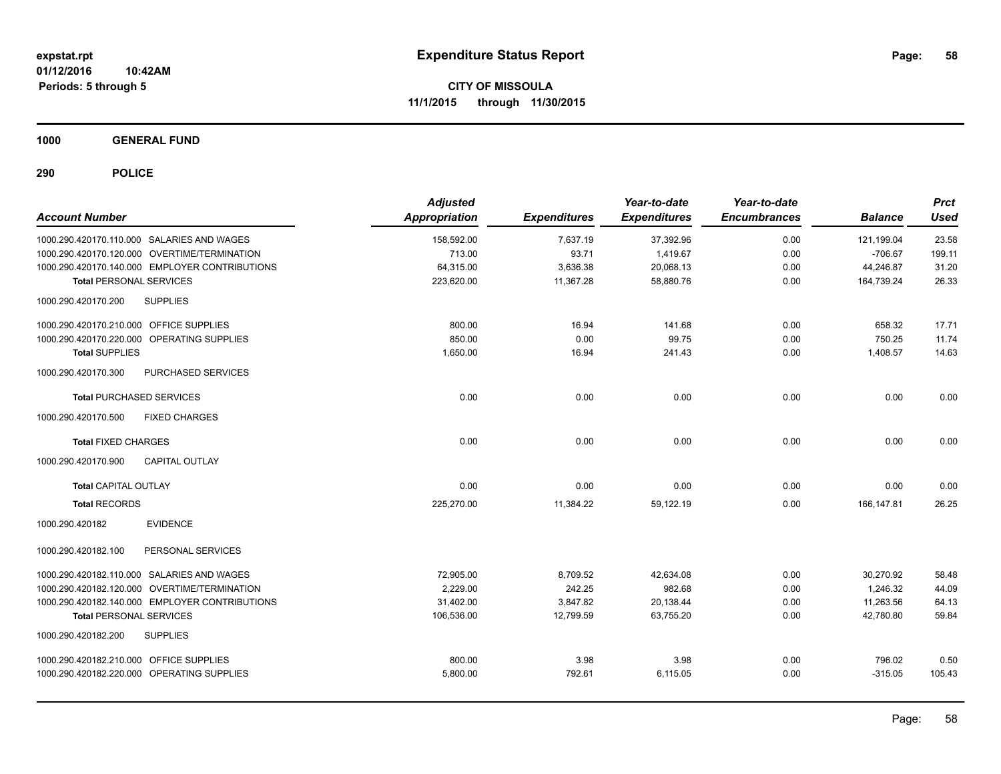**1000 GENERAL FUND**

| <b>Account Number</b>                          | <b>Adjusted</b><br>Appropriation | <b>Expenditures</b> | Year-to-date<br><b>Expenditures</b> | Year-to-date<br><b>Encumbrances</b> | <b>Balance</b> | <b>Prct</b><br><b>Used</b> |
|------------------------------------------------|----------------------------------|---------------------|-------------------------------------|-------------------------------------|----------------|----------------------------|
| 1000.290.420170.110.000 SALARIES AND WAGES     | 158,592.00                       | 7,637.19            | 37,392.96                           | 0.00                                | 121,199.04     | 23.58                      |
| 1000.290.420170.120.000 OVERTIME/TERMINATION   | 713.00                           | 93.71               | 1,419.67                            | 0.00                                | $-706.67$      | 199.11                     |
| 1000.290.420170.140.000 EMPLOYER CONTRIBUTIONS | 64,315.00                        | 3,636.38            | 20,068.13                           | 0.00                                | 44,246.87      | 31.20                      |
| <b>Total PERSONAL SERVICES</b>                 | 223,620.00                       | 11,367.28           | 58,880.76                           | 0.00                                | 164,739.24     | 26.33                      |
| <b>SUPPLIES</b><br>1000.290.420170.200         |                                  |                     |                                     |                                     |                |                            |
| 1000.290.420170.210.000 OFFICE SUPPLIES        | 800.00                           | 16.94               | 141.68                              | 0.00                                | 658.32         | 17.71                      |
| 1000.290.420170.220.000 OPERATING SUPPLIES     | 850.00                           | 0.00                | 99.75                               | 0.00                                | 750.25         | 11.74                      |
| <b>Total SUPPLIES</b>                          | 1,650.00                         | 16.94               | 241.43                              | 0.00                                | 1,408.57       | 14.63                      |
| 1000.290.420170.300<br>PURCHASED SERVICES      |                                  |                     |                                     |                                     |                |                            |
| <b>Total PURCHASED SERVICES</b>                | 0.00                             | 0.00                | 0.00                                | 0.00                                | 0.00           | 0.00                       |
| <b>FIXED CHARGES</b><br>1000.290.420170.500    |                                  |                     |                                     |                                     |                |                            |
| <b>Total FIXED CHARGES</b>                     | 0.00                             | 0.00                | 0.00                                | 0.00                                | 0.00           | 0.00                       |
| 1000.290.420170.900<br>CAPITAL OUTLAY          |                                  |                     |                                     |                                     |                |                            |
| <b>Total CAPITAL OUTLAY</b>                    | 0.00                             | 0.00                | 0.00                                | 0.00                                | 0.00           | 0.00                       |
| <b>Total RECORDS</b>                           | 225,270.00                       | 11,384.22           | 59,122.19                           | 0.00                                | 166,147.81     | 26.25                      |
| <b>EVIDENCE</b><br>1000.290.420182             |                                  |                     |                                     |                                     |                |                            |
| PERSONAL SERVICES<br>1000.290.420182.100       |                                  |                     |                                     |                                     |                |                            |
| 1000.290.420182.110.000 SALARIES AND WAGES     | 72,905.00                        | 8,709.52            | 42,634.08                           | 0.00                                | 30,270.92      | 58.48                      |
| 1000.290.420182.120.000 OVERTIME/TERMINATION   | 2.229.00                         | 242.25              | 982.68                              | 0.00                                | 1.246.32       | 44.09                      |
| 1000.290.420182.140.000 EMPLOYER CONTRIBUTIONS | 31,402.00                        | 3,847.82            | 20,138.44                           | 0.00                                | 11,263.56      | 64.13                      |
| <b>Total PERSONAL SERVICES</b>                 | 106,536.00                       | 12,799.59           | 63,755.20                           | 0.00                                | 42,780.80      | 59.84                      |
| <b>SUPPLIES</b><br>1000.290.420182.200         |                                  |                     |                                     |                                     |                |                            |
| 1000.290.420182.210.000 OFFICE SUPPLIES        | 800.00                           | 3.98                | 3.98                                | 0.00                                | 796.02         | 0.50                       |
| 1000.290.420182.220.000 OPERATING SUPPLIES     | 5,800.00                         | 792.61              | 6,115.05                            | 0.00                                | $-315.05$      | 105.43                     |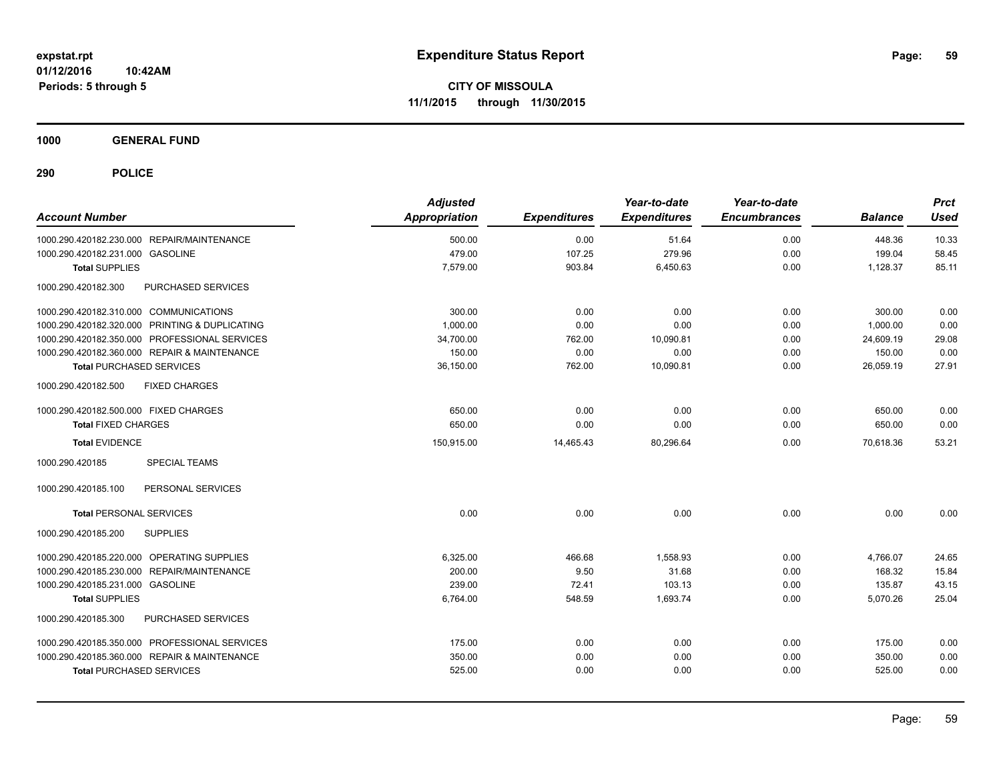**1000 GENERAL FUND**

| <b>Account Number</b>                          | <b>Adjusted</b><br>Appropriation | <b>Expenditures</b> | Year-to-date<br><b>Expenditures</b> | Year-to-date<br><b>Encumbrances</b> | <b>Balance</b> | <b>Prct</b><br><b>Used</b> |
|------------------------------------------------|----------------------------------|---------------------|-------------------------------------|-------------------------------------|----------------|----------------------------|
| 1000.290.420182.230.000 REPAIR/MAINTENANCE     | 500.00                           | 0.00                | 51.64                               | 0.00                                | 448.36         | 10.33                      |
| 1000.290.420182.231.000 GASOLINE               | 479.00                           | 107.25              | 279.96                              | 0.00                                | 199.04         | 58.45                      |
| <b>Total SUPPLIES</b>                          | 7,579.00                         | 903.84              | 6,450.63                            | 0.00                                | 1,128.37       | 85.11                      |
| 1000.290.420182.300<br>PURCHASED SERVICES      |                                  |                     |                                     |                                     |                |                            |
| 1000.290.420182.310.000 COMMUNICATIONS         | 300.00                           | 0.00                | 0.00                                | 0.00                                | 300.00         | 0.00                       |
| 1000.290.420182.320.000 PRINTING & DUPLICATING | 1,000.00                         | 0.00                | 0.00                                | 0.00                                | 1,000.00       | 0.00                       |
| 1000.290.420182.350.000 PROFESSIONAL SERVICES  | 34,700.00                        | 762.00              | 10,090.81                           | 0.00                                | 24,609.19      | 29.08                      |
| 1000.290.420182.360.000 REPAIR & MAINTENANCE   | 150.00                           | 0.00                | 0.00                                | 0.00                                | 150.00         | 0.00                       |
| <b>Total PURCHASED SERVICES</b>                | 36,150.00                        | 762.00              | 10,090.81                           | 0.00                                | 26,059.19      | 27.91                      |
| 1000.290.420182.500<br><b>FIXED CHARGES</b>    |                                  |                     |                                     |                                     |                |                            |
| 1000.290.420182.500.000 FIXED CHARGES          | 650.00                           | 0.00                | 0.00                                | 0.00                                | 650.00         | 0.00                       |
| <b>Total FIXED CHARGES</b>                     | 650.00                           | 0.00                | 0.00                                | 0.00                                | 650.00         | 0.00                       |
| <b>Total EVIDENCE</b>                          | 150,915.00                       | 14,465.43           | 80,296.64                           | 0.00                                | 70.618.36      | 53.21                      |
| 1000.290.420185<br><b>SPECIAL TEAMS</b>        |                                  |                     |                                     |                                     |                |                            |
| 1000.290.420185.100<br>PERSONAL SERVICES       |                                  |                     |                                     |                                     |                |                            |
| <b>Total PERSONAL SERVICES</b>                 | 0.00                             | 0.00                | 0.00                                | 0.00                                | 0.00           | 0.00                       |
| <b>SUPPLIES</b><br>1000.290.420185.200         |                                  |                     |                                     |                                     |                |                            |
| 1000.290.420185.220.000 OPERATING SUPPLIES     | 6,325.00                         | 466.68              | 1,558.93                            | 0.00                                | 4,766.07       | 24.65                      |
| 1000.290.420185.230.000 REPAIR/MAINTENANCE     | 200.00                           | 9.50                | 31.68                               | 0.00                                | 168.32         | 15.84                      |
| 1000.290.420185.231.000 GASOLINE               | 239.00                           | 72.41               | 103.13                              | 0.00                                | 135.87         | 43.15                      |
| <b>Total SUPPLIES</b>                          | 6,764.00                         | 548.59              | 1,693.74                            | 0.00                                | 5,070.26       | 25.04                      |
| PURCHASED SERVICES<br>1000.290.420185.300      |                                  |                     |                                     |                                     |                |                            |
| 1000.290.420185.350.000 PROFESSIONAL SERVICES  | 175.00                           | 0.00                | 0.00                                | 0.00                                | 175.00         | 0.00                       |
| 1000.290.420185.360.000 REPAIR & MAINTENANCE   | 350.00                           | 0.00                | 0.00                                | 0.00                                | 350.00         | 0.00                       |
| <b>Total PURCHASED SERVICES</b>                | 525.00                           | 0.00                | 0.00                                | 0.00                                | 525.00         | 0.00                       |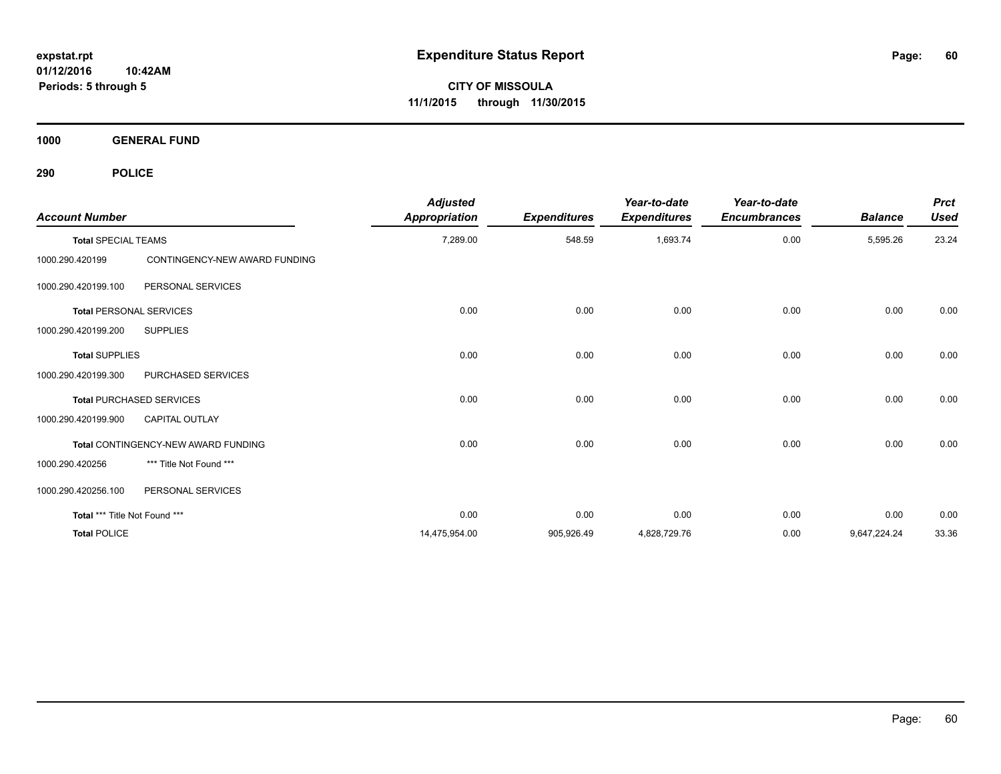**CITY OF MISSOULA 11/1/2015 through 11/30/2015**

**1000 GENERAL FUND**

| <b>Account Number</b>         |                                     | <b>Adjusted</b><br><b>Appropriation</b> | <b>Expenditures</b> | Year-to-date<br><b>Expenditures</b> | Year-to-date<br><b>Encumbrances</b> | <b>Balance</b> | <b>Prct</b><br><b>Used</b> |
|-------------------------------|-------------------------------------|-----------------------------------------|---------------------|-------------------------------------|-------------------------------------|----------------|----------------------------|
| <b>Total SPECIAL TEAMS</b>    |                                     | 7,289.00                                | 548.59              | 1,693.74                            | 0.00                                | 5,595.26       | 23.24                      |
| 1000.290.420199               | CONTINGENCY-NEW AWARD FUNDING       |                                         |                     |                                     |                                     |                |                            |
| 1000.290.420199.100           | PERSONAL SERVICES                   |                                         |                     |                                     |                                     |                |                            |
|                               | <b>Total PERSONAL SERVICES</b>      | 0.00                                    | 0.00                | 0.00                                | 0.00                                | 0.00           | 0.00                       |
| 1000.290.420199.200           | <b>SUPPLIES</b>                     |                                         |                     |                                     |                                     |                |                            |
| <b>Total SUPPLIES</b>         |                                     | 0.00                                    | 0.00                | 0.00                                | 0.00                                | 0.00           | 0.00                       |
| 1000.290.420199.300           | PURCHASED SERVICES                  |                                         |                     |                                     |                                     |                |                            |
|                               | <b>Total PURCHASED SERVICES</b>     | 0.00                                    | 0.00                | 0.00                                | 0.00                                | 0.00           | 0.00                       |
| 1000.290.420199.900           | <b>CAPITAL OUTLAY</b>               |                                         |                     |                                     |                                     |                |                            |
|                               | Total CONTINGENCY-NEW AWARD FUNDING | 0.00                                    | 0.00                | 0.00                                | 0.00                                | 0.00           | 0.00                       |
| 1000.290.420256               | *** Title Not Found ***             |                                         |                     |                                     |                                     |                |                            |
| 1000.290.420256.100           | PERSONAL SERVICES                   |                                         |                     |                                     |                                     |                |                            |
| Total *** Title Not Found *** |                                     | 0.00                                    | 0.00                | 0.00                                | 0.00                                | 0.00           | 0.00                       |
| <b>Total POLICE</b>           |                                     | 14,475,954.00                           | 905,926.49          | 4,828,729.76                        | 0.00                                | 9,647,224.24   | 33.36                      |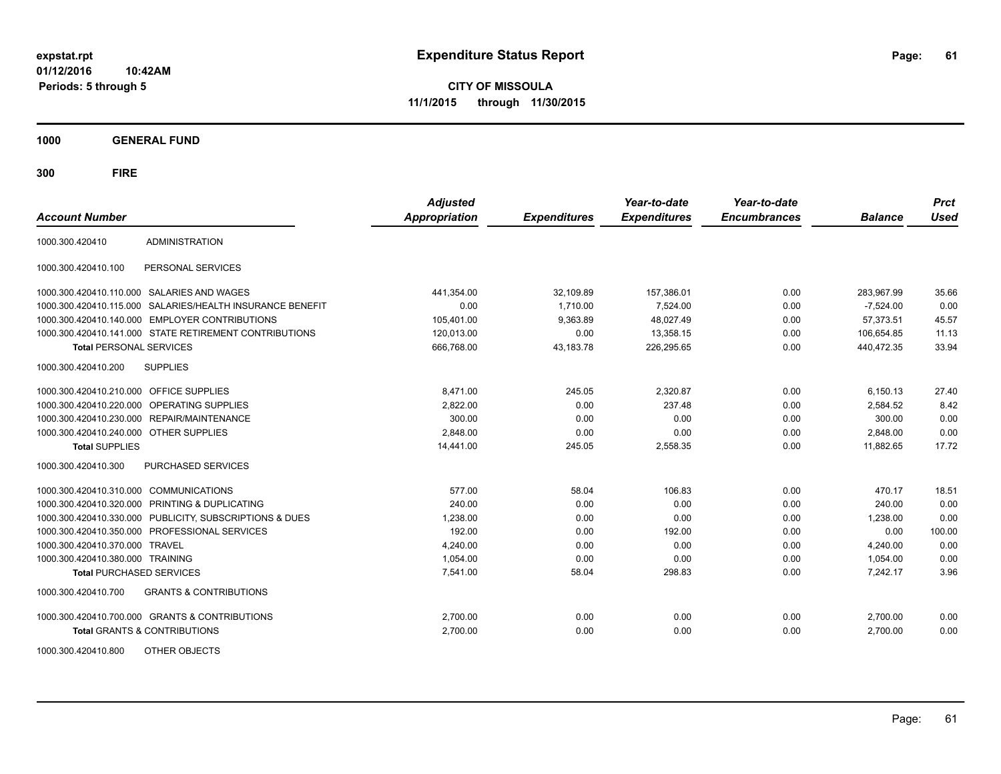**CITY OF MISSOULA 11/1/2015 through 11/30/2015**

**1000 GENERAL FUND**

| <b>Account Number</b>                   |                                                           | <b>Adjusted</b><br><b>Appropriation</b> | <b>Expenditures</b> | Year-to-date<br><b>Expenditures</b> | Year-to-date<br><b>Encumbrances</b> | <b>Balance</b> | <b>Prct</b><br><b>Used</b> |
|-----------------------------------------|-----------------------------------------------------------|-----------------------------------------|---------------------|-------------------------------------|-------------------------------------|----------------|----------------------------|
| 1000.300.420410                         | <b>ADMINISTRATION</b>                                     |                                         |                     |                                     |                                     |                |                            |
| 1000.300.420410.100                     | PERSONAL SERVICES                                         |                                         |                     |                                     |                                     |                |                            |
|                                         | 1000.300.420410.110.000 SALARIES AND WAGES                | 441,354.00                              | 32,109.89           | 157,386.01                          | 0.00                                | 283,967.99     | 35.66                      |
|                                         | 1000.300.420410.115.000 SALARIES/HEALTH INSURANCE BENEFIT | 0.00                                    | 1,710.00            | 7,524.00                            | 0.00                                | $-7,524.00$    | 0.00                       |
|                                         | 1000.300.420410.140.000 EMPLOYER CONTRIBUTIONS            | 105,401.00                              | 9,363.89            | 48.027.49                           | 0.00                                | 57.373.51      | 45.57                      |
|                                         | 1000.300.420410.141.000 STATE RETIREMENT CONTRIBUTIONS    | 120,013.00                              | 0.00                | 13,358.15                           | 0.00                                | 106,654.85     | 11.13                      |
| <b>Total PERSONAL SERVICES</b>          |                                                           | 666,768.00                              | 43,183.78           | 226,295.65                          | 0.00                                | 440,472.35     | 33.94                      |
| 1000.300.420410.200                     | <b>SUPPLIES</b>                                           |                                         |                     |                                     |                                     |                |                            |
| 1000.300.420410.210.000 OFFICE SUPPLIES |                                                           | 8,471.00                                | 245.05              | 2,320.87                            | 0.00                                | 6,150.13       | 27.40                      |
|                                         | 1000.300.420410.220.000 OPERATING SUPPLIES                | 2,822.00                                | 0.00                | 237.48                              | 0.00                                | 2,584.52       | 8.42                       |
|                                         | 1000.300.420410.230.000 REPAIR/MAINTENANCE                | 300.00                                  | 0.00                | 0.00                                | 0.00                                | 300.00         | 0.00                       |
| 1000.300.420410.240.000 OTHER SUPPLIES  |                                                           | 2.848.00                                | 0.00                | 0.00                                | 0.00                                | 2,848.00       | 0.00                       |
| <b>Total SUPPLIES</b>                   |                                                           | 14,441.00                               | 245.05              | 2,558.35                            | 0.00                                | 11,882.65      | 17.72                      |
| 1000.300.420410.300                     | <b>PURCHASED SERVICES</b>                                 |                                         |                     |                                     |                                     |                |                            |
| 1000.300.420410.310.000                 | <b>COMMUNICATIONS</b>                                     | 577.00                                  | 58.04               | 106.83                              | 0.00                                | 470.17         | 18.51                      |
|                                         | 1000.300.420410.320.000 PRINTING & DUPLICATING            | 240.00                                  | 0.00                | 0.00                                | 0.00                                | 240.00         | 0.00                       |
|                                         | 1000.300.420410.330.000 PUBLICITY, SUBSCRIPTIONS & DUES   | 1,238.00                                | 0.00                | 0.00                                | 0.00                                | 1.238.00       | 0.00                       |
|                                         | 1000.300.420410.350.000 PROFESSIONAL SERVICES             | 192.00                                  | 0.00                | 192.00                              | 0.00                                | 0.00           | 100.00                     |
| 1000.300.420410.370.000                 | <b>TRAVEL</b>                                             | 4,240.00                                | 0.00                | 0.00                                | 0.00                                | 4,240.00       | 0.00                       |
| 1000.300.420410.380.000 TRAINING        |                                                           | 1,054.00                                | 0.00                | 0.00                                | 0.00                                | 1,054.00       | 0.00                       |
| <b>Total PURCHASED SERVICES</b>         |                                                           | 7,541.00                                | 58.04               | 298.83                              | 0.00                                | 7,242.17       | 3.96                       |
| 1000.300.420410.700                     | <b>GRANTS &amp; CONTRIBUTIONS</b>                         |                                         |                     |                                     |                                     |                |                            |
|                                         | 1000.300.420410.700.000 GRANTS & CONTRIBUTIONS            | 2,700.00                                | 0.00                | 0.00                                | 0.00                                | 2,700.00       | 0.00                       |
|                                         | <b>Total GRANTS &amp; CONTRIBUTIONS</b>                   | 2,700.00                                | 0.00                | 0.00                                | 0.00                                | 2,700.00       | 0.00                       |
| 1000.300.420410.800                     | OTHER OBJECTS                                             |                                         |                     |                                     |                                     |                |                            |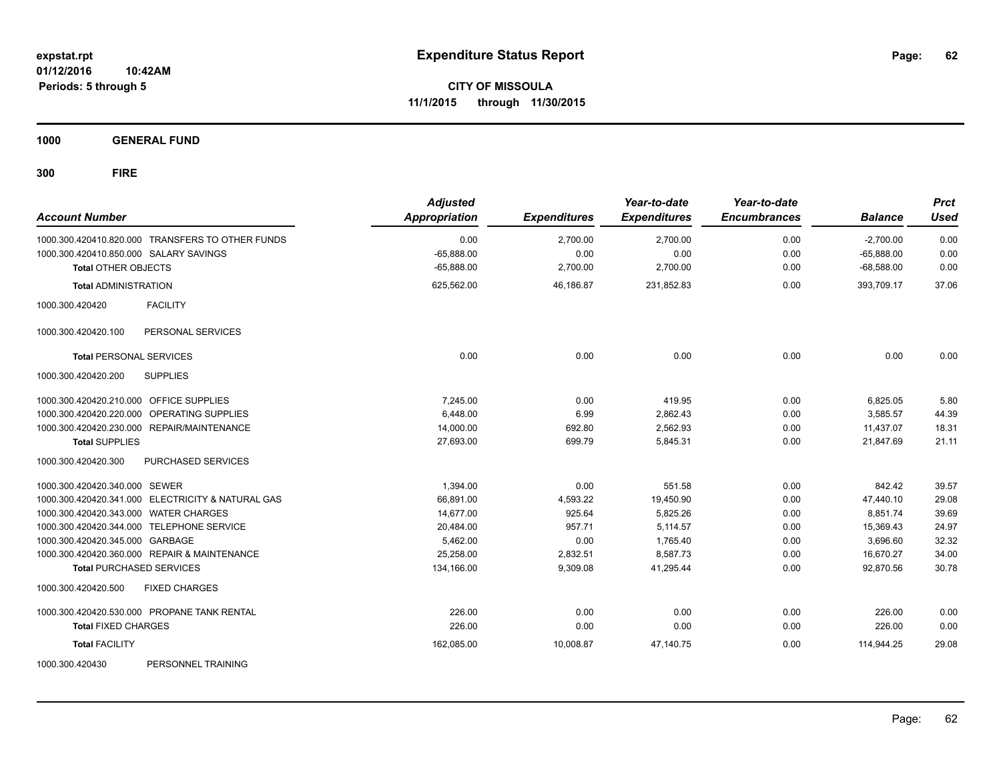**CITY OF MISSOULA 11/1/2015 through 11/30/2015**

**1000 GENERAL FUND**

| <b>Account Number</b>                                | <b>Adjusted</b><br>Appropriation | <b>Expenditures</b> | Year-to-date<br><b>Expenditures</b> | Year-to-date<br><b>Encumbrances</b> | <b>Balance</b> | <b>Prct</b><br><b>Used</b> |
|------------------------------------------------------|----------------------------------|---------------------|-------------------------------------|-------------------------------------|----------------|----------------------------|
| 1000.300.420410.820.000 TRANSFERS TO OTHER FUNDS     | 0.00                             | 2,700.00            | 2,700.00                            | 0.00                                | $-2,700.00$    | 0.00                       |
| 1000.300.420410.850.000 SALARY SAVINGS               | $-65,888.00$                     | 0.00                | 0.00                                | 0.00                                | $-65,888.00$   | 0.00                       |
| <b>Total OTHER OBJECTS</b>                           | $-65,888.00$                     | 2,700.00            | 2,700.00                            | 0.00                                | $-68,588.00$   | 0.00                       |
| <b>Total ADMINISTRATION</b>                          | 625,562.00                       | 46,186.87           | 231,852.83                          | 0.00                                | 393,709.17     | 37.06                      |
| <b>FACILITY</b><br>1000.300.420420                   |                                  |                     |                                     |                                     |                |                            |
| PERSONAL SERVICES<br>1000.300.420420.100             |                                  |                     |                                     |                                     |                |                            |
| <b>Total PERSONAL SERVICES</b>                       | 0.00                             | 0.00                | 0.00                                | 0.00                                | 0.00           | 0.00                       |
| 1000.300.420420.200<br><b>SUPPLIES</b>               |                                  |                     |                                     |                                     |                |                            |
| 1000.300.420420.210.000 OFFICE SUPPLIES              | 7.245.00                         | 0.00                | 419.95                              | 0.00                                | 6,825.05       | 5.80                       |
| <b>OPERATING SUPPLIES</b><br>1000.300.420420.220.000 | 6.448.00                         | 6.99                | 2,862.43                            | 0.00                                | 3,585.57       | 44.39                      |
| 1000.300.420420.230.000 REPAIR/MAINTENANCE           | 14,000.00                        | 692.80              | 2,562.93                            | 0.00                                | 11,437.07      | 18.31                      |
| <b>Total SUPPLIES</b>                                | 27,693.00                        | 699.79              | 5,845.31                            | 0.00                                | 21,847.69      | 21.11                      |
| 1000.300.420420.300<br>PURCHASED SERVICES            |                                  |                     |                                     |                                     |                |                            |
| 1000.300.420420.340.000 SEWER                        | 1,394.00                         | 0.00                | 551.58                              | 0.00                                | 842.42         | 39.57                      |
| 1000.300.420420.341.000 ELECTRICITY & NATURAL GAS    | 66,891.00                        | 4,593.22            | 19,450.90                           | 0.00                                | 47,440.10      | 29.08                      |
| 1000.300.420420.343.000 WATER CHARGES                | 14,677.00                        | 925.64              | 5,825.26                            | 0.00                                | 8,851.74       | 39.69                      |
| 1000.300.420420.344.000 TELEPHONE SERVICE            | 20,484.00                        | 957.71              | 5.114.57                            | 0.00                                | 15,369.43      | 24.97                      |
| 1000.300.420420.345.000 GARBAGE                      | 5,462.00                         | 0.00                | 1,765.40                            | 0.00                                | 3,696.60       | 32.32                      |
| 1000.300.420420.360.000 REPAIR & MAINTENANCE         | 25,258.00                        | 2,832.51            | 8,587.73                            | 0.00                                | 16,670.27      | 34.00                      |
| <b>Total PURCHASED SERVICES</b>                      | 134,166.00                       | 9,309.08            | 41,295.44                           | 0.00                                | 92,870.56      | 30.78                      |
| 1000.300.420420.500<br><b>FIXED CHARGES</b>          |                                  |                     |                                     |                                     |                |                            |
| 1000.300.420420.530.000 PROPANE TANK RENTAL          | 226.00                           | 0.00                | 0.00                                | 0.00                                | 226.00         | 0.00                       |
| <b>Total FIXED CHARGES</b>                           | 226.00                           | 0.00                | 0.00                                | 0.00                                | 226.00         | 0.00                       |
| <b>Total FACILITY</b>                                | 162,085.00                       | 10,008.87           | 47,140.75                           | 0.00                                | 114,944.25     | 29.08                      |
| 1000.300.420430<br>PERSONNEL TRAINING                |                                  |                     |                                     |                                     |                |                            |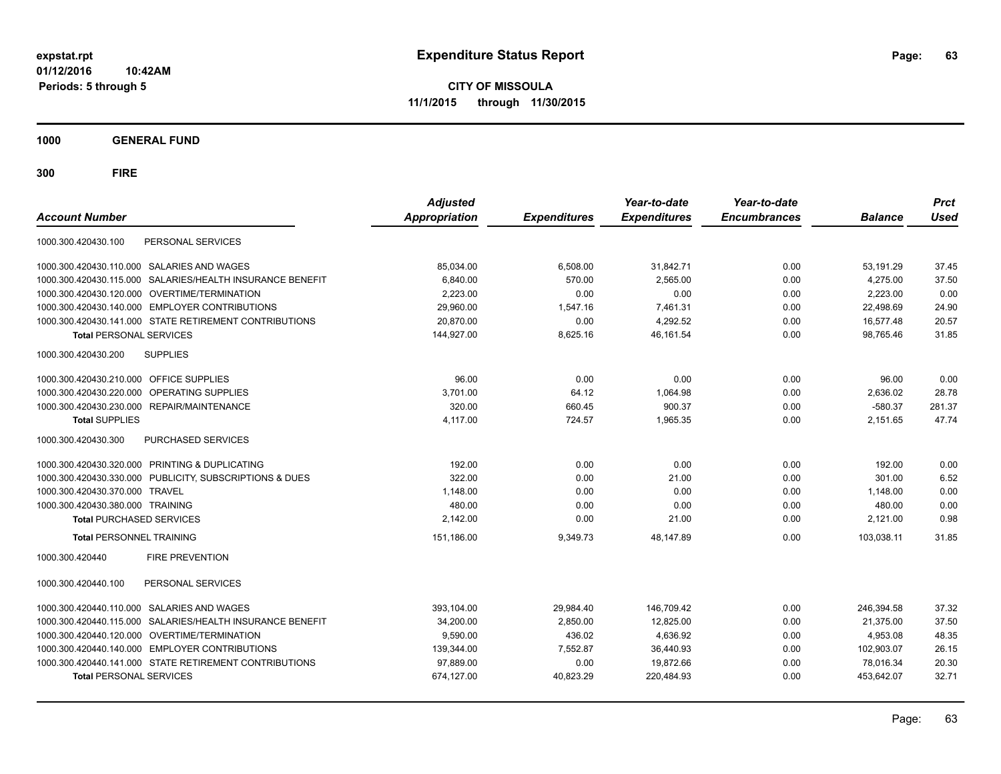**CITY OF MISSOULA 11/1/2015 through 11/30/2015**

**1000 GENERAL FUND**

| <b>Account Number</b>                          |                                                        | <b>Adjusted</b><br><b>Appropriation</b> | <b>Expenditures</b> | Year-to-date<br><b>Expenditures</b> | Year-to-date<br><b>Encumbrances</b> | <b>Balance</b> | <b>Prct</b><br><b>Used</b> |
|------------------------------------------------|--------------------------------------------------------|-----------------------------------------|---------------------|-------------------------------------|-------------------------------------|----------------|----------------------------|
| 1000.300.420430.100                            | PERSONAL SERVICES                                      |                                         |                     |                                     |                                     |                |                            |
| 1000.300.420430.110.000                        | SALARIES AND WAGES                                     | 85,034.00                               | 6,508.00            | 31,842.71                           | 0.00                                | 53,191.29      | 37.45                      |
| 1000.300.420430.115.000                        | SALARIES/HEALTH INSURANCE BENEFIT                      | 6,840.00                                | 570.00              | 2,565.00                            | 0.00                                | 4,275.00       | 37.50                      |
| 1000.300.420430.120.000                        | OVERTIME/TERMINATION                                   | 2.223.00                                | 0.00                | 0.00                                | 0.00                                | 2,223.00       | 0.00                       |
| 1000.300.420430.140.000 EMPLOYER CONTRIBUTIONS |                                                        | 29.960.00                               | 1,547.16            | 7,461.31                            | 0.00                                | 22,498.69      | 24.90                      |
|                                                | 1000.300.420430.141.000 STATE RETIREMENT CONTRIBUTIONS | 20.870.00                               | 0.00                | 4,292.52                            | 0.00                                | 16,577.48      | 20.57                      |
| <b>Total PERSONAL SERVICES</b>                 |                                                        | 144,927.00                              | 8,625.16            | 46,161.54                           | 0.00                                | 98,765.46      | 31.85                      |
| 1000.300.420430.200<br><b>SUPPLIES</b>         |                                                        |                                         |                     |                                     |                                     |                |                            |
| 1000.300.420430.210.000                        | <b>OFFICE SUPPLIES</b>                                 | 96.00                                   | 0.00                | 0.00                                | 0.00                                | 96.00          | 0.00                       |
| 1000.300.420430.220.000                        | OPERATING SUPPLIES                                     | 3,701.00                                | 64.12               | 1,064.98                            | 0.00                                | 2,636.02       | 28.78                      |
| 1000.300.420430.230.000 REPAIR/MAINTENANCE     |                                                        | 320.00                                  | 660.45              | 900.37                              | 0.00                                | $-580.37$      | 281.37                     |
| <b>Total SUPPLIES</b>                          |                                                        | 4,117.00                                | 724.57              | 1,965.35                            | 0.00                                | 2,151.65       | 47.74                      |
| 1000.300.420430.300                            | <b>PURCHASED SERVICES</b>                              |                                         |                     |                                     |                                     |                |                            |
| 1000.300.420430.320.000 PRINTING & DUPLICATING |                                                        | 192.00                                  | 0.00                | 0.00                                | 0.00                                | 192.00         | 0.00                       |
| 1000.300.420430.330.000                        | PUBLICITY, SUBSCRIPTIONS & DUES                        | 322.00                                  | 0.00                | 21.00                               | 0.00                                | 301.00         | 6.52                       |
| 1000.300.420430.370.000 TRAVEL                 |                                                        | 1,148.00                                | 0.00                | 0.00                                | 0.00                                | 1,148.00       | 0.00                       |
| 1000.300.420430.380.000 TRAINING               |                                                        | 480.00                                  | 0.00                | 0.00                                | 0.00                                | 480.00         | 0.00                       |
| <b>Total PURCHASED SERVICES</b>                |                                                        | 2.142.00                                | 0.00                | 21.00                               | 0.00                                | 2,121.00       | 0.98                       |
| <b>Total PERSONNEL TRAINING</b>                |                                                        | 151,186.00                              | 9,349.73            | 48,147.89                           | 0.00                                | 103,038.11     | 31.85                      |
| 1000.300.420440                                | <b>FIRE PREVENTION</b>                                 |                                         |                     |                                     |                                     |                |                            |
| 1000.300.420440.100                            | PERSONAL SERVICES                                      |                                         |                     |                                     |                                     |                |                            |
| 1000.300.420440.110.000                        | SALARIES AND WAGES                                     | 393,104.00                              | 29,984.40           | 146,709.42                          | 0.00                                | 246,394.58     | 37.32                      |
| 1000.300.420440.115.000                        | SALARIES/HEALTH INSURANCE BENEFIT                      | 34,200.00                               | 2,850.00            | 12,825.00                           | 0.00                                | 21,375.00      | 37.50                      |
| 1000.300.420440.120.000                        | OVERTIME/TERMINATION                                   | 9,590.00                                | 436.02              | 4,636.92                            | 0.00                                | 4,953.08       | 48.35                      |
| 1000.300.420440.140.000 EMPLOYER CONTRIBUTIONS |                                                        | 139,344.00                              | 7,552.87            | 36,440.93                           | 0.00                                | 102,903.07     | 26.15                      |
|                                                | 1000.300.420440.141.000 STATE RETIREMENT CONTRIBUTIONS | 97,889.00                               | 0.00                | 19,872.66                           | 0.00                                | 78.016.34      | 20.30                      |
| <b>Total PERSONAL SERVICES</b>                 |                                                        | 674,127.00                              | 40,823.29           | 220,484.93                          | 0.00                                | 453.642.07     | 32.71                      |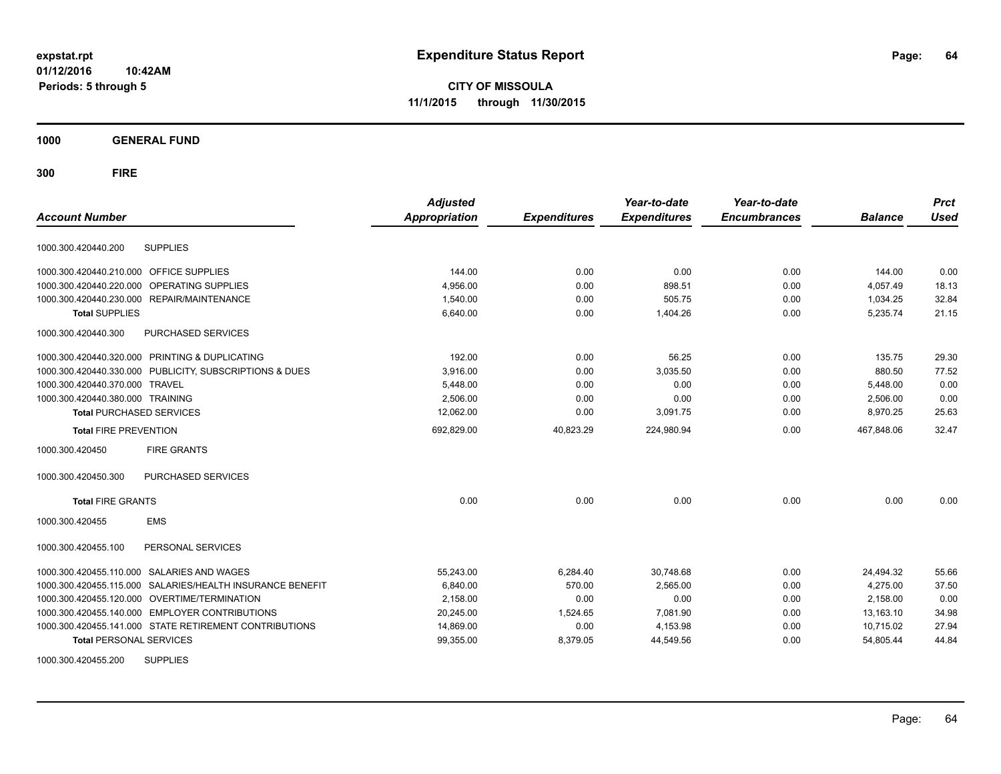**CITY OF MISSOULA 11/1/2015 through 11/30/2015**

**1000 GENERAL FUND**

**300 FIRE**

| <b>Account Number</b>                                        | <b>Adjusted</b><br><b>Appropriation</b> | <b>Expenditures</b> | Year-to-date<br><b>Expenditures</b> | Year-to-date<br><b>Encumbrances</b> | <b>Balance</b> | <b>Prct</b><br><b>Used</b> |
|--------------------------------------------------------------|-----------------------------------------|---------------------|-------------------------------------|-------------------------------------|----------------|----------------------------|
| <b>SUPPLIES</b><br>1000.300.420440.200                       |                                         |                     |                                     |                                     |                |                            |
| 1000.300.420440.210.000 OFFICE SUPPLIES                      | 144.00                                  | 0.00                | 0.00                                | 0.00                                | 144.00         | 0.00                       |
| OPERATING SUPPLIES<br>1000.300.420440.220.000                | 4,956.00                                | 0.00                | 898.51                              | 0.00                                | 4,057.49       | 18.13                      |
| 1000.300.420440.230.000 REPAIR/MAINTENANCE                   | 1,540.00                                | 0.00                | 505.75                              | 0.00                                | 1,034.25       | 32.84                      |
| <b>Total SUPPLIES</b>                                        | 6,640.00                                | 0.00                | 1,404.26                            | 0.00                                | 5,235.74       | 21.15                      |
| 1000.300.420440.300<br>PURCHASED SERVICES                    |                                         |                     |                                     |                                     |                |                            |
| 1000.300.420440.320.000 PRINTING & DUPLICATING               | 192.00                                  | 0.00                | 56.25                               | 0.00                                | 135.75         | 29.30                      |
| 1000.300.420440.330.000 PUBLICITY, SUBSCRIPTIONS & DUES      | 3,916.00                                | 0.00                | 3,035.50                            | 0.00                                | 880.50         | 77.52                      |
| 1000.300.420440.370.000 TRAVEL                               | 5,448.00                                | 0.00                | 0.00                                | 0.00                                | 5,448.00       | 0.00                       |
| 1000.300.420440.380.000 TRAINING                             | 2,506.00                                | 0.00                | 0.00                                | 0.00                                | 2,506.00       | 0.00                       |
| <b>Total PURCHASED SERVICES</b>                              | 12,062.00                               | 0.00                | 3,091.75                            | 0.00                                | 8,970.25       | 25.63                      |
| <b>Total FIRE PREVENTION</b>                                 | 692,829.00                              | 40,823.29           | 224,980.94                          | 0.00                                | 467,848.06     | 32.47                      |
| <b>FIRE GRANTS</b><br>1000.300.420450                        |                                         |                     |                                     |                                     |                |                            |
| PURCHASED SERVICES<br>1000.300.420450.300                    |                                         |                     |                                     |                                     |                |                            |
| <b>Total FIRE GRANTS</b>                                     | 0.00                                    | 0.00                | 0.00                                | 0.00                                | 0.00           | 0.00                       |
| <b>EMS</b><br>1000.300.420455                                |                                         |                     |                                     |                                     |                |                            |
| PERSONAL SERVICES<br>1000.300.420455.100                     |                                         |                     |                                     |                                     |                |                            |
| 1000.300.420455.110.000 SALARIES AND WAGES                   | 55,243.00                               | 6.284.40            | 30.748.68                           | 0.00                                | 24,494.32      | 55.66                      |
| SALARIES/HEALTH INSURANCE BENEFIT<br>1000.300.420455.115.000 | 6,840.00                                | 570.00              | 2,565.00                            | 0.00                                | 4,275.00       | 37.50                      |
| 1000.300.420455.120.000 OVERTIME/TERMINATION                 | 2,158.00                                | 0.00                | 0.00                                | 0.00                                | 2,158.00       | 0.00                       |
| 1000.300.420455.140.000 EMPLOYER CONTRIBUTIONS               | 20,245.00                               | 1.524.65            | 7,081.90                            | 0.00                                | 13,163.10      | 34.98                      |
| 1000.300.420455.141.000 STATE RETIREMENT CONTRIBUTIONS       | 14,869.00                               | 0.00                | 4,153.98                            | 0.00                                | 10,715.02      | 27.94                      |
| <b>Total PERSONAL SERVICES</b>                               | 99,355.00                               | 8,379.05            | 44,549.56                           | 0.00                                | 54,805.44      | 44.84                      |
| 1000000010015500<br>0.1001100                                |                                         |                     |                                     |                                     |                |                            |

1000.300.420455.200 SUPPLIES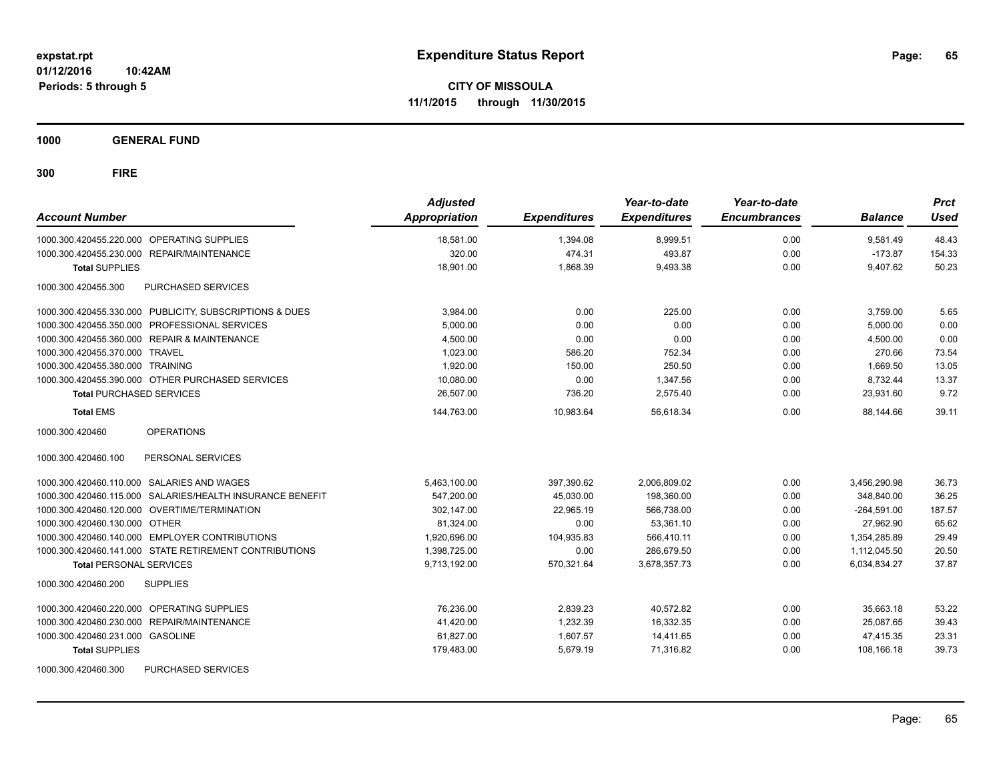**1000 GENERAL FUND**

| <b>Account Number</b>                                     | <b>Adjusted</b><br><b>Appropriation</b> | <b>Expenditures</b> | Year-to-date<br><b>Expenditures</b> | Year-to-date<br><b>Encumbrances</b> | <b>Balance</b> | <b>Prct</b><br><b>Used</b> |
|-----------------------------------------------------------|-----------------------------------------|---------------------|-------------------------------------|-------------------------------------|----------------|----------------------------|
| 1000.300.420455.220.000 OPERATING SUPPLIES                | 18,581.00                               | 1,394.08            | 8,999.51                            | 0.00                                | 9.581.49       | 48.43                      |
| 1000.300.420455.230.000 REPAIR/MAINTENANCE                | 320.00                                  | 474.31              | 493.87                              | 0.00                                | $-173.87$      | 154.33                     |
| <b>Total SUPPLIES</b>                                     | 18,901.00                               | 1,868.39            | 9,493.38                            | 0.00                                | 9,407.62       | 50.23                      |
| PURCHASED SERVICES<br>1000.300.420455.300                 |                                         |                     |                                     |                                     |                |                            |
| 1000.300.420455.330.000 PUBLICITY, SUBSCRIPTIONS & DUES   | 3,984.00                                | 0.00                | 225.00                              | 0.00                                | 3,759.00       | 5.65                       |
| 1000.300.420455.350.000 PROFESSIONAL SERVICES             | 5.000.00                                | 0.00                | 0.00                                | 0.00                                | 5,000.00       | 0.00                       |
| 1000.300.420455.360.000 REPAIR & MAINTENANCE              | 4,500.00                                | 0.00                | 0.00                                | 0.00                                | 4,500.00       | 0.00                       |
| 1000.300.420455.370.000 TRAVEL                            | 1,023.00                                | 586.20              | 752.34                              | 0.00                                | 270.66         | 73.54                      |
| 1000.300.420455.380.000 TRAINING                          | 1,920.00                                | 150.00              | 250.50                              | 0.00                                | 1,669.50       | 13.05                      |
| 1000.300.420455.390.000 OTHER PURCHASED SERVICES          | 10,080.00                               | 0.00                | 1,347.56                            | 0.00                                | 8,732.44       | 13.37                      |
| <b>Total PURCHASED SERVICES</b>                           | 26,507.00                               | 736.20              | 2,575.40                            | 0.00                                | 23,931.60      | 9.72                       |
| <b>Total EMS</b>                                          | 144.763.00                              | 10.983.64           | 56.618.34                           | 0.00                                | 88.144.66      | 39.11                      |
| <b>OPERATIONS</b><br>1000.300.420460                      |                                         |                     |                                     |                                     |                |                            |
| PERSONAL SERVICES<br>1000.300.420460.100                  |                                         |                     |                                     |                                     |                |                            |
| 1000.300.420460.110.000 SALARIES AND WAGES                | 5,463,100.00                            | 397,390.62          | 2,006,809.02                        | 0.00                                | 3,456,290.98   | 36.73                      |
| 1000.300.420460.115.000 SALARIES/HEALTH INSURANCE BENEFIT | 547,200.00                              | 45,030.00           | 198,360.00                          | 0.00                                | 348,840.00     | 36.25                      |
| 1000.300.420460.120.000 OVERTIME/TERMINATION              | 302,147.00                              | 22.965.19           | 566.738.00                          | 0.00                                | $-264.591.00$  | 187.57                     |
| 1000.300.420460.130.000 OTHER                             | 81,324.00                               | 0.00                | 53,361.10                           | 0.00                                | 27.962.90      | 65.62                      |
| 1000.300.420460.140.000 EMPLOYER CONTRIBUTIONS            | 1,920,696.00                            | 104,935.83          | 566.410.11                          | 0.00                                | 1,354,285.89   | 29.49                      |
| 1000.300.420460.141.000 STATE RETIREMENT CONTRIBUTIONS    | 1,398,725.00                            | 0.00                | 286,679.50                          | 0.00                                | 1,112,045.50   | 20.50                      |
| <b>Total PERSONAL SERVICES</b>                            | 9,713,192.00                            | 570,321.64          | 3,678,357.73                        | 0.00                                | 6,034,834.27   | 37.87                      |
| <b>SUPPLIES</b><br>1000.300.420460.200                    |                                         |                     |                                     |                                     |                |                            |
| 1000.300.420460.220.000 OPERATING SUPPLIES                | 76,236.00                               | 2,839.23            | 40,572.82                           | 0.00                                | 35,663.18      | 53.22                      |
| 1000.300.420460.230.000 REPAIR/MAINTENANCE                | 41,420.00                               | 1,232.39            | 16,332.35                           | 0.00                                | 25,087.65      | 39.43                      |
| 1000.300.420460.231.000 GASOLINE                          | 61,827.00                               | 1,607.57            | 14,411.65                           | 0.00                                | 47,415.35      | 23.31                      |
| <b>Total SUPPLIES</b>                                     | 179,483.00                              | 5,679.19            | 71,316.82                           | 0.00                                | 108,166.18     | 39.73                      |
| 1000.300.420460.300<br>PURCHASED SERVICES                 |                                         |                     |                                     |                                     |                |                            |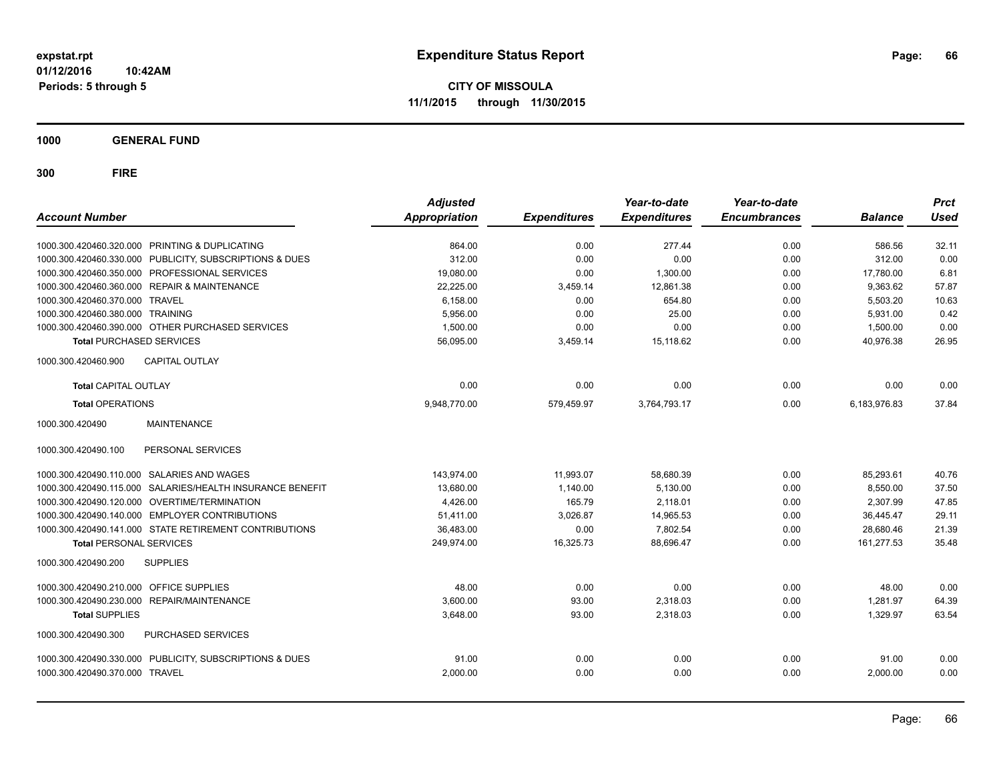**CITY OF MISSOULA 11/1/2015 through 11/30/2015**

**1000 GENERAL FUND**

| <b>Account Number</b>                   |                                                           | <b>Adjusted</b><br>Appropriation | <b>Expenditures</b> | Year-to-date<br><b>Expenditures</b> | Year-to-date<br><b>Encumbrances</b> | <b>Balance</b> | <b>Prct</b><br><b>Used</b> |
|-----------------------------------------|-----------------------------------------------------------|----------------------------------|---------------------|-------------------------------------|-------------------------------------|----------------|----------------------------|
|                                         | 1000.300.420460.320.000 PRINTING & DUPLICATING            | 864.00                           | 0.00                | 277.44                              | 0.00                                | 586.56         | 32.11                      |
|                                         | 1000.300.420460.330.000 PUBLICITY, SUBSCRIPTIONS & DUES   | 312.00                           | 0.00                | 0.00                                | 0.00                                | 312.00         | 0.00                       |
|                                         | 1000.300.420460.350.000 PROFESSIONAL SERVICES             | 19,080.00                        | 0.00                | 1,300.00                            | 0.00                                | 17,780.00      | 6.81                       |
|                                         | 1000.300.420460.360.000 REPAIR & MAINTENANCE              | 22,225.00                        | 3,459.14            | 12,861.38                           | 0.00                                | 9,363.62       | 57.87                      |
| 1000.300.420460.370.000 TRAVEL          |                                                           | 6.158.00                         | 0.00                | 654.80                              | 0.00                                | 5.503.20       | 10.63                      |
| 1000.300.420460.380.000 TRAINING        |                                                           | 5.956.00                         | 0.00                | 25.00                               | 0.00                                | 5,931.00       | 0.42                       |
|                                         | 1000.300.420460.390.000 OTHER PURCHASED SERVICES          | 1.500.00                         | 0.00                | 0.00                                | 0.00                                | 1,500.00       | 0.00                       |
| <b>Total PURCHASED SERVICES</b>         |                                                           | 56,095.00                        | 3,459.14            | 15,118.62                           | 0.00                                | 40,976.38      | 26.95                      |
| 1000.300.420460.900                     | <b>CAPITAL OUTLAY</b>                                     |                                  |                     |                                     |                                     |                |                            |
| <b>Total CAPITAL OUTLAY</b>             |                                                           | 0.00                             | 0.00                | 0.00                                | 0.00                                | 0.00           | 0.00                       |
| <b>Total OPERATIONS</b>                 |                                                           | 9,948,770.00                     | 579,459.97          | 3,764,793.17                        | 0.00                                | 6,183,976.83   | 37.84                      |
| 1000.300.420490                         | <b>MAINTENANCE</b>                                        |                                  |                     |                                     |                                     |                |                            |
| 1000.300.420490.100                     | PERSONAL SERVICES                                         |                                  |                     |                                     |                                     |                |                            |
|                                         | 1000.300.420490.110.000 SALARIES AND WAGES                | 143.974.00                       | 11.993.07           | 58.680.39                           | 0.00                                | 85.293.61      | 40.76                      |
|                                         | 1000.300.420490.115.000 SALARIES/HEALTH INSURANCE BENEFIT | 13,680.00                        | 1.140.00            | 5,130.00                            | 0.00                                | 8,550.00       | 37.50                      |
|                                         | 1000.300.420490.120.000 OVERTIME/TERMINATION              | 4,426.00                         | 165.79              | 2,118.01                            | 0.00                                | 2,307.99       | 47.85                      |
|                                         | 1000.300.420490.140.000 EMPLOYER CONTRIBUTIONS            | 51,411.00                        | 3,026.87            | 14,965.53                           | 0.00                                | 36,445.47      | 29.11                      |
|                                         | 1000.300.420490.141.000 STATE RETIREMENT CONTRIBUTIONS    | 36,483.00                        | 0.00                | 7,802.54                            | 0.00                                | 28,680.46      | 21.39                      |
| <b>Total PERSONAL SERVICES</b>          |                                                           | 249,974.00                       | 16,325.73           | 88,696.47                           | 0.00                                | 161,277.53     | 35.48                      |
| 1000.300.420490.200                     | <b>SUPPLIES</b>                                           |                                  |                     |                                     |                                     |                |                            |
| 1000.300.420490.210.000 OFFICE SUPPLIES |                                                           | 48.00                            | 0.00                | 0.00                                | 0.00                                | 48.00          | 0.00                       |
|                                         | 1000.300.420490.230.000 REPAIR/MAINTENANCE                | 3.600.00                         | 93.00               | 2,318.03                            | 0.00                                | 1.281.97       | 64.39                      |
| <b>Total SUPPLIES</b>                   |                                                           | 3,648.00                         | 93.00               | 2,318.03                            | 0.00                                | 1,329.97       | 63.54                      |
| 1000.300.420490.300                     | PURCHASED SERVICES                                        |                                  |                     |                                     |                                     |                |                            |
|                                         | 1000.300.420490.330.000 PUBLICITY, SUBSCRIPTIONS & DUES   | 91.00                            | 0.00                | 0.00                                | 0.00                                | 91.00          | 0.00                       |
| 1000.300.420490.370.000 TRAVEL          |                                                           | 2,000.00                         | 0.00                | 0.00                                | 0.00                                | 2,000.00       | 0.00                       |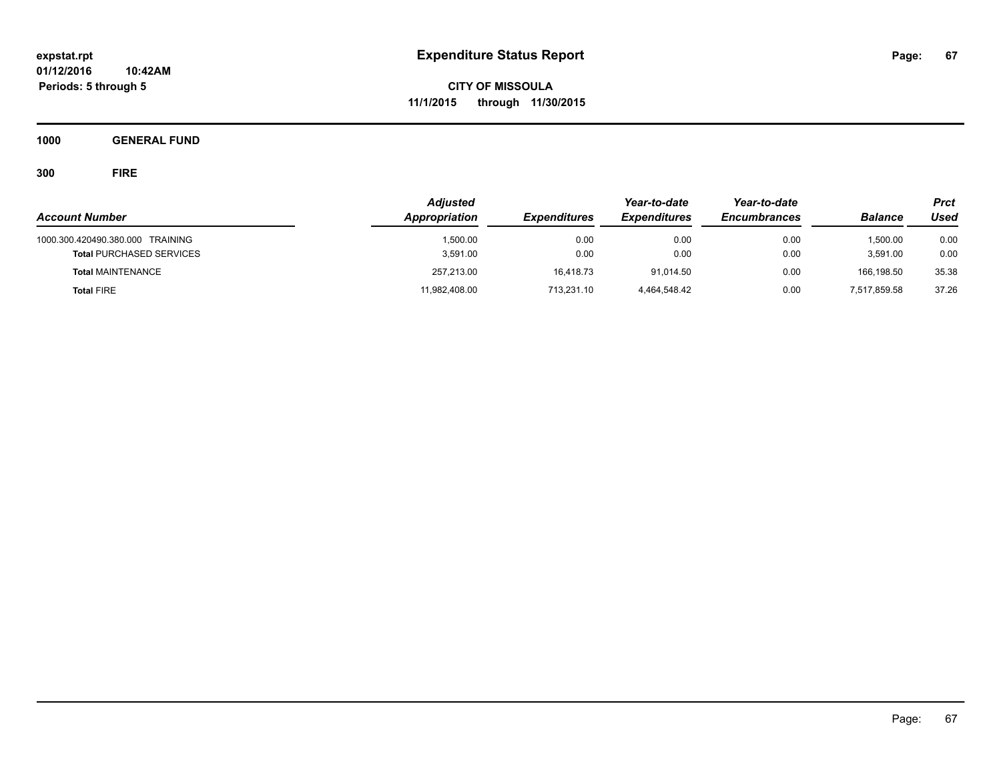**CITY OF MISSOULA 11/1/2015 through 11/30/2015**

**1000 GENERAL FUND**

| <b>Account Number</b>                                               | <b>Adjusted</b><br>Appropriation | <b>Expenditures</b> | Year-to-date<br><b>Expenditures</b> | Year-to-date<br><b>Encumbrances</b> | <b>Balance</b>       | <b>Prct</b><br>Used |
|---------------------------------------------------------------------|----------------------------------|---------------------|-------------------------------------|-------------------------------------|----------------------|---------------------|
| 1000.300.420490.380.000 TRAINING<br><b>Total PURCHASED SERVICES</b> | 1,500.00<br>3,591.00             | 0.00<br>0.00        | 0.00<br>0.00                        | 0.00<br>0.00                        | 1.500.00<br>3.591.00 | 0.00<br>0.00        |
| <b>Total MAINTENANCE</b>                                            | 257,213.00                       | 16.418.73           | 91.014.50                           | 0.00                                | 166.198.50           | 35.38               |
| <b>Total FIRE</b>                                                   | 11,982,408.00                    | 713,231.10          | 4.464.548.42                        | 0.00                                | 7,517,859.58         | 37.26               |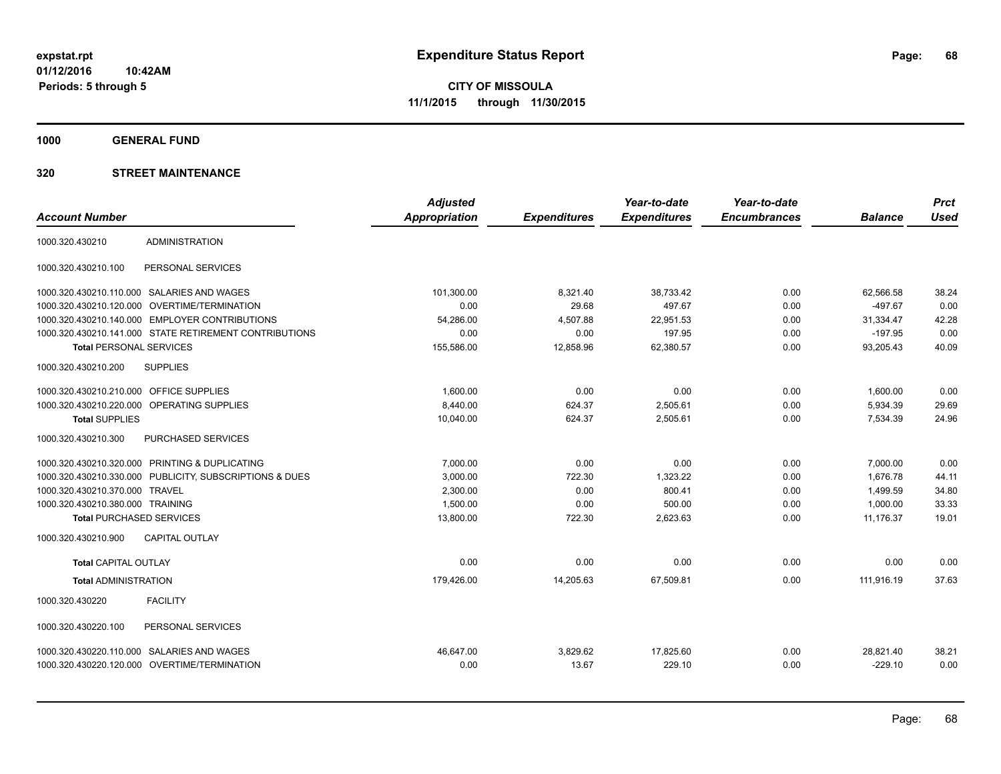**1000 GENERAL FUND**

|                                         |                                                         | <b>Adjusted</b>      |                     | Year-to-date        | Year-to-date        |                | <b>Prct</b> |
|-----------------------------------------|---------------------------------------------------------|----------------------|---------------------|---------------------|---------------------|----------------|-------------|
| <b>Account Number</b>                   |                                                         | <b>Appropriation</b> | <b>Expenditures</b> | <b>Expenditures</b> | <b>Encumbrances</b> | <b>Balance</b> | <b>Used</b> |
| 1000.320.430210                         | <b>ADMINISTRATION</b>                                   |                      |                     |                     |                     |                |             |
| 1000.320.430210.100                     | PERSONAL SERVICES                                       |                      |                     |                     |                     |                |             |
|                                         | 1000.320.430210.110.000 SALARIES AND WAGES              | 101,300.00           | 8,321.40            | 38,733.42           | 0.00                | 62,566.58      | 38.24       |
| 1000.320.430210.120.000                 | OVERTIME/TERMINATION                                    | 0.00                 | 29.68               | 497.67              | 0.00                | $-497.67$      | 0.00        |
|                                         | 1000.320.430210.140.000 EMPLOYER CONTRIBUTIONS          | 54,286.00            | 4,507.88            | 22,951.53           | 0.00                | 31,334.47      | 42.28       |
|                                         | 1000.320.430210.141.000 STATE RETIREMENT CONTRIBUTIONS  | 0.00                 | 0.00                | 197.95              | 0.00                | $-197.95$      | 0.00        |
| <b>Total PERSONAL SERVICES</b>          |                                                         | 155,586.00           | 12,858.96           | 62,380.57           | 0.00                | 93.205.43      | 40.09       |
| 1000.320.430210.200                     | <b>SUPPLIES</b>                                         |                      |                     |                     |                     |                |             |
| 1000.320.430210.210.000 OFFICE SUPPLIES |                                                         | 1,600.00             | 0.00                | 0.00                | 0.00                | 1,600.00       | 0.00        |
|                                         | 1000.320.430210.220.000 OPERATING SUPPLIES              | 8,440.00             | 624.37              | 2,505.61            | 0.00                | 5,934.39       | 29.69       |
| <b>Total SUPPLIES</b>                   |                                                         | 10,040.00            | 624.37              | 2,505.61            | 0.00                | 7,534.39       | 24.96       |
| 1000.320.430210.300                     | PURCHASED SERVICES                                      |                      |                     |                     |                     |                |             |
|                                         | 1000.320.430210.320.000 PRINTING & DUPLICATING          | 7,000.00             | 0.00                | 0.00                | 0.00                | 7,000.00       | 0.00        |
|                                         | 1000.320.430210.330.000 PUBLICITY, SUBSCRIPTIONS & DUES | 3,000.00             | 722.30              | 1,323.22            | 0.00                | 1,676.78       | 44.11       |
| 1000.320.430210.370.000 TRAVEL          |                                                         | 2,300.00             | 0.00                | 800.41              | 0.00                | 1,499.59       | 34.80       |
| 1000.320.430210.380.000 TRAINING        |                                                         | 1,500.00             | 0.00                | 500.00              | 0.00                | 1,000.00       | 33.33       |
| <b>Total PURCHASED SERVICES</b>         |                                                         | 13,800.00            | 722.30              | 2,623.63            | 0.00                | 11,176.37      | 19.01       |
| 1000.320.430210.900                     | <b>CAPITAL OUTLAY</b>                                   |                      |                     |                     |                     |                |             |
| <b>Total CAPITAL OUTLAY</b>             |                                                         | 0.00                 | 0.00                | 0.00                | 0.00                | 0.00           | 0.00        |
| <b>Total ADMINISTRATION</b>             |                                                         | 179,426.00           | 14,205.63           | 67,509.81           | 0.00                | 111,916.19     | 37.63       |
| 1000.320.430220                         | <b>FACILITY</b>                                         |                      |                     |                     |                     |                |             |
| 1000.320.430220.100                     | PERSONAL SERVICES                                       |                      |                     |                     |                     |                |             |
|                                         | 1000.320.430220.110.000 SALARIES AND WAGES              | 46.647.00            | 3,829.62            | 17,825.60           | 0.00                | 28,821.40      | 38.21       |
|                                         | 1000.320.430220.120.000 OVERTIME/TERMINATION            | 0.00                 | 13.67               | 229.10              | 0.00                | $-229.10$      | 0.00        |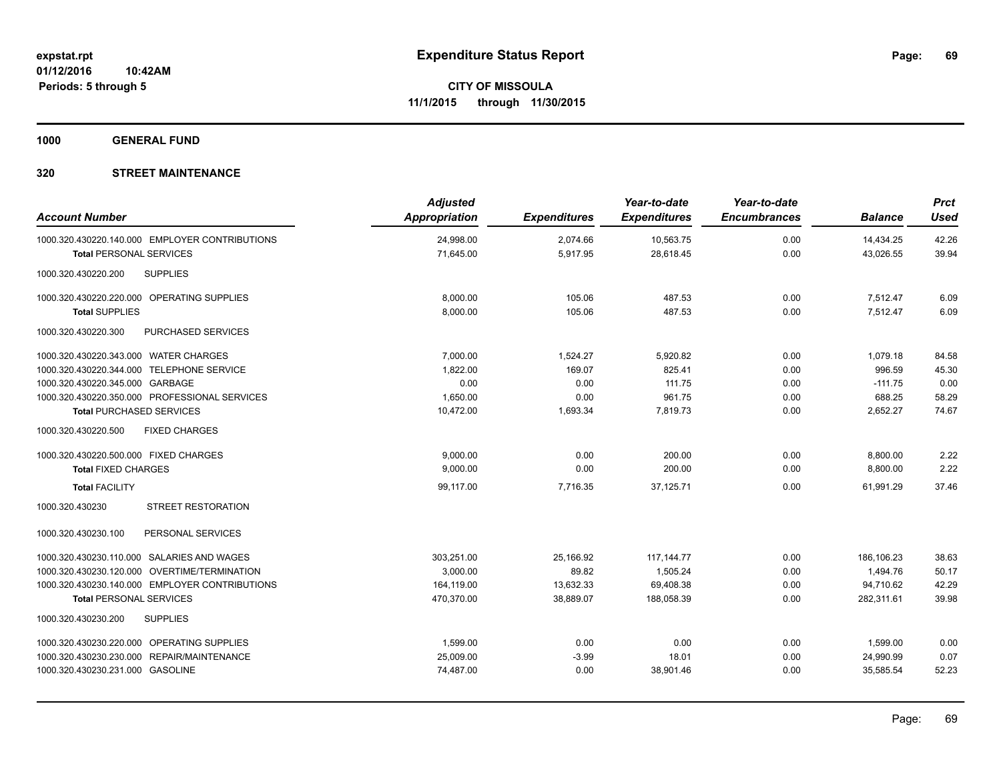**1000 GENERAL FUND**

| <b>Account Number</b>                          | <b>Adjusted</b><br><b>Appropriation</b> | <b>Expenditures</b>  | Year-to-date<br><b>Expenditures</b> | Year-to-date<br><b>Encumbrances</b> | <b>Balance</b>         | <b>Prct</b><br><b>Used</b> |
|------------------------------------------------|-----------------------------------------|----------------------|-------------------------------------|-------------------------------------|------------------------|----------------------------|
| 1000.320.430220.140.000 EMPLOYER CONTRIBUTIONS | 24,998.00<br>71,645.00                  | 2,074.66<br>5,917.95 | 10,563.75<br>28,618.45              | 0.00<br>0.00                        | 14,434.25<br>43,026.55 | 42.26<br>39.94             |
| <b>Total PERSONAL SERVICES</b>                 |                                         |                      |                                     |                                     |                        |                            |
| <b>SUPPLIES</b><br>1000.320.430220.200         |                                         |                      |                                     |                                     |                        |                            |
| 1000.320.430220.220.000 OPERATING SUPPLIES     | 8,000.00                                | 105.06               | 487.53                              | 0.00                                | 7,512.47               | 6.09                       |
| <b>Total SUPPLIES</b>                          | 8,000.00                                | 105.06               | 487.53                              | 0.00                                | 7,512.47               | 6.09                       |
| 1000.320.430220.300<br>PURCHASED SERVICES      |                                         |                      |                                     |                                     |                        |                            |
| 1000.320.430220.343.000 WATER CHARGES          | 7,000.00                                | 1,524.27             | 5,920.82                            | 0.00                                | 1,079.18               | 84.58                      |
| 1000.320.430220.344.000 TELEPHONE SERVICE      | 1,822.00                                | 169.07               | 825.41                              | 0.00                                | 996.59                 | 45.30                      |
| 1000.320.430220.345.000 GARBAGE                | 0.00                                    | 0.00                 | 111.75                              | 0.00                                | $-111.75$              | 0.00                       |
| 1000.320.430220.350.000 PROFESSIONAL SERVICES  | 1,650.00                                | 0.00                 | 961.75                              | 0.00                                | 688.25                 | 58.29                      |
| <b>Total PURCHASED SERVICES</b>                | 10,472.00                               | 1,693.34             | 7,819.73                            | 0.00                                | 2,652.27               | 74.67                      |
| <b>FIXED CHARGES</b><br>1000.320.430220.500    |                                         |                      |                                     |                                     |                        |                            |
| 1000.320.430220.500.000 FIXED CHARGES          | 9.000.00                                | 0.00                 | 200.00                              | 0.00                                | 8,800.00               | 2.22                       |
| <b>Total FIXED CHARGES</b>                     | 9,000.00                                | 0.00                 | 200.00                              | 0.00                                | 8,800.00               | 2.22                       |
| <b>Total FACILITY</b>                          | 99,117.00                               | 7,716.35             | 37,125.71                           | 0.00                                | 61,991.29              | 37.46                      |
| <b>STREET RESTORATION</b><br>1000.320.430230   |                                         |                      |                                     |                                     |                        |                            |
| PERSONAL SERVICES<br>1000.320.430230.100       |                                         |                      |                                     |                                     |                        |                            |
| 1000.320.430230.110.000 SALARIES AND WAGES     | 303.251.00                              | 25.166.92            | 117, 144. 77                        | 0.00                                | 186.106.23             | 38.63                      |
| 1000.320.430230.120.000 OVERTIME/TERMINATION   | 3,000.00                                | 89.82                | 1,505.24                            | 0.00                                | 1,494.76               | 50.17                      |
| 1000.320.430230.140.000 EMPLOYER CONTRIBUTIONS | 164,119.00                              | 13,632.33            | 69,408.38                           | 0.00                                | 94,710.62              | 42.29                      |
| <b>Total PERSONAL SERVICES</b>                 | 470,370.00                              | 38,889.07            | 188,058.39                          | 0.00                                | 282,311.61             | 39.98                      |
| 1000.320.430230.200<br><b>SUPPLIES</b>         |                                         |                      |                                     |                                     |                        |                            |
| 1000.320.430230.220.000 OPERATING SUPPLIES     | 1,599.00                                | 0.00                 | 0.00                                | 0.00                                | 1,599.00               | 0.00                       |
| 1000.320.430230.230.000 REPAIR/MAINTENANCE     | 25,009.00                               | $-3.99$              | 18.01                               | 0.00                                | 24,990.99              | 0.07                       |
| 1000.320.430230.231.000 GASOLINE               | 74,487.00                               | 0.00                 | 38,901.46                           | 0.00                                | 35,585.54              | 52.23                      |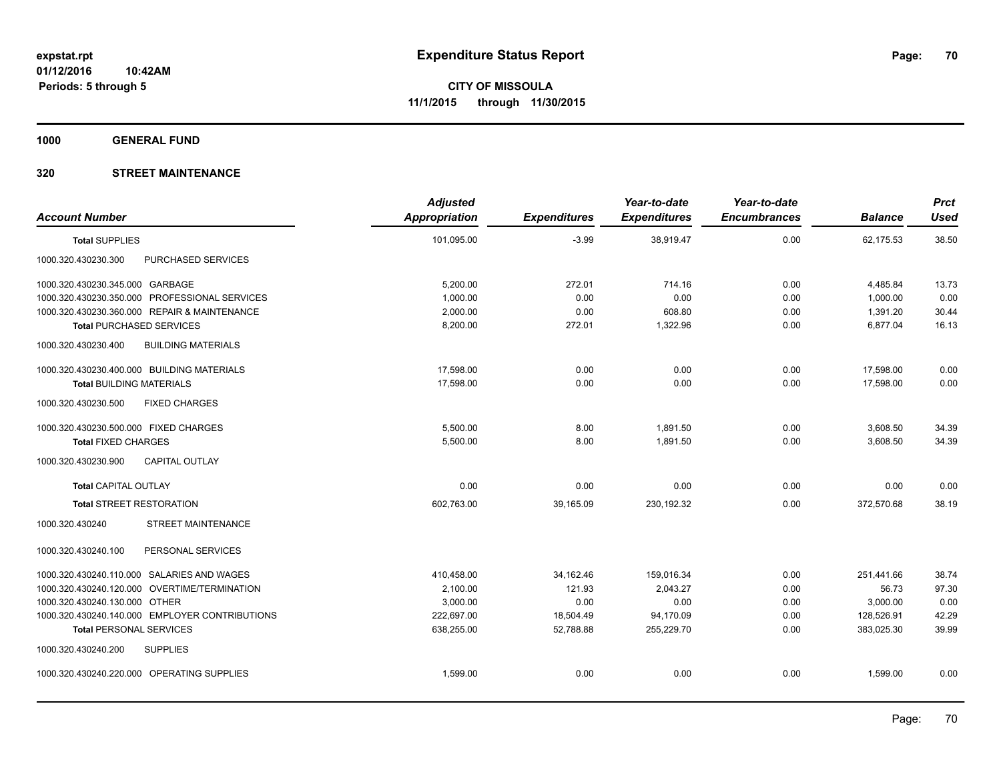**1000 GENERAL FUND**

| <b>Account Number</b>                            | <b>Adjusted</b><br><b>Appropriation</b> | <b>Expenditures</b> | Year-to-date<br><b>Expenditures</b> | Year-to-date<br><b>Encumbrances</b> | <b>Balance</b> | <b>Prct</b><br><b>Used</b> |
|--------------------------------------------------|-----------------------------------------|---------------------|-------------------------------------|-------------------------------------|----------------|----------------------------|
| <b>Total SUPPLIES</b>                            | 101,095.00                              | $-3.99$             | 38,919.47                           | 0.00                                | 62,175.53      | 38.50                      |
| PURCHASED SERVICES<br>1000.320.430230.300        |                                         |                     |                                     |                                     |                |                            |
| 1000.320.430230.345.000 GARBAGE                  | 5,200.00                                | 272.01              | 714.16                              | 0.00                                | 4,485.84       | 13.73                      |
| 1000.320.430230.350.000 PROFESSIONAL SERVICES    | 1,000.00                                | 0.00                | 0.00                                | 0.00                                | 1,000.00       | 0.00                       |
| 1000.320.430230.360.000 REPAIR & MAINTENANCE     | 2,000.00                                | 0.00                | 608.80                              | 0.00                                | 1,391.20       | 30.44                      |
| <b>Total PURCHASED SERVICES</b>                  | 8,200.00                                | 272.01              | 1,322.96                            | 0.00                                | 6,877.04       | 16.13                      |
| <b>BUILDING MATERIALS</b><br>1000.320.430230.400 |                                         |                     |                                     |                                     |                |                            |
| 1000.320.430230.400.000 BUILDING MATERIALS       | 17,598.00                               | 0.00                | 0.00                                | 0.00                                | 17,598.00      | 0.00                       |
| <b>Total BUILDING MATERIALS</b>                  | 17.598.00                               | 0.00                | 0.00                                | 0.00                                | 17.598.00      | 0.00                       |
| 1000.320.430230.500<br><b>FIXED CHARGES</b>      |                                         |                     |                                     |                                     |                |                            |
| 1000.320.430230.500.000 FIXED CHARGES            | 5,500.00                                | 8.00                | 1,891.50                            | 0.00                                | 3,608.50       | 34.39                      |
| <b>Total FIXED CHARGES</b>                       | 5,500.00                                | 8.00                | 1.891.50                            | 0.00                                | 3,608.50       | 34.39                      |
| 1000.320.430230.900<br><b>CAPITAL OUTLAY</b>     |                                         |                     |                                     |                                     |                |                            |
| <b>Total CAPITAL OUTLAY</b>                      | 0.00                                    | 0.00                | 0.00                                | 0.00                                | 0.00           | 0.00                       |
| <b>Total STREET RESTORATION</b>                  | 602.763.00                              | 39.165.09           | 230.192.32                          | 0.00                                | 372.570.68     | 38.19                      |
| <b>STREET MAINTENANCE</b><br>1000.320.430240     |                                         |                     |                                     |                                     |                |                            |
| PERSONAL SERVICES<br>1000.320.430240.100         |                                         |                     |                                     |                                     |                |                            |
| 1000.320.430240.110.000 SALARIES AND WAGES       | 410,458.00                              | 34,162.46           | 159,016.34                          | 0.00                                | 251,441.66     | 38.74                      |
| 1000.320.430240.120.000 OVERTIME/TERMINATION     | 2,100.00                                | 121.93              | 2,043.27                            | 0.00                                | 56.73          | 97.30                      |
| 1000.320.430240.130.000 OTHER                    | 3,000.00                                | 0.00                | 0.00                                | 0.00                                | 3,000.00       | 0.00                       |
| 1000.320.430240.140.000 EMPLOYER CONTRIBUTIONS   | 222,697.00                              | 18,504.49           | 94,170.09                           | 0.00                                | 128,526.91     | 42.29                      |
| <b>Total PERSONAL SERVICES</b>                   | 638,255.00                              | 52,788.88           | 255,229.70                          | 0.00                                | 383.025.30     | 39.99                      |
| 1000.320.430240.200<br><b>SUPPLIES</b>           |                                         |                     |                                     |                                     |                |                            |
| 1000.320.430240.220.000 OPERATING SUPPLIES       | 1,599.00                                | 0.00                | 0.00                                | 0.00                                | 1,599.00       | 0.00                       |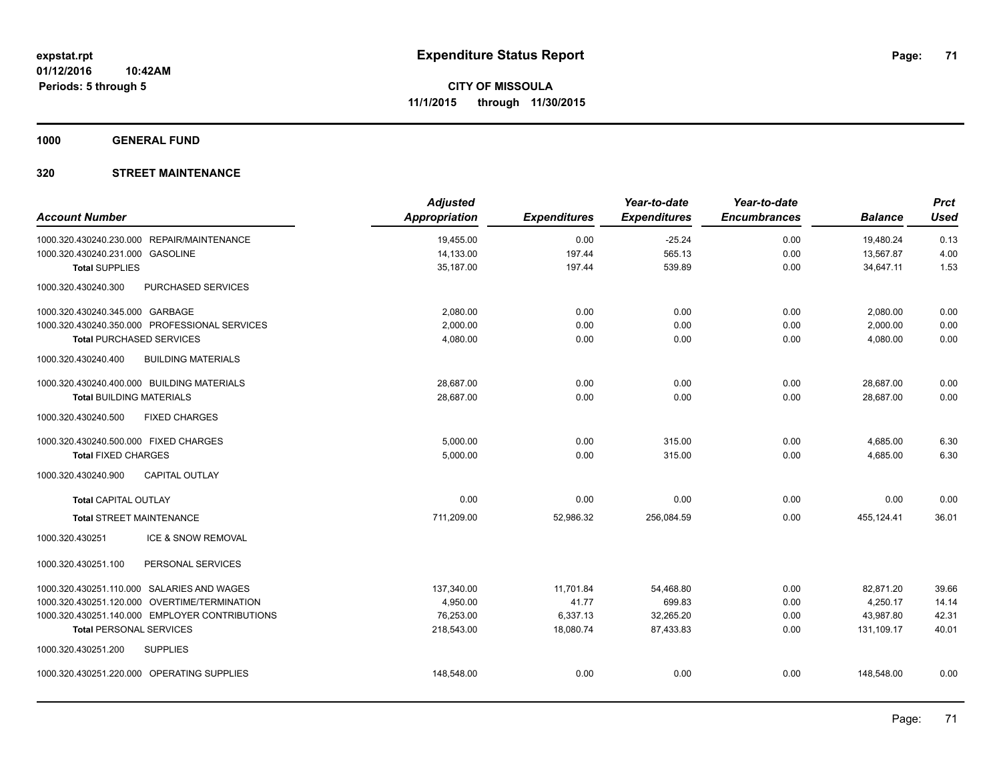**1000 GENERAL FUND**

| <b>Account Number</b>                 |                                                | <b>Adjusted</b><br><b>Appropriation</b> | <b>Expenditures</b> | Year-to-date<br><b>Expenditures</b> | Year-to-date<br><b>Encumbrances</b> | <b>Balance</b> | <b>Prct</b><br><b>Used</b> |
|---------------------------------------|------------------------------------------------|-----------------------------------------|---------------------|-------------------------------------|-------------------------------------|----------------|----------------------------|
|                                       | 1000.320.430240.230.000 REPAIR/MAINTENANCE     | 19,455.00                               | 0.00                | $-25.24$                            | 0.00                                | 19,480.24      | 0.13                       |
| 1000.320.430240.231.000 GASOLINE      |                                                | 14,133.00                               | 197.44              | 565.13                              | 0.00                                | 13,567.87      | 4.00                       |
| <b>Total SUPPLIES</b>                 |                                                | 35,187.00                               | 197.44              | 539.89                              | 0.00                                | 34,647.11      | 1.53                       |
| 1000.320.430240.300                   | <b>PURCHASED SERVICES</b>                      |                                         |                     |                                     |                                     |                |                            |
| 1000.320.430240.345.000 GARBAGE       |                                                | 2,080.00                                | 0.00                | 0.00                                | 0.00                                | 2,080.00       | 0.00                       |
|                                       | 1000.320.430240.350.000 PROFESSIONAL SERVICES  | 2,000.00                                | 0.00                | 0.00                                | 0.00                                | 2,000.00       | 0.00                       |
| <b>Total PURCHASED SERVICES</b>       |                                                | 4,080.00                                | 0.00                | 0.00                                | 0.00                                | 4,080.00       | 0.00                       |
| 1000.320.430240.400                   | <b>BUILDING MATERIALS</b>                      |                                         |                     |                                     |                                     |                |                            |
|                                       | 1000.320.430240.400.000 BUILDING MATERIALS     | 28,687.00                               | 0.00                | 0.00                                | 0.00                                | 28,687.00      | 0.00                       |
| <b>Total BUILDING MATERIALS</b>       |                                                | 28,687.00                               | 0.00                | 0.00                                | 0.00                                | 28,687.00      | 0.00                       |
| 1000.320.430240.500                   | <b>FIXED CHARGES</b>                           |                                         |                     |                                     |                                     |                |                            |
| 1000.320.430240.500.000 FIXED CHARGES |                                                | 5,000.00                                | 0.00                | 315.00                              | 0.00                                | 4,685.00       | 6.30                       |
| <b>Total FIXED CHARGES</b>            |                                                | 5,000.00                                | 0.00                | 315.00                              | 0.00                                | 4,685.00       | 6.30                       |
| 1000.320.430240.900                   | <b>CAPITAL OUTLAY</b>                          |                                         |                     |                                     |                                     |                |                            |
| <b>Total CAPITAL OUTLAY</b>           |                                                | 0.00                                    | 0.00                | 0.00                                | 0.00                                | 0.00           | 0.00                       |
| <b>Total STREET MAINTENANCE</b>       |                                                | 711,209.00                              | 52,986.32           | 256,084.59                          | 0.00                                | 455,124.41     | 36.01                      |
| 1000.320.430251                       | ICE & SNOW REMOVAL                             |                                         |                     |                                     |                                     |                |                            |
| 1000.320.430251.100                   | PERSONAL SERVICES                              |                                         |                     |                                     |                                     |                |                            |
|                                       | 1000.320.430251.110.000 SALARIES AND WAGES     | 137,340.00                              | 11,701.84           | 54,468.80                           | 0.00                                | 82,871.20      | 39.66                      |
|                                       | 1000.320.430251.120.000 OVERTIME/TERMINATION   | 4,950.00                                | 41.77               | 699.83                              | 0.00                                | 4,250.17       | 14.14                      |
|                                       | 1000.320.430251.140.000 EMPLOYER CONTRIBUTIONS | 76,253.00                               | 6,337.13            | 32,265.20                           | 0.00                                | 43,987.80      | 42.31                      |
| <b>Total PERSONAL SERVICES</b>        |                                                | 218,543.00                              | 18,080.74           | 87,433.83                           | 0.00                                | 131,109.17     | 40.01                      |
| 1000.320.430251.200                   | <b>SUPPLIES</b>                                |                                         |                     |                                     |                                     |                |                            |
|                                       | 1000.320.430251.220.000 OPERATING SUPPLIES     | 148,548.00                              | 0.00                | 0.00                                | 0.00                                | 148,548.00     | 0.00                       |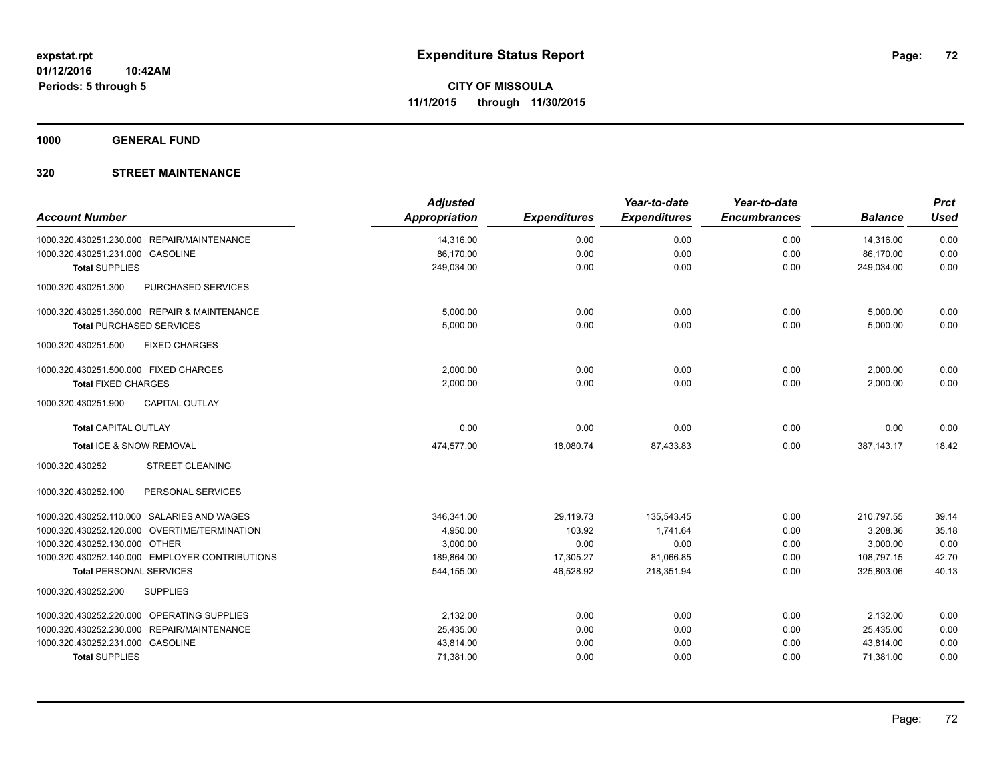**1000 GENERAL FUND**

| <b>Account Number</b>                            | <b>Adjusted</b><br><b>Appropriation</b> | <b>Expenditures</b> | Year-to-date<br><b>Expenditures</b> | Year-to-date<br><b>Encumbrances</b> | <b>Balance</b> | <b>Prct</b><br><b>Used</b> |
|--------------------------------------------------|-----------------------------------------|---------------------|-------------------------------------|-------------------------------------|----------------|----------------------------|
| 1000.320.430251.230.000 REPAIR/MAINTENANCE       | 14,316.00                               | 0.00                | 0.00                                | 0.00                                | 14,316.00      | 0.00                       |
| 1000.320.430251.231.000 GASOLINE                 | 86,170.00                               | 0.00                | 0.00                                | 0.00                                | 86,170.00      | 0.00                       |
| <b>Total SUPPLIES</b>                            | 249,034.00                              | 0.00                | 0.00                                | 0.00                                | 249,034.00     | 0.00                       |
| <b>PURCHASED SERVICES</b><br>1000.320.430251.300 |                                         |                     |                                     |                                     |                |                            |
| 1000.320.430251.360.000 REPAIR & MAINTENANCE     | 5,000.00                                | 0.00                | 0.00                                | 0.00                                | 5,000.00       | 0.00                       |
| <b>Total PURCHASED SERVICES</b>                  | 5.000.00                                | 0.00                | 0.00                                | 0.00                                | 5,000.00       | 0.00                       |
| 1000.320.430251.500<br><b>FIXED CHARGES</b>      |                                         |                     |                                     |                                     |                |                            |
| 1000.320.430251.500.000 FIXED CHARGES            | 2,000.00                                | 0.00                | 0.00                                | 0.00                                | 2,000.00       | 0.00                       |
| <b>Total FIXED CHARGES</b>                       | 2,000.00                                | 0.00                | 0.00                                | 0.00                                | 2,000.00       | 0.00                       |
| 1000.320.430251.900<br><b>CAPITAL OUTLAY</b>     |                                         |                     |                                     |                                     |                |                            |
| <b>Total CAPITAL OUTLAY</b>                      | 0.00                                    | 0.00                | 0.00                                | 0.00                                | 0.00           | 0.00                       |
| Total ICE & SNOW REMOVAL                         | 474,577.00                              | 18,080.74           | 87,433.83                           | 0.00                                | 387, 143. 17   | 18.42                      |
| 1000.320.430252<br><b>STREET CLEANING</b>        |                                         |                     |                                     |                                     |                |                            |
| 1000.320.430252.100<br>PERSONAL SERVICES         |                                         |                     |                                     |                                     |                |                            |
| 1000.320.430252.110.000 SALARIES AND WAGES       | 346,341.00                              | 29,119.73           | 135,543.45                          | 0.00                                | 210,797.55     | 39.14                      |
| 1000.320.430252.120.000 OVERTIME/TERMINATION     | 4,950.00                                | 103.92              | 1,741.64                            | 0.00                                | 3,208.36       | 35.18                      |
| 1000.320.430252.130.000 OTHER                    | 3,000.00                                | 0.00                | 0.00                                | 0.00                                | 3,000.00       | 0.00                       |
| 1000.320.430252.140.000 EMPLOYER CONTRIBUTIONS   | 189,864.00                              | 17,305.27           | 81,066.85                           | 0.00                                | 108,797.15     | 42.70                      |
| <b>Total PERSONAL SERVICES</b>                   | 544,155.00                              | 46,528.92           | 218,351.94                          | 0.00                                | 325,803.06     | 40.13                      |
| 1000.320.430252.200<br><b>SUPPLIES</b>           |                                         |                     |                                     |                                     |                |                            |
| 1000.320.430252.220.000 OPERATING SUPPLIES       | 2,132.00                                | 0.00                | 0.00                                | 0.00                                | 2,132.00       | 0.00                       |
| 1000.320.430252.230.000 REPAIR/MAINTENANCE       | 25,435.00                               | 0.00                | 0.00                                | 0.00                                | 25,435.00      | 0.00                       |
| 1000.320.430252.231.000 GASOLINE                 | 43,814.00                               | 0.00                | 0.00                                | 0.00                                | 43,814.00      | 0.00                       |
| <b>Total SUPPLIES</b>                            | 71,381.00                               | 0.00                | 0.00                                | 0.00                                | 71,381.00      | 0.00                       |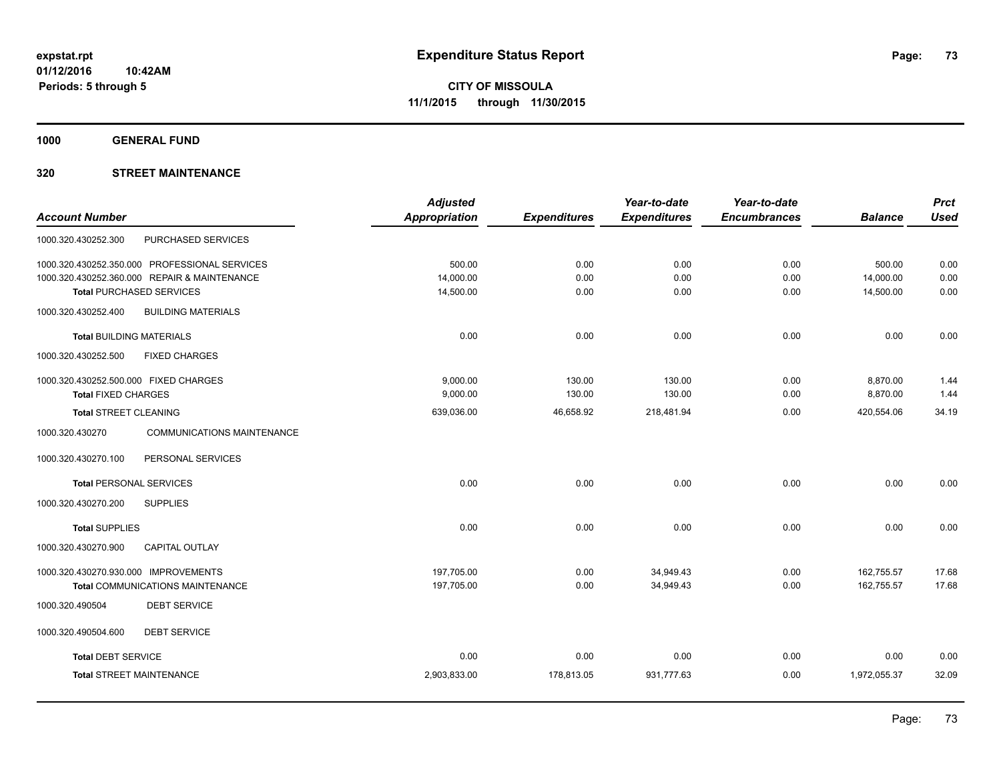**1000 GENERAL FUND**

## **320 STREET MAINTENANCE**

|                                                      | <b>Adjusted</b> |                     | Year-to-date        | Year-to-date        |                | <b>Prct</b> |
|------------------------------------------------------|-----------------|---------------------|---------------------|---------------------|----------------|-------------|
| <b>Account Number</b>                                | Appropriation   | <b>Expenditures</b> | <b>Expenditures</b> | <b>Encumbrances</b> | <b>Balance</b> | <b>Used</b> |
| 1000.320.430252.300<br>PURCHASED SERVICES            |                 |                     |                     |                     |                |             |
| 1000.320.430252.350.000 PROFESSIONAL SERVICES        | 500.00          | 0.00                | 0.00                | 0.00                | 500.00         | 0.00        |
| 1000.320.430252.360.000 REPAIR & MAINTENANCE         | 14,000.00       | 0.00                | 0.00                | 0.00                | 14,000.00      | 0.00        |
| <b>Total PURCHASED SERVICES</b>                      | 14,500.00       | 0.00                | 0.00                | 0.00                | 14,500.00      | 0.00        |
| 1000.320.430252.400<br><b>BUILDING MATERIALS</b>     |                 |                     |                     |                     |                |             |
| <b>Total BUILDING MATERIALS</b>                      | 0.00            | 0.00                | 0.00                | 0.00                | 0.00           | 0.00        |
| <b>FIXED CHARGES</b><br>1000.320.430252.500          |                 |                     |                     |                     |                |             |
| 1000.320.430252.500.000 FIXED CHARGES                | 9,000.00        | 130.00              | 130.00              | 0.00                | 8,870.00       | 1.44        |
| <b>Total FIXED CHARGES</b>                           | 9,000.00        | 130.00              | 130.00              | 0.00                | 8,870.00       | 1.44        |
| <b>Total STREET CLEANING</b>                         | 639,036.00      | 46,658.92           | 218,481.94          | 0.00                | 420,554.06     | 34.19       |
| 1000.320.430270<br><b>COMMUNICATIONS MAINTENANCE</b> |                 |                     |                     |                     |                |             |
| 1000.320.430270.100<br>PERSONAL SERVICES             |                 |                     |                     |                     |                |             |
| <b>Total PERSONAL SERVICES</b>                       | 0.00            | 0.00                | 0.00                | 0.00                | 0.00           | 0.00        |
| 1000.320.430270.200<br><b>SUPPLIES</b>               |                 |                     |                     |                     |                |             |
| <b>Total SUPPLIES</b>                                | 0.00            | 0.00                | 0.00                | 0.00                | 0.00           | 0.00        |
| 1000.320.430270.900<br><b>CAPITAL OUTLAY</b>         |                 |                     |                     |                     |                |             |
| 1000.320.430270.930.000 IMPROVEMENTS                 | 197,705.00      | 0.00                | 34,949.43           | 0.00                | 162,755.57     | 17.68       |
| <b>Total COMMUNICATIONS MAINTENANCE</b>              | 197,705.00      | 0.00                | 34,949.43           | 0.00                | 162,755.57     | 17.68       |
| <b>DEBT SERVICE</b><br>1000.320.490504               |                 |                     |                     |                     |                |             |
| 1000.320.490504.600<br><b>DEBT SERVICE</b>           |                 |                     |                     |                     |                |             |
| <b>Total DEBT SERVICE</b>                            | 0.00            | 0.00                | 0.00                | 0.00                | 0.00           | 0.00        |
| <b>Total STREET MAINTENANCE</b>                      | 2,903,833.00    | 178,813.05          | 931,777.63          | 0.00                | 1,972,055.37   | 32.09       |
|                                                      |                 |                     |                     |                     |                |             |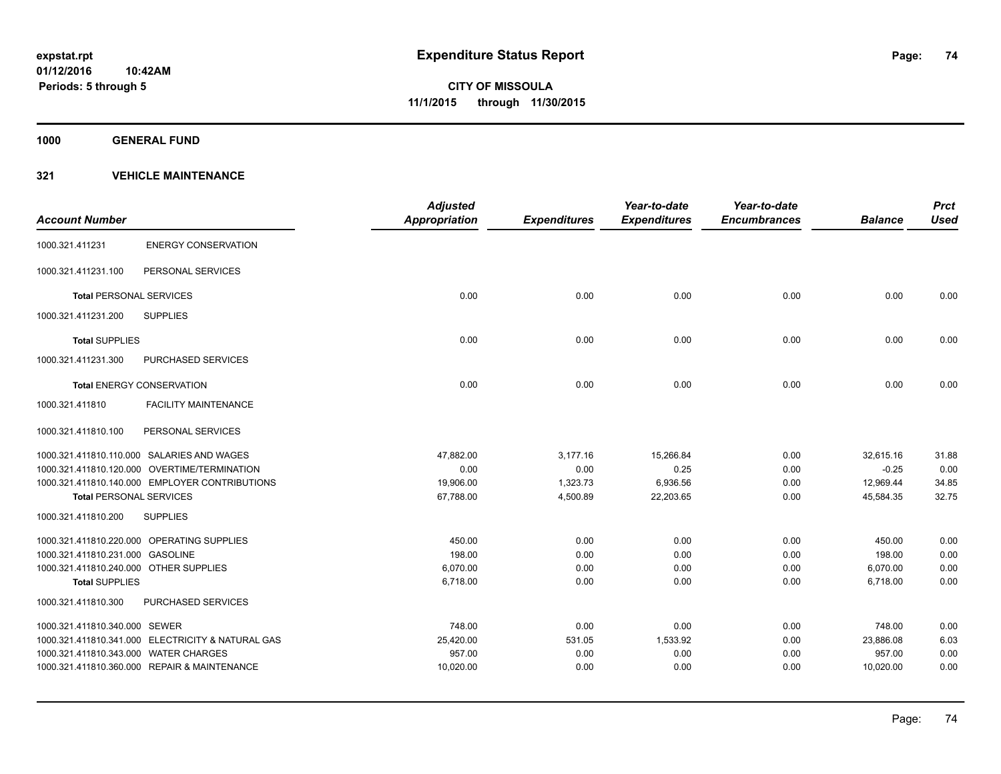**1000 GENERAL FUND**

|                                        |                                                   | <b>Adjusted</b>      |                     | Year-to-date        | Year-to-date        |                | <b>Prct</b> |
|----------------------------------------|---------------------------------------------------|----------------------|---------------------|---------------------|---------------------|----------------|-------------|
| <b>Account Number</b>                  |                                                   | <b>Appropriation</b> | <b>Expenditures</b> | <b>Expenditures</b> | <b>Encumbrances</b> | <b>Balance</b> | <b>Used</b> |
| 1000.321.411231                        | <b>ENERGY CONSERVATION</b>                        |                      |                     |                     |                     |                |             |
| 1000.321.411231.100                    | PERSONAL SERVICES                                 |                      |                     |                     |                     |                |             |
| <b>Total PERSONAL SERVICES</b>         |                                                   | 0.00                 | 0.00                | 0.00                | 0.00                | 0.00           | 0.00        |
| 1000.321.411231.200                    | <b>SUPPLIES</b>                                   |                      |                     |                     |                     |                |             |
| <b>Total SUPPLIES</b>                  |                                                   | 0.00                 | 0.00                | 0.00                | 0.00                | 0.00           | 0.00        |
| 1000.321.411231.300                    | PURCHASED SERVICES                                |                      |                     |                     |                     |                |             |
|                                        | <b>Total ENERGY CONSERVATION</b>                  | 0.00                 | 0.00                | 0.00                | 0.00                | 0.00           | 0.00        |
| 1000.321.411810                        | <b>FACILITY MAINTENANCE</b>                       |                      |                     |                     |                     |                |             |
| 1000.321.411810.100                    | PERSONAL SERVICES                                 |                      |                     |                     |                     |                |             |
|                                        | 1000.321.411810.110.000 SALARIES AND WAGES        | 47,882.00            | 3,177.16            | 15,266.84           | 0.00                | 32,615.16      | 31.88       |
|                                        | 1000.321.411810.120.000 OVERTIME/TERMINATION      | 0.00                 | 0.00                | 0.25                | 0.00                | $-0.25$        | 0.00        |
|                                        | 1000.321.411810.140.000 EMPLOYER CONTRIBUTIONS    | 19,906.00            | 1,323.73            | 6,936.56            | 0.00                | 12,969.44      | 34.85       |
| <b>Total PERSONAL SERVICES</b>         |                                                   | 67,788.00            | 4,500.89            | 22,203.65           | 0.00                | 45,584.35      | 32.75       |
| 1000.321.411810.200                    | <b>SUPPLIES</b>                                   |                      |                     |                     |                     |                |             |
|                                        | 1000.321.411810.220.000 OPERATING SUPPLIES        | 450.00               | 0.00                | 0.00                | 0.00                | 450.00         | 0.00        |
| 1000.321.411810.231.000 GASOLINE       |                                                   | 198.00               | 0.00                | 0.00                | 0.00                | 198.00         | 0.00        |
| 1000.321.411810.240.000 OTHER SUPPLIES |                                                   | 6,070.00             | 0.00                | 0.00                | 0.00                | 6,070.00       | 0.00        |
| <b>Total SUPPLIES</b>                  |                                                   | 6,718.00             | 0.00                | 0.00                | 0.00                | 6,718.00       | 0.00        |
| 1000.321.411810.300                    | <b>PURCHASED SERVICES</b>                         |                      |                     |                     |                     |                |             |
| 1000.321.411810.340.000 SEWER          |                                                   | 748.00               | 0.00                | 0.00                | 0.00                | 748.00         | 0.00        |
|                                        | 1000.321.411810.341.000 ELECTRICITY & NATURAL GAS | 25,420.00            | 531.05              | 1,533.92            | 0.00                | 23,886.08      | 6.03        |
| 1000.321.411810.343.000 WATER CHARGES  |                                                   | 957.00               | 0.00                | 0.00                | 0.00                | 957.00         | 0.00        |
|                                        | 1000.321.411810.360.000 REPAIR & MAINTENANCE      | 10,020.00            | 0.00                | 0.00                | 0.00                | 10,020.00      | 0.00        |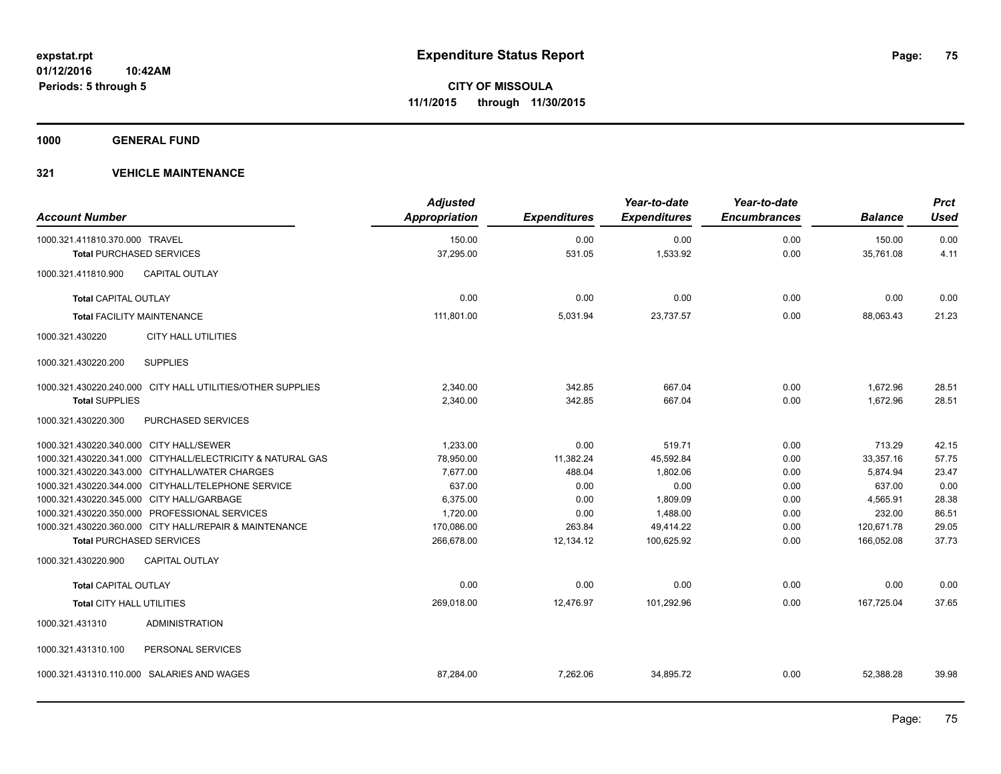**1000 GENERAL FUND**

| <b>Account Number</b>                   |                                                            | <b>Adjusted</b><br>Appropriation | <b>Expenditures</b> | Year-to-date<br><b>Expenditures</b> | Year-to-date<br><b>Encumbrances</b> | <b>Balance</b> | <b>Prct</b><br><b>Used</b> |
|-----------------------------------------|------------------------------------------------------------|----------------------------------|---------------------|-------------------------------------|-------------------------------------|----------------|----------------------------|
| 1000.321.411810.370.000 TRAVEL          |                                                            | 150.00                           | 0.00                | 0.00                                | 0.00                                | 150.00         | 0.00                       |
| <b>Total PURCHASED SERVICES</b>         |                                                            | 37,295.00                        | 531.05              | 1,533.92                            | 0.00                                | 35,761.08      | 4.11                       |
| 1000.321.411810.900                     | <b>CAPITAL OUTLAY</b>                                      |                                  |                     |                                     |                                     |                |                            |
| <b>Total CAPITAL OUTLAY</b>             |                                                            | 0.00                             | 0.00                | 0.00                                | 0.00                                | 0.00           | 0.00                       |
| <b>Total FACILITY MAINTENANCE</b>       |                                                            | 111,801.00                       | 5,031.94            | 23,737.57                           | 0.00                                | 88,063.43      | 21.23                      |
| 1000.321.430220                         | <b>CITY HALL UTILITIES</b>                                 |                                  |                     |                                     |                                     |                |                            |
| 1000.321.430220.200                     | <b>SUPPLIES</b>                                            |                                  |                     |                                     |                                     |                |                            |
|                                         | 1000.321.430220.240.000 CITY HALL UTILITIES/OTHER SUPPLIES | 2,340.00                         | 342.85              | 667.04                              | 0.00                                | 1,672.96       | 28.51                      |
| <b>Total SUPPLIES</b>                   |                                                            | 2,340.00                         | 342.85              | 667.04                              | 0.00                                | 1.672.96       | 28.51                      |
| 1000.321.430220.300                     | PURCHASED SERVICES                                         |                                  |                     |                                     |                                     |                |                            |
| 1000.321.430220.340.000 CITY HALL/SEWER |                                                            | 1,233.00                         | 0.00                | 519.71                              | 0.00                                | 713.29         | 42.15                      |
|                                         | 1000.321.430220.341.000 CITYHALL/ELECTRICITY & NATURAL GAS | 78,950.00                        | 11,382.24           | 45,592.84                           | 0.00                                | 33,357.16      | 57.75                      |
|                                         | 1000.321.430220.343.000 CITYHALL/WATER CHARGES             | 7,677.00                         | 488.04              | 1,802.06                            | 0.00                                | 5,874.94       | 23.47                      |
|                                         | 1000.321.430220.344.000 CITYHALL/TELEPHONE SERVICE         | 637.00                           | 0.00                | 0.00                                | 0.00                                | 637.00         | 0.00                       |
|                                         | 1000.321.430220.345.000 CITY HALL/GARBAGE                  | 6,375.00                         | 0.00                | 1,809.09                            | 0.00                                | 4,565.91       | 28.38                      |
|                                         | 1000.321.430220.350.000 PROFESSIONAL SERVICES              | 1,720.00                         | 0.00                | 1,488.00                            | 0.00                                | 232.00         | 86.51                      |
|                                         | 1000.321.430220.360.000 CITY HALL/REPAIR & MAINTENANCE     | 170,086.00                       | 263.84              | 49,414.22                           | 0.00                                | 120,671.78     | 29.05                      |
| <b>Total PURCHASED SERVICES</b>         |                                                            | 266,678.00                       | 12,134.12           | 100,625.92                          | 0.00                                | 166,052.08     | 37.73                      |
| 1000.321.430220.900                     | <b>CAPITAL OUTLAY</b>                                      |                                  |                     |                                     |                                     |                |                            |
| <b>Total CAPITAL OUTLAY</b>             |                                                            | 0.00                             | 0.00                | 0.00                                | 0.00                                | 0.00           | 0.00                       |
| <b>Total CITY HALL UTILITIES</b>        |                                                            | 269,018.00                       | 12,476.97           | 101,292.96                          | 0.00                                | 167,725.04     | 37.65                      |
| 1000.321.431310                         | <b>ADMINISTRATION</b>                                      |                                  |                     |                                     |                                     |                |                            |
| 1000.321.431310.100                     | PERSONAL SERVICES                                          |                                  |                     |                                     |                                     |                |                            |
|                                         | 1000.321.431310.110.000 SALARIES AND WAGES                 | 87,284.00                        | 7,262.06            | 34,895.72                           | 0.00                                | 52,388.28      | 39.98                      |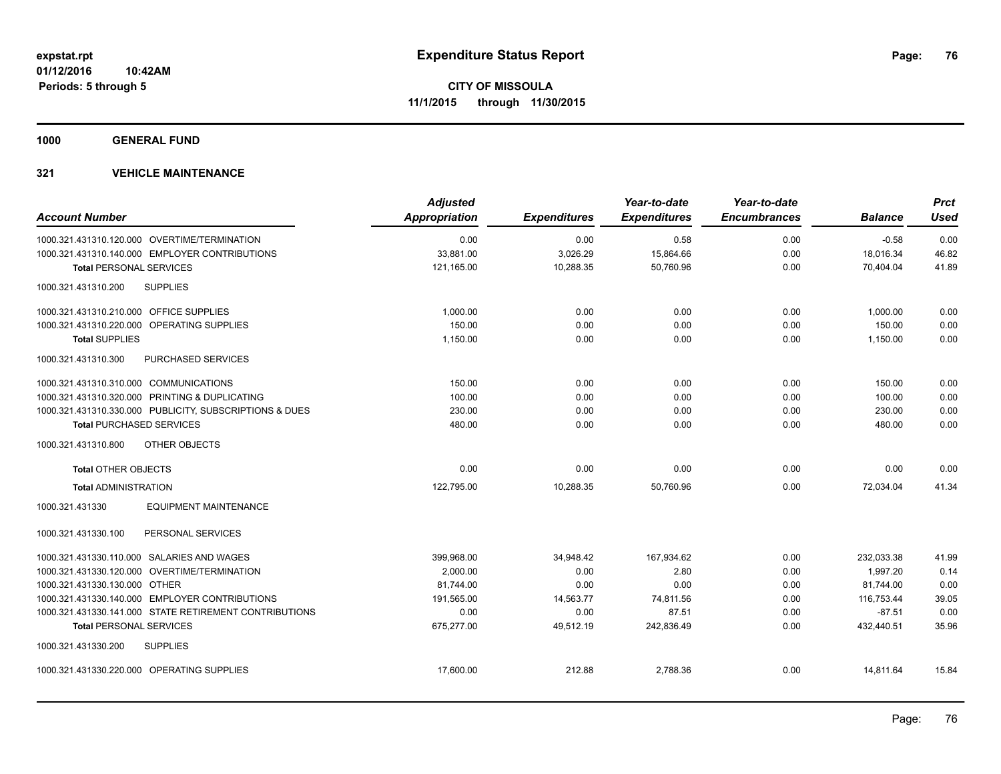**1000 GENERAL FUND**

| <b>Account Number</b>                                   | <b>Adjusted</b><br>Appropriation | <b>Expenditures</b> | Year-to-date<br><b>Expenditures</b> | Year-to-date<br><b>Encumbrances</b> | <b>Balance</b> | <b>Prct</b><br><b>Used</b> |
|---------------------------------------------------------|----------------------------------|---------------------|-------------------------------------|-------------------------------------|----------------|----------------------------|
| 1000.321.431310.120.000 OVERTIME/TERMINATION            | 0.00                             | 0.00                | 0.58                                | 0.00                                | $-0.58$        | 0.00                       |
| 1000.321.431310.140.000 EMPLOYER CONTRIBUTIONS          | 33,881.00                        | 3,026.29            | 15,864.66                           | 0.00                                | 18,016.34      | 46.82                      |
| <b>Total PERSONAL SERVICES</b>                          | 121,165.00                       | 10,288.35           | 50,760.96                           | 0.00                                | 70,404.04      | 41.89                      |
| <b>SUPPLIES</b><br>1000.321.431310.200                  |                                  |                     |                                     |                                     |                |                            |
| 1000.321.431310.210.000 OFFICE SUPPLIES                 | 1.000.00                         | 0.00                | 0.00                                | 0.00                                | 1,000.00       | 0.00                       |
| 1000.321.431310.220.000 OPERATING SUPPLIES              | 150.00                           | 0.00                | 0.00                                | 0.00                                | 150.00         | 0.00                       |
| <b>Total SUPPLIES</b>                                   | 1,150.00                         | 0.00                | 0.00                                | 0.00                                | 1,150.00       | 0.00                       |
| PURCHASED SERVICES<br>1000.321.431310.300               |                                  |                     |                                     |                                     |                |                            |
| 1000.321.431310.310.000 COMMUNICATIONS                  | 150.00                           | 0.00                | 0.00                                | 0.00                                | 150.00         | 0.00                       |
| 1000.321.431310.320.000 PRINTING & DUPLICATING          | 100.00                           | 0.00                | 0.00                                | 0.00                                | 100.00         | 0.00                       |
| 1000.321.431310.330.000 PUBLICITY, SUBSCRIPTIONS & DUES | 230.00                           | 0.00                | 0.00                                | 0.00                                | 230.00         | 0.00                       |
| <b>Total PURCHASED SERVICES</b>                         | 480.00                           | 0.00                | 0.00                                | 0.00                                | 480.00         | 0.00                       |
| OTHER OBJECTS<br>1000.321.431310.800                    |                                  |                     |                                     |                                     |                |                            |
| <b>Total OTHER OBJECTS</b>                              | 0.00                             | 0.00                | 0.00                                | 0.00                                | 0.00           | 0.00                       |
| <b>Total ADMINISTRATION</b>                             | 122,795.00                       | 10,288.35           | 50,760.96                           | 0.00                                | 72,034.04      | 41.34                      |
| 1000.321.431330<br><b>EQUIPMENT MAINTENANCE</b>         |                                  |                     |                                     |                                     |                |                            |
| PERSONAL SERVICES<br>1000.321.431330.100                |                                  |                     |                                     |                                     |                |                            |
| 1000.321.431330.110.000 SALARIES AND WAGES              | 399,968.00                       | 34,948.42           | 167,934.62                          | 0.00                                | 232,033.38     | 41.99                      |
| 1000.321.431330.120.000 OVERTIME/TERMINATION            | 2.000.00                         | 0.00                | 2.80                                | 0.00                                | 1.997.20       | 0.14                       |
| 1000.321.431330.130.000 OTHER                           | 81,744.00                        | 0.00                | 0.00                                | 0.00                                | 81,744.00      | 0.00                       |
| 1000.321.431330.140.000 EMPLOYER CONTRIBUTIONS          | 191,565.00                       | 14,563.77           | 74,811.56                           | 0.00                                | 116,753.44     | 39.05                      |
| 1000.321.431330.141.000 STATE RETIREMENT CONTRIBUTIONS  | 0.00                             | 0.00                | 87.51                               | 0.00                                | $-87.51$       | 0.00                       |
| <b>Total PERSONAL SERVICES</b>                          | 675,277.00                       | 49,512.19           | 242,836.49                          | 0.00                                | 432,440.51     | 35.96                      |
| 1000.321.431330.200<br><b>SUPPLIES</b>                  |                                  |                     |                                     |                                     |                |                            |
| 1000.321.431330.220.000 OPERATING SUPPLIES              | 17.600.00                        | 212.88              | 2,788.36                            | 0.00                                | 14.811.64      | 15.84                      |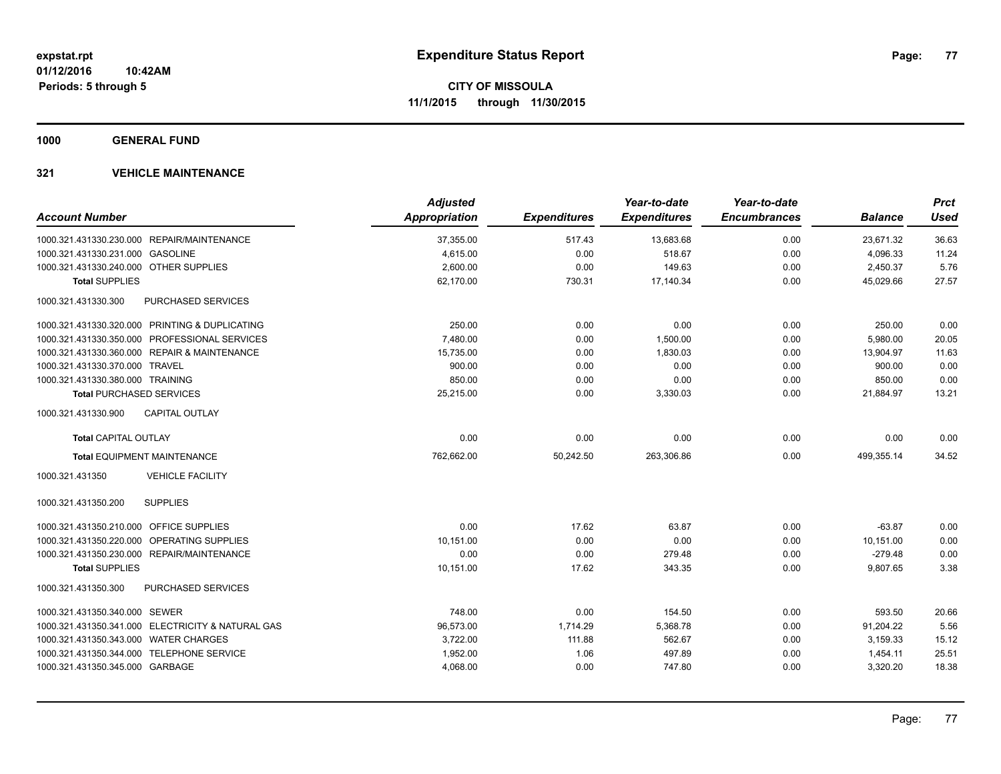**1000 GENERAL FUND**

|                                                      | <b>Adjusted</b>      |                     | Year-to-date        | Year-to-date        |                | <b>Prct</b> |
|------------------------------------------------------|----------------------|---------------------|---------------------|---------------------|----------------|-------------|
| <b>Account Number</b>                                | <b>Appropriation</b> | <b>Expenditures</b> | <b>Expenditures</b> | <b>Encumbrances</b> | <b>Balance</b> | <b>Used</b> |
| 1000.321.431330.230.000 REPAIR/MAINTENANCE           | 37,355.00            | 517.43              | 13,683.68           | 0.00                | 23,671.32      | 36.63       |
| 1000.321.431330.231.000 GASOLINE                     | 4,615.00             | 0.00                | 518.67              | 0.00                | 4,096.33       | 11.24       |
| 1000.321.431330.240.000 OTHER SUPPLIES               | 2,600.00             | 0.00                | 149.63              | 0.00                | 2,450.37       | 5.76        |
| <b>Total SUPPLIES</b>                                | 62,170.00            | 730.31              | 17,140.34           | 0.00                | 45,029.66      | 27.57       |
| 1000.321.431330.300<br>PURCHASED SERVICES            |                      |                     |                     |                     |                |             |
| 1000.321.431330.320.000 PRINTING & DUPLICATING       | 250.00               | 0.00                | 0.00                | 0.00                | 250.00         | 0.00        |
| 1000.321.431330.350.000 PROFESSIONAL SERVICES        | 7,480.00             | 0.00                | 1,500.00            | 0.00                | 5,980.00       | 20.05       |
| 1000.321.431330.360.000 REPAIR & MAINTENANCE         | 15,735.00            | 0.00                | 1,830.03            | 0.00                | 13,904.97      | 11.63       |
| 1000.321.431330.370.000 TRAVEL                       | 900.00               | 0.00                | 0.00                | 0.00                | 900.00         | 0.00        |
| 1000.321.431330.380.000 TRAINING                     | 850.00               | 0.00                | 0.00                | 0.00                | 850.00         | 0.00        |
| <b>Total PURCHASED SERVICES</b>                      | 25,215.00            | 0.00                | 3,330.03            | 0.00                | 21,884.97      | 13.21       |
| <b>CAPITAL OUTLAY</b><br>1000.321.431330.900         |                      |                     |                     |                     |                |             |
| <b>Total CAPITAL OUTLAY</b>                          | 0.00                 | 0.00                | 0.00                | 0.00                | 0.00           | 0.00        |
| <b>Total EQUIPMENT MAINTENANCE</b>                   | 762,662.00           | 50,242.50           | 263,306.86          | 0.00                | 499,355.14     | 34.52       |
| <b>VEHICLE FACILITY</b><br>1000.321.431350           |                      |                     |                     |                     |                |             |
| <b>SUPPLIES</b><br>1000.321.431350.200               |                      |                     |                     |                     |                |             |
| 1000.321.431350.210.000 OFFICE SUPPLIES              | 0.00                 | 17.62               | 63.87               | 0.00                | $-63.87$       | 0.00        |
| 1000.321.431350.220.000<br><b>OPERATING SUPPLIES</b> | 10,151.00            | 0.00                | 0.00                | 0.00                | 10,151.00      | 0.00        |
| 1000.321.431350.230.000 REPAIR/MAINTENANCE           | 0.00                 | 0.00                | 279.48              | 0.00                | $-279.48$      | 0.00        |
| <b>Total SUPPLIES</b>                                | 10,151.00            | 17.62               | 343.35              | 0.00                | 9,807.65       | 3.38        |
| 1000.321.431350.300<br>PURCHASED SERVICES            |                      |                     |                     |                     |                |             |
| 1000.321.431350.340.000 SEWER                        | 748.00               | 0.00                | 154.50              | 0.00                | 593.50         | 20.66       |
| 1000.321.431350.341.000 ELECTRICITY & NATURAL GAS    | 96,573.00            | 1,714.29            | 5,368.78            | 0.00                | 91,204.22      | 5.56        |
| 1000.321.431350.343.000 WATER CHARGES                | 3,722.00             | 111.88              | 562.67              | 0.00                | 3,159.33       | 15.12       |
| 1000.321.431350.344.000 TELEPHONE SERVICE            | 1,952.00             | 1.06                | 497.89              | 0.00                | 1,454.11       | 25.51       |
| 1000.321.431350.345.000 GARBAGE                      | 4,068.00             | 0.00                | 747.80              | 0.00                | 3,320.20       | 18.38       |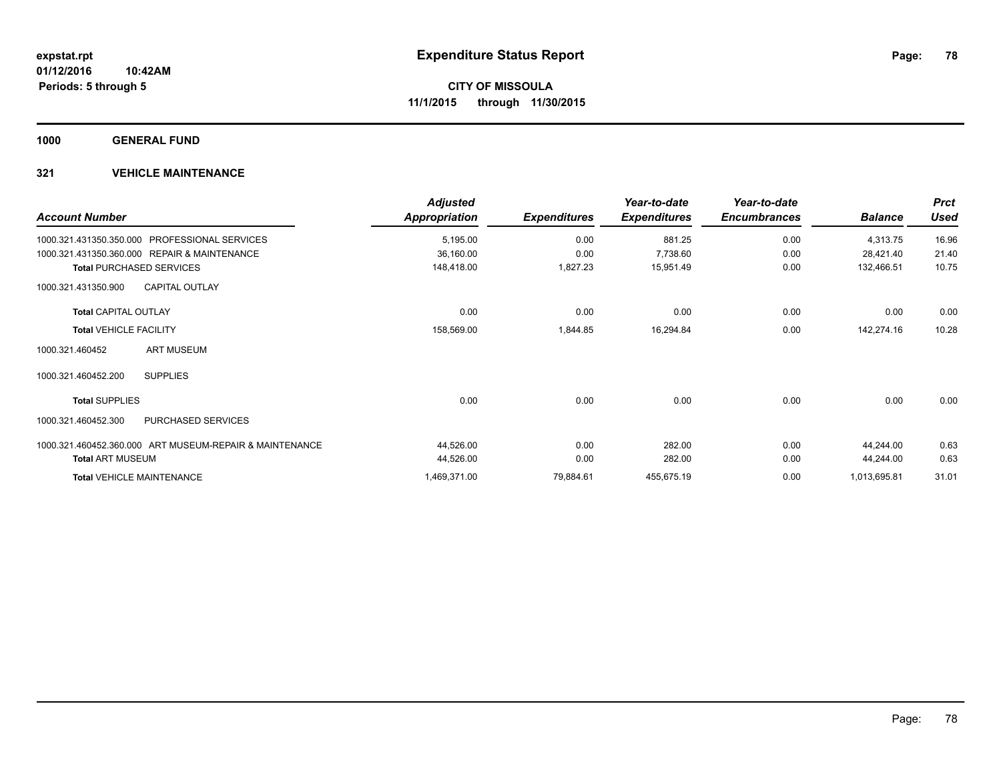**1000 GENERAL FUND**

| <b>Account Number</b>                                   | <b>Adjusted</b><br><b>Appropriation</b> | <b>Expenditures</b> | Year-to-date<br><b>Expenditures</b> | Year-to-date<br><b>Encumbrances</b> | <b>Balance</b> | <b>Prct</b><br><b>Used</b> |
|---------------------------------------------------------|-----------------------------------------|---------------------|-------------------------------------|-------------------------------------|----------------|----------------------------|
| 1000.321.431350.350.000 PROFESSIONAL SERVICES           | 5,195.00                                | 0.00                | 881.25                              | 0.00                                | 4,313.75       | 16.96                      |
| 1000.321.431350.360.000 REPAIR & MAINTENANCE            | 36,160.00                               | 0.00                | 7,738.60                            | 0.00                                | 28,421.40      | 21.40                      |
| <b>Total PURCHASED SERVICES</b>                         | 148,418.00                              | 1,827.23            | 15,951.49                           | 0.00                                | 132,466.51     | 10.75                      |
| <b>CAPITAL OUTLAY</b><br>1000.321.431350.900            |                                         |                     |                                     |                                     |                |                            |
| <b>Total CAPITAL OUTLAY</b>                             | 0.00                                    | 0.00                | 0.00                                | 0.00                                | 0.00           | 0.00                       |
| <b>Total VEHICLE FACILITY</b>                           | 158,569.00                              | 1,844.85            | 16,294.84                           | 0.00                                | 142,274.16     | 10.28                      |
| <b>ART MUSEUM</b><br>1000.321.460452                    |                                         |                     |                                     |                                     |                |                            |
| 1000.321.460452.200<br><b>SUPPLIES</b>                  |                                         |                     |                                     |                                     |                |                            |
| <b>Total SUPPLIES</b>                                   | 0.00                                    | 0.00                | 0.00                                | 0.00                                | 0.00           | 0.00                       |
| 1000.321.460452.300<br><b>PURCHASED SERVICES</b>        |                                         |                     |                                     |                                     |                |                            |
| 1000.321.460452.360.000 ART MUSEUM-REPAIR & MAINTENANCE | 44,526.00                               | 0.00                | 282.00                              | 0.00                                | 44,244.00      | 0.63                       |
| <b>Total ART MUSEUM</b>                                 | 44,526.00                               | 0.00                | 282.00                              | 0.00                                | 44,244.00      | 0.63                       |
| <b>Total VEHICLE MAINTENANCE</b>                        | 1,469,371.00                            | 79,884.61           | 455,675.19                          | 0.00                                | 1,013,695.81   | 31.01                      |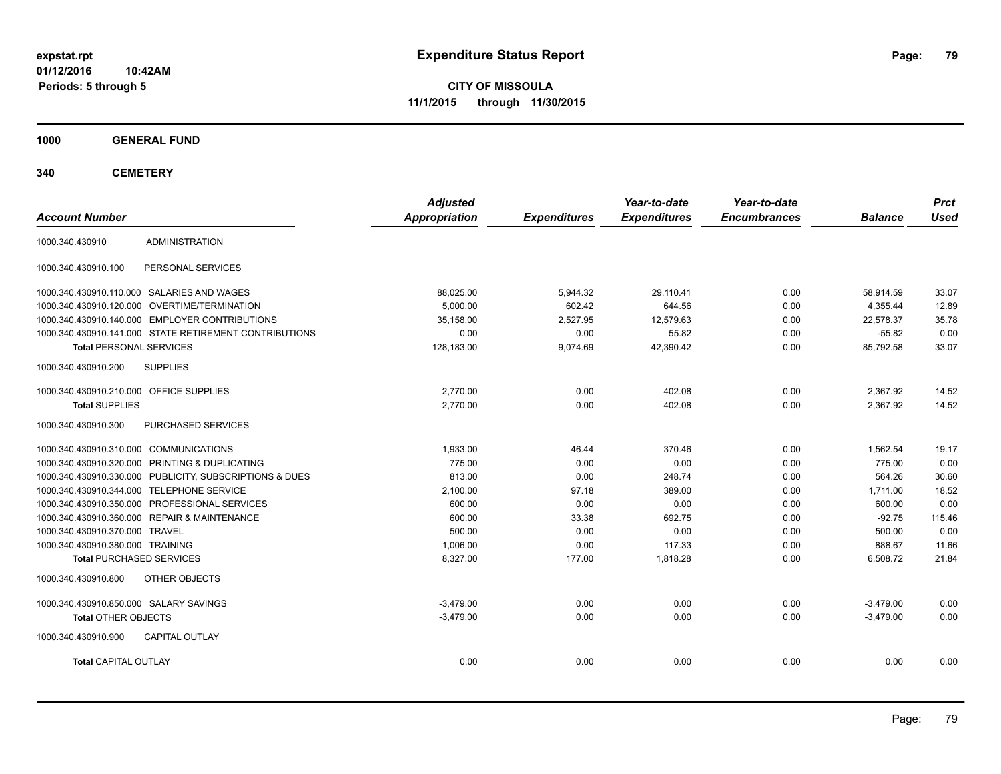**CITY OF MISSOULA 11/1/2015 through 11/30/2015**

**1000 GENERAL FUND**

| <b>Account Number</b>                   |                                                         | <b>Adjusted</b><br><b>Appropriation</b> | <b>Expenditures</b> | Year-to-date<br><b>Expenditures</b> | Year-to-date<br><b>Encumbrances</b> | <b>Balance</b> | <b>Prct</b><br><b>Used</b> |
|-----------------------------------------|---------------------------------------------------------|-----------------------------------------|---------------------|-------------------------------------|-------------------------------------|----------------|----------------------------|
|                                         |                                                         |                                         |                     |                                     |                                     |                |                            |
| 1000.340.430910                         | <b>ADMINISTRATION</b>                                   |                                         |                     |                                     |                                     |                |                            |
| 1000.340.430910.100                     | PERSONAL SERVICES                                       |                                         |                     |                                     |                                     |                |                            |
|                                         | 1000.340.430910.110.000 SALARIES AND WAGES              | 88,025.00                               | 5,944.32            | 29,110.41                           | 0.00                                | 58,914.59      | 33.07                      |
|                                         | 1000.340.430910.120.000 OVERTIME/TERMINATION            | 5.000.00                                | 602.42              | 644.56                              | 0.00                                | 4,355.44       | 12.89                      |
|                                         | 1000.340.430910.140.000 EMPLOYER CONTRIBUTIONS          | 35.158.00                               | 2,527.95            | 12,579.63                           | 0.00                                | 22.578.37      | 35.78                      |
|                                         | 1000.340.430910.141.000 STATE RETIREMENT CONTRIBUTIONS  | 0.00                                    | 0.00                | 55.82                               | 0.00                                | $-55.82$       | 0.00                       |
| <b>Total PERSONAL SERVICES</b>          |                                                         | 128,183.00                              | 9,074.69            | 42,390.42                           | 0.00                                | 85,792.58      | 33.07                      |
| 1000.340.430910.200                     | <b>SUPPLIES</b>                                         |                                         |                     |                                     |                                     |                |                            |
| 1000.340.430910.210.000 OFFICE SUPPLIES |                                                         | 2,770.00                                | 0.00                | 402.08                              | 0.00                                | 2,367.92       | 14.52                      |
| <b>Total SUPPLIES</b>                   |                                                         | 2,770.00                                | 0.00                | 402.08                              | 0.00                                | 2,367.92       | 14.52                      |
| 1000.340.430910.300                     | PURCHASED SERVICES                                      |                                         |                     |                                     |                                     |                |                            |
| 1000.340.430910.310.000 COMMUNICATIONS  |                                                         | 1.933.00                                | 46.44               | 370.46                              | 0.00                                | 1.562.54       | 19.17                      |
|                                         | 1000.340.430910.320.000 PRINTING & DUPLICATING          | 775.00                                  | 0.00                | 0.00                                | 0.00                                | 775.00         | 0.00                       |
|                                         | 1000.340.430910.330.000 PUBLICITY, SUBSCRIPTIONS & DUES | 813.00                                  | 0.00                | 248.74                              | 0.00                                | 564.26         | 30.60                      |
|                                         | 1000.340.430910.344.000 TELEPHONE SERVICE               | 2,100.00                                | 97.18               | 389.00                              | 0.00                                | 1,711.00       | 18.52                      |
|                                         | 1000.340.430910.350.000 PROFESSIONAL SERVICES           | 600.00                                  | 0.00                | 0.00                                | 0.00                                | 600.00         | 0.00                       |
|                                         | 1000.340.430910.360.000 REPAIR & MAINTENANCE            | 600.00                                  | 33.38               | 692.75                              | 0.00                                | $-92.75$       | 115.46                     |
| 1000.340.430910.370.000 TRAVEL          |                                                         | 500.00                                  | 0.00                | 0.00                                | 0.00                                | 500.00         | 0.00                       |
| 1000.340.430910.380.000 TRAINING        |                                                         | 1,006.00                                | 0.00                | 117.33                              | 0.00                                | 888.67         | 11.66                      |
| <b>Total PURCHASED SERVICES</b>         |                                                         | 8,327.00                                | 177.00              | 1,818.28                            | 0.00                                | 6,508.72       | 21.84                      |
| 1000.340.430910.800                     | OTHER OBJECTS                                           |                                         |                     |                                     |                                     |                |                            |
| 1000.340.430910.850.000 SALARY SAVINGS  |                                                         | $-3.479.00$                             | 0.00                | 0.00                                | 0.00                                | $-3,479.00$    | 0.00                       |
| <b>Total OTHER OBJECTS</b>              |                                                         | $-3,479.00$                             | 0.00                | 0.00                                | 0.00                                | $-3,479.00$    | 0.00                       |
| 1000.340.430910.900                     | <b>CAPITAL OUTLAY</b>                                   |                                         |                     |                                     |                                     |                |                            |
| <b>Total CAPITAL OUTLAY</b>             |                                                         | 0.00                                    | 0.00                | 0.00                                | 0.00                                | 0.00           | 0.00                       |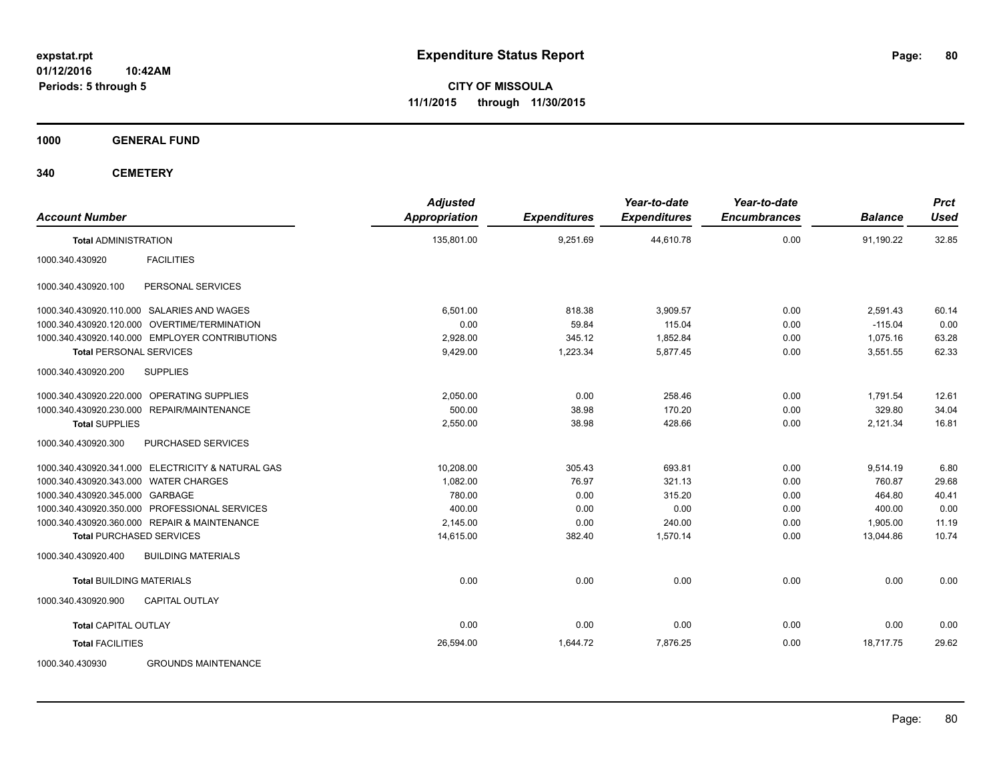**CITY OF MISSOULA 11/1/2015 through 11/30/2015**

**1000 GENERAL FUND**

| <b>Account Number</b>                             | <b>Adjusted</b><br><b>Appropriation</b> | <b>Expenditures</b> | Year-to-date<br><b>Expenditures</b> | Year-to-date<br><b>Encumbrances</b> | <b>Balance</b> | <b>Prct</b><br><b>Used</b> |
|---------------------------------------------------|-----------------------------------------|---------------------|-------------------------------------|-------------------------------------|----------------|----------------------------|
| <b>Total ADMINISTRATION</b>                       | 135,801.00                              | 9,251.69            | 44,610.78                           | 0.00                                | 91,190.22      | 32.85                      |
| 1000.340.430920<br><b>FACILITIES</b>              |                                         |                     |                                     |                                     |                |                            |
| PERSONAL SERVICES<br>1000.340.430920.100          |                                         |                     |                                     |                                     |                |                            |
| 1000.340.430920.110.000 SALARIES AND WAGES        | 6.501.00                                | 818.38              | 3,909.57                            | 0.00                                | 2,591.43       | 60.14                      |
| 1000.340.430920.120.000 OVERTIME/TERMINATION      | 0.00                                    | 59.84               | 115.04                              | 0.00                                | $-115.04$      | 0.00                       |
| 1000.340.430920.140.000 EMPLOYER CONTRIBUTIONS    | 2,928.00                                | 345.12              | 1,852.84                            | 0.00                                | 1,075.16       | 63.28                      |
| <b>Total PERSONAL SERVICES</b>                    | 9,429.00                                | 1,223.34            | 5,877.45                            | 0.00                                | 3,551.55       | 62.33                      |
| <b>SUPPLIES</b><br>1000.340.430920.200            |                                         |                     |                                     |                                     |                |                            |
| 1000.340.430920.220.000 OPERATING SUPPLIES        | 2,050.00                                | 0.00                | 258.46                              | 0.00                                | 1,791.54       | 12.61                      |
| 1000.340.430920.230.000 REPAIR/MAINTENANCE        | 500.00                                  | 38.98               | 170.20                              | 0.00                                | 329.80         | 34.04                      |
| <b>Total SUPPLIES</b>                             | 2,550.00                                | 38.98               | 428.66                              | 0.00                                | 2,121.34       | 16.81                      |
| 1000.340.430920.300<br><b>PURCHASED SERVICES</b>  |                                         |                     |                                     |                                     |                |                            |
| 1000.340.430920.341.000 ELECTRICITY & NATURAL GAS | 10,208.00                               | 305.43              | 693.81                              | 0.00                                | 9,514.19       | 6.80                       |
| 1000.340.430920.343.000 WATER CHARGES             | 1.082.00                                | 76.97               | 321.13                              | 0.00                                | 760.87         | 29.68                      |
| 1000.340.430920.345.000 GARBAGE                   | 780.00                                  | 0.00                | 315.20                              | 0.00                                | 464.80         | 40.41                      |
| 1000.340.430920.350.000 PROFESSIONAL SERVICES     | 400.00                                  | 0.00                | 0.00                                | 0.00                                | 400.00         | 0.00                       |
| 1000.340.430920.360.000 REPAIR & MAINTENANCE      | 2,145.00                                | 0.00                | 240.00                              | 0.00                                | 1,905.00       | 11.19                      |
| <b>Total PURCHASED SERVICES</b>                   | 14,615.00                               | 382.40              | 1,570.14                            | 0.00                                | 13,044.86      | 10.74                      |
| 1000.340.430920.400<br><b>BUILDING MATERIALS</b>  |                                         |                     |                                     |                                     |                |                            |
| <b>Total BUILDING MATERIALS</b>                   | 0.00                                    | 0.00                | 0.00                                | 0.00                                | 0.00           | 0.00                       |
| 1000.340.430920.900<br><b>CAPITAL OUTLAY</b>      |                                         |                     |                                     |                                     |                |                            |
| <b>Total CAPITAL OUTLAY</b>                       | 0.00                                    | 0.00                | 0.00                                | 0.00                                | 0.00           | 0.00                       |
| <b>Total FACILITIES</b>                           | 26,594.00                               | 1,644.72            | 7,876.25                            | 0.00                                | 18.717.75      | 29.62                      |
| 1000.340.430930<br><b>GROUNDS MAINTENANCE</b>     |                                         |                     |                                     |                                     |                |                            |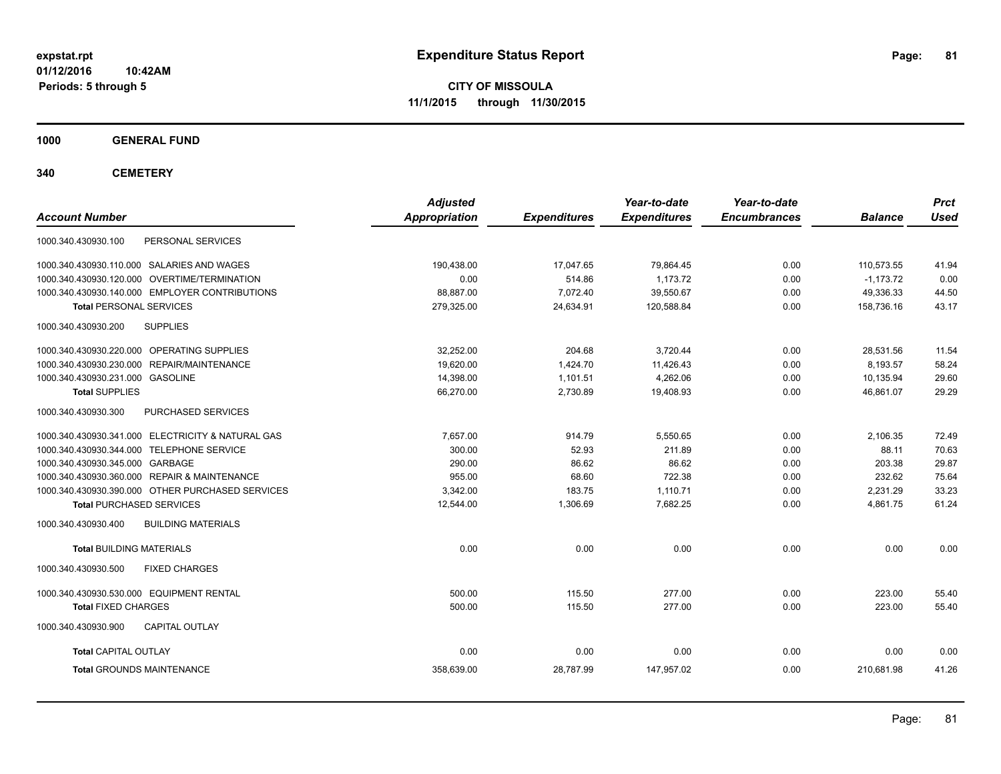**CITY OF MISSOULA 11/1/2015 through 11/30/2015**

**1000 GENERAL FUND**

| <b>Account Number</b>                             | <b>Adjusted</b><br><b>Appropriation</b> | <b>Expenditures</b> | Year-to-date<br><b>Expenditures</b> | Year-to-date<br><b>Encumbrances</b> | <b>Balance</b> | <b>Prct</b><br><b>Used</b> |
|---------------------------------------------------|-----------------------------------------|---------------------|-------------------------------------|-------------------------------------|----------------|----------------------------|
| PERSONAL SERVICES<br>1000.340.430930.100          |                                         |                     |                                     |                                     |                |                            |
| 1000.340.430930.110.000 SALARIES AND WAGES        | 190.438.00                              | 17,047.65           | 79,864.45                           | 0.00                                | 110,573.55     | 41.94                      |
| 1000.340.430930.120.000 OVERTIME/TERMINATION      | 0.00                                    | 514.86              | 1.173.72                            | 0.00                                | $-1,173.72$    | 0.00                       |
| 1000.340.430930.140.000 EMPLOYER CONTRIBUTIONS    | 88,887.00                               | 7,072.40            | 39,550.67                           | 0.00                                | 49,336.33      | 44.50                      |
| <b>Total PERSONAL SERVICES</b>                    | 279,325.00                              | 24,634.91           | 120,588.84                          | 0.00                                | 158,736.16     | 43.17                      |
| <b>SUPPLIES</b><br>1000.340.430930.200            |                                         |                     |                                     |                                     |                |                            |
| 1000.340.430930.220.000 OPERATING SUPPLIES        | 32,252.00                               | 204.68              | 3,720.44                            | 0.00                                | 28,531.56      | 11.54                      |
| 1000.340.430930.230.000 REPAIR/MAINTENANCE        | 19,620.00                               | 1,424.70            | 11,426.43                           | 0.00                                | 8,193.57       | 58.24                      |
| 1000.340.430930.231.000 GASOLINE                  | 14,398.00                               | 1,101.51            | 4,262.06                            | 0.00                                | 10,135.94      | 29.60                      |
| <b>Total SUPPLIES</b>                             | 66,270.00                               | 2,730.89            | 19,408.93                           | 0.00                                | 46,861.07      | 29.29                      |
| 1000.340.430930.300<br><b>PURCHASED SERVICES</b>  |                                         |                     |                                     |                                     |                |                            |
| 1000.340.430930.341.000 ELECTRICITY & NATURAL GAS | 7.657.00                                | 914.79              | 5,550.65                            | 0.00                                | 2.106.35       | 72.49                      |
| 1000.340.430930.344.000 TELEPHONE SERVICE         | 300.00                                  | 52.93               | 211.89                              | 0.00                                | 88.11          | 70.63                      |
| 1000.340.430930.345.000 GARBAGE                   | 290.00                                  | 86.62               | 86.62                               | 0.00                                | 203.38         | 29.87                      |
| 1000.340.430930.360.000 REPAIR & MAINTENANCE      | 955.00                                  | 68.60               | 722.38                              | 0.00                                | 232.62         | 75.64                      |
| 1000.340.430930.390.000 OTHER PURCHASED SERVICES  | 3.342.00                                | 183.75              | 1,110.71                            | 0.00                                | 2.231.29       | 33.23                      |
| <b>Total PURCHASED SERVICES</b>                   | 12.544.00                               | 1,306.69            | 7,682.25                            | 0.00                                | 4,861.75       | 61.24                      |
| <b>BUILDING MATERIALS</b><br>1000.340.430930.400  |                                         |                     |                                     |                                     |                |                            |
| <b>Total BUILDING MATERIALS</b>                   | 0.00                                    | 0.00                | 0.00                                | 0.00                                | 0.00           | 0.00                       |
| 1000.340.430930.500<br><b>FIXED CHARGES</b>       |                                         |                     |                                     |                                     |                |                            |
| 1000.340.430930.530.000 EQUIPMENT RENTAL          | 500.00                                  | 115.50              | 277.00                              | 0.00                                | 223.00         | 55.40                      |
| <b>Total FIXED CHARGES</b>                        | 500.00                                  | 115.50              | 277.00                              | 0.00                                | 223.00         | 55.40                      |
| <b>CAPITAL OUTLAY</b><br>1000.340.430930.900      |                                         |                     |                                     |                                     |                |                            |
| <b>Total CAPITAL OUTLAY</b>                       | 0.00                                    | 0.00                | 0.00                                | 0.00                                | 0.00           | 0.00                       |
| <b>Total GROUNDS MAINTENANCE</b>                  | 358,639.00                              | 28,787.99           | 147,957.02                          | 0.00                                | 210.681.98     | 41.26                      |
|                                                   |                                         |                     |                                     |                                     |                |                            |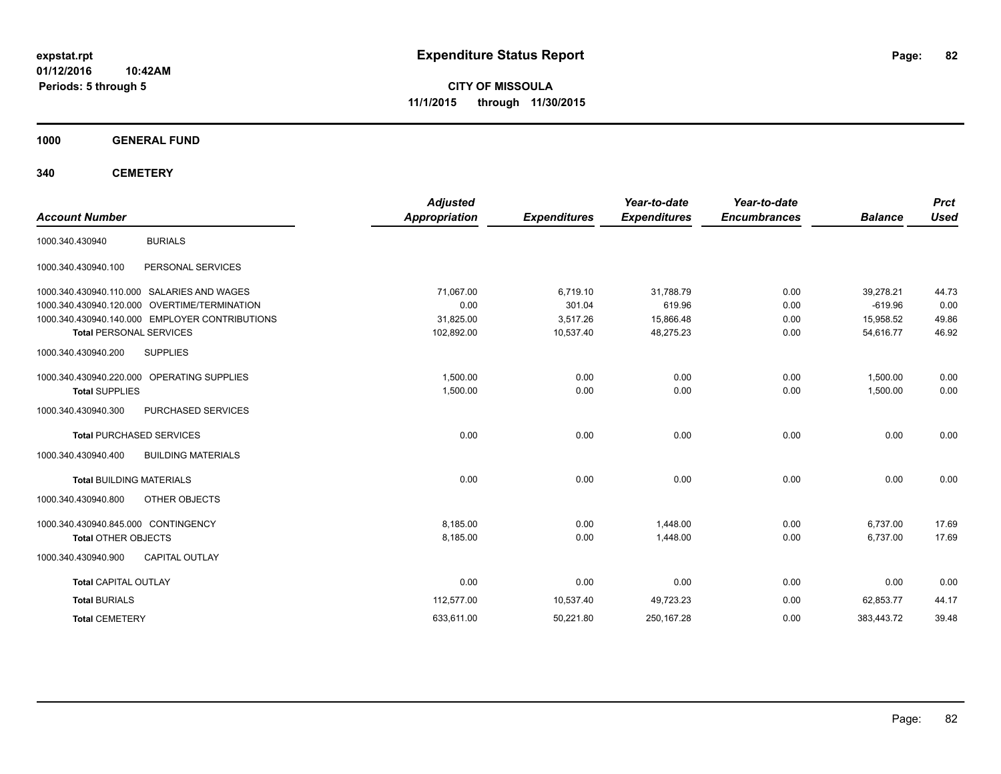**CITY OF MISSOULA 11/1/2015 through 11/30/2015**

**1000 GENERAL FUND**

| <b>Account Number</b>               |                                                | <b>Adjusted</b><br><b>Appropriation</b> | <b>Expenditures</b> | Year-to-date<br><b>Expenditures</b> | Year-to-date<br><b>Encumbrances</b> | <b>Balance</b> | <b>Prct</b><br><b>Used</b> |
|-------------------------------------|------------------------------------------------|-----------------------------------------|---------------------|-------------------------------------|-------------------------------------|----------------|----------------------------|
| 1000.340.430940                     | <b>BURIALS</b>                                 |                                         |                     |                                     |                                     |                |                            |
| 1000.340.430940.100                 | PERSONAL SERVICES                              |                                         |                     |                                     |                                     |                |                            |
|                                     | 1000.340.430940.110.000 SALARIES AND WAGES     | 71,067.00                               | 6,719.10            | 31,788.79                           | 0.00                                | 39,278.21      | 44.73                      |
|                                     | 1000.340.430940.120.000 OVERTIME/TERMINATION   | 0.00                                    | 301.04              | 619.96                              | 0.00                                | $-619.96$      | 0.00                       |
|                                     | 1000.340.430940.140.000 EMPLOYER CONTRIBUTIONS | 31,825.00                               | 3,517.26            | 15,866.48                           | 0.00                                | 15,958.52      | 49.86                      |
| <b>Total PERSONAL SERVICES</b>      |                                                | 102,892.00                              | 10,537.40           | 48,275.23                           | 0.00                                | 54,616.77      | 46.92                      |
| 1000.340.430940.200                 | <b>SUPPLIES</b>                                |                                         |                     |                                     |                                     |                |                            |
|                                     | 1000.340.430940.220.000 OPERATING SUPPLIES     | 1,500.00                                | 0.00                | 0.00                                | 0.00                                | 1,500.00       | 0.00                       |
| <b>Total SUPPLIES</b>               |                                                | 1,500.00                                | 0.00                | 0.00                                | 0.00                                | 1,500.00       | 0.00                       |
| 1000.340.430940.300                 | PURCHASED SERVICES                             |                                         |                     |                                     |                                     |                |                            |
|                                     | <b>Total PURCHASED SERVICES</b>                | 0.00                                    | 0.00                | 0.00                                | 0.00                                | 0.00           | 0.00                       |
| 1000.340.430940.400                 | <b>BUILDING MATERIALS</b>                      |                                         |                     |                                     |                                     |                |                            |
| <b>Total BUILDING MATERIALS</b>     |                                                | 0.00                                    | 0.00                | 0.00                                | 0.00                                | 0.00           | 0.00                       |
| 1000.340.430940.800                 | OTHER OBJECTS                                  |                                         |                     |                                     |                                     |                |                            |
| 1000.340.430940.845.000 CONTINGENCY |                                                | 8,185.00                                | 0.00                | 1,448.00                            | 0.00                                | 6,737.00       | 17.69                      |
| <b>Total OTHER OBJECTS</b>          |                                                | 8,185.00                                | 0.00                | 1,448.00                            | 0.00                                | 6,737.00       | 17.69                      |
| 1000.340.430940.900                 | <b>CAPITAL OUTLAY</b>                          |                                         |                     |                                     |                                     |                |                            |
| <b>Total CAPITAL OUTLAY</b>         |                                                | 0.00                                    | 0.00                | 0.00                                | 0.00                                | 0.00           | 0.00                       |
| <b>Total BURIALS</b>                |                                                | 112,577.00                              | 10,537.40           | 49,723.23                           | 0.00                                | 62,853.77      | 44.17                      |
| <b>Total CEMETERY</b>               |                                                | 633,611.00                              | 50,221.80           | 250, 167.28                         | 0.00                                | 383,443.72     | 39.48                      |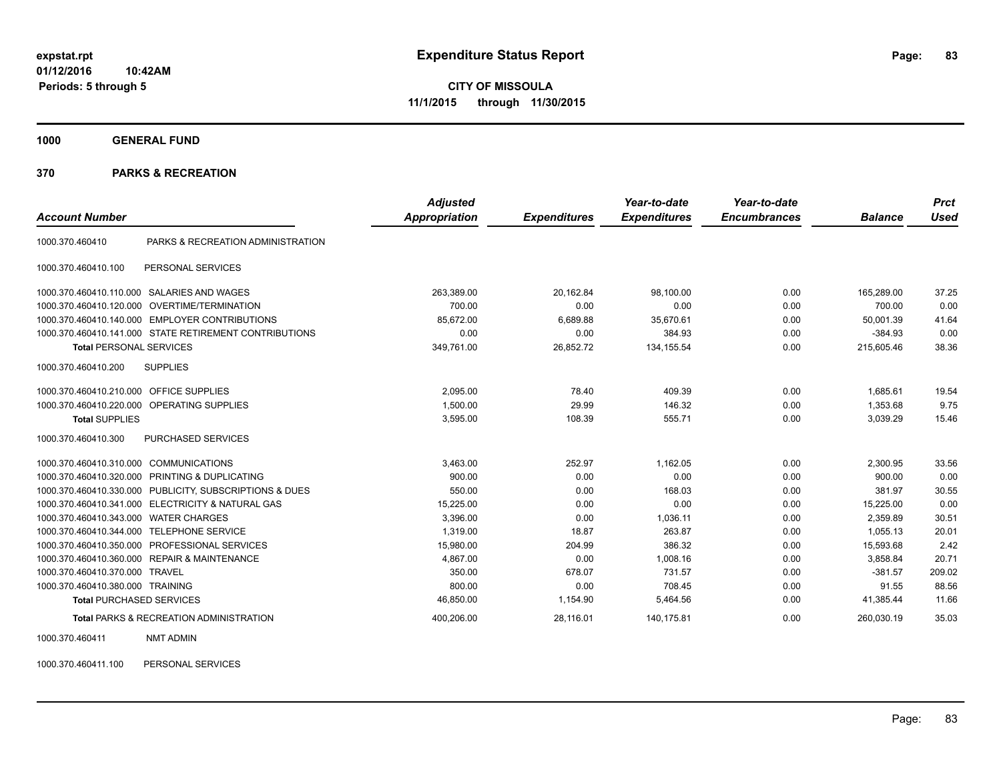**1000 GENERAL FUND**

#### **370 PARKS & RECREATION**

|                                           |                                                         | <b>Adjusted</b> |                     | Year-to-date        | Year-to-date        |                | <b>Prct</b> |
|-------------------------------------------|---------------------------------------------------------|-----------------|---------------------|---------------------|---------------------|----------------|-------------|
| <b>Account Number</b>                     |                                                         | Appropriation   | <b>Expenditures</b> | <b>Expenditures</b> | <b>Encumbrances</b> | <b>Balance</b> | <b>Used</b> |
| 1000.370.460410                           | PARKS & RECREATION ADMINISTRATION                       |                 |                     |                     |                     |                |             |
| 1000.370.460410.100                       | PERSONAL SERVICES                                       |                 |                     |                     |                     |                |             |
| 1000.370.460410.110.000                   | SALARIES AND WAGES                                      | 263,389.00      | 20,162.84           | 98,100.00           | 0.00                | 165,289.00     | 37.25       |
|                                           | 1000.370.460410.120.000 OVERTIME/TERMINATION            | 700.00          | 0.00                | 0.00                | 0.00                | 700.00         | 0.00        |
|                                           | 1000.370.460410.140.000 EMPLOYER CONTRIBUTIONS          | 85,672.00       | 6,689.88            | 35,670.61           | 0.00                | 50.001.39      | 41.64       |
|                                           | 1000.370.460410.141.000 STATE RETIREMENT CONTRIBUTIONS  | 0.00            | 0.00                | 384.93              | 0.00                | $-384.93$      | 0.00        |
| <b>Total PERSONAL SERVICES</b>            |                                                         | 349,761.00      | 26,852.72           | 134, 155.54         | 0.00                | 215,605.46     | 38.36       |
| 1000.370.460410.200                       | <b>SUPPLIES</b>                                         |                 |                     |                     |                     |                |             |
| 1000.370.460410.210.000 OFFICE SUPPLIES   |                                                         | 2,095.00        | 78.40               | 409.39              | 0.00                | 1.685.61       | 19.54       |
|                                           | 1000.370.460410.220.000 OPERATING SUPPLIES              | 1,500.00        | 29.99               | 146.32              | 0.00                | 1.353.68       | 9.75        |
| <b>Total SUPPLIES</b>                     |                                                         | 3,595.00        | 108.39              | 555.71              | 0.00                | 3.039.29       | 15.46       |
| 1000.370.460410.300                       | PURCHASED SERVICES                                      |                 |                     |                     |                     |                |             |
| 1000.370.460410.310.000 COMMUNICATIONS    |                                                         | 3,463.00        | 252.97              | 1,162.05            | 0.00                | 2,300.95       | 33.56       |
|                                           | 1000.370.460410.320.000 PRINTING & DUPLICATING          | 900.00          | 0.00                | 0.00                | 0.00                | 900.00         | 0.00        |
|                                           | 1000.370.460410.330.000 PUBLICITY, SUBSCRIPTIONS & DUES | 550.00          | 0.00                | 168.03              | 0.00                | 381.97         | 30.55       |
|                                           | 1000.370.460410.341.000 ELECTRICITY & NATURAL GAS       | 15,225.00       | 0.00                | 0.00                | 0.00                | 15,225.00      | 0.00        |
| 1000.370.460410.343.000 WATER CHARGES     |                                                         | 3,396.00        | 0.00                | 1,036.11            | 0.00                | 2.359.89       | 30.51       |
| 1000.370.460410.344.000 TELEPHONE SERVICE |                                                         | 1.319.00        | 18.87               | 263.87              | 0.00                | 1.055.13       | 20.01       |
| 1000.370.460410.350.000                   | PROFESSIONAL SERVICES                                   | 15,980.00       | 204.99              | 386.32              | 0.00                | 15,593.68      | 2.42        |
|                                           | 1000.370.460410.360.000 REPAIR & MAINTENANCE            | 4,867.00        | 0.00                | 1,008.16            | 0.00                | 3,858.84       | 20.71       |
| 1000.370.460410.370.000 TRAVEL            |                                                         | 350.00          | 678.07              | 731.57              | 0.00                | $-381.57$      | 209.02      |
| 1000.370.460410.380.000 TRAINING          |                                                         | 800.00          | 0.00                | 708.45              | 0.00                | 91.55          | 88.56       |
| <b>Total PURCHASED SERVICES</b>           |                                                         | 46,850.00       | 1,154.90            | 5,464.56            | 0.00                | 41,385.44      | 11.66       |
|                                           | <b>Total PARKS &amp; RECREATION ADMINISTRATION</b>      | 400,206.00      | 28,116.01           | 140,175.81          | 0.00                | 260,030.19     | 35.03       |

1000.370.460411 NMT ADMIN

1000.370.460411.100 PERSONAL SERVICES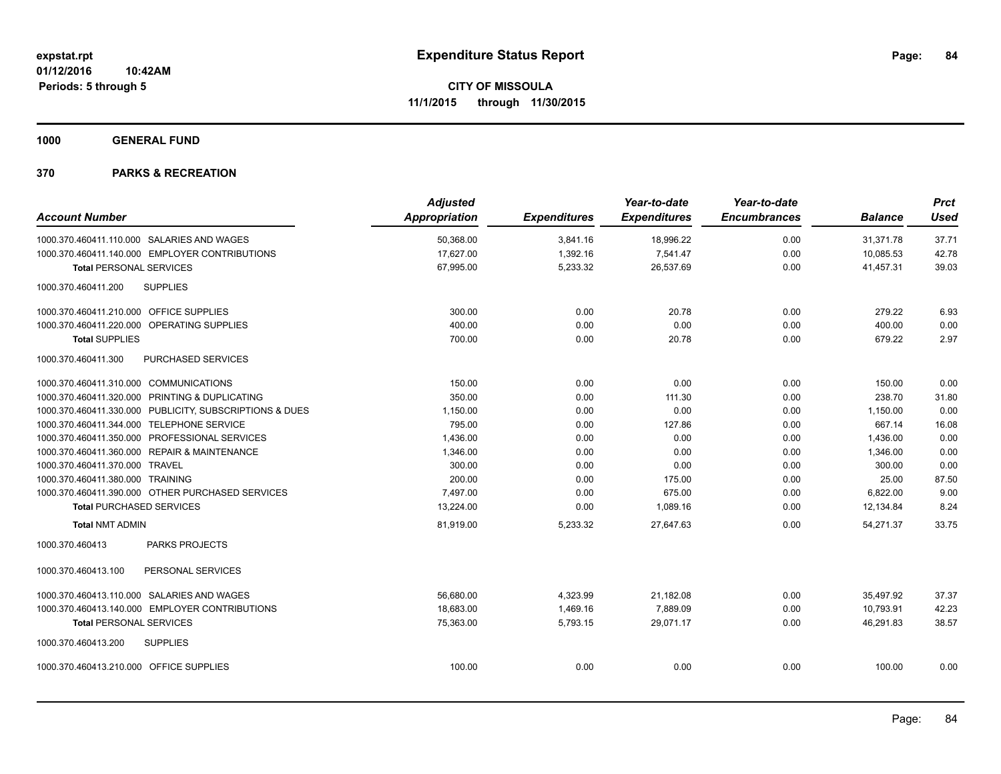**1000 GENERAL FUND**

|                                           |                                                         | <b>Adjusted</b>      |                     | Year-to-date        | Year-to-date        |                | <b>Prct</b> |
|-------------------------------------------|---------------------------------------------------------|----------------------|---------------------|---------------------|---------------------|----------------|-------------|
| <b>Account Number</b>                     |                                                         | <b>Appropriation</b> | <b>Expenditures</b> | <b>Expenditures</b> | <b>Encumbrances</b> | <b>Balance</b> | <b>Used</b> |
|                                           | 1000.370.460411.110.000 SALARIES AND WAGES              | 50,368.00            | 3,841.16            | 18,996.22           | 0.00                | 31,371.78      | 37.71       |
|                                           | 1000.370.460411.140.000 EMPLOYER CONTRIBUTIONS          | 17,627.00            | 1,392.16            | 7,541.47            | 0.00                | 10,085.53      | 42.78       |
| <b>Total PERSONAL SERVICES</b>            |                                                         | 67,995.00            | 5,233.32            | 26,537.69           | 0.00                | 41,457.31      | 39.03       |
| 1000.370.460411.200                       | <b>SUPPLIES</b>                                         |                      |                     |                     |                     |                |             |
| 1000.370.460411.210.000 OFFICE SUPPLIES   |                                                         | 300.00               | 0.00                | 20.78               | 0.00                | 279.22         | 6.93        |
|                                           | 1000.370.460411.220.000 OPERATING SUPPLIES              | 400.00               | 0.00                | 0.00                | 0.00                | 400.00         | 0.00        |
| <b>Total SUPPLIES</b>                     |                                                         | 700.00               | 0.00                | 20.78               | 0.00                | 679.22         | 2.97        |
| 1000.370.460411.300                       | PURCHASED SERVICES                                      |                      |                     |                     |                     |                |             |
| 1000.370.460411.310.000 COMMUNICATIONS    |                                                         | 150.00               | 0.00                | 0.00                | 0.00                | 150.00         | 0.00        |
|                                           | 1000.370.460411.320.000 PRINTING & DUPLICATING          | 350.00               | 0.00                | 111.30              | 0.00                | 238.70         | 31.80       |
|                                           | 1000.370.460411.330.000 PUBLICITY, SUBSCRIPTIONS & DUES | 1,150.00             | 0.00                | 0.00                | 0.00                | 1,150.00       | 0.00        |
| 1000.370.460411.344.000 TELEPHONE SERVICE |                                                         | 795.00               | 0.00                | 127.86              | 0.00                | 667.14         | 16.08       |
|                                           | 1000.370.460411.350.000 PROFESSIONAL SERVICES           | 1,436.00             | 0.00                | 0.00                | 0.00                | 1,436.00       | 0.00        |
|                                           | 1000.370.460411.360.000 REPAIR & MAINTENANCE            | 1.346.00             | 0.00                | 0.00                | 0.00                | 1.346.00       | 0.00        |
| 1000.370.460411.370.000 TRAVEL            |                                                         | 300.00               | 0.00                | 0.00                | 0.00                | 300.00         | 0.00        |
| 1000.370.460411.380.000 TRAINING          |                                                         | 200.00               | 0.00                | 175.00              | 0.00                | 25.00          | 87.50       |
|                                           | 1000.370.460411.390.000 OTHER PURCHASED SERVICES        | 7.497.00             | 0.00                | 675.00              | 0.00                | 6,822.00       | 9.00        |
| <b>Total PURCHASED SERVICES</b>           |                                                         | 13,224.00            | 0.00                | 1,089.16            | 0.00                | 12,134.84      | 8.24        |
| <b>Total NMT ADMIN</b>                    |                                                         | 81,919.00            | 5,233.32            | 27,647.63           | 0.00                | 54,271.37      | 33.75       |
| 1000.370.460413                           | <b>PARKS PROJECTS</b>                                   |                      |                     |                     |                     |                |             |
| 1000.370.460413.100                       | PERSONAL SERVICES                                       |                      |                     |                     |                     |                |             |
|                                           | 1000.370.460413.110.000 SALARIES AND WAGES              | 56,680.00            | 4,323.99            | 21,182.08           | 0.00                | 35,497.92      | 37.37       |
|                                           | 1000.370.460413.140.000 EMPLOYER CONTRIBUTIONS          | 18,683.00            | 1,469.16            | 7,889.09            | 0.00                | 10,793.91      | 42.23       |
| <b>Total PERSONAL SERVICES</b>            |                                                         | 75,363.00            | 5,793.15            | 29,071.17           | 0.00                | 46.291.83      | 38.57       |
| 1000.370.460413.200                       | <b>SUPPLIES</b>                                         |                      |                     |                     |                     |                |             |
| 1000.370.460413.210.000 OFFICE SUPPLIES   |                                                         | 100.00               | 0.00                | 0.00                | 0.00                | 100.00         | 0.00        |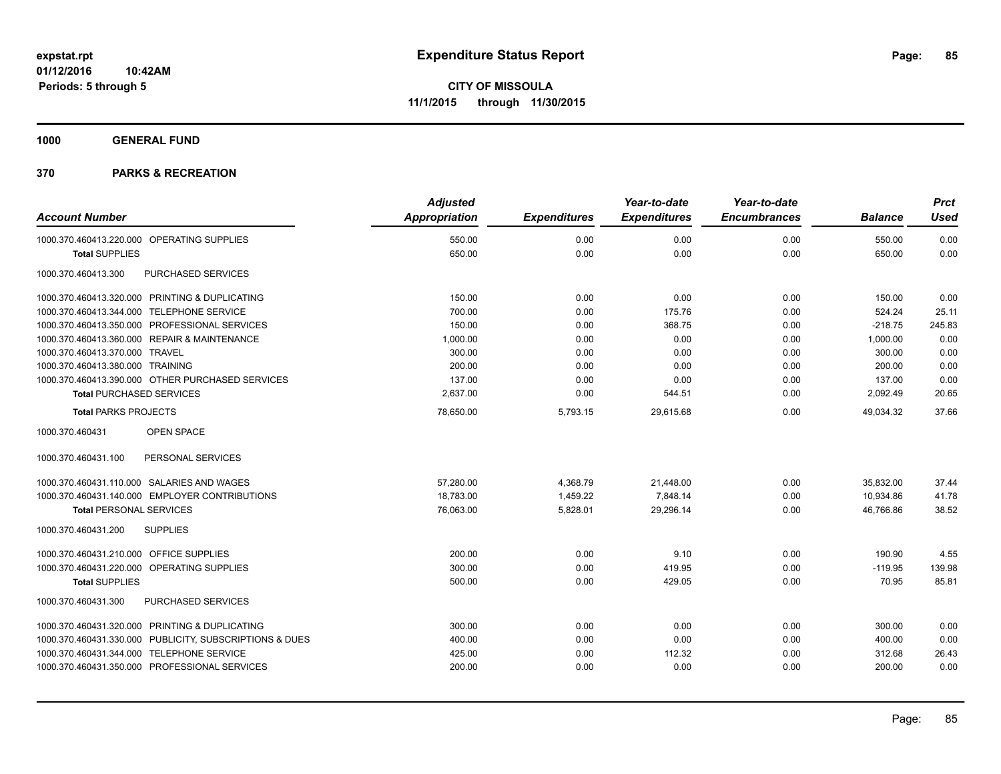**1000 GENERAL FUND**

|                                                         | <b>Adjusted</b>      |                     | Year-to-date        | Year-to-date        |                | <b>Prct</b> |
|---------------------------------------------------------|----------------------|---------------------|---------------------|---------------------|----------------|-------------|
| <b>Account Number</b>                                   | <b>Appropriation</b> | <b>Expenditures</b> | <b>Expenditures</b> | <b>Encumbrances</b> | <b>Balance</b> | <b>Used</b> |
| 1000.370.460413.220.000 OPERATING SUPPLIES              | 550.00               | 0.00                | 0.00                | 0.00                | 550.00         | 0.00        |
| <b>Total SUPPLIES</b>                                   | 650.00               | 0.00                | 0.00                | 0.00                | 650.00         | 0.00        |
| PURCHASED SERVICES<br>1000.370.460413.300               |                      |                     |                     |                     |                |             |
| 1000.370.460413.320.000 PRINTING & DUPLICATING          | 150.00               | 0.00                | 0.00                | 0.00                | 150.00         | 0.00        |
| 1000.370.460413.344.000 TELEPHONE SERVICE               | 700.00               | 0.00                | 175.76              | 0.00                | 524.24         | 25.11       |
| 1000.370.460413.350.000 PROFESSIONAL SERVICES           | 150.00               | 0.00                | 368.75              | 0.00                | $-218.75$      | 245.83      |
| 1000.370.460413.360.000 REPAIR & MAINTENANCE            | 1,000.00             | 0.00                | 0.00                | 0.00                | 1,000.00       | 0.00        |
| 1000.370.460413.370.000 TRAVEL                          | 300.00               | 0.00                | 0.00                | 0.00                | 300.00         | 0.00        |
| 1000.370.460413.380.000 TRAINING                        | 200.00               | 0.00                | 0.00                | 0.00                | 200.00         | 0.00        |
| 1000.370.460413.390.000 OTHER PURCHASED SERVICES        | 137.00               | 0.00                | 0.00                | 0.00                | 137.00         | 0.00        |
| <b>Total PURCHASED SERVICES</b>                         | 2,637.00             | 0.00                | 544.51              | 0.00                | 2,092.49       | 20.65       |
| <b>Total PARKS PROJECTS</b>                             | 78,650.00            | 5,793.15            | 29.615.68           | 0.00                | 49.034.32      | 37.66       |
| 1000.370.460431<br><b>OPEN SPACE</b>                    |                      |                     |                     |                     |                |             |
| 1000.370.460431.100<br>PERSONAL SERVICES                |                      |                     |                     |                     |                |             |
| 1000.370.460431.110.000 SALARIES AND WAGES              | 57,280.00            | 4,368.79            | 21,448.00           | 0.00                | 35,832.00      | 37.44       |
| 1000.370.460431.140.000 EMPLOYER CONTRIBUTIONS          | 18,783.00            | 1,459.22            | 7,848.14            | 0.00                | 10,934.86      | 41.78       |
| <b>Total PERSONAL SERVICES</b>                          | 76,063.00            | 5,828.01            | 29,296.14           | 0.00                | 46,766.86      | 38.52       |
| 1000.370.460431.200<br><b>SUPPLIES</b>                  |                      |                     |                     |                     |                |             |
| 1000.370.460431.210.000 OFFICE SUPPLIES                 | 200.00               | 0.00                | 9.10                | 0.00                | 190.90         | 4.55        |
| 1000.370.460431.220.000 OPERATING SUPPLIES              | 300.00               | 0.00                | 419.95              | 0.00                | $-119.95$      | 139.98      |
| <b>Total SUPPLIES</b>                                   | 500.00               | 0.00                | 429.05              | 0.00                | 70.95          | 85.81       |
| PURCHASED SERVICES<br>1000.370.460431.300               |                      |                     |                     |                     |                |             |
| 1000.370.460431.320.000 PRINTING & DUPLICATING          | 300.00               | 0.00                | 0.00                | 0.00                | 300.00         | 0.00        |
| 1000.370.460431.330.000 PUBLICITY, SUBSCRIPTIONS & DUES | 400.00               | 0.00                | 0.00                | 0.00                | 400.00         | 0.00        |
| 1000.370.460431.344.000 TELEPHONE SERVICE               | 425.00               | 0.00                | 112.32              | 0.00                | 312.68         | 26.43       |
| 1000.370.460431.350.000 PROFESSIONAL SERVICES           | 200.00               | 0.00                | 0.00                | 0.00                | 200.00         | 0.00        |
|                                                         |                      |                     |                     |                     |                |             |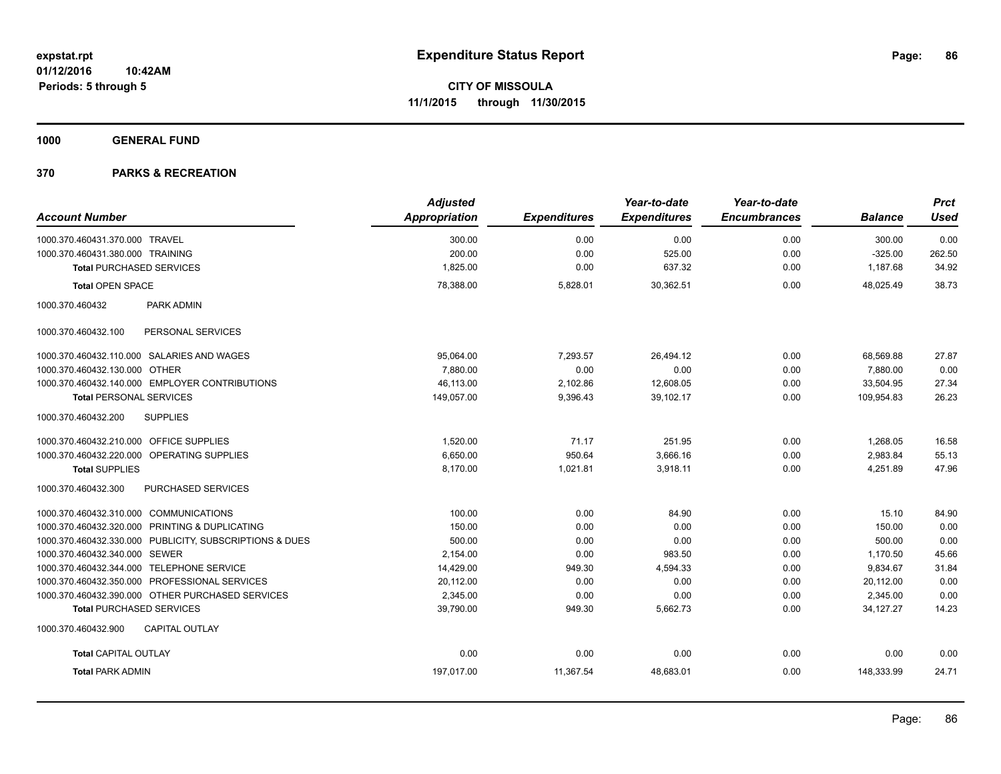**1000 GENERAL FUND**

|                                                |                                                         | <b>Adjusted</b>      |                     | Year-to-date        | Year-to-date        |                | <b>Prct</b> |
|------------------------------------------------|---------------------------------------------------------|----------------------|---------------------|---------------------|---------------------|----------------|-------------|
| <b>Account Number</b>                          |                                                         | <b>Appropriation</b> | <b>Expenditures</b> | <b>Expenditures</b> | <b>Encumbrances</b> | <b>Balance</b> | <b>Used</b> |
| 1000.370.460431.370.000 TRAVEL                 |                                                         | 300.00               | 0.00                | 0.00                | 0.00                | 300.00         | 0.00        |
| 1000.370.460431.380.000 TRAINING               |                                                         | 200.00               | 0.00                | 525.00              | 0.00                | $-325.00$      | 262.50      |
| <b>Total PURCHASED SERVICES</b>                |                                                         | 1,825.00             | 0.00                | 637.32              | 0.00                | 1,187.68       | 34.92       |
| <b>Total OPEN SPACE</b>                        |                                                         | 78,388.00            | 5,828.01            | 30,362.51           | 0.00                | 48,025.49      | 38.73       |
| 1000.370.460432                                | <b>PARK ADMIN</b>                                       |                      |                     |                     |                     |                |             |
| 1000.370.460432.100                            | PERSONAL SERVICES                                       |                      |                     |                     |                     |                |             |
| 1000.370.460432.110.000 SALARIES AND WAGES     |                                                         | 95,064.00            | 7,293.57            | 26,494.12           | 0.00                | 68,569.88      | 27.87       |
| 1000.370.460432.130.000 OTHER                  |                                                         | 7.880.00             | 0.00                | 0.00                | 0.00                | 7,880.00       | 0.00        |
|                                                | 1000.370.460432.140.000 EMPLOYER CONTRIBUTIONS          | 46.113.00            | 2,102.86            | 12.608.05           | 0.00                | 33,504.95      | 27.34       |
| <b>Total PERSONAL SERVICES</b>                 |                                                         | 149,057.00           | 9,396.43            | 39,102.17           | 0.00                | 109,954.83     | 26.23       |
| 1000.370.460432.200                            | <b>SUPPLIES</b>                                         |                      |                     |                     |                     |                |             |
| 1000.370.460432.210.000 OFFICE SUPPLIES        |                                                         | 1,520.00             | 71.17               | 251.95              | 0.00                | 1,268.05       | 16.58       |
| 1000.370.460432.220.000 OPERATING SUPPLIES     |                                                         | 6.650.00             | 950.64              | 3,666.16            | 0.00                | 2,983.84       | 55.13       |
| <b>Total SUPPLIES</b>                          |                                                         | 8,170.00             | 1,021.81            | 3,918.11            | 0.00                | 4,251.89       | 47.96       |
| 1000.370.460432.300                            | PURCHASED SERVICES                                      |                      |                     |                     |                     |                |             |
| 1000.370.460432.310.000 COMMUNICATIONS         |                                                         | 100.00               | 0.00                | 84.90               | 0.00                | 15.10          | 84.90       |
| 1000.370.460432.320.000 PRINTING & DUPLICATING |                                                         | 150.00               | 0.00                | 0.00                | 0.00                | 150.00         | 0.00        |
|                                                | 1000.370.460432.330.000 PUBLICITY, SUBSCRIPTIONS & DUES | 500.00               | 0.00                | 0.00                | 0.00                | 500.00         | 0.00        |
| 1000.370.460432.340.000 SEWER                  |                                                         | 2,154.00             | 0.00                | 983.50              | 0.00                | 1,170.50       | 45.66       |
| 1000.370.460432.344.000 TELEPHONE SERVICE      |                                                         | 14,429.00            | 949.30              | 4,594.33            | 0.00                | 9,834.67       | 31.84       |
| 1000.370.460432.350.000 PROFESSIONAL SERVICES  |                                                         | 20,112.00            | 0.00                | 0.00                | 0.00                | 20,112.00      | 0.00        |
|                                                | 1000.370.460432.390.000 OTHER PURCHASED SERVICES        | 2,345.00             | 0.00                | 0.00                | 0.00                | 2,345.00       | 0.00        |
| <b>Total PURCHASED SERVICES</b>                |                                                         | 39,790.00            | 949.30              | 5,662.73            | 0.00                | 34,127.27      | 14.23       |
| 1000.370.460432.900                            | <b>CAPITAL OUTLAY</b>                                   |                      |                     |                     |                     |                |             |
| <b>Total CAPITAL OUTLAY</b>                    |                                                         | 0.00                 | 0.00                | 0.00                | 0.00                | 0.00           | 0.00        |
| <b>Total PARK ADMIN</b>                        |                                                         | 197,017.00           | 11,367.54           | 48,683.01           | 0.00                | 148,333.99     | 24.71       |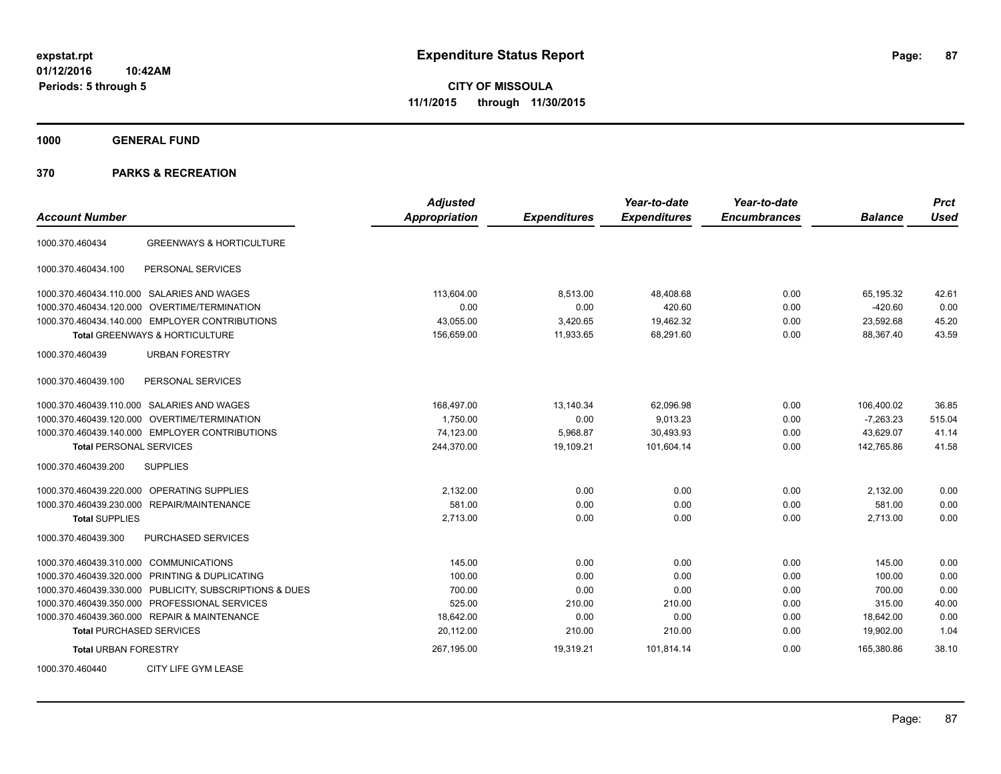**1000 GENERAL FUND**

| <b>Account Number</b>                                   | <b>Adjusted</b><br><b>Appropriation</b> | <b>Expenditures</b> | Year-to-date<br><b>Expenditures</b> | Year-to-date<br><b>Encumbrances</b> | <b>Balance</b> | <b>Prct</b><br><b>Used</b> |
|---------------------------------------------------------|-----------------------------------------|---------------------|-------------------------------------|-------------------------------------|----------------|----------------------------|
|                                                         |                                         |                     |                                     |                                     |                |                            |
| <b>GREENWAYS &amp; HORTICULTURE</b><br>1000.370.460434  |                                         |                     |                                     |                                     |                |                            |
| 1000.370.460434.100<br>PERSONAL SERVICES                |                                         |                     |                                     |                                     |                |                            |
| 1000.370.460434.110.000 SALARIES AND WAGES              | 113,604.00                              | 8,513.00            | 48,408.68                           | 0.00                                | 65,195.32      | 42.61                      |
| 1000.370.460434.120.000 OVERTIME/TERMINATION            | 0.00                                    | 0.00                | 420.60                              | 0.00                                | $-420.60$      | 0.00                       |
| 1000.370.460434.140.000 EMPLOYER CONTRIBUTIONS          | 43.055.00                               | 3,420.65            | 19.462.32                           | 0.00                                | 23.592.68      | 45.20                      |
| Total GREENWAYS & HORTICULTURE                          | 156,659.00                              | 11,933.65           | 68,291.60                           | 0.00                                | 88,367.40      | 43.59                      |
| 1000.370.460439<br><b>URBAN FORESTRY</b>                |                                         |                     |                                     |                                     |                |                            |
| 1000.370.460439.100<br>PERSONAL SERVICES                |                                         |                     |                                     |                                     |                |                            |
| 1000.370.460439.110.000 SALARIES AND WAGES              | 168,497.00                              | 13,140.34           | 62,096.98                           | 0.00                                | 106,400.02     | 36.85                      |
| 1000.370.460439.120.000 OVERTIME/TERMINATION            | 1,750.00                                | 0.00                | 9,013.23                            | 0.00                                | $-7,263.23$    | 515.04                     |
| 1000.370.460439.140.000 EMPLOYER CONTRIBUTIONS          | 74,123.00                               | 5,968.87            | 30,493.93                           | 0.00                                | 43,629.07      | 41.14                      |
| Total PERSONAL SERVICES                                 | 244,370.00                              | 19,109.21           | 101,604.14                          | 0.00                                | 142,765.86     | 41.58                      |
| 1000.370.460439.200<br><b>SUPPLIES</b>                  |                                         |                     |                                     |                                     |                |                            |
| 1000.370.460439.220.000 OPERATING SUPPLIES              | 2,132.00                                | 0.00                | 0.00                                | 0.00                                | 2,132.00       | 0.00                       |
| 1000.370.460439.230.000 REPAIR/MAINTENANCE              | 581.00                                  | 0.00                | 0.00                                | 0.00                                | 581.00         | 0.00                       |
| <b>Total SUPPLIES</b>                                   | 2,713.00                                | 0.00                | 0.00                                | 0.00                                | 2,713.00       | 0.00                       |
| 1000.370.460439.300<br>PURCHASED SERVICES               |                                         |                     |                                     |                                     |                |                            |
| 1000.370.460439.310.000 COMMUNICATIONS                  | 145.00                                  | 0.00                | 0.00                                | 0.00                                | 145.00         | 0.00                       |
| 1000.370.460439.320.000 PRINTING & DUPLICATING          | 100.00                                  | 0.00                | 0.00                                | 0.00                                | 100.00         | 0.00                       |
| 1000.370.460439.330.000 PUBLICITY, SUBSCRIPTIONS & DUES | 700.00                                  | 0.00                | 0.00                                | 0.00                                | 700.00         | 0.00                       |
| 1000.370.460439.350.000 PROFESSIONAL SERVICES           | 525.00                                  | 210.00              | 210.00                              | 0.00                                | 315.00         | 40.00                      |
| 1000.370.460439.360.000 REPAIR & MAINTENANCE            | 18,642.00                               | 0.00                | 0.00                                | 0.00                                | 18,642.00      | 0.00                       |
| <b>Total PURCHASED SERVICES</b>                         | 20,112.00                               | 210.00              | 210.00                              | 0.00                                | 19,902.00      | 1.04                       |
| <b>Total URBAN FORESTRY</b>                             | 267,195.00                              | 19,319.21           | 101,814.14                          | 0.00                                | 165,380.86     | 38.10                      |
| 1000.370.460440<br>CITY LIFE GYM LEASE                  |                                         |                     |                                     |                                     |                |                            |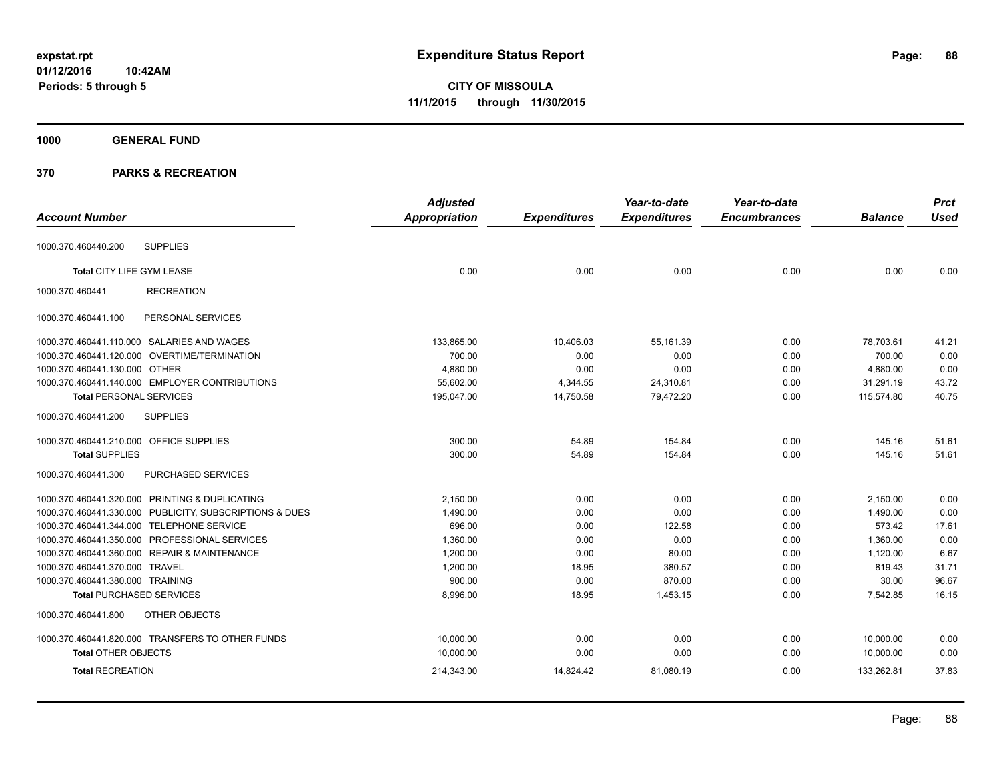# **1000 GENERAL FUND**

|                                                         | <b>Adjusted</b>      |                     | Year-to-date        | Year-to-date        |                | <b>Prct</b> |
|---------------------------------------------------------|----------------------|---------------------|---------------------|---------------------|----------------|-------------|
| <b>Account Number</b>                                   | <b>Appropriation</b> | <b>Expenditures</b> | <b>Expenditures</b> | <b>Encumbrances</b> | <b>Balance</b> | <b>Used</b> |
| <b>SUPPLIES</b><br>1000.370.460440.200                  |                      |                     |                     |                     |                |             |
| Total CITY LIFE GYM LEASE                               | 0.00                 | 0.00                | 0.00                | 0.00                | 0.00           | 0.00        |
| <b>RECREATION</b><br>1000.370.460441                    |                      |                     |                     |                     |                |             |
| PERSONAL SERVICES<br>1000.370.460441.100                |                      |                     |                     |                     |                |             |
| 1000.370.460441.110.000 SALARIES AND WAGES              | 133,865.00           | 10,406.03           | 55,161.39           | 0.00                | 78,703.61      | 41.21       |
| 1000.370.460441.120.000 OVERTIME/TERMINATION            | 700.00               | 0.00                | 0.00                | 0.00                | 700.00         | 0.00        |
| 1000.370.460441.130.000 OTHER                           | 4,880.00             | 0.00                | 0.00                | 0.00                | 4,880.00       | 0.00        |
| 1000.370.460441.140.000 EMPLOYER CONTRIBUTIONS          | 55,602.00            | 4,344.55            | 24,310.81           | 0.00                | 31,291.19      | 43.72       |
| <b>Total PERSONAL SERVICES</b>                          | 195,047.00           | 14,750.58           | 79,472.20           | 0.00                | 115,574.80     | 40.75       |
| 1000.370.460441.200<br><b>SUPPLIES</b>                  |                      |                     |                     |                     |                |             |
| 1000.370.460441.210.000 OFFICE SUPPLIES                 | 300.00               | 54.89               | 154.84              | 0.00                | 145.16         | 51.61       |
| <b>Total SUPPLIES</b>                                   | 300.00               | 54.89               | 154.84              | 0.00                | 145.16         | 51.61       |
| PURCHASED SERVICES<br>1000.370.460441.300               |                      |                     |                     |                     |                |             |
| 1000.370.460441.320.000 PRINTING & DUPLICATING          | 2,150.00             | 0.00                | 0.00                | 0.00                | 2,150.00       | 0.00        |
| 1000.370.460441.330.000 PUBLICITY, SUBSCRIPTIONS & DUES | 1,490.00             | 0.00                | 0.00                | 0.00                | 1,490.00       | 0.00        |
| 1000.370.460441.344.000 TELEPHONE SERVICE               | 696.00               | 0.00                | 122.58              | 0.00                | 573.42         | 17.61       |
| 1000.370.460441.350.000 PROFESSIONAL SERVICES           | 1,360.00             | 0.00                | 0.00                | 0.00                | 1,360.00       | 0.00        |
| 1000.370.460441.360.000 REPAIR & MAINTENANCE            | 1,200.00             | 0.00                | 80.00               | 0.00                | 1,120.00       | 6.67        |
| 1000.370.460441.370.000 TRAVEL                          | 1,200.00             | 18.95               | 380.57              | 0.00                | 819.43         | 31.71       |
| 1000.370.460441.380.000 TRAINING                        | 900.00               | 0.00                | 870.00              | 0.00                | 30.00          | 96.67       |
| <b>Total PURCHASED SERVICES</b>                         | 8,996.00             | 18.95               | 1,453.15            | 0.00                | 7,542.85       | 16.15       |
| OTHER OBJECTS<br>1000.370.460441.800                    |                      |                     |                     |                     |                |             |
| 1000.370.460441.820.000 TRANSFERS TO OTHER FUNDS        | 10,000.00            | 0.00                | 0.00                | 0.00                | 10,000.00      | 0.00        |
| <b>Total OTHER OBJECTS</b>                              | 10,000.00            | 0.00                | 0.00                | 0.00                | 10,000.00      | 0.00        |
| <b>Total RECREATION</b>                                 | 214,343.00           | 14,824.42           | 81,080.19           | 0.00                | 133,262.81     | 37.83       |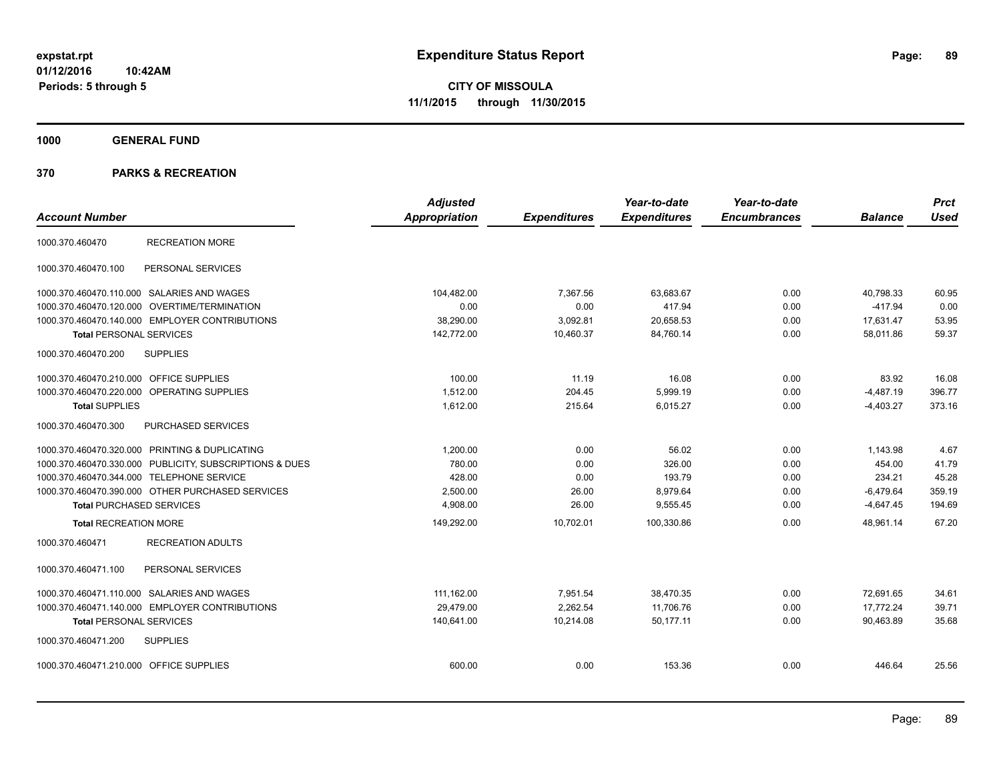**1000 GENERAL FUND**

|                                                  |                                                         | <b>Adjusted</b>      |                     | Year-to-date        | Year-to-date        |                | <b>Prct</b> |
|--------------------------------------------------|---------------------------------------------------------|----------------------|---------------------|---------------------|---------------------|----------------|-------------|
| <b>Account Number</b>                            |                                                         | <b>Appropriation</b> | <b>Expenditures</b> | <b>Expenditures</b> | <b>Encumbrances</b> | <b>Balance</b> | <b>Used</b> |
| 1000.370.460470                                  | <b>RECREATION MORE</b>                                  |                      |                     |                     |                     |                |             |
| 1000.370.460470.100                              | PERSONAL SERVICES                                       |                      |                     |                     |                     |                |             |
| 1000.370.460470.110.000 SALARIES AND WAGES       |                                                         | 104,482.00           | 7,367.56            | 63,683.67           | 0.00                | 40,798.33      | 60.95       |
| 1000.370.460470.120.000 OVERTIME/TERMINATION     |                                                         | 0.00                 | 0.00                | 417.94              | 0.00                | $-417.94$      | 0.00        |
| 1000.370.460470.140.000 EMPLOYER CONTRIBUTIONS   |                                                         | 38,290.00            | 3,092.81            | 20,658.53           | 0.00                | 17,631.47      | 53.95       |
| <b>Total PERSONAL SERVICES</b>                   |                                                         | 142,772.00           | 10,460.37           | 84,760.14           | 0.00                | 58,011.86      | 59.37       |
| 1000.370.460470.200                              | <b>SUPPLIES</b>                                         |                      |                     |                     |                     |                |             |
| 1000.370.460470.210.000                          | <b>OFFICE SUPPLIES</b>                                  | 100.00               | 11.19               | 16.08               | 0.00                | 83.92          | 16.08       |
| 1000.370.460470.220.000 OPERATING SUPPLIES       |                                                         | 1,512.00             | 204.45              | 5,999.19            | 0.00                | $-4,487.19$    | 396.77      |
| <b>Total SUPPLIES</b>                            |                                                         | 1,612.00             | 215.64              | 6,015.27            | 0.00                | $-4,403.27$    | 373.16      |
| 1000.370.460470.300                              | PURCHASED SERVICES                                      |                      |                     |                     |                     |                |             |
| 1000.370.460470.320.000 PRINTING & DUPLICATING   |                                                         | 1,200.00             | 0.00                | 56.02               | 0.00                | 1,143.98       | 4.67        |
|                                                  | 1000.370.460470.330.000 PUBLICITY, SUBSCRIPTIONS & DUES | 780.00               | 0.00                | 326.00              | 0.00                | 454.00         | 41.79       |
| 1000.370.460470.344.000 TELEPHONE SERVICE        |                                                         | 428.00               | 0.00                | 193.79              | 0.00                | 234.21         | 45.28       |
| 1000.370.460470.390.000 OTHER PURCHASED SERVICES |                                                         | 2,500.00             | 26.00               | 8,979.64            | 0.00                | $-6,479.64$    | 359.19      |
| <b>Total PURCHASED SERVICES</b>                  |                                                         | 4,908.00             | 26.00               | 9,555.45            | 0.00                | $-4,647.45$    | 194.69      |
| <b>Total RECREATION MORE</b>                     |                                                         | 149,292.00           | 10,702.01           | 100,330.86          | 0.00                | 48.961.14      | 67.20       |
| 1000.370.460471                                  | <b>RECREATION ADULTS</b>                                |                      |                     |                     |                     |                |             |
| 1000.370.460471.100                              | PERSONAL SERVICES                                       |                      |                     |                     |                     |                |             |
| 1000.370.460471.110.000 SALARIES AND WAGES       |                                                         | 111.162.00           | 7,951.54            | 38,470.35           | 0.00                | 72.691.65      | 34.61       |
| 1000.370.460471.140.000 EMPLOYER CONTRIBUTIONS   |                                                         | 29,479.00            | 2,262.54            | 11,706.76           | 0.00                | 17,772.24      | 39.71       |
| <b>Total PERSONAL SERVICES</b>                   |                                                         | 140,641.00           | 10,214.08           | 50,177.11           | 0.00                | 90,463.89      | 35.68       |
| 1000.370.460471.200                              | <b>SUPPLIES</b>                                         |                      |                     |                     |                     |                |             |
| 1000.370.460471.210.000 OFFICE SUPPLIES          |                                                         | 600.00               | 0.00                | 153.36              | 0.00                | 446.64         | 25.56       |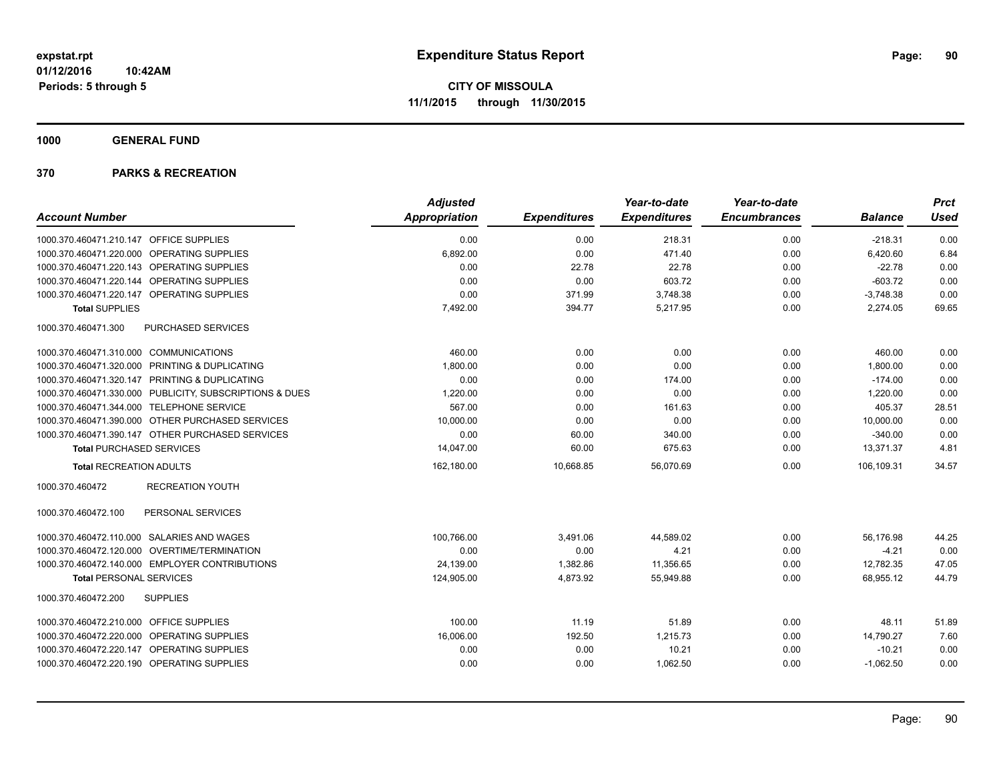**1000 GENERAL FUND**

|                                                         | <b>Adjusted</b> |                     | Year-to-date        | Year-to-date        |                | <b>Prct</b> |
|---------------------------------------------------------|-----------------|---------------------|---------------------|---------------------|----------------|-------------|
| <b>Account Number</b>                                   | Appropriation   | <b>Expenditures</b> | <b>Expenditures</b> | <b>Encumbrances</b> | <b>Balance</b> | <b>Used</b> |
| 1000.370.460471.210.147 OFFICE SUPPLIES                 | 0.00            | 0.00                | 218.31              | 0.00                | $-218.31$      | 0.00        |
| 1000.370.460471.220.000 OPERATING SUPPLIES              | 6,892.00        | 0.00                | 471.40              | 0.00                | 6,420.60       | 6.84        |
| 1000.370.460471.220.143 OPERATING SUPPLIES              | 0.00            | 22.78               | 22.78               | 0.00                | $-22.78$       | 0.00        |
| 1000.370.460471.220.144 OPERATING SUPPLIES              | 0.00            | 0.00                | 603.72              | 0.00                | $-603.72$      | 0.00        |
| 1000.370.460471.220.147 OPERATING SUPPLIES              | 0.00            | 371.99              | 3,748.38            | 0.00                | $-3,748.38$    | 0.00        |
| <b>Total SUPPLIES</b>                                   | 7,492.00        | 394.77              | 5,217.95            | 0.00                | 2,274.05       | 69.65       |
| 1000.370.460471.300<br><b>PURCHASED SERVICES</b>        |                 |                     |                     |                     |                |             |
| 1000.370.460471.310.000 COMMUNICATIONS                  | 460.00          | 0.00                | 0.00                | 0.00                | 460.00         | 0.00        |
| 1000.370.460471.320.000 PRINTING & DUPLICATING          | 1,800.00        | 0.00                | 0.00                | 0.00                | 1,800.00       | 0.00        |
| 1000.370.460471.320.147 PRINTING & DUPLICATING          | 0.00            | 0.00                | 174.00              | 0.00                | $-174.00$      | 0.00        |
| 1000.370.460471.330.000 PUBLICITY, SUBSCRIPTIONS & DUES | 1,220.00        | 0.00                | 0.00                | 0.00                | 1,220.00       | 0.00        |
| 1000.370.460471.344.000 TELEPHONE SERVICE               | 567.00          | 0.00                | 161.63              | 0.00                | 405.37         | 28.51       |
| 1000.370.460471.390.000 OTHER PURCHASED SERVICES        | 10,000.00       | 0.00                | 0.00                | 0.00                | 10,000.00      | 0.00        |
| 1000.370.460471.390.147 OTHER PURCHASED SERVICES        | 0.00            | 60.00               | 340.00              | 0.00                | $-340.00$      | 0.00        |
| <b>Total PURCHASED SERVICES</b>                         | 14,047.00       | 60.00               | 675.63              | 0.00                | 13,371.37      | 4.81        |
| <b>Total RECREATION ADULTS</b>                          | 162,180.00      | 10,668.85           | 56,070.69           | 0.00                | 106,109.31     | 34.57       |
| 1000.370.460472<br><b>RECREATION YOUTH</b>              |                 |                     |                     |                     |                |             |
| PERSONAL SERVICES<br>1000.370.460472.100                |                 |                     |                     |                     |                |             |
| 1000.370.460472.110.000 SALARIES AND WAGES              | 100,766.00      | 3,491.06            | 44,589.02           | 0.00                | 56,176.98      | 44.25       |
| 1000.370.460472.120.000 OVERTIME/TERMINATION            | 0.00            | 0.00                | 4.21                | 0.00                | $-4.21$        | 0.00        |
| 1000.370.460472.140.000 EMPLOYER CONTRIBUTIONS          | 24,139.00       | 1,382.86            | 11,356.65           | 0.00                | 12,782.35      | 47.05       |
| <b>Total PERSONAL SERVICES</b>                          | 124,905.00      | 4,873.92            | 55,949.88           | 0.00                | 68,955.12      | 44.79       |
| 1000.370.460472.200<br><b>SUPPLIES</b>                  |                 |                     |                     |                     |                |             |
| 1000.370.460472.210.000 OFFICE SUPPLIES                 | 100.00          | 11.19               | 51.89               | 0.00                | 48.11          | 51.89       |
| 1000.370.460472.220.000 OPERATING SUPPLIES              | 16,006.00       | 192.50              | 1,215.73            | 0.00                | 14,790.27      | 7.60        |
| 1000.370.460472.220.147 OPERATING SUPPLIES              | 0.00            | 0.00                | 10.21               | 0.00                | $-10.21$       | 0.00        |
| 1000.370.460472.220.190 OPERATING SUPPLIES              | 0.00            | 0.00                | 1,062.50            | 0.00                | $-1,062.50$    | 0.00        |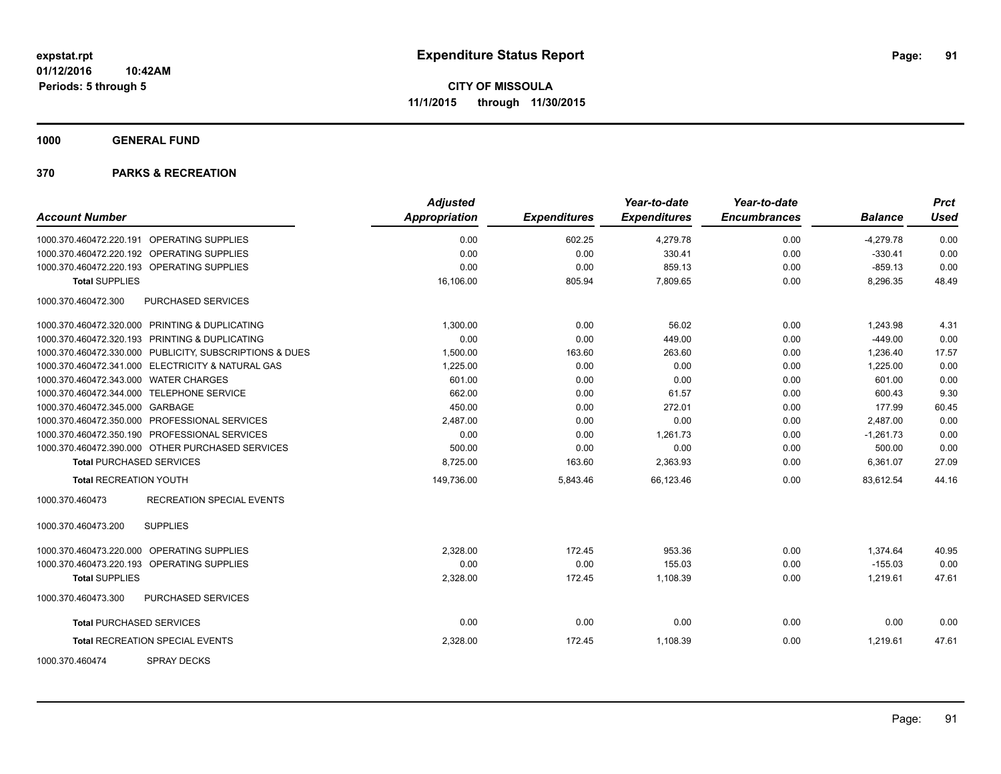**1000 GENERAL FUND**

| <b>Account Number</b>                                   | <b>Adjusted</b><br>Appropriation | <b>Expenditures</b> | Year-to-date<br><b>Expenditures</b> | Year-to-date<br><b>Encumbrances</b> | <b>Balance</b> | <b>Prct</b><br><b>Used</b> |
|---------------------------------------------------------|----------------------------------|---------------------|-------------------------------------|-------------------------------------|----------------|----------------------------|
|                                                         |                                  |                     |                                     |                                     |                |                            |
| 1000.370.460472.220.191 OPERATING SUPPLIES              | 0.00                             | 602.25              | 4,279.78                            | 0.00                                | $-4,279.78$    | 0.00                       |
| 1000.370.460472.220.192 OPERATING SUPPLIES              | 0.00                             | 0.00                | 330.41                              | 0.00                                | $-330.41$      | 0.00                       |
| 1000.370.460472.220.193 OPERATING SUPPLIES              | 0.00                             | 0.00                | 859.13                              | 0.00                                | $-859.13$      | 0.00                       |
| <b>Total SUPPLIES</b>                                   | 16,106.00                        | 805.94              | 7,809.65                            | 0.00                                | 8,296.35       | 48.49                      |
| 1000.370.460472.300<br>PURCHASED SERVICES               |                                  |                     |                                     |                                     |                |                            |
| 1000.370.460472.320.000 PRINTING & DUPLICATING          | 1,300.00                         | 0.00                | 56.02                               | 0.00                                | 1,243.98       | 4.31                       |
| 1000.370.460472.320.193 PRINTING & DUPLICATING          | 0.00                             | 0.00                | 449.00                              | 0.00                                | $-449.00$      | 0.00                       |
| 1000.370.460472.330.000 PUBLICITY, SUBSCRIPTIONS & DUES | 1,500.00                         | 163.60              | 263.60                              | 0.00                                | 1,236.40       | 17.57                      |
| 1000.370.460472.341.000 ELECTRICITY & NATURAL GAS       | 1,225.00                         | 0.00                | 0.00                                | 0.00                                | 1,225.00       | 0.00                       |
| 1000.370.460472.343.000 WATER CHARGES                   | 601.00                           | 0.00                | 0.00                                | 0.00                                | 601.00         | 0.00                       |
| 1000.370.460472.344.000 TELEPHONE SERVICE               | 662.00                           | 0.00                | 61.57                               | 0.00                                | 600.43         | 9.30                       |
| 1000.370.460472.345.000 GARBAGE                         | 450.00                           | 0.00                | 272.01                              | 0.00                                | 177.99         | 60.45                      |
| 1000.370.460472.350.000 PROFESSIONAL SERVICES           | 2.487.00                         | 0.00                | 0.00                                | 0.00                                | 2.487.00       | 0.00                       |
| 1000.370.460472.350.190 PROFESSIONAL SERVICES           | 0.00                             | 0.00                | 1,261.73                            | 0.00                                | $-1.261.73$    | 0.00                       |
| 1000.370.460472.390.000 OTHER PURCHASED SERVICES        | 500.00                           | 0.00                | 0.00                                | 0.00                                | 500.00         | 0.00                       |
| <b>Total PURCHASED SERVICES</b>                         | 8,725.00                         | 163.60              | 2,363.93                            | 0.00                                | 6,361.07       | 27.09                      |
| <b>Total RECREATION YOUTH</b>                           | 149,736.00                       | 5,843.46            | 66,123.46                           | 0.00                                | 83,612.54      | 44.16                      |
| <b>RECREATION SPECIAL EVENTS</b><br>1000.370.460473     |                                  |                     |                                     |                                     |                |                            |
| 1000.370.460473.200<br><b>SUPPLIES</b>                  |                                  |                     |                                     |                                     |                |                            |
| 1000.370.460473.220.000 OPERATING SUPPLIES              | 2,328.00                         | 172.45              | 953.36                              | 0.00                                | 1,374.64       | 40.95                      |
| 1000.370.460473.220.193 OPERATING SUPPLIES              | 0.00                             | 0.00                | 155.03                              | 0.00                                | $-155.03$      | 0.00                       |
| <b>Total SUPPLIES</b>                                   | 2,328.00                         | 172.45              | 1,108.39                            | 0.00                                | 1,219.61       | 47.61                      |
| 1000.370.460473.300<br><b>PURCHASED SERVICES</b>        |                                  |                     |                                     |                                     |                |                            |
| <b>Total PURCHASED SERVICES</b>                         | 0.00                             | 0.00                | 0.00                                | 0.00                                | 0.00           | 0.00                       |
| <b>Total RECREATION SPECIAL EVENTS</b>                  | 2,328.00                         | 172.45              | 1,108.39                            | 0.00                                | 1,219.61       | 47.61                      |
| 1000.370.460474<br><b>SPRAY DECKS</b>                   |                                  |                     |                                     |                                     |                |                            |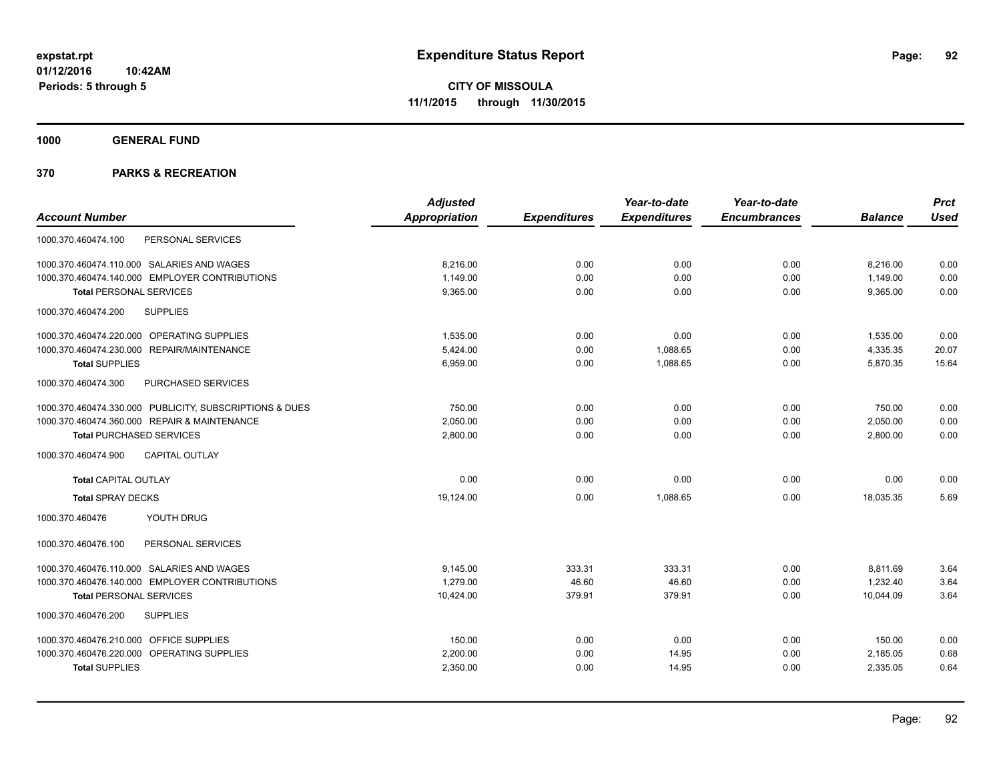**1000 GENERAL FUND**

|                                                         | <b>Adjusted</b>      |                     | Year-to-date        | Year-to-date        |                | <b>Prct</b> |
|---------------------------------------------------------|----------------------|---------------------|---------------------|---------------------|----------------|-------------|
| <b>Account Number</b>                                   | <b>Appropriation</b> | <b>Expenditures</b> | <b>Expenditures</b> | <b>Encumbrances</b> | <b>Balance</b> | <b>Used</b> |
| 1000.370.460474.100<br>PERSONAL SERVICES                |                      |                     |                     |                     |                |             |
| 1000.370.460474.110.000 SALARIES AND WAGES              | 8.216.00             | 0.00                | 0.00                | 0.00                | 8,216.00       | 0.00        |
| 1000.370.460474.140.000 EMPLOYER CONTRIBUTIONS          | 1,149.00             | 0.00                | 0.00                | 0.00                | 1,149.00       | 0.00        |
| <b>Total PERSONAL SERVICES</b>                          | 9,365.00             | 0.00                | 0.00                | 0.00                | 9,365.00       | 0.00        |
| 1000.370.460474.200<br><b>SUPPLIES</b>                  |                      |                     |                     |                     |                |             |
| 1000.370.460474.220.000 OPERATING SUPPLIES              | 1,535.00             | 0.00                | 0.00                | 0.00                | 1,535.00       | 0.00        |
| 1000.370.460474.230.000 REPAIR/MAINTENANCE              | 5,424.00             | 0.00                | 1,088.65            | 0.00                | 4,335.35       | 20.07       |
| <b>Total SUPPLIES</b>                                   | 6,959.00             | 0.00                | 1,088.65            | 0.00                | 5,870.35       | 15.64       |
| PURCHASED SERVICES<br>1000.370.460474.300               |                      |                     |                     |                     |                |             |
| 1000.370.460474.330.000 PUBLICITY, SUBSCRIPTIONS & DUES | 750.00               | 0.00                | 0.00                | 0.00                | 750.00         | 0.00        |
| 1000.370.460474.360.000 REPAIR & MAINTENANCE            | 2,050.00             | 0.00                | 0.00                | 0.00                | 2,050.00       | 0.00        |
| <b>Total PURCHASED SERVICES</b>                         | 2,800.00             | 0.00                | 0.00                | 0.00                | 2,800.00       | 0.00        |
| <b>CAPITAL OUTLAY</b><br>1000.370.460474.900            |                      |                     |                     |                     |                |             |
| <b>Total CAPITAL OUTLAY</b>                             | 0.00                 | 0.00                | 0.00                | 0.00                | 0.00           | 0.00        |
| <b>Total SPRAY DECKS</b>                                | 19,124.00            | 0.00                | 1,088.65            | 0.00                | 18,035.35      | 5.69        |
| YOUTH DRUG<br>1000.370.460476                           |                      |                     |                     |                     |                |             |
| 1000.370.460476.100<br>PERSONAL SERVICES                |                      |                     |                     |                     |                |             |
| 1000.370.460476.110.000 SALARIES AND WAGES              | 9.145.00             | 333.31              | 333.31              | 0.00                | 8,811.69       | 3.64        |
| 1000.370.460476.140.000 EMPLOYER CONTRIBUTIONS          | 1,279.00             | 46.60               | 46.60               | 0.00                | 1,232.40       | 3.64        |
| <b>Total PERSONAL SERVICES</b>                          | 10,424.00            | 379.91              | 379.91              | 0.00                | 10,044.09      | 3.64        |
| 1000.370.460476.200<br><b>SUPPLIES</b>                  |                      |                     |                     |                     |                |             |
| 1000.370.460476.210.000 OFFICE SUPPLIES                 | 150.00               | 0.00                | 0.00                | 0.00                | 150.00         | 0.00        |
| 1000.370.460476.220.000 OPERATING SUPPLIES              | 2,200.00             | 0.00                | 14.95               | 0.00                | 2,185.05       | 0.68        |
| <b>Total SUPPLIES</b>                                   | 2,350.00             | 0.00                | 14.95               | 0.00                | 2,335.05       | 0.64        |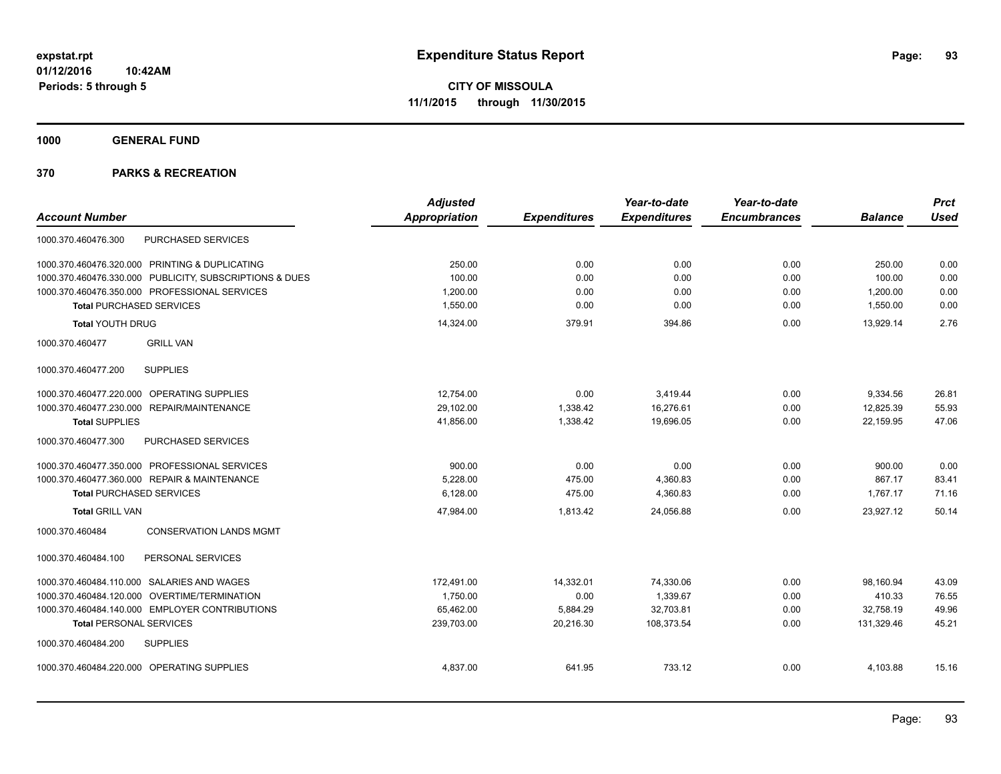**1000 GENERAL FUND**

|                                                         | <b>Adjusted</b>      |                     | Year-to-date        | Year-to-date        |                | <b>Prct</b> |
|---------------------------------------------------------|----------------------|---------------------|---------------------|---------------------|----------------|-------------|
| <b>Account Number</b>                                   | <b>Appropriation</b> | <b>Expenditures</b> | <b>Expenditures</b> | <b>Encumbrances</b> | <b>Balance</b> | <b>Used</b> |
| <b>PURCHASED SERVICES</b><br>1000.370.460476.300        |                      |                     |                     |                     |                |             |
| 1000.370.460476.320.000 PRINTING & DUPLICATING          | 250.00               | 0.00                | 0.00                | 0.00                | 250.00         | 0.00        |
| 1000.370.460476.330.000 PUBLICITY, SUBSCRIPTIONS & DUES | 100.00               | 0.00                | 0.00                | 0.00                | 100.00         | 0.00        |
| 1000.370.460476.350.000 PROFESSIONAL SERVICES           | 1,200.00             | 0.00                | 0.00                | 0.00                | 1.200.00       | 0.00        |
| <b>Total PURCHASED SERVICES</b>                         | 1,550.00             | 0.00                | 0.00                | 0.00                | 1,550.00       | 0.00        |
| <b>Total YOUTH DRUG</b>                                 | 14,324.00            | 379.91              | 394.86              | 0.00                | 13.929.14      | 2.76        |
| <b>GRILL VAN</b><br>1000.370.460477                     |                      |                     |                     |                     |                |             |
| <b>SUPPLIES</b><br>1000.370.460477.200                  |                      |                     |                     |                     |                |             |
| 1000.370.460477.220.000 OPERATING SUPPLIES              | 12.754.00            | 0.00                | 3,419.44            | 0.00                | 9,334.56       | 26.81       |
| 1000.370.460477.230.000 REPAIR/MAINTENANCE              | 29,102.00            | 1,338.42            | 16,276.61           | 0.00                | 12,825.39      | 55.93       |
| <b>Total SUPPLIES</b>                                   | 41,856.00            | 1,338.42            | 19,696.05           | 0.00                | 22,159.95      | 47.06       |
| 1000.370.460477.300<br>PURCHASED SERVICES               |                      |                     |                     |                     |                |             |
| 1000.370.460477.350.000 PROFESSIONAL SERVICES           | 900.00               | 0.00                | 0.00                | 0.00                | 900.00         | 0.00        |
| 1000.370.460477.360.000 REPAIR & MAINTENANCE            | 5.228.00             | 475.00              | 4,360.83            | 0.00                | 867.17         | 83.41       |
| <b>Total PURCHASED SERVICES</b>                         | 6,128.00             | 475.00              | 4,360.83            | 0.00                | 1,767.17       | 71.16       |
| <b>Total GRILL VAN</b>                                  | 47.984.00            | 1.813.42            | 24.056.88           | 0.00                | 23.927.12      | 50.14       |
| 1000.370.460484<br><b>CONSERVATION LANDS MGMT</b>       |                      |                     |                     |                     |                |             |
| PERSONAL SERVICES<br>1000.370.460484.100                |                      |                     |                     |                     |                |             |
| 1000.370.460484.110.000 SALARIES AND WAGES              | 172.491.00           | 14,332.01           | 74,330.06           | 0.00                | 98.160.94      | 43.09       |
| 1000.370.460484.120.000 OVERTIME/TERMINATION            | 1,750.00             | 0.00                | 1,339.67            | 0.00                | 410.33         | 76.55       |
| 1000.370.460484.140.000 EMPLOYER CONTRIBUTIONS          | 65,462.00            | 5,884.29            | 32,703.81           | 0.00                | 32,758.19      | 49.96       |
| <b>Total PERSONAL SERVICES</b>                          | 239,703.00           | 20,216.30           | 108,373.54          | 0.00                | 131,329.46     | 45.21       |
| 1000.370.460484.200<br><b>SUPPLIES</b>                  |                      |                     |                     |                     |                |             |
| 1000.370.460484.220.000 OPERATING SUPPLIES              | 4.837.00             | 641.95              | 733.12              | 0.00                | 4,103.88       | 15.16       |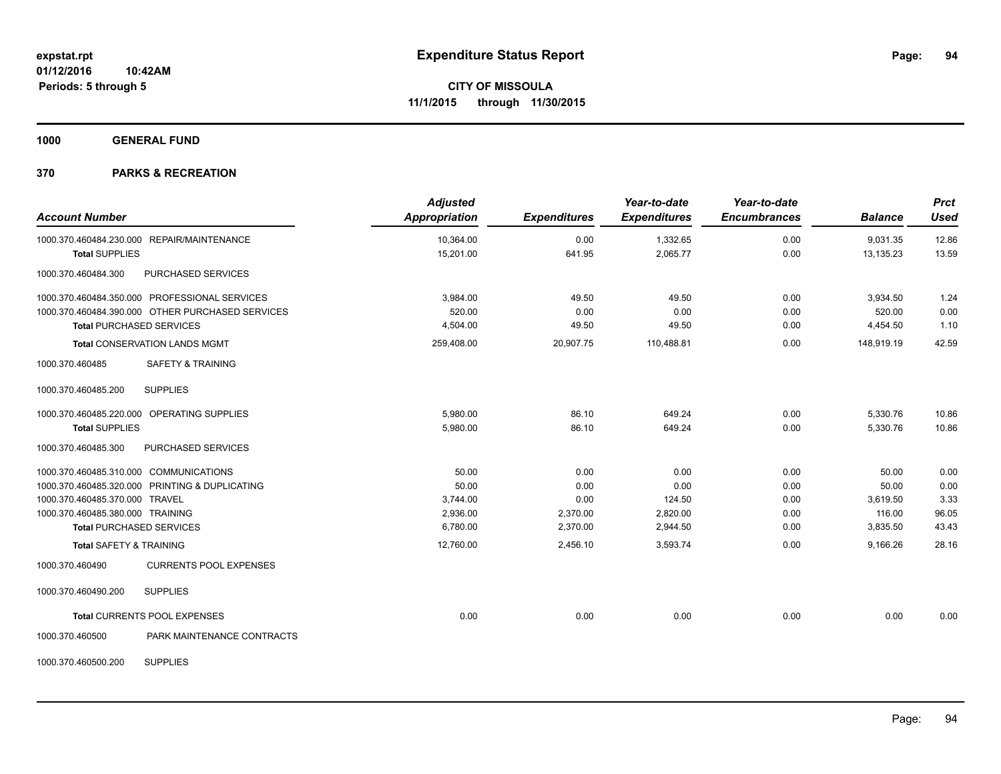**1000 GENERAL FUND**

## **370 PARKS & RECREATION**

| <b>Account Number</b>                            | <b>Adjusted</b><br><b>Appropriation</b> | <b>Expenditures</b> | Year-to-date<br><b>Expenditures</b> | Year-to-date<br><b>Encumbrances</b> | <b>Balance</b> | <b>Prct</b><br><b>Used</b> |
|--------------------------------------------------|-----------------------------------------|---------------------|-------------------------------------|-------------------------------------|----------------|----------------------------|
| 1000.370.460484.230.000 REPAIR/MAINTENANCE       | 10,364.00                               | 0.00                | 1,332.65                            | 0.00                                | 9,031.35       | 12.86                      |
| <b>Total SUPPLIES</b>                            | 15,201.00                               | 641.95              | 2,065.77                            | 0.00                                | 13,135.23      | 13.59                      |
| PURCHASED SERVICES<br>1000.370.460484.300        |                                         |                     |                                     |                                     |                |                            |
| 1000.370.460484.350.000 PROFESSIONAL SERVICES    | 3,984.00                                | 49.50               | 49.50                               | 0.00                                | 3,934.50       | 1.24                       |
| 1000.370.460484.390.000 OTHER PURCHASED SERVICES | 520.00                                  | 0.00                | 0.00                                | 0.00                                | 520.00         | 0.00                       |
| <b>Total PURCHASED SERVICES</b>                  | 4,504.00                                | 49.50               | 49.50                               | 0.00                                | 4,454.50       | 1.10                       |
| Total CONSERVATION LANDS MGMT                    | 259,408.00                              | 20,907.75           | 110,488.81                          | 0.00                                | 148,919.19     | 42.59                      |
| 1000.370.460485<br><b>SAFETY &amp; TRAINING</b>  |                                         |                     |                                     |                                     |                |                            |
| <b>SUPPLIES</b><br>1000.370.460485.200           |                                         |                     |                                     |                                     |                |                            |
| 1000.370.460485.220.000 OPERATING SUPPLIES       | 5.980.00                                | 86.10               | 649.24                              | 0.00                                | 5,330.76       | 10.86                      |
| <b>Total SUPPLIES</b>                            | 5,980.00                                | 86.10               | 649.24                              | 0.00                                | 5,330.76       | 10.86                      |
| PURCHASED SERVICES<br>1000.370.460485.300        |                                         |                     |                                     |                                     |                |                            |
| 1000.370.460485.310.000 COMMUNICATIONS           | 50.00                                   | 0.00                | 0.00                                | 0.00                                | 50.00          | 0.00                       |
| 1000.370.460485.320.000 PRINTING & DUPLICATING   | 50.00                                   | 0.00                | 0.00                                | 0.00                                | 50.00          | 0.00                       |
| 1000.370.460485.370.000 TRAVEL                   | 3,744.00                                | 0.00                | 124.50                              | 0.00                                | 3,619.50       | 3.33                       |
| 1000.370.460485.380.000 TRAINING                 | 2,936.00                                | 2,370.00            | 2,820.00                            | 0.00                                | 116.00         | 96.05                      |
| <b>Total PURCHASED SERVICES</b>                  | 6,780.00                                | 2,370.00            | 2,944.50                            | 0.00                                | 3,835.50       | 43.43                      |
| <b>Total SAFETY &amp; TRAINING</b>               | 12,760.00                               | 2,456.10            | 3,593.74                            | 0.00                                | 9,166.26       | 28.16                      |
| <b>CURRENTS POOL EXPENSES</b><br>1000.370.460490 |                                         |                     |                                     |                                     |                |                            |
| 1000.370.460490.200<br><b>SUPPLIES</b>           |                                         |                     |                                     |                                     |                |                            |
| Total CURRENTS POOL EXPENSES                     | 0.00                                    | 0.00                | 0.00                                | 0.00                                | 0.00           | 0.00                       |
| PARK MAINTENANCE CONTRACTS<br>1000.370.460500    |                                         |                     |                                     |                                     |                |                            |

1000.370.460500.200 SUPPLIES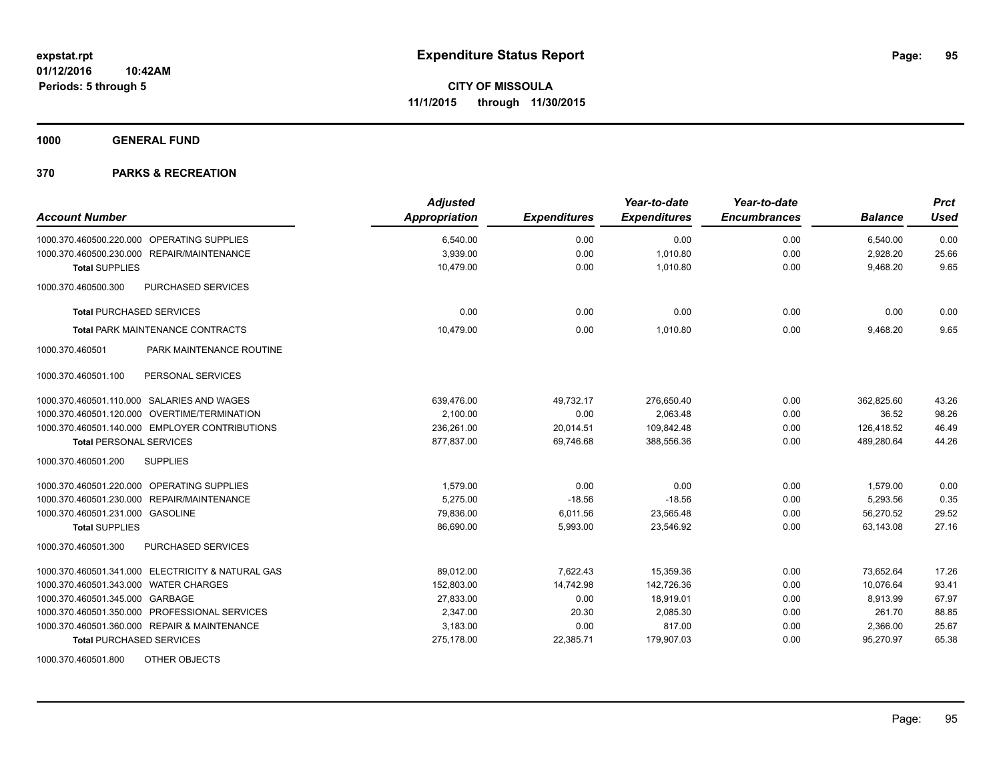**1000 GENERAL FUND**

## **370 PARKS & RECREATION**

| <b>Account Number</b>                             | <b>Adjusted</b><br>Appropriation | <b>Expenditures</b> | Year-to-date<br><b>Expenditures</b> | Year-to-date<br><b>Encumbrances</b> | <b>Balance</b> | <b>Prct</b><br><b>Used</b> |
|---------------------------------------------------|----------------------------------|---------------------|-------------------------------------|-------------------------------------|----------------|----------------------------|
| 1000.370.460500.220.000 OPERATING SUPPLIES        | 6,540.00                         | 0.00                | 0.00                                | 0.00                                | 6,540.00       | 0.00                       |
| 1000.370.460500.230.000 REPAIR/MAINTENANCE        | 3,939.00                         | 0.00                | 1,010.80                            | 0.00                                | 2,928.20       | 25.66                      |
| <b>Total SUPPLIES</b>                             | 10.479.00                        | 0.00                | 1,010.80                            | 0.00                                | 9,468.20       | 9.65                       |
| 1000.370.460500.300<br>PURCHASED SERVICES         |                                  |                     |                                     |                                     |                |                            |
| <b>Total PURCHASED SERVICES</b>                   | 0.00                             | 0.00                | 0.00                                | 0.00                                | 0.00           | 0.00                       |
| <b>Total PARK MAINTENANCE CONTRACTS</b>           | 10,479.00                        | 0.00                | 1,010.80                            | 0.00                                | 9,468.20       | 9.65                       |
| 1000.370.460501<br>PARK MAINTENANCE ROUTINE       |                                  |                     |                                     |                                     |                |                            |
| 1000.370.460501.100<br>PERSONAL SERVICES          |                                  |                     |                                     |                                     |                |                            |
| 1000.370.460501.110.000 SALARIES AND WAGES        | 639.476.00                       | 49.732.17           | 276.650.40                          | 0.00                                | 362.825.60     | 43.26                      |
| 1000.370.460501.120.000 OVERTIME/TERMINATION      | 2,100.00                         | 0.00                | 2,063.48                            | 0.00                                | 36.52          | 98.26                      |
| 1000.370.460501.140.000 EMPLOYER CONTRIBUTIONS    | 236,261.00                       | 20,014.51           | 109,842.48                          | 0.00                                | 126,418.52     | 46.49                      |
| <b>Total PERSONAL SERVICES</b>                    | 877,837.00                       | 69.746.68           | 388,556.36                          | 0.00                                | 489,280.64     | 44.26                      |
| 1000.370.460501.200<br><b>SUPPLIES</b>            |                                  |                     |                                     |                                     |                |                            |
| 1000.370.460501.220.000 OPERATING SUPPLIES        | 1,579.00                         | 0.00                | 0.00                                | 0.00                                | 1,579.00       | 0.00                       |
| 1000.370.460501.230.000 REPAIR/MAINTENANCE        | 5,275.00                         | $-18.56$            | $-18.56$                            | 0.00                                | 5,293.56       | 0.35                       |
| 1000.370.460501.231.000 GASOLINE                  | 79,836.00                        | 6,011.56            | 23,565.48                           | 0.00                                | 56,270.52      | 29.52                      |
| <b>Total SUPPLIES</b>                             | 86,690.00                        | 5,993.00            | 23,546.92                           | 0.00                                | 63,143.08      | 27.16                      |
| 1000.370.460501.300<br><b>PURCHASED SERVICES</b>  |                                  |                     |                                     |                                     |                |                            |
| 1000.370.460501.341.000 ELECTRICITY & NATURAL GAS | 89,012.00                        | 7,622.43            | 15,359.36                           | 0.00                                | 73,652.64      | 17.26                      |
| 1000.370.460501.343.000 WATER CHARGES             | 152,803.00                       | 14,742.98           | 142,726.36                          | 0.00                                | 10,076.64      | 93.41                      |
| 1000.370.460501.345.000 GARBAGE                   | 27,833.00                        | 0.00                | 18,919.01                           | 0.00                                | 8,913.99       | 67.97                      |
| 1000.370.460501.350.000 PROFESSIONAL SERVICES     | 2,347.00                         | 20.30               | 2,085.30                            | 0.00                                | 261.70         | 88.85                      |
| 1000.370.460501.360.000 REPAIR & MAINTENANCE      | 3,183.00                         | 0.00                | 817.00                              | 0.00                                | 2,366.00       | 25.67                      |
| <b>Total PURCHASED SERVICES</b>                   | 275,178.00                       | 22,385.71           | 179,907.03                          | 0.00                                | 95,270.97      | 65.38                      |

1000.370.460501.800 OTHER OBJECTS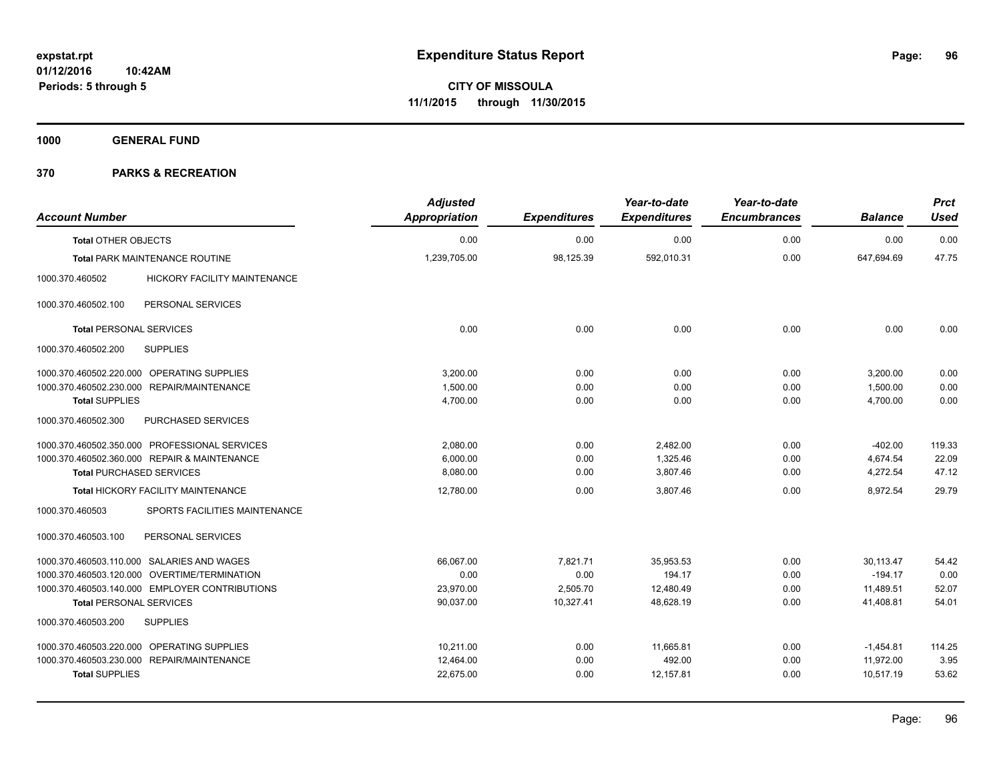**1000 GENERAL FUND**

| <b>Account Number</b>                      |                                                | <b>Adjusted</b><br><b>Appropriation</b> | <b>Expenditures</b> | Year-to-date<br><b>Expenditures</b> | Year-to-date<br><b>Encumbrances</b> | <b>Balance</b> | <b>Prct</b><br><b>Used</b> |
|--------------------------------------------|------------------------------------------------|-----------------------------------------|---------------------|-------------------------------------|-------------------------------------|----------------|----------------------------|
| <b>Total OTHER OBJECTS</b>                 |                                                | 0.00                                    | 0.00                | 0.00                                | 0.00                                | 0.00           | 0.00                       |
|                                            | Total PARK MAINTENANCE ROUTINE                 | 1,239,705.00                            | 98,125.39           | 592,010.31                          | 0.00                                | 647,694.69     | 47.75                      |
| 1000.370.460502                            | <b>HICKORY FACILITY MAINTENANCE</b>            |                                         |                     |                                     |                                     |                |                            |
| 1000.370.460502.100                        | PERSONAL SERVICES                              |                                         |                     |                                     |                                     |                |                            |
| <b>Total PERSONAL SERVICES</b>             |                                                | 0.00                                    | 0.00                | 0.00                                | 0.00                                | 0.00           | 0.00                       |
| 1000.370.460502.200                        | <b>SUPPLIES</b>                                |                                         |                     |                                     |                                     |                |                            |
| 1000.370.460502.220.000 OPERATING SUPPLIES |                                                | 3,200.00                                | 0.00                | 0.00                                | 0.00                                | 3,200.00       | 0.00                       |
| 1000.370.460502.230.000 REPAIR/MAINTENANCE |                                                | 1,500.00                                | 0.00                | 0.00                                | 0.00                                | 1,500.00       | 0.00                       |
| <b>Total SUPPLIES</b>                      |                                                | 4,700.00                                | 0.00                | 0.00                                | 0.00                                | 4,700.00       | 0.00                       |
| 1000.370.460502.300                        | PURCHASED SERVICES                             |                                         |                     |                                     |                                     |                |                            |
|                                            | 1000.370.460502.350.000 PROFESSIONAL SERVICES  | 2,080.00                                | 0.00                | 2,482.00                            | 0.00                                | $-402.00$      | 119.33                     |
|                                            | 1000.370.460502.360.000 REPAIR & MAINTENANCE   | 6,000.00                                | 0.00                | 1,325.46                            | 0.00                                | 4,674.54       | 22.09                      |
| <b>Total PURCHASED SERVICES</b>            |                                                | 8,080.00                                | 0.00                | 3,807.46                            | 0.00                                | 4,272.54       | 47.12                      |
|                                            | Total HICKORY FACILITY MAINTENANCE             | 12,780.00                               | 0.00                | 3.807.46                            | 0.00                                | 8.972.54       | 29.79                      |
| 1000.370.460503                            | SPORTS FACILITIES MAINTENANCE                  |                                         |                     |                                     |                                     |                |                            |
| 1000.370.460503.100                        | PERSONAL SERVICES                              |                                         |                     |                                     |                                     |                |                            |
| 1000.370.460503.110.000 SALARIES AND WAGES |                                                | 66,067.00                               | 7,821.71            | 35,953.53                           | 0.00                                | 30,113.47      | 54.42                      |
|                                            | 1000.370.460503.120.000 OVERTIME/TERMINATION   | 0.00                                    | 0.00                | 194.17                              | 0.00                                | $-194.17$      | 0.00                       |
|                                            | 1000.370.460503.140.000 EMPLOYER CONTRIBUTIONS | 23,970.00                               | 2,505.70            | 12,480.49                           | 0.00                                | 11,489.51      | 52.07                      |
| <b>Total PERSONAL SERVICES</b>             |                                                | 90,037.00                               | 10,327.41           | 48.628.19                           | 0.00                                | 41,408.81      | 54.01                      |
| 1000.370.460503.200                        | <b>SUPPLIES</b>                                |                                         |                     |                                     |                                     |                |                            |
| 1000.370.460503.220.000 OPERATING SUPPLIES |                                                | 10.211.00                               | 0.00                | 11,665.81                           | 0.00                                | $-1,454.81$    | 114.25                     |
| 1000.370.460503.230.000 REPAIR/MAINTENANCE |                                                | 12,464.00                               | 0.00                | 492.00                              | 0.00                                | 11,972.00      | 3.95                       |
| <b>Total SUPPLIES</b>                      |                                                | 22,675.00                               | 0.00                | 12,157.81                           | 0.00                                | 10,517.19      | 53.62                      |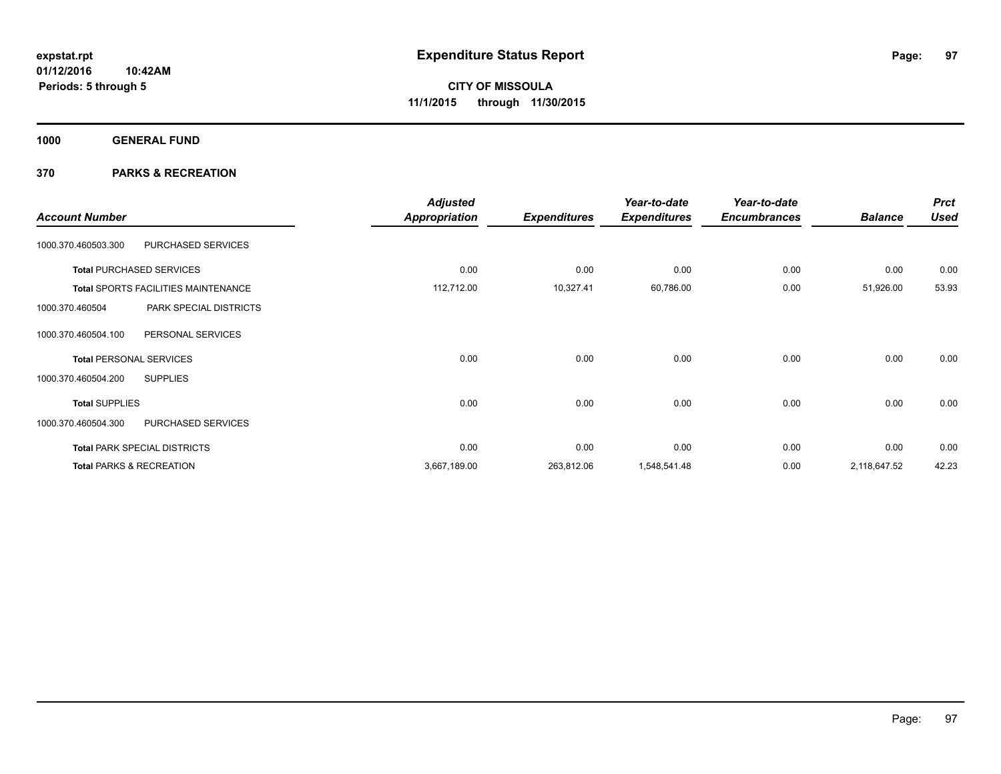**1000 GENERAL FUND**

| <b>Account Number</b>               |                                            | <b>Adjusted</b><br>Appropriation | <b>Expenditures</b> | Year-to-date<br><b>Expenditures</b> | Year-to-date<br><b>Encumbrances</b> | <b>Balance</b> | <b>Prct</b><br><b>Used</b> |
|-------------------------------------|--------------------------------------------|----------------------------------|---------------------|-------------------------------------|-------------------------------------|----------------|----------------------------|
| 1000.370.460503.300                 | PURCHASED SERVICES                         |                                  |                     |                                     |                                     |                |                            |
|                                     | <b>Total PURCHASED SERVICES</b>            | 0.00                             | 0.00                | 0.00                                | 0.00                                | 0.00           | 0.00                       |
|                                     | <b>Total SPORTS FACILITIES MAINTENANCE</b> | 112,712.00                       | 10,327.41           | 60,786.00                           | 0.00                                | 51,926.00      | 53.93                      |
| 1000.370.460504                     | PARK SPECIAL DISTRICTS                     |                                  |                     |                                     |                                     |                |                            |
| 1000.370.460504.100                 | PERSONAL SERVICES                          |                                  |                     |                                     |                                     |                |                            |
| <b>Total PERSONAL SERVICES</b>      |                                            | 0.00                             | 0.00                | 0.00                                | 0.00                                | 0.00           | 0.00                       |
| 1000.370.460504.200                 | <b>SUPPLIES</b>                            |                                  |                     |                                     |                                     |                |                            |
| <b>Total SUPPLIES</b>               |                                            | 0.00                             | 0.00                | 0.00                                | 0.00                                | 0.00           | 0.00                       |
| 1000.370.460504.300                 | PURCHASED SERVICES                         |                                  |                     |                                     |                                     |                |                            |
|                                     | <b>Total PARK SPECIAL DISTRICTS</b>        | 0.00                             | 0.00                | 0.00                                | 0.00                                | 0.00           | 0.00                       |
| <b>Total PARKS &amp; RECREATION</b> |                                            | 3,667,189.00                     | 263,812.06          | 1,548,541.48                        | 0.00                                | 2,118,647.52   | 42.23                      |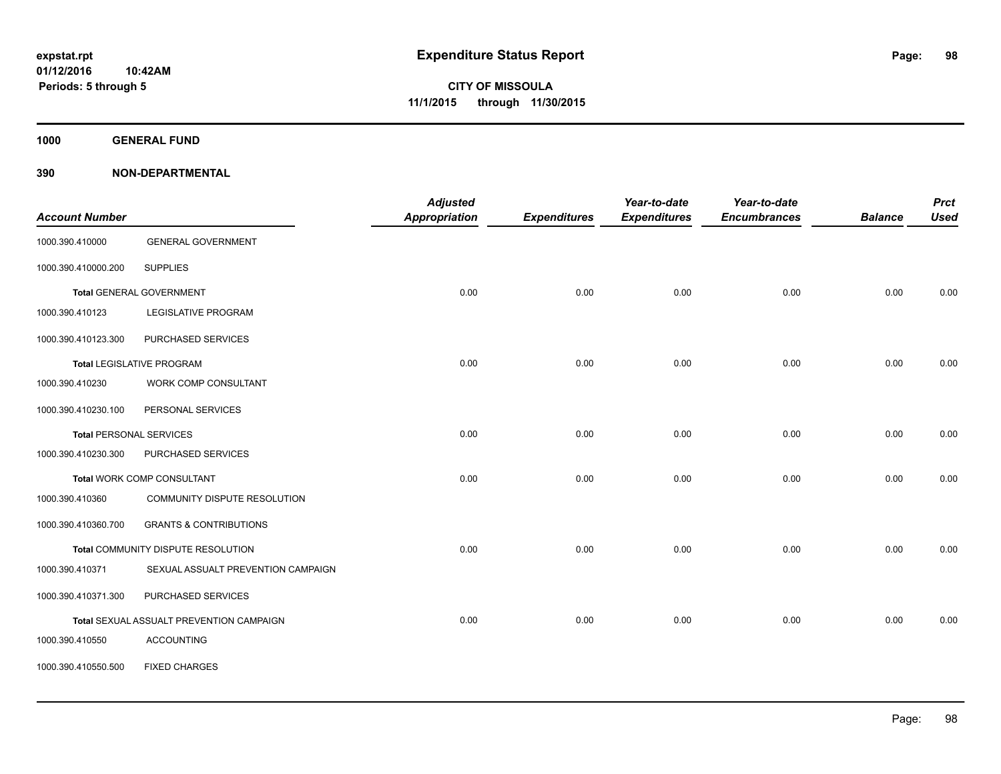**1000 GENERAL FUND**

| <b>Account Number</b> |                                          | <b>Adjusted</b><br><b>Appropriation</b> | <b>Expenditures</b> | Year-to-date<br><b>Expenditures</b> | Year-to-date<br><b>Encumbrances</b> | <b>Balance</b> | <b>Prct</b><br><b>Used</b> |
|-----------------------|------------------------------------------|-----------------------------------------|---------------------|-------------------------------------|-------------------------------------|----------------|----------------------------|
| 1000.390.410000       | <b>GENERAL GOVERNMENT</b>                |                                         |                     |                                     |                                     |                |                            |
| 1000.390.410000.200   | <b>SUPPLIES</b>                          |                                         |                     |                                     |                                     |                |                            |
|                       | <b>Total GENERAL GOVERNMENT</b>          | 0.00                                    | 0.00                | 0.00                                | 0.00                                | 0.00           | 0.00                       |
| 1000.390.410123       | <b>LEGISLATIVE PROGRAM</b>               |                                         |                     |                                     |                                     |                |                            |
| 1000.390.410123.300   | PURCHASED SERVICES                       |                                         |                     |                                     |                                     |                |                            |
|                       | <b>Total LEGISLATIVE PROGRAM</b>         | 0.00                                    | 0.00                | 0.00                                | 0.00                                | 0.00           | 0.00                       |
| 1000.390.410230       | <b>WORK COMP CONSULTANT</b>              |                                         |                     |                                     |                                     |                |                            |
| 1000.390.410230.100   | PERSONAL SERVICES                        |                                         |                     |                                     |                                     |                |                            |
|                       | <b>Total PERSONAL SERVICES</b>           | 0.00                                    | 0.00                | 0.00                                | 0.00                                | 0.00           | 0.00                       |
| 1000.390.410230.300   | PURCHASED SERVICES                       |                                         |                     |                                     |                                     |                |                            |
|                       | Total WORK COMP CONSULTANT               | 0.00                                    | 0.00                | 0.00                                | 0.00                                | 0.00           | 0.00                       |
| 1000.390.410360       | COMMUNITY DISPUTE RESOLUTION             |                                         |                     |                                     |                                     |                |                            |
| 1000.390.410360.700   | <b>GRANTS &amp; CONTRIBUTIONS</b>        |                                         |                     |                                     |                                     |                |                            |
|                       | Total COMMUNITY DISPUTE RESOLUTION       | 0.00                                    | 0.00                | 0.00                                | 0.00                                | 0.00           | 0.00                       |
| 1000.390.410371       | SEXUAL ASSUALT PREVENTION CAMPAIGN       |                                         |                     |                                     |                                     |                |                            |
| 1000.390.410371.300   | PURCHASED SERVICES                       |                                         |                     |                                     |                                     |                |                            |
|                       | Total SEXUAL ASSUALT PREVENTION CAMPAIGN | 0.00                                    | 0.00                | 0.00                                | 0.00                                | 0.00           | 0.00                       |
| 1000.390.410550       | <b>ACCOUNTING</b>                        |                                         |                     |                                     |                                     |                |                            |
| 1000.390.410550.500   | <b>FIXED CHARGES</b>                     |                                         |                     |                                     |                                     |                |                            |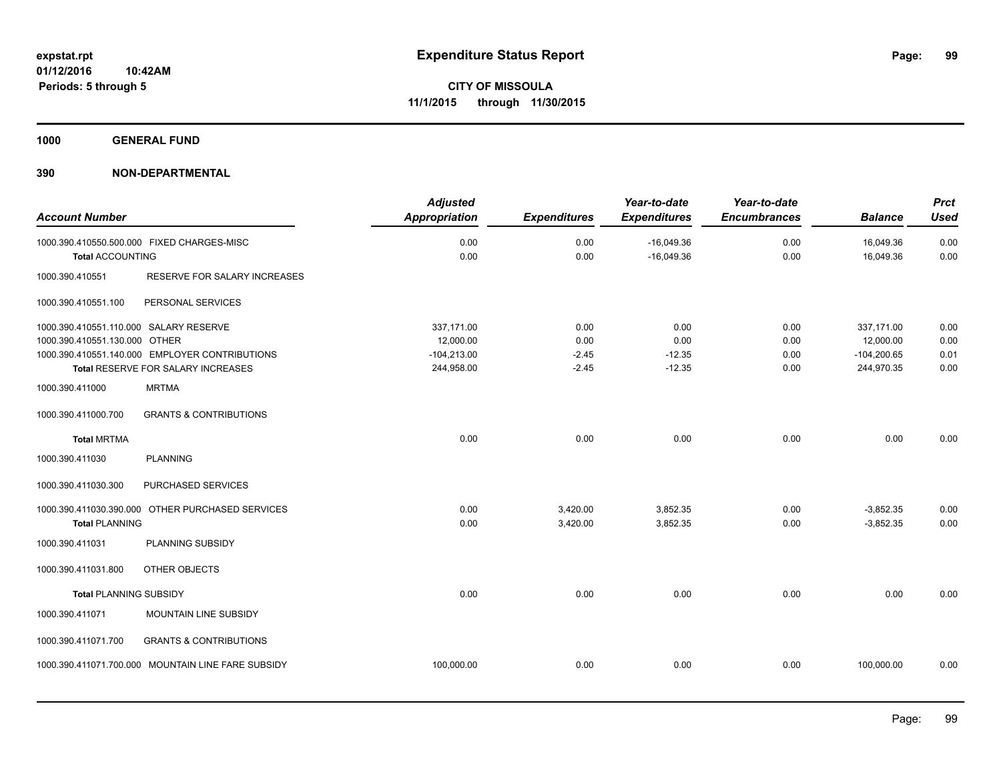**1000 GENERAL FUND**

|                                        |                                                    | <b>Adjusted</b>      |                     | Year-to-date        | Year-to-date        |                | <b>Prct</b> |
|----------------------------------------|----------------------------------------------------|----------------------|---------------------|---------------------|---------------------|----------------|-------------|
| <b>Account Number</b>                  |                                                    | <b>Appropriation</b> | <b>Expenditures</b> | <b>Expenditures</b> | <b>Encumbrances</b> | <b>Balance</b> | <b>Used</b> |
|                                        | 1000.390.410550.500.000 FIXED CHARGES-MISC         | 0.00                 | 0.00                | $-16,049.36$        | 0.00                | 16,049.36      | 0.00        |
| <b>Total ACCOUNTING</b>                |                                                    | 0.00                 | 0.00                | $-16,049.36$        | 0.00                | 16,049.36      | 0.00        |
| 1000.390.410551                        | RESERVE FOR SALARY INCREASES                       |                      |                     |                     |                     |                |             |
| 1000.390.410551.100                    | PERSONAL SERVICES                                  |                      |                     |                     |                     |                |             |
| 1000.390.410551.110.000 SALARY RESERVE |                                                    | 337,171.00           | 0.00                | 0.00                | 0.00                | 337,171.00     | 0.00        |
| 1000.390.410551.130.000 OTHER          |                                                    | 12,000.00            | 0.00                | 0.00                | 0.00                | 12,000.00      | 0.00        |
|                                        | 1000.390.410551.140.000 EMPLOYER CONTRIBUTIONS     | $-104,213.00$        | $-2.45$             | $-12.35$            | 0.00                | $-104,200.65$  | 0.01        |
|                                        | Total RESERVE FOR SALARY INCREASES                 | 244,958.00           | $-2.45$             | $-12.35$            | 0.00                | 244,970.35     | 0.00        |
| 1000.390.411000                        | <b>MRTMA</b>                                       |                      |                     |                     |                     |                |             |
| 1000.390.411000.700                    | <b>GRANTS &amp; CONTRIBUTIONS</b>                  |                      |                     |                     |                     |                |             |
| <b>Total MRTMA</b>                     |                                                    | 0.00                 | 0.00                | 0.00                | 0.00                | 0.00           | 0.00        |
| 1000.390.411030                        | <b>PLANNING</b>                                    |                      |                     |                     |                     |                |             |
| 1000.390.411030.300                    | PURCHASED SERVICES                                 |                      |                     |                     |                     |                |             |
|                                        | 1000.390.411030.390.000 OTHER PURCHASED SERVICES   | 0.00                 | 3,420.00            | 3,852.35            | 0.00                | $-3,852.35$    | 0.00        |
| <b>Total PLANNING</b>                  |                                                    | 0.00                 | 3,420.00            | 3,852.35            | 0.00                | $-3,852.35$    | 0.00        |
| 1000.390.411031                        | PLANNING SUBSIDY                                   |                      |                     |                     |                     |                |             |
| 1000.390.411031.800                    | OTHER OBJECTS                                      |                      |                     |                     |                     |                |             |
| <b>Total PLANNING SUBSIDY</b>          |                                                    | 0.00                 | 0.00                | 0.00                | 0.00                | 0.00           | 0.00        |
| 1000.390.411071                        | MOUNTAIN LINE SUBSIDY                              |                      |                     |                     |                     |                |             |
| 1000.390.411071.700                    | <b>GRANTS &amp; CONTRIBUTIONS</b>                  |                      |                     |                     |                     |                |             |
|                                        | 1000.390.411071.700.000 MOUNTAIN LINE FARE SUBSIDY | 100,000.00           | 0.00                | 0.00                | 0.00                | 100,000.00     | 0.00        |
|                                        |                                                    |                      |                     |                     |                     |                |             |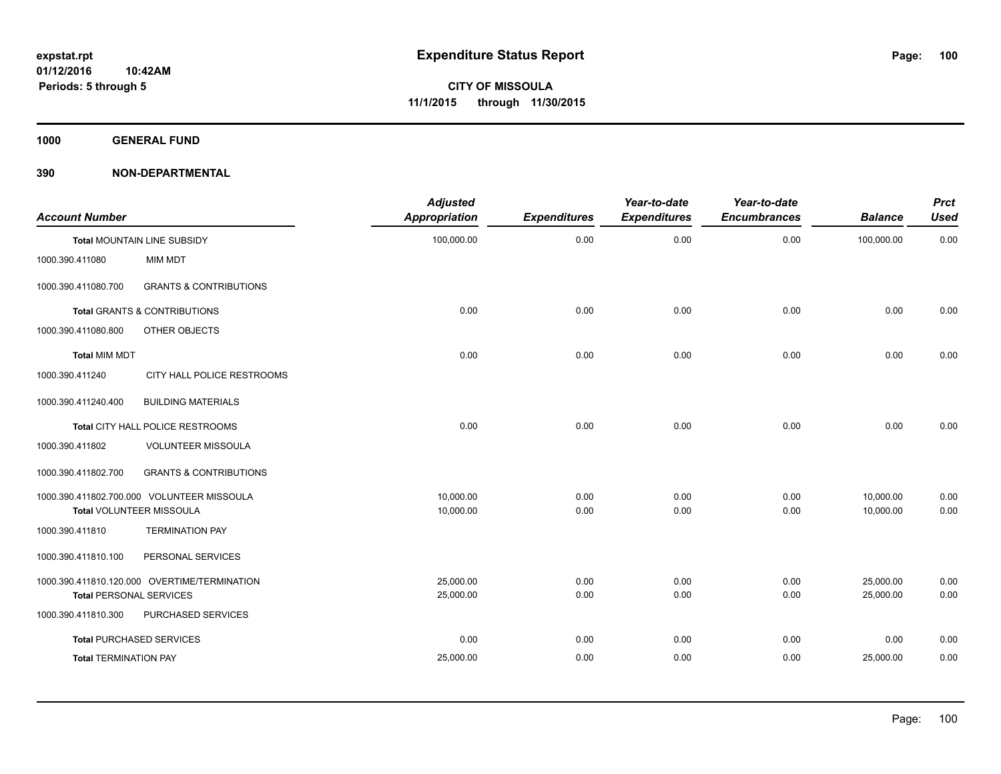**1000 GENERAL FUND**

| <b>Account Number</b>          |                                              | <b>Adjusted</b><br><b>Appropriation</b> | <b>Expenditures</b> | Year-to-date<br><b>Expenditures</b> | Year-to-date<br><b>Encumbrances</b> | <b>Balance</b> | <b>Prct</b><br><b>Used</b> |
|--------------------------------|----------------------------------------------|-----------------------------------------|---------------------|-------------------------------------|-------------------------------------|----------------|----------------------------|
|                                | Total MOUNTAIN LINE SUBSIDY                  | 100,000.00                              | 0.00                | 0.00                                | 0.00                                | 100,000.00     | 0.00                       |
| 1000.390.411080                | MIM MDT                                      |                                         |                     |                                     |                                     |                |                            |
| 1000.390.411080.700            | <b>GRANTS &amp; CONTRIBUTIONS</b>            |                                         |                     |                                     |                                     |                |                            |
|                                | <b>Total GRANTS &amp; CONTRIBUTIONS</b>      | 0.00                                    | 0.00                | 0.00                                | 0.00                                | 0.00           | 0.00                       |
| 1000.390.411080.800            | OTHER OBJECTS                                |                                         |                     |                                     |                                     |                |                            |
| <b>Total MIM MDT</b>           |                                              | 0.00                                    | 0.00                | 0.00                                | 0.00                                | 0.00           | 0.00                       |
| 1000.390.411240                | CITY HALL POLICE RESTROOMS                   |                                         |                     |                                     |                                     |                |                            |
| 1000.390.411240.400            | <b>BUILDING MATERIALS</b>                    |                                         |                     |                                     |                                     |                |                            |
|                                | Total CITY HALL POLICE RESTROOMS             | 0.00                                    | 0.00                | 0.00                                | 0.00                                | 0.00           | 0.00                       |
| 1000.390.411802                | <b>VOLUNTEER MISSOULA</b>                    |                                         |                     |                                     |                                     |                |                            |
| 1000.390.411802.700            | <b>GRANTS &amp; CONTRIBUTIONS</b>            |                                         |                     |                                     |                                     |                |                            |
|                                | 1000.390.411802.700.000 VOLUNTEER MISSOULA   | 10.000.00                               | 0.00                | 0.00                                | 0.00                                | 10,000.00      | 0.00                       |
|                                | Total VOLUNTEER MISSOULA                     | 10,000.00                               | 0.00                | 0.00                                | 0.00                                | 10,000.00      | 0.00                       |
| 1000.390.411810                | <b>TERMINATION PAY</b>                       |                                         |                     |                                     |                                     |                |                            |
| 1000.390.411810.100            | PERSONAL SERVICES                            |                                         |                     |                                     |                                     |                |                            |
|                                | 1000.390.411810.120.000 OVERTIME/TERMINATION | 25,000.00                               | 0.00                | 0.00                                | 0.00                                | 25,000.00      | 0.00                       |
| <b>Total PERSONAL SERVICES</b> |                                              | 25,000.00                               | 0.00                | 0.00                                | 0.00                                | 25,000.00      | 0.00                       |
| 1000.390.411810.300            | PURCHASED SERVICES                           |                                         |                     |                                     |                                     |                |                            |
|                                | <b>Total PURCHASED SERVICES</b>              | 0.00                                    | 0.00                | 0.00                                | 0.00                                | 0.00           | 0.00                       |
| <b>Total TERMINATION PAY</b>   |                                              | 25,000.00                               | 0.00                | 0.00                                | 0.00                                | 25,000.00      | 0.00                       |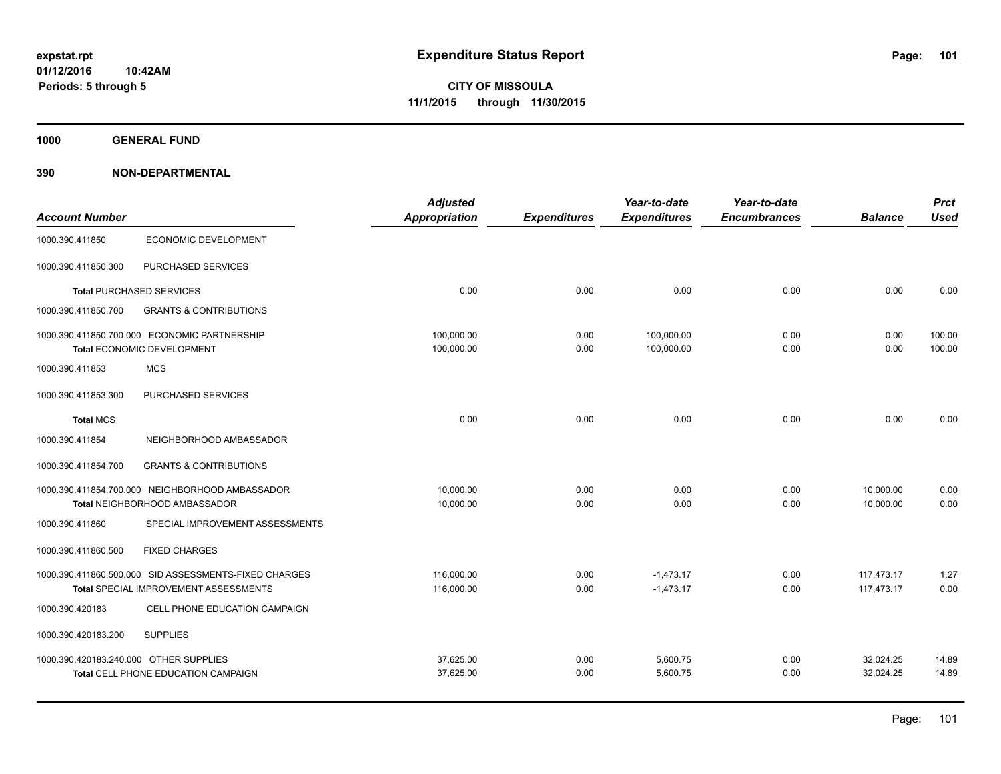**1000 GENERAL FUND**

|                                        |                                                       | <b>Adjusted</b> |                     | Year-to-date        | Year-to-date        |                | <b>Prct</b> |
|----------------------------------------|-------------------------------------------------------|-----------------|---------------------|---------------------|---------------------|----------------|-------------|
| <b>Account Number</b>                  |                                                       | Appropriation   | <b>Expenditures</b> | <b>Expenditures</b> | <b>Encumbrances</b> | <b>Balance</b> | <b>Used</b> |
| 1000.390.411850                        | <b>ECONOMIC DEVELOPMENT</b>                           |                 |                     |                     |                     |                |             |
| 1000.390.411850.300                    | PURCHASED SERVICES                                    |                 |                     |                     |                     |                |             |
|                                        | <b>Total PURCHASED SERVICES</b>                       | 0.00            | 0.00                | 0.00                | 0.00                | 0.00           | 0.00        |
| 1000.390.411850.700                    | <b>GRANTS &amp; CONTRIBUTIONS</b>                     |                 |                     |                     |                     |                |             |
|                                        | 1000.390.411850.700.000 ECONOMIC PARTNERSHIP          | 100,000.00      | 0.00                | 100,000.00          | 0.00                | 0.00           | 100.00      |
|                                        | Total ECONOMIC DEVELOPMENT                            | 100,000.00      | 0.00                | 100,000.00          | 0.00                | 0.00           | 100.00      |
| 1000.390.411853                        | <b>MCS</b>                                            |                 |                     |                     |                     |                |             |
| 1000.390.411853.300                    | PURCHASED SERVICES                                    |                 |                     |                     |                     |                |             |
| <b>Total MCS</b>                       |                                                       | 0.00            | 0.00                | 0.00                | 0.00                | 0.00           | 0.00        |
| 1000.390.411854                        | NEIGHBORHOOD AMBASSADOR                               |                 |                     |                     |                     |                |             |
| 1000.390.411854.700                    | <b>GRANTS &amp; CONTRIBUTIONS</b>                     |                 |                     |                     |                     |                |             |
|                                        | 1000.390.411854.700.000 NEIGHBORHOOD AMBASSADOR       | 10,000.00       | 0.00                | 0.00                | 0.00                | 10,000.00      | 0.00        |
|                                        | Total NEIGHBORHOOD AMBASSADOR                         | 10,000.00       | 0.00                | 0.00                | 0.00                | 10,000.00      | 0.00        |
| 1000.390.411860                        | SPECIAL IMPROVEMENT ASSESSMENTS                       |                 |                     |                     |                     |                |             |
| 1000.390.411860.500                    | <b>FIXED CHARGES</b>                                  |                 |                     |                     |                     |                |             |
|                                        | 1000.390.411860.500.000 SID ASSESSMENTS-FIXED CHARGES | 116,000.00      | 0.00                | $-1,473.17$         | 0.00                | 117,473.17     | 1.27        |
|                                        | Total SPECIAL IMPROVEMENT ASSESSMENTS                 | 116,000.00      | 0.00                | $-1,473.17$         | 0.00                | 117,473.17     | 0.00        |
| 1000.390.420183                        | CELL PHONE EDUCATION CAMPAIGN                         |                 |                     |                     |                     |                |             |
| 1000.390.420183.200                    | <b>SUPPLIES</b>                                       |                 |                     |                     |                     |                |             |
| 1000.390.420183.240.000 OTHER SUPPLIES |                                                       | 37,625.00       | 0.00                | 5,600.75            | 0.00                | 32,024.25      | 14.89       |
|                                        | Total CELL PHONE EDUCATION CAMPAIGN                   | 37,625.00       | 0.00                | 5,600.75            | 0.00                | 32,024.25      | 14.89       |
|                                        |                                                       |                 |                     |                     |                     |                |             |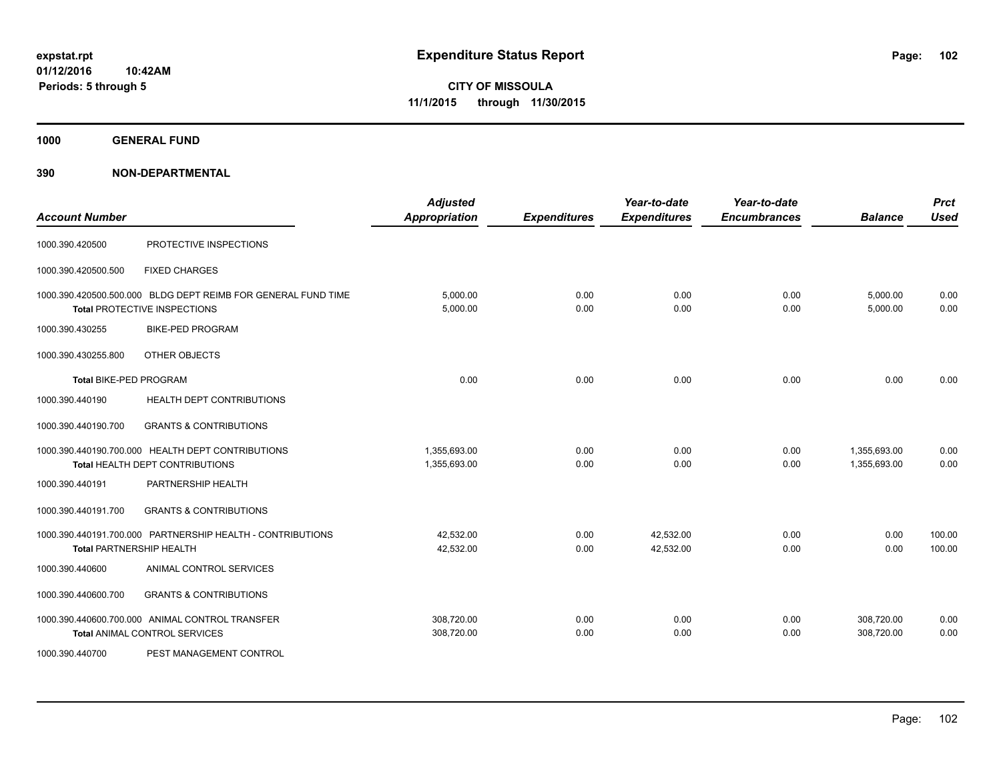**1000 GENERAL FUND**

| <b>Account Number</b>         |                                                                                               | <b>Adjusted</b><br>Appropriation | <b>Expenditures</b> | Year-to-date<br><b>Expenditures</b> | Year-to-date<br><b>Encumbrances</b> | <b>Balance</b>               | <b>Prct</b><br><b>Used</b> |
|-------------------------------|-----------------------------------------------------------------------------------------------|----------------------------------|---------------------|-------------------------------------|-------------------------------------|------------------------------|----------------------------|
| 1000.390.420500               | PROTECTIVE INSPECTIONS                                                                        |                                  |                     |                                     |                                     |                              |                            |
| 1000.390.420500.500           | <b>FIXED CHARGES</b>                                                                          |                                  |                     |                                     |                                     |                              |                            |
|                               | 1000.390.420500.500.000 BLDG DEPT REIMB FOR GENERAL FUND TIME<br>Total PROTECTIVE INSPECTIONS | 5,000.00<br>5,000.00             | 0.00<br>0.00        | 0.00<br>0.00                        | 0.00<br>0.00                        | 5,000.00<br>5,000.00         | 0.00<br>0.00               |
| 1000.390.430255               | <b>BIKE-PED PROGRAM</b>                                                                       |                                  |                     |                                     |                                     |                              |                            |
| 1000.390.430255.800           | OTHER OBJECTS                                                                                 |                                  |                     |                                     |                                     |                              |                            |
| <b>Total BIKE-PED PROGRAM</b> |                                                                                               | 0.00                             | 0.00                | 0.00                                | 0.00                                | 0.00                         | 0.00                       |
| 1000.390.440190               | <b>HEALTH DEPT CONTRIBUTIONS</b>                                                              |                                  |                     |                                     |                                     |                              |                            |
| 1000.390.440190.700           | <b>GRANTS &amp; CONTRIBUTIONS</b>                                                             |                                  |                     |                                     |                                     |                              |                            |
|                               | 1000.390.440190.700.000 HEALTH DEPT CONTRIBUTIONS<br>Total HEALTH DEPT CONTRIBUTIONS          | 1,355,693.00<br>1,355,693.00     | 0.00<br>0.00        | 0.00<br>0.00                        | 0.00<br>0.00                        | 1,355,693.00<br>1,355,693.00 | 0.00<br>0.00               |
| 1000.390.440191               | PARTNERSHIP HEALTH                                                                            |                                  |                     |                                     |                                     |                              |                            |
| 1000.390.440191.700           | <b>GRANTS &amp; CONTRIBUTIONS</b>                                                             |                                  |                     |                                     |                                     |                              |                            |
|                               | 1000.390.440191.700.000 PARTNERSHIP HEALTH - CONTRIBUTIONS<br><b>Total PARTNERSHIP HEALTH</b> | 42,532.00<br>42,532.00           | 0.00<br>0.00        | 42,532.00<br>42,532.00              | 0.00<br>0.00                        | 0.00<br>0.00                 | 100.00<br>100.00           |
| 1000.390.440600               | ANIMAL CONTROL SERVICES                                                                       |                                  |                     |                                     |                                     |                              |                            |
| 1000.390.440600.700           | <b>GRANTS &amp; CONTRIBUTIONS</b>                                                             |                                  |                     |                                     |                                     |                              |                            |
|                               | 1000.390.440600.700.000 ANIMAL CONTROL TRANSFER<br><b>Total ANIMAL CONTROL SERVICES</b>       | 308,720.00<br>308,720.00         | 0.00<br>0.00        | 0.00<br>0.00                        | 0.00<br>0.00                        | 308,720.00<br>308,720.00     | 0.00<br>0.00               |
| 1000.390.440700               | PEST MANAGEMENT CONTROL                                                                       |                                  |                     |                                     |                                     |                              |                            |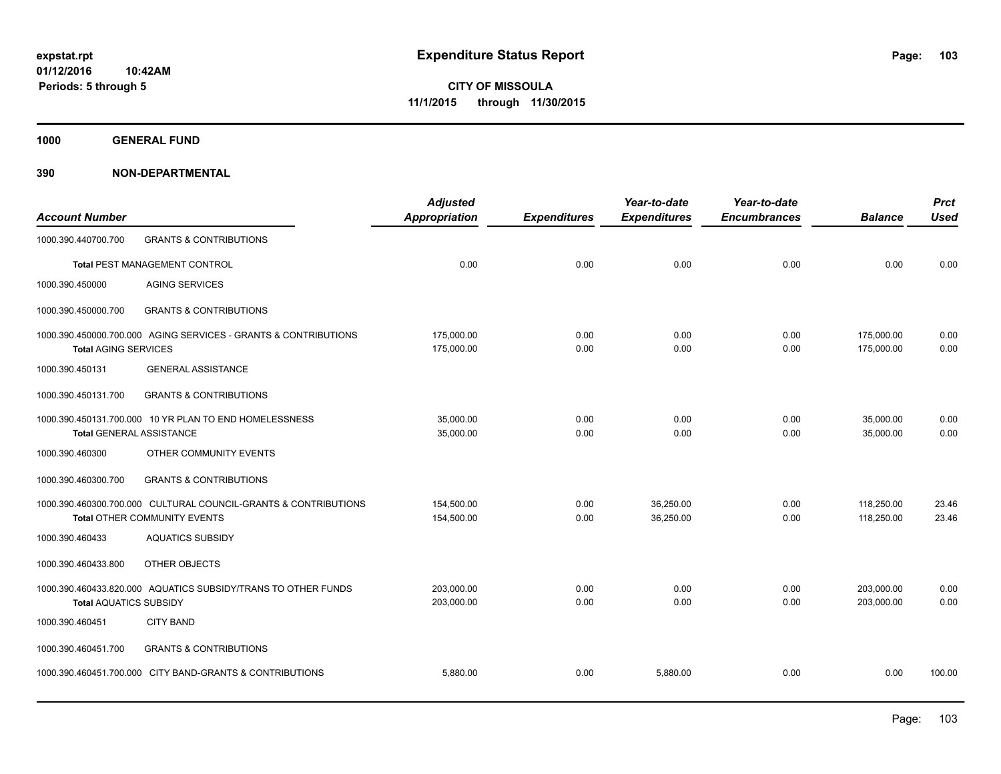**1000 GENERAL FUND**

| <b>Account Number</b>           |                                                                                                 | <b>Adjusted</b><br>Appropriation | <b>Expenditures</b> | Year-to-date<br><b>Expenditures</b> | Year-to-date<br><b>Encumbrances</b> | <b>Balance</b>           | <b>Prct</b><br><b>Used</b> |
|---------------------------------|-------------------------------------------------------------------------------------------------|----------------------------------|---------------------|-------------------------------------|-------------------------------------|--------------------------|----------------------------|
| 1000.390.440700.700             | <b>GRANTS &amp; CONTRIBUTIONS</b>                                                               |                                  |                     |                                     |                                     |                          |                            |
|                                 | Total PEST MANAGEMENT CONTROL                                                                   | 0.00                             | 0.00                | 0.00                                | 0.00                                | 0.00                     | 0.00                       |
| 1000.390.450000                 | <b>AGING SERVICES</b>                                                                           |                                  |                     |                                     |                                     |                          |                            |
| 1000.390.450000.700             | <b>GRANTS &amp; CONTRIBUTIONS</b>                                                               |                                  |                     |                                     |                                     |                          |                            |
| <b>Total AGING SERVICES</b>     | 1000.390.450000.700.000 AGING SERVICES - GRANTS & CONTRIBUTIONS                                 | 175,000.00<br>175,000.00         | 0.00<br>0.00        | 0.00<br>0.00                        | 0.00<br>0.00                        | 175,000.00<br>175,000.00 | 0.00<br>0.00               |
| 1000.390.450131                 | <b>GENERAL ASSISTANCE</b>                                                                       |                                  |                     |                                     |                                     |                          |                            |
| 1000.390.450131.700             | <b>GRANTS &amp; CONTRIBUTIONS</b>                                                               |                                  |                     |                                     |                                     |                          |                            |
| <b>Total GENERAL ASSISTANCE</b> | 1000.390.450131.700.000 10 YR PLAN TO END HOMELESSNESS                                          | 35,000.00<br>35,000.00           | 0.00<br>0.00        | 0.00<br>0.00                        | 0.00<br>0.00                        | 35,000.00<br>35,000.00   | 0.00<br>0.00               |
| 1000.390.460300                 | OTHER COMMUNITY EVENTS                                                                          |                                  |                     |                                     |                                     |                          |                            |
| 1000.390.460300.700             | <b>GRANTS &amp; CONTRIBUTIONS</b>                                                               |                                  |                     |                                     |                                     |                          |                            |
|                                 | 1000.390.460300.700.000 CULTURAL COUNCIL-GRANTS & CONTRIBUTIONS<br>Total OTHER COMMUNITY EVENTS | 154.500.00<br>154,500.00         | 0.00<br>0.00        | 36.250.00<br>36,250.00              | 0.00<br>0.00                        | 118,250.00<br>118,250.00 | 23.46<br>23.46             |
| 1000.390.460433                 | <b>AQUATICS SUBSIDY</b>                                                                         |                                  |                     |                                     |                                     |                          |                            |
| 1000.390.460433.800             | OTHER OBJECTS                                                                                   |                                  |                     |                                     |                                     |                          |                            |
| <b>Total AQUATICS SUBSIDY</b>   | 1000.390.460433.820.000 AQUATICS SUBSIDY/TRANS TO OTHER FUNDS                                   | 203,000.00<br>203,000.00         | 0.00<br>0.00        | 0.00<br>0.00                        | 0.00<br>0.00                        | 203,000.00<br>203.000.00 | 0.00<br>0.00               |
| 1000.390.460451                 | <b>CITY BAND</b>                                                                                |                                  |                     |                                     |                                     |                          |                            |
| 1000.390.460451.700             | <b>GRANTS &amp; CONTRIBUTIONS</b>                                                               |                                  |                     |                                     |                                     |                          |                            |
|                                 | 1000.390.460451.700.000 CITY BAND-GRANTS & CONTRIBUTIONS                                        | 5,880.00                         | 0.00                | 5,880.00                            | 0.00                                | 0.00                     | 100.00                     |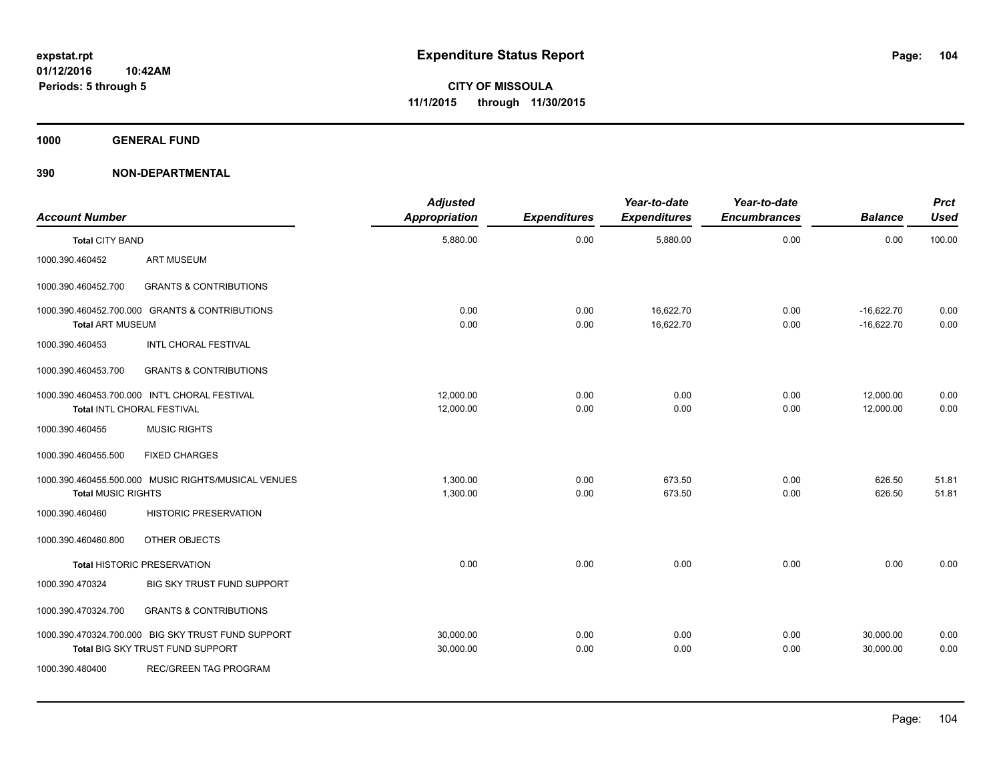**1000 GENERAL FUND**

| <b>Account Number</b>     |                                                                                        | <b>Adjusted</b><br>Appropriation | <b>Expenditures</b> | Year-to-date<br><b>Expenditures</b> | Year-to-date<br><b>Encumbrances</b> | <b>Balance</b>               | <b>Prct</b><br><b>Used</b> |
|---------------------------|----------------------------------------------------------------------------------------|----------------------------------|---------------------|-------------------------------------|-------------------------------------|------------------------------|----------------------------|
| <b>Total CITY BAND</b>    |                                                                                        | 5,880.00                         | 0.00                | 5,880.00                            | 0.00                                | 0.00                         | 100.00                     |
| 1000.390.460452           | <b>ART MUSEUM</b>                                                                      |                                  |                     |                                     |                                     |                              |                            |
| 1000.390.460452.700       | <b>GRANTS &amp; CONTRIBUTIONS</b>                                                      |                                  |                     |                                     |                                     |                              |                            |
| <b>Total ART MUSEUM</b>   | 1000.390.460452.700.000 GRANTS & CONTRIBUTIONS                                         | 0.00<br>0.00                     | 0.00<br>0.00        | 16,622.70<br>16,622.70              | 0.00<br>0.00                        | $-16,622.70$<br>$-16,622.70$ | 0.00<br>0.00               |
| 1000.390.460453           | INTL CHORAL FESTIVAL                                                                   |                                  |                     |                                     |                                     |                              |                            |
| 1000.390.460453.700       | <b>GRANTS &amp; CONTRIBUTIONS</b>                                                      |                                  |                     |                                     |                                     |                              |                            |
|                           | 1000.390.460453.700.000 INT'L CHORAL FESTIVAL<br>Total INTL CHORAL FESTIVAL            | 12.000.00<br>12,000.00           | 0.00<br>0.00        | 0.00<br>0.00                        | 0.00<br>0.00                        | 12,000.00<br>12,000.00       | 0.00<br>0.00               |
| 1000.390.460455           | <b>MUSIC RIGHTS</b>                                                                    |                                  |                     |                                     |                                     |                              |                            |
| 1000.390.460455.500       | <b>FIXED CHARGES</b>                                                                   |                                  |                     |                                     |                                     |                              |                            |
| <b>Total MUSIC RIGHTS</b> | 1000.390.460455.500.000 MUSIC RIGHTS/MUSICAL VENUES                                    | 1,300.00<br>1,300.00             | 0.00<br>0.00        | 673.50<br>673.50                    | 0.00<br>0.00                        | 626.50<br>626.50             | 51.81<br>51.81             |
| 1000.390.460460           | <b>HISTORIC PRESERVATION</b>                                                           |                                  |                     |                                     |                                     |                              |                            |
| 1000.390.460460.800       | OTHER OBJECTS                                                                          |                                  |                     |                                     |                                     |                              |                            |
|                           | <b>Total HISTORIC PRESERVATION</b>                                                     | 0.00                             | 0.00                | 0.00                                | 0.00                                | 0.00                         | 0.00                       |
| 1000.390.470324           | BIG SKY TRUST FUND SUPPORT                                                             |                                  |                     |                                     |                                     |                              |                            |
| 1000.390.470324.700       | <b>GRANTS &amp; CONTRIBUTIONS</b>                                                      |                                  |                     |                                     |                                     |                              |                            |
|                           | 1000.390.470324.700.000 BIG SKY TRUST FUND SUPPORT<br>Total BIG SKY TRUST FUND SUPPORT | 30,000.00<br>30,000.00           | 0.00<br>0.00        | 0.00<br>0.00                        | 0.00<br>0.00                        | 30,000.00<br>30,000.00       | 0.00<br>0.00               |
| 1000.390.480400           | REC/GREEN TAG PROGRAM                                                                  |                                  |                     |                                     |                                     |                              |                            |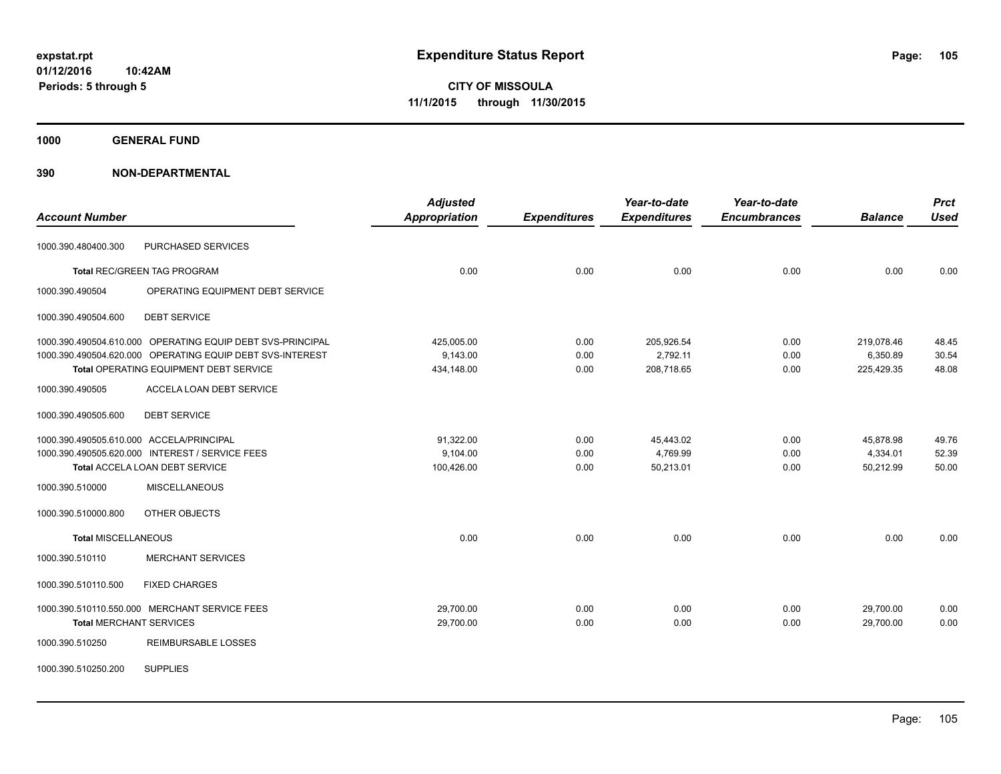**1000 GENERAL FUND**

| <b>Account Number</b>                    |                                                            | <b>Adjusted</b><br><b>Appropriation</b> | <b>Expenditures</b> | Year-to-date<br><b>Expenditures</b> | Year-to-date<br><b>Encumbrances</b> | <b>Balance</b> | <b>Prct</b><br><b>Used</b> |
|------------------------------------------|------------------------------------------------------------|-----------------------------------------|---------------------|-------------------------------------|-------------------------------------|----------------|----------------------------|
| 1000.390.480400.300                      | PURCHASED SERVICES                                         |                                         |                     |                                     |                                     |                |                            |
|                                          | <b>Total REC/GREEN TAG PROGRAM</b>                         | 0.00                                    | 0.00                | 0.00                                | 0.00                                | 0.00           | 0.00                       |
| 1000.390.490504                          | OPERATING EQUIPMENT DEBT SERVICE                           |                                         |                     |                                     |                                     |                |                            |
| 1000.390.490504.600                      | <b>DEBT SERVICE</b>                                        |                                         |                     |                                     |                                     |                |                            |
|                                          | 1000.390.490504.610.000 OPERATING EQUIP DEBT SVS-PRINCIPAL | 425,005.00                              | 0.00                | 205,926.54                          | 0.00                                | 219,078.46     | 48.45                      |
|                                          | 1000.390.490504.620.000 OPERATING EQUIP DEBT SVS-INTEREST  | 9,143.00                                | 0.00                | 2,792.11                            | 0.00                                | 6,350.89       | 30.54                      |
|                                          | Total OPERATING EQUIPMENT DEBT SERVICE                     | 434,148.00                              | 0.00                | 208,718.65                          | 0.00                                | 225,429.35     | 48.08                      |
| 1000.390.490505                          | ACCELA LOAN DEBT SERVICE                                   |                                         |                     |                                     |                                     |                |                            |
| 1000.390.490505.600                      | <b>DEBT SERVICE</b>                                        |                                         |                     |                                     |                                     |                |                            |
| 1000.390.490505.610.000 ACCELA/PRINCIPAL |                                                            | 91,322.00                               | 0.00                | 45,443.02                           | 0.00                                | 45,878.98      | 49.76                      |
|                                          | 1000.390.490505.620.000 INTEREST / SERVICE FEES            | 9,104.00                                | 0.00                | 4,769.99                            | 0.00                                | 4,334.01       | 52.39                      |
|                                          | Total ACCELA LOAN DEBT SERVICE                             | 100,426.00                              | 0.00                | 50,213.01                           | 0.00                                | 50,212.99      | 50.00                      |
| 1000.390.510000                          | <b>MISCELLANEOUS</b>                                       |                                         |                     |                                     |                                     |                |                            |
| 1000.390.510000.800                      | OTHER OBJECTS                                              |                                         |                     |                                     |                                     |                |                            |
| <b>Total MISCELLANEOUS</b>               |                                                            | 0.00                                    | 0.00                | 0.00                                | 0.00                                | 0.00           | 0.00                       |
| 1000.390.510110                          | <b>MERCHANT SERVICES</b>                                   |                                         |                     |                                     |                                     |                |                            |
| 1000.390.510110.500                      | <b>FIXED CHARGES</b>                                       |                                         |                     |                                     |                                     |                |                            |
|                                          | 1000.390.510110.550.000 MERCHANT SERVICE FEES              | 29,700.00                               | 0.00                | 0.00                                | 0.00                                | 29,700.00      | 0.00                       |
| <b>Total MERCHANT SERVICES</b>           |                                                            | 29,700.00                               | 0.00                | 0.00                                | 0.00                                | 29,700.00      | 0.00                       |
| 1000.390.510250                          | <b>REIMBURSABLE LOSSES</b>                                 |                                         |                     |                                     |                                     |                |                            |
| 1000.390.510250.200                      | <b>SUPPLIES</b>                                            |                                         |                     |                                     |                                     |                |                            |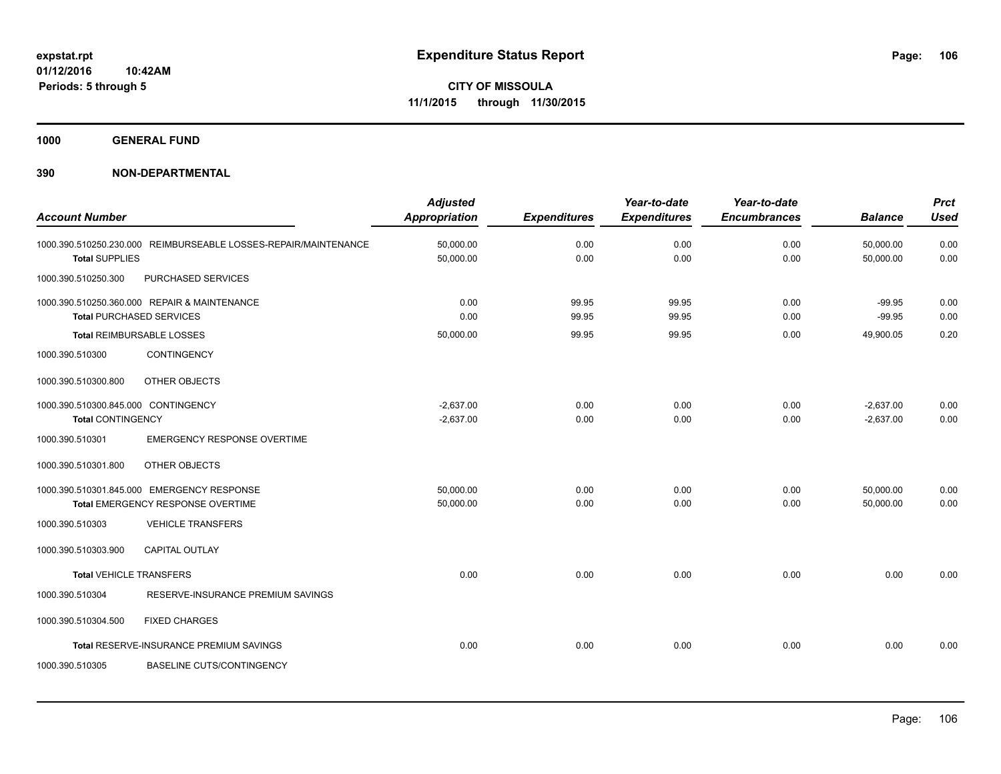**1000 GENERAL FUND**

| <b>Account Number</b>               |                                                                                 | <b>Adjusted</b><br><b>Appropriation</b> | <b>Expenditures</b> | Year-to-date<br><b>Expenditures</b> | Year-to-date<br><b>Encumbrances</b> | <b>Balance</b>         | <b>Prct</b><br><b>Used</b> |
|-------------------------------------|---------------------------------------------------------------------------------|-----------------------------------------|---------------------|-------------------------------------|-------------------------------------|------------------------|----------------------------|
| <b>Total SUPPLIES</b>               | 1000.390.510250.230.000 REIMBURSEABLE LOSSES-REPAIR/MAINTENANCE                 | 50,000.00<br>50,000.00                  | 0.00<br>0.00        | 0.00<br>0.00                        | 0.00<br>0.00                        | 50,000.00<br>50,000.00 | 0.00<br>0.00               |
| 1000.390.510250.300                 | PURCHASED SERVICES                                                              |                                         |                     |                                     |                                     |                        |                            |
|                                     | 1000.390.510250.360.000 REPAIR & MAINTENANCE<br><b>Total PURCHASED SERVICES</b> | 0.00<br>0.00                            | 99.95<br>99.95      | 99.95<br>99.95                      | 0.00<br>0.00                        | $-99.95$<br>$-99.95$   | 0.00<br>0.00               |
|                                     | <b>Total REIMBURSABLE LOSSES</b>                                                | 50,000.00                               | 99.95               | 99.95                               | 0.00                                | 49,900.05              | 0.20                       |
| 1000.390.510300                     | <b>CONTINGENCY</b>                                                              |                                         |                     |                                     |                                     |                        |                            |
| 1000.390.510300.800                 | OTHER OBJECTS                                                                   |                                         |                     |                                     |                                     |                        |                            |
| 1000.390.510300.845.000 CONTINGENCY |                                                                                 | $-2,637.00$                             | 0.00                | 0.00                                | 0.00                                | $-2,637.00$            | 0.00                       |
| <b>Total CONTINGENCY</b>            |                                                                                 | $-2,637.00$                             | 0.00                | 0.00                                | 0.00                                | $-2,637.00$            | 0.00                       |
| 1000.390.510301                     | <b>EMERGENCY RESPONSE OVERTIME</b>                                              |                                         |                     |                                     |                                     |                        |                            |
| 1000.390.510301.800                 | OTHER OBJECTS                                                                   |                                         |                     |                                     |                                     |                        |                            |
|                                     | 1000.390.510301.845.000 EMERGENCY RESPONSE                                      | 50,000.00                               | 0.00                | 0.00                                | 0.00                                | 50,000.00              | 0.00                       |
|                                     | Total EMERGENCY RESPONSE OVERTIME                                               | 50,000.00                               | 0.00                | 0.00                                | 0.00                                | 50,000.00              | 0.00                       |
| 1000.390.510303                     | <b>VEHICLE TRANSFERS</b>                                                        |                                         |                     |                                     |                                     |                        |                            |
| 1000.390.510303.900                 | CAPITAL OUTLAY                                                                  |                                         |                     |                                     |                                     |                        |                            |
| <b>Total VEHICLE TRANSFERS</b>      |                                                                                 | 0.00                                    | 0.00                | 0.00                                | 0.00                                | 0.00                   | 0.00                       |
| 1000.390.510304                     | RESERVE-INSURANCE PREMIUM SAVINGS                                               |                                         |                     |                                     |                                     |                        |                            |
| 1000.390.510304.500                 | <b>FIXED CHARGES</b>                                                            |                                         |                     |                                     |                                     |                        |                            |
|                                     | Total RESERVE-INSURANCE PREMIUM SAVINGS                                         | 0.00                                    | 0.00                | 0.00                                | 0.00                                | 0.00                   | 0.00                       |
| 1000.390.510305                     | <b>BASELINE CUTS/CONTINGENCY</b>                                                |                                         |                     |                                     |                                     |                        |                            |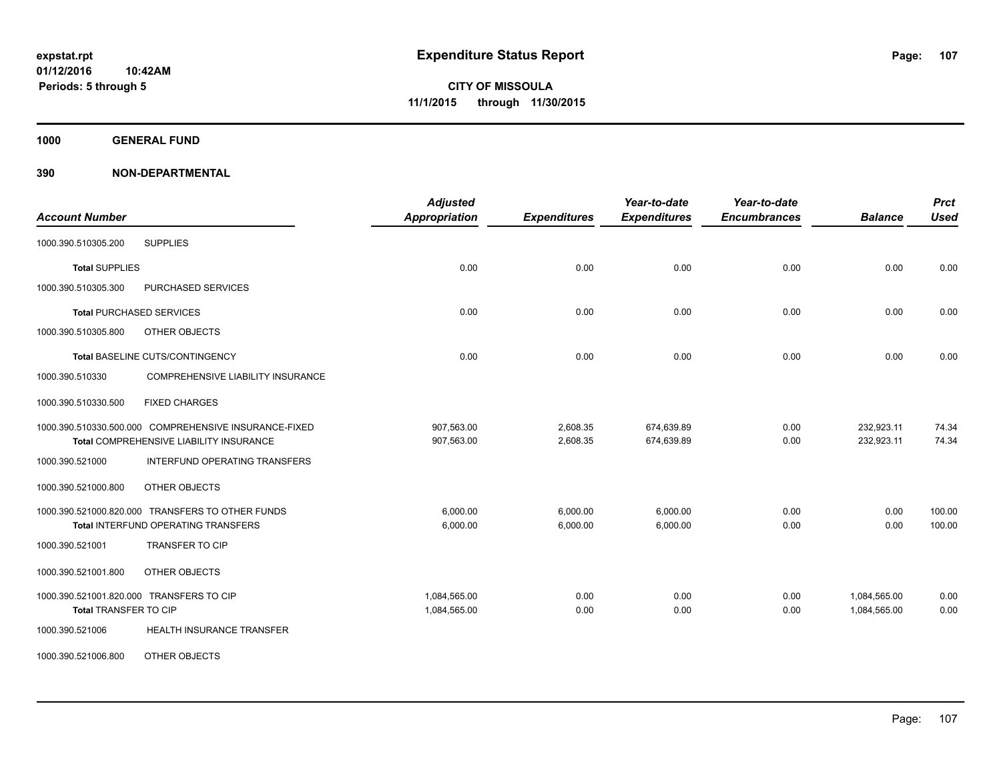**1000 GENERAL FUND**

| <b>Account Number</b>                                                                            | <b>Adjusted</b><br><b>Appropriation</b> | <b>Expenditures</b>  | Year-to-date<br><b>Expenditures</b> | Year-to-date<br><b>Encumbrances</b> | <b>Balance</b>               | <b>Prct</b><br><b>Used</b> |
|--------------------------------------------------------------------------------------------------|-----------------------------------------|----------------------|-------------------------------------|-------------------------------------|------------------------------|----------------------------|
| <b>SUPPLIES</b><br>1000.390.510305.200                                                           |                                         |                      |                                     |                                     |                              |                            |
| <b>Total SUPPLIES</b>                                                                            | 0.00                                    | 0.00                 | 0.00                                | 0.00                                | 0.00                         | 0.00                       |
| 1000.390.510305.300<br>PURCHASED SERVICES                                                        |                                         |                      |                                     |                                     |                              |                            |
| <b>Total PURCHASED SERVICES</b>                                                                  | 0.00                                    | 0.00                 | 0.00                                | 0.00                                | 0.00                         | 0.00                       |
| 1000.390.510305.800<br>OTHER OBJECTS                                                             |                                         |                      |                                     |                                     |                              |                            |
| Total BASELINE CUTS/CONTINGENCY                                                                  | 0.00                                    | 0.00                 | 0.00                                | 0.00                                | 0.00                         | 0.00                       |
| <b>COMPREHENSIVE LIABILITY INSURANCE</b><br>1000.390.510330                                      |                                         |                      |                                     |                                     |                              |                            |
| <b>FIXED CHARGES</b><br>1000.390.510330.500                                                      |                                         |                      |                                     |                                     |                              |                            |
| 1000.390.510330.500.000 COMPREHENSIVE INSURANCE-FIXED<br>Total COMPREHENSIVE LIABILITY INSURANCE | 907,563.00<br>907,563.00                | 2,608.35<br>2,608.35 | 674,639.89<br>674,639.89            | 0.00<br>0.00                        | 232,923.11<br>232,923.11     | 74.34<br>74.34             |
| 1000.390.521000<br>INTERFUND OPERATING TRANSFERS                                                 |                                         |                      |                                     |                                     |                              |                            |
| OTHER OBJECTS<br>1000.390.521000.800                                                             |                                         |                      |                                     |                                     |                              |                            |
| 1000.390.521000.820.000 TRANSFERS TO OTHER FUNDS<br>Total INTERFUND OPERATING TRANSFERS          | 6.000.00<br>6,000.00                    | 6,000.00<br>6,000.00 | 6,000.00<br>6,000.00                | 0.00<br>0.00                        | 0.00<br>0.00                 | 100.00<br>100.00           |
| <b>TRANSFER TO CIP</b><br>1000.390.521001                                                        |                                         |                      |                                     |                                     |                              |                            |
| 1000.390.521001.800<br>OTHER OBJECTS                                                             |                                         |                      |                                     |                                     |                              |                            |
| 1000.390.521001.820.000 TRANSFERS TO CIP<br>Total TRANSFER TO CIP                                | 1,084,565.00<br>1,084,565.00            | 0.00<br>0.00         | 0.00<br>0.00                        | 0.00<br>0.00                        | 1,084,565.00<br>1,084,565.00 | 0.00<br>0.00               |
| <b>HEALTH INSURANCE TRANSFER</b><br>1000.390.521006                                              |                                         |                      |                                     |                                     |                              |                            |
| 1000.390.521006.800<br>OTHER OBJECTS                                                             |                                         |                      |                                     |                                     |                              |                            |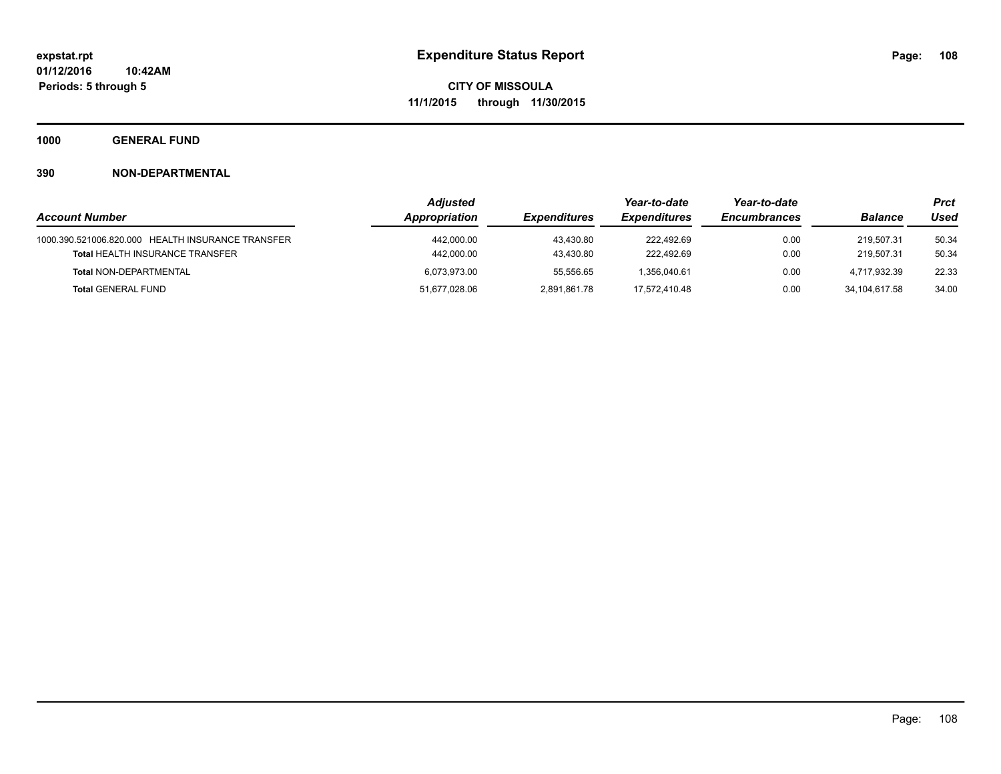**1000 GENERAL FUND**

|                                                   | <b>Adjusted</b> |                     | Year-to-date        | Year-to-date        |                | Prct  |
|---------------------------------------------------|-----------------|---------------------|---------------------|---------------------|----------------|-------|
| <b>Account Number</b>                             | Appropriation   | <b>Expenditures</b> | <b>Expenditures</b> | <b>Encumbrances</b> | <b>Balance</b> | Used  |
| 1000.390.521006.820.000 HEALTH INSURANCE TRANSFER | 442,000.00      | 43,430.80           | 222.492.69          | 0.00                | 219.507.31     | 50.34 |
| <b>Total HEALTH INSURANCE TRANSFER</b>            | 442,000.00      | 43,430.80           | 222.492.69          | 0.00                | 219.507.31     | 50.34 |
| <b>Total NON-DEPARTMENTAL</b>                     | 6,073,973.00    | 55,556.65           | 1.356.040.61        | 0.00                | 4.717.932.39   | 22.33 |
| <b>Total GENERAL FUND</b>                         | 51,677,028.06   | 2,891,861.78        | 17.572.410.48       | 0.00                | 34.104.617.58  | 34.00 |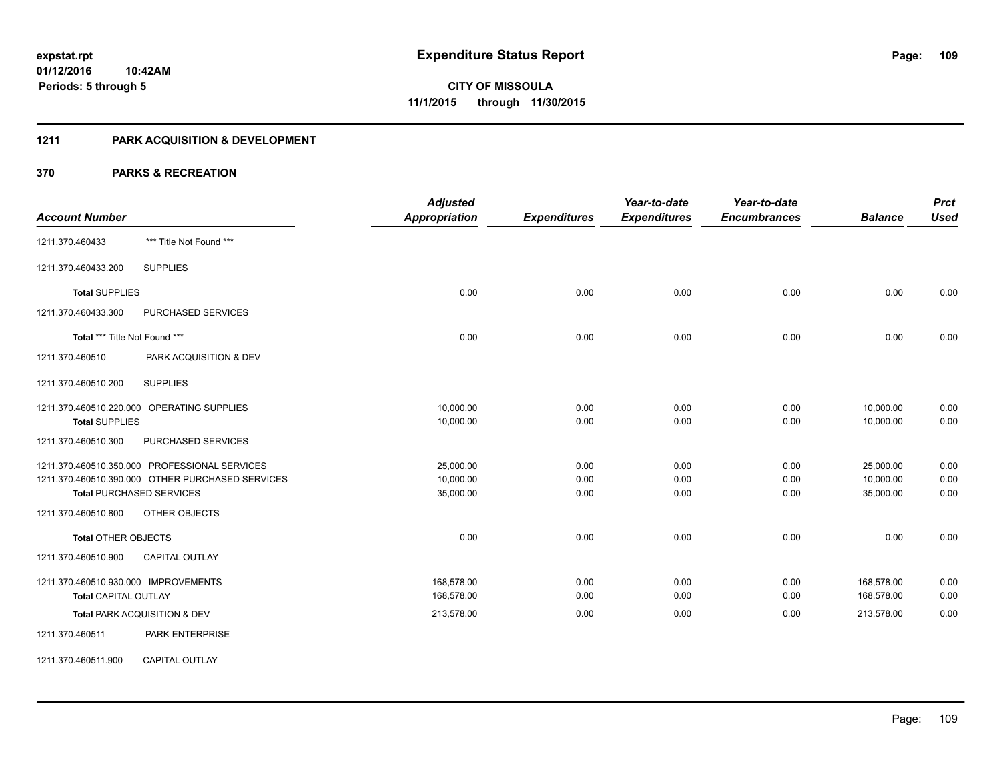#### **1211 PARK ACQUISITION & DEVELOPMENT**

| <b>Account Number</b>                                                                                                                                                        | <b>Adjusted</b><br><b>Appropriation</b> | <b>Expenditures</b>  | Year-to-date<br><b>Expenditures</b> | Year-to-date<br><b>Encumbrances</b> | <b>Balance</b>                      | <b>Prct</b><br><b>Used</b> |
|------------------------------------------------------------------------------------------------------------------------------------------------------------------------------|-----------------------------------------|----------------------|-------------------------------------|-------------------------------------|-------------------------------------|----------------------------|
| *** Title Not Found ***<br>1211.370.460433                                                                                                                                   |                                         |                      |                                     |                                     |                                     |                            |
| <b>SUPPLIES</b><br>1211.370.460433.200                                                                                                                                       |                                         |                      |                                     |                                     |                                     |                            |
| <b>Total SUPPLIES</b>                                                                                                                                                        | 0.00                                    | 0.00                 | 0.00                                | 0.00                                | 0.00                                | 0.00                       |
| 1211.370.460433.300<br><b>PURCHASED SERVICES</b>                                                                                                                             |                                         |                      |                                     |                                     |                                     |                            |
| Total *** Title Not Found ***                                                                                                                                                | 0.00                                    | 0.00                 | 0.00                                | 0.00                                | 0.00                                | 0.00                       |
| 1211.370.460510<br>PARK ACQUISITION & DEV                                                                                                                                    |                                         |                      |                                     |                                     |                                     |                            |
| <b>SUPPLIES</b><br>1211.370.460510.200                                                                                                                                       |                                         |                      |                                     |                                     |                                     |                            |
| 1211.370.460510.220.000 OPERATING SUPPLIES<br><b>Total SUPPLIES</b>                                                                                                          | 10,000.00<br>10,000.00                  | 0.00<br>0.00         | 0.00<br>0.00                        | 0.00<br>0.00                        | 10,000.00<br>10,000.00              | 0.00<br>0.00               |
| 1211.370.460510.300<br>PURCHASED SERVICES                                                                                                                                    |                                         |                      |                                     |                                     |                                     |                            |
| 1211.370.460510.350.000 PROFESSIONAL SERVICES<br>1211.370.460510.390.000 OTHER PURCHASED SERVICES<br><b>Total PURCHASED SERVICES</b><br>1211.370.460510.800<br>OTHER OBJECTS | 25,000.00<br>10,000.00<br>35,000.00     | 0.00<br>0.00<br>0.00 | 0.00<br>0.00<br>0.00                | 0.00<br>0.00<br>0.00                | 25,000.00<br>10,000.00<br>35,000.00 | 0.00<br>0.00<br>0.00       |
| <b>Total OTHER OBJECTS</b>                                                                                                                                                   | 0.00                                    | 0.00                 | 0.00                                | 0.00                                | 0.00                                | 0.00                       |
| <b>CAPITAL OUTLAY</b><br>1211.370.460510.900                                                                                                                                 |                                         |                      |                                     |                                     |                                     |                            |
| 1211.370.460510.930.000 IMPROVEMENTS<br><b>Total CAPITAL OUTLAY</b>                                                                                                          | 168,578.00<br>168,578.00                | 0.00<br>0.00         | 0.00<br>0.00                        | 0.00<br>0.00                        | 168,578.00<br>168,578.00            | 0.00<br>0.00               |
| Total PARK ACQUISITION & DEV                                                                                                                                                 | 213,578.00                              | 0.00                 | 0.00                                | 0.00                                | 213,578.00                          | 0.00                       |
| 1211.370.460511<br><b>PARK ENTERPRISE</b>                                                                                                                                    |                                         |                      |                                     |                                     |                                     |                            |
| <b>CAPITAL OUTLAY</b><br>1211.370.460511.900                                                                                                                                 |                                         |                      |                                     |                                     |                                     |                            |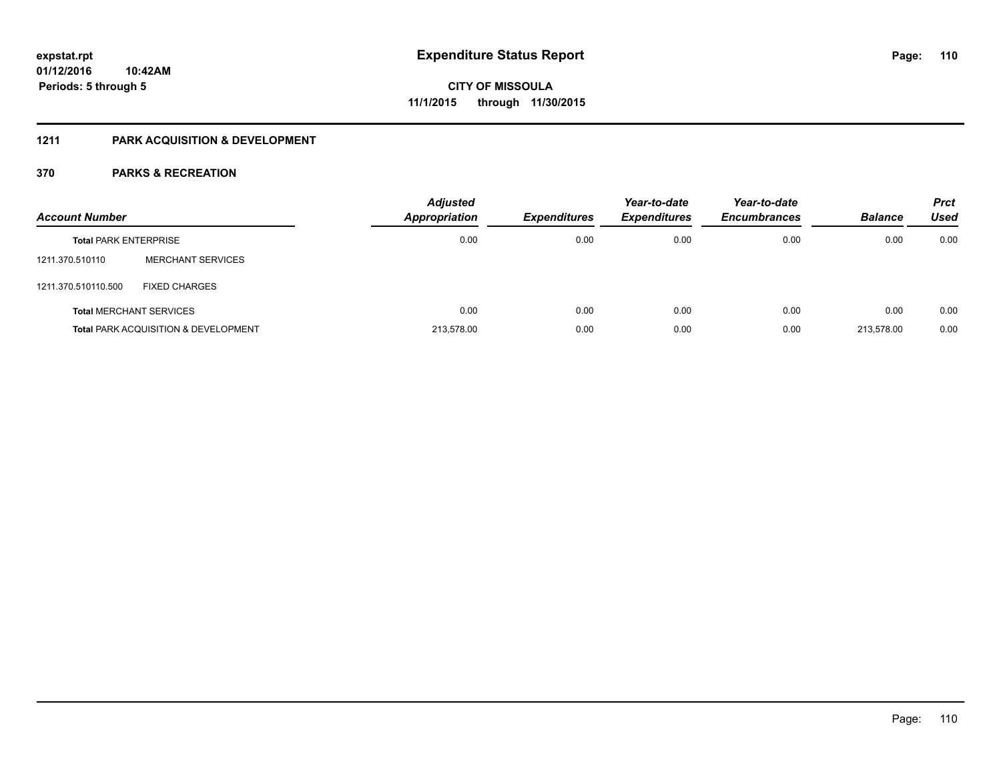#### **1211 PARK ACQUISITION & DEVELOPMENT**

| <b>Account Number</b>        |                                                 | <b>Adjusted</b><br><b>Appropriation</b> | <b>Expenditures</b> | Year-to-date<br><b>Expenditures</b> | Year-to-date<br><b>Encumbrances</b> | <b>Balance</b> | <b>Prct</b><br><b>Used</b> |
|------------------------------|-------------------------------------------------|-----------------------------------------|---------------------|-------------------------------------|-------------------------------------|----------------|----------------------------|
| <b>Total PARK ENTERPRISE</b> |                                                 | 0.00                                    | 0.00                | 0.00                                | 0.00                                | 0.00           | 0.00                       |
| 1211.370.510110              | <b>MERCHANT SERVICES</b>                        |                                         |                     |                                     |                                     |                |                            |
| 1211.370.510110.500          | <b>FIXED CHARGES</b>                            |                                         |                     |                                     |                                     |                |                            |
|                              | <b>Total MERCHANT SERVICES</b>                  | 0.00                                    | 0.00                | 0.00                                | 0.00                                | 0.00           | 0.00                       |
|                              | <b>Total PARK ACQUISITION &amp; DEVELOPMENT</b> | 213.578.00                              | 0.00                | 0.00                                | 0.00                                | 213.578.00     | 0.00                       |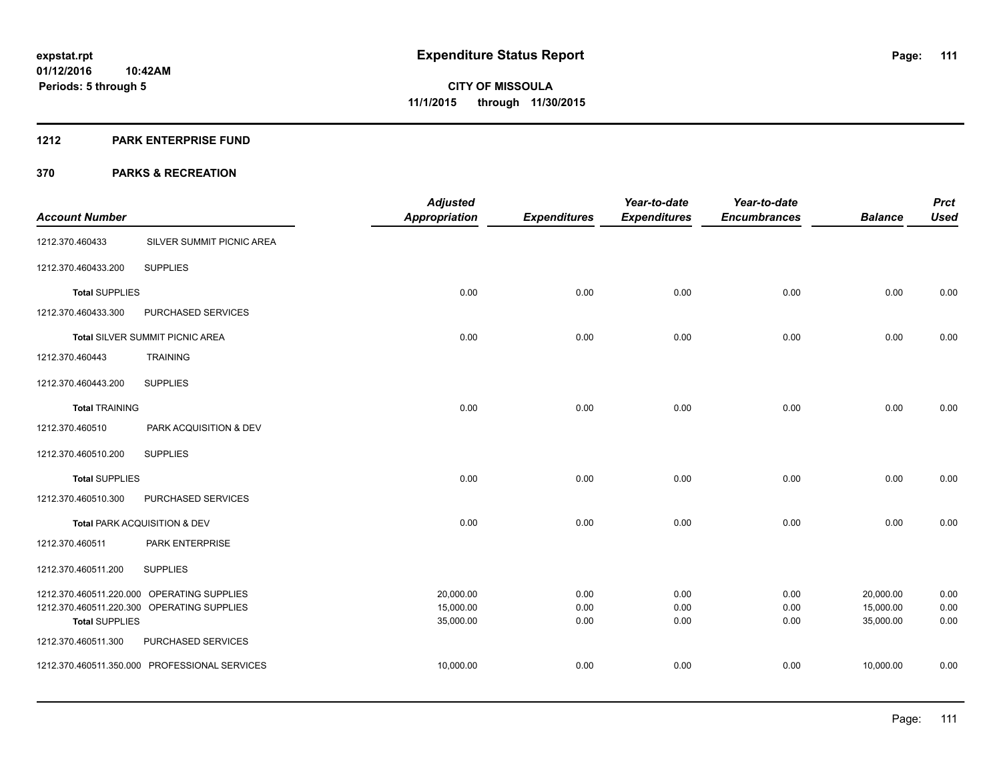#### **1212 PARK ENTERPRISE FUND**

|                         |                                            | <b>Adjusted</b>        |                     | Year-to-date        | Year-to-date        |                        | <b>Prct</b>  |
|-------------------------|--------------------------------------------|------------------------|---------------------|---------------------|---------------------|------------------------|--------------|
| <b>Account Number</b>   |                                            | <b>Appropriation</b>   | <b>Expenditures</b> | <b>Expenditures</b> | <b>Encumbrances</b> | <b>Balance</b>         | <b>Used</b>  |
| 1212.370.460433         | SILVER SUMMIT PICNIC AREA                  |                        |                     |                     |                     |                        |              |
| 1212.370.460433.200     | <b>SUPPLIES</b>                            |                        |                     |                     |                     |                        |              |
| <b>Total SUPPLIES</b>   |                                            | 0.00                   | 0.00                | 0.00                | 0.00                | 0.00                   | 0.00         |
| 1212.370.460433.300     | PURCHASED SERVICES                         |                        |                     |                     |                     |                        |              |
|                         | Total SILVER SUMMIT PICNIC AREA            | 0.00                   | 0.00                | 0.00                | 0.00                | 0.00                   | 0.00         |
| 1212.370.460443         | <b>TRAINING</b>                            |                        |                     |                     |                     |                        |              |
| 1212.370.460443.200     | <b>SUPPLIES</b>                            |                        |                     |                     |                     |                        |              |
| <b>Total TRAINING</b>   |                                            | 0.00                   | 0.00                | 0.00                | 0.00                | 0.00                   | 0.00         |
| 1212.370.460510         | PARK ACQUISITION & DEV                     |                        |                     |                     |                     |                        |              |
| 1212.370.460510.200     | <b>SUPPLIES</b>                            |                        |                     |                     |                     |                        |              |
| <b>Total SUPPLIES</b>   |                                            | 0.00                   | 0.00                | 0.00                | 0.00                | 0.00                   | 0.00         |
| 1212.370.460510.300     | PURCHASED SERVICES                         |                        |                     |                     |                     |                        |              |
|                         | Total PARK ACQUISITION & DEV               | 0.00                   | 0.00                | 0.00                | 0.00                | 0.00                   | 0.00         |
| 1212.370.460511         | PARK ENTERPRISE                            |                        |                     |                     |                     |                        |              |
| 1212.370.460511.200     | <b>SUPPLIES</b>                            |                        |                     |                     |                     |                        |              |
|                         | 1212.370.460511.220.000 OPERATING SUPPLIES | 20,000.00              | 0.00                | 0.00                | 0.00                | 20,000.00              | 0.00         |
| <b>Total SUPPLIES</b>   | 1212.370.460511.220.300 OPERATING SUPPLIES | 15,000.00<br>35,000.00 | 0.00<br>0.00        | 0.00<br>0.00        | 0.00<br>0.00        | 15,000.00<br>35,000.00 | 0.00<br>0.00 |
| 1212.370.460511.300     | PURCHASED SERVICES                         |                        |                     |                     |                     |                        |              |
| 1212.370.460511.350.000 | PROFESSIONAL SERVICES                      | 10,000.00              | 0.00                | 0.00                | 0.00                | 10,000.00              | 0.00         |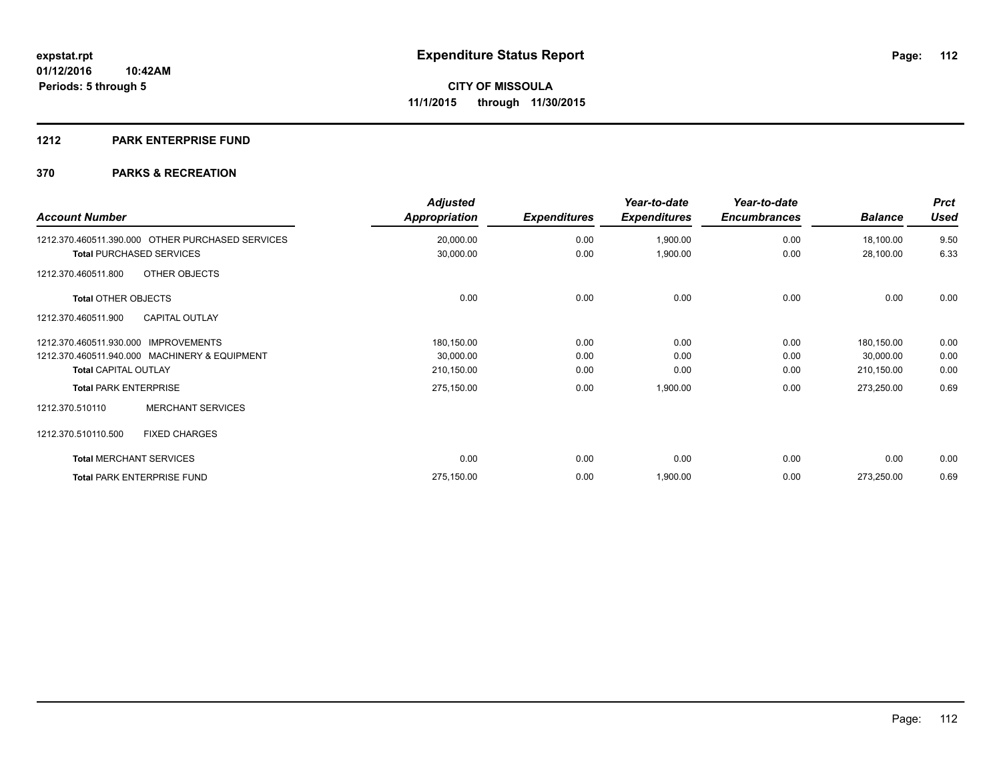#### **1212 PARK ENTERPRISE FUND**

| <b>Account Number</b>                            | <b>Adjusted</b><br><b>Appropriation</b> | <b>Expenditures</b> | Year-to-date<br><b>Expenditures</b> | Year-to-date<br><b>Encumbrances</b> | <b>Balance</b> | <b>Prct</b><br><b>Used</b> |
|--------------------------------------------------|-----------------------------------------|---------------------|-------------------------------------|-------------------------------------|----------------|----------------------------|
| 1212.370.460511.390.000 OTHER PURCHASED SERVICES | 20,000.00                               | 0.00                | 1,900.00                            | 0.00                                | 18,100.00      | 9.50                       |
| <b>Total PURCHASED SERVICES</b>                  | 30,000.00                               | 0.00                | 1,900.00                            | 0.00                                | 28,100.00      | 6.33                       |
| OTHER OBJECTS<br>1212.370.460511.800             |                                         |                     |                                     |                                     |                |                            |
| <b>Total OTHER OBJECTS</b>                       | 0.00                                    | 0.00                | 0.00                                | 0.00                                | 0.00           | 0.00                       |
| 1212.370.460511.900<br><b>CAPITAL OUTLAY</b>     |                                         |                     |                                     |                                     |                |                            |
| 1212.370.460511.930.000 IMPROVEMENTS             | 180,150.00                              | 0.00                | 0.00                                | 0.00                                | 180,150.00     | 0.00                       |
| 1212.370.460511.940.000 MACHINERY & EQUIPMENT    | 30,000.00                               | 0.00                | 0.00                                | 0.00                                | 30,000.00      | 0.00                       |
| <b>Total CAPITAL OUTLAY</b>                      | 210,150.00                              | 0.00                | 0.00                                | 0.00                                | 210,150.00     | 0.00                       |
| <b>Total PARK ENTERPRISE</b>                     | 275,150.00                              | 0.00                | 1,900.00                            | 0.00                                | 273,250.00     | 0.69                       |
| <b>MERCHANT SERVICES</b><br>1212.370.510110      |                                         |                     |                                     |                                     |                |                            |
| <b>FIXED CHARGES</b><br>1212.370.510110.500      |                                         |                     |                                     |                                     |                |                            |
| <b>Total MERCHANT SERVICES</b>                   | 0.00                                    | 0.00                | 0.00                                | 0.00                                | 0.00           | 0.00                       |
| <b>Total PARK ENTERPRISE FUND</b>                | 275,150.00                              | 0.00                | 1,900.00                            | 0.00                                | 273,250.00     | 0.69                       |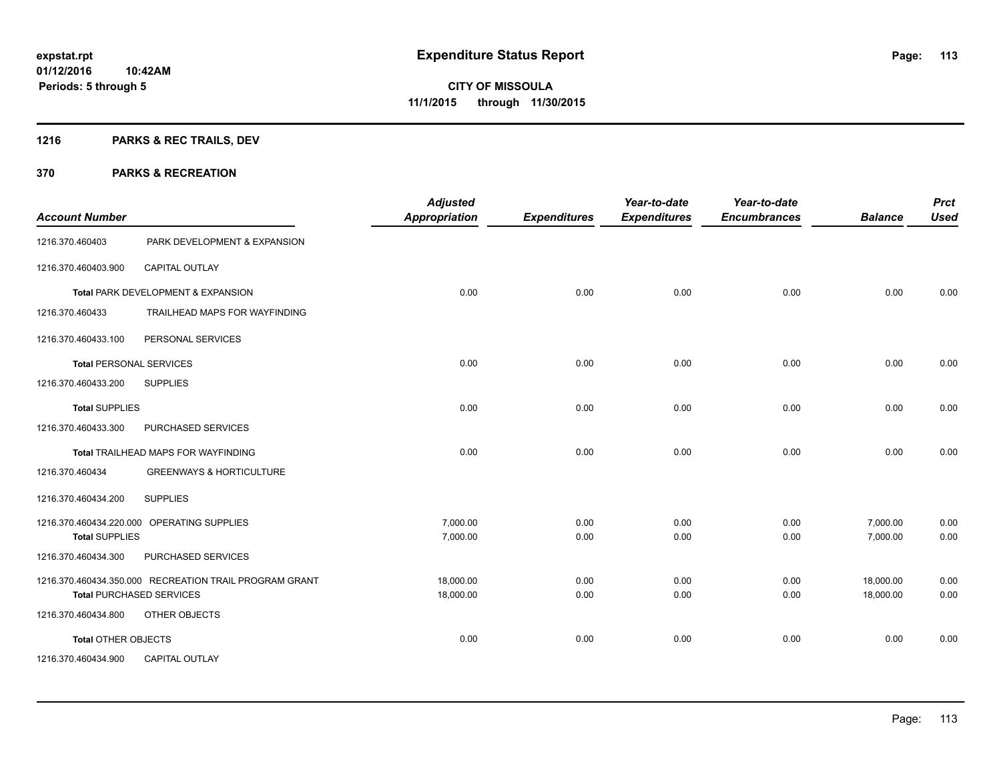# **1216 PARKS & REC TRAILS, DEV**

| <b>Account Number</b>          |                                                        | <b>Adjusted</b><br><b>Appropriation</b> | <b>Expenditures</b> | Year-to-date<br><b>Expenditures</b> | Year-to-date<br><b>Encumbrances</b> | <b>Balance</b> | <b>Prct</b><br><b>Used</b> |
|--------------------------------|--------------------------------------------------------|-----------------------------------------|---------------------|-------------------------------------|-------------------------------------|----------------|----------------------------|
| 1216.370.460403                | PARK DEVELOPMENT & EXPANSION                           |                                         |                     |                                     |                                     |                |                            |
| 1216.370.460403.900            | <b>CAPITAL OUTLAY</b>                                  |                                         |                     |                                     |                                     |                |                            |
|                                | Total PARK DEVELOPMENT & EXPANSION                     | 0.00                                    | 0.00                | 0.00                                | 0.00                                | 0.00           | 0.00                       |
| 1216.370.460433                | TRAILHEAD MAPS FOR WAYFINDING                          |                                         |                     |                                     |                                     |                |                            |
| 1216.370.460433.100            | PERSONAL SERVICES                                      |                                         |                     |                                     |                                     |                |                            |
| <b>Total PERSONAL SERVICES</b> |                                                        | 0.00                                    | 0.00                | 0.00                                | 0.00                                | 0.00           | 0.00                       |
| 1216.370.460433.200            | <b>SUPPLIES</b>                                        |                                         |                     |                                     |                                     |                |                            |
| <b>Total SUPPLIES</b>          |                                                        | 0.00                                    | 0.00                | 0.00                                | 0.00                                | 0.00           | 0.00                       |
| 1216.370.460433.300            | PURCHASED SERVICES                                     |                                         |                     |                                     |                                     |                |                            |
|                                | Total TRAILHEAD MAPS FOR WAYFINDING                    | 0.00                                    | 0.00                | 0.00                                | 0.00                                | 0.00           | 0.00                       |
| 1216.370.460434                | <b>GREENWAYS &amp; HORTICULTURE</b>                    |                                         |                     |                                     |                                     |                |                            |
| 1216.370.460434.200            | <b>SUPPLIES</b>                                        |                                         |                     |                                     |                                     |                |                            |
|                                | 1216.370.460434.220.000 OPERATING SUPPLIES             | 7,000.00                                | 0.00                | 0.00                                | 0.00                                | 7,000.00       | 0.00                       |
| <b>Total SUPPLIES</b>          |                                                        | 7,000.00                                | 0.00                | 0.00                                | 0.00                                | 7,000.00       | 0.00                       |
| 1216.370.460434.300            | PURCHASED SERVICES                                     |                                         |                     |                                     |                                     |                |                            |
|                                | 1216.370.460434.350.000 RECREATION TRAIL PROGRAM GRANT | 18,000.00                               | 0.00                | 0.00                                | 0.00                                | 18,000.00      | 0.00                       |
|                                | <b>Total PURCHASED SERVICES</b>                        | 18,000.00                               | 0.00                | 0.00                                | 0.00                                | 18,000.00      | 0.00                       |
| 1216.370.460434.800            | OTHER OBJECTS                                          |                                         |                     |                                     |                                     |                |                            |
| <b>Total OTHER OBJECTS</b>     |                                                        | 0.00                                    | 0.00                | 0.00                                | 0.00                                | 0.00           | 0.00                       |
| 1216.370.460434.900            | <b>CAPITAL OUTLAY</b>                                  |                                         |                     |                                     |                                     |                |                            |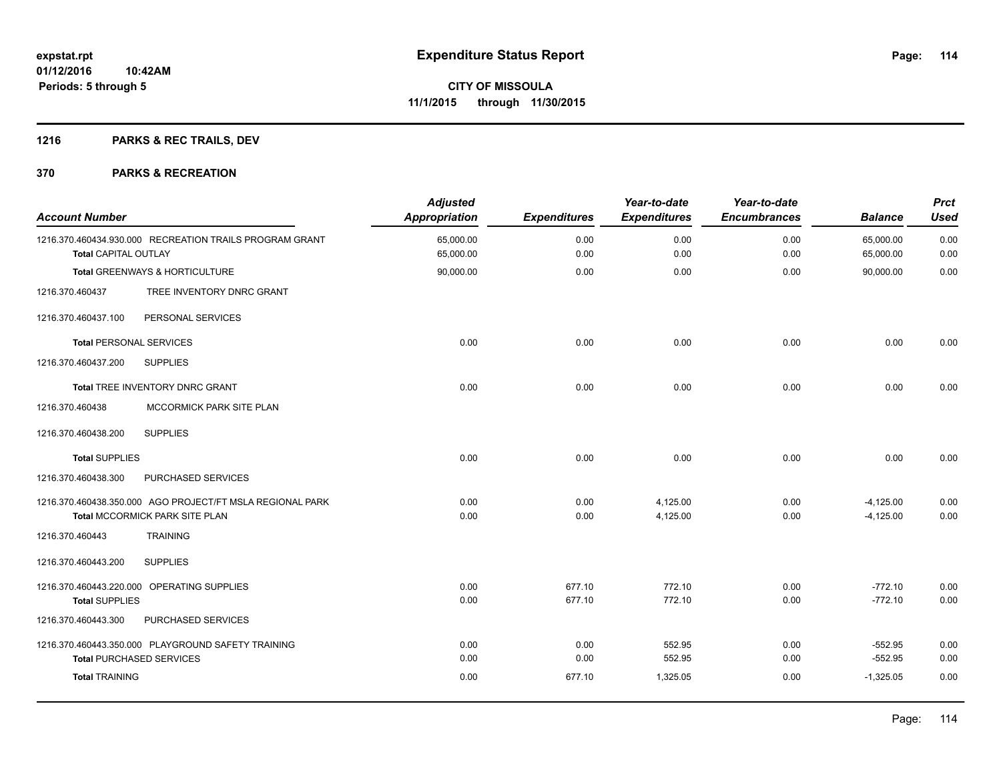# **1216 PARKS & REC TRAILS, DEV**

| <b>Account Number</b>          |                                                           | <b>Adjusted</b><br>Appropriation | <b>Expenditures</b> | Year-to-date<br><b>Expenditures</b> | Year-to-date<br><b>Encumbrances</b> | <b>Balance</b>         | <b>Prct</b><br><b>Used</b> |
|--------------------------------|-----------------------------------------------------------|----------------------------------|---------------------|-------------------------------------|-------------------------------------|------------------------|----------------------------|
| <b>Total CAPITAL OUTLAY</b>    | 1216.370.460434.930.000 RECREATION TRAILS PROGRAM GRANT   | 65,000.00<br>65,000.00           | 0.00<br>0.00        | 0.00<br>0.00                        | 0.00<br>0.00                        | 65,000.00<br>65,000.00 | 0.00<br>0.00               |
|                                | Total GREENWAYS & HORTICULTURE                            | 90,000.00                        | 0.00                | 0.00                                | 0.00                                | 90,000.00              | 0.00                       |
| 1216.370.460437                | TREE INVENTORY DNRC GRANT                                 |                                  |                     |                                     |                                     |                        |                            |
| 1216.370.460437.100            | PERSONAL SERVICES                                         |                                  |                     |                                     |                                     |                        |                            |
| <b>Total PERSONAL SERVICES</b> |                                                           | 0.00                             | 0.00                | 0.00                                | 0.00                                | 0.00                   | 0.00                       |
| 1216.370.460437.200            | <b>SUPPLIES</b>                                           |                                  |                     |                                     |                                     |                        |                            |
|                                | Total TREE INVENTORY DNRC GRANT                           | 0.00                             | 0.00                | 0.00                                | 0.00                                | 0.00                   | 0.00                       |
| 1216.370.460438                | MCCORMICK PARK SITE PLAN                                  |                                  |                     |                                     |                                     |                        |                            |
| 1216.370.460438.200            | <b>SUPPLIES</b>                                           |                                  |                     |                                     |                                     |                        |                            |
| <b>Total SUPPLIES</b>          |                                                           | 0.00                             | 0.00                | 0.00                                | 0.00                                | 0.00                   | 0.00                       |
| 1216.370.460438.300            | PURCHASED SERVICES                                        |                                  |                     |                                     |                                     |                        |                            |
|                                | 1216.370.460438.350.000 AGO PROJECT/FT MSLA REGIONAL PARK | 0.00                             | 0.00                | 4,125.00                            | 0.00                                | $-4,125.00$            | 0.00                       |
|                                | Total MCCORMICK PARK SITE PLAN                            | 0.00                             | 0.00                | 4,125.00                            | 0.00                                | $-4,125.00$            | 0.00                       |
| 1216.370.460443                | <b>TRAINING</b>                                           |                                  |                     |                                     |                                     |                        |                            |
| 1216.370.460443.200            | <b>SUPPLIES</b>                                           |                                  |                     |                                     |                                     |                        |                            |
|                                | 1216.370.460443.220.000 OPERATING SUPPLIES                | 0.00                             | 677.10              | 772.10                              | 0.00                                | $-772.10$              | 0.00                       |
| <b>Total SUPPLIES</b>          |                                                           | 0.00                             | 677.10              | 772.10                              | 0.00                                | $-772.10$              | 0.00                       |
| 1216.370.460443.300            | PURCHASED SERVICES                                        |                                  |                     |                                     |                                     |                        |                            |
|                                | 1216.370.460443.350.000 PLAYGROUND SAFETY TRAINING        | 0.00                             | 0.00                | 552.95                              | 0.00                                | $-552.95$              | 0.00                       |
|                                | <b>Total PURCHASED SERVICES</b>                           | 0.00                             | 0.00                | 552.95                              | 0.00                                | $-552.95$              | 0.00                       |
| <b>Total TRAINING</b>          |                                                           | 0.00                             | 677.10              | 1,325.05                            | 0.00                                | $-1,325.05$            | 0.00                       |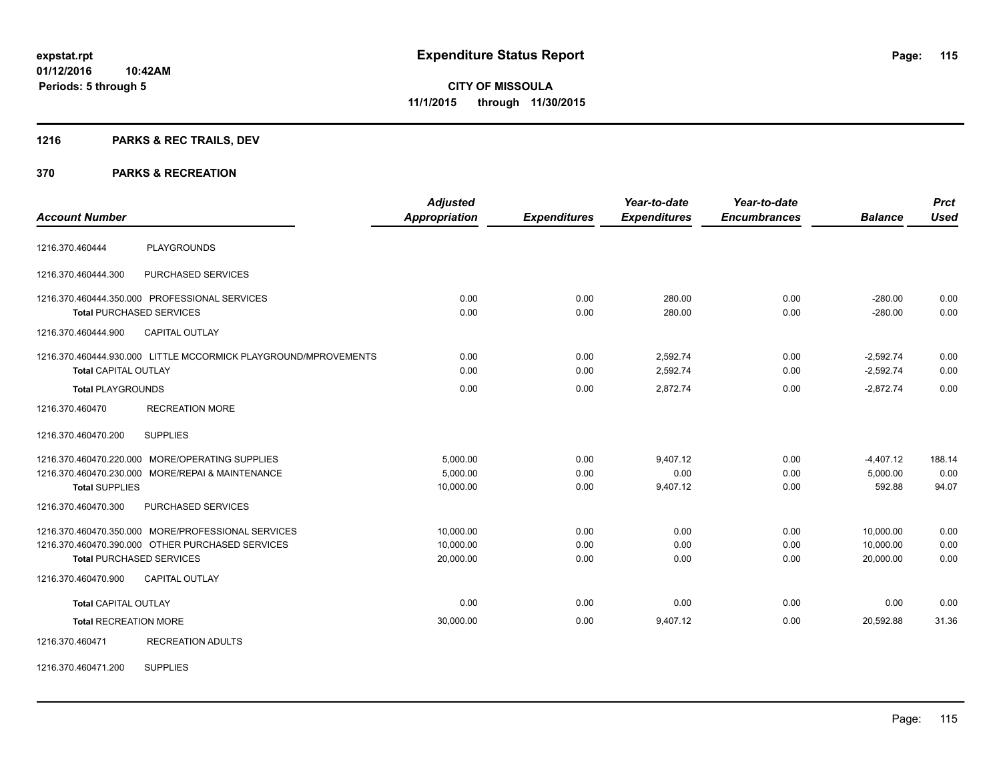# **1216 PARKS & REC TRAILS, DEV**

#### **370 PARKS & RECREATION**

| <b>Account Number</b>        |                                                                                                                                           | <b>Adjusted</b><br><b>Appropriation</b> | <b>Expenditures</b>  | Year-to-date<br><b>Expenditures</b> | Year-to-date<br><b>Encumbrances</b> | <b>Balance</b>                      | <b>Prct</b><br><b>Used</b> |
|------------------------------|-------------------------------------------------------------------------------------------------------------------------------------------|-----------------------------------------|----------------------|-------------------------------------|-------------------------------------|-------------------------------------|----------------------------|
| 1216.370.460444              | <b>PLAYGROUNDS</b>                                                                                                                        |                                         |                      |                                     |                                     |                                     |                            |
| 1216.370.460444.300          | PURCHASED SERVICES                                                                                                                        |                                         |                      |                                     |                                     |                                     |                            |
|                              | 1216.370.460444.350.000 PROFESSIONAL SERVICES<br><b>Total PURCHASED SERVICES</b>                                                          | 0.00<br>0.00                            | 0.00<br>0.00         | 280.00<br>280.00                    | 0.00<br>0.00                        | $-280.00$<br>$-280.00$              | 0.00<br>0.00               |
| 1216.370.460444.900          | <b>CAPITAL OUTLAY</b>                                                                                                                     |                                         |                      |                                     |                                     |                                     |                            |
| <b>Total CAPITAL OUTLAY</b>  | 1216.370.460444.930.000 LITTLE MCCORMICK PLAYGROUND/MPROVEMENTS                                                                           | 0.00<br>0.00                            | 0.00<br>0.00         | 2,592.74<br>2,592.74                | 0.00<br>0.00                        | $-2,592.74$<br>$-2,592.74$          | 0.00<br>0.00               |
| <b>Total PLAYGROUNDS</b>     |                                                                                                                                           | 0.00                                    | 0.00                 | 2,872.74                            | 0.00                                | $-2,872.74$                         | 0.00                       |
| 1216.370.460470              | <b>RECREATION MORE</b>                                                                                                                    |                                         |                      |                                     |                                     |                                     |                            |
| 1216.370.460470.200          | <b>SUPPLIES</b>                                                                                                                           |                                         |                      |                                     |                                     |                                     |                            |
| <b>Total SUPPLIES</b>        | 1216.370.460470.220.000 MORE/OPERATING SUPPLIES<br>1216.370.460470.230.000 MORE/REPAI & MAINTENANCE                                       | 5,000.00<br>5,000.00<br>10,000.00       | 0.00<br>0.00<br>0.00 | 9,407.12<br>0.00<br>9,407.12        | 0.00<br>0.00<br>0.00                | $-4,407.12$<br>5,000.00<br>592.88   | 188.14<br>0.00<br>94.07    |
| 1216.370.460470.300          | PURCHASED SERVICES                                                                                                                        |                                         |                      |                                     |                                     |                                     |                            |
|                              | 1216.370.460470.350.000 MORE/PROFESSIONAL SERVICES<br>1216.370.460470.390.000 OTHER PURCHASED SERVICES<br><b>Total PURCHASED SERVICES</b> | 10,000.00<br>10,000.00<br>20,000.00     | 0.00<br>0.00<br>0.00 | 0.00<br>0.00<br>0.00                | 0.00<br>0.00<br>0.00                | 10,000.00<br>10,000.00<br>20,000.00 | 0.00<br>0.00<br>0.00       |
| 1216.370.460470.900          | <b>CAPITAL OUTLAY</b>                                                                                                                     |                                         |                      |                                     |                                     |                                     |                            |
| <b>Total CAPITAL OUTLAY</b>  |                                                                                                                                           | 0.00                                    | 0.00                 | 0.00                                | 0.00                                | 0.00                                | 0.00                       |
| <b>Total RECREATION MORE</b> |                                                                                                                                           | 30,000.00                               | 0.00                 | 9,407.12                            | 0.00                                | 20.592.88                           | 31.36                      |
| 1216.370.460471              | <b>RECREATION ADULTS</b>                                                                                                                  |                                         |                      |                                     |                                     |                                     |                            |

1216.370.460471.200 SUPPLIES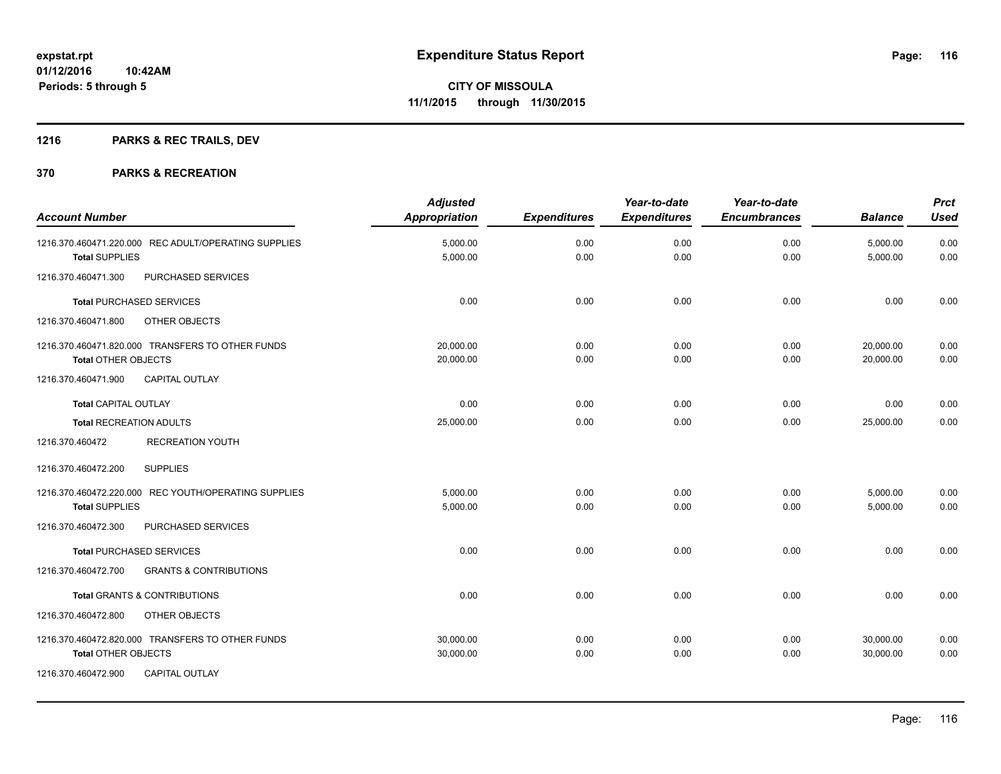# **1216 PARKS & REC TRAILS, DEV**

| <b>Account Number</b>                                                                                                   | <b>Adjusted</b><br><b>Appropriation</b> | <b>Expenditures</b> | Year-to-date<br><b>Expenditures</b> | Year-to-date<br><b>Encumbrances</b> | <b>Balance</b>         | <b>Prct</b><br><b>Used</b> |
|-------------------------------------------------------------------------------------------------------------------------|-----------------------------------------|---------------------|-------------------------------------|-------------------------------------|------------------------|----------------------------|
| 1216.370.460471.220.000 REC ADULT/OPERATING SUPPLIES<br><b>Total SUPPLIES</b>                                           | 5,000.00<br>5,000.00                    | 0.00<br>0.00        | 0.00<br>0.00                        | 0.00<br>0.00                        | 5,000.00<br>5,000.00   | 0.00<br>0.00               |
| 1216.370.460471.300<br>PURCHASED SERVICES                                                                               |                                         |                     |                                     |                                     |                        |                            |
| <b>Total PURCHASED SERVICES</b>                                                                                         | 0.00                                    | 0.00                | 0.00                                | 0.00                                | 0.00                   | 0.00                       |
| OTHER OBJECTS<br>1216.370.460471.800                                                                                    |                                         |                     |                                     |                                     |                        |                            |
| 1216.370.460471.820.000 TRANSFERS TO OTHER FUNDS<br>Total OTHER OBJECTS                                                 | 20.000.00<br>20,000.00                  | 0.00<br>0.00        | 0.00<br>0.00                        | 0.00<br>0.00                        | 20,000.00<br>20,000.00 | 0.00<br>0.00               |
| <b>CAPITAL OUTLAY</b><br>1216.370.460471.900                                                                            |                                         |                     |                                     |                                     |                        |                            |
| <b>Total CAPITAL OUTLAY</b>                                                                                             | 0.00                                    | 0.00                | 0.00                                | 0.00                                | 0.00                   | 0.00                       |
| <b>Total RECREATION ADULTS</b>                                                                                          | 25,000.00                               | 0.00                | 0.00                                | 0.00                                | 25,000.00              | 0.00                       |
| <b>RECREATION YOUTH</b><br>1216.370.460472                                                                              |                                         |                     |                                     |                                     |                        |                            |
| 1216.370.460472.200<br><b>SUPPLIES</b>                                                                                  |                                         |                     |                                     |                                     |                        |                            |
| 1216.370.460472.220.000 REC YOUTH/OPERATING SUPPLIES<br><b>Total SUPPLIES</b>                                           | 5,000.00<br>5,000.00                    | 0.00<br>0.00        | 0.00<br>0.00                        | 0.00<br>0.00                        | 5,000.00<br>5,000.00   | 0.00<br>0.00               |
| PURCHASED SERVICES<br>1216.370.460472.300                                                                               |                                         |                     |                                     |                                     |                        |                            |
| Total PURCHASED SERVICES                                                                                                | 0.00                                    | 0.00                | 0.00                                | 0.00                                | 0.00                   | 0.00                       |
| 1216.370.460472.700<br><b>GRANTS &amp; CONTRIBUTIONS</b>                                                                |                                         |                     |                                     |                                     |                        |                            |
| <b>Total GRANTS &amp; CONTRIBUTIONS</b>                                                                                 | 0.00                                    | 0.00                | 0.00                                | 0.00                                | 0.00                   | 0.00                       |
| 1216.370.460472.800<br>OTHER OBJECTS                                                                                    |                                         |                     |                                     |                                     |                        |                            |
| 1216.370.460472.820.000 TRANSFERS TO OTHER FUNDS<br>Total OTHER OBJECTS<br>1216.370.460472.900<br><b>CAPITAL OUTLAY</b> | 30,000.00<br>30,000.00                  | 0.00<br>0.00        | 0.00<br>0.00                        | 0.00<br>0.00                        | 30,000.00<br>30,000.00 | 0.00<br>0.00               |
|                                                                                                                         |                                         |                     |                                     |                                     |                        |                            |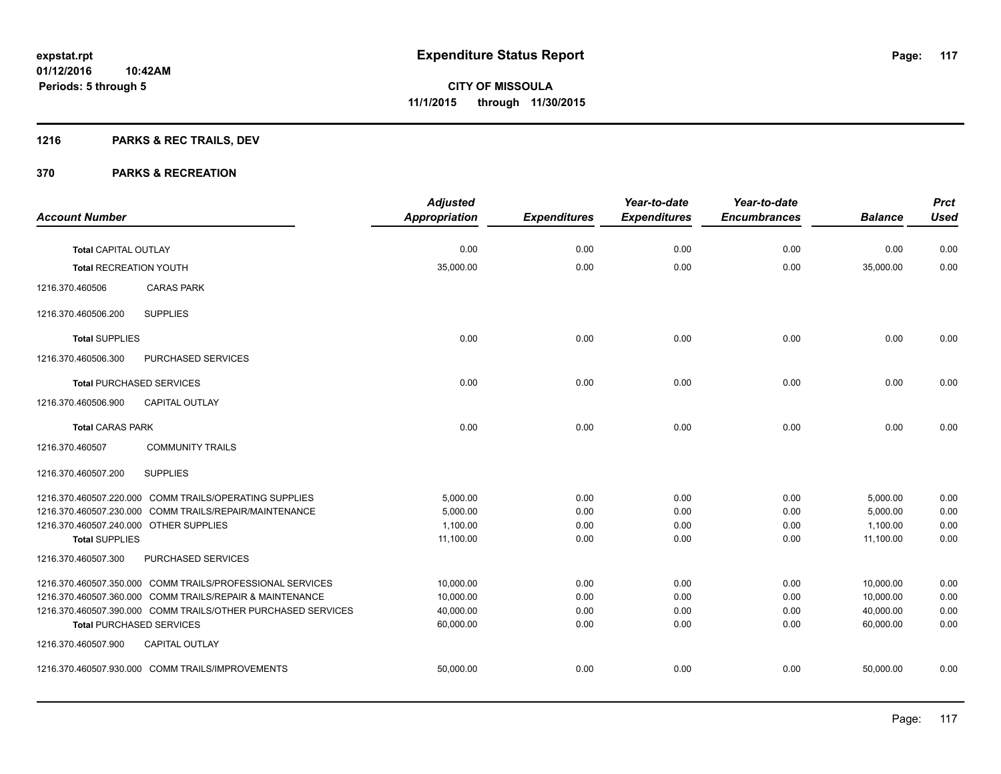# **1216 PARKS & REC TRAILS, DEV**

|                                        |                                                              | <b>Adjusted</b>      |                     | Year-to-date        | Year-to-date        |                | <b>Prct</b> |
|----------------------------------------|--------------------------------------------------------------|----------------------|---------------------|---------------------|---------------------|----------------|-------------|
| <b>Account Number</b>                  |                                                              | <b>Appropriation</b> | <b>Expenditures</b> | <b>Expenditures</b> | <b>Encumbrances</b> | <b>Balance</b> | <b>Used</b> |
| Total CAPITAL OUTLAY                   |                                                              | 0.00                 | 0.00                | 0.00                | 0.00                | 0.00           | 0.00        |
|                                        |                                                              |                      |                     |                     |                     |                |             |
| <b>Total RECREATION YOUTH</b>          |                                                              | 35,000.00            | 0.00                | 0.00                | 0.00                | 35,000.00      | 0.00        |
| 1216.370.460506                        | <b>CARAS PARK</b>                                            |                      |                     |                     |                     |                |             |
| 1216.370.460506.200                    | <b>SUPPLIES</b>                                              |                      |                     |                     |                     |                |             |
| <b>Total SUPPLIES</b>                  |                                                              | 0.00                 | 0.00                | 0.00                | 0.00                | 0.00           | 0.00        |
| 1216.370.460506.300                    | PURCHASED SERVICES                                           |                      |                     |                     |                     |                |             |
|                                        | <b>Total PURCHASED SERVICES</b>                              | 0.00                 | 0.00                | 0.00                | 0.00                | 0.00           | 0.00        |
| 1216.370.460506.900                    | <b>CAPITAL OUTLAY</b>                                        |                      |                     |                     |                     |                |             |
| <b>Total CARAS PARK</b>                |                                                              | 0.00                 | 0.00                | 0.00                | 0.00                | 0.00           | 0.00        |
| 1216.370.460507                        | <b>COMMUNITY TRAILS</b>                                      |                      |                     |                     |                     |                |             |
| 1216.370.460507.200                    | <b>SUPPLIES</b>                                              |                      |                     |                     |                     |                |             |
|                                        | 1216.370.460507.220.000 COMM TRAILS/OPERATING SUPPLIES       | 5,000.00             | 0.00                | 0.00                | 0.00                | 5,000.00       | 0.00        |
|                                        | 1216.370.460507.230.000 COMM TRAILS/REPAIR/MAINTENANCE       | 5,000.00             | 0.00                | 0.00                | 0.00                | 5,000.00       | 0.00        |
| 1216.370.460507.240.000 OTHER SUPPLIES |                                                              | 1,100.00             | 0.00                | 0.00                | 0.00                | 1,100.00       | 0.00        |
| <b>Total SUPPLIES</b>                  |                                                              | 11,100.00            | 0.00                | 0.00                | 0.00                | 11,100.00      | 0.00        |
| 1216.370.460507.300                    | PURCHASED SERVICES                                           |                      |                     |                     |                     |                |             |
|                                        | 1216.370.460507.350.000 COMM TRAILS/PROFESSIONAL SERVICES    | 10,000.00            | 0.00                | 0.00                | 0.00                | 10,000.00      | 0.00        |
|                                        | 1216.370.460507.360.000 COMM TRAILS/REPAIR & MAINTENANCE     | 10,000.00            | 0.00                | 0.00                | 0.00                | 10,000.00      | 0.00        |
|                                        | 1216.370.460507.390.000 COMM TRAILS/OTHER PURCHASED SERVICES | 40,000.00            | 0.00                | 0.00                | 0.00                | 40,000.00      | 0.00        |
|                                        | <b>Total PURCHASED SERVICES</b>                              | 60,000.00            | 0.00                | 0.00                | 0.00                | 60,000.00      | 0.00        |
| 1216.370.460507.900                    | <b>CAPITAL OUTLAY</b>                                        |                      |                     |                     |                     |                |             |
|                                        | 1216.370.460507.930.000 COMM TRAILS/IMPROVEMENTS             | 50,000.00            | 0.00                | 0.00                | 0.00                | 50,000.00      | 0.00        |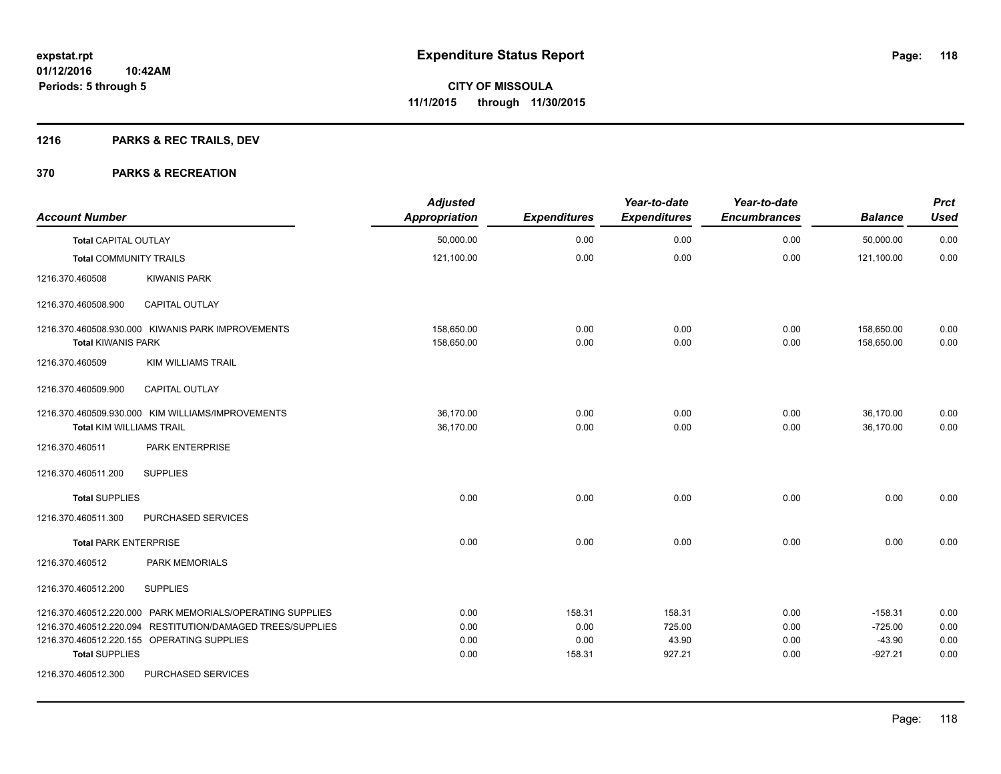# **1216 PARKS & REC TRAILS, DEV**

| <b>Account Number</b>           |                                                                                                                                                                       | <b>Adjusted</b><br><b>Appropriation</b> | <b>Expenditures</b>              | Year-to-date<br><b>Expenditures</b> | Year-to-date<br><b>Encumbrances</b> | <b>Balance</b>                                  | <b>Prct</b><br><b>Used</b>   |
|---------------------------------|-----------------------------------------------------------------------------------------------------------------------------------------------------------------------|-----------------------------------------|----------------------------------|-------------------------------------|-------------------------------------|-------------------------------------------------|------------------------------|
| <b>Total CAPITAL OUTLAY</b>     |                                                                                                                                                                       | 50,000.00                               | 0.00                             | 0.00                                | 0.00                                | 50,000.00                                       | 0.00                         |
| <b>Total COMMUNITY TRAILS</b>   |                                                                                                                                                                       | 121,100.00                              | 0.00                             | 0.00                                | 0.00                                | 121,100.00                                      | 0.00                         |
| 1216.370.460508                 | <b>KIWANIS PARK</b>                                                                                                                                                   |                                         |                                  |                                     |                                     |                                                 |                              |
| 1216.370.460508.900             | <b>CAPITAL OUTLAY</b>                                                                                                                                                 |                                         |                                  |                                     |                                     |                                                 |                              |
| <b>Total KIWANIS PARK</b>       | 1216.370.460508.930.000 KIWANIS PARK IMPROVEMENTS                                                                                                                     | 158,650.00<br>158,650.00                | 0.00<br>0.00                     | 0.00<br>0.00                        | 0.00<br>0.00                        | 158,650.00<br>158,650.00                        | 0.00<br>0.00                 |
| 1216.370.460509                 | <b>KIM WILLIAMS TRAIL</b>                                                                                                                                             |                                         |                                  |                                     |                                     |                                                 |                              |
| 1216.370.460509.900             | <b>CAPITAL OUTLAY</b>                                                                                                                                                 |                                         |                                  |                                     |                                     |                                                 |                              |
| <b>Total KIM WILLIAMS TRAIL</b> | 1216.370.460509.930.000 KIM WILLIAMS/IMPROVEMENTS                                                                                                                     | 36,170.00<br>36.170.00                  | 0.00<br>0.00                     | 0.00<br>0.00                        | 0.00<br>0.00                        | 36,170.00<br>36.170.00                          | 0.00<br>0.00                 |
| 1216.370.460511                 | PARK ENTERPRISE                                                                                                                                                       |                                         |                                  |                                     |                                     |                                                 |                              |
| 1216.370.460511.200             | <b>SUPPLIES</b>                                                                                                                                                       |                                         |                                  |                                     |                                     |                                                 |                              |
| <b>Total SUPPLIES</b>           |                                                                                                                                                                       | 0.00                                    | 0.00                             | 0.00                                | 0.00                                | 0.00                                            | 0.00                         |
| 1216.370.460511.300             | <b>PURCHASED SERVICES</b>                                                                                                                                             |                                         |                                  |                                     |                                     |                                                 |                              |
| <b>Total PARK ENTERPRISE</b>    |                                                                                                                                                                       | 0.00                                    | 0.00                             | 0.00                                | 0.00                                | 0.00                                            | 0.00                         |
| 1216.370.460512                 | <b>PARK MEMORIALS</b>                                                                                                                                                 |                                         |                                  |                                     |                                     |                                                 |                              |
| 1216.370.460512.200             | <b>SUPPLIES</b>                                                                                                                                                       |                                         |                                  |                                     |                                     |                                                 |                              |
| <b>Total SUPPLIES</b>           | 1216.370.460512.220.000 PARK MEMORIALS/OPERATING SUPPLIES<br>1216.370.460512.220.094 RESTITUTION/DAMAGED TREES/SUPPLIES<br>1216.370.460512.220.155 OPERATING SUPPLIES | 0.00<br>0.00<br>0.00<br>0.00            | 158.31<br>0.00<br>0.00<br>158.31 | 158.31<br>725.00<br>43.90<br>927.21 | 0.00<br>0.00<br>0.00<br>0.00        | $-158.31$<br>$-725.00$<br>$-43.90$<br>$-927.21$ | 0.00<br>0.00<br>0.00<br>0.00 |
| 1216.370.460512.300             | PURCHASED SERVICES                                                                                                                                                    |                                         |                                  |                                     |                                     |                                                 |                              |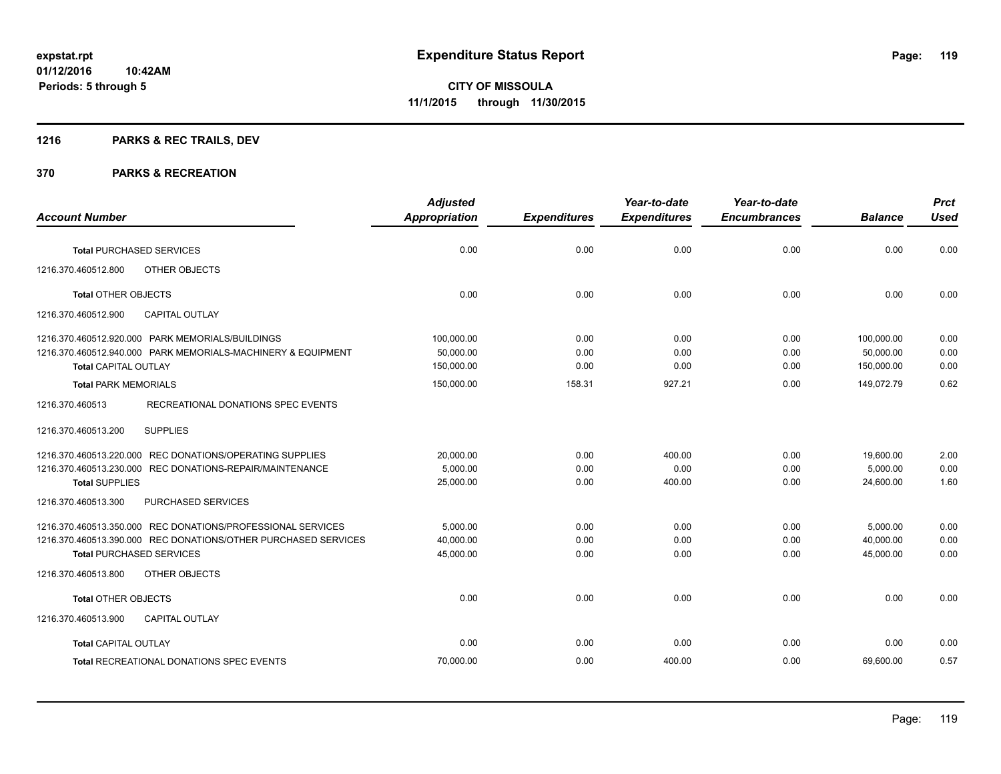# **1216 PARKS & REC TRAILS, DEV**

|                                                                | <b>Adjusted</b>      |                     | Year-to-date        | Year-to-date        |                | <b>Prct</b> |
|----------------------------------------------------------------|----------------------|---------------------|---------------------|---------------------|----------------|-------------|
| <b>Account Number</b>                                          | <b>Appropriation</b> | <b>Expenditures</b> | <b>Expenditures</b> | <b>Encumbrances</b> | <b>Balance</b> | <b>Used</b> |
| <b>Total PURCHASED SERVICES</b>                                | 0.00                 | 0.00                | 0.00                | 0.00                | 0.00           | 0.00        |
| 1216.370.460512.800<br><b>OTHER OBJECTS</b>                    |                      |                     |                     |                     |                |             |
| <b>Total OTHER OBJECTS</b>                                     | 0.00                 | 0.00                | 0.00                | 0.00                | 0.00           | 0.00        |
| 1216.370.460512.900<br><b>CAPITAL OUTLAY</b>                   |                      |                     |                     |                     |                |             |
| 1216.370.460512.920.000 PARK MEMORIALS/BUILDINGS               | 100,000.00           | 0.00                | 0.00                | 0.00                | 100.000.00     | 0.00        |
| 1216.370.460512.940.000 PARK MEMORIALS-MACHINERY & EQUIPMENT   | 50,000.00            | 0.00                | 0.00                | 0.00                | 50,000.00      | 0.00        |
| <b>Total CAPITAL OUTLAY</b>                                    | 150,000.00           | 0.00                | 0.00                | 0.00                | 150,000.00     | 0.00        |
| <b>Total PARK MEMORIALS</b>                                    | 150,000.00           | 158.31              | 927.21              | 0.00                | 149,072.79     | 0.62        |
| RECREATIONAL DONATIONS SPEC EVENTS<br>1216.370.460513          |                      |                     |                     |                     |                |             |
| <b>SUPPLIES</b><br>1216.370.460513.200                         |                      |                     |                     |                     |                |             |
| 1216.370.460513.220.000 REC DONATIONS/OPERATING SUPPLIES       | 20,000.00            | 0.00                | 400.00              | 0.00                | 19,600.00      | 2.00        |
| 1216.370.460513.230.000 REC DONATIONS-REPAIR/MAINTENANCE       | 5,000.00             | 0.00                | 0.00                | 0.00                | 5,000.00       | 0.00        |
| <b>Total SUPPLIES</b>                                          | 25,000.00            | 0.00                | 400.00              | 0.00                | 24,600.00      | 1.60        |
| 1216.370.460513.300<br>PURCHASED SERVICES                      |                      |                     |                     |                     |                |             |
| 1216.370.460513.350.000 REC DONATIONS/PROFESSIONAL SERVICES    | 5,000.00             | 0.00                | 0.00                | 0.00                | 5,000.00       | 0.00        |
| 1216.370.460513.390.000 REC DONATIONS/OTHER PURCHASED SERVICES | 40,000.00            | 0.00                | 0.00                | 0.00                | 40,000.00      | 0.00        |
| <b>Total PURCHASED SERVICES</b>                                | 45,000.00            | 0.00                | 0.00                | 0.00                | 45,000.00      | 0.00        |
| 1216.370.460513.800<br><b>OTHER OBJECTS</b>                    |                      |                     |                     |                     |                |             |
| <b>Total OTHER OBJECTS</b>                                     | 0.00                 | 0.00                | 0.00                | 0.00                | 0.00           | 0.00        |
| 1216.370.460513.900<br><b>CAPITAL OUTLAY</b>                   |                      |                     |                     |                     |                |             |
| <b>Total CAPITAL OUTLAY</b>                                    | 0.00                 | 0.00                | 0.00                | 0.00                | 0.00           | 0.00        |
| <b>Total RECREATIONAL DONATIONS SPEC EVENTS</b>                | 70,000.00            | 0.00                | 400.00              | 0.00                | 69,600.00      | 0.57        |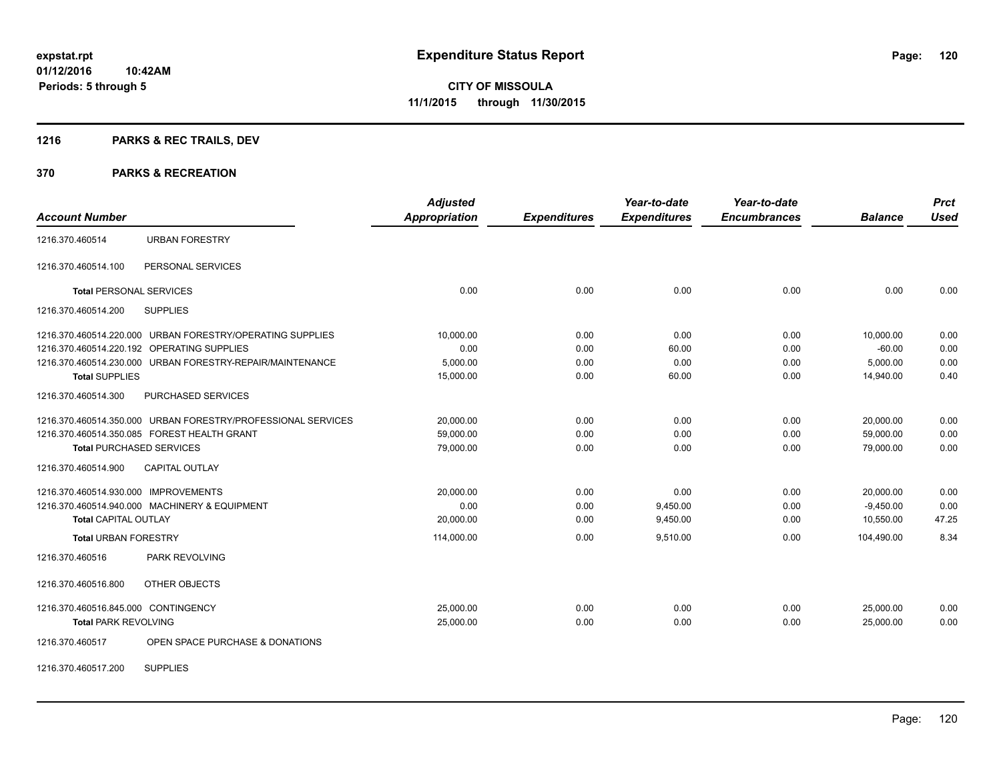# **1216 PARKS & REC TRAILS, DEV**

#### **370 PARKS & RECREATION**

| <b>Account Number</b>                |                                                              | <b>Adjusted</b><br>Appropriation | <b>Expenditures</b> | Year-to-date<br><b>Expenditures</b> | Year-to-date<br><b>Encumbrances</b> | <b>Balance</b> | <b>Prct</b><br><b>Used</b> |
|--------------------------------------|--------------------------------------------------------------|----------------------------------|---------------------|-------------------------------------|-------------------------------------|----------------|----------------------------|
| 1216.370.460514                      | <b>URBAN FORESTRY</b>                                        |                                  |                     |                                     |                                     |                |                            |
| 1216.370.460514.100                  | PERSONAL SERVICES                                            |                                  |                     |                                     |                                     |                |                            |
| <b>Total PERSONAL SERVICES</b>       |                                                              | 0.00                             | 0.00                | 0.00                                | 0.00                                | 0.00           | 0.00                       |
| 1216.370.460514.200                  | <b>SUPPLIES</b>                                              |                                  |                     |                                     |                                     |                |                            |
|                                      | 1216.370.460514.220.000 URBAN FORESTRY/OPERATING SUPPLIES    | 10,000.00                        | 0.00                | 0.00                                | 0.00                                | 10,000.00      | 0.00                       |
|                                      | 1216.370.460514.220.192 OPERATING SUPPLIES                   | 0.00                             | 0.00                | 60.00                               | 0.00                                | $-60.00$       | 0.00                       |
|                                      | 1216.370.460514.230.000 URBAN FORESTRY-REPAIR/MAINTENANCE    | 5,000.00                         | 0.00                | 0.00                                | 0.00                                | 5,000.00       | 0.00                       |
| <b>Total SUPPLIES</b>                |                                                              | 15,000.00                        | 0.00                | 60.00                               | 0.00                                | 14.940.00      | 0.40                       |
| 1216.370.460514.300                  | PURCHASED SERVICES                                           |                                  |                     |                                     |                                     |                |                            |
|                                      | 1216.370.460514.350.000 URBAN FORESTRY/PROFESSIONAL SERVICES | 20,000.00                        | 0.00                | 0.00                                | 0.00                                | 20,000.00      | 0.00                       |
|                                      | 1216.370.460514.350.085 FOREST HEALTH GRANT                  | 59,000.00                        | 0.00                | 0.00                                | 0.00                                | 59,000.00      | 0.00                       |
| <b>Total PURCHASED SERVICES</b>      |                                                              | 79,000.00                        | 0.00                | 0.00                                | 0.00                                | 79,000.00      | 0.00                       |
| 1216.370.460514.900                  | <b>CAPITAL OUTLAY</b>                                        |                                  |                     |                                     |                                     |                |                            |
| 1216.370.460514.930.000 IMPROVEMENTS |                                                              | 20,000.00                        | 0.00                | 0.00                                | 0.00                                | 20,000.00      | 0.00                       |
|                                      | 1216.370.460514.940.000 MACHINERY & EQUIPMENT                | 0.00                             | 0.00                | 9,450.00                            | 0.00                                | $-9,450.00$    | 0.00                       |
| <b>Total CAPITAL OUTLAY</b>          |                                                              | 20,000.00                        | 0.00                | 9,450.00                            | 0.00                                | 10,550.00      | 47.25                      |
| <b>Total URBAN FORESTRY</b>          |                                                              | 114,000.00                       | 0.00                | 9,510.00                            | 0.00                                | 104,490.00     | 8.34                       |
| 1216.370.460516                      | PARK REVOLVING                                               |                                  |                     |                                     |                                     |                |                            |
| 1216.370.460516.800                  | OTHER OBJECTS                                                |                                  |                     |                                     |                                     |                |                            |
| 1216.370.460516.845.000 CONTINGENCY  |                                                              | 25,000.00                        | 0.00                | 0.00                                | 0.00                                | 25,000.00      | 0.00                       |
| <b>Total PARK REVOLVING</b>          |                                                              | 25,000.00                        | 0.00                | 0.00                                | 0.00                                | 25,000.00      | 0.00                       |
| 1216.370.460517                      | OPEN SPACE PURCHASE & DONATIONS                              |                                  |                     |                                     |                                     |                |                            |

1216.370.460517.200 SUPPLIES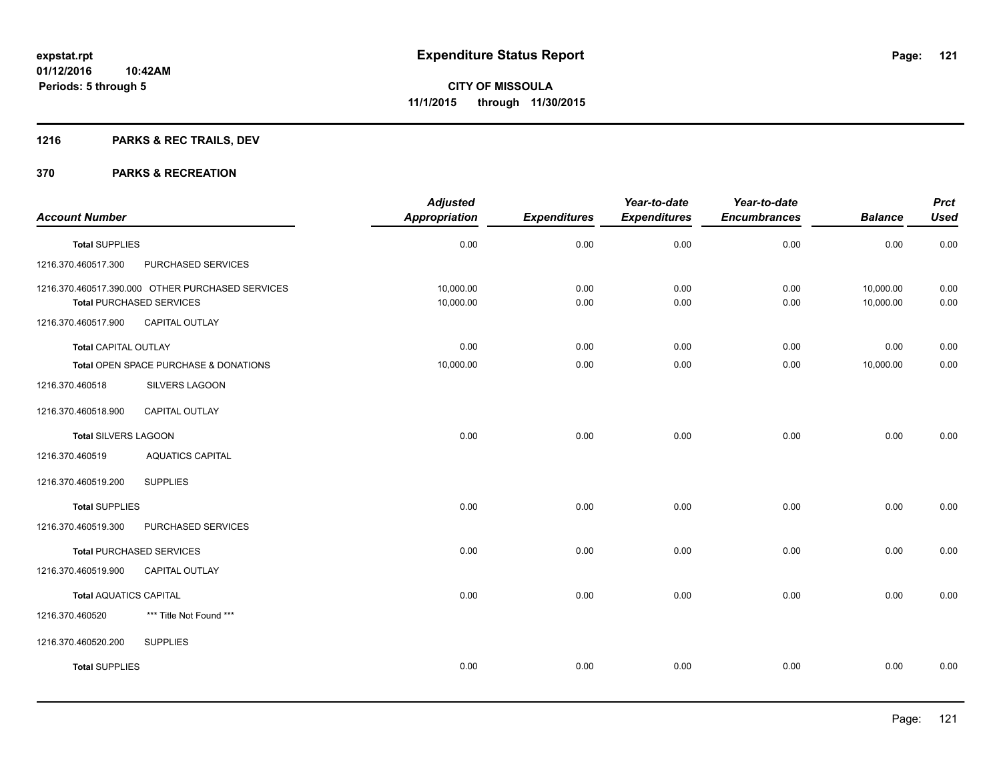# **1216 PARKS & REC TRAILS, DEV**

| <b>Account Number</b>         |                                                                                     | <b>Adjusted</b><br><b>Appropriation</b> | <b>Expenditures</b> | Year-to-date<br><b>Expenditures</b> | Year-to-date<br><b>Encumbrances</b> | <b>Balance</b>         | <b>Prct</b><br><b>Used</b> |
|-------------------------------|-------------------------------------------------------------------------------------|-----------------------------------------|---------------------|-------------------------------------|-------------------------------------|------------------------|----------------------------|
| <b>Total SUPPLIES</b>         |                                                                                     | 0.00                                    | 0.00                | 0.00                                | 0.00                                | 0.00                   | 0.00                       |
| 1216.370.460517.300           | PURCHASED SERVICES                                                                  |                                         |                     |                                     |                                     |                        |                            |
|                               | 1216.370.460517.390.000 OTHER PURCHASED SERVICES<br><b>Total PURCHASED SERVICES</b> | 10,000.00<br>10,000.00                  | 0.00<br>0.00        | 0.00<br>0.00                        | 0.00<br>0.00                        | 10,000.00<br>10,000.00 | 0.00<br>0.00               |
| 1216.370.460517.900           | <b>CAPITAL OUTLAY</b>                                                               |                                         |                     |                                     |                                     |                        |                            |
| <b>Total CAPITAL OUTLAY</b>   |                                                                                     | 0.00                                    | 0.00                | 0.00                                | 0.00                                | 0.00                   | 0.00                       |
|                               | Total OPEN SPACE PURCHASE & DONATIONS                                               | 10,000.00                               | 0.00                | 0.00                                | 0.00                                | 10,000.00              | 0.00                       |
| 1216.370.460518               | SILVERS LAGOON                                                                      |                                         |                     |                                     |                                     |                        |                            |
| 1216.370.460518.900           | <b>CAPITAL OUTLAY</b>                                                               |                                         |                     |                                     |                                     |                        |                            |
| Total SILVERS LAGOON          |                                                                                     | 0.00                                    | 0.00                | 0.00                                | 0.00                                | 0.00                   | 0.00                       |
| 1216.370.460519               | <b>AQUATICS CAPITAL</b>                                                             |                                         |                     |                                     |                                     |                        |                            |
| 1216.370.460519.200           | <b>SUPPLIES</b>                                                                     |                                         |                     |                                     |                                     |                        |                            |
| <b>Total SUPPLIES</b>         |                                                                                     | 0.00                                    | 0.00                | 0.00                                | 0.00                                | 0.00                   | 0.00                       |
| 1216.370.460519.300           | PURCHASED SERVICES                                                                  |                                         |                     |                                     |                                     |                        |                            |
|                               | <b>Total PURCHASED SERVICES</b>                                                     | 0.00                                    | 0.00                | 0.00                                | 0.00                                | 0.00                   | 0.00                       |
| 1216.370.460519.900           | CAPITAL OUTLAY                                                                      |                                         |                     |                                     |                                     |                        |                            |
| <b>Total AQUATICS CAPITAL</b> |                                                                                     | 0.00                                    | 0.00                | 0.00                                | 0.00                                | 0.00                   | 0.00                       |
| 1216.370.460520               | *** Title Not Found ***                                                             |                                         |                     |                                     |                                     |                        |                            |
| 1216.370.460520.200           | <b>SUPPLIES</b>                                                                     |                                         |                     |                                     |                                     |                        |                            |
| <b>Total SUPPLIES</b>         |                                                                                     | 0.00                                    | 0.00                | 0.00                                | 0.00                                | 0.00                   | 0.00                       |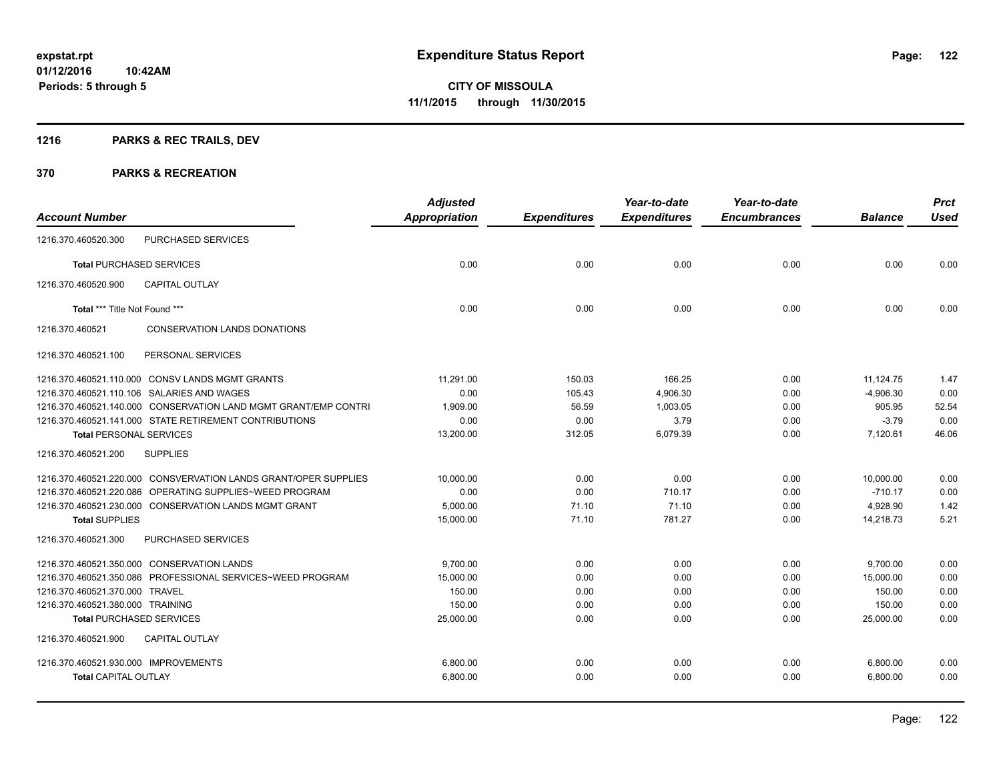# **1216 PARKS & REC TRAILS, DEV**

| <b>Account Number</b>                                           | <b>Adjusted</b><br><b>Appropriation</b> | <b>Expenditures</b> | Year-to-date<br><b>Expenditures</b> | Year-to-date<br><b>Encumbrances</b> | <b>Balance</b> | <b>Prct</b><br><b>Used</b> |
|-----------------------------------------------------------------|-----------------------------------------|---------------------|-------------------------------------|-------------------------------------|----------------|----------------------------|
| <b>PURCHASED SERVICES</b><br>1216.370.460520.300                |                                         |                     |                                     |                                     |                |                            |
| <b>Total PURCHASED SERVICES</b>                                 | 0.00                                    | 0.00                | 0.00                                | 0.00                                | 0.00           | 0.00                       |
| 1216.370.460520.900<br><b>CAPITAL OUTLAY</b>                    |                                         |                     |                                     |                                     |                |                            |
| Total *** Title Not Found ***                                   | 0.00                                    | 0.00                | 0.00                                | 0.00                                | 0.00           | 0.00                       |
| 1216.370.460521<br><b>CONSERVATION LANDS DONATIONS</b>          |                                         |                     |                                     |                                     |                |                            |
| PERSONAL SERVICES<br>1216.370.460521.100                        |                                         |                     |                                     |                                     |                |                            |
| 1216.370.460521.110.000 CONSV LANDS MGMT GRANTS                 | 11.291.00                               | 150.03              | 166.25                              | 0.00                                | 11,124.75      | 1.47                       |
| 1216.370.460521.110.106 SALARIES AND WAGES                      | 0.00                                    | 105.43              | 4,906.30                            | 0.00                                | $-4,906.30$    | 0.00                       |
| 1216.370.460521.140.000 CONSERVATION LAND MGMT GRANT/EMP CONTRI | 1,909.00                                | 56.59               | 1,003.05                            | 0.00                                | 905.95         | 52.54                      |
| 1216.370.460521.141.000 STATE RETIREMENT CONTRIBUTIONS          | 0.00                                    | 0.00                | 3.79                                | 0.00                                | $-3.79$        | 0.00                       |
| <b>Total PERSONAL SERVICES</b>                                  | 13,200.00                               | 312.05              | 6,079.39                            | 0.00                                | 7,120.61       | 46.06                      |
| <b>SUPPLIES</b><br>1216.370.460521.200                          |                                         |                     |                                     |                                     |                |                            |
| 1216.370.460521.220.000 CONSVERVATION LANDS GRANT/OPER SUPPLIES | 10,000.00                               | 0.00                | 0.00                                | 0.00                                | 10,000.00      | 0.00                       |
| 1216.370.460521.220.086 OPERATING SUPPLIES~WEED PROGRAM         | 0.00                                    | 0.00                | 710.17                              | 0.00                                | $-710.17$      | 0.00                       |
| 1216.370.460521.230.000 CONSERVATION LANDS MGMT GRANT           | 5,000.00                                | 71.10               | 71.10                               | 0.00                                | 4,928.90       | 1.42                       |
| <b>Total SUPPLIES</b>                                           | 15,000.00                               | 71.10               | 781.27                              | 0.00                                | 14,218.73      | 5.21                       |
| 1216.370.460521.300<br>PURCHASED SERVICES                       |                                         |                     |                                     |                                     |                |                            |
| 1216.370.460521.350.000 CONSERVATION LANDS                      | 9.700.00                                | 0.00                | 0.00                                | 0.00                                | 9,700.00       | 0.00                       |
| 1216.370.460521.350.086 PROFESSIONAL SERVICES~WEED PROGRAM      | 15,000.00                               | 0.00                | 0.00                                | 0.00                                | 15,000.00      | 0.00                       |
| 1216.370.460521.370.000 TRAVEL                                  | 150.00                                  | 0.00                | 0.00                                | 0.00                                | 150.00         | 0.00                       |
| 1216.370.460521.380.000 TRAINING                                | 150.00                                  | 0.00                | 0.00                                | 0.00                                | 150.00         | 0.00                       |
| <b>Total PURCHASED SERVICES</b>                                 | 25,000.00                               | 0.00                | 0.00                                | 0.00                                | 25,000.00      | 0.00                       |
| <b>CAPITAL OUTLAY</b><br>1216.370.460521.900                    |                                         |                     |                                     |                                     |                |                            |
| 1216.370.460521.930.000 IMPROVEMENTS                            | 6.800.00                                | 0.00                | 0.00                                | 0.00                                | 6,800.00       | 0.00                       |
| <b>Total CAPITAL OUTLAY</b>                                     | 6,800.00                                | 0.00                | 0.00                                | 0.00                                | 6,800.00       | 0.00                       |
|                                                                 |                                         |                     |                                     |                                     |                |                            |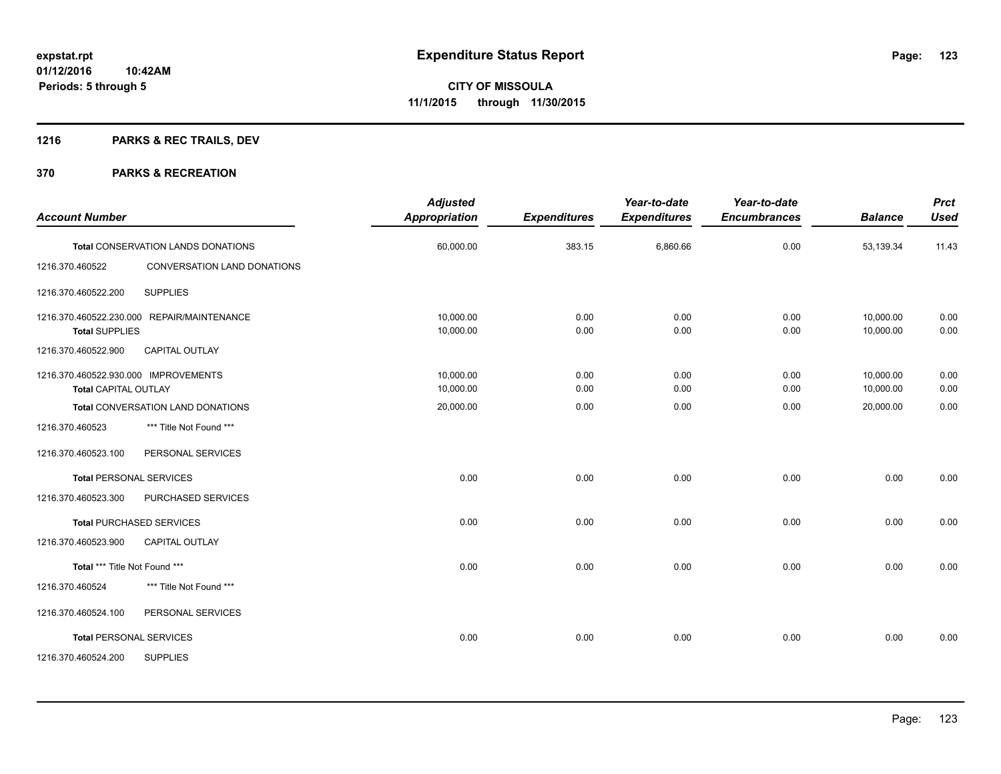# **1216 PARKS & REC TRAILS, DEV**

| <b>Account Number</b>                                               |                                            | <b>Adjusted</b><br>Appropriation | <b>Expenditures</b> | Year-to-date<br><b>Expenditures</b> | Year-to-date<br><b>Encumbrances</b> | <b>Balance</b>         | <b>Prct</b><br><b>Used</b> |
|---------------------------------------------------------------------|--------------------------------------------|----------------------------------|---------------------|-------------------------------------|-------------------------------------|------------------------|----------------------------|
|                                                                     | <b>Total CONSERVATION LANDS DONATIONS</b>  | 60,000.00                        | 383.15              | 6,860.66                            | 0.00                                | 53,139.34              | 11.43                      |
| 1216.370.460522                                                     | CONVERSATION LAND DONATIONS                |                                  |                     |                                     |                                     |                        |                            |
| 1216.370.460522.200                                                 | <b>SUPPLIES</b>                            |                                  |                     |                                     |                                     |                        |                            |
| <b>Total SUPPLIES</b>                                               | 1216.370.460522.230.000 REPAIR/MAINTENANCE | 10.000.00<br>10,000.00           | 0.00<br>0.00        | 0.00<br>0.00                        | 0.00<br>0.00                        | 10,000.00<br>10,000.00 | 0.00<br>0.00               |
| 1216.370.460522.900                                                 | <b>CAPITAL OUTLAY</b>                      |                                  |                     |                                     |                                     |                        |                            |
| 1216.370.460522.930.000 IMPROVEMENTS<br><b>Total CAPITAL OUTLAY</b> |                                            | 10,000.00<br>10,000.00           | 0.00<br>0.00        | 0.00<br>0.00                        | 0.00<br>0.00                        | 10,000.00<br>10,000.00 | 0.00<br>0.00               |
|                                                                     | Total CONVERSATION LAND DONATIONS          | 20,000.00                        | 0.00                | 0.00                                | 0.00                                | 20,000.00              | 0.00                       |
| 1216.370.460523                                                     | *** Title Not Found ***                    |                                  |                     |                                     |                                     |                        |                            |
| 1216.370.460523.100                                                 | PERSONAL SERVICES                          |                                  |                     |                                     |                                     |                        |                            |
|                                                                     | Total PERSONAL SERVICES                    | 0.00                             | 0.00                | 0.00                                | 0.00                                | 0.00                   | 0.00                       |
| 1216.370.460523.300                                                 | PURCHASED SERVICES                         |                                  |                     |                                     |                                     |                        |                            |
|                                                                     | <b>Total PURCHASED SERVICES</b>            | 0.00                             | 0.00                | 0.00                                | 0.00                                | 0.00                   | 0.00                       |
| 1216.370.460523.900                                                 | CAPITAL OUTLAY                             |                                  |                     |                                     |                                     |                        |                            |
| Total *** Title Not Found ***                                       |                                            | 0.00                             | 0.00                | 0.00                                | 0.00                                | 0.00                   | 0.00                       |
| 1216.370.460524                                                     | *** Title Not Found ***                    |                                  |                     |                                     |                                     |                        |                            |
| 1216.370.460524.100                                                 | PERSONAL SERVICES                          |                                  |                     |                                     |                                     |                        |                            |
|                                                                     | <b>Total PERSONAL SERVICES</b>             | 0.00                             | 0.00                | 0.00                                | 0.00                                | 0.00                   | 0.00                       |
| 1216.370.460524.200                                                 | <b>SUPPLIES</b>                            |                                  |                     |                                     |                                     |                        |                            |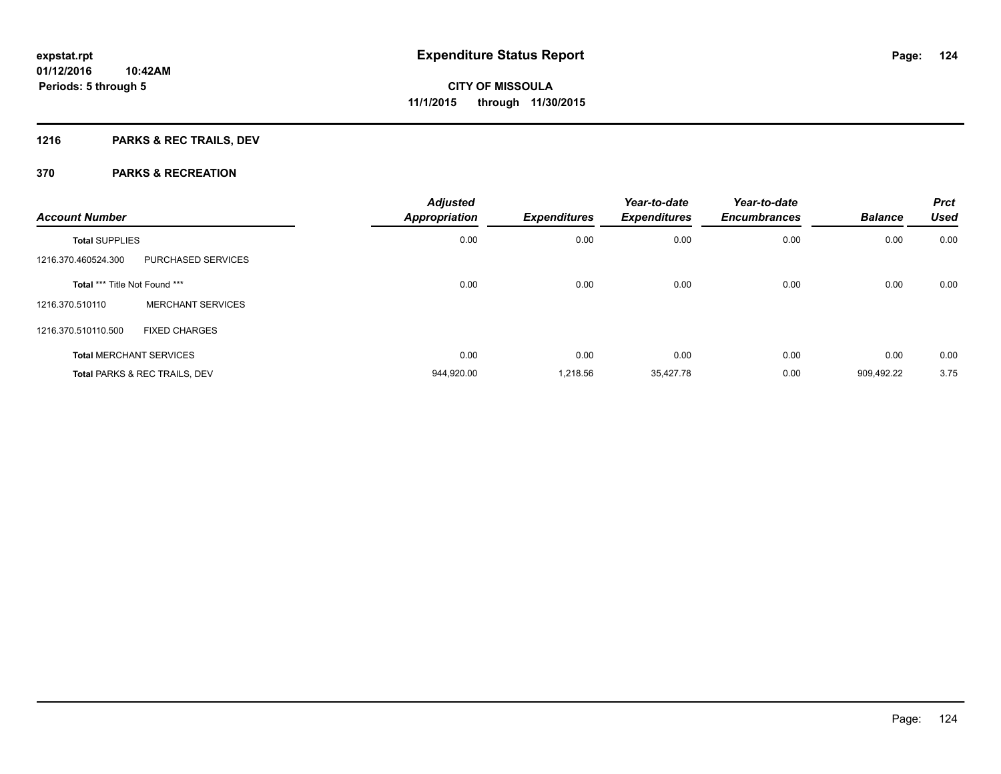# **1216 PARKS & REC TRAILS, DEV**

| <b>Account Number</b>         |                                          | <b>Adjusted</b><br>Appropriation | <b>Expenditures</b> | Year-to-date<br><b>Expenditures</b> | Year-to-date<br><b>Encumbrances</b> | <b>Balance</b> | <b>Prct</b><br><b>Used</b> |
|-------------------------------|------------------------------------------|----------------------------------|---------------------|-------------------------------------|-------------------------------------|----------------|----------------------------|
| <b>Total SUPPLIES</b>         |                                          | 0.00                             | 0.00                | 0.00                                | 0.00                                | 0.00           | 0.00                       |
| 1216.370.460524.300           | PURCHASED SERVICES                       |                                  |                     |                                     |                                     |                |                            |
| Total *** Title Not Found *** |                                          | 0.00                             | 0.00                | 0.00                                | 0.00                                | 0.00           | 0.00                       |
| 1216.370.510110               | <b>MERCHANT SERVICES</b>                 |                                  |                     |                                     |                                     |                |                            |
| 1216.370.510110.500           | <b>FIXED CHARGES</b>                     |                                  |                     |                                     |                                     |                |                            |
|                               | <b>Total MERCHANT SERVICES</b>           | 0.00                             | 0.00                | 0.00                                | 0.00                                | 0.00           | 0.00                       |
|                               | <b>Total PARKS &amp; REC TRAILS, DEV</b> | 944,920.00                       | 1,218.56            | 35,427.78                           | 0.00                                | 909.492.22     | 3.75                       |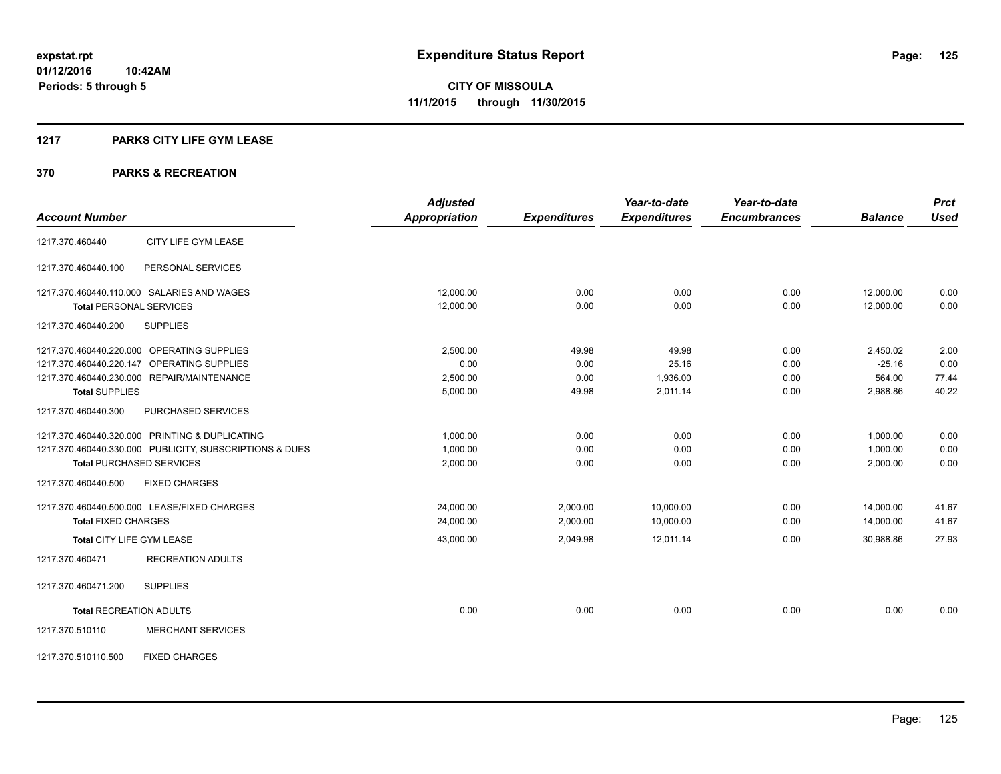#### **1217 PARKS CITY LIFE GYM LEASE**

|                                                         | <b>Adjusted</b>      |                     | Year-to-date        | Year-to-date        |                | <b>Prct</b> |
|---------------------------------------------------------|----------------------|---------------------|---------------------|---------------------|----------------|-------------|
| <b>Account Number</b>                                   | <b>Appropriation</b> | <b>Expenditures</b> | <b>Expenditures</b> | <b>Encumbrances</b> | <b>Balance</b> | <b>Used</b> |
| CITY LIFE GYM LEASE<br>1217.370.460440                  |                      |                     |                     |                     |                |             |
| PERSONAL SERVICES<br>1217.370.460440.100                |                      |                     |                     |                     |                |             |
| 1217.370.460440.110.000 SALARIES AND WAGES              | 12,000.00            | 0.00                | 0.00                | 0.00                | 12,000.00      | 0.00        |
| <b>Total PERSONAL SERVICES</b>                          | 12,000.00            | 0.00                | 0.00                | 0.00                | 12,000.00      | 0.00        |
| 1217.370.460440.200<br><b>SUPPLIES</b>                  |                      |                     |                     |                     |                |             |
| 1217.370.460440.220.000 OPERATING SUPPLIES              | 2.500.00             | 49.98               | 49.98               | 0.00                | 2,450.02       | 2.00        |
| 1217.370.460440.220.147 OPERATING SUPPLIES              | 0.00                 | 0.00                | 25.16               | 0.00                | $-25.16$       | 0.00        |
| 1217.370.460440.230.000 REPAIR/MAINTENANCE              | 2,500.00             | 0.00                | 1,936.00            | 0.00                | 564.00         | 77.44       |
| <b>Total SUPPLIES</b>                                   | 5,000.00             | 49.98               | 2,011.14            | 0.00                | 2,988.86       | 40.22       |
| 1217.370.460440.300<br>PURCHASED SERVICES               |                      |                     |                     |                     |                |             |
| 1217.370.460440.320.000 PRINTING & DUPLICATING          | 1,000.00             | 0.00                | 0.00                | 0.00                | 1,000.00       | 0.00        |
| 1217.370.460440.330.000 PUBLICITY, SUBSCRIPTIONS & DUES | 1,000.00             | 0.00                | 0.00                | 0.00                | 1,000.00       | 0.00        |
| <b>Total PURCHASED SERVICES</b>                         | 2,000.00             | 0.00                | 0.00                | 0.00                | 2,000.00       | 0.00        |
| 1217.370.460440.500<br><b>FIXED CHARGES</b>             |                      |                     |                     |                     |                |             |
| 1217.370.460440.500.000 LEASE/FIXED CHARGES             | 24,000.00            | 2,000.00            | 10,000.00           | 0.00                | 14,000.00      | 41.67       |
| <b>Total FIXED CHARGES</b>                              | 24,000.00            | 2,000.00            | 10,000.00           | 0.00                | 14,000.00      | 41.67       |
| Total CITY LIFE GYM LEASE                               | 43,000.00            | 2,049.98            | 12,011.14           | 0.00                | 30.988.86      | 27.93       |
| <b>RECREATION ADULTS</b><br>1217.370.460471             |                      |                     |                     |                     |                |             |
| 1217.370.460471.200<br><b>SUPPLIES</b>                  |                      |                     |                     |                     |                |             |
| <b>Total RECREATION ADULTS</b>                          | 0.00                 | 0.00                | 0.00                | 0.00                | 0.00           | 0.00        |
| <b>MERCHANT SERVICES</b><br>1217.370.510110             |                      |                     |                     |                     |                |             |
| <b>FIXED CHARGES</b><br>1217.370.510110.500             |                      |                     |                     |                     |                |             |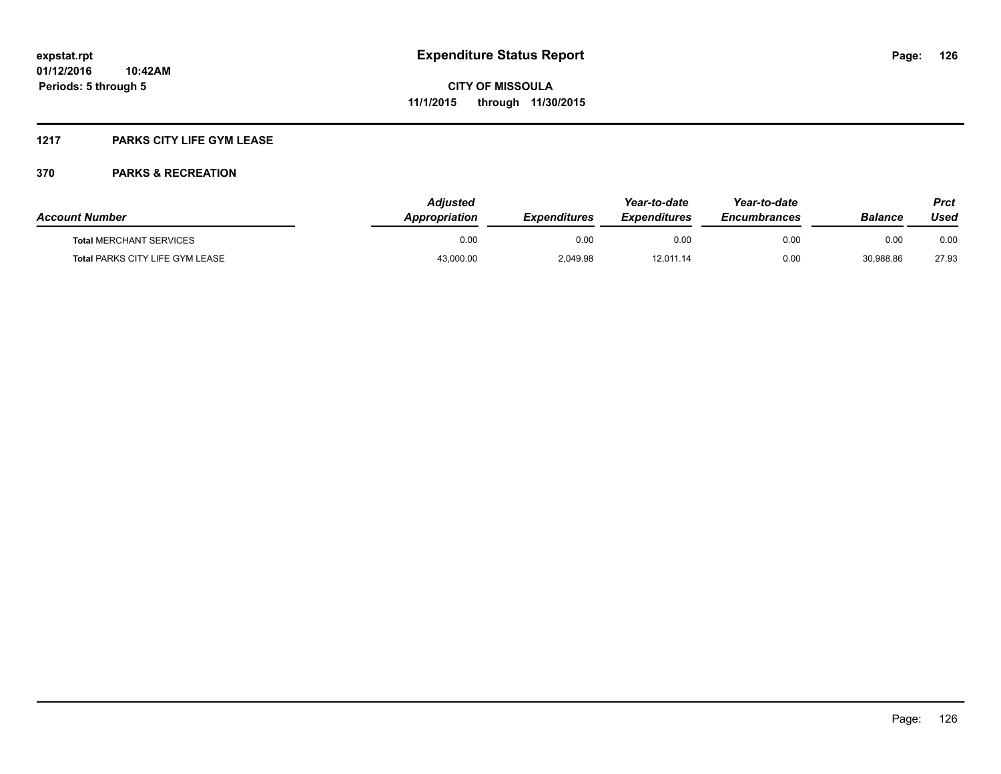#### **1217 PARKS CITY LIFE GYM LEASE**

| <b>Account Number</b>                  | <b>Adjusted</b><br><b>Appropriation</b> | <b>Expenditures</b> | Year-to-date<br><i><b>Expenditures</b></i> | Year-to-date<br><b>Encumbrances</b> | Balance   | Prct<br>Used |
|----------------------------------------|-----------------------------------------|---------------------|--------------------------------------------|-------------------------------------|-----------|--------------|
| <b>Total MERCHANT SERVICES</b>         | 0.00                                    | 0.00                | 0.00                                       | 0.00                                | 0.00      | 0.00         |
| <b>Total PARKS CITY LIFE GYM LEASE</b> | 43,000.00                               | 2,049.98            | 12,011.14                                  | 0.00                                | 30,988.86 | 27.93        |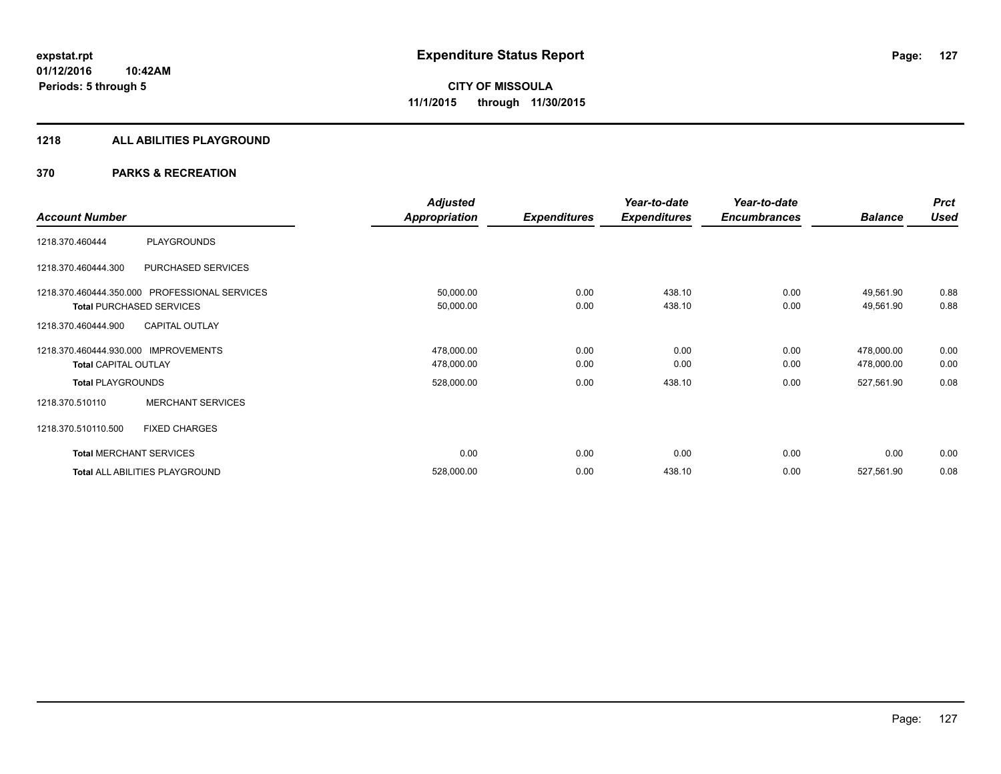#### **1218 ALL ABILITIES PLAYGROUND**

|                                      |                                               | <b>Adjusted</b> |                     | Year-to-date        | Year-to-date        |                | <b>Prct</b> |
|--------------------------------------|-----------------------------------------------|-----------------|---------------------|---------------------|---------------------|----------------|-------------|
| <b>Account Number</b>                |                                               | Appropriation   | <b>Expenditures</b> | <b>Expenditures</b> | <b>Encumbrances</b> | <b>Balance</b> | <b>Used</b> |
| 1218.370.460444                      | PLAYGROUNDS                                   |                 |                     |                     |                     |                |             |
| 1218.370.460444.300                  | PURCHASED SERVICES                            |                 |                     |                     |                     |                |             |
|                                      | 1218.370.460444.350.000 PROFESSIONAL SERVICES | 50,000.00       | 0.00                | 438.10              | 0.00                | 49,561.90      | 0.88        |
|                                      | <b>Total PURCHASED SERVICES</b>               | 50,000.00       | 0.00                | 438.10              | 0.00                | 49,561.90      | 0.88        |
| 1218.370.460444.900                  | <b>CAPITAL OUTLAY</b>                         |                 |                     |                     |                     |                |             |
| 1218.370.460444.930.000 IMPROVEMENTS |                                               | 478,000.00      | 0.00                | 0.00                | 0.00                | 478,000.00     | 0.00        |
| <b>Total CAPITAL OUTLAY</b>          |                                               | 478,000.00      | 0.00                | 0.00                | 0.00                | 478,000.00     | 0.00        |
| <b>Total PLAYGROUNDS</b>             |                                               | 528,000.00      | 0.00                | 438.10              | 0.00                | 527,561.90     | 0.08        |
| 1218.370.510110                      | <b>MERCHANT SERVICES</b>                      |                 |                     |                     |                     |                |             |
| 1218.370.510110.500                  | <b>FIXED CHARGES</b>                          |                 |                     |                     |                     |                |             |
|                                      | <b>Total MERCHANT SERVICES</b>                | 0.00            | 0.00                | 0.00                | 0.00                | 0.00           | 0.00        |
|                                      | Total ALL ABILITIES PLAYGROUND                | 528,000.00      | 0.00                | 438.10              | 0.00                | 527,561.90     | 0.08        |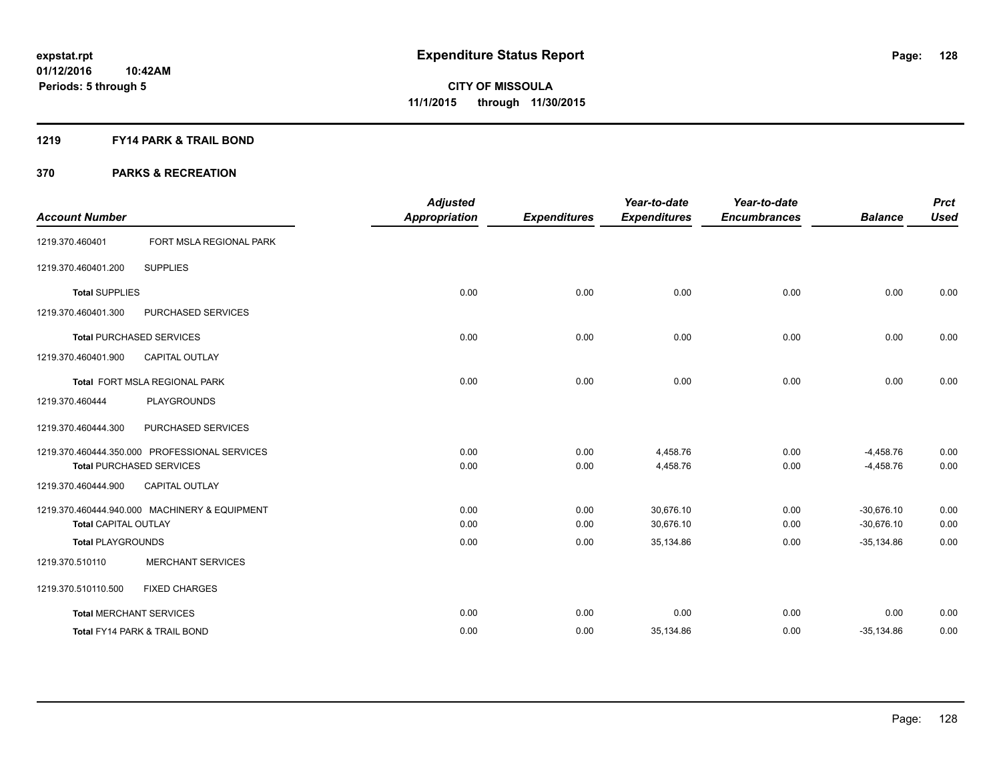#### **1219 FY14 PARK & TRAIL BOND**

|                                |                                               | <b>Adjusted</b>      |                     | Year-to-date        | Year-to-date        |                | <b>Prct</b> |
|--------------------------------|-----------------------------------------------|----------------------|---------------------|---------------------|---------------------|----------------|-------------|
| <b>Account Number</b>          |                                               | <b>Appropriation</b> | <b>Expenditures</b> | <b>Expenditures</b> | <b>Encumbrances</b> | <b>Balance</b> | <b>Used</b> |
| 1219.370.460401                | FORT MSLA REGIONAL PARK                       |                      |                     |                     |                     |                |             |
| 1219.370.460401.200            | <b>SUPPLIES</b>                               |                      |                     |                     |                     |                |             |
| <b>Total SUPPLIES</b>          |                                               | 0.00                 | 0.00                | 0.00                | 0.00                | 0.00           | 0.00        |
| 1219.370.460401.300            | PURCHASED SERVICES                            |                      |                     |                     |                     |                |             |
|                                | <b>Total PURCHASED SERVICES</b>               | 0.00                 | 0.00                | 0.00                | 0.00                | 0.00           | 0.00        |
| 1219.370.460401.900            | <b>CAPITAL OUTLAY</b>                         |                      |                     |                     |                     |                |             |
|                                | Total FORT MSLA REGIONAL PARK                 | 0.00                 | 0.00                | 0.00                | 0.00                | 0.00           | 0.00        |
| 1219.370.460444                | <b>PLAYGROUNDS</b>                            |                      |                     |                     |                     |                |             |
| 1219.370.460444.300            | PURCHASED SERVICES                            |                      |                     |                     |                     |                |             |
|                                | 1219.370.460444.350.000 PROFESSIONAL SERVICES | 0.00                 | 0.00                | 4,458.76            | 0.00                | $-4,458.76$    | 0.00        |
|                                | <b>Total PURCHASED SERVICES</b>               | 0.00                 | 0.00                | 4,458.76            | 0.00                | $-4,458.76$    | 0.00        |
| 1219.370.460444.900            | <b>CAPITAL OUTLAY</b>                         |                      |                     |                     |                     |                |             |
|                                | 1219.370.460444.940.000 MACHINERY & EQUIPMENT | 0.00                 | 0.00                | 30.676.10           | 0.00                | $-30.676.10$   | 0.00        |
| <b>Total CAPITAL OUTLAY</b>    |                                               | 0.00                 | 0.00                | 30,676.10           | 0.00                | $-30,676.10$   | 0.00        |
| <b>Total PLAYGROUNDS</b>       |                                               | 0.00                 | 0.00                | 35,134.86           | 0.00                | $-35,134.86$   | 0.00        |
| 1219.370.510110                | <b>MERCHANT SERVICES</b>                      |                      |                     |                     |                     |                |             |
| 1219.370.510110.500            | <b>FIXED CHARGES</b>                          |                      |                     |                     |                     |                |             |
| <b>Total MERCHANT SERVICES</b> |                                               | 0.00                 | 0.00                | 0.00                | 0.00                | 0.00           | 0.00        |
|                                | <b>Total FY14 PARK &amp; TRAIL BOND</b>       | 0.00                 | 0.00                | 35,134.86           | 0.00                | $-35,134.86$   | 0.00        |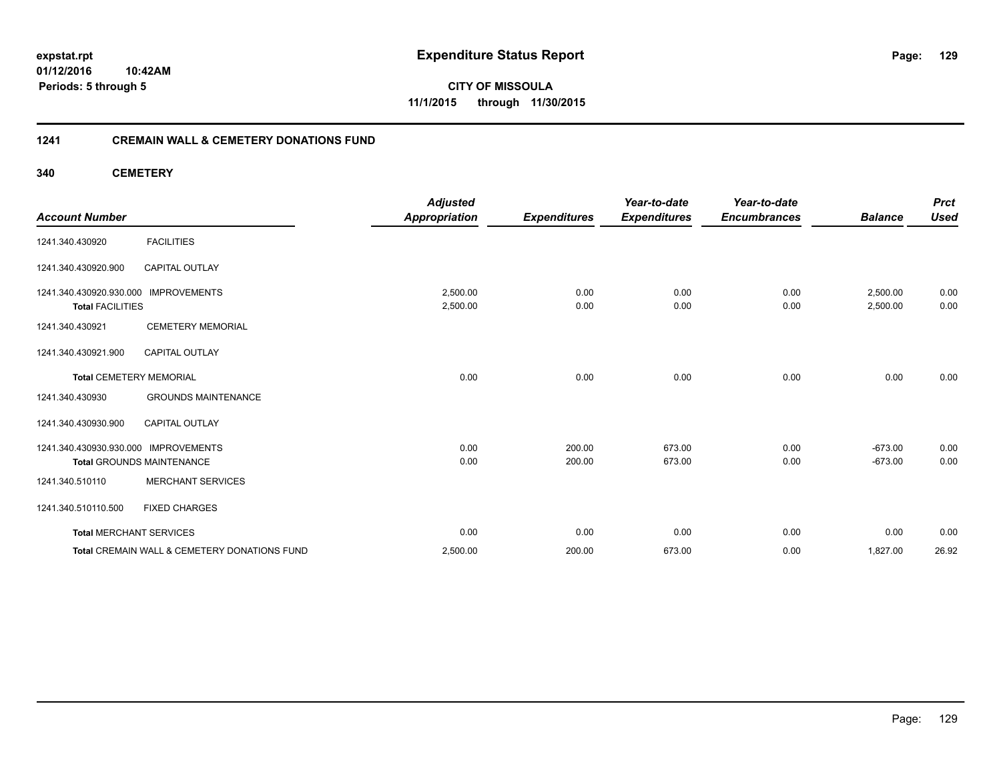**01/12/2016 10:42AM Periods: 5 through 5**

**CITY OF MISSOULA 11/1/2015 through 11/30/2015**

#### **1241 CREMAIN WALL & CEMETERY DONATIONS FUND**

**340 CEMETERY**

| <b>Account Number</b>                                           |                                              | <b>Adjusted</b><br><b>Appropriation</b> | <b>Expenditures</b> | Year-to-date<br><b>Expenditures</b> | Year-to-date<br><b>Encumbrances</b> | <b>Balance</b>       | <b>Prct</b><br><b>Used</b> |
|-----------------------------------------------------------------|----------------------------------------------|-----------------------------------------|---------------------|-------------------------------------|-------------------------------------|----------------------|----------------------------|
| 1241.340.430920                                                 | <b>FACILITIES</b>                            |                                         |                     |                                     |                                     |                      |                            |
| 1241.340.430920.900                                             | <b>CAPITAL OUTLAY</b>                        |                                         |                     |                                     |                                     |                      |                            |
| 1241.340.430920.930.000 IMPROVEMENTS<br><b>Total FACILITIES</b> |                                              | 2,500.00<br>2,500.00                    | 0.00<br>0.00        | 0.00<br>0.00                        | 0.00<br>0.00                        | 2,500.00<br>2,500.00 | 0.00<br>0.00               |
| 1241.340.430921                                                 | <b>CEMETERY MEMORIAL</b>                     |                                         |                     |                                     |                                     |                      |                            |
| 1241.340.430921.900                                             | <b>CAPITAL OUTLAY</b>                        |                                         |                     |                                     |                                     |                      |                            |
| <b>Total CEMETERY MEMORIAL</b>                                  |                                              | 0.00                                    | 0.00                | 0.00                                | 0.00                                | 0.00                 | 0.00                       |
| 1241.340.430930                                                 | <b>GROUNDS MAINTENANCE</b>                   |                                         |                     |                                     |                                     |                      |                            |
| 1241.340.430930.900                                             | CAPITAL OUTLAY                               |                                         |                     |                                     |                                     |                      |                            |
| 1241.340.430930.930.000 IMPROVEMENTS                            |                                              | 0.00                                    | 200.00              | 673.00                              | 0.00                                | $-673.00$            | 0.00                       |
|                                                                 | <b>Total GROUNDS MAINTENANCE</b>             | 0.00                                    | 200.00              | 673.00                              | 0.00                                | $-673.00$            | 0.00                       |
| 1241.340.510110                                                 | <b>MERCHANT SERVICES</b>                     |                                         |                     |                                     |                                     |                      |                            |
| 1241.340.510110.500                                             | <b>FIXED CHARGES</b>                         |                                         |                     |                                     |                                     |                      |                            |
| <b>Total MERCHANT SERVICES</b>                                  |                                              | 0.00                                    | 0.00                | 0.00                                | 0.00                                | 0.00                 | 0.00                       |
|                                                                 | Total CREMAIN WALL & CEMETERY DONATIONS FUND | 2,500.00                                | 200.00              | 673.00                              | 0.00                                | 1,827.00             | 26.92                      |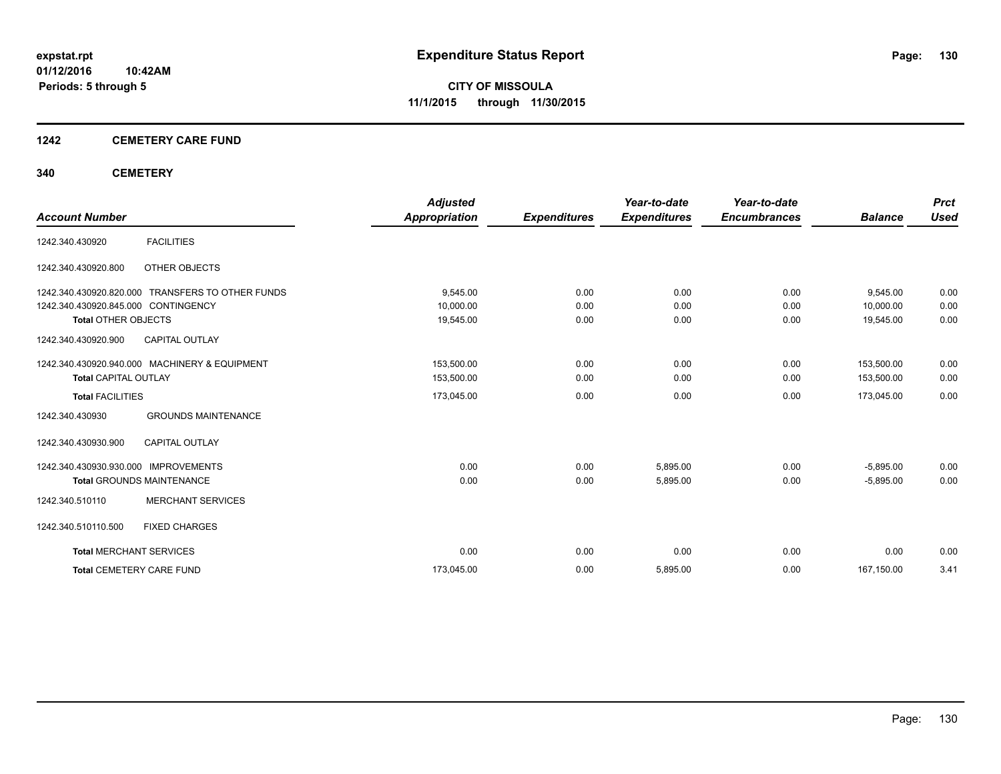#### **1242 CEMETERY CARE FUND**

#### **340 CEMETERY**

|                                      |                                               | <b>Adjusted</b>      |                     | Year-to-date        | Year-to-date        |                | <b>Prct</b> |
|--------------------------------------|-----------------------------------------------|----------------------|---------------------|---------------------|---------------------|----------------|-------------|
| <b>Account Number</b>                |                                               | <b>Appropriation</b> | <b>Expenditures</b> | <b>Expenditures</b> | <b>Encumbrances</b> | <b>Balance</b> | <b>Used</b> |
| 1242.340.430920                      | <b>FACILITIES</b>                             |                      |                     |                     |                     |                |             |
| 1242.340.430920.800                  | OTHER OBJECTS                                 |                      |                     |                     |                     |                |             |
| 1242.340.430920.820.000              | TRANSFERS TO OTHER FUNDS                      | 9,545.00             | 0.00                | 0.00                | 0.00                | 9,545.00       | 0.00        |
| 1242.340.430920.845.000 CONTINGENCY  |                                               | 10,000.00            | 0.00                | 0.00                | 0.00                | 10,000.00      | 0.00        |
| <b>Total OTHER OBJECTS</b>           |                                               | 19,545.00            | 0.00                | 0.00                | 0.00                | 19,545.00      | 0.00        |
| 1242.340.430920.900                  | <b>CAPITAL OUTLAY</b>                         |                      |                     |                     |                     |                |             |
|                                      | 1242.340.430920.940.000 MACHINERY & EQUIPMENT | 153,500.00           | 0.00                | 0.00                | 0.00                | 153,500.00     | 0.00        |
| <b>Total CAPITAL OUTLAY</b>          |                                               | 153,500.00           | 0.00                | 0.00                | 0.00                | 153,500.00     | 0.00        |
| <b>Total FACILITIES</b>              |                                               | 173,045.00           | 0.00                | 0.00                | 0.00                | 173,045.00     | 0.00        |
| 1242.340.430930                      | <b>GROUNDS MAINTENANCE</b>                    |                      |                     |                     |                     |                |             |
| 1242.340.430930.900                  | <b>CAPITAL OUTLAY</b>                         |                      |                     |                     |                     |                |             |
| 1242.340.430930.930.000 IMPROVEMENTS |                                               | 0.00                 | 0.00                | 5,895.00            | 0.00                | $-5.895.00$    | 0.00        |
|                                      | <b>Total GROUNDS MAINTENANCE</b>              | 0.00                 | 0.00                | 5,895.00            | 0.00                | $-5,895.00$    | 0.00        |
| 1242.340.510110                      | <b>MERCHANT SERVICES</b>                      |                      |                     |                     |                     |                |             |
| 1242.340.510110.500                  | <b>FIXED CHARGES</b>                          |                      |                     |                     |                     |                |             |
| <b>Total MERCHANT SERVICES</b>       |                                               | 0.00                 | 0.00                | 0.00                | 0.00                | 0.00           | 0.00        |
| <b>Total CEMETERY CARE FUND</b>      |                                               | 173,045.00           | 0.00                | 5,895.00            | 0.00                | 167,150.00     | 3.41        |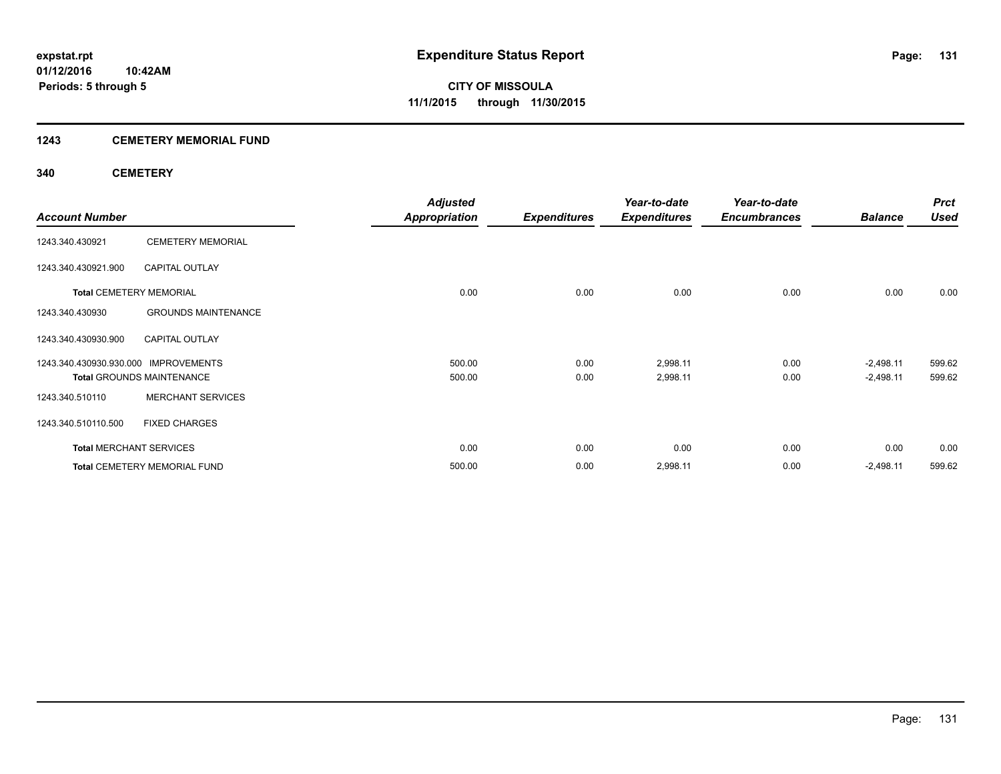#### **1243 CEMETERY MEMORIAL FUND**

#### **340 CEMETERY**

|                                      |                                  | <b>Adjusted</b>      |                     | Year-to-date        | Year-to-date        |                | <b>Prct</b> |
|--------------------------------------|----------------------------------|----------------------|---------------------|---------------------|---------------------|----------------|-------------|
| <b>Account Number</b>                |                                  | <b>Appropriation</b> | <b>Expenditures</b> | <b>Expenditures</b> | <b>Encumbrances</b> | <b>Balance</b> | <b>Used</b> |
| 1243.340.430921                      | <b>CEMETERY MEMORIAL</b>         |                      |                     |                     |                     |                |             |
| 1243.340.430921.900                  | <b>CAPITAL OUTLAY</b>            |                      |                     |                     |                     |                |             |
| <b>Total CEMETERY MEMORIAL</b>       |                                  | 0.00                 | 0.00                | 0.00                | 0.00                | 0.00           | 0.00        |
| 1243.340.430930                      | <b>GROUNDS MAINTENANCE</b>       |                      |                     |                     |                     |                |             |
| 1243.340.430930.900                  | <b>CAPITAL OUTLAY</b>            |                      |                     |                     |                     |                |             |
| 1243.340.430930.930.000 IMPROVEMENTS |                                  | 500.00               | 0.00                | 2,998.11            | 0.00                | $-2,498.11$    | 599.62      |
|                                      | <b>Total GROUNDS MAINTENANCE</b> | 500.00               | 0.00                | 2,998.11            | 0.00                | $-2,498.11$    | 599.62      |
| 1243.340.510110                      | <b>MERCHANT SERVICES</b>         |                      |                     |                     |                     |                |             |
| 1243.340.510110.500                  | <b>FIXED CHARGES</b>             |                      |                     |                     |                     |                |             |
| <b>Total MERCHANT SERVICES</b>       |                                  | 0.00                 | 0.00                | 0.00                | 0.00                | 0.00           | 0.00        |
|                                      | Total CEMETERY MEMORIAL FUND     | 500.00               | 0.00                | 2,998.11            | 0.00                | $-2,498.11$    | 599.62      |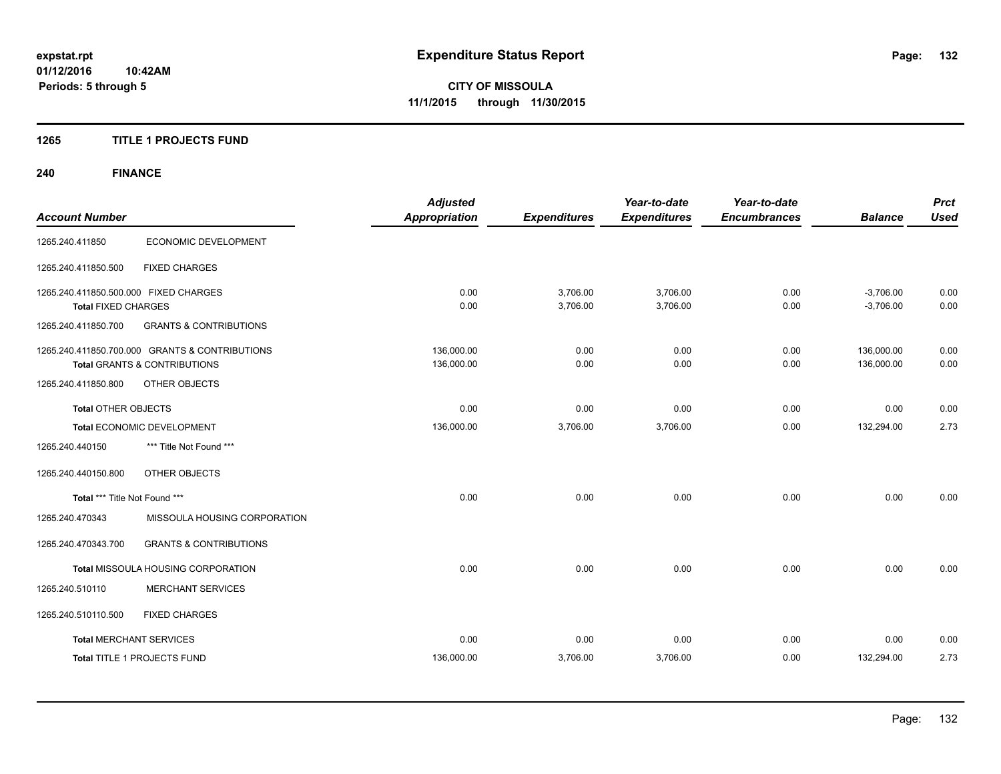#### **1265 TITLE 1 PROJECTS FUND**

# **240 FINANCE**

| <b>Account Number</b>                                               |                                                                                           | <b>Adjusted</b><br><b>Appropriation</b> | <b>Expenditures</b>  | Year-to-date<br><b>Expenditures</b> | Year-to-date<br><b>Encumbrances</b> | <b>Balance</b>             | <b>Prct</b><br><b>Used</b> |
|---------------------------------------------------------------------|-------------------------------------------------------------------------------------------|-----------------------------------------|----------------------|-------------------------------------|-------------------------------------|----------------------------|----------------------------|
| 1265.240.411850                                                     | ECONOMIC DEVELOPMENT                                                                      |                                         |                      |                                     |                                     |                            |                            |
| 1265.240.411850.500                                                 | <b>FIXED CHARGES</b>                                                                      |                                         |                      |                                     |                                     |                            |                            |
| 1265.240.411850.500.000 FIXED CHARGES<br><b>Total FIXED CHARGES</b> |                                                                                           | 0.00<br>0.00                            | 3,706.00<br>3,706.00 | 3,706.00<br>3,706.00                | 0.00<br>0.00                        | $-3,706.00$<br>$-3,706.00$ | 0.00<br>0.00               |
| 1265.240.411850.700                                                 | <b>GRANTS &amp; CONTRIBUTIONS</b>                                                         |                                         |                      |                                     |                                     |                            |                            |
|                                                                     | 1265.240.411850.700.000 GRANTS & CONTRIBUTIONS<br><b>Total GRANTS &amp; CONTRIBUTIONS</b> | 136,000.00<br>136,000.00                | 0.00<br>0.00         | 0.00<br>0.00                        | 0.00<br>0.00                        | 136,000.00<br>136,000.00   | 0.00<br>0.00               |
| 1265.240.411850.800                                                 | OTHER OBJECTS                                                                             |                                         |                      |                                     |                                     |                            |                            |
| <b>Total OTHER OBJECTS</b>                                          |                                                                                           | 0.00                                    | 0.00                 | 0.00                                | 0.00                                | 0.00                       | 0.00                       |
|                                                                     | Total ECONOMIC DEVELOPMENT                                                                | 136,000.00                              | 3,706.00             | 3,706.00                            | 0.00                                | 132,294.00                 | 2.73                       |
| 1265.240.440150                                                     | *** Title Not Found ***                                                                   |                                         |                      |                                     |                                     |                            |                            |
| 1265.240.440150.800                                                 | OTHER OBJECTS                                                                             |                                         |                      |                                     |                                     |                            |                            |
| Total *** Title Not Found ***                                       |                                                                                           | 0.00                                    | 0.00                 | 0.00                                | 0.00                                | 0.00                       | 0.00                       |
| 1265.240.470343                                                     | MISSOULA HOUSING CORPORATION                                                              |                                         |                      |                                     |                                     |                            |                            |
| 1265.240.470343.700                                                 | <b>GRANTS &amp; CONTRIBUTIONS</b>                                                         |                                         |                      |                                     |                                     |                            |                            |
|                                                                     | Total MISSOULA HOUSING CORPORATION                                                        | 0.00                                    | 0.00                 | 0.00                                | 0.00                                | 0.00                       | 0.00                       |
| 1265.240.510110                                                     | <b>MERCHANT SERVICES</b>                                                                  |                                         |                      |                                     |                                     |                            |                            |
| 1265.240.510110.500                                                 | <b>FIXED CHARGES</b>                                                                      |                                         |                      |                                     |                                     |                            |                            |
| <b>Total MERCHANT SERVICES</b>                                      |                                                                                           | 0.00                                    | 0.00                 | 0.00                                | 0.00                                | 0.00                       | 0.00                       |
|                                                                     | Total TITLE 1 PROJECTS FUND                                                               | 136,000.00                              | 3,706.00             | 3,706.00                            | 0.00                                | 132,294.00                 | 2.73                       |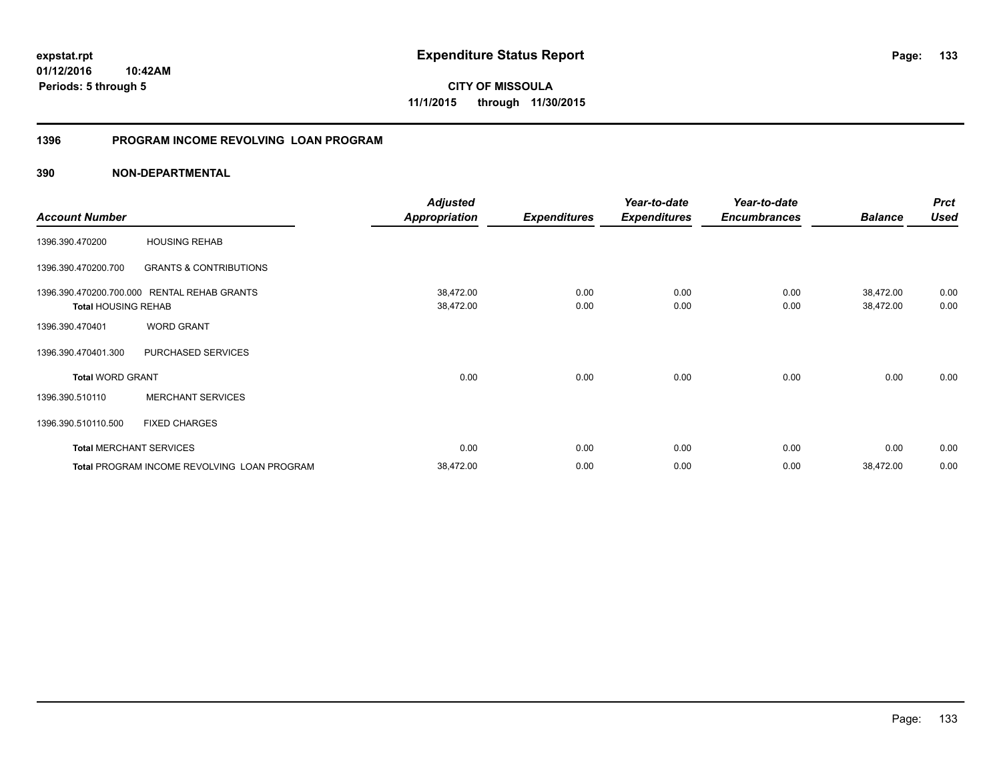# **01/12/2016**

**133**

**10:42AM Periods: 5 through 5**

**CITY OF MISSOULA 11/1/2015 through 11/30/2015**

#### **1396 PROGRAM INCOME REVOLVING LOAN PROGRAM**

|                                |                                             | <b>Adjusted</b>      |                     | Year-to-date        | Year-to-date        |                | <b>Prct</b> |
|--------------------------------|---------------------------------------------|----------------------|---------------------|---------------------|---------------------|----------------|-------------|
| <b>Account Number</b>          |                                             | <b>Appropriation</b> | <b>Expenditures</b> | <b>Expenditures</b> | <b>Encumbrances</b> | <b>Balance</b> | <b>Used</b> |
| 1396.390.470200                | <b>HOUSING REHAB</b>                        |                      |                     |                     |                     |                |             |
| 1396.390.470200.700            | <b>GRANTS &amp; CONTRIBUTIONS</b>           |                      |                     |                     |                     |                |             |
|                                | 1396.390.470200.700.000 RENTAL REHAB GRANTS | 38,472.00            | 0.00                | 0.00                | 0.00                | 38,472.00      | 0.00        |
| <b>Total HOUSING REHAB</b>     |                                             | 38,472.00            | 0.00                | 0.00                | 0.00                | 38,472.00      | 0.00        |
| 1396.390.470401                | <b>WORD GRANT</b>                           |                      |                     |                     |                     |                |             |
| 1396.390.470401.300            | PURCHASED SERVICES                          |                      |                     |                     |                     |                |             |
| <b>Total WORD GRANT</b>        |                                             | 0.00                 | 0.00                | 0.00                | 0.00                | 0.00           | 0.00        |
| 1396.390.510110                | <b>MERCHANT SERVICES</b>                    |                      |                     |                     |                     |                |             |
| 1396.390.510110.500            | <b>FIXED CHARGES</b>                        |                      |                     |                     |                     |                |             |
| <b>Total MERCHANT SERVICES</b> |                                             | 0.00                 | 0.00                | 0.00                | 0.00                | 0.00           | 0.00        |
|                                | Total PROGRAM INCOME REVOLVING LOAN PROGRAM | 38,472.00            | 0.00                | 0.00                | 0.00                | 38,472.00      | 0.00        |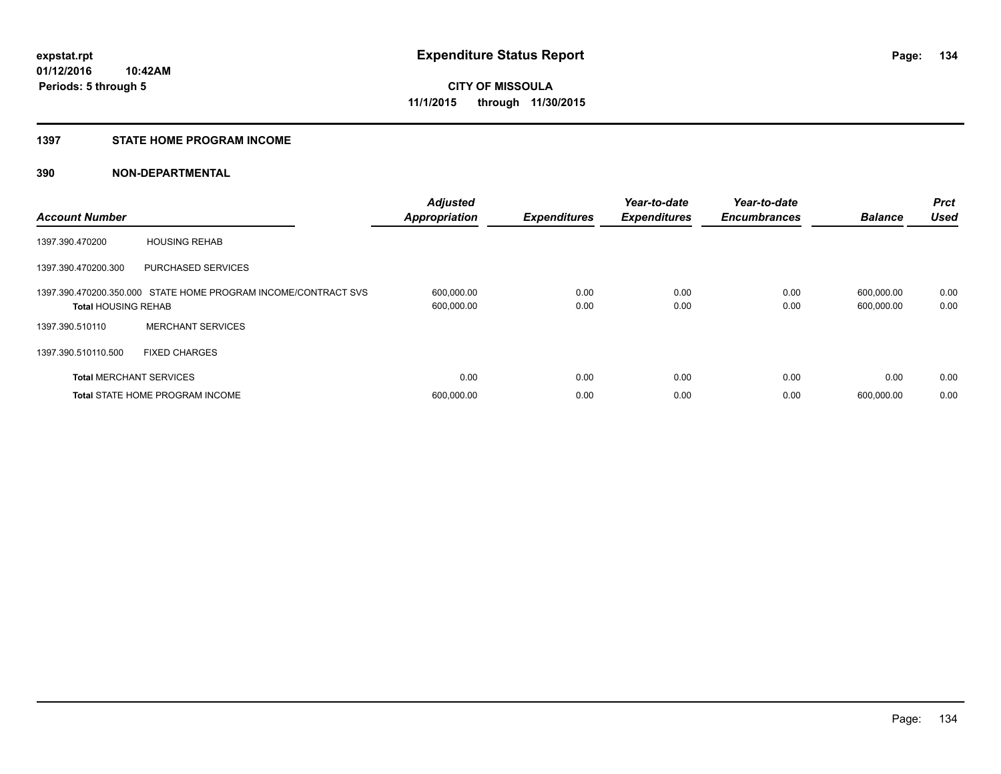#### **1397 STATE HOME PROGRAM INCOME**

| <b>Account Number</b>          |                                                                | <b>Adjusted</b><br><b>Appropriation</b> | <b>Expenditures</b> | Year-to-date<br><b>Expenditures</b> | Year-to-date<br><b>Encumbrances</b> | <b>Balance</b>           | <b>Prct</b><br><b>Used</b> |
|--------------------------------|----------------------------------------------------------------|-----------------------------------------|---------------------|-------------------------------------|-------------------------------------|--------------------------|----------------------------|
| 1397.390.470200                | <b>HOUSING REHAB</b>                                           |                                         |                     |                                     |                                     |                          |                            |
| 1397.390.470200.300            | <b>PURCHASED SERVICES</b>                                      |                                         |                     |                                     |                                     |                          |                            |
| <b>Total HOUSING REHAB</b>     | 1397.390.470200.350.000 STATE HOME PROGRAM INCOME/CONTRACT SVS | 600,000.00<br>600,000.00                | 0.00<br>0.00        | 0.00<br>0.00                        | 0.00<br>0.00                        | 600,000.00<br>600,000.00 | 0.00<br>0.00               |
| 1397.390.510110                | <b>MERCHANT SERVICES</b>                                       |                                         |                     |                                     |                                     |                          |                            |
| 1397.390.510110.500            | <b>FIXED CHARGES</b>                                           |                                         |                     |                                     |                                     |                          |                            |
| <b>Total MERCHANT SERVICES</b> |                                                                | 0.00                                    | 0.00                | 0.00                                | 0.00                                | 0.00                     | 0.00                       |
|                                | <b>Total STATE HOME PROGRAM INCOME</b>                         | 600,000.00                              | 0.00                | 0.00                                | 0.00                                | 600.000.00               | 0.00                       |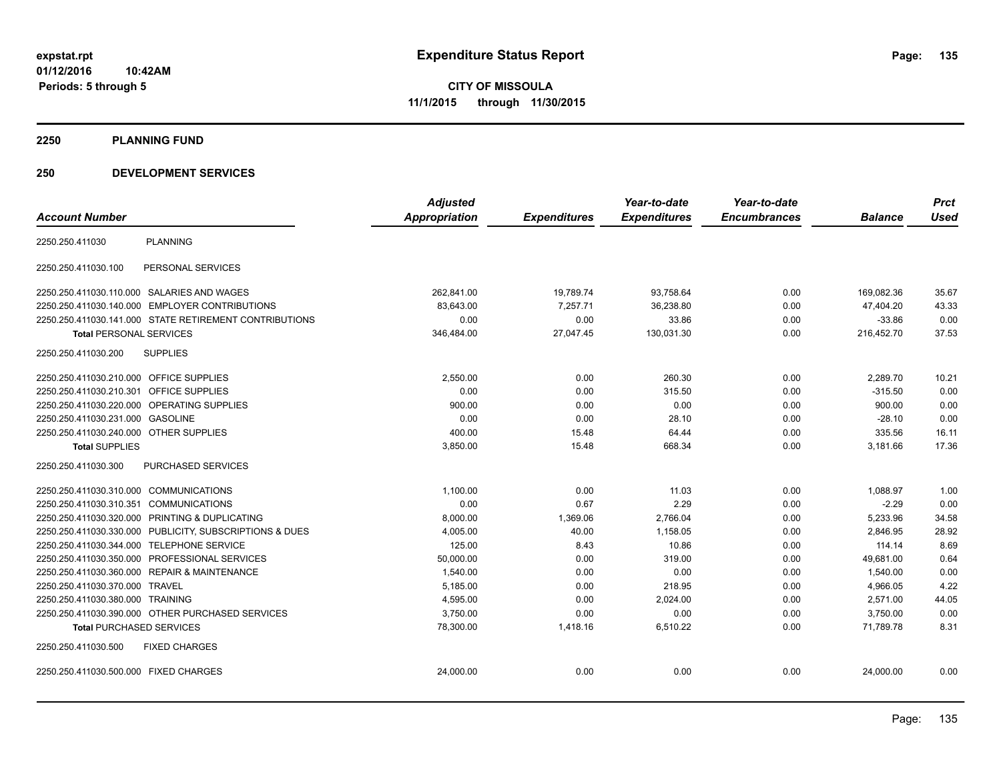**2250 PLANNING FUND**

#### **250 DEVELOPMENT SERVICES**

|                                                |                                                         | <b>Adjusted</b> |                     | Year-to-date        | Year-to-date        |                | <b>Prct</b> |
|------------------------------------------------|---------------------------------------------------------|-----------------|---------------------|---------------------|---------------------|----------------|-------------|
| <b>Account Number</b>                          |                                                         | Appropriation   | <b>Expenditures</b> | <b>Expenditures</b> | <b>Encumbrances</b> | <b>Balance</b> | <b>Used</b> |
| 2250.250.411030                                | <b>PLANNING</b>                                         |                 |                     |                     |                     |                |             |
| 2250.250.411030.100                            | PERSONAL SERVICES                                       |                 |                     |                     |                     |                |             |
| 2250.250.411030.110.000 SALARIES AND WAGES     |                                                         | 262.841.00      | 19,789.74           | 93,758.64           | 0.00                | 169.082.36     | 35.67       |
| 2250.250.411030.140.000 EMPLOYER CONTRIBUTIONS |                                                         | 83,643.00       | 7,257.71            | 36,238.80           | 0.00                | 47,404.20      | 43.33       |
|                                                | 2250.250.411030.141.000 STATE RETIREMENT CONTRIBUTIONS  | 0.00            | 0.00                | 33.86               | 0.00                | $-33.86$       | 0.00        |
| <b>Total PERSONAL SERVICES</b>                 |                                                         | 346,484.00      | 27,047.45           | 130,031.30          | 0.00                | 216,452.70     | 37.53       |
| 2250.250.411030.200                            | <b>SUPPLIES</b>                                         |                 |                     |                     |                     |                |             |
| 2250.250.411030.210.000 OFFICE SUPPLIES        |                                                         | 2,550.00        | 0.00                | 260.30              | 0.00                | 2,289.70       | 10.21       |
| 2250.250.411030.210.301                        | <b>OFFICE SUPPLIES</b>                                  | 0.00            | 0.00                | 315.50              | 0.00                | $-315.50$      | 0.00        |
| 2250.250.411030.220.000 OPERATING SUPPLIES     |                                                         | 900.00          | 0.00                | 0.00                | 0.00                | 900.00         | 0.00        |
| 2250.250.411030.231.000 GASOLINE               |                                                         | 0.00            | 0.00                | 28.10               | 0.00                | $-28.10$       | 0.00        |
| 2250.250.411030.240.000 OTHER SUPPLIES         |                                                         | 400.00          | 15.48               | 64.44               | 0.00                | 335.56         | 16.11       |
| <b>Total SUPPLIES</b>                          |                                                         | 3,850.00        | 15.48               | 668.34              | 0.00                | 3,181.66       | 17.36       |
| 2250.250.411030.300                            | <b>PURCHASED SERVICES</b>                               |                 |                     |                     |                     |                |             |
| 2250.250.411030.310.000 COMMUNICATIONS         |                                                         | 1,100.00        | 0.00                | 11.03               | 0.00                | 1,088.97       | 1.00        |
| 2250.250.411030.310.351 COMMUNICATIONS         |                                                         | 0.00            | 0.67                | 2.29                | 0.00                | $-2.29$        | 0.00        |
| 2250.250.411030.320.000 PRINTING & DUPLICATING |                                                         | 8,000.00        | 1,369.06            | 2,766.04            | 0.00                | 5,233.96       | 34.58       |
|                                                | 2250.250.411030.330.000 PUBLICITY, SUBSCRIPTIONS & DUES | 4,005.00        | 40.00               | 1,158.05            | 0.00                | 2,846.95       | 28.92       |
| 2250.250.411030.344.000 TELEPHONE SERVICE      |                                                         | 125.00          | 8.43                | 10.86               | 0.00                | 114.14         | 8.69        |
| 2250.250.411030.350.000 PROFESSIONAL SERVICES  |                                                         | 50,000.00       | 0.00                | 319.00              | 0.00                | 49,681.00      | 0.64        |
| 2250.250.411030.360.000 REPAIR & MAINTENANCE   |                                                         | 1,540.00        | 0.00                | 0.00                | 0.00                | 1,540.00       | 0.00        |
| 2250.250.411030.370.000 TRAVEL                 |                                                         | 5,185.00        | 0.00                | 218.95              | 0.00                | 4,966.05       | 4.22        |
| 2250.250.411030.380.000 TRAINING               |                                                         | 4,595.00        | 0.00                | 2,024.00            | 0.00                | 2,571.00       | 44.05       |
|                                                | 2250.250.411030.390.000 OTHER PURCHASED SERVICES        | 3,750.00        | 0.00                | 0.00                | 0.00                | 3,750.00       | 0.00        |
| <b>Total PURCHASED SERVICES</b>                |                                                         | 78,300.00       | 1,418.16            | 6,510.22            | 0.00                | 71,789.78      | 8.31        |
| 2250.250.411030.500                            | <b>FIXED CHARGES</b>                                    |                 |                     |                     |                     |                |             |
| 2250.250.411030.500.000 FIXED CHARGES          |                                                         | 24,000.00       | 0.00                | 0.00                | 0.00                | 24,000.00      | 0.00        |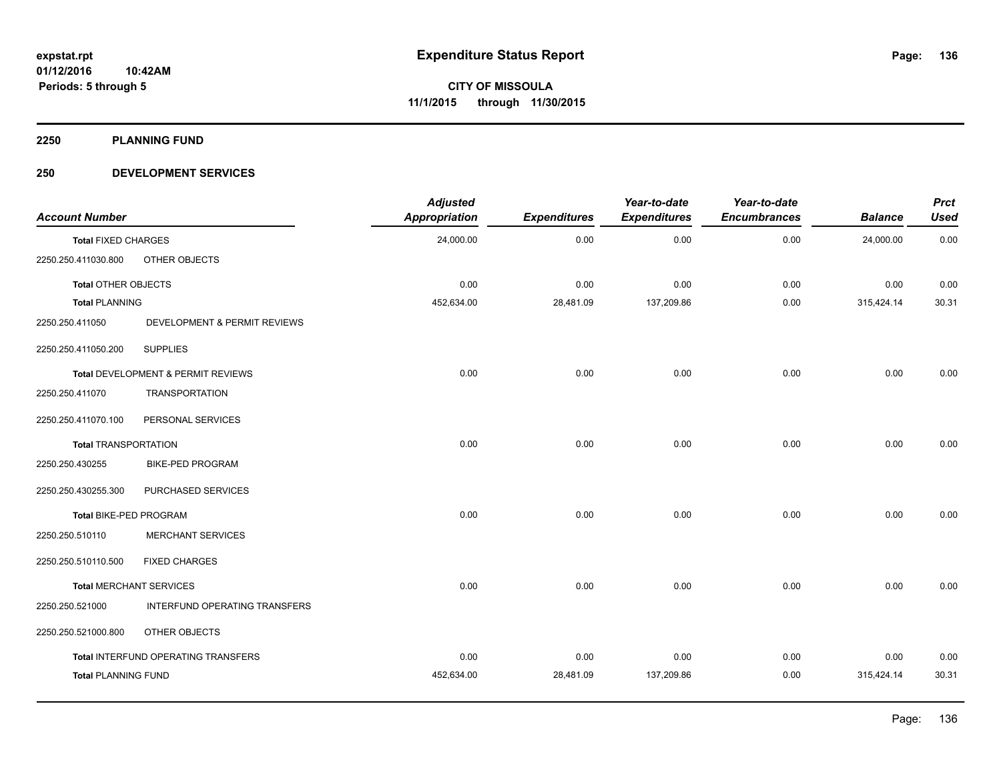**2250 PLANNING FUND**

#### **250 DEVELOPMENT SERVICES**

| <b>Account Number</b>       |                                     | <b>Adjusted</b><br>Appropriation | <b>Expenditures</b> | Year-to-date<br><b>Expenditures</b> | Year-to-date<br><b>Encumbrances</b> | <b>Balance</b> | <b>Prct</b><br><b>Used</b> |
|-----------------------------|-------------------------------------|----------------------------------|---------------------|-------------------------------------|-------------------------------------|----------------|----------------------------|
| <b>Total FIXED CHARGES</b>  |                                     | 24,000.00                        | 0.00                | 0.00                                | 0.00                                | 24,000.00      | 0.00                       |
| 2250.250.411030.800         | OTHER OBJECTS                       |                                  |                     |                                     |                                     |                |                            |
| <b>Total OTHER OBJECTS</b>  |                                     | 0.00                             | 0.00                | 0.00                                | 0.00                                | 0.00           | 0.00                       |
| <b>Total PLANNING</b>       |                                     | 452,634.00                       | 28,481.09           | 137,209.86                          | 0.00                                | 315,424.14     | 30.31                      |
| 2250.250.411050             | DEVELOPMENT & PERMIT REVIEWS        |                                  |                     |                                     |                                     |                |                            |
| 2250.250.411050.200         | <b>SUPPLIES</b>                     |                                  |                     |                                     |                                     |                |                            |
|                             | Total DEVELOPMENT & PERMIT REVIEWS  | 0.00                             | 0.00                | 0.00                                | 0.00                                | 0.00           | 0.00                       |
| 2250.250.411070             | <b>TRANSPORTATION</b>               |                                  |                     |                                     |                                     |                |                            |
| 2250.250.411070.100         | PERSONAL SERVICES                   |                                  |                     |                                     |                                     |                |                            |
| <b>Total TRANSPORTATION</b> |                                     | 0.00                             | 0.00                | 0.00                                | 0.00                                | 0.00           | 0.00                       |
| 2250.250.430255             | <b>BIKE-PED PROGRAM</b>             |                                  |                     |                                     |                                     |                |                            |
| 2250.250.430255.300         | PURCHASED SERVICES                  |                                  |                     |                                     |                                     |                |                            |
| Total BIKE-PED PROGRAM      |                                     | 0.00                             | 0.00                | 0.00                                | 0.00                                | 0.00           | 0.00                       |
| 2250.250.510110             | <b>MERCHANT SERVICES</b>            |                                  |                     |                                     |                                     |                |                            |
| 2250.250.510110.500         | <b>FIXED CHARGES</b>                |                                  |                     |                                     |                                     |                |                            |
|                             | <b>Total MERCHANT SERVICES</b>      | 0.00                             | 0.00                | 0.00                                | 0.00                                | 0.00           | 0.00                       |
| 2250.250.521000             | INTERFUND OPERATING TRANSFERS       |                                  |                     |                                     |                                     |                |                            |
| 2250.250.521000.800         | OTHER OBJECTS                       |                                  |                     |                                     |                                     |                |                            |
|                             | Total INTERFUND OPERATING TRANSFERS | 0.00                             | 0.00                | 0.00                                | 0.00                                | 0.00           | 0.00                       |
| <b>Total PLANNING FUND</b>  |                                     | 452,634.00                       | 28,481.09           | 137,209.86                          | 0.00                                | 315,424.14     | 30.31                      |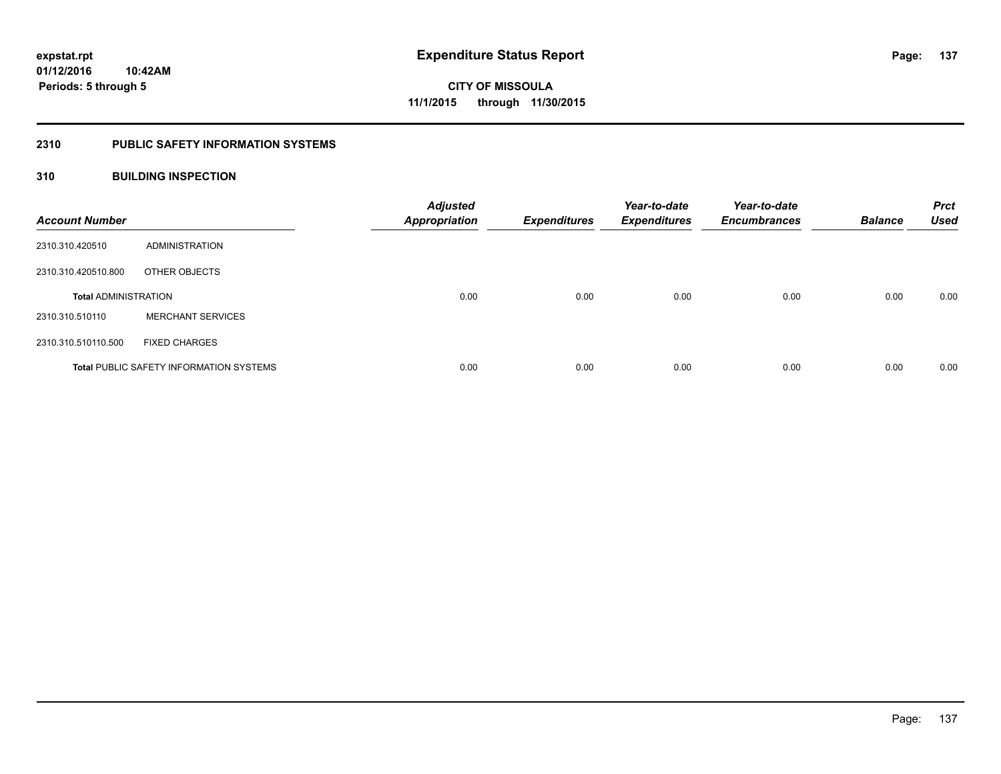## **2310 PUBLIC SAFETY INFORMATION SYSTEMS**

### **310 BUILDING INSPECTION**

| <b>Account Number</b>       |                                                | <b>Adjusted</b><br><b>Appropriation</b> | <b>Expenditures</b> | Year-to-date<br><b>Expenditures</b> | Year-to-date<br><b>Encumbrances</b> | <b>Balance</b> | <b>Prct</b><br><b>Used</b> |
|-----------------------------|------------------------------------------------|-----------------------------------------|---------------------|-------------------------------------|-------------------------------------|----------------|----------------------------|
| 2310.310.420510             | ADMINISTRATION                                 |                                         |                     |                                     |                                     |                |                            |
| 2310.310.420510.800         | OTHER OBJECTS                                  |                                         |                     |                                     |                                     |                |                            |
| <b>Total ADMINISTRATION</b> |                                                | 0.00                                    | 0.00                | 0.00                                | 0.00                                | 0.00           | 0.00                       |
| 2310.310.510110             | <b>MERCHANT SERVICES</b>                       |                                         |                     |                                     |                                     |                |                            |
| 2310.310.510110.500         | <b>FIXED CHARGES</b>                           |                                         |                     |                                     |                                     |                |                            |
|                             | <b>Total PUBLIC SAFETY INFORMATION SYSTEMS</b> | 0.00                                    | 0.00                | 0.00                                | 0.00                                | 0.00           | 0.00                       |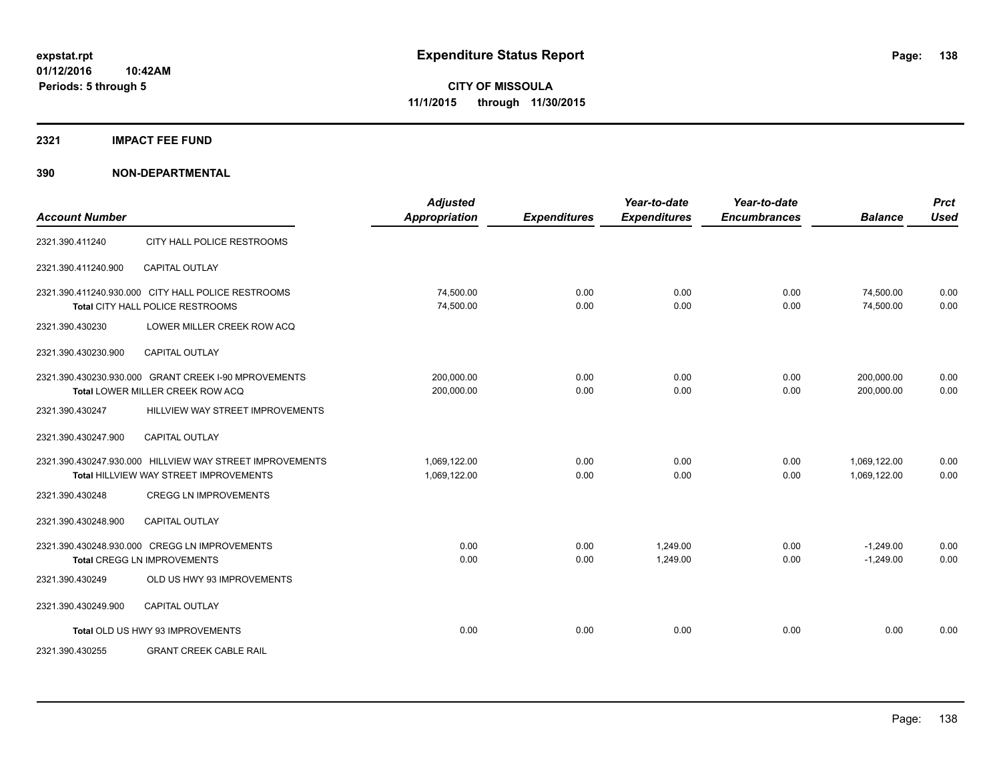#### **2321 IMPACT FEE FUND**

| <b>Account Number</b> |                                                                                                           | <b>Adjusted</b><br><b>Appropriation</b> | <b>Expenditures</b> | Year-to-date<br><b>Expenditures</b> | Year-to-date<br><b>Encumbrances</b> | <b>Balance</b>               | <b>Prct</b><br><b>Used</b> |
|-----------------------|-----------------------------------------------------------------------------------------------------------|-----------------------------------------|---------------------|-------------------------------------|-------------------------------------|------------------------------|----------------------------|
| 2321.390.411240       | CITY HALL POLICE RESTROOMS                                                                                |                                         |                     |                                     |                                     |                              |                            |
| 2321.390.411240.900   | <b>CAPITAL OUTLAY</b>                                                                                     |                                         |                     |                                     |                                     |                              |                            |
|                       | 2321.390.411240.930.000 CITY HALL POLICE RESTROOMS<br>Total CITY HALL POLICE RESTROOMS                    | 74,500.00<br>74,500.00                  | 0.00<br>0.00        | 0.00<br>0.00                        | 0.00<br>0.00                        | 74,500.00<br>74,500.00       | 0.00<br>0.00               |
| 2321.390.430230       | LOWER MILLER CREEK ROW ACQ                                                                                |                                         |                     |                                     |                                     |                              |                            |
| 2321.390.430230.900   | <b>CAPITAL OUTLAY</b>                                                                                     |                                         |                     |                                     |                                     |                              |                            |
|                       | 2321.390.430230.930.000 GRANT CREEK I-90 MPROVEMENTS<br>Total LOWER MILLER CREEK ROW ACQ                  | 200,000.00<br>200,000.00                | 0.00<br>0.00        | 0.00<br>0.00                        | 0.00<br>0.00                        | 200,000.00<br>200,000.00     | 0.00<br>0.00               |
| 2321.390.430247       | HILLVIEW WAY STREET IMPROVEMENTS                                                                          |                                         |                     |                                     |                                     |                              |                            |
| 2321.390.430247.900   | <b>CAPITAL OUTLAY</b>                                                                                     |                                         |                     |                                     |                                     |                              |                            |
|                       | 2321.390.430247.930.000 HILLVIEW WAY STREET IMPROVEMENTS<br><b>Total HILLVIEW WAY STREET IMPROVEMENTS</b> | 1,069,122.00<br>1,069,122.00            | 0.00<br>0.00        | 0.00<br>0.00                        | 0.00<br>0.00                        | 1,069,122.00<br>1,069,122.00 | 0.00<br>0.00               |
| 2321.390.430248       | <b>CREGG LN IMPROVEMENTS</b>                                                                              |                                         |                     |                                     |                                     |                              |                            |
| 2321.390.430248.900   | <b>CAPITAL OUTLAY</b>                                                                                     |                                         |                     |                                     |                                     |                              |                            |
|                       | 2321.390.430248.930.000 CREGG LN IMPROVEMENTS<br><b>Total CREGG LN IMPROVEMENTS</b>                       | 0.00<br>0.00                            | 0.00<br>0.00        | 1.249.00<br>1.249.00                | 0.00<br>0.00                        | $-1,249.00$<br>$-1,249.00$   | 0.00<br>0.00               |
| 2321.390.430249       | OLD US HWY 93 IMPROVEMENTS                                                                                |                                         |                     |                                     |                                     |                              |                            |
| 2321.390.430249.900   | <b>CAPITAL OUTLAY</b>                                                                                     |                                         |                     |                                     |                                     |                              |                            |
|                       | Total OLD US HWY 93 IMPROVEMENTS                                                                          | 0.00                                    | 0.00                | 0.00                                | 0.00                                | 0.00                         | 0.00                       |
| 2321.390.430255       | <b>GRANT CREEK CABLE RAIL</b>                                                                             |                                         |                     |                                     |                                     |                              |                            |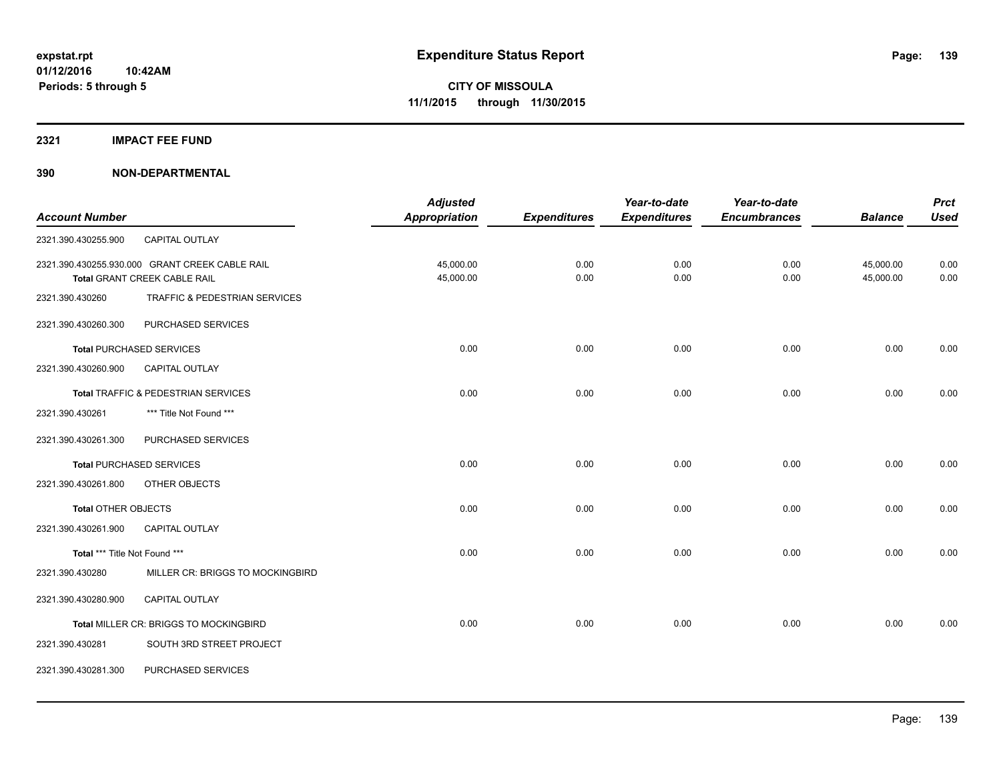**2321 IMPACT FEE FUND**

|                               |                                                | <b>Adjusted</b> |                     | Year-to-date        | Year-to-date        |                | <b>Prct</b> |
|-------------------------------|------------------------------------------------|-----------------|---------------------|---------------------|---------------------|----------------|-------------|
| <b>Account Number</b>         |                                                | Appropriation   | <b>Expenditures</b> | <b>Expenditures</b> | <b>Encumbrances</b> | <b>Balance</b> | <b>Used</b> |
| 2321.390.430255.900           | CAPITAL OUTLAY                                 |                 |                     |                     |                     |                |             |
|                               | 2321.390.430255.930.000 GRANT CREEK CABLE RAIL | 45,000.00       | 0.00                | 0.00                | 0.00                | 45,000.00      | 0.00        |
|                               | Total GRANT CREEK CABLE RAIL                   | 45,000.00       | 0.00                | 0.00                | 0.00                | 45,000.00      | 0.00        |
| 2321.390.430260               | TRAFFIC & PEDESTRIAN SERVICES                  |                 |                     |                     |                     |                |             |
| 2321.390.430260.300           | PURCHASED SERVICES                             |                 |                     |                     |                     |                |             |
|                               | <b>Total PURCHASED SERVICES</b>                | 0.00            | 0.00                | 0.00                | 0.00                | 0.00           | 0.00        |
| 2321.390.430260.900           | <b>CAPITAL OUTLAY</b>                          |                 |                     |                     |                     |                |             |
|                               | Total TRAFFIC & PEDESTRIAN SERVICES            | 0.00            | 0.00                | 0.00                | 0.00                | 0.00           | 0.00        |
| 2321.390.430261               | *** Title Not Found ***                        |                 |                     |                     |                     |                |             |
| 2321.390.430261.300           | PURCHASED SERVICES                             |                 |                     |                     |                     |                |             |
|                               | <b>Total PURCHASED SERVICES</b>                | 0.00            | 0.00                | 0.00                | 0.00                | 0.00           | 0.00        |
| 2321.390.430261.800           | OTHER OBJECTS                                  |                 |                     |                     |                     |                |             |
| <b>Total OTHER OBJECTS</b>    |                                                | 0.00            | 0.00                | 0.00                | 0.00                | 0.00           | 0.00        |
| 2321.390.430261.900           | CAPITAL OUTLAY                                 |                 |                     |                     |                     |                |             |
| Total *** Title Not Found *** |                                                | 0.00            | 0.00                | 0.00                | 0.00                | 0.00           | 0.00        |
| 2321.390.430280               | MILLER CR: BRIGGS TO MOCKINGBIRD               |                 |                     |                     |                     |                |             |
| 2321.390.430280.900           | <b>CAPITAL OUTLAY</b>                          |                 |                     |                     |                     |                |             |
|                               | Total MILLER CR: BRIGGS TO MOCKINGBIRD         | 0.00            | 0.00                | 0.00                | 0.00                | 0.00           | 0.00        |
| 2321.390.430281               | SOUTH 3RD STREET PROJECT                       |                 |                     |                     |                     |                |             |
| 2321.390.430281.300           | PURCHASED SERVICES                             |                 |                     |                     |                     |                |             |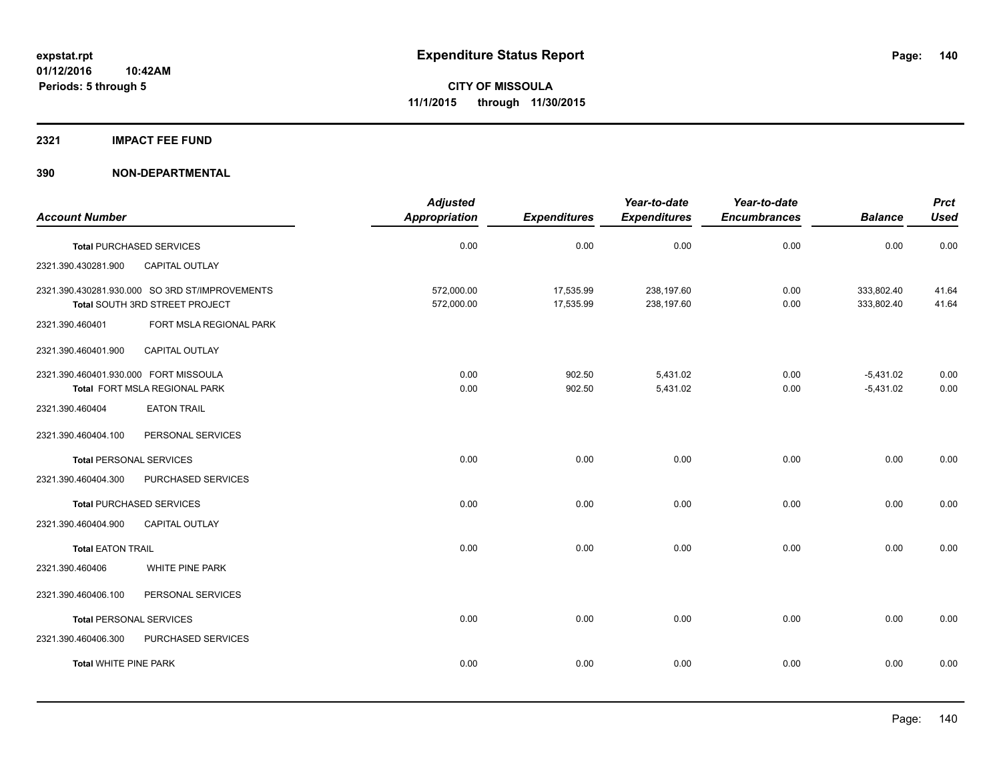#### **2321 IMPACT FEE FUND**

|                                       |                                                                                  | <b>Adjusted</b>          |                        | Year-to-date             | Year-to-date        |                            | <b>Prct</b>    |
|---------------------------------------|----------------------------------------------------------------------------------|--------------------------|------------------------|--------------------------|---------------------|----------------------------|----------------|
| <b>Account Number</b>                 |                                                                                  | <b>Appropriation</b>     | <b>Expenditures</b>    | <b>Expenditures</b>      | <b>Encumbrances</b> | <b>Balance</b>             | <b>Used</b>    |
|                                       | <b>Total PURCHASED SERVICES</b>                                                  | 0.00                     | 0.00                   | 0.00                     | 0.00                | 0.00                       | 0.00           |
| 2321.390.430281.900                   | <b>CAPITAL OUTLAY</b>                                                            |                          |                        |                          |                     |                            |                |
|                                       | 2321.390.430281.930.000 SO 3RD ST/IMPROVEMENTS<br>Total SOUTH 3RD STREET PROJECT | 572,000.00<br>572,000.00 | 17,535.99<br>17,535.99 | 238,197.60<br>238,197.60 | 0.00<br>0.00        | 333,802.40<br>333,802.40   | 41.64<br>41.64 |
| 2321.390.460401                       | FORT MSLA REGIONAL PARK                                                          |                          |                        |                          |                     |                            |                |
| 2321.390.460401.900                   | <b>CAPITAL OUTLAY</b>                                                            |                          |                        |                          |                     |                            |                |
| 2321.390.460401.930.000 FORT MISSOULA | Total FORT MSLA REGIONAL PARK                                                    | 0.00<br>0.00             | 902.50<br>902.50       | 5,431.02<br>5,431.02     | 0.00<br>0.00        | $-5,431.02$<br>$-5,431.02$ | 0.00<br>0.00   |
| 2321.390.460404                       | <b>EATON TRAIL</b>                                                               |                          |                        |                          |                     |                            |                |
| 2321.390.460404.100                   | PERSONAL SERVICES                                                                |                          |                        |                          |                     |                            |                |
| <b>Total PERSONAL SERVICES</b>        |                                                                                  | 0.00                     | 0.00                   | 0.00                     | 0.00                | 0.00                       | 0.00           |
| 2321.390.460404.300                   | PURCHASED SERVICES                                                               |                          |                        |                          |                     |                            |                |
|                                       | <b>Total PURCHASED SERVICES</b>                                                  | 0.00                     | 0.00                   | 0.00                     | 0.00                | 0.00                       | 0.00           |
| 2321.390.460404.900                   | CAPITAL OUTLAY                                                                   |                          |                        |                          |                     |                            |                |
| <b>Total EATON TRAIL</b>              |                                                                                  | 0.00                     | 0.00                   | 0.00                     | 0.00                | 0.00                       | 0.00           |
| 2321.390.460406                       | WHITE PINE PARK                                                                  |                          |                        |                          |                     |                            |                |
| 2321.390.460406.100                   | PERSONAL SERVICES                                                                |                          |                        |                          |                     |                            |                |
| <b>Total PERSONAL SERVICES</b>        |                                                                                  | 0.00                     | 0.00                   | 0.00                     | 0.00                | 0.00                       | 0.00           |
| 2321.390.460406.300                   | PURCHASED SERVICES                                                               |                          |                        |                          |                     |                            |                |
| <b>Total WHITE PINE PARK</b>          |                                                                                  | 0.00                     | 0.00                   | 0.00                     | 0.00                | 0.00                       | 0.00           |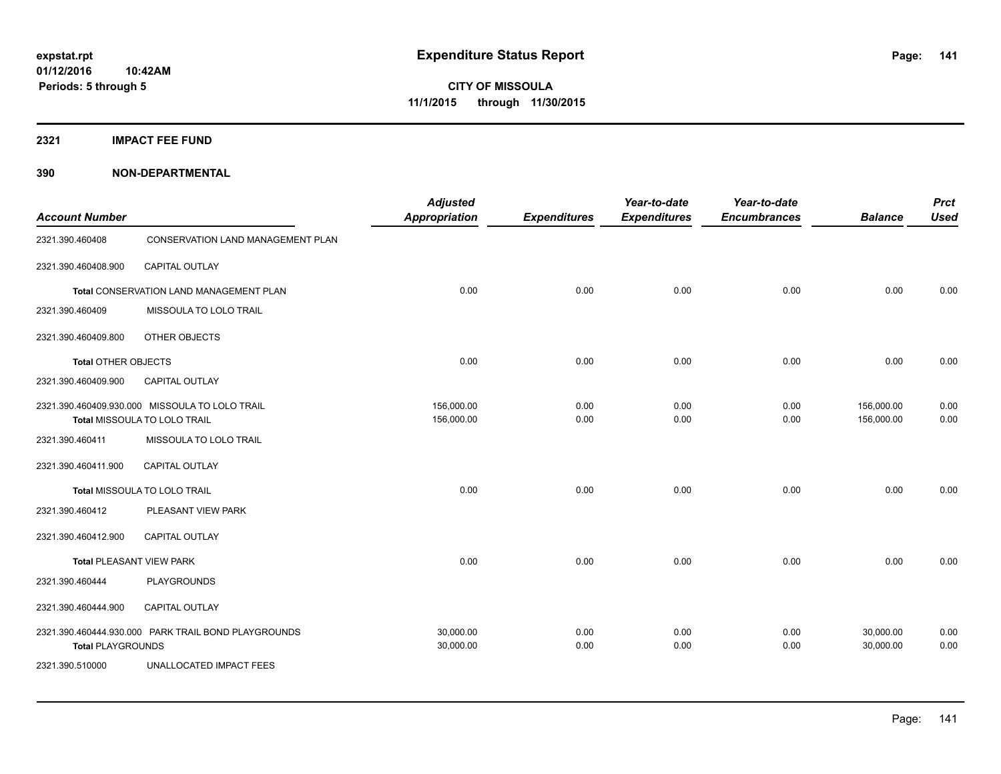**2321 IMPACT FEE FUND**

| <b>Account Number</b>           |                                                                                | <b>Adjusted</b><br><b>Appropriation</b> | <b>Expenditures</b> | Year-to-date<br><b>Expenditures</b> | Year-to-date<br><b>Encumbrances</b> | <b>Balance</b>           | <b>Prct</b><br><b>Used</b> |
|---------------------------------|--------------------------------------------------------------------------------|-----------------------------------------|---------------------|-------------------------------------|-------------------------------------|--------------------------|----------------------------|
| 2321.390.460408                 | CONSERVATION LAND MANAGEMENT PLAN                                              |                                         |                     |                                     |                                     |                          |                            |
| 2321.390.460408.900             | CAPITAL OUTLAY                                                                 |                                         |                     |                                     |                                     |                          |                            |
|                                 | Total CONSERVATION LAND MANAGEMENT PLAN                                        | 0.00                                    | 0.00                | 0.00                                | 0.00                                | 0.00                     | 0.00                       |
| 2321.390.460409                 | MISSOULA TO LOLO TRAIL                                                         |                                         |                     |                                     |                                     |                          |                            |
| 2321.390.460409.800             | OTHER OBJECTS                                                                  |                                         |                     |                                     |                                     |                          |                            |
| <b>Total OTHER OBJECTS</b>      |                                                                                | 0.00                                    | 0.00                | 0.00                                | 0.00                                | 0.00                     | 0.00                       |
| 2321.390.460409.900             | CAPITAL OUTLAY                                                                 |                                         |                     |                                     |                                     |                          |                            |
|                                 | 2321.390.460409.930.000 MISSOULA TO LOLO TRAIL<br>Total MISSOULA TO LOLO TRAIL | 156,000.00<br>156,000.00                | 0.00<br>0.00        | 0.00<br>0.00                        | 0.00<br>0.00                        | 156,000.00<br>156,000.00 | 0.00<br>0.00               |
| 2321.390.460411                 | MISSOULA TO LOLO TRAIL                                                         |                                         |                     |                                     |                                     |                          |                            |
| 2321.390.460411.900             | CAPITAL OUTLAY                                                                 |                                         |                     |                                     |                                     |                          |                            |
|                                 | Total MISSOULA TO LOLO TRAIL                                                   | 0.00                                    | 0.00                | 0.00                                | 0.00                                | 0.00                     | 0.00                       |
| 2321.390.460412                 | PLEASANT VIEW PARK                                                             |                                         |                     |                                     |                                     |                          |                            |
| 2321.390.460412.900             | CAPITAL OUTLAY                                                                 |                                         |                     |                                     |                                     |                          |                            |
| <b>Total PLEASANT VIEW PARK</b> |                                                                                | 0.00                                    | 0.00                | 0.00                                | 0.00                                | 0.00                     | 0.00                       |
| 2321.390.460444                 | <b>PLAYGROUNDS</b>                                                             |                                         |                     |                                     |                                     |                          |                            |
| 2321.390.460444.900             | CAPITAL OUTLAY                                                                 |                                         |                     |                                     |                                     |                          |                            |
| <b>Total PLAYGROUNDS</b>        | 2321.390.460444.930.000 PARK TRAIL BOND PLAYGROUNDS                            | 30,000.00<br>30,000.00                  | 0.00<br>0.00        | 0.00<br>0.00                        | 0.00<br>0.00                        | 30,000.00<br>30,000.00   | 0.00<br>0.00               |
| 2321.390.510000                 | UNALLOCATED IMPACT FEES                                                        |                                         |                     |                                     |                                     |                          |                            |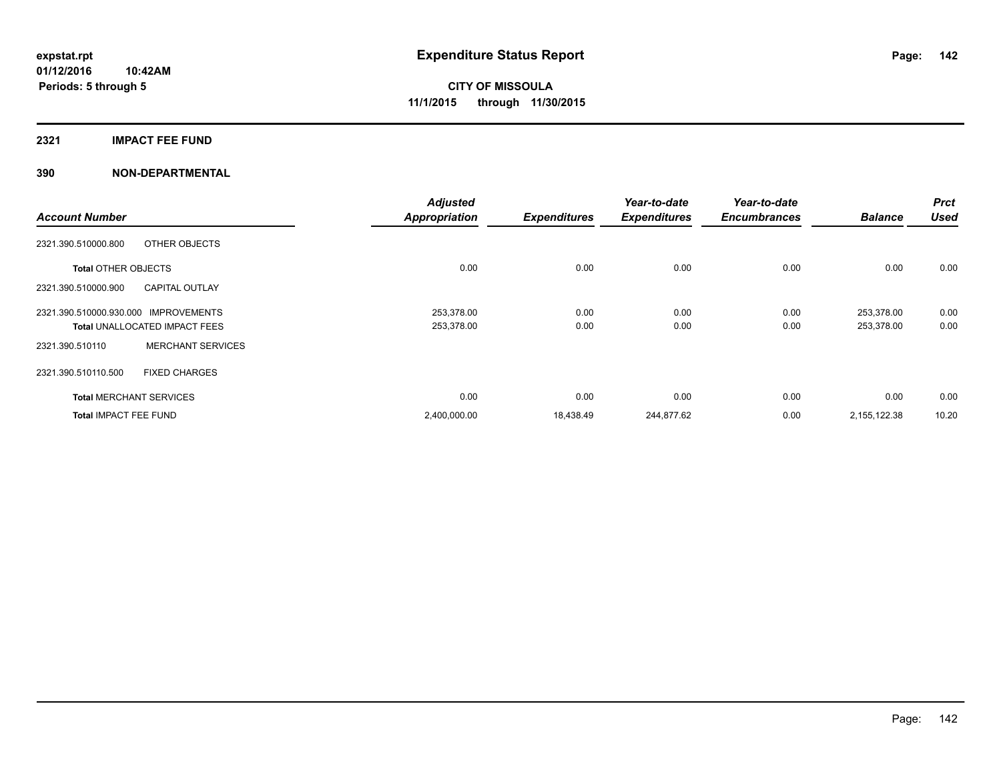#### **2321 IMPACT FEE FUND**

|                                                | <b>Adjusted</b>      |                     | Year-to-date        | Year-to-date        |                | <b>Prct</b> |
|------------------------------------------------|----------------------|---------------------|---------------------|---------------------|----------------|-------------|
| <b>Account Number</b>                          | <b>Appropriation</b> | <b>Expenditures</b> | <b>Expenditures</b> | <b>Encumbrances</b> | <b>Balance</b> | <b>Used</b> |
| 2321.390.510000.800<br>OTHER OBJECTS           |                      |                     |                     |                     |                |             |
| <b>Total OTHER OBJECTS</b>                     | 0.00                 | 0.00                | 0.00                | 0.00                | 0.00           | 0.00        |
| <b>CAPITAL OUTLAY</b><br>2321.390.510000.900   |                      |                     |                     |                     |                |             |
| 2321.390.510000.930.000<br><b>IMPROVEMENTS</b> | 253,378.00           | 0.00                | 0.00                | 0.00                | 253,378.00     | 0.00        |
| <b>Total UNALLOCATED IMPACT FEES</b>           | 253,378.00           | 0.00                | 0.00                | 0.00                | 253,378.00     | 0.00        |
| <b>MERCHANT SERVICES</b><br>2321.390.510110    |                      |                     |                     |                     |                |             |
| 2321.390.510110.500<br><b>FIXED CHARGES</b>    |                      |                     |                     |                     |                |             |
| <b>Total MERCHANT SERVICES</b>                 | 0.00                 | 0.00                | 0.00                | 0.00                | 0.00           | 0.00        |
| <b>Total IMPACT FEE FUND</b>                   | 2,400,000.00         | 18,438.49           | 244,877.62          | 0.00                | 2,155,122.38   | 10.20       |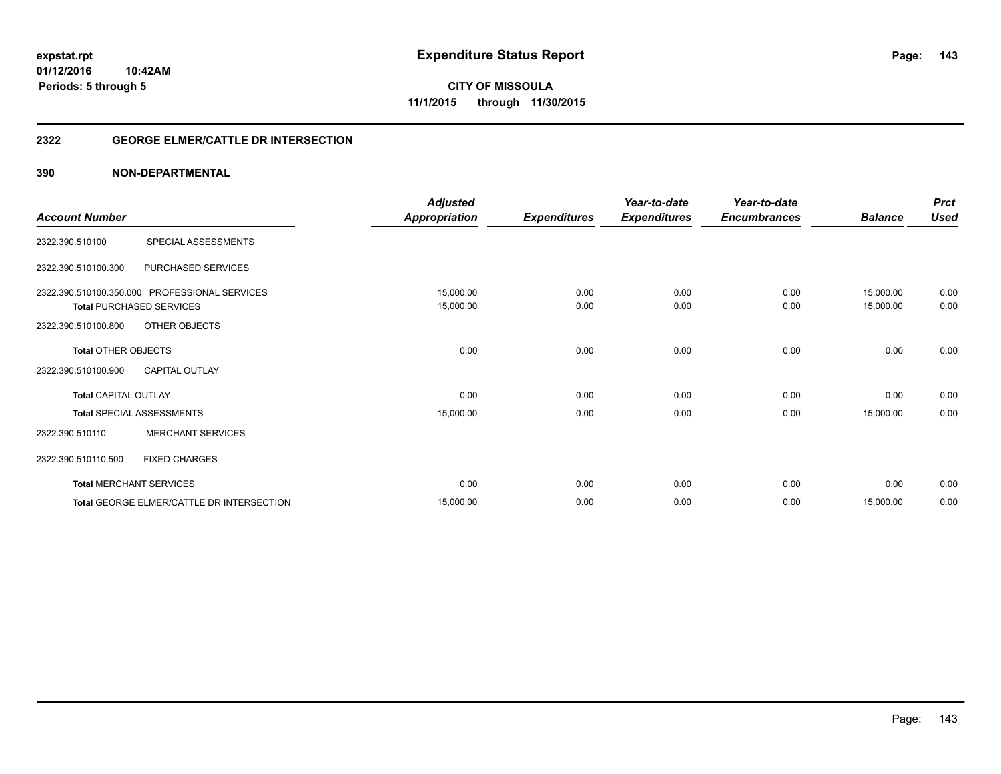**Periods: 5 through 5**

**143**

**CITY OF MISSOULA 11/1/2015 through 11/30/2015**

#### **2322 GEORGE ELMER/CATTLE DR INTERSECTION**

| <b>Account Number</b>                             |                                                                                                   | <b>Adjusted</b><br><b>Appropriation</b> | <b>Expenditures</b> | Year-to-date<br><b>Expenditures</b> | Year-to-date<br><b>Encumbrances</b> | <b>Balance</b>         | <b>Prct</b><br><b>Used</b> |
|---------------------------------------------------|---------------------------------------------------------------------------------------------------|-----------------------------------------|---------------------|-------------------------------------|-------------------------------------|------------------------|----------------------------|
| 2322.390.510100                                   | SPECIAL ASSESSMENTS                                                                               |                                         |                     |                                     |                                     |                        |                            |
| 2322.390.510100.300                               | PURCHASED SERVICES                                                                                |                                         |                     |                                     |                                     |                        |                            |
| 2322.390.510100.800                               | 2322.390.510100.350.000 PROFESSIONAL SERVICES<br><b>Total PURCHASED SERVICES</b><br>OTHER OBJECTS | 15,000.00<br>15,000.00                  | 0.00<br>0.00        | 0.00<br>0.00                        | 0.00<br>0.00                        | 15,000.00<br>15,000.00 | 0.00<br>0.00               |
| <b>Total OTHER OBJECTS</b><br>2322.390.510100.900 | <b>CAPITAL OUTLAY</b>                                                                             | 0.00                                    | 0.00                | 0.00                                | 0.00                                | 0.00                   | 0.00                       |
| <b>Total CAPITAL OUTLAY</b>                       |                                                                                                   | 0.00                                    | 0.00                | 0.00                                | 0.00                                | 0.00                   | 0.00                       |
| 2322.390.510110                                   | <b>Total SPECIAL ASSESSMENTS</b><br><b>MERCHANT SERVICES</b>                                      | 15,000.00                               | 0.00                | 0.00                                | 0.00                                | 15,000.00              | 0.00                       |
| 2322.390.510110.500                               | <b>FIXED CHARGES</b>                                                                              |                                         |                     |                                     |                                     |                        |                            |
|                                                   | <b>Total MERCHANT SERVICES</b>                                                                    | 0.00                                    | 0.00                | 0.00                                | 0.00                                | 0.00                   | 0.00                       |
|                                                   | Total GEORGE ELMER/CATTLE DR INTERSECTION                                                         | 15,000.00                               | 0.00                | 0.00                                | 0.00                                | 15,000.00              | 0.00                       |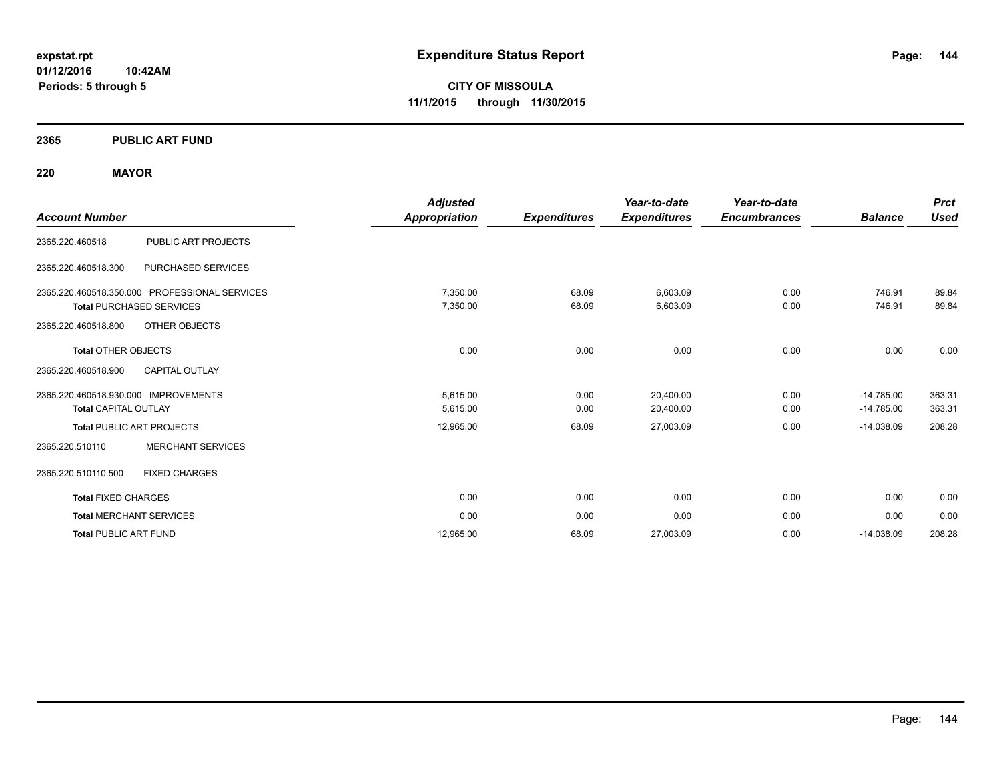**2365 PUBLIC ART FUND**

**10:42AM**

**220 MAYOR**

**Periods: 5 through 5**

| <b>Account Number</b>                                                            | <b>Adjusted</b><br><b>Appropriation</b> | <b>Expenditures</b> | Year-to-date<br><b>Expenditures</b> | Year-to-date<br><b>Encumbrances</b> | <b>Balance</b>               | <b>Prct</b><br><b>Used</b> |
|----------------------------------------------------------------------------------|-----------------------------------------|---------------------|-------------------------------------|-------------------------------------|------------------------------|----------------------------|
| PUBLIC ART PROJECTS<br>2365.220.460518                                           |                                         |                     |                                     |                                     |                              |                            |
| 2365.220.460518.300<br>PURCHASED SERVICES                                        |                                         |                     |                                     |                                     |                              |                            |
| 2365.220.460518.350.000 PROFESSIONAL SERVICES<br><b>Total PURCHASED SERVICES</b> | 7,350.00<br>7,350.00                    | 68.09<br>68.09      | 6,603.09<br>6,603.09                | 0.00<br>0.00                        | 746.91<br>746.91             | 89.84<br>89.84             |
| OTHER OBJECTS<br>2365.220.460518.800<br><b>Total OTHER OBJECTS</b>               | 0.00                                    | 0.00                | 0.00                                | 0.00                                | 0.00                         | 0.00                       |
| 2365.220.460518.900<br><b>CAPITAL OUTLAY</b>                                     |                                         |                     |                                     |                                     |                              |                            |
| 2365.220.460518.930.000 IMPROVEMENTS<br><b>Total CAPITAL OUTLAY</b>              | 5,615.00<br>5,615.00                    | 0.00<br>0.00        | 20,400.00<br>20,400.00              | 0.00<br>0.00                        | $-14,785.00$<br>$-14,785.00$ | 363.31<br>363.31           |
| <b>Total PUBLIC ART PROJECTS</b>                                                 | 12,965.00                               | 68.09               | 27,003.09                           | 0.00                                | $-14.038.09$                 | 208.28                     |
| <b>MERCHANT SERVICES</b><br>2365.220.510110                                      |                                         |                     |                                     |                                     |                              |                            |
| <b>FIXED CHARGES</b><br>2365.220.510110.500                                      |                                         |                     |                                     |                                     |                              |                            |
| <b>Total FIXED CHARGES</b>                                                       | 0.00                                    | 0.00                | 0.00                                | 0.00                                | 0.00                         | 0.00                       |
| <b>Total MERCHANT SERVICES</b>                                                   | 0.00                                    | 0.00                | 0.00                                | 0.00                                | 0.00                         | 0.00                       |
| <b>Total PUBLIC ART FUND</b>                                                     | 12,965.00                               | 68.09               | 27,003.09                           | 0.00                                | $-14,038.09$                 | 208.28                     |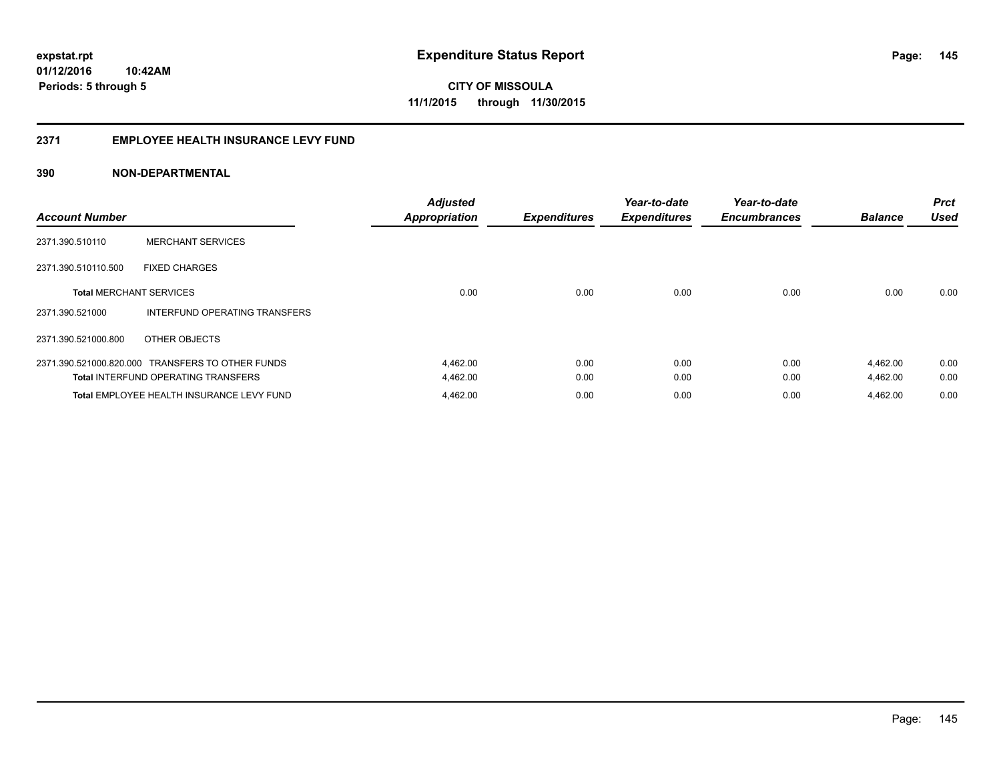# **2371 EMPLOYEE HEALTH INSURANCE LEVY FUND**

| <b>Account Number</b>          |                                                  | <b>Adjusted</b><br><b>Appropriation</b> | <b>Expenditures</b> | Year-to-date<br><b>Expenditures</b> | Year-to-date<br><b>Encumbrances</b> | <b>Balance</b> | <b>Prct</b><br><b>Used</b> |
|--------------------------------|--------------------------------------------------|-----------------------------------------|---------------------|-------------------------------------|-------------------------------------|----------------|----------------------------|
| 2371.390.510110                | <b>MERCHANT SERVICES</b>                         |                                         |                     |                                     |                                     |                |                            |
| 2371.390.510110.500            | <b>FIXED CHARGES</b>                             |                                         |                     |                                     |                                     |                |                            |
| <b>Total MERCHANT SERVICES</b> |                                                  | 0.00                                    | 0.00                | 0.00                                | 0.00                                | 0.00           | 0.00                       |
| 2371.390.521000                | INTERFUND OPERATING TRANSFERS                    |                                         |                     |                                     |                                     |                |                            |
| 2371.390.521000.800            | OTHER OBJECTS                                    |                                         |                     |                                     |                                     |                |                            |
|                                | 2371.390.521000.820.000 TRANSFERS TO OTHER FUNDS | 4,462.00                                | 0.00                | 0.00                                | 0.00                                | 4,462.00       | 0.00                       |
|                                | <b>Total INTERFUND OPERATING TRANSFERS</b>       | 4,462.00                                | 0.00                | 0.00                                | 0.00                                | 4,462.00       | 0.00                       |
|                                | Total EMPLOYEE HEALTH INSURANCE LEVY FUND        | 4,462.00                                | 0.00                | 0.00                                | 0.00                                | 4,462.00       | 0.00                       |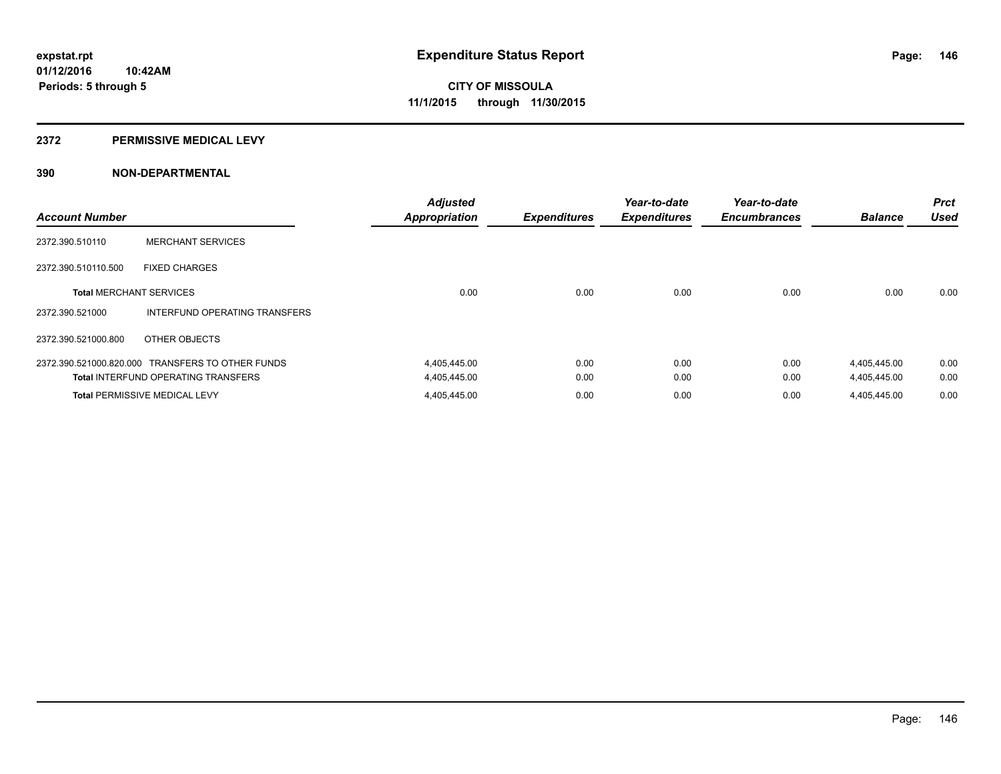### **2372 PERMISSIVE MEDICAL LEVY**

| <b>Account Number</b>          |                                                  | <b>Adjusted</b><br><b>Appropriation</b> | <b>Expenditures</b> | Year-to-date<br><b>Expenditures</b> | Year-to-date<br><b>Encumbrances</b> | <b>Balance</b> | <b>Prct</b><br><b>Used</b> |
|--------------------------------|--------------------------------------------------|-----------------------------------------|---------------------|-------------------------------------|-------------------------------------|----------------|----------------------------|
| 2372.390.510110                | <b>MERCHANT SERVICES</b>                         |                                         |                     |                                     |                                     |                |                            |
| 2372.390.510110.500            | <b>FIXED CHARGES</b>                             |                                         |                     |                                     |                                     |                |                            |
| <b>Total MERCHANT SERVICES</b> |                                                  | 0.00                                    | 0.00                | 0.00                                | 0.00                                | 0.00           | 0.00                       |
| 2372.390.521000                | INTERFUND OPERATING TRANSFERS                    |                                         |                     |                                     |                                     |                |                            |
| 2372.390.521000.800            | OTHER OBJECTS                                    |                                         |                     |                                     |                                     |                |                            |
|                                | 2372.390.521000.820.000 TRANSFERS TO OTHER FUNDS | 4,405,445.00                            | 0.00                | 0.00                                | 0.00                                | 4,405,445.00   | 0.00                       |
|                                | <b>Total INTERFUND OPERATING TRANSFERS</b>       | 4,405,445.00                            | 0.00                | 0.00                                | 0.00                                | 4,405,445.00   | 0.00                       |
|                                | <b>Total PERMISSIVE MEDICAL LEVY</b>             | 4,405,445.00                            | 0.00                | 0.00                                | 0.00                                | 4,405,445.00   | 0.00                       |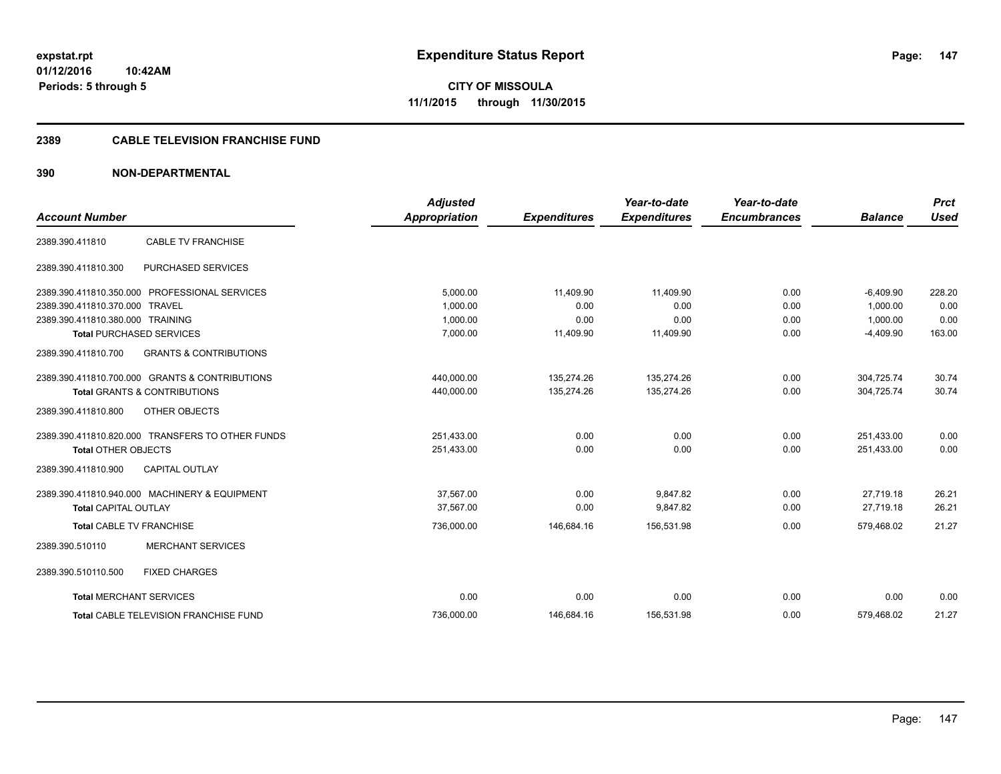**CITY OF MISSOULA 11/1/2015 through 11/30/2015**

# **2389 CABLE TELEVISION FRANCHISE FUND**

| <b>Account Number</b>            |                                                  | <b>Adjusted</b><br>Appropriation | <b>Expenditures</b> | Year-to-date<br><b>Expenditures</b> | Year-to-date<br><b>Encumbrances</b> | <b>Balance</b> | <b>Prct</b><br><b>Used</b> |
|----------------------------------|--------------------------------------------------|----------------------------------|---------------------|-------------------------------------|-------------------------------------|----------------|----------------------------|
| 2389.390.411810                  | <b>CABLE TV FRANCHISE</b>                        |                                  |                     |                                     |                                     |                |                            |
| 2389.390.411810.300              | PURCHASED SERVICES                               |                                  |                     |                                     |                                     |                |                            |
|                                  | 2389.390.411810.350.000 PROFESSIONAL SERVICES    | 5,000.00                         | 11,409.90           | 11,409.90                           | 0.00                                | $-6,409.90$    | 228.20                     |
| 2389.390.411810.370.000 TRAVEL   |                                                  | 1.000.00                         | 0.00                | 0.00                                | 0.00                                | 1.000.00       | 0.00                       |
| 2389.390.411810.380.000 TRAINING |                                                  | 1,000.00                         | 0.00                | 0.00                                | 0.00                                | 1,000.00       | 0.00                       |
|                                  | <b>Total PURCHASED SERVICES</b>                  | 7,000.00                         | 11,409.90           | 11,409.90                           | 0.00                                | $-4,409.90$    | 163.00                     |
| 2389.390.411810.700              | <b>GRANTS &amp; CONTRIBUTIONS</b>                |                                  |                     |                                     |                                     |                |                            |
|                                  | 2389.390.411810.700.000 GRANTS & CONTRIBUTIONS   | 440,000.00                       | 135,274.26          | 135,274.26                          | 0.00                                | 304,725.74     | 30.74                      |
|                                  | <b>Total GRANTS &amp; CONTRIBUTIONS</b>          | 440,000.00                       | 135,274.26          | 135,274.26                          | 0.00                                | 304.725.74     | 30.74                      |
| 2389.390.411810.800              | OTHER OBJECTS                                    |                                  |                     |                                     |                                     |                |                            |
|                                  | 2389.390.411810.820.000 TRANSFERS TO OTHER FUNDS | 251,433.00                       | 0.00                | 0.00                                | 0.00                                | 251,433.00     | 0.00                       |
| <b>Total OTHER OBJECTS</b>       |                                                  | 251,433.00                       | 0.00                | 0.00                                | 0.00                                | 251,433.00     | 0.00                       |
| 2389.390.411810.900              | <b>CAPITAL OUTLAY</b>                            |                                  |                     |                                     |                                     |                |                            |
|                                  | 2389.390.411810.940.000 MACHINERY & EQUIPMENT    | 37.567.00                        | 0.00                | 9.847.82                            | 0.00                                | 27.719.18      | 26.21                      |
| <b>Total CAPITAL OUTLAY</b>      |                                                  | 37,567.00                        | 0.00                | 9,847.82                            | 0.00                                | 27,719.18      | 26.21                      |
|                                  | <b>Total CABLE TV FRANCHISE</b>                  | 736,000.00                       | 146,684.16          | 156,531.98                          | 0.00                                | 579,468.02     | 21.27                      |
| 2389.390.510110                  | <b>MERCHANT SERVICES</b>                         |                                  |                     |                                     |                                     |                |                            |
| 2389.390.510110.500              | <b>FIXED CHARGES</b>                             |                                  |                     |                                     |                                     |                |                            |
|                                  | <b>Total MERCHANT SERVICES</b>                   | 0.00                             | 0.00                | 0.00                                | 0.00                                | 0.00           | 0.00                       |
|                                  | <b>Total CABLE TELEVISION FRANCHISE FUND</b>     | 736,000.00                       | 146,684.16          | 156,531.98                          | 0.00                                | 579,468.02     | 21.27                      |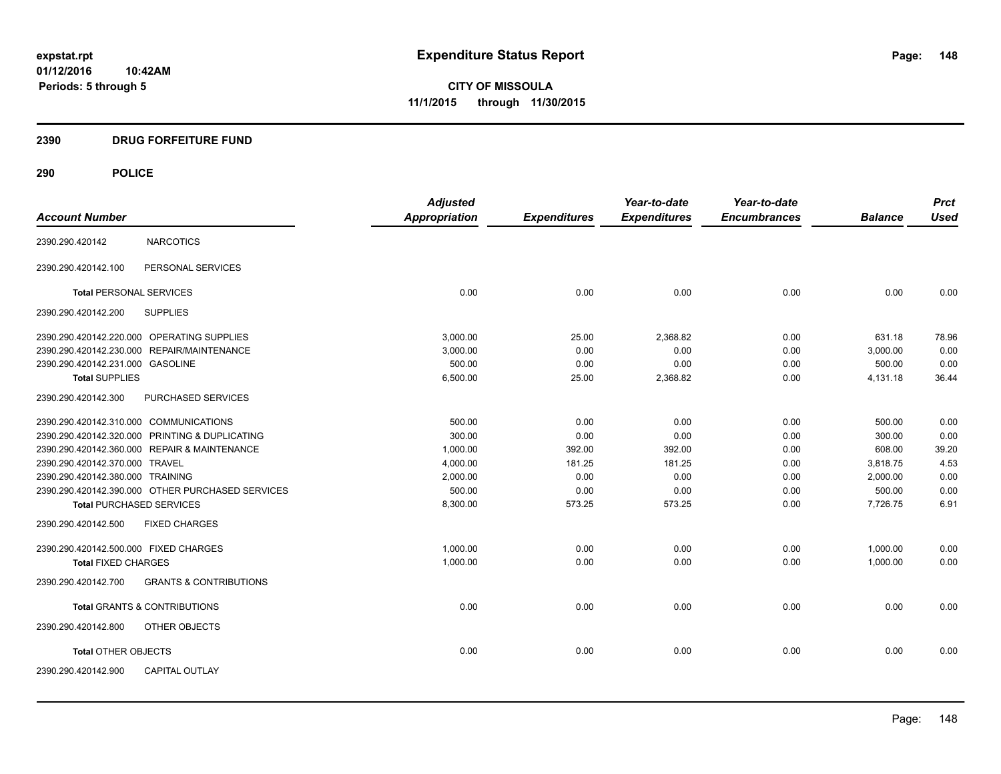**CITY OF MISSOULA 11/1/2015 through 11/30/2015**

# **2390 DRUG FORFEITURE FUND**

|                                                  |                                   | <b>Adjusted</b> |                     | Year-to-date        | Year-to-date        |                | <b>Prct</b> |
|--------------------------------------------------|-----------------------------------|-----------------|---------------------|---------------------|---------------------|----------------|-------------|
| <b>Account Number</b>                            |                                   | Appropriation   | <b>Expenditures</b> | <b>Expenditures</b> | <b>Encumbrances</b> | <b>Balance</b> | <b>Used</b> |
| 2390.290.420142                                  | <b>NARCOTICS</b>                  |                 |                     |                     |                     |                |             |
| 2390.290.420142.100                              | PERSONAL SERVICES                 |                 |                     |                     |                     |                |             |
| <b>Total PERSONAL SERVICES</b>                   |                                   | 0.00            | 0.00                | 0.00                | 0.00                | 0.00           | 0.00        |
| 2390.290.420142.200                              | <b>SUPPLIES</b>                   |                 |                     |                     |                     |                |             |
| 2390.290.420142.220.000 OPERATING SUPPLIES       |                                   | 3,000.00        | 25.00               | 2,368.82            | 0.00                | 631.18         | 78.96       |
| 2390.290.420142.230.000 REPAIR/MAINTENANCE       |                                   | 3,000.00        | 0.00                | 0.00                | 0.00                | 3,000.00       | 0.00        |
| 2390.290.420142.231.000 GASOLINE                 |                                   | 500.00          | 0.00                | 0.00                | 0.00                | 500.00         | 0.00        |
| <b>Total SUPPLIES</b>                            |                                   | 6,500.00        | 25.00               | 2,368.82            | 0.00                | 4,131.18       | 36.44       |
| 2390.290.420142.300                              | PURCHASED SERVICES                |                 |                     |                     |                     |                |             |
| 2390.290.420142.310.000 COMMUNICATIONS           |                                   | 500.00          | 0.00                | 0.00                | 0.00                | 500.00         | 0.00        |
| 2390.290.420142.320.000 PRINTING & DUPLICATING   |                                   | 300.00          | 0.00                | 0.00                | 0.00                | 300.00         | 0.00        |
| 2390.290.420142.360.000 REPAIR & MAINTENANCE     |                                   | 1,000.00        | 392.00              | 392.00              | 0.00                | 608.00         | 39.20       |
| 2390.290.420142.370.000 TRAVEL                   |                                   | 4,000.00        | 181.25              | 181.25              | 0.00                | 3,818.75       | 4.53        |
| 2390.290.420142.380.000 TRAINING                 |                                   | 2,000.00        | 0.00                | 0.00                | 0.00                | 2.000.00       | 0.00        |
| 2390.290.420142.390.000 OTHER PURCHASED SERVICES |                                   | 500.00          | 0.00                | 0.00                | 0.00                | 500.00         | 0.00        |
| <b>Total PURCHASED SERVICES</b>                  |                                   | 8,300.00        | 573.25              | 573.25              | 0.00                | 7,726.75       | 6.91        |
| 2390.290.420142.500                              | <b>FIXED CHARGES</b>              |                 |                     |                     |                     |                |             |
| 2390.290.420142.500.000 FIXED CHARGES            |                                   | 1,000.00        | 0.00                | 0.00                | 0.00                | 1,000.00       | 0.00        |
| <b>Total FIXED CHARGES</b>                       |                                   | 1,000.00        | 0.00                | 0.00                | 0.00                | 1,000.00       | 0.00        |
| 2390.290.420142.700                              | <b>GRANTS &amp; CONTRIBUTIONS</b> |                 |                     |                     |                     |                |             |
| <b>Total GRANTS &amp; CONTRIBUTIONS</b>          |                                   | 0.00            | 0.00                | 0.00                | 0.00                | 0.00           | 0.00        |
| 2390.290.420142.800                              | OTHER OBJECTS                     |                 |                     |                     |                     |                |             |
| <b>Total OTHER OBJECTS</b>                       |                                   | 0.00            | 0.00                | 0.00                | 0.00                | 0.00           | 0.00        |
| 2390.290.420142.900                              | <b>CAPITAL OUTLAY</b>             |                 |                     |                     |                     |                |             |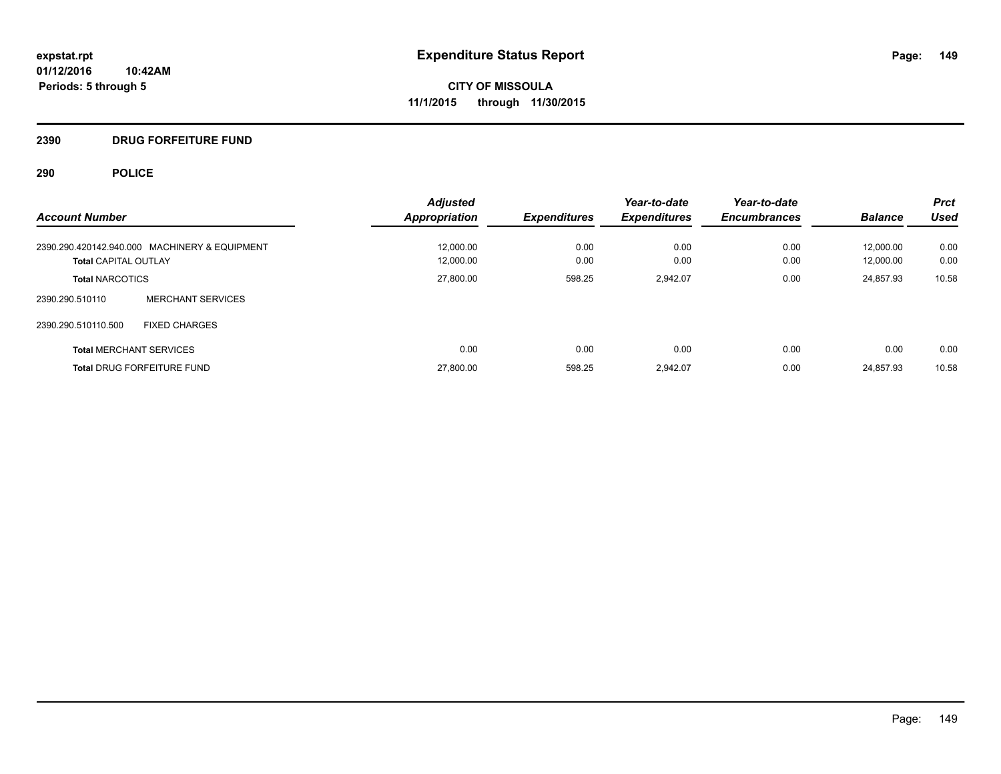# **2390 DRUG FORFEITURE FUND**

|                                               | <b>Adjusted</b>      |                     | Year-to-date        | Year-to-date        |                | <b>Prct</b> |
|-----------------------------------------------|----------------------|---------------------|---------------------|---------------------|----------------|-------------|
| <b>Account Number</b>                         | <b>Appropriation</b> | <b>Expenditures</b> | <b>Expenditures</b> | <b>Encumbrances</b> | <b>Balance</b> | <b>Used</b> |
| 2390.290.420142.940.000 MACHINERY & EQUIPMENT | 12,000.00            | 0.00                | 0.00                | 0.00                | 12.000.00      | 0.00        |
| <b>Total CAPITAL OUTLAY</b>                   | 12.000.00            | 0.00                | 0.00                | 0.00                | 12.000.00      | 0.00        |
| <b>Total NARCOTICS</b>                        | 27,800.00            | 598.25              | 2.942.07            | 0.00                | 24.857.93      | 10.58       |
| <b>MERCHANT SERVICES</b><br>2390.290.510110   |                      |                     |                     |                     |                |             |
| <b>FIXED CHARGES</b><br>2390.290.510110.500   |                      |                     |                     |                     |                |             |
| <b>Total MERCHANT SERVICES</b>                | 0.00                 | 0.00                | 0.00                | 0.00                | 0.00           | 0.00        |
| <b>Total DRUG FORFEITURE FUND</b>             | 27,800.00            | 598.25              | 2.942.07            | 0.00                | 24.857.93      | 10.58       |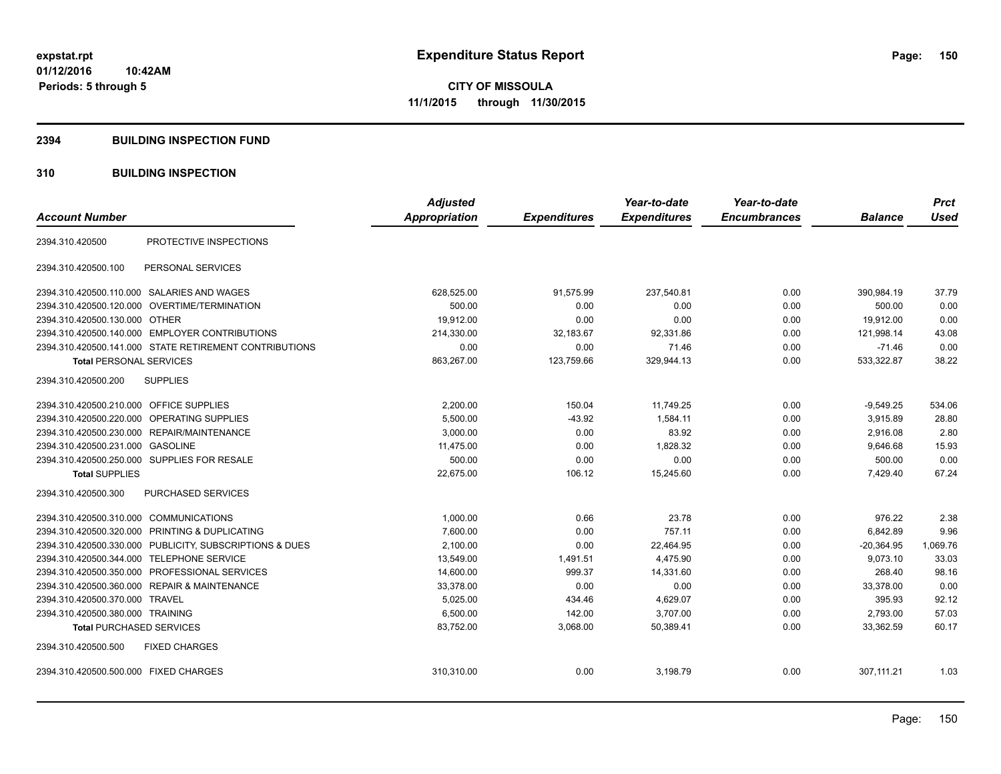### **2394 BUILDING INSPECTION FUND**

# **310 BUILDING INSPECTION**

|                                                         | <b>Adjusted</b> |                     | Year-to-date        | Year-to-date        |                | <b>Prct</b> |
|---------------------------------------------------------|-----------------|---------------------|---------------------|---------------------|----------------|-------------|
| <b>Account Number</b>                                   | Appropriation   | <b>Expenditures</b> | <b>Expenditures</b> | <b>Encumbrances</b> | <b>Balance</b> | <b>Used</b> |
| PROTECTIVE INSPECTIONS<br>2394.310.420500               |                 |                     |                     |                     |                |             |
| PERSONAL SERVICES<br>2394.310.420500.100                |                 |                     |                     |                     |                |             |
| 2394.310.420500.110.000 SALARIES AND WAGES              | 628,525.00      | 91,575.99           | 237,540.81          | 0.00                | 390.984.19     | 37.79       |
| 2394.310.420500.120.000 OVERTIME/TERMINATION            | 500.00          | 0.00                | 0.00                | 0.00                | 500.00         | 0.00        |
| 2394.310.420500.130.000 OTHER                           | 19,912.00       | 0.00                | 0.00                | 0.00                | 19,912.00      | 0.00        |
| 2394.310.420500.140.000 EMPLOYER CONTRIBUTIONS          | 214,330.00      | 32,183.67           | 92,331.86           | 0.00                | 121,998.14     | 43.08       |
| 2394.310.420500.141.000 STATE RETIREMENT CONTRIBUTIONS  | 0.00            | 0.00                | 71.46               | 0.00                | $-71.46$       | 0.00        |
| <b>Total PERSONAL SERVICES</b>                          | 863,267.00      | 123,759.66          | 329,944.13          | 0.00                | 533,322.87     | 38.22       |
| <b>SUPPLIES</b><br>2394.310.420500.200                  |                 |                     |                     |                     |                |             |
| 2394.310.420500.210.000<br><b>OFFICE SUPPLIES</b>       | 2,200.00        | 150.04              | 11,749.25           | 0.00                | $-9,549.25$    | 534.06      |
| OPERATING SUPPLIES<br>2394.310.420500.220.000           | 5,500.00        | $-43.92$            | 1,584.11            | 0.00                | 3,915.89       | 28.80       |
| 2394.310.420500.230.000 REPAIR/MAINTENANCE              | 3,000.00        | 0.00                | 83.92               | 0.00                | 2,916.08       | 2.80        |
| 2394.310.420500.231.000 GASOLINE                        | 11,475.00       | 0.00                | 1,828.32            | 0.00                | 9,646.68       | 15.93       |
| 2394.310.420500.250.000 SUPPLIES FOR RESALE             | 500.00          | 0.00                | 0.00                | 0.00                | 500.00         | 0.00        |
| <b>Total SUPPLIES</b>                                   | 22,675.00       | 106.12              | 15,245.60           | 0.00                | 7,429.40       | 67.24       |
| 2394.310.420500.300<br><b>PURCHASED SERVICES</b>        |                 |                     |                     |                     |                |             |
| 2394.310.420500.310.000 COMMUNICATIONS                  | 1,000.00        | 0.66                | 23.78               | 0.00                | 976.22         | 2.38        |
| 2394.310.420500.320.000 PRINTING & DUPLICATING          | 7,600.00        | 0.00                | 757.11              | 0.00                | 6,842.89       | 9.96        |
| 2394.310.420500.330.000 PUBLICITY, SUBSCRIPTIONS & DUES | 2,100.00        | 0.00                | 22,464.95           | 0.00                | $-20,364.95$   | 1,069.76    |
| <b>TELEPHONE SERVICE</b><br>2394.310.420500.344.000     | 13,549.00       | 1,491.51            | 4,475.90            | 0.00                | 9,073.10       | 33.03       |
| PROFESSIONAL SERVICES<br>2394.310.420500.350.000        | 14,600.00       | 999.37              | 14,331.60           | 0.00                | 268.40         | 98.16       |
| 2394.310.420500.360.000 REPAIR & MAINTENANCE            | 33,378.00       | 0.00                | 0.00                | 0.00                | 33,378.00      | 0.00        |
| 2394.310.420500.370.000 TRAVEL                          | 5,025.00        | 434.46              | 4,629.07            | 0.00                | 395.93         | 92.12       |
| 2394.310.420500.380.000 TRAINING                        | 6,500.00        | 142.00              | 3,707.00            | 0.00                | 2,793.00       | 57.03       |
| <b>Total PURCHASED SERVICES</b>                         | 83,752.00       | 3,068.00            | 50,389.41           | 0.00                | 33,362.59      | 60.17       |
| 2394.310.420500.500<br><b>FIXED CHARGES</b>             |                 |                     |                     |                     |                |             |
| 2394.310.420500.500.000 FIXED CHARGES                   | 310,310.00      | 0.00                | 3,198.79            | 0.00                | 307,111.21     | 1.03        |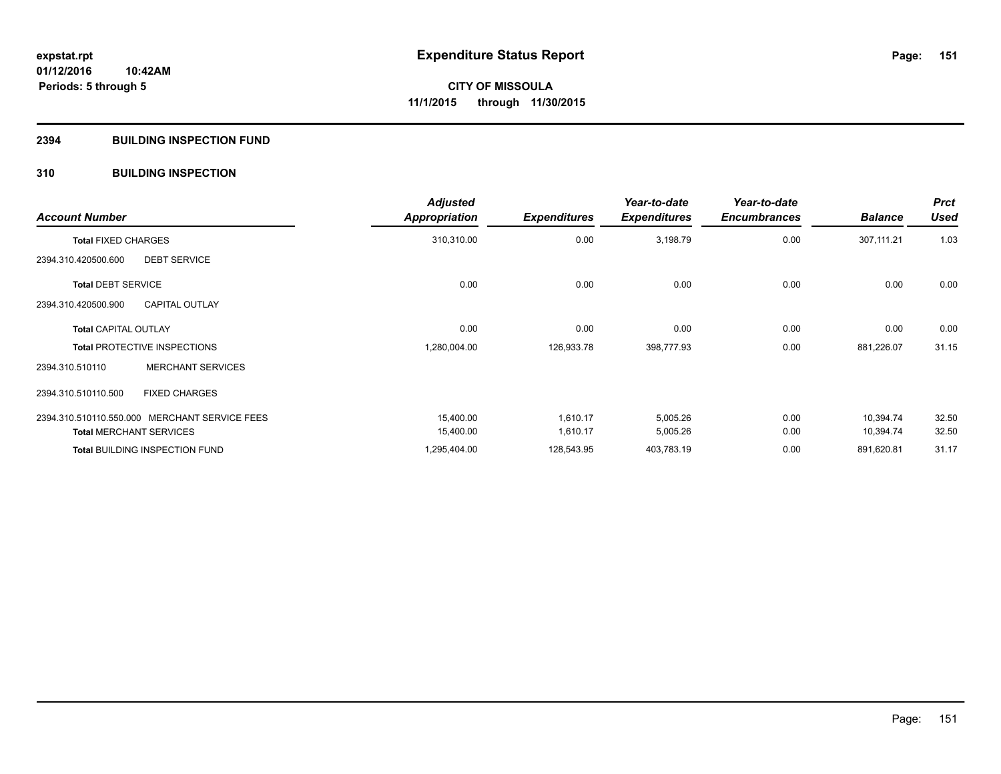# **2394 BUILDING INSPECTION FUND**

# **310 BUILDING INSPECTION**

| <b>Account Number</b>                         | <b>Adjusted</b><br><b>Appropriation</b> | <b>Expenditures</b> | Year-to-date<br><b>Expenditures</b> | Year-to-date<br><b>Encumbrances</b> | <b>Balance</b> | <b>Prct</b><br><b>Used</b> |
|-----------------------------------------------|-----------------------------------------|---------------------|-------------------------------------|-------------------------------------|----------------|----------------------------|
| <b>Total FIXED CHARGES</b>                    | 310,310.00                              | 0.00                | 3,198.79                            | 0.00                                | 307,111.21     | 1.03                       |
| <b>DEBT SERVICE</b><br>2394.310.420500.600    |                                         |                     |                                     |                                     |                |                            |
| <b>Total DEBT SERVICE</b>                     | 0.00                                    | 0.00                | 0.00                                | 0.00                                | 0.00           | 0.00                       |
| <b>CAPITAL OUTLAY</b><br>2394.310.420500.900  |                                         |                     |                                     |                                     |                |                            |
| <b>Total CAPITAL OUTLAY</b>                   | 0.00                                    | 0.00                | 0.00                                | 0.00                                | 0.00           | 0.00                       |
| <b>Total PROTECTIVE INSPECTIONS</b>           | 1,280,004.00                            | 126,933.78          | 398,777.93                          | 0.00                                | 881,226.07     | 31.15                      |
| <b>MERCHANT SERVICES</b><br>2394.310.510110   |                                         |                     |                                     |                                     |                |                            |
| <b>FIXED CHARGES</b><br>2394.310.510110.500   |                                         |                     |                                     |                                     |                |                            |
| 2394.310.510110.550.000 MERCHANT SERVICE FEES | 15.400.00                               | 1.610.17            | 5,005.26                            | 0.00                                | 10.394.74      | 32.50                      |
| <b>Total MERCHANT SERVICES</b>                | 15,400.00                               | 1,610.17            | 5,005.26                            | 0.00                                | 10,394.74      | 32.50                      |
| Total BUILDING INSPECTION FUND                | 1,295,404.00                            | 128,543.95          | 403,783.19                          | 0.00                                | 891,620.81     | 31.17                      |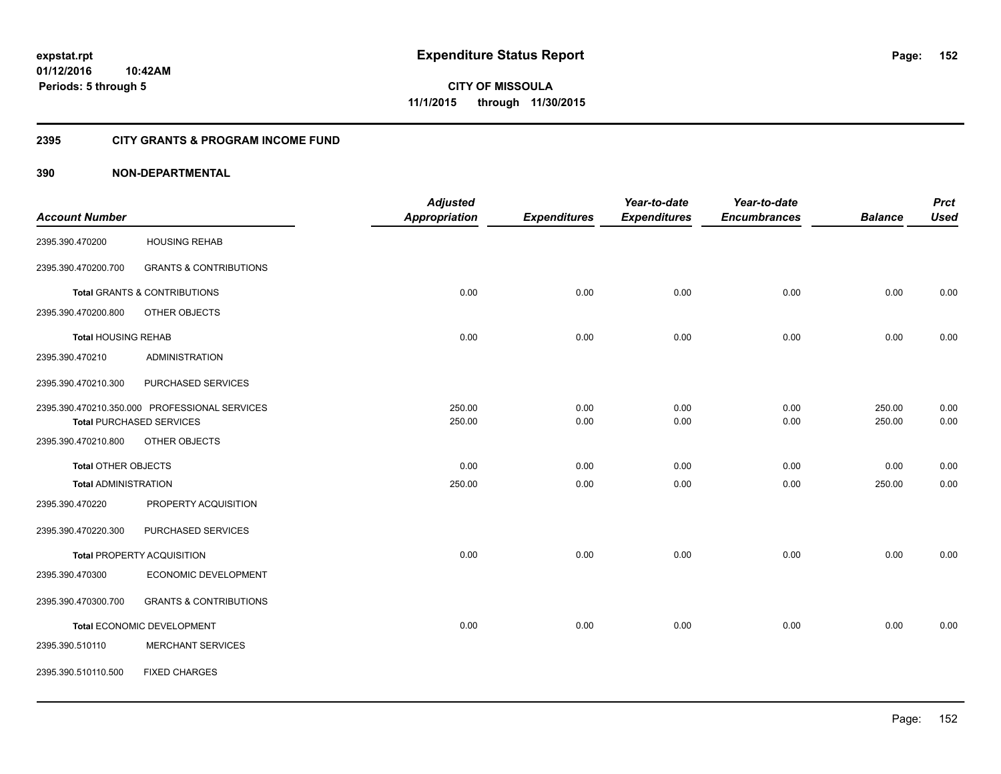**Periods: 5 through 5**

**152**

**CITY OF MISSOULA 11/1/2015 through 11/30/2015**

# **2395 CITY GRANTS & PROGRAM INCOME FUND**

|                             |                                               | <b>Adjusted</b>      |                     | Year-to-date        | Year-to-date        |                | <b>Prct</b> |
|-----------------------------|-----------------------------------------------|----------------------|---------------------|---------------------|---------------------|----------------|-------------|
| <b>Account Number</b>       |                                               | <b>Appropriation</b> | <b>Expenditures</b> | <b>Expenditures</b> | <b>Encumbrances</b> | <b>Balance</b> | <b>Used</b> |
| 2395.390.470200             | <b>HOUSING REHAB</b>                          |                      |                     |                     |                     |                |             |
| 2395.390.470200.700         | <b>GRANTS &amp; CONTRIBUTIONS</b>             |                      |                     |                     |                     |                |             |
|                             | Total GRANTS & CONTRIBUTIONS                  | 0.00                 | 0.00                | 0.00                | 0.00                | 0.00           | 0.00        |
| 2395.390.470200.800         | OTHER OBJECTS                                 |                      |                     |                     |                     |                |             |
| <b>Total HOUSING REHAB</b>  |                                               | 0.00                 | 0.00                | 0.00                | 0.00                | 0.00           | 0.00        |
| 2395.390.470210             | <b>ADMINISTRATION</b>                         |                      |                     |                     |                     |                |             |
| 2395.390.470210.300         | PURCHASED SERVICES                            |                      |                     |                     |                     |                |             |
|                             | 2395.390.470210.350.000 PROFESSIONAL SERVICES | 250.00               | 0.00                | 0.00                | 0.00                | 250.00         | 0.00        |
|                             | <b>Total PURCHASED SERVICES</b>               | 250.00               | 0.00                | 0.00                | 0.00                | 250.00         | 0.00        |
| 2395.390.470210.800         | OTHER OBJECTS                                 |                      |                     |                     |                     |                |             |
| <b>Total OTHER OBJECTS</b>  |                                               | 0.00                 | 0.00                | 0.00                | 0.00                | 0.00           | 0.00        |
| <b>Total ADMINISTRATION</b> |                                               | 250.00               | 0.00                | 0.00                | 0.00                | 250.00         | 0.00        |
| 2395.390.470220             | PROPERTY ACQUISITION                          |                      |                     |                     |                     |                |             |
| 2395.390.470220.300         | PURCHASED SERVICES                            |                      |                     |                     |                     |                |             |
|                             | Total PROPERTY ACQUISITION                    | 0.00                 | 0.00                | 0.00                | 0.00                | 0.00           | 0.00        |
| 2395.390.470300             | ECONOMIC DEVELOPMENT                          |                      |                     |                     |                     |                |             |
| 2395.390.470300.700         | <b>GRANTS &amp; CONTRIBUTIONS</b>             |                      |                     |                     |                     |                |             |
|                             | Total ECONOMIC DEVELOPMENT                    | 0.00                 | 0.00                | 0.00                | 0.00                | 0.00           | 0.00        |
| 2395.390.510110             | <b>MERCHANT SERVICES</b>                      |                      |                     |                     |                     |                |             |
| 2395.390.510110.500         | <b>FIXED CHARGES</b>                          |                      |                     |                     |                     |                |             |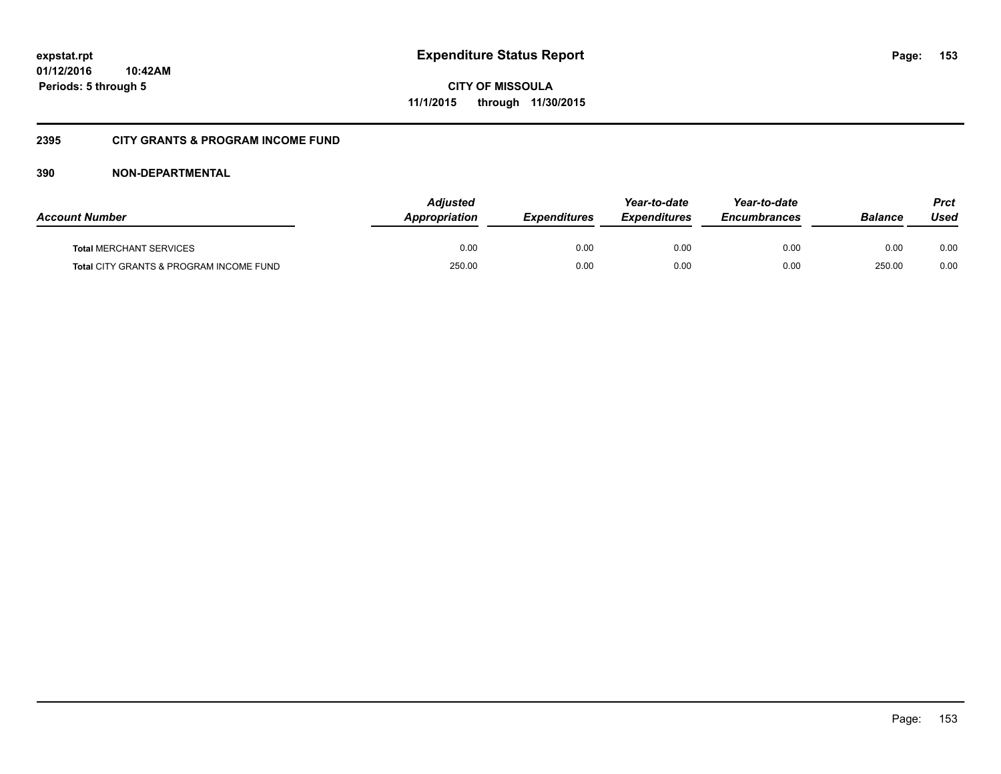**153**

**01/12/2016 10:42AM Periods: 5 through 5**

**CITY OF MISSOULA 11/1/2015 through 11/30/2015**

# **2395 CITY GRANTS & PROGRAM INCOME FUND**

| <b>Account Number</b>                   | <b>Adjusted</b><br><b>Appropriation</b> | <b>Expenditures</b> | Year-to-date<br><b>Expenditures</b> | Year-to-date<br><i><b>Encumbrances</b></i> | <b>Balance</b> | Prct<br>Used |
|-----------------------------------------|-----------------------------------------|---------------------|-------------------------------------|--------------------------------------------|----------------|--------------|
| <b>Total MERCHANT SERVICES</b>          | 0.00                                    | 0.00                | 0.00                                | 0.00                                       | 0.00           | 0.00         |
| Total CITY GRANTS & PROGRAM INCOME FUND | 250.00                                  | 0.00                | 0.00                                | 0.00                                       | 250.00         | 0.00         |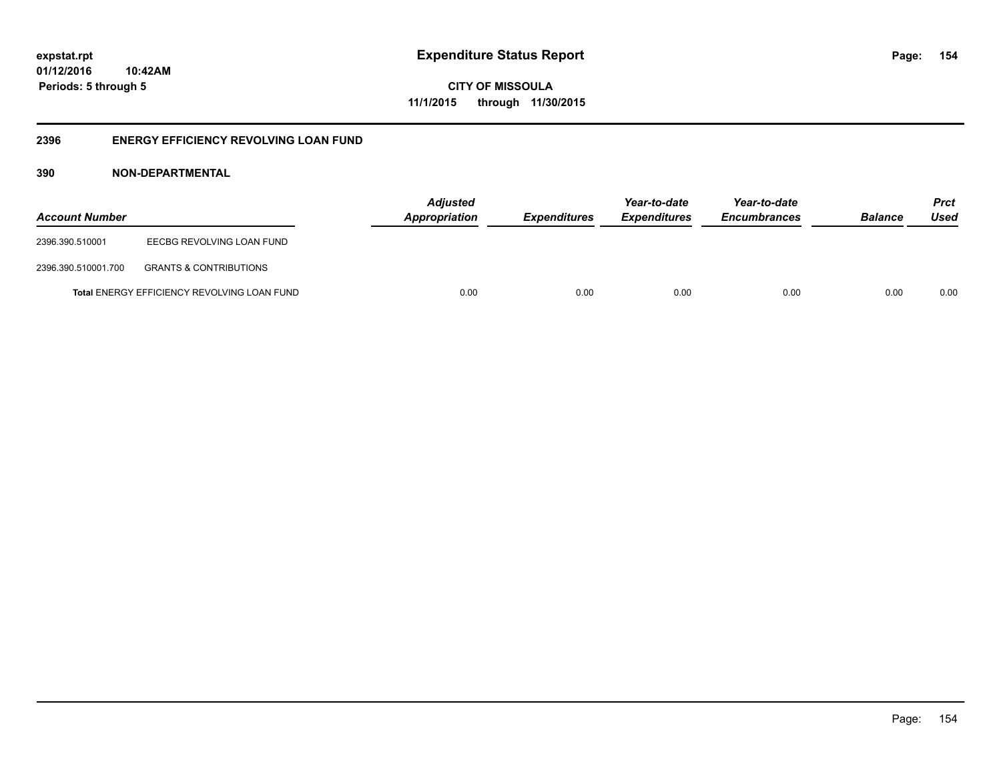**CITY OF MISSOULA 11/1/2015 through 11/30/2015**

# **2396 ENERGY EFFICIENCY REVOLVING LOAN FUND**

| <b>Account Number</b> |                                                    | <b>Adjusted</b><br>Appropriation | <b>Expenditures</b> | Year-to-date<br><i><b>Expenditures</b></i> | Year-to-date<br><b>Encumbrances</b> | <b>Balance</b> | <b>Prct</b><br>Used |
|-----------------------|----------------------------------------------------|----------------------------------|---------------------|--------------------------------------------|-------------------------------------|----------------|---------------------|
| 2396.390.510001       | EECBG REVOLVING LOAN FUND                          |                                  |                     |                                            |                                     |                |                     |
| 2396.390.510001.700   | <b>GRANTS &amp; CONTRIBUTIONS</b>                  |                                  |                     |                                            |                                     |                |                     |
|                       | <b>Total ENERGY EFFICIENCY REVOLVING LOAN FUND</b> | 0.00                             | 0.00                | 0.00                                       | 0.00                                | 0.00           | 0.00                |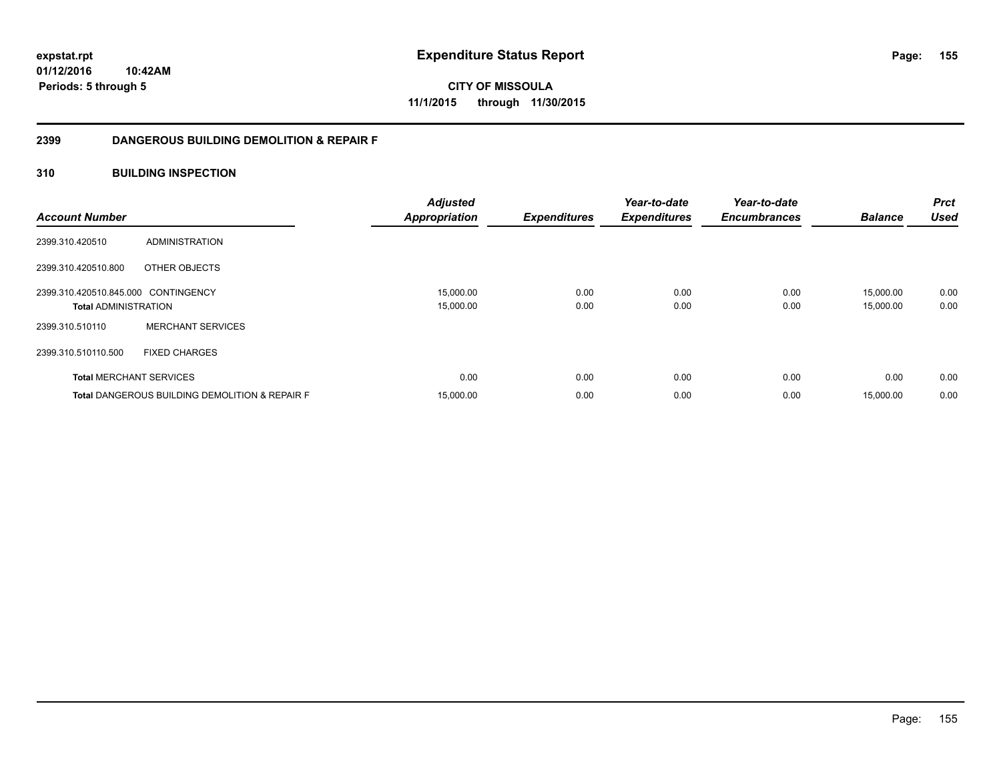**CITY OF MISSOULA 11/1/2015 through 11/30/2015**

# **2399 DANGEROUS BUILDING DEMOLITION & REPAIR F**

# **310 BUILDING INSPECTION**

| <b>Account Number</b>               |                                                           | <b>Adjusted</b><br><b>Appropriation</b> | <b>Expenditures</b> | Year-to-date<br><b>Expenditures</b> | Year-to-date<br><b>Encumbrances</b> | <b>Balance</b> | <b>Prct</b><br><b>Used</b> |
|-------------------------------------|-----------------------------------------------------------|-----------------------------------------|---------------------|-------------------------------------|-------------------------------------|----------------|----------------------------|
| 2399.310.420510                     | <b>ADMINISTRATION</b>                                     |                                         |                     |                                     |                                     |                |                            |
| 2399.310.420510.800                 | OTHER OBJECTS                                             |                                         |                     |                                     |                                     |                |                            |
| 2399.310.420510.845.000 CONTINGENCY |                                                           | 15,000.00                               | 0.00                | 0.00                                | 0.00                                | 15,000.00      | 0.00                       |
| <b>Total ADMINISTRATION</b>         |                                                           | 15,000.00                               | 0.00                | 0.00                                | 0.00                                | 15,000.00      | 0.00                       |
| 2399.310.510110                     | <b>MERCHANT SERVICES</b>                                  |                                         |                     |                                     |                                     |                |                            |
| 2399.310.510110.500                 | <b>FIXED CHARGES</b>                                      |                                         |                     |                                     |                                     |                |                            |
| <b>Total MERCHANT SERVICES</b>      |                                                           | 0.00                                    | 0.00                | 0.00                                | 0.00                                | 0.00           | 0.00                       |
|                                     | <b>Total DANGEROUS BUILDING DEMOLITION &amp; REPAIR F</b> | 15,000.00                               | 0.00                | 0.00                                | 0.00                                | 15,000.00      | 0.00                       |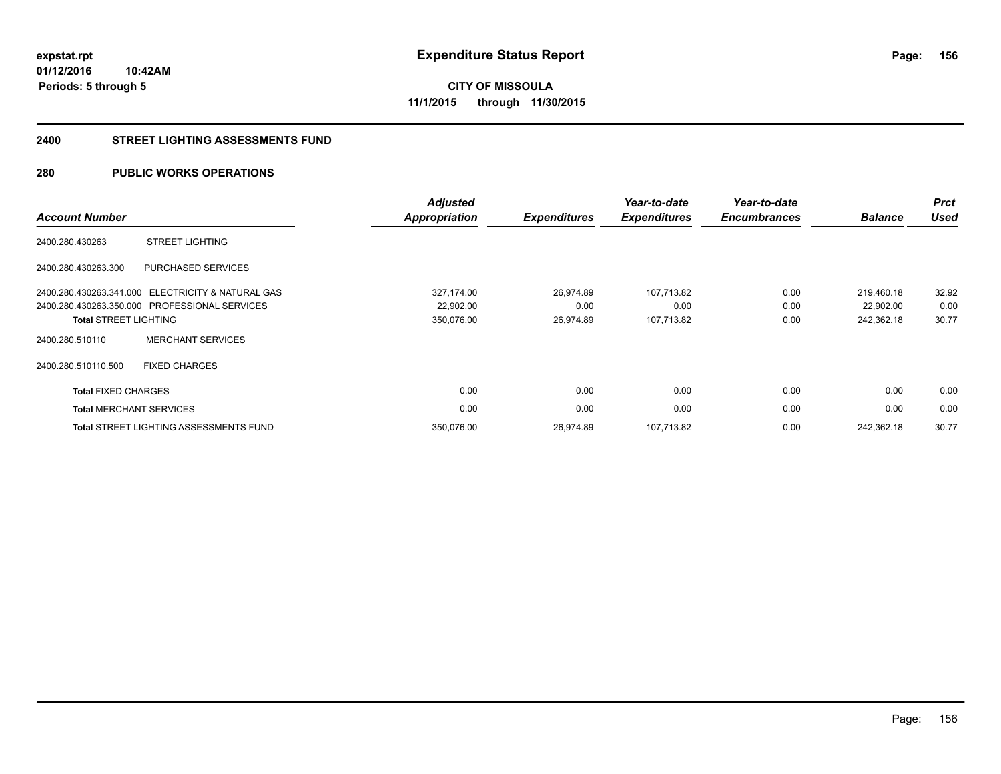# **CITY OF MISSOULA 11/1/2015 through 11/30/2015**

### **2400 STREET LIGHTING ASSESSMENTS FUND**

# **280 PUBLIC WORKS OPERATIONS**

| <b>Account Number</b>        |                                                   | <b>Adjusted</b><br><b>Appropriation</b> | <b>Expenditures</b> | Year-to-date<br><b>Expenditures</b> | Year-to-date<br><b>Encumbrances</b> | <b>Balance</b> | <b>Prct</b><br><b>Used</b> |
|------------------------------|---------------------------------------------------|-----------------------------------------|---------------------|-------------------------------------|-------------------------------------|----------------|----------------------------|
| 2400.280.430263              | <b>STREET LIGHTING</b>                            |                                         |                     |                                     |                                     |                |                            |
| 2400.280.430263.300          | <b>PURCHASED SERVICES</b>                         |                                         |                     |                                     |                                     |                |                            |
|                              | 2400.280.430263.341.000 ELECTRICITY & NATURAL GAS | 327,174.00                              | 26,974.89           | 107,713.82                          | 0.00                                | 219.460.18     | 32.92                      |
|                              | 2400.280.430263.350.000 PROFESSIONAL SERVICES     | 22,902.00                               | 0.00                | 0.00                                | 0.00                                | 22,902.00      | 0.00                       |
| <b>Total STREET LIGHTING</b> |                                                   | 350,076.00                              | 26,974.89           | 107,713.82                          | 0.00                                | 242,362.18     | 30.77                      |
| 2400.280.510110              | <b>MERCHANT SERVICES</b>                          |                                         |                     |                                     |                                     |                |                            |
| 2400.280.510110.500          | <b>FIXED CHARGES</b>                              |                                         |                     |                                     |                                     |                |                            |
| <b>Total FIXED CHARGES</b>   |                                                   | 0.00                                    | 0.00                | 0.00                                | 0.00                                | 0.00           | 0.00                       |
|                              | <b>Total MERCHANT SERVICES</b>                    | 0.00                                    | 0.00                | 0.00                                | 0.00                                | 0.00           | 0.00                       |
|                              | <b>Total STREET LIGHTING ASSESSMENTS FUND</b>     | 350,076.00                              | 26,974.89           | 107,713.82                          | 0.00                                | 242,362.18     | 30.77                      |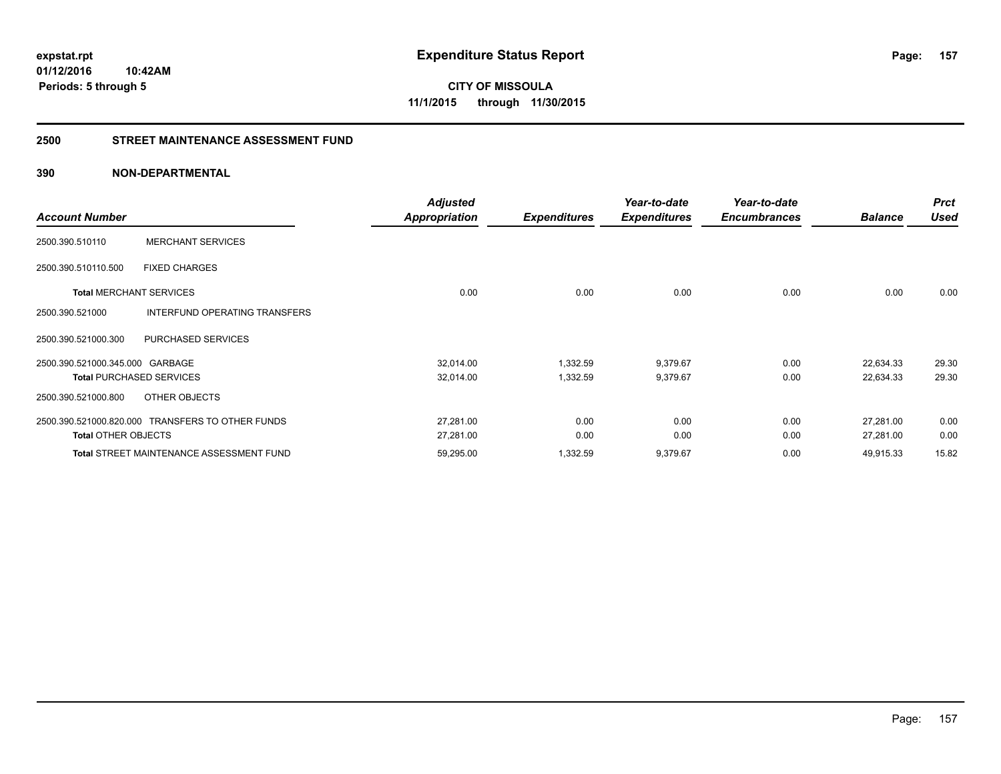**CITY OF MISSOULA 11/1/2015 through 11/30/2015**

# **2500 STREET MAINTENANCE ASSESSMENT FUND**

| <b>Account Number</b>           |                                                  | <b>Adjusted</b><br><b>Appropriation</b> | <b>Expenditures</b> | Year-to-date<br><b>Expenditures</b> | Year-to-date<br><b>Encumbrances</b> | <b>Balance</b> | <b>Prct</b><br><b>Used</b> |
|---------------------------------|--------------------------------------------------|-----------------------------------------|---------------------|-------------------------------------|-------------------------------------|----------------|----------------------------|
| 2500.390.510110                 | <b>MERCHANT SERVICES</b>                         |                                         |                     |                                     |                                     |                |                            |
| 2500.390.510110.500             | <b>FIXED CHARGES</b>                             |                                         |                     |                                     |                                     |                |                            |
| <b>Total MERCHANT SERVICES</b>  |                                                  | 0.00                                    | 0.00                | 0.00                                | 0.00                                | 0.00           | 0.00                       |
| 2500.390.521000                 | INTERFUND OPERATING TRANSFERS                    |                                         |                     |                                     |                                     |                |                            |
| 2500.390.521000.300             | PURCHASED SERVICES                               |                                         |                     |                                     |                                     |                |                            |
| 2500.390.521000.345.000 GARBAGE |                                                  | 32,014.00                               | 1,332.59            | 9,379.67                            | 0.00                                | 22,634.33      | 29.30                      |
|                                 | <b>Total PURCHASED SERVICES</b>                  | 32,014.00                               | 1,332.59            | 9,379.67                            | 0.00                                | 22,634.33      | 29.30                      |
| 2500.390.521000.800             | OTHER OBJECTS                                    |                                         |                     |                                     |                                     |                |                            |
|                                 | 2500.390.521000.820.000 TRANSFERS TO OTHER FUNDS | 27,281.00                               | 0.00                | 0.00                                | 0.00                                | 27,281.00      | 0.00                       |
| <b>Total OTHER OBJECTS</b>      |                                                  | 27,281.00                               | 0.00                | 0.00                                | 0.00                                | 27,281.00      | 0.00                       |
|                                 | <b>Total STREET MAINTENANCE ASSESSMENT FUND</b>  | 59,295.00                               | 1,332.59            | 9,379.67                            | 0.00                                | 49,915.33      | 15.82                      |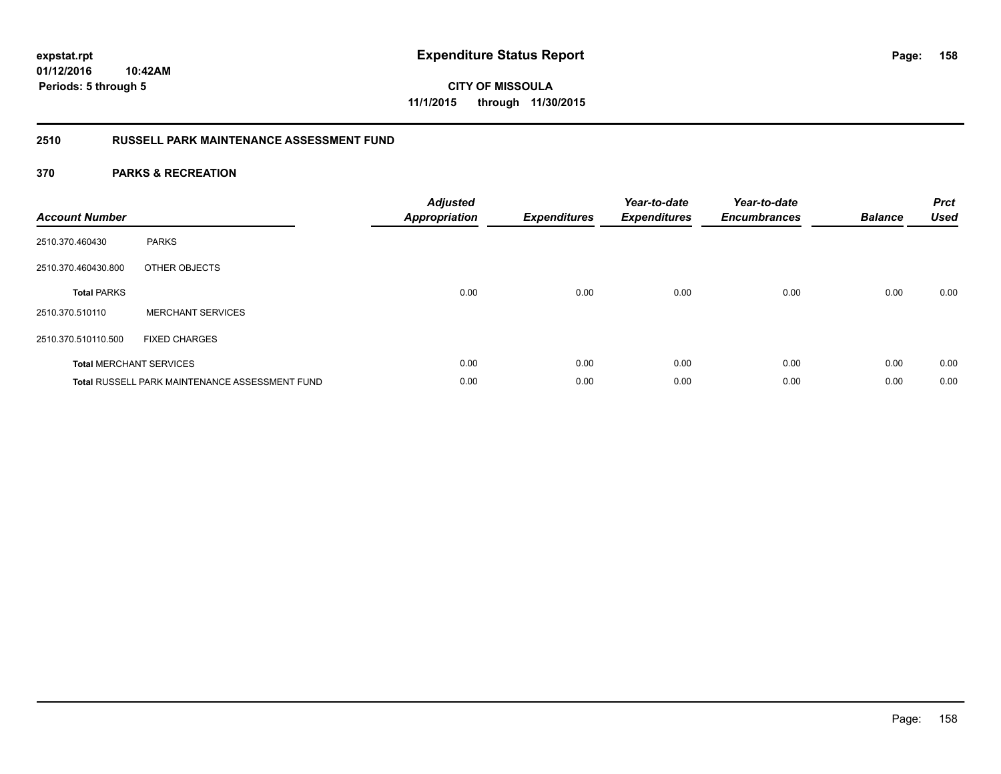**CITY OF MISSOULA 11/1/2015 through 11/30/2015**

# **2510 RUSSELL PARK MAINTENANCE ASSESSMENT FUND**

| <b>Account Number</b> |                                                       | <b>Adjusted</b><br><b>Appropriation</b> | <b>Expenditures</b> | Year-to-date<br><b>Expenditures</b> | Year-to-date<br><b>Encumbrances</b> | <b>Balance</b> | <b>Prct</b><br><b>Used</b> |
|-----------------------|-------------------------------------------------------|-----------------------------------------|---------------------|-------------------------------------|-------------------------------------|----------------|----------------------------|
| 2510.370.460430       | <b>PARKS</b>                                          |                                         |                     |                                     |                                     |                |                            |
| 2510.370.460430.800   | OTHER OBJECTS                                         |                                         |                     |                                     |                                     |                |                            |
| <b>Total PARKS</b>    |                                                       | 0.00                                    | 0.00                | 0.00                                | 0.00                                | 0.00           | 0.00                       |
| 2510.370.510110       | <b>MERCHANT SERVICES</b>                              |                                         |                     |                                     |                                     |                |                            |
| 2510.370.510110.500   | <b>FIXED CHARGES</b>                                  |                                         |                     |                                     |                                     |                |                            |
|                       | <b>Total MERCHANT SERVICES</b>                        | 0.00                                    | 0.00                | 0.00                                | 0.00                                | 0.00           | 0.00                       |
|                       | <b>Total RUSSELL PARK MAINTENANCE ASSESSMENT FUND</b> | 0.00                                    | 0.00                | 0.00                                | 0.00                                | 0.00           | 0.00                       |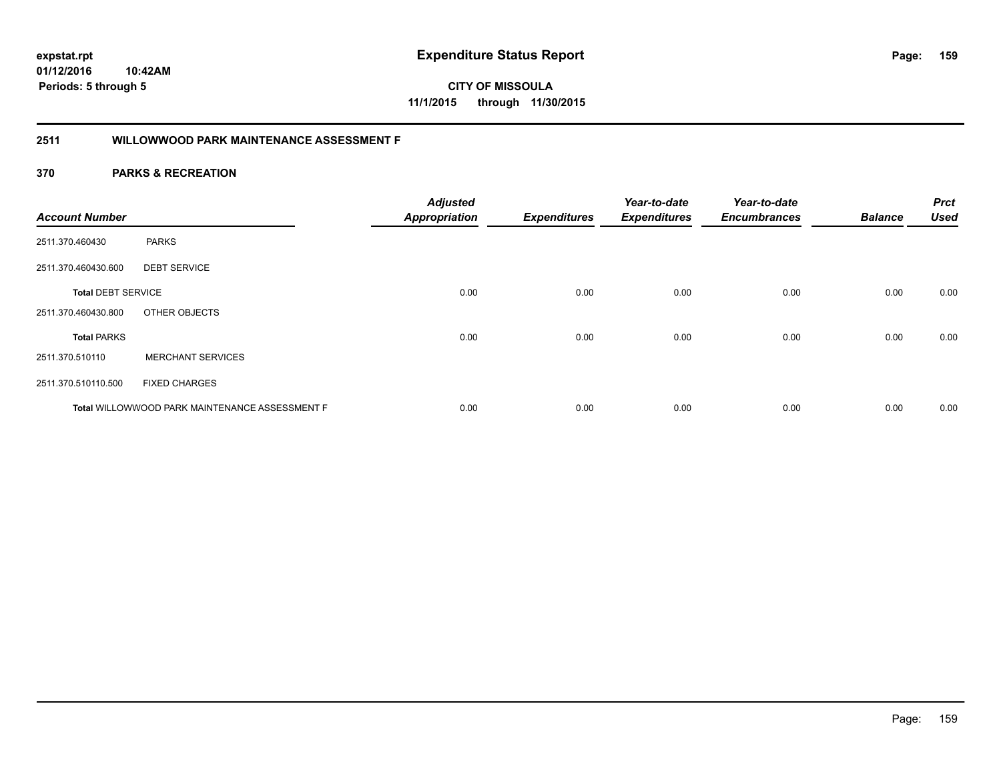**CITY OF MISSOULA 11/1/2015 through 11/30/2015**

# **2511 WILLOWWOOD PARK MAINTENANCE ASSESSMENT F**

| <b>Account Number</b>     |                                                | <b>Adjusted</b><br><b>Appropriation</b> | <b>Expenditures</b> | Year-to-date<br><b>Expenditures</b> | Year-to-date<br><b>Encumbrances</b> | <b>Balance</b> | <b>Prct</b><br><b>Used</b> |
|---------------------------|------------------------------------------------|-----------------------------------------|---------------------|-------------------------------------|-------------------------------------|----------------|----------------------------|
|                           |                                                |                                         |                     |                                     |                                     |                |                            |
| 2511.370.460430           | <b>PARKS</b>                                   |                                         |                     |                                     |                                     |                |                            |
| 2511.370.460430.600       | <b>DEBT SERVICE</b>                            |                                         |                     |                                     |                                     |                |                            |
| <b>Total DEBT SERVICE</b> |                                                | 0.00                                    | 0.00                | 0.00                                | 0.00                                | 0.00           | 0.00                       |
| 2511.370.460430.800       | OTHER OBJECTS                                  |                                         |                     |                                     |                                     |                |                            |
| <b>Total PARKS</b>        |                                                | 0.00                                    | 0.00                | 0.00                                | 0.00                                | 0.00           | 0.00                       |
| 2511.370.510110           | <b>MERCHANT SERVICES</b>                       |                                         |                     |                                     |                                     |                |                            |
| 2511.370.510110.500       | <b>FIXED CHARGES</b>                           |                                         |                     |                                     |                                     |                |                            |
|                           | Total WILLOWWOOD PARK MAINTENANCE ASSESSMENT F | 0.00                                    | 0.00                | 0.00                                | 0.00                                | 0.00           | 0.00                       |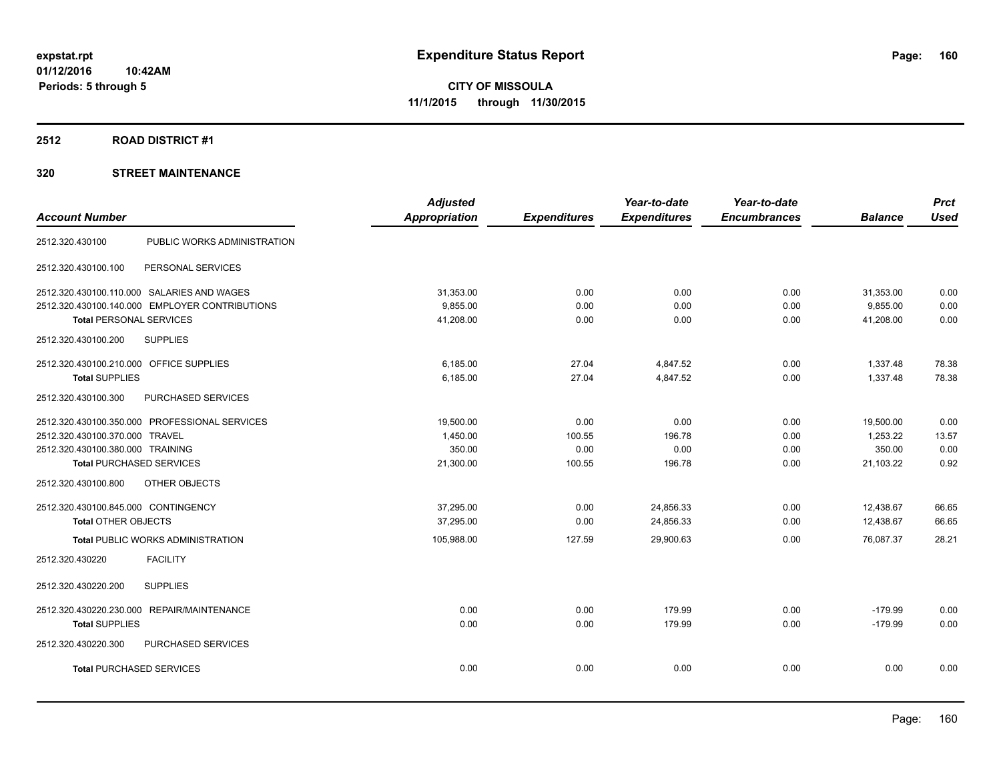# **2512 ROAD DISTRICT #1**

| <b>Account Number</b>                          | <b>Adjusted</b><br><b>Appropriation</b> |                     | Year-to-date<br><b>Expenditures</b> | Year-to-date<br><b>Encumbrances</b> | <b>Balance</b> | <b>Prct</b><br><b>Used</b> |
|------------------------------------------------|-----------------------------------------|---------------------|-------------------------------------|-------------------------------------|----------------|----------------------------|
|                                                |                                         | <b>Expenditures</b> |                                     |                                     |                |                            |
| PUBLIC WORKS ADMINISTRATION<br>2512.320.430100 |                                         |                     |                                     |                                     |                |                            |
| 2512.320.430100.100<br>PERSONAL SERVICES       |                                         |                     |                                     |                                     |                |                            |
| 2512.320.430100.110.000 SALARIES AND WAGES     | 31,353.00                               | 0.00                | 0.00                                | 0.00                                | 31,353.00      | 0.00                       |
| 2512.320.430100.140.000 EMPLOYER CONTRIBUTIONS | 9,855.00                                | 0.00                | 0.00                                | 0.00                                | 9,855.00       | 0.00                       |
| <b>Total PERSONAL SERVICES</b>                 | 41,208.00                               | 0.00                | 0.00                                | 0.00                                | 41,208.00      | 0.00                       |
| <b>SUPPLIES</b><br>2512.320.430100.200         |                                         |                     |                                     |                                     |                |                            |
| 2512.320.430100.210.000 OFFICE SUPPLIES        | 6,185.00                                | 27.04               | 4,847.52                            | 0.00                                | 1,337.48       | 78.38                      |
| <b>Total SUPPLIES</b>                          | 6,185.00                                | 27.04               | 4,847.52                            | 0.00                                | 1,337.48       | 78.38                      |
| PURCHASED SERVICES<br>2512.320.430100.300      |                                         |                     |                                     |                                     |                |                            |
| 2512.320.430100.350.000 PROFESSIONAL SERVICES  | 19,500.00                               | 0.00                | 0.00                                | 0.00                                | 19,500.00      | 0.00                       |
| 2512.320.430100.370.000 TRAVEL                 | 1,450.00                                | 100.55              | 196.78                              | 0.00                                | 1,253.22       | 13.57                      |
| 2512.320.430100.380.000 TRAINING               | 350.00                                  | 0.00                | 0.00                                | 0.00                                | 350.00         | 0.00                       |
| <b>Total PURCHASED SERVICES</b>                | 21,300.00                               | 100.55              | 196.78                              | 0.00                                | 21,103.22      | 0.92                       |
| OTHER OBJECTS<br>2512.320.430100.800           |                                         |                     |                                     |                                     |                |                            |
| 2512.320.430100.845.000 CONTINGENCY            | 37,295.00                               | 0.00                | 24,856.33                           | 0.00                                | 12,438.67      | 66.65                      |
| <b>Total OTHER OBJECTS</b>                     | 37,295.00                               | 0.00                | 24,856.33                           | 0.00                                | 12,438.67      | 66.65                      |
| <b>Total PUBLIC WORKS ADMINISTRATION</b>       | 105,988.00                              | 127.59              | 29,900.63                           | 0.00                                | 76,087.37      | 28.21                      |
| <b>FACILITY</b><br>2512.320.430220             |                                         |                     |                                     |                                     |                |                            |
| 2512.320.430220.200<br><b>SUPPLIES</b>         |                                         |                     |                                     |                                     |                |                            |
| 2512.320.430220.230.000 REPAIR/MAINTENANCE     | 0.00                                    | 0.00                | 179.99                              | 0.00                                | $-179.99$      | 0.00                       |
| <b>Total SUPPLIES</b>                          | 0.00                                    | 0.00                | 179.99                              | 0.00                                | $-179.99$      | 0.00                       |
| PURCHASED SERVICES<br>2512.320.430220.300      |                                         |                     |                                     |                                     |                |                            |
| <b>Total PURCHASED SERVICES</b>                | 0.00                                    | 0.00                | 0.00                                | 0.00                                | 0.00           | 0.00                       |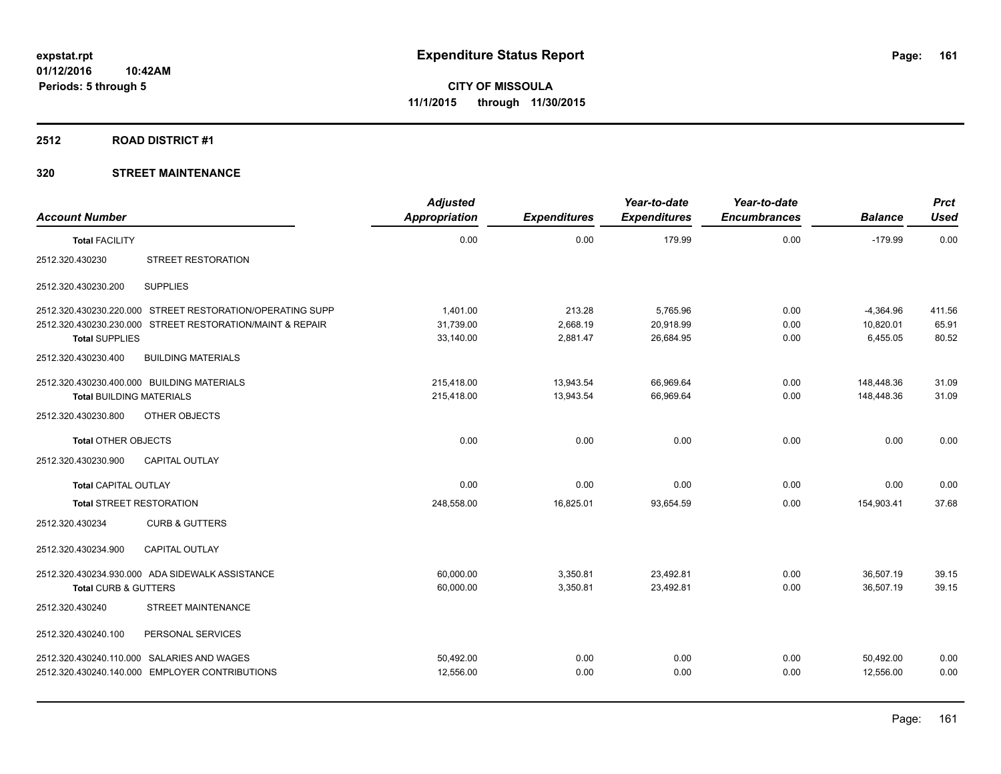### **2512 ROAD DISTRICT #1**

| <b>Account Number</b>           |                                                           | <b>Adjusted</b><br><b>Appropriation</b> | <b>Expenditures</b> | Year-to-date<br><b>Expenditures</b> | Year-to-date<br><b>Encumbrances</b> | <b>Balance</b> | <b>Prct</b><br><b>Used</b> |
|---------------------------------|-----------------------------------------------------------|-----------------------------------------|---------------------|-------------------------------------|-------------------------------------|----------------|----------------------------|
| <b>Total FACILITY</b>           |                                                           | 0.00                                    | 0.00                | 179.99                              | 0.00                                | $-179.99$      | 0.00                       |
| 2512.320.430230                 | STREET RESTORATION                                        |                                         |                     |                                     |                                     |                |                            |
| 2512.320.430230.200             | <b>SUPPLIES</b>                                           |                                         |                     |                                     |                                     |                |                            |
|                                 | 2512.320.430230.220.000 STREET RESTORATION/OPERATING SUPP | 1.401.00                                | 213.28              | 5,765.96                            | 0.00                                | $-4,364.96$    | 411.56                     |
|                                 | 2512.320.430230.230.000 STREET RESTORATION/MAINT & REPAIR | 31,739.00                               | 2,668.19            | 20,918.99                           | 0.00                                | 10,820.01      | 65.91                      |
| <b>Total SUPPLIES</b>           |                                                           | 33,140.00                               | 2,881.47            | 26,684.95                           | 0.00                                | 6.455.05       | 80.52                      |
| 2512.320.430230.400             | <b>BUILDING MATERIALS</b>                                 |                                         |                     |                                     |                                     |                |                            |
|                                 | 2512.320.430230.400.000 BUILDING MATERIALS                | 215.418.00                              | 13,943.54           | 66,969.64                           | 0.00                                | 148,448.36     | 31.09                      |
| <b>Total BUILDING MATERIALS</b> |                                                           | 215,418.00                              | 13,943.54           | 66,969.64                           | 0.00                                | 148,448.36     | 31.09                      |
| 2512.320.430230.800             | OTHER OBJECTS                                             |                                         |                     |                                     |                                     |                |                            |
| <b>Total OTHER OBJECTS</b>      |                                                           | 0.00                                    | 0.00                | 0.00                                | 0.00                                | 0.00           | 0.00                       |
| 2512.320.430230.900             | <b>CAPITAL OUTLAY</b>                                     |                                         |                     |                                     |                                     |                |                            |
| <b>Total CAPITAL OUTLAY</b>     |                                                           | 0.00                                    | 0.00                | 0.00                                | 0.00                                | 0.00           | 0.00                       |
| <b>Total STREET RESTORATION</b> |                                                           | 248,558.00                              | 16,825.01           | 93,654.59                           | 0.00                                | 154,903.41     | 37.68                      |
| 2512.320.430234                 | <b>CURB &amp; GUTTERS</b>                                 |                                         |                     |                                     |                                     |                |                            |
| 2512.320.430234.900             | <b>CAPITAL OUTLAY</b>                                     |                                         |                     |                                     |                                     |                |                            |
|                                 | 2512.320.430234.930.000 ADA SIDEWALK ASSISTANCE           | 60,000.00                               | 3,350.81            | 23,492.81                           | 0.00                                | 36,507.19      | 39.15                      |
| Total CURB & GUTTERS            |                                                           | 60,000.00                               | 3,350.81            | 23,492.81                           | 0.00                                | 36,507.19      | 39.15                      |
| 2512.320.430240                 | <b>STREET MAINTENANCE</b>                                 |                                         |                     |                                     |                                     |                |                            |
| 2512.320.430240.100             | PERSONAL SERVICES                                         |                                         |                     |                                     |                                     |                |                            |
|                                 | 2512.320.430240.110.000 SALARIES AND WAGES                | 50,492.00                               | 0.00                | 0.00                                | 0.00                                | 50,492.00      | 0.00                       |
|                                 | 2512.320.430240.140.000 EMPLOYER CONTRIBUTIONS            | 12,556.00                               | 0.00                | 0.00                                | 0.00                                | 12,556.00      | 0.00                       |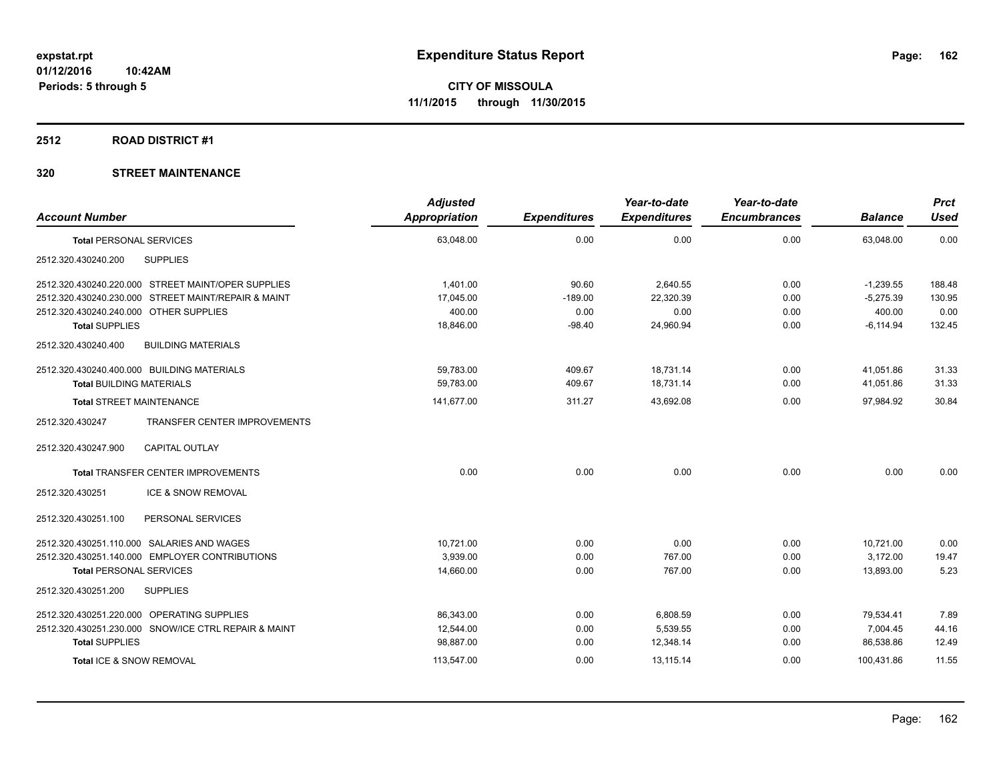### **2512 ROAD DISTRICT #1**

|                                                        | <b>Adjusted</b> |                     | Year-to-date        | Year-to-date        |                | <b>Prct</b> |
|--------------------------------------------------------|-----------------|---------------------|---------------------|---------------------|----------------|-------------|
| <b>Account Number</b>                                  | Appropriation   | <b>Expenditures</b> | <b>Expenditures</b> | <b>Encumbrances</b> | <b>Balance</b> | <b>Used</b> |
| <b>Total PERSONAL SERVICES</b>                         | 63,048.00       | 0.00                | 0.00                | 0.00                | 63,048.00      | 0.00        |
| <b>SUPPLIES</b><br>2512.320.430240.200                 |                 |                     |                     |                     |                |             |
| 2512.320.430240.220.000 STREET MAINT/OPER SUPPLIES     | 1,401.00        | 90.60               | 2,640.55            | 0.00                | $-1,239.55$    | 188.48      |
| 2512.320.430240.230.000 STREET MAINT/REPAIR & MAINT    | 17,045.00       | $-189.00$           | 22,320.39           | 0.00                | $-5,275.39$    | 130.95      |
| 2512.320.430240.240.000 OTHER SUPPLIES                 | 400.00          | 0.00                | 0.00                | 0.00                | 400.00         | 0.00        |
| <b>Total SUPPLIES</b>                                  | 18,846.00       | $-98.40$            | 24,960.94           | 0.00                | $-6, 114.94$   | 132.45      |
| 2512.320.430240.400<br><b>BUILDING MATERIALS</b>       |                 |                     |                     |                     |                |             |
| 2512.320.430240.400.000 BUILDING MATERIALS             | 59,783.00       | 409.67              | 18,731.14           | 0.00                | 41,051.86      | 31.33       |
| <b>Total BUILDING MATERIALS</b>                        | 59.783.00       | 409.67              | 18.731.14           | 0.00                | 41,051.86      | 31.33       |
| <b>Total STREET MAINTENANCE</b>                        | 141,677.00      | 311.27              | 43,692.08           | 0.00                | 97,984.92      | 30.84       |
| <b>TRANSFER CENTER IMPROVEMENTS</b><br>2512.320.430247 |                 |                     |                     |                     |                |             |
| <b>CAPITAL OUTLAY</b><br>2512.320.430247.900           |                 |                     |                     |                     |                |             |
| <b>Total TRANSFER CENTER IMPROVEMENTS</b>              | 0.00            | 0.00                | 0.00                | 0.00                | 0.00           | 0.00        |
| 2512.320.430251<br><b>ICE &amp; SNOW REMOVAL</b>       |                 |                     |                     |                     |                |             |
| 2512.320.430251.100<br>PERSONAL SERVICES               |                 |                     |                     |                     |                |             |
| 2512.320.430251.110.000 SALARIES AND WAGES             | 10,721.00       | 0.00                | 0.00                | 0.00                | 10,721.00      | 0.00        |
| 2512.320.430251.140.000 EMPLOYER CONTRIBUTIONS         | 3,939.00        | 0.00                | 767.00              | 0.00                | 3,172.00       | 19.47       |
| <b>Total PERSONAL SERVICES</b>                         | 14,660.00       | 0.00                | 767.00              | 0.00                | 13.893.00      | 5.23        |
| 2512.320.430251.200<br><b>SUPPLIES</b>                 |                 |                     |                     |                     |                |             |
| 2512.320.430251.220.000 OPERATING SUPPLIES             | 86,343.00       | 0.00                | 6,808.59            | 0.00                | 79,534.41      | 7.89        |
| 2512.320.430251.230.000 SNOW/ICE CTRL REPAIR & MAINT   | 12,544.00       | 0.00                | 5,539.55            | 0.00                | 7,004.45       | 44.16       |
| <b>Total SUPPLIES</b>                                  | 98,887.00       | 0.00                | 12,348.14           | 0.00                | 86,538.86      | 12.49       |
| Total ICE & SNOW REMOVAL                               | 113,547.00      | 0.00                | 13,115.14           | 0.00                | 100,431.86     | 11.55       |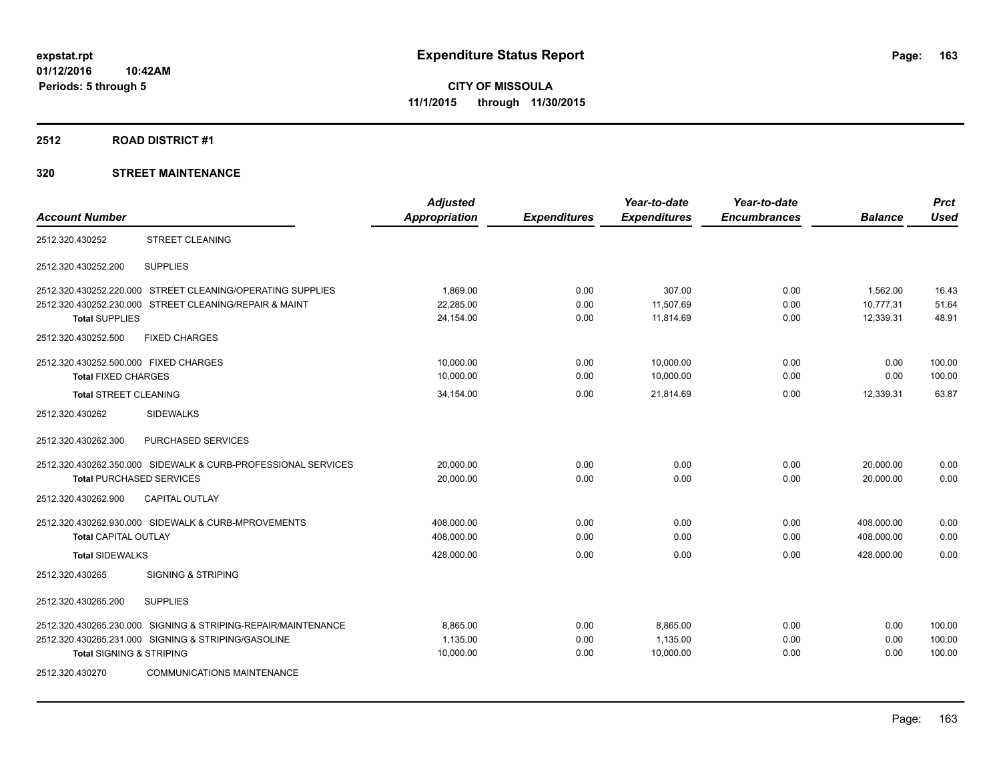### **2512 ROAD DISTRICT #1**

|                                       |                                                               | <b>Adjusted</b>      |                     | Year-to-date        | Year-to-date        |                | <b>Prct</b> |
|---------------------------------------|---------------------------------------------------------------|----------------------|---------------------|---------------------|---------------------|----------------|-------------|
| <b>Account Number</b>                 |                                                               | <b>Appropriation</b> | <b>Expenditures</b> | <b>Expenditures</b> | <b>Encumbrances</b> | <b>Balance</b> | <b>Used</b> |
| 2512.320.430252                       | <b>STREET CLEANING</b>                                        |                      |                     |                     |                     |                |             |
| 2512.320.430252.200                   | <b>SUPPLIES</b>                                               |                      |                     |                     |                     |                |             |
|                                       | 2512.320.430252.220.000 STREET CLEANING/OPERATING SUPPLIES    | 1.869.00             | 0.00                | 307.00              | 0.00                | 1,562.00       | 16.43       |
|                                       | 2512.320.430252.230.000 STREET CLEANING/REPAIR & MAINT        | 22,285.00            | 0.00                | 11,507.69           | 0.00                | 10.777.31      | 51.64       |
| <b>Total SUPPLIES</b>                 |                                                               | 24,154.00            | 0.00                | 11.814.69           | 0.00                | 12,339.31      | 48.91       |
| 2512.320.430252.500                   | <b>FIXED CHARGES</b>                                          |                      |                     |                     |                     |                |             |
| 2512.320.430252.500.000 FIXED CHARGES |                                                               | 10,000.00            | 0.00                | 10,000.00           | 0.00                | 0.00           | 100.00      |
| <b>Total FIXED CHARGES</b>            |                                                               | 10,000.00            | 0.00                | 10,000.00           | 0.00                | 0.00           | 100.00      |
| <b>Total STREET CLEANING</b>          |                                                               | 34,154.00            | 0.00                | 21,814.69           | 0.00                | 12,339.31      | 63.87       |
| 2512.320.430262                       | <b>SIDEWALKS</b>                                              |                      |                     |                     |                     |                |             |
| 2512.320.430262.300                   | PURCHASED SERVICES                                            |                      |                     |                     |                     |                |             |
|                                       | 2512.320.430262.350.000 SIDEWALK & CURB-PROFESSIONAL SERVICES | 20,000.00            | 0.00                | 0.00                | 0.00                | 20,000.00      | 0.00        |
| <b>Total PURCHASED SERVICES</b>       |                                                               | 20.000.00            | 0.00                | 0.00                | 0.00                | 20.000.00      | 0.00        |
| 2512.320.430262.900                   | <b>CAPITAL OUTLAY</b>                                         |                      |                     |                     |                     |                |             |
|                                       | 2512.320.430262.930.000 SIDEWALK & CURB-MPROVEMENTS           | 408,000.00           | 0.00                | 0.00                | 0.00                | 408,000.00     | 0.00        |
| <b>Total CAPITAL OUTLAY</b>           |                                                               | 408,000.00           | 0.00                | 0.00                | 0.00                | 408,000.00     | 0.00        |
| <b>Total SIDEWALKS</b>                |                                                               | 428,000.00           | 0.00                | 0.00                | 0.00                | 428,000.00     | 0.00        |
| 2512.320.430265                       | <b>SIGNING &amp; STRIPING</b>                                 |                      |                     |                     |                     |                |             |
| 2512.320.430265.200                   | <b>SUPPLIES</b>                                               |                      |                     |                     |                     |                |             |
| 2512.320.430265.230.000               | SIGNING & STRIPING-REPAIR/MAINTENANCE                         | 8.865.00             | 0.00                | 8.865.00            | 0.00                | 0.00           | 100.00      |
|                                       | 2512.320.430265.231.000 SIGNING & STRIPING/GASOLINE           | 1,135.00             | 0.00                | 1,135.00            | 0.00                | 0.00           | 100.00      |
| <b>Total SIGNING &amp; STRIPING</b>   |                                                               | 10,000.00            | 0.00                | 10,000.00           | 0.00                | 0.00           | 100.00      |
| 2512.320.430270                       | <b>COMMUNICATIONS MAINTENANCE</b>                             |                      |                     |                     |                     |                |             |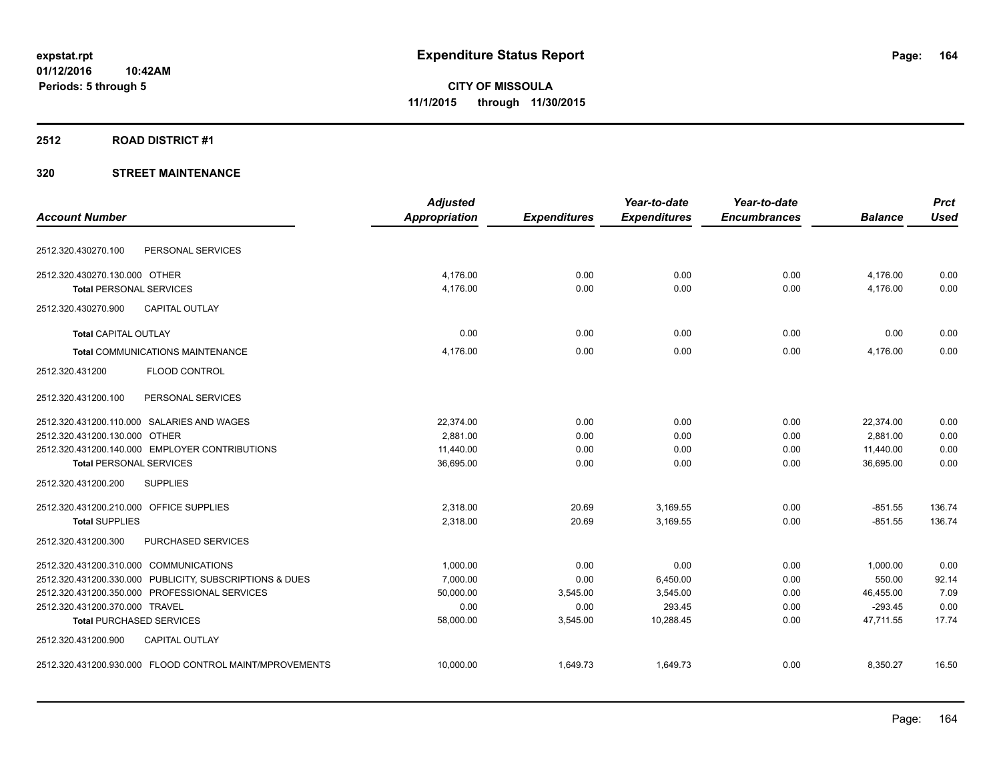### **2512 ROAD DISTRICT #1**

|                                         |                                                         | <b>Adjusted</b>      |                     | Year-to-date        | Year-to-date        |                | <b>Prct</b> |
|-----------------------------------------|---------------------------------------------------------|----------------------|---------------------|---------------------|---------------------|----------------|-------------|
| <b>Account Number</b>                   |                                                         | <b>Appropriation</b> | <b>Expenditures</b> | <b>Expenditures</b> | <b>Encumbrances</b> | <b>Balance</b> | <b>Used</b> |
| 2512.320.430270.100                     | PERSONAL SERVICES                                       |                      |                     |                     |                     |                |             |
| 2512.320.430270.130.000 OTHER           |                                                         | 4,176.00             | 0.00                | 0.00                | 0.00                | 4,176.00       | 0.00        |
| <b>Total PERSONAL SERVICES</b>          |                                                         | 4,176.00             | 0.00                | 0.00                | 0.00                | 4,176.00       | 0.00        |
| 2512.320.430270.900                     | <b>CAPITAL OUTLAY</b>                                   |                      |                     |                     |                     |                |             |
| <b>Total CAPITAL OUTLAY</b>             |                                                         | 0.00                 | 0.00                | 0.00                | 0.00                | 0.00           | 0.00        |
|                                         | Total COMMUNICATIONS MAINTENANCE                        | 4,176.00             | 0.00                | 0.00                | 0.00                | 4,176.00       | 0.00        |
| 2512.320.431200                         | <b>FLOOD CONTROL</b>                                    |                      |                     |                     |                     |                |             |
| 2512.320.431200.100                     | PERSONAL SERVICES                                       |                      |                     |                     |                     |                |             |
|                                         | 2512.320.431200.110.000 SALARIES AND WAGES              | 22,374.00            | 0.00                | 0.00                | 0.00                | 22,374.00      | 0.00        |
| 2512.320.431200.130.000 OTHER           |                                                         | 2.881.00             | 0.00                | 0.00                | 0.00                | 2,881.00       | 0.00        |
|                                         | 2512.320.431200.140.000 EMPLOYER CONTRIBUTIONS          | 11,440.00            | 0.00                | 0.00                | 0.00                | 11,440.00      | 0.00        |
| <b>Total PERSONAL SERVICES</b>          |                                                         | 36,695.00            | 0.00                | 0.00                | 0.00                | 36.695.00      | 0.00        |
| 2512.320.431200.200                     | <b>SUPPLIES</b>                                         |                      |                     |                     |                     |                |             |
| 2512.320.431200.210.000 OFFICE SUPPLIES |                                                         | 2.318.00             | 20.69               | 3,169.55            | 0.00                | $-851.55$      | 136.74      |
| <b>Total SUPPLIES</b>                   |                                                         | 2.318.00             | 20.69               | 3.169.55            | 0.00                | $-851.55$      | 136.74      |
| 2512.320.431200.300                     | PURCHASED SERVICES                                      |                      |                     |                     |                     |                |             |
| 2512.320.431200.310.000 COMMUNICATIONS  |                                                         | 1.000.00             | 0.00                | 0.00                | 0.00                | 1,000.00       | 0.00        |
|                                         | 2512.320.431200.330.000 PUBLICITY, SUBSCRIPTIONS & DUES | 7.000.00             | 0.00                | 6,450.00            | 0.00                | 550.00         | 92.14       |
|                                         | 2512.320.431200.350.000 PROFESSIONAL SERVICES           | 50,000.00            | 3,545.00            | 3,545.00            | 0.00                | 46,455.00      | 7.09        |
| 2512.320.431200.370.000 TRAVEL          |                                                         | 0.00                 | 0.00                | 293.45              | 0.00                | $-293.45$      | 0.00        |
| <b>Total PURCHASED SERVICES</b>         |                                                         | 58,000.00            | 3,545.00            | 10,288.45           | 0.00                | 47,711.55      | 17.74       |
| 2512.320.431200.900                     | <b>CAPITAL OUTLAY</b>                                   |                      |                     |                     |                     |                |             |
|                                         | 2512.320.431200.930.000 FLOOD CONTROL MAINT/MPROVEMENTS | 10,000.00            | 1,649.73            | 1,649.73            | 0.00                | 8,350.27       | 16.50       |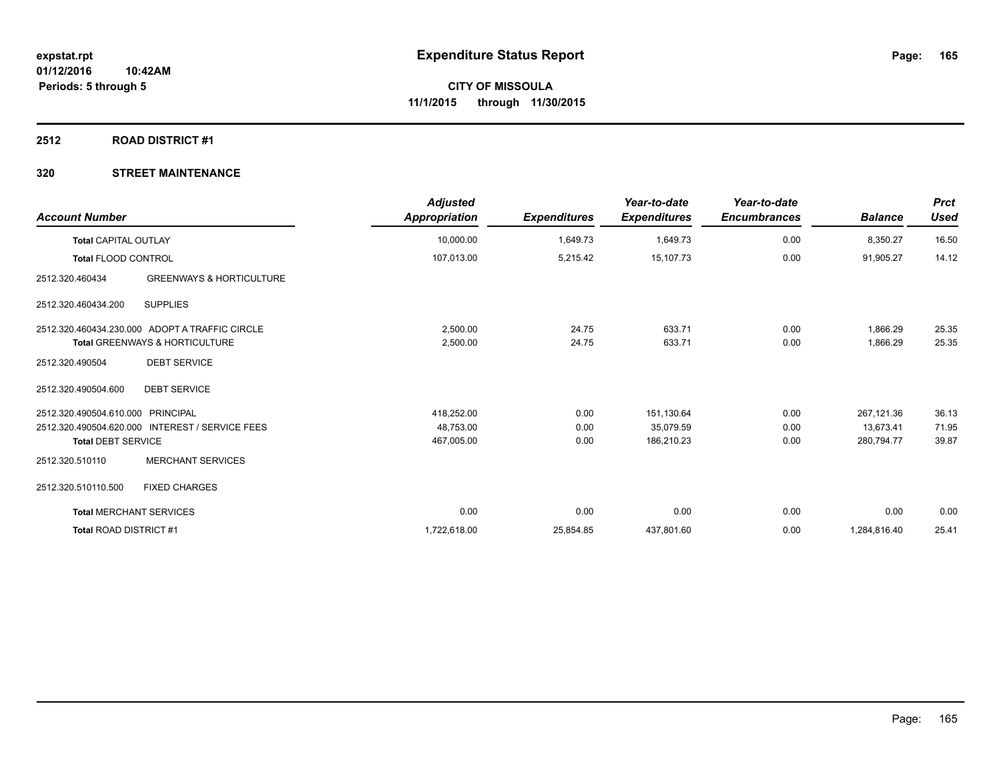### **2512 ROAD DISTRICT #1**

| <b>Account Number</b>             |                                                 | <b>Adjusted</b><br><b>Appropriation</b> | <b>Expenditures</b> | Year-to-date<br><b>Expenditures</b> | Year-to-date<br><b>Encumbrances</b> | <b>Balance</b> | <b>Prct</b><br><b>Used</b> |
|-----------------------------------|-------------------------------------------------|-----------------------------------------|---------------------|-------------------------------------|-------------------------------------|----------------|----------------------------|
| <b>Total CAPITAL OUTLAY</b>       |                                                 | 10,000.00                               | 1,649.73            | 1,649.73                            | 0.00                                | 8,350.27       | 16.50                      |
| <b>Total FLOOD CONTROL</b>        |                                                 | 107,013.00                              | 5,215.42            | 15,107.73                           | 0.00                                | 91,905.27      | 14.12                      |
| 2512.320.460434                   | <b>GREENWAYS &amp; HORTICULTURE</b>             |                                         |                     |                                     |                                     |                |                            |
| 2512.320.460434.200               | <b>SUPPLIES</b>                                 |                                         |                     |                                     |                                     |                |                            |
|                                   | 2512.320.460434.230.000 ADOPT A TRAFFIC CIRCLE  | 2,500.00                                | 24.75               | 633.71                              | 0.00                                | 1,866.29       | 25.35                      |
|                                   | <b>Total GREENWAYS &amp; HORTICULTURE</b>       | 2,500.00                                | 24.75               | 633.71                              | 0.00                                | 1,866.29       | 25.35                      |
| 2512.320.490504                   | <b>DEBT SERVICE</b>                             |                                         |                     |                                     |                                     |                |                            |
| 2512.320.490504.600               | <b>DEBT SERVICE</b>                             |                                         |                     |                                     |                                     |                |                            |
| 2512.320.490504.610.000 PRINCIPAL |                                                 | 418,252.00                              | 0.00                | 151,130.64                          | 0.00                                | 267,121.36     | 36.13                      |
|                                   | 2512.320.490504.620.000 INTEREST / SERVICE FEES | 48,753.00                               | 0.00                | 35,079.59                           | 0.00                                | 13,673.41      | 71.95                      |
| <b>Total DEBT SERVICE</b>         |                                                 | 467,005.00                              | 0.00                | 186,210.23                          | 0.00                                | 280,794.77     | 39.87                      |
| 2512.320.510110                   | <b>MERCHANT SERVICES</b>                        |                                         |                     |                                     |                                     |                |                            |
| 2512.320.510110.500               | <b>FIXED CHARGES</b>                            |                                         |                     |                                     |                                     |                |                            |
| <b>Total MERCHANT SERVICES</b>    |                                                 | 0.00                                    | 0.00                | 0.00                                | 0.00                                | 0.00           | 0.00                       |
| Total ROAD DISTRICT #1            |                                                 | 1,722,618.00                            | 25,854.85           | 437,801.60                          | 0.00                                | 1,284,816.40   | 25.41                      |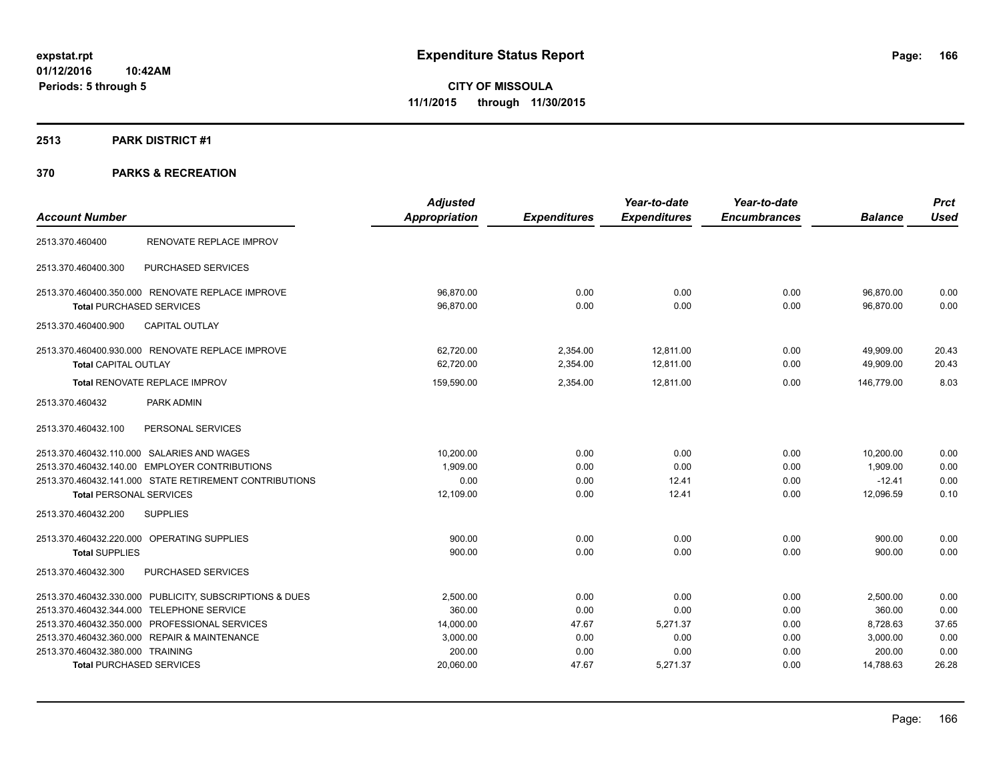# **2513 PARK DISTRICT #1**

|                                                         | <b>Adjusted</b>      |                     | Year-to-date        | Year-to-date        |                | <b>Prct</b> |
|---------------------------------------------------------|----------------------|---------------------|---------------------|---------------------|----------------|-------------|
| <b>Account Number</b>                                   | <b>Appropriation</b> | <b>Expenditures</b> | <b>Expenditures</b> | <b>Encumbrances</b> | <b>Balance</b> | <b>Used</b> |
| RENOVATE REPLACE IMPROV<br>2513.370.460400              |                      |                     |                     |                     |                |             |
| PURCHASED SERVICES<br>2513.370.460400.300               |                      |                     |                     |                     |                |             |
| 2513.370.460400.350.000 RENOVATE REPLACE IMPROVE        | 96,870.00            | 0.00                | 0.00                | 0.00                | 96,870.00      | 0.00        |
| <b>Total PURCHASED SERVICES</b>                         | 96,870.00            | 0.00                | 0.00                | 0.00                | 96,870.00      | 0.00        |
| <b>CAPITAL OUTLAY</b><br>2513.370.460400.900            |                      |                     |                     |                     |                |             |
| 2513.370.460400.930.000 RENOVATE REPLACE IMPROVE        | 62,720.00            | 2,354.00            | 12.811.00           | 0.00                | 49,909.00      | 20.43       |
| Total CAPITAL OUTLAY                                    | 62,720.00            | 2,354.00            | 12,811.00           | 0.00                | 49,909.00      | 20.43       |
| Total RENOVATE REPLACE IMPROV                           | 159,590.00           | 2.354.00            | 12.811.00           | 0.00                | 146.779.00     | 8.03        |
| PARK ADMIN<br>2513.370.460432                           |                      |                     |                     |                     |                |             |
| PERSONAL SERVICES<br>2513.370.460432.100                |                      |                     |                     |                     |                |             |
| 2513.370.460432.110.000 SALARIES AND WAGES              | 10,200.00            | 0.00                | 0.00                | 0.00                | 10,200.00      | 0.00        |
| 2513.370.460432.140.00 EMPLOYER CONTRIBUTIONS           | 1,909.00             | 0.00                | 0.00                | 0.00                | 1,909.00       | 0.00        |
| 2513.370.460432.141.000 STATE RETIREMENT CONTRIBUTIONS  | 0.00                 | 0.00                | 12.41               | 0.00                | $-12.41$       | 0.00        |
| <b>Total PERSONAL SERVICES</b>                          | 12,109.00            | 0.00                | 12.41               | 0.00                | 12,096.59      | 0.10        |
| <b>SUPPLIES</b><br>2513.370.460432.200                  |                      |                     |                     |                     |                |             |
| 2513.370.460432.220.000 OPERATING SUPPLIES              | 900.00               | 0.00                | 0.00                | 0.00                | 900.00         | 0.00        |
| <b>Total SUPPLIES</b>                                   | 900.00               | 0.00                | 0.00                | 0.00                | 900.00         | 0.00        |
| PURCHASED SERVICES<br>2513.370.460432.300               |                      |                     |                     |                     |                |             |
| 2513.370.460432.330.000 PUBLICITY, SUBSCRIPTIONS & DUES | 2,500.00             | 0.00                | 0.00                | 0.00                | 2,500.00       | 0.00        |
| 2513.370.460432.344.000 TELEPHONE SERVICE               | 360.00               | 0.00                | 0.00                | 0.00                | 360.00         | 0.00        |
| 2513.370.460432.350.000 PROFESSIONAL SERVICES           | 14,000.00            | 47.67               | 5,271.37            | 0.00                | 8,728.63       | 37.65       |
| 2513.370.460432.360.000 REPAIR & MAINTENANCE            | 3,000.00             | 0.00                | 0.00                | 0.00                | 3,000.00       | 0.00        |
| 2513.370.460432.380.000 TRAINING                        | 200.00               | 0.00                | 0.00                | 0.00                | 200.00         | 0.00        |
| <b>Total PURCHASED SERVICES</b>                         | 20,060.00            | 47.67               | 5,271.37            | 0.00                | 14,788.63      | 26.28       |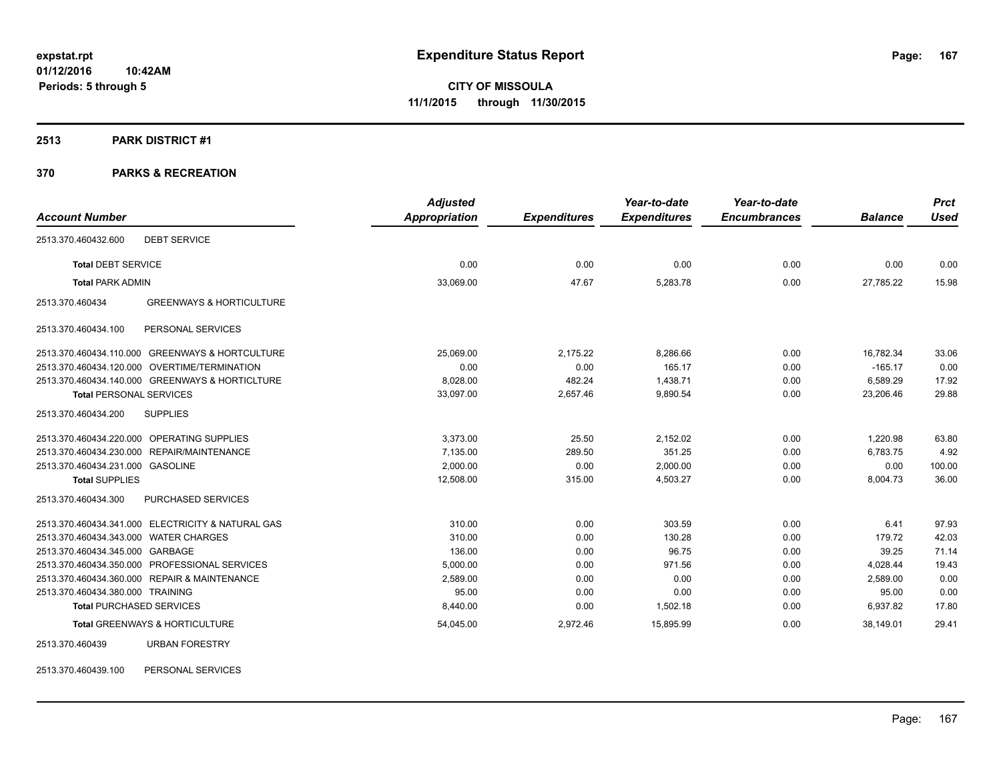### **2513 PARK DISTRICT #1**

# **370 PARKS & RECREATION**

|                                                        | <b>Adjusted</b> |                     | Year-to-date        | Year-to-date        |                | <b>Prct</b> |
|--------------------------------------------------------|-----------------|---------------------|---------------------|---------------------|----------------|-------------|
| <b>Account Number</b>                                  | Appropriation   | <b>Expenditures</b> | <b>Expenditures</b> | <b>Encumbrances</b> | <b>Balance</b> | <b>Used</b> |
| 2513.370.460432.600<br><b>DEBT SERVICE</b>             |                 |                     |                     |                     |                |             |
| <b>Total DEBT SERVICE</b>                              | 0.00            | 0.00                | 0.00                | 0.00                | 0.00           | 0.00        |
| <b>Total PARK ADMIN</b>                                | 33,069.00       | 47.67               | 5,283.78            | 0.00                | 27,785.22      | 15.98       |
| <b>GREENWAYS &amp; HORTICULTURE</b><br>2513.370.460434 |                 |                     |                     |                     |                |             |
| 2513.370.460434.100<br>PERSONAL SERVICES               |                 |                     |                     |                     |                |             |
| 2513.370.460434.110.000 GREENWAYS & HORTCULTURE        | 25,069.00       | 2,175.22            | 8,286.66            | 0.00                | 16,782.34      | 33.06       |
| 2513.370.460434.120.000 OVERTIME/TERMINATION           | 0.00            | 0.00                | 165.17              | 0.00                | $-165.17$      | 0.00        |
| 2513.370.460434.140.000 GREENWAYS & HORTICLTURE        | 8,028.00        | 482.24              | 1,438.71            | 0.00                | 6,589.29       | 17.92       |
| <b>Total PERSONAL SERVICES</b>                         | 33,097.00       | 2,657.46            | 9,890.54            | 0.00                | 23,206.46      | 29.88       |
| 2513.370.460434.200<br><b>SUPPLIES</b>                 |                 |                     |                     |                     |                |             |
| 2513.370.460434.220.000 OPERATING SUPPLIES             | 3,373.00        | 25.50               | 2,152.02            | 0.00                | 1,220.98       | 63.80       |
| 2513.370.460434.230.000 REPAIR/MAINTENANCE             | 7,135.00        | 289.50              | 351.25              | 0.00                | 6,783.75       | 4.92        |
| 2513.370.460434.231.000 GASOLINE                       | 2,000.00        | 0.00                | 2,000.00            | 0.00                | 0.00           | 100.00      |
| <b>Total SUPPLIES</b>                                  | 12,508.00       | 315.00              | 4,503.27            | 0.00                | 8,004.73       | 36.00       |
| 2513.370.460434.300<br>PURCHASED SERVICES              |                 |                     |                     |                     |                |             |
| 2513.370.460434.341.000 ELECTRICITY & NATURAL GAS      | 310.00          | 0.00                | 303.59              | 0.00                | 6.41           | 97.93       |
| 2513.370.460434.343.000 WATER CHARGES                  | 310.00          | 0.00                | 130.28              | 0.00                | 179.72         | 42.03       |
| 2513.370.460434.345.000 GARBAGE                        | 136.00          | 0.00                | 96.75               | 0.00                | 39.25          | 71.14       |
| 2513.370.460434.350.000 PROFESSIONAL SERVICES          | 5,000.00        | 0.00                | 971.56              | 0.00                | 4,028.44       | 19.43       |
| 2513.370.460434.360.000 REPAIR & MAINTENANCE           | 2,589.00        | 0.00                | 0.00                | 0.00                | 2.589.00       | 0.00        |
| 2513.370.460434.380.000 TRAINING                       | 95.00           | 0.00                | 0.00                | 0.00                | 95.00          | 0.00        |
| <b>Total PURCHASED SERVICES</b>                        | 8,440.00        | 0.00                | 1,502.18            | 0.00                | 6,937.82       | 17.80       |
| <b>Total GREENWAYS &amp; HORTICULTURE</b>              | 54,045.00       | 2,972.46            | 15,895.99           | 0.00                | 38,149.01      | 29.41       |
| <b>URBAN FORESTRY</b><br>2513.370.460439               |                 |                     |                     |                     |                |             |

2513.370.460439.100 PERSONAL SERVICES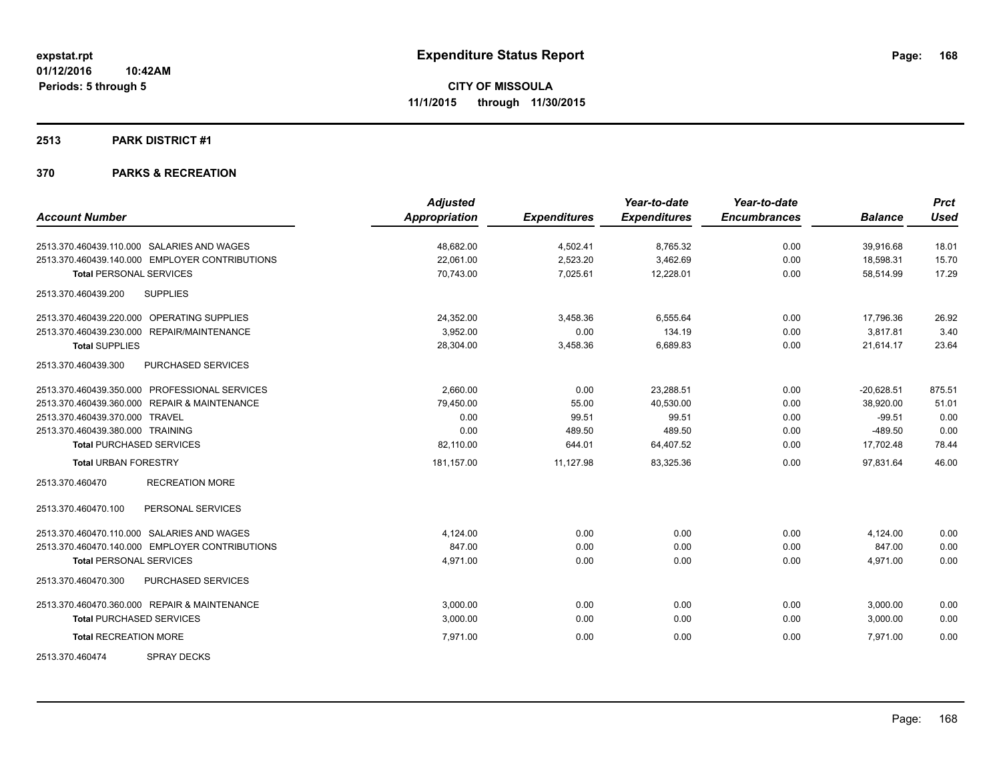### **2513 PARK DISTRICT #1**

|                                                      | <b>Adjusted</b> |                     | Year-to-date        | Year-to-date        |                | <b>Prct</b> |
|------------------------------------------------------|-----------------|---------------------|---------------------|---------------------|----------------|-------------|
| <b>Account Number</b>                                | Appropriation   | <b>Expenditures</b> | <b>Expenditures</b> | <b>Encumbrances</b> | <b>Balance</b> | <b>Used</b> |
| 2513.370.460439.110.000 SALARIES AND WAGES           | 48,682.00       | 4,502.41            | 8,765.32            | 0.00                | 39,916.68      | 18.01       |
| 2513.370.460439.140.000 EMPLOYER CONTRIBUTIONS       | 22,061.00       | 2,523.20            | 3,462.69            | 0.00                | 18,598.31      | 15.70       |
| <b>Total PERSONAL SERVICES</b>                       | 70,743.00       | 7,025.61            | 12,228.01           | 0.00                | 58,514.99      | 17.29       |
| 2513.370.460439.200<br><b>SUPPLIES</b>               |                 |                     |                     |                     |                |             |
| 2513.370.460439.220.000 OPERATING SUPPLIES           | 24,352.00       | 3,458.36            | 6.555.64            | 0.00                | 17.796.36      | 26.92       |
| 2513.370.460439.230.000<br><b>REPAIR/MAINTENANCE</b> | 3.952.00        | 0.00                | 134.19              | 0.00                | 3,817.81       | 3.40        |
| <b>Total SUPPLIES</b>                                | 28,304.00       | 3,458.36            | 6,689.83            | 0.00                | 21,614.17      | 23.64       |
| PURCHASED SERVICES<br>2513.370.460439.300            |                 |                     |                     |                     |                |             |
| 2513.370.460439.350.000 PROFESSIONAL SERVICES        | 2,660.00        | 0.00                | 23,288.51           | 0.00                | $-20,628.51$   | 875.51      |
| 2513.370.460439.360.000 REPAIR & MAINTENANCE         | 79,450.00       | 55.00               | 40,530.00           | 0.00                | 38,920.00      | 51.01       |
| 2513.370.460439.370.000 TRAVEL                       | 0.00            | 99.51               | 99.51               | 0.00                | $-99.51$       | 0.00        |
| 2513.370.460439.380.000 TRAINING                     | 0.00            | 489.50              | 489.50              | 0.00                | $-489.50$      | 0.00        |
| <b>Total PURCHASED SERVICES</b>                      | 82,110.00       | 644.01              | 64,407.52           | 0.00                | 17,702.48      | 78.44       |
| <b>Total URBAN FORESTRY</b>                          | 181,157.00      | 11,127.98           | 83,325.36           | 0.00                | 97.831.64      | 46.00       |
| <b>RECREATION MORE</b><br>2513.370.460470            |                 |                     |                     |                     |                |             |
| PERSONAL SERVICES<br>2513.370.460470.100             |                 |                     |                     |                     |                |             |
| 2513.370.460470.110.000 SALARIES AND WAGES           | 4,124.00        | 0.00                | 0.00                | 0.00                | 4,124.00       | 0.00        |
| 2513.370.460470.140.000 EMPLOYER CONTRIBUTIONS       | 847.00          | 0.00                | 0.00                | 0.00                | 847.00         | 0.00        |
| <b>Total PERSONAL SERVICES</b>                       | 4,971.00        | 0.00                | 0.00                | 0.00                | 4,971.00       | 0.00        |
| PURCHASED SERVICES<br>2513.370.460470.300            |                 |                     |                     |                     |                |             |
| 2513.370.460470.360.000 REPAIR & MAINTENANCE         | 3,000.00        | 0.00                | 0.00                | 0.00                | 3,000.00       | 0.00        |
| <b>Total PURCHASED SERVICES</b>                      | 3,000.00        | 0.00                | 0.00                | 0.00                | 3,000.00       | 0.00        |
| <b>Total RECREATION MORE</b>                         | 7,971.00        | 0.00                | 0.00                | 0.00                | 7,971.00       | 0.00        |
| 2513.370.460474<br><b>SPRAY DECKS</b>                |                 |                     |                     |                     |                |             |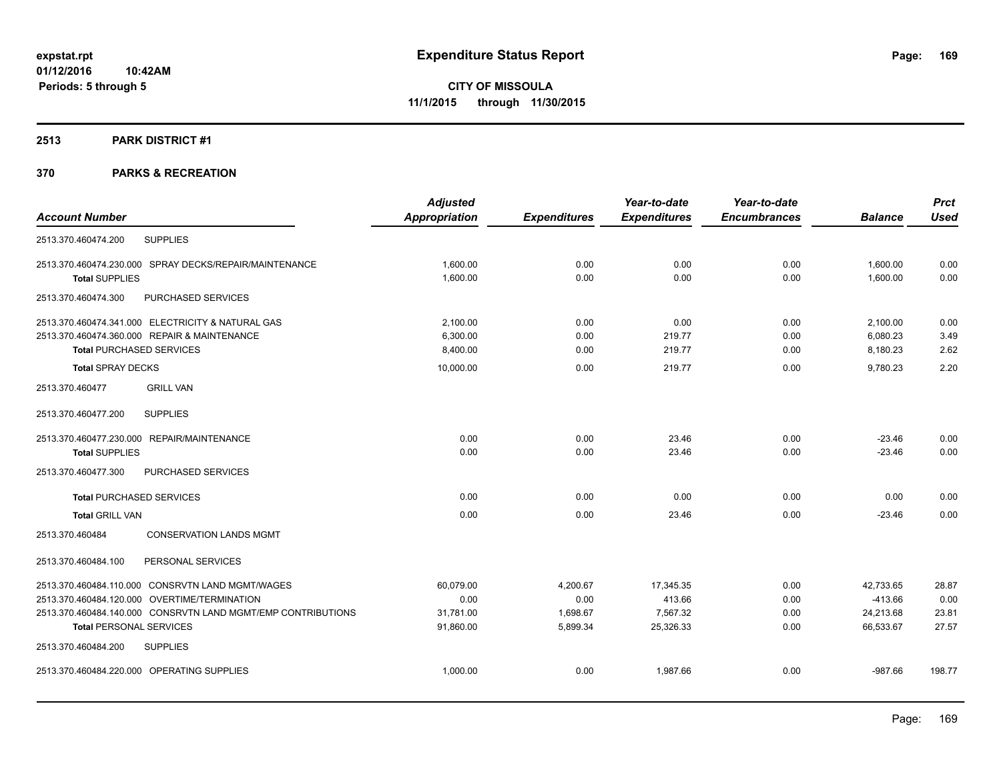### **2513 PARK DISTRICT #1**

|                                                              | <b>Adjusted</b> |                     | Year-to-date        | Year-to-date        |                | <b>Prct</b> |
|--------------------------------------------------------------|-----------------|---------------------|---------------------|---------------------|----------------|-------------|
| <b>Account Number</b>                                        | Appropriation   | <b>Expenditures</b> | <b>Expenditures</b> | <b>Encumbrances</b> | <b>Balance</b> | <b>Used</b> |
| <b>SUPPLIES</b><br>2513.370.460474.200                       |                 |                     |                     |                     |                |             |
| 2513.370.460474.230.000 SPRAY DECKS/REPAIR/MAINTENANCE       | 1.600.00        | 0.00                | 0.00                | 0.00                | 1,600.00       | 0.00        |
| <b>Total SUPPLIES</b>                                        | 1,600.00        | 0.00                | 0.00                | 0.00                | 1,600.00       | 0.00        |
| 2513.370.460474.300<br>PURCHASED SERVICES                    |                 |                     |                     |                     |                |             |
| 2513.370.460474.341.000 ELECTRICITY & NATURAL GAS            | 2.100.00        | 0.00                | 0.00                | 0.00                | 2,100.00       | 0.00        |
| 2513.370.460474.360.000 REPAIR & MAINTENANCE                 | 6,300.00        | 0.00                | 219.77              | 0.00                | 6,080.23       | 3.49        |
| <b>Total PURCHASED SERVICES</b>                              | 8.400.00        | 0.00                | 219.77              | 0.00                | 8,180.23       | 2.62        |
| <b>Total SPRAY DECKS</b>                                     | 10,000.00       | 0.00                | 219.77              | 0.00                | 9.780.23       | 2.20        |
| 2513.370.460477<br><b>GRILL VAN</b>                          |                 |                     |                     |                     |                |             |
| <b>SUPPLIES</b><br>2513.370.460477.200                       |                 |                     |                     |                     |                |             |
| 2513.370.460477.230.000 REPAIR/MAINTENANCE                   | 0.00            | 0.00                | 23.46               | 0.00                | $-23.46$       | 0.00        |
| <b>Total SUPPLIES</b>                                        | 0.00            | 0.00                | 23.46               | 0.00                | $-23.46$       | 0.00        |
| 2513.370.460477.300<br>PURCHASED SERVICES                    |                 |                     |                     |                     |                |             |
| <b>Total PURCHASED SERVICES</b>                              | 0.00            | 0.00                | 0.00                | 0.00                | 0.00           | 0.00        |
| <b>Total GRILL VAN</b>                                       | 0.00            | 0.00                | 23.46               | 0.00                | $-23.46$       | 0.00        |
| 2513.370.460484<br><b>CONSERVATION LANDS MGMT</b>            |                 |                     |                     |                     |                |             |
| PERSONAL SERVICES<br>2513.370.460484.100                     |                 |                     |                     |                     |                |             |
| 2513.370.460484.110.000 CONSRVTN LAND MGMT/WAGES             | 60,079.00       | 4,200.67            | 17,345.35           | 0.00                | 42,733.65      | 28.87       |
| 2513.370.460484.120.000 OVERTIME/TERMINATION                 | 0.00            | 0.00                | 413.66              | 0.00                | $-413.66$      | 0.00        |
| 2513.370.460484.140.000 CONSRVTN LAND MGMT/EMP CONTRIBUTIONS | 31,781.00       | 1,698.67            | 7,567.32            | 0.00                | 24,213.68      | 23.81       |
| <b>Total PERSONAL SERVICES</b>                               | 91,860.00       | 5,899.34            | 25,326.33           | 0.00                | 66,533.67      | 27.57       |
| 2513.370.460484.200<br><b>SUPPLIES</b>                       |                 |                     |                     |                     |                |             |
| 2513.370.460484.220.000 OPERATING SUPPLIES                   | 1,000.00        | 0.00                | 1,987.66            | 0.00                | $-987.66$      | 198.77      |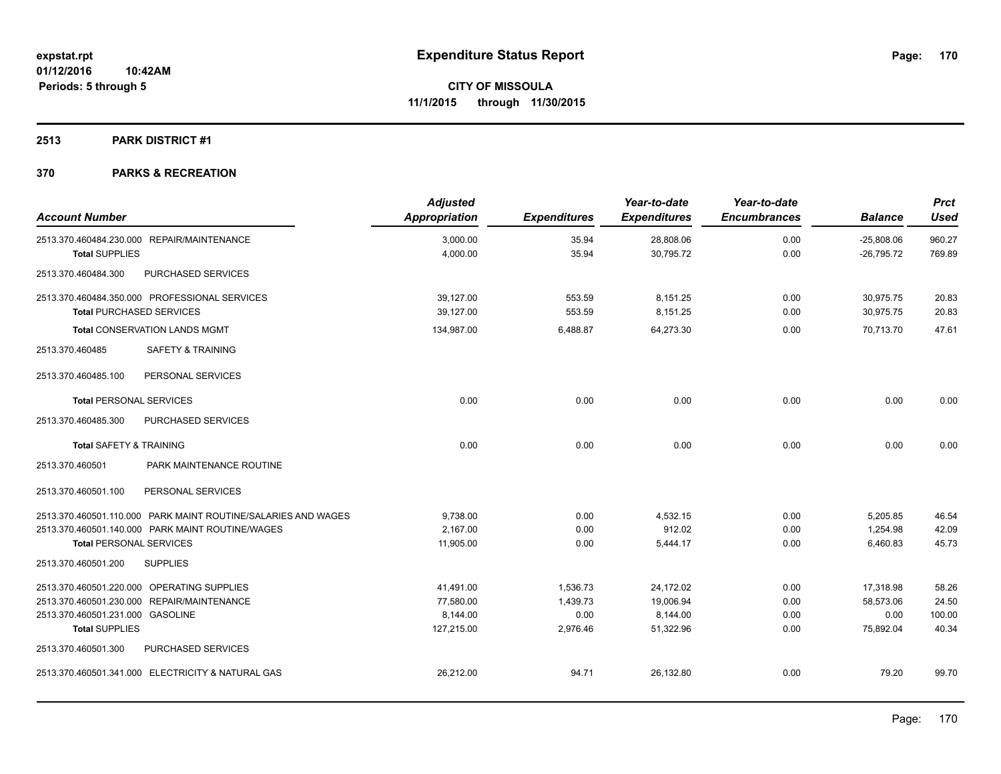### **2513 PARK DISTRICT #1**

| <b>Account Number</b>              |                                                               | <b>Adjusted</b><br>Appropriation | <b>Expenditures</b> | Year-to-date<br><b>Expenditures</b> | Year-to-date<br><b>Encumbrances</b> | <b>Balance</b>               | <b>Prct</b><br><b>Used</b> |
|------------------------------------|---------------------------------------------------------------|----------------------------------|---------------------|-------------------------------------|-------------------------------------|------------------------------|----------------------------|
|                                    | 2513.370.460484.230.000 REPAIR/MAINTENANCE                    | 3,000.00<br>4,000.00             | 35.94<br>35.94      | 28,808.06<br>30,795.72              | 0.00<br>0.00                        | $-25,808.06$<br>$-26,795.72$ | 960.27<br>769.89           |
| <b>Total SUPPLIES</b>              |                                                               |                                  |                     |                                     |                                     |                              |                            |
| 2513.370.460484.300                | PURCHASED SERVICES                                            |                                  |                     |                                     |                                     |                              |                            |
|                                    | 2513.370.460484.350.000 PROFESSIONAL SERVICES                 | 39,127.00                        | 553.59              | 8,151.25                            | 0.00                                | 30,975.75                    | 20.83                      |
| <b>Total PURCHASED SERVICES</b>    |                                                               | 39,127.00                        | 553.59              | 8,151.25                            | 0.00                                | 30,975.75                    | 20.83                      |
|                                    | <b>Total CONSERVATION LANDS MGMT</b>                          | 134,987.00                       | 6,488.87            | 64,273.30                           | 0.00                                | 70,713.70                    | 47.61                      |
| 2513.370.460485                    | <b>SAFETY &amp; TRAINING</b>                                  |                                  |                     |                                     |                                     |                              |                            |
| 2513.370.460485.100                | PERSONAL SERVICES                                             |                                  |                     |                                     |                                     |                              |                            |
| <b>Total PERSONAL SERVICES</b>     |                                                               | 0.00                             | 0.00                | 0.00                                | 0.00                                | 0.00                         | 0.00                       |
| 2513.370.460485.300                | PURCHASED SERVICES                                            |                                  |                     |                                     |                                     |                              |                            |
| <b>Total SAFETY &amp; TRAINING</b> |                                                               | 0.00                             | 0.00                | 0.00                                | 0.00                                | 0.00                         | 0.00                       |
| 2513.370.460501                    | PARK MAINTENANCE ROUTINE                                      |                                  |                     |                                     |                                     |                              |                            |
| 2513.370.460501.100                | PERSONAL SERVICES                                             |                                  |                     |                                     |                                     |                              |                            |
|                                    | 2513.370.460501.110.000 PARK MAINT ROUTINE/SALARIES AND WAGES | 9.738.00                         | 0.00                | 4,532.15                            | 0.00                                | 5,205.85                     | 46.54                      |
|                                    | 2513.370.460501.140.000 PARK MAINT ROUTINE/WAGES              | 2,167.00                         | 0.00                | 912.02                              | 0.00                                | 1,254.98                     | 42.09                      |
| <b>Total PERSONAL SERVICES</b>     |                                                               | 11,905.00                        | 0.00                | 5,444.17                            | 0.00                                | 6,460.83                     | 45.73                      |
| 2513.370.460501.200                | <b>SUPPLIES</b>                                               |                                  |                     |                                     |                                     |                              |                            |
|                                    | 2513.370.460501.220.000 OPERATING SUPPLIES                    | 41,491.00                        | 1,536.73            | 24,172.02                           | 0.00                                | 17,318.98                    | 58.26                      |
|                                    | 2513.370.460501.230.000 REPAIR/MAINTENANCE                    | 77,580.00                        | 1,439.73            | 19,006.94                           | 0.00                                | 58,573.06                    | 24.50                      |
| 2513.370.460501.231.000 GASOLINE   |                                                               | 8,144.00                         | 0.00                | 8,144.00                            | 0.00                                | 0.00                         | 100.00                     |
| <b>Total SUPPLIES</b>              |                                                               | 127,215.00                       | 2,976.46            | 51,322.96                           | 0.00                                | 75,892.04                    | 40.34                      |
| 2513.370.460501.300                | <b>PURCHASED SERVICES</b>                                     |                                  |                     |                                     |                                     |                              |                            |
|                                    | 2513.370.460501.341.000 ELECTRICITY & NATURAL GAS             | 26,212.00                        | 94.71               | 26,132.80                           | 0.00                                | 79.20                        | 99.70                      |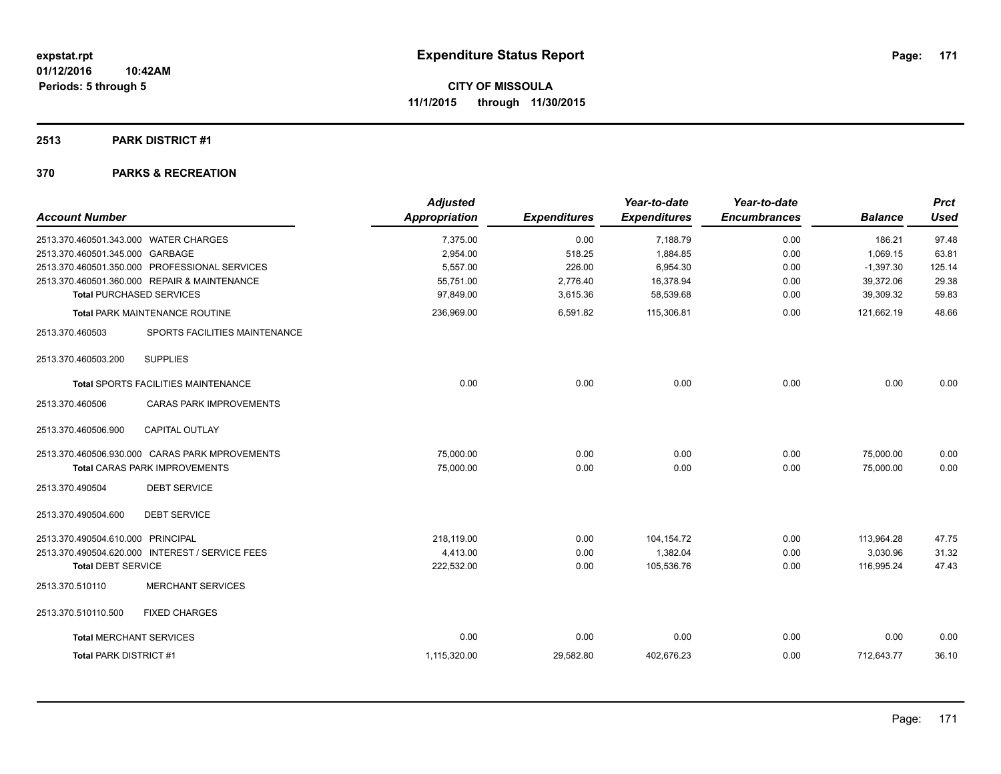### **2513 PARK DISTRICT #1**

| <b>Account Number</b>                             | <b>Adjusted</b><br>Appropriation | <b>Expenditures</b> | Year-to-date<br><b>Expenditures</b> | Year-to-date<br><b>Encumbrances</b> | <b>Balance</b> | <b>Prct</b><br>Used |
|---------------------------------------------------|----------------------------------|---------------------|-------------------------------------|-------------------------------------|----------------|---------------------|
|                                                   |                                  |                     |                                     |                                     |                |                     |
| 2513.370.460501.343.000 WATER CHARGES             | 7,375.00                         | 0.00                | 7,188.79                            | 0.00                                | 186.21         | 97.48               |
| 2513.370.460501.345.000 GARBAGE                   | 2,954.00                         | 518.25              | 1,884.85                            | 0.00                                | 1,069.15       | 63.81               |
| 2513.370.460501.350.000 PROFESSIONAL SERVICES     | 5,557.00                         | 226.00              | 6,954.30                            | 0.00                                | $-1,397.30$    | 125.14              |
| 2513.370.460501.360.000 REPAIR & MAINTENANCE      | 55,751.00                        | 2,776.40            | 16,378.94                           | 0.00                                | 39,372.06      | 29.38               |
| <b>Total PURCHASED SERVICES</b>                   | 97,849.00                        | 3,615.36            | 58,539.68                           | 0.00                                | 39,309.32      | 59.83               |
| <b>Total PARK MAINTENANCE ROUTINE</b>             | 236,969.00                       | 6,591.82            | 115,306.81                          | 0.00                                | 121,662.19     | 48.66               |
| SPORTS FACILITIES MAINTENANCE<br>2513.370.460503  |                                  |                     |                                     |                                     |                |                     |
| <b>SUPPLIES</b><br>2513.370.460503.200            |                                  |                     |                                     |                                     |                |                     |
| <b>Total SPORTS FACILITIES MAINTENANCE</b>        | 0.00                             | 0.00                | 0.00                                | 0.00                                | 0.00           | 0.00                |
| 2513.370.460506<br><b>CARAS PARK IMPROVEMENTS</b> |                                  |                     |                                     |                                     |                |                     |
| 2513.370.460506.900<br><b>CAPITAL OUTLAY</b>      |                                  |                     |                                     |                                     |                |                     |
| 2513.370.460506.930.000 CARAS PARK MPROVEMENTS    | 75,000.00                        | 0.00                | 0.00                                | 0.00                                | 75,000.00      | 0.00                |
| <b>Total CARAS PARK IMPROVEMENTS</b>              | 75,000.00                        | 0.00                | 0.00                                | 0.00                                | 75,000.00      | 0.00                |
| 2513.370.490504<br><b>DEBT SERVICE</b>            |                                  |                     |                                     |                                     |                |                     |
| 2513.370.490504.600<br><b>DEBT SERVICE</b>        |                                  |                     |                                     |                                     |                |                     |
| 2513.370.490504.610.000 PRINCIPAL                 | 218.119.00                       | 0.00                | 104,154.72                          | 0.00                                | 113,964.28     | 47.75               |
| 2513.370.490504.620.000 INTEREST / SERVICE FEES   | 4,413.00                         | 0.00                | 1,382.04                            | 0.00                                | 3,030.96       | 31.32               |
| <b>Total DEBT SERVICE</b>                         | 222,532.00                       | 0.00                | 105,536.76                          | 0.00                                | 116,995.24     | 47.43               |
| 2513.370.510110<br><b>MERCHANT SERVICES</b>       |                                  |                     |                                     |                                     |                |                     |
| 2513.370.510110.500<br><b>FIXED CHARGES</b>       |                                  |                     |                                     |                                     |                |                     |
| <b>Total MERCHANT SERVICES</b>                    | 0.00                             | 0.00                | 0.00                                | 0.00                                | 0.00           | 0.00                |
| <b>Total PARK DISTRICT #1</b>                     | 1,115,320.00                     | 29,582.80           | 402,676.23                          | 0.00                                | 712,643.77     | 36.10               |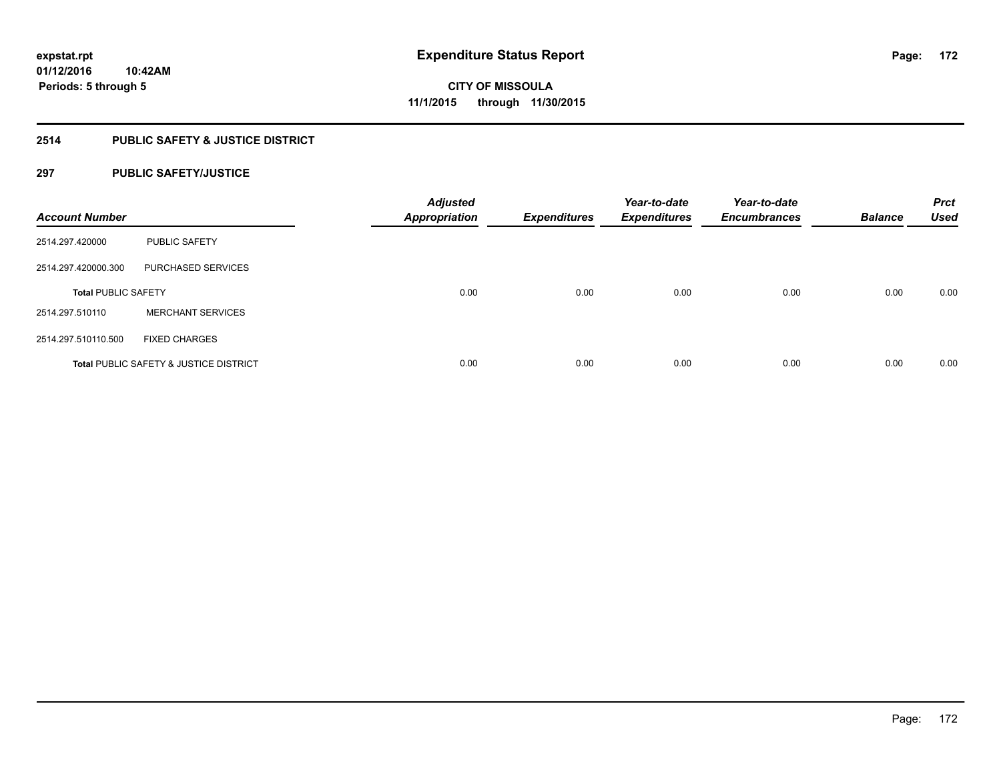# **2514 PUBLIC SAFETY & JUSTICE DISTRICT**

# **297 PUBLIC SAFETY/JUSTICE**

| <b>Account Number</b>      |                                                   | <b>Adjusted</b><br><b>Appropriation</b> | <b>Expenditures</b> | Year-to-date<br><b>Expenditures</b> | Year-to-date<br><b>Encumbrances</b> | <b>Balance</b> | <b>Prct</b><br><b>Used</b> |
|----------------------------|---------------------------------------------------|-----------------------------------------|---------------------|-------------------------------------|-------------------------------------|----------------|----------------------------|
| 2514.297.420000            | <b>PUBLIC SAFETY</b>                              |                                         |                     |                                     |                                     |                |                            |
| 2514.297.420000.300        | <b>PURCHASED SERVICES</b>                         |                                         |                     |                                     |                                     |                |                            |
| <b>Total PUBLIC SAFETY</b> |                                                   | 0.00                                    | 0.00                | 0.00                                | 0.00                                | 0.00           | 0.00                       |
| 2514.297.510110            | <b>MERCHANT SERVICES</b>                          |                                         |                     |                                     |                                     |                |                            |
| 2514.297.510110.500        | <b>FIXED CHARGES</b>                              |                                         |                     |                                     |                                     |                |                            |
|                            | <b>Total PUBLIC SAFETY &amp; JUSTICE DISTRICT</b> | 0.00                                    | 0.00                | 0.00                                | 0.00                                | 0.00           | 0.00                       |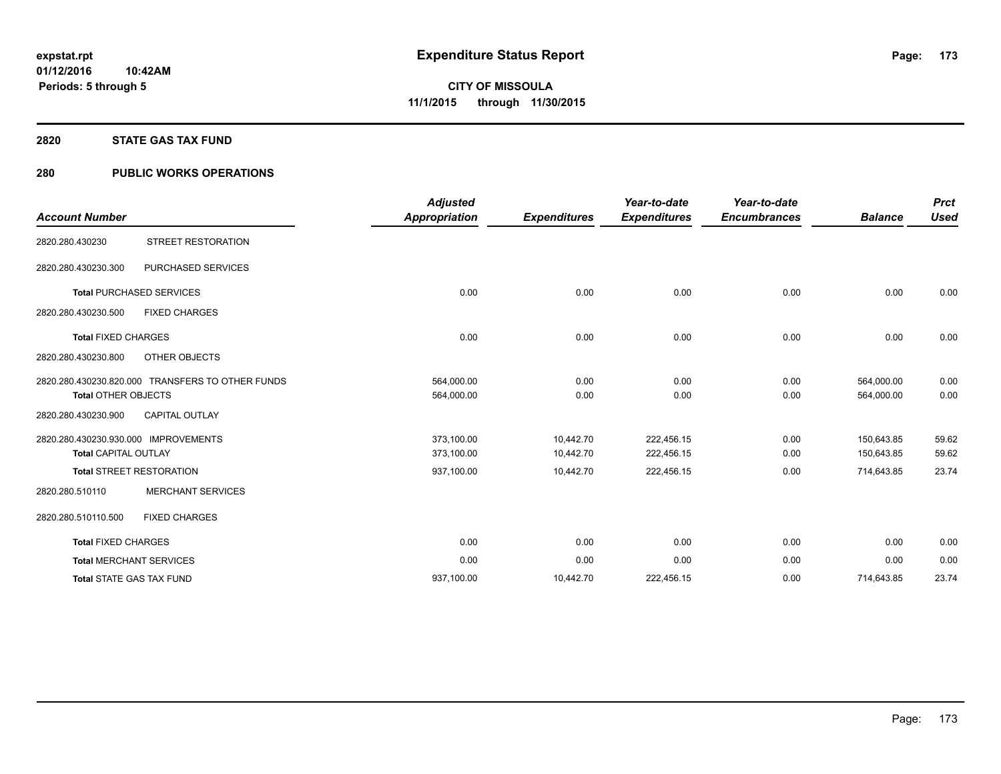### **2820 STATE GAS TAX FUND**

# **280 PUBLIC WORKS OPERATIONS**

| <b>Account Number</b>                                               |                                                  | <b>Adjusted</b><br><b>Appropriation</b> | <b>Expenditures</b>    | Year-to-date<br><b>Expenditures</b> | Year-to-date<br><b>Encumbrances</b> | <b>Balance</b>           | <b>Prct</b><br><b>Used</b> |
|---------------------------------------------------------------------|--------------------------------------------------|-----------------------------------------|------------------------|-------------------------------------|-------------------------------------|--------------------------|----------------------------|
| 2820.280.430230                                                     | <b>STREET RESTORATION</b>                        |                                         |                        |                                     |                                     |                          |                            |
| 2820.280.430230.300                                                 | PURCHASED SERVICES                               |                                         |                        |                                     |                                     |                          |                            |
|                                                                     | <b>Total PURCHASED SERVICES</b>                  | 0.00                                    | 0.00                   | 0.00                                | 0.00                                | 0.00                     | 0.00                       |
| 2820.280.430230.500                                                 | <b>FIXED CHARGES</b>                             |                                         |                        |                                     |                                     |                          |                            |
| <b>Total FIXED CHARGES</b>                                          |                                                  | 0.00                                    | 0.00                   | 0.00                                | 0.00                                | 0.00                     | 0.00                       |
| 2820.280.430230.800                                                 | OTHER OBJECTS                                    |                                         |                        |                                     |                                     |                          |                            |
| <b>Total OTHER OBJECTS</b>                                          | 2820.280.430230.820.000 TRANSFERS TO OTHER FUNDS | 564,000.00<br>564,000.00                | 0.00<br>0.00           | 0.00<br>0.00                        | 0.00<br>0.00                        | 564,000.00<br>564,000.00 | 0.00<br>0.00               |
| 2820.280.430230.900                                                 | <b>CAPITAL OUTLAY</b>                            |                                         |                        |                                     |                                     |                          |                            |
| 2820.280.430230.930.000 IMPROVEMENTS<br><b>Total CAPITAL OUTLAY</b> |                                                  | 373,100.00<br>373,100.00                | 10,442.70<br>10,442.70 | 222,456.15<br>222,456.15            | 0.00<br>0.00                        | 150,643.85<br>150,643.85 | 59.62<br>59.62             |
|                                                                     | <b>Total STREET RESTORATION</b>                  | 937,100.00                              | 10,442.70              | 222,456.15                          | 0.00                                | 714,643.85               | 23.74                      |
| 2820.280.510110                                                     | <b>MERCHANT SERVICES</b>                         |                                         |                        |                                     |                                     |                          |                            |
| 2820.280.510110.500                                                 | <b>FIXED CHARGES</b>                             |                                         |                        |                                     |                                     |                          |                            |
| <b>Total FIXED CHARGES</b>                                          |                                                  | 0.00                                    | 0.00                   | 0.00                                | 0.00                                | 0.00                     | 0.00                       |
|                                                                     | <b>Total MERCHANT SERVICES</b>                   | 0.00                                    | 0.00                   | 0.00                                | 0.00                                | 0.00                     | 0.00                       |
|                                                                     | <b>Total STATE GAS TAX FUND</b>                  | 937,100.00                              | 10,442.70              | 222,456.15                          | 0.00                                | 714,643.85               | 23.74                      |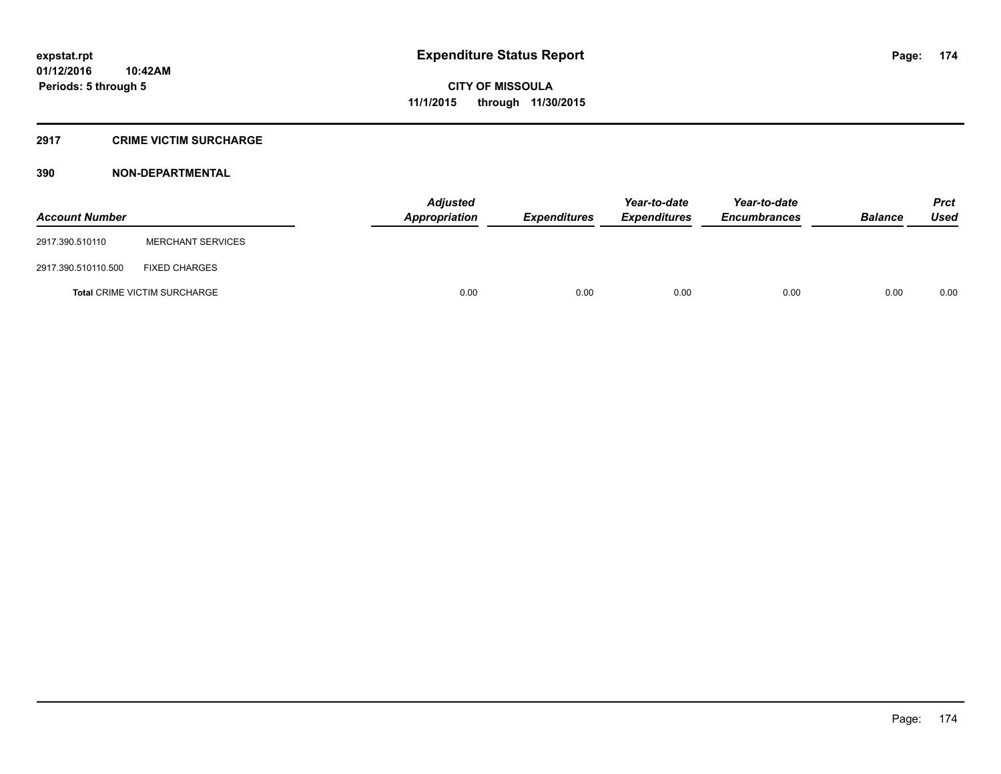# **2917 CRIME VICTIM SURCHARGE**

| <b>Account Number</b> |                                     | Adjusted<br>Appropriation | <b>Expenditures</b> | Year-to-date<br><b>Expenditures</b> | Year-to-date<br><b>Encumbrances</b> | <b>Balance</b> | <b>Prct</b><br><b>Used</b> |
|-----------------------|-------------------------------------|---------------------------|---------------------|-------------------------------------|-------------------------------------|----------------|----------------------------|
| 2917.390.510110       | <b>MERCHANT SERVICES</b>            |                           |                     |                                     |                                     |                |                            |
| 2917.390.510110.500   | <b>FIXED CHARGES</b>                |                           |                     |                                     |                                     |                |                            |
|                       | <b>Total CRIME VICTIM SURCHARGE</b> | 0.00                      | 0.00                | 0.00                                | 0.00                                | 0.00           | 0.00                       |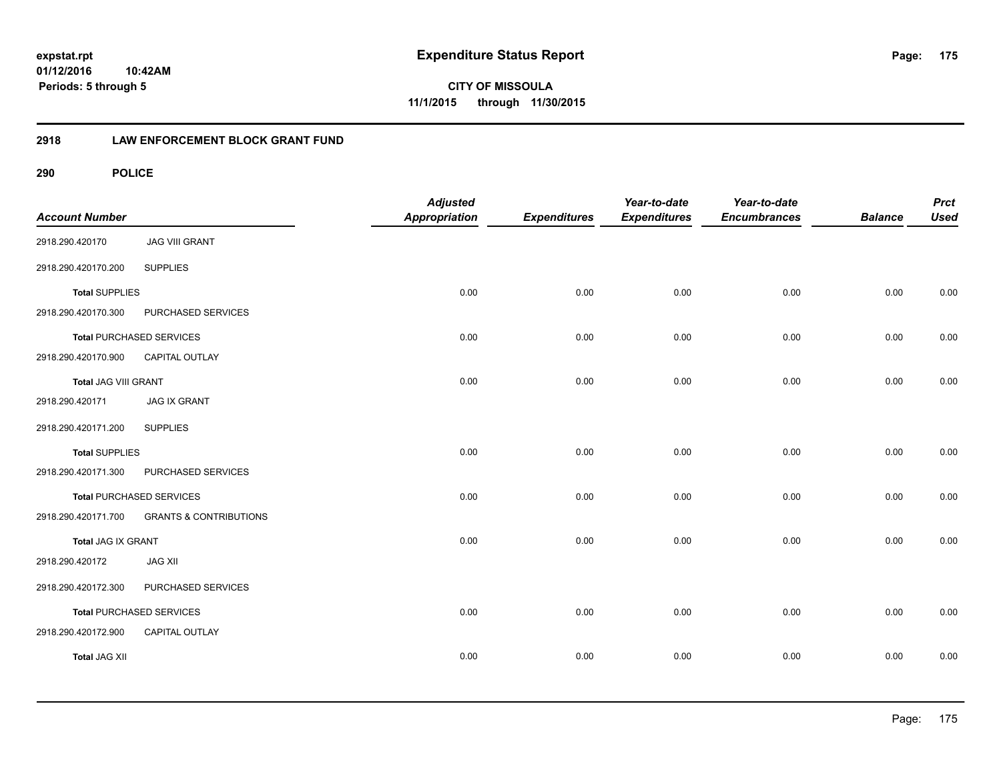**CITY OF MISSOULA 11/1/2015 through 11/30/2015**

# **2918 LAW ENFORCEMENT BLOCK GRANT FUND**

| <b>Account Number</b>       |                                   | <b>Adjusted</b><br><b>Appropriation</b> | <b>Expenditures</b> | Year-to-date<br><b>Expenditures</b> | Year-to-date<br><b>Encumbrances</b> | <b>Balance</b> | <b>Prct</b><br><b>Used</b> |
|-----------------------------|-----------------------------------|-----------------------------------------|---------------------|-------------------------------------|-------------------------------------|----------------|----------------------------|
| 2918.290.420170             | <b>JAG VIII GRANT</b>             |                                         |                     |                                     |                                     |                |                            |
| 2918.290.420170.200         | <b>SUPPLIES</b>                   |                                         |                     |                                     |                                     |                |                            |
| <b>Total SUPPLIES</b>       |                                   | 0.00                                    | 0.00                | 0.00                                | 0.00                                | 0.00           | 0.00                       |
| 2918.290.420170.300         | PURCHASED SERVICES                |                                         |                     |                                     |                                     |                |                            |
|                             | <b>Total PURCHASED SERVICES</b>   | 0.00                                    | 0.00                | 0.00                                | 0.00                                | 0.00           | 0.00                       |
| 2918.290.420170.900         | <b>CAPITAL OUTLAY</b>             |                                         |                     |                                     |                                     |                |                            |
| <b>Total JAG VIII GRANT</b> |                                   | 0.00                                    | 0.00                | 0.00                                | 0.00                                | 0.00           | 0.00                       |
| 2918.290.420171             | <b>JAG IX GRANT</b>               |                                         |                     |                                     |                                     |                |                            |
| 2918.290.420171.200         | <b>SUPPLIES</b>                   |                                         |                     |                                     |                                     |                |                            |
| <b>Total SUPPLIES</b>       |                                   | 0.00                                    | 0.00                | 0.00                                | 0.00                                | 0.00           | 0.00                       |
| 2918.290.420171.300         | PURCHASED SERVICES                |                                         |                     |                                     |                                     |                |                            |
|                             | <b>Total PURCHASED SERVICES</b>   | 0.00                                    | 0.00                | 0.00                                | 0.00                                | 0.00           | 0.00                       |
| 2918.290.420171.700         | <b>GRANTS &amp; CONTRIBUTIONS</b> |                                         |                     |                                     |                                     |                |                            |
| Total JAG IX GRANT          |                                   | 0.00                                    | 0.00                | 0.00                                | 0.00                                | 0.00           | 0.00                       |
| 2918.290.420172             | <b>JAG XII</b>                    |                                         |                     |                                     |                                     |                |                            |
| 2918.290.420172.300         | PURCHASED SERVICES                |                                         |                     |                                     |                                     |                |                            |
|                             | Total PURCHASED SERVICES          | 0.00                                    | 0.00                | 0.00                                | 0.00                                | 0.00           | 0.00                       |
| 2918.290.420172.900         | CAPITAL OUTLAY                    |                                         |                     |                                     |                                     |                |                            |
| <b>Total JAG XII</b>        |                                   | 0.00                                    | 0.00                | 0.00                                | 0.00                                | 0.00           | 0.00                       |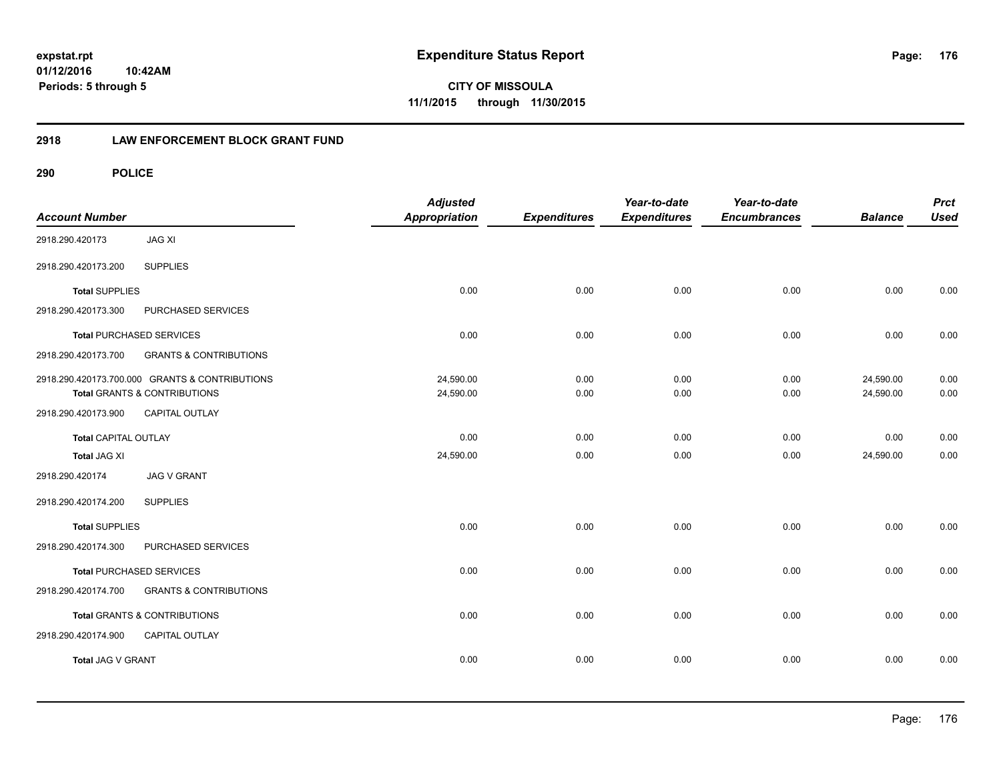**CITY OF MISSOULA 11/1/2015 through 11/30/2015**

# **2918 LAW ENFORCEMENT BLOCK GRANT FUND**

| <b>Account Number</b>       |                                                | <b>Adjusted</b><br><b>Appropriation</b> | <b>Expenditures</b> | Year-to-date<br><b>Expenditures</b> | Year-to-date<br><b>Encumbrances</b> | <b>Balance</b> | <b>Prct</b><br><b>Used</b> |
|-----------------------------|------------------------------------------------|-----------------------------------------|---------------------|-------------------------------------|-------------------------------------|----------------|----------------------------|
| 2918.290.420173             | <b>JAG XI</b>                                  |                                         |                     |                                     |                                     |                |                            |
| 2918.290.420173.200         | <b>SUPPLIES</b>                                |                                         |                     |                                     |                                     |                |                            |
| <b>Total SUPPLIES</b>       |                                                | 0.00                                    | 0.00                | 0.00                                | 0.00                                | 0.00           | 0.00                       |
| 2918.290.420173.300         | PURCHASED SERVICES                             |                                         |                     |                                     |                                     |                |                            |
|                             | <b>Total PURCHASED SERVICES</b>                | 0.00                                    | 0.00                | 0.00                                | 0.00                                | 0.00           | 0.00                       |
| 2918.290.420173.700         | <b>GRANTS &amp; CONTRIBUTIONS</b>              |                                         |                     |                                     |                                     |                |                            |
|                             | 2918.290.420173.700.000 GRANTS & CONTRIBUTIONS | 24,590.00                               | 0.00                | 0.00                                | 0.00                                | 24,590.00      | 0.00                       |
|                             | Total GRANTS & CONTRIBUTIONS                   | 24,590.00                               | 0.00                | 0.00                                | 0.00                                | 24,590.00      | 0.00                       |
| 2918.290.420173.900         | <b>CAPITAL OUTLAY</b>                          |                                         |                     |                                     |                                     |                |                            |
| <b>Total CAPITAL OUTLAY</b> |                                                | 0.00                                    | 0.00                | 0.00                                | 0.00                                | 0.00           | 0.00                       |
| <b>Total JAG XI</b>         |                                                | 24,590.00                               | 0.00                | 0.00                                | 0.00                                | 24,590.00      | 0.00                       |
| 2918.290.420174             | <b>JAG V GRANT</b>                             |                                         |                     |                                     |                                     |                |                            |
| 2918.290.420174.200         | <b>SUPPLIES</b>                                |                                         |                     |                                     |                                     |                |                            |
| <b>Total SUPPLIES</b>       |                                                | 0.00                                    | 0.00                | 0.00                                | 0.00                                | 0.00           | 0.00                       |
| 2918.290.420174.300         | PURCHASED SERVICES                             |                                         |                     |                                     |                                     |                |                            |
|                             | <b>Total PURCHASED SERVICES</b>                | 0.00                                    | 0.00                | 0.00                                | 0.00                                | 0.00           | 0.00                       |
| 2918.290.420174.700         | <b>GRANTS &amp; CONTRIBUTIONS</b>              |                                         |                     |                                     |                                     |                |                            |
|                             | Total GRANTS & CONTRIBUTIONS                   | 0.00                                    | 0.00                | 0.00                                | 0.00                                | 0.00           | 0.00                       |
| 2918.290.420174.900         | <b>CAPITAL OUTLAY</b>                          |                                         |                     |                                     |                                     |                |                            |
| Total JAG V GRANT           |                                                | 0.00                                    | 0.00                | 0.00                                | 0.00                                | 0.00           | 0.00                       |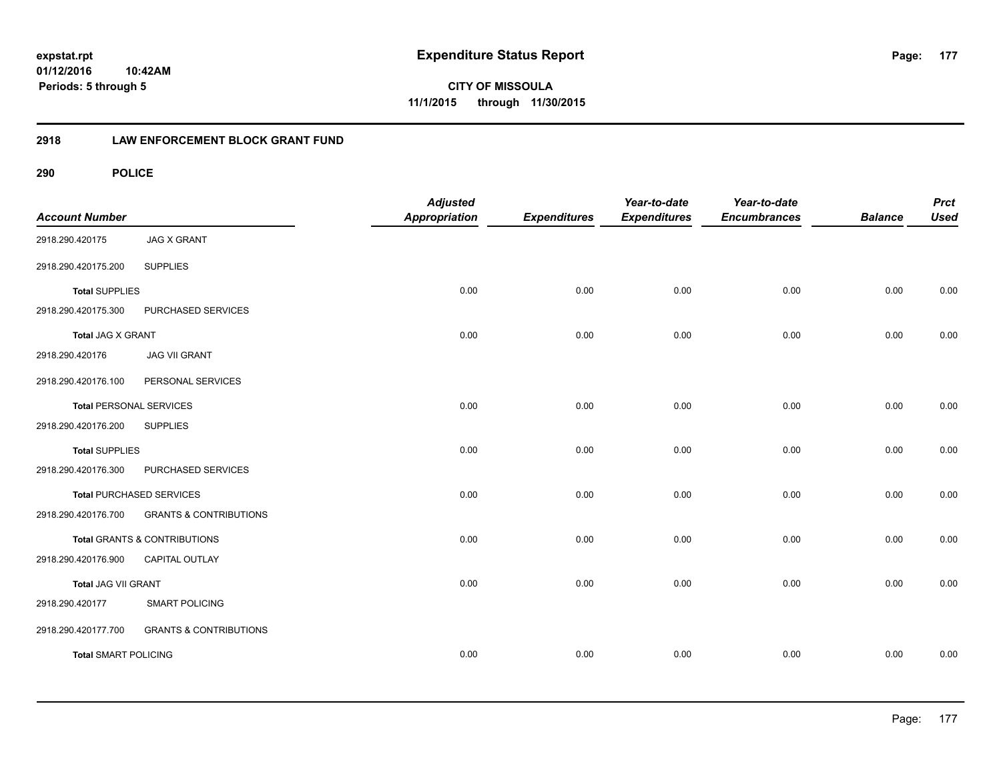**CITY OF MISSOULA 11/1/2015 through 11/30/2015**

# **2918 LAW ENFORCEMENT BLOCK GRANT FUND**

| <b>Account Number</b>          |                                   | <b>Adjusted</b><br><b>Appropriation</b> | <b>Expenditures</b> | Year-to-date<br><b>Expenditures</b> | Year-to-date<br><b>Encumbrances</b> | <b>Balance</b> | <b>Prct</b><br><b>Used</b> |
|--------------------------------|-----------------------------------|-----------------------------------------|---------------------|-------------------------------------|-------------------------------------|----------------|----------------------------|
| 2918.290.420175                | <b>JAG X GRANT</b>                |                                         |                     |                                     |                                     |                |                            |
| 2918.290.420175.200            | <b>SUPPLIES</b>                   |                                         |                     |                                     |                                     |                |                            |
| <b>Total SUPPLIES</b>          |                                   | 0.00                                    | 0.00                | 0.00                                | 0.00                                | 0.00           | 0.00                       |
| 2918.290.420175.300            | PURCHASED SERVICES                |                                         |                     |                                     |                                     |                |                            |
| Total JAG X GRANT              |                                   | 0.00                                    | 0.00                | 0.00                                | 0.00                                | 0.00           | 0.00                       |
| 2918.290.420176                | <b>JAG VII GRANT</b>              |                                         |                     |                                     |                                     |                |                            |
| 2918.290.420176.100            | PERSONAL SERVICES                 |                                         |                     |                                     |                                     |                |                            |
| <b>Total PERSONAL SERVICES</b> |                                   | 0.00                                    | 0.00                | 0.00                                | 0.00                                | 0.00           | 0.00                       |
| 2918.290.420176.200            | <b>SUPPLIES</b>                   |                                         |                     |                                     |                                     |                |                            |
| <b>Total SUPPLIES</b>          |                                   | 0.00                                    | 0.00                | 0.00                                | 0.00                                | 0.00           | 0.00                       |
| 2918.290.420176.300            | PURCHASED SERVICES                |                                         |                     |                                     |                                     |                |                            |
|                                | <b>Total PURCHASED SERVICES</b>   | 0.00                                    | 0.00                | 0.00                                | 0.00                                | 0.00           | 0.00                       |
| 2918.290.420176.700            | <b>GRANTS &amp; CONTRIBUTIONS</b> |                                         |                     |                                     |                                     |                |                            |
|                                | Total GRANTS & CONTRIBUTIONS      | 0.00                                    | 0.00                | 0.00                                | 0.00                                | 0.00           | 0.00                       |
| 2918.290.420176.900            | CAPITAL OUTLAY                    |                                         |                     |                                     |                                     |                |                            |
| Total JAG VII GRANT            |                                   | 0.00                                    | 0.00                | 0.00                                | 0.00                                | 0.00           | 0.00                       |
| 2918.290.420177                | <b>SMART POLICING</b>             |                                         |                     |                                     |                                     |                |                            |
| 2918.290.420177.700            | <b>GRANTS &amp; CONTRIBUTIONS</b> |                                         |                     |                                     |                                     |                |                            |
| <b>Total SMART POLICING</b>    |                                   | 0.00                                    | 0.00                | 0.00                                | 0.00                                | 0.00           | 0.00                       |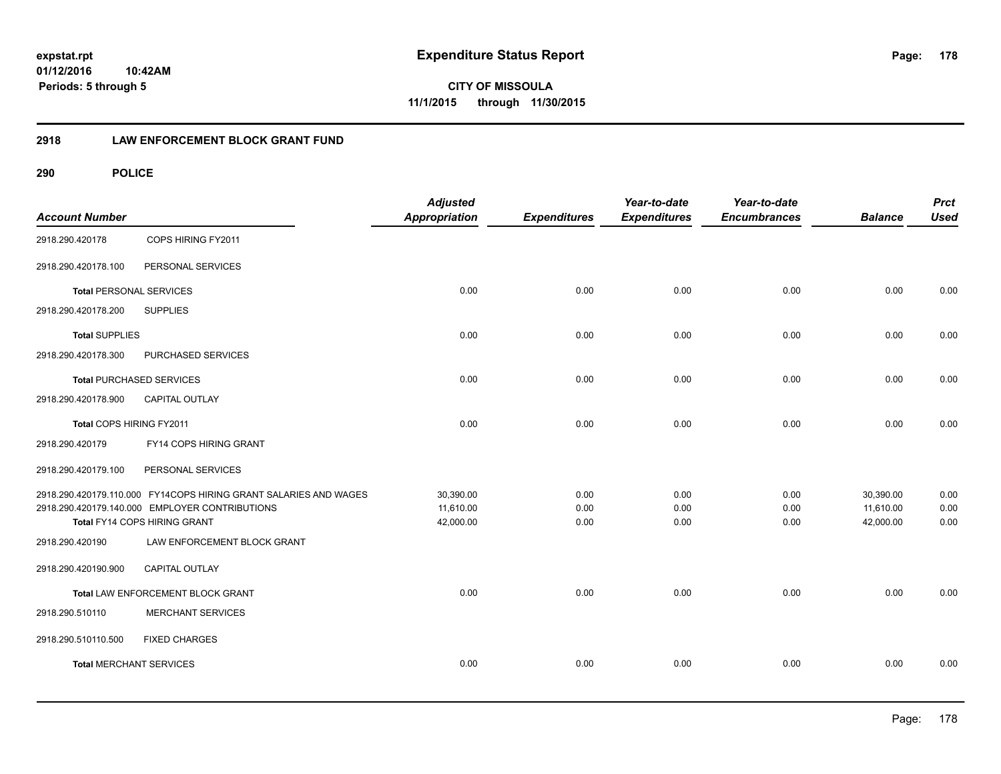**CITY OF MISSOULA 11/1/2015 through 11/30/2015**

# **2918 LAW ENFORCEMENT BLOCK GRANT FUND**

| <b>Account Number</b>           |                                                                  | <b>Adjusted</b><br><b>Appropriation</b> | <b>Expenditures</b> | Year-to-date<br><b>Expenditures</b> | Year-to-date<br><b>Encumbrances</b> | <b>Balance</b> | <b>Prct</b><br><b>Used</b> |
|---------------------------------|------------------------------------------------------------------|-----------------------------------------|---------------------|-------------------------------------|-------------------------------------|----------------|----------------------------|
| 2918.290.420178                 | COPS HIRING FY2011                                               |                                         |                     |                                     |                                     |                |                            |
| 2918.290.420178.100             | PERSONAL SERVICES                                                |                                         |                     |                                     |                                     |                |                            |
| <b>Total PERSONAL SERVICES</b>  |                                                                  | 0.00                                    | 0.00                | 0.00                                | 0.00                                | 0.00           | 0.00                       |
| 2918.290.420178.200             | <b>SUPPLIES</b>                                                  |                                         |                     |                                     |                                     |                |                            |
| <b>Total SUPPLIES</b>           |                                                                  | 0.00                                    | 0.00                | 0.00                                | 0.00                                | 0.00           | 0.00                       |
| 2918.290.420178.300             | PURCHASED SERVICES                                               |                                         |                     |                                     |                                     |                |                            |
| <b>Total PURCHASED SERVICES</b> |                                                                  | 0.00                                    | 0.00                | 0.00                                | 0.00                                | 0.00           | 0.00                       |
| 2918.290.420178.900             | <b>CAPITAL OUTLAY</b>                                            |                                         |                     |                                     |                                     |                |                            |
| Total COPS HIRING FY2011        |                                                                  | 0.00                                    | 0.00                | 0.00                                | 0.00                                | 0.00           | 0.00                       |
| 2918.290.420179                 | FY14 COPS HIRING GRANT                                           |                                         |                     |                                     |                                     |                |                            |
| 2918.290.420179.100             | PERSONAL SERVICES                                                |                                         |                     |                                     |                                     |                |                            |
|                                 | 2918.290.420179.110.000 FY14COPS HIRING GRANT SALARIES AND WAGES | 30,390.00                               | 0.00                | 0.00                                | 0.00                                | 30,390.00      | 0.00                       |
|                                 | 2918.290.420179.140.000 EMPLOYER CONTRIBUTIONS                   | 11,610.00                               | 0.00                | 0.00                                | 0.00                                | 11,610.00      | 0.00                       |
|                                 | Total FY14 COPS HIRING GRANT                                     | 42,000.00                               | 0.00                | 0.00                                | 0.00                                | 42,000.00      | 0.00                       |
| 2918.290.420190                 | LAW ENFORCEMENT BLOCK GRANT                                      |                                         |                     |                                     |                                     |                |                            |
| 2918.290.420190.900             | <b>CAPITAL OUTLAY</b>                                            |                                         |                     |                                     |                                     |                |                            |
|                                 | Total LAW ENFORCEMENT BLOCK GRANT                                | 0.00                                    | 0.00                | 0.00                                | 0.00                                | 0.00           | 0.00                       |
| 2918.290.510110                 | <b>MERCHANT SERVICES</b>                                         |                                         |                     |                                     |                                     |                |                            |
| 2918.290.510110.500             | <b>FIXED CHARGES</b>                                             |                                         |                     |                                     |                                     |                |                            |
| <b>Total MERCHANT SERVICES</b>  |                                                                  | 0.00                                    | 0.00                | 0.00                                | 0.00                                | 0.00           | 0.00                       |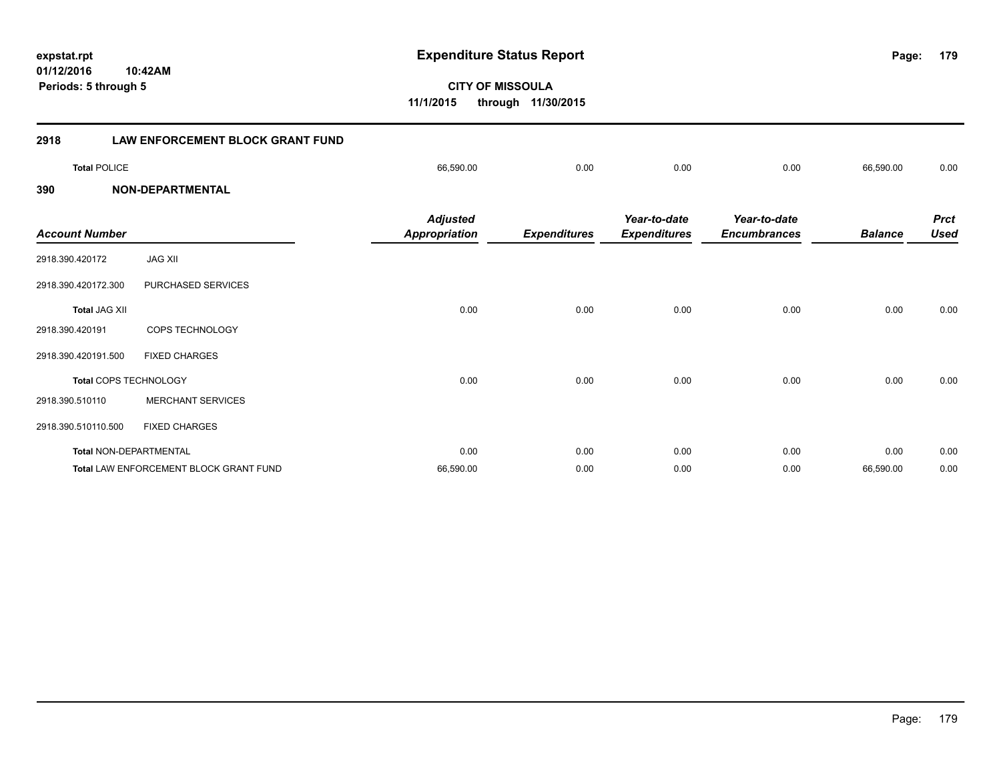**179**

**CITY OF MISSOULA 11/1/2015 through 11/30/2015**

| 2918                  | LAW ENFORCEMENT BLOCK GRANT FUND              |                                         |                     |                                     |                                     |                |                            |
|-----------------------|-----------------------------------------------|-----------------------------------------|---------------------|-------------------------------------|-------------------------------------|----------------|----------------------------|
| <b>Total POLICE</b>   |                                               | 66,590.00                               | 0.00                | 0.00                                | 0.00                                | 66,590.00      | 0.00                       |
| 390                   | <b>NON-DEPARTMENTAL</b>                       |                                         |                     |                                     |                                     |                |                            |
| <b>Account Number</b> |                                               | <b>Adjusted</b><br><b>Appropriation</b> | <b>Expenditures</b> | Year-to-date<br><b>Expenditures</b> | Year-to-date<br><b>Encumbrances</b> | <b>Balance</b> | <b>Prct</b><br><b>Used</b> |
| 2918.390.420172       | <b>JAG XII</b>                                |                                         |                     |                                     |                                     |                |                            |
| 2918.390.420172.300   | PURCHASED SERVICES                            |                                         |                     |                                     |                                     |                |                            |
| <b>Total JAG XII</b>  |                                               | 0.00                                    | 0.00                | 0.00                                | 0.00                                | 0.00           | 0.00                       |
| 2918.390.420191       | COPS TECHNOLOGY                               |                                         |                     |                                     |                                     |                |                            |
| 2918.390.420191.500   | <b>FIXED CHARGES</b>                          |                                         |                     |                                     |                                     |                |                            |
|                       | Total COPS TECHNOLOGY                         | 0.00                                    | 0.00                | 0.00                                | 0.00                                | 0.00           | 0.00                       |
| 2918.390.510110       | <b>MERCHANT SERVICES</b>                      |                                         |                     |                                     |                                     |                |                            |
| 2918.390.510110.500   | <b>FIXED CHARGES</b>                          |                                         |                     |                                     |                                     |                |                            |
|                       | Total NON-DEPARTMENTAL                        | 0.00                                    | 0.00                | 0.00                                | 0.00                                | 0.00           | 0.00                       |
|                       | <b>Total LAW ENFORCEMENT BLOCK GRANT FUND</b> | 66,590.00                               | 0.00                | 0.00                                | 0.00                                | 66,590.00      | 0.00                       |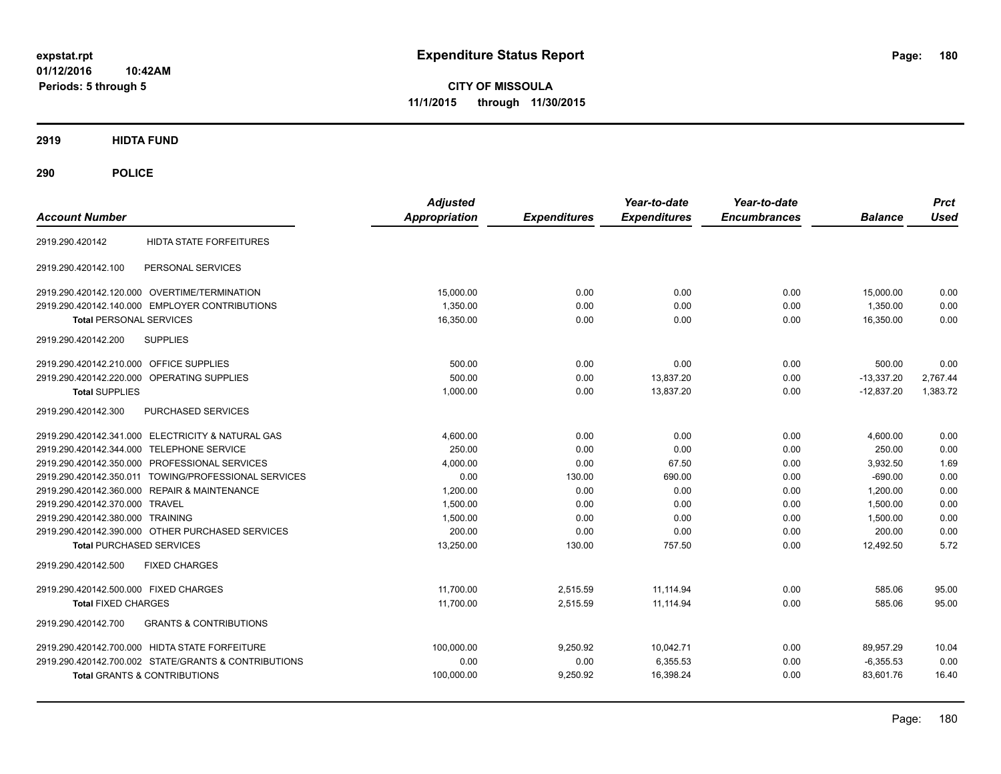**CITY OF MISSOULA 11/1/2015 through 11/30/2015**

**2919 HIDTA FUND**

| <b>Account Number</b>                                    | <b>Adjusted</b><br><b>Appropriation</b> | <b>Expenditures</b> | Year-to-date<br><b>Expenditures</b> | Year-to-date<br><b>Encumbrances</b> | <b>Balance</b> | <b>Prct</b><br><b>Used</b> |
|----------------------------------------------------------|-----------------------------------------|---------------------|-------------------------------------|-------------------------------------|----------------|----------------------------|
| <b>HIDTA STATE FORFEITURES</b><br>2919.290.420142        |                                         |                     |                                     |                                     |                |                            |
| PERSONAL SERVICES<br>2919.290.420142.100                 |                                         |                     |                                     |                                     |                |                            |
| 2919.290.420142.120.000 OVERTIME/TERMINATION             | 15,000.00                               | 0.00                | 0.00                                | 0.00                                | 15,000.00      | 0.00                       |
| 2919.290.420142.140.000 EMPLOYER CONTRIBUTIONS           | 1,350.00                                | 0.00                | 0.00                                | 0.00                                | 1,350.00       | 0.00                       |
| <b>Total PERSONAL SERVICES</b>                           | 16,350.00                               | 0.00                | 0.00                                | 0.00                                | 16,350.00      | 0.00                       |
| <b>SUPPLIES</b><br>2919.290.420142.200                   |                                         |                     |                                     |                                     |                |                            |
| 2919.290.420142.210.000 OFFICE SUPPLIES                  | 500.00                                  | 0.00                | 0.00                                | 0.00                                | 500.00         | 0.00                       |
| 2919.290.420142.220.000 OPERATING SUPPLIES               | 500.00                                  | 0.00                | 13,837.20                           | 0.00                                | $-13,337.20$   | 2,767.44                   |
| <b>Total SUPPLIES</b>                                    | 1,000.00                                | 0.00                | 13,837.20                           | 0.00                                | $-12,837.20$   | 1,383.72                   |
| 2919.290.420142.300<br>PURCHASED SERVICES                |                                         |                     |                                     |                                     |                |                            |
| 2919.290.420142.341.000 ELECTRICITY & NATURAL GAS        | 4.600.00                                | 0.00                | 0.00                                | 0.00                                | 4,600.00       | 0.00                       |
| 2919.290.420142.344.000 TELEPHONE SERVICE                | 250.00                                  | 0.00                | 0.00                                | 0.00                                | 250.00         | 0.00                       |
| 2919.290.420142.350.000 PROFESSIONAL SERVICES            | 4,000.00                                | 0.00                | 67.50                               | 0.00                                | 3,932.50       | 1.69                       |
| 2919.290.420142.350.011 TOWING/PROFESSIONAL SERVICES     | 0.00                                    | 130.00              | 690.00                              | 0.00                                | $-690.00$      | 0.00                       |
| 2919.290.420142.360.000 REPAIR & MAINTENANCE             | 1.200.00                                | 0.00                | 0.00                                | 0.00                                | 1.200.00       | 0.00                       |
| 2919.290.420142.370.000 TRAVEL                           | 1,500.00                                | 0.00                | 0.00                                | 0.00                                | 1.500.00       | 0.00                       |
| 2919.290.420142.380.000 TRAINING                         | 1,500.00                                | 0.00                | 0.00                                | 0.00                                | 1,500.00       | 0.00                       |
| 2919.290.420142.390.000 OTHER PURCHASED SERVICES         | 200.00                                  | 0.00                | 0.00                                | 0.00                                | 200.00         | 0.00                       |
| <b>Total PURCHASED SERVICES</b>                          | 13,250.00                               | 130.00              | 757.50                              | 0.00                                | 12,492.50      | 5.72                       |
| 2919.290.420142.500<br><b>FIXED CHARGES</b>              |                                         |                     |                                     |                                     |                |                            |
| 2919.290.420142.500.000 FIXED CHARGES                    | 11,700.00                               | 2,515.59            | 11.114.94                           | 0.00                                | 585.06         | 95.00                      |
| <b>Total FIXED CHARGES</b>                               | 11,700.00                               | 2,515.59            | 11.114.94                           | 0.00                                | 585.06         | 95.00                      |
| <b>GRANTS &amp; CONTRIBUTIONS</b><br>2919.290.420142.700 |                                         |                     |                                     |                                     |                |                            |
| 2919.290.420142.700.000 HIDTA STATE FORFEITURE           | 100,000.00                              | 9,250.92            | 10,042.71                           | 0.00                                | 89,957.29      | 10.04                      |
| 2919.290.420142.700.002 STATE/GRANTS & CONTRIBUTIONS     | 0.00                                    | 0.00                | 6,355.53                            | 0.00                                | $-6,355.53$    | 0.00                       |
| <b>Total GRANTS &amp; CONTRIBUTIONS</b>                  | 100,000.00                              | 9,250.92            | 16,398.24                           | 0.00                                | 83,601.76      | 16.40                      |
|                                                          |                                         |                     |                                     |                                     |                |                            |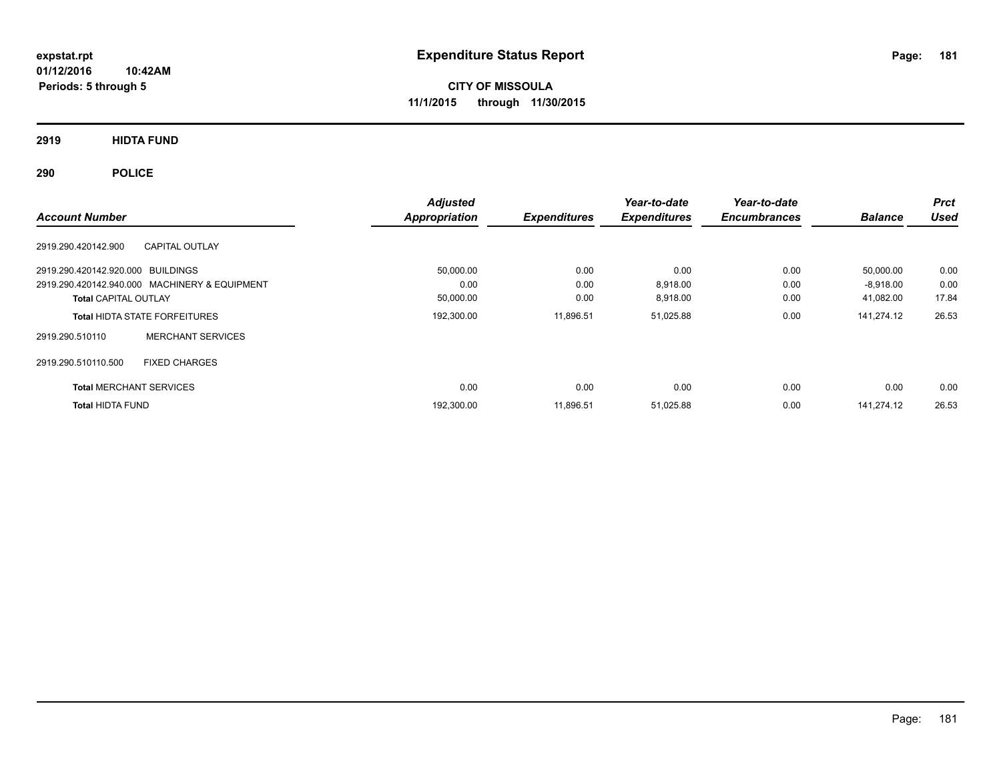**CITY OF MISSOULA 11/1/2015 through 11/30/2015**

**2919 HIDTA FUND**

**290 POLICE**

| <b>Account Number</b>                         |                          | <b>Adjusted</b><br>Appropriation | <b>Expenditures</b> | Year-to-date<br><b>Expenditures</b> | Year-to-date<br><b>Encumbrances</b> | <b>Balance</b> | <b>Prct</b><br><b>Used</b> |
|-----------------------------------------------|--------------------------|----------------------------------|---------------------|-------------------------------------|-------------------------------------|----------------|----------------------------|
| <b>CAPITAL OUTLAY</b><br>2919.290.420142.900  |                          |                                  |                     |                                     |                                     |                |                            |
| 2919.290.420142.920.000 BUILDINGS             |                          | 50,000.00                        | 0.00                | 0.00                                | 0.00                                | 50,000.00      | 0.00                       |
| 2919.290.420142.940.000 MACHINERY & EQUIPMENT |                          | 0.00                             | 0.00                | 8.918.00                            | 0.00                                | $-8,918.00$    | 0.00                       |
| <b>Total CAPITAL OUTLAY</b>                   |                          | 50,000.00                        | 0.00                | 8,918.00                            | 0.00                                | 41,082.00      | 17.84                      |
| <b>Total HIDTA STATE FORFEITURES</b>          |                          | 192,300.00                       | 11.896.51           | 51,025.88                           | 0.00                                | 141.274.12     | 26.53                      |
| 2919.290.510110                               | <b>MERCHANT SERVICES</b> |                                  |                     |                                     |                                     |                |                            |
| <b>FIXED CHARGES</b><br>2919.290.510110.500   |                          |                                  |                     |                                     |                                     |                |                            |
| <b>Total MERCHANT SERVICES</b>                |                          | 0.00                             | 0.00                | 0.00                                | 0.00                                | 0.00           | 0.00                       |
| <b>Total HIDTA FUND</b>                       |                          | 192,300.00                       | 11.896.51           | 51,025.88                           | 0.00                                | 141.274.12     | 26.53                      |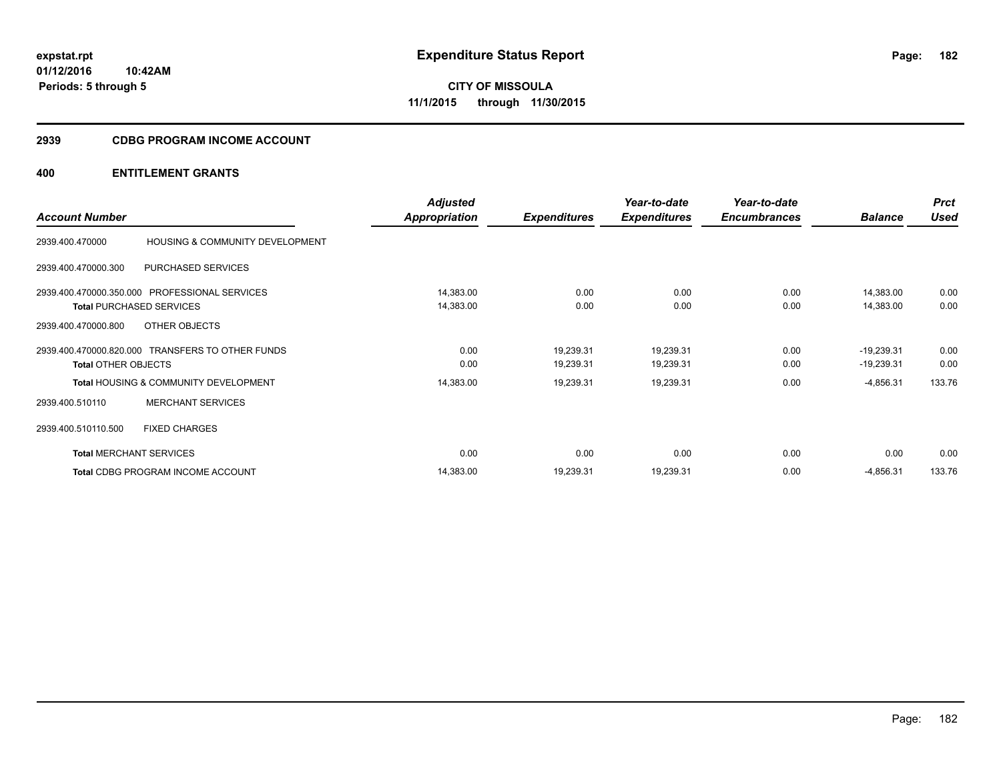**Periods: 5 through 5**

**CITY OF MISSOULA 11/1/2015 through 11/30/2015**

#### **2939 CDBG PROGRAM INCOME ACCOUNT**

# **400 ENTITLEMENT GRANTS**

**10:42AM**

|                            |                                                  | <b>Adjusted</b> |                     | Year-to-date        | Year-to-date        |                | <b>Prct</b> |
|----------------------------|--------------------------------------------------|-----------------|---------------------|---------------------|---------------------|----------------|-------------|
| <b>Account Number</b>      |                                                  | Appropriation   | <b>Expenditures</b> | <b>Expenditures</b> | <b>Encumbrances</b> | <b>Balance</b> | <b>Used</b> |
| 2939.400.470000            | HOUSING & COMMUNITY DEVELOPMENT                  |                 |                     |                     |                     |                |             |
| 2939.400.470000.300        | PURCHASED SERVICES                               |                 |                     |                     |                     |                |             |
|                            | 2939.400.470000.350.000 PROFESSIONAL SERVICES    | 14,383.00       | 0.00                | 0.00                | 0.00                | 14,383.00      | 0.00        |
|                            | <b>Total PURCHASED SERVICES</b>                  | 14,383.00       | 0.00                | 0.00                | 0.00                | 14,383.00      | 0.00        |
| 2939.400.470000.800        | OTHER OBJECTS                                    |                 |                     |                     |                     |                |             |
|                            | 2939.400.470000.820.000 TRANSFERS TO OTHER FUNDS | 0.00            | 19,239.31           | 19,239.31           | 0.00                | $-19,239.31$   | 0.00        |
| <b>Total OTHER OBJECTS</b> |                                                  | 0.00            | 19,239.31           | 19,239.31           | 0.00                | $-19,239.31$   | 0.00        |
|                            | <b>Total HOUSING &amp; COMMUNITY DEVELOPMENT</b> | 14,383.00       | 19,239.31           | 19,239.31           | 0.00                | $-4,856.31$    | 133.76      |
| 2939.400.510110            | <b>MERCHANT SERVICES</b>                         |                 |                     |                     |                     |                |             |
| 2939.400.510110.500        | <b>FIXED CHARGES</b>                             |                 |                     |                     |                     |                |             |
|                            | <b>Total MERCHANT SERVICES</b>                   | 0.00            | 0.00                | 0.00                | 0.00                | 0.00           | 0.00        |
|                            | Total CDBG PROGRAM INCOME ACCOUNT                | 14,383.00       | 19,239.31           | 19,239.31           | 0.00                | $-4,856.31$    | 133.76      |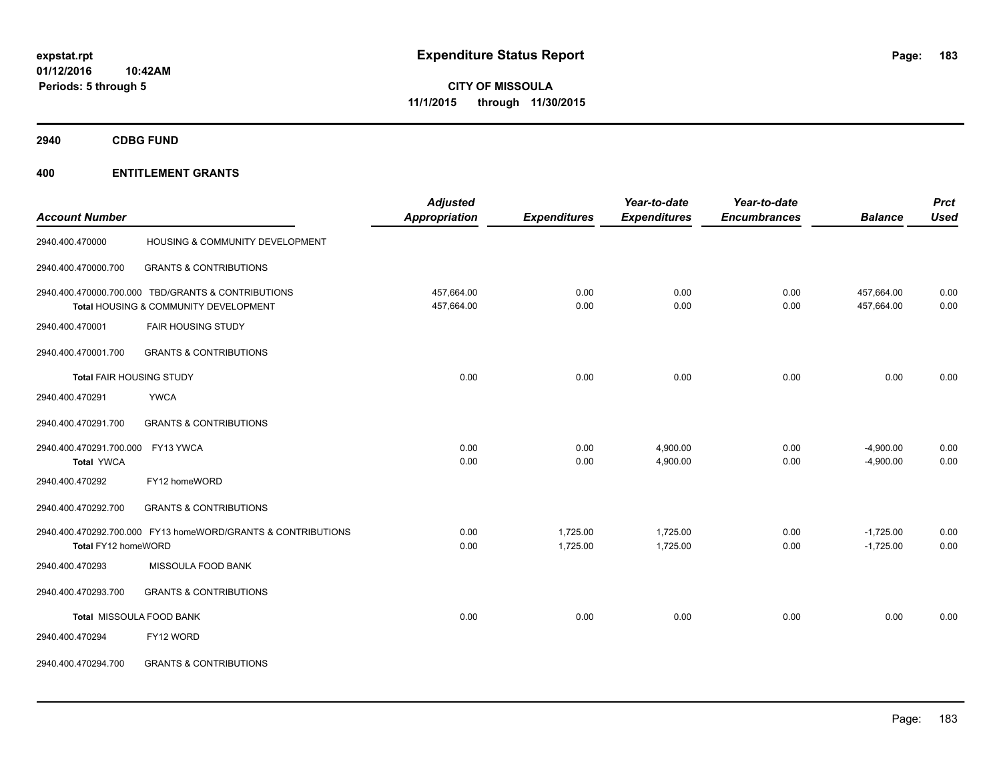**2940 CDBG FUND**

|                                   |                                                              | <b>Adjusted</b>      |                     | Year-to-date        | Year-to-date        |                | <b>Prct</b> |
|-----------------------------------|--------------------------------------------------------------|----------------------|---------------------|---------------------|---------------------|----------------|-------------|
| <b>Account Number</b>             |                                                              | <b>Appropriation</b> | <b>Expenditures</b> | <b>Expenditures</b> | <b>Encumbrances</b> | <b>Balance</b> | <b>Used</b> |
| 2940.400.470000                   | HOUSING & COMMUNITY DEVELOPMENT                              |                      |                     |                     |                     |                |             |
| 2940.400.470000.700               | <b>GRANTS &amp; CONTRIBUTIONS</b>                            |                      |                     |                     |                     |                |             |
|                                   | 2940.400.470000.700.000 TBD/GRANTS & CONTRIBUTIONS           | 457,664.00           | 0.00                | 0.00                | 0.00                | 457,664.00     | 0.00        |
|                                   | Total HOUSING & COMMUNITY DEVELOPMENT                        | 457,664.00           | 0.00                | 0.00                | 0.00                | 457,664.00     | 0.00        |
| 2940.400.470001                   | <b>FAIR HOUSING STUDY</b>                                    |                      |                     |                     |                     |                |             |
| 2940.400.470001.700               | <b>GRANTS &amp; CONTRIBUTIONS</b>                            |                      |                     |                     |                     |                |             |
| Total FAIR HOUSING STUDY          |                                                              | 0.00                 | 0.00                | 0.00                | 0.00                | 0.00           | 0.00        |
| 2940.400.470291                   | <b>YWCA</b>                                                  |                      |                     |                     |                     |                |             |
| 2940.400.470291.700               | <b>GRANTS &amp; CONTRIBUTIONS</b>                            |                      |                     |                     |                     |                |             |
| 2940.400.470291.700.000 FY13 YWCA |                                                              | 0.00                 | 0.00                | 4,900.00            | 0.00                | $-4,900.00$    | 0.00        |
| <b>Total YWCA</b>                 |                                                              | 0.00                 | 0.00                | 4,900.00            | 0.00                | $-4,900.00$    | 0.00        |
| 2940.400.470292                   | FY12 homeWORD                                                |                      |                     |                     |                     |                |             |
| 2940.400.470292.700               | <b>GRANTS &amp; CONTRIBUTIONS</b>                            |                      |                     |                     |                     |                |             |
|                                   | 2940.400.470292.700.000 FY13 homeWORD/GRANTS & CONTRIBUTIONS | 0.00                 | 1,725.00            | 1,725.00            | 0.00                | $-1,725.00$    | 0.00        |
| Total FY12 homeWORD               |                                                              | 0.00                 | 1,725.00            | 1,725.00            | 0.00                | $-1,725.00$    | 0.00        |
| 2940.400.470293                   | MISSOULA FOOD BANK                                           |                      |                     |                     |                     |                |             |
| 2940.400.470293.700               | <b>GRANTS &amp; CONTRIBUTIONS</b>                            |                      |                     |                     |                     |                |             |
|                                   | Total MISSOULA FOOD BANK                                     | 0.00                 | 0.00                | 0.00                | 0.00                | 0.00           | 0.00        |
| 2940.400.470294                   | FY12 WORD                                                    |                      |                     |                     |                     |                |             |
| 2940.400.470294.700               | <b>GRANTS &amp; CONTRIBUTIONS</b>                            |                      |                     |                     |                     |                |             |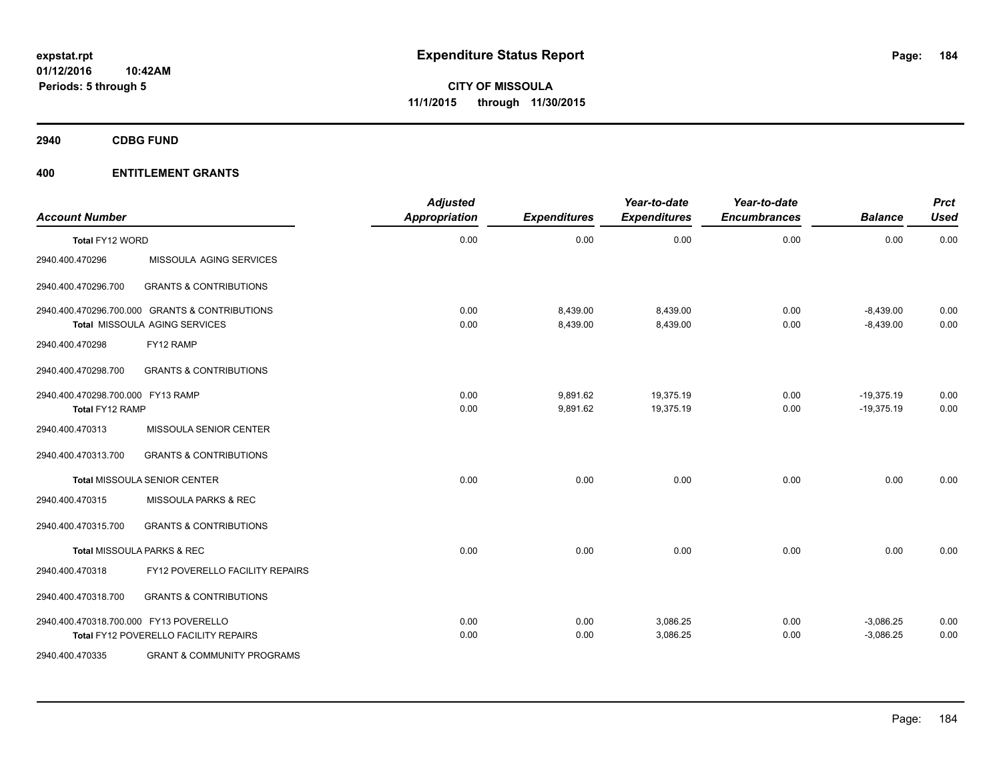**2940 CDBG FUND**

| <b>Account Number</b>                                       |                                                                                 | <b>Adjusted</b><br>Appropriation | <b>Expenditures</b>  | Year-to-date<br><b>Expenditures</b> | Year-to-date<br><b>Encumbrances</b> | <b>Balance</b>               | <b>Prct</b><br><b>Used</b> |
|-------------------------------------------------------------|---------------------------------------------------------------------------------|----------------------------------|----------------------|-------------------------------------|-------------------------------------|------------------------------|----------------------------|
| Total FY12 WORD                                             |                                                                                 | 0.00                             | 0.00                 | 0.00                                | 0.00                                | 0.00                         | 0.00                       |
| 2940.400.470296                                             | MISSOULA AGING SERVICES                                                         |                                  |                      |                                     |                                     |                              |                            |
| 2940.400.470296.700                                         | <b>GRANTS &amp; CONTRIBUTIONS</b>                                               |                                  |                      |                                     |                                     |                              |                            |
|                                                             | 2940.400.470296.700.000 GRANTS & CONTRIBUTIONS<br>Total MISSOULA AGING SERVICES | 0.00<br>0.00                     | 8,439.00<br>8,439.00 | 8,439.00<br>8,439.00                | 0.00<br>0.00                        | $-8,439.00$<br>$-8,439.00$   | 0.00<br>0.00               |
| 2940.400.470298                                             | FY12 RAMP                                                                       |                                  |                      |                                     |                                     |                              |                            |
| 2940.400.470298.700                                         | <b>GRANTS &amp; CONTRIBUTIONS</b>                                               |                                  |                      |                                     |                                     |                              |                            |
| 2940.400.470298.700.000 FY13 RAMP<br><b>Total FY12 RAMP</b> |                                                                                 | 0.00<br>0.00                     | 9,891.62<br>9,891.62 | 19,375.19<br>19,375.19              | 0.00<br>0.00                        | $-19,375.19$<br>$-19,375.19$ | 0.00<br>0.00               |
| 2940.400.470313                                             | MISSOULA SENIOR CENTER                                                          |                                  |                      |                                     |                                     |                              |                            |
| 2940.400.470313.700                                         | <b>GRANTS &amp; CONTRIBUTIONS</b>                                               |                                  |                      |                                     |                                     |                              |                            |
|                                                             | <b>Total MISSOULA SENIOR CENTER</b>                                             | 0.00                             | 0.00                 | 0.00                                | 0.00                                | 0.00                         | 0.00                       |
| 2940.400.470315                                             | MISSOULA PARKS & REC                                                            |                                  |                      |                                     |                                     |                              |                            |
| 2940.400.470315.700                                         | <b>GRANTS &amp; CONTRIBUTIONS</b>                                               |                                  |                      |                                     |                                     |                              |                            |
|                                                             | <b>Total MISSOULA PARKS &amp; REC</b>                                           | 0.00                             | 0.00                 | 0.00                                | 0.00                                | 0.00                         | 0.00                       |
| 2940.400.470318                                             | FY12 POVERELLO FACILITY REPAIRS                                                 |                                  |                      |                                     |                                     |                              |                            |
| 2940.400.470318.700                                         | <b>GRANTS &amp; CONTRIBUTIONS</b>                                               |                                  |                      |                                     |                                     |                              |                            |
| 2940.400.470318.700.000 FY13 POVERELLO                      | <b>Total FY12 POVERELLO FACILITY REPAIRS</b>                                    | 0.00<br>0.00                     | 0.00<br>0.00         | 3,086.25<br>3,086.25                | 0.00<br>0.00                        | $-3,086.25$<br>$-3,086.25$   | 0.00<br>0.00               |
| 2940.400.470335                                             | <b>GRANT &amp; COMMUNITY PROGRAMS</b>                                           |                                  |                      |                                     |                                     |                              |                            |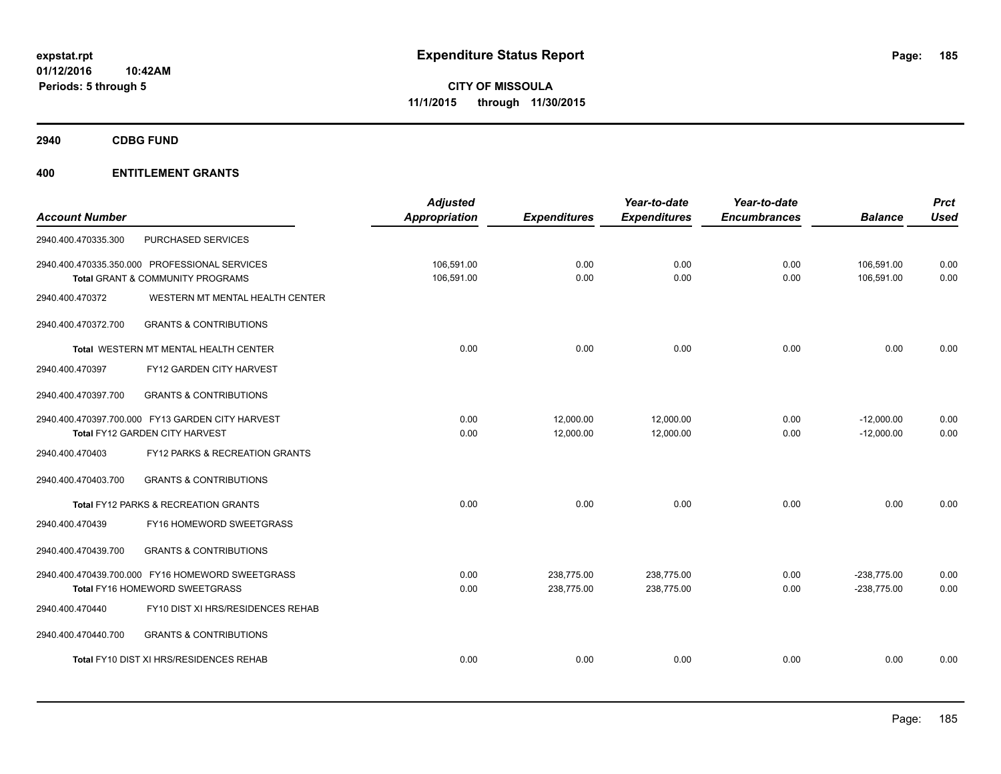**2940 CDBG FUND**

| <b>Account Number</b> |                                                                                    | <b>Adjusted</b><br>Appropriation | <b>Expenditures</b>      | Year-to-date<br><b>Expenditures</b> | Year-to-date<br><b>Encumbrances</b> | <b>Balance</b>                 | <b>Prct</b><br><b>Used</b> |
|-----------------------|------------------------------------------------------------------------------------|----------------------------------|--------------------------|-------------------------------------|-------------------------------------|--------------------------------|----------------------------|
| 2940.400.470335.300   | PURCHASED SERVICES                                                                 |                                  |                          |                                     |                                     |                                |                            |
|                       | 2940.400.470335.350.000 PROFESSIONAL SERVICES<br>Total GRANT & COMMUNITY PROGRAMS  | 106.591.00<br>106,591.00         | 0.00<br>0.00             | 0.00<br>0.00                        | 0.00<br>0.00                        | 106,591.00<br>106,591.00       | 0.00<br>0.00               |
| 2940.400.470372       | WESTERN MT MENTAL HEALTH CENTER                                                    |                                  |                          |                                     |                                     |                                |                            |
| 2940.400.470372.700   | <b>GRANTS &amp; CONTRIBUTIONS</b>                                                  |                                  |                          |                                     |                                     |                                |                            |
|                       | <b>Total WESTERN MT MENTAL HEALTH CENTER</b>                                       | 0.00                             | 0.00                     | 0.00                                | 0.00                                | 0.00                           | 0.00                       |
| 2940.400.470397       | FY12 GARDEN CITY HARVEST                                                           |                                  |                          |                                     |                                     |                                |                            |
| 2940.400.470397.700   | <b>GRANTS &amp; CONTRIBUTIONS</b>                                                  |                                  |                          |                                     |                                     |                                |                            |
|                       | 2940.400.470397.700.000 FY13 GARDEN CITY HARVEST<br>Total FY12 GARDEN CITY HARVEST | 0.00<br>0.00                     | 12,000.00<br>12,000.00   | 12,000.00<br>12,000.00              | 0.00<br>0.00                        | $-12,000.00$<br>$-12,000.00$   | 0.00<br>0.00               |
| 2940.400.470403       | FY12 PARKS & RECREATION GRANTS                                                     |                                  |                          |                                     |                                     |                                |                            |
| 2940.400.470403.700   | <b>GRANTS &amp; CONTRIBUTIONS</b>                                                  |                                  |                          |                                     |                                     |                                |                            |
|                       | Total FY12 PARKS & RECREATION GRANTS                                               | 0.00                             | 0.00                     | 0.00                                | 0.00                                | 0.00                           | 0.00                       |
| 2940.400.470439       | FY16 HOMEWORD SWEETGRASS                                                           |                                  |                          |                                     |                                     |                                |                            |
| 2940.400.470439.700   | <b>GRANTS &amp; CONTRIBUTIONS</b>                                                  |                                  |                          |                                     |                                     |                                |                            |
|                       | 2940.400.470439.700.000 FY16 HOMEWORD SWEETGRASS<br>Total FY16 HOMEWORD SWEETGRASS | 0.00<br>0.00                     | 238,775.00<br>238,775.00 | 238,775.00<br>238,775.00            | 0.00<br>0.00                        | $-238,775.00$<br>$-238,775.00$ | 0.00<br>0.00               |
| 2940.400.470440       | FY10 DIST XI HRS/RESIDENCES REHAB                                                  |                                  |                          |                                     |                                     |                                |                            |
| 2940.400.470440.700   | <b>GRANTS &amp; CONTRIBUTIONS</b>                                                  |                                  |                          |                                     |                                     |                                |                            |
|                       | Total FY10 DIST XI HRS/RESIDENCES REHAB                                            | 0.00                             | 0.00                     | 0.00                                | 0.00                                | 0.00                           | 0.00                       |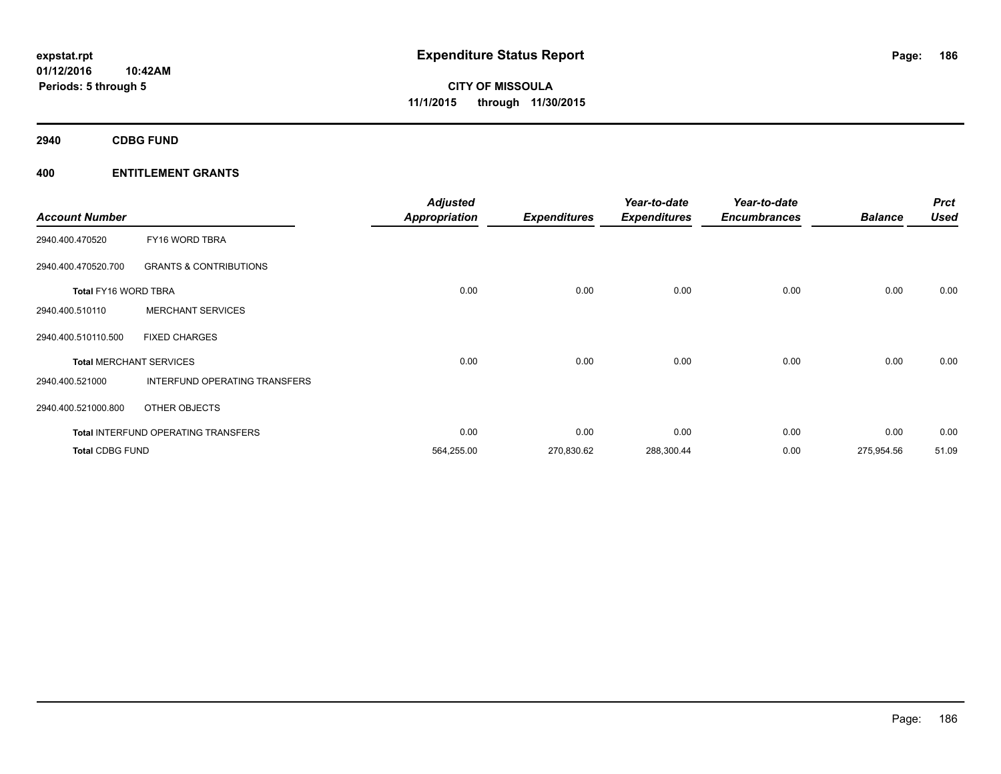**2940 CDBG FUND**

| <b>Account Number</b>  |                                            | <b>Adjusted</b><br><b>Appropriation</b> | <b>Expenditures</b> | Year-to-date<br><b>Expenditures</b> | Year-to-date<br><b>Encumbrances</b> | <b>Balance</b> | <b>Prct</b><br><b>Used</b> |
|------------------------|--------------------------------------------|-----------------------------------------|---------------------|-------------------------------------|-------------------------------------|----------------|----------------------------|
| 2940.400.470520        | FY16 WORD TBRA                             |                                         |                     |                                     |                                     |                |                            |
| 2940.400.470520.700    | <b>GRANTS &amp; CONTRIBUTIONS</b>          |                                         |                     |                                     |                                     |                |                            |
| Total FY16 WORD TBRA   |                                            | 0.00                                    | 0.00                | 0.00                                | 0.00                                | 0.00           | 0.00                       |
| 2940.400.510110        | <b>MERCHANT SERVICES</b>                   |                                         |                     |                                     |                                     |                |                            |
| 2940.400.510110.500    | <b>FIXED CHARGES</b>                       |                                         |                     |                                     |                                     |                |                            |
|                        | <b>Total MERCHANT SERVICES</b>             | 0.00                                    | 0.00                | 0.00                                | 0.00                                | 0.00           | 0.00                       |
| 2940.400.521000        | INTERFUND OPERATING TRANSFERS              |                                         |                     |                                     |                                     |                |                            |
| 2940.400.521000.800    | OTHER OBJECTS                              |                                         |                     |                                     |                                     |                |                            |
|                        | <b>Total INTERFUND OPERATING TRANSFERS</b> | 0.00                                    | 0.00                | 0.00                                | 0.00                                | 0.00           | 0.00                       |
| <b>Total CDBG FUND</b> |                                            | 564,255.00                              | 270,830.62          | 288,300.44                          | 0.00                                | 275,954.56     | 51.09                      |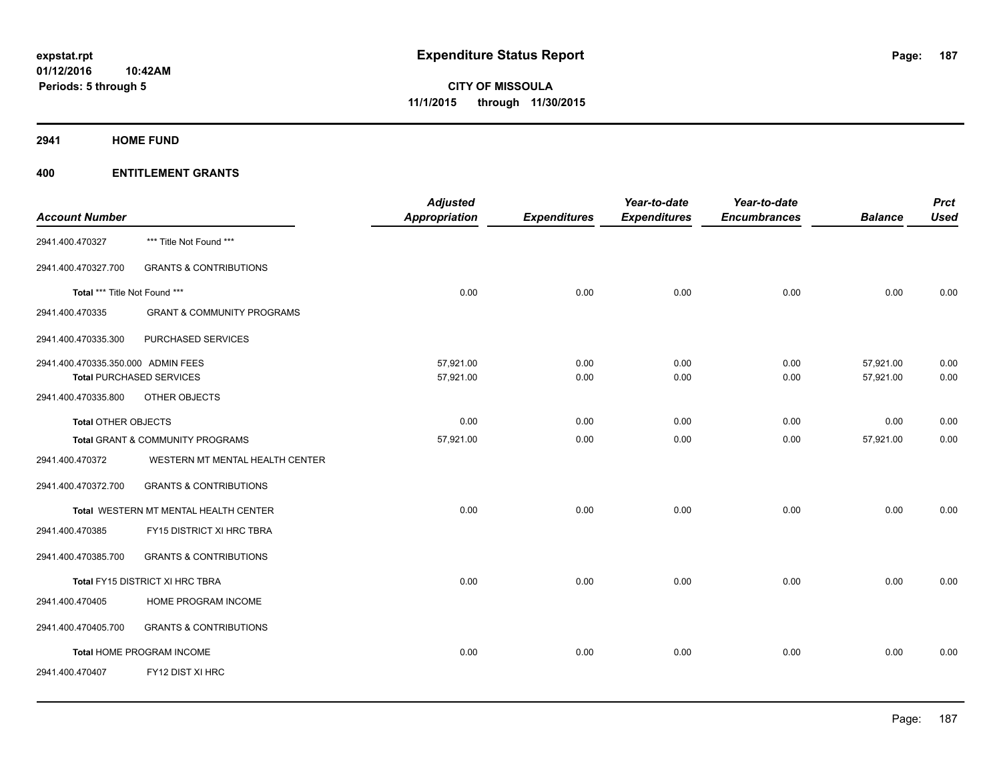**2941 HOME FUND**

| <b>Account Number</b>              |                                       | <b>Adjusted</b><br><b>Appropriation</b> | <b>Expenditures</b> | Year-to-date<br><b>Expenditures</b> | Year-to-date<br><b>Encumbrances</b> | <b>Balance</b> | <b>Prct</b><br><b>Used</b> |
|------------------------------------|---------------------------------------|-----------------------------------------|---------------------|-------------------------------------|-------------------------------------|----------------|----------------------------|
|                                    |                                       |                                         |                     |                                     |                                     |                |                            |
| 2941.400.470327                    | *** Title Not Found ***               |                                         |                     |                                     |                                     |                |                            |
| 2941.400.470327.700                | <b>GRANTS &amp; CONTRIBUTIONS</b>     |                                         |                     |                                     |                                     |                |                            |
| Total *** Title Not Found ***      |                                       | 0.00                                    | 0.00                | 0.00                                | 0.00                                | 0.00           | 0.00                       |
| 2941.400.470335                    | <b>GRANT &amp; COMMUNITY PROGRAMS</b> |                                         |                     |                                     |                                     |                |                            |
| 2941.400.470335.300                | PURCHASED SERVICES                    |                                         |                     |                                     |                                     |                |                            |
| 2941.400.470335.350.000 ADMIN FEES |                                       | 57,921.00                               | 0.00                | 0.00                                | 0.00                                | 57,921.00      | 0.00                       |
|                                    | <b>Total PURCHASED SERVICES</b>       | 57,921.00                               | 0.00                | 0.00                                | 0.00                                | 57,921.00      | 0.00                       |
| 2941.400.470335.800                | OTHER OBJECTS                         |                                         |                     |                                     |                                     |                |                            |
| <b>Total OTHER OBJECTS</b>         |                                       | 0.00                                    | 0.00                | 0.00                                | 0.00                                | 0.00           | 0.00                       |
|                                    | Total GRANT & COMMUNITY PROGRAMS      | 57,921.00                               | 0.00                | 0.00                                | 0.00                                | 57,921.00      | 0.00                       |
| 2941.400.470372                    | WESTERN MT MENTAL HEALTH CENTER       |                                         |                     |                                     |                                     |                |                            |
| 2941.400.470372.700                | <b>GRANTS &amp; CONTRIBUTIONS</b>     |                                         |                     |                                     |                                     |                |                            |
|                                    | Total WESTERN MT MENTAL HEALTH CENTER | 0.00                                    | 0.00                | 0.00                                | 0.00                                | 0.00           | 0.00                       |
| 2941.400.470385                    | FY15 DISTRICT XI HRC TBRA             |                                         |                     |                                     |                                     |                |                            |
| 2941.400.470385.700                | <b>GRANTS &amp; CONTRIBUTIONS</b>     |                                         |                     |                                     |                                     |                |                            |
|                                    | Total FY15 DISTRICT XI HRC TBRA       | 0.00                                    | 0.00                | 0.00                                | 0.00                                | 0.00           | 0.00                       |
| 2941.400.470405                    | HOME PROGRAM INCOME                   |                                         |                     |                                     |                                     |                |                            |
| 2941.400.470405.700                | <b>GRANTS &amp; CONTRIBUTIONS</b>     |                                         |                     |                                     |                                     |                |                            |
|                                    | Total HOME PROGRAM INCOME             | 0.00                                    | 0.00                | 0.00                                | 0.00                                | 0.00           | 0.00                       |
| 2941.400.470407                    | FY12 DIST XI HRC                      |                                         |                     |                                     |                                     |                |                            |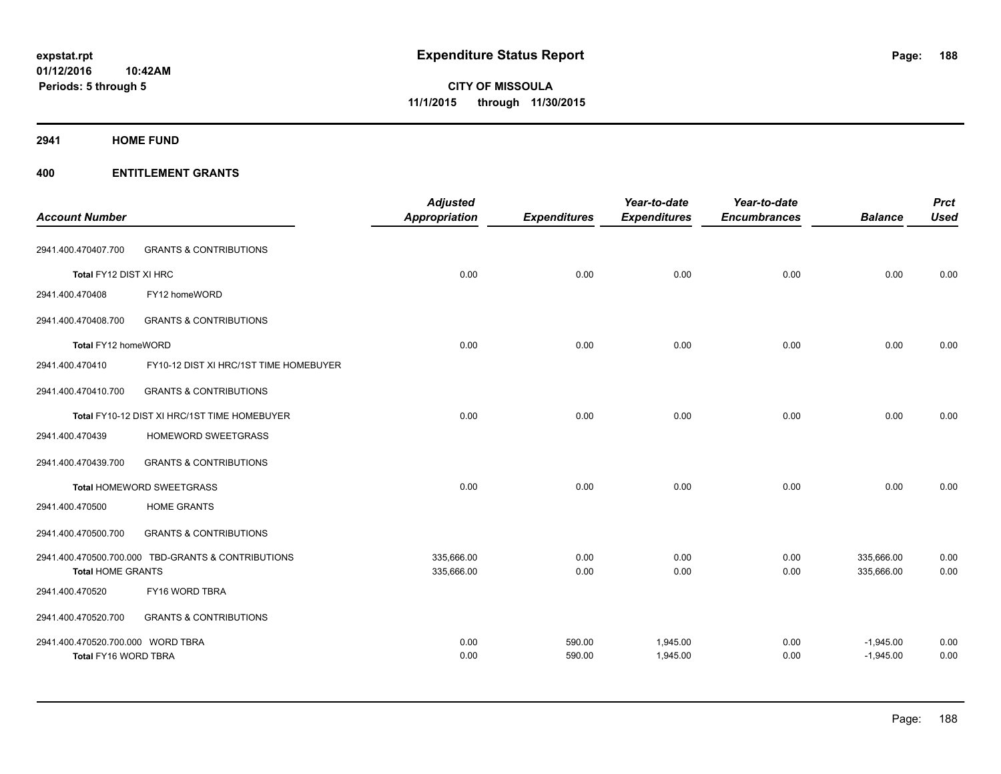**2941 HOME FUND**

| <b>Account Number</b>             |                                                    | <b>Adjusted</b><br><b>Appropriation</b> | <b>Expenditures</b> | Year-to-date<br><b>Expenditures</b> | Year-to-date<br><b>Encumbrances</b> | <b>Balance</b> | <b>Prct</b><br><b>Used</b> |
|-----------------------------------|----------------------------------------------------|-----------------------------------------|---------------------|-------------------------------------|-------------------------------------|----------------|----------------------------|
| 2941.400.470407.700               | <b>GRANTS &amp; CONTRIBUTIONS</b>                  |                                         |                     |                                     |                                     |                |                            |
| Total FY12 DIST XI HRC            |                                                    | 0.00                                    | 0.00                | 0.00                                | 0.00                                | 0.00           | 0.00                       |
| 2941.400.470408                   | FY12 homeWORD                                      |                                         |                     |                                     |                                     |                |                            |
| 2941.400.470408.700               | <b>GRANTS &amp; CONTRIBUTIONS</b>                  |                                         |                     |                                     |                                     |                |                            |
| Total FY12 homeWORD               |                                                    | 0.00                                    | 0.00                | 0.00                                | 0.00                                | 0.00           | 0.00                       |
| 2941.400.470410                   | FY10-12 DIST XI HRC/1ST TIME HOMEBUYER             |                                         |                     |                                     |                                     |                |                            |
| 2941.400.470410.700               | <b>GRANTS &amp; CONTRIBUTIONS</b>                  |                                         |                     |                                     |                                     |                |                            |
|                                   | Total FY10-12 DIST XI HRC/1ST TIME HOMEBUYER       | 0.00                                    | 0.00                | 0.00                                | 0.00                                | 0.00           | 0.00                       |
| 2941.400.470439                   | HOMEWORD SWEETGRASS                                |                                         |                     |                                     |                                     |                |                            |
| 2941.400.470439.700               | <b>GRANTS &amp; CONTRIBUTIONS</b>                  |                                         |                     |                                     |                                     |                |                            |
|                                   | <b>Total HOMEWORD SWEETGRASS</b>                   | 0.00                                    | 0.00                | 0.00                                | 0.00                                | 0.00           | 0.00                       |
| 2941.400.470500                   | <b>HOME GRANTS</b>                                 |                                         |                     |                                     |                                     |                |                            |
| 2941.400.470500.700               | <b>GRANTS &amp; CONTRIBUTIONS</b>                  |                                         |                     |                                     |                                     |                |                            |
|                                   | 2941.400.470500.700.000 TBD-GRANTS & CONTRIBUTIONS | 335,666.00                              | 0.00                | 0.00                                | 0.00                                | 335,666.00     | 0.00                       |
| <b>Total HOME GRANTS</b>          |                                                    | 335,666.00                              | 0.00                | 0.00                                | 0.00                                | 335,666.00     | 0.00                       |
| 2941.400.470520                   | FY16 WORD TBRA                                     |                                         |                     |                                     |                                     |                |                            |
| 2941.400.470520.700               | <b>GRANTS &amp; CONTRIBUTIONS</b>                  |                                         |                     |                                     |                                     |                |                            |
| 2941.400.470520.700.000 WORD TBRA |                                                    | 0.00                                    | 590.00              | 1,945.00                            | 0.00                                | $-1,945.00$    | 0.00                       |
| Total FY16 WORD TBRA              |                                                    | 0.00                                    | 590.00              | 1,945.00                            | 0.00                                | $-1,945.00$    | 0.00                       |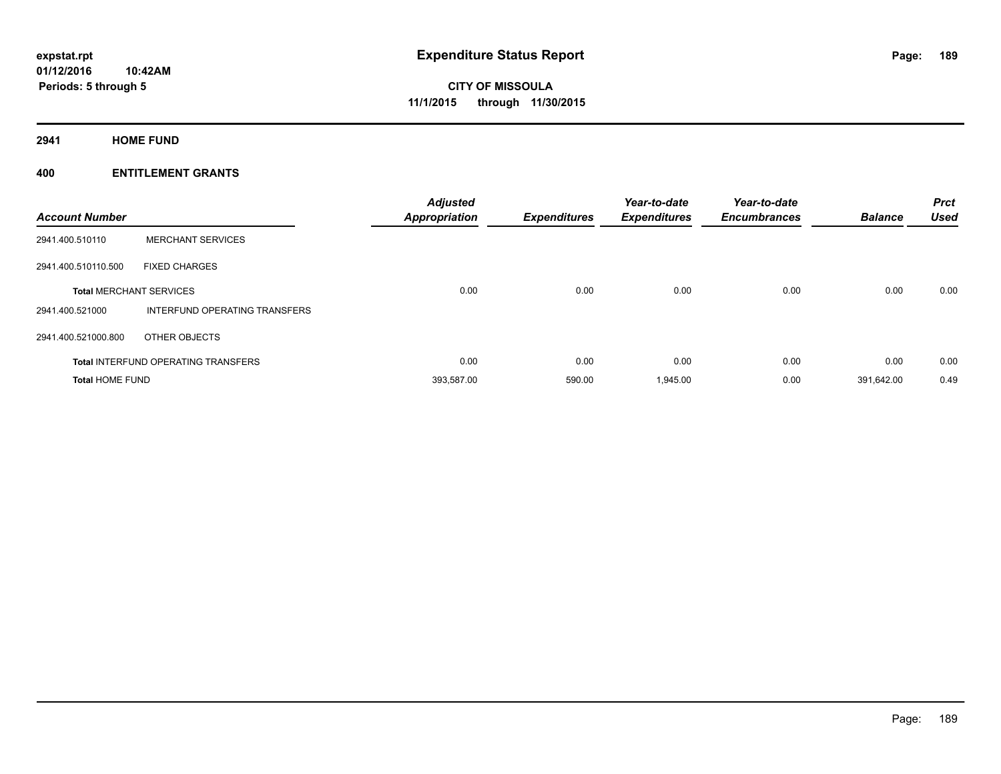**2941 HOME FUND**

| <b>Account Number</b>  |                                            | <b>Adjusted</b><br>Appropriation | <b>Expenditures</b> | Year-to-date<br><b>Expenditures</b> | Year-to-date<br><b>Encumbrances</b> | <b>Balance</b> | <b>Prct</b><br><b>Used</b> |
|------------------------|--------------------------------------------|----------------------------------|---------------------|-------------------------------------|-------------------------------------|----------------|----------------------------|
| 2941.400.510110        | <b>MERCHANT SERVICES</b>                   |                                  |                     |                                     |                                     |                |                            |
| 2941.400.510110.500    | <b>FIXED CHARGES</b>                       |                                  |                     |                                     |                                     |                |                            |
|                        | <b>Total MERCHANT SERVICES</b>             | 0.00                             | 0.00                | 0.00                                | 0.00                                | 0.00           | 0.00                       |
| 2941.400.521000        | INTERFUND OPERATING TRANSFERS              |                                  |                     |                                     |                                     |                |                            |
| 2941.400.521000.800    | OTHER OBJECTS                              |                                  |                     |                                     |                                     |                |                            |
|                        | <b>Total INTERFUND OPERATING TRANSFERS</b> | 0.00                             | 0.00                | 0.00                                | 0.00                                | 0.00           | 0.00                       |
| <b>Total HOME FUND</b> |                                            | 393,587.00                       | 590.00              | 1,945.00                            | 0.00                                | 391.642.00     | 0.49                       |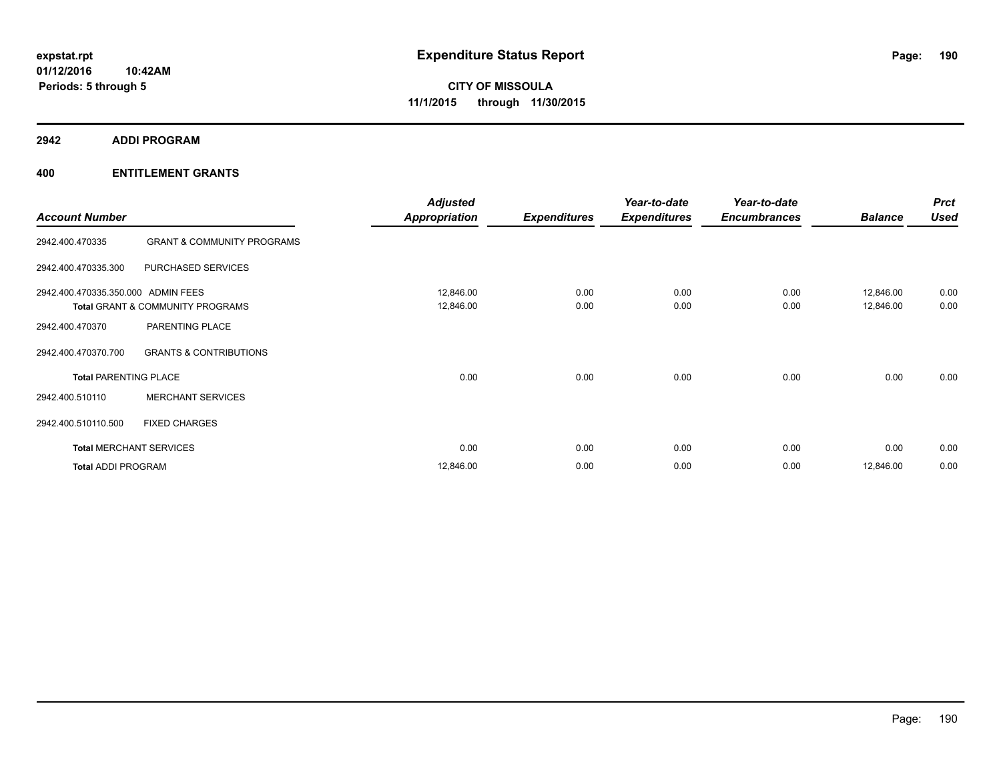**2942 ADDI PROGRAM**

| <b>Account Number</b>              |                                       | <b>Adjusted</b><br><b>Appropriation</b> | <b>Expenditures</b> | Year-to-date<br><b>Expenditures</b> | Year-to-date<br><b>Encumbrances</b> | <b>Balance</b>         | <b>Prct</b><br><b>Used</b> |
|------------------------------------|---------------------------------------|-----------------------------------------|---------------------|-------------------------------------|-------------------------------------|------------------------|----------------------------|
| 2942.400.470335                    | <b>GRANT &amp; COMMUNITY PROGRAMS</b> |                                         |                     |                                     |                                     |                        |                            |
| 2942.400.470335.300                | PURCHASED SERVICES                    |                                         |                     |                                     |                                     |                        |                            |
| 2942.400.470335.350.000 ADMIN FEES | Total GRANT & COMMUNITY PROGRAMS      | 12,846.00<br>12,846.00                  | 0.00<br>0.00        | 0.00<br>0.00                        | 0.00<br>0.00                        | 12,846.00<br>12,846.00 | 0.00<br>0.00               |
| 2942.400.470370                    | PARENTING PLACE                       |                                         |                     |                                     |                                     |                        |                            |
| 2942.400.470370.700                | <b>GRANTS &amp; CONTRIBUTIONS</b>     |                                         |                     |                                     |                                     |                        |                            |
| <b>Total PARENTING PLACE</b>       |                                       | 0.00                                    | 0.00                | 0.00                                | 0.00                                | 0.00                   | 0.00                       |
| 2942.400.510110                    | <b>MERCHANT SERVICES</b>              |                                         |                     |                                     |                                     |                        |                            |
| 2942.400.510110.500                | <b>FIXED CHARGES</b>                  |                                         |                     |                                     |                                     |                        |                            |
|                                    | <b>Total MERCHANT SERVICES</b>        | 0.00                                    | 0.00                | 0.00                                | 0.00                                | 0.00                   | 0.00                       |
| <b>Total ADDI PROGRAM</b>          |                                       | 12,846.00                               | 0.00                | 0.00                                | 0.00                                | 12,846.00              | 0.00                       |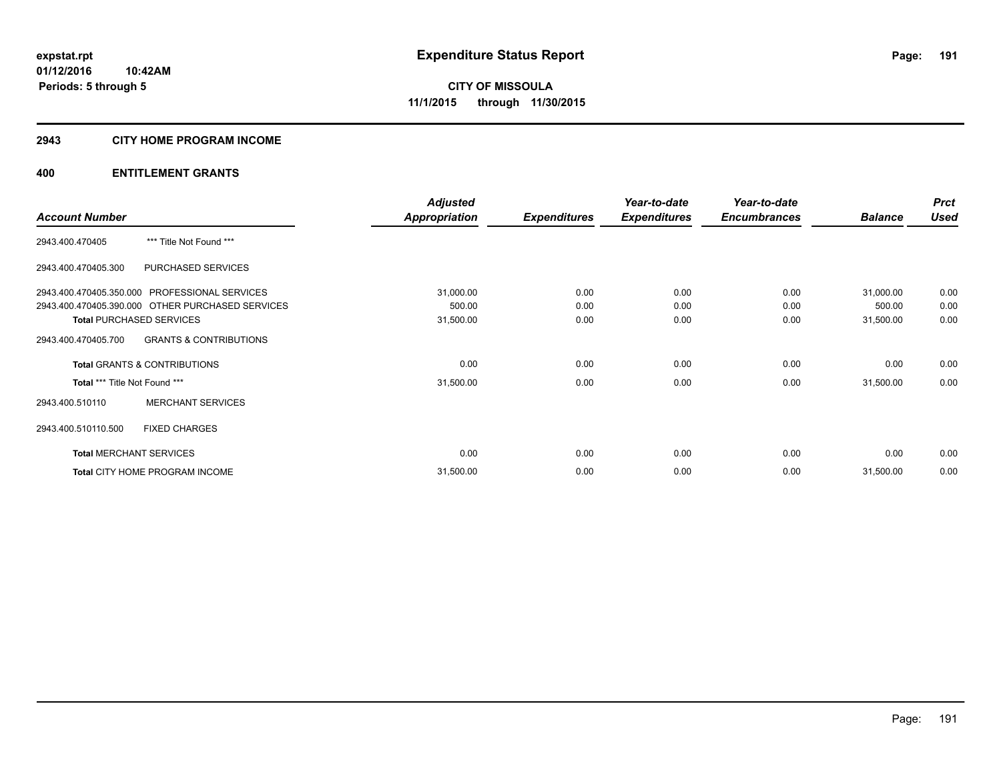#### **2943 CITY HOME PROGRAM INCOME**

|                                                  |                                   | <b>Adjusted</b>      |                     | Year-to-date        | Year-to-date        |                | <b>Prct</b> |
|--------------------------------------------------|-----------------------------------|----------------------|---------------------|---------------------|---------------------|----------------|-------------|
| <b>Account Number</b>                            |                                   | <b>Appropriation</b> | <b>Expenditures</b> | <b>Expenditures</b> | <b>Encumbrances</b> | <b>Balance</b> | <b>Used</b> |
| 2943.400.470405                                  | *** Title Not Found ***           |                      |                     |                     |                     |                |             |
| 2943.400.470405.300                              | PURCHASED SERVICES                |                      |                     |                     |                     |                |             |
| 2943.400.470405.350.000 PROFESSIONAL SERVICES    |                                   | 31,000.00            | 0.00                | 0.00                | 0.00                | 31,000.00      | 0.00        |
| 2943.400.470405.390.000 OTHER PURCHASED SERVICES |                                   | 500.00               | 0.00                | 0.00                | 0.00                | 500.00         | 0.00        |
| <b>Total PURCHASED SERVICES</b>                  |                                   | 31,500.00            | 0.00                | 0.00                | 0.00                | 31,500.00      | 0.00        |
| 2943.400.470405.700                              | <b>GRANTS &amp; CONTRIBUTIONS</b> |                      |                     |                     |                     |                |             |
| <b>Total GRANTS &amp; CONTRIBUTIONS</b>          |                                   | 0.00                 | 0.00                | 0.00                | 0.00                | 0.00           | 0.00        |
| Total *** Title Not Found ***                    |                                   | 31,500.00            | 0.00                | 0.00                | 0.00                | 31,500.00      | 0.00        |
| 2943.400.510110                                  | <b>MERCHANT SERVICES</b>          |                      |                     |                     |                     |                |             |
| <b>FIXED CHARGES</b><br>2943.400.510110.500      |                                   |                      |                     |                     |                     |                |             |
| <b>Total MERCHANT SERVICES</b>                   |                                   | 0.00                 | 0.00                | 0.00                | 0.00                | 0.00           | 0.00        |
| Total CITY HOME PROGRAM INCOME                   |                                   | 31,500.00            | 0.00                | 0.00                | 0.00                | 31,500.00      | 0.00        |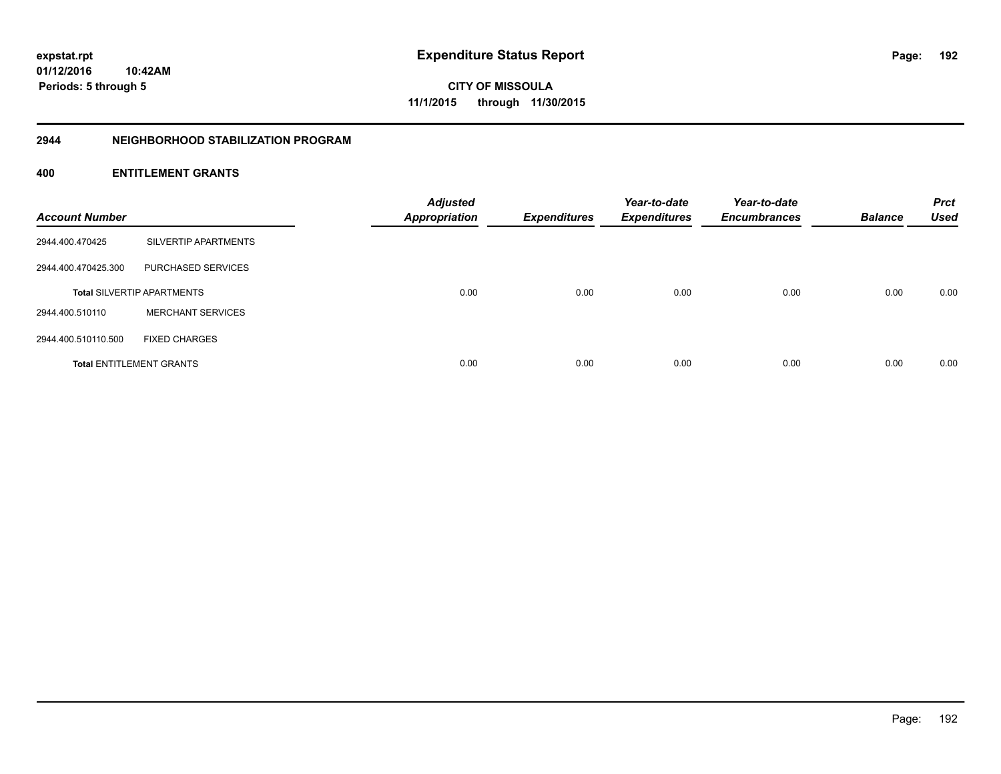**CITY OF MISSOULA 11/1/2015 through 11/30/2015**

#### **2944 NEIGHBORHOOD STABILIZATION PROGRAM**

| <b>Account Number</b> |                                   | <b>Adjusted</b><br><b>Appropriation</b> | <b>Expenditures</b> | Year-to-date<br><b>Expenditures</b> | Year-to-date<br><b>Encumbrances</b> | <b>Balance</b> | <b>Prct</b><br><b>Used</b> |
|-----------------------|-----------------------------------|-----------------------------------------|---------------------|-------------------------------------|-------------------------------------|----------------|----------------------------|
| 2944.400.470425       | SILVERTIP APARTMENTS              |                                         |                     |                                     |                                     |                |                            |
| 2944.400.470425.300   | PURCHASED SERVICES                |                                         |                     |                                     |                                     |                |                            |
|                       | <b>Total SILVERTIP APARTMENTS</b> | 0.00                                    | 0.00                | 0.00                                | 0.00                                | 0.00           | 0.00                       |
| 2944.400.510110       | <b>MERCHANT SERVICES</b>          |                                         |                     |                                     |                                     |                |                            |
| 2944.400.510110.500   | <b>FIXED CHARGES</b>              |                                         |                     |                                     |                                     |                |                            |
|                       | <b>Total ENTITLEMENT GRANTS</b>   | 0.00                                    | 0.00                | 0.00                                | 0.00                                | 0.00           | 0.00                       |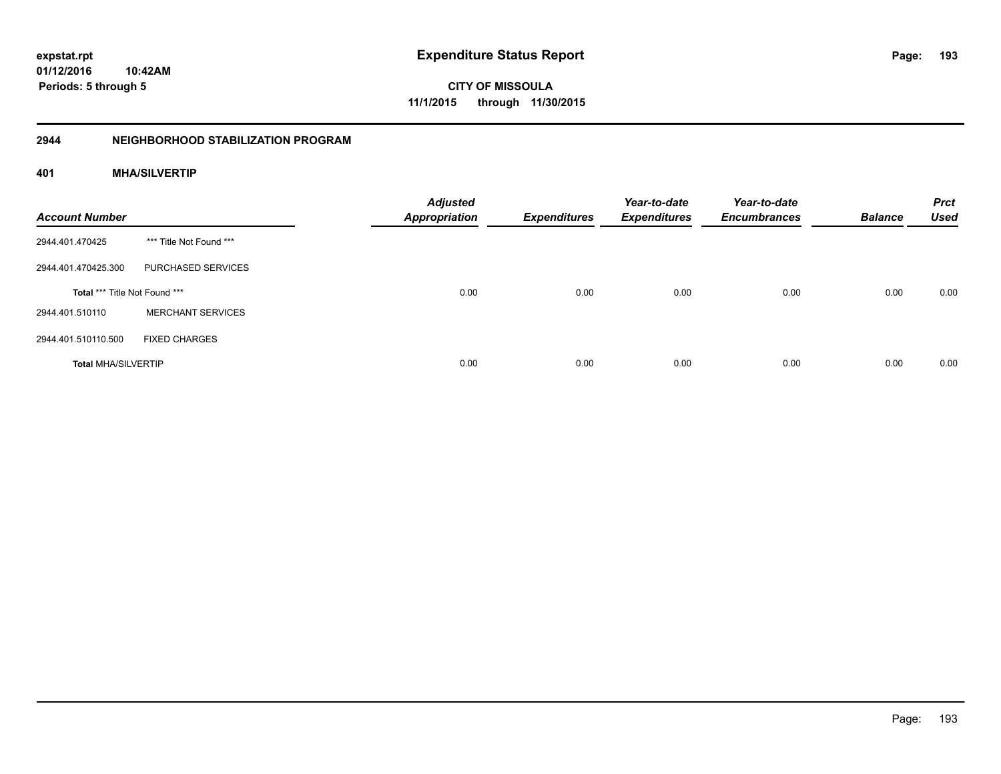**CITY OF MISSOULA 11/1/2015 through 11/30/2015**

# **2944 NEIGHBORHOOD STABILIZATION PROGRAM**

# **401 MHA/SILVERTIP**

| <b>Account Number</b>         |                          | <b>Adjusted</b><br><b>Appropriation</b> | <b>Expenditures</b> | Year-to-date<br><b>Expenditures</b> | Year-to-date<br><b>Encumbrances</b> | <b>Balance</b> | <b>Prct</b><br><b>Used</b> |
|-------------------------------|--------------------------|-----------------------------------------|---------------------|-------------------------------------|-------------------------------------|----------------|----------------------------|
| 2944.401.470425               | *** Title Not Found ***  |                                         |                     |                                     |                                     |                |                            |
| 2944.401.470425.300           | PURCHASED SERVICES       |                                         |                     |                                     |                                     |                |                            |
| Total *** Title Not Found *** |                          | 0.00                                    | 0.00                | 0.00                                | 0.00                                | 0.00           | 0.00                       |
| 2944.401.510110               | <b>MERCHANT SERVICES</b> |                                         |                     |                                     |                                     |                |                            |
| 2944.401.510110.500           | <b>FIXED CHARGES</b>     |                                         |                     |                                     |                                     |                |                            |
| <b>Total MHA/SILVERTIP</b>    |                          | 0.00                                    | 0.00                | 0.00                                | 0.00                                | 0.00           | 0.00                       |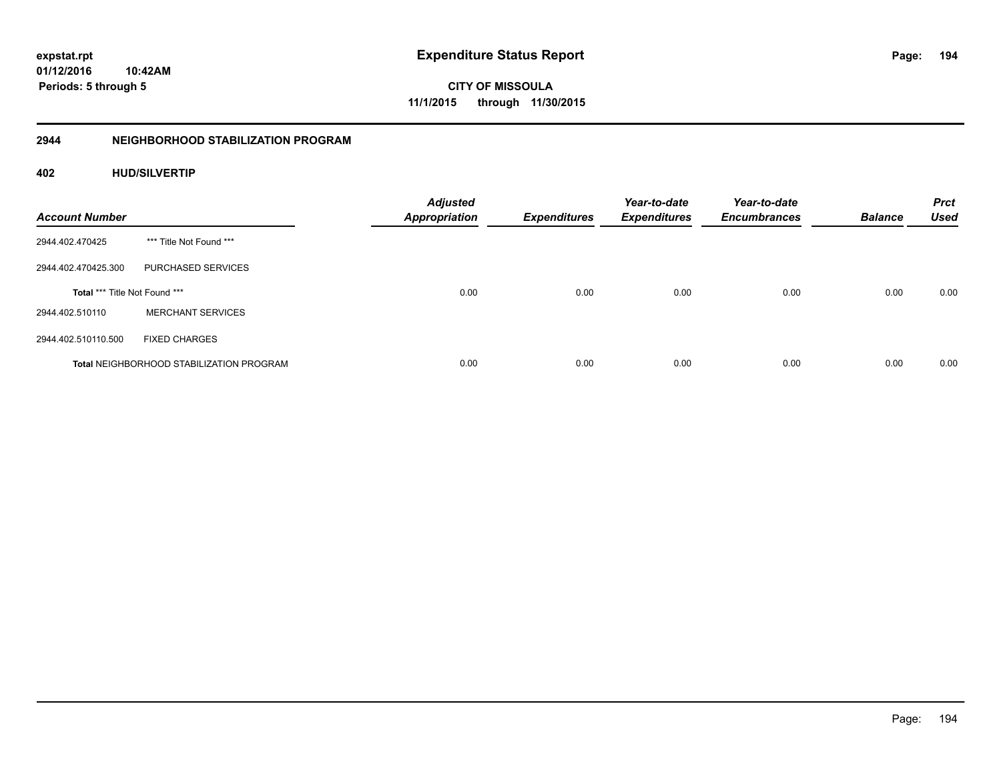**CITY OF MISSOULA 11/1/2015 through 11/30/2015**

# **2944 NEIGHBORHOOD STABILIZATION PROGRAM**

# **402 HUD/SILVERTIP**

| <b>Account Number</b>         |                                                 | <b>Adjusted</b><br><b>Appropriation</b> | <b>Expenditures</b> | Year-to-date<br><b>Expenditures</b> | Year-to-date<br><b>Encumbrances</b> | <b>Balance</b> | <b>Prct</b><br><b>Used</b> |
|-------------------------------|-------------------------------------------------|-----------------------------------------|---------------------|-------------------------------------|-------------------------------------|----------------|----------------------------|
| 2944.402.470425               | *** Title Not Found ***                         |                                         |                     |                                     |                                     |                |                            |
| 2944.402.470425.300           | PURCHASED SERVICES                              |                                         |                     |                                     |                                     |                |                            |
| Total *** Title Not Found *** |                                                 | 0.00                                    | 0.00                | 0.00                                | 0.00                                | 0.00           | 0.00                       |
| 2944.402.510110               | <b>MERCHANT SERVICES</b>                        |                                         |                     |                                     |                                     |                |                            |
| 2944.402.510110.500           | <b>FIXED CHARGES</b>                            |                                         |                     |                                     |                                     |                |                            |
|                               | <b>Total NEIGHBORHOOD STABILIZATION PROGRAM</b> | 0.00                                    | 0.00                | 0.00                                | 0.00                                | 0.00           | 0.00                       |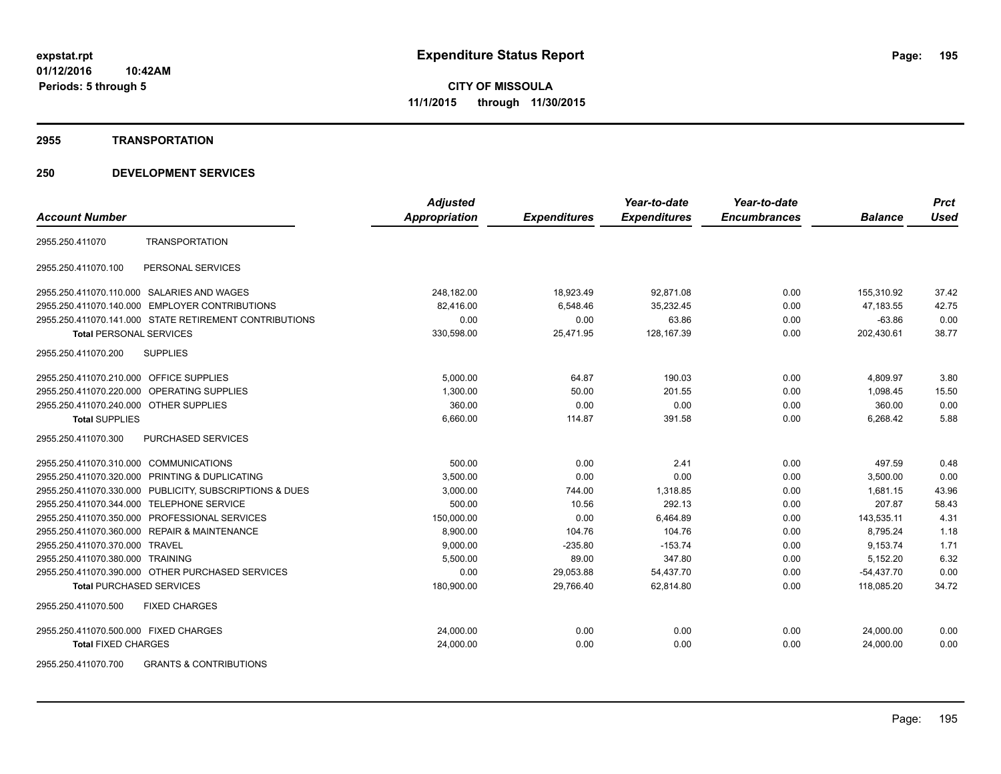#### **2955 TRANSPORTATION**

# **250 DEVELOPMENT SERVICES**

|                                                          | <b>Adjusted</b> |                     | Year-to-date        | Year-to-date        |                | <b>Prct</b> |
|----------------------------------------------------------|-----------------|---------------------|---------------------|---------------------|----------------|-------------|
| <b>Account Number</b>                                    | Appropriation   | <b>Expenditures</b> | <b>Expenditures</b> | <b>Encumbrances</b> | <b>Balance</b> | <b>Used</b> |
| <b>TRANSPORTATION</b><br>2955.250.411070                 |                 |                     |                     |                     |                |             |
| 2955.250.411070.100<br>PERSONAL SERVICES                 |                 |                     |                     |                     |                |             |
| 2955.250.411070.110.000 SALARIES AND WAGES               | 248.182.00      | 18,923.49           | 92,871.08           | 0.00                | 155.310.92     | 37.42       |
| <b>EMPLOYER CONTRIBUTIONS</b><br>2955.250.411070.140.000 | 82,416.00       | 6,548.46            | 35,232.45           | 0.00                | 47,183.55      | 42.75       |
| 2955.250.411070.141.000 STATE RETIREMENT CONTRIBUTIONS   | 0.00            | 0.00                | 63.86               | 0.00                | $-63.86$       | 0.00        |
| <b>Total PERSONAL SERVICES</b>                           | 330,598.00      | 25,471.95           | 128, 167.39         | 0.00                | 202,430.61     | 38.77       |
| 2955.250.411070.200<br><b>SUPPLIES</b>                   |                 |                     |                     |                     |                |             |
| 2955.250.411070.210.000 OFFICE SUPPLIES                  | 5,000.00        | 64.87               | 190.03              | 0.00                | 4,809.97       | 3.80        |
| 2955.250.411070.220.000 OPERATING SUPPLIES               | 1,300.00        | 50.00               | 201.55              | 0.00                | 1,098.45       | 15.50       |
| 2955.250.411070.240.000 OTHER SUPPLIES                   | 360.00          | 0.00                | 0.00                | 0.00                | 360.00         | 0.00        |
| <b>Total SUPPLIES</b>                                    | 6,660.00        | 114.87              | 391.58              | 0.00                | 6,268.42       | 5.88        |
| <b>PURCHASED SERVICES</b><br>2955.250.411070.300         |                 |                     |                     |                     |                |             |
| 2955.250.411070.310.000 COMMUNICATIONS                   | 500.00          | 0.00                | 2.41                | 0.00                | 497.59         | 0.48        |
| 2955.250.411070.320.000<br>PRINTING & DUPLICATING        | 3,500.00        | 0.00                | 0.00                | 0.00                | 3,500.00       | 0.00        |
| 2955.250.411070.330.000 PUBLICITY, SUBSCRIPTIONS & DUES  | 3,000.00        | 744.00              | 1,318.85            | 0.00                | 1,681.15       | 43.96       |
| 2955.250.411070.344.000 TELEPHONE SERVICE                | 500.00          | 10.56               | 292.13              | 0.00                | 207.87         | 58.43       |
| PROFESSIONAL SERVICES<br>2955.250.411070.350.000         | 150,000.00      | 0.00                | 6,464.89            | 0.00                | 143,535.11     | 4.31        |
| 2955.250.411070.360.000 REPAIR & MAINTENANCE             | 8,900.00        | 104.76              | 104.76              | 0.00                | 8,795.24       | 1.18        |
| 2955.250.411070.370.000 TRAVEL                           | 9,000.00        | $-235.80$           | $-153.74$           | 0.00                | 9,153.74       | 1.71        |
| 2955.250.411070.380.000 TRAINING                         | 5,500.00        | 89.00               | 347.80              | 0.00                | 5,152.20       | 6.32        |
| 2955.250.411070.390.000 OTHER PURCHASED SERVICES         | 0.00            | 29,053.88           | 54,437.70           | 0.00                | $-54,437.70$   | 0.00        |
| <b>Total PURCHASED SERVICES</b>                          | 180,900.00      | 29,766.40           | 62,814.80           | 0.00                | 118,085.20     | 34.72       |
| 2955.250.411070.500<br><b>FIXED CHARGES</b>              |                 |                     |                     |                     |                |             |
| 2955.250.411070.500.000 FIXED CHARGES                    | 24,000.00       | 0.00                | 0.00                | 0.00                | 24,000.00      | 0.00        |
| <b>Total FIXED CHARGES</b>                               | 24,000.00       | 0.00                | 0.00                | 0.00                | 24,000.00      | 0.00        |
| $\cdots$                                                 |                 |                     |                     |                     |                |             |

2955.250.411070.700 GRANTS & CONTRIBUTIONS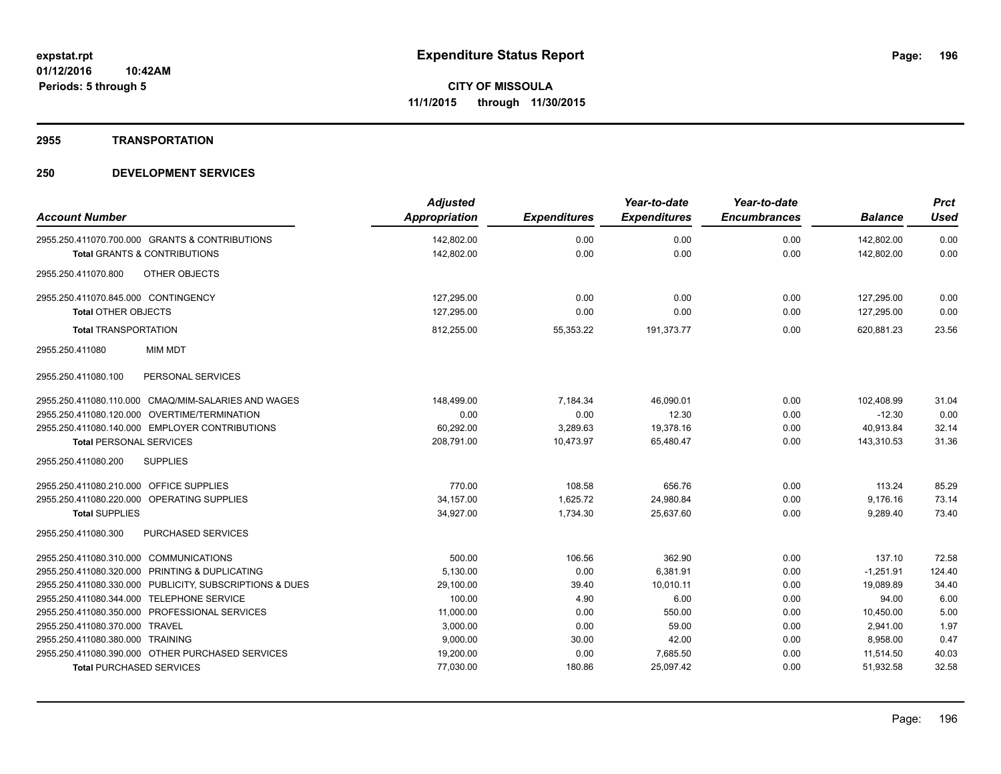**2955 TRANSPORTATION**

| <b>Account Number</b>                                                                     | <b>Adjusted</b><br>Appropriation | <b>Expenditures</b> | Year-to-date<br><b>Expenditures</b> | Year-to-date<br><b>Encumbrances</b> | <b>Balance</b>           | <b>Prct</b><br><b>Used</b> |
|-------------------------------------------------------------------------------------------|----------------------------------|---------------------|-------------------------------------|-------------------------------------|--------------------------|----------------------------|
|                                                                                           |                                  |                     |                                     |                                     |                          |                            |
| 2955.250.411070.700.000 GRANTS & CONTRIBUTIONS<br><b>Total GRANTS &amp; CONTRIBUTIONS</b> | 142,802.00<br>142,802.00         | 0.00<br>0.00        | 0.00<br>0.00                        | 0.00<br>0.00                        | 142,802.00<br>142,802.00 | 0.00<br>0.00               |
|                                                                                           |                                  |                     |                                     |                                     |                          |                            |
| <b>OTHER OBJECTS</b><br>2955.250.411070.800                                               |                                  |                     |                                     |                                     |                          |                            |
| 2955.250.411070.845.000 CONTINGENCY                                                       | 127,295.00                       | 0.00                | 0.00                                | 0.00                                | 127,295.00               | 0.00                       |
| <b>Total OTHER OBJECTS</b>                                                                | 127.295.00                       | 0.00                | 0.00                                | 0.00                                | 127,295.00               | 0.00                       |
| <b>Total TRANSPORTATION</b>                                                               | 812,255.00                       | 55,353.22           | 191,373.77                          | 0.00                                | 620.881.23               | 23.56                      |
| <b>MIM MDT</b><br>2955.250.411080                                                         |                                  |                     |                                     |                                     |                          |                            |
| PERSONAL SERVICES<br>2955.250.411080.100                                                  |                                  |                     |                                     |                                     |                          |                            |
| 2955.250.411080.110.000 CMAQ/MIM-SALARIES AND WAGES                                       | 148,499.00                       | 7,184.34            | 46,090.01                           | 0.00                                | 102,408.99               | 31.04                      |
| 2955.250.411080.120.000 OVERTIME/TERMINATION                                              | 0.00                             | 0.00                | 12.30                               | 0.00                                | $-12.30$                 | 0.00                       |
| 2955.250.411080.140.000 EMPLOYER CONTRIBUTIONS                                            | 60,292.00                        | 3,289.63            | 19,378.16                           | 0.00                                | 40,913.84                | 32.14                      |
| <b>Total PERSONAL SERVICES</b>                                                            | 208,791.00                       | 10,473.97           | 65,480.47                           | 0.00                                | 143,310.53               | 31.36                      |
| 2955.250.411080.200<br><b>SUPPLIES</b>                                                    |                                  |                     |                                     |                                     |                          |                            |
| 2955.250.411080.210.000 OFFICE SUPPLIES                                                   | 770.00                           | 108.58              | 656.76                              | 0.00                                | 113.24                   | 85.29                      |
| 2955.250.411080.220.000 OPERATING SUPPLIES                                                | 34,157.00                        | 1,625.72            | 24,980.84                           | 0.00                                | 9,176.16                 | 73.14                      |
| <b>Total SUPPLIES</b>                                                                     | 34,927.00                        | 1,734.30            | 25,637.60                           | 0.00                                | 9,289.40                 | 73.40                      |
| 2955.250.411080.300<br><b>PURCHASED SERVICES</b>                                          |                                  |                     |                                     |                                     |                          |                            |
| <b>COMMUNICATIONS</b><br>2955.250.411080.310.000                                          | 500.00                           | 106.56              | 362.90                              | 0.00                                | 137.10                   | 72.58                      |
| PRINTING & DUPLICATING<br>2955.250.411080.320.000                                         | 5,130.00                         | 0.00                | 6,381.91                            | 0.00                                | $-1,251.91$              | 124.40                     |
| PUBLICITY, SUBSCRIPTIONS & DUES<br>2955.250.411080.330.000                                | 29,100.00                        | 39.40               | 10,010.11                           | 0.00                                | 19,089.89                | 34.40                      |
| 2955.250.411080.344.000 TELEPHONE SERVICE                                                 | 100.00                           | 4.90                | 6.00                                | 0.00                                | 94.00                    | 6.00                       |
| 2955.250.411080.350.000 PROFESSIONAL SERVICES                                             | 11,000.00                        | 0.00                | 550.00                              | 0.00                                | 10,450.00                | 5.00                       |
| 2955.250.411080.370.000 TRAVEL                                                            | 3,000.00                         | 0.00                | 59.00                               | 0.00                                | 2,941.00                 | 1.97                       |
| 2955.250.411080.380.000 TRAINING                                                          | 9,000.00                         | 30.00               | 42.00                               | 0.00                                | 8,958.00                 | 0.47                       |
| 2955.250.411080.390.000 OTHER PURCHASED SERVICES                                          | 19,200.00                        | 0.00                | 7,685.50                            | 0.00                                | 11,514.50                | 40.03                      |
| <b>Total PURCHASED SERVICES</b>                                                           | 77,030.00                        | 180.86              | 25,097.42                           | 0.00                                | 51,932.58                | 32.58                      |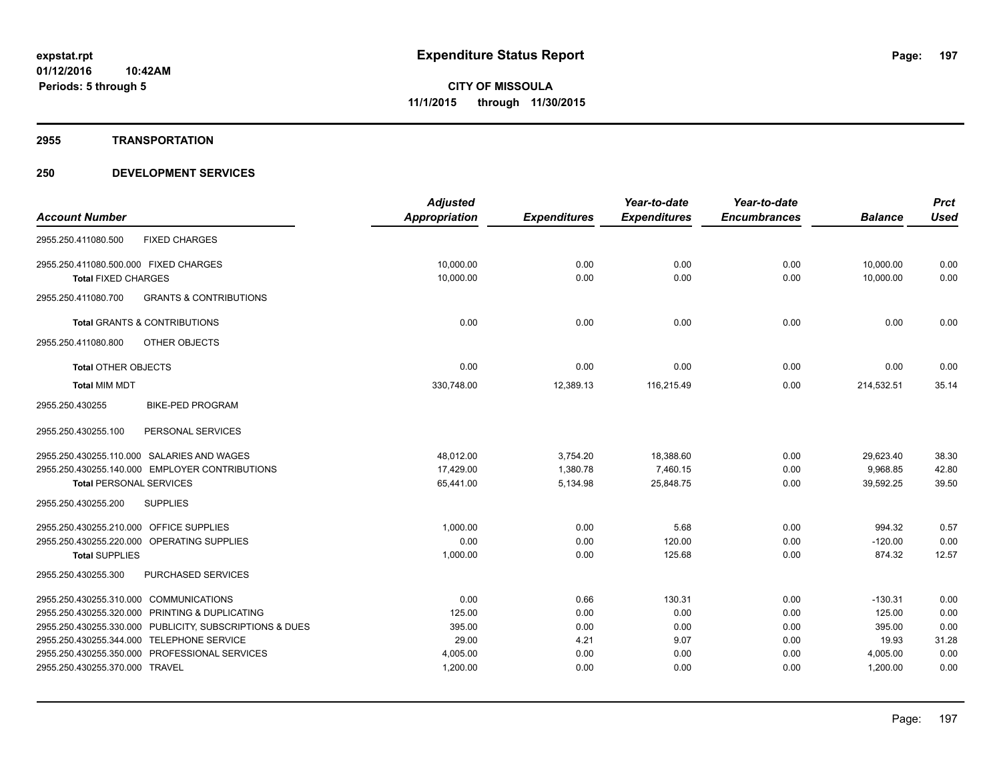**2955 TRANSPORTATION**

|                                                          | <b>Adjusted</b>      |                     | Year-to-date        | Year-to-date        |                | <b>Prct</b> |
|----------------------------------------------------------|----------------------|---------------------|---------------------|---------------------|----------------|-------------|
| <b>Account Number</b>                                    | <b>Appropriation</b> | <b>Expenditures</b> | <b>Expenditures</b> | <b>Encumbrances</b> | <b>Balance</b> | <b>Used</b> |
| 2955.250.411080.500<br><b>FIXED CHARGES</b>              |                      |                     |                     |                     |                |             |
| 2955.250.411080.500.000 FIXED CHARGES                    | 10,000.00            | 0.00                | 0.00                | 0.00                | 10,000.00      | 0.00        |
| <b>Total FIXED CHARGES</b>                               | 10,000.00            | 0.00                | 0.00                | 0.00                | 10,000.00      | 0.00        |
| 2955.250.411080.700<br><b>GRANTS &amp; CONTRIBUTIONS</b> |                      |                     |                     |                     |                |             |
| <b>Total GRANTS &amp; CONTRIBUTIONS</b>                  | 0.00                 | 0.00                | 0.00                | 0.00                | 0.00           | 0.00        |
| <b>OTHER OBJECTS</b><br>2955.250.411080.800              |                      |                     |                     |                     |                |             |
| <b>Total OTHER OBJECTS</b>                               | 0.00                 | 0.00                | 0.00                | 0.00                | 0.00           | 0.00        |
| <b>Total MIM MDT</b>                                     | 330,748.00           | 12,389.13           | 116,215.49          | 0.00                | 214,532.51     | 35.14       |
| 2955.250.430255<br><b>BIKE-PED PROGRAM</b>               |                      |                     |                     |                     |                |             |
| PERSONAL SERVICES<br>2955.250.430255.100                 |                      |                     |                     |                     |                |             |
| 2955.250.430255.110.000 SALARIES AND WAGES               | 48.012.00            | 3,754.20            | 18,388.60           | 0.00                | 29,623.40      | 38.30       |
| 2955.250.430255.140.000 EMPLOYER CONTRIBUTIONS           | 17,429.00            | 1,380.78            | 7,460.15            | 0.00                | 9,968.85       | 42.80       |
| <b>Total PERSONAL SERVICES</b>                           | 65,441.00            | 5,134.98            | 25,848.75           | 0.00                | 39,592.25      | 39.50       |
| 2955.250.430255.200<br><b>SUPPLIES</b>                   |                      |                     |                     |                     |                |             |
| 2955.250.430255.210.000 OFFICE SUPPLIES                  | 1,000.00             | 0.00                | 5.68                | 0.00                | 994.32         | 0.57        |
| 2955.250.430255.220.000 OPERATING SUPPLIES               | 0.00                 | 0.00                | 120.00              | 0.00                | $-120.00$      | 0.00        |
| <b>Total SUPPLIES</b>                                    | 1,000.00             | 0.00                | 125.68              | 0.00                | 874.32         | 12.57       |
| 2955.250.430255.300<br>PURCHASED SERVICES                |                      |                     |                     |                     |                |             |
| 2955.250.430255.310.000 COMMUNICATIONS                   | 0.00                 | 0.66                | 130.31              | 0.00                | $-130.31$      | 0.00        |
| 2955.250.430255.320.000 PRINTING & DUPLICATING           | 125.00               | 0.00                | 0.00                | 0.00                | 125.00         | 0.00        |
| 2955.250.430255.330.000 PUBLICITY, SUBSCRIPTIONS & DUES  | 395.00               | 0.00                | 0.00                | 0.00                | 395.00         | 0.00        |
| 2955.250.430255.344.000 TELEPHONE SERVICE                | 29.00                | 4.21                | 9.07                | 0.00                | 19.93          | 31.28       |
| 2955.250.430255.350.000 PROFESSIONAL SERVICES            | 4,005.00             | 0.00                | 0.00                | 0.00                | 4,005.00       | 0.00        |
| 2955.250.430255.370.000 TRAVEL                           | 1,200.00             | 0.00                | 0.00                | 0.00                | 1,200.00       | 0.00        |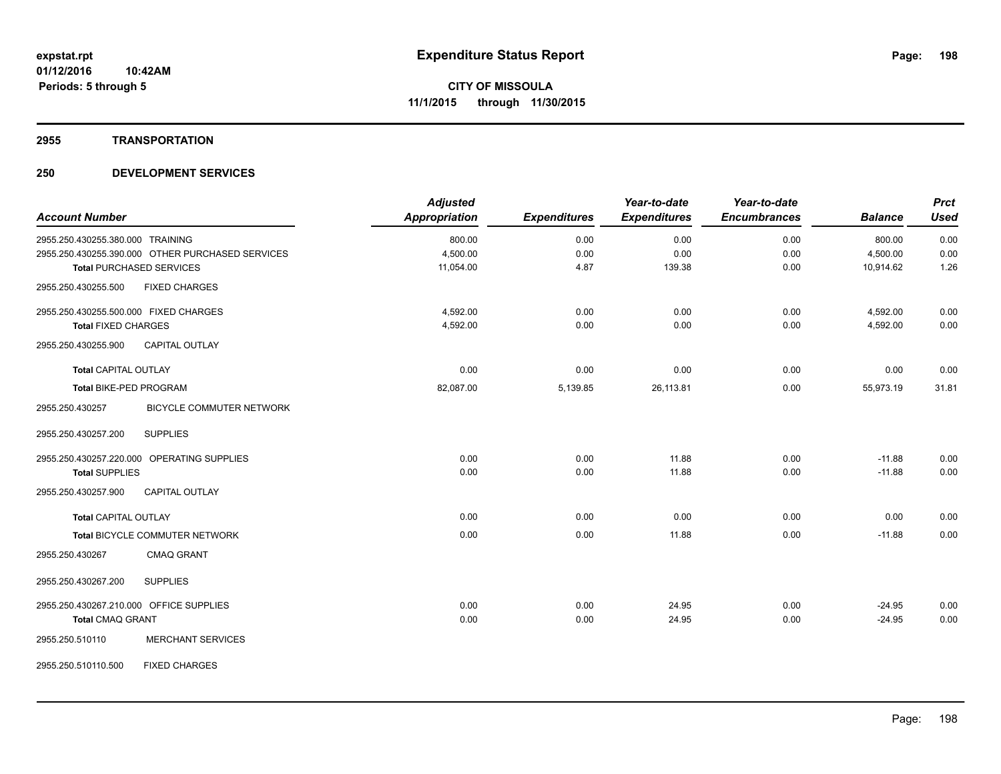#### **2955 TRANSPORTATION**

| <b>Account Number</b>                                                                | <b>Adjusted</b><br>Appropriation | <b>Expenditures</b> | Year-to-date<br><b>Expenditures</b> | Year-to-date<br><b>Encumbrances</b> | <b>Balance</b>        | <b>Prct</b><br><b>Used</b> |
|--------------------------------------------------------------------------------------|----------------------------------|---------------------|-------------------------------------|-------------------------------------|-----------------------|----------------------------|
|                                                                                      |                                  |                     |                                     |                                     |                       |                            |
| 2955.250.430255.380.000 TRAINING<br>2955.250.430255.390.000 OTHER PURCHASED SERVICES | 800.00                           | 0.00                | 0.00                                | 0.00                                | 800.00                | 0.00                       |
| <b>Total PURCHASED SERVICES</b>                                                      | 4,500.00<br>11,054.00            | 0.00<br>4.87        | 0.00<br>139.38                      | 0.00<br>0.00                        | 4,500.00<br>10,914.62 | 0.00<br>1.26               |
|                                                                                      |                                  |                     |                                     |                                     |                       |                            |
| <b>FIXED CHARGES</b><br>2955.250.430255.500                                          |                                  |                     |                                     |                                     |                       |                            |
| 2955.250.430255.500.000 FIXED CHARGES                                                | 4,592.00                         | 0.00                | 0.00                                | 0.00                                | 4,592.00              | 0.00                       |
| <b>Total FIXED CHARGES</b>                                                           | 4,592.00                         | 0.00                | 0.00                                | 0.00                                | 4,592.00              | 0.00                       |
| 2955.250.430255.900<br><b>CAPITAL OUTLAY</b>                                         |                                  |                     |                                     |                                     |                       |                            |
| <b>Total CAPITAL OUTLAY</b>                                                          | 0.00                             | 0.00                | 0.00                                | 0.00                                | 0.00                  | 0.00                       |
| <b>Total BIKE-PED PROGRAM</b>                                                        | 82,087.00                        | 5,139.85            | 26,113.81                           | 0.00                                | 55,973.19             | 31.81                      |
| 2955.250.430257<br><b>BICYCLE COMMUTER NETWORK</b>                                   |                                  |                     |                                     |                                     |                       |                            |
| <b>SUPPLIES</b><br>2955.250.430257.200                                               |                                  |                     |                                     |                                     |                       |                            |
| 2955.250.430257.220.000 OPERATING SUPPLIES                                           | 0.00                             | 0.00                | 11.88                               | 0.00                                | $-11.88$              | 0.00                       |
| <b>Total SUPPLIES</b>                                                                | 0.00                             | 0.00                | 11.88                               | 0.00                                | $-11.88$              | 0.00                       |
| CAPITAL OUTLAY<br>2955.250.430257.900                                                |                                  |                     |                                     |                                     |                       |                            |
| <b>Total CAPITAL OUTLAY</b>                                                          | 0.00                             | 0.00                | 0.00                                | 0.00                                | 0.00                  | 0.00                       |
| Total BICYCLE COMMUTER NETWORK                                                       | 0.00                             | 0.00                | 11.88                               | 0.00                                | $-11.88$              | 0.00                       |
| 2955.250.430267<br><b>CMAQ GRANT</b>                                                 |                                  |                     |                                     |                                     |                       |                            |
| 2955.250.430267.200<br><b>SUPPLIES</b>                                               |                                  |                     |                                     |                                     |                       |                            |
| 2955.250.430267.210.000 OFFICE SUPPLIES                                              | 0.00                             | 0.00                | 24.95                               | 0.00                                | $-24.95$              | 0.00                       |
| <b>Total CMAQ GRANT</b>                                                              | 0.00                             | 0.00                | 24.95                               | 0.00                                | $-24.95$              | 0.00                       |
| <b>MERCHANT SERVICES</b><br>2955.250.510110                                          |                                  |                     |                                     |                                     |                       |                            |
| <b>FIXED CHARGES</b><br>2955.250.510110.500                                          |                                  |                     |                                     |                                     |                       |                            |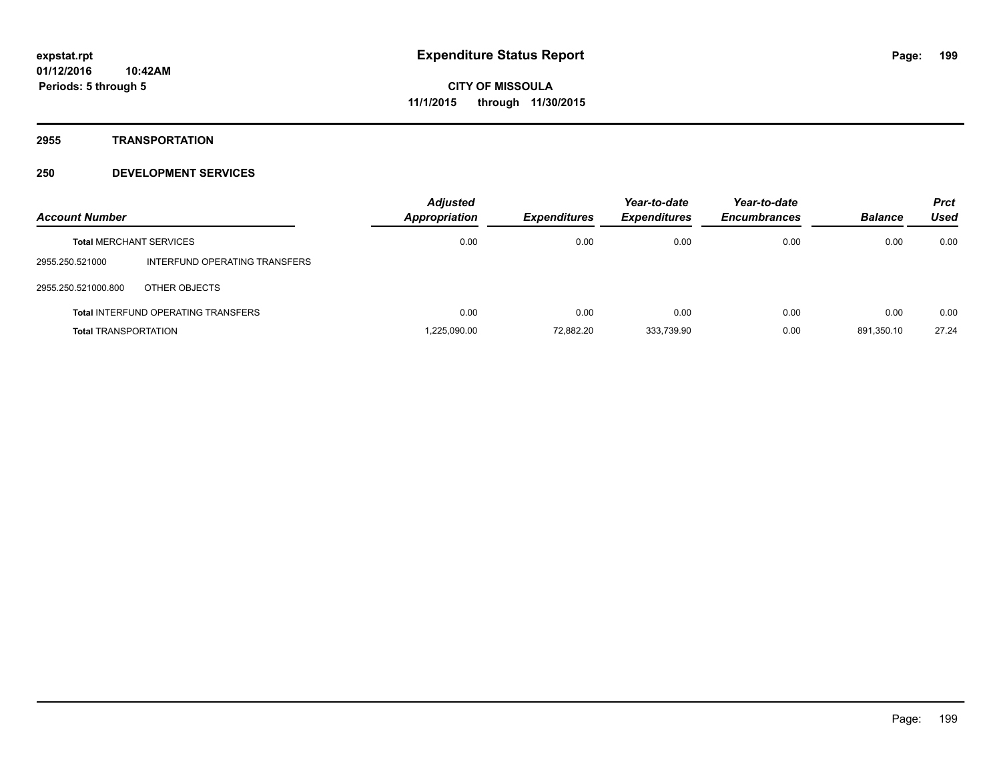**2955 TRANSPORTATION**

| <b>Account Number</b>          |                                            | <b>Adjusted</b><br>Appropriation | <b>Expenditures</b> | Year-to-date<br><b>Expenditures</b> | Year-to-date<br><b>Encumbrances</b> | <b>Balance</b> | <b>Prct</b><br>Used |
|--------------------------------|--------------------------------------------|----------------------------------|---------------------|-------------------------------------|-------------------------------------|----------------|---------------------|
| <b>Total MERCHANT SERVICES</b> |                                            | 0.00                             | 0.00                | 0.00                                | 0.00                                | 0.00           | 0.00                |
| 2955.250.521000                | INTERFUND OPERATING TRANSFERS              |                                  |                     |                                     |                                     |                |                     |
| 2955.250.521000.800            | OTHER OBJECTS                              |                                  |                     |                                     |                                     |                |                     |
|                                | <b>Total INTERFUND OPERATING TRANSFERS</b> | 0.00                             | 0.00                | 0.00                                | 0.00                                | 0.00           | 0.00                |
| <b>Total TRANSPORTATION</b>    |                                            | 1.225.090.00                     | 72,882.20           | 333.739.90                          | 0.00                                | 891.350.10     | 27.24               |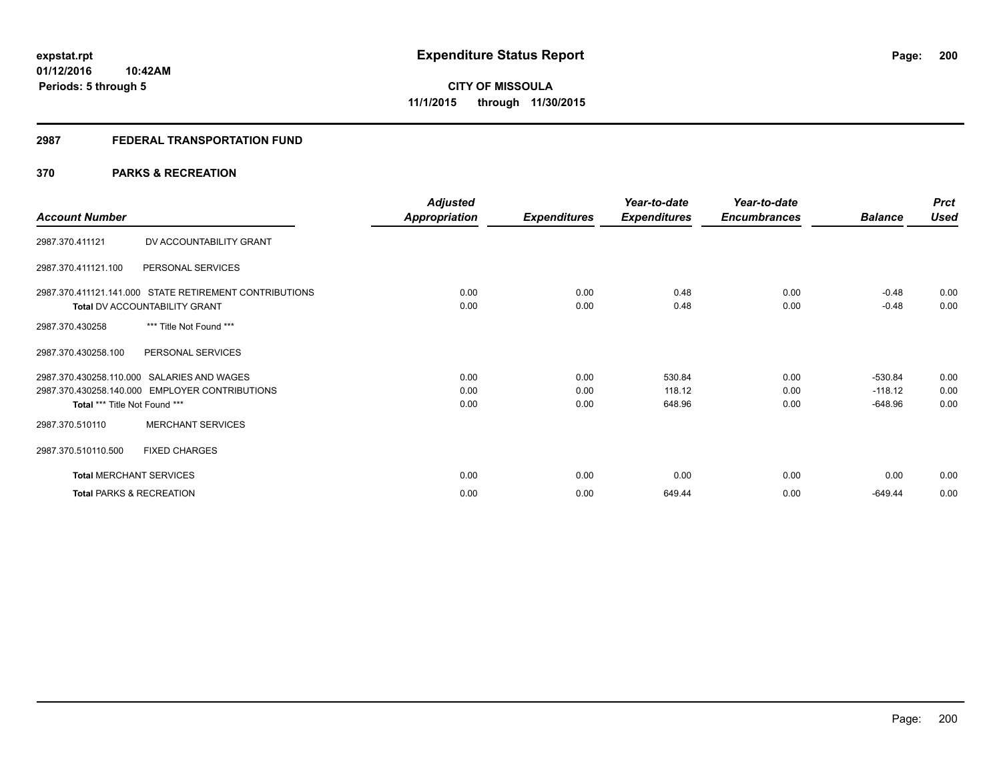# **2987 FEDERAL TRANSPORTATION FUND**

# **370 PARKS & RECREATION**

| <b>Account Number</b>               |                                                                                                | <b>Adjusted</b><br>Appropriation | <b>Expenditures</b>  | Year-to-date<br><b>Expenditures</b> | Year-to-date<br><b>Encumbrances</b> | <b>Balance</b>                      | <b>Prct</b><br><b>Used</b> |
|-------------------------------------|------------------------------------------------------------------------------------------------|----------------------------------|----------------------|-------------------------------------|-------------------------------------|-------------------------------------|----------------------------|
| 2987.370.411121                     | DV ACCOUNTABILITY GRANT                                                                        |                                  |                      |                                     |                                     |                                     |                            |
| 2987.370.411121.100                 | PERSONAL SERVICES                                                                              |                                  |                      |                                     |                                     |                                     |                            |
|                                     | 2987.370.411121.141.000 STATE RETIREMENT CONTRIBUTIONS<br><b>Total DV ACCOUNTABILITY GRANT</b> | 0.00<br>0.00                     | 0.00<br>0.00         | 0.48<br>0.48                        | 0.00<br>0.00                        | $-0.48$<br>$-0.48$                  | 0.00<br>0.00               |
| 2987.370.430258                     | *** Title Not Found ***                                                                        |                                  |                      |                                     |                                     |                                     |                            |
| 2987.370.430258.100                 | PERSONAL SERVICES                                                                              |                                  |                      |                                     |                                     |                                     |                            |
| Total *** Title Not Found ***       | 2987.370.430258.110.000 SALARIES AND WAGES<br>2987.370.430258.140.000 EMPLOYER CONTRIBUTIONS   | 0.00<br>0.00<br>0.00             | 0.00<br>0.00<br>0.00 | 530.84<br>118.12<br>648.96          | 0.00<br>0.00<br>0.00                | $-530.84$<br>$-118.12$<br>$-648.96$ | 0.00<br>0.00<br>0.00       |
| 2987.370.510110                     | <b>MERCHANT SERVICES</b>                                                                       |                                  |                      |                                     |                                     |                                     |                            |
| 2987.370.510110.500                 | <b>FIXED CHARGES</b>                                                                           |                                  |                      |                                     |                                     |                                     |                            |
| <b>Total MERCHANT SERVICES</b>      |                                                                                                | 0.00                             | 0.00                 | 0.00                                | 0.00                                | 0.00                                | 0.00                       |
| <b>Total PARKS &amp; RECREATION</b> |                                                                                                | 0.00                             | 0.00                 | 649.44                              | 0.00                                | $-649.44$                           | 0.00                       |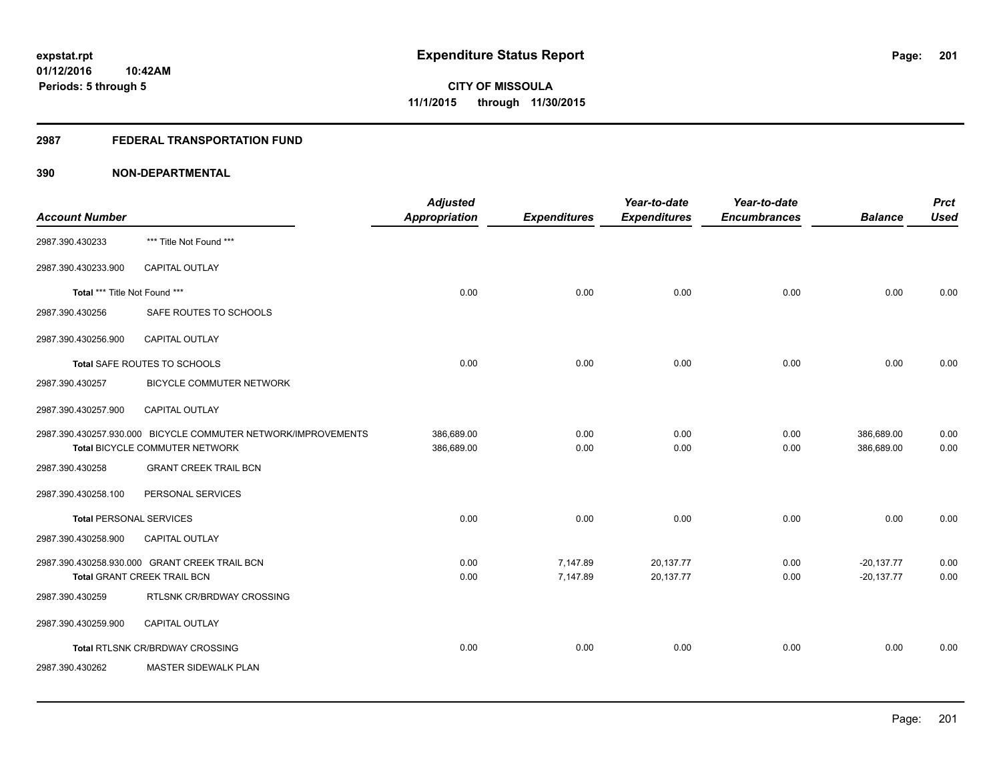# **2987 FEDERAL TRANSPORTATION FUND**

| <b>Account Number</b>          |                                                                                                 | <b>Adjusted</b><br>Appropriation | <b>Expenditures</b>  | Year-to-date<br><b>Expenditures</b> | Year-to-date<br><b>Encumbrances</b> | <b>Balance</b>               | <b>Prct</b><br><b>Used</b> |
|--------------------------------|-------------------------------------------------------------------------------------------------|----------------------------------|----------------------|-------------------------------------|-------------------------------------|------------------------------|----------------------------|
| 2987.390.430233                | *** Title Not Found ***                                                                         |                                  |                      |                                     |                                     |                              |                            |
| 2987.390.430233.900            | CAPITAL OUTLAY                                                                                  |                                  |                      |                                     |                                     |                              |                            |
| Total *** Title Not Found ***  |                                                                                                 | 0.00                             | 0.00                 | 0.00                                | 0.00                                | 0.00                         | 0.00                       |
| 2987.390.430256                | SAFE ROUTES TO SCHOOLS                                                                          |                                  |                      |                                     |                                     |                              |                            |
| 2987.390.430256.900            | <b>CAPITAL OUTLAY</b>                                                                           |                                  |                      |                                     |                                     |                              |                            |
|                                | Total SAFE ROUTES TO SCHOOLS                                                                    | 0.00                             | 0.00                 | 0.00                                | 0.00                                | 0.00                         | 0.00                       |
| 2987.390.430257                | BICYCLE COMMUTER NETWORK                                                                        |                                  |                      |                                     |                                     |                              |                            |
| 2987.390.430257.900            | <b>CAPITAL OUTLAY</b>                                                                           |                                  |                      |                                     |                                     |                              |                            |
|                                | 2987.390.430257.930.000 BICYCLE COMMUTER NETWORK/IMPROVEMENTS<br>Total BICYCLE COMMUTER NETWORK | 386,689.00<br>386,689.00         | 0.00<br>0.00         | 0.00<br>0.00                        | 0.00<br>0.00                        | 386,689.00<br>386,689.00     | 0.00<br>0.00               |
| 2987.390.430258                | <b>GRANT CREEK TRAIL BCN</b>                                                                    |                                  |                      |                                     |                                     |                              |                            |
| 2987.390.430258.100            | PERSONAL SERVICES                                                                               |                                  |                      |                                     |                                     |                              |                            |
| <b>Total PERSONAL SERVICES</b> |                                                                                                 | 0.00                             | 0.00                 | 0.00                                | 0.00                                | 0.00                         | 0.00                       |
| 2987.390.430258.900            | CAPITAL OUTLAY                                                                                  |                                  |                      |                                     |                                     |                              |                            |
|                                | 2987.390.430258.930.000 GRANT CREEK TRAIL BCN<br><b>Total GRANT CREEK TRAIL BCN</b>             | 0.00<br>0.00                     | 7,147.89<br>7,147.89 | 20,137.77<br>20,137.77              | 0.00<br>0.00                        | $-20,137.77$<br>$-20,137.77$ | 0.00<br>0.00               |
| 2987.390.430259                | RTLSNK CR/BRDWAY CROSSING                                                                       |                                  |                      |                                     |                                     |                              |                            |
| 2987.390.430259.900            | <b>CAPITAL OUTLAY</b>                                                                           |                                  |                      |                                     |                                     |                              |                            |
|                                | Total RTLSNK CR/BRDWAY CROSSING                                                                 | 0.00                             | 0.00                 | 0.00                                | 0.00                                | 0.00                         | 0.00                       |
| 2987.390.430262                | MASTER SIDEWALK PLAN                                                                            |                                  |                      |                                     |                                     |                              |                            |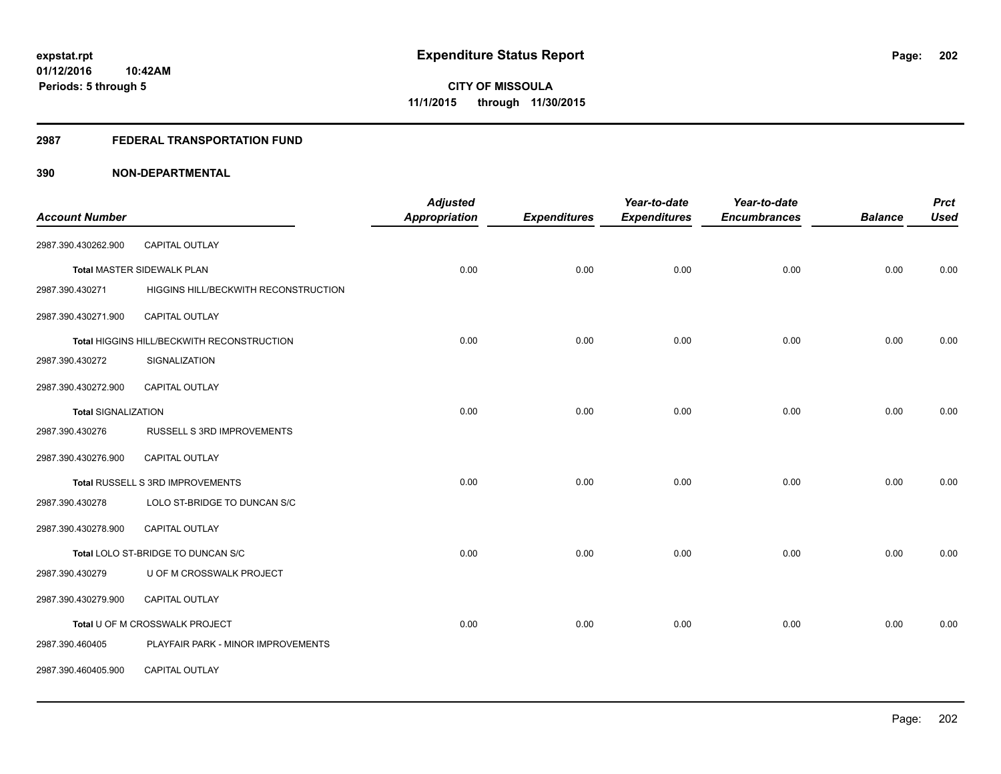#### **2987 FEDERAL TRANSPORTATION FUND**

| <b>Account Number</b>      |                                            | <b>Adjusted</b><br><b>Appropriation</b> | <b>Expenditures</b> | Year-to-date<br><b>Expenditures</b> | Year-to-date<br><b>Encumbrances</b> | <b>Balance</b> | <b>Prct</b><br><b>Used</b> |
|----------------------------|--------------------------------------------|-----------------------------------------|---------------------|-------------------------------------|-------------------------------------|----------------|----------------------------|
|                            |                                            |                                         |                     |                                     |                                     |                |                            |
| 2987.390.430262.900        | CAPITAL OUTLAY                             |                                         |                     |                                     |                                     |                |                            |
|                            | <b>Total MASTER SIDEWALK PLAN</b>          | 0.00                                    | 0.00                | 0.00                                | 0.00                                | 0.00           | 0.00                       |
| 2987.390.430271            | HIGGINS HILL/BECKWITH RECONSTRUCTION       |                                         |                     |                                     |                                     |                |                            |
| 2987.390.430271.900        | <b>CAPITAL OUTLAY</b>                      |                                         |                     |                                     |                                     |                |                            |
|                            | Total HIGGINS HILL/BECKWITH RECONSTRUCTION | 0.00                                    | 0.00                | 0.00                                | 0.00                                | 0.00           | 0.00                       |
| 2987.390.430272            | SIGNALIZATION                              |                                         |                     |                                     |                                     |                |                            |
| 2987.390.430272.900        | <b>CAPITAL OUTLAY</b>                      |                                         |                     |                                     |                                     |                |                            |
| <b>Total SIGNALIZATION</b> |                                            | 0.00                                    | 0.00                | 0.00                                | 0.00                                | 0.00           | 0.00                       |
| 2987.390.430276            | RUSSELL S 3RD IMPROVEMENTS                 |                                         |                     |                                     |                                     |                |                            |
| 2987.390.430276.900        | <b>CAPITAL OUTLAY</b>                      |                                         |                     |                                     |                                     |                |                            |
|                            | Total RUSSELL S 3RD IMPROVEMENTS           | 0.00                                    | 0.00                | 0.00                                | 0.00                                | 0.00           | 0.00                       |
| 2987.390.430278            | LOLO ST-BRIDGE TO DUNCAN S/C               |                                         |                     |                                     |                                     |                |                            |
| 2987.390.430278.900        | CAPITAL OUTLAY                             |                                         |                     |                                     |                                     |                |                            |
|                            | Total LOLO ST-BRIDGE TO DUNCAN S/C         | 0.00                                    | 0.00                | 0.00                                | 0.00                                | 0.00           | 0.00                       |
| 2987.390.430279            | U OF M CROSSWALK PROJECT                   |                                         |                     |                                     |                                     |                |                            |
| 2987.390.430279.900        | CAPITAL OUTLAY                             |                                         |                     |                                     |                                     |                |                            |
|                            | Total U OF M CROSSWALK PROJECT             | 0.00                                    | 0.00                | 0.00                                | 0.00                                | 0.00           | 0.00                       |
| 2987.390.460405            | PLAYFAIR PARK - MINOR IMPROVEMENTS         |                                         |                     |                                     |                                     |                |                            |
| 2987.390.460405.900        | CAPITAL OUTLAY                             |                                         |                     |                                     |                                     |                |                            |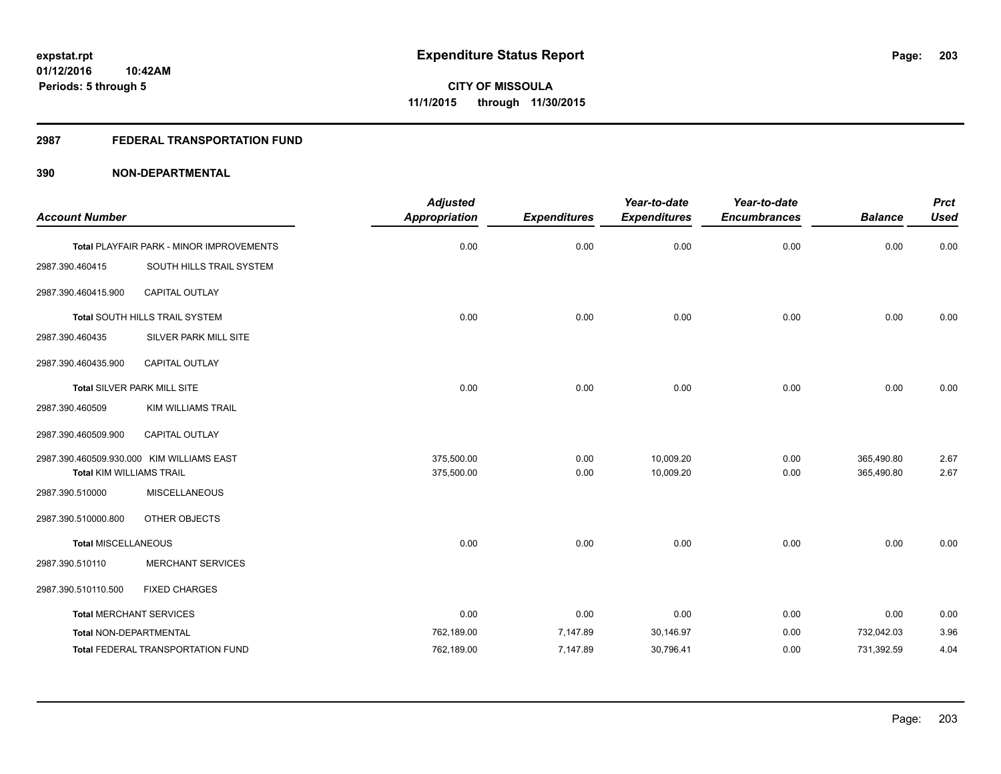# **2987 FEDERAL TRANSPORTATION FUND**

| <b>Account Number</b>           |                                           | <b>Adjusted</b><br><b>Appropriation</b> | <b>Expenditures</b> | Year-to-date<br><b>Expenditures</b> | Year-to-date<br><b>Encumbrances</b> | <b>Balance</b> | <b>Prct</b><br><b>Used</b> |
|---------------------------------|-------------------------------------------|-----------------------------------------|---------------------|-------------------------------------|-------------------------------------|----------------|----------------------------|
|                                 | Total PLAYFAIR PARK - MINOR IMPROVEMENTS  | 0.00                                    | 0.00                | 0.00                                | 0.00                                | 0.00           | 0.00                       |
| 2987.390.460415                 | SOUTH HILLS TRAIL SYSTEM                  |                                         |                     |                                     |                                     |                |                            |
| 2987.390.460415.900             | <b>CAPITAL OUTLAY</b>                     |                                         |                     |                                     |                                     |                |                            |
|                                 | Total SOUTH HILLS TRAIL SYSTEM            | 0.00                                    | 0.00                | 0.00                                | 0.00                                | 0.00           | 0.00                       |
| 2987.390.460435                 | SILVER PARK MILL SITE                     |                                         |                     |                                     |                                     |                |                            |
| 2987.390.460435.900             | CAPITAL OUTLAY                            |                                         |                     |                                     |                                     |                |                            |
|                                 | Total SILVER PARK MILL SITE               | 0.00                                    | 0.00                | 0.00                                | 0.00                                | 0.00           | 0.00                       |
| 2987.390.460509                 | <b>KIM WILLIAMS TRAIL</b>                 |                                         |                     |                                     |                                     |                |                            |
| 2987.390.460509.900             | <b>CAPITAL OUTLAY</b>                     |                                         |                     |                                     |                                     |                |                            |
|                                 | 2987.390.460509.930.000 KIM WILLIAMS EAST | 375,500.00                              | 0.00                | 10,009.20                           | 0.00                                | 365,490.80     | 2.67                       |
| <b>Total KIM WILLIAMS TRAIL</b> |                                           | 375,500.00                              | 0.00                | 10,009.20                           | 0.00                                | 365,490.80     | 2.67                       |
| 2987.390.510000                 | <b>MISCELLANEOUS</b>                      |                                         |                     |                                     |                                     |                |                            |
| 2987.390.510000.800             | OTHER OBJECTS                             |                                         |                     |                                     |                                     |                |                            |
| <b>Total MISCELLANEOUS</b>      |                                           | 0.00                                    | 0.00                | 0.00                                | 0.00                                | 0.00           | 0.00                       |
| 2987.390.510110                 | <b>MERCHANT SERVICES</b>                  |                                         |                     |                                     |                                     |                |                            |
| 2987.390.510110.500             | <b>FIXED CHARGES</b>                      |                                         |                     |                                     |                                     |                |                            |
| <b>Total MERCHANT SERVICES</b>  |                                           | 0.00                                    | 0.00                | 0.00                                | 0.00                                | 0.00           | 0.00                       |
| Total NON-DEPARTMENTAL          |                                           | 762,189.00                              | 7,147.89            | 30,146.97                           | 0.00                                | 732,042.03     | 3.96                       |
|                                 | <b>Total FEDERAL TRANSPORTATION FUND</b>  | 762,189.00                              | 7,147.89            | 30,796.41                           | 0.00                                | 731,392.59     | 4.04                       |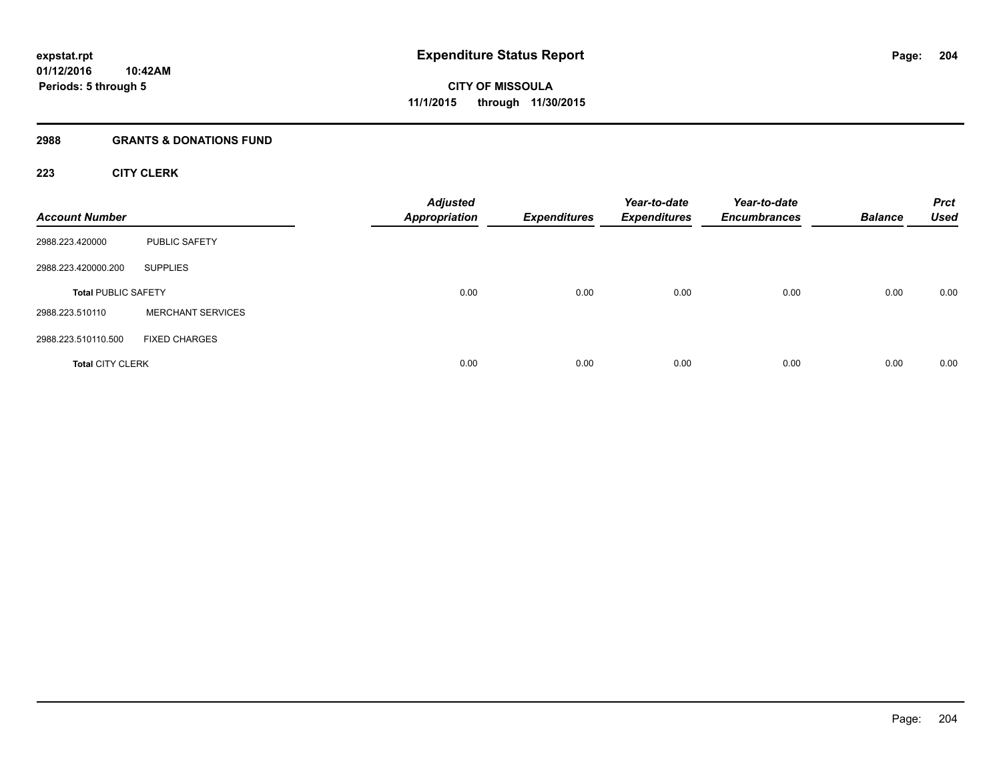# **2988 GRANTS & DONATIONS FUND**

# **223 CITY CLERK**

| <b>Account Number</b>      |                          | <b>Adjusted</b><br><b>Appropriation</b> | <b>Expenditures</b> | Year-to-date<br><b>Expenditures</b> | Year-to-date<br><b>Encumbrances</b> | <b>Balance</b> | <b>Prct</b><br><b>Used</b> |
|----------------------------|--------------------------|-----------------------------------------|---------------------|-------------------------------------|-------------------------------------|----------------|----------------------------|
| 2988.223.420000            | PUBLIC SAFETY            |                                         |                     |                                     |                                     |                |                            |
| 2988.223.420000.200        | <b>SUPPLIES</b>          |                                         |                     |                                     |                                     |                |                            |
| <b>Total PUBLIC SAFETY</b> |                          | 0.00                                    | 0.00                | 0.00                                | 0.00                                | 0.00           | 0.00                       |
| 2988.223.510110            | <b>MERCHANT SERVICES</b> |                                         |                     |                                     |                                     |                |                            |
| 2988.223.510110.500        | <b>FIXED CHARGES</b>     |                                         |                     |                                     |                                     |                |                            |
| <b>Total CITY CLERK</b>    |                          | 0.00                                    | 0.00                | 0.00                                | 0.00                                | 0.00           | 0.00                       |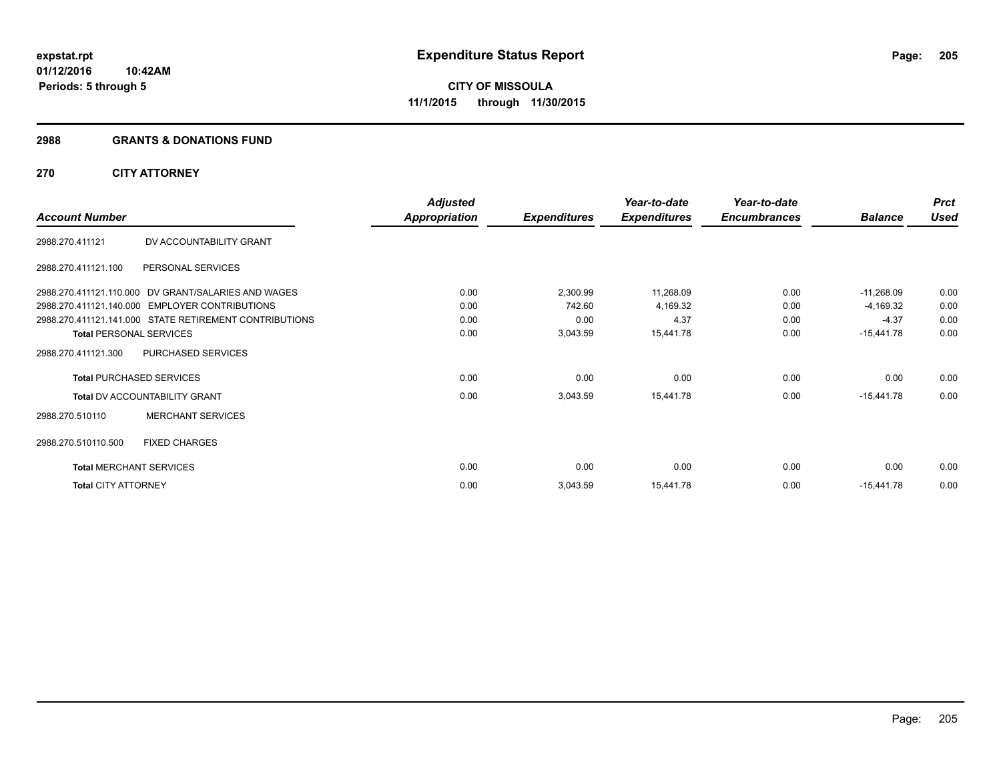#### **2988 GRANTS & DONATIONS FUND**

# **270 CITY ATTORNEY**

|                            |                                                        | <b>Adjusted</b>      |                     | Year-to-date        | Year-to-date        |                | <b>Prct</b> |
|----------------------------|--------------------------------------------------------|----------------------|---------------------|---------------------|---------------------|----------------|-------------|
| <b>Account Number</b>      |                                                        | <b>Appropriation</b> | <b>Expenditures</b> | <b>Expenditures</b> | <b>Encumbrances</b> | <b>Balance</b> | <b>Used</b> |
| 2988.270.411121            | DV ACCOUNTABILITY GRANT                                |                      |                     |                     |                     |                |             |
| 2988.270.411121.100        | PERSONAL SERVICES                                      |                      |                     |                     |                     |                |             |
|                            | 2988.270.411121.110.000 DV GRANT/SALARIES AND WAGES    | 0.00                 | 2,300.99            | 11,268.09           | 0.00                | $-11,268.09$   | 0.00        |
|                            | 2988.270.411121.140.000 EMPLOYER CONTRIBUTIONS         | 0.00                 | 742.60              | 4,169.32            | 0.00                | $-4,169.32$    | 0.00        |
|                            | 2988.270.411121.141.000 STATE RETIREMENT CONTRIBUTIONS | 0.00                 | 0.00                | 4.37                | 0.00                | $-4.37$        | 0.00        |
|                            | <b>Total PERSONAL SERVICES</b>                         | 0.00                 | 3,043.59            | 15,441.78           | 0.00                | $-15,441.78$   | 0.00        |
| 2988.270.411121.300        | PURCHASED SERVICES                                     |                      |                     |                     |                     |                |             |
|                            | <b>Total PURCHASED SERVICES</b>                        | 0.00                 | 0.00                | 0.00                | 0.00                | 0.00           | 0.00        |
|                            | <b>Total DV ACCOUNTABILITY GRANT</b>                   | 0.00                 | 3,043.59            | 15,441.78           | 0.00                | $-15,441.78$   | 0.00        |
| 2988.270.510110            | <b>MERCHANT SERVICES</b>                               |                      |                     |                     |                     |                |             |
| 2988.270.510110.500        | <b>FIXED CHARGES</b>                                   |                      |                     |                     |                     |                |             |
|                            | <b>Total MERCHANT SERVICES</b>                         | 0.00                 | 0.00                | 0.00                | 0.00                | 0.00           | 0.00        |
| <b>Total CITY ATTORNEY</b> |                                                        | 0.00                 | 3,043.59            | 15,441.78           | 0.00                | $-15,441.78$   | 0.00        |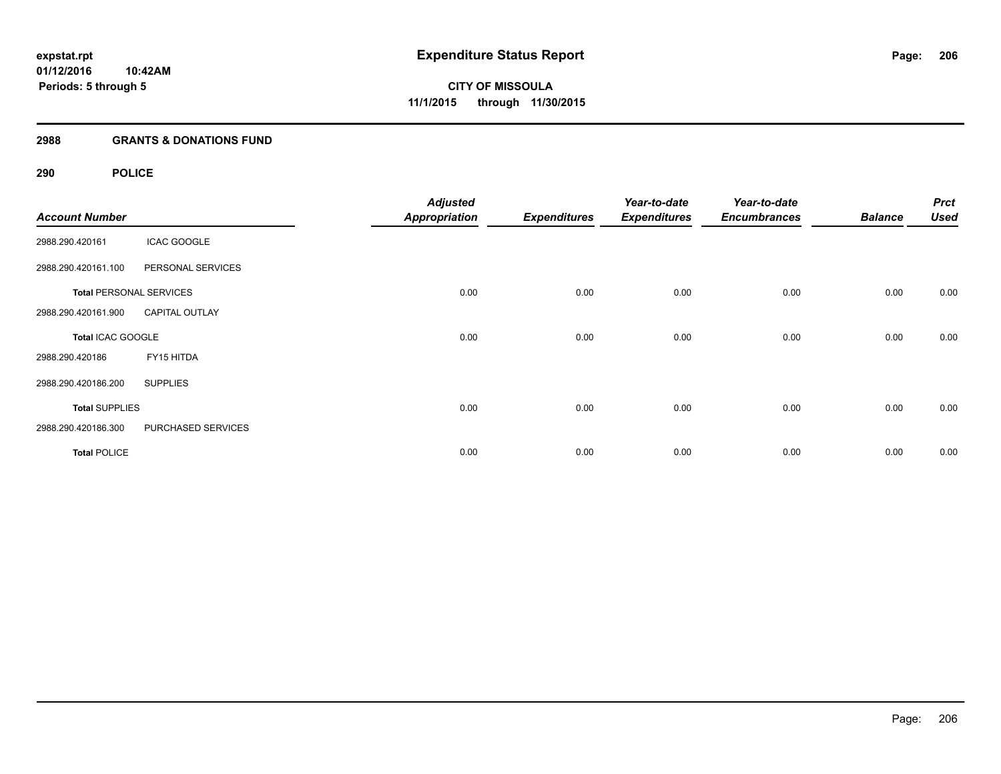# **2988 GRANTS & DONATIONS FUND**

# **290 POLICE**

| <b>Account Number</b> |                                | <b>Adjusted</b><br><b>Appropriation</b> | <b>Expenditures</b> | Year-to-date<br><b>Expenditures</b> | Year-to-date<br><b>Encumbrances</b> | <b>Balance</b> | <b>Prct</b><br><b>Used</b> |
|-----------------------|--------------------------------|-----------------------------------------|---------------------|-------------------------------------|-------------------------------------|----------------|----------------------------|
| 2988.290.420161       | <b>ICAC GOOGLE</b>             |                                         |                     |                                     |                                     |                |                            |
| 2988.290.420161.100   | PERSONAL SERVICES              |                                         |                     |                                     |                                     |                |                            |
|                       | <b>Total PERSONAL SERVICES</b> | 0.00                                    | 0.00                | 0.00                                | 0.00                                | 0.00           | 0.00                       |
| 2988.290.420161.900   | <b>CAPITAL OUTLAY</b>          |                                         |                     |                                     |                                     |                |                            |
| Total ICAC GOOGLE     |                                | 0.00                                    | 0.00                | 0.00                                | 0.00                                | 0.00           | 0.00                       |
| 2988.290.420186       | FY15 HITDA                     |                                         |                     |                                     |                                     |                |                            |
| 2988.290.420186.200   | <b>SUPPLIES</b>                |                                         |                     |                                     |                                     |                |                            |
| <b>Total SUPPLIES</b> |                                | 0.00                                    | 0.00                | 0.00                                | 0.00                                | 0.00           | 0.00                       |
| 2988.290.420186.300   | PURCHASED SERVICES             |                                         |                     |                                     |                                     |                |                            |
| <b>Total POLICE</b>   |                                | 0.00                                    | 0.00                | 0.00                                | 0.00                                | 0.00           | 0.00                       |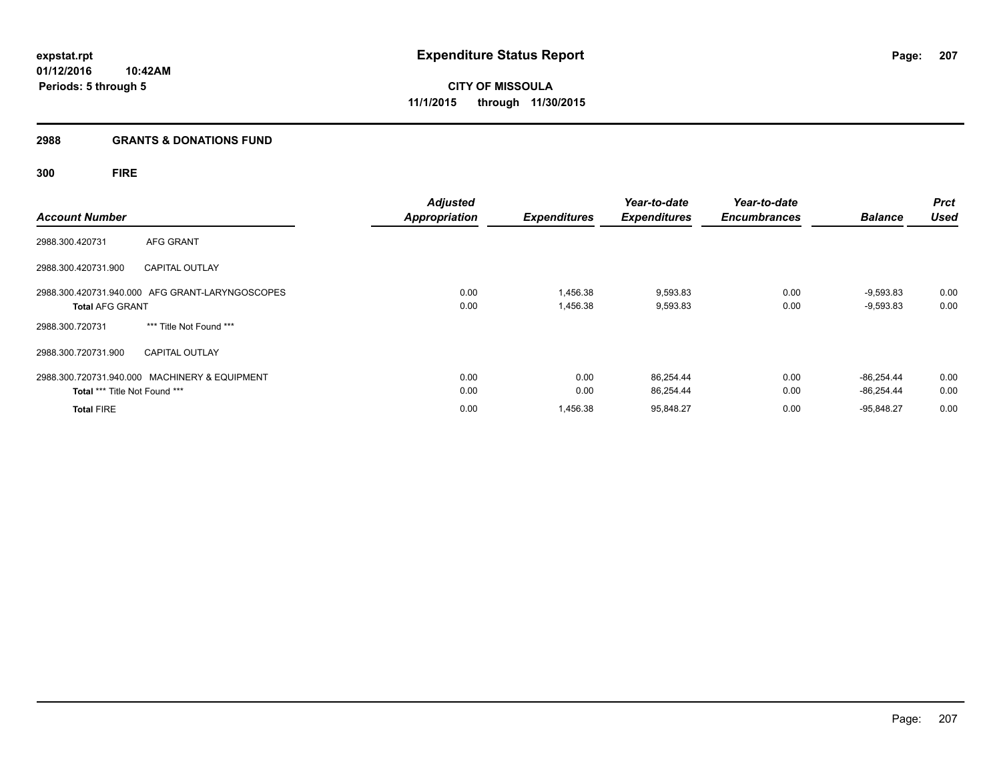# **2988 GRANTS & DONATIONS FUND**

**300 FIRE**

| <b>Account Number</b>         |                                                 | <b>Adjusted</b><br><b>Appropriation</b> | <b>Expenditures</b>  | Year-to-date<br><b>Expenditures</b> | Year-to-date<br><b>Encumbrances</b> | <b>Balance</b>               | <b>Prct</b><br><b>Used</b> |
|-------------------------------|-------------------------------------------------|-----------------------------------------|----------------------|-------------------------------------|-------------------------------------|------------------------------|----------------------------|
| 2988.300.420731               | AFG GRANT                                       |                                         |                      |                                     |                                     |                              |                            |
| 2988.300.420731.900           | <b>CAPITAL OUTLAY</b>                           |                                         |                      |                                     |                                     |                              |                            |
| <b>Total AFG GRANT</b>        | 2988.300.420731.940.000 AFG GRANT-LARYNGOSCOPES | 0.00<br>0.00                            | 1,456.38<br>1,456.38 | 9,593.83<br>9,593.83                | 0.00<br>0.00                        | $-9,593.83$<br>$-9,593.83$   | 0.00<br>0.00               |
| 2988.300.720731               | *** Title Not Found ***                         |                                         |                      |                                     |                                     |                              |                            |
| 2988.300.720731.900           | <b>CAPITAL OUTLAY</b>                           |                                         |                      |                                     |                                     |                              |                            |
| Total *** Title Not Found *** | 2988.300.720731.940.000 MACHINERY & EQUIPMENT   | 0.00<br>0.00                            | 0.00<br>0.00         | 86.254.44<br>86,254.44              | 0.00<br>0.00                        | $-86.254.44$<br>$-86,254.44$ | 0.00<br>0.00               |
| <b>Total FIRE</b>             |                                                 | 0.00                                    | 1,456.38             | 95,848.27                           | 0.00                                | $-95.848.27$                 | 0.00                       |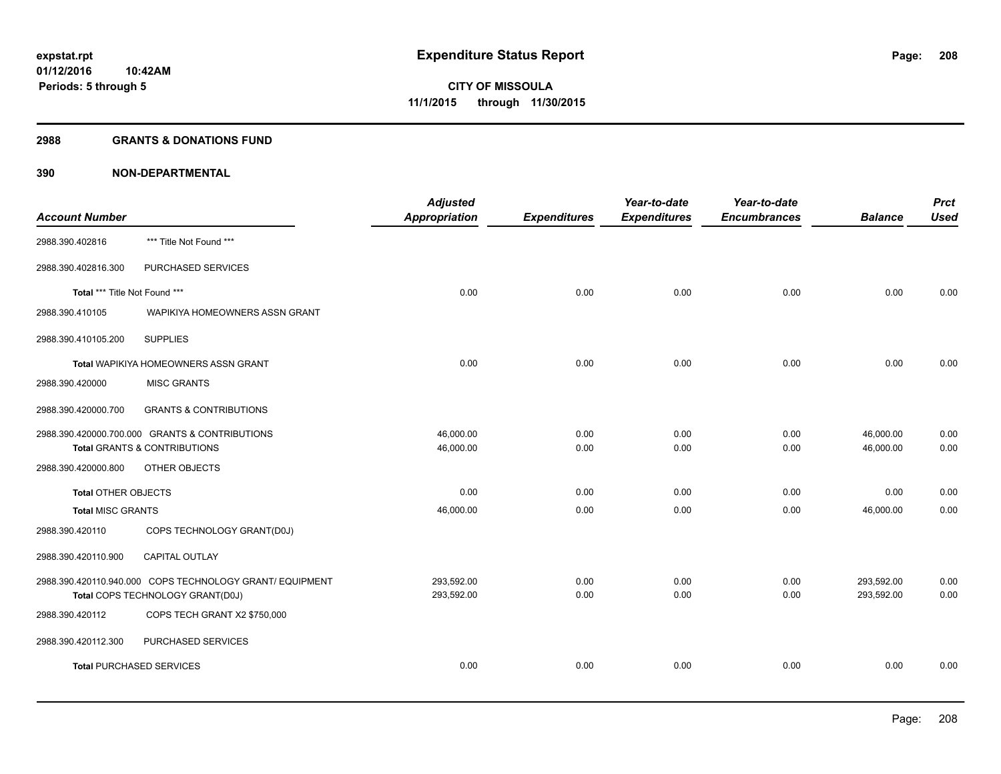#### **2988 GRANTS & DONATIONS FUND**

|                                 |                                                          | <b>Adjusted</b> |                     | Year-to-date        | Year-to-date        |                | <b>Prct</b> |
|---------------------------------|----------------------------------------------------------|-----------------|---------------------|---------------------|---------------------|----------------|-------------|
| <b>Account Number</b>           |                                                          | Appropriation   | <b>Expenditures</b> | <b>Expenditures</b> | <b>Encumbrances</b> | <b>Balance</b> | <b>Used</b> |
| 2988.390.402816                 | *** Title Not Found ***                                  |                 |                     |                     |                     |                |             |
| 2988.390.402816.300             | PURCHASED SERVICES                                       |                 |                     |                     |                     |                |             |
| Total *** Title Not Found ***   |                                                          | 0.00            | 0.00                | 0.00                | 0.00                | 0.00           | 0.00        |
| 2988.390.410105                 | WAPIKIYA HOMEOWNERS ASSN GRANT                           |                 |                     |                     |                     |                |             |
| 2988.390.410105.200             | <b>SUPPLIES</b>                                          |                 |                     |                     |                     |                |             |
|                                 | Total WAPIKIYA HOMEOWNERS ASSN GRANT                     | 0.00            | 0.00                | 0.00                | 0.00                | 0.00           | 0.00        |
| 2988.390.420000                 | <b>MISC GRANTS</b>                                       |                 |                     |                     |                     |                |             |
| 2988.390.420000.700             | <b>GRANTS &amp; CONTRIBUTIONS</b>                        |                 |                     |                     |                     |                |             |
|                                 | 2988.390.420000.700.000 GRANTS & CONTRIBUTIONS           | 46,000.00       | 0.00                | 0.00                | 0.00                | 46,000.00      | 0.00        |
|                                 | <b>Total GRANTS &amp; CONTRIBUTIONS</b>                  | 46,000.00       | 0.00                | 0.00                | 0.00                | 46,000.00      | 0.00        |
| 2988.390.420000.800             | OTHER OBJECTS                                            |                 |                     |                     |                     |                |             |
| <b>Total OTHER OBJECTS</b>      |                                                          | 0.00            | 0.00                | 0.00                | 0.00                | 0.00           | 0.00        |
| <b>Total MISC GRANTS</b>        |                                                          | 46,000.00       | 0.00                | 0.00                | 0.00                | 46,000.00      | 0.00        |
| 2988.390.420110                 | COPS TECHNOLOGY GRANT(D0J)                               |                 |                     |                     |                     |                |             |
| 2988.390.420110.900             | CAPITAL OUTLAY                                           |                 |                     |                     |                     |                |             |
|                                 | 2988.390.420110.940.000 COPS TECHNOLOGY GRANT/ EQUIPMENT | 293,592.00      | 0.00                | 0.00                | 0.00                | 293,592.00     | 0.00        |
|                                 | Total COPS TECHNOLOGY GRANT(D0J)                         | 293,592.00      | 0.00                | 0.00                | 0.00                | 293,592.00     | 0.00        |
| 2988.390.420112                 | COPS TECH GRANT X2 \$750,000                             |                 |                     |                     |                     |                |             |
| 2988.390.420112.300             | PURCHASED SERVICES                                       |                 |                     |                     |                     |                |             |
| <b>Total PURCHASED SERVICES</b> |                                                          | 0.00            | 0.00                | 0.00                | 0.00                | 0.00           | 0.00        |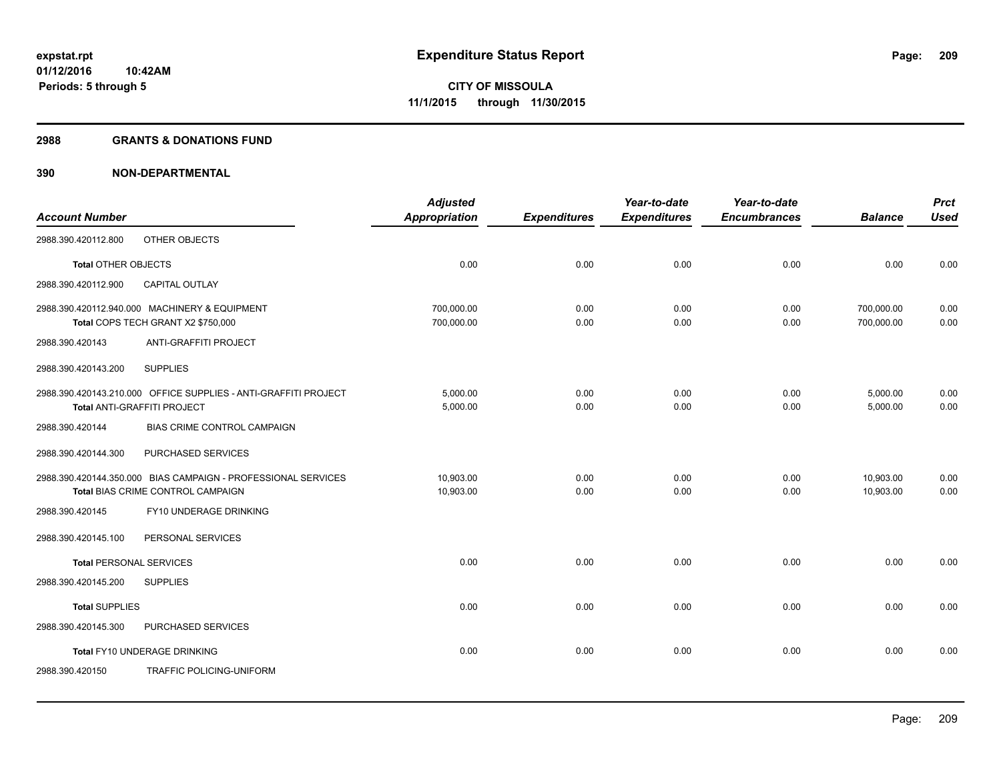#### **2988 GRANTS & DONATIONS FUND**

|                                |                                                                                                       | <b>Adjusted</b>          |                     | Year-to-date        | Year-to-date        |                          | <b>Prct</b>  |
|--------------------------------|-------------------------------------------------------------------------------------------------------|--------------------------|---------------------|---------------------|---------------------|--------------------------|--------------|
| <b>Account Number</b>          |                                                                                                       | <b>Appropriation</b>     | <b>Expenditures</b> | <b>Expenditures</b> | <b>Encumbrances</b> | <b>Balance</b>           | <b>Used</b>  |
| 2988.390.420112.800            | OTHER OBJECTS                                                                                         |                          |                     |                     |                     |                          |              |
| <b>Total OTHER OBJECTS</b>     |                                                                                                       | 0.00                     | 0.00                | 0.00                | 0.00                | 0.00                     | 0.00         |
| 2988.390.420112.900            | <b>CAPITAL OUTLAY</b>                                                                                 |                          |                     |                     |                     |                          |              |
|                                | 2988.390.420112.940.000 MACHINERY & EQUIPMENT<br>Total COPS TECH GRANT X2 \$750,000                   | 700,000.00<br>700,000.00 | 0.00<br>0.00        | 0.00<br>0.00        | 0.00<br>0.00        | 700,000.00<br>700,000.00 | 0.00<br>0.00 |
| 2988.390.420143                | <b>ANTI-GRAFFITI PROJECT</b>                                                                          |                          |                     |                     |                     |                          |              |
| 2988.390.420143.200            | <b>SUPPLIES</b>                                                                                       |                          |                     |                     |                     |                          |              |
|                                | 2988.390.420143.210.000 OFFICE SUPPLIES - ANTI-GRAFFITI PROJECT<br><b>Total ANTI-GRAFFITI PROJECT</b> | 5,000.00<br>5,000.00     | 0.00<br>0.00        | 0.00<br>0.00        | 0.00<br>0.00        | 5,000.00<br>5,000.00     | 0.00<br>0.00 |
| 2988.390.420144                | <b>BIAS CRIME CONTROL CAMPAIGN</b>                                                                    |                          |                     |                     |                     |                          |              |
| 2988.390.420144.300            | PURCHASED SERVICES                                                                                    |                          |                     |                     |                     |                          |              |
|                                | 2988.390.420144.350.000 BIAS CAMPAIGN - PROFESSIONAL SERVICES<br>Total BIAS CRIME CONTROL CAMPAIGN    | 10,903.00<br>10,903.00   | 0.00<br>0.00        | 0.00<br>0.00        | 0.00<br>0.00        | 10,903.00<br>10,903.00   | 0.00<br>0.00 |
| 2988.390.420145                | FY10 UNDERAGE DRINKING                                                                                |                          |                     |                     |                     |                          |              |
| 2988.390.420145.100            | PERSONAL SERVICES                                                                                     |                          |                     |                     |                     |                          |              |
| <b>Total PERSONAL SERVICES</b> |                                                                                                       | 0.00                     | 0.00                | 0.00                | 0.00                | 0.00                     | 0.00         |
| 2988.390.420145.200            | <b>SUPPLIES</b>                                                                                       |                          |                     |                     |                     |                          |              |
| <b>Total SUPPLIES</b>          |                                                                                                       | 0.00                     | 0.00                | 0.00                | 0.00                | 0.00                     | 0.00         |
| 2988.390.420145.300            | PURCHASED SERVICES                                                                                    |                          |                     |                     |                     |                          |              |
|                                | Total FY10 UNDERAGE DRINKING                                                                          | 0.00                     | 0.00                | 0.00                | 0.00                | 0.00                     | 0.00         |
| 2988.390.420150                | TRAFFIC POLICING-UNIFORM                                                                              |                          |                     |                     |                     |                          |              |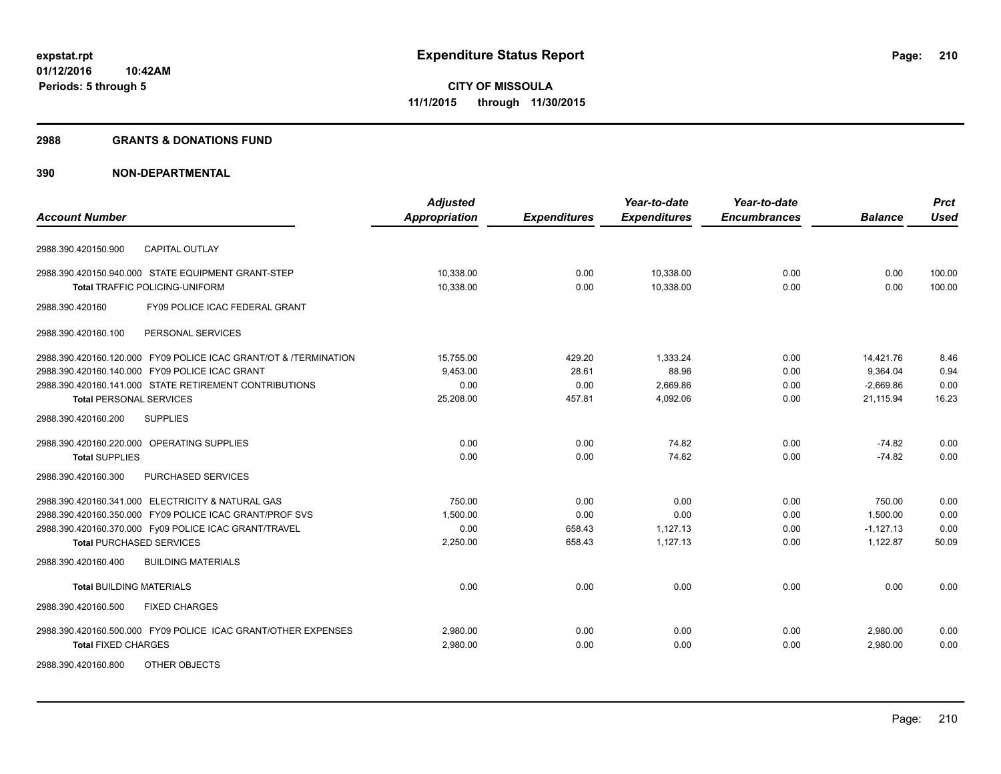#### **2988 GRANTS & DONATIONS FUND**

|                                                                  | <b>Adjusted</b> |                     | Year-to-date        | Year-to-date        |                | <b>Prct</b> |
|------------------------------------------------------------------|-----------------|---------------------|---------------------|---------------------|----------------|-------------|
| <b>Account Number</b>                                            | Appropriation   | <b>Expenditures</b> | <b>Expenditures</b> | <b>Encumbrances</b> | <b>Balance</b> | <b>Used</b> |
| <b>CAPITAL OUTLAY</b><br>2988.390.420150.900                     |                 |                     |                     |                     |                |             |
| 2988.390.420150.940.000 STATE EQUIPMENT GRANT-STEP               | 10,338.00       | 0.00                | 10,338.00           | 0.00                | 0.00           | 100.00      |
| <b>Total TRAFFIC POLICING-UNIFORM</b>                            | 10,338.00       | 0.00                | 10,338.00           | 0.00                | 0.00           | 100.00      |
| FY09 POLICE ICAC FEDERAL GRANT<br>2988.390.420160                |                 |                     |                     |                     |                |             |
| PERSONAL SERVICES<br>2988.390.420160.100                         |                 |                     |                     |                     |                |             |
| 2988.390.420160.120.000 FY09 POLICE ICAC GRANT/OT & /TERMINATION | 15,755.00       | 429.20              | 1,333.24            | 0.00                | 14,421.76      | 8.46        |
| 2988.390.420160.140.000 FY09 POLICE ICAC GRANT                   | 9,453.00        | 28.61               | 88.96               | 0.00                | 9,364.04       | 0.94        |
| 2988.390.420160.141.000 STATE RETIREMENT CONTRIBUTIONS           | 0.00            | 0.00                | 2,669.86            | 0.00                | $-2,669.86$    | 0.00        |
| <b>Total PERSONAL SERVICES</b>                                   | 25,208.00       | 457.81              | 4,092.06            | 0.00                | 21,115.94      | 16.23       |
| 2988.390.420160.200<br><b>SUPPLIES</b>                           |                 |                     |                     |                     |                |             |
| 2988.390.420160.220.000 OPERATING SUPPLIES                       | 0.00            | 0.00                | 74.82               | 0.00                | $-74.82$       | 0.00        |
| <b>Total SUPPLIES</b>                                            | 0.00            | 0.00                | 74.82               | 0.00                | $-74.82$       | 0.00        |
| 2988.390.420160.300<br>PURCHASED SERVICES                        |                 |                     |                     |                     |                |             |
| 2988.390.420160.341.000 ELECTRICITY & NATURAL GAS                | 750.00          | 0.00                | 0.00                | 0.00                | 750.00         | 0.00        |
| 2988.390.420160.350.000 FY09 POLICE ICAC GRANT/PROF SVS          | 1,500.00        | 0.00                | 0.00                | 0.00                | 1,500.00       | 0.00        |
| 2988.390.420160.370.000 Fy09 POLICE ICAC GRANT/TRAVEL            | 0.00            | 658.43              | 1,127.13            | 0.00                | $-1,127.13$    | 0.00        |
| <b>Total PURCHASED SERVICES</b>                                  | 2,250.00        | 658.43              | 1,127.13            | 0.00                | 1,122.87       | 50.09       |
| 2988.390.420160.400<br><b>BUILDING MATERIALS</b>                 |                 |                     |                     |                     |                |             |
| <b>Total BUILDING MATERIALS</b>                                  | 0.00            | 0.00                | 0.00                | 0.00                | 0.00           | 0.00        |
| 2988.390.420160.500<br><b>FIXED CHARGES</b>                      |                 |                     |                     |                     |                |             |
| 2988.390.420160.500.000 FY09 POLICE ICAC GRANT/OTHER EXPENSES    | 2,980.00        | 0.00                | 0.00                | 0.00                | 2,980.00       | 0.00        |
| <b>Total FIXED CHARGES</b>                                       | 2,980.00        | 0.00                | 0.00                | 0.00                | 2,980.00       | 0.00        |
| 2988.390.420160.800<br>OTHER OBJECTS                             |                 |                     |                     |                     |                |             |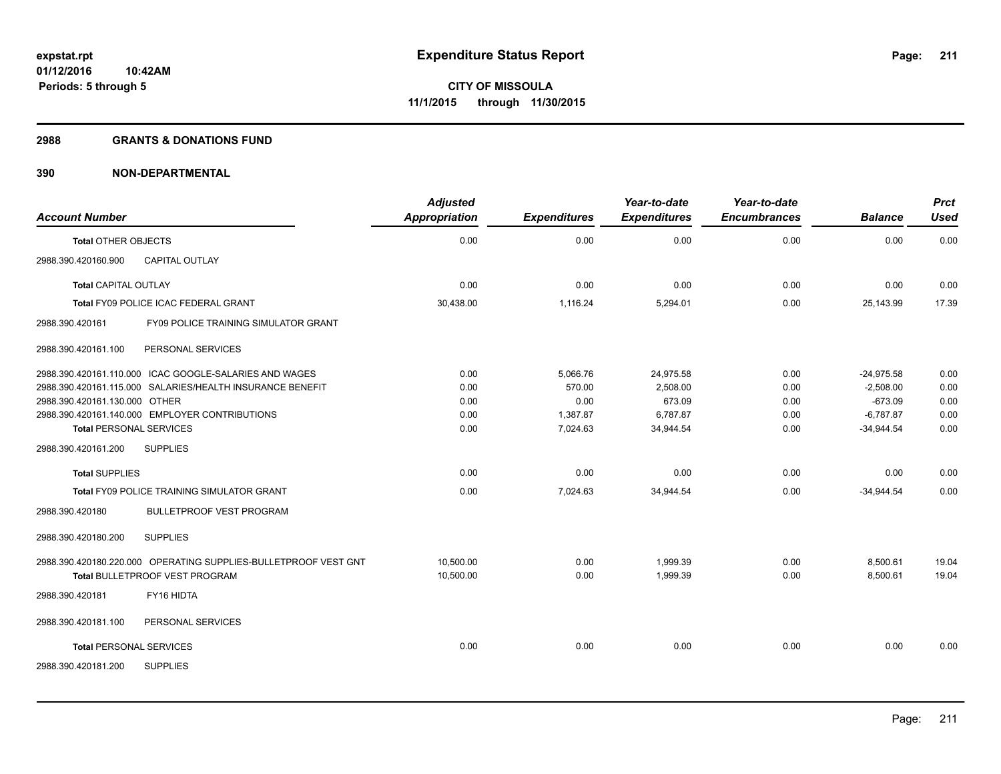#### **2988 GRANTS & DONATIONS FUND**

|                                                                                                          | <b>Adjusted</b>        |                     | Year-to-date         | Year-to-date        |                      | <b>Prct</b>    |
|----------------------------------------------------------------------------------------------------------|------------------------|---------------------|----------------------|---------------------|----------------------|----------------|
| <b>Account Number</b>                                                                                    | <b>Appropriation</b>   | <b>Expenditures</b> | <b>Expenditures</b>  | <b>Encumbrances</b> | <b>Balance</b>       | <b>Used</b>    |
| <b>Total OTHER OBJECTS</b>                                                                               | 0.00                   | 0.00                | 0.00                 | 0.00                | 0.00                 | 0.00           |
| <b>CAPITAL OUTLAY</b><br>2988.390.420160.900                                                             |                        |                     |                      |                     |                      |                |
| <b>Total CAPITAL OUTLAY</b>                                                                              | 0.00                   | 0.00                | 0.00                 | 0.00                | 0.00                 | 0.00           |
| Total FY09 POLICE ICAC FEDERAL GRANT                                                                     | 30,438.00              | 1,116.24            | 5,294.01             | 0.00                | 25,143.99            | 17.39          |
| 2988.390.420161<br>FY09 POLICE TRAINING SIMULATOR GRANT                                                  |                        |                     |                      |                     |                      |                |
| PERSONAL SERVICES<br>2988.390.420161.100                                                                 |                        |                     |                      |                     |                      |                |
| 2988.390.420161.110.000 ICAC GOOGLE-SALARIES AND WAGES                                                   | 0.00                   | 5.066.76            | 24.975.58            | 0.00                | $-24.975.58$         | 0.00           |
| 2988.390.420161.115.000 SALARIES/HEALTH INSURANCE BENEFIT                                                | 0.00                   | 570.00              | 2.508.00             | 0.00                | $-2,508.00$          | 0.00           |
| 2988.390.420161.130.000 OTHER                                                                            | 0.00                   | 0.00                | 673.09               | 0.00                | $-673.09$            | 0.00           |
| 2988.390.420161.140.000 EMPLOYER CONTRIBUTIONS                                                           | 0.00                   | 1,387.87            | 6,787.87             | 0.00                | $-6.787.87$          | 0.00           |
| <b>Total PERSONAL SERVICES</b>                                                                           | 0.00                   | 7,024.63            | 34,944.54            | 0.00                | $-34,944.54$         | 0.00           |
| 2988.390.420161.200<br><b>SUPPLIES</b>                                                                   |                        |                     |                      |                     |                      |                |
| <b>Total SUPPLIES</b>                                                                                    | 0.00                   | 0.00                | 0.00                 | 0.00                | 0.00                 | 0.00           |
| Total FY09 POLICE TRAINING SIMULATOR GRANT                                                               | 0.00                   | 7,024.63            | 34,944.54            | 0.00                | $-34,944.54$         | 0.00           |
| 2988.390.420180<br><b>BULLETPROOF VEST PROGRAM</b>                                                       |                        |                     |                      |                     |                      |                |
| 2988.390.420180.200<br><b>SUPPLIES</b>                                                                   |                        |                     |                      |                     |                      |                |
| 2988.390.420180.220.000 OPERATING SUPPLIES-BULLETPROOF VEST GNT<br><b>Total BULLETPROOF VEST PROGRAM</b> | 10.500.00<br>10,500.00 | 0.00<br>0.00        | 1.999.39<br>1,999.39 | 0.00<br>0.00        | 8,500.61<br>8,500.61 | 19.04<br>19.04 |
|                                                                                                          |                        |                     |                      |                     |                      |                |
| FY16 HIDTA<br>2988.390.420181                                                                            |                        |                     |                      |                     |                      |                |
| 2988.390.420181.100<br>PERSONAL SERVICES                                                                 |                        |                     |                      |                     |                      |                |
| <b>Total PERSONAL SERVICES</b>                                                                           | 0.00                   | 0.00                | 0.00                 | 0.00                | 0.00                 | 0.00           |
| 2988.390.420181.200<br><b>SUPPLIES</b>                                                                   |                        |                     |                      |                     |                      |                |
|                                                                                                          |                        |                     |                      |                     |                      |                |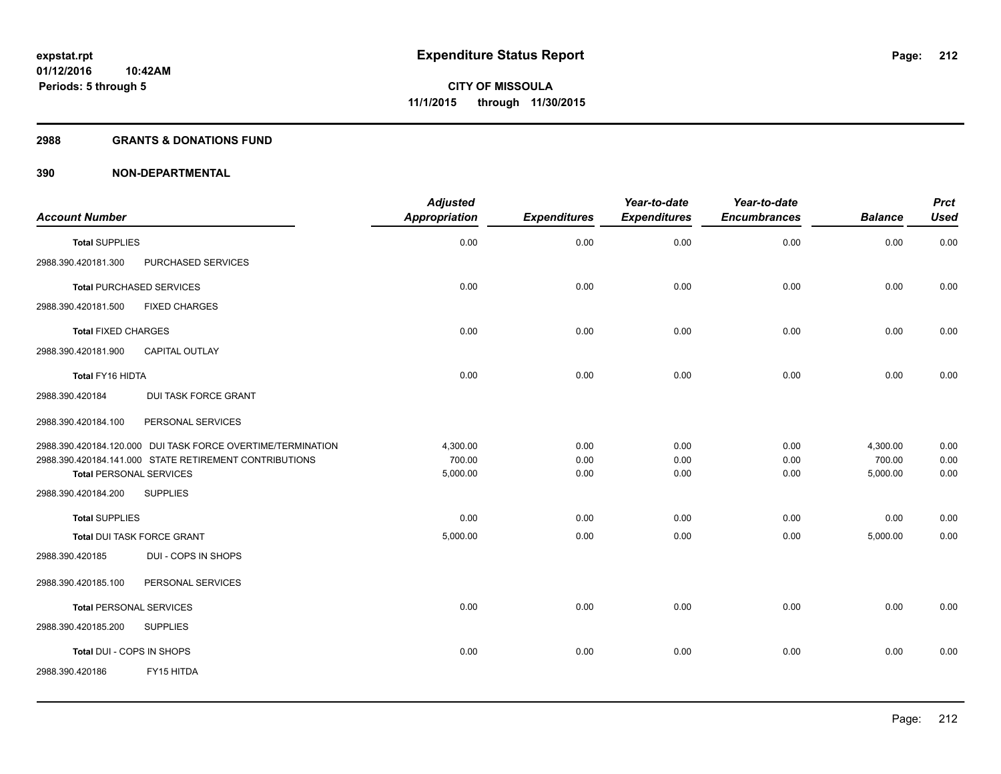#### **2988 GRANTS & DONATIONS FUND**

|                                                             | <b>Adjusted</b>      |                     | Year-to-date        | Year-to-date        |                | <b>Prct</b> |
|-------------------------------------------------------------|----------------------|---------------------|---------------------|---------------------|----------------|-------------|
| <b>Account Number</b>                                       | <b>Appropriation</b> | <b>Expenditures</b> | <b>Expenditures</b> | <b>Encumbrances</b> | <b>Balance</b> | <b>Used</b> |
| <b>Total SUPPLIES</b>                                       | 0.00                 | 0.00                | 0.00                | 0.00                | 0.00           | 0.00        |
| 2988.390.420181.300<br>PURCHASED SERVICES                   |                      |                     |                     |                     |                |             |
| <b>Total PURCHASED SERVICES</b>                             | 0.00                 | 0.00                | 0.00                | 0.00                | 0.00           | 0.00        |
| <b>FIXED CHARGES</b><br>2988.390.420181.500                 |                      |                     |                     |                     |                |             |
| <b>Total FIXED CHARGES</b>                                  | 0.00                 | 0.00                | 0.00                | 0.00                | 0.00           | 0.00        |
| 2988.390.420181.900<br><b>CAPITAL OUTLAY</b>                |                      |                     |                     |                     |                |             |
| Total FY16 HIDTA                                            | 0.00                 | 0.00                | 0.00                | 0.00                | 0.00           | 0.00        |
| 2988.390.420184<br><b>DUI TASK FORCE GRANT</b>              |                      |                     |                     |                     |                |             |
| 2988.390.420184.100<br>PERSONAL SERVICES                    |                      |                     |                     |                     |                |             |
| 2988.390.420184.120.000 DUI TASK FORCE OVERTIME/TERMINATION | 4,300.00             | 0.00                | 0.00                | 0.00                | 4,300.00       | 0.00        |
| 2988.390.420184.141.000 STATE RETIREMENT CONTRIBUTIONS      | 700.00               | 0.00                | 0.00                | 0.00                | 700.00         | 0.00        |
| <b>Total PERSONAL SERVICES</b>                              | 5,000.00             | 0.00                | 0.00                | 0.00                | 5,000.00       | 0.00        |
| 2988.390.420184.200<br><b>SUPPLIES</b>                      |                      |                     |                     |                     |                |             |
| <b>Total SUPPLIES</b>                                       | 0.00                 | 0.00                | 0.00                | 0.00                | 0.00           | 0.00        |
| Total DUI TASK FORCE GRANT                                  | 5,000.00             | 0.00                | 0.00                | 0.00                | 5,000.00       | 0.00        |
| 2988.390.420185<br>DUI - COPS IN SHOPS                      |                      |                     |                     |                     |                |             |
| 2988.390.420185.100<br>PERSONAL SERVICES                    |                      |                     |                     |                     |                |             |
| <b>Total PERSONAL SERVICES</b>                              | 0.00                 | 0.00                | 0.00                | 0.00                | 0.00           | 0.00        |
| 2988.390.420185.200<br><b>SUPPLIES</b>                      |                      |                     |                     |                     |                |             |
| Total DUI - COPS IN SHOPS                                   | 0.00                 | 0.00                | 0.00                | 0.00                | 0.00           | 0.00        |
| 2988.390.420186<br>FY15 HITDA                               |                      |                     |                     |                     |                |             |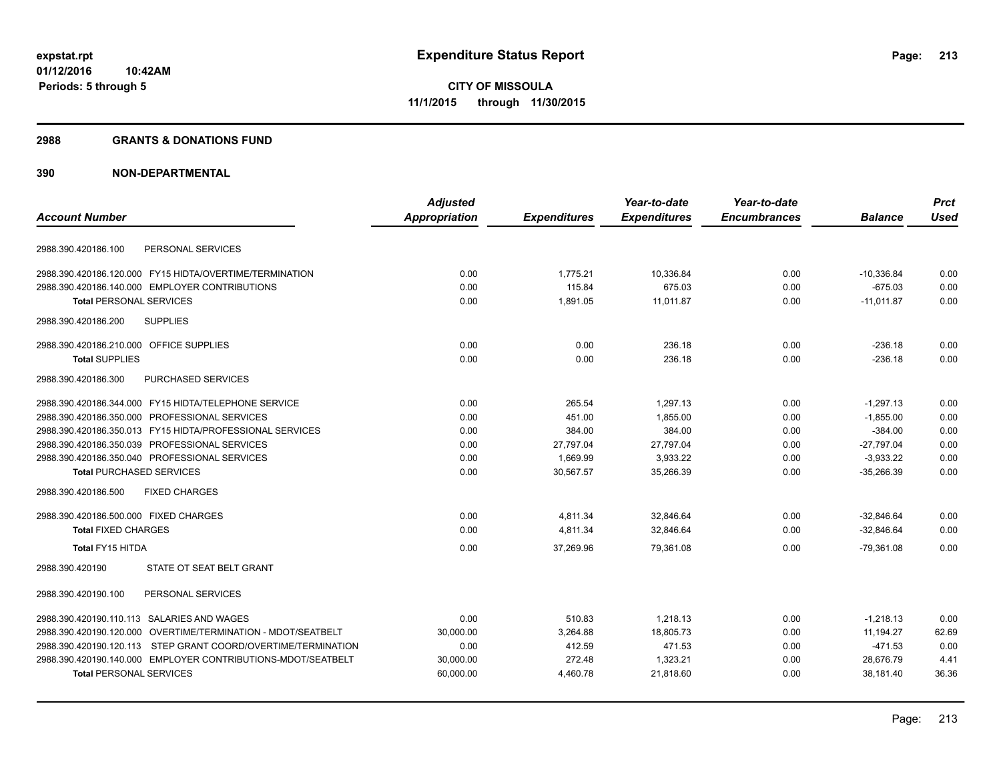#### **2988 GRANTS & DONATIONS FUND**

|                                                               | <b>Adjusted</b>      |                     | Year-to-date        | Year-to-date        |                | <b>Prct</b> |
|---------------------------------------------------------------|----------------------|---------------------|---------------------|---------------------|----------------|-------------|
| <b>Account Number</b>                                         | <b>Appropriation</b> | <b>Expenditures</b> | <b>Expenditures</b> | <b>Encumbrances</b> | <b>Balance</b> | <b>Used</b> |
|                                                               |                      |                     |                     |                     |                |             |
| PERSONAL SERVICES<br>2988.390.420186.100                      |                      |                     |                     |                     |                |             |
| 2988.390.420186.120.000 FY15 HIDTA/OVERTIME/TERMINATION       | 0.00                 | 1,775.21            | 10,336.84           | 0.00                | $-10,336.84$   | 0.00        |
| 2988.390.420186.140.000 EMPLOYER CONTRIBUTIONS                | 0.00                 | 115.84              | 675.03              | 0.00                | $-675.03$      | 0.00        |
| <b>Total PERSONAL SERVICES</b>                                | 0.00                 | 1,891.05            | 11,011.87           | 0.00                | $-11,011.87$   | 0.00        |
| 2988.390.420186.200<br><b>SUPPLIES</b>                        |                      |                     |                     |                     |                |             |
| 2988.390.420186.210.000 OFFICE SUPPLIES                       | 0.00                 | 0.00                | 236.18              | 0.00                | $-236.18$      | 0.00        |
| <b>Total SUPPLIES</b>                                         | 0.00                 | 0.00                | 236.18              | 0.00                | $-236.18$      | 0.00        |
| 2988.390.420186.300<br>PURCHASED SERVICES                     |                      |                     |                     |                     |                |             |
| 2988.390.420186.344.000 FY15 HIDTA/TELEPHONE SERVICE          | 0.00                 | 265.54              | 1,297.13            | 0.00                | $-1,297.13$    | 0.00        |
| 2988.390.420186.350.000 PROFESSIONAL SERVICES                 | 0.00                 | 451.00              | 1,855.00            | 0.00                | $-1,855.00$    | 0.00        |
| 2988.390.420186.350.013 FY15 HIDTA/PROFESSIONAL SERVICES      | 0.00                 | 384.00              | 384.00              | 0.00                | $-384.00$      | 0.00        |
| 2988.390.420186.350.039 PROFESSIONAL SERVICES                 | 0.00                 | 27,797.04           | 27,797.04           | 0.00                | $-27,797.04$   | 0.00        |
| 2988.390.420186.350.040 PROFESSIONAL SERVICES                 | 0.00                 | 1,669.99            | 3,933.22            | 0.00                | $-3,933.22$    | 0.00        |
| <b>Total PURCHASED SERVICES</b>                               | 0.00                 | 30,567.57           | 35,266.39           | 0.00                | $-35,266.39$   | 0.00        |
| 2988.390.420186.500<br><b>FIXED CHARGES</b>                   |                      |                     |                     |                     |                |             |
| 2988.390.420186.500.000 FIXED CHARGES                         | 0.00                 | 4,811.34            | 32,846.64           | 0.00                | $-32.846.64$   | 0.00        |
| <b>Total FIXED CHARGES</b>                                    | 0.00                 | 4,811.34            | 32,846.64           | 0.00                | $-32,846.64$   | 0.00        |
| Total FY15 HITDA                                              | 0.00                 | 37,269.96           | 79,361.08           | 0.00                | $-79,361.08$   | 0.00        |
| STATE OT SEAT BELT GRANT<br>2988.390.420190                   |                      |                     |                     |                     |                |             |
| 2988.390.420190.100<br>PERSONAL SERVICES                      |                      |                     |                     |                     |                |             |
| 2988.390.420190.110.113 SALARIES AND WAGES                    | 0.00                 | 510.83              | 1,218.13            | 0.00                | $-1,218.13$    | 0.00        |
| 2988.390.420190.120.000 OVERTIME/TERMINATION - MDOT/SEATBELT  | 30,000.00            | 3,264.88            | 18.805.73           | 0.00                | 11,194.27      | 62.69       |
| 2988.390.420190.120.113 STEP GRANT COORD/OVERTIME/TERMINATION | 0.00                 | 412.59              | 471.53              | 0.00                | $-471.53$      | 0.00        |
| 2988.390.420190.140.000 EMPLOYER CONTRIBUTIONS-MDOT/SEATBELT  | 30,000.00            | 272.48              | 1,323.21            | 0.00                | 28.676.79      | 4.41        |
| <b>Total PERSONAL SERVICES</b>                                | 60,000.00            | 4,460.78            | 21,818.60           | 0.00                | 38,181.40      | 36.36       |
|                                                               |                      |                     |                     |                     |                |             |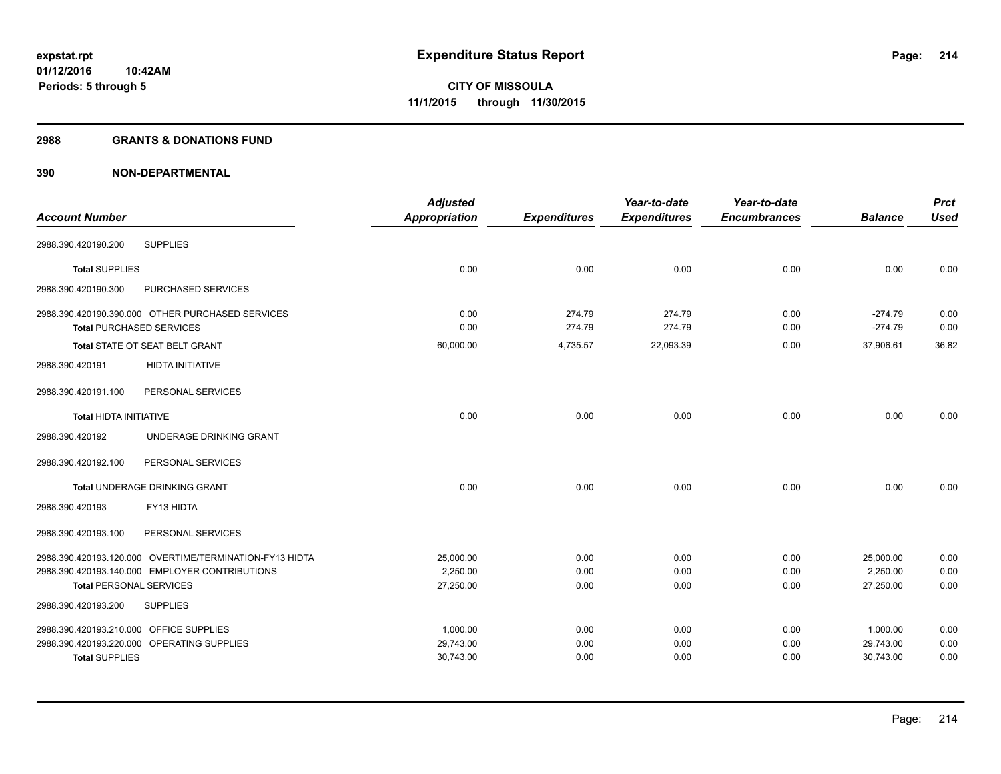#### **2988 GRANTS & DONATIONS FUND**

|                                         |                                                         | <b>Adjusted</b>      |                     | Year-to-date        | Year-to-date        |                | <b>Prct</b> |
|-----------------------------------------|---------------------------------------------------------|----------------------|---------------------|---------------------|---------------------|----------------|-------------|
| <b>Account Number</b>                   |                                                         | <b>Appropriation</b> | <b>Expenditures</b> | <b>Expenditures</b> | <b>Encumbrances</b> | <b>Balance</b> | <b>Used</b> |
| 2988.390.420190.200                     | <b>SUPPLIES</b>                                         |                      |                     |                     |                     |                |             |
| <b>Total SUPPLIES</b>                   |                                                         | 0.00                 | 0.00                | 0.00                | 0.00                | 0.00           | 0.00        |
| 2988.390.420190.300                     | PURCHASED SERVICES                                      |                      |                     |                     |                     |                |             |
|                                         | 2988.390.420190.390.000 OTHER PURCHASED SERVICES        | 0.00                 | 274.79              | 274.79              | 0.00                | $-274.79$      | 0.00        |
|                                         | <b>Total PURCHASED SERVICES</b>                         | 0.00                 | 274.79              | 274.79              | 0.00                | $-274.79$      | 0.00        |
|                                         | Total STATE OT SEAT BELT GRANT                          | 60,000.00            | 4,735.57            | 22,093.39           | 0.00                | 37,906.61      | 36.82       |
| 2988.390.420191                         | <b>HIDTA INITIATIVE</b>                                 |                      |                     |                     |                     |                |             |
| 2988.390.420191.100                     | PERSONAL SERVICES                                       |                      |                     |                     |                     |                |             |
| <b>Total HIDTA INITIATIVE</b>           |                                                         | 0.00                 | 0.00                | 0.00                | 0.00                | 0.00           | 0.00        |
| 2988.390.420192                         | UNDERAGE DRINKING GRANT                                 |                      |                     |                     |                     |                |             |
| 2988.390.420192.100                     | PERSONAL SERVICES                                       |                      |                     |                     |                     |                |             |
|                                         | Total UNDERAGE DRINKING GRANT                           | 0.00                 | 0.00                | 0.00                | 0.00                | 0.00           | 0.00        |
| 2988.390.420193                         | FY13 HIDTA                                              |                      |                     |                     |                     |                |             |
| 2988.390.420193.100                     | PERSONAL SERVICES                                       |                      |                     |                     |                     |                |             |
|                                         | 2988.390.420193.120.000 OVERTIME/TERMINATION-FY13 HIDTA | 25.000.00            | 0.00                | 0.00                | 0.00                | 25,000.00      | 0.00        |
|                                         | 2988.390.420193.140.000 EMPLOYER CONTRIBUTIONS          | 2,250.00             | 0.00                | 0.00                | 0.00                | 2,250.00       | 0.00        |
| <b>Total PERSONAL SERVICES</b>          |                                                         | 27,250.00            | 0.00                | 0.00                | 0.00                | 27,250.00      | 0.00        |
| 2988.390.420193.200                     | <b>SUPPLIES</b>                                         |                      |                     |                     |                     |                |             |
| 2988.390.420193.210.000 OFFICE SUPPLIES |                                                         | 1,000.00             | 0.00                | 0.00                | 0.00                | 1,000.00       | 0.00        |
|                                         | 2988.390.420193.220.000 OPERATING SUPPLIES              | 29,743.00            | 0.00                | 0.00                | 0.00                | 29,743.00      | 0.00        |
| <b>Total SUPPLIES</b>                   |                                                         | 30,743.00            | 0.00                | 0.00                | 0.00                | 30,743.00      | 0.00        |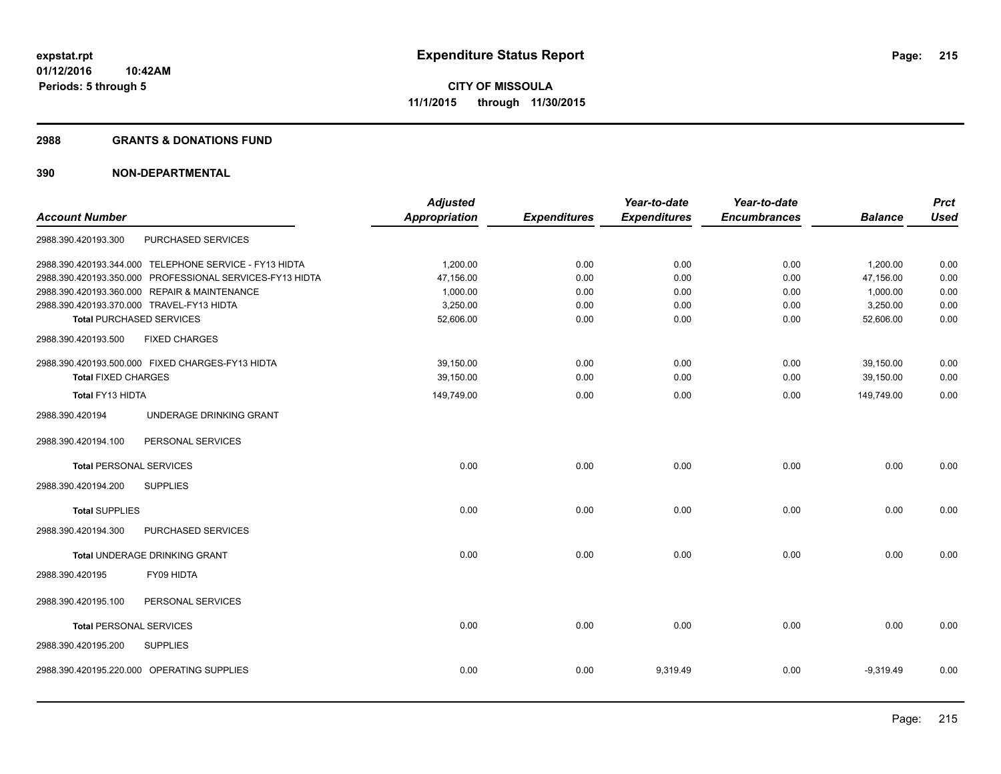#### **2988 GRANTS & DONATIONS FUND**

|                                |                                                          | <b>Adjusted</b>      |                     | Year-to-date        | Year-to-date        |                | <b>Prct</b> |
|--------------------------------|----------------------------------------------------------|----------------------|---------------------|---------------------|---------------------|----------------|-------------|
| <b>Account Number</b>          |                                                          | <b>Appropriation</b> | <b>Expenditures</b> | <b>Expenditures</b> | <b>Encumbrances</b> | <b>Balance</b> | <b>Used</b> |
| 2988.390.420193.300            | PURCHASED SERVICES                                       |                      |                     |                     |                     |                |             |
|                                | 2988.390.420193.344.000 TELEPHONE SERVICE - FY13 HIDTA   | 1,200.00             | 0.00                | 0.00                | 0.00                | 1,200.00       | 0.00        |
|                                | 2988.390.420193.350.000 PROFESSIONAL SERVICES-FY13 HIDTA | 47,156.00            | 0.00                | 0.00                | 0.00                | 47,156.00      | 0.00        |
|                                | 2988.390.420193.360.000 REPAIR & MAINTENANCE             | 1,000.00             | 0.00                | 0.00                | 0.00                | 1,000.00       | 0.00        |
|                                | 2988.390.420193.370.000 TRAVEL-FY13 HIDTA                | 3,250.00             | 0.00                | 0.00                | 0.00                | 3,250.00       | 0.00        |
|                                | <b>Total PURCHASED SERVICES</b>                          | 52,606.00            | 0.00                | 0.00                | 0.00                | 52,606.00      | 0.00        |
| 2988.390.420193.500            | <b>FIXED CHARGES</b>                                     |                      |                     |                     |                     |                |             |
|                                | 2988.390.420193.500.000 FIXED CHARGES-FY13 HIDTA         | 39,150.00            | 0.00                | 0.00                | 0.00                | 39,150.00      | 0.00        |
| <b>Total FIXED CHARGES</b>     |                                                          | 39,150.00            | 0.00                | 0.00                | 0.00                | 39,150.00      | 0.00        |
| Total FY13 HIDTA               |                                                          | 149,749.00           | 0.00                | 0.00                | 0.00                | 149,749.00     | 0.00        |
| 2988.390.420194                | UNDERAGE DRINKING GRANT                                  |                      |                     |                     |                     |                |             |
| 2988.390.420194.100            | PERSONAL SERVICES                                        |                      |                     |                     |                     |                |             |
| <b>Total PERSONAL SERVICES</b> |                                                          | 0.00                 | 0.00                | 0.00                | 0.00                | 0.00           | 0.00        |
| 2988.390.420194.200            | <b>SUPPLIES</b>                                          |                      |                     |                     |                     |                |             |
| <b>Total SUPPLIES</b>          |                                                          | 0.00                 | 0.00                | 0.00                | 0.00                | 0.00           | 0.00        |
| 2988.390.420194.300            | PURCHASED SERVICES                                       |                      |                     |                     |                     |                |             |
|                                | Total UNDERAGE DRINKING GRANT                            | 0.00                 | 0.00                | 0.00                | 0.00                | 0.00           | 0.00        |
| 2988.390.420195                | FY09 HIDTA                                               |                      |                     |                     |                     |                |             |
| 2988.390.420195.100            | PERSONAL SERVICES                                        |                      |                     |                     |                     |                |             |
| <b>Total PERSONAL SERVICES</b> |                                                          | 0.00                 | 0.00                | 0.00                | 0.00                | 0.00           | 0.00        |
| 2988.390.420195.200            | <b>SUPPLIES</b>                                          |                      |                     |                     |                     |                |             |
|                                | 2988.390.420195.220.000 OPERATING SUPPLIES               | 0.00                 | 0.00                | 9,319.49            | 0.00                | $-9,319.49$    | 0.00        |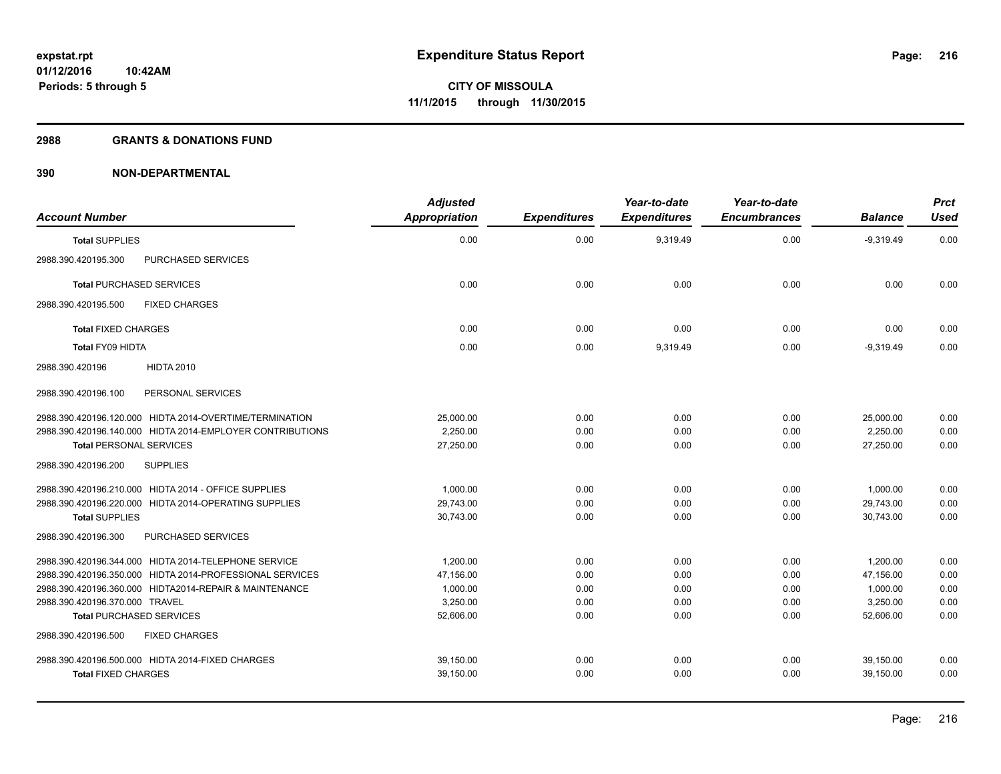#### **2988 GRANTS & DONATIONS FUND**

| <b>Account Number</b>                                     | <b>Adjusted</b><br><b>Appropriation</b> | <b>Expenditures</b> | Year-to-date<br><b>Expenditures</b> | Year-to-date<br><b>Encumbrances</b> | <b>Balance</b> | <b>Prct</b><br><b>Used</b> |
|-----------------------------------------------------------|-----------------------------------------|---------------------|-------------------------------------|-------------------------------------|----------------|----------------------------|
| <b>Total SUPPLIES</b>                                     | 0.00                                    | 0.00                | 9,319.49                            | 0.00                                | $-9,319.49$    | 0.00                       |
| PURCHASED SERVICES<br>2988.390.420195.300                 |                                         |                     |                                     |                                     |                |                            |
| <b>Total PURCHASED SERVICES</b>                           | 0.00                                    | 0.00                | 0.00                                | 0.00                                | 0.00           | 0.00                       |
| 2988.390.420195.500<br><b>FIXED CHARGES</b>               |                                         |                     |                                     |                                     |                |                            |
| <b>Total FIXED CHARGES</b>                                | 0.00                                    | 0.00                | 0.00                                | 0.00                                | 0.00           | 0.00                       |
| <b>Total FY09 HIDTA</b>                                   | 0.00                                    | 0.00                | 9,319.49                            | 0.00                                | $-9.319.49$    | 0.00                       |
| <b>HIDTA 2010</b><br>2988.390.420196                      |                                         |                     |                                     |                                     |                |                            |
| 2988.390.420196.100<br>PERSONAL SERVICES                  |                                         |                     |                                     |                                     |                |                            |
| 2988.390.420196.120.000 HIDTA 2014-OVERTIME/TERMINATION   | 25,000.00                               | 0.00                | 0.00                                | 0.00                                | 25,000.00      | 0.00                       |
| 2988.390.420196.140.000 HIDTA 2014-EMPLOYER CONTRIBUTIONS | 2,250.00                                | 0.00                | 0.00                                | 0.00                                | 2,250.00       | 0.00                       |
| <b>Total PERSONAL SERVICES</b>                            | 27.250.00                               | 0.00                | 0.00                                | 0.00                                | 27.250.00      | 0.00                       |
| <b>SUPPLIES</b><br>2988.390.420196.200                    |                                         |                     |                                     |                                     |                |                            |
| 2988.390.420196.210.000 HIDTA 2014 - OFFICE SUPPLIES      | 1,000.00                                | 0.00                | 0.00                                | 0.00                                | 1,000.00       | 0.00                       |
| 2988.390.420196.220.000 HIDTA 2014-OPERATING SUPPLIES     | 29,743.00                               | 0.00                | 0.00                                | 0.00                                | 29,743.00      | 0.00                       |
| <b>Total SUPPLIES</b>                                     | 30,743.00                               | 0.00                | 0.00                                | 0.00                                | 30,743.00      | 0.00                       |
| PURCHASED SERVICES<br>2988.390.420196.300                 |                                         |                     |                                     |                                     |                |                            |
| 2988.390.420196.344.000 HIDTA 2014-TELEPHONE SERVICE      | 1,200.00                                | 0.00                | 0.00                                | 0.00                                | 1,200.00       | 0.00                       |
| 2988.390.420196.350.000 HIDTA 2014-PROFESSIONAL SERVICES  | 47,156.00                               | 0.00                | 0.00                                | 0.00                                | 47,156.00      | 0.00                       |
| 2988.390.420196.360.000 HIDTA2014-REPAIR & MAINTENANCE    | 1,000.00                                | 0.00                | 0.00                                | 0.00                                | 1,000.00       | 0.00                       |
| 2988.390.420196.370.000 TRAVEL                            | 3,250.00                                | 0.00                | 0.00                                | 0.00                                | 3,250.00       | 0.00                       |
| <b>Total PURCHASED SERVICES</b>                           | 52,606.00                               | 0.00                | 0.00                                | 0.00                                | 52,606.00      | 0.00                       |
| 2988.390.420196.500<br><b>FIXED CHARGES</b>               |                                         |                     |                                     |                                     |                |                            |
| 2988.390.420196.500.000 HIDTA 2014-FIXED CHARGES          | 39,150.00                               | 0.00                | 0.00                                | 0.00                                | 39,150.00      | 0.00                       |
| <b>Total FIXED CHARGES</b>                                | 39,150.00                               | 0.00                | 0.00                                | 0.00                                | 39,150.00      | 0.00                       |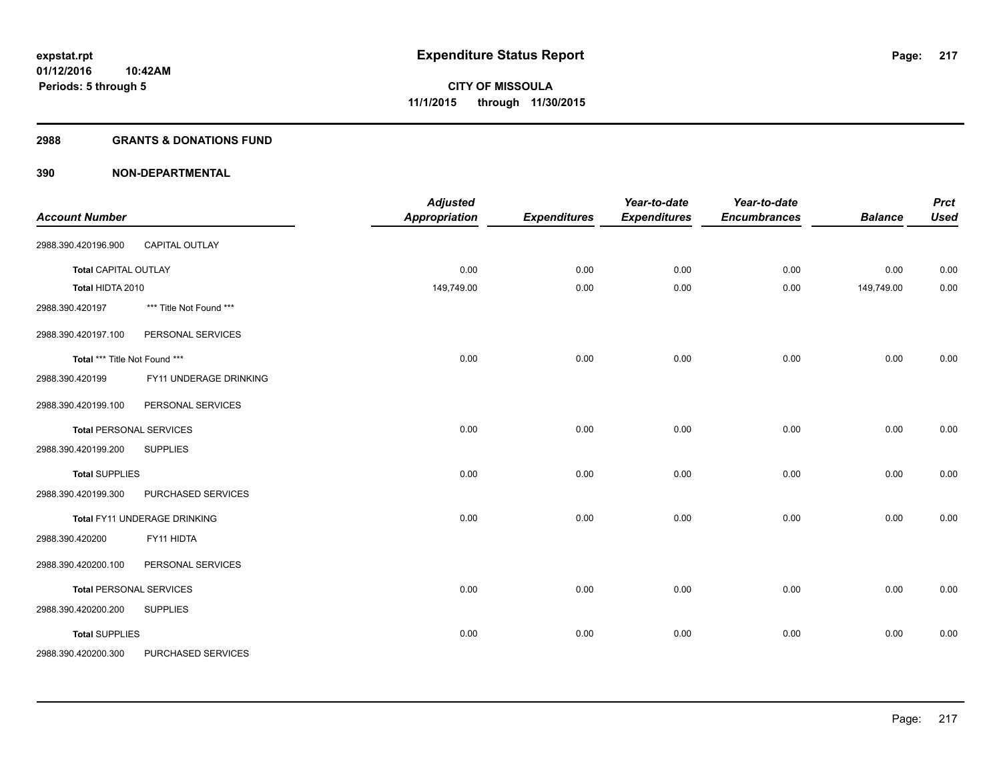#### **2988 GRANTS & DONATIONS FUND**

| <b>Account Number</b>          |                              | <b>Adjusted</b><br><b>Appropriation</b> | <b>Expenditures</b> | Year-to-date<br><b>Expenditures</b> | Year-to-date<br><b>Encumbrances</b> | <b>Balance</b> | <b>Prct</b><br><b>Used</b> |
|--------------------------------|------------------------------|-----------------------------------------|---------------------|-------------------------------------|-------------------------------------|----------------|----------------------------|
| 2988.390.420196.900            | <b>CAPITAL OUTLAY</b>        |                                         |                     |                                     |                                     |                |                            |
| <b>Total CAPITAL OUTLAY</b>    |                              | 0.00                                    | 0.00                | 0.00                                | 0.00                                | 0.00           | 0.00                       |
| Total HIDTA 2010               |                              | 149,749.00                              | 0.00                | 0.00                                | 0.00                                | 149,749.00     | 0.00                       |
| 2988.390.420197                | *** Title Not Found ***      |                                         |                     |                                     |                                     |                |                            |
| 2988.390.420197.100            | PERSONAL SERVICES            |                                         |                     |                                     |                                     |                |                            |
| Total *** Title Not Found ***  |                              | 0.00                                    | 0.00                | 0.00                                | 0.00                                | 0.00           | 0.00                       |
| 2988.390.420199                | FY11 UNDERAGE DRINKING       |                                         |                     |                                     |                                     |                |                            |
| 2988.390.420199.100            | PERSONAL SERVICES            |                                         |                     |                                     |                                     |                |                            |
| <b>Total PERSONAL SERVICES</b> |                              | 0.00                                    | 0.00                | 0.00                                | 0.00                                | 0.00           | 0.00                       |
| 2988.390.420199.200            | <b>SUPPLIES</b>              |                                         |                     |                                     |                                     |                |                            |
| <b>Total SUPPLIES</b>          |                              | 0.00                                    | 0.00                | 0.00                                | 0.00                                | 0.00           | 0.00                       |
| 2988.390.420199.300            | PURCHASED SERVICES           |                                         |                     |                                     |                                     |                |                            |
|                                | Total FY11 UNDERAGE DRINKING | 0.00                                    | 0.00                | 0.00                                | 0.00                                | 0.00           | 0.00                       |
| 2988.390.420200                | FY11 HIDTA                   |                                         |                     |                                     |                                     |                |                            |
| 2988.390.420200.100            | PERSONAL SERVICES            |                                         |                     |                                     |                                     |                |                            |
| <b>Total PERSONAL SERVICES</b> |                              | 0.00                                    | 0.00                | 0.00                                | 0.00                                | 0.00           | 0.00                       |
| 2988.390.420200.200            | <b>SUPPLIES</b>              |                                         |                     |                                     |                                     |                |                            |
| <b>Total SUPPLIES</b>          |                              | 0.00                                    | 0.00                | 0.00                                | 0.00                                | 0.00           | 0.00                       |
| 2988.390.420200.300            | PURCHASED SERVICES           |                                         |                     |                                     |                                     |                |                            |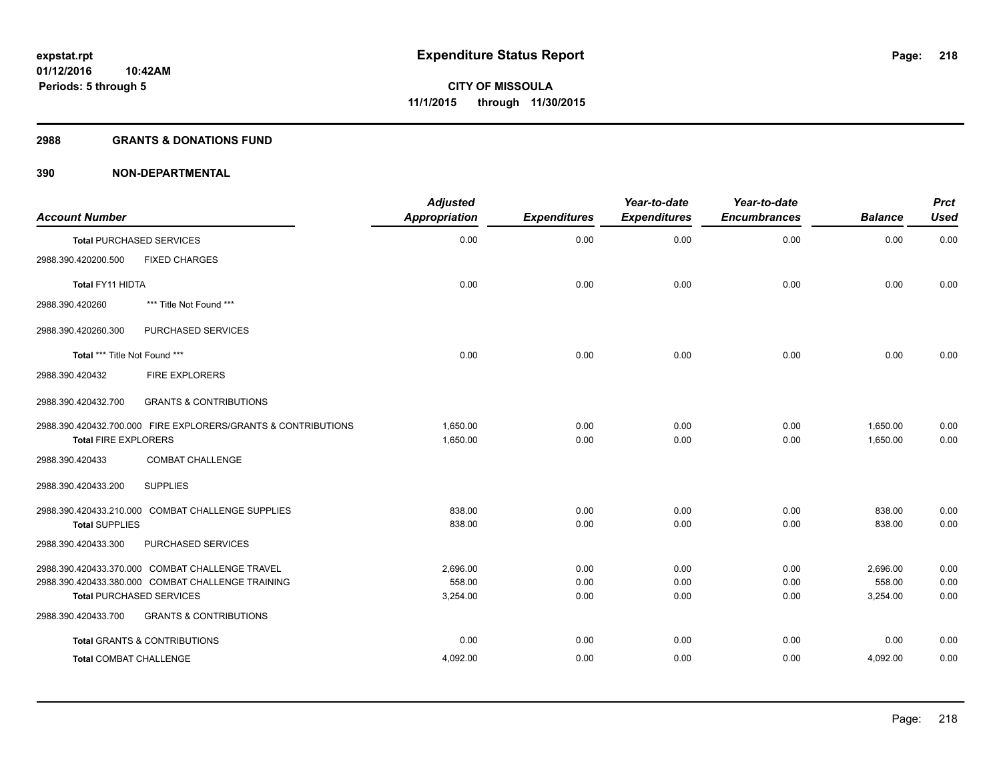#### **2988 GRANTS & DONATIONS FUND**

| <b>Account Number</b>                                         | <b>Adjusted</b><br><b>Appropriation</b> | <b>Expenditures</b> | Year-to-date<br><b>Expenditures</b> | Year-to-date<br><b>Encumbrances</b> | <b>Balance</b> | <b>Prct</b><br><b>Used</b> |
|---------------------------------------------------------------|-----------------------------------------|---------------------|-------------------------------------|-------------------------------------|----------------|----------------------------|
| <b>Total PURCHASED SERVICES</b>                               | 0.00                                    | 0.00                | 0.00                                | 0.00                                | 0.00           | 0.00                       |
| <b>FIXED CHARGES</b><br>2988.390.420200.500                   |                                         |                     |                                     |                                     |                |                            |
| Total FY11 HIDTA                                              | 0.00                                    | 0.00                | 0.00                                | 0.00                                | 0.00           | 0.00                       |
| 2988.390.420260<br>*** Title Not Found ***                    |                                         |                     |                                     |                                     |                |                            |
| PURCHASED SERVICES<br>2988.390.420260.300                     |                                         |                     |                                     |                                     |                |                            |
| Total *** Title Not Found ***                                 | 0.00                                    | 0.00                | 0.00                                | 0.00                                | 0.00           | 0.00                       |
| <b>FIRE EXPLORERS</b><br>2988.390.420432                      |                                         |                     |                                     |                                     |                |                            |
| 2988.390.420432.700<br><b>GRANTS &amp; CONTRIBUTIONS</b>      |                                         |                     |                                     |                                     |                |                            |
| 2988.390.420432.700.000 FIRE EXPLORERS/GRANTS & CONTRIBUTIONS | 1,650.00                                | 0.00                | 0.00                                | 0.00                                | 1,650.00       | 0.00                       |
| <b>Total FIRE EXPLORERS</b>                                   | 1,650.00                                | 0.00                | 0.00                                | 0.00                                | 1,650.00       | 0.00                       |
| <b>COMBAT CHALLENGE</b><br>2988.390.420433                    |                                         |                     |                                     |                                     |                |                            |
| <b>SUPPLIES</b><br>2988.390.420433.200                        |                                         |                     |                                     |                                     |                |                            |
| 2988.390.420433.210.000 COMBAT CHALLENGE SUPPLIES             | 838.00                                  | 0.00                | 0.00                                | 0.00                                | 838.00         | 0.00                       |
| <b>Total SUPPLIES</b>                                         | 838.00                                  | 0.00                | 0.00                                | 0.00                                | 838.00         | 0.00                       |
| 2988.390.420433.300<br>PURCHASED SERVICES                     |                                         |                     |                                     |                                     |                |                            |
| 2988.390.420433.370.000 COMBAT CHALLENGE TRAVEL               | 2,696.00                                | 0.00                | 0.00                                | 0.00                                | 2,696.00       | 0.00                       |
| 2988.390.420433.380.000 COMBAT CHALLENGE TRAINING             | 558.00                                  | 0.00                | 0.00                                | 0.00                                | 558.00         | 0.00                       |
| <b>Total PURCHASED SERVICES</b>                               | 3,254.00                                | 0.00                | 0.00                                | 0.00                                | 3,254.00       | 0.00                       |
| 2988.390.420433.700<br><b>GRANTS &amp; CONTRIBUTIONS</b>      |                                         |                     |                                     |                                     |                |                            |
| <b>Total GRANTS &amp; CONTRIBUTIONS</b>                       | 0.00                                    | 0.00                | 0.00                                | 0.00                                | 0.00           | 0.00                       |
| <b>Total COMBAT CHALLENGE</b>                                 | 4,092.00                                | 0.00                | 0.00                                | 0.00                                | 4,092.00       | 0.00                       |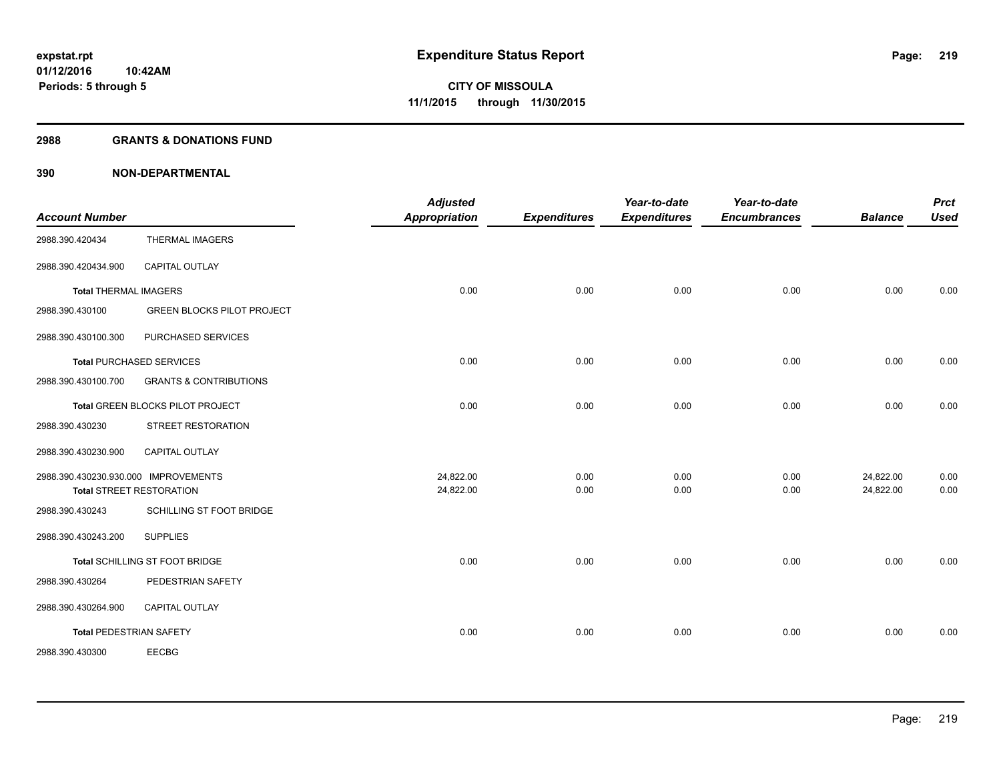#### **2988 GRANTS & DONATIONS FUND**

| <b>Account Number</b>                |                                   | <b>Adjusted</b><br><b>Appropriation</b> | <b>Expenditures</b> | Year-to-date<br><b>Expenditures</b> | Year-to-date<br><b>Encumbrances</b> | <b>Balance</b> | <b>Prct</b><br><b>Used</b> |
|--------------------------------------|-----------------------------------|-----------------------------------------|---------------------|-------------------------------------|-------------------------------------|----------------|----------------------------|
| 2988.390.420434                      | <b>THERMAL IMAGERS</b>            |                                         |                     |                                     |                                     |                |                            |
| 2988.390.420434.900                  | <b>CAPITAL OUTLAY</b>             |                                         |                     |                                     |                                     |                |                            |
| <b>Total THERMAL IMAGERS</b>         |                                   | 0.00                                    | 0.00                | 0.00                                | 0.00                                | 0.00           | 0.00                       |
| 2988.390.430100                      | <b>GREEN BLOCKS PILOT PROJECT</b> |                                         |                     |                                     |                                     |                |                            |
| 2988.390.430100.300                  | PURCHASED SERVICES                |                                         |                     |                                     |                                     |                |                            |
|                                      | <b>Total PURCHASED SERVICES</b>   | 0.00                                    | 0.00                | 0.00                                | 0.00                                | 0.00           | 0.00                       |
| 2988.390.430100.700                  | <b>GRANTS &amp; CONTRIBUTIONS</b> |                                         |                     |                                     |                                     |                |                            |
|                                      | Total GREEN BLOCKS PILOT PROJECT  | 0.00                                    | 0.00                | 0.00                                | 0.00                                | 0.00           | 0.00                       |
| 2988.390.430230                      | STREET RESTORATION                |                                         |                     |                                     |                                     |                |                            |
| 2988.390.430230.900                  | <b>CAPITAL OUTLAY</b>             |                                         |                     |                                     |                                     |                |                            |
| 2988.390.430230.930.000 IMPROVEMENTS |                                   | 24,822.00                               | 0.00                | 0.00                                | 0.00                                | 24,822.00      | 0.00                       |
|                                      | <b>Total STREET RESTORATION</b>   | 24,822.00                               | 0.00                | 0.00                                | 0.00                                | 24,822.00      | 0.00                       |
| 2988.390.430243                      | SCHILLING ST FOOT BRIDGE          |                                         |                     |                                     |                                     |                |                            |
| 2988.390.430243.200                  | <b>SUPPLIES</b>                   |                                         |                     |                                     |                                     |                |                            |
|                                      | Total SCHILLING ST FOOT BRIDGE    | 0.00                                    | 0.00                | 0.00                                | 0.00                                | 0.00           | 0.00                       |
| 2988.390.430264                      | PEDESTRIAN SAFETY                 |                                         |                     |                                     |                                     |                |                            |
| 2988.390.430264.900                  | CAPITAL OUTLAY                    |                                         |                     |                                     |                                     |                |                            |
| <b>Total PEDESTRIAN SAFETY</b>       |                                   | 0.00                                    | 0.00                | 0.00                                | 0.00                                | 0.00           | 0.00                       |
| 2988.390.430300                      | <b>EECBG</b>                      |                                         |                     |                                     |                                     |                |                            |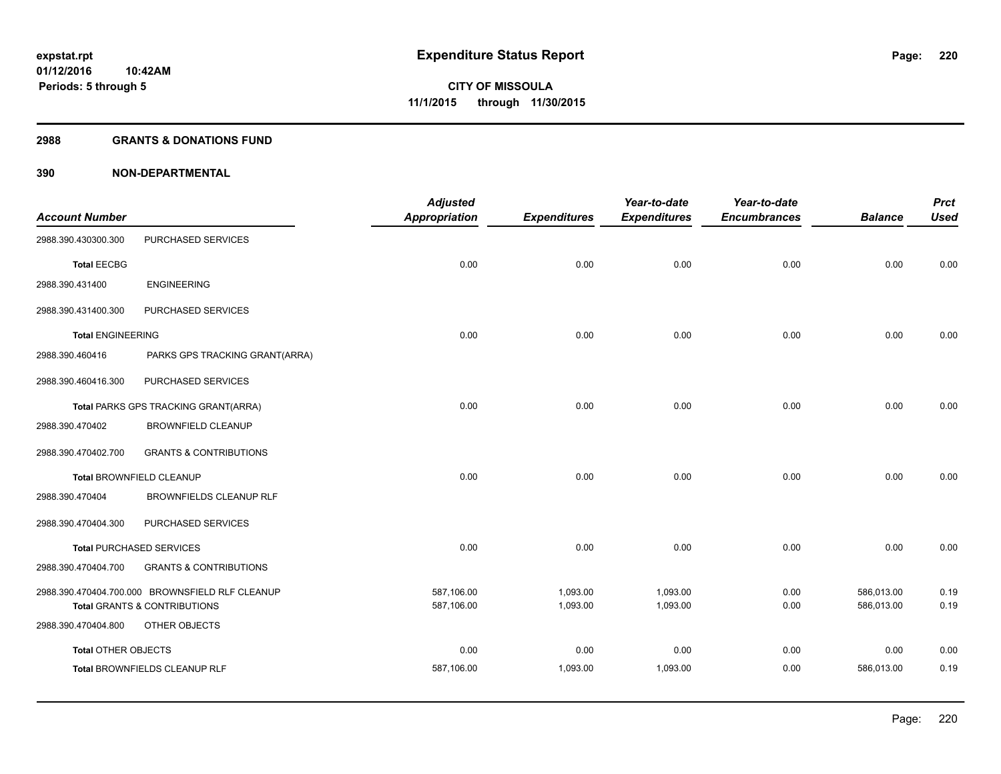#### **2988 GRANTS & DONATIONS FUND**

| <b>Account Number</b>      |                                                          | <b>Adjusted</b><br><b>Appropriation</b> | <b>Expenditures</b> | Year-to-date<br><b>Expenditures</b> | Year-to-date<br><b>Encumbrances</b> | <b>Balance</b> | <b>Prct</b><br><b>Used</b> |
|----------------------------|----------------------------------------------------------|-----------------------------------------|---------------------|-------------------------------------|-------------------------------------|----------------|----------------------------|
| 2988.390.430300.300        | PURCHASED SERVICES                                       |                                         |                     |                                     |                                     |                |                            |
| <b>Total EECBG</b>         |                                                          | 0.00                                    | 0.00                | 0.00                                | 0.00                                | 0.00           | 0.00                       |
| 2988.390.431400            | <b>ENGINEERING</b>                                       |                                         |                     |                                     |                                     |                |                            |
| 2988.390.431400.300        | PURCHASED SERVICES                                       |                                         |                     |                                     |                                     |                |                            |
| <b>Total ENGINEERING</b>   |                                                          | 0.00                                    | 0.00                | 0.00                                | 0.00                                | 0.00           | 0.00                       |
| 2988.390.460416            | PARKS GPS TRACKING GRANT(ARRA)                           |                                         |                     |                                     |                                     |                |                            |
| 2988.390.460416.300        | PURCHASED SERVICES                                       |                                         |                     |                                     |                                     |                |                            |
|                            | Total PARKS GPS TRACKING GRANT(ARRA)                     | 0.00                                    | 0.00                | 0.00                                | 0.00                                | 0.00           | 0.00                       |
| 2988.390.470402            | <b>BROWNFIELD CLEANUP</b>                                |                                         |                     |                                     |                                     |                |                            |
| 2988.390.470402.700        | <b>GRANTS &amp; CONTRIBUTIONS</b>                        |                                         |                     |                                     |                                     |                |                            |
|                            | <b>Total BROWNFIELD CLEANUP</b>                          | 0.00                                    | 0.00                | 0.00                                | 0.00                                | 0.00           | 0.00                       |
| 2988.390.470404            | BROWNFIELDS CLEANUP RLF                                  |                                         |                     |                                     |                                     |                |                            |
| 2988.390.470404.300        | PURCHASED SERVICES                                       |                                         |                     |                                     |                                     |                |                            |
|                            | <b>Total PURCHASED SERVICES</b>                          | 0.00                                    | 0.00                | 0.00                                | 0.00                                | 0.00           | 0.00                       |
| 2988.390.470404.700        | <b>GRANTS &amp; CONTRIBUTIONS</b>                        |                                         |                     |                                     |                                     |                |                            |
|                            | 2988.390.470404.700.000 BROWNSFIELD RLF CLEANUP          | 587,106.00                              | 1,093.00            | 1,093.00                            | 0.00                                | 586,013.00     | 0.19                       |
| 2988.390.470404.800        | <b>Total GRANTS &amp; CONTRIBUTIONS</b><br>OTHER OBJECTS | 587,106.00                              | 1,093.00            | 1,093.00                            | 0.00                                | 586,013.00     | 0.19                       |
| <b>Total OTHER OBJECTS</b> |                                                          | 0.00                                    | 0.00                | 0.00                                | 0.00                                | 0.00           | 0.00                       |
|                            | Total BROWNFIELDS CLEANUP RLF                            | 587,106.00                              | 1,093.00            | 1,093.00                            | 0.00                                | 586,013.00     | 0.19                       |
|                            |                                                          |                                         |                     |                                     |                                     |                |                            |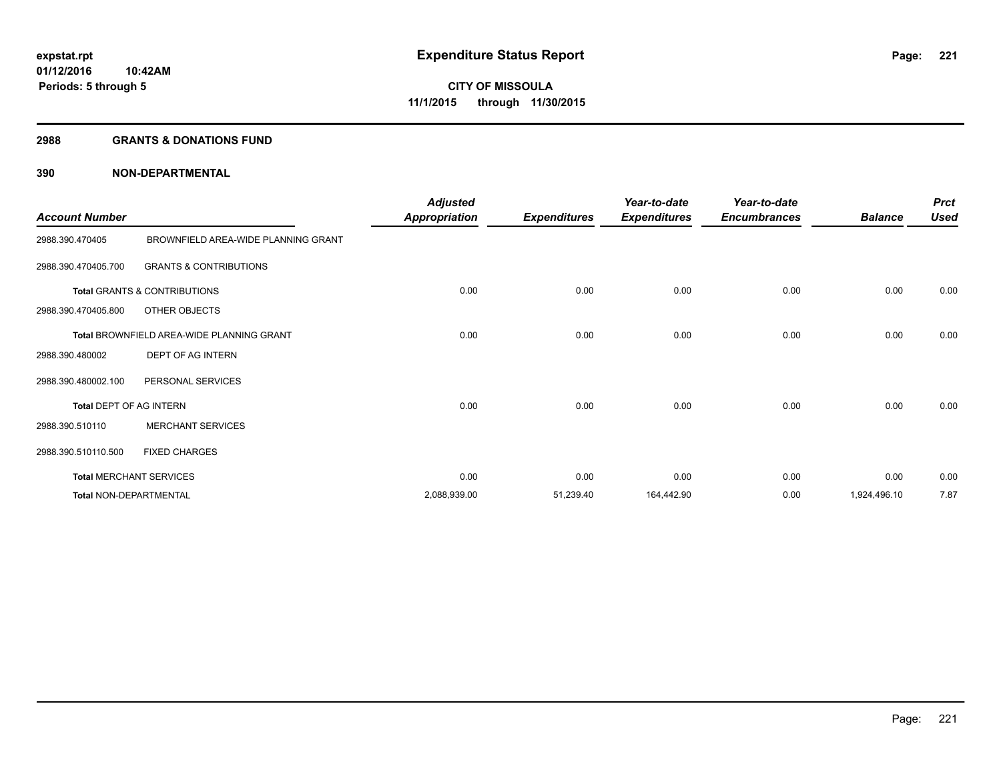#### **2988 GRANTS & DONATIONS FUND**

| <b>Account Number</b>   |                                           | <b>Adjusted</b><br><b>Appropriation</b> | <b>Expenditures</b> | Year-to-date<br><b>Expenditures</b> | Year-to-date<br><b>Encumbrances</b> | <b>Balance</b> | <b>Prct</b><br><b>Used</b> |
|-------------------------|-------------------------------------------|-----------------------------------------|---------------------|-------------------------------------|-------------------------------------|----------------|----------------------------|
| 2988.390.470405         | BROWNFIELD AREA-WIDE PLANNING GRANT       |                                         |                     |                                     |                                     |                |                            |
| 2988.390.470405.700     | <b>GRANTS &amp; CONTRIBUTIONS</b>         |                                         |                     |                                     |                                     |                |                            |
|                         | Total GRANTS & CONTRIBUTIONS              | 0.00                                    | 0.00                | 0.00                                | 0.00                                | 0.00           | 0.00                       |
| 2988.390.470405.800     | OTHER OBJECTS                             |                                         |                     |                                     |                                     |                |                            |
|                         | Total BROWNFIELD AREA-WIDE PLANNING GRANT | 0.00                                    | 0.00                | 0.00                                | 0.00                                | 0.00           | 0.00                       |
| 2988.390.480002         | DEPT OF AG INTERN                         |                                         |                     |                                     |                                     |                |                            |
| 2988.390.480002.100     | PERSONAL SERVICES                         |                                         |                     |                                     |                                     |                |                            |
| Total DEPT OF AG INTERN |                                           | 0.00                                    | 0.00                | 0.00                                | 0.00                                | 0.00           | 0.00                       |
| 2988.390.510110         | <b>MERCHANT SERVICES</b>                  |                                         |                     |                                     |                                     |                |                            |
| 2988.390.510110.500     | <b>FIXED CHARGES</b>                      |                                         |                     |                                     |                                     |                |                            |
|                         | <b>Total MERCHANT SERVICES</b>            | 0.00                                    | 0.00                | 0.00                                | 0.00                                | 0.00           | 0.00                       |
|                         | <b>Total NON-DEPARTMENTAL</b>             | 2,088,939.00                            | 51,239.40           | 164,442.90                          | 0.00                                | 1,924,496.10   | 7.87                       |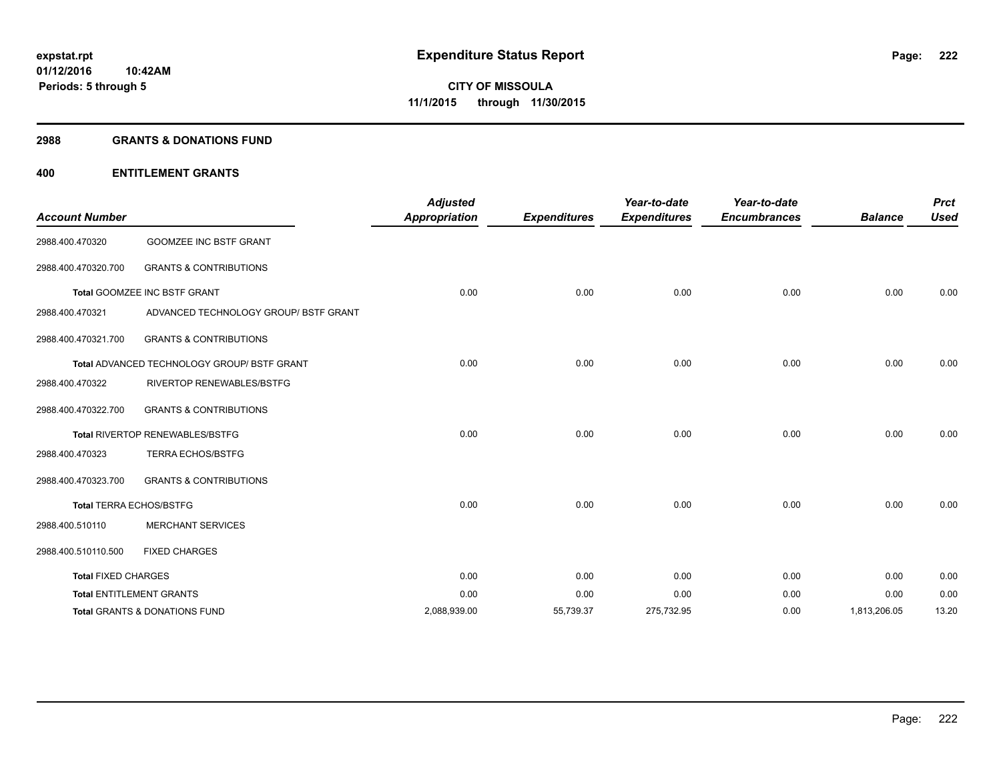#### **2988 GRANTS & DONATIONS FUND**

#### **400 ENTITLEMENT GRANTS**

| <b>Account Number</b>      |                                                    | <b>Adjusted</b><br><b>Appropriation</b> | <b>Expenditures</b> | Year-to-date<br><b>Expenditures</b> | Year-to-date<br><b>Encumbrances</b> | <b>Balance</b> | <b>Prct</b><br><b>Used</b> |
|----------------------------|----------------------------------------------------|-----------------------------------------|---------------------|-------------------------------------|-------------------------------------|----------------|----------------------------|
| 2988.400.470320            | <b>GOOMZEE INC BSTF GRANT</b>                      |                                         |                     |                                     |                                     |                |                            |
| 2988.400.470320.700        | <b>GRANTS &amp; CONTRIBUTIONS</b>                  |                                         |                     |                                     |                                     |                |                            |
|                            | Total GOOMZEE INC BSTF GRANT                       | 0.00                                    | 0.00                | 0.00                                | 0.00                                | 0.00           | 0.00                       |
| 2988.400.470321            | ADVANCED TECHNOLOGY GROUP/ BSTF GRANT              |                                         |                     |                                     |                                     |                |                            |
| 2988.400.470321.700        | <b>GRANTS &amp; CONTRIBUTIONS</b>                  |                                         |                     |                                     |                                     |                |                            |
|                            | <b>Total ADVANCED TECHNOLOGY GROUP/ BSTF GRANT</b> | 0.00                                    | 0.00                | 0.00                                | 0.00                                | 0.00           | 0.00                       |
| 2988.400.470322            | <b>RIVERTOP RENEWABLES/BSTFG</b>                   |                                         |                     |                                     |                                     |                |                            |
| 2988.400.470322.700        | <b>GRANTS &amp; CONTRIBUTIONS</b>                  |                                         |                     |                                     |                                     |                |                            |
|                            | Total RIVERTOP RENEWABLES/BSTFG                    | 0.00                                    | 0.00                | 0.00                                | 0.00                                | 0.00           | 0.00                       |
| 2988.400.470323            | <b>TERRA ECHOS/BSTFG</b>                           |                                         |                     |                                     |                                     |                |                            |
| 2988.400.470323.700        | <b>GRANTS &amp; CONTRIBUTIONS</b>                  |                                         |                     |                                     |                                     |                |                            |
|                            | <b>Total TERRA ECHOS/BSTFG</b>                     | 0.00                                    | 0.00                | 0.00                                | 0.00                                | 0.00           | 0.00                       |
| 2988.400.510110            | <b>MERCHANT SERVICES</b>                           |                                         |                     |                                     |                                     |                |                            |
| 2988.400.510110.500        | <b>FIXED CHARGES</b>                               |                                         |                     |                                     |                                     |                |                            |
| <b>Total FIXED CHARGES</b> |                                                    | 0.00                                    | 0.00                | 0.00                                | 0.00                                | 0.00           | 0.00                       |
|                            | <b>Total ENTITLEMENT GRANTS</b>                    | 0.00                                    | 0.00                | 0.00                                | 0.00                                | 0.00           | 0.00                       |
|                            | Total GRANTS & DONATIONS FUND                      | 2,088,939.00                            | 55,739.37           | 275,732.95                          | 0.00                                | 1,813,206.05   | 13.20                      |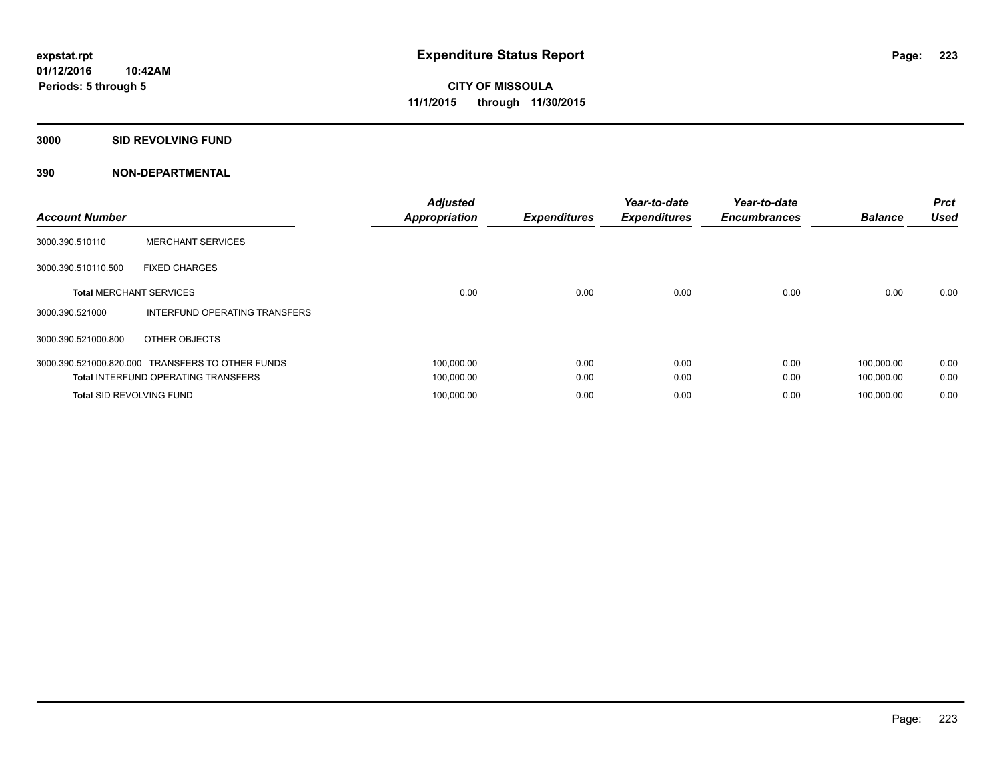#### **3000 SID REVOLVING FUND**

| <b>Account Number</b>           |                                                  | <b>Adjusted</b><br><b>Appropriation</b> | <b>Expenditures</b> | Year-to-date<br><b>Expenditures</b> | Year-to-date<br><b>Encumbrances</b> | <b>Balance</b> | <b>Prct</b><br><b>Used</b> |
|---------------------------------|--------------------------------------------------|-----------------------------------------|---------------------|-------------------------------------|-------------------------------------|----------------|----------------------------|
| 3000.390.510110                 | <b>MERCHANT SERVICES</b>                         |                                         |                     |                                     |                                     |                |                            |
| 3000.390.510110.500             | <b>FIXED CHARGES</b>                             |                                         |                     |                                     |                                     |                |                            |
| <b>Total MERCHANT SERVICES</b>  |                                                  | 0.00                                    | 0.00                | 0.00                                | 0.00                                | 0.00           | 0.00                       |
| 3000.390.521000                 | INTERFUND OPERATING TRANSFERS                    |                                         |                     |                                     |                                     |                |                            |
| 3000.390.521000.800             | OTHER OBJECTS                                    |                                         |                     |                                     |                                     |                |                            |
|                                 | 3000.390.521000.820.000 TRANSFERS TO OTHER FUNDS | 100,000.00                              | 0.00                | 0.00                                | 0.00                                | 100,000.00     | 0.00                       |
|                                 | <b>Total INTERFUND OPERATING TRANSFERS</b>       | 100,000.00                              | 0.00                | 0.00                                | 0.00                                | 100,000.00     | 0.00                       |
| <b>Total SID REVOLVING FUND</b> |                                                  | 100,000.00                              | 0.00                | 0.00                                | 0.00                                | 100.000.00     | 0.00                       |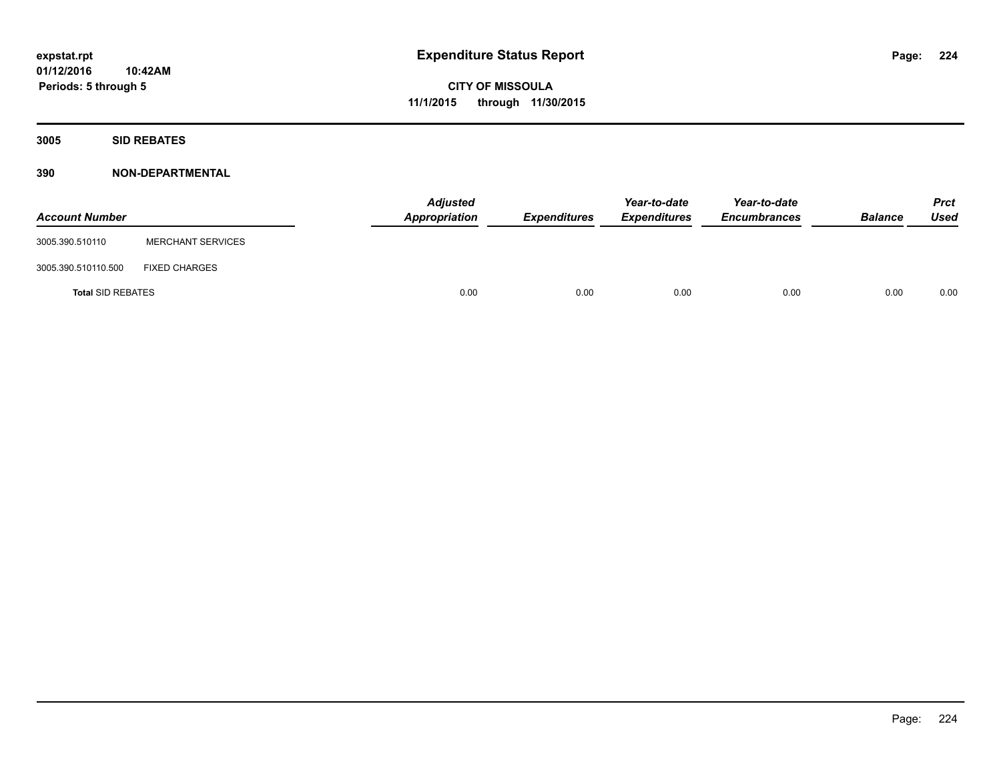**Periods: 5 through 5**

**CITY OF MISSOULA 11/1/2015 through 11/30/2015**

**3005 SID REBATES**

| <b>Account Number</b>    |                          | <b>Adjusted</b><br>Appropriation | <b>Expenditures</b> | Year-to-date<br><b>Expenditures</b> | Year-to-date<br><b>Encumbrances</b> | <b>Balance</b> | <b>Prct</b><br>Used |
|--------------------------|--------------------------|----------------------------------|---------------------|-------------------------------------|-------------------------------------|----------------|---------------------|
| 3005.390.510110          | <b>MERCHANT SERVICES</b> |                                  |                     |                                     |                                     |                |                     |
| 3005.390.510110.500      | <b>FIXED CHARGES</b>     |                                  |                     |                                     |                                     |                |                     |
| <b>Total SID REBATES</b> |                          | 0.00                             | 0.00                | 0.00                                | 0.00                                | 0.00           | 0.00                |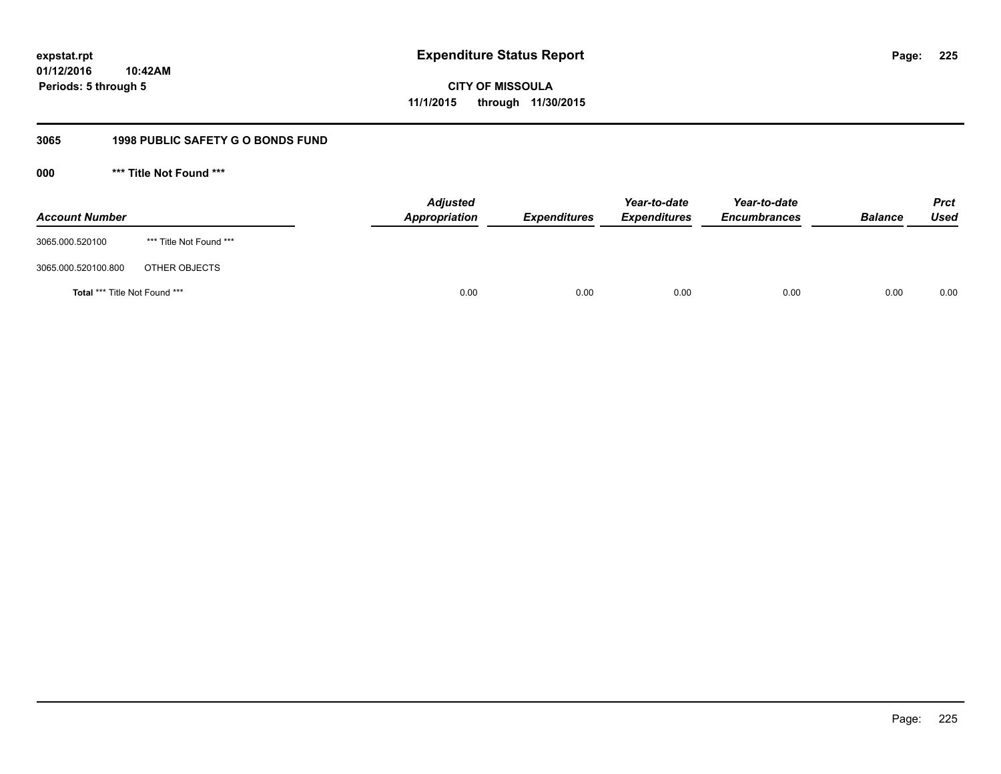**CITY OF MISSOULA 11/1/2015 through 11/30/2015**

### **3065 1998 PUBLIC SAFETY G O BONDS FUND**

**000 \*\*\* Title Not Found \*\*\***

| <b>Account Number</b>         |                         | <b>Adjusted</b><br>Appropriation | <b>Expenditures</b> | Year-to-date<br><b>Expenditures</b> | Year-to-date<br><b>Encumbrances</b> | <b>Balance</b> | <b>Prct</b><br><b>Used</b> |
|-------------------------------|-------------------------|----------------------------------|---------------------|-------------------------------------|-------------------------------------|----------------|----------------------------|
| 3065.000.520100               | *** Title Not Found *** |                                  |                     |                                     |                                     |                |                            |
| 3065.000.520100.800           | OTHER OBJECTS           |                                  |                     |                                     |                                     |                |                            |
| Total *** Title Not Found *** |                         | 0.00                             | 0.00                | 0.00                                | 0.00                                | 0.00           | 0.00                       |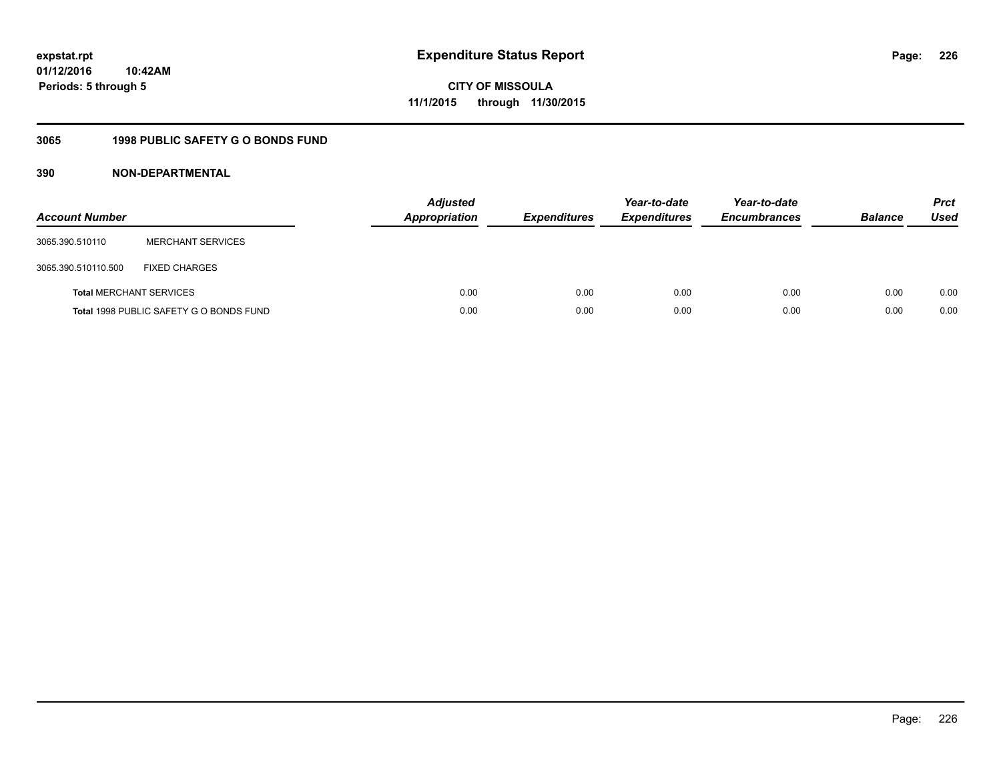**CITY OF MISSOULA 11/1/2015 through 11/30/2015**

### **3065 1998 PUBLIC SAFETY G O BONDS FUND**

| <b>Account Number</b>          |                                         | <b>Adjusted</b><br><b>Appropriation</b> | <b>Expenditures</b> | Year-to-date<br><b>Expenditures</b> | Year-to-date<br><b>Encumbrances</b> | <b>Balance</b> | <b>Prct</b><br>Used |
|--------------------------------|-----------------------------------------|-----------------------------------------|---------------------|-------------------------------------|-------------------------------------|----------------|---------------------|
| 3065.390.510110                | <b>MERCHANT SERVICES</b>                |                                         |                     |                                     |                                     |                |                     |
| 3065.390.510110.500            | <b>FIXED CHARGES</b>                    |                                         |                     |                                     |                                     |                |                     |
| <b>Total MERCHANT SERVICES</b> |                                         | 0.00                                    | 0.00                | 0.00                                | 0.00                                | 0.00           | 0.00                |
|                                | Total 1998 PUBLIC SAFETY G O BONDS FUND | 0.00                                    | 0.00                | 0.00                                | 0.00                                | 0.00           | 0.00                |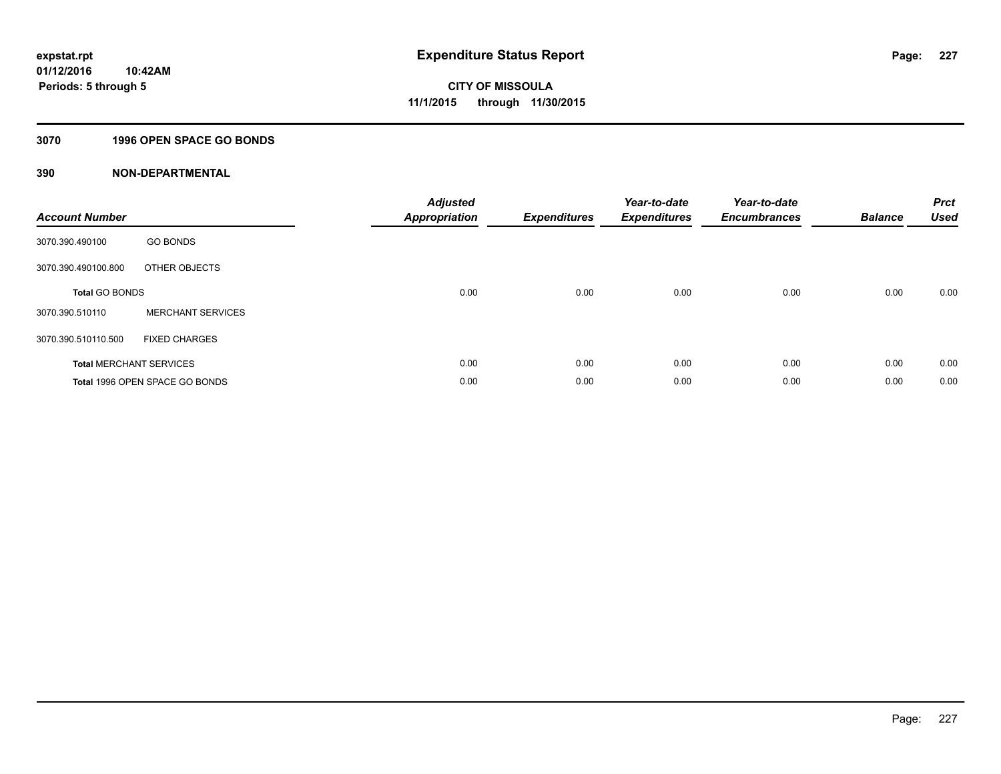#### **3070 1996 OPEN SPACE GO BONDS**

| <b>Account Number</b>          |                                       | <b>Adjusted</b><br><b>Appropriation</b> | <b>Expenditures</b> | Year-to-date<br><b>Expenditures</b> | Year-to-date<br><b>Encumbrances</b> | <b>Balance</b> | <b>Prct</b><br><b>Used</b> |
|--------------------------------|---------------------------------------|-----------------------------------------|---------------------|-------------------------------------|-------------------------------------|----------------|----------------------------|
| 3070.390.490100                | <b>GO BONDS</b>                       |                                         |                     |                                     |                                     |                |                            |
| 3070.390.490100.800            | OTHER OBJECTS                         |                                         |                     |                                     |                                     |                |                            |
| <b>Total GO BONDS</b>          |                                       | 0.00                                    | 0.00                | 0.00                                | 0.00                                | 0.00           | 0.00                       |
| 3070.390.510110                | <b>MERCHANT SERVICES</b>              |                                         |                     |                                     |                                     |                |                            |
| 3070.390.510110.500            | <b>FIXED CHARGES</b>                  |                                         |                     |                                     |                                     |                |                            |
| <b>Total MERCHANT SERVICES</b> |                                       | 0.00                                    | 0.00                | 0.00                                | 0.00                                | 0.00           | 0.00                       |
|                                | <b>Total 1996 OPEN SPACE GO BONDS</b> | 0.00                                    | 0.00                | 0.00                                | 0.00                                | 0.00           | 0.00                       |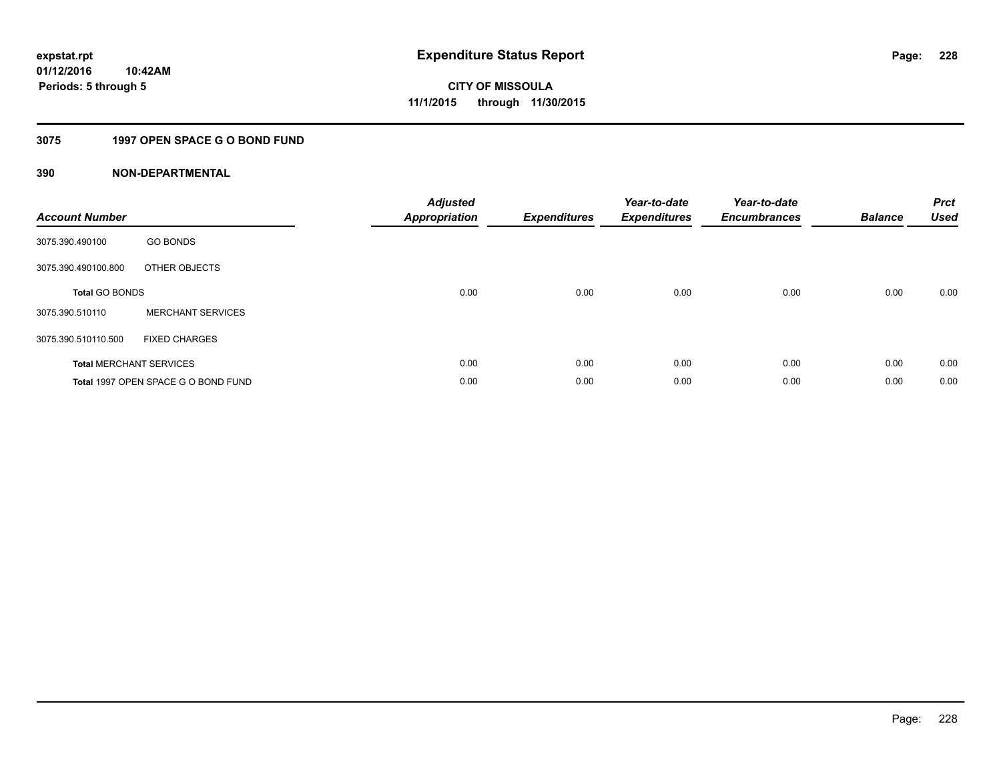#### **3075 1997 OPEN SPACE G O BOND FUND**

| <b>Account Number</b> |                                     | <b>Adjusted</b><br>Appropriation | <b>Expenditures</b> | Year-to-date<br><b>Expenditures</b> | Year-to-date<br><b>Encumbrances</b> | <b>Balance</b> | <b>Prct</b><br>Used |
|-----------------------|-------------------------------------|----------------------------------|---------------------|-------------------------------------|-------------------------------------|----------------|---------------------|
| 3075.390.490100       | <b>GO BONDS</b>                     |                                  |                     |                                     |                                     |                |                     |
| 3075.390.490100.800   | OTHER OBJECTS                       |                                  |                     |                                     |                                     |                |                     |
| <b>Total GO BONDS</b> |                                     | 0.00                             | 0.00                | 0.00                                | 0.00                                | 0.00           | 0.00                |
| 3075.390.510110       | <b>MERCHANT SERVICES</b>            |                                  |                     |                                     |                                     |                |                     |
| 3075.390.510110.500   | <b>FIXED CHARGES</b>                |                                  |                     |                                     |                                     |                |                     |
|                       | <b>Total MERCHANT SERVICES</b>      | 0.00                             | 0.00                | 0.00                                | 0.00                                | 0.00           | 0.00                |
|                       | Total 1997 OPEN SPACE G O BOND FUND | 0.00                             | 0.00                | 0.00                                | 0.00                                | 0.00           | 0.00                |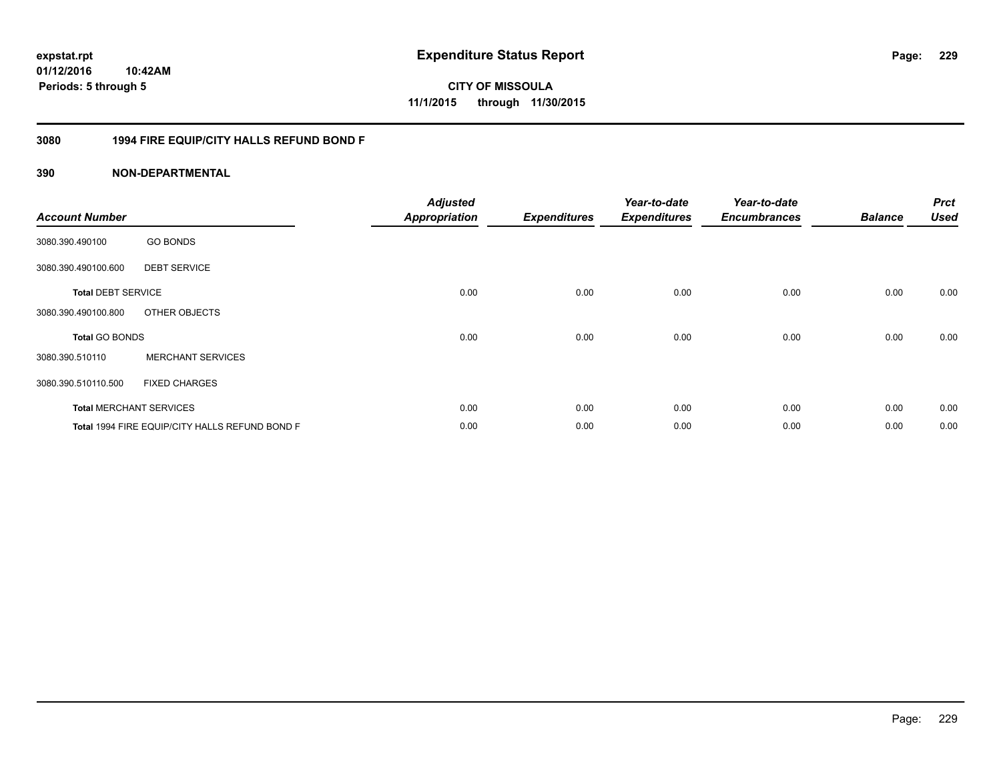**CITY OF MISSOULA 11/1/2015 through 11/30/2015**

#### **3080 1994 FIRE EQUIP/CITY HALLS REFUND BOND F**

| <b>Account Number</b>     |                                                | <b>Adjusted</b><br><b>Appropriation</b> | <b>Expenditures</b> | Year-to-date<br><b>Expenditures</b> | Year-to-date<br><b>Encumbrances</b> | <b>Balance</b> | <b>Prct</b><br><b>Used</b> |
|---------------------------|------------------------------------------------|-----------------------------------------|---------------------|-------------------------------------|-------------------------------------|----------------|----------------------------|
| 3080.390.490100           | <b>GO BONDS</b>                                |                                         |                     |                                     |                                     |                |                            |
| 3080.390.490100.600       | <b>DEBT SERVICE</b>                            |                                         |                     |                                     |                                     |                |                            |
| <b>Total DEBT SERVICE</b> |                                                | 0.00                                    | 0.00                | 0.00                                | 0.00                                | 0.00           | 0.00                       |
| 3080.390.490100.800       | OTHER OBJECTS                                  |                                         |                     |                                     |                                     |                |                            |
| <b>Total GO BONDS</b>     |                                                | 0.00                                    | 0.00                | 0.00                                | 0.00                                | 0.00           | 0.00                       |
| 3080.390.510110           | <b>MERCHANT SERVICES</b>                       |                                         |                     |                                     |                                     |                |                            |
| 3080.390.510110.500       | <b>FIXED CHARGES</b>                           |                                         |                     |                                     |                                     |                |                            |
|                           | <b>Total MERCHANT SERVICES</b>                 | 0.00                                    | 0.00                | 0.00                                | 0.00                                | 0.00           | 0.00                       |
|                           | Total 1994 FIRE EQUIP/CITY HALLS REFUND BOND F | 0.00                                    | 0.00                | 0.00                                | 0.00                                | 0.00           | 0.00                       |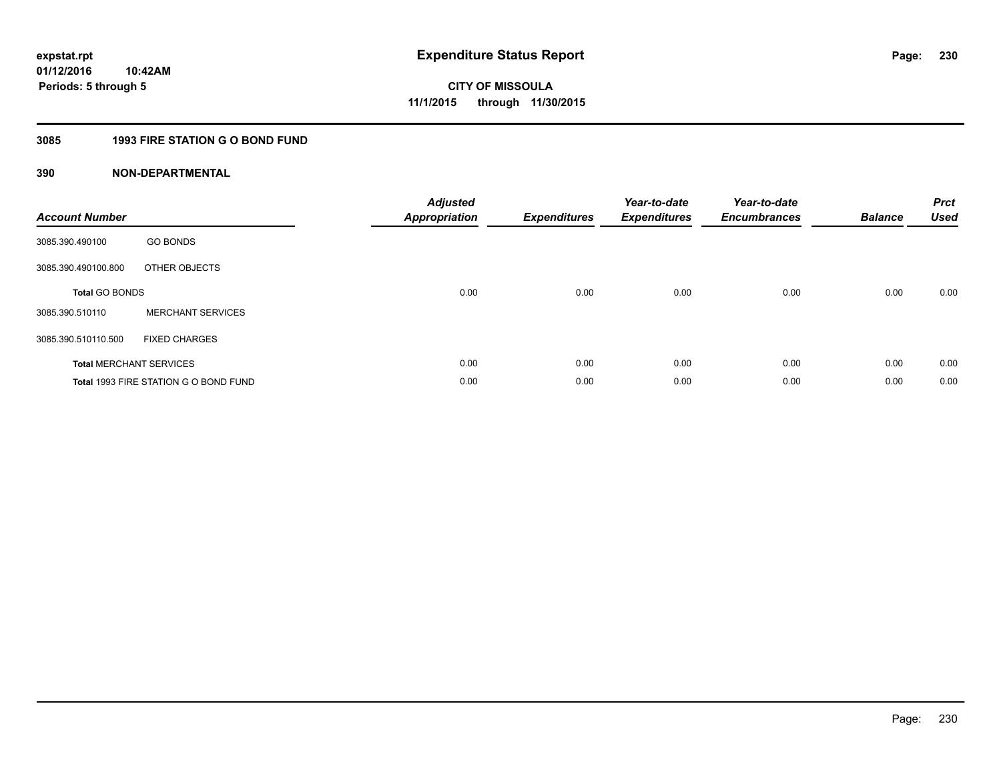#### **3085 1993 FIRE STATION G O BOND FUND**

| <b>Account Number</b> |                                       | <b>Adjusted</b><br>Appropriation | <b>Expenditures</b> | Year-to-date<br><b>Expenditures</b> | Year-to-date<br><b>Encumbrances</b> | <b>Balance</b> | <b>Prct</b><br><b>Used</b> |
|-----------------------|---------------------------------------|----------------------------------|---------------------|-------------------------------------|-------------------------------------|----------------|----------------------------|
| 3085.390.490100       | <b>GO BONDS</b>                       |                                  |                     |                                     |                                     |                |                            |
| 3085.390.490100.800   | OTHER OBJECTS                         |                                  |                     |                                     |                                     |                |                            |
| <b>Total GO BONDS</b> |                                       | 0.00                             | 0.00                | 0.00                                | 0.00                                | 0.00           | 0.00                       |
| 3085.390.510110       | <b>MERCHANT SERVICES</b>              |                                  |                     |                                     |                                     |                |                            |
| 3085.390.510110.500   | <b>FIXED CHARGES</b>                  |                                  |                     |                                     |                                     |                |                            |
|                       | <b>Total MERCHANT SERVICES</b>        | 0.00                             | 0.00                | 0.00                                | 0.00                                | 0.00           | 0.00                       |
|                       | Total 1993 FIRE STATION G O BOND FUND | 0.00                             | 0.00                | 0.00                                | 0.00                                | 0.00           | 0.00                       |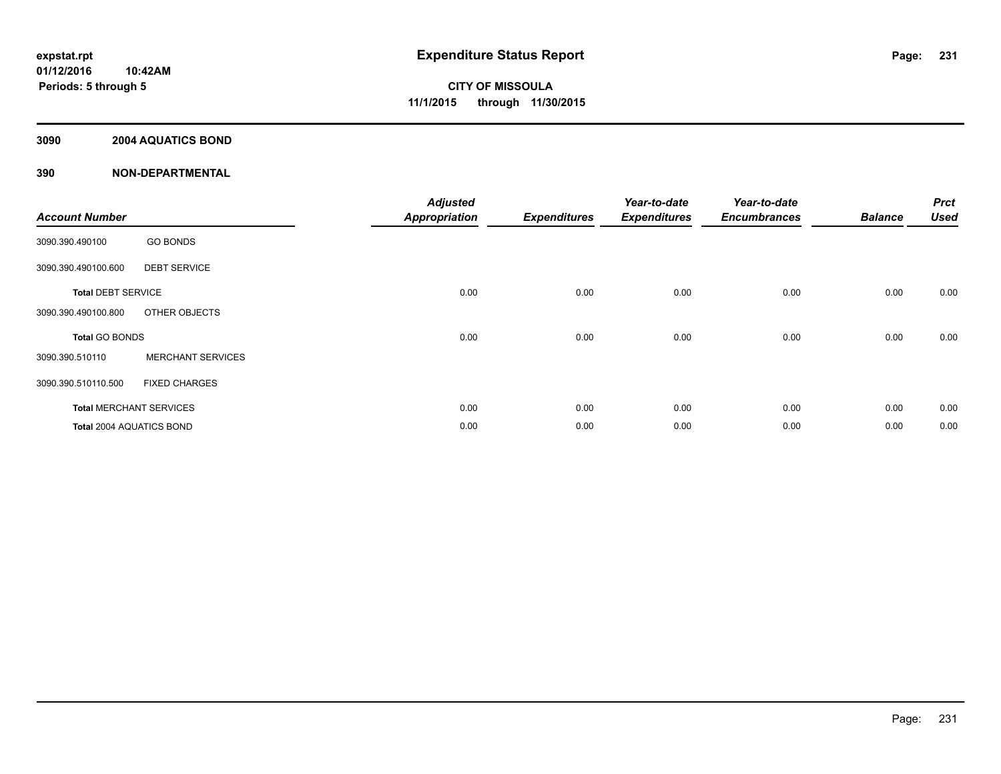#### **3090 2004 AQUATICS BOND**

| <b>Account Number</b>     |                                | <b>Adjusted</b><br><b>Appropriation</b> | <b>Expenditures</b> | Year-to-date<br><b>Expenditures</b> | Year-to-date<br><b>Encumbrances</b> | <b>Balance</b> | <b>Prct</b><br><b>Used</b> |
|---------------------------|--------------------------------|-----------------------------------------|---------------------|-------------------------------------|-------------------------------------|----------------|----------------------------|
| 3090.390.490100           | <b>GO BONDS</b>                |                                         |                     |                                     |                                     |                |                            |
| 3090.390.490100.600       | <b>DEBT SERVICE</b>            |                                         |                     |                                     |                                     |                |                            |
| <b>Total DEBT SERVICE</b> |                                | 0.00                                    | 0.00                | 0.00                                | 0.00                                | 0.00           | 0.00                       |
| 3090.390.490100.800       | OTHER OBJECTS                  |                                         |                     |                                     |                                     |                |                            |
| <b>Total GO BONDS</b>     |                                | 0.00                                    | 0.00                | 0.00                                | 0.00                                | 0.00           | 0.00                       |
| 3090.390.510110           | <b>MERCHANT SERVICES</b>       |                                         |                     |                                     |                                     |                |                            |
| 3090.390.510110.500       | <b>FIXED CHARGES</b>           |                                         |                     |                                     |                                     |                |                            |
|                           | <b>Total MERCHANT SERVICES</b> | 0.00                                    | 0.00                | 0.00                                | 0.00                                | 0.00           | 0.00                       |
| Total 2004 AQUATICS BOND  |                                | 0.00                                    | 0.00                | 0.00                                | 0.00                                | 0.00           | 0.00                       |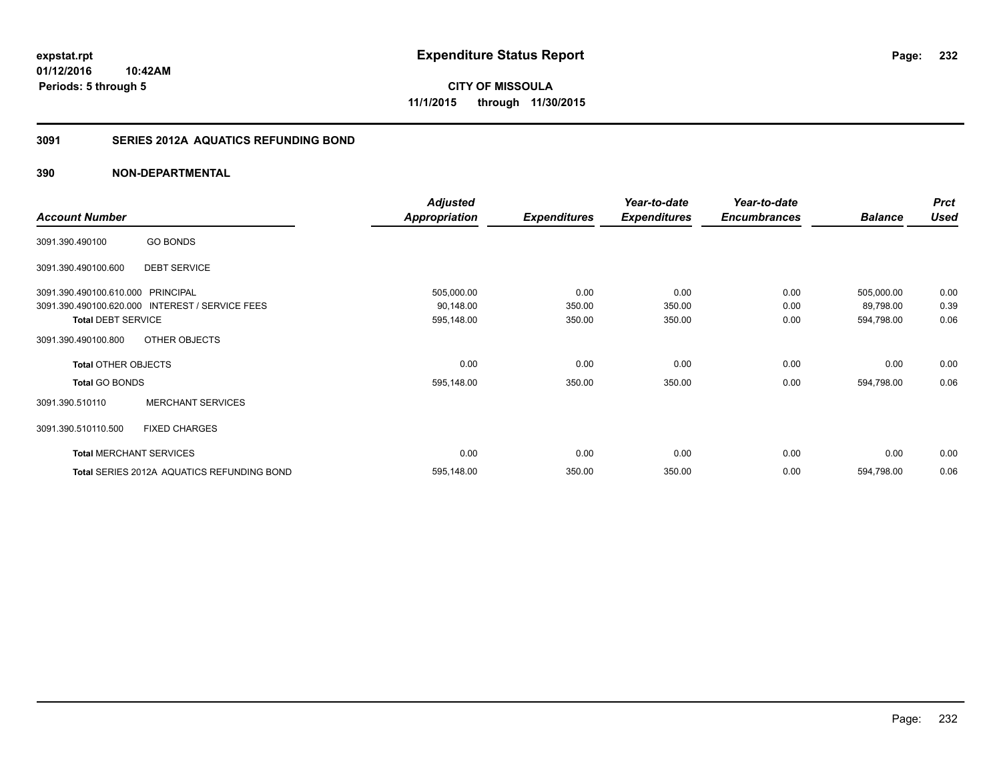**Periods: 5 through 5**

**CITY OF MISSOULA 11/1/2015 through 11/30/2015**

#### **3091 SERIES 2012A AQUATICS REFUNDING BOND**

#### **390 NON-DEPARTMENTAL**

**10:42AM**

|                                   |                                                 | <b>Adjusted</b>      |                     | Year-to-date        | Year-to-date        |                | <b>Prct</b> |
|-----------------------------------|-------------------------------------------------|----------------------|---------------------|---------------------|---------------------|----------------|-------------|
| <b>Account Number</b>             |                                                 | <b>Appropriation</b> | <b>Expenditures</b> | <b>Expenditures</b> | <b>Encumbrances</b> | <b>Balance</b> | <b>Used</b> |
| 3091.390.490100                   | <b>GO BONDS</b>                                 |                      |                     |                     |                     |                |             |
| 3091.390.490100.600               | <b>DEBT SERVICE</b>                             |                      |                     |                     |                     |                |             |
| 3091.390.490100.610.000 PRINCIPAL |                                                 | 505,000.00           | 0.00                | 0.00                | 0.00                | 505,000.00     | 0.00        |
|                                   | 3091.390.490100.620.000 INTEREST / SERVICE FEES | 90,148.00            | 350.00              | 350.00              | 0.00                | 89,798.00      | 0.39        |
| <b>Total DEBT SERVICE</b>         |                                                 | 595,148.00           | 350.00              | 350.00              | 0.00                | 594,798.00     | 0.06        |
| 3091.390.490100.800               | OTHER OBJECTS                                   |                      |                     |                     |                     |                |             |
| <b>Total OTHER OBJECTS</b>        |                                                 | 0.00                 | 0.00                | 0.00                | 0.00                | 0.00           | 0.00        |
| <b>Total GO BONDS</b>             |                                                 | 595,148.00           | 350.00              | 350.00              | 0.00                | 594,798.00     | 0.06        |
| 3091.390.510110                   | <b>MERCHANT SERVICES</b>                        |                      |                     |                     |                     |                |             |
| 3091.390.510110.500               | <b>FIXED CHARGES</b>                            |                      |                     |                     |                     |                |             |
|                                   | <b>Total MERCHANT SERVICES</b>                  | 0.00                 | 0.00                | 0.00                | 0.00                | 0.00           | 0.00        |
|                                   | Total SERIES 2012A AQUATICS REFUNDING BOND      | 595,148.00           | 350.00              | 350.00              | 0.00                | 594,798.00     | 0.06        |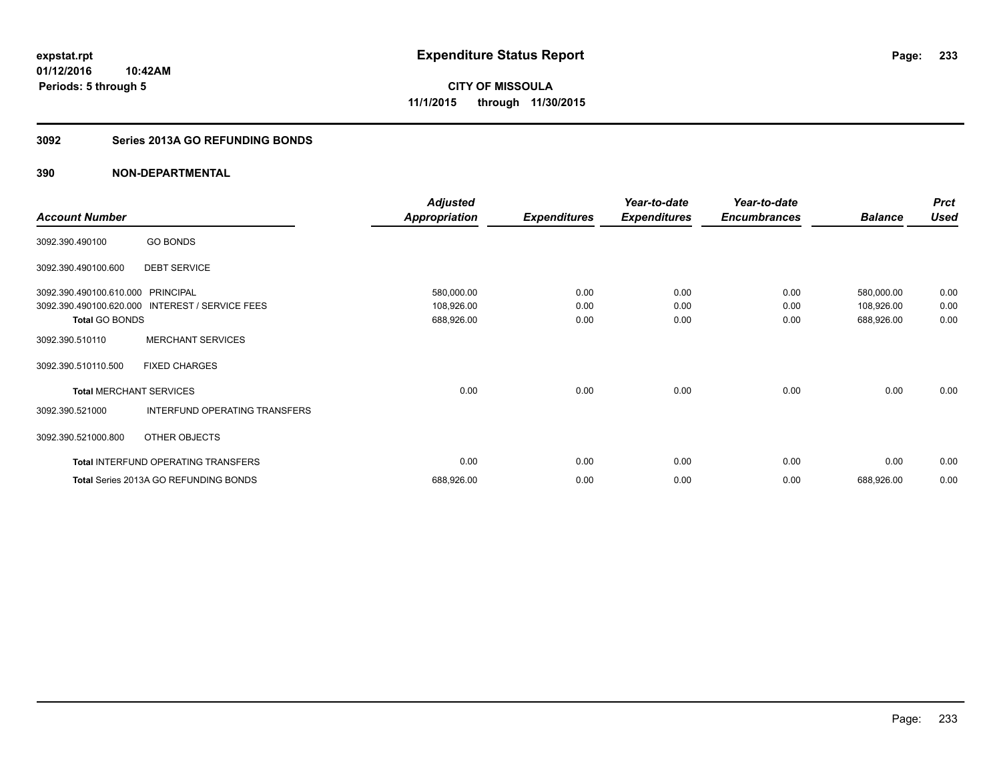#### **3092 Series 2013A GO REFUNDING BONDS**

|                                |                                       | <b>Adjusted</b>      |                     | Year-to-date        | Year-to-date        |                | <b>Prct</b> |
|--------------------------------|---------------------------------------|----------------------|---------------------|---------------------|---------------------|----------------|-------------|
| <b>Account Number</b>          |                                       | <b>Appropriation</b> | <b>Expenditures</b> | <b>Expenditures</b> | <b>Encumbrances</b> | <b>Balance</b> | <b>Used</b> |
| 3092.390.490100                | <b>GO BONDS</b>                       |                      |                     |                     |                     |                |             |
| 3092.390.490100.600            | <b>DEBT SERVICE</b>                   |                      |                     |                     |                     |                |             |
| 3092.390.490100.610.000        | <b>PRINCIPAL</b>                      | 580,000.00           | 0.00                | 0.00                | 0.00                | 580,000.00     | 0.00        |
| 3092.390.490100.620.000        | <b>INTEREST / SERVICE FEES</b>        | 108,926.00           | 0.00                | 0.00                | 0.00                | 108,926.00     | 0.00        |
| <b>Total GO BONDS</b>          |                                       | 688,926.00           | 0.00                | 0.00                | 0.00                | 688,926.00     | 0.00        |
| 3092.390.510110                | <b>MERCHANT SERVICES</b>              |                      |                     |                     |                     |                |             |
| 3092.390.510110.500            | <b>FIXED CHARGES</b>                  |                      |                     |                     |                     |                |             |
| <b>Total MERCHANT SERVICES</b> |                                       | 0.00                 | 0.00                | 0.00                | 0.00                | 0.00           | 0.00        |
| 3092.390.521000                | INTERFUND OPERATING TRANSFERS         |                      |                     |                     |                     |                |             |
| 3092.390.521000.800            | OTHER OBJECTS                         |                      |                     |                     |                     |                |             |
|                                | Total INTERFUND OPERATING TRANSFERS   | 0.00                 | 0.00                | 0.00                | 0.00                | 0.00           | 0.00        |
|                                | Total Series 2013A GO REFUNDING BONDS | 688,926.00           | 0.00                | 0.00                | 0.00                | 688,926.00     | 0.00        |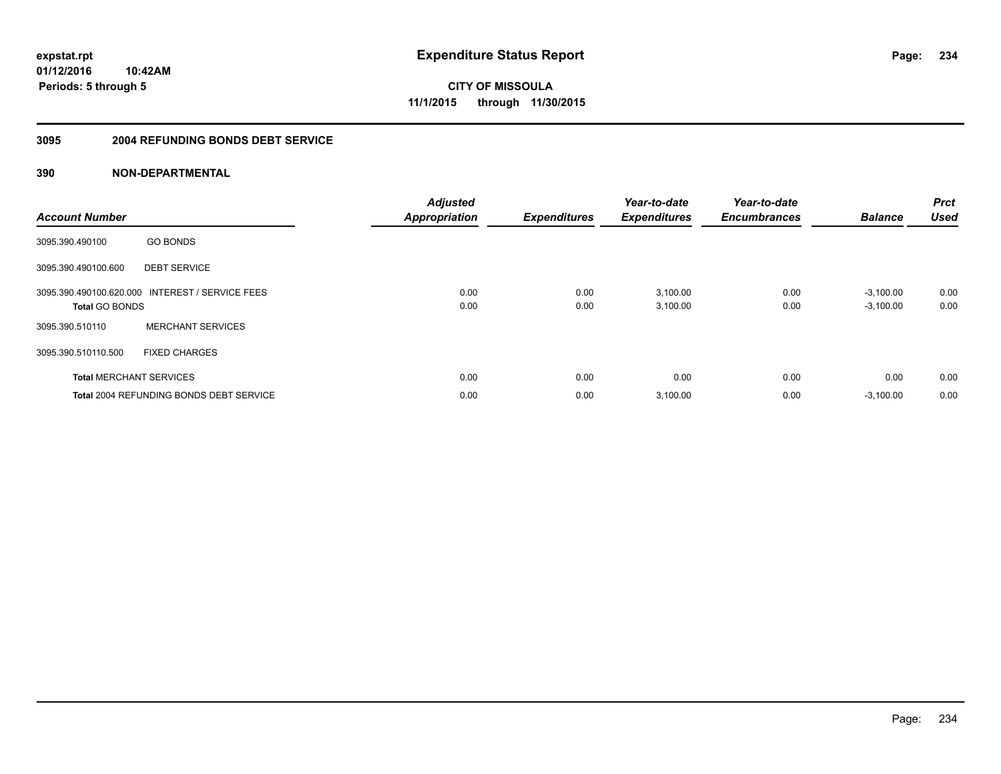**Periods: 5 through 5**

**CITY OF MISSOULA 11/1/2015 through 11/30/2015**

#### **3095 2004 REFUNDING BONDS DEBT SERVICE**

| <b>Account Number</b>          |                                                 | <b>Adjusted</b><br><b>Appropriation</b> | <b>Expenditures</b> | Year-to-date<br><b>Expenditures</b> | Year-to-date<br><b>Encumbrances</b> | <b>Balance</b>             | <b>Prct</b><br><b>Used</b> |
|--------------------------------|-------------------------------------------------|-----------------------------------------|---------------------|-------------------------------------|-------------------------------------|----------------------------|----------------------------|
| 3095.390.490100                | <b>GO BONDS</b>                                 |                                         |                     |                                     |                                     |                            |                            |
| 3095.390.490100.600            | <b>DEBT SERVICE</b>                             |                                         |                     |                                     |                                     |                            |                            |
| <b>Total GO BONDS</b>          | 3095.390.490100.620.000 INTEREST / SERVICE FEES | 0.00<br>0.00                            | 0.00<br>0.00        | 3,100.00<br>3,100.00                | 0.00<br>0.00                        | $-3,100.00$<br>$-3,100.00$ | 0.00<br>0.00               |
| 3095.390.510110                | <b>MERCHANT SERVICES</b>                        |                                         |                     |                                     |                                     |                            |                            |
| 3095.390.510110.500            | <b>FIXED CHARGES</b>                            |                                         |                     |                                     |                                     |                            |                            |
| <b>Total MERCHANT SERVICES</b> |                                                 | 0.00                                    | 0.00                | 0.00                                | 0.00                                | 0.00                       | 0.00                       |
|                                | <b>Total 2004 REFUNDING BONDS DEBT SERVICE</b>  | 0.00                                    | 0.00                | 3,100.00                            | 0.00                                | $-3,100.00$                | 0.00                       |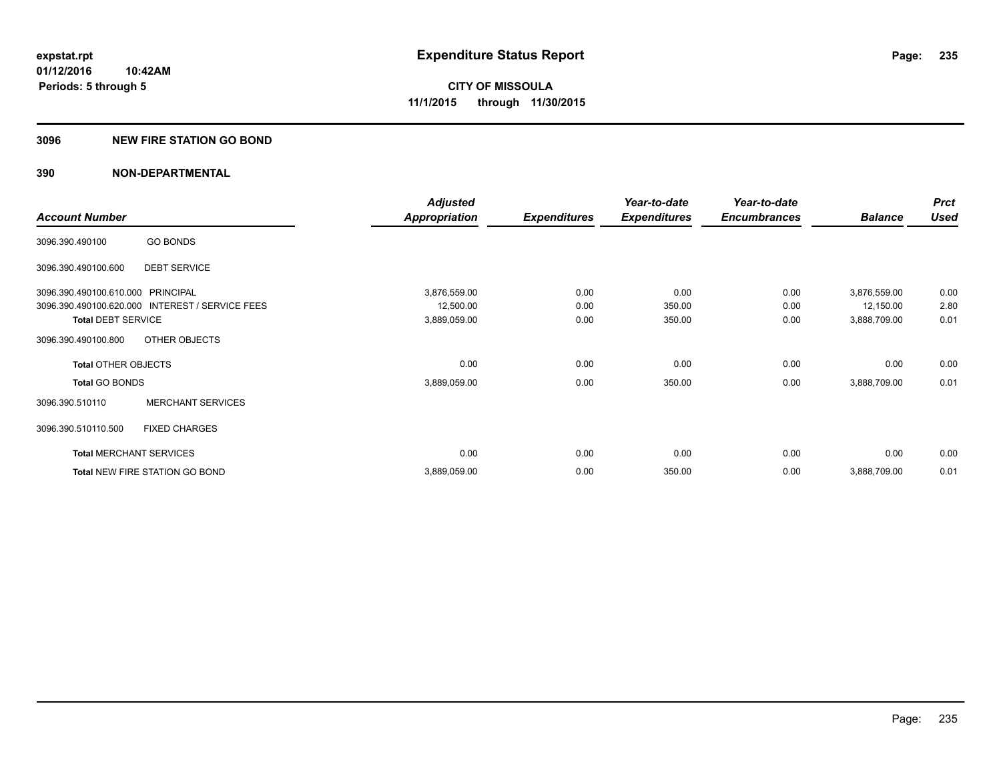#### **3096 NEW FIRE STATION GO BOND**

|                                   |                                                 | <b>Adjusted</b>      |                     | Year-to-date        | Year-to-date        |                | <b>Prct</b> |
|-----------------------------------|-------------------------------------------------|----------------------|---------------------|---------------------|---------------------|----------------|-------------|
| <b>Account Number</b>             |                                                 | <b>Appropriation</b> | <b>Expenditures</b> | <b>Expenditures</b> | <b>Encumbrances</b> | <b>Balance</b> | <b>Used</b> |
| 3096.390.490100                   | <b>GO BONDS</b>                                 |                      |                     |                     |                     |                |             |
| 3096.390.490100.600               | <b>DEBT SERVICE</b>                             |                      |                     |                     |                     |                |             |
| 3096.390.490100.610.000 PRINCIPAL |                                                 | 3,876,559.00         | 0.00                | 0.00                | 0.00                | 3,876,559.00   | 0.00        |
|                                   | 3096.390.490100.620.000 INTEREST / SERVICE FEES | 12,500.00            | 0.00                | 350.00              | 0.00                | 12,150.00      | 2.80        |
| <b>Total DEBT SERVICE</b>         |                                                 | 3,889,059.00         | 0.00                | 350.00              | 0.00                | 3,888,709.00   | 0.01        |
| 3096.390.490100.800               | OTHER OBJECTS                                   |                      |                     |                     |                     |                |             |
| <b>Total OTHER OBJECTS</b>        |                                                 | 0.00                 | 0.00                | 0.00                | 0.00                | 0.00           | 0.00        |
| <b>Total GO BONDS</b>             |                                                 | 3,889,059.00         | 0.00                | 350.00              | 0.00                | 3,888,709.00   | 0.01        |
| 3096.390.510110                   | <b>MERCHANT SERVICES</b>                        |                      |                     |                     |                     |                |             |
| 3096.390.510110.500               | <b>FIXED CHARGES</b>                            |                      |                     |                     |                     |                |             |
|                                   | <b>Total MERCHANT SERVICES</b>                  | 0.00                 | 0.00                | 0.00                | 0.00                | 0.00           | 0.00        |
|                                   | Total NEW FIRE STATION GO BOND                  | 3,889,059.00         | 0.00                | 350.00              | 0.00                | 3,888,709.00   | 0.01        |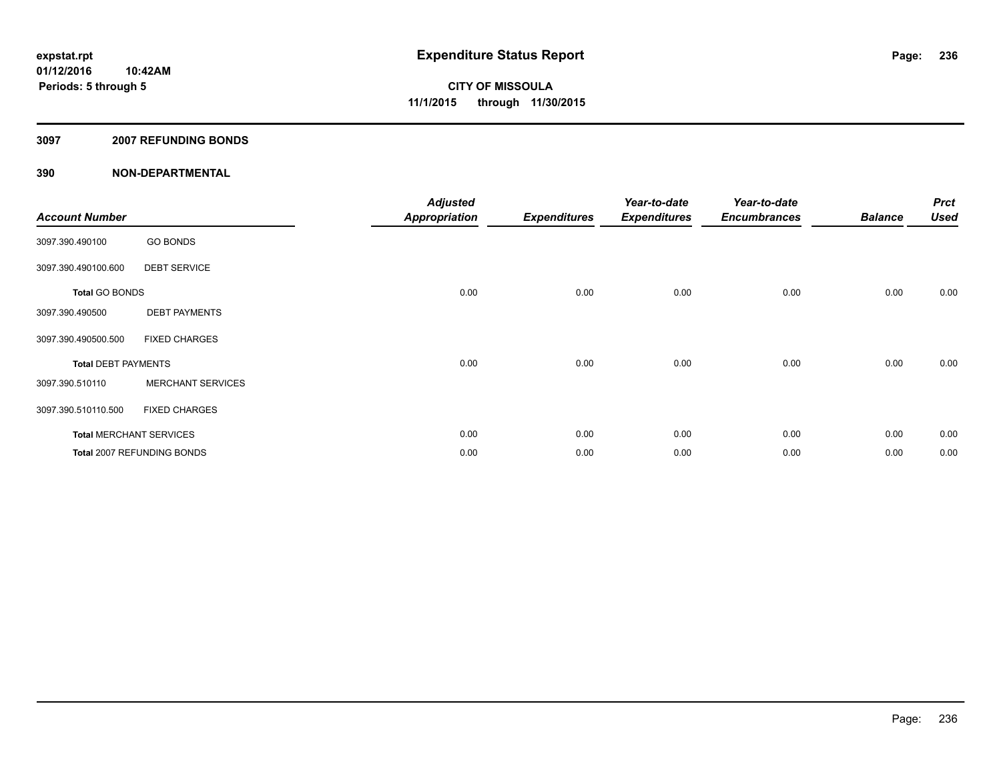#### **3097 2007 REFUNDING BONDS**

| <b>Account Number</b>      |                                | <b>Adjusted</b><br><b>Appropriation</b> | <b>Expenditures</b> | Year-to-date<br><b>Expenditures</b> | Year-to-date<br><b>Encumbrances</b> | <b>Balance</b> | <b>Prct</b><br><b>Used</b> |
|----------------------------|--------------------------------|-----------------------------------------|---------------------|-------------------------------------|-------------------------------------|----------------|----------------------------|
| 3097.390.490100            | <b>GO BONDS</b>                |                                         |                     |                                     |                                     |                |                            |
| 3097.390.490100.600        | <b>DEBT SERVICE</b>            |                                         |                     |                                     |                                     |                |                            |
| <b>Total GO BONDS</b>      |                                | 0.00                                    | 0.00                | 0.00                                | 0.00                                | 0.00           | 0.00                       |
| 3097.390.490500            | <b>DEBT PAYMENTS</b>           |                                         |                     |                                     |                                     |                |                            |
| 3097.390.490500.500        | <b>FIXED CHARGES</b>           |                                         |                     |                                     |                                     |                |                            |
| <b>Total DEBT PAYMENTS</b> |                                | 0.00                                    | 0.00                | 0.00                                | 0.00                                | 0.00           | 0.00                       |
| 3097.390.510110            | <b>MERCHANT SERVICES</b>       |                                         |                     |                                     |                                     |                |                            |
| 3097.390.510110.500        | <b>FIXED CHARGES</b>           |                                         |                     |                                     |                                     |                |                            |
|                            | <b>Total MERCHANT SERVICES</b> | 0.00                                    | 0.00                | 0.00                                | 0.00                                | 0.00           | 0.00                       |
|                            | Total 2007 REFUNDING BONDS     | 0.00                                    | 0.00                | 0.00                                | 0.00                                | 0.00           | 0.00                       |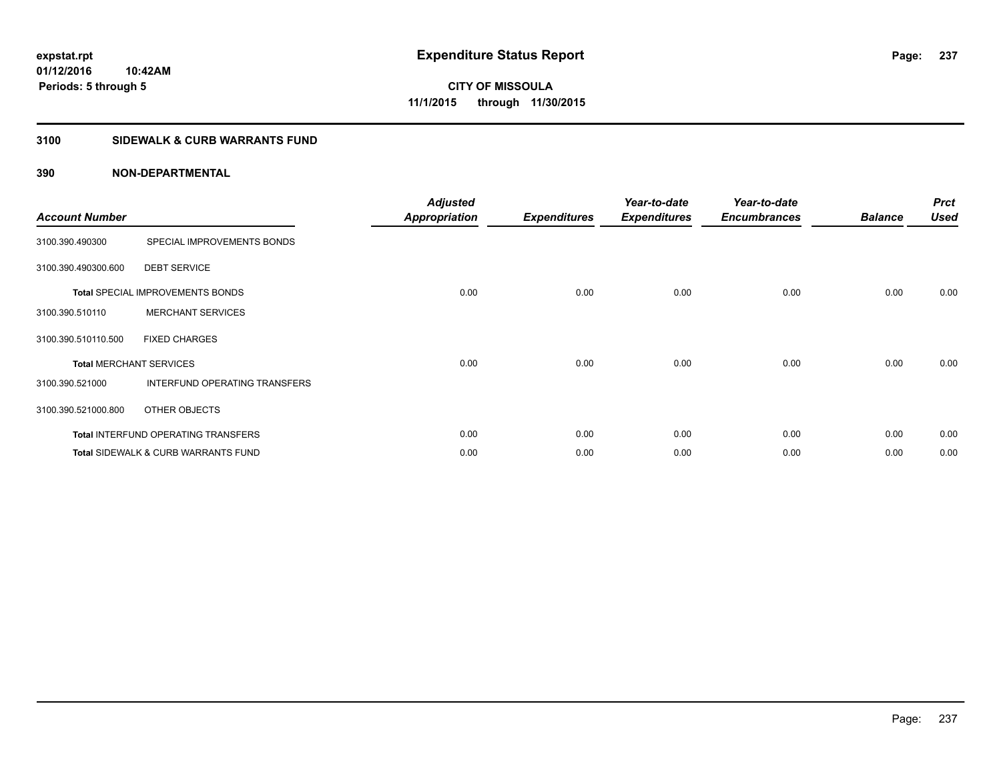#### **3100 SIDEWALK & CURB WARRANTS FUND**

| <b>Account Number</b>          |                                            | <b>Adjusted</b><br><b>Appropriation</b> | <b>Expenditures</b> | Year-to-date<br><b>Expenditures</b> | Year-to-date<br><b>Encumbrances</b> | <b>Balance</b> | <b>Prct</b><br><b>Used</b> |
|--------------------------------|--------------------------------------------|-----------------------------------------|---------------------|-------------------------------------|-------------------------------------|----------------|----------------------------|
| 3100.390.490300                | SPECIAL IMPROVEMENTS BONDS                 |                                         |                     |                                     |                                     |                |                            |
| 3100.390.490300.600            | <b>DEBT SERVICE</b>                        |                                         |                     |                                     |                                     |                |                            |
|                                | <b>Total SPECIAL IMPROVEMENTS BONDS</b>    | 0.00                                    | 0.00                | 0.00                                | 0.00                                | 0.00           | 0.00                       |
| 3100.390.510110                | <b>MERCHANT SERVICES</b>                   |                                         |                     |                                     |                                     |                |                            |
| 3100.390.510110.500            | <b>FIXED CHARGES</b>                       |                                         |                     |                                     |                                     |                |                            |
| <b>Total MERCHANT SERVICES</b> |                                            | 0.00                                    | 0.00                | 0.00                                | 0.00                                | 0.00           | 0.00                       |
| 3100.390.521000                | INTERFUND OPERATING TRANSFERS              |                                         |                     |                                     |                                     |                |                            |
| 3100.390.521000.800            | OTHER OBJECTS                              |                                         |                     |                                     |                                     |                |                            |
|                                | <b>Total INTERFUND OPERATING TRANSFERS</b> | 0.00                                    | 0.00                | 0.00                                | 0.00                                | 0.00           | 0.00                       |
|                                | Total SIDEWALK & CURB WARRANTS FUND        | 0.00                                    | 0.00                | 0.00                                | 0.00                                | 0.00           | 0.00                       |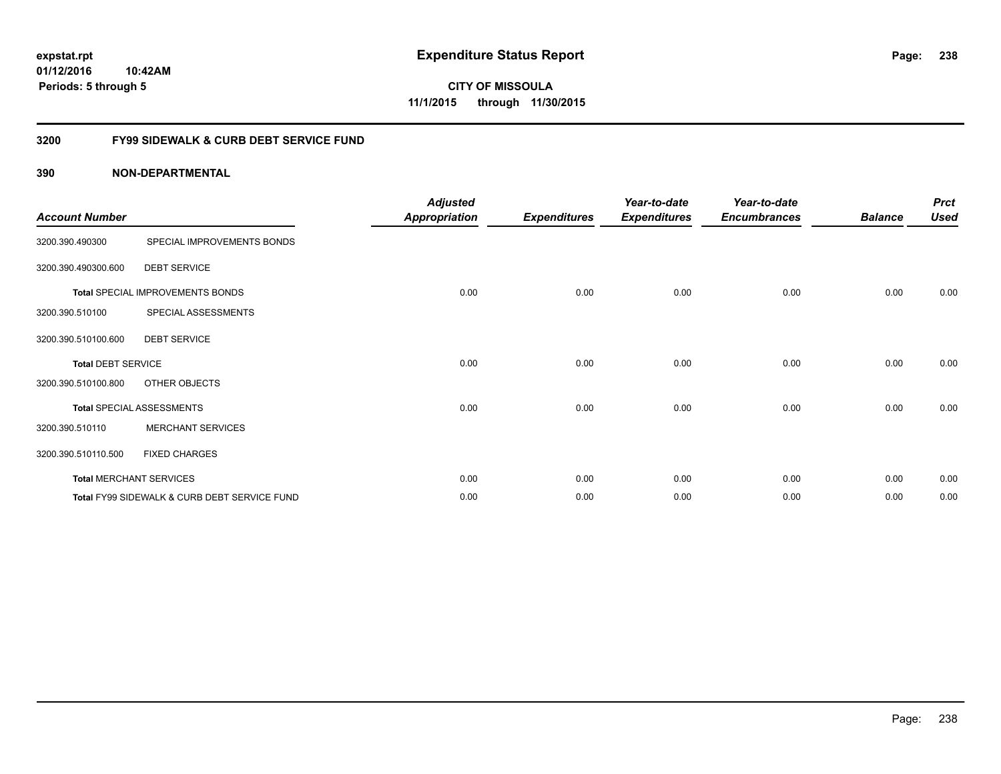**CITY OF MISSOULA 11/1/2015 through 11/30/2015**

#### **3200 FY99 SIDEWALK & CURB DEBT SERVICE FUND**

| <b>Account Number</b>     |                                              | <b>Adjusted</b><br><b>Appropriation</b> | <b>Expenditures</b> | Year-to-date<br><b>Expenditures</b> | Year-to-date<br><b>Encumbrances</b> | <b>Balance</b> | <b>Prct</b><br><b>Used</b> |
|---------------------------|----------------------------------------------|-----------------------------------------|---------------------|-------------------------------------|-------------------------------------|----------------|----------------------------|
| 3200.390.490300           | SPECIAL IMPROVEMENTS BONDS                   |                                         |                     |                                     |                                     |                |                            |
| 3200.390.490300.600       | <b>DEBT SERVICE</b>                          |                                         |                     |                                     |                                     |                |                            |
|                           | Total SPECIAL IMPROVEMENTS BONDS             | 0.00                                    | 0.00                | 0.00                                | 0.00                                | 0.00           | 0.00                       |
| 3200.390.510100           | SPECIAL ASSESSMENTS                          |                                         |                     |                                     |                                     |                |                            |
| 3200.390.510100.600       | <b>DEBT SERVICE</b>                          |                                         |                     |                                     |                                     |                |                            |
| <b>Total DEBT SERVICE</b> |                                              | 0.00                                    | 0.00                | 0.00                                | 0.00                                | 0.00           | 0.00                       |
| 3200.390.510100.800       | OTHER OBJECTS                                |                                         |                     |                                     |                                     |                |                            |
|                           | <b>Total SPECIAL ASSESSMENTS</b>             | 0.00                                    | 0.00                | 0.00                                | 0.00                                | 0.00           | 0.00                       |
| 3200.390.510110           | <b>MERCHANT SERVICES</b>                     |                                         |                     |                                     |                                     |                |                            |
| 3200.390.510110.500       | <b>FIXED CHARGES</b>                         |                                         |                     |                                     |                                     |                |                            |
|                           | <b>Total MERCHANT SERVICES</b>               | 0.00                                    | 0.00                | 0.00                                | 0.00                                | 0.00           | 0.00                       |
|                           | Total FY99 SIDEWALK & CURB DEBT SERVICE FUND | 0.00                                    | 0.00                | 0.00                                | 0.00                                | 0.00           | 0.00                       |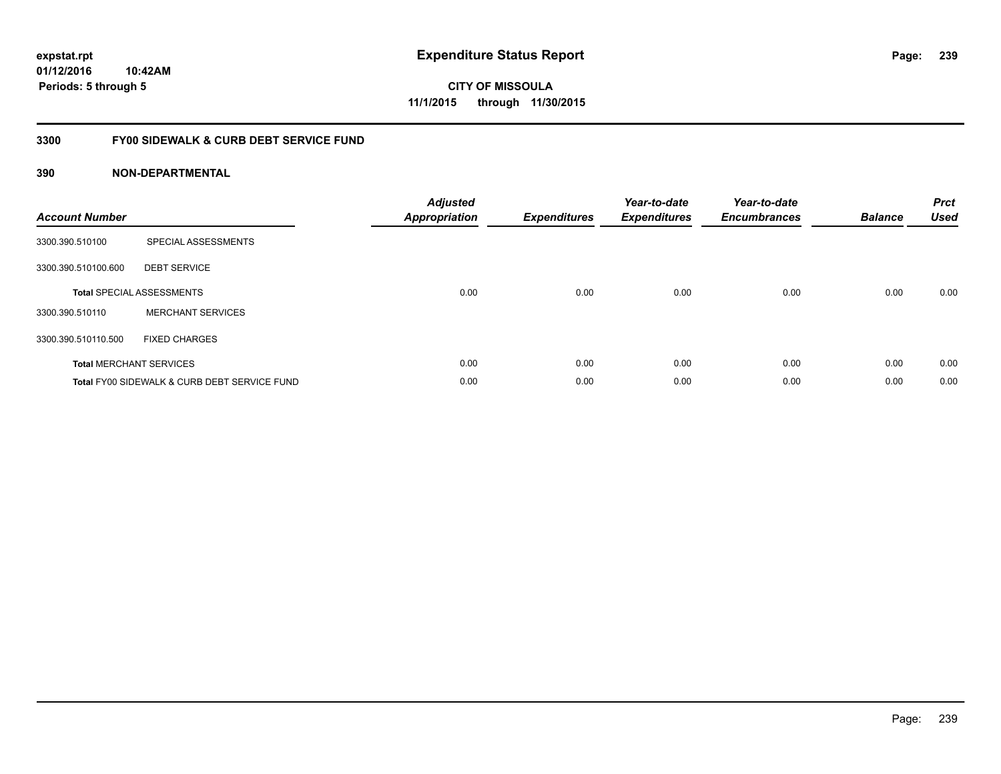### **3300 FY00 SIDEWALK & CURB DEBT SERVICE FUND**

| <b>Account Number</b> |                                              | Adjusted<br><b>Appropriation</b> | <b>Expenditures</b> | Year-to-date<br><b>Expenditures</b> | Year-to-date<br><b>Encumbrances</b> | <b>Balance</b> | <b>Prct</b><br><b>Used</b> |
|-----------------------|----------------------------------------------|----------------------------------|---------------------|-------------------------------------|-------------------------------------|----------------|----------------------------|
| 3300.390.510100       | SPECIAL ASSESSMENTS                          |                                  |                     |                                     |                                     |                |                            |
| 3300.390.510100.600   | <b>DEBT SERVICE</b>                          |                                  |                     |                                     |                                     |                |                            |
|                       | <b>Total SPECIAL ASSESSMENTS</b>             | 0.00                             | 0.00                | 0.00                                | 0.00                                | 0.00           | 0.00                       |
| 3300.390.510110       | <b>MERCHANT SERVICES</b>                     |                                  |                     |                                     |                                     |                |                            |
| 3300.390.510110.500   | FIXED CHARGES                                |                                  |                     |                                     |                                     |                |                            |
|                       | <b>Total MERCHANT SERVICES</b>               | 0.00                             | 0.00                | 0.00                                | 0.00                                | 0.00           | 0.00                       |
|                       | Total FY00 SIDEWALK & CURB DEBT SERVICE FUND | 0.00                             | 0.00                | 0.00                                | 0.00                                | 0.00           | 0.00                       |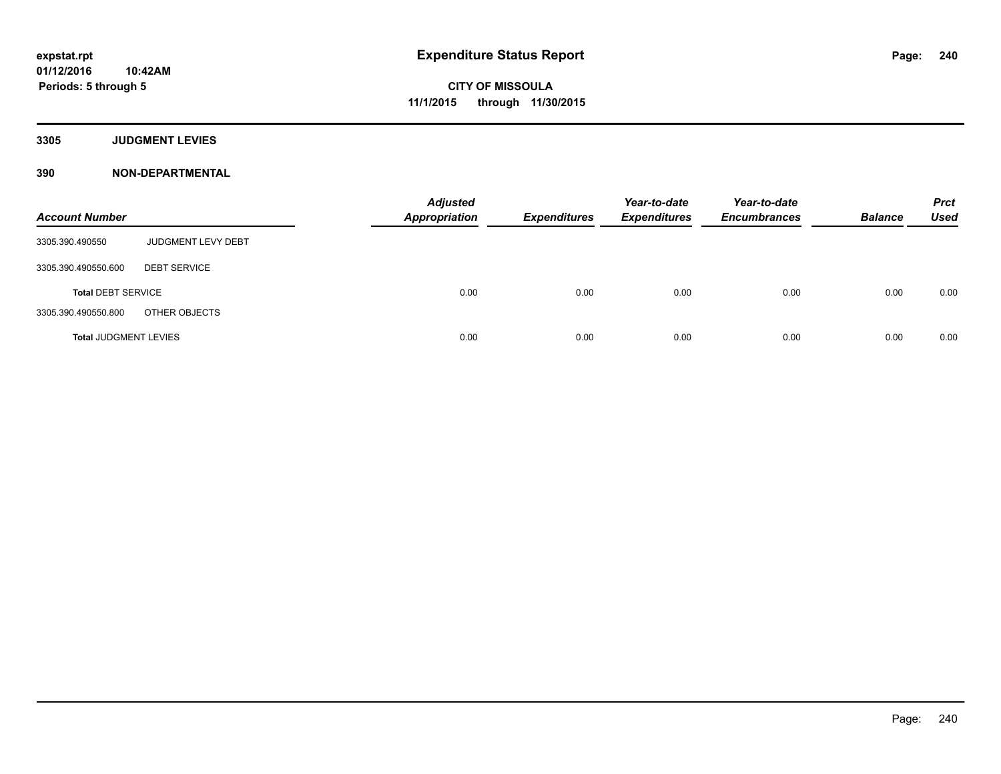#### **3305 JUDGMENT LEVIES**

| <b>Account Number</b>        |                           | <b>Adjusted</b><br><b>Appropriation</b> | <b>Expenditures</b> | Year-to-date<br><b>Expenditures</b> | Year-to-date<br><b>Encumbrances</b> | <b>Balance</b> | <b>Prct</b><br><b>Used</b> |
|------------------------------|---------------------------|-----------------------------------------|---------------------|-------------------------------------|-------------------------------------|----------------|----------------------------|
| 3305.390.490550              | <b>JUDGMENT LEVY DEBT</b> |                                         |                     |                                     |                                     |                |                            |
| 3305.390.490550.600          | <b>DEBT SERVICE</b>       |                                         |                     |                                     |                                     |                |                            |
| <b>Total DEBT SERVICE</b>    |                           | 0.00                                    | 0.00                | 0.00                                | 0.00                                | 0.00           | 0.00                       |
| 3305.390.490550.800          | OTHER OBJECTS             |                                         |                     |                                     |                                     |                |                            |
| <b>Total JUDGMENT LEVIES</b> |                           | 0.00                                    | 0.00                | 0.00                                | 0.00                                | 0.00           | 0.00                       |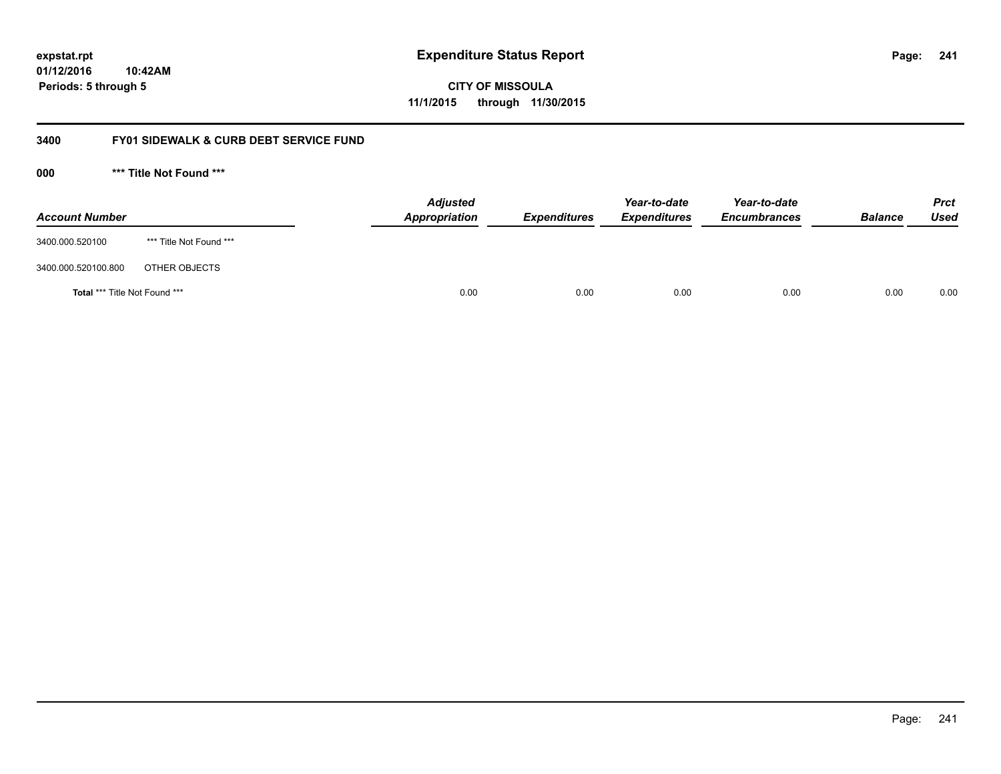# **01/12/2016**

**241**

**10:42AM Periods: 5 through 5**

**CITY OF MISSOULA 11/1/2015 through 11/30/2015**

#### **3400 FY01 SIDEWALK & CURB DEBT SERVICE FUND**

**000 \*\*\* Title Not Found \*\*\***

| <b>Account Number</b>         |                         | <b>Adjusted</b><br>Appropriation | <b>Expenditures</b> | Year-to-date<br><b>Expenditures</b> | Year-to-date<br><b>Encumbrances</b> | <b>Balance</b> | <b>Prct</b><br>Used |
|-------------------------------|-------------------------|----------------------------------|---------------------|-------------------------------------|-------------------------------------|----------------|---------------------|
| 3400.000.520100               | *** Title Not Found *** |                                  |                     |                                     |                                     |                |                     |
| 3400.000.520100.800           | OTHER OBJECTS           |                                  |                     |                                     |                                     |                |                     |
| Total *** Title Not Found *** |                         | 0.00                             | 0.00                | 0.00                                | 0.00                                | 0.00           | 0.00                |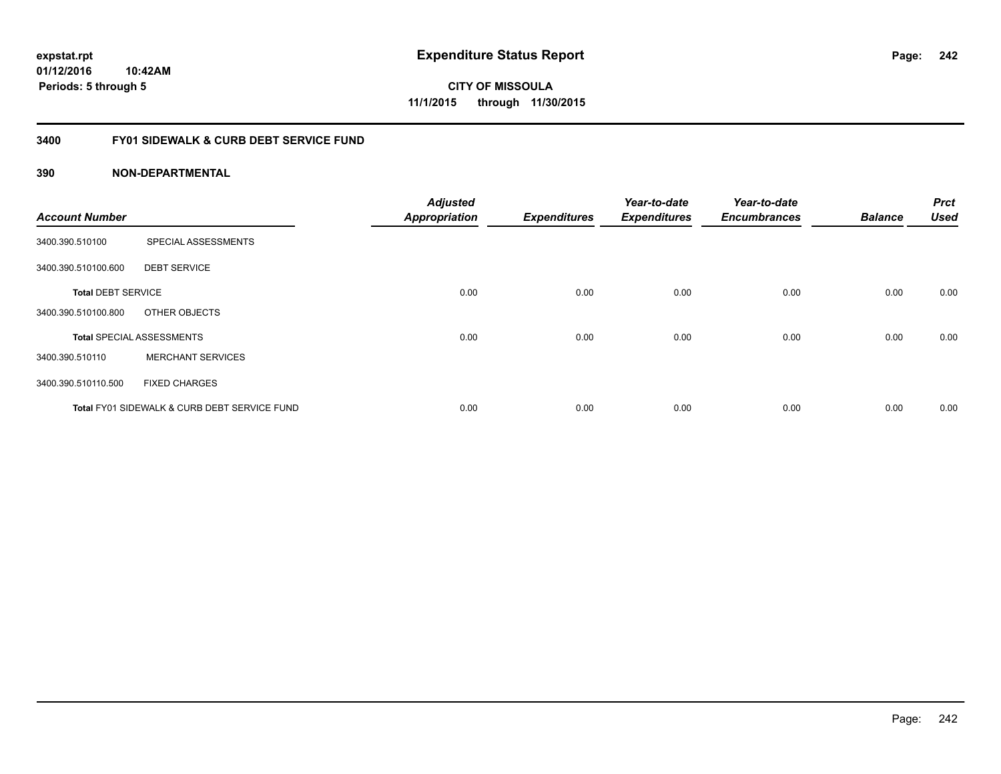**242**

**01/12/2016 10:42AM Periods: 5 through 5**

**CITY OF MISSOULA 11/1/2015 through 11/30/2015**

#### **3400 FY01 SIDEWALK & CURB DEBT SERVICE FUND**

| <b>Account Number</b>     |                                              | <b>Adjusted</b><br><b>Appropriation</b> | <b>Expenditures</b> | Year-to-date<br><b>Expenditures</b> | Year-to-date<br><b>Encumbrances</b> | <b>Balance</b> | <b>Prct</b><br><b>Used</b> |
|---------------------------|----------------------------------------------|-----------------------------------------|---------------------|-------------------------------------|-------------------------------------|----------------|----------------------------|
| 3400.390.510100           | SPECIAL ASSESSMENTS                          |                                         |                     |                                     |                                     |                |                            |
| 3400.390.510100.600       | <b>DEBT SERVICE</b>                          |                                         |                     |                                     |                                     |                |                            |
| <b>Total DEBT SERVICE</b> |                                              | 0.00                                    | 0.00                | 0.00                                | 0.00                                | 0.00           | 0.00                       |
| 3400.390.510100.800       | OTHER OBJECTS                                |                                         |                     |                                     |                                     |                |                            |
|                           | <b>Total SPECIAL ASSESSMENTS</b>             | 0.00                                    | 0.00                | 0.00                                | 0.00                                | 0.00           | 0.00                       |
| 3400.390.510110           | <b>MERCHANT SERVICES</b>                     |                                         |                     |                                     |                                     |                |                            |
| 3400.390.510110.500       | <b>FIXED CHARGES</b>                         |                                         |                     |                                     |                                     |                |                            |
|                           | Total FY01 SIDEWALK & CURB DEBT SERVICE FUND | 0.00                                    | 0.00                | 0.00                                | 0.00                                | 0.00           | 0.00                       |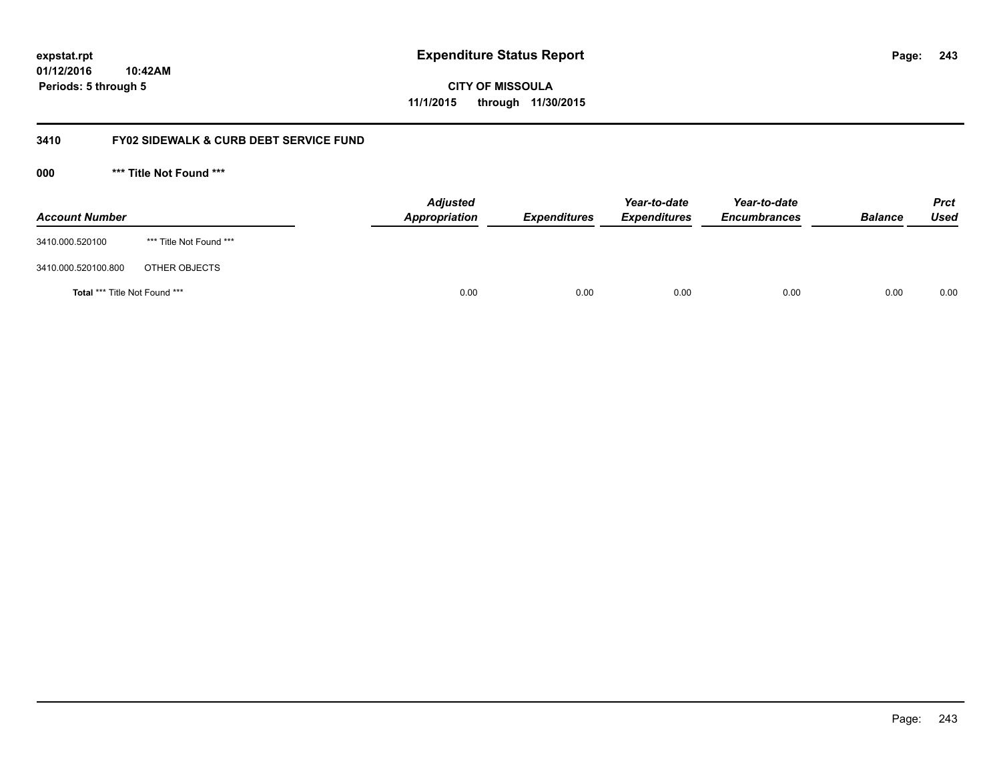**CITY OF MISSOULA 11/1/2015 through 11/30/2015**

#### **3410 FY02 SIDEWALK & CURB DEBT SERVICE FUND**

**000 \*\*\* Title Not Found \*\*\***

| <b>Account Number</b>         |                         | <b>Adjusted</b><br>Appropriation | <b>Expenditures</b> | Year-to-date<br><b>Expenditures</b> | Year-to-date<br><b>Encumbrances</b> | <b>Balance</b> | <b>Prct</b><br>Used |
|-------------------------------|-------------------------|----------------------------------|---------------------|-------------------------------------|-------------------------------------|----------------|---------------------|
| 3410.000.520100               | *** Title Not Found *** |                                  |                     |                                     |                                     |                |                     |
| 3410.000.520100.800           | OTHER OBJECTS           |                                  |                     |                                     |                                     |                |                     |
| Total *** Title Not Found *** |                         | 0.00                             | 0.00                | 0.00                                | 0.00                                | 0.00           | 0.00                |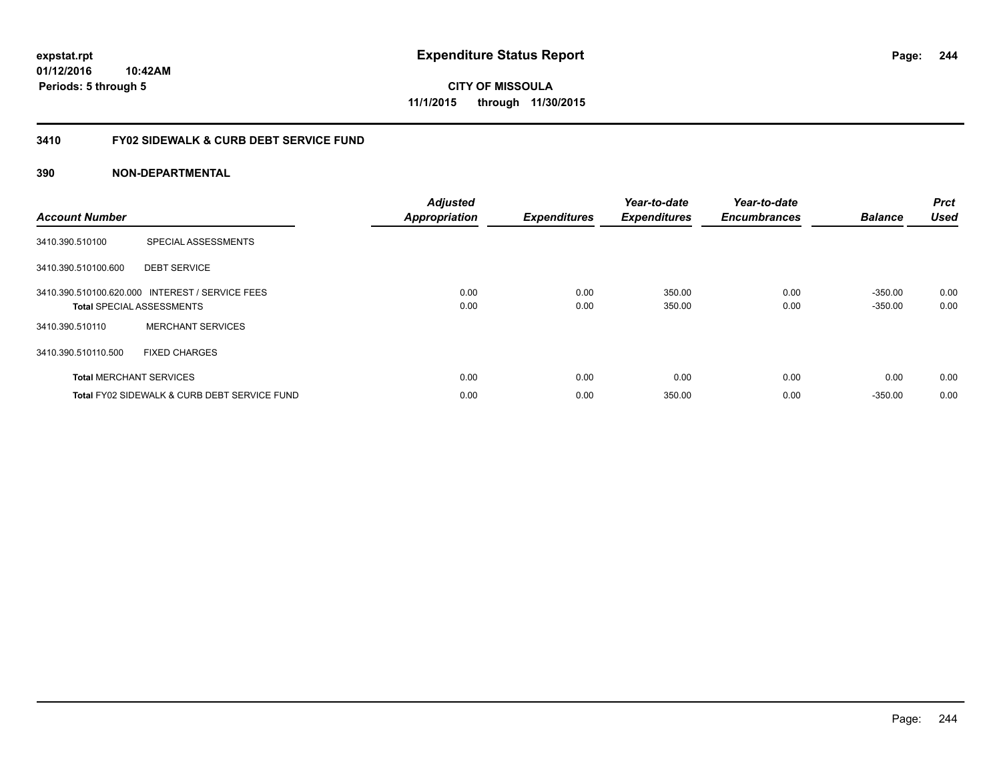**CITY OF MISSOULA 11/1/2015 through 11/30/2015**

#### **3410 FY02 SIDEWALK & CURB DEBT SERVICE FUND**

| <b>Account Number</b> |                                                                                     | <b>Adjusted</b><br><b>Appropriation</b> | <b>Expenditures</b> | Year-to-date<br><b>Expenditures</b> | Year-to-date<br><b>Encumbrances</b> | <b>Balance</b>         | <b>Prct</b><br><b>Used</b> |
|-----------------------|-------------------------------------------------------------------------------------|-----------------------------------------|---------------------|-------------------------------------|-------------------------------------|------------------------|----------------------------|
| 3410.390.510100       | SPECIAL ASSESSMENTS                                                                 |                                         |                     |                                     |                                     |                        |                            |
| 3410.390.510100.600   | <b>DEBT SERVICE</b>                                                                 |                                         |                     |                                     |                                     |                        |                            |
|                       | 3410.390.510100.620.000 INTEREST / SERVICE FEES<br><b>Total SPECIAL ASSESSMENTS</b> | 0.00<br>0.00                            | 0.00<br>0.00        | 350.00<br>350.00                    | 0.00<br>0.00                        | $-350.00$<br>$-350.00$ | 0.00<br>0.00               |
| 3410.390.510110       | <b>MERCHANT SERVICES</b>                                                            |                                         |                     |                                     |                                     |                        |                            |
| 3410.390.510110.500   | <b>FIXED CHARGES</b>                                                                |                                         |                     |                                     |                                     |                        |                            |
|                       | <b>Total MERCHANT SERVICES</b>                                                      | 0.00                                    | 0.00                | 0.00                                | 0.00                                | 0.00                   | 0.00                       |
|                       | Total FY02 SIDEWALK & CURB DEBT SERVICE FUND                                        | 0.00                                    | 0.00                | 350.00                              | 0.00                                | $-350.00$              | 0.00                       |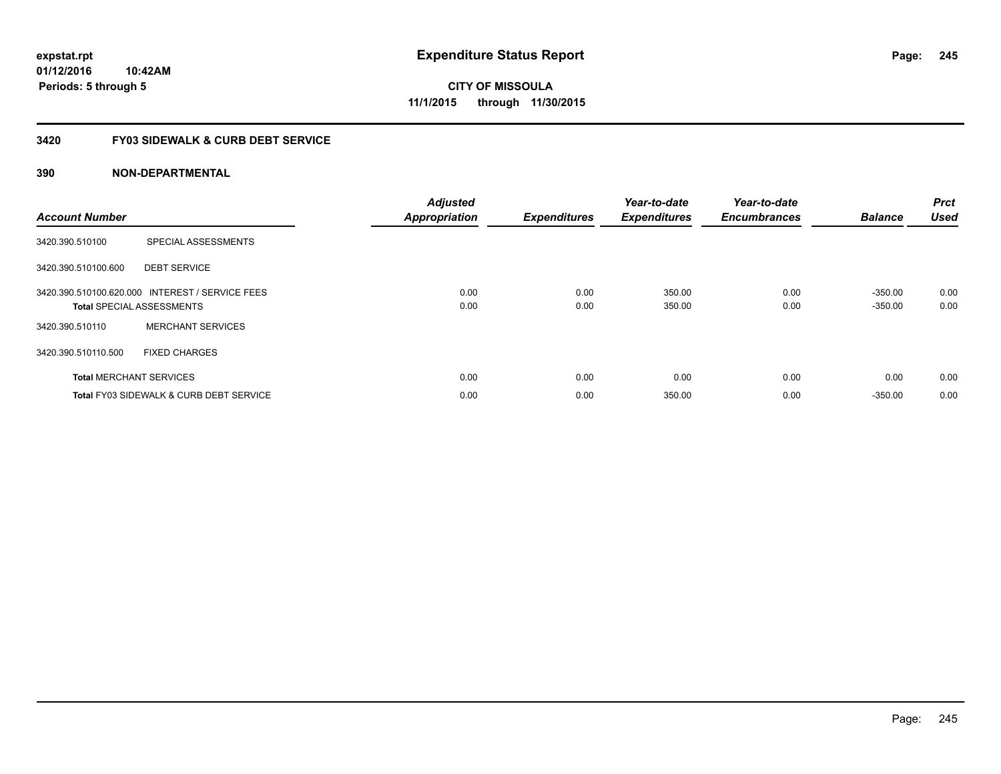**CITY OF MISSOULA 11/1/2015 through 11/30/2015**

#### **3420 FY03 SIDEWALK & CURB DEBT SERVICE**

| <b>Account Number</b> |                                                                                     | <b>Adjusted</b><br><b>Appropriation</b> | <b>Expenditures</b> | Year-to-date<br><b>Expenditures</b> | Year-to-date<br><b>Encumbrances</b> | <b>Balance</b>         | <b>Prct</b><br><b>Used</b> |
|-----------------------|-------------------------------------------------------------------------------------|-----------------------------------------|---------------------|-------------------------------------|-------------------------------------|------------------------|----------------------------|
| 3420.390.510100       | SPECIAL ASSESSMENTS                                                                 |                                         |                     |                                     |                                     |                        |                            |
| 3420.390.510100.600   | <b>DEBT SERVICE</b>                                                                 |                                         |                     |                                     |                                     |                        |                            |
|                       | 3420.390.510100.620.000 INTEREST / SERVICE FEES<br><b>Total SPECIAL ASSESSMENTS</b> | 0.00<br>0.00                            | 0.00<br>0.00        | 350.00<br>350.00                    | 0.00<br>0.00                        | $-350.00$<br>$-350.00$ | 0.00<br>0.00               |
| 3420.390.510110       | <b>MERCHANT SERVICES</b>                                                            |                                         |                     |                                     |                                     |                        |                            |
| 3420.390.510110.500   | <b>FIXED CHARGES</b>                                                                |                                         |                     |                                     |                                     |                        |                            |
|                       | <b>Total MERCHANT SERVICES</b>                                                      | 0.00                                    | 0.00                | 0.00                                | 0.00                                | 0.00                   | 0.00                       |
|                       | <b>Total FY03 SIDEWALK &amp; CURB DEBT SERVICE</b>                                  | 0.00                                    | 0.00                | 350.00                              | 0.00                                | $-350.00$              | 0.00                       |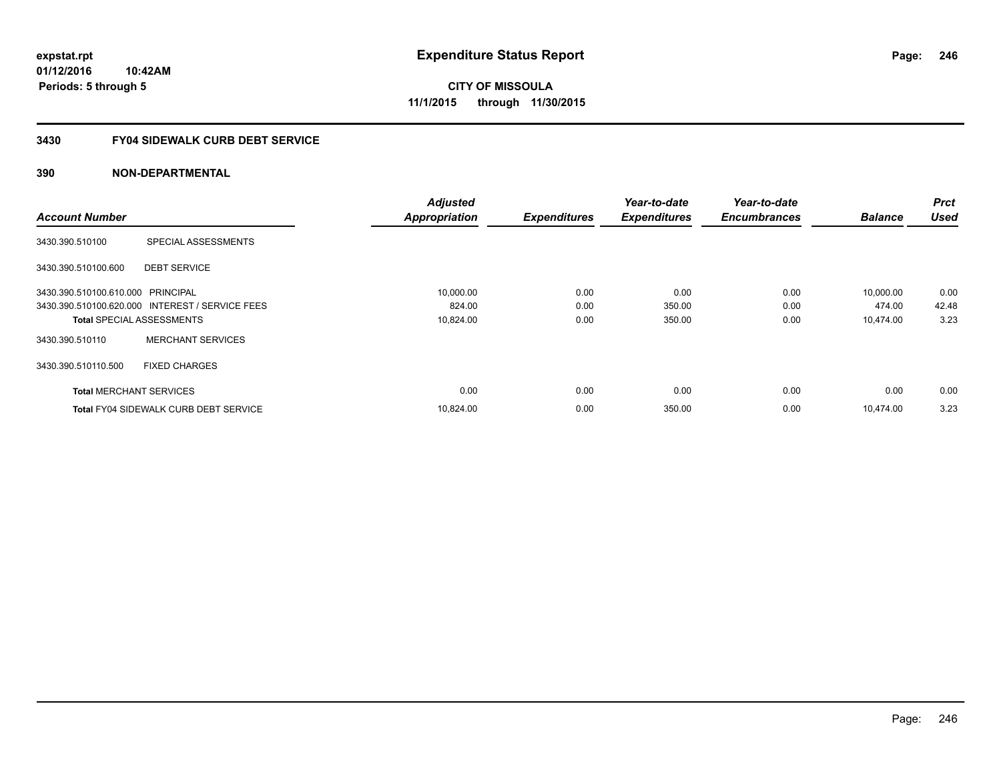**Periods: 5 through 5**

**CITY OF MISSOULA 11/1/2015 through 11/30/2015**

#### **3430 FY04 SIDEWALK CURB DEBT SERVICE**

|                                   |                                                 | <b>Adjusted</b>      |                     | Year-to-date        | Year-to-date        |                | <b>Prct</b> |
|-----------------------------------|-------------------------------------------------|----------------------|---------------------|---------------------|---------------------|----------------|-------------|
| <b>Account Number</b>             |                                                 | <b>Appropriation</b> | <b>Expenditures</b> | <b>Expenditures</b> | <b>Encumbrances</b> | <b>Balance</b> | <b>Used</b> |
| 3430.390.510100                   | SPECIAL ASSESSMENTS                             |                      |                     |                     |                     |                |             |
| 3430.390.510100.600               | <b>DEBT SERVICE</b>                             |                      |                     |                     |                     |                |             |
| 3430.390.510100.610.000 PRINCIPAL |                                                 | 10,000.00            | 0.00                | 0.00                | 0.00                | 10,000.00      | 0.00        |
|                                   | 3430.390.510100.620.000 INTEREST / SERVICE FEES | 824.00               | 0.00                | 350.00              | 0.00                | 474.00         | 42.48       |
| <b>Total SPECIAL ASSESSMENTS</b>  |                                                 | 10,824.00            | 0.00                | 350.00              | 0.00                | 10,474.00      | 3.23        |
| 3430.390.510110                   | <b>MERCHANT SERVICES</b>                        |                      |                     |                     |                     |                |             |
| 3430.390.510110.500               | <b>FIXED CHARGES</b>                            |                      |                     |                     |                     |                |             |
| <b>Total MERCHANT SERVICES</b>    |                                                 | 0.00                 | 0.00                | 0.00                | 0.00                | 0.00           | 0.00        |
|                                   | <b>Total FY04 SIDEWALK CURB DEBT SERVICE</b>    | 10,824.00            | 0.00                | 350.00              | 0.00                | 10.474.00      | 3.23        |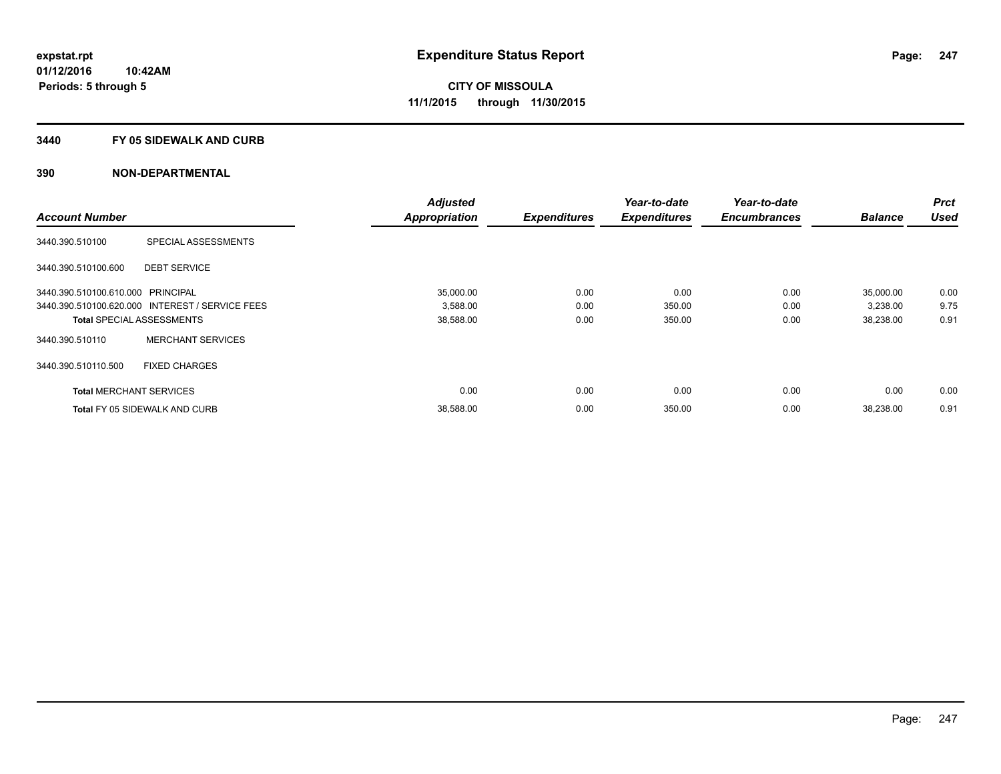#### **3440 FY 05 SIDEWALK AND CURB**

|                                   |                                                 | <b>Adjusted</b>      |                     | Year-to-date        | Year-to-date        |                | <b>Prct</b> |
|-----------------------------------|-------------------------------------------------|----------------------|---------------------|---------------------|---------------------|----------------|-------------|
| <b>Account Number</b>             |                                                 | <b>Appropriation</b> | <b>Expenditures</b> | <b>Expenditures</b> | <b>Encumbrances</b> | <b>Balance</b> | <b>Used</b> |
| 3440.390.510100                   | SPECIAL ASSESSMENTS                             |                      |                     |                     |                     |                |             |
| 3440.390.510100.600               | <b>DEBT SERVICE</b>                             |                      |                     |                     |                     |                |             |
| 3440.390.510100.610.000 PRINCIPAL |                                                 | 35.000.00            | 0.00                | 0.00                | 0.00                | 35,000.00      | 0.00        |
|                                   | 3440.390.510100.620.000 INTEREST / SERVICE FEES | 3,588.00             | 0.00                | 350.00              | 0.00                | 3,238.00       | 9.75        |
| <b>Total SPECIAL ASSESSMENTS</b>  |                                                 | 38,588.00            | 0.00                | 350.00              | 0.00                | 38,238.00      | 0.91        |
| 3440.390.510110                   | <b>MERCHANT SERVICES</b>                        |                      |                     |                     |                     |                |             |
| 3440.390.510110.500               | <b>FIXED CHARGES</b>                            |                      |                     |                     |                     |                |             |
| <b>Total MERCHANT SERVICES</b>    |                                                 | 0.00                 | 0.00                | 0.00                | 0.00                | 0.00           | 0.00        |
|                                   | <b>Total FY 05 SIDEWALK AND CURB</b>            | 38,588.00            | 0.00                | 350.00              | 0.00                | 38,238.00      | 0.91        |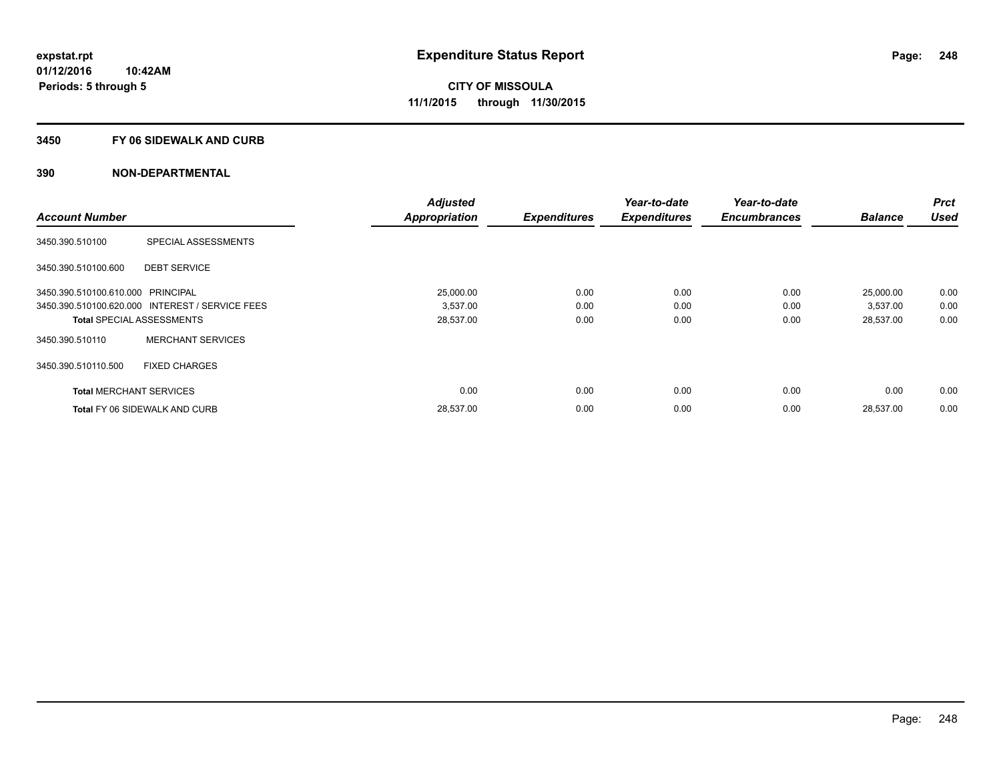#### **3450 FY 06 SIDEWALK AND CURB**

|                                   |                                                 | <b>Adjusted</b>      |                     | Year-to-date        | Year-to-date        |                | Prct        |
|-----------------------------------|-------------------------------------------------|----------------------|---------------------|---------------------|---------------------|----------------|-------------|
| <b>Account Number</b>             |                                                 | <b>Appropriation</b> | <b>Expenditures</b> | <b>Expenditures</b> | <b>Encumbrances</b> | <b>Balance</b> | <b>Used</b> |
| 3450.390.510100                   | SPECIAL ASSESSMENTS                             |                      |                     |                     |                     |                |             |
| 3450.390.510100.600               | <b>DEBT SERVICE</b>                             |                      |                     |                     |                     |                |             |
| 3450.390.510100.610.000 PRINCIPAL |                                                 | 25.000.00            | 0.00                | 0.00                | 0.00                | 25,000.00      | 0.00        |
|                                   | 3450.390.510100.620.000 INTEREST / SERVICE FEES | 3,537.00             | 0.00                | 0.00                | 0.00                | 3,537.00       | 0.00        |
|                                   | <b>Total SPECIAL ASSESSMENTS</b>                | 28,537.00            | 0.00                | 0.00                | 0.00                | 28,537.00      | 0.00        |
| 3450.390.510110                   | <b>MERCHANT SERVICES</b>                        |                      |                     |                     |                     |                |             |
| 3450.390.510110.500               | <b>FIXED CHARGES</b>                            |                      |                     |                     |                     |                |             |
| <b>Total MERCHANT SERVICES</b>    |                                                 | 0.00                 | 0.00                | 0.00                | 0.00                | 0.00           | 0.00        |
|                                   | <b>Total FY 06 SIDEWALK AND CURB</b>            | 28,537.00            | 0.00                | 0.00                | 0.00                | 28,537.00      | 0.00        |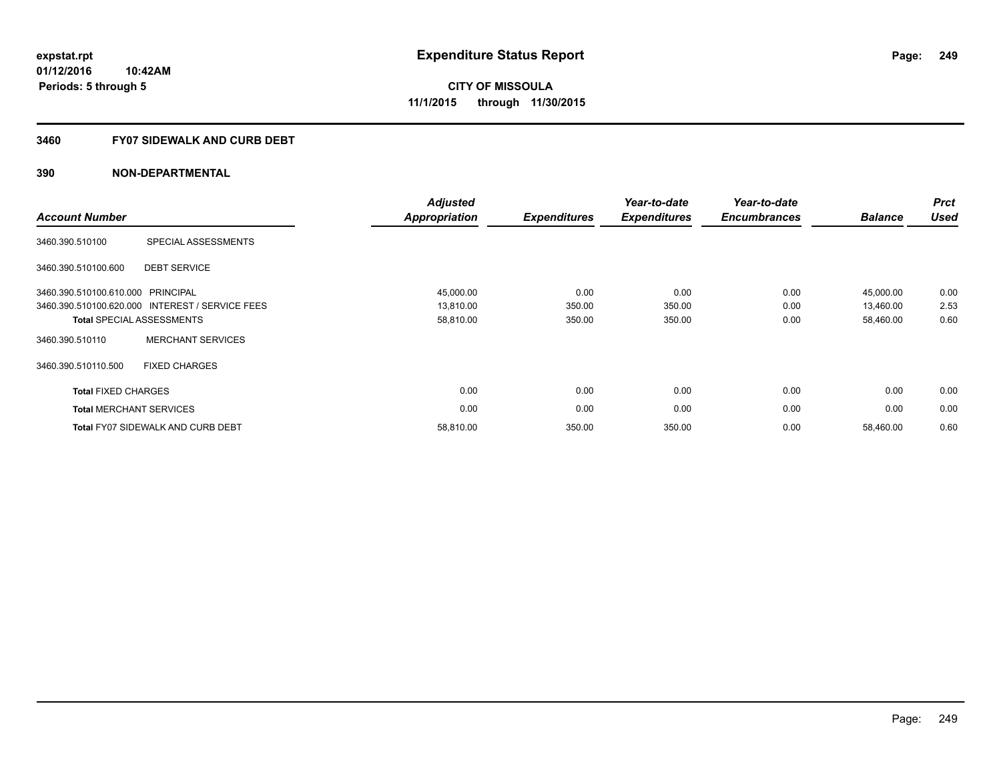#### **3460 FY07 SIDEWALK AND CURB DEBT**

| <b>Account Number</b>             |                                                 | <b>Adjusted</b><br><b>Appropriation</b> | <b>Expenditures</b> | Year-to-date<br><b>Expenditures</b> | Year-to-date<br><b>Encumbrances</b> | <b>Balance</b> | <b>Prct</b><br><b>Used</b> |
|-----------------------------------|-------------------------------------------------|-----------------------------------------|---------------------|-------------------------------------|-------------------------------------|----------------|----------------------------|
| 3460.390.510100                   | SPECIAL ASSESSMENTS                             |                                         |                     |                                     |                                     |                |                            |
| 3460.390.510100.600               | <b>DEBT SERVICE</b>                             |                                         |                     |                                     |                                     |                |                            |
| 3460.390.510100.610.000 PRINCIPAL |                                                 | 45,000.00                               | 0.00                | 0.00                                | 0.00                                | 45,000.00      | 0.00                       |
|                                   | 3460.390.510100.620.000 INTEREST / SERVICE FEES | 13,810.00                               | 350.00              | 350.00                              | 0.00                                | 13,460.00      | 2.53                       |
|                                   | <b>Total SPECIAL ASSESSMENTS</b>                | 58,810.00                               | 350.00              | 350.00                              | 0.00                                | 58,460.00      | 0.60                       |
| 3460.390.510110                   | <b>MERCHANT SERVICES</b>                        |                                         |                     |                                     |                                     |                |                            |
| 3460.390.510110.500               | <b>FIXED CHARGES</b>                            |                                         |                     |                                     |                                     |                |                            |
| <b>Total FIXED CHARGES</b>        |                                                 | 0.00                                    | 0.00                | 0.00                                | 0.00                                | 0.00           | 0.00                       |
|                                   | <b>Total MERCHANT SERVICES</b>                  | 0.00                                    | 0.00                | 0.00                                | 0.00                                | 0.00           | 0.00                       |
|                                   | <b>Total FY07 SIDEWALK AND CURB DEBT</b>        | 58,810.00                               | 350.00              | 350.00                              | 0.00                                | 58,460.00      | 0.60                       |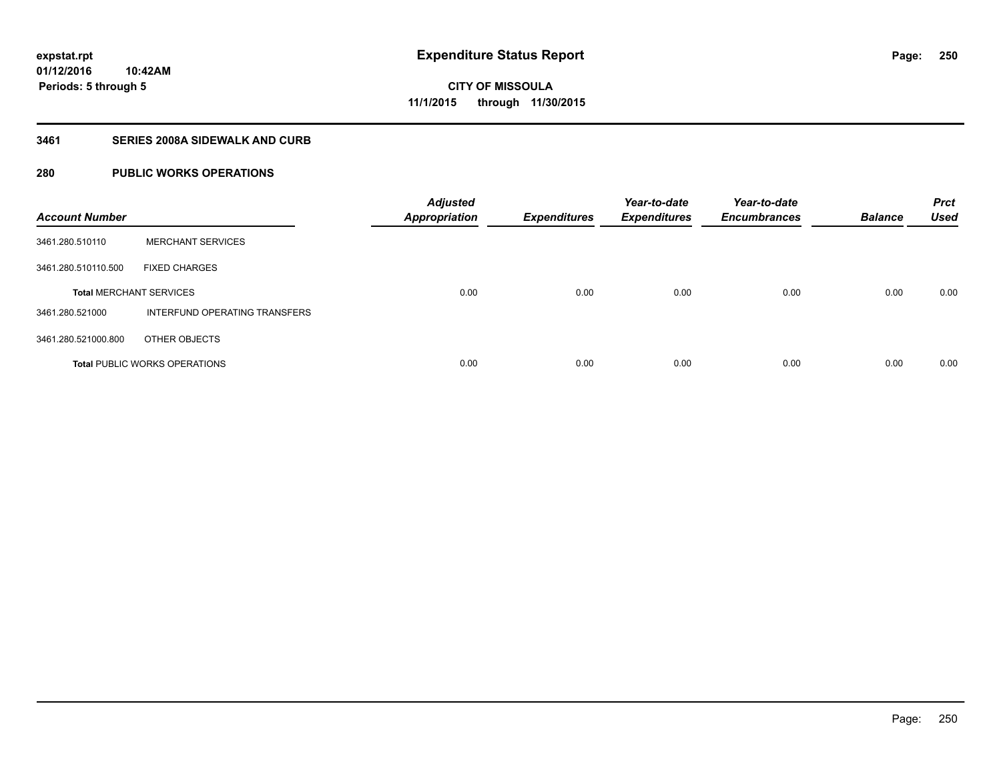#### **3461 SERIES 2008A SIDEWALK AND CURB**

### **280 PUBLIC WORKS OPERATIONS**

| <b>Account Number</b>          |                                      | <b>Adjusted</b><br><b>Appropriation</b> | <b>Expenditures</b> | Year-to-date<br><b>Expenditures</b> | Year-to-date<br><b>Encumbrances</b> | <b>Balance</b> | <b>Prct</b><br><b>Used</b> |
|--------------------------------|--------------------------------------|-----------------------------------------|---------------------|-------------------------------------|-------------------------------------|----------------|----------------------------|
| 3461.280.510110                | <b>MERCHANT SERVICES</b>             |                                         |                     |                                     |                                     |                |                            |
| 3461.280.510110.500            | <b>FIXED CHARGES</b>                 |                                         |                     |                                     |                                     |                |                            |
| <b>Total MERCHANT SERVICES</b> |                                      | 0.00                                    | 0.00                | 0.00                                | 0.00                                | 0.00           | 0.00                       |
| 3461.280.521000                | INTERFUND OPERATING TRANSFERS        |                                         |                     |                                     |                                     |                |                            |
| 3461.280.521000.800            | OTHER OBJECTS                        |                                         |                     |                                     |                                     |                |                            |
|                                | <b>Total PUBLIC WORKS OPERATIONS</b> | 0.00                                    | 0.00                | 0.00                                | 0.00                                | 0.00           | 0.00                       |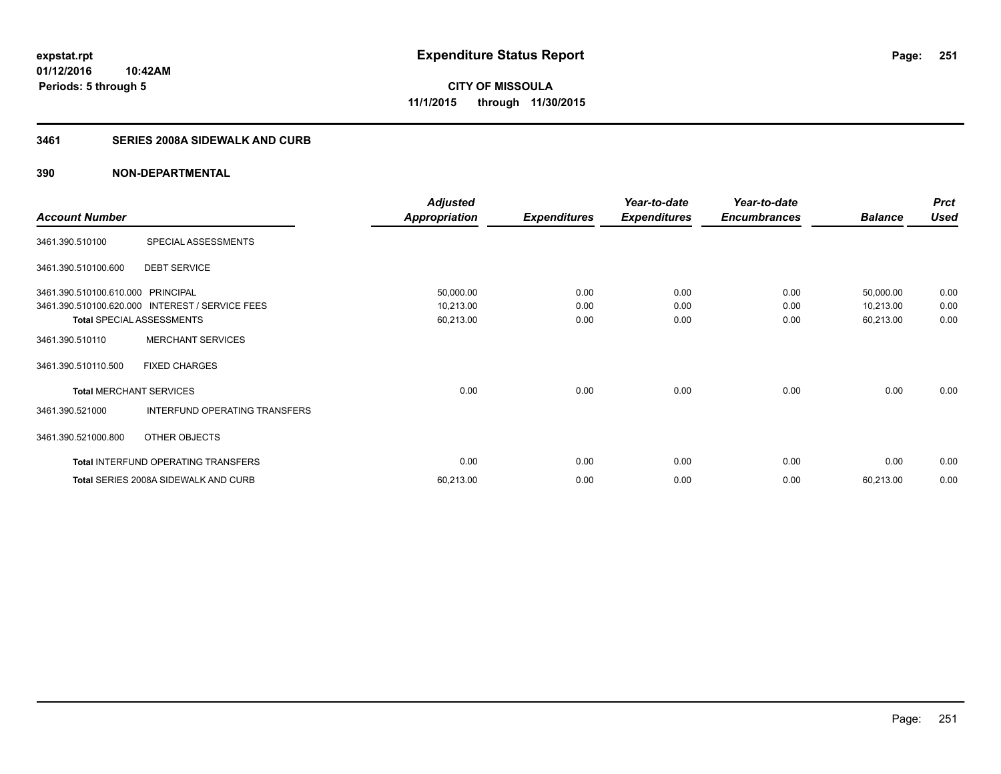#### **3461 SERIES 2008A SIDEWALK AND CURB**

|                                   |                                                 | <b>Adjusted</b>      |                     | Year-to-date        | Year-to-date        |                | <b>Prct</b> |
|-----------------------------------|-------------------------------------------------|----------------------|---------------------|---------------------|---------------------|----------------|-------------|
| <b>Account Number</b>             |                                                 | <b>Appropriation</b> | <b>Expenditures</b> | <b>Expenditures</b> | <b>Encumbrances</b> | <b>Balance</b> | <b>Used</b> |
| 3461.390.510100                   | SPECIAL ASSESSMENTS                             |                      |                     |                     |                     |                |             |
| 3461.390.510100.600               | <b>DEBT SERVICE</b>                             |                      |                     |                     |                     |                |             |
| 3461.390.510100.610.000 PRINCIPAL |                                                 | 50,000.00            | 0.00                | 0.00                | 0.00                | 50,000.00      | 0.00        |
|                                   | 3461.390.510100.620.000 INTEREST / SERVICE FEES | 10,213.00            | 0.00                | 0.00                | 0.00                | 10,213.00      | 0.00        |
|                                   | <b>Total SPECIAL ASSESSMENTS</b>                | 60,213.00            | 0.00                | 0.00                | 0.00                | 60,213.00      | 0.00        |
| 3461.390.510110                   | <b>MERCHANT SERVICES</b>                        |                      |                     |                     |                     |                |             |
| 3461.390.510110.500               | <b>FIXED CHARGES</b>                            |                      |                     |                     |                     |                |             |
| <b>Total MERCHANT SERVICES</b>    |                                                 | 0.00                 | 0.00                | 0.00                | 0.00                | 0.00           | 0.00        |
| 3461.390.521000                   | INTERFUND OPERATING TRANSFERS                   |                      |                     |                     |                     |                |             |
| 3461.390.521000.800               | OTHER OBJECTS                                   |                      |                     |                     |                     |                |             |
|                                   | Total INTERFUND OPERATING TRANSFERS             | 0.00                 | 0.00                | 0.00                | 0.00                | 0.00           | 0.00        |
|                                   | Total SERIES 2008A SIDEWALK AND CURB            | 60,213.00            | 0.00                | 0.00                | 0.00                | 60,213.00      | 0.00        |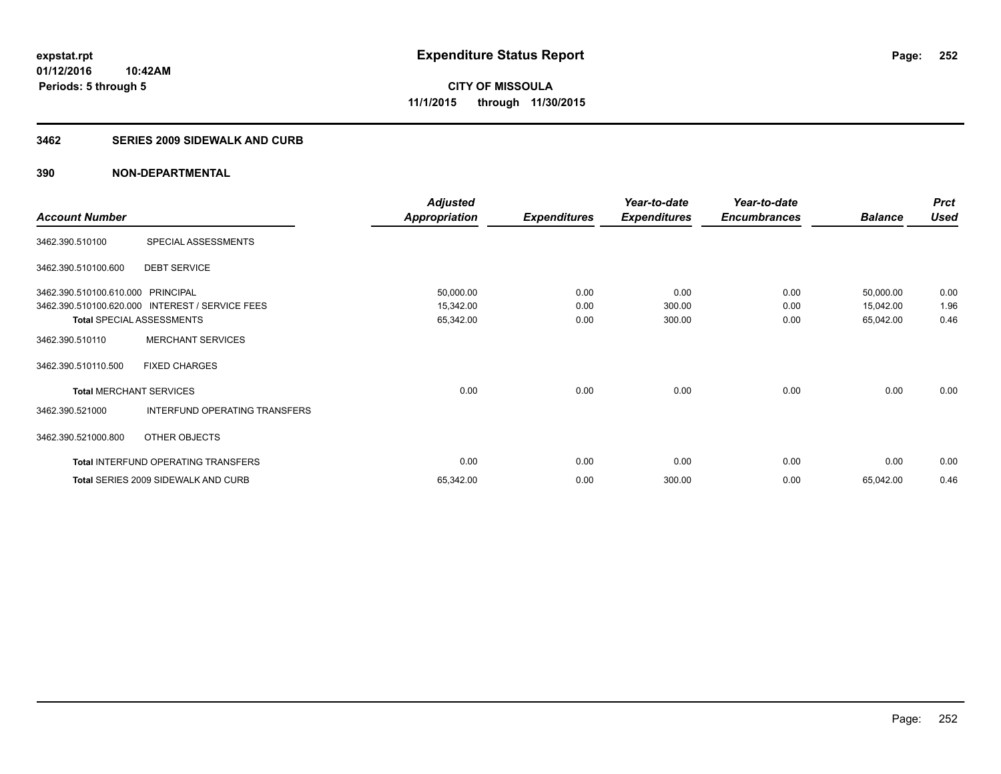#### **3462 SERIES 2009 SIDEWALK AND CURB**

|                                   |                                                 | <b>Adjusted</b>      |                     | Year-to-date        | Year-to-date        |                | <b>Prct</b> |
|-----------------------------------|-------------------------------------------------|----------------------|---------------------|---------------------|---------------------|----------------|-------------|
| <b>Account Number</b>             |                                                 | <b>Appropriation</b> | <b>Expenditures</b> | <b>Expenditures</b> | <b>Encumbrances</b> | <b>Balance</b> | <b>Used</b> |
| 3462.390.510100                   | SPECIAL ASSESSMENTS                             |                      |                     |                     |                     |                |             |
| 3462.390.510100.600               | <b>DEBT SERVICE</b>                             |                      |                     |                     |                     |                |             |
| 3462.390.510100.610.000 PRINCIPAL |                                                 | 50,000.00            | 0.00                | 0.00                | 0.00                | 50,000.00      | 0.00        |
|                                   | 3462.390.510100.620.000 INTEREST / SERVICE FEES | 15,342.00            | 0.00                | 300.00              | 0.00                | 15,042.00      | 1.96        |
| <b>Total SPECIAL ASSESSMENTS</b>  |                                                 | 65,342.00            | 0.00                | 300.00              | 0.00                | 65,042.00      | 0.46        |
| 3462.390.510110                   | <b>MERCHANT SERVICES</b>                        |                      |                     |                     |                     |                |             |
| 3462.390.510110.500               | <b>FIXED CHARGES</b>                            |                      |                     |                     |                     |                |             |
| <b>Total MERCHANT SERVICES</b>    |                                                 | 0.00                 | 0.00                | 0.00                | 0.00                | 0.00           | 0.00        |
| 3462.390.521000                   | INTERFUND OPERATING TRANSFERS                   |                      |                     |                     |                     |                |             |
| 3462.390.521000.800               | OTHER OBJECTS                                   |                      |                     |                     |                     |                |             |
|                                   | Total INTERFUND OPERATING TRANSFERS             | 0.00                 | 0.00                | 0.00                | 0.00                | 0.00           | 0.00        |
|                                   | <b>Total SERIES 2009 SIDEWALK AND CURB</b>      | 65,342.00            | 0.00                | 300.00              | 0.00                | 65,042.00      | 0.46        |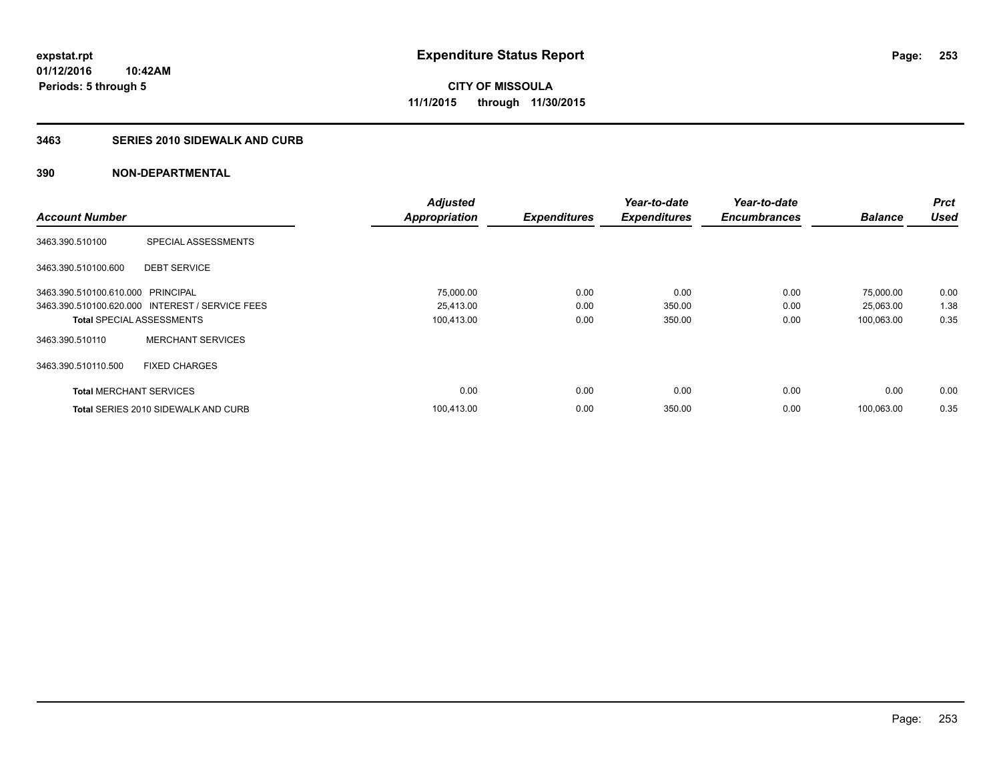### **3463 SERIES 2010 SIDEWALK AND CURB**

|                                   |                                                 | <b>Adjusted</b>      |                     | Year-to-date        | Year-to-date        |                | <b>Prct</b> |
|-----------------------------------|-------------------------------------------------|----------------------|---------------------|---------------------|---------------------|----------------|-------------|
| <b>Account Number</b>             |                                                 | <b>Appropriation</b> | <b>Expenditures</b> | <b>Expenditures</b> | <b>Encumbrances</b> | <b>Balance</b> | <b>Used</b> |
| 3463.390.510100                   | SPECIAL ASSESSMENTS                             |                      |                     |                     |                     |                |             |
| 3463.390.510100.600               | <b>DEBT SERVICE</b>                             |                      |                     |                     |                     |                |             |
| 3463.390.510100.610.000 PRINCIPAL |                                                 | 75,000.00            | 0.00                | 0.00                | 0.00                | 75,000.00      | 0.00        |
|                                   | 3463.390.510100.620.000 INTEREST / SERVICE FEES | 25,413.00            | 0.00                | 350.00              | 0.00                | 25,063.00      | 1.38        |
| <b>Total SPECIAL ASSESSMENTS</b>  |                                                 | 100,413.00           | 0.00                | 350.00              | 0.00                | 100,063.00     | 0.35        |
| 3463.390.510110                   | <b>MERCHANT SERVICES</b>                        |                      |                     |                     |                     |                |             |
| 3463.390.510110.500               | <b>FIXED CHARGES</b>                            |                      |                     |                     |                     |                |             |
| <b>Total MERCHANT SERVICES</b>    |                                                 | 0.00                 | 0.00                | 0.00                | 0.00                | 0.00           | 0.00        |
|                                   | <b>Total SERIES 2010 SIDEWALK AND CURB</b>      | 100.413.00           | 0.00                | 350.00              | 0.00                | 100.063.00     | 0.35        |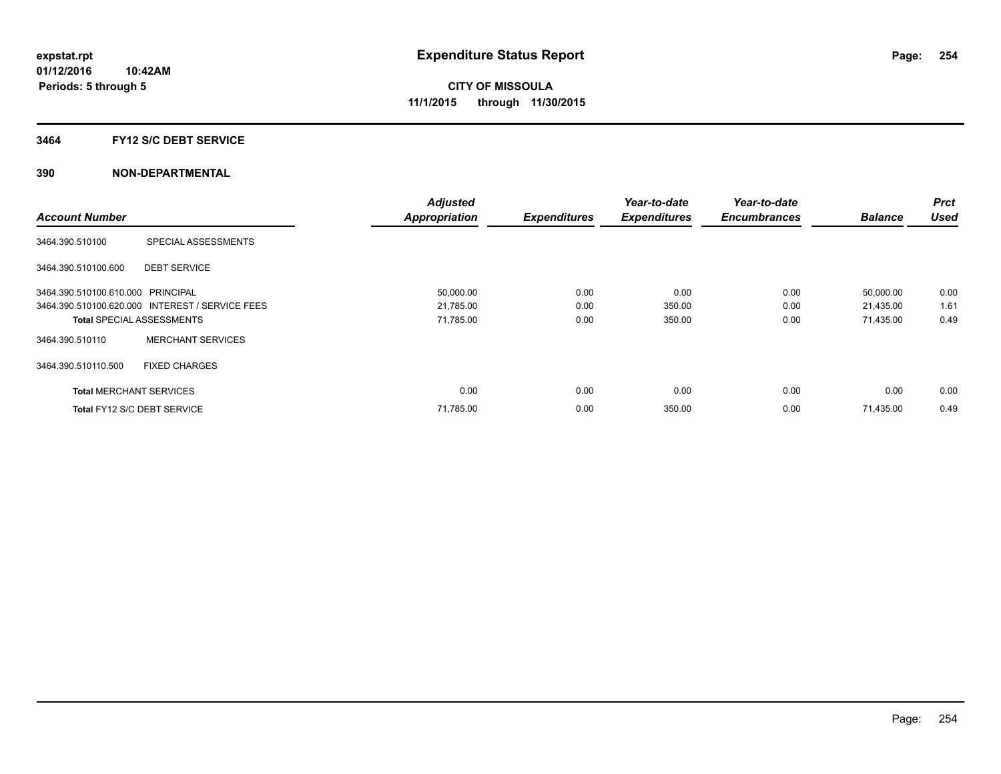#### **3464 FY12 S/C DEBT SERVICE**

|                                   |                                                 | <b>Adjusted</b>      |                     | Year-to-date        | Year-to-date        |                | <b>Prct</b> |
|-----------------------------------|-------------------------------------------------|----------------------|---------------------|---------------------|---------------------|----------------|-------------|
| <b>Account Number</b>             |                                                 | <b>Appropriation</b> | <b>Expenditures</b> | <b>Expenditures</b> | <b>Encumbrances</b> | <b>Balance</b> | <b>Used</b> |
| 3464.390.510100                   | SPECIAL ASSESSMENTS                             |                      |                     |                     |                     |                |             |
| 3464.390.510100.600               | <b>DEBT SERVICE</b>                             |                      |                     |                     |                     |                |             |
| 3464.390.510100.610.000 PRINCIPAL |                                                 | 50,000.00            | 0.00                | 0.00                | 0.00                | 50,000.00      | 0.00        |
|                                   | 3464.390.510100.620.000 INTEREST / SERVICE FEES | 21,785.00            | 0.00                | 350.00              | 0.00                | 21,435.00      | 1.61        |
| <b>Total SPECIAL ASSESSMENTS</b>  |                                                 | 71,785.00            | 0.00                | 350.00              | 0.00                | 71,435.00      | 0.49        |
| 3464.390.510110                   | <b>MERCHANT SERVICES</b>                        |                      |                     |                     |                     |                |             |
| 3464.390.510110.500               | <b>FIXED CHARGES</b>                            |                      |                     |                     |                     |                |             |
| <b>Total MERCHANT SERVICES</b>    |                                                 | 0.00                 | 0.00                | 0.00                | 0.00                | 0.00           | 0.00        |
| Total FY12 S/C DEBT SERVICE       |                                                 | 71,785.00            | 0.00                | 350.00              | 0.00                | 71,435.00      | 0.49        |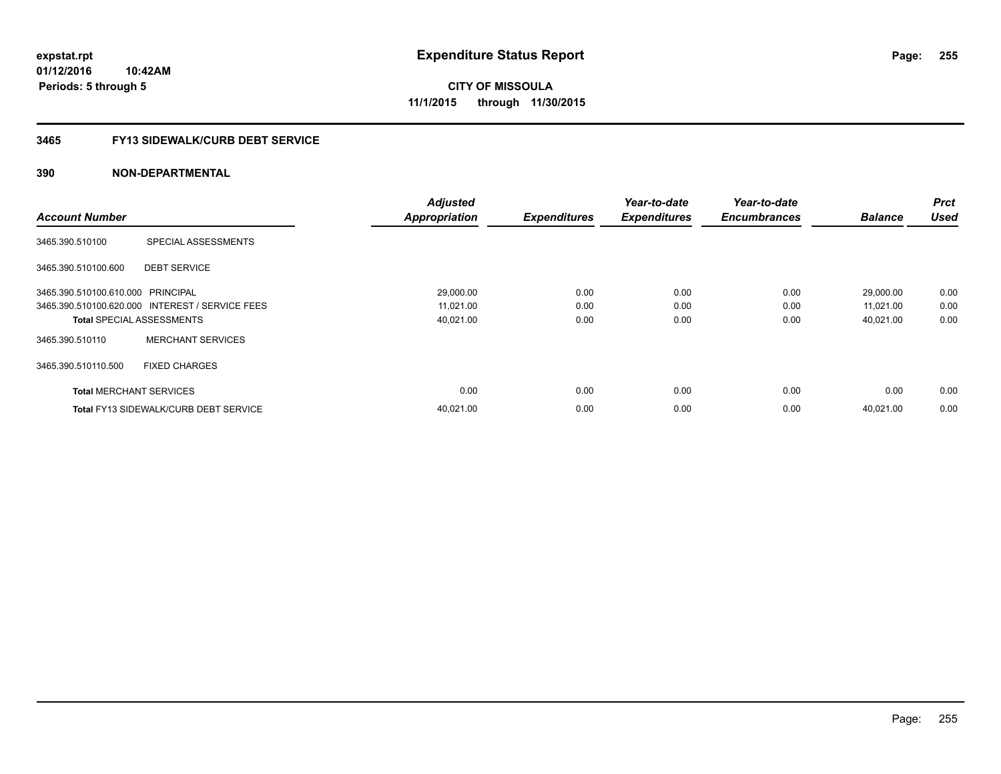**Periods: 5 through 5**

**CITY OF MISSOULA 11/1/2015 through 11/30/2015**

### **3465 FY13 SIDEWALK/CURB DEBT SERVICE**

|                                   |                                                 | <b>Adjusted</b>      |                     | Year-to-date        | Year-to-date        |                | <b>Prct</b> |
|-----------------------------------|-------------------------------------------------|----------------------|---------------------|---------------------|---------------------|----------------|-------------|
| <b>Account Number</b>             |                                                 | <b>Appropriation</b> | <b>Expenditures</b> | <b>Expenditures</b> | <b>Encumbrances</b> | <b>Balance</b> | <b>Used</b> |
| 3465.390.510100                   | SPECIAL ASSESSMENTS                             |                      |                     |                     |                     |                |             |
| 3465.390.510100.600               | <b>DEBT SERVICE</b>                             |                      |                     |                     |                     |                |             |
| 3465.390.510100.610.000 PRINCIPAL |                                                 | 29,000.00            | 0.00                | 0.00                | 0.00                | 29,000.00      | 0.00        |
|                                   | 3465.390.510100.620.000 INTEREST / SERVICE FEES | 11,021.00            | 0.00                | 0.00                | 0.00                | 11,021.00      | 0.00        |
| <b>Total SPECIAL ASSESSMENTS</b>  |                                                 | 40,021.00            | 0.00                | 0.00                | 0.00                | 40,021.00      | 0.00        |
| 3465.390.510110                   | <b>MERCHANT SERVICES</b>                        |                      |                     |                     |                     |                |             |
| 3465.390.510110.500               | <b>FIXED CHARGES</b>                            |                      |                     |                     |                     |                |             |
| <b>Total MERCHANT SERVICES</b>    |                                                 | 0.00                 | 0.00                | 0.00                | 0.00                | 0.00           | 0.00        |
|                                   | <b>Total FY13 SIDEWALK/CURB DEBT SERVICE</b>    | 40,021.00            | 0.00                | 0.00                | 0.00                | 40.021.00      | 0.00        |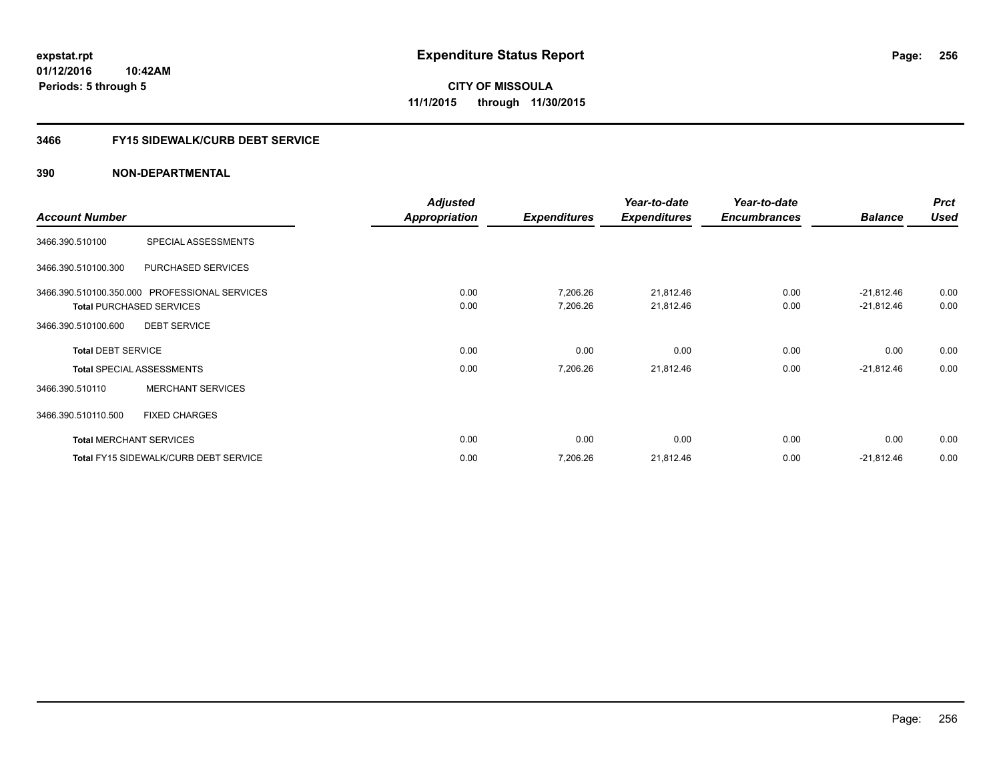## **3466 FY15 SIDEWALK/CURB DEBT SERVICE**

|                           |                                               | <b>Adjusted</b> |                     | Year-to-date        | Year-to-date        |                | <b>Prct</b> |
|---------------------------|-----------------------------------------------|-----------------|---------------------|---------------------|---------------------|----------------|-------------|
| <b>Account Number</b>     |                                               | Appropriation   | <b>Expenditures</b> | <b>Expenditures</b> | <b>Encumbrances</b> | <b>Balance</b> | <b>Used</b> |
| 3466.390.510100           | SPECIAL ASSESSMENTS                           |                 |                     |                     |                     |                |             |
| 3466.390.510100.300       | PURCHASED SERVICES                            |                 |                     |                     |                     |                |             |
|                           | 3466.390.510100.350.000 PROFESSIONAL SERVICES | 0.00            | 7,206.26            | 21,812.46           | 0.00                | $-21,812.46$   | 0.00        |
|                           | <b>Total PURCHASED SERVICES</b>               | 0.00            | 7,206.26            | 21,812.46           | 0.00                | $-21,812.46$   | 0.00        |
| 3466.390.510100.600       | <b>DEBT SERVICE</b>                           |                 |                     |                     |                     |                |             |
| <b>Total DEBT SERVICE</b> |                                               | 0.00            | 0.00                | 0.00                | 0.00                | 0.00           | 0.00        |
|                           | <b>Total SPECIAL ASSESSMENTS</b>              | 0.00            | 7,206.26            | 21,812.46           | 0.00                | $-21,812.46$   | 0.00        |
| 3466.390.510110           | <b>MERCHANT SERVICES</b>                      |                 |                     |                     |                     |                |             |
| 3466.390.510110.500       | <b>FIXED CHARGES</b>                          |                 |                     |                     |                     |                |             |
|                           | <b>Total MERCHANT SERVICES</b>                | 0.00            | 0.00                | 0.00                | 0.00                | 0.00           | 0.00        |
|                           | <b>Total FY15 SIDEWALK/CURB DEBT SERVICE</b>  | 0.00            | 7,206.26            | 21,812.46           | 0.00                | $-21,812.46$   | 0.00        |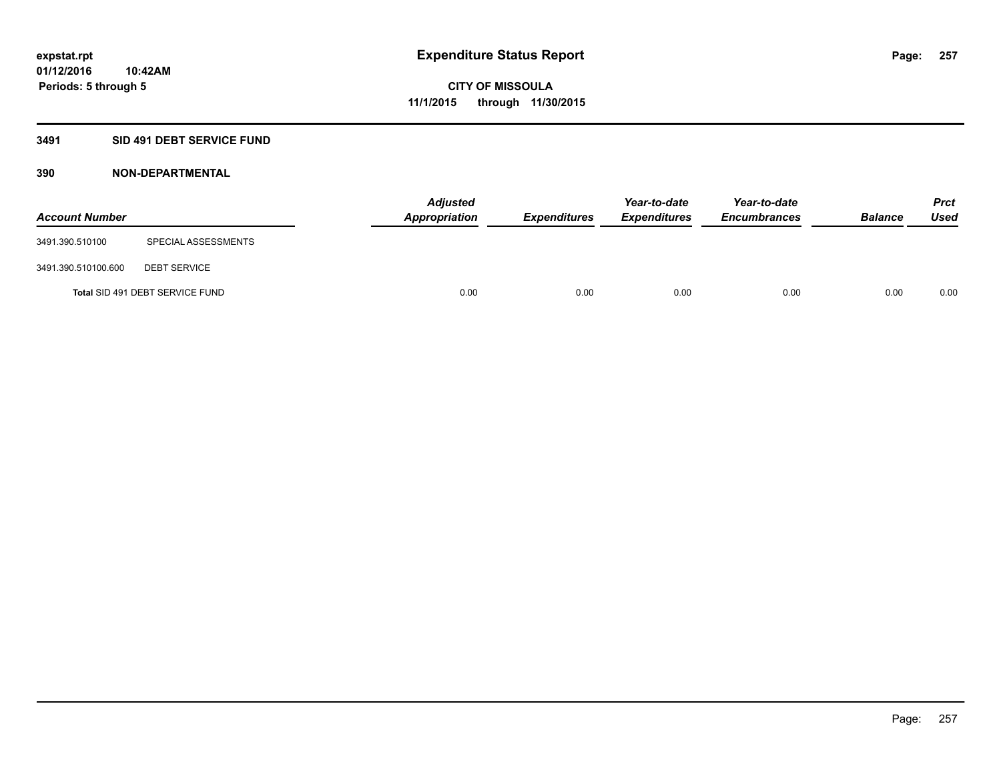### **3491 SID 491 DEBT SERVICE FUND**

| <b>Account Number</b> |                                 | <b>Adjusted</b><br><b>Appropriation</b> | <b>Expenditures</b> | Year-to-date<br><b>Expenditures</b> | Year-to-date<br><b>Encumbrances</b> | <b>Balance</b> | Prct<br><b>Used</b> |
|-----------------------|---------------------------------|-----------------------------------------|---------------------|-------------------------------------|-------------------------------------|----------------|---------------------|
| 3491.390.510100       | SPECIAL ASSESSMENTS             |                                         |                     |                                     |                                     |                |                     |
| 3491.390.510100.600   | <b>DEBT SERVICE</b>             |                                         |                     |                                     |                                     |                |                     |
|                       | Total SID 491 DEBT SERVICE FUND | 0.00                                    | 0.00                | 0.00                                | 0.00                                | 0.00           | 0.00                |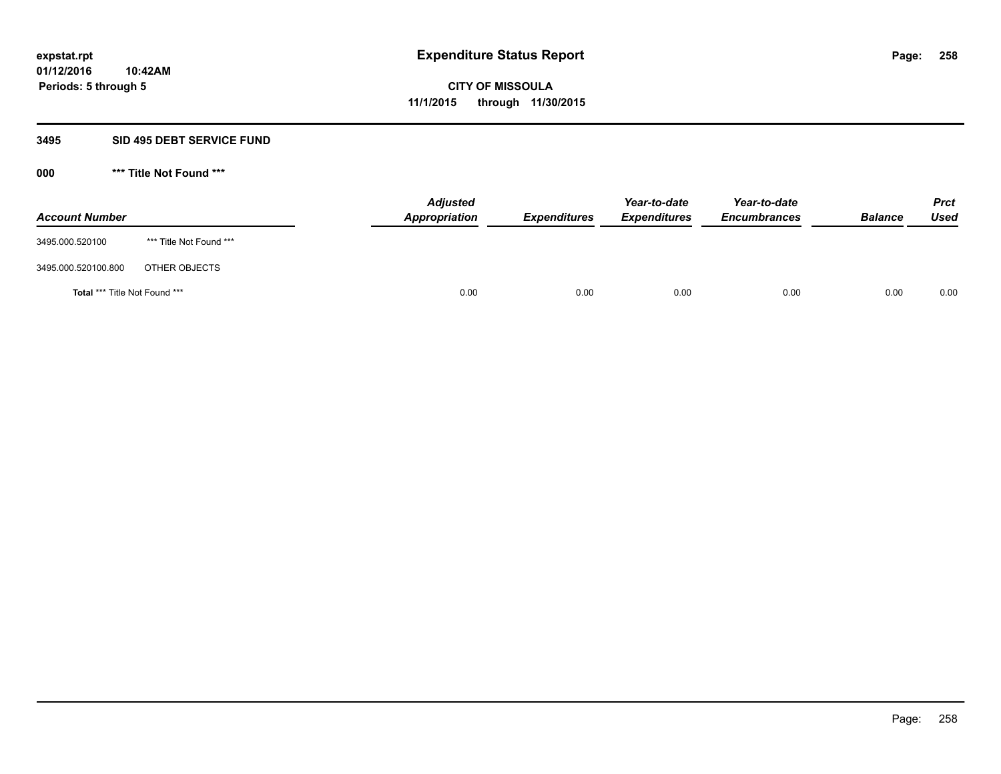#### **3495 SID 495 DEBT SERVICE FUND**

| <b>Account Number</b>                |                         | <b>Adjusted</b><br>Appropriation | <b>Expenditures</b> | Year-to-date<br><b>Expenditures</b> | Year-to-date<br><b>Encumbrances</b> | <b>Balance</b> | <b>Prct</b><br>Used |
|--------------------------------------|-------------------------|----------------------------------|---------------------|-------------------------------------|-------------------------------------|----------------|---------------------|
| 3495.000.520100                      | *** Title Not Found *** |                                  |                     |                                     |                                     |                |                     |
| 3495.000.520100.800                  | OTHER OBJECTS           |                                  |                     |                                     |                                     |                |                     |
| <b>Total *** Title Not Found ***</b> |                         | 0.00                             | 0.00                | 0.00                                | 0.00                                | 0.00           | 0.00                |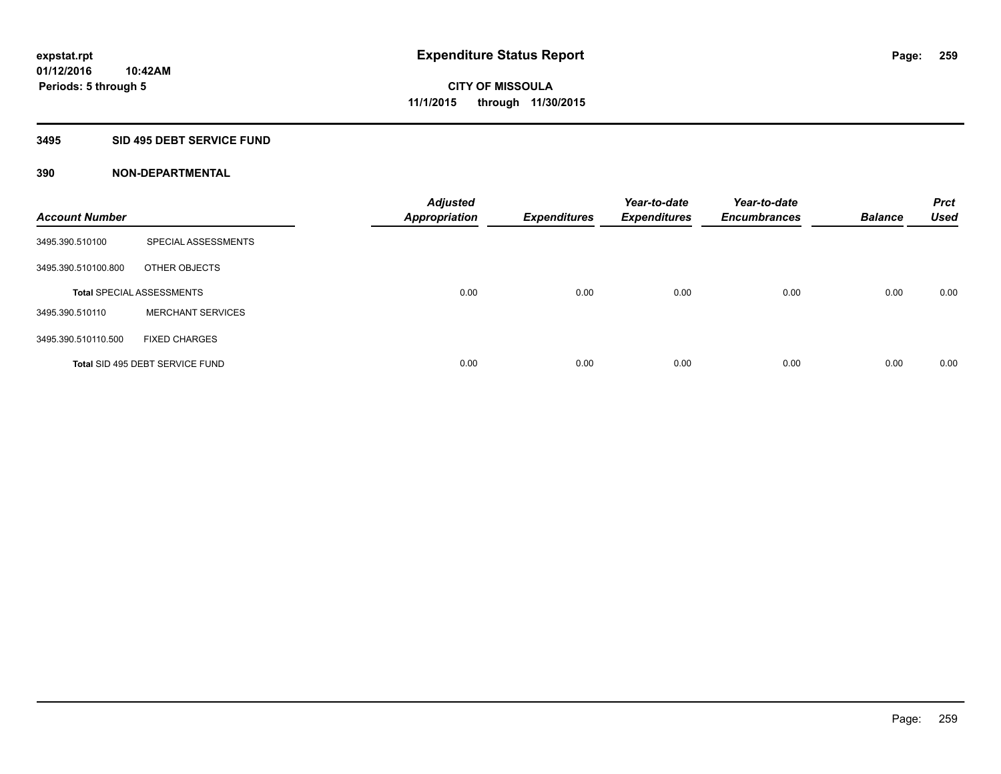### **3495 SID 495 DEBT SERVICE FUND**

| <b>Account Number</b> |                                  | <b>Adjusted</b><br><b>Appropriation</b> | <b>Expenditures</b> | Year-to-date<br><b>Expenditures</b> | Year-to-date<br><b>Encumbrances</b> | <b>Balance</b> | <b>Prct</b><br><b>Used</b> |
|-----------------------|----------------------------------|-----------------------------------------|---------------------|-------------------------------------|-------------------------------------|----------------|----------------------------|
| 3495.390.510100       | SPECIAL ASSESSMENTS              |                                         |                     |                                     |                                     |                |                            |
| 3495.390.510100.800   | OTHER OBJECTS                    |                                         |                     |                                     |                                     |                |                            |
|                       | <b>Total SPECIAL ASSESSMENTS</b> | 0.00                                    | 0.00                | 0.00                                | 0.00                                | 0.00           | 0.00                       |
| 3495.390.510110       | <b>MERCHANT SERVICES</b>         |                                         |                     |                                     |                                     |                |                            |
| 3495.390.510110.500   | <b>FIXED CHARGES</b>             |                                         |                     |                                     |                                     |                |                            |
|                       | Total SID 495 DEBT SERVICE FUND  | 0.00                                    | 0.00                | 0.00                                | 0.00                                | 0.00           | 0.00                       |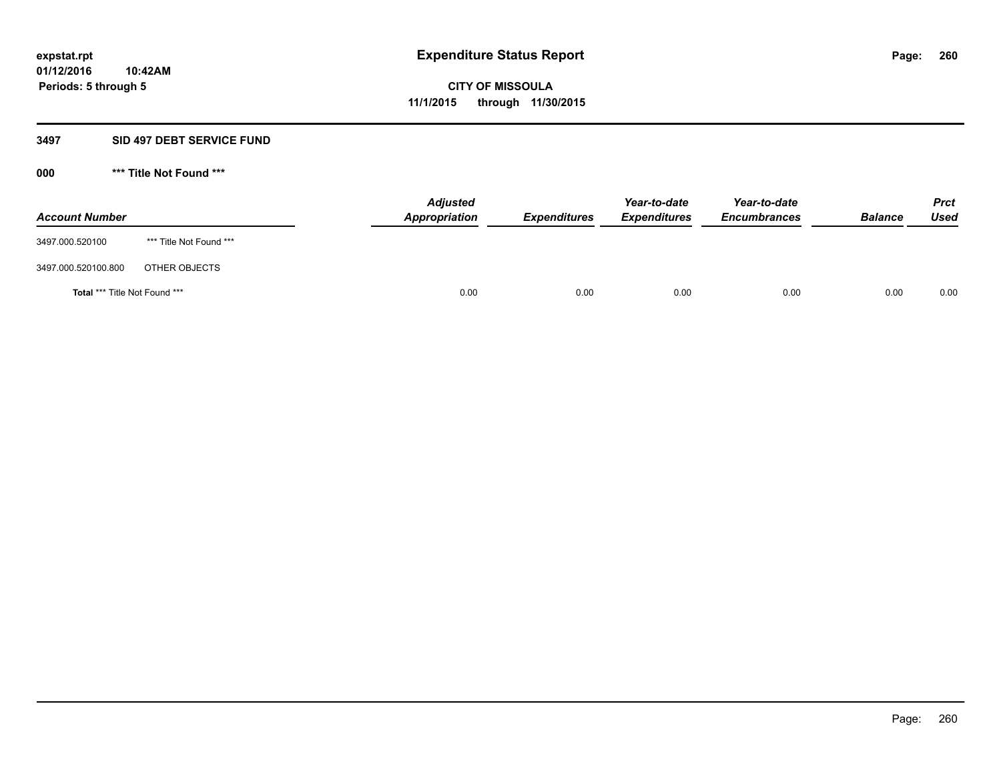#### **3497 SID 497 DEBT SERVICE FUND**

| <b>Account Number</b>                |                         | <b>Adjusted</b><br>Appropriation | <b>Expenditures</b> | Year-to-date<br><b>Expenditures</b> | Year-to-date<br><b>Encumbrances</b> | <b>Balance</b> | <b>Prct</b><br>Used |
|--------------------------------------|-------------------------|----------------------------------|---------------------|-------------------------------------|-------------------------------------|----------------|---------------------|
| 3497.000.520100                      | *** Title Not Found *** |                                  |                     |                                     |                                     |                |                     |
| 3497.000.520100.800                  | OTHER OBJECTS           |                                  |                     |                                     |                                     |                |                     |
| <b>Total *** Title Not Found ***</b> |                         | 0.00                             | 0.00                | 0.00                                | 0.00                                | 0.00           | 0.00                |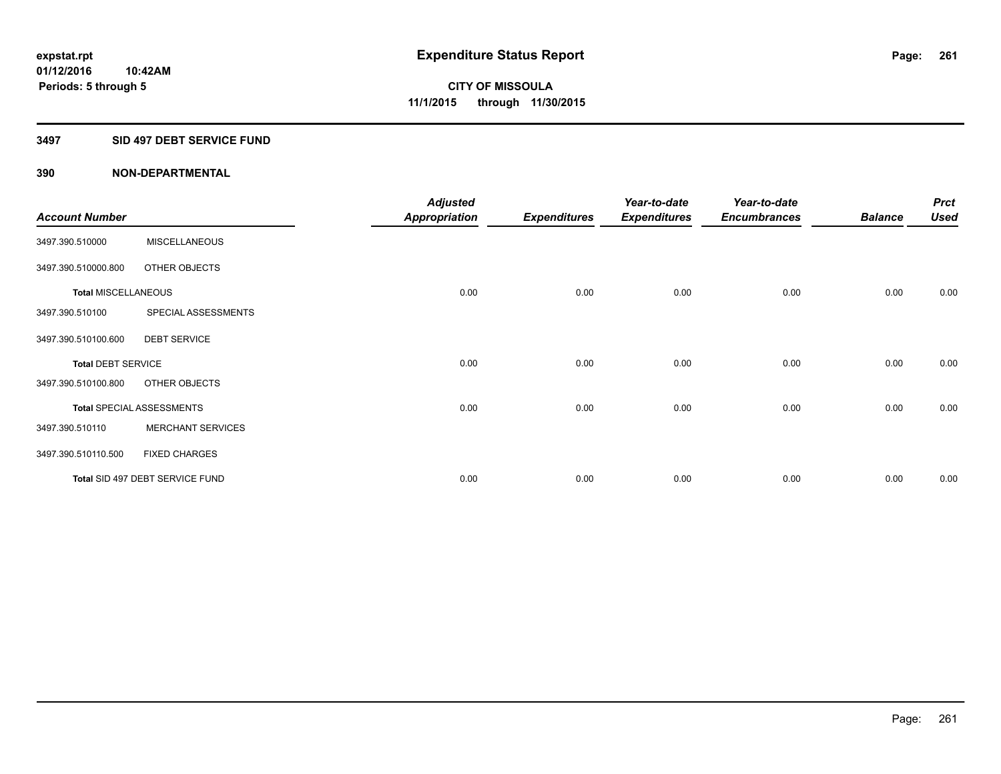#### **3497 SID 497 DEBT SERVICE FUND**

|                            |                                  | <b>Adjusted</b> |                     | Year-to-date        | Year-to-date        |                | <b>Prct</b> |
|----------------------------|----------------------------------|-----------------|---------------------|---------------------|---------------------|----------------|-------------|
| <b>Account Number</b>      |                                  | Appropriation   | <b>Expenditures</b> | <b>Expenditures</b> | <b>Encumbrances</b> | <b>Balance</b> | <b>Used</b> |
| 3497.390.510000            | <b>MISCELLANEOUS</b>             |                 |                     |                     |                     |                |             |
| 3497.390.510000.800        | OTHER OBJECTS                    |                 |                     |                     |                     |                |             |
| <b>Total MISCELLANEOUS</b> |                                  | 0.00            | 0.00                | 0.00                | 0.00                | 0.00           | 0.00        |
| 3497.390.510100            | SPECIAL ASSESSMENTS              |                 |                     |                     |                     |                |             |
| 3497.390.510100.600        | <b>DEBT SERVICE</b>              |                 |                     |                     |                     |                |             |
| <b>Total DEBT SERVICE</b>  |                                  | 0.00            | 0.00                | 0.00                | 0.00                | 0.00           | 0.00        |
| 3497.390.510100.800        | OTHER OBJECTS                    |                 |                     |                     |                     |                |             |
|                            | <b>Total SPECIAL ASSESSMENTS</b> | 0.00            | 0.00                | 0.00                | 0.00                | 0.00           | 0.00        |
| 3497.390.510110            | <b>MERCHANT SERVICES</b>         |                 |                     |                     |                     |                |             |
| 3497.390.510110.500        | <b>FIXED CHARGES</b>             |                 |                     |                     |                     |                |             |
|                            | Total SID 497 DEBT SERVICE FUND  | 0.00            | 0.00                | 0.00                | 0.00                | 0.00           | 0.00        |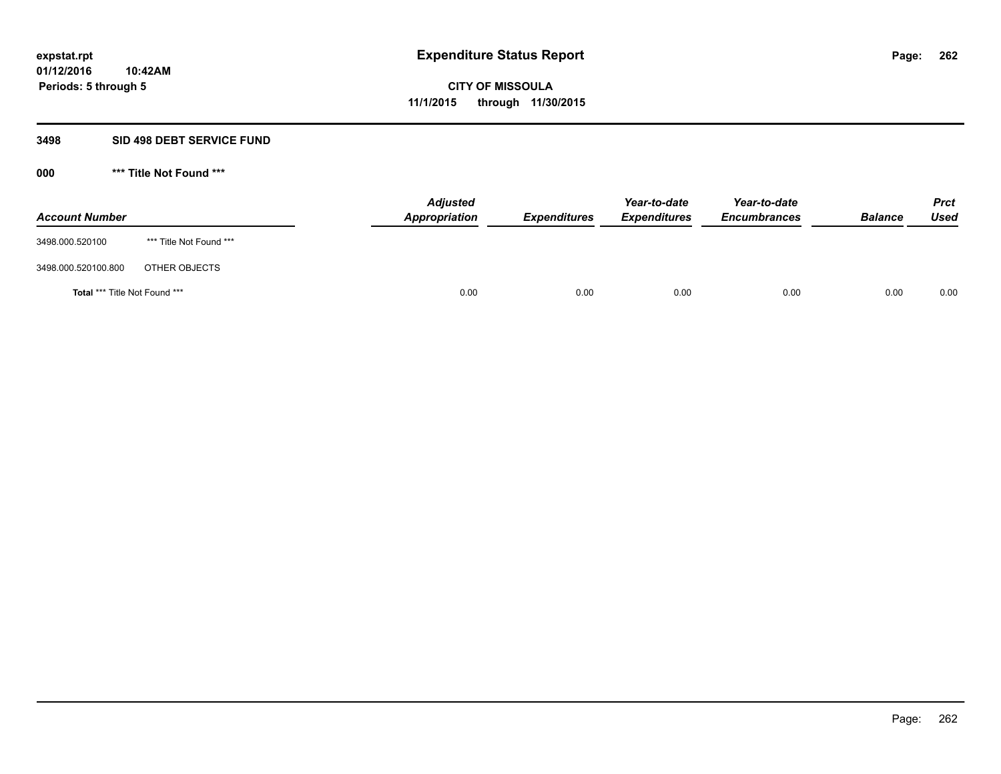#### **3498 SID 498 DEBT SERVICE FUND**

| <b>Account Number</b>                |                         | <b>Adjusted</b><br><b>Appropriation</b> | <b>Expenditures</b> | Year-to-date<br><b>Expenditures</b> | Year-to-date<br><b>Encumbrances</b> | <b>Balance</b> | <b>Prct</b><br><b>Used</b> |
|--------------------------------------|-------------------------|-----------------------------------------|---------------------|-------------------------------------|-------------------------------------|----------------|----------------------------|
| 3498.000.520100                      | *** Title Not Found *** |                                         |                     |                                     |                                     |                |                            |
| 3498.000.520100.800                  | OTHER OBJECTS           |                                         |                     |                                     |                                     |                |                            |
| <b>Total *** Title Not Found ***</b> |                         | 0.00                                    | 0.00                | 0.00                                | 0.00                                | 0.00           | 0.00                       |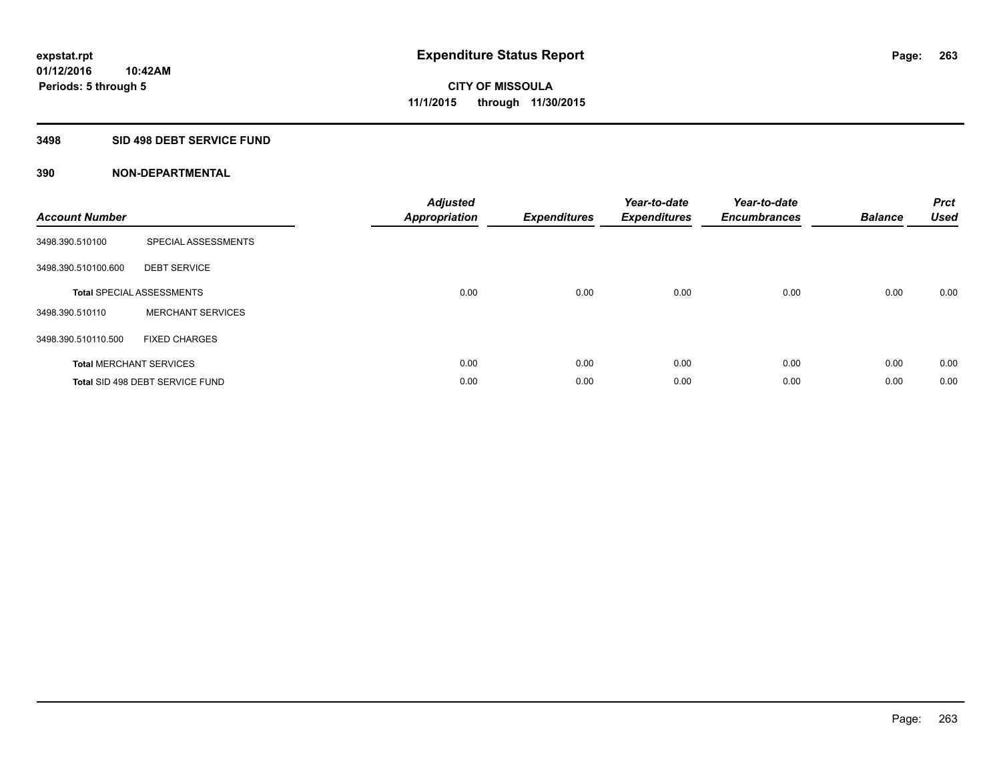### **3498 SID 498 DEBT SERVICE FUND**

| <b>Account Number</b> |                                  | <b>Adjusted</b><br>Appropriation | <b>Expenditures</b> | Year-to-date<br><b>Expenditures</b> | Year-to-date<br><b>Encumbrances</b> | <b>Balance</b> | <b>Prct</b><br><b>Used</b> |
|-----------------------|----------------------------------|----------------------------------|---------------------|-------------------------------------|-------------------------------------|----------------|----------------------------|
| 3498.390.510100       | SPECIAL ASSESSMENTS              |                                  |                     |                                     |                                     |                |                            |
| 3498.390.510100.600   | <b>DEBT SERVICE</b>              |                                  |                     |                                     |                                     |                |                            |
|                       | <b>Total SPECIAL ASSESSMENTS</b> | 0.00                             | 0.00                | 0.00                                | 0.00                                | 0.00           | 0.00                       |
| 3498.390.510110       | <b>MERCHANT SERVICES</b>         |                                  |                     |                                     |                                     |                |                            |
| 3498.390.510110.500   | <b>FIXED CHARGES</b>             |                                  |                     |                                     |                                     |                |                            |
|                       | <b>Total MERCHANT SERVICES</b>   | 0.00                             | 0.00                | 0.00                                | 0.00                                | 0.00           | 0.00                       |
|                       | Total SID 498 DEBT SERVICE FUND  | 0.00                             | 0.00                | 0.00                                | 0.00                                | 0.00           | 0.00                       |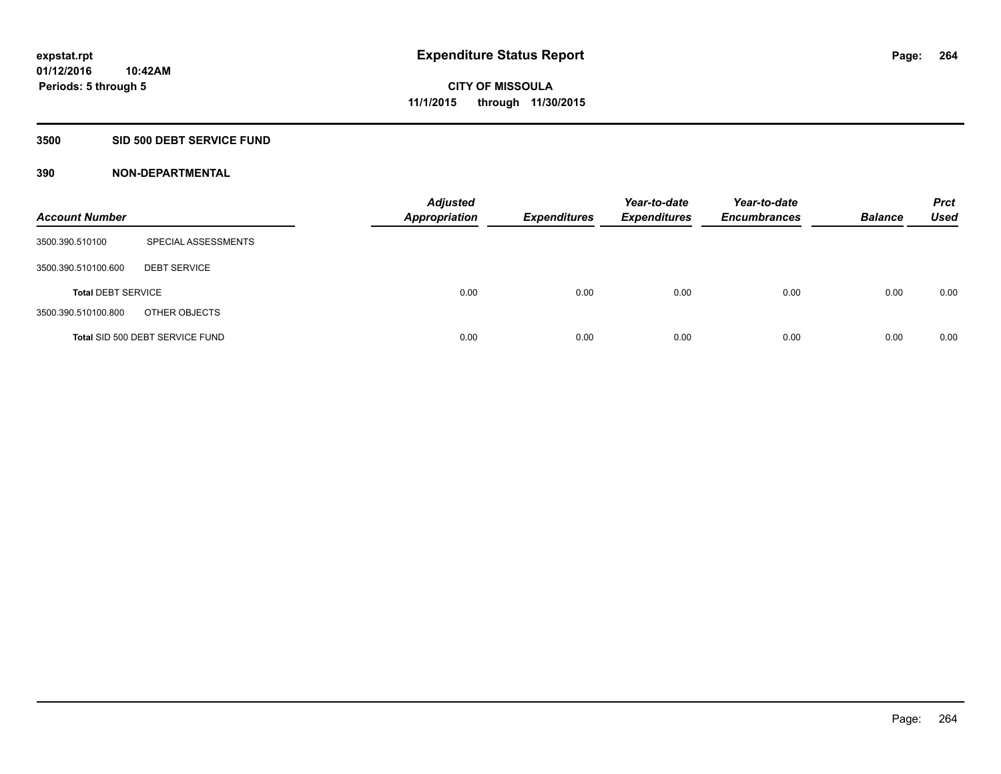### **3500 SID 500 DEBT SERVICE FUND**

| <b>Account Number</b>     |                                 | <b>Adjusted</b><br><b>Appropriation</b> | <b>Expenditures</b> | Year-to-date<br><b>Expenditures</b> | Year-to-date<br><b>Encumbrances</b> | <b>Balance</b> | <b>Prct</b><br><b>Used</b> |
|---------------------------|---------------------------------|-----------------------------------------|---------------------|-------------------------------------|-------------------------------------|----------------|----------------------------|
| 3500.390.510100           | SPECIAL ASSESSMENTS             |                                         |                     |                                     |                                     |                |                            |
| 3500.390.510100.600       | <b>DEBT SERVICE</b>             |                                         |                     |                                     |                                     |                |                            |
| <b>Total DEBT SERVICE</b> |                                 | 0.00                                    | 0.00                | 0.00                                | 0.00                                | 0.00           | 0.00                       |
| 3500.390.510100.800       | OTHER OBJECTS                   |                                         |                     |                                     |                                     |                |                            |
|                           | Total SID 500 DEBT SERVICE FUND | 0.00                                    | 0.00                | 0.00                                | 0.00                                | 0.00           | 0.00                       |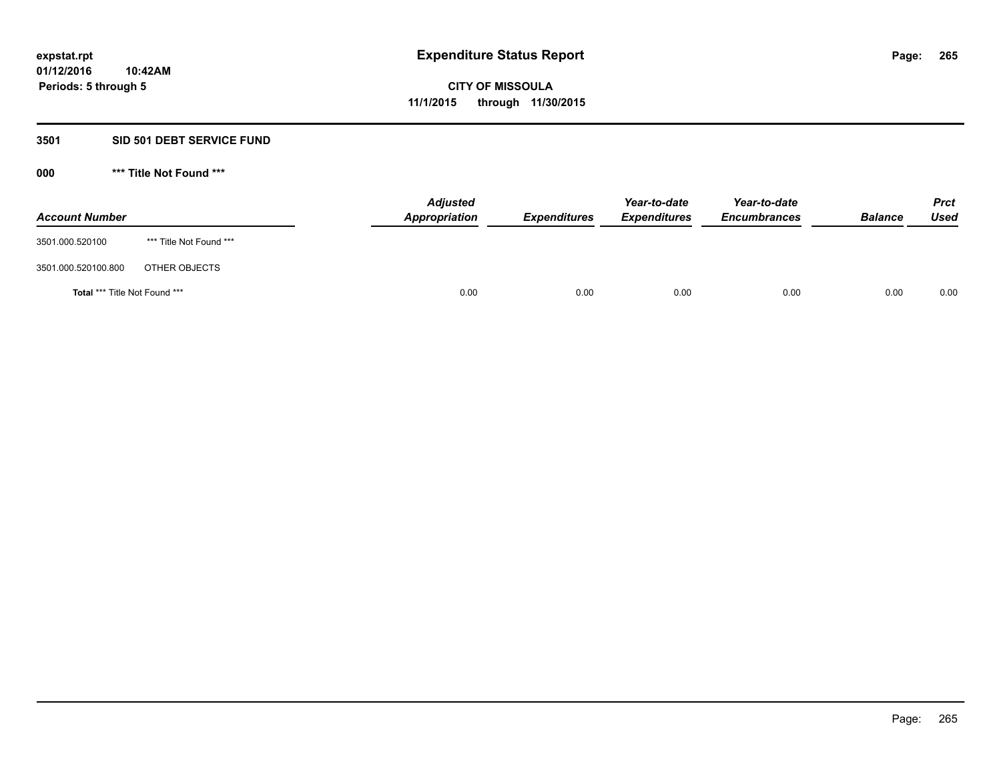### **3501 SID 501 DEBT SERVICE FUND**

| <b>Account Number</b>                |                         | <b>Adjusted</b><br>Appropriation | <b>Expenditures</b> | Year-to-date<br><b>Expenditures</b> | Year-to-date<br><b>Encumbrances</b> | <b>Balance</b> | <b>Prct</b><br><b>Used</b> |
|--------------------------------------|-------------------------|----------------------------------|---------------------|-------------------------------------|-------------------------------------|----------------|----------------------------|
| 3501.000.520100                      | *** Title Not Found *** |                                  |                     |                                     |                                     |                |                            |
| 3501.000.520100.800                  | OTHER OBJECTS           |                                  |                     |                                     |                                     |                |                            |
| <b>Total *** Title Not Found ***</b> |                         | 0.00                             | 0.00                | 0.00                                | 0.00                                | 0.00           | 0.00                       |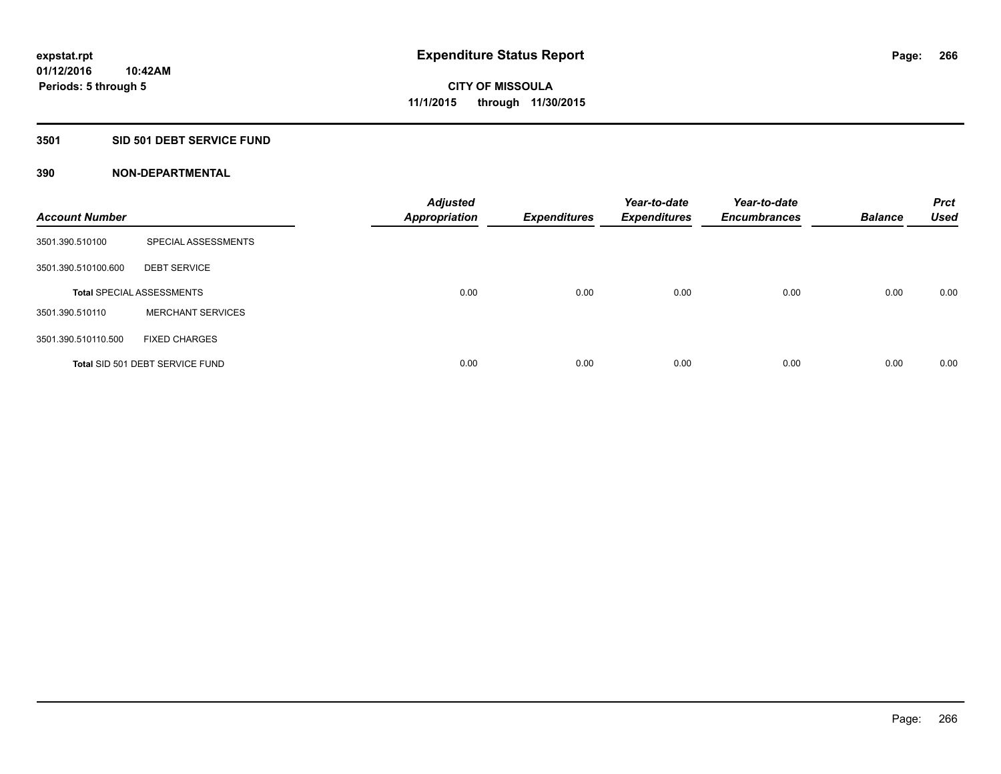### **3501 SID 501 DEBT SERVICE FUND**

| <b>Account Number</b> |                                  | <b>Adjusted</b><br><b>Appropriation</b> | <b>Expenditures</b> | Year-to-date<br><b>Expenditures</b> | Year-to-date<br><b>Encumbrances</b> | <b>Balance</b> | <b>Prct</b><br><b>Used</b> |
|-----------------------|----------------------------------|-----------------------------------------|---------------------|-------------------------------------|-------------------------------------|----------------|----------------------------|
| 3501.390.510100       | SPECIAL ASSESSMENTS              |                                         |                     |                                     |                                     |                |                            |
| 3501.390.510100.600   | <b>DEBT SERVICE</b>              |                                         |                     |                                     |                                     |                |                            |
|                       | <b>Total SPECIAL ASSESSMENTS</b> | 0.00                                    | 0.00                | 0.00                                | 0.00                                | 0.00           | 0.00                       |
| 3501.390.510110       | <b>MERCHANT SERVICES</b>         |                                         |                     |                                     |                                     |                |                            |
| 3501.390.510110.500   | <b>FIXED CHARGES</b>             |                                         |                     |                                     |                                     |                |                            |
|                       | Total SID 501 DEBT SERVICE FUND  | 0.00                                    | 0.00                | 0.00                                | 0.00                                | 0.00           | 0.00                       |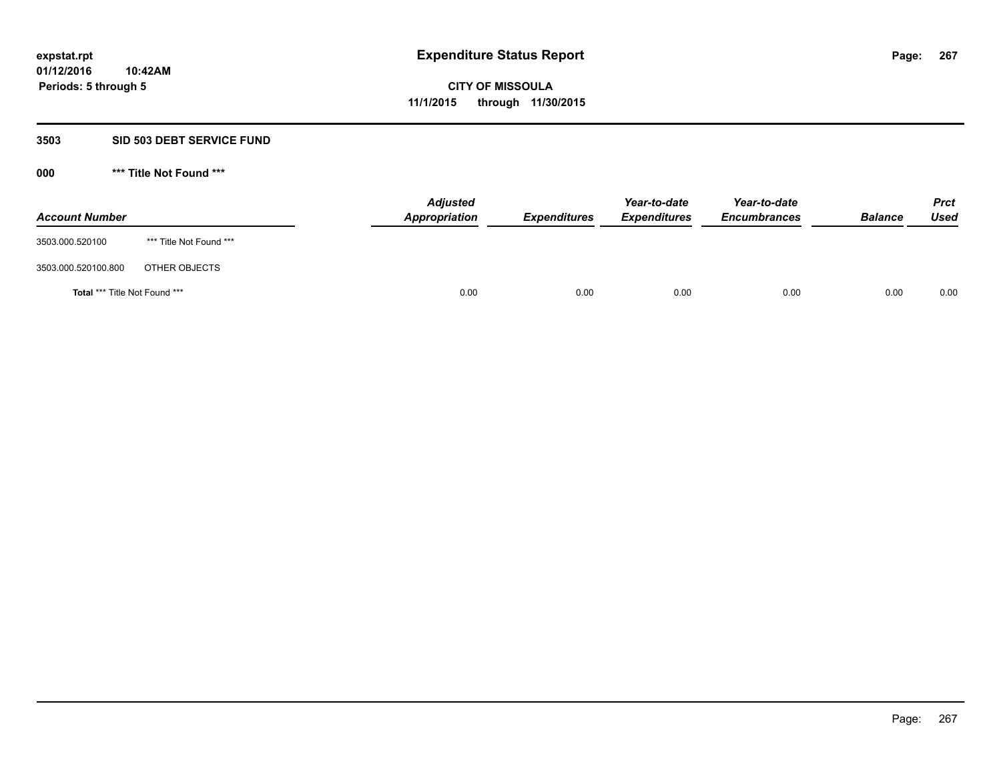#### **3503 SID 503 DEBT SERVICE FUND**

| <b>Account Number</b>                |                         | <b>Adjusted</b><br><b>Appropriation</b> | <b>Expenditures</b> | Year-to-date<br><b>Expenditures</b> | Year-to-date<br><b>Encumbrances</b> | <b>Balance</b> | <b>Prct</b><br><b>Used</b> |
|--------------------------------------|-------------------------|-----------------------------------------|---------------------|-------------------------------------|-------------------------------------|----------------|----------------------------|
| 3503.000.520100                      | *** Title Not Found *** |                                         |                     |                                     |                                     |                |                            |
| 3503.000.520100.800                  | OTHER OBJECTS           |                                         |                     |                                     |                                     |                |                            |
| <b>Total *** Title Not Found ***</b> |                         | 0.00                                    | 0.00                | 0.00                                | 0.00                                | 0.00           | 0.00                       |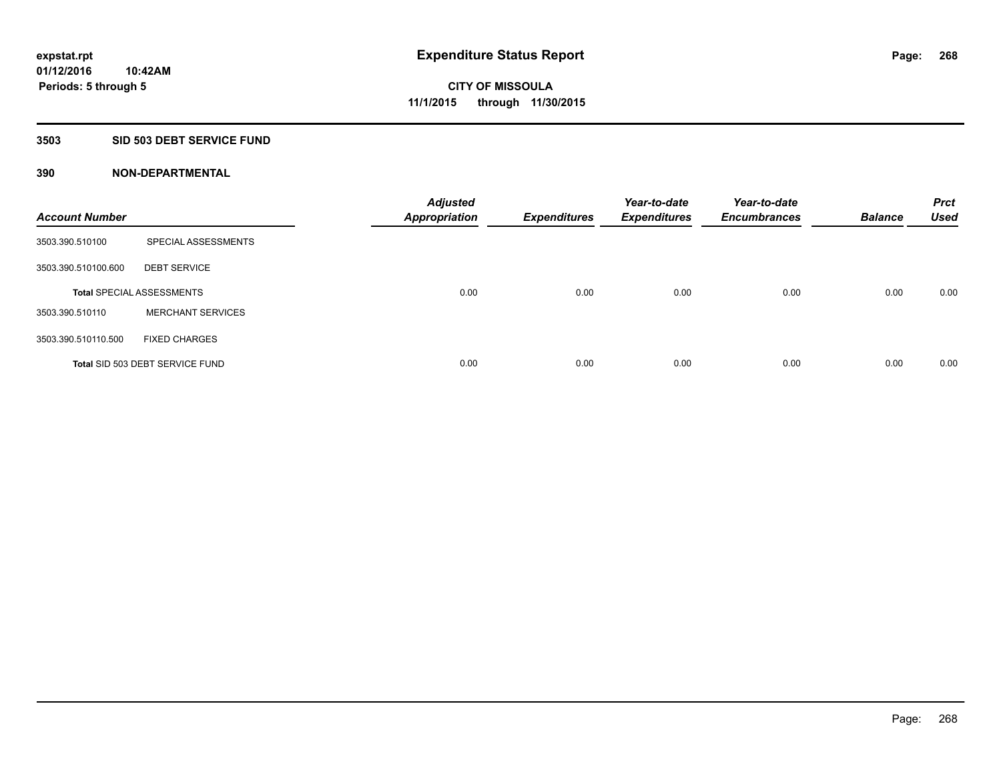### **3503 SID 503 DEBT SERVICE FUND**

| <b>Account Number</b> |                                  | <b>Adjusted</b><br><b>Appropriation</b> | <b>Expenditures</b> | Year-to-date<br><b>Expenditures</b> | Year-to-date<br><b>Encumbrances</b> | <b>Balance</b> | <b>Prct</b><br><b>Used</b> |
|-----------------------|----------------------------------|-----------------------------------------|---------------------|-------------------------------------|-------------------------------------|----------------|----------------------------|
| 3503.390.510100       | SPECIAL ASSESSMENTS              |                                         |                     |                                     |                                     |                |                            |
| 3503.390.510100.600   | <b>DEBT SERVICE</b>              |                                         |                     |                                     |                                     |                |                            |
|                       | <b>Total SPECIAL ASSESSMENTS</b> | 0.00                                    | 0.00                | 0.00                                | 0.00                                | 0.00           | 0.00                       |
| 3503.390.510110       | <b>MERCHANT SERVICES</b>         |                                         |                     |                                     |                                     |                |                            |
| 3503.390.510110.500   | <b>FIXED CHARGES</b>             |                                         |                     |                                     |                                     |                |                            |
|                       | Total SID 503 DEBT SERVICE FUND  | 0.00                                    | 0.00                | 0.00                                | 0.00                                | 0.00           | 0.00                       |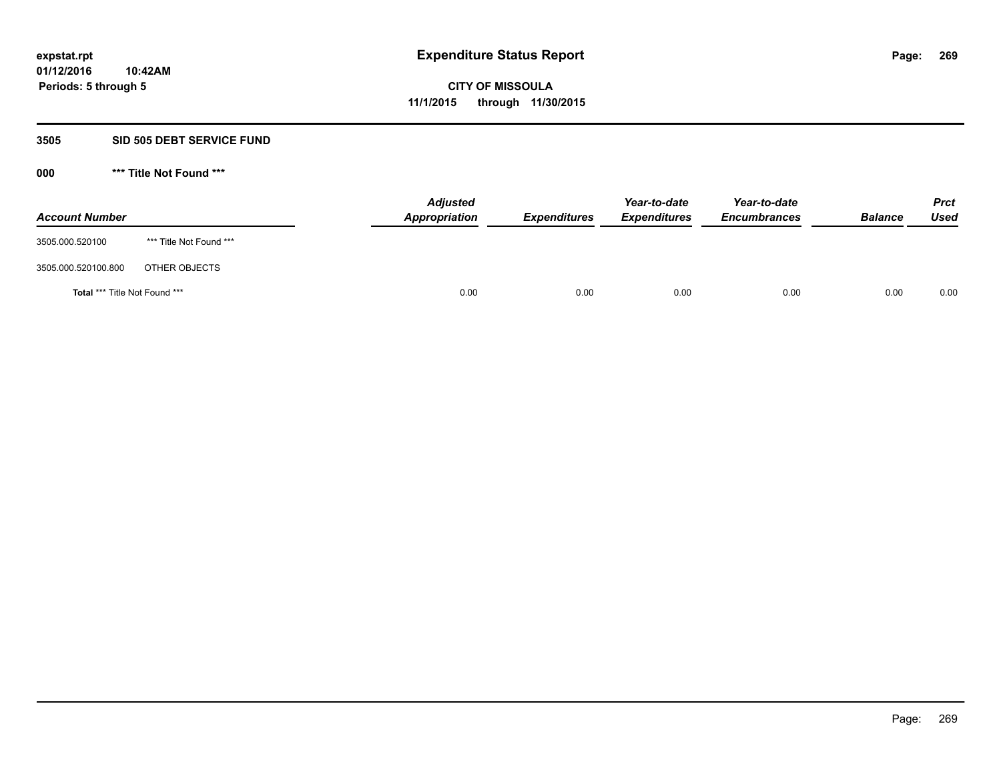#### **3505 SID 505 DEBT SERVICE FUND**

| <b>Account Number</b>                |                         | <b>Adjusted</b><br>Appropriation | <b>Expenditures</b> | Year-to-date<br><b>Expenditures</b> | Year-to-date<br><b>Encumbrances</b> | <b>Balance</b> | <b>Prct</b><br><b>Used</b> |
|--------------------------------------|-------------------------|----------------------------------|---------------------|-------------------------------------|-------------------------------------|----------------|----------------------------|
| 3505.000.520100                      | *** Title Not Found *** |                                  |                     |                                     |                                     |                |                            |
| 3505.000.520100.800                  | OTHER OBJECTS           |                                  |                     |                                     |                                     |                |                            |
| <b>Total *** Title Not Found ***</b> |                         | 0.00                             | 0.00                | 0.00                                | 0.00                                | 0.00           | 0.00                       |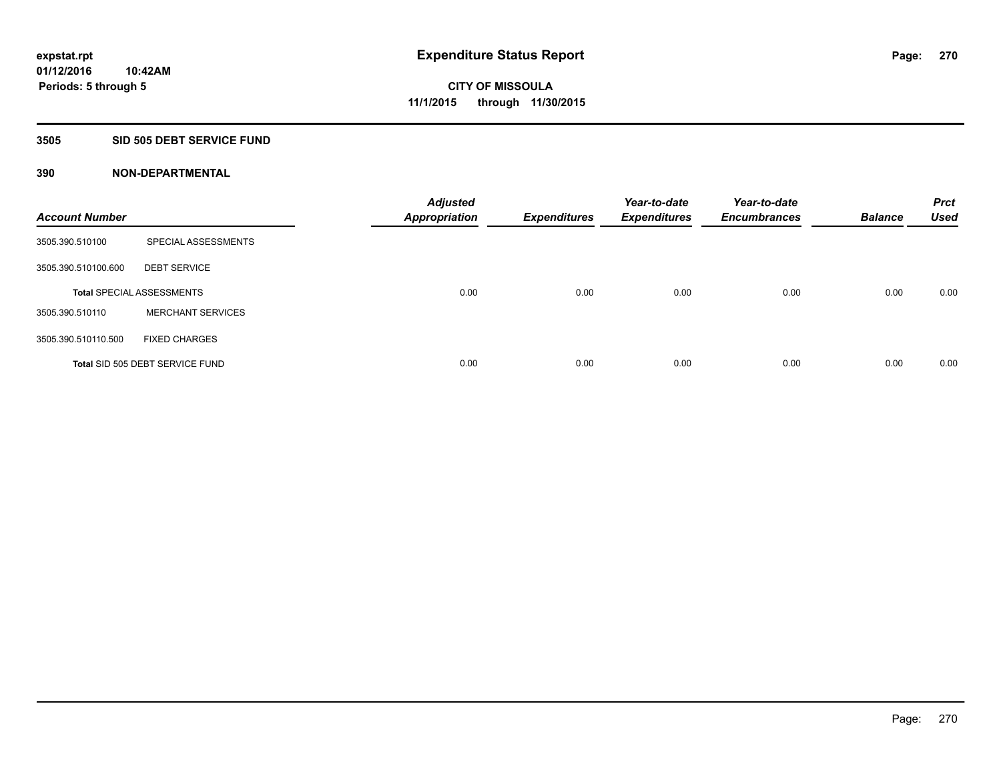#### **3505 SID 505 DEBT SERVICE FUND**

| <b>Account Number</b> |                                  | <b>Adjusted</b><br><b>Appropriation</b> | <b>Expenditures</b> | Year-to-date<br><b>Expenditures</b> | Year-to-date<br><b>Encumbrances</b> | <b>Balance</b> | <b>Prct</b><br><b>Used</b> |
|-----------------------|----------------------------------|-----------------------------------------|---------------------|-------------------------------------|-------------------------------------|----------------|----------------------------|
| 3505.390.510100       | SPECIAL ASSESSMENTS              |                                         |                     |                                     |                                     |                |                            |
| 3505.390.510100.600   | <b>DEBT SERVICE</b>              |                                         |                     |                                     |                                     |                |                            |
|                       | <b>Total SPECIAL ASSESSMENTS</b> | 0.00                                    | 0.00                | 0.00                                | 0.00                                | 0.00           | 0.00                       |
| 3505.390.510110       | <b>MERCHANT SERVICES</b>         |                                         |                     |                                     |                                     |                |                            |
| 3505.390.510110.500   | <b>FIXED CHARGES</b>             |                                         |                     |                                     |                                     |                |                            |
|                       | Total SID 505 DEBT SERVICE FUND  | 0.00                                    | 0.00                | 0.00                                | 0.00                                | 0.00           | 0.00                       |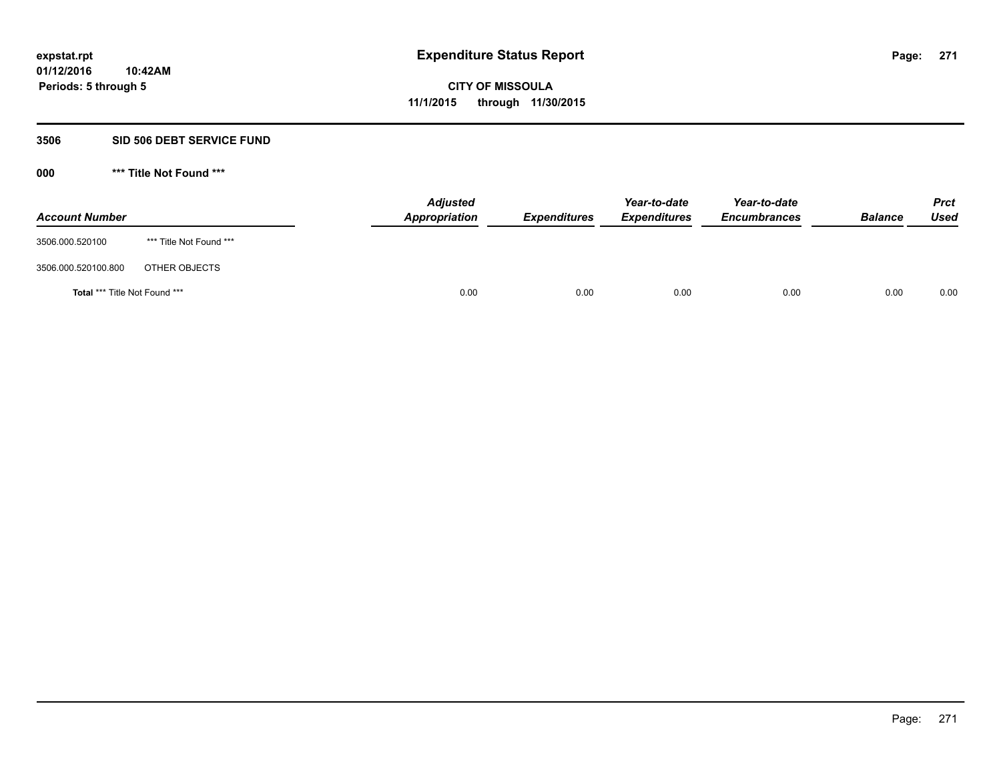#### **3506 SID 506 DEBT SERVICE FUND**

| <b>Account Number</b>                |                         | <b>Adjusted</b><br>Appropriation | <b>Expenditures</b> | Year-to-date<br><b>Expenditures</b> | Year-to-date<br><b>Encumbrances</b> | <b>Balance</b> | <b>Prct</b><br><b>Used</b> |
|--------------------------------------|-------------------------|----------------------------------|---------------------|-------------------------------------|-------------------------------------|----------------|----------------------------|
| 3506.000.520100                      | *** Title Not Found *** |                                  |                     |                                     |                                     |                |                            |
| 3506.000.520100.800                  | OTHER OBJECTS           |                                  |                     |                                     |                                     |                |                            |
| <b>Total *** Title Not Found ***</b> |                         | 0.00                             | 0.00                | 0.00                                | 0.00                                | 0.00           | 0.00                       |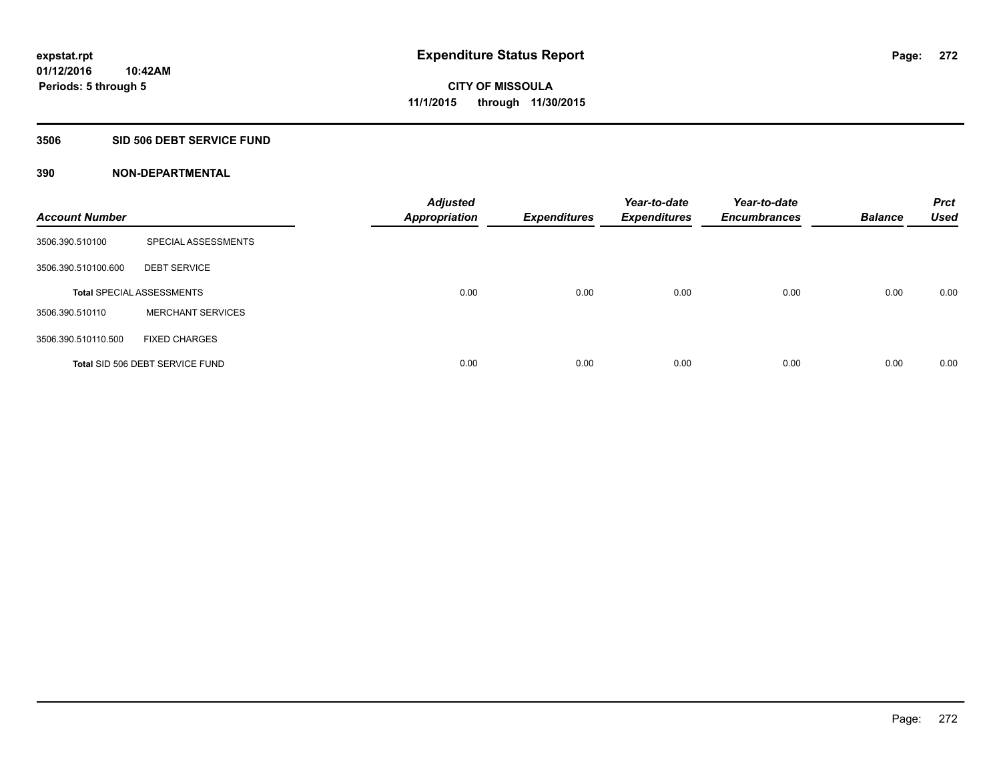#### **3506 SID 506 DEBT SERVICE FUND**

| <b>Account Number</b> |                                  | <b>Adjusted</b><br><b>Appropriation</b> | <b>Expenditures</b> | Year-to-date<br><b>Expenditures</b> | Year-to-date<br><b>Encumbrances</b> | <b>Balance</b> | <b>Prct</b><br><b>Used</b> |
|-----------------------|----------------------------------|-----------------------------------------|---------------------|-------------------------------------|-------------------------------------|----------------|----------------------------|
| 3506.390.510100       | SPECIAL ASSESSMENTS              |                                         |                     |                                     |                                     |                |                            |
| 3506.390.510100.600   | <b>DEBT SERVICE</b>              |                                         |                     |                                     |                                     |                |                            |
|                       | <b>Total SPECIAL ASSESSMENTS</b> | 0.00                                    | 0.00                | 0.00                                | 0.00                                | 0.00           | 0.00                       |
| 3506.390.510110       | <b>MERCHANT SERVICES</b>         |                                         |                     |                                     |                                     |                |                            |
| 3506.390.510110.500   | <b>FIXED CHARGES</b>             |                                         |                     |                                     |                                     |                |                            |
|                       | Total SID 506 DEBT SERVICE FUND  | 0.00                                    | 0.00                | 0.00                                | 0.00                                | 0.00           | 0.00                       |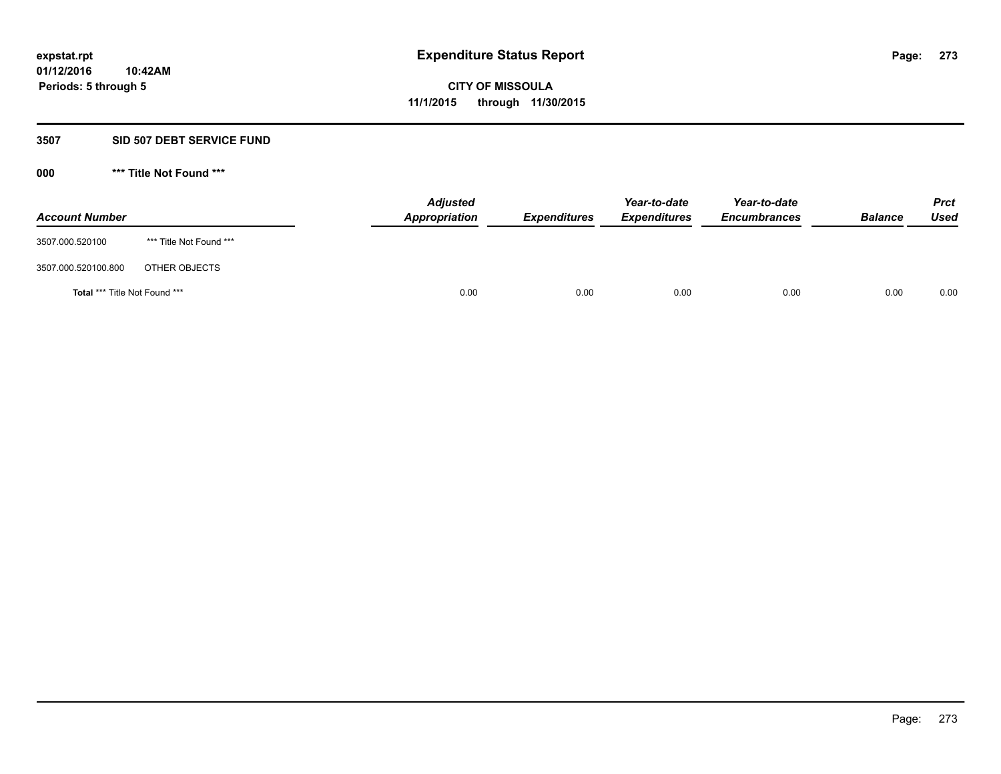#### **3507 SID 507 DEBT SERVICE FUND**

| <b>Account Number</b>                |                         | <b>Adjusted</b><br>Appropriation | <b>Expenditures</b> | Year-to-date<br><b>Expenditures</b> | Year-to-date<br><b>Encumbrances</b> | <b>Balance</b> | <b>Prct</b><br>Used |
|--------------------------------------|-------------------------|----------------------------------|---------------------|-------------------------------------|-------------------------------------|----------------|---------------------|
| 3507.000.520100                      | *** Title Not Found *** |                                  |                     |                                     |                                     |                |                     |
| 3507.000.520100.800                  | OTHER OBJECTS           |                                  |                     |                                     |                                     |                |                     |
| <b>Total *** Title Not Found ***</b> |                         | 0.00                             | 0.00                | 0.00                                | 0.00                                | 0.00           | 0.00                |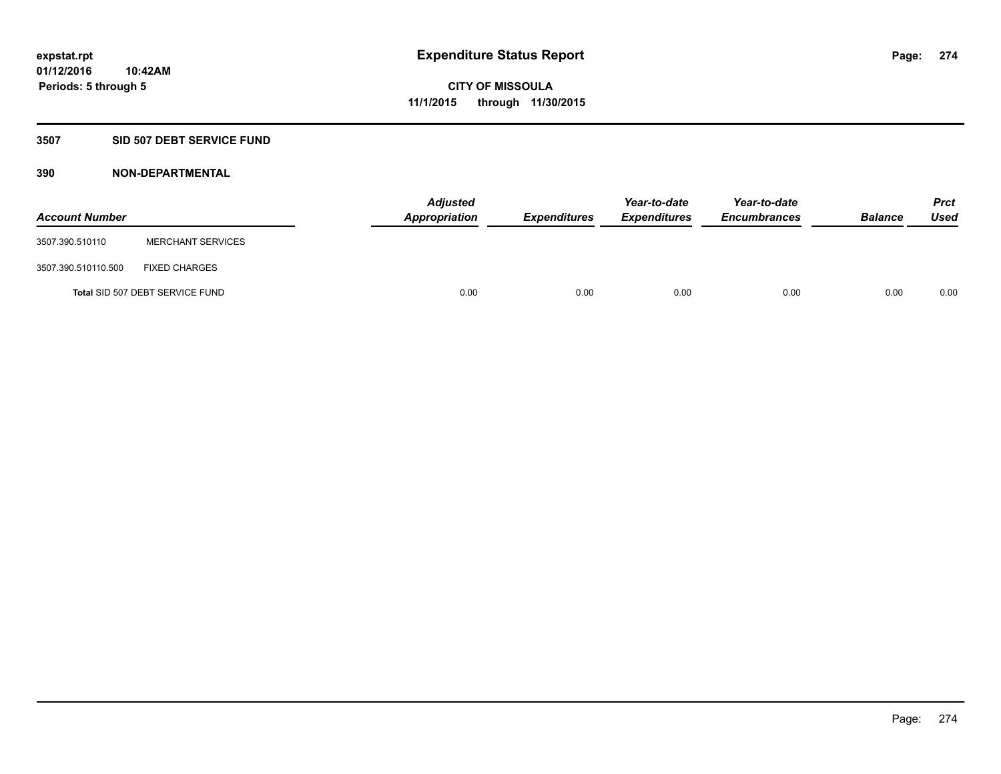### **3507 SID 507 DEBT SERVICE FUND**

| <b>Account Number</b> |                                 | <b>Adjusted</b><br>Appropriation | <b>Expenditures</b> | Year-to-date<br><b>Expenditures</b> | Year-to-date<br><b>Encumbrances</b> | <b>Balance</b> | <b>Prct</b><br><b>Used</b> |
|-----------------------|---------------------------------|----------------------------------|---------------------|-------------------------------------|-------------------------------------|----------------|----------------------------|
| 3507.390.510110       | <b>MERCHANT SERVICES</b>        |                                  |                     |                                     |                                     |                |                            |
| 3507.390.510110.500   | <b>FIXED CHARGES</b>            |                                  |                     |                                     |                                     |                |                            |
|                       | Total SID 507 DEBT SERVICE FUND | 0.00                             | 0.00                | 0.00                                | 0.00                                | 0.00           | 0.00                       |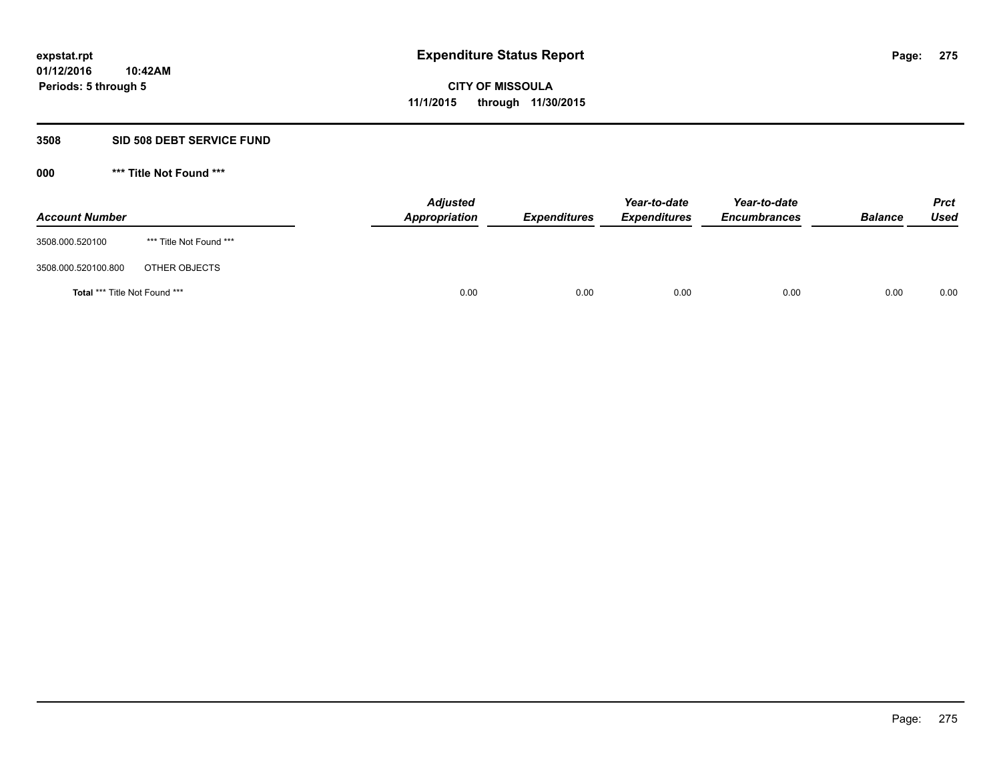#### **3508 SID 508 DEBT SERVICE FUND**

| <b>Account Number</b>                |                         | Appropriation | <b>Adjusted</b><br><b>Expenditures</b> | Year-to-date<br><b>Expenditures</b> | Year-to-date<br><b>Encumbrances</b> | <b>Balance</b> | <b>Prct</b><br>Used |
|--------------------------------------|-------------------------|---------------|----------------------------------------|-------------------------------------|-------------------------------------|----------------|---------------------|
| 3508.000.520100                      | *** Title Not Found *** |               |                                        |                                     |                                     |                |                     |
| 3508.000.520100.800                  | OTHER OBJECTS           |               |                                        |                                     |                                     |                |                     |
| <b>Total *** Title Not Found ***</b> |                         |               | 0.00<br>0.00                           | 0.00                                | 0.00                                | 0.00           | 0.00                |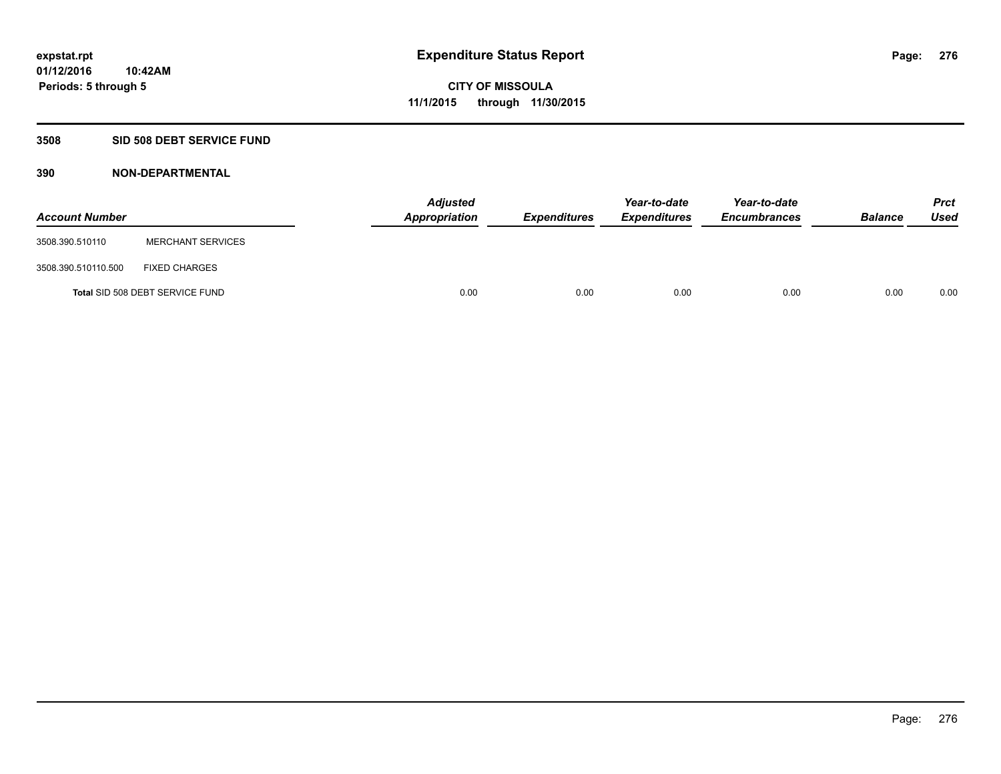### **3508 SID 508 DEBT SERVICE FUND**

| <b>Account Number</b> |                                 | <b>Adjusted</b><br>Appropriation | <b>Expenditures</b> | Year-to-date<br><b>Expenditures</b> | Year-to-date<br><b>Encumbrances</b> | <b>Balance</b> | <b>Prct</b><br><b>Used</b> |
|-----------------------|---------------------------------|----------------------------------|---------------------|-------------------------------------|-------------------------------------|----------------|----------------------------|
| 3508.390.510110       | <b>MERCHANT SERVICES</b>        |                                  |                     |                                     |                                     |                |                            |
| 3508.390.510110.500   | <b>FIXED CHARGES</b>            |                                  |                     |                                     |                                     |                |                            |
|                       | Total SID 508 DEBT SERVICE FUND | 0.00                             | 0.00                | 0.00                                | 0.00                                | 0.00           | 0.00                       |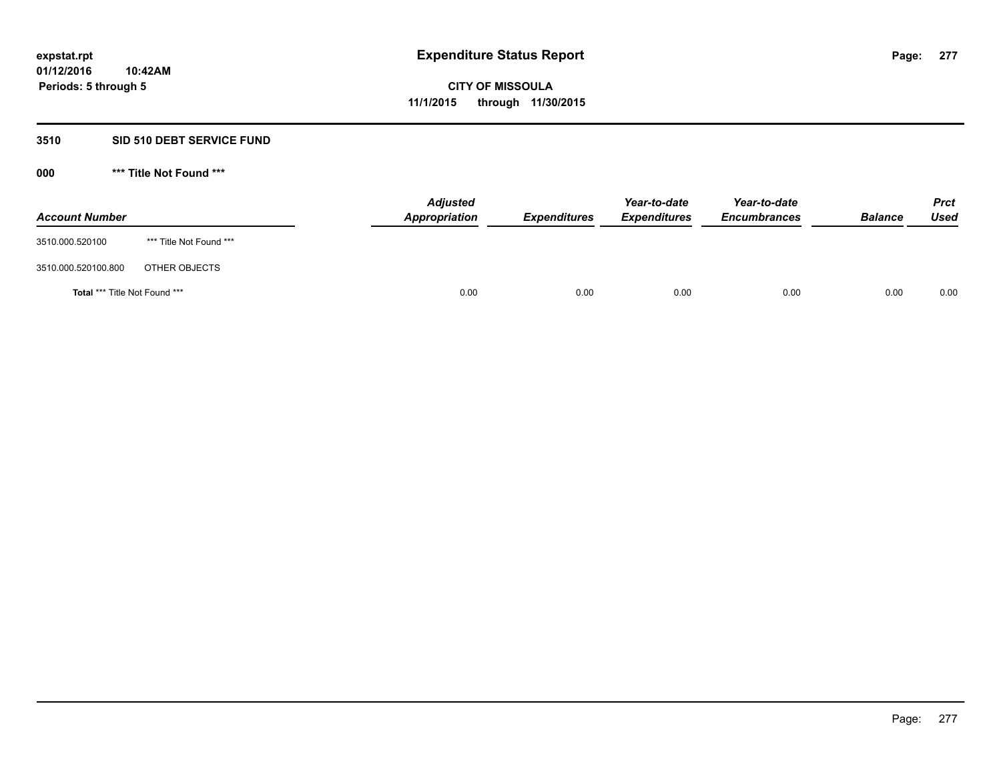#### **3510 SID 510 DEBT SERVICE FUND**

| <b>Account Number</b>                |                         | <b>Adjusted</b><br>Appropriation | <b>Expenditures</b> | Year-to-date<br><b>Expenditures</b> | Year-to-date<br><b>Encumbrances</b> | <b>Balance</b> | <b>Prct</b><br>Used |
|--------------------------------------|-------------------------|----------------------------------|---------------------|-------------------------------------|-------------------------------------|----------------|---------------------|
| 3510.000.520100                      | *** Title Not Found *** |                                  |                     |                                     |                                     |                |                     |
| 3510.000.520100.800                  | OTHER OBJECTS           |                                  |                     |                                     |                                     |                |                     |
| <b>Total *** Title Not Found ***</b> |                         | 0.00                             | 0.00                | 0.00                                | 0.00                                | 0.00           | 0.00                |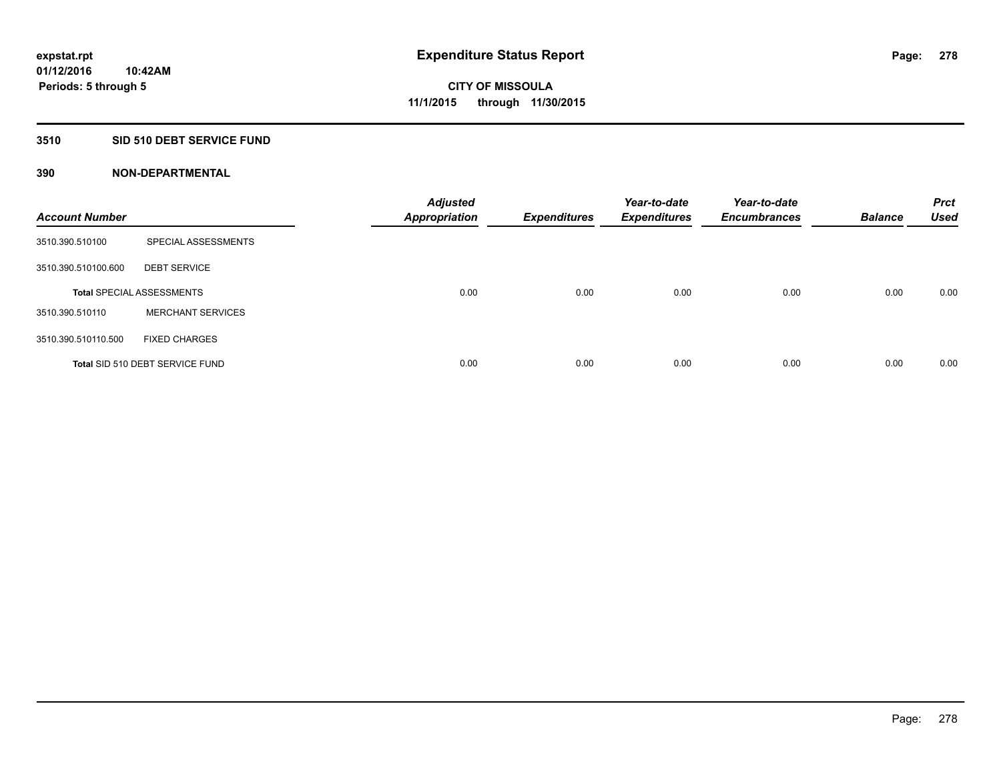### **3510 SID 510 DEBT SERVICE FUND**

| <b>Account Number</b> |                                  | <b>Adjusted</b><br><b>Appropriation</b> | <b>Expenditures</b> | Year-to-date<br><b>Expenditures</b> | Year-to-date<br><b>Encumbrances</b> | <b>Balance</b> | <b>Prct</b><br><b>Used</b> |
|-----------------------|----------------------------------|-----------------------------------------|---------------------|-------------------------------------|-------------------------------------|----------------|----------------------------|
| 3510.390.510100       | SPECIAL ASSESSMENTS              |                                         |                     |                                     |                                     |                |                            |
| 3510.390.510100.600   | <b>DEBT SERVICE</b>              |                                         |                     |                                     |                                     |                |                            |
|                       | <b>Total SPECIAL ASSESSMENTS</b> | 0.00                                    | 0.00                | 0.00                                | 0.00                                | 0.00           | 0.00                       |
| 3510.390.510110       | <b>MERCHANT SERVICES</b>         |                                         |                     |                                     |                                     |                |                            |
| 3510.390.510110.500   | <b>FIXED CHARGES</b>             |                                         |                     |                                     |                                     |                |                            |
|                       | Total SID 510 DEBT SERVICE FUND  | 0.00                                    | 0.00                | 0.00                                | 0.00                                | 0.00           | 0.00                       |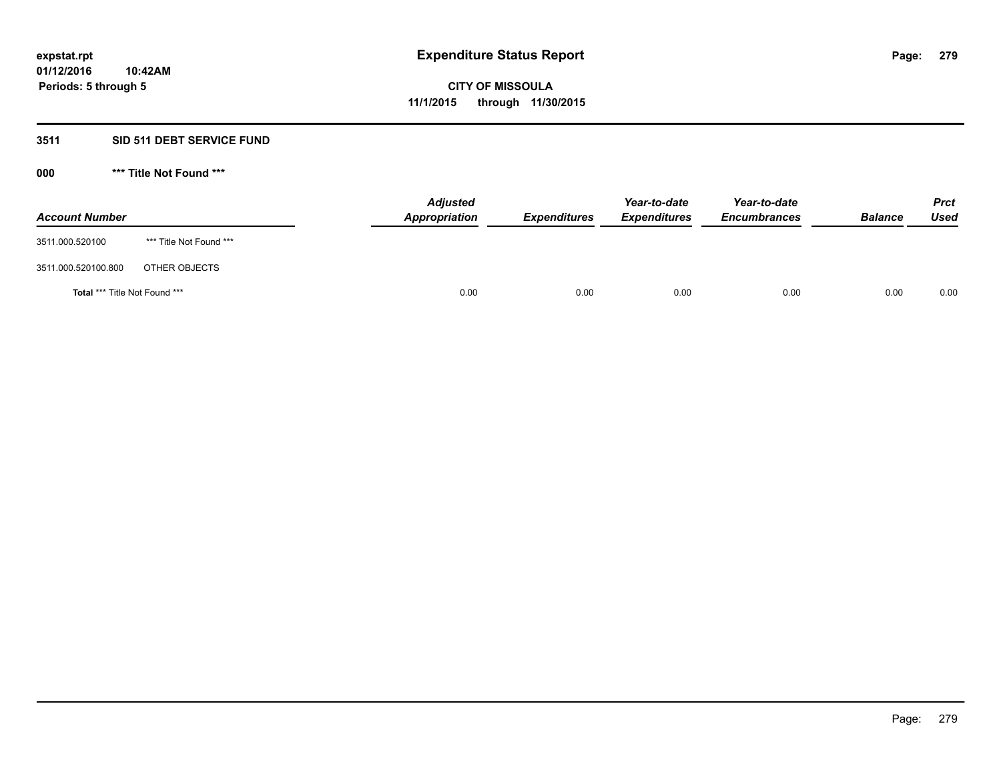### **3511 SID 511 DEBT SERVICE FUND**

| <b>Account Number</b>                |                         | <b>Adjusted</b><br>Appropriation | <b>Expenditures</b> | Year-to-date<br><b>Expenditures</b> | Year-to-date<br><b>Encumbrances</b> | <b>Balance</b> | <b>Prct</b><br><b>Used</b> |
|--------------------------------------|-------------------------|----------------------------------|---------------------|-------------------------------------|-------------------------------------|----------------|----------------------------|
| 3511.000.520100                      | *** Title Not Found *** |                                  |                     |                                     |                                     |                |                            |
| 3511.000.520100.800                  | OTHER OBJECTS           |                                  |                     |                                     |                                     |                |                            |
| <b>Total *** Title Not Found ***</b> |                         | 0.00                             | 0.00                | 0.00                                | 0.00                                | 0.00           | 0.00                       |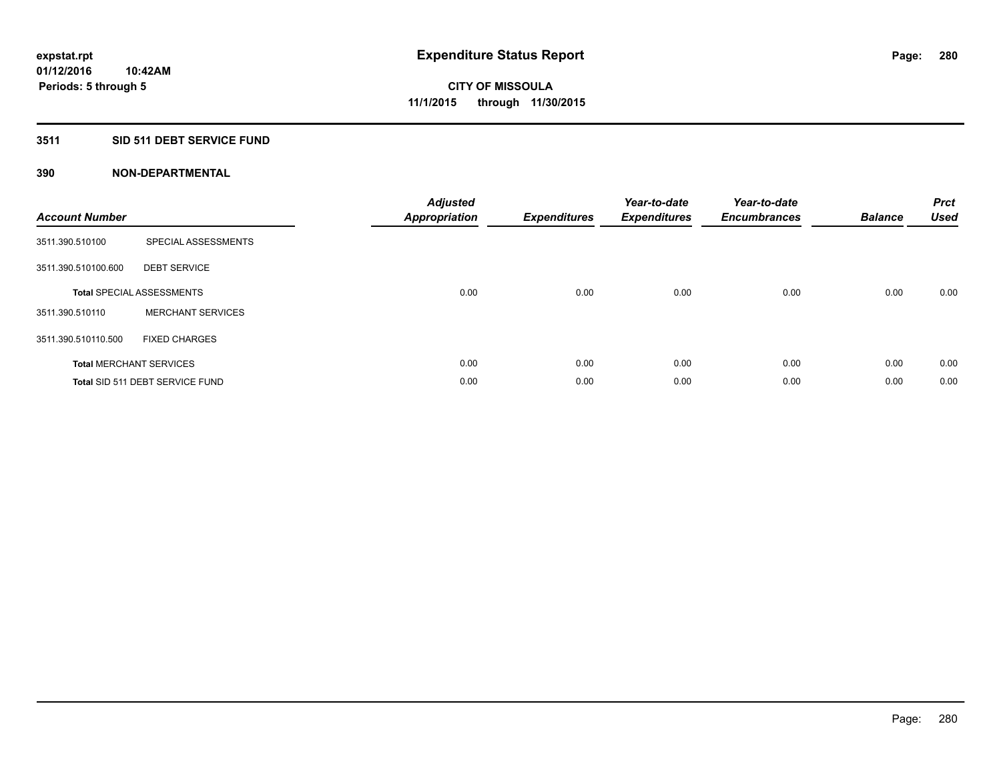## **3511 SID 511 DEBT SERVICE FUND**

| <b>Account Number</b> |                                  | <b>Adjusted</b><br>Appropriation | <b>Expenditures</b> | Year-to-date<br><b>Expenditures</b> | Year-to-date<br><b>Encumbrances</b> | <b>Balance</b> | <b>Prct</b><br><b>Used</b> |
|-----------------------|----------------------------------|----------------------------------|---------------------|-------------------------------------|-------------------------------------|----------------|----------------------------|
| 3511.390.510100       | SPECIAL ASSESSMENTS              |                                  |                     |                                     |                                     |                |                            |
| 3511.390.510100.600   | <b>DEBT SERVICE</b>              |                                  |                     |                                     |                                     |                |                            |
|                       | <b>Total SPECIAL ASSESSMENTS</b> | 0.00                             | 0.00                | 0.00                                | 0.00                                | 0.00           | 0.00                       |
| 3511.390.510110       | <b>MERCHANT SERVICES</b>         |                                  |                     |                                     |                                     |                |                            |
| 3511.390.510110.500   | <b>FIXED CHARGES</b>             |                                  |                     |                                     |                                     |                |                            |
|                       | <b>Total MERCHANT SERVICES</b>   | 0.00                             | 0.00                | 0.00                                | 0.00                                | 0.00           | 0.00                       |
|                       | Total SID 511 DEBT SERVICE FUND  | 0.00                             | 0.00                | 0.00                                | 0.00                                | 0.00           | 0.00                       |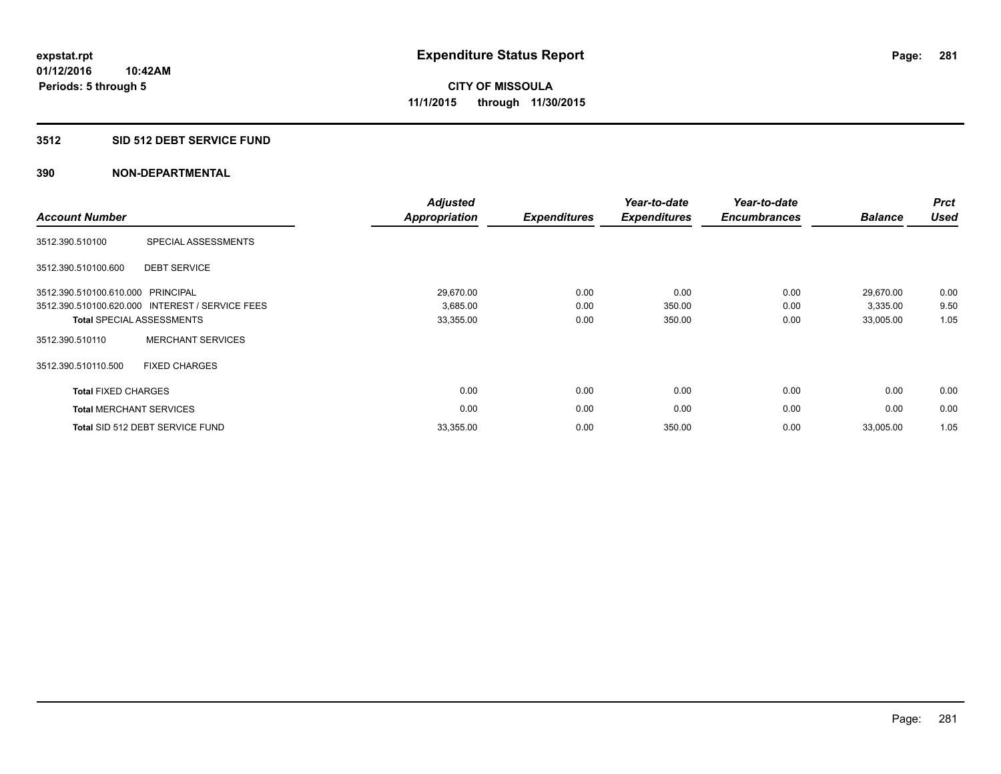#### **3512 SID 512 DEBT SERVICE FUND**

| <b>Account Number</b>             |                                                 | <b>Adjusted</b><br><b>Appropriation</b> | <b>Expenditures</b> | Year-to-date<br><b>Expenditures</b> | Year-to-date<br><b>Encumbrances</b> | <b>Balance</b> | <b>Prct</b><br><b>Used</b> |
|-----------------------------------|-------------------------------------------------|-----------------------------------------|---------------------|-------------------------------------|-------------------------------------|----------------|----------------------------|
| 3512.390.510100                   | SPECIAL ASSESSMENTS                             |                                         |                     |                                     |                                     |                |                            |
| 3512.390.510100.600               | <b>DEBT SERVICE</b>                             |                                         |                     |                                     |                                     |                |                            |
| 3512.390.510100.610.000 PRINCIPAL |                                                 | 29,670.00                               | 0.00                | 0.00                                | 0.00                                | 29,670.00      | 0.00                       |
|                                   | 3512.390.510100.620.000 INTEREST / SERVICE FEES | 3,685.00                                | 0.00                | 350.00                              | 0.00                                | 3,335.00       | 9.50                       |
|                                   | <b>Total SPECIAL ASSESSMENTS</b>                | 33,355.00                               | 0.00                | 350.00                              | 0.00                                | 33,005.00      | 1.05                       |
| 3512.390.510110                   | <b>MERCHANT SERVICES</b>                        |                                         |                     |                                     |                                     |                |                            |
| 3512.390.510110.500               | <b>FIXED CHARGES</b>                            |                                         |                     |                                     |                                     |                |                            |
| <b>Total FIXED CHARGES</b>        |                                                 | 0.00                                    | 0.00                | 0.00                                | 0.00                                | 0.00           | 0.00                       |
|                                   | <b>Total MERCHANT SERVICES</b>                  | 0.00                                    | 0.00                | 0.00                                | 0.00                                | 0.00           | 0.00                       |
|                                   | Total SID 512 DEBT SERVICE FUND                 | 33,355.00                               | 0.00                | 350.00                              | 0.00                                | 33,005.00      | 1.05                       |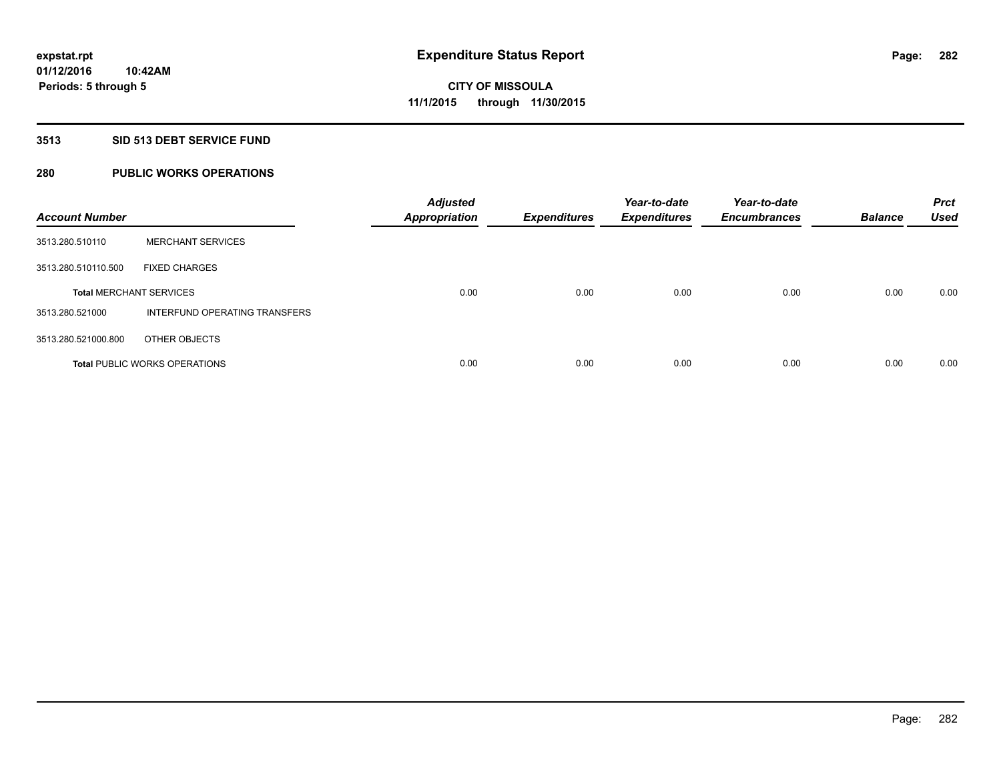### **3513 SID 513 DEBT SERVICE FUND**

## **280 PUBLIC WORKS OPERATIONS**

| <b>Account Number</b>          |                                      | <b>Adjusted</b><br><b>Appropriation</b> | <b>Expenditures</b> | Year-to-date<br><b>Expenditures</b> | Year-to-date<br><b>Encumbrances</b> | <b>Balance</b> | <b>Prct</b><br><b>Used</b> |
|--------------------------------|--------------------------------------|-----------------------------------------|---------------------|-------------------------------------|-------------------------------------|----------------|----------------------------|
| 3513.280.510110                | <b>MERCHANT SERVICES</b>             |                                         |                     |                                     |                                     |                |                            |
| 3513.280.510110.500            | <b>FIXED CHARGES</b>                 |                                         |                     |                                     |                                     |                |                            |
| <b>Total MERCHANT SERVICES</b> |                                      | 0.00                                    | 0.00                | 0.00                                | 0.00                                | 0.00           | 0.00                       |
| 3513.280.521000                | INTERFUND OPERATING TRANSFERS        |                                         |                     |                                     |                                     |                |                            |
| 3513.280.521000.800            | OTHER OBJECTS                        |                                         |                     |                                     |                                     |                |                            |
|                                | <b>Total PUBLIC WORKS OPERATIONS</b> | 0.00                                    | 0.00                | 0.00                                | 0.00                                | 0.00           | 0.00                       |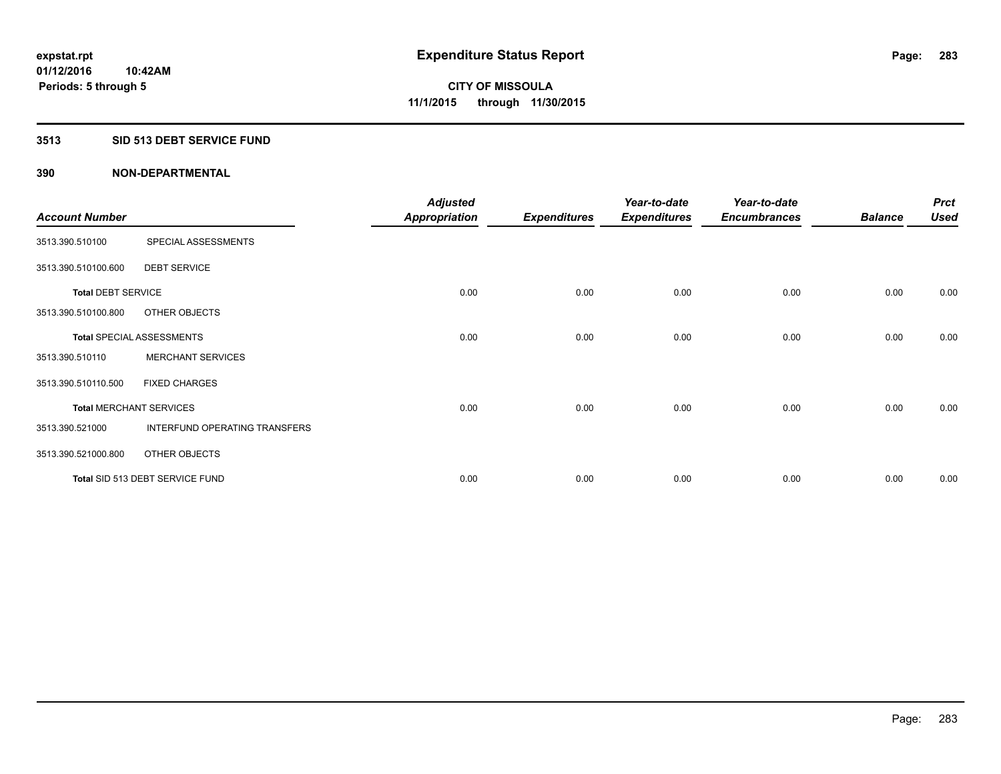### **3513 SID 513 DEBT SERVICE FUND**

|                           |                                  | <b>Adjusted</b>      |                     | Year-to-date        | Year-to-date        |                | <b>Prct</b> |
|---------------------------|----------------------------------|----------------------|---------------------|---------------------|---------------------|----------------|-------------|
| <b>Account Number</b>     |                                  | <b>Appropriation</b> | <b>Expenditures</b> | <b>Expenditures</b> | <b>Encumbrances</b> | <b>Balance</b> | <b>Used</b> |
| 3513.390.510100           | SPECIAL ASSESSMENTS              |                      |                     |                     |                     |                |             |
| 3513.390.510100.600       | <b>DEBT SERVICE</b>              |                      |                     |                     |                     |                |             |
| <b>Total DEBT SERVICE</b> |                                  | 0.00                 | 0.00                | 0.00                | 0.00                | 0.00           | 0.00        |
| 3513.390.510100.800       | OTHER OBJECTS                    |                      |                     |                     |                     |                |             |
|                           | <b>Total SPECIAL ASSESSMENTS</b> | 0.00                 | 0.00                | 0.00                | 0.00                | 0.00           | 0.00        |
| 3513.390.510110           | <b>MERCHANT SERVICES</b>         |                      |                     |                     |                     |                |             |
| 3513.390.510110.500       | <b>FIXED CHARGES</b>             |                      |                     |                     |                     |                |             |
|                           | <b>Total MERCHANT SERVICES</b>   | 0.00                 | 0.00                | 0.00                | 0.00                | 0.00           | 0.00        |
| 3513.390.521000           | INTERFUND OPERATING TRANSFERS    |                      |                     |                     |                     |                |             |
| 3513.390.521000.800       | OTHER OBJECTS                    |                      |                     |                     |                     |                |             |
|                           | Total SID 513 DEBT SERVICE FUND  | 0.00                 | 0.00                | 0.00                | 0.00                | 0.00           | 0.00        |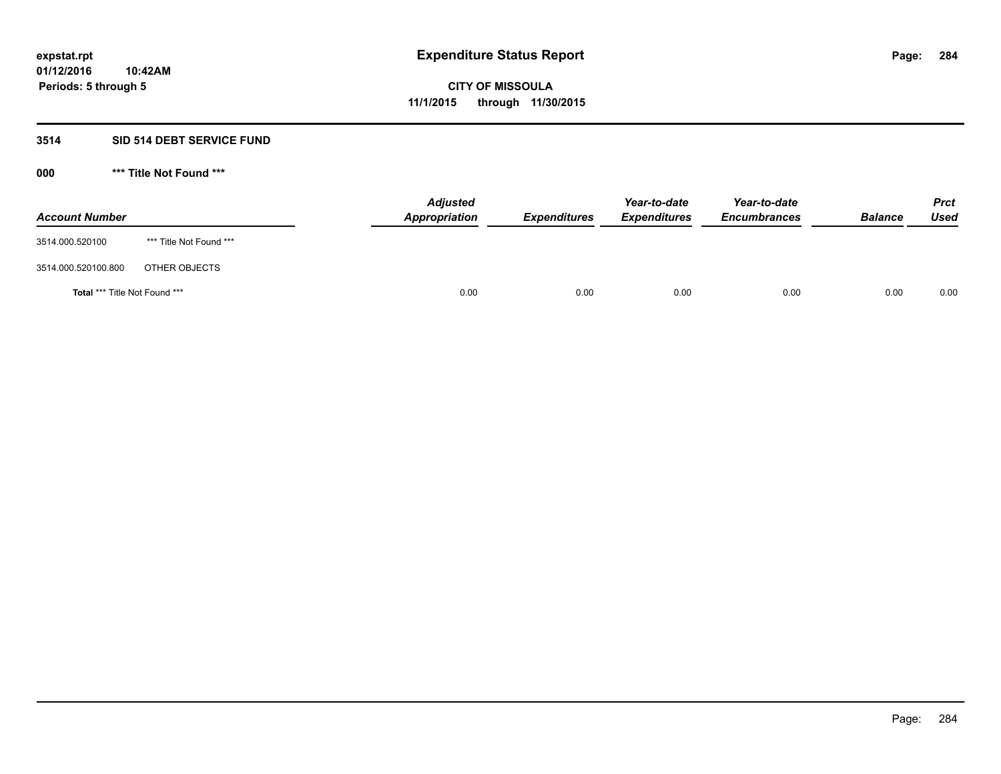### **3514 SID 514 DEBT SERVICE FUND**

| <b>Account Number</b>                |                         | <b>Adjusted</b><br><b>Appropriation</b> | <b>Expenditures</b> | Year-to-date<br><b>Expenditures</b> | Year-to-date<br><b>Encumbrances</b> | <b>Balance</b> | <b>Prct</b><br><b>Used</b> |
|--------------------------------------|-------------------------|-----------------------------------------|---------------------|-------------------------------------|-------------------------------------|----------------|----------------------------|
| 3514.000.520100                      | *** Title Not Found *** |                                         |                     |                                     |                                     |                |                            |
| 3514.000.520100.800                  | OTHER OBJECTS           |                                         |                     |                                     |                                     |                |                            |
| <b>Total *** Title Not Found ***</b> |                         | 0.00                                    | 0.00                | 0.00                                | 0.00                                | 0.00           | 0.00                       |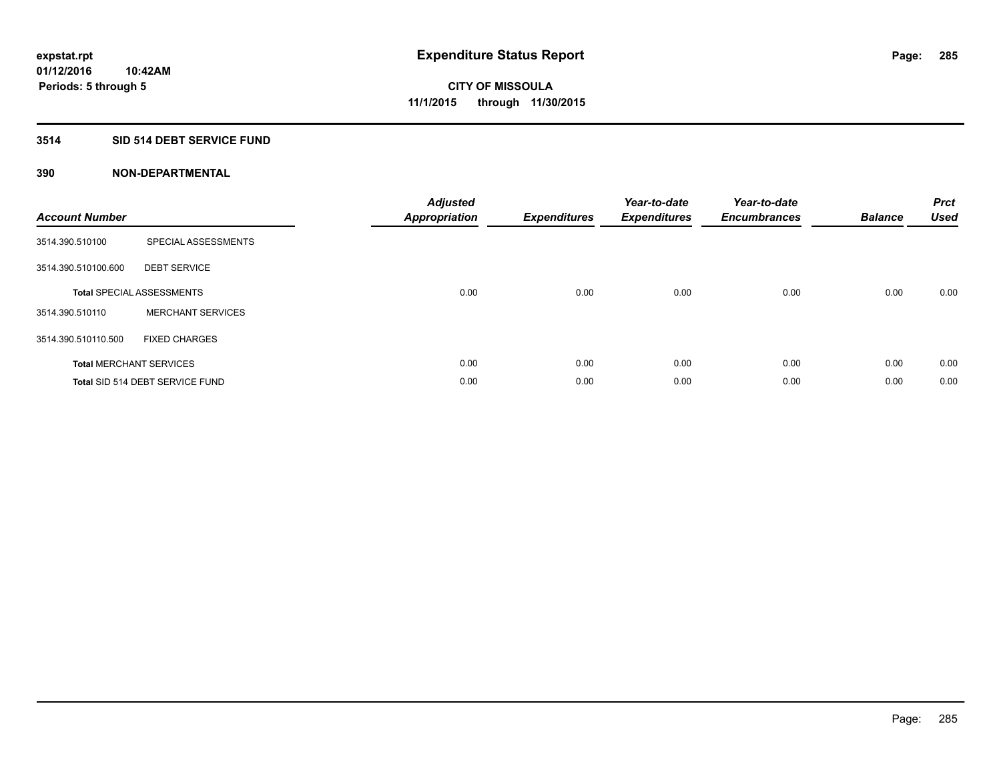## **3514 SID 514 DEBT SERVICE FUND**

| <b>Account Number</b> |                                  | <b>Adjusted</b><br>Appropriation | <b>Expenditures</b> | Year-to-date<br><b>Expenditures</b> | Year-to-date<br><b>Encumbrances</b> | <b>Balance</b> | <b>Prct</b><br><b>Used</b> |
|-----------------------|----------------------------------|----------------------------------|---------------------|-------------------------------------|-------------------------------------|----------------|----------------------------|
| 3514.390.510100       | SPECIAL ASSESSMENTS              |                                  |                     |                                     |                                     |                |                            |
| 3514.390.510100.600   | <b>DEBT SERVICE</b>              |                                  |                     |                                     |                                     |                |                            |
|                       | <b>Total SPECIAL ASSESSMENTS</b> | 0.00                             | 0.00                | 0.00                                | 0.00                                | 0.00           | 0.00                       |
| 3514.390.510110       | <b>MERCHANT SERVICES</b>         |                                  |                     |                                     |                                     |                |                            |
| 3514.390.510110.500   | <b>FIXED CHARGES</b>             |                                  |                     |                                     |                                     |                |                            |
|                       | <b>Total MERCHANT SERVICES</b>   | 0.00                             | 0.00                | 0.00                                | 0.00                                | 0.00           | 0.00                       |
|                       | Total SID 514 DEBT SERVICE FUND  | 0.00                             | 0.00                | 0.00                                | 0.00                                | 0.00           | 0.00                       |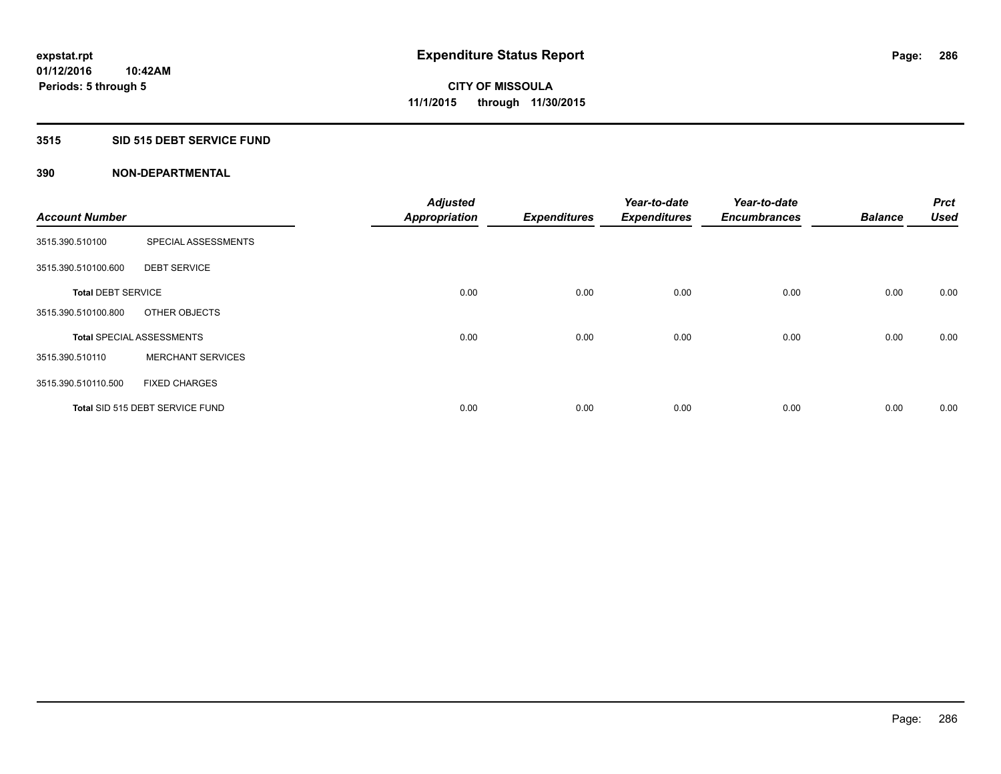### **3515 SID 515 DEBT SERVICE FUND**

| <b>Account Number</b>     |                                  | <b>Adjusted</b><br><b>Appropriation</b> | <b>Expenditures</b> | Year-to-date<br><b>Expenditures</b> | Year-to-date<br><b>Encumbrances</b> | <b>Balance</b> | <b>Prct</b><br><b>Used</b> |
|---------------------------|----------------------------------|-----------------------------------------|---------------------|-------------------------------------|-------------------------------------|----------------|----------------------------|
|                           |                                  |                                         |                     |                                     |                                     |                |                            |
| 3515.390.510100           | SPECIAL ASSESSMENTS              |                                         |                     |                                     |                                     |                |                            |
| 3515.390.510100.600       | <b>DEBT SERVICE</b>              |                                         |                     |                                     |                                     |                |                            |
| <b>Total DEBT SERVICE</b> |                                  | 0.00                                    | 0.00                | 0.00                                | 0.00                                | 0.00           | 0.00                       |
| 3515.390.510100.800       | OTHER OBJECTS                    |                                         |                     |                                     |                                     |                |                            |
|                           | <b>Total SPECIAL ASSESSMENTS</b> | 0.00                                    | 0.00                | 0.00                                | 0.00                                | 0.00           | 0.00                       |
| 3515.390.510110           | <b>MERCHANT SERVICES</b>         |                                         |                     |                                     |                                     |                |                            |
| 3515.390.510110.500       | <b>FIXED CHARGES</b>             |                                         |                     |                                     |                                     |                |                            |
|                           | Total SID 515 DEBT SERVICE FUND  | 0.00                                    | 0.00                | 0.00                                | 0.00                                | 0.00           | 0.00                       |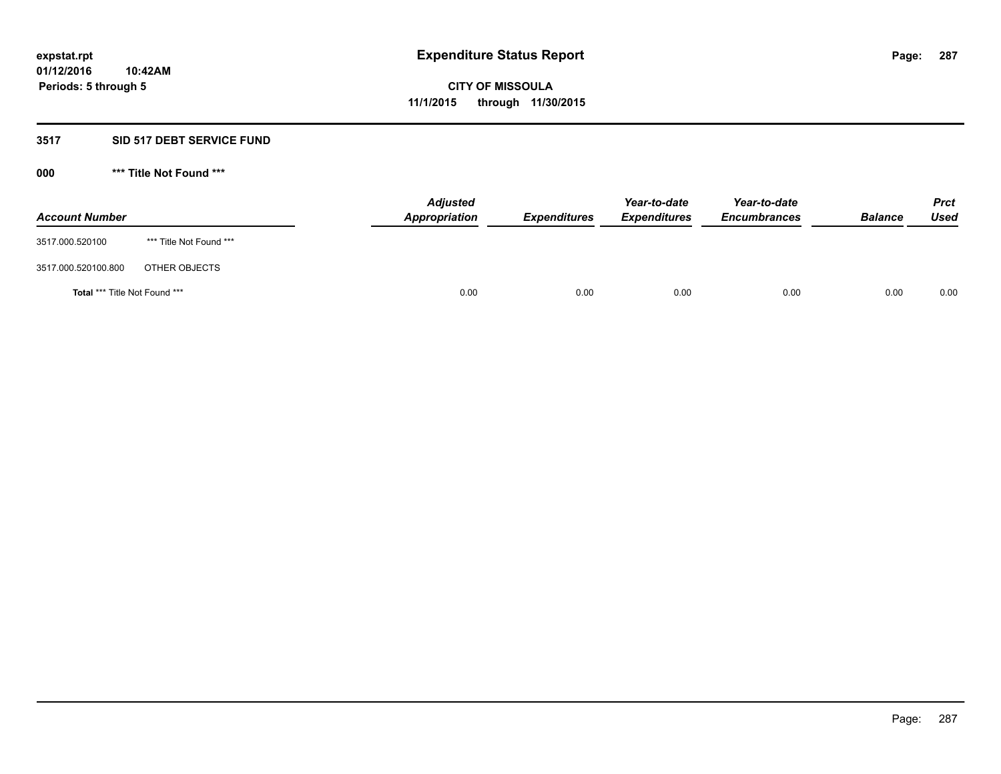### **3517 SID 517 DEBT SERVICE FUND**

| <b>Account Number</b>                |                         | <b>Adjusted</b><br><b>Appropriation</b> | <b>Expenditures</b> | Year-to-date<br><b>Expenditures</b> | Year-to-date<br><b>Encumbrances</b> | <b>Balance</b> | <b>Prct</b><br><b>Used</b> |
|--------------------------------------|-------------------------|-----------------------------------------|---------------------|-------------------------------------|-------------------------------------|----------------|----------------------------|
| 3517.000.520100                      | *** Title Not Found *** |                                         |                     |                                     |                                     |                |                            |
| 3517.000.520100.800                  | OTHER OBJECTS           |                                         |                     |                                     |                                     |                |                            |
| <b>Total *** Title Not Found ***</b> |                         | 0.00                                    | 0.00                | 0.00                                | 0.00                                | 0.00           | 0.00                       |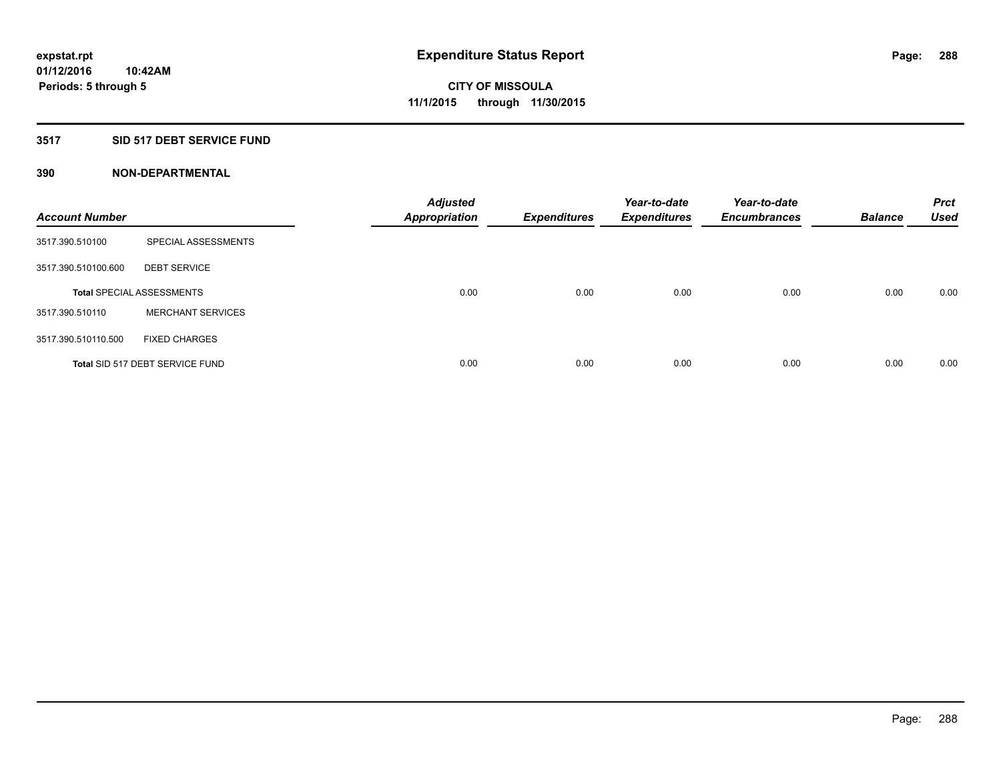## **3517 SID 517 DEBT SERVICE FUND**

| <b>Account Number</b> |                                  | <b>Adjusted</b><br><b>Appropriation</b> | <b>Expenditures</b> | Year-to-date<br><b>Expenditures</b> | Year-to-date<br><b>Encumbrances</b> | <b>Balance</b> | <b>Prct</b><br><b>Used</b> |
|-----------------------|----------------------------------|-----------------------------------------|---------------------|-------------------------------------|-------------------------------------|----------------|----------------------------|
| 3517.390.510100       | SPECIAL ASSESSMENTS              |                                         |                     |                                     |                                     |                |                            |
| 3517.390.510100.600   | <b>DEBT SERVICE</b>              |                                         |                     |                                     |                                     |                |                            |
|                       | <b>Total SPECIAL ASSESSMENTS</b> | 0.00                                    | 0.00                | 0.00                                | 0.00                                | 0.00           | 0.00                       |
| 3517.390.510110       | <b>MERCHANT SERVICES</b>         |                                         |                     |                                     |                                     |                |                            |
| 3517.390.510110.500   | <b>FIXED CHARGES</b>             |                                         |                     |                                     |                                     |                |                            |
|                       | Total SID 517 DEBT SERVICE FUND  | 0.00                                    | 0.00                | 0.00                                | 0.00                                | 0.00           | 0.00                       |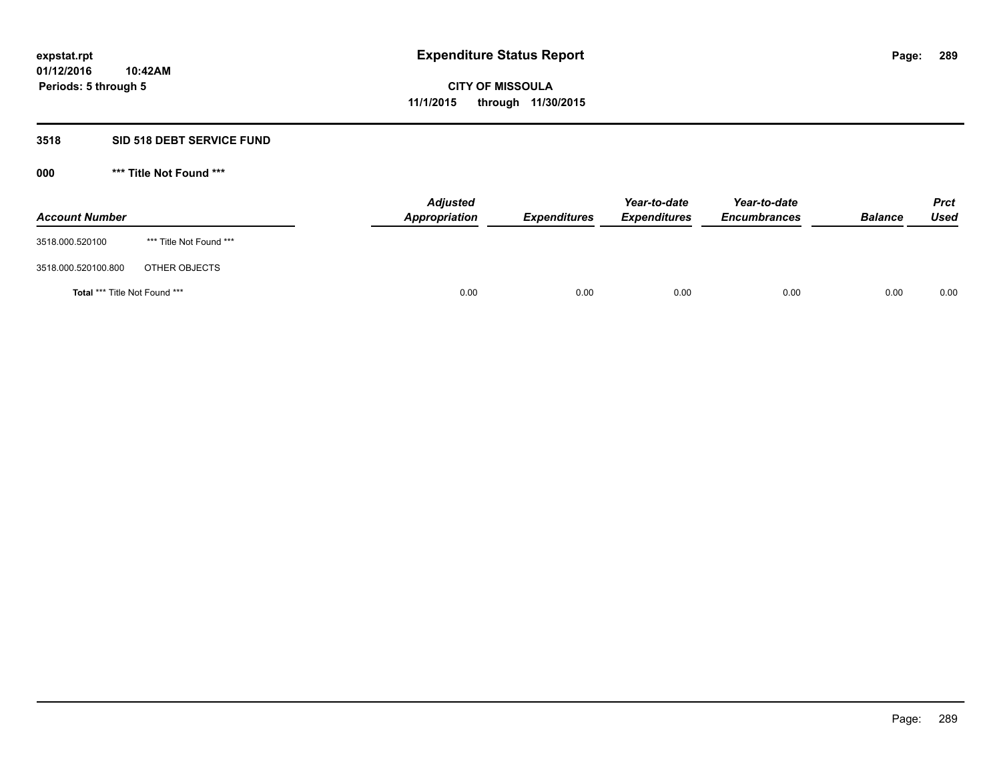#### **3518 SID 518 DEBT SERVICE FUND**

**000 \*\*\* Title Not Found \*\*\***

| <b>Account Number</b>                |                         | <b>Adjusted</b><br><b>Appropriation</b> | <b>Expenditures</b> | Year-to-date<br><b>Expenditures</b> | Year-to-date<br><b>Encumbrances</b> | <b>Balance</b> | <b>Prct</b><br><b>Used</b> |
|--------------------------------------|-------------------------|-----------------------------------------|---------------------|-------------------------------------|-------------------------------------|----------------|----------------------------|
| 3518.000.520100                      | *** Title Not Found *** |                                         |                     |                                     |                                     |                |                            |
| 3518.000.520100.800                  | OTHER OBJECTS           |                                         |                     |                                     |                                     |                |                            |
| <b>Total *** Title Not Found ***</b> |                         | 0.00                                    | 0.00                | 0.00                                | 0.00                                | 0.00           | 0.00                       |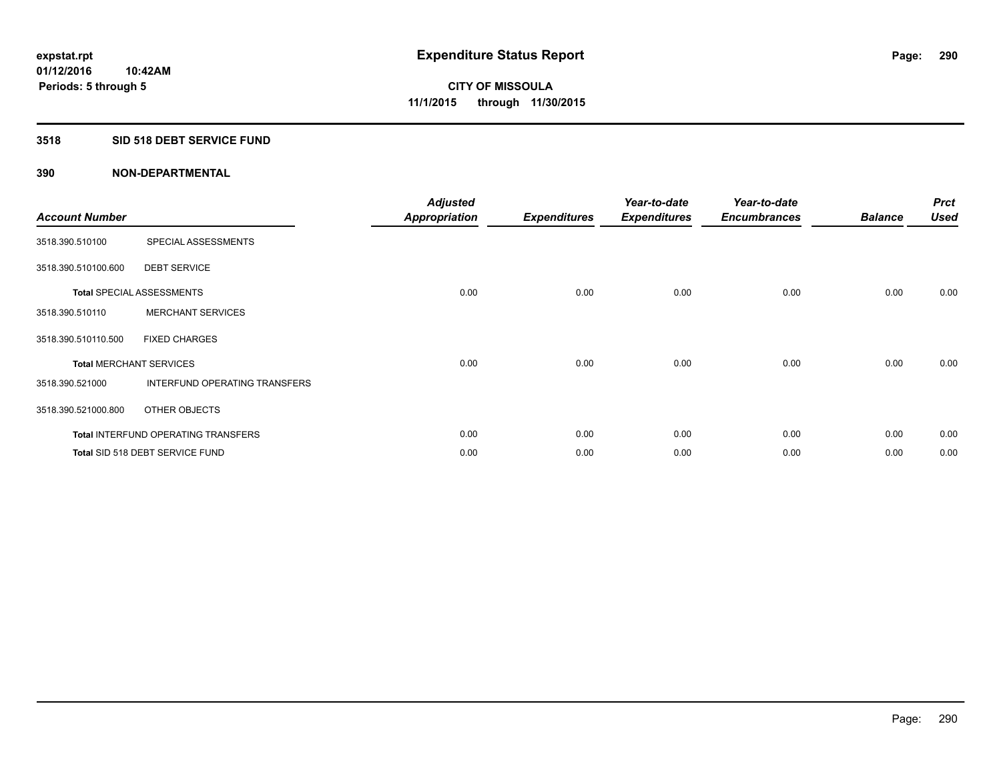## **3518 SID 518 DEBT SERVICE FUND**

| <b>Account Number</b> |                                            | <b>Adjusted</b><br><b>Appropriation</b> | <b>Expenditures</b> | Year-to-date<br><b>Expenditures</b> | Year-to-date<br><b>Encumbrances</b> | <b>Balance</b> | <b>Prct</b><br><b>Used</b> |
|-----------------------|--------------------------------------------|-----------------------------------------|---------------------|-------------------------------------|-------------------------------------|----------------|----------------------------|
| 3518.390.510100       | SPECIAL ASSESSMENTS                        |                                         |                     |                                     |                                     |                |                            |
| 3518.390.510100.600   | <b>DEBT SERVICE</b>                        |                                         |                     |                                     |                                     |                |                            |
|                       | <b>Total SPECIAL ASSESSMENTS</b>           | 0.00                                    | 0.00                | 0.00                                | 0.00                                | 0.00           | 0.00                       |
| 3518.390.510110       | <b>MERCHANT SERVICES</b>                   |                                         |                     |                                     |                                     |                |                            |
| 3518.390.510110.500   | <b>FIXED CHARGES</b>                       |                                         |                     |                                     |                                     |                |                            |
|                       | <b>Total MERCHANT SERVICES</b>             | 0.00                                    | 0.00                | 0.00                                | 0.00                                | 0.00           | 0.00                       |
| 3518.390.521000       | INTERFUND OPERATING TRANSFERS              |                                         |                     |                                     |                                     |                |                            |
| 3518.390.521000.800   | OTHER OBJECTS                              |                                         |                     |                                     |                                     |                |                            |
|                       | <b>Total INTERFUND OPERATING TRANSFERS</b> | 0.00                                    | 0.00                | 0.00                                | 0.00                                | 0.00           | 0.00                       |
|                       | Total SID 518 DEBT SERVICE FUND            | 0.00                                    | 0.00                | 0.00                                | 0.00                                | 0.00           | 0.00                       |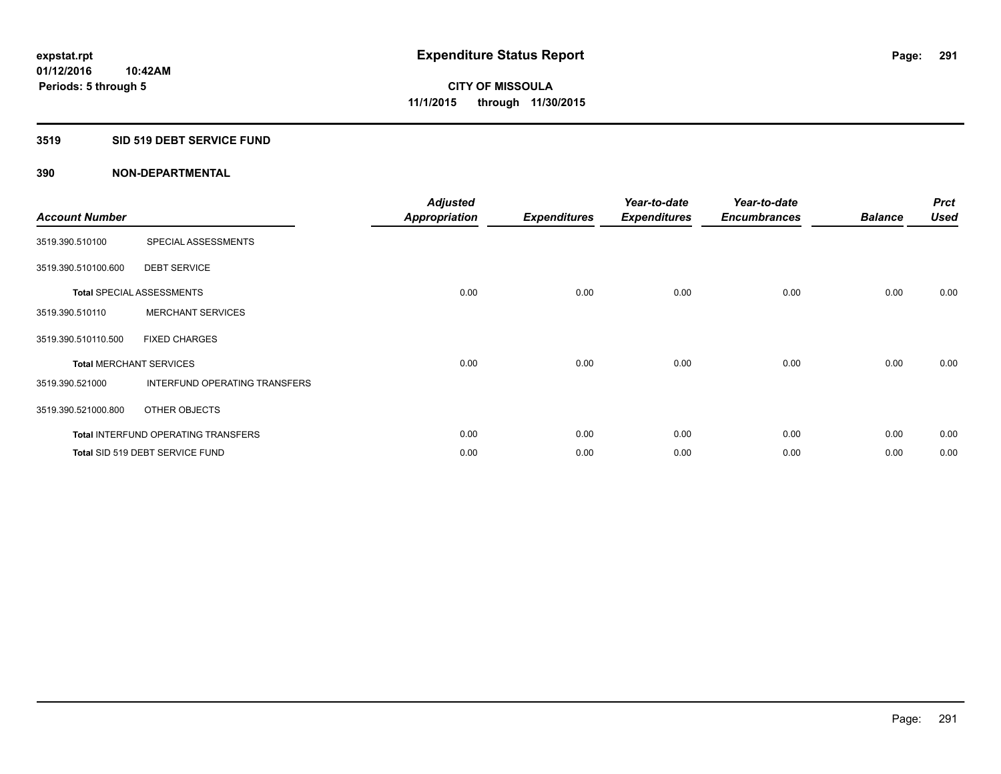## **3519 SID 519 DEBT SERVICE FUND**

| <b>Account Number</b> |                                            | <b>Adjusted</b><br><b>Appropriation</b> | <b>Expenditures</b> | Year-to-date<br><b>Expenditures</b> | Year-to-date<br><b>Encumbrances</b> | <b>Balance</b> | <b>Prct</b><br><b>Used</b> |
|-----------------------|--------------------------------------------|-----------------------------------------|---------------------|-------------------------------------|-------------------------------------|----------------|----------------------------|
| 3519.390.510100       | SPECIAL ASSESSMENTS                        |                                         |                     |                                     |                                     |                |                            |
| 3519.390.510100.600   | <b>DEBT SERVICE</b>                        |                                         |                     |                                     |                                     |                |                            |
|                       | <b>Total SPECIAL ASSESSMENTS</b>           | 0.00                                    | 0.00                | 0.00                                | 0.00                                | 0.00           | 0.00                       |
| 3519.390.510110       | <b>MERCHANT SERVICES</b>                   |                                         |                     |                                     |                                     |                |                            |
| 3519.390.510110.500   | <b>FIXED CHARGES</b>                       |                                         |                     |                                     |                                     |                |                            |
|                       | <b>Total MERCHANT SERVICES</b>             | 0.00                                    | 0.00                | 0.00                                | 0.00                                | 0.00           | 0.00                       |
| 3519.390.521000       | INTERFUND OPERATING TRANSFERS              |                                         |                     |                                     |                                     |                |                            |
| 3519.390.521000.800   | OTHER OBJECTS                              |                                         |                     |                                     |                                     |                |                            |
|                       | <b>Total INTERFUND OPERATING TRANSFERS</b> | 0.00                                    | 0.00                | 0.00                                | 0.00                                | 0.00           | 0.00                       |
|                       | Total SID 519 DEBT SERVICE FUND            | 0.00                                    | 0.00                | 0.00                                | 0.00                                | 0.00           | 0.00                       |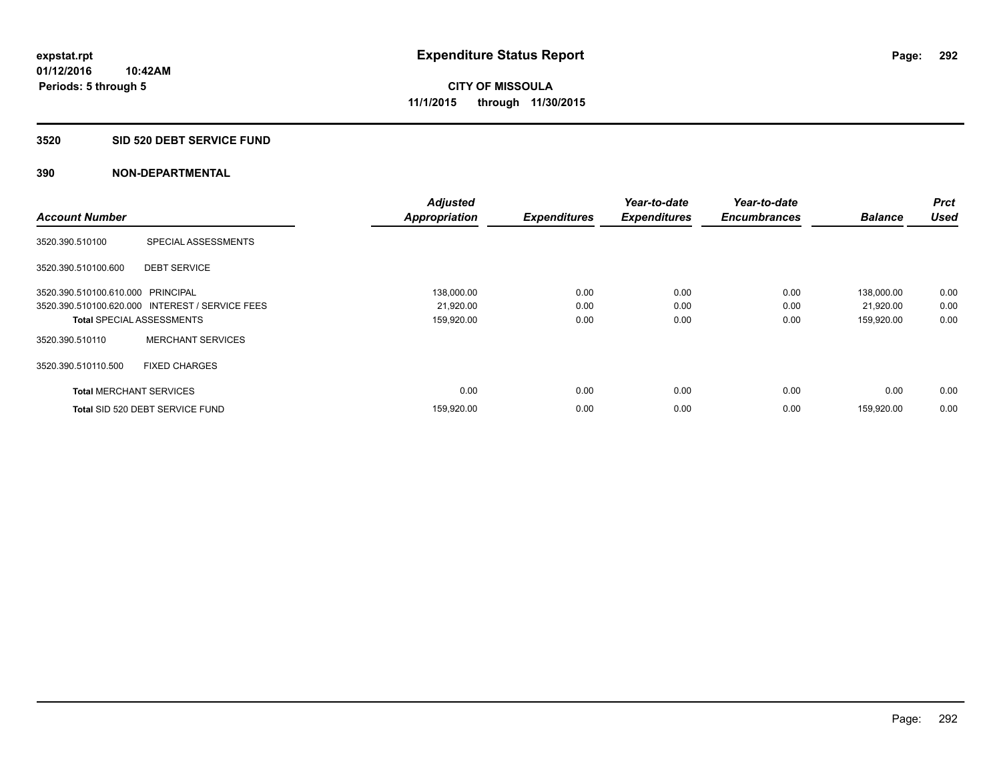#### **3520 SID 520 DEBT SERVICE FUND**

|                                   |                                                 | <b>Adjusted</b>      |                     | Year-to-date        | Year-to-date        |                | Prct        |
|-----------------------------------|-------------------------------------------------|----------------------|---------------------|---------------------|---------------------|----------------|-------------|
| <b>Account Number</b>             |                                                 | <b>Appropriation</b> | <b>Expenditures</b> | <b>Expenditures</b> | <b>Encumbrances</b> | <b>Balance</b> | <b>Used</b> |
| 3520.390.510100                   | SPECIAL ASSESSMENTS                             |                      |                     |                     |                     |                |             |
| 3520.390.510100.600               | <b>DEBT SERVICE</b>                             |                      |                     |                     |                     |                |             |
| 3520.390.510100.610.000 PRINCIPAL |                                                 | 138,000.00           | 0.00                | 0.00                | 0.00                | 138.000.00     | 0.00        |
|                                   | 3520.390.510100.620.000 INTEREST / SERVICE FEES | 21,920.00            | 0.00                | 0.00                | 0.00                | 21,920.00      | 0.00        |
| <b>Total SPECIAL ASSESSMENTS</b>  |                                                 | 159,920.00           | 0.00                | 0.00                | 0.00                | 159,920.00     | 0.00        |
| 3520.390.510110                   | <b>MERCHANT SERVICES</b>                        |                      |                     |                     |                     |                |             |
| 3520.390.510110.500               | <b>FIXED CHARGES</b>                            |                      |                     |                     |                     |                |             |
| <b>Total MERCHANT SERVICES</b>    |                                                 | 0.00                 | 0.00                | 0.00                | 0.00                | 0.00           | 0.00        |
|                                   | Total SID 520 DEBT SERVICE FUND                 | 159,920.00           | 0.00                | 0.00                | 0.00                | 159.920.00     | 0.00        |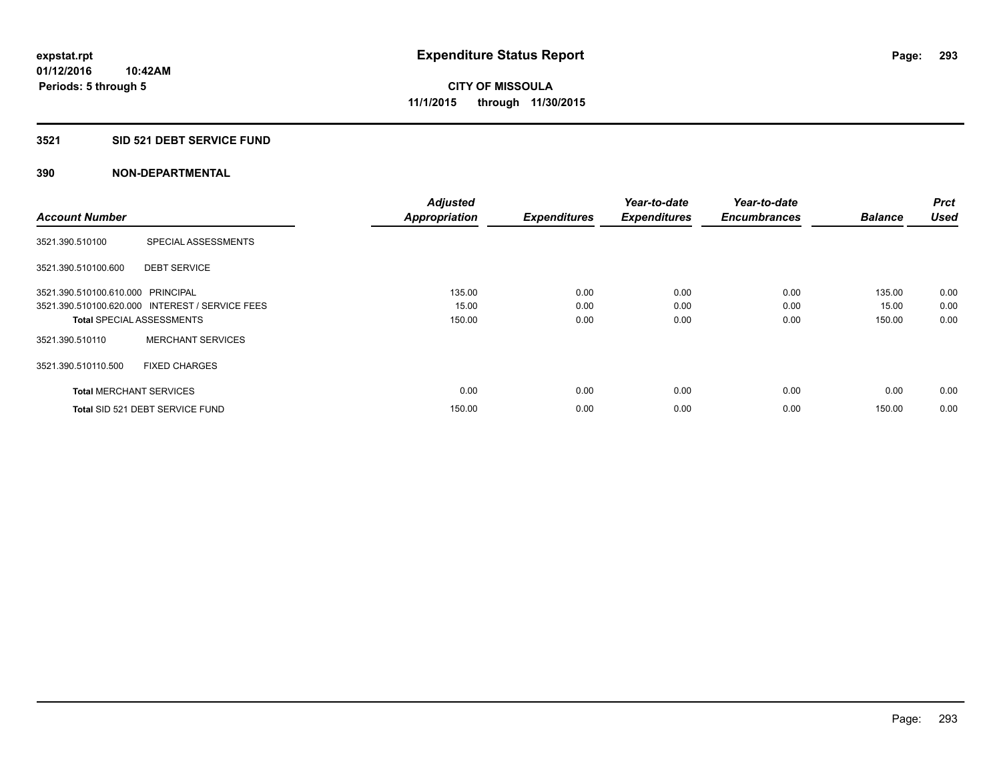#### **3521 SID 521 DEBT SERVICE FUND**

| <b>Account Number</b>             |                                                 | <b>Adjusted</b><br><b>Appropriation</b> | <b>Expenditures</b> | Year-to-date<br><b>Expenditures</b> | Year-to-date<br><b>Encumbrances</b> | <b>Balance</b> | <b>Prct</b><br><b>Used</b> |
|-----------------------------------|-------------------------------------------------|-----------------------------------------|---------------------|-------------------------------------|-------------------------------------|----------------|----------------------------|
|                                   |                                                 |                                         |                     |                                     |                                     |                |                            |
| 3521.390.510100                   | SPECIAL ASSESSMENTS                             |                                         |                     |                                     |                                     |                |                            |
| 3521.390.510100.600               | <b>DEBT SERVICE</b>                             |                                         |                     |                                     |                                     |                |                            |
| 3521.390.510100.610.000 PRINCIPAL |                                                 | 135.00                                  | 0.00                | 0.00                                | 0.00                                | 135.00         | 0.00                       |
|                                   | 3521.390.510100.620.000 INTEREST / SERVICE FEES | 15.00                                   | 0.00                | 0.00                                | 0.00                                | 15.00          | 0.00                       |
| <b>Total SPECIAL ASSESSMENTS</b>  |                                                 | 150.00                                  | 0.00                | 0.00                                | 0.00                                | 150.00         | 0.00                       |
| 3521.390.510110                   | <b>MERCHANT SERVICES</b>                        |                                         |                     |                                     |                                     |                |                            |
| 3521.390.510110.500               | <b>FIXED CHARGES</b>                            |                                         |                     |                                     |                                     |                |                            |
| <b>Total MERCHANT SERVICES</b>    |                                                 | 0.00                                    | 0.00                | 0.00                                | 0.00                                | 0.00           | 0.00                       |
|                                   | Total SID 521 DEBT SERVICE FUND                 | 150.00                                  | 0.00                | 0.00                                | 0.00                                | 150.00         | 0.00                       |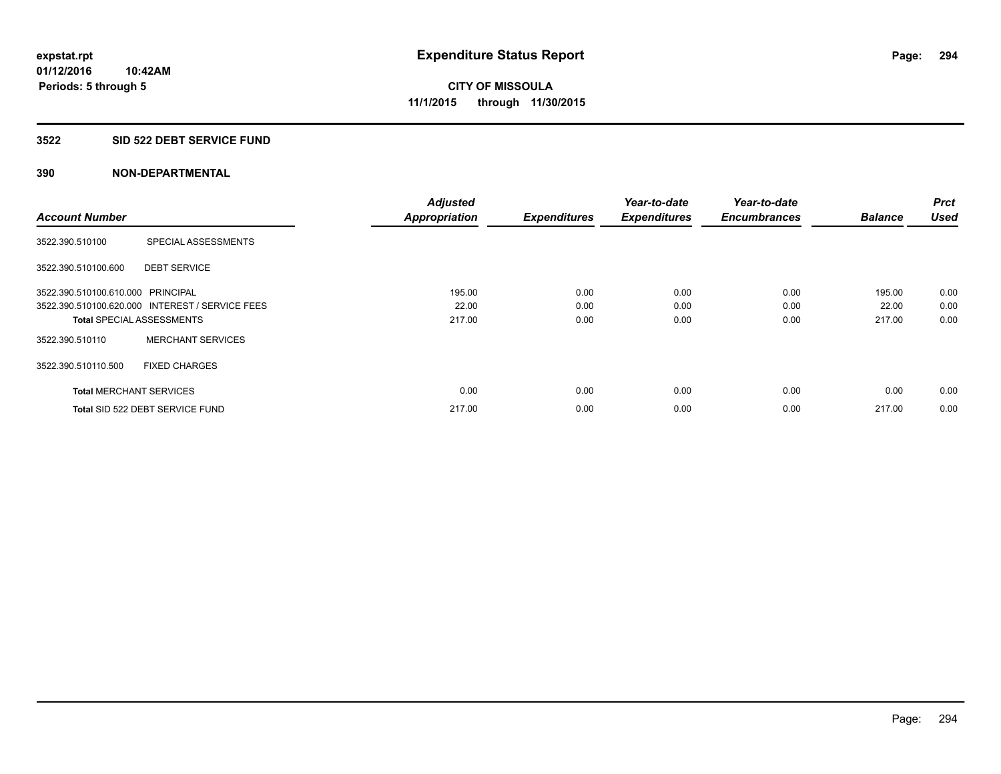#### **3522 SID 522 DEBT SERVICE FUND**

|                                   |                                                 | <b>Adjusted</b>      |                     | Year-to-date        | Year-to-date        |                | <b>Prct</b> |
|-----------------------------------|-------------------------------------------------|----------------------|---------------------|---------------------|---------------------|----------------|-------------|
| <b>Account Number</b>             |                                                 | <b>Appropriation</b> | <b>Expenditures</b> | <b>Expenditures</b> | <b>Encumbrances</b> | <b>Balance</b> | <b>Used</b> |
| 3522.390.510100                   | SPECIAL ASSESSMENTS                             |                      |                     |                     |                     |                |             |
| 3522.390.510100.600               | <b>DEBT SERVICE</b>                             |                      |                     |                     |                     |                |             |
| 3522.390.510100.610.000 PRINCIPAL |                                                 | 195.00               | 0.00                | 0.00                | 0.00                | 195.00         | 0.00        |
|                                   | 3522.390.510100.620.000 INTEREST / SERVICE FEES | 22.00                | 0.00                | 0.00                | 0.00                | 22.00          | 0.00        |
| <b>Total SPECIAL ASSESSMENTS</b>  |                                                 | 217.00               | 0.00                | 0.00                | 0.00                | 217.00         | 0.00        |
| 3522.390.510110                   | <b>MERCHANT SERVICES</b>                        |                      |                     |                     |                     |                |             |
| 3522.390.510110.500               | <b>FIXED CHARGES</b>                            |                      |                     |                     |                     |                |             |
| <b>Total MERCHANT SERVICES</b>    |                                                 | 0.00                 | 0.00                | 0.00                | 0.00                | 0.00           | 0.00        |
|                                   | Total SID 522 DEBT SERVICE FUND                 | 217.00               | 0.00                | 0.00                | 0.00                | 217.00         | 0.00        |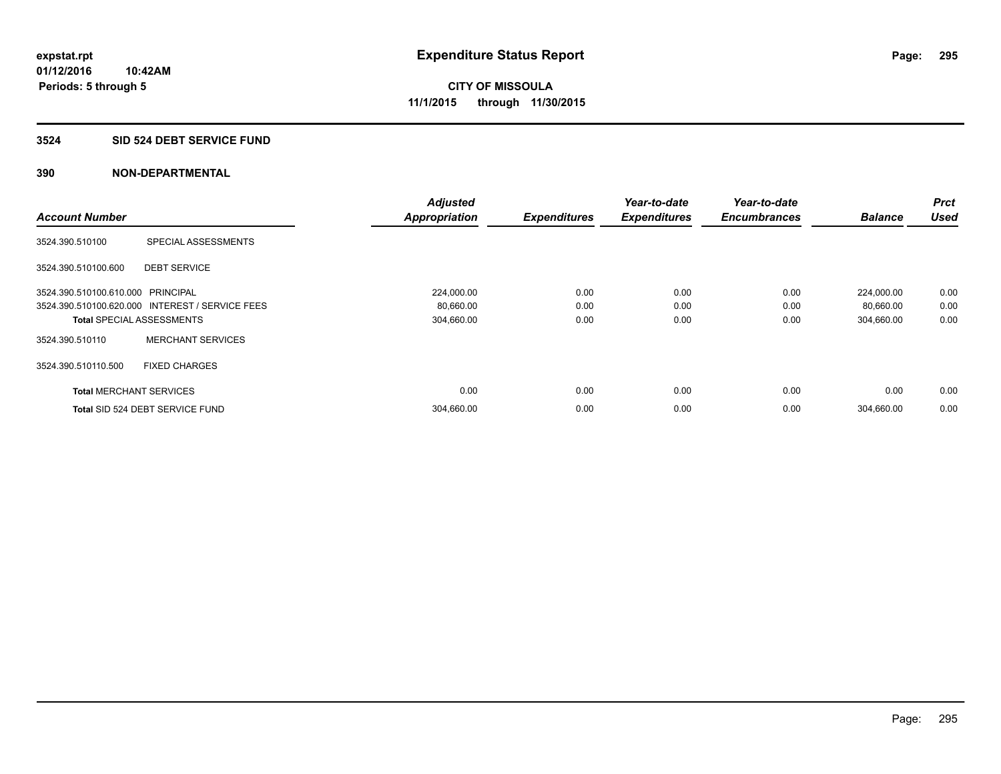#### **3524 SID 524 DEBT SERVICE FUND**

|                                   |                                                 | <b>Adjusted</b>      |                     | Year-to-date        | Year-to-date        |                | <b>Prct</b> |
|-----------------------------------|-------------------------------------------------|----------------------|---------------------|---------------------|---------------------|----------------|-------------|
| <b>Account Number</b>             |                                                 | <b>Appropriation</b> | <b>Expenditures</b> | <b>Expenditures</b> | <b>Encumbrances</b> | <b>Balance</b> | <b>Used</b> |
| 3524.390.510100                   | SPECIAL ASSESSMENTS                             |                      |                     |                     |                     |                |             |
| 3524.390.510100.600               | <b>DEBT SERVICE</b>                             |                      |                     |                     |                     |                |             |
| 3524.390.510100.610.000 PRINCIPAL |                                                 | 224,000.00           | 0.00                | 0.00                | 0.00                | 224,000.00     | 0.00        |
|                                   | 3524.390.510100.620.000 INTEREST / SERVICE FEES | 80,660.00            | 0.00                | 0.00                | 0.00                | 80,660.00      | 0.00        |
| <b>Total SPECIAL ASSESSMENTS</b>  |                                                 | 304,660.00           | 0.00                | 0.00                | 0.00                | 304,660.00     | 0.00        |
| 3524.390.510110                   | <b>MERCHANT SERVICES</b>                        |                      |                     |                     |                     |                |             |
| 3524.390.510110.500               | <b>FIXED CHARGES</b>                            |                      |                     |                     |                     |                |             |
| <b>Total MERCHANT SERVICES</b>    |                                                 | 0.00                 | 0.00                | 0.00                | 0.00                | 0.00           | 0.00        |
|                                   | Total SID 524 DEBT SERVICE FUND                 | 304,660.00           | 0.00                | 0.00                | 0.00                | 304,660.00     | 0.00        |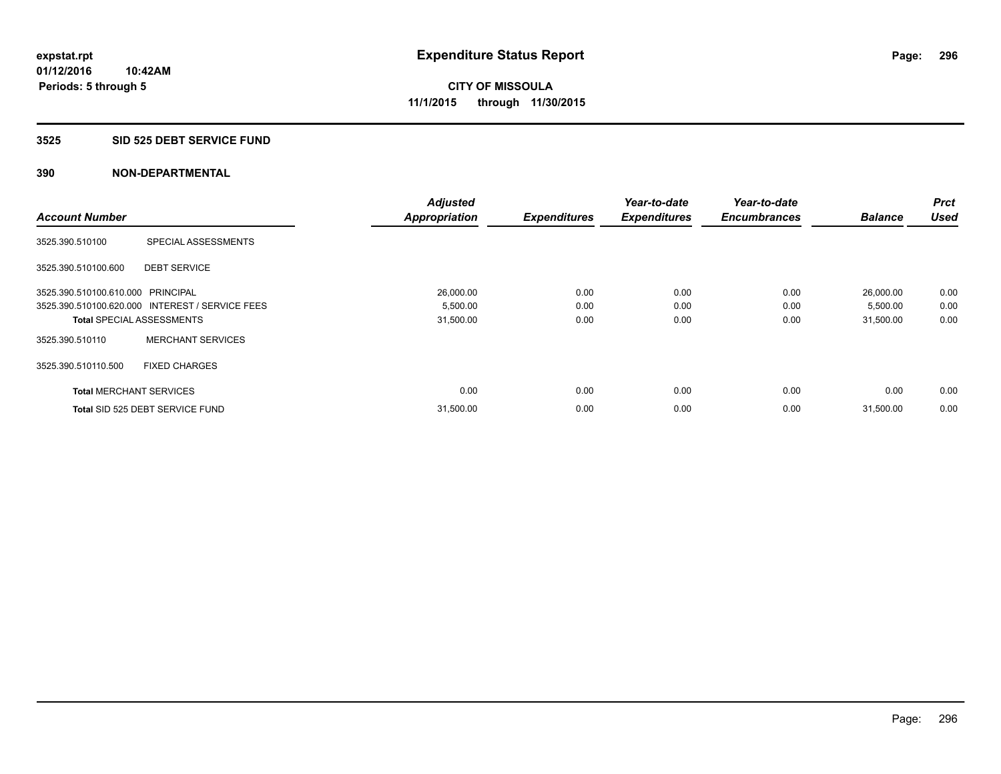#### **3525 SID 525 DEBT SERVICE FUND**

|                                   |                                                 | <b>Adjusted</b>      |                     | Year-to-date        | Year-to-date        |                | <b>Prct</b> |
|-----------------------------------|-------------------------------------------------|----------------------|---------------------|---------------------|---------------------|----------------|-------------|
| <b>Account Number</b>             |                                                 | <b>Appropriation</b> | <b>Expenditures</b> | <b>Expenditures</b> | <b>Encumbrances</b> | <b>Balance</b> | <b>Used</b> |
| 3525.390.510100                   | SPECIAL ASSESSMENTS                             |                      |                     |                     |                     |                |             |
| 3525.390.510100.600               | <b>DEBT SERVICE</b>                             |                      |                     |                     |                     |                |             |
| 3525.390.510100.610.000 PRINCIPAL |                                                 | 26,000.00            | 0.00                | 0.00                | 0.00                | 26,000.00      | 0.00        |
|                                   | 3525.390.510100.620.000 INTEREST / SERVICE FEES | 5,500.00             | 0.00                | 0.00                | 0.00                | 5,500.00       | 0.00        |
| <b>Total SPECIAL ASSESSMENTS</b>  |                                                 | 31,500.00            | 0.00                | 0.00                | 0.00                | 31,500.00      | 0.00        |
| 3525.390.510110                   | <b>MERCHANT SERVICES</b>                        |                      |                     |                     |                     |                |             |
| 3525.390.510110.500               | <b>FIXED CHARGES</b>                            |                      |                     |                     |                     |                |             |
| <b>Total MERCHANT SERVICES</b>    |                                                 | 0.00                 | 0.00                | 0.00                | 0.00                | 0.00           | 0.00        |
|                                   | Total SID 525 DEBT SERVICE FUND                 | 31,500.00            | 0.00                | 0.00                | 0.00                | 31,500.00      | 0.00        |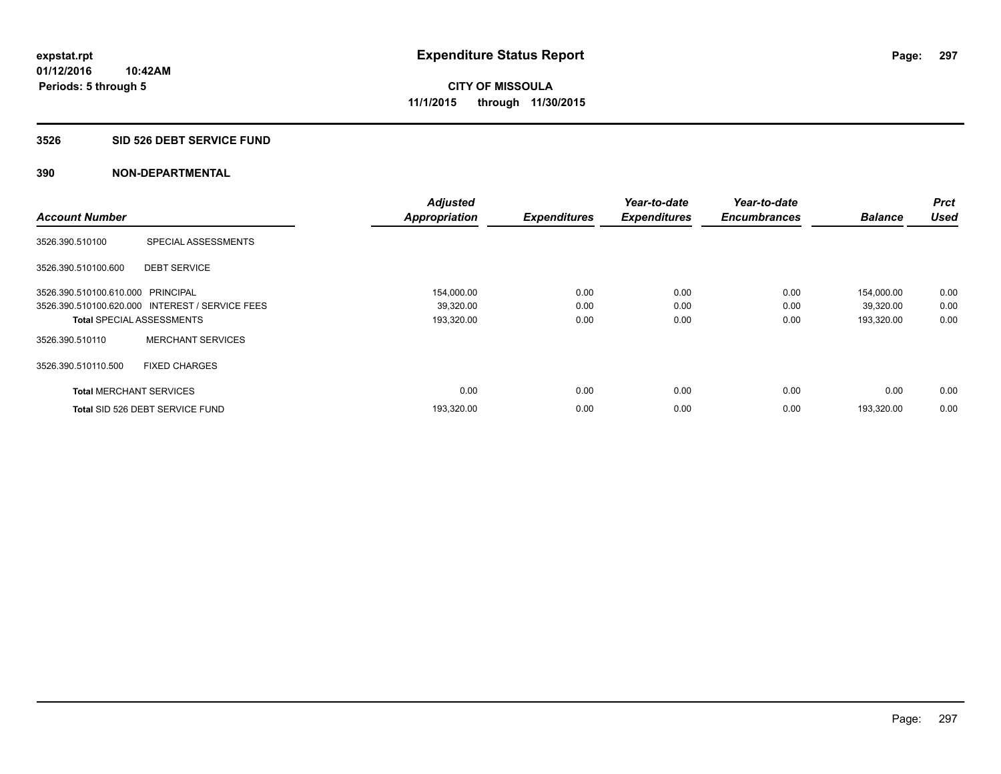#### **3526 SID 526 DEBT SERVICE FUND**

| <b>Account Number</b>             |                                                 | <b>Adjusted</b><br><b>Appropriation</b> | <b>Expenditures</b> | Year-to-date<br><b>Expenditures</b> | Year-to-date<br><b>Encumbrances</b> | <b>Balance</b> | <b>Prct</b><br><b>Used</b> |
|-----------------------------------|-------------------------------------------------|-----------------------------------------|---------------------|-------------------------------------|-------------------------------------|----------------|----------------------------|
|                                   |                                                 |                                         |                     |                                     |                                     |                |                            |
| 3526.390.510100                   | SPECIAL ASSESSMENTS                             |                                         |                     |                                     |                                     |                |                            |
| 3526.390.510100.600               | <b>DEBT SERVICE</b>                             |                                         |                     |                                     |                                     |                |                            |
| 3526.390.510100.610.000 PRINCIPAL |                                                 | 154,000.00                              | 0.00                | 0.00                                | 0.00                                | 154,000.00     | 0.00                       |
|                                   | 3526.390.510100.620.000 INTEREST / SERVICE FEES | 39,320.00                               | 0.00                | 0.00                                | 0.00                                | 39,320.00      | 0.00                       |
| <b>Total SPECIAL ASSESSMENTS</b>  |                                                 | 193,320.00                              | 0.00                | 0.00                                | 0.00                                | 193,320.00     | 0.00                       |
| 3526.390.510110                   | <b>MERCHANT SERVICES</b>                        |                                         |                     |                                     |                                     |                |                            |
| 3526.390.510110.500               | <b>FIXED CHARGES</b>                            |                                         |                     |                                     |                                     |                |                            |
| <b>Total MERCHANT SERVICES</b>    |                                                 | 0.00                                    | 0.00                | 0.00                                | 0.00                                | 0.00           | 0.00                       |
|                                   | Total SID 526 DEBT SERVICE FUND                 | 193,320.00                              | 0.00                | 0.00                                | 0.00                                | 193.320.00     | 0.00                       |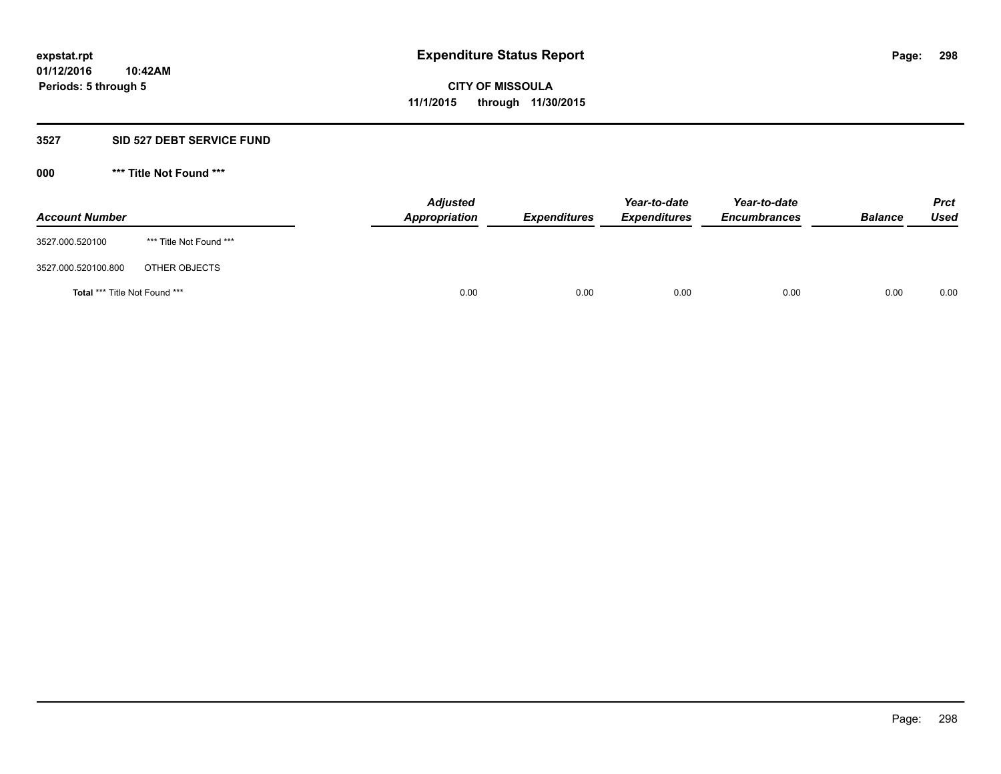#### **3527 SID 527 DEBT SERVICE FUND**

**000 \*\*\* Title Not Found \*\*\***

| <b>Account Number</b>         |                         | <b>Adjusted</b><br>Appropriation | <b>Expenditures</b> | Year-to-date<br><b>Expenditures</b> | Year-to-date<br><b>Encumbrances</b> | <b>Balance</b> | <b>Prct</b><br><b>Used</b> |
|-------------------------------|-------------------------|----------------------------------|---------------------|-------------------------------------|-------------------------------------|----------------|----------------------------|
| 3527.000.520100               | *** Title Not Found *** |                                  |                     |                                     |                                     |                |                            |
| 3527.000.520100.800           | OTHER OBJECTS           |                                  |                     |                                     |                                     |                |                            |
| Total *** Title Not Found *** |                         | 0.00                             | 0.00                | 0.00                                | 0.00                                | 0.00           | 0.00                       |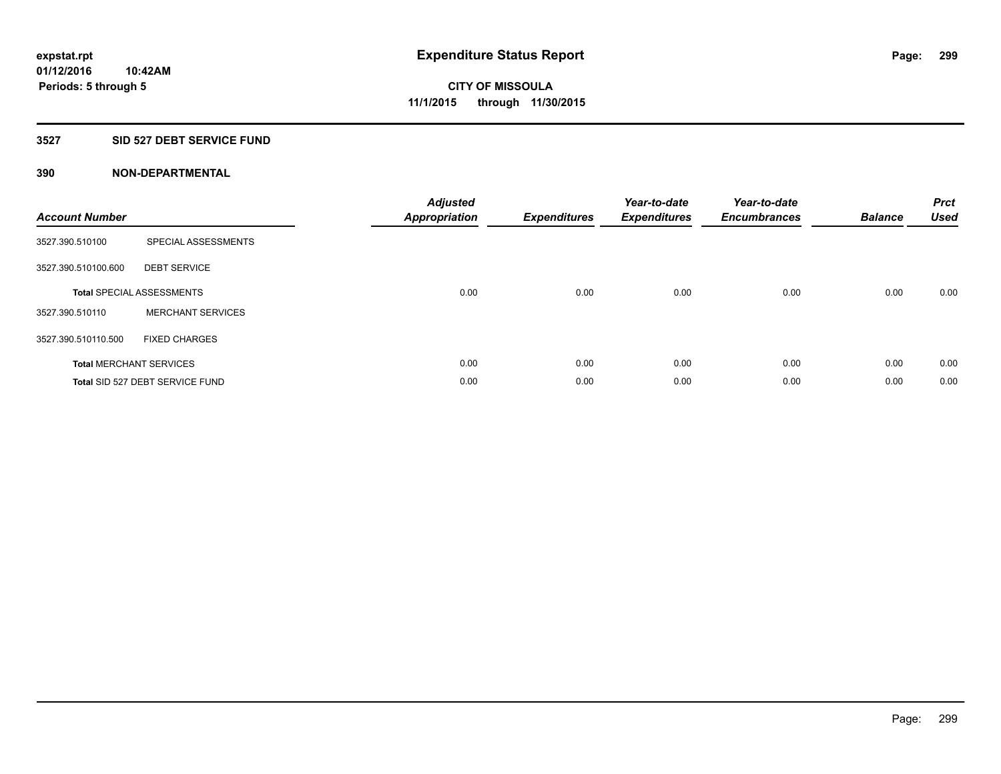## **3527 SID 527 DEBT SERVICE FUND**

| <b>Account Number</b> |                                  | <b>Adjusted</b><br>Appropriation | <b>Expenditures</b> | Year-to-date<br><b>Expenditures</b> | Year-to-date<br><b>Encumbrances</b> | <b>Balance</b> | <b>Prct</b><br><b>Used</b> |
|-----------------------|----------------------------------|----------------------------------|---------------------|-------------------------------------|-------------------------------------|----------------|----------------------------|
| 3527.390.510100       | SPECIAL ASSESSMENTS              |                                  |                     |                                     |                                     |                |                            |
| 3527.390.510100.600   | <b>DEBT SERVICE</b>              |                                  |                     |                                     |                                     |                |                            |
|                       | <b>Total SPECIAL ASSESSMENTS</b> | 0.00                             | 0.00                | 0.00                                | 0.00                                | 0.00           | 0.00                       |
| 3527.390.510110       | <b>MERCHANT SERVICES</b>         |                                  |                     |                                     |                                     |                |                            |
| 3527.390.510110.500   | <b>FIXED CHARGES</b>             |                                  |                     |                                     |                                     |                |                            |
|                       | <b>Total MERCHANT SERVICES</b>   | 0.00                             | 0.00                | 0.00                                | 0.00                                | 0.00           | 0.00                       |
|                       | Total SID 527 DEBT SERVICE FUND  | 0.00                             | 0.00                | 0.00                                | 0.00                                | 0.00           | 0.00                       |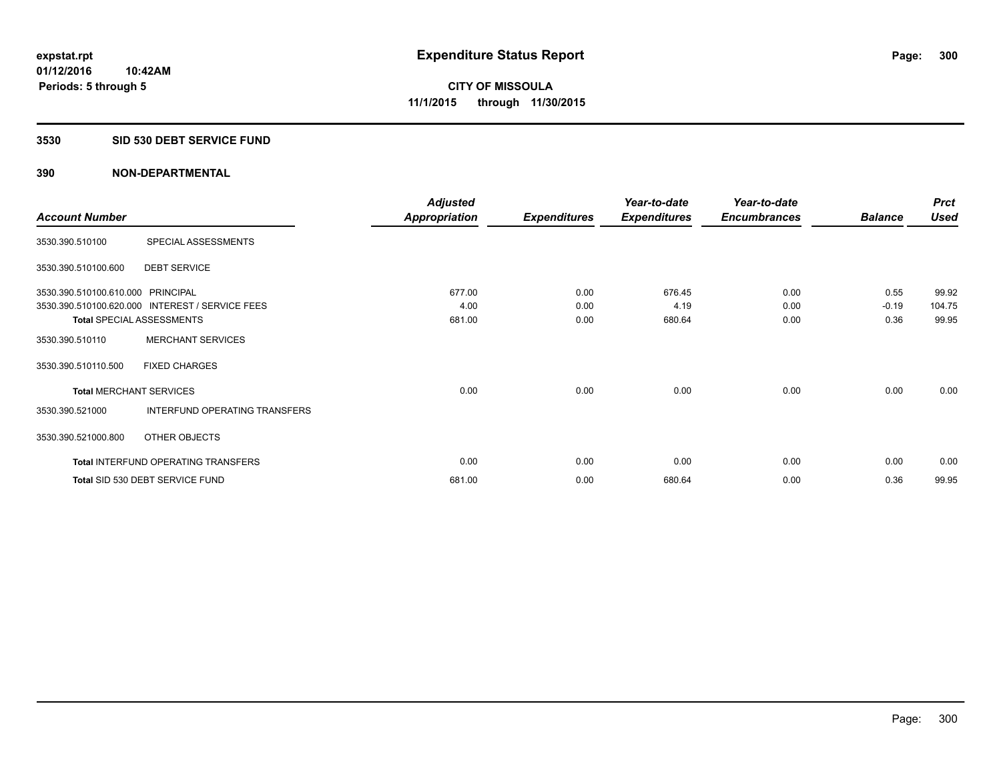#### **3530 SID 530 DEBT SERVICE FUND**

|                                   |                                                 | <b>Adjusted</b>      |                     | Year-to-date        | Year-to-date        |                | <b>Prct</b> |
|-----------------------------------|-------------------------------------------------|----------------------|---------------------|---------------------|---------------------|----------------|-------------|
| <b>Account Number</b>             |                                                 | <b>Appropriation</b> | <b>Expenditures</b> | <b>Expenditures</b> | <b>Encumbrances</b> | <b>Balance</b> | <b>Used</b> |
| 3530.390.510100                   | SPECIAL ASSESSMENTS                             |                      |                     |                     |                     |                |             |
| 3530.390.510100.600               | <b>DEBT SERVICE</b>                             |                      |                     |                     |                     |                |             |
| 3530.390.510100.610.000 PRINCIPAL |                                                 | 677.00               | 0.00                | 676.45              | 0.00                | 0.55           | 99.92       |
|                                   | 3530.390.510100.620.000 INTEREST / SERVICE FEES | 4.00                 | 0.00                | 4.19                | 0.00                | $-0.19$        | 104.75      |
| <b>Total SPECIAL ASSESSMENTS</b>  |                                                 | 681.00               | 0.00                | 680.64              | 0.00                | 0.36           | 99.95       |
| 3530.390.510110                   | <b>MERCHANT SERVICES</b>                        |                      |                     |                     |                     |                |             |
| 3530.390.510110.500               | <b>FIXED CHARGES</b>                            |                      |                     |                     |                     |                |             |
| <b>Total MERCHANT SERVICES</b>    |                                                 | 0.00                 | 0.00                | 0.00                | 0.00                | 0.00           | 0.00        |
| 3530.390.521000                   | INTERFUND OPERATING TRANSFERS                   |                      |                     |                     |                     |                |             |
| 3530.390.521000.800               | OTHER OBJECTS                                   |                      |                     |                     |                     |                |             |
|                                   | Total INTERFUND OPERATING TRANSFERS             | 0.00                 | 0.00                | 0.00                | 0.00                | 0.00           | 0.00        |
|                                   | Total SID 530 DEBT SERVICE FUND                 | 681.00               | 0.00                | 680.64              | 0.00                | 0.36           | 99.95       |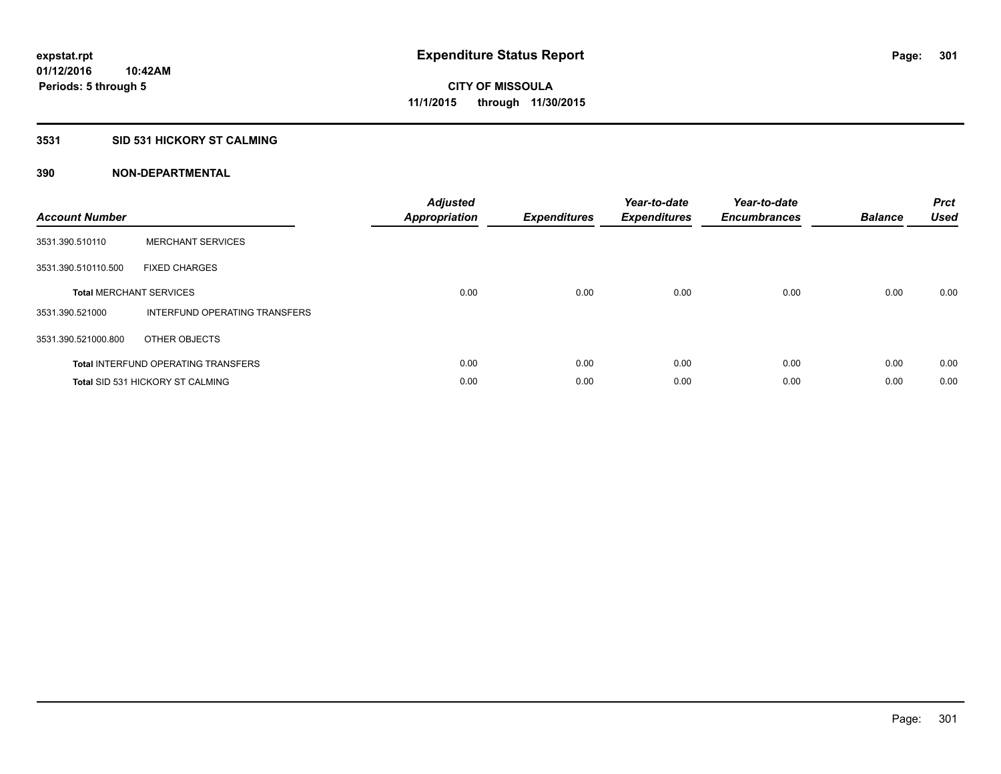## **3531 SID 531 HICKORY ST CALMING**

| <b>Account Number</b> |                                            | <b>Adjusted</b><br><b>Appropriation</b> | <b>Expenditures</b> | Year-to-date<br><b>Expenditures</b> | Year-to-date<br><b>Encumbrances</b> | <b>Balance</b> | <b>Prct</b><br><b>Used</b> |
|-----------------------|--------------------------------------------|-----------------------------------------|---------------------|-------------------------------------|-------------------------------------|----------------|----------------------------|
| 3531.390.510110       | <b>MERCHANT SERVICES</b>                   |                                         |                     |                                     |                                     |                |                            |
| 3531.390.510110.500   | <b>FIXED CHARGES</b>                       |                                         |                     |                                     |                                     |                |                            |
|                       | <b>Total MERCHANT SERVICES</b>             | 0.00                                    | 0.00                | 0.00                                | 0.00                                | 0.00           | 0.00                       |
| 3531.390.521000       | INTERFUND OPERATING TRANSFERS              |                                         |                     |                                     |                                     |                |                            |
| 3531.390.521000.800   | OTHER OBJECTS                              |                                         |                     |                                     |                                     |                |                            |
|                       | <b>Total INTERFUND OPERATING TRANSFERS</b> | 0.00                                    | 0.00                | 0.00                                | 0.00                                | 0.00           | 0.00                       |
|                       | <b>Total SID 531 HICKORY ST CALMING</b>    | 0.00                                    | 0.00                | 0.00                                | 0.00                                | 0.00           | 0.00                       |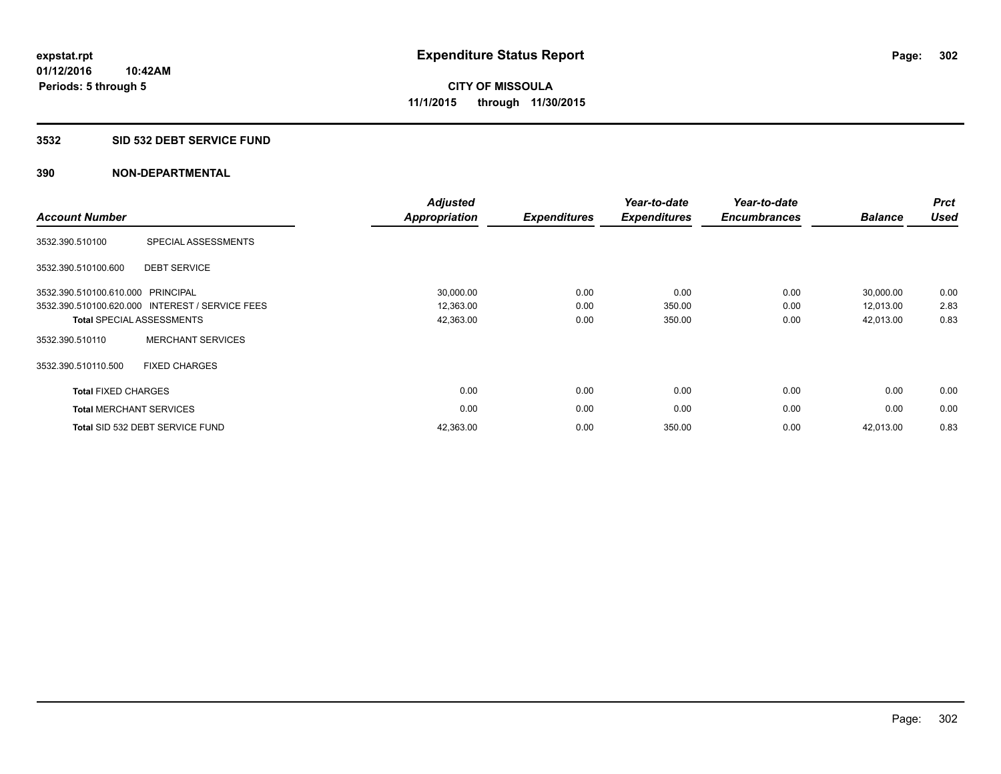## **3532 SID 532 DEBT SERVICE FUND**

| <b>Account Number</b>          |                                                 | <b>Adjusted</b><br><b>Appropriation</b> | <b>Expenditures</b> | Year-to-date<br><b>Expenditures</b> | Year-to-date<br><b>Encumbrances</b> | <b>Balance</b> | <b>Prct</b><br><b>Used</b> |
|--------------------------------|-------------------------------------------------|-----------------------------------------|---------------------|-------------------------------------|-------------------------------------|----------------|----------------------------|
| 3532.390.510100                | SPECIAL ASSESSMENTS                             |                                         |                     |                                     |                                     |                |                            |
| 3532.390.510100.600            | <b>DEBT SERVICE</b>                             |                                         |                     |                                     |                                     |                |                            |
| 3532.390.510100.610.000        | PRINCIPAL                                       | 30,000.00                               | 0.00                | 0.00                                | 0.00                                | 30,000.00      | 0.00                       |
|                                | 3532.390.510100.620.000 INTEREST / SERVICE FEES | 12,363.00                               | 0.00                | 350.00                              | 0.00                                | 12,013.00      | 2.83                       |
|                                | <b>Total SPECIAL ASSESSMENTS</b>                | 42,363.00                               | 0.00                | 350.00                              | 0.00                                | 42,013.00      | 0.83                       |
| 3532.390.510110                | <b>MERCHANT SERVICES</b>                        |                                         |                     |                                     |                                     |                |                            |
| 3532.390.510110.500            | <b>FIXED CHARGES</b>                            |                                         |                     |                                     |                                     |                |                            |
| <b>Total FIXED CHARGES</b>     |                                                 | 0.00                                    | 0.00                | 0.00                                | 0.00                                | 0.00           | 0.00                       |
| <b>Total MERCHANT SERVICES</b> |                                                 | 0.00                                    | 0.00                | 0.00                                | 0.00                                | 0.00           | 0.00                       |
|                                | Total SID 532 DEBT SERVICE FUND                 | 42,363.00                               | 0.00                | 350.00                              | 0.00                                | 42,013.00      | 0.83                       |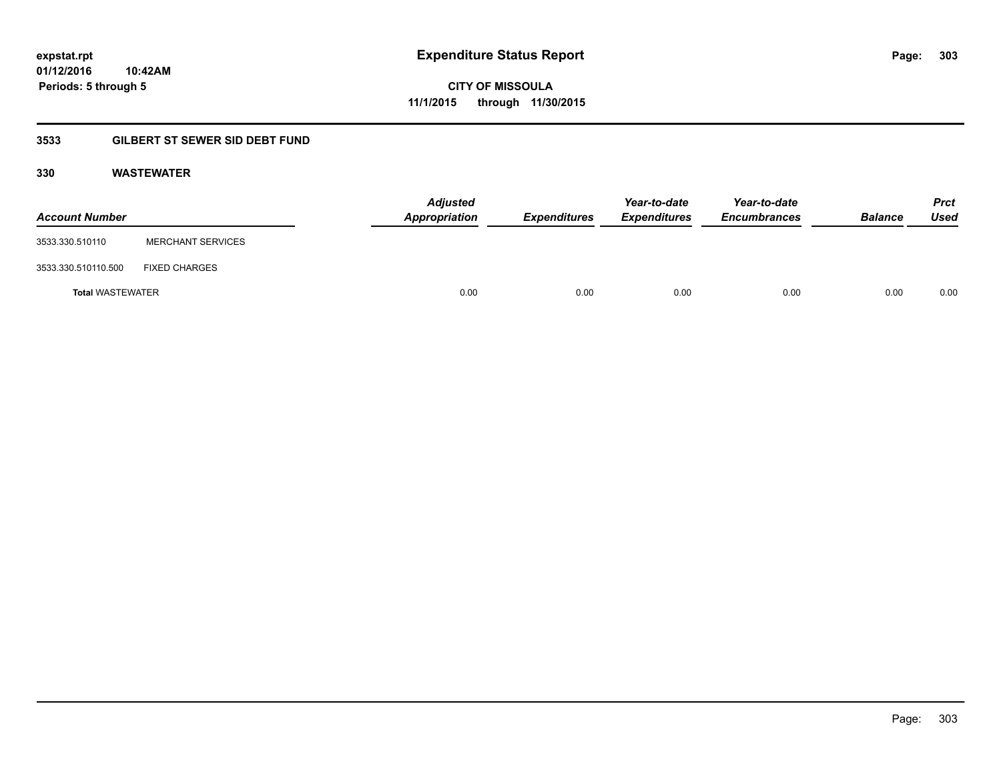**303**

**01/12/2016 10:42AM Periods: 5 through 5**

**CITY OF MISSOULA 11/1/2015 through 11/30/2015**

## **3533 GILBERT ST SEWER SID DEBT FUND**

## **330 WASTEWATER**

| <b>Account Number</b>   |                          | <b>Adjusted</b><br>Appropriation | <b>Expenditures</b> | Year-to-date<br><b>Expenditures</b> | Year-to-date<br><b>Encumbrances</b> | <b>Balance</b> | <b>Prct</b><br>Used |
|-------------------------|--------------------------|----------------------------------|---------------------|-------------------------------------|-------------------------------------|----------------|---------------------|
| 3533.330.510110         | <b>MERCHANT SERVICES</b> |                                  |                     |                                     |                                     |                |                     |
| 3533.330.510110.500     | <b>FIXED CHARGES</b>     |                                  |                     |                                     |                                     |                |                     |
| <b>Total WASTEWATER</b> |                          | 0.00                             | 0.00                | 0.00                                | 0.00                                | 0.00           | 0.00                |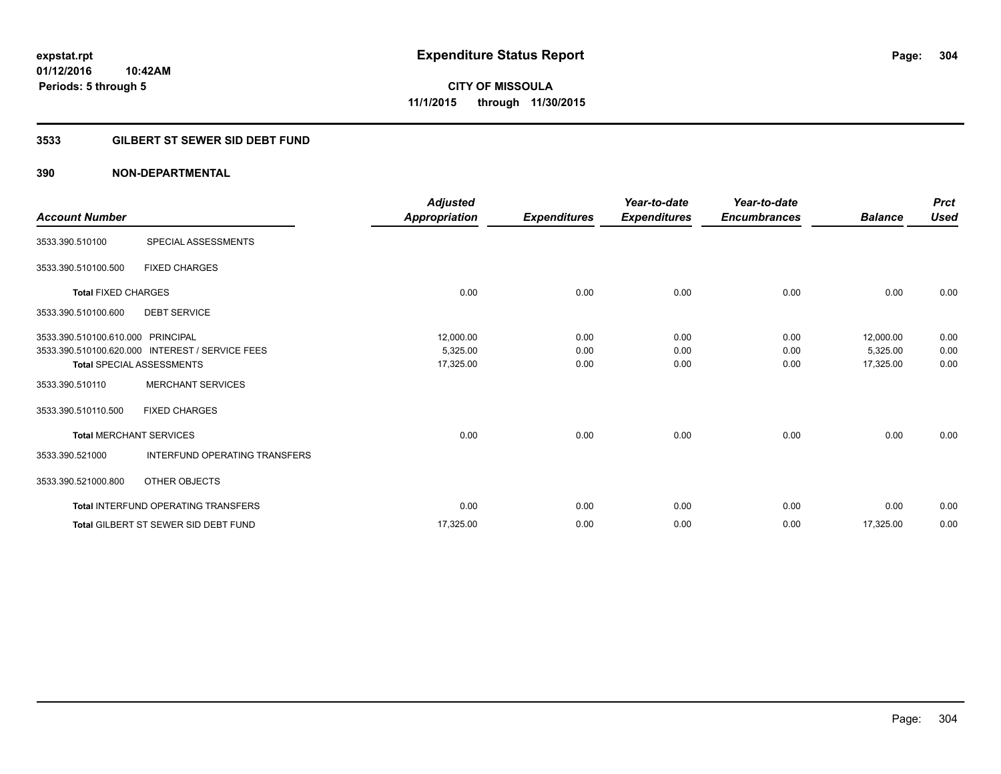**Periods: 5 through 5**

**CITY OF MISSOULA 11/1/2015 through 11/30/2015**

## **3533 GILBERT ST SEWER SID DEBT FUND**

| <b>Account Number</b>             |                                                 | <b>Adjusted</b><br>Appropriation | <b>Expenditures</b> | Year-to-date<br><b>Expenditures</b> | Year-to-date<br><b>Encumbrances</b> | <b>Balance</b> | <b>Prct</b><br><b>Used</b> |
|-----------------------------------|-------------------------------------------------|----------------------------------|---------------------|-------------------------------------|-------------------------------------|----------------|----------------------------|
| 3533.390.510100                   | SPECIAL ASSESSMENTS                             |                                  |                     |                                     |                                     |                |                            |
| 3533.390.510100.500               | <b>FIXED CHARGES</b>                            |                                  |                     |                                     |                                     |                |                            |
| <b>Total FIXED CHARGES</b>        |                                                 | 0.00                             | 0.00                | 0.00                                | 0.00                                | 0.00           | 0.00                       |
| 3533.390.510100.600               | <b>DEBT SERVICE</b>                             |                                  |                     |                                     |                                     |                |                            |
| 3533.390.510100.610.000 PRINCIPAL |                                                 | 12,000.00                        | 0.00                | 0.00                                | 0.00                                | 12,000.00      | 0.00                       |
|                                   | 3533.390.510100.620.000 INTEREST / SERVICE FEES | 5,325.00                         | 0.00                | 0.00                                | 0.00                                | 5,325.00       | 0.00                       |
|                                   | <b>Total SPECIAL ASSESSMENTS</b>                | 17,325.00                        | 0.00                | 0.00                                | 0.00                                | 17,325.00      | 0.00                       |
| 3533.390.510110                   | <b>MERCHANT SERVICES</b>                        |                                  |                     |                                     |                                     |                |                            |
| 3533.390.510110.500               | <b>FIXED CHARGES</b>                            |                                  |                     |                                     |                                     |                |                            |
|                                   | <b>Total MERCHANT SERVICES</b>                  | 0.00                             | 0.00                | 0.00                                | 0.00                                | 0.00           | 0.00                       |
| 3533.390.521000                   | <b>INTERFUND OPERATING TRANSFERS</b>            |                                  |                     |                                     |                                     |                |                            |
| 3533.390.521000.800               | OTHER OBJECTS                                   |                                  |                     |                                     |                                     |                |                            |
|                                   | <b>Total INTERFUND OPERATING TRANSFERS</b>      | 0.00                             | 0.00                | 0.00                                | 0.00                                | 0.00           | 0.00                       |
|                                   | <b>Total GILBERT ST SEWER SID DEBT FUND</b>     | 17,325.00                        | 0.00                | 0.00                                | 0.00                                | 17,325.00      | 0.00                       |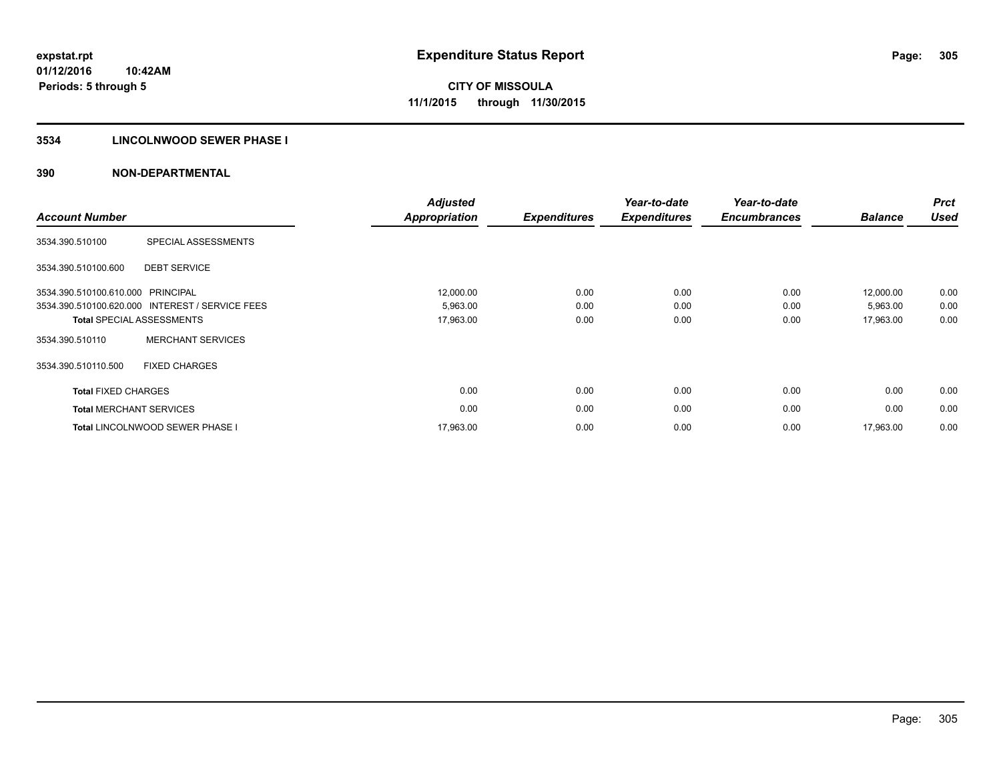## **3534 LINCOLNWOOD SEWER PHASE I**

| <b>Account Number</b>          |                                                 | <b>Adjusted</b><br><b>Appropriation</b> | <b>Expenditures</b> | Year-to-date<br><b>Expenditures</b> | Year-to-date<br><b>Encumbrances</b> | <b>Balance</b> | <b>Prct</b><br><b>Used</b> |
|--------------------------------|-------------------------------------------------|-----------------------------------------|---------------------|-------------------------------------|-------------------------------------|----------------|----------------------------|
| 3534.390.510100                | SPECIAL ASSESSMENTS                             |                                         |                     |                                     |                                     |                |                            |
| 3534.390.510100.600            | <b>DEBT SERVICE</b>                             |                                         |                     |                                     |                                     |                |                            |
| 3534.390.510100.610.000        | <b>PRINCIPAL</b>                                | 12,000.00                               | 0.00                | 0.00                                | 0.00                                | 12.000.00      | 0.00                       |
|                                | 3534.390.510100.620.000 INTEREST / SERVICE FEES | 5,963.00                                | 0.00                | 0.00                                | 0.00                                | 5,963.00       | 0.00                       |
|                                | <b>Total SPECIAL ASSESSMENTS</b>                | 17,963.00                               | 0.00                | 0.00                                | 0.00                                | 17,963.00      | 0.00                       |
| 3534.390.510110                | <b>MERCHANT SERVICES</b>                        |                                         |                     |                                     |                                     |                |                            |
| 3534.390.510110.500            | <b>FIXED CHARGES</b>                            |                                         |                     |                                     |                                     |                |                            |
| <b>Total FIXED CHARGES</b>     |                                                 | 0.00                                    | 0.00                | 0.00                                | 0.00                                | 0.00           | 0.00                       |
| <b>Total MERCHANT SERVICES</b> |                                                 | 0.00                                    | 0.00                | 0.00                                | 0.00                                | 0.00           | 0.00                       |
|                                | <b>Total LINCOLNWOOD SEWER PHASE I</b>          | 17,963.00                               | 0.00                | 0.00                                | 0.00                                | 17,963.00      | 0.00                       |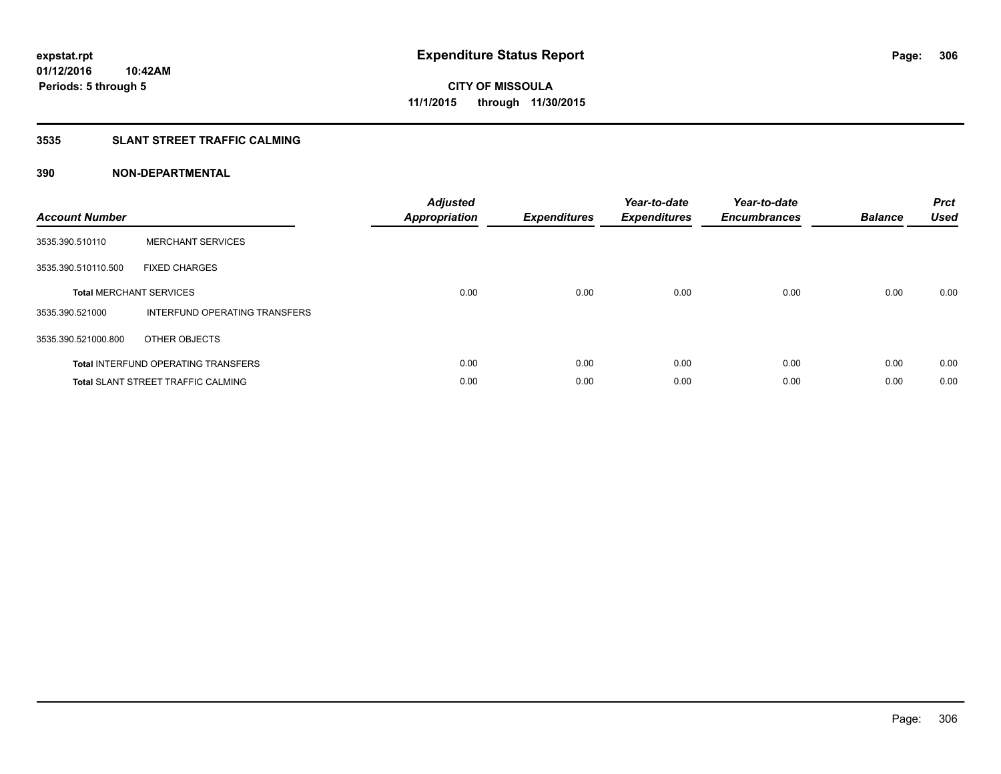## **3535 SLANT STREET TRAFFIC CALMING**

| <b>Account Number</b> |                                            | <b>Adjusted</b><br>Appropriation | <b>Expenditures</b> | Year-to-date<br><b>Expenditures</b> | Year-to-date<br><b>Encumbrances</b> | <b>Balance</b> | <b>Prct</b><br><b>Used</b> |
|-----------------------|--------------------------------------------|----------------------------------|---------------------|-------------------------------------|-------------------------------------|----------------|----------------------------|
| 3535.390.510110       | <b>MERCHANT SERVICES</b>                   |                                  |                     |                                     |                                     |                |                            |
| 3535.390.510110.500   | <b>FIXED CHARGES</b>                       |                                  |                     |                                     |                                     |                |                            |
|                       | <b>Total MERCHANT SERVICES</b>             | 0.00                             | 0.00                | 0.00                                | 0.00                                | 0.00           | 0.00                       |
| 3535.390.521000       | INTERFUND OPERATING TRANSFERS              |                                  |                     |                                     |                                     |                |                            |
| 3535.390.521000.800   | OTHER OBJECTS                              |                                  |                     |                                     |                                     |                |                            |
|                       | <b>Total INTERFUND OPERATING TRANSFERS</b> | 0.00                             | 0.00                | 0.00                                | 0.00                                | 0.00           | 0.00                       |
|                       | <b>Total SLANT STREET TRAFFIC CALMING</b>  | 0.00                             | 0.00                | 0.00                                | 0.00                                | 0.00           | 0.00                       |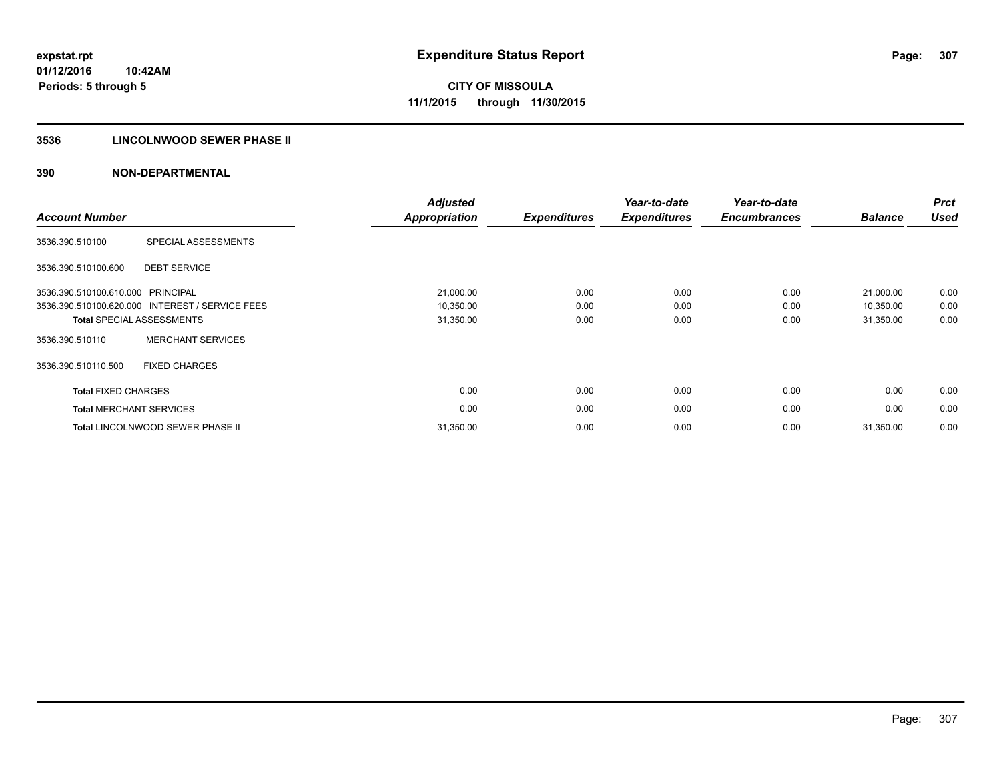## **3536 LINCOLNWOOD SEWER PHASE II**

| <b>Account Number</b>             |                                                 | <b>Adjusted</b><br>Appropriation | <b>Expenditures</b> | Year-to-date<br><b>Expenditures</b> | Year-to-date<br><b>Encumbrances</b> | <b>Balance</b> | <b>Prct</b><br><b>Used</b> |
|-----------------------------------|-------------------------------------------------|----------------------------------|---------------------|-------------------------------------|-------------------------------------|----------------|----------------------------|
| 3536.390.510100                   | SPECIAL ASSESSMENTS                             |                                  |                     |                                     |                                     |                |                            |
| 3536.390.510100.600               | <b>DEBT SERVICE</b>                             |                                  |                     |                                     |                                     |                |                            |
| 3536.390.510100.610.000 PRINCIPAL |                                                 | 21,000.00                        | 0.00                | 0.00                                | 0.00                                | 21,000.00      | 0.00                       |
|                                   | 3536.390.510100.620.000 INTEREST / SERVICE FEES | 10,350.00                        | 0.00                | 0.00                                | 0.00                                | 10,350.00      | 0.00                       |
|                                   | <b>Total SPECIAL ASSESSMENTS</b>                | 31,350.00                        | 0.00                | 0.00                                | 0.00                                | 31,350.00      | 0.00                       |
| 3536.390.510110                   | <b>MERCHANT SERVICES</b>                        |                                  |                     |                                     |                                     |                |                            |
| 3536.390.510110.500               | <b>FIXED CHARGES</b>                            |                                  |                     |                                     |                                     |                |                            |
| <b>Total FIXED CHARGES</b>        |                                                 | 0.00                             | 0.00                | 0.00                                | 0.00                                | 0.00           | 0.00                       |
| <b>Total MERCHANT SERVICES</b>    |                                                 | 0.00                             | 0.00                | 0.00                                | 0.00                                | 0.00           | 0.00                       |
|                                   | Total LINCOLNWOOD SEWER PHASE II                | 31,350.00                        | 0.00                | 0.00                                | 0.00                                | 31,350.00      | 0.00                       |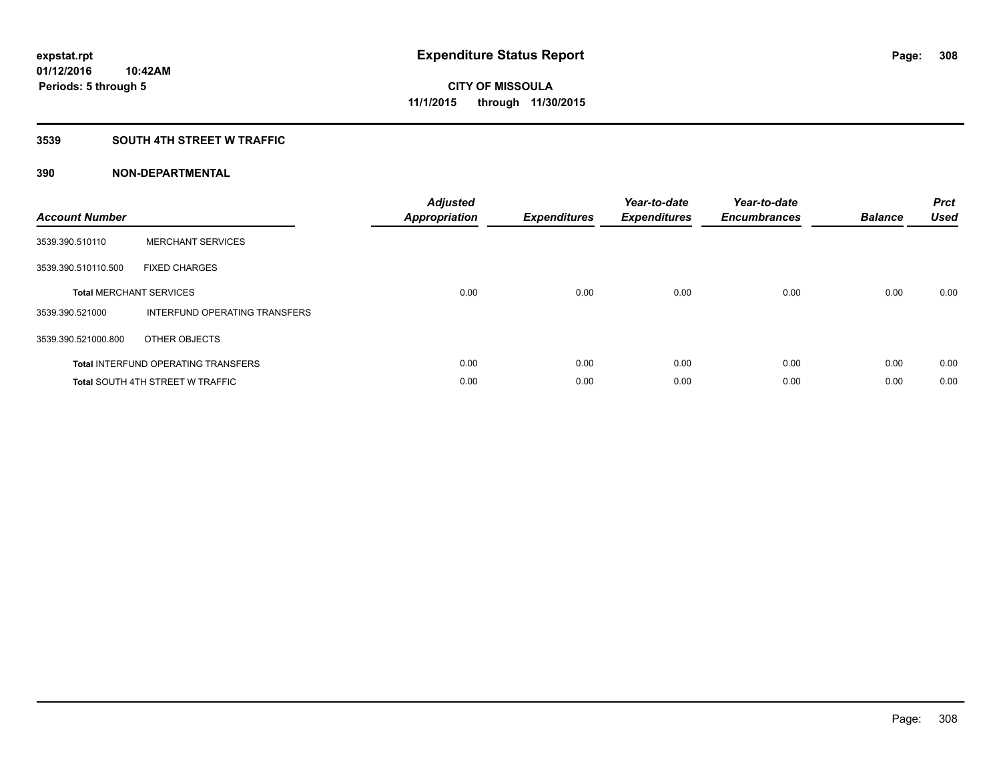## **3539 SOUTH 4TH STREET W TRAFFIC**

| <b>Account Number</b> |                                            | <b>Adjusted</b><br>Appropriation | <b>Expenditures</b> | Year-to-date<br><b>Expenditures</b> | Year-to-date<br><b>Encumbrances</b> | <b>Balance</b> | <b>Prct</b><br><b>Used</b> |
|-----------------------|--------------------------------------------|----------------------------------|---------------------|-------------------------------------|-------------------------------------|----------------|----------------------------|
| 3539.390.510110       | <b>MERCHANT SERVICES</b>                   |                                  |                     |                                     |                                     |                |                            |
| 3539.390.510110.500   | <b>FIXED CHARGES</b>                       |                                  |                     |                                     |                                     |                |                            |
|                       | <b>Total MERCHANT SERVICES</b>             | 0.00                             | 0.00                | 0.00                                | 0.00                                | 0.00           | 0.00                       |
| 3539.390.521000       | INTERFUND OPERATING TRANSFERS              |                                  |                     |                                     |                                     |                |                            |
| 3539.390.521000.800   | OTHER OBJECTS                              |                                  |                     |                                     |                                     |                |                            |
|                       | <b>Total INTERFUND OPERATING TRANSFERS</b> | 0.00                             | 0.00                | 0.00                                | 0.00                                | 0.00           | 0.00                       |
|                       | <b>Total SOUTH 4TH STREET W TRAFFIC</b>    | 0.00                             | 0.00                | 0.00                                | 0.00                                | 0.00           | 0.00                       |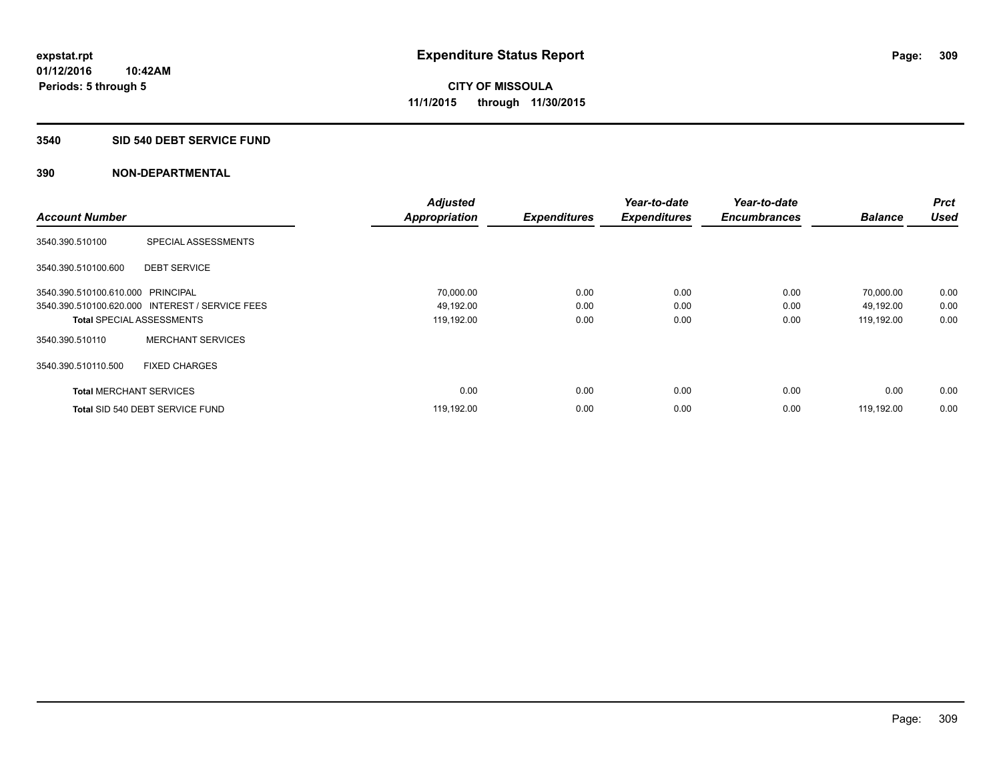#### **3540 SID 540 DEBT SERVICE FUND**

| <b>Account Number</b>             |                                                 | <b>Adjusted</b>      | <b>Expenditures</b> | Year-to-date<br><b>Expenditures</b> | Year-to-date<br><b>Encumbrances</b> | <b>Balance</b> | <b>Prct</b><br><b>Used</b> |
|-----------------------------------|-------------------------------------------------|----------------------|---------------------|-------------------------------------|-------------------------------------|----------------|----------------------------|
|                                   |                                                 | <b>Appropriation</b> |                     |                                     |                                     |                |                            |
| 3540.390.510100                   | SPECIAL ASSESSMENTS                             |                      |                     |                                     |                                     |                |                            |
| 3540.390.510100.600               | <b>DEBT SERVICE</b>                             |                      |                     |                                     |                                     |                |                            |
| 3540.390.510100.610.000 PRINCIPAL |                                                 | 70,000.00            | 0.00                | 0.00                                | 0.00                                | 70,000.00      | 0.00                       |
|                                   | 3540.390.510100.620.000 INTEREST / SERVICE FEES | 49,192.00            | 0.00                | 0.00                                | 0.00                                | 49,192.00      | 0.00                       |
| <b>Total SPECIAL ASSESSMENTS</b>  |                                                 | 119,192.00           | 0.00                | 0.00                                | 0.00                                | 119,192.00     | 0.00                       |
| 3540.390.510110                   | <b>MERCHANT SERVICES</b>                        |                      |                     |                                     |                                     |                |                            |
| 3540.390.510110.500               | <b>FIXED CHARGES</b>                            |                      |                     |                                     |                                     |                |                            |
| <b>Total MERCHANT SERVICES</b>    |                                                 | 0.00                 | 0.00                | 0.00                                | 0.00                                | 0.00           | 0.00                       |
|                                   | Total SID 540 DEBT SERVICE FUND                 | 119,192.00           | 0.00                | 0.00                                | 0.00                                | 119.192.00     | 0.00                       |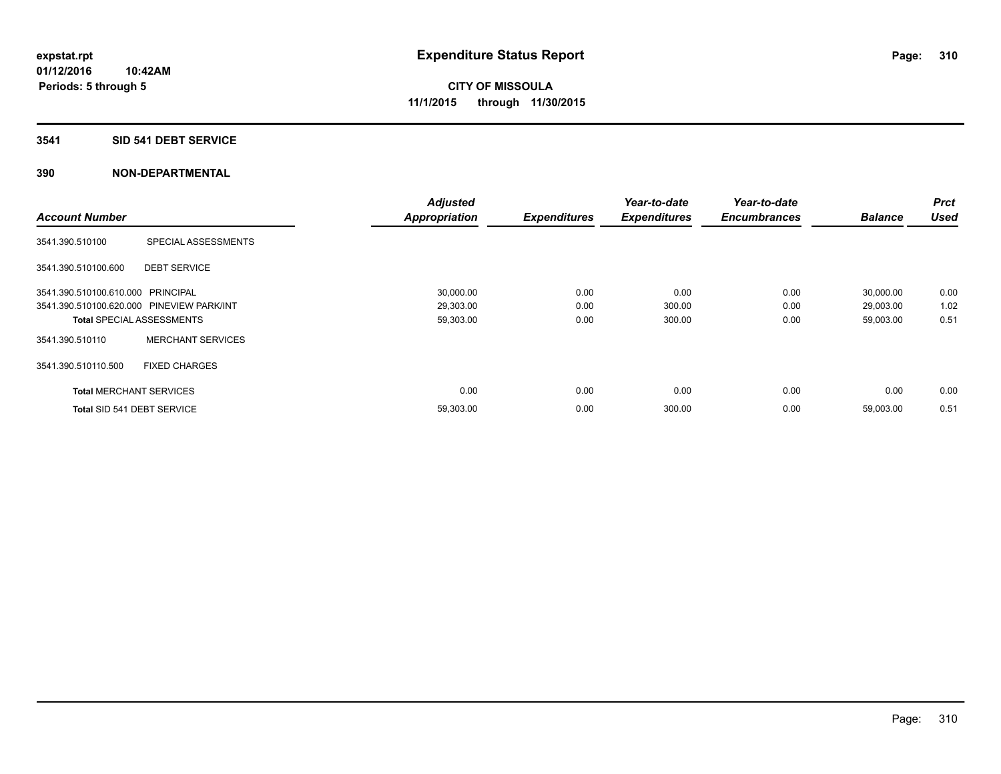#### **3541 SID 541 DEBT SERVICE**

|                                           |                          | <b>Adjusted</b>      |                     | Year-to-date        | Year-to-date        |                | Prct        |
|-------------------------------------------|--------------------------|----------------------|---------------------|---------------------|---------------------|----------------|-------------|
| <b>Account Number</b>                     |                          | <b>Appropriation</b> | <b>Expenditures</b> | <b>Expenditures</b> | <b>Encumbrances</b> | <b>Balance</b> | <b>Used</b> |
| 3541.390.510100                           | SPECIAL ASSESSMENTS      |                      |                     |                     |                     |                |             |
| 3541.390.510100.600                       | <b>DEBT SERVICE</b>      |                      |                     |                     |                     |                |             |
| 3541.390.510100.610.000 PRINCIPAL         |                          | 30,000.00            | 0.00                | 0.00                | 0.00                | 30,000.00      | 0.00        |
| 3541.390.510100.620.000 PINEVIEW PARK/INT |                          | 29,303.00            | 0.00                | 300.00              | 0.00                | 29,003.00      | 1.02        |
| <b>Total SPECIAL ASSESSMENTS</b>          |                          | 59,303.00            | 0.00                | 300.00              | 0.00                | 59,003.00      | 0.51        |
| 3541.390.510110                           | <b>MERCHANT SERVICES</b> |                      |                     |                     |                     |                |             |
| 3541.390.510110.500                       | <b>FIXED CHARGES</b>     |                      |                     |                     |                     |                |             |
| <b>Total MERCHANT SERVICES</b>            |                          | 0.00                 | 0.00                | 0.00                | 0.00                | 0.00           | 0.00        |
| Total SID 541 DEBT SERVICE                |                          | 59,303.00            | 0.00                | 300.00              | 0.00                | 59,003.00      | 0.51        |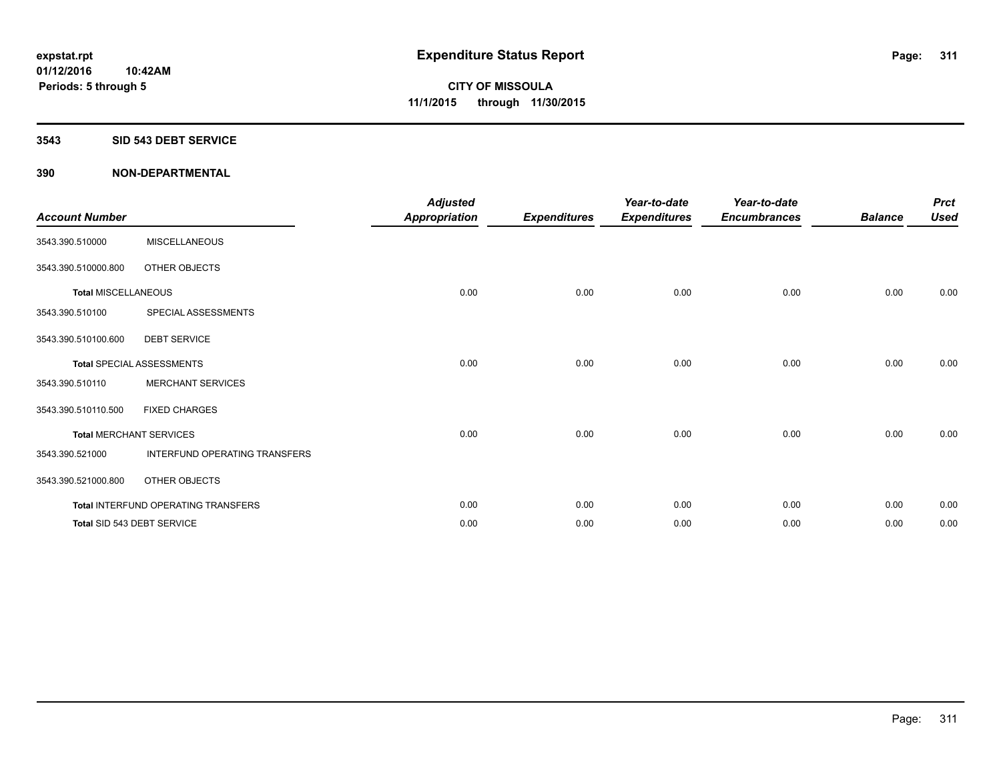#### **3543 SID 543 DEBT SERVICE**

| <b>Account Number</b>      |                                     | <b>Adjusted</b><br><b>Appropriation</b> | <b>Expenditures</b> | Year-to-date<br><b>Expenditures</b> | Year-to-date<br><b>Encumbrances</b> | <b>Balance</b> | <b>Prct</b><br><b>Used</b> |
|----------------------------|-------------------------------------|-----------------------------------------|---------------------|-------------------------------------|-------------------------------------|----------------|----------------------------|
| 3543.390.510000            | <b>MISCELLANEOUS</b>                |                                         |                     |                                     |                                     |                |                            |
| 3543.390.510000.800        | OTHER OBJECTS                       |                                         |                     |                                     |                                     |                |                            |
| <b>Total MISCELLANEOUS</b> |                                     | 0.00                                    | 0.00                | 0.00                                | 0.00                                | 0.00           | 0.00                       |
| 3543.390.510100            | SPECIAL ASSESSMENTS                 |                                         |                     |                                     |                                     |                |                            |
| 3543.390.510100.600        | <b>DEBT SERVICE</b>                 |                                         |                     |                                     |                                     |                |                            |
|                            | <b>Total SPECIAL ASSESSMENTS</b>    | 0.00                                    | 0.00                | 0.00                                | 0.00                                | 0.00           | 0.00                       |
| 3543.390.510110            | <b>MERCHANT SERVICES</b>            |                                         |                     |                                     |                                     |                |                            |
| 3543.390.510110.500        | <b>FIXED CHARGES</b>                |                                         |                     |                                     |                                     |                |                            |
|                            | <b>Total MERCHANT SERVICES</b>      | 0.00                                    | 0.00                | 0.00                                | 0.00                                | 0.00           | 0.00                       |
| 3543.390.521000            | INTERFUND OPERATING TRANSFERS       |                                         |                     |                                     |                                     |                |                            |
| 3543.390.521000.800        | OTHER OBJECTS                       |                                         |                     |                                     |                                     |                |                            |
|                            | Total INTERFUND OPERATING TRANSFERS | 0.00                                    | 0.00                | 0.00                                | 0.00                                | 0.00           | 0.00                       |
|                            | Total SID 543 DEBT SERVICE          | 0.00                                    | 0.00                | 0.00                                | 0.00                                | 0.00           | 0.00                       |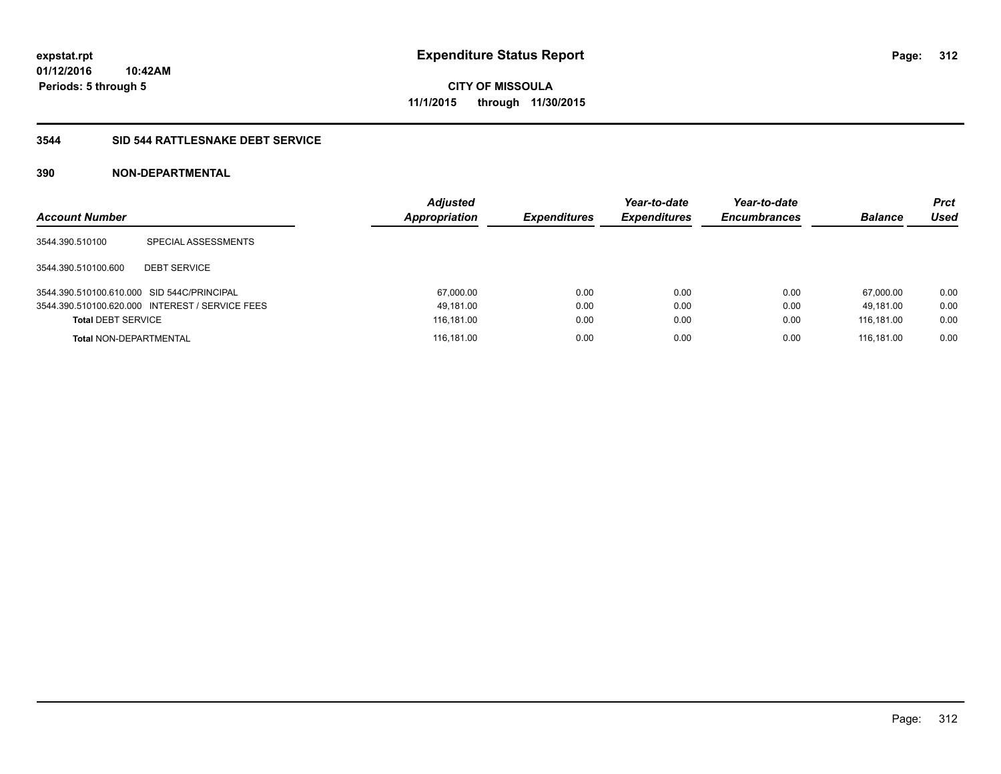**Periods: 5 through 5**

**CITY OF MISSOULA 11/1/2015 through 11/30/2015**

## **3544 SID 544 RATTLESNAKE DEBT SERVICE**

| <b>Account Number</b>                      |                                                 | <b>Adjusted</b><br>Appropriation | <b>Expenditures</b> | Year-to-date<br><b>Expenditures</b> | Year-to-date<br><b>Encumbrances</b> | <b>Balance</b> | <b>Prct</b><br>Used |
|--------------------------------------------|-------------------------------------------------|----------------------------------|---------------------|-------------------------------------|-------------------------------------|----------------|---------------------|
| 3544.390.510100                            | SPECIAL ASSESSMENTS                             |                                  |                     |                                     |                                     |                |                     |
| 3544.390.510100.600                        | <b>DEBT SERVICE</b>                             |                                  |                     |                                     |                                     |                |                     |
| 3544.390.510100.610.000 SID 544C/PRINCIPAL |                                                 | 67,000.00                        | 0.00                | 0.00                                | 0.00                                | 67.000.00      | 0.00                |
|                                            | 3544.390.510100.620.000 INTEREST / SERVICE FEES | 49,181.00                        | 0.00                | 0.00                                | 0.00                                | 49.181.00      | 0.00                |
| <b>Total DEBT SERVICE</b>                  |                                                 | 116,181.00                       | 0.00                | 0.00                                | 0.00                                | 116.181.00     | 0.00                |
| <b>Total NON-DEPARTMENTAL</b>              |                                                 | 116,181.00                       | 0.00                | 0.00                                | 0.00                                | 116.181.00     | 0.00                |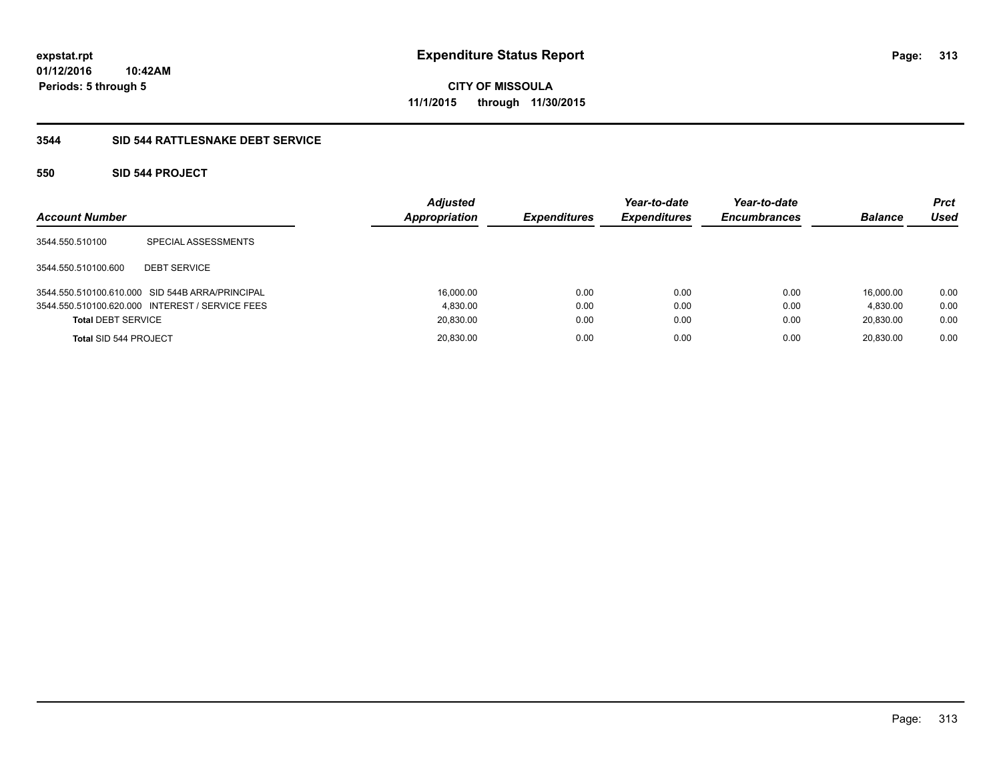**01/12/2016 10:42AM Periods: 5 through 5**

# **CITY OF MISSOULA 11/1/2015 through 11/30/2015**

## **3544 SID 544 RATTLESNAKE DEBT SERVICE**

## **550 SID 544 PROJECT**

| <b>Account Number</b>     |                                                 | <b>Adjusted</b><br>Appropriation | <b>Expenditures</b> | Year-to-date<br><b>Expenditures</b> | Year-to-date<br><b>Encumbrances</b> | <b>Balance</b> | <b>Prct</b><br>Used |
|---------------------------|-------------------------------------------------|----------------------------------|---------------------|-------------------------------------|-------------------------------------|----------------|---------------------|
| 3544.550.510100           | SPECIAL ASSESSMENTS                             |                                  |                     |                                     |                                     |                |                     |
| 3544.550.510100.600       | <b>DEBT SERVICE</b>                             |                                  |                     |                                     |                                     |                |                     |
|                           | 3544.550.510100.610.000 SID 544B ARRA/PRINCIPAL | 16,000.00                        | 0.00                | 0.00                                | 0.00                                | 16.000.00      | 0.00                |
|                           | 3544.550.510100.620.000 INTEREST / SERVICE FEES | 4.830.00                         | 0.00                | 0.00                                | 0.00                                | 4.830.00       | 0.00                |
| <b>Total DEBT SERVICE</b> |                                                 | 20,830.00                        | 0.00                | 0.00                                | 0.00                                | 20,830.00      | 0.00                |
| Total SID 544 PROJECT     |                                                 | 20,830.00                        | 0.00                | 0.00                                | 0.00                                | 20.830.00      | 0.00                |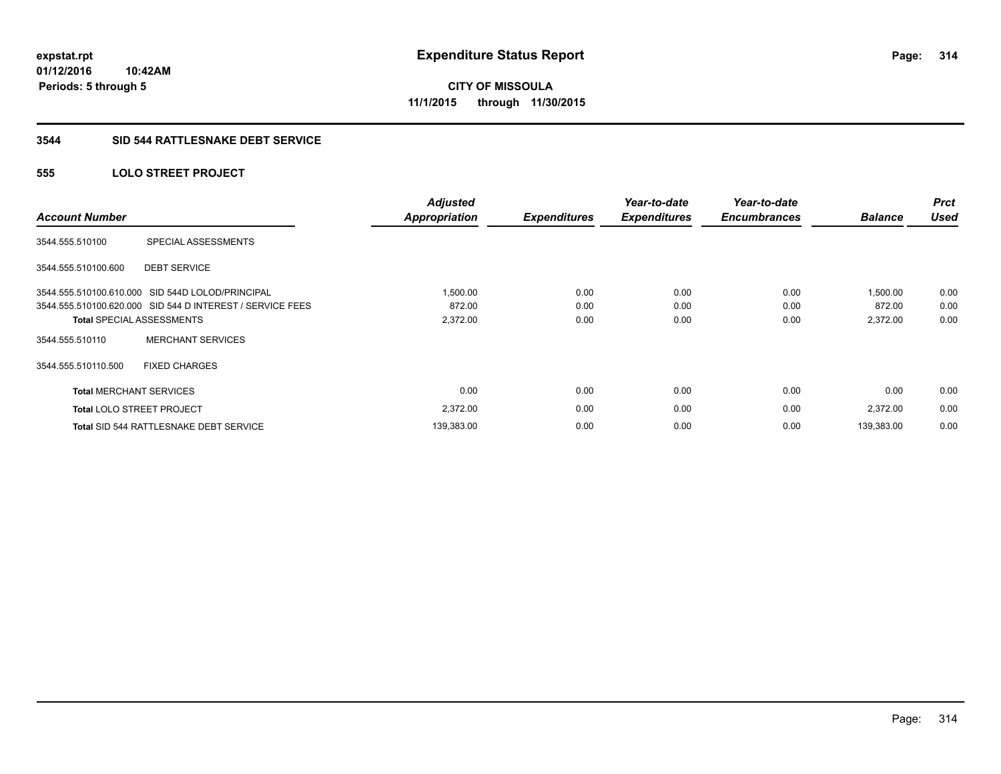**01/12/2016 10:42AM Periods: 5 through 5**

# **CITY OF MISSOULA 11/1/2015 through 11/30/2015**

#### **3544 SID 544 RATTLESNAKE DEBT SERVICE**

## **555 LOLO STREET PROJECT**

| <b>Account Number</b>            |                                                           | <b>Adjusted</b><br><b>Appropriation</b> | <b>Expenditures</b> | Year-to-date<br><b>Expenditures</b> | Year-to-date<br><b>Encumbrances</b> | <b>Balance</b> | <b>Prct</b><br><b>Used</b> |
|----------------------------------|-----------------------------------------------------------|-----------------------------------------|---------------------|-------------------------------------|-------------------------------------|----------------|----------------------------|
| 3544.555.510100                  | SPECIAL ASSESSMENTS                                       |                                         |                     |                                     |                                     |                |                            |
| 3544.555.510100.600              | <b>DEBT SERVICE</b>                                       |                                         |                     |                                     |                                     |                |                            |
|                                  | 3544.555.510100.610.000 SID 544D LOLOD/PRINCIPAL          | 1,500.00                                | 0.00                | 0.00                                | 0.00                                | 1,500.00       | 0.00                       |
|                                  | 3544.555.510100.620.000 SID 544 D INTEREST / SERVICE FEES | 872.00                                  | 0.00                | 0.00                                | 0.00                                | 872.00         | 0.00                       |
| <b>Total SPECIAL ASSESSMENTS</b> |                                                           | 2,372.00                                | 0.00                | 0.00                                | 0.00                                | 2,372.00       | 0.00                       |
| 3544.555.510110                  | <b>MERCHANT SERVICES</b>                                  |                                         |                     |                                     |                                     |                |                            |
| 3544.555.510110.500              | <b>FIXED CHARGES</b>                                      |                                         |                     |                                     |                                     |                |                            |
| <b>Total MERCHANT SERVICES</b>   |                                                           | 0.00                                    | 0.00                | 0.00                                | 0.00                                | 0.00           | 0.00                       |
| <b>Total LOLO STREET PROJECT</b> |                                                           | 2,372.00                                | 0.00                | 0.00                                | 0.00                                | 2,372.00       | 0.00                       |
|                                  | <b>Total SID 544 RATTLESNAKE DEBT SERVICE</b>             | 139,383.00                              | 0.00                | 0.00                                | 0.00                                | 139,383.00     | 0.00                       |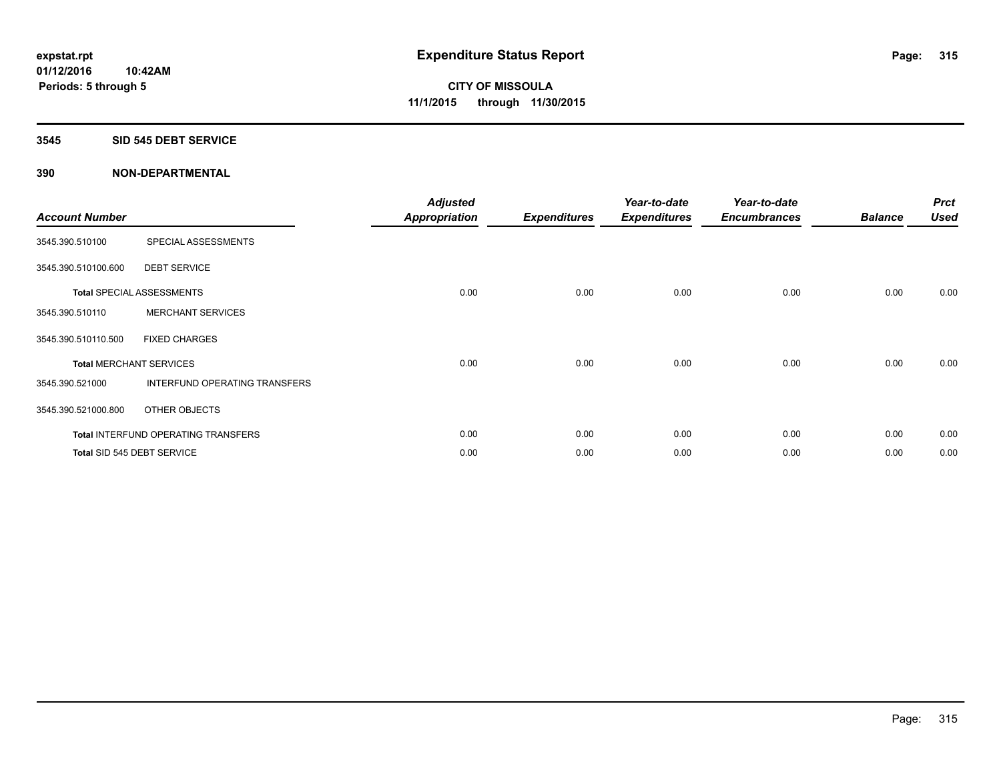#### **3545 SID 545 DEBT SERVICE**

| <b>Account Number</b>          |                                            | <b>Adjusted</b><br>Appropriation | <b>Expenditures</b> | Year-to-date<br><b>Expenditures</b> | Year-to-date<br><b>Encumbrances</b> | <b>Balance</b> | <b>Prct</b><br><b>Used</b> |
|--------------------------------|--------------------------------------------|----------------------------------|---------------------|-------------------------------------|-------------------------------------|----------------|----------------------------|
| 3545.390.510100                | SPECIAL ASSESSMENTS                        |                                  |                     |                                     |                                     |                |                            |
| 3545.390.510100.600            | <b>DEBT SERVICE</b>                        |                                  |                     |                                     |                                     |                |                            |
|                                | <b>Total SPECIAL ASSESSMENTS</b>           | 0.00                             | 0.00                | 0.00                                | 0.00                                | 0.00           | 0.00                       |
| 3545.390.510110                | <b>MERCHANT SERVICES</b>                   |                                  |                     |                                     |                                     |                |                            |
| 3545.390.510110.500            | <b>FIXED CHARGES</b>                       |                                  |                     |                                     |                                     |                |                            |
| <b>Total MERCHANT SERVICES</b> |                                            | 0.00                             | 0.00                | 0.00                                | 0.00                                | 0.00           | 0.00                       |
| 3545.390.521000                | INTERFUND OPERATING TRANSFERS              |                                  |                     |                                     |                                     |                |                            |
| 3545.390.521000.800            | OTHER OBJECTS                              |                                  |                     |                                     |                                     |                |                            |
|                                | <b>Total INTERFUND OPERATING TRANSFERS</b> | 0.00                             | 0.00                | 0.00                                | 0.00                                | 0.00           | 0.00                       |
|                                | Total SID 545 DEBT SERVICE                 | 0.00                             | 0.00                | 0.00                                | 0.00                                | 0.00           | 0.00                       |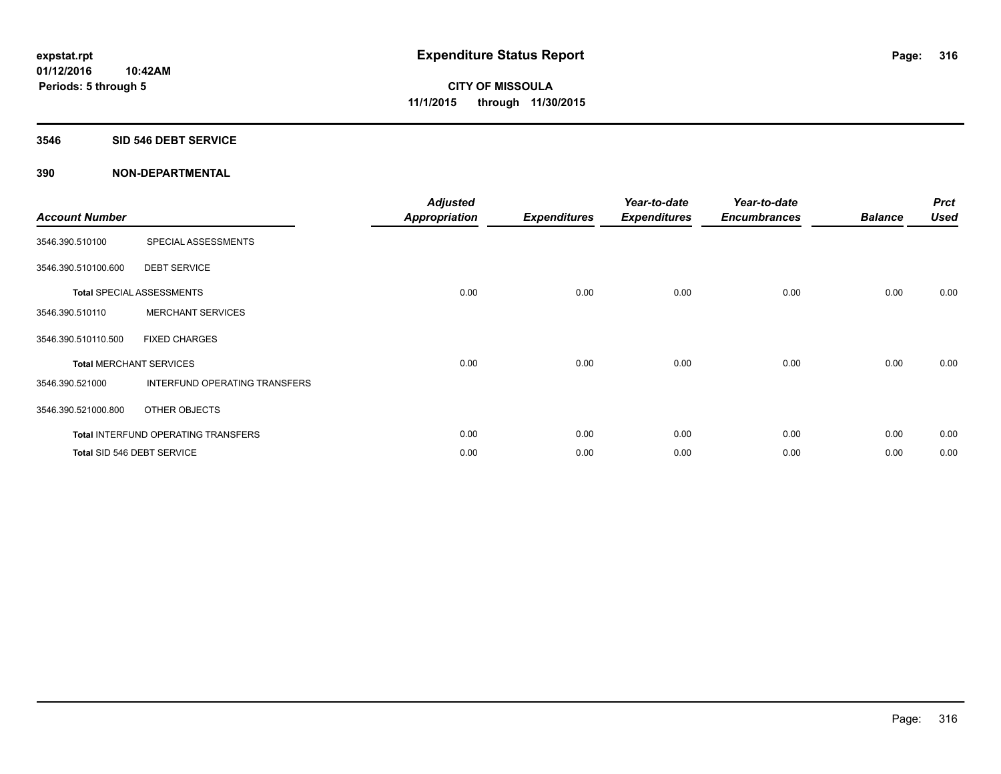#### **3546 SID 546 DEBT SERVICE**

| <b>Account Number</b> |                                            | <b>Adjusted</b><br>Appropriation | <b>Expenditures</b> | Year-to-date<br><b>Expenditures</b> | Year-to-date<br><b>Encumbrances</b> | <b>Balance</b> | <b>Prct</b><br><b>Used</b> |
|-----------------------|--------------------------------------------|----------------------------------|---------------------|-------------------------------------|-------------------------------------|----------------|----------------------------|
| 3546.390.510100       | SPECIAL ASSESSMENTS                        |                                  |                     |                                     |                                     |                |                            |
| 3546.390.510100.600   | <b>DEBT SERVICE</b>                        |                                  |                     |                                     |                                     |                |                            |
|                       | <b>Total SPECIAL ASSESSMENTS</b>           | 0.00                             | 0.00                | 0.00                                | 0.00                                | 0.00           | 0.00                       |
| 3546.390.510110       | <b>MERCHANT SERVICES</b>                   |                                  |                     |                                     |                                     |                |                            |
| 3546.390.510110.500   | <b>FIXED CHARGES</b>                       |                                  |                     |                                     |                                     |                |                            |
|                       | <b>Total MERCHANT SERVICES</b>             | 0.00                             | 0.00                | 0.00                                | 0.00                                | 0.00           | 0.00                       |
| 3546.390.521000       | INTERFUND OPERATING TRANSFERS              |                                  |                     |                                     |                                     |                |                            |
| 3546.390.521000.800   | OTHER OBJECTS                              |                                  |                     |                                     |                                     |                |                            |
|                       | <b>Total INTERFUND OPERATING TRANSFERS</b> | 0.00                             | 0.00                | 0.00                                | 0.00                                | 0.00           | 0.00                       |
|                       | Total SID 546 DEBT SERVICE                 | 0.00                             | 0.00                | 0.00                                | 0.00                                | 0.00           | 0.00                       |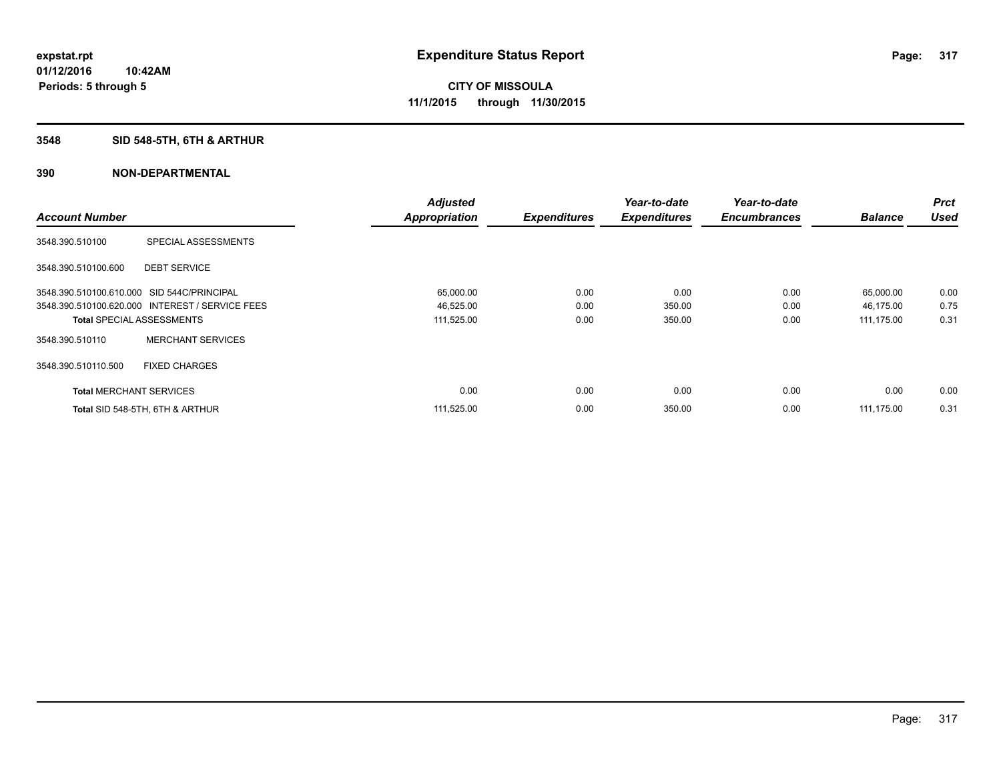## **3548 SID 548-5TH, 6TH & ARTHUR**

|                                            |                                                 | <b>Adjusted</b>      |                     | Year-to-date        | Year-to-date        |                | <b>Prct</b> |
|--------------------------------------------|-------------------------------------------------|----------------------|---------------------|---------------------|---------------------|----------------|-------------|
| <b>Account Number</b>                      |                                                 | <b>Appropriation</b> | <b>Expenditures</b> | <b>Expenditures</b> | <b>Encumbrances</b> | <b>Balance</b> | <b>Used</b> |
| 3548.390.510100                            | SPECIAL ASSESSMENTS                             |                      |                     |                     |                     |                |             |
| 3548.390.510100.600                        | <b>DEBT SERVICE</b>                             |                      |                     |                     |                     |                |             |
| 3548.390.510100.610.000 SID 544C/PRINCIPAL |                                                 | 65,000.00            | 0.00                | 0.00                | 0.00                | 65,000.00      | 0.00        |
|                                            | 3548.390.510100.620.000 INTEREST / SERVICE FEES | 46,525.00            | 0.00                | 350.00              | 0.00                | 46,175.00      | 0.75        |
| <b>Total SPECIAL ASSESSMENTS</b>           |                                                 | 111,525.00           | 0.00                | 350.00              | 0.00                | 111,175.00     | 0.31        |
| 3548.390.510110                            | <b>MERCHANT SERVICES</b>                        |                      |                     |                     |                     |                |             |
| 3548.390.510110.500                        | <b>FIXED CHARGES</b>                            |                      |                     |                     |                     |                |             |
| <b>Total MERCHANT SERVICES</b>             |                                                 | 0.00                 | 0.00                | 0.00                | 0.00                | 0.00           | 0.00        |
|                                            | Total SID 548-5TH, 6TH & ARTHUR                 | 111,525.00           | 0.00                | 350.00              | 0.00                | 111.175.00     | 0.31        |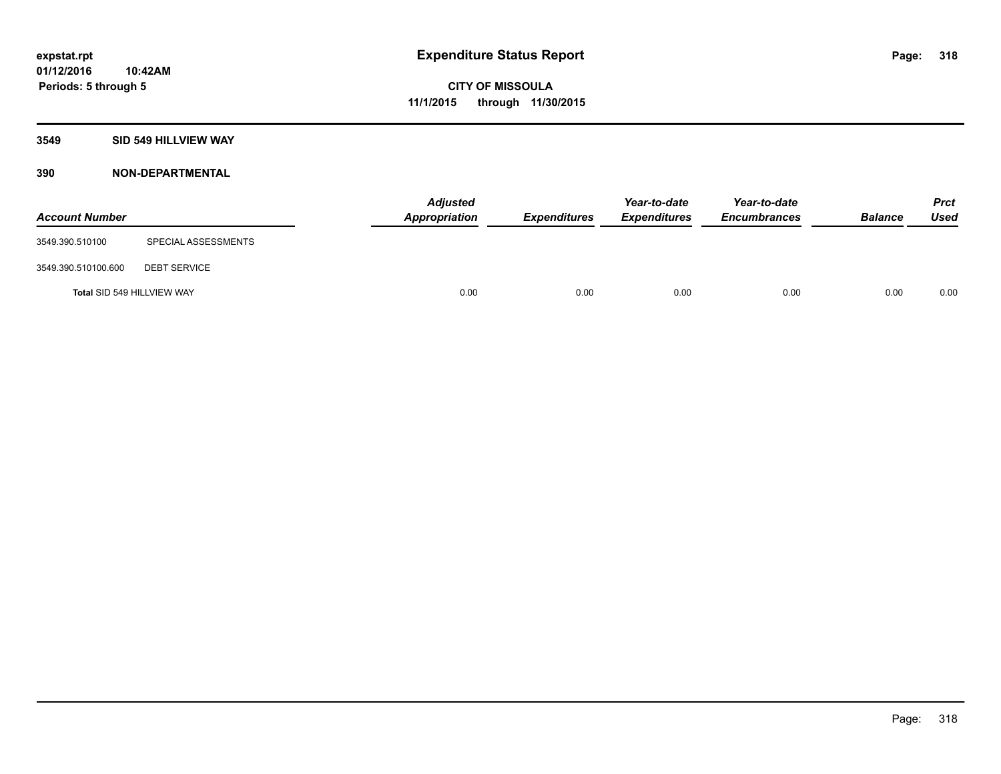## **3549 SID 549 HILLVIEW WAY**

| <b>Account Number</b>      |                     | <b>Adjusted</b><br>Appropriation | <b>Expenditures</b> | Year-to-date<br><b>Expenditures</b> | Year-to-date<br><b>Encumbrances</b> | <b>Balance</b> | <b>Prct</b><br>Used |
|----------------------------|---------------------|----------------------------------|---------------------|-------------------------------------|-------------------------------------|----------------|---------------------|
| 3549.390.510100            | SPECIAL ASSESSMENTS |                                  |                     |                                     |                                     |                |                     |
| 3549.390.510100.600        | <b>DEBT SERVICE</b> |                                  |                     |                                     |                                     |                |                     |
| Total SID 549 HILLVIEW WAY |                     | 0.00                             | 0.00                | 0.00                                | 0.00                                | 0.00           | 0.00                |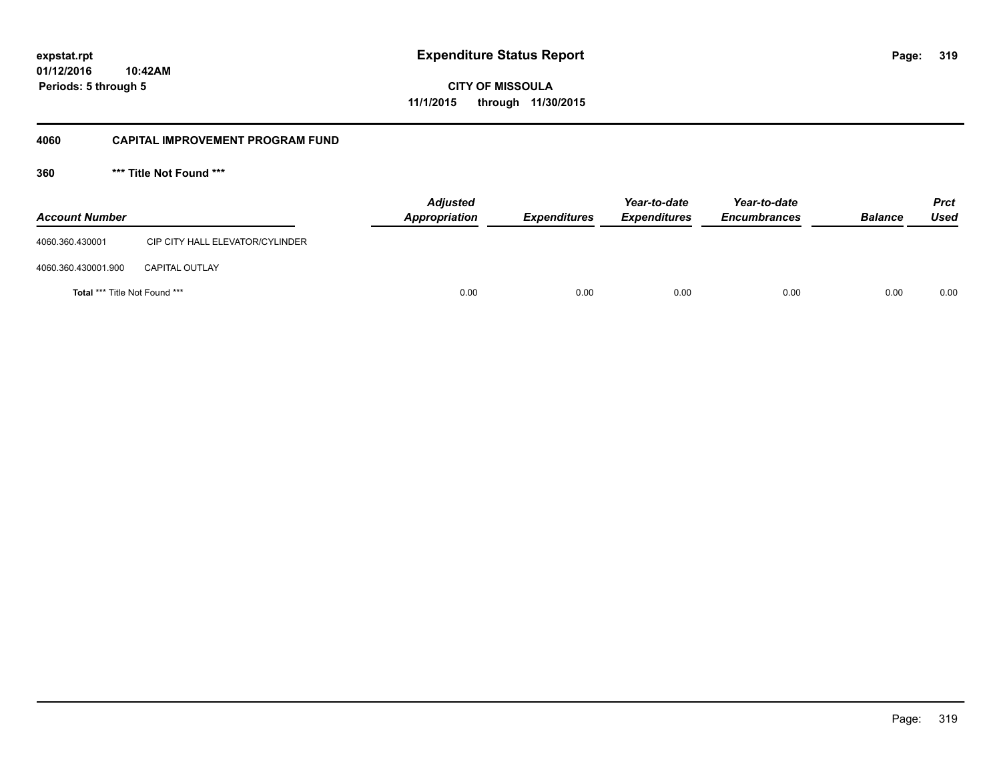**01/12/2016 10:42AM Periods: 5 through 5**

**319**

**CITY OF MISSOULA 11/1/2015 through 11/30/2015**

#### **4060 CAPITAL IMPROVEMENT PROGRAM FUND**

**360 \*\*\* Title Not Found \*\*\***

| <b>Account Number</b>                |                                 | <b>Adjusted</b><br>Appropriation | <b>Expenditures</b> | Year-to-date<br><b>Expenditures</b> | Year-to-date<br><b>Encumbrances</b> | <b>Balance</b> | <b>Prct</b><br>Used |
|--------------------------------------|---------------------------------|----------------------------------|---------------------|-------------------------------------|-------------------------------------|----------------|---------------------|
| 4060.360.430001                      | CIP CITY HALL ELEVATOR/CYLINDER |                                  |                     |                                     |                                     |                |                     |
| 4060.360.430001.900                  | <b>CAPITAL OUTLAY</b>           |                                  |                     |                                     |                                     |                |                     |
| <b>Total *** Title Not Found ***</b> |                                 | 0.00                             | 0.00                | 0.00                                | 0.00                                | 0.00           | 0.00                |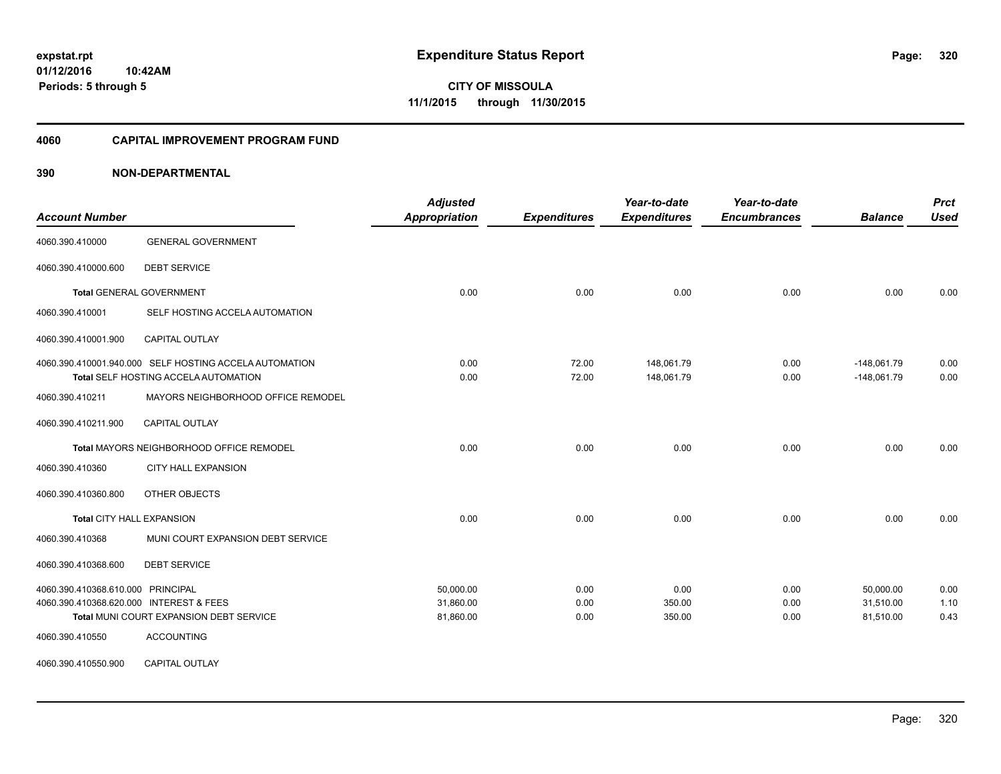**Periods: 5 through 5**

**CITY OF MISSOULA 11/1/2015 through 11/30/2015**

#### **4060 CAPITAL IMPROVEMENT PROGRAM FUND**

| <b>Account Number</b>                   |                                                                                                | <b>Adjusted</b><br><b>Appropriation</b> | <b>Expenditures</b> | Year-to-date<br><b>Expenditures</b> | Year-to-date<br><b>Encumbrances</b> | <b>Balance</b>                 | <b>Prct</b><br><b>Used</b> |
|-----------------------------------------|------------------------------------------------------------------------------------------------|-----------------------------------------|---------------------|-------------------------------------|-------------------------------------|--------------------------------|----------------------------|
| 4060.390.410000                         | <b>GENERAL GOVERNMENT</b>                                                                      |                                         |                     |                                     |                                     |                                |                            |
| 4060.390.410000.600                     | <b>DEBT SERVICE</b>                                                                            |                                         |                     |                                     |                                     |                                |                            |
|                                         | <b>Total GENERAL GOVERNMENT</b>                                                                | 0.00                                    | 0.00                | 0.00                                | 0.00                                | 0.00                           | 0.00                       |
| 4060.390.410001                         | SELF HOSTING ACCELA AUTOMATION                                                                 |                                         |                     |                                     |                                     |                                |                            |
| 4060.390.410001.900                     | CAPITAL OUTLAY                                                                                 |                                         |                     |                                     |                                     |                                |                            |
|                                         | 4060.390.410001.940.000 SELF HOSTING ACCELA AUTOMATION<br>Total SELF HOSTING ACCELA AUTOMATION | 0.00<br>0.00                            | 72.00<br>72.00      | 148,061.79<br>148,061.79            | 0.00<br>0.00                        | $-148,061.79$<br>$-148,061.79$ | 0.00<br>0.00               |
| 4060.390.410211                         | MAYORS NEIGHBORHOOD OFFICE REMODEL                                                             |                                         |                     |                                     |                                     |                                |                            |
| 4060.390.410211.900                     | <b>CAPITAL OUTLAY</b>                                                                          |                                         |                     |                                     |                                     |                                |                            |
|                                         | Total MAYORS NEIGHBORHOOD OFFICE REMODEL                                                       | 0.00                                    | 0.00                | 0.00                                | 0.00                                | 0.00                           | 0.00                       |
| 4060.390.410360                         | <b>CITY HALL EXPANSION</b>                                                                     |                                         |                     |                                     |                                     |                                |                            |
| 4060.390.410360.800                     | OTHER OBJECTS                                                                                  |                                         |                     |                                     |                                     |                                |                            |
|                                         | <b>Total CITY HALL EXPANSION</b>                                                               | 0.00                                    | 0.00                | 0.00                                | 0.00                                | 0.00                           | 0.00                       |
| 4060.390.410368                         | MUNI COURT EXPANSION DEBT SERVICE                                                              |                                         |                     |                                     |                                     |                                |                            |
| 4060.390.410368.600                     | <b>DEBT SERVICE</b>                                                                            |                                         |                     |                                     |                                     |                                |                            |
| 4060.390.410368.610.000 PRINCIPAL       |                                                                                                | 50.000.00                               | 0.00                | 0.00                                | 0.00                                | 50.000.00                      | 0.00                       |
| 4060.390.410368.620.000 INTEREST & FEES |                                                                                                | 31,860.00                               | 0.00                | 350.00                              | 0.00                                | 31,510.00                      | 1.10                       |
|                                         | Total MUNI COURT EXPANSION DEBT SERVICE                                                        | 81,860.00                               | 0.00                | 350.00                              | 0.00                                | 81,510.00                      | 0.43                       |
| 4060.390.410550                         | <b>ACCOUNTING</b>                                                                              |                                         |                     |                                     |                                     |                                |                            |
| 4060.390.410550.900                     | CAPITAL OUTLAY                                                                                 |                                         |                     |                                     |                                     |                                |                            |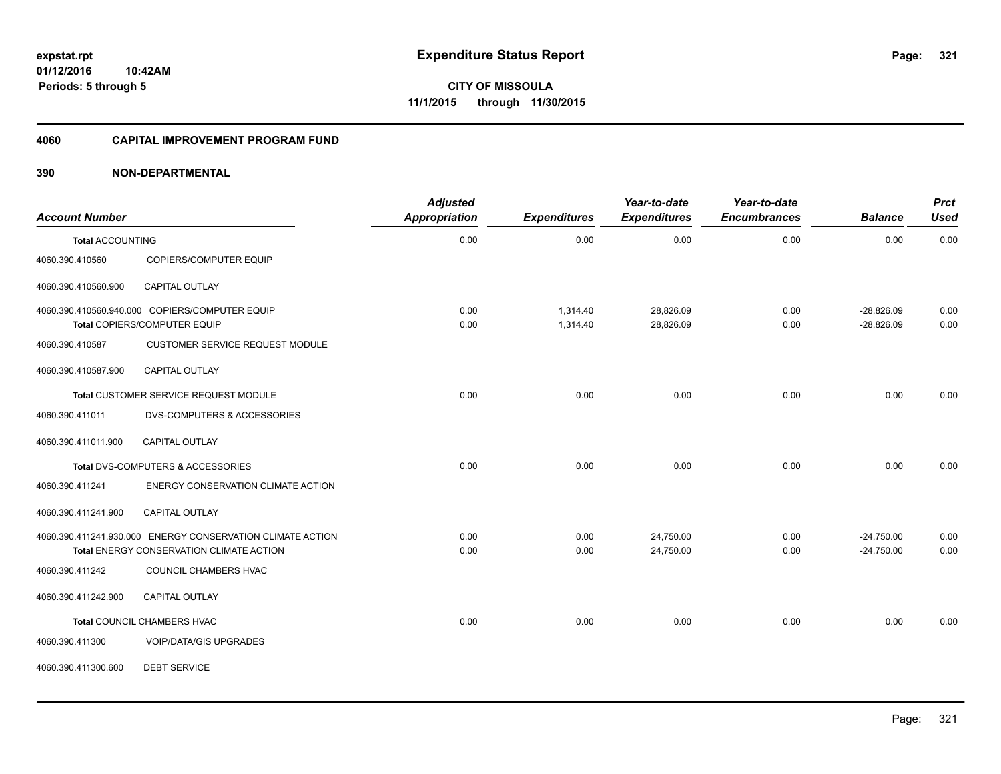#### **4060 CAPITAL IMPROVEMENT PROGRAM FUND**

| <b>Account Number</b>   |                                                            | <b>Adjusted</b><br>Appropriation | <b>Expenditures</b> | Year-to-date<br><b>Expenditures</b> | Year-to-date<br><b>Encumbrances</b> | <b>Balance</b> | <b>Prct</b><br><b>Used</b> |
|-------------------------|------------------------------------------------------------|----------------------------------|---------------------|-------------------------------------|-------------------------------------|----------------|----------------------------|
| <b>Total ACCOUNTING</b> |                                                            | 0.00                             | 0.00                | 0.00                                | 0.00                                | 0.00           | 0.00                       |
| 4060.390.410560         | COPIERS/COMPUTER EQUIP                                     |                                  |                     |                                     |                                     |                |                            |
| 4060.390.410560.900     | <b>CAPITAL OUTLAY</b>                                      |                                  |                     |                                     |                                     |                |                            |
|                         | 4060.390.410560.940.000 COPIERS/COMPUTER EQUIP             | 0.00                             | 1,314.40            | 28,826.09                           | 0.00                                | $-28,826.09$   | 0.00                       |
|                         | Total COPIERS/COMPUTER EQUIP                               | 0.00                             | 1,314.40            | 28,826.09                           | 0.00                                | $-28,826.09$   | 0.00                       |
| 4060.390.410587         | <b>CUSTOMER SERVICE REQUEST MODULE</b>                     |                                  |                     |                                     |                                     |                |                            |
| 4060.390.410587.900     | <b>CAPITAL OUTLAY</b>                                      |                                  |                     |                                     |                                     |                |                            |
|                         | Total CUSTOMER SERVICE REQUEST MODULE                      | 0.00                             | 0.00                | 0.00                                | 0.00                                | 0.00           | 0.00                       |
| 4060.390.411011         | DVS-COMPUTERS & ACCESSORIES                                |                                  |                     |                                     |                                     |                |                            |
| 4060.390.411011.900     | <b>CAPITAL OUTLAY</b>                                      |                                  |                     |                                     |                                     |                |                            |
|                         | Total DVS-COMPUTERS & ACCESSORIES                          | 0.00                             | 0.00                | 0.00                                | 0.00                                | 0.00           | 0.00                       |
| 4060.390.411241         | ENERGY CONSERVATION CLIMATE ACTION                         |                                  |                     |                                     |                                     |                |                            |
| 4060.390.411241.900     | CAPITAL OUTLAY                                             |                                  |                     |                                     |                                     |                |                            |
|                         | 4060.390.411241.930.000 ENERGY CONSERVATION CLIMATE ACTION | 0.00                             | 0.00                | 24,750.00                           | 0.00                                | $-24,750.00$   | 0.00                       |
|                         | Total ENERGY CONSERVATION CLIMATE ACTION                   | 0.00                             | 0.00                | 24,750.00                           | 0.00                                | $-24,750.00$   | 0.00                       |
| 4060.390.411242         | COUNCIL CHAMBERS HVAC                                      |                                  |                     |                                     |                                     |                |                            |
| 4060.390.411242.900     | CAPITAL OUTLAY                                             |                                  |                     |                                     |                                     |                |                            |
|                         | Total COUNCIL CHAMBERS HVAC                                | 0.00                             | 0.00                | 0.00                                | 0.00                                | 0.00           | 0.00                       |
| 4060.390.411300         | <b>VOIP/DATA/GIS UPGRADES</b>                              |                                  |                     |                                     |                                     |                |                            |
| 4060.390.411300.600     | <b>DEBT SERVICE</b>                                        |                                  |                     |                                     |                                     |                |                            |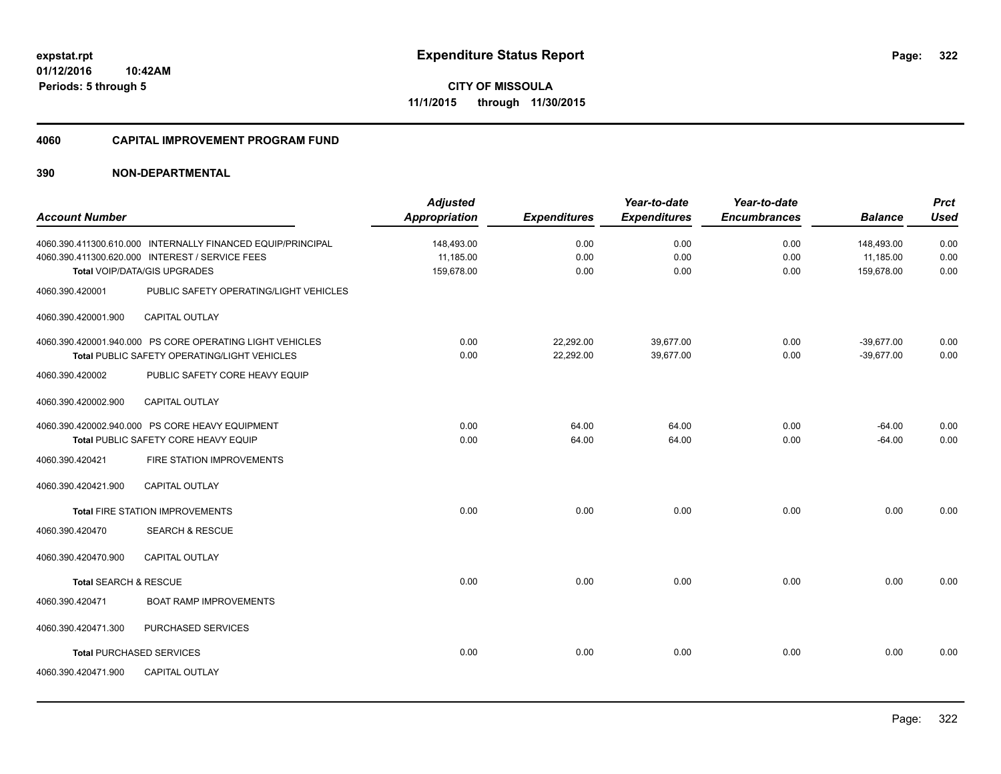#### **4060 CAPITAL IMPROVEMENT PROGRAM FUND**

|                       |                                                             | <b>Adjusted</b>      |                     | Year-to-date        | Year-to-date        |                | <b>Prct</b> |
|-----------------------|-------------------------------------------------------------|----------------------|---------------------|---------------------|---------------------|----------------|-------------|
| <b>Account Number</b> |                                                             | <b>Appropriation</b> | <b>Expenditures</b> | <b>Expenditures</b> | <b>Encumbrances</b> | <b>Balance</b> | <b>Used</b> |
|                       | 4060.390.411300.610.000 INTERNALLY FINANCED EQUIP/PRINCIPAL | 148,493.00           | 0.00                | 0.00                | 0.00                | 148,493.00     | 0.00        |
|                       | 4060.390.411300.620.000 INTEREST / SERVICE FEES             | 11,185.00            | 0.00                | 0.00                | 0.00                | 11,185.00      | 0.00        |
|                       | Total VOIP/DATA/GIS UPGRADES                                | 159.678.00           | 0.00                | 0.00                | 0.00                | 159.678.00     | 0.00        |
| 4060.390.420001       | PUBLIC SAFETY OPERATING/LIGHT VEHICLES                      |                      |                     |                     |                     |                |             |
| 4060.390.420001.900   | <b>CAPITAL OUTLAY</b>                                       |                      |                     |                     |                     |                |             |
|                       | 4060.390.420001.940.000 PS CORE OPERATING LIGHT VEHICLES    | 0.00                 | 22,292.00           | 39,677.00           | 0.00                | $-39,677.00$   | 0.00        |
|                       | Total PUBLIC SAFETY OPERATING/LIGHT VEHICLES                | 0.00                 | 22,292.00           | 39,677.00           | 0.00                | $-39,677.00$   | 0.00        |
| 4060.390.420002       | PUBLIC SAFETY CORE HEAVY EQUIP                              |                      |                     |                     |                     |                |             |
| 4060.390.420002.900   | <b>CAPITAL OUTLAY</b>                                       |                      |                     |                     |                     |                |             |
|                       | 4060.390.420002.940.000 PS CORE HEAVY EQUIPMENT             | 0.00                 | 64.00               | 64.00               | 0.00                | $-64.00$       | 0.00        |
|                       | Total PUBLIC SAFETY CORE HEAVY EQUIP                        | 0.00                 | 64.00               | 64.00               | 0.00                | $-64.00$       | 0.00        |
| 4060.390.420421       | FIRE STATION IMPROVEMENTS                                   |                      |                     |                     |                     |                |             |
| 4060.390.420421.900   | <b>CAPITAL OUTLAY</b>                                       |                      |                     |                     |                     |                |             |
|                       | <b>Total FIRE STATION IMPROVEMENTS</b>                      | 0.00                 | 0.00                | 0.00                | 0.00                | 0.00           | 0.00        |
| 4060.390.420470       | <b>SEARCH &amp; RESCUE</b>                                  |                      |                     |                     |                     |                |             |
| 4060.390.420470.900   | CAPITAL OUTLAY                                              |                      |                     |                     |                     |                |             |
| Total SEARCH & RESCUE |                                                             | 0.00                 | 0.00                | 0.00                | 0.00                | 0.00           | 0.00        |
| 4060.390.420471       | <b>BOAT RAMP IMPROVEMENTS</b>                               |                      |                     |                     |                     |                |             |
| 4060.390.420471.300   | PURCHASED SERVICES                                          |                      |                     |                     |                     |                |             |
|                       | <b>Total PURCHASED SERVICES</b>                             | 0.00                 | 0.00                | 0.00                | 0.00                | 0.00           | 0.00        |
| 4060.390.420471.900   | <b>CAPITAL OUTLAY</b>                                       |                      |                     |                     |                     |                |             |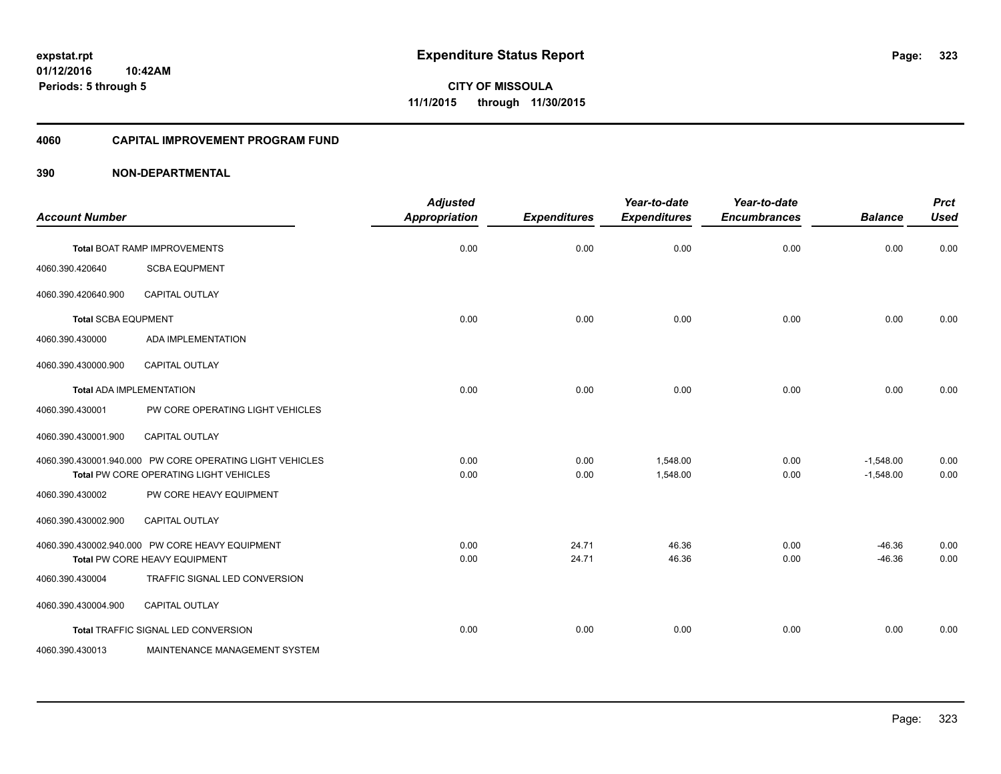**Periods: 5 through 5**

**CITY OF MISSOULA 11/1/2015 through 11/30/2015**

#### **4060 CAPITAL IMPROVEMENT PROGRAM FUND**

## **390 NON-DEPARTMENTAL**

**10:42AM**

| <b>Account Number</b>      |                                                                                                    | <b>Adjusted</b><br>Appropriation | <b>Expenditures</b> | Year-to-date<br><b>Expenditures</b> | Year-to-date<br><b>Encumbrances</b> | <b>Balance</b>             | <b>Prct</b><br><b>Used</b> |
|----------------------------|----------------------------------------------------------------------------------------------------|----------------------------------|---------------------|-------------------------------------|-------------------------------------|----------------------------|----------------------------|
|                            | Total BOAT RAMP IMPROVEMENTS                                                                       | 0.00                             | 0.00                | 0.00                                | 0.00                                | 0.00                       | 0.00                       |
| 4060.390.420640            | <b>SCBA EQUPMENT</b>                                                                               |                                  |                     |                                     |                                     |                            |                            |
| 4060.390.420640.900        | <b>CAPITAL OUTLAY</b>                                                                              |                                  |                     |                                     |                                     |                            |                            |
| <b>Total SCBA EQUPMENT</b> |                                                                                                    | 0.00                             | 0.00                | 0.00                                | 0.00                                | 0.00                       | 0.00                       |
| 4060.390.430000            | ADA IMPLEMENTATION                                                                                 |                                  |                     |                                     |                                     |                            |                            |
| 4060.390.430000.900        | <b>CAPITAL OUTLAY</b>                                                                              |                                  |                     |                                     |                                     |                            |                            |
|                            | <b>Total ADA IMPLEMENTATION</b>                                                                    | 0.00                             | 0.00                | 0.00                                | 0.00                                | 0.00                       | 0.00                       |
| 4060.390.430001            | PW CORE OPERATING LIGHT VEHICLES                                                                   |                                  |                     |                                     |                                     |                            |                            |
| 4060.390.430001.900        | <b>CAPITAL OUTLAY</b>                                                                              |                                  |                     |                                     |                                     |                            |                            |
|                            | 4060.390.430001.940.000 PW CORE OPERATING LIGHT VEHICLES<br>Total PW CORE OPERATING LIGHT VEHICLES | 0.00<br>0.00                     | 0.00<br>0.00        | 1,548.00<br>1,548.00                | 0.00<br>0.00                        | $-1,548.00$<br>$-1,548.00$ | 0.00<br>0.00               |
| 4060.390.430002            | PW CORE HEAVY EQUIPMENT                                                                            |                                  |                     |                                     |                                     |                            |                            |
| 4060.390.430002.900        | <b>CAPITAL OUTLAY</b>                                                                              |                                  |                     |                                     |                                     |                            |                            |
|                            | 4060.390.430002.940.000 PW CORE HEAVY EQUIPMENT                                                    | 0.00                             | 24.71               | 46.36                               | 0.00                                | $-46.36$                   | 0.00                       |
|                            | Total PW CORE HEAVY EQUIPMENT                                                                      | 0.00                             | 24.71               | 46.36                               | 0.00                                | $-46.36$                   | 0.00                       |
| 4060.390.430004            | TRAFFIC SIGNAL LED CONVERSION                                                                      |                                  |                     |                                     |                                     |                            |                            |
| 4060.390.430004.900        | CAPITAL OUTLAY                                                                                     |                                  |                     |                                     |                                     |                            |                            |
|                            | Total TRAFFIC SIGNAL LED CONVERSION                                                                | 0.00                             | 0.00                | 0.00                                | 0.00                                | 0.00                       | 0.00                       |
| 4060.390.430013            | MAINTENANCE MANAGEMENT SYSTEM                                                                      |                                  |                     |                                     |                                     |                            |                            |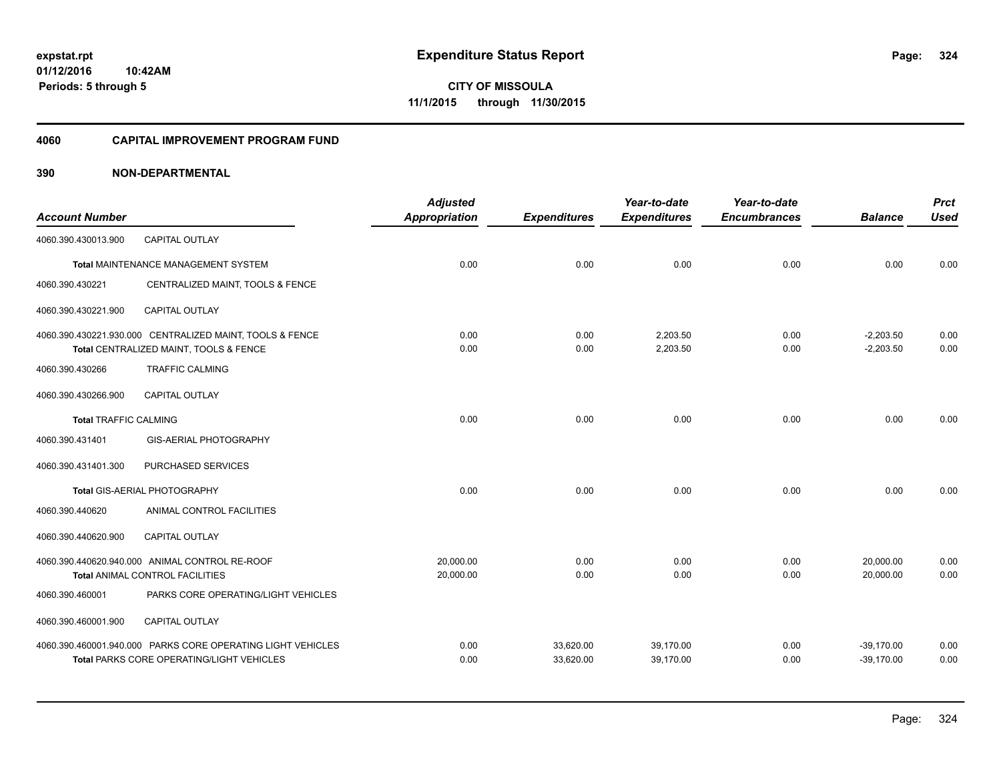**Periods: 5 through 5**

**CITY OF MISSOULA 11/1/2015 through 11/30/2015**

#### **4060 CAPITAL IMPROVEMENT PROGRAM FUND**

| <b>Account Number</b>        |                                                                                                                 | <b>Adjusted</b><br><b>Appropriation</b> | <b>Expenditures</b>    | Year-to-date<br><b>Expenditures</b> | Year-to-date<br><b>Encumbrances</b> | <b>Balance</b>               | <b>Prct</b><br><b>Used</b> |
|------------------------------|-----------------------------------------------------------------------------------------------------------------|-----------------------------------------|------------------------|-------------------------------------|-------------------------------------|------------------------------|----------------------------|
| 4060.390.430013.900          | <b>CAPITAL OUTLAY</b>                                                                                           |                                         |                        |                                     |                                     |                              |                            |
|                              | Total MAINTENANCE MANAGEMENT SYSTEM                                                                             | 0.00                                    | 0.00                   | 0.00                                | 0.00                                | 0.00                         | 0.00                       |
| 4060.390.430221              | CENTRALIZED MAINT, TOOLS & FENCE                                                                                |                                         |                        |                                     |                                     |                              |                            |
| 4060.390.430221.900          | <b>CAPITAL OUTLAY</b>                                                                                           |                                         |                        |                                     |                                     |                              |                            |
|                              | 4060.390.430221.930.000 CENTRALIZED MAINT, TOOLS & FENCE<br>Total CENTRALIZED MAINT, TOOLS & FENCE              | 0.00<br>0.00                            | 0.00<br>0.00           | 2,203.50<br>2,203.50                | 0.00<br>0.00                        | $-2,203.50$<br>$-2,203.50$   | 0.00<br>0.00               |
| 4060.390.430266              | <b>TRAFFIC CALMING</b>                                                                                          |                                         |                        |                                     |                                     |                              |                            |
| 4060.390.430266.900          | <b>CAPITAL OUTLAY</b>                                                                                           |                                         |                        |                                     |                                     |                              |                            |
| <b>Total TRAFFIC CALMING</b> |                                                                                                                 | 0.00                                    | 0.00                   | 0.00                                | 0.00                                | 0.00                         | 0.00                       |
| 4060.390.431401              | GIS-AERIAL PHOTOGRAPHY                                                                                          |                                         |                        |                                     |                                     |                              |                            |
| 4060.390.431401.300          | PURCHASED SERVICES                                                                                              |                                         |                        |                                     |                                     |                              |                            |
|                              | Total GIS-AERIAL PHOTOGRAPHY                                                                                    | 0.00                                    | 0.00                   | 0.00                                | 0.00                                | 0.00                         | 0.00                       |
| 4060.390.440620              | ANIMAL CONTROL FACILITIES                                                                                       |                                         |                        |                                     |                                     |                              |                            |
| 4060.390.440620.900          | <b>CAPITAL OUTLAY</b>                                                                                           |                                         |                        |                                     |                                     |                              |                            |
|                              | 4060.390.440620.940.000 ANIMAL CONTROL RE-ROOF<br><b>Total ANIMAL CONTROL FACILITIES</b>                        | 20,000.00<br>20,000.00                  | 0.00<br>0.00           | 0.00<br>0.00                        | 0.00<br>0.00                        | 20,000.00<br>20,000.00       | 0.00<br>0.00               |
| 4060.390.460001              | PARKS CORE OPERATING/LIGHT VEHICLES                                                                             |                                         |                        |                                     |                                     |                              |                            |
| 4060.390.460001.900          | CAPITAL OUTLAY                                                                                                  |                                         |                        |                                     |                                     |                              |                            |
|                              | 4060.390.460001.940.000 PARKS CORE OPERATING LIGHT VEHICLES<br><b>Total PARKS CORE OPERATING/LIGHT VEHICLES</b> | 0.00<br>0.00                            | 33,620.00<br>33,620.00 | 39.170.00<br>39.170.00              | 0.00<br>0.00                        | $-39,170.00$<br>$-39,170.00$ | 0.00<br>0.00               |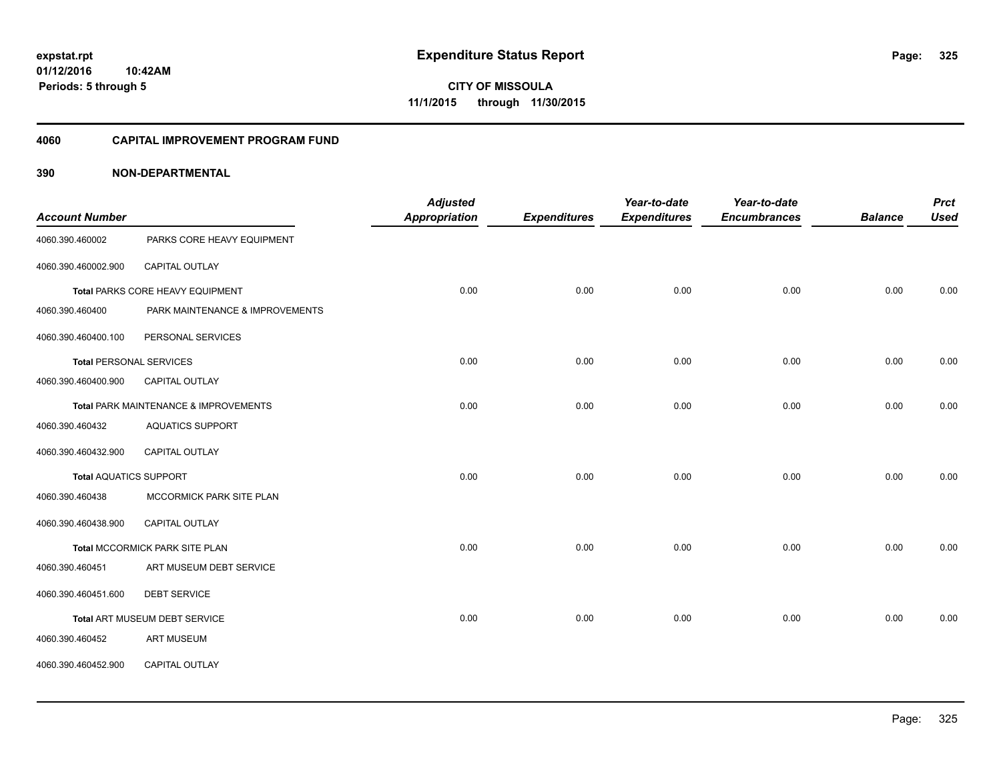**325**

**01/12/2016 10:42AM Periods: 5 through 5**

**CITY OF MISSOULA 11/1/2015 through 11/30/2015**

#### **4060 CAPITAL IMPROVEMENT PROGRAM FUND**

| <b>Account Number</b>          |                                       | <b>Adjusted</b><br><b>Appropriation</b> | <b>Expenditures</b> | Year-to-date<br><b>Expenditures</b> | Year-to-date<br><b>Encumbrances</b> | <b>Balance</b> | <b>Prct</b><br><b>Used</b> |
|--------------------------------|---------------------------------------|-----------------------------------------|---------------------|-------------------------------------|-------------------------------------|----------------|----------------------------|
| 4060.390.460002                | PARKS CORE HEAVY EQUIPMENT            |                                         |                     |                                     |                                     |                |                            |
| 4060.390.460002.900            | CAPITAL OUTLAY                        |                                         |                     |                                     |                                     |                |                            |
|                                | Total PARKS CORE HEAVY EQUIPMENT      | 0.00                                    | 0.00                | 0.00                                | 0.00                                | 0.00           | 0.00                       |
| 4060.390.460400                | PARK MAINTENANCE & IMPROVEMENTS       |                                         |                     |                                     |                                     |                |                            |
| 4060.390.460400.100            | PERSONAL SERVICES                     |                                         |                     |                                     |                                     |                |                            |
| <b>Total PERSONAL SERVICES</b> |                                       | 0.00                                    | 0.00                | 0.00                                | 0.00                                | 0.00           | 0.00                       |
| 4060.390.460400.900            | CAPITAL OUTLAY                        |                                         |                     |                                     |                                     |                |                            |
|                                | Total PARK MAINTENANCE & IMPROVEMENTS | 0.00                                    | 0.00                | 0.00                                | 0.00                                | 0.00           | 0.00                       |
| 4060.390.460432                | <b>AQUATICS SUPPORT</b>               |                                         |                     |                                     |                                     |                |                            |
| 4060.390.460432.900            | <b>CAPITAL OUTLAY</b>                 |                                         |                     |                                     |                                     |                |                            |
| <b>Total AQUATICS SUPPORT</b>  |                                       | 0.00                                    | 0.00                | 0.00                                | 0.00                                | 0.00           | 0.00                       |
| 4060.390.460438                | MCCORMICK PARK SITE PLAN              |                                         |                     |                                     |                                     |                |                            |
| 4060.390.460438.900            | CAPITAL OUTLAY                        |                                         |                     |                                     |                                     |                |                            |
|                                | Total MCCORMICK PARK SITE PLAN        | 0.00                                    | 0.00                | 0.00                                | 0.00                                | 0.00           | 0.00                       |
| 4060.390.460451                | ART MUSEUM DEBT SERVICE               |                                         |                     |                                     |                                     |                |                            |
| 4060.390.460451.600            | <b>DEBT SERVICE</b>                   |                                         |                     |                                     |                                     |                |                            |
|                                | Total ART MUSEUM DEBT SERVICE         | 0.00                                    | 0.00                | 0.00                                | 0.00                                | 0.00           | 0.00                       |
| 4060.390.460452                | <b>ART MUSEUM</b>                     |                                         |                     |                                     |                                     |                |                            |
| 4060.390.460452.900            | CAPITAL OUTLAY                        |                                         |                     |                                     |                                     |                |                            |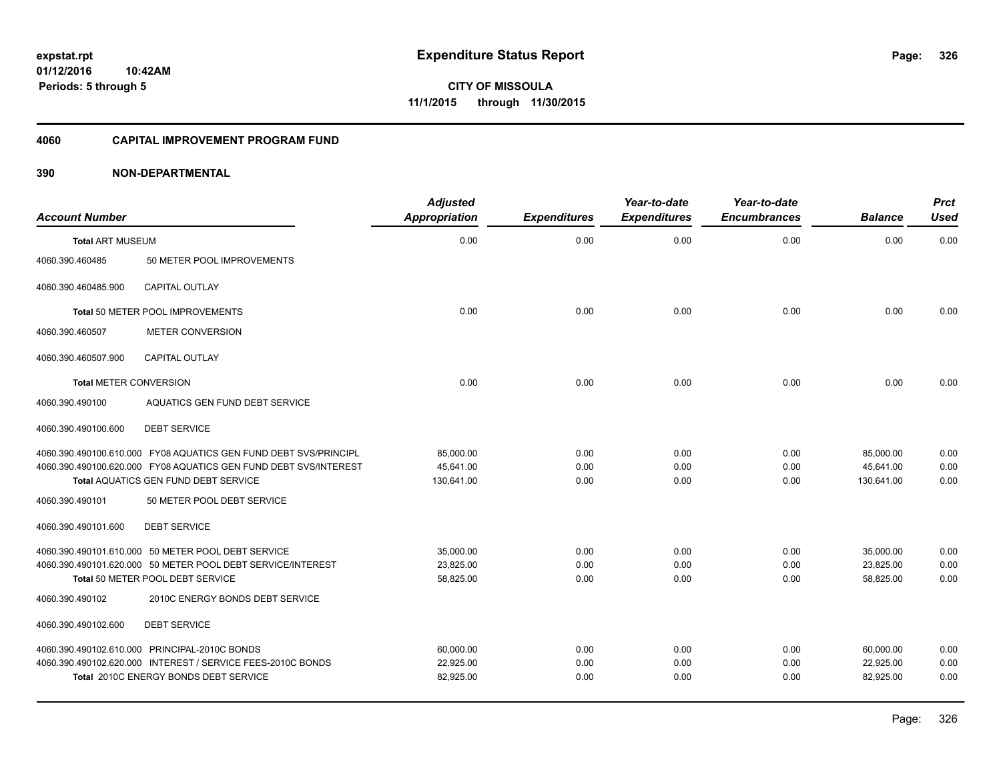**Periods: 5 through 5**

**CITY OF MISSOULA 11/1/2015 through 11/30/2015**

#### **4060 CAPITAL IMPROVEMENT PROGRAM FUND**

#### **390 NON-DEPARTMENTAL**

**10:42AM**

| <b>Account Number</b>         |                                                                  | <b>Adjusted</b><br>Appropriation | <b>Expenditures</b> | Year-to-date<br><b>Expenditures</b> | Year-to-date<br><b>Encumbrances</b> | <b>Balance</b> | <b>Prct</b><br><b>Used</b> |
|-------------------------------|------------------------------------------------------------------|----------------------------------|---------------------|-------------------------------------|-------------------------------------|----------------|----------------------------|
| <b>Total ART MUSEUM</b>       |                                                                  | 0.00                             | 0.00                | 0.00                                | 0.00                                | 0.00           | 0.00                       |
| 4060.390.460485               | 50 METER POOL IMPROVEMENTS                                       |                                  |                     |                                     |                                     |                |                            |
| 4060.390.460485.900           | <b>CAPITAL OUTLAY</b>                                            |                                  |                     |                                     |                                     |                |                            |
|                               | Total 50 METER POOL IMPROVEMENTS                                 | 0.00                             | 0.00                | 0.00                                | 0.00                                | 0.00           | 0.00                       |
| 4060.390.460507               | <b>METER CONVERSION</b>                                          |                                  |                     |                                     |                                     |                |                            |
| 4060.390.460507.900           | <b>CAPITAL OUTLAY</b>                                            |                                  |                     |                                     |                                     |                |                            |
| <b>Total METER CONVERSION</b> |                                                                  | 0.00                             | 0.00                | 0.00                                | 0.00                                | 0.00           | 0.00                       |
| 4060.390.490100               | AQUATICS GEN FUND DEBT SERVICE                                   |                                  |                     |                                     |                                     |                |                            |
| 4060.390.490100.600           | <b>DEBT SERVICE</b>                                              |                                  |                     |                                     |                                     |                |                            |
|                               | 4060.390.490100.610.000 FY08 AQUATICS GEN FUND DEBT SVS/PRINCIPL | 85.000.00                        | 0.00                | 0.00                                | 0.00                                | 85,000.00      | 0.00                       |
|                               | 4060.390.490100.620.000 FY08 AQUATICS GEN FUND DEBT SVS/INTEREST | 45.641.00                        | 0.00                | 0.00                                | 0.00                                | 45.641.00      | 0.00                       |
|                               | <b>Total AQUATICS GEN FUND DEBT SERVICE</b>                      | 130,641.00                       | 0.00                | 0.00                                | 0.00                                | 130,641.00     | 0.00                       |
| 4060.390.490101               | 50 METER POOL DEBT SERVICE                                       |                                  |                     |                                     |                                     |                |                            |
| 4060.390.490101.600           | <b>DEBT SERVICE</b>                                              |                                  |                     |                                     |                                     |                |                            |
|                               | 4060.390.490101.610.000 50 METER POOL DEBT SERVICE               | 35,000.00                        | 0.00                | 0.00                                | 0.00                                | 35,000.00      | 0.00                       |
|                               | 4060.390.490101.620.000 50 METER POOL DEBT SERVICE/INTEREST      | 23.825.00                        | 0.00                | 0.00                                | 0.00                                | 23,825.00      | 0.00                       |
|                               | Total 50 METER POOL DEBT SERVICE                                 | 58,825.00                        | 0.00                | 0.00                                | 0.00                                | 58,825.00      | 0.00                       |
| 4060.390.490102               | 2010C ENERGY BONDS DEBT SERVICE                                  |                                  |                     |                                     |                                     |                |                            |
| 4060.390.490102.600           | <b>DEBT SERVICE</b>                                              |                                  |                     |                                     |                                     |                |                            |
|                               | 4060.390.490102.610.000 PRINCIPAL-2010C BONDS                    | 60,000.00                        | 0.00                | 0.00                                | 0.00                                | 60,000.00      | 0.00                       |
|                               | 4060.390.490102.620.000 INTEREST / SERVICE FEES-2010C BONDS      | 22,925.00                        | 0.00                | 0.00                                | 0.00                                | 22,925.00      | 0.00                       |
|                               | Total 2010C ENERGY BONDS DEBT SERVICE                            | 82,925.00                        | 0.00                | 0.00                                | 0.00                                | 82,925.00      | 0.00                       |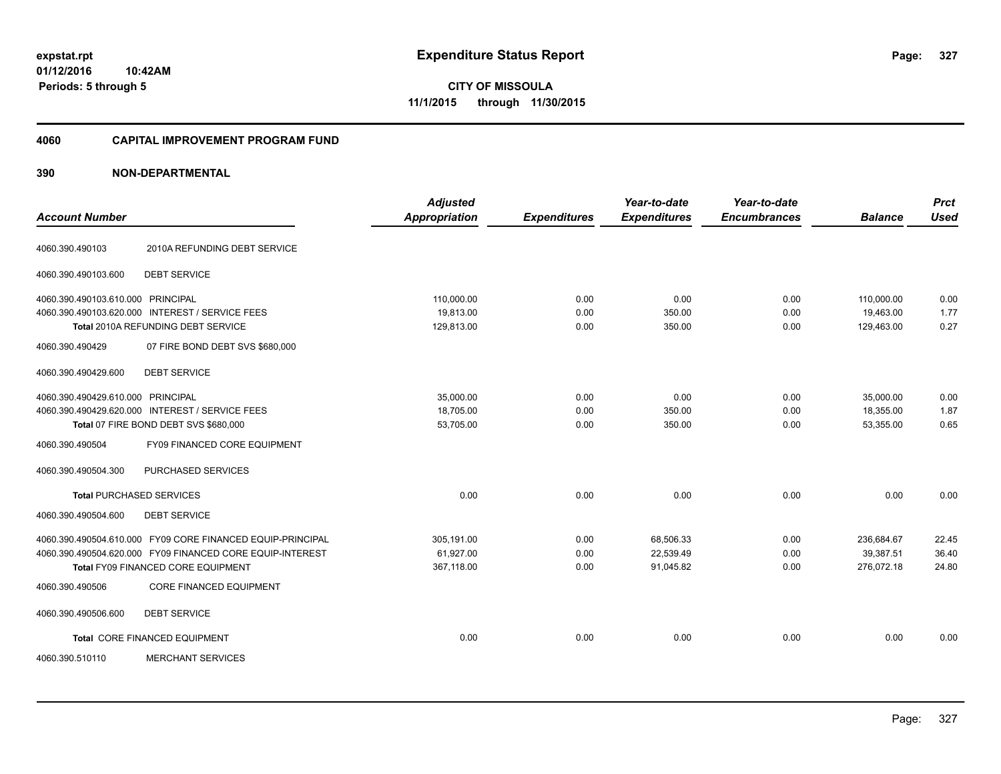**01/12/2016 10:42AM Periods: 5 through 5**

**CITY OF MISSOULA 11/1/2015 through 11/30/2015**

#### **4060 CAPITAL IMPROVEMENT PROGRAM FUND**

| <b>Account Number</b>             |                                                            | <b>Adjusted</b><br><b>Appropriation</b> | <b>Expenditures</b> | Year-to-date<br><b>Expenditures</b> | Year-to-date<br><b>Encumbrances</b> | <b>Balance</b> | <b>Prct</b><br><b>Used</b> |
|-----------------------------------|------------------------------------------------------------|-----------------------------------------|---------------------|-------------------------------------|-------------------------------------|----------------|----------------------------|
| 4060.390.490103                   | 2010A REFUNDING DEBT SERVICE                               |                                         |                     |                                     |                                     |                |                            |
| 4060.390.490103.600               | <b>DEBT SERVICE</b>                                        |                                         |                     |                                     |                                     |                |                            |
| 4060.390.490103.610.000 PRINCIPAL |                                                            | 110,000.00                              | 0.00                | 0.00                                | 0.00                                | 110,000.00     | 0.00                       |
|                                   | 4060.390.490103.620.000 INTEREST / SERVICE FEES            | 19.813.00                               | 0.00                | 350.00                              | 0.00                                | 19.463.00      | 1.77                       |
|                                   | <b>Total 2010A REFUNDING DEBT SERVICE</b>                  | 129,813.00                              | 0.00                | 350.00                              | 0.00                                | 129,463.00     | 0.27                       |
| 4060.390.490429                   | 07 FIRE BOND DEBT SVS \$680,000                            |                                         |                     |                                     |                                     |                |                            |
| 4060.390.490429.600               | <b>DEBT SERVICE</b>                                        |                                         |                     |                                     |                                     |                |                            |
| 4060.390.490429.610.000 PRINCIPAL |                                                            | 35,000.00                               | 0.00                | 0.00                                | 0.00                                | 35,000.00      | 0.00                       |
|                                   | 4060.390.490429.620.000 INTEREST / SERVICE FEES            | 18,705.00                               | 0.00                | 350.00                              | 0.00                                | 18,355.00      | 1.87                       |
|                                   | Total 07 FIRE BOND DEBT SVS \$680,000                      | 53,705.00                               | 0.00                | 350.00                              | 0.00                                | 53,355.00      | 0.65                       |
| 4060.390.490504                   | <b>FY09 FINANCED CORE EQUIPMENT</b>                        |                                         |                     |                                     |                                     |                |                            |
| 4060.390.490504.300               | PURCHASED SERVICES                                         |                                         |                     |                                     |                                     |                |                            |
| <b>Total PURCHASED SERVICES</b>   |                                                            | 0.00                                    | 0.00                | 0.00                                | 0.00                                | 0.00           | 0.00                       |
| 4060.390.490504.600               | <b>DEBT SERVICE</b>                                        |                                         |                     |                                     |                                     |                |                            |
|                                   | 4060.390.490504.610.000 FY09 CORE FINANCED EQUIP-PRINCIPAL | 305,191.00                              | 0.00                | 68,506.33                           | 0.00                                | 236,684.67     | 22.45                      |
|                                   | 4060.390.490504.620.000 FY09 FINANCED CORE EQUIP-INTEREST  | 61,927.00                               | 0.00                | 22,539.49                           | 0.00                                | 39,387.51      | 36.40                      |
|                                   | Total FY09 FINANCED CORE EQUIPMENT                         | 367,118.00                              | 0.00                | 91,045.82                           | 0.00                                | 276,072.18     | 24.80                      |
| 4060.390.490506                   | <b>CORE FINANCED EQUIPMENT</b>                             |                                         |                     |                                     |                                     |                |                            |
| 4060.390.490506.600               | <b>DEBT SERVICE</b>                                        |                                         |                     |                                     |                                     |                |                            |
|                                   | Total CORE FINANCED EQUIPMENT                              | 0.00                                    | 0.00                | 0.00                                | 0.00                                | 0.00           | 0.00                       |
| 4060.390.510110                   | <b>MERCHANT SERVICES</b>                                   |                                         |                     |                                     |                                     |                |                            |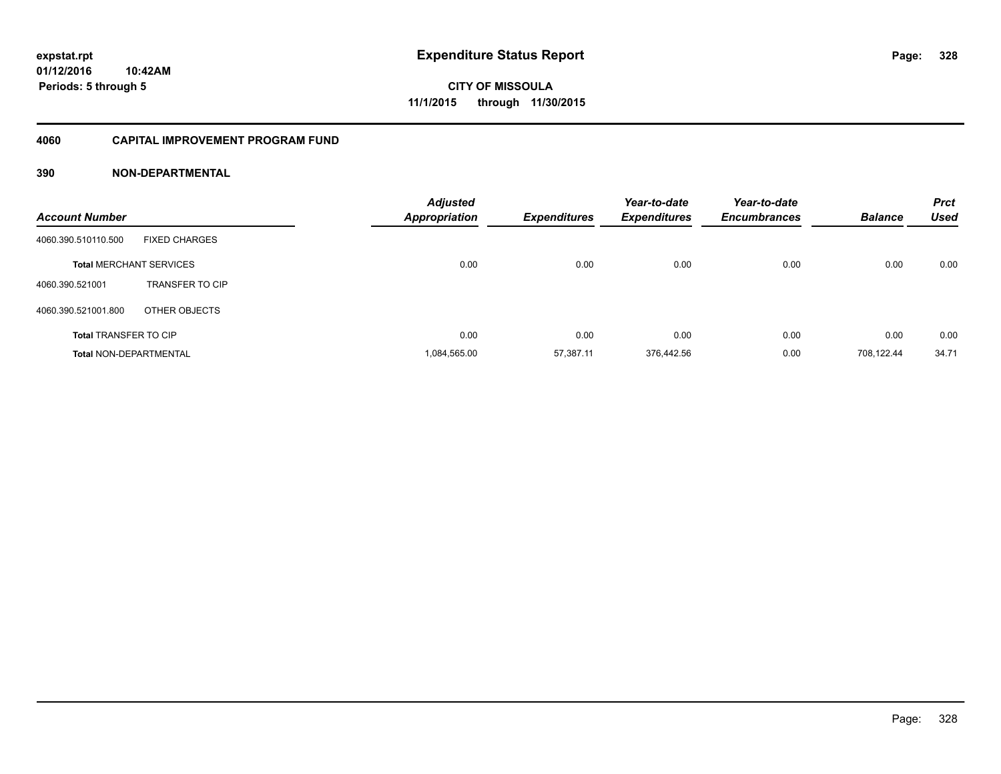#### **4060 CAPITAL IMPROVEMENT PROGRAM FUND**

| <b>Account Number</b>          |                        | <b>Adjusted</b><br><b>Appropriation</b> | <b>Expenditures</b> | Year-to-date<br><b>Expenditures</b> | Year-to-date<br><b>Encumbrances</b> | <b>Balance</b> | <b>Prct</b><br><b>Used</b> |
|--------------------------------|------------------------|-----------------------------------------|---------------------|-------------------------------------|-------------------------------------|----------------|----------------------------|
| 4060.390.510110.500            | <b>FIXED CHARGES</b>   |                                         |                     |                                     |                                     |                |                            |
| <b>Total MERCHANT SERVICES</b> |                        | 0.00                                    | 0.00                | 0.00                                | 0.00                                | 0.00           | 0.00                       |
| 4060.390.521001                | <b>TRANSFER TO CIP</b> |                                         |                     |                                     |                                     |                |                            |
| 4060.390.521001.800            | OTHER OBJECTS          |                                         |                     |                                     |                                     |                |                            |
| <b>Total TRANSFER TO CIP</b>   |                        | 0.00                                    | 0.00                | 0.00                                | 0.00                                | 0.00           | 0.00                       |
| <b>Total NON-DEPARTMENTAL</b>  |                        | 1.084.565.00                            | 57.387.11           | 376.442.56                          | 0.00                                | 708.122.44     | 34.71                      |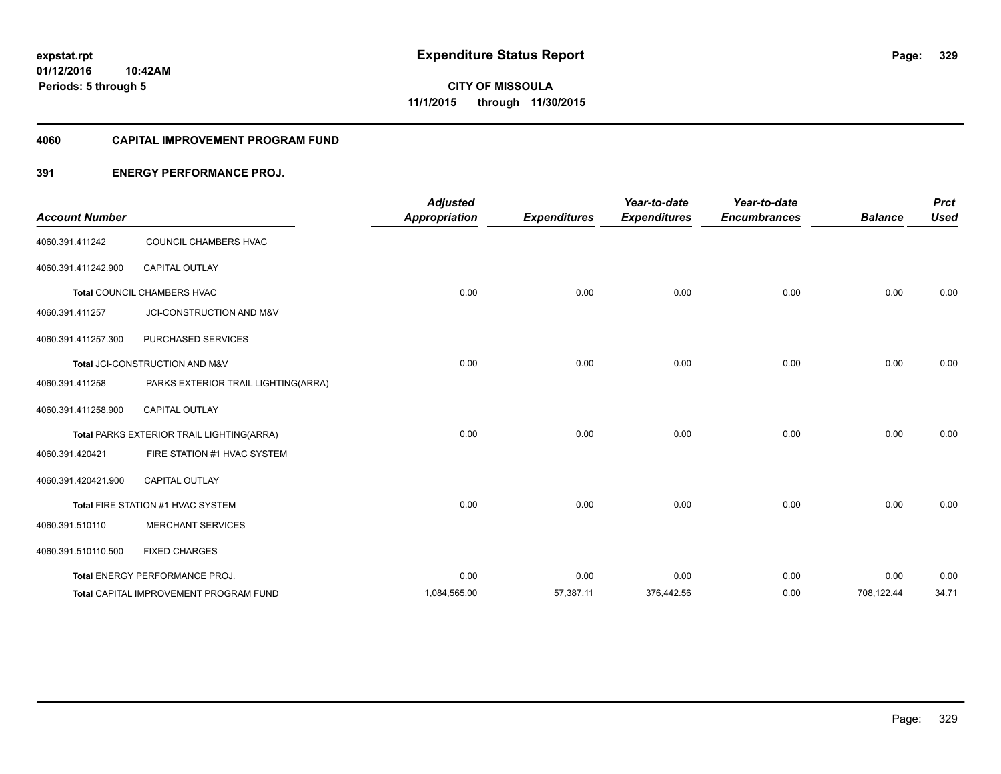#### **4060 CAPITAL IMPROVEMENT PROGRAM FUND**

#### **391 ENERGY PERFORMANCE PROJ.**

| <b>Account Number</b> |                                               | <b>Adjusted</b><br><b>Appropriation</b> | <b>Expenditures</b> | Year-to-date<br><b>Expenditures</b> | Year-to-date<br><b>Encumbrances</b> | <b>Balance</b> | <b>Prct</b><br><b>Used</b> |
|-----------------------|-----------------------------------------------|-----------------------------------------|---------------------|-------------------------------------|-------------------------------------|----------------|----------------------------|
| 4060.391.411242       | COUNCIL CHAMBERS HVAC                         |                                         |                     |                                     |                                     |                |                            |
| 4060.391.411242.900   | <b>CAPITAL OUTLAY</b>                         |                                         |                     |                                     |                                     |                |                            |
|                       | Total COUNCIL CHAMBERS HVAC                   | 0.00                                    | 0.00                | 0.00                                | 0.00                                | 0.00           | 0.00                       |
| 4060.391.411257       | JCI-CONSTRUCTION AND M&V                      |                                         |                     |                                     |                                     |                |                            |
| 4060.391.411257.300   | PURCHASED SERVICES                            |                                         |                     |                                     |                                     |                |                            |
|                       | Total JCI-CONSTRUCTION AND M&V                | 0.00                                    | 0.00                | 0.00                                | 0.00                                | 0.00           | 0.00                       |
| 4060.391.411258       | PARKS EXTERIOR TRAIL LIGHTING(ARRA)           |                                         |                     |                                     |                                     |                |                            |
| 4060.391.411258.900   | <b>CAPITAL OUTLAY</b>                         |                                         |                     |                                     |                                     |                |                            |
|                       | Total PARKS EXTERIOR TRAIL LIGHTING(ARRA)     | 0.00                                    | 0.00                | 0.00                                | 0.00                                | 0.00           | 0.00                       |
| 4060.391.420421       | FIRE STATION #1 HVAC SYSTEM                   |                                         |                     |                                     |                                     |                |                            |
| 4060.391.420421.900   | <b>CAPITAL OUTLAY</b>                         |                                         |                     |                                     |                                     |                |                            |
|                       | Total FIRE STATION #1 HVAC SYSTEM             | 0.00                                    | 0.00                | 0.00                                | 0.00                                | 0.00           | 0.00                       |
| 4060.391.510110       | <b>MERCHANT SERVICES</b>                      |                                         |                     |                                     |                                     |                |                            |
| 4060.391.510110.500   | <b>FIXED CHARGES</b>                          |                                         |                     |                                     |                                     |                |                            |
|                       | Total ENERGY PERFORMANCE PROJ.                | 0.00                                    | 0.00                | 0.00                                | 0.00                                | 0.00           | 0.00                       |
|                       | <b>Total CAPITAL IMPROVEMENT PROGRAM FUND</b> | 1,084,565.00                            | 57,387.11           | 376,442.56                          | 0.00                                | 708,122.44     | 34.71                      |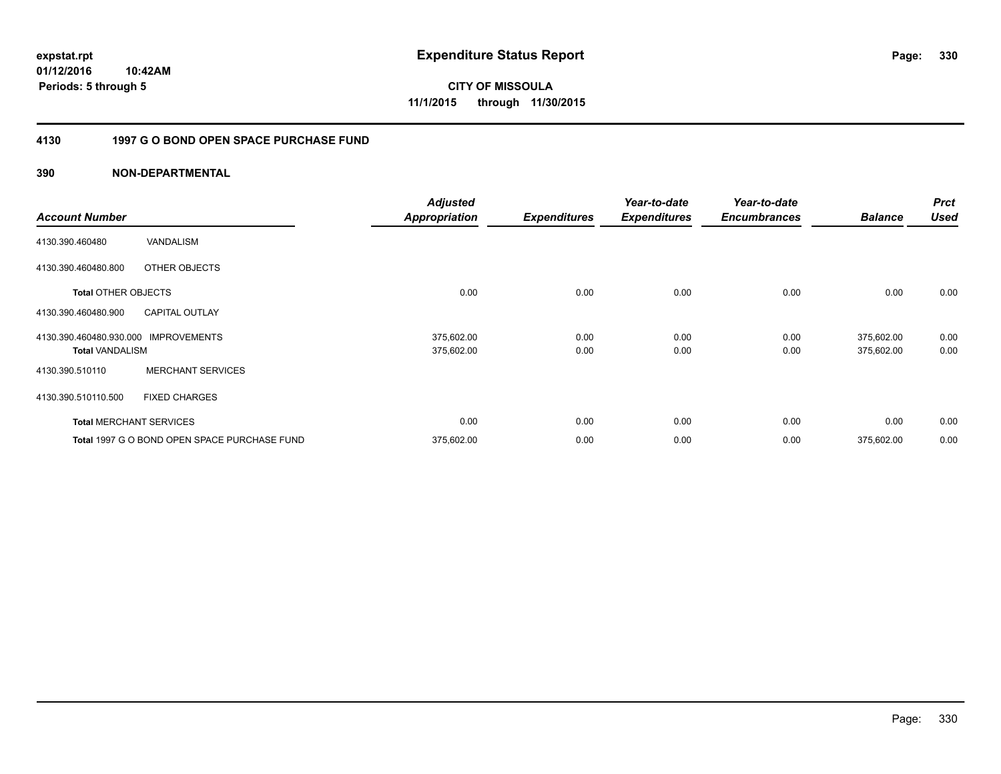**01/12/2016 10:42AM Periods: 5 through 5**

**CITY OF MISSOULA 11/1/2015 through 11/30/2015**

### **4130 1997 G O BOND OPEN SPACE PURCHASE FUND**

| <b>Account Number</b>                             |                                              | <b>Adjusted</b><br><b>Appropriation</b> | <b>Expenditures</b> | Year-to-date<br><b>Expenditures</b> | Year-to-date<br><b>Encumbrances</b> | <b>Balance</b>           | <b>Prct</b><br><b>Used</b> |
|---------------------------------------------------|----------------------------------------------|-----------------------------------------|---------------------|-------------------------------------|-------------------------------------|--------------------------|----------------------------|
| 4130.390.460480                                   | VANDALISM                                    |                                         |                     |                                     |                                     |                          |                            |
| 4130.390.460480.800                               | OTHER OBJECTS                                |                                         |                     |                                     |                                     |                          |                            |
| <b>Total OTHER OBJECTS</b>                        |                                              | 0.00                                    | 0.00                | 0.00                                | 0.00                                | 0.00                     | 0.00                       |
| 4130.390.460480.900                               | <b>CAPITAL OUTLAY</b>                        |                                         |                     |                                     |                                     |                          |                            |
| 4130.390.460480.930.000<br><b>Total VANDALISM</b> | <b>IMPROVEMENTS</b>                          | 375,602.00<br>375,602.00                | 0.00<br>0.00        | 0.00<br>0.00                        | 0.00<br>0.00                        | 375,602.00<br>375,602.00 | 0.00<br>0.00               |
| 4130.390.510110                                   | <b>MERCHANT SERVICES</b>                     |                                         |                     |                                     |                                     |                          |                            |
| 4130.390.510110.500                               | <b>FIXED CHARGES</b>                         |                                         |                     |                                     |                                     |                          |                            |
|                                                   | <b>Total MERCHANT SERVICES</b>               | 0.00                                    | 0.00                | 0.00                                | 0.00                                | 0.00                     | 0.00                       |
|                                                   | Total 1997 G O BOND OPEN SPACE PURCHASE FUND | 375,602.00                              | 0.00                | 0.00                                | 0.00                                | 375,602.00               | 0.00                       |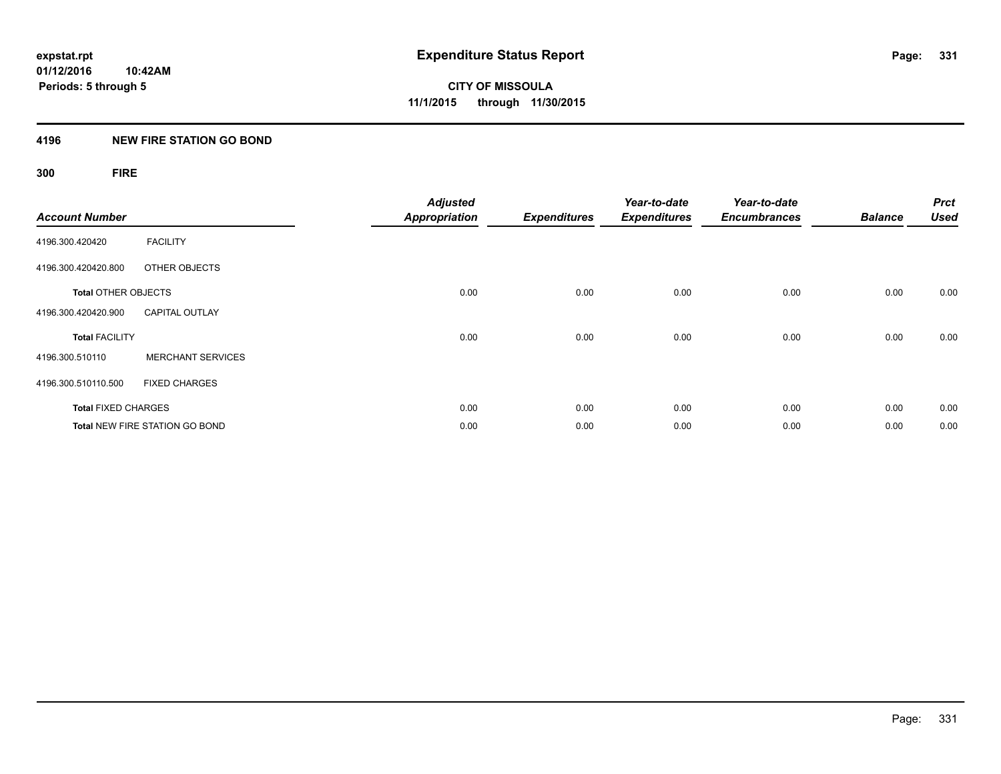#### **4196 NEW FIRE STATION GO BOND**

## **300 FIRE**

| <b>Account Number</b>      |                                       | <b>Adjusted</b><br><b>Appropriation</b> | <b>Expenditures</b> | Year-to-date<br><b>Expenditures</b> | Year-to-date<br><b>Encumbrances</b> | <b>Balance</b> | <b>Prct</b><br><b>Used</b> |
|----------------------------|---------------------------------------|-----------------------------------------|---------------------|-------------------------------------|-------------------------------------|----------------|----------------------------|
| 4196.300.420420            | <b>FACILITY</b>                       |                                         |                     |                                     |                                     |                |                            |
| 4196.300.420420.800        | OTHER OBJECTS                         |                                         |                     |                                     |                                     |                |                            |
| <b>Total OTHER OBJECTS</b> |                                       | 0.00                                    | 0.00                | 0.00                                | 0.00                                | 0.00           | 0.00                       |
| 4196.300.420420.900        | <b>CAPITAL OUTLAY</b>                 |                                         |                     |                                     |                                     |                |                            |
| <b>Total FACILITY</b>      |                                       | 0.00                                    | 0.00                | 0.00                                | 0.00                                | 0.00           | 0.00                       |
| 4196.300.510110            | <b>MERCHANT SERVICES</b>              |                                         |                     |                                     |                                     |                |                            |
| 4196.300.510110.500        | <b>FIXED CHARGES</b>                  |                                         |                     |                                     |                                     |                |                            |
| <b>Total FIXED CHARGES</b> |                                       | 0.00                                    | 0.00                | 0.00                                | 0.00                                | 0.00           | 0.00                       |
|                            | <b>Total NEW FIRE STATION GO BOND</b> | 0.00                                    | 0.00                | 0.00                                | 0.00                                | 0.00           | 0.00                       |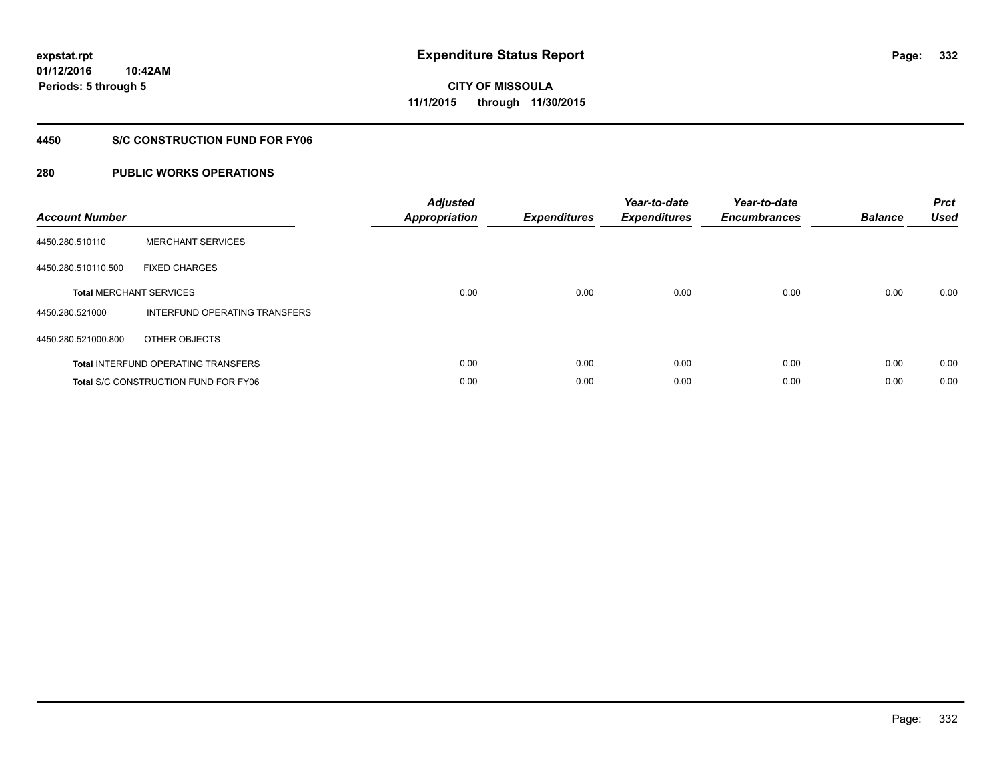**Periods: 5 through 5**

**CITY OF MISSOULA 11/1/2015 through 11/30/2015**

#### **4450 S/C CONSTRUCTION FUND FOR FY06**

#### **280 PUBLIC WORKS OPERATIONS**

**10:42AM**

| <b>Account Number</b> |                                             | <b>Adjusted</b><br><b>Appropriation</b> | <b>Expenditures</b> | Year-to-date<br><b>Expenditures</b> | Year-to-date<br><b>Encumbrances</b> | <b>Balance</b> | <b>Prct</b><br><b>Used</b> |
|-----------------------|---------------------------------------------|-----------------------------------------|---------------------|-------------------------------------|-------------------------------------|----------------|----------------------------|
| 4450.280.510110       | <b>MERCHANT SERVICES</b>                    |                                         |                     |                                     |                                     |                |                            |
| 4450.280.510110.500   | <b>FIXED CHARGES</b>                        |                                         |                     |                                     |                                     |                |                            |
|                       | <b>Total MERCHANT SERVICES</b>              | 0.00                                    | 0.00                | 0.00                                | 0.00                                | 0.00           | 0.00                       |
| 4450.280.521000       | INTERFUND OPERATING TRANSFERS               |                                         |                     |                                     |                                     |                |                            |
| 4450.280.521000.800   | OTHER OBJECTS                               |                                         |                     |                                     |                                     |                |                            |
|                       | <b>Total INTERFUND OPERATING TRANSFERS</b>  | 0.00                                    | 0.00                | 0.00                                | 0.00                                | 0.00           | 0.00                       |
|                       | <b>Total S/C CONSTRUCTION FUND FOR FY06</b> | 0.00                                    | 0.00                | 0.00                                | 0.00                                | 0.00           | 0.00                       |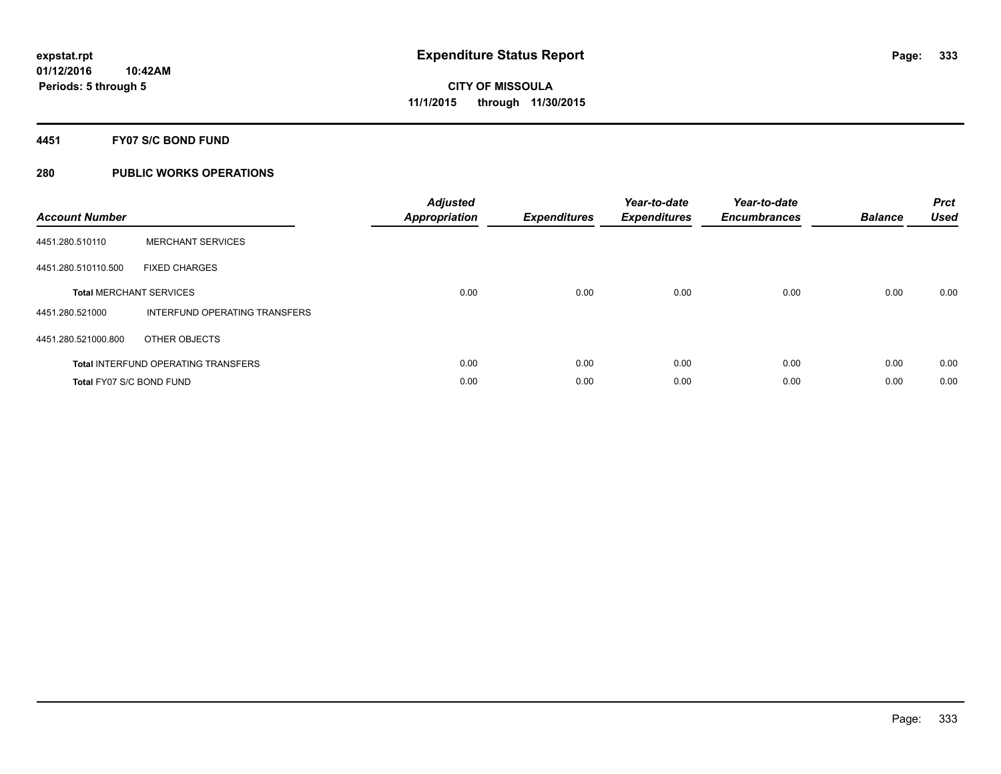#### **4451 FY07 S/C BOND FUND**

| <b>Account Number</b>    |                                            | <b>Adjusted</b><br>Appropriation | <b>Expenditures</b> | Year-to-date<br><b>Expenditures</b> | Year-to-date<br><b>Encumbrances</b> | <b>Balance</b> | <b>Prct</b><br><b>Used</b> |
|--------------------------|--------------------------------------------|----------------------------------|---------------------|-------------------------------------|-------------------------------------|----------------|----------------------------|
| 4451.280.510110          | <b>MERCHANT SERVICES</b>                   |                                  |                     |                                     |                                     |                |                            |
| 4451.280.510110.500      | <b>FIXED CHARGES</b>                       |                                  |                     |                                     |                                     |                |                            |
|                          | <b>Total MERCHANT SERVICES</b>             | 0.00                             | 0.00                | 0.00                                | 0.00                                | 0.00           | 0.00                       |
| 4451.280.521000          | INTERFUND OPERATING TRANSFERS              |                                  |                     |                                     |                                     |                |                            |
| 4451.280.521000.800      | OTHER OBJECTS                              |                                  |                     |                                     |                                     |                |                            |
|                          | <b>Total INTERFUND OPERATING TRANSFERS</b> | 0.00                             | 0.00                | 0.00                                | 0.00                                | 0.00           | 0.00                       |
| Total FY07 S/C BOND FUND |                                            | 0.00                             | 0.00                | 0.00                                | 0.00                                | 0.00           | 0.00                       |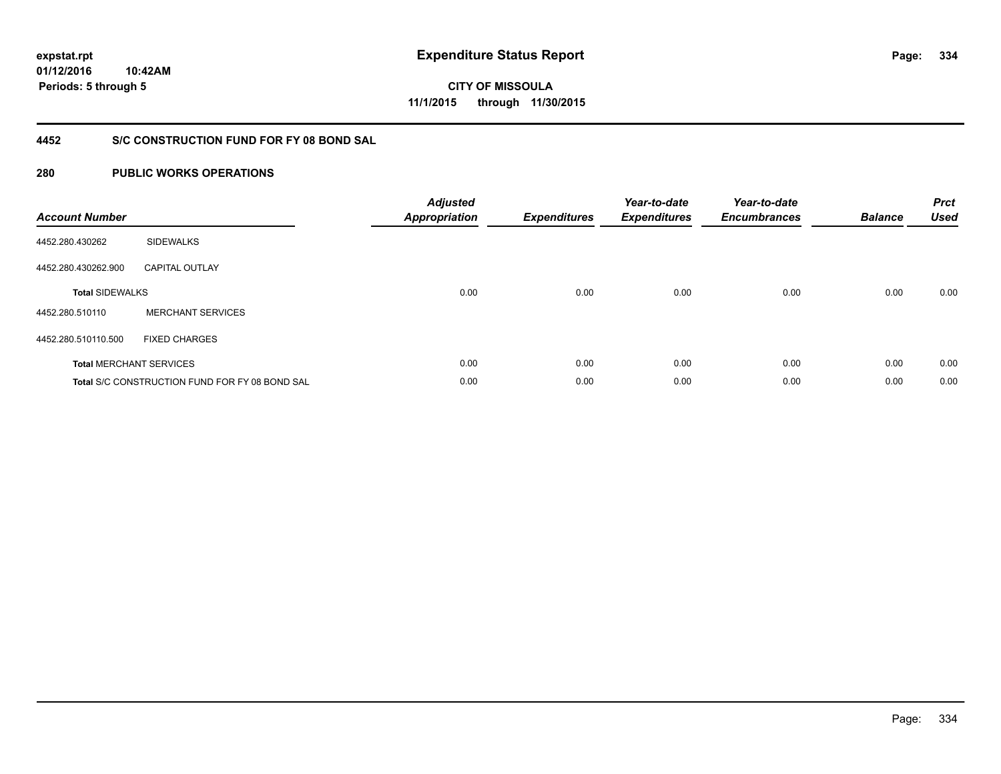**334**

**01/12/2016 10:42AM Periods: 5 through 5**

**CITY OF MISSOULA 11/1/2015 through 11/30/2015**

### **4452 S/C CONSTRUCTION FUND FOR FY 08 BOND SAL**

| <b>Account Number</b>  |                                                       | <b>Adjusted</b><br><b>Appropriation</b> | <b>Expenditures</b> | Year-to-date<br><b>Expenditures</b> | Year-to-date<br><b>Encumbrances</b> | <b>Balance</b> | <b>Prct</b><br><b>Used</b> |
|------------------------|-------------------------------------------------------|-----------------------------------------|---------------------|-------------------------------------|-------------------------------------|----------------|----------------------------|
| 4452.280.430262        | <b>SIDEWALKS</b>                                      |                                         |                     |                                     |                                     |                |                            |
| 4452.280.430262.900    | <b>CAPITAL OUTLAY</b>                                 |                                         |                     |                                     |                                     |                |                            |
| <b>Total SIDEWALKS</b> |                                                       | 0.00                                    | 0.00                | 0.00                                | 0.00                                | 0.00           | 0.00                       |
| 4452.280.510110        | <b>MERCHANT SERVICES</b>                              |                                         |                     |                                     |                                     |                |                            |
| 4452.280.510110.500    | <b>FIXED CHARGES</b>                                  |                                         |                     |                                     |                                     |                |                            |
|                        | <b>Total MERCHANT SERVICES</b>                        | 0.00                                    | 0.00                | 0.00                                | 0.00                                | 0.00           | 0.00                       |
|                        | <b>Total S/C CONSTRUCTION FUND FOR FY 08 BOND SAL</b> | 0.00                                    | 0.00                | 0.00                                | 0.00                                | 0.00           | 0.00                       |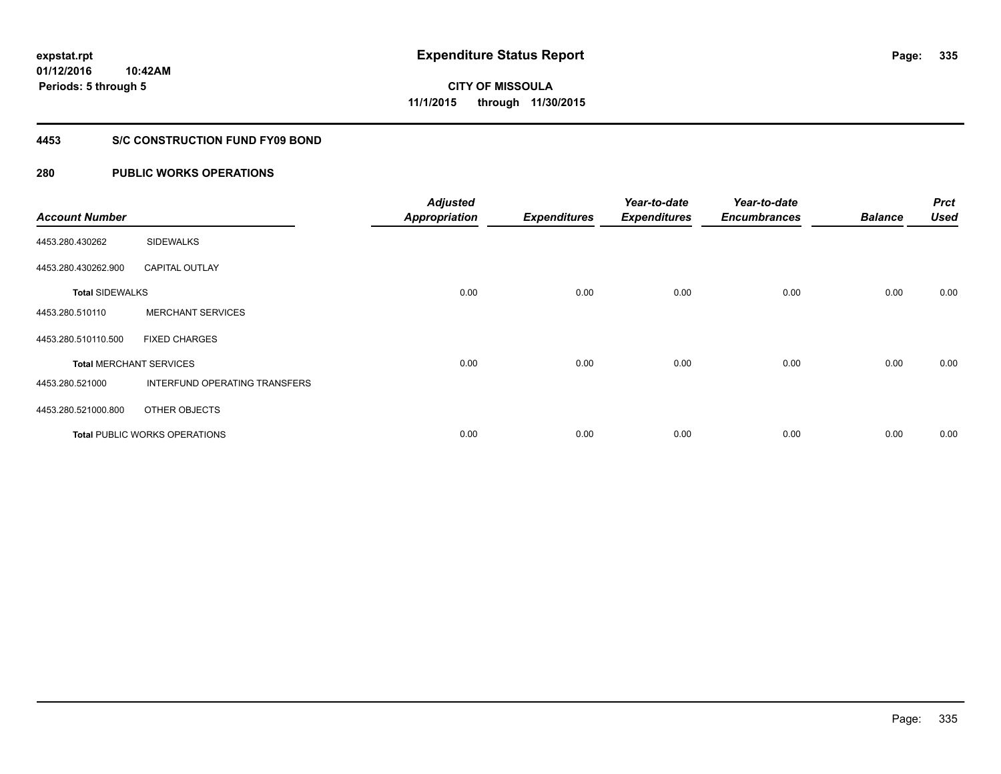**Periods: 5 through 5**

**CITY OF MISSOULA 11/1/2015 through 11/30/2015**

#### **4453 S/C CONSTRUCTION FUND FY09 BOND**

| <b>Account Number</b>  |                                | <b>Adjusted</b><br><b>Appropriation</b> | <b>Expenditures</b> | Year-to-date<br><b>Expenditures</b> | Year-to-date<br><b>Encumbrances</b> | <b>Balance</b> | <b>Prct</b><br><b>Used</b> |
|------------------------|--------------------------------|-----------------------------------------|---------------------|-------------------------------------|-------------------------------------|----------------|----------------------------|
| 4453.280.430262        | <b>SIDEWALKS</b>               |                                         |                     |                                     |                                     |                |                            |
| 4453.280.430262.900    | <b>CAPITAL OUTLAY</b>          |                                         |                     |                                     |                                     |                |                            |
| <b>Total SIDEWALKS</b> |                                | 0.00                                    | 0.00                | 0.00                                | 0.00                                | 0.00           | 0.00                       |
| 4453.280.510110        | <b>MERCHANT SERVICES</b>       |                                         |                     |                                     |                                     |                |                            |
| 4453.280.510110.500    | <b>FIXED CHARGES</b>           |                                         |                     |                                     |                                     |                |                            |
|                        | <b>Total MERCHANT SERVICES</b> | 0.00                                    | 0.00                | 0.00                                | 0.00                                | 0.00           | 0.00                       |
| 4453.280.521000        | INTERFUND OPERATING TRANSFERS  |                                         |                     |                                     |                                     |                |                            |
| 4453.280.521000.800    | OTHER OBJECTS                  |                                         |                     |                                     |                                     |                |                            |
|                        | Total PUBLIC WORKS OPERATIONS  | 0.00                                    | 0.00                | 0.00                                | 0.00                                | 0.00           | 0.00                       |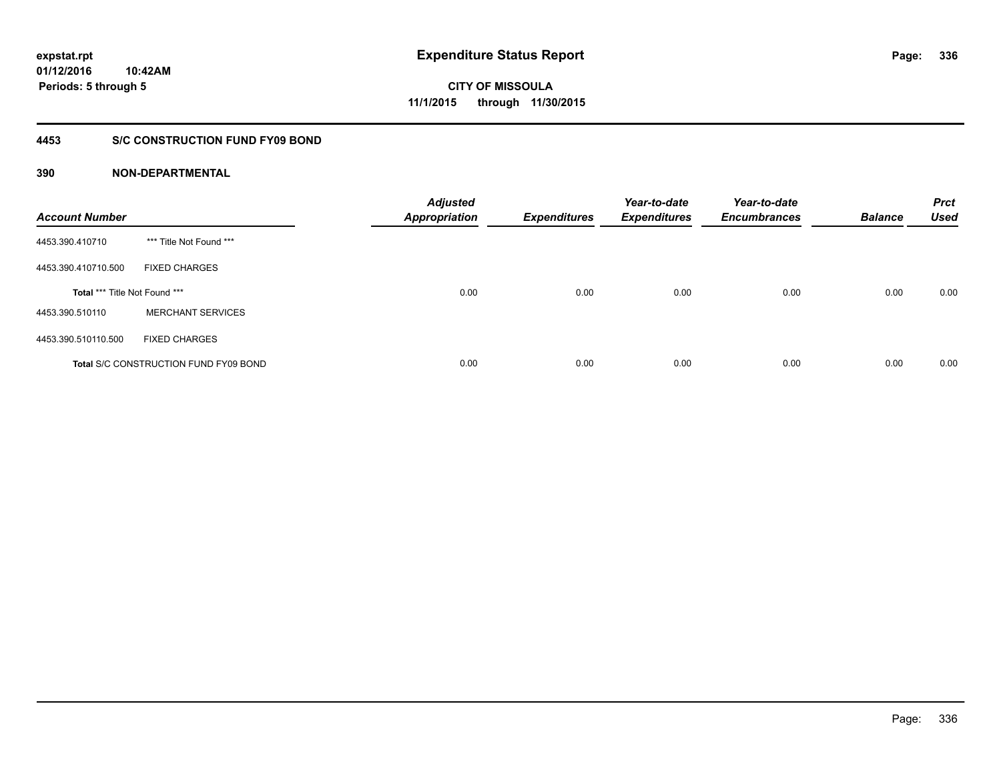#### **4453 S/C CONSTRUCTION FUND FY09 BOND**

| <b>Account Number</b>         |                                              | <b>Adjusted</b><br><b>Appropriation</b> | <b>Expenditures</b> | Year-to-date<br><b>Expenditures</b> | Year-to-date<br><b>Encumbrances</b> | <b>Balance</b> | <b>Prct</b><br><b>Used</b> |
|-------------------------------|----------------------------------------------|-----------------------------------------|---------------------|-------------------------------------|-------------------------------------|----------------|----------------------------|
| 4453.390.410710               | *** Title Not Found ***                      |                                         |                     |                                     |                                     |                |                            |
| 4453.390.410710.500           | <b>FIXED CHARGES</b>                         |                                         |                     |                                     |                                     |                |                            |
| Total *** Title Not Found *** |                                              | 0.00                                    | 0.00                | 0.00                                | 0.00                                | 0.00           | 0.00                       |
| 4453.390.510110               | <b>MERCHANT SERVICES</b>                     |                                         |                     |                                     |                                     |                |                            |
| 4453.390.510110.500           | <b>FIXED CHARGES</b>                         |                                         |                     |                                     |                                     |                |                            |
|                               | <b>Total S/C CONSTRUCTION FUND FY09 BOND</b> | 0.00                                    | 0.00                | 0.00                                | 0.00                                | 0.00           | 0.00                       |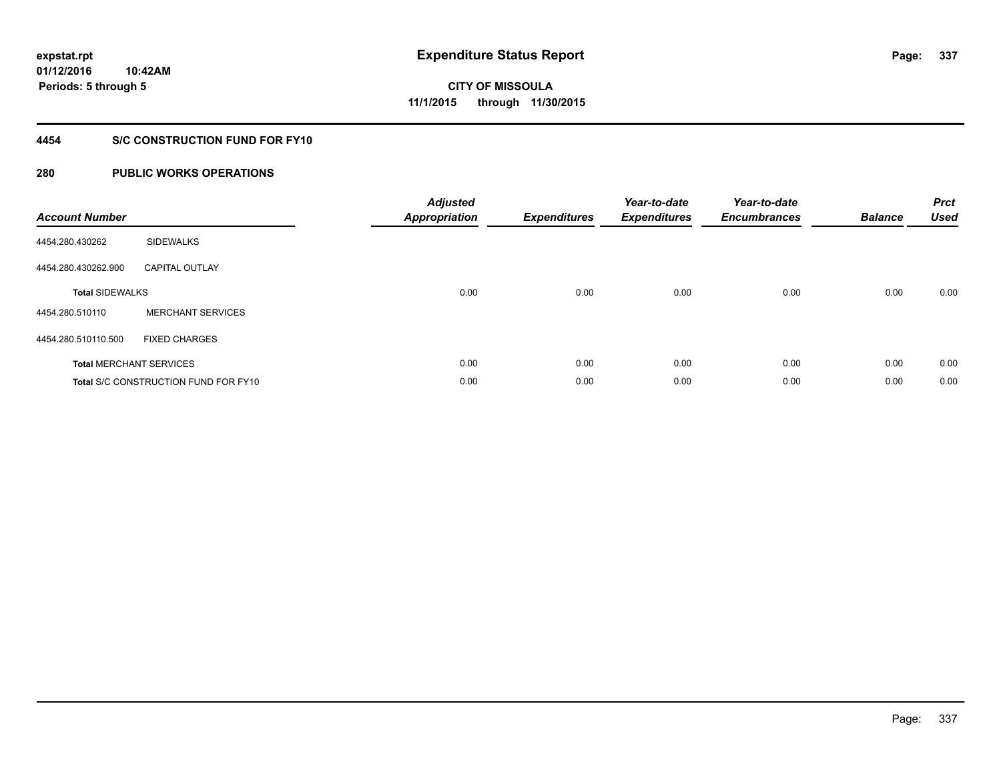**Periods: 5 through 5**

**CITY OF MISSOULA 11/1/2015 through 11/30/2015**

#### **4454 S/C CONSTRUCTION FUND FOR FY10**

| <b>Account Number</b>  |                                             | <b>Adjusted</b><br>Appropriation | <b>Expenditures</b> | Year-to-date<br><b>Expenditures</b> | Year-to-date<br><b>Encumbrances</b> | <b>Balance</b> | <b>Prct</b><br><b>Used</b> |
|------------------------|---------------------------------------------|----------------------------------|---------------------|-------------------------------------|-------------------------------------|----------------|----------------------------|
| 4454.280.430262        | <b>SIDEWALKS</b>                            |                                  |                     |                                     |                                     |                |                            |
| 4454.280.430262.900    | <b>CAPITAL OUTLAY</b>                       |                                  |                     |                                     |                                     |                |                            |
| <b>Total SIDEWALKS</b> |                                             | 0.00                             | 0.00                | 0.00                                | 0.00                                | 0.00           | 0.00                       |
| 4454.280.510110        | <b>MERCHANT SERVICES</b>                    |                                  |                     |                                     |                                     |                |                            |
| 4454.280.510110.500    | <b>FIXED CHARGES</b>                        |                                  |                     |                                     |                                     |                |                            |
|                        | <b>Total MERCHANT SERVICES</b>              | 0.00                             | 0.00                | 0.00                                | 0.00                                | 0.00           | 0.00                       |
|                        | <b>Total S/C CONSTRUCTION FUND FOR FY10</b> | 0.00                             | 0.00                | 0.00                                | 0.00                                | 0.00           | 0.00                       |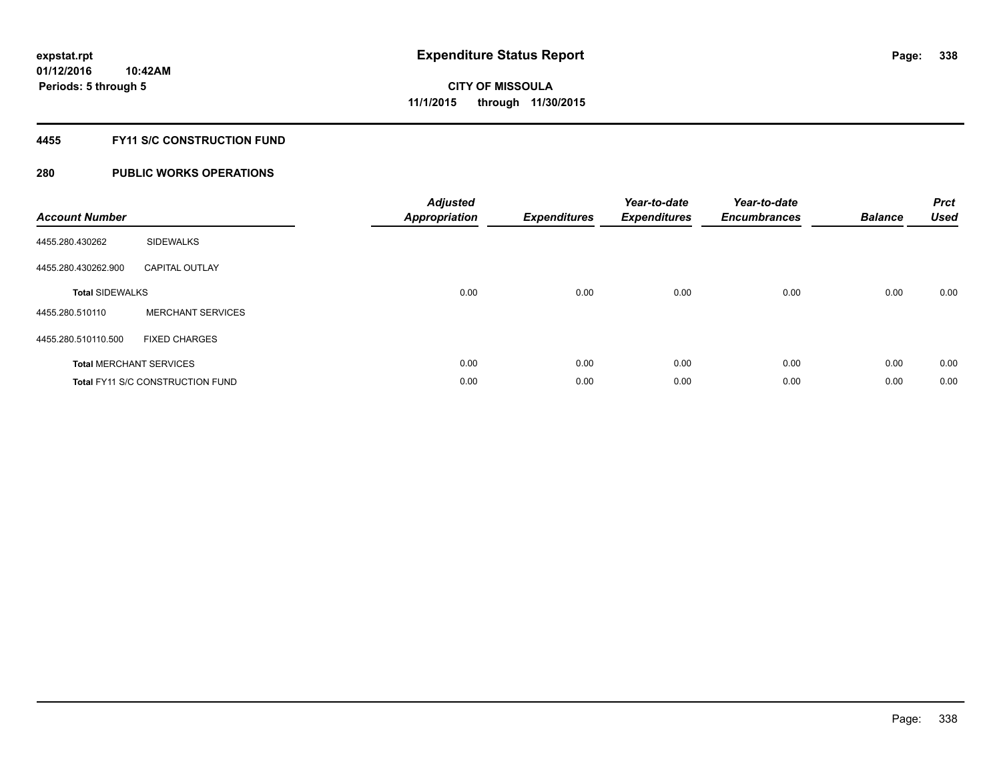#### **4455 FY11 S/C CONSTRUCTION FUND**

| <b>Account Number</b>          |                                         | <b>Adjusted</b><br><b>Appropriation</b> | <b>Expenditures</b> | Year-to-date<br><b>Expenditures</b> | Year-to-date<br><b>Encumbrances</b> | <b>Balance</b> | <b>Prct</b><br><b>Used</b> |
|--------------------------------|-----------------------------------------|-----------------------------------------|---------------------|-------------------------------------|-------------------------------------|----------------|----------------------------|
| 4455.280.430262                | <b>SIDEWALKS</b>                        |                                         |                     |                                     |                                     |                |                            |
| 4455.280.430262.900            | <b>CAPITAL OUTLAY</b>                   |                                         |                     |                                     |                                     |                |                            |
| <b>Total SIDEWALKS</b>         |                                         | 0.00                                    | 0.00                | 0.00                                | 0.00                                | 0.00           | 0.00                       |
| 4455.280.510110                | <b>MERCHANT SERVICES</b>                |                                         |                     |                                     |                                     |                |                            |
| 4455.280.510110.500            | <b>FIXED CHARGES</b>                    |                                         |                     |                                     |                                     |                |                            |
| <b>Total MERCHANT SERVICES</b> |                                         | 0.00                                    | 0.00                | 0.00                                | 0.00                                | 0.00           | 0.00                       |
|                                | <b>Total FY11 S/C CONSTRUCTION FUND</b> | 0.00                                    | 0.00                | 0.00                                | 0.00                                | 0.00           | 0.00                       |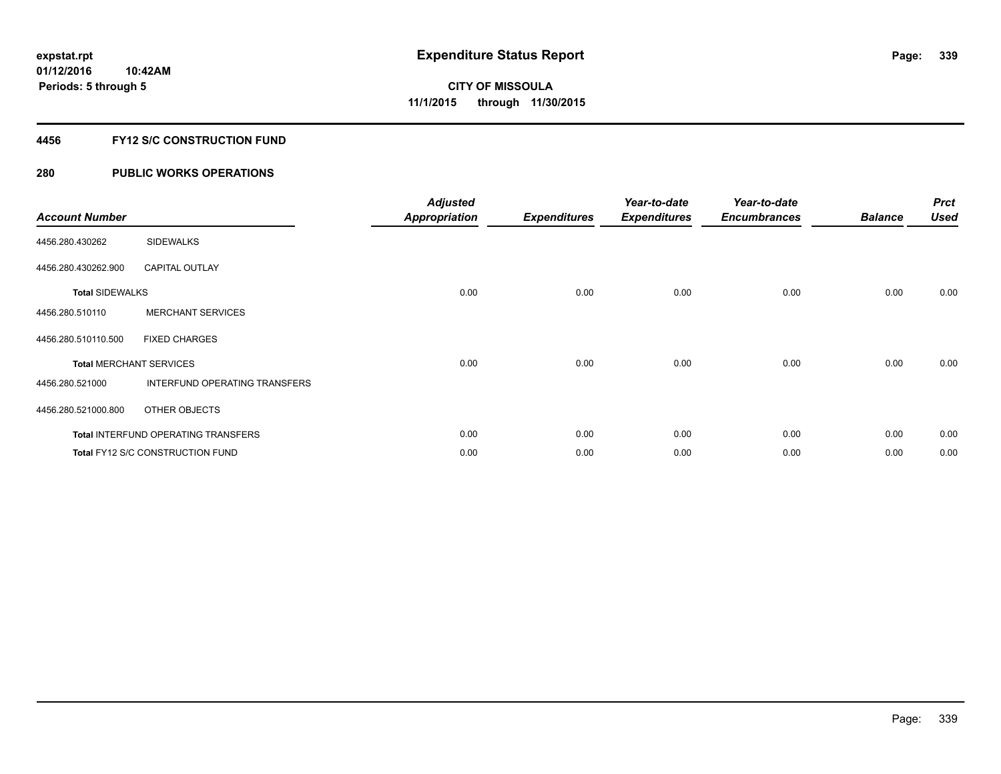### **4456 FY12 S/C CONSTRUCTION FUND**

| <b>Account Number</b>  |                                            | <b>Adjusted</b><br><b>Appropriation</b> | <b>Expenditures</b> | Year-to-date<br><b>Expenditures</b> | Year-to-date<br><b>Encumbrances</b> | <b>Balance</b> | <b>Prct</b><br><b>Used</b> |
|------------------------|--------------------------------------------|-----------------------------------------|---------------------|-------------------------------------|-------------------------------------|----------------|----------------------------|
| 4456.280.430262        | <b>SIDEWALKS</b>                           |                                         |                     |                                     |                                     |                |                            |
| 4456.280.430262.900    | <b>CAPITAL OUTLAY</b>                      |                                         |                     |                                     |                                     |                |                            |
| <b>Total SIDEWALKS</b> |                                            | 0.00                                    | 0.00                | 0.00                                | 0.00                                | 0.00           | 0.00                       |
| 4456.280.510110        | <b>MERCHANT SERVICES</b>                   |                                         |                     |                                     |                                     |                |                            |
| 4456.280.510110.500    | <b>FIXED CHARGES</b>                       |                                         |                     |                                     |                                     |                |                            |
|                        | <b>Total MERCHANT SERVICES</b>             | 0.00                                    | 0.00                | 0.00                                | 0.00                                | 0.00           | 0.00                       |
| 4456.280.521000        | INTERFUND OPERATING TRANSFERS              |                                         |                     |                                     |                                     |                |                            |
| 4456.280.521000.800    | OTHER OBJECTS                              |                                         |                     |                                     |                                     |                |                            |
|                        | <b>Total INTERFUND OPERATING TRANSFERS</b> | 0.00                                    | 0.00                | 0.00                                | 0.00                                | 0.00           | 0.00                       |
|                        | Total FY12 S/C CONSTRUCTION FUND           | 0.00                                    | 0.00                | 0.00                                | 0.00                                | 0.00           | 0.00                       |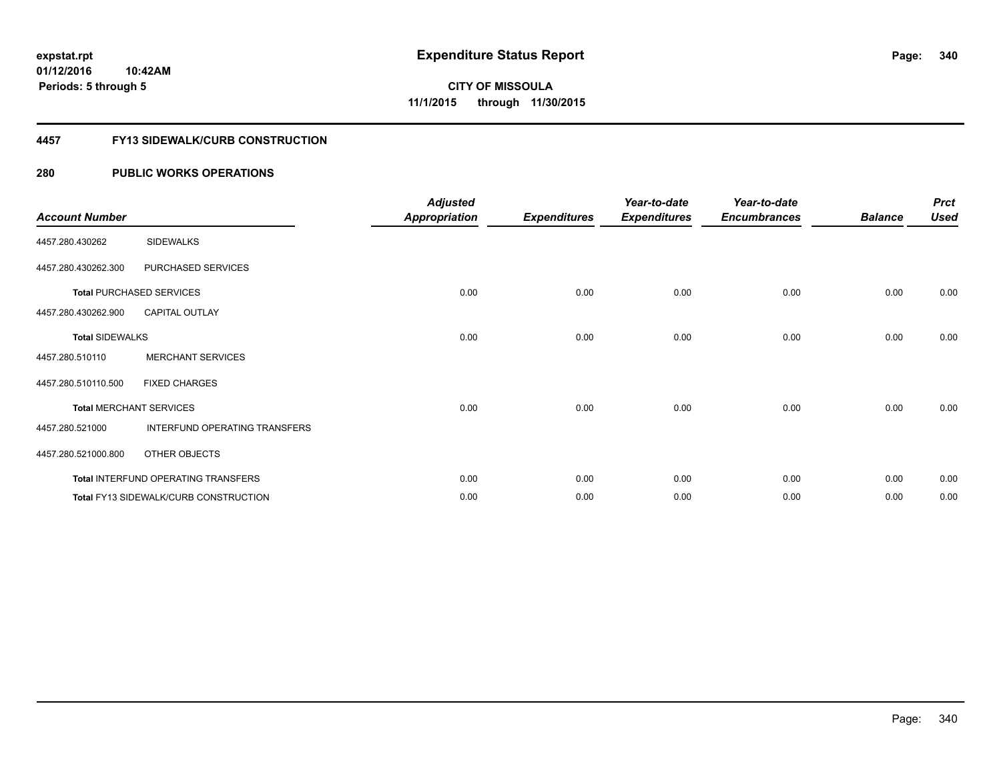#### **4457 FY13 SIDEWALK/CURB CONSTRUCTION**

| <b>Account Number</b>  |                                       | <b>Adjusted</b><br><b>Appropriation</b> | <b>Expenditures</b> | Year-to-date<br><b>Expenditures</b> | Year-to-date<br><b>Encumbrances</b> | <b>Balance</b> | <b>Prct</b><br><b>Used</b> |
|------------------------|---------------------------------------|-----------------------------------------|---------------------|-------------------------------------|-------------------------------------|----------------|----------------------------|
| 4457.280.430262        | <b>SIDEWALKS</b>                      |                                         |                     |                                     |                                     |                |                            |
| 4457.280.430262.300    | PURCHASED SERVICES                    |                                         |                     |                                     |                                     |                |                            |
|                        | <b>Total PURCHASED SERVICES</b>       | 0.00                                    | 0.00                | 0.00                                | 0.00                                | 0.00           | 0.00                       |
| 4457.280.430262.900    | CAPITAL OUTLAY                        |                                         |                     |                                     |                                     |                |                            |
| <b>Total SIDEWALKS</b> |                                       | 0.00                                    | 0.00                | 0.00                                | 0.00                                | 0.00           | 0.00                       |
| 4457.280.510110        | <b>MERCHANT SERVICES</b>              |                                         |                     |                                     |                                     |                |                            |
| 4457.280.510110.500    | <b>FIXED CHARGES</b>                  |                                         |                     |                                     |                                     |                |                            |
|                        | <b>Total MERCHANT SERVICES</b>        | 0.00                                    | 0.00                | 0.00                                | 0.00                                | 0.00           | 0.00                       |
| 4457.280.521000        | INTERFUND OPERATING TRANSFERS         |                                         |                     |                                     |                                     |                |                            |
| 4457.280.521000.800    | OTHER OBJECTS                         |                                         |                     |                                     |                                     |                |                            |
|                        | Total INTERFUND OPERATING TRANSFERS   | 0.00                                    | 0.00                | 0.00                                | 0.00                                | 0.00           | 0.00                       |
|                        | Total FY13 SIDEWALK/CURB CONSTRUCTION | 0.00                                    | 0.00                | 0.00                                | 0.00                                | 0.00           | 0.00                       |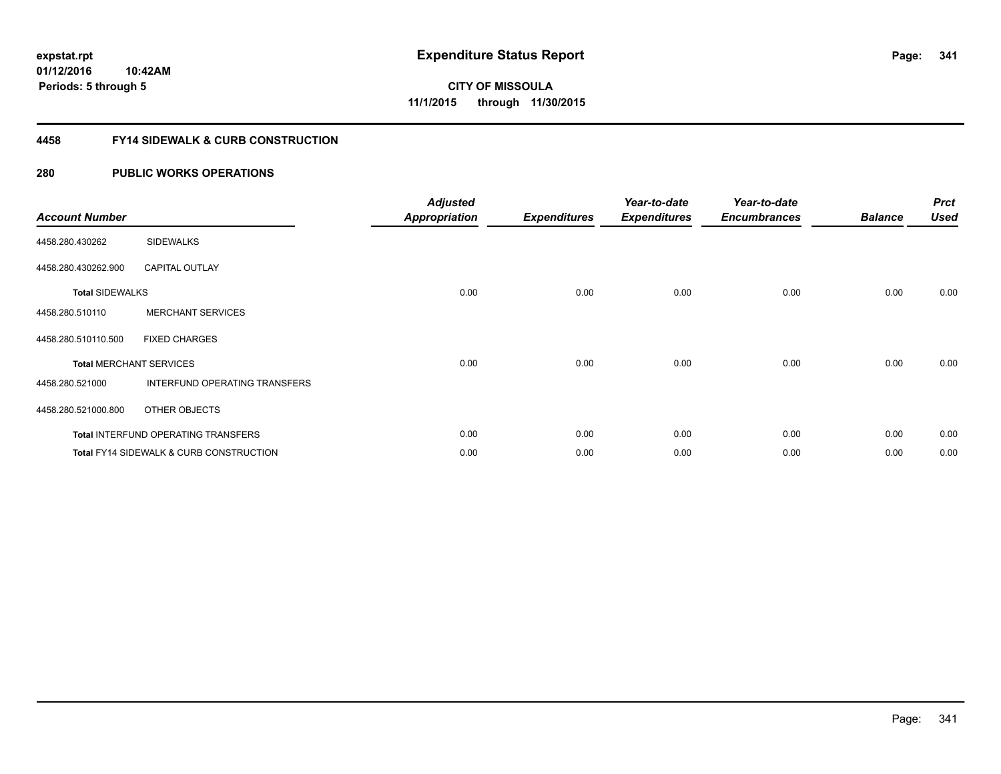**Periods: 5 through 5**

**341**

**CITY OF MISSOULA 11/1/2015 through 11/30/2015**

#### **4458 FY14 SIDEWALK & CURB CONSTRUCTION**

### **280 PUBLIC WORKS OPERATIONS**

**10:42AM**

| <b>Account Number</b>  |                                         | <b>Adjusted</b><br><b>Appropriation</b> | <b>Expenditures</b> | Year-to-date<br><b>Expenditures</b> | Year-to-date<br><b>Encumbrances</b> | <b>Balance</b> | <b>Prct</b><br><b>Used</b> |
|------------------------|-----------------------------------------|-----------------------------------------|---------------------|-------------------------------------|-------------------------------------|----------------|----------------------------|
| 4458.280.430262        | <b>SIDEWALKS</b>                        |                                         |                     |                                     |                                     |                |                            |
| 4458.280.430262.900    | <b>CAPITAL OUTLAY</b>                   |                                         |                     |                                     |                                     |                |                            |
| <b>Total SIDEWALKS</b> |                                         | 0.00                                    | 0.00                | 0.00                                | 0.00                                | 0.00           | 0.00                       |
| 4458.280.510110        | <b>MERCHANT SERVICES</b>                |                                         |                     |                                     |                                     |                |                            |
| 4458.280.510110.500    | <b>FIXED CHARGES</b>                    |                                         |                     |                                     |                                     |                |                            |
|                        | <b>Total MERCHANT SERVICES</b>          | 0.00                                    | 0.00                | 0.00                                | 0.00                                | 0.00           | 0.00                       |
| 4458.280.521000        | INTERFUND OPERATING TRANSFERS           |                                         |                     |                                     |                                     |                |                            |
| 4458.280.521000.800    | OTHER OBJECTS                           |                                         |                     |                                     |                                     |                |                            |
|                        | Total INTERFUND OPERATING TRANSFERS     | 0.00                                    | 0.00                | 0.00                                | 0.00                                | 0.00           | 0.00                       |
|                        | Total FY14 SIDEWALK & CURB CONSTRUCTION | 0.00                                    | 0.00                | 0.00                                | 0.00                                | 0.00           | 0.00                       |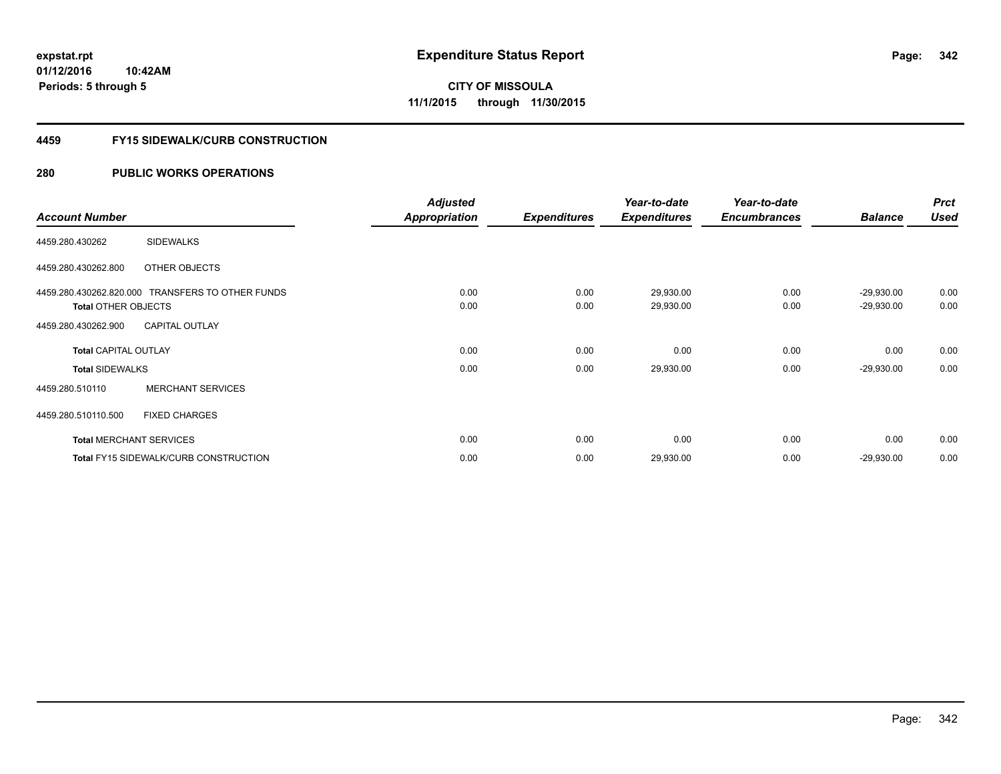**342**

**01/12/2016 10:42AM Periods: 5 through 5**

**CITY OF MISSOULA 11/1/2015 through 11/30/2015**

#### **4459 FY15 SIDEWALK/CURB CONSTRUCTION**

|                             |                                                  | <b>Adjusted</b>      |                     | Year-to-date        | Year-to-date        |                | <b>Prct</b> |
|-----------------------------|--------------------------------------------------|----------------------|---------------------|---------------------|---------------------|----------------|-------------|
| <b>Account Number</b>       |                                                  | <b>Appropriation</b> | <b>Expenditures</b> | <b>Expenditures</b> | <b>Encumbrances</b> | <b>Balance</b> | <b>Used</b> |
| 4459.280.430262             | <b>SIDEWALKS</b>                                 |                      |                     |                     |                     |                |             |
| 4459.280.430262.800         | OTHER OBJECTS                                    |                      |                     |                     |                     |                |             |
|                             | 4459.280.430262.820.000 TRANSFERS TO OTHER FUNDS | 0.00                 | 0.00                | 29,930.00           | 0.00                | $-29,930.00$   | 0.00        |
| <b>Total OTHER OBJECTS</b>  |                                                  | 0.00                 | 0.00                | 29,930.00           | 0.00                | $-29,930.00$   | 0.00        |
| 4459.280.430262.900         | <b>CAPITAL OUTLAY</b>                            |                      |                     |                     |                     |                |             |
| <b>Total CAPITAL OUTLAY</b> |                                                  | 0.00                 | 0.00                | 0.00                | 0.00                | 0.00           | 0.00        |
| <b>Total SIDEWALKS</b>      |                                                  | 0.00                 | 0.00                | 29,930.00           | 0.00                | $-29,930.00$   | 0.00        |
| 4459.280.510110             | <b>MERCHANT SERVICES</b>                         |                      |                     |                     |                     |                |             |
| 4459.280.510110.500         | <b>FIXED CHARGES</b>                             |                      |                     |                     |                     |                |             |
|                             | <b>Total MERCHANT SERVICES</b>                   | 0.00                 | 0.00                | 0.00                | 0.00                | 0.00           | 0.00        |
|                             | <b>Total FY15 SIDEWALK/CURB CONSTRUCTION</b>     | 0.00                 | 0.00                | 29,930.00           | 0.00                | $-29,930.00$   | 0.00        |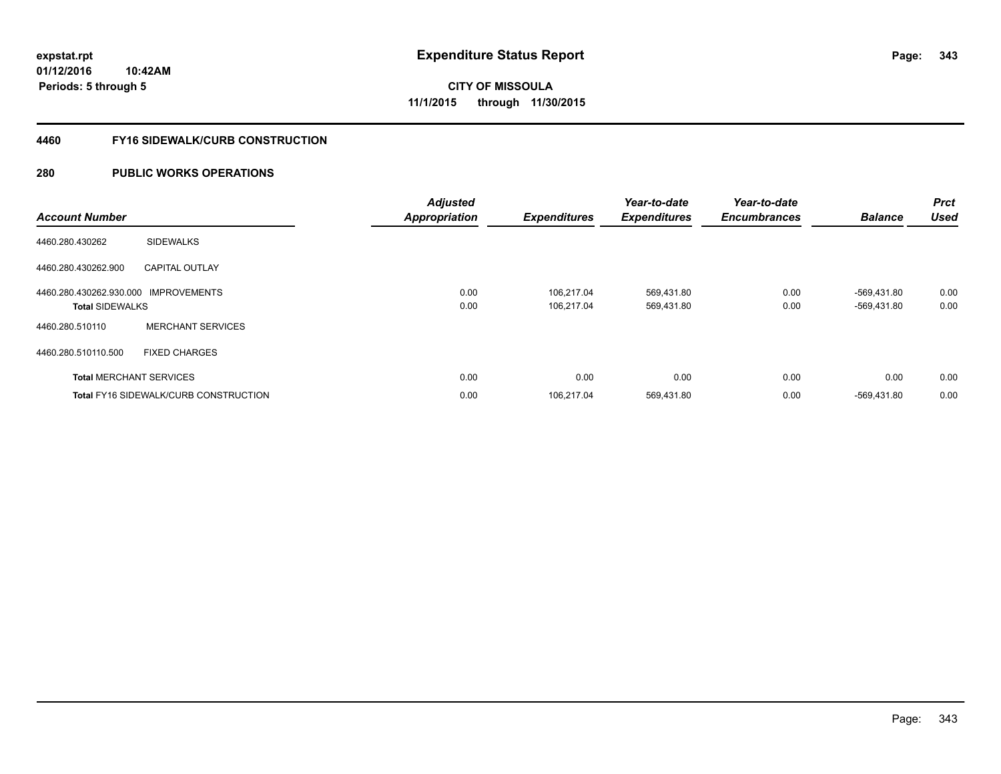**Periods: 5 through 5**

**CITY OF MISSOULA 11/1/2015 through 11/30/2015**

#### **4460 FY16 SIDEWALK/CURB CONSTRUCTION**

| <b>Account Number</b>                                          |                                              | <b>Adjusted</b><br><b>Appropriation</b> | <b>Expenditures</b>      | Year-to-date<br><b>Expenditures</b> | Year-to-date<br><b>Encumbrances</b> | <b>Balance</b>             | <b>Prct</b><br><b>Used</b> |
|----------------------------------------------------------------|----------------------------------------------|-----------------------------------------|--------------------------|-------------------------------------|-------------------------------------|----------------------------|----------------------------|
| 4460.280.430262                                                | <b>SIDEWALKS</b>                             |                                         |                          |                                     |                                     |                            |                            |
| 4460.280.430262.900                                            | <b>CAPITAL OUTLAY</b>                        |                                         |                          |                                     |                                     |                            |                            |
| 4460.280.430262.930.000 IMPROVEMENTS<br><b>Total SIDEWALKS</b> |                                              | 0.00<br>0.00                            | 106.217.04<br>106.217.04 | 569,431.80<br>569,431.80            | 0.00<br>0.00                        | -569,431.80<br>-569,431.80 | 0.00<br>0.00               |
| 4460.280.510110                                                | <b>MERCHANT SERVICES</b>                     |                                         |                          |                                     |                                     |                            |                            |
| 4460.280.510110.500                                            | <b>FIXED CHARGES</b>                         |                                         |                          |                                     |                                     |                            |                            |
|                                                                | <b>Total MERCHANT SERVICES</b>               | 0.00                                    | 0.00                     | 0.00                                | 0.00                                | 0.00                       | 0.00                       |
|                                                                | <b>Total FY16 SIDEWALK/CURB CONSTRUCTION</b> | 0.00                                    | 106,217.04               | 569,431.80                          | 0.00                                | -569.431.80                | 0.00                       |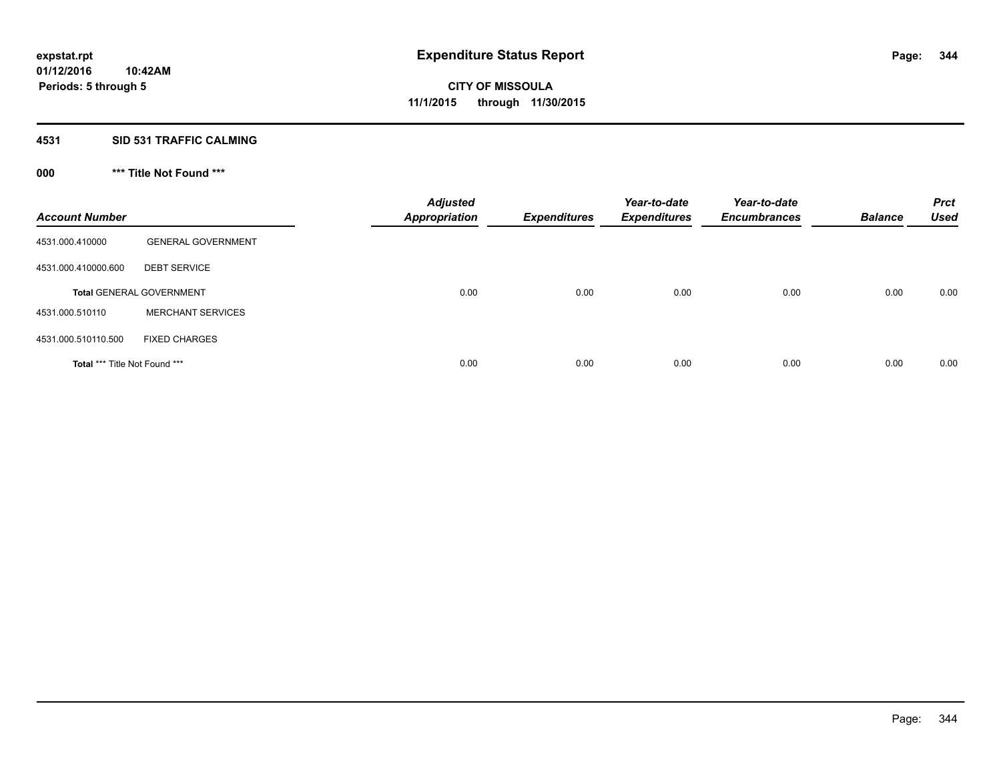#### **4531 SID 531 TRAFFIC CALMING**

## **000 \*\*\* Title Not Found \*\*\***

| <b>Account Number</b>         |                                 | <b>Adjusted</b><br><b>Appropriation</b> | <b>Expenditures</b> | Year-to-date<br><b>Expenditures</b> | Year-to-date<br><b>Encumbrances</b> | <b>Balance</b> | <b>Prct</b><br><b>Used</b> |
|-------------------------------|---------------------------------|-----------------------------------------|---------------------|-------------------------------------|-------------------------------------|----------------|----------------------------|
| 4531.000.410000               | <b>GENERAL GOVERNMENT</b>       |                                         |                     |                                     |                                     |                |                            |
| 4531.000.410000.600           | <b>DEBT SERVICE</b>             |                                         |                     |                                     |                                     |                |                            |
|                               | <b>Total GENERAL GOVERNMENT</b> | 0.00                                    | 0.00                | 0.00                                | 0.00                                | 0.00           | 0.00                       |
| 4531.000.510110               | <b>MERCHANT SERVICES</b>        |                                         |                     |                                     |                                     |                |                            |
| 4531.000.510110.500           | <b>FIXED CHARGES</b>            |                                         |                     |                                     |                                     |                |                            |
| Total *** Title Not Found *** |                                 | 0.00                                    | 0.00                | 0.00                                | 0.00                                | 0.00           | 0.00                       |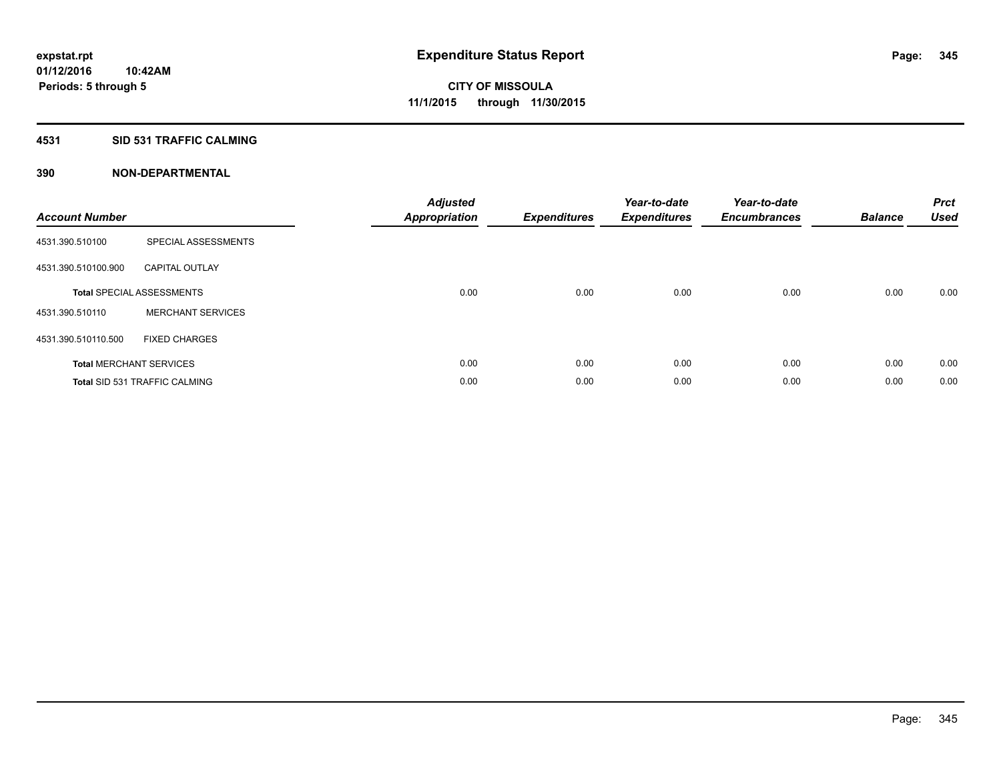#### **4531 SID 531 TRAFFIC CALMING**

| <b>Account Number</b> |                                      | <b>Adjusted</b><br>Appropriation | <b>Expenditures</b> | Year-to-date<br><b>Expenditures</b> | Year-to-date<br><b>Encumbrances</b> | <b>Balance</b> | <b>Prct</b><br><b>Used</b> |
|-----------------------|--------------------------------------|----------------------------------|---------------------|-------------------------------------|-------------------------------------|----------------|----------------------------|
| 4531.390.510100       | SPECIAL ASSESSMENTS                  |                                  |                     |                                     |                                     |                |                            |
| 4531.390.510100.900   | <b>CAPITAL OUTLAY</b>                |                                  |                     |                                     |                                     |                |                            |
|                       | <b>Total SPECIAL ASSESSMENTS</b>     | 0.00                             | 0.00                | 0.00                                | 0.00                                | 0.00           | 0.00                       |
| 4531.390.510110       | <b>MERCHANT SERVICES</b>             |                                  |                     |                                     |                                     |                |                            |
| 4531.390.510110.500   | <b>FIXED CHARGES</b>                 |                                  |                     |                                     |                                     |                |                            |
|                       | <b>Total MERCHANT SERVICES</b>       | 0.00                             | 0.00                | 0.00                                | 0.00                                | 0.00           | 0.00                       |
|                       | <b>Total SID 531 TRAFFIC CALMING</b> | 0.00                             | 0.00                | 0.00                                | 0.00                                | 0.00           | 0.00                       |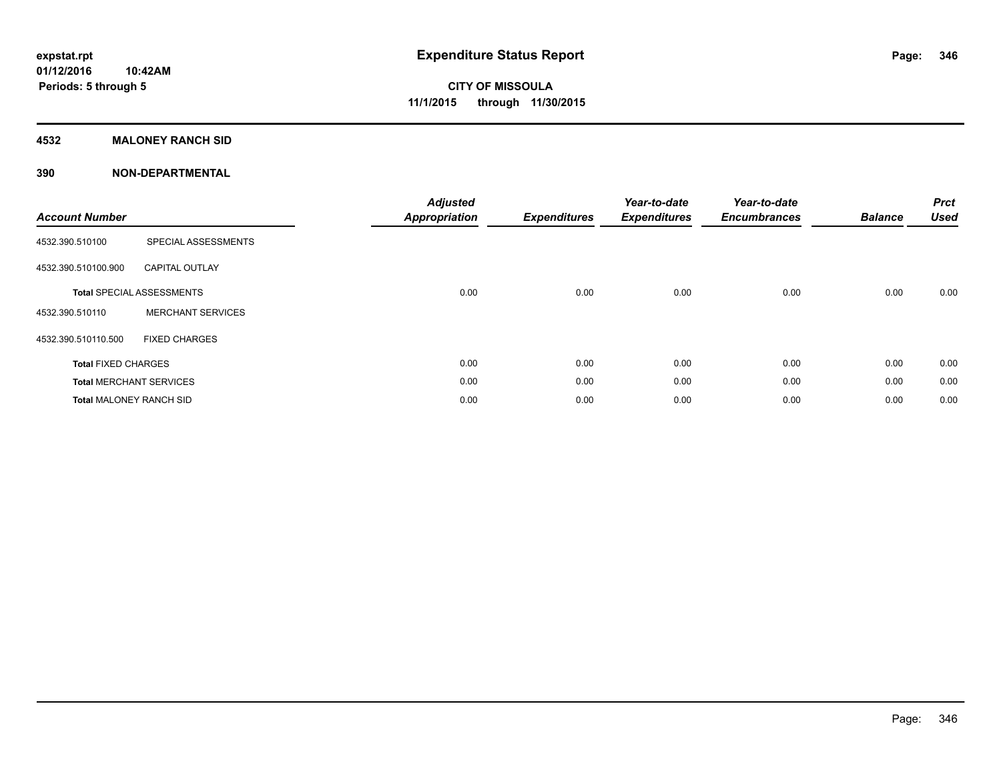#### **4532 MALONEY RANCH SID**

| <b>Account Number</b>          |                                  | <b>Adjusted</b><br><b>Appropriation</b> | <b>Expenditures</b> | Year-to-date<br><b>Expenditures</b> | Year-to-date<br><b>Encumbrances</b> | <b>Balance</b> | <b>Prct</b><br><b>Used</b> |
|--------------------------------|----------------------------------|-----------------------------------------|---------------------|-------------------------------------|-------------------------------------|----------------|----------------------------|
| 4532.390.510100                | SPECIAL ASSESSMENTS              |                                         |                     |                                     |                                     |                |                            |
| 4532.390.510100.900            | <b>CAPITAL OUTLAY</b>            |                                         |                     |                                     |                                     |                |                            |
|                                | <b>Total SPECIAL ASSESSMENTS</b> | 0.00                                    | 0.00                | 0.00                                | 0.00                                | 0.00           | 0.00                       |
| 4532.390.510110                | <b>MERCHANT SERVICES</b>         |                                         |                     |                                     |                                     |                |                            |
| 4532.390.510110.500            | <b>FIXED CHARGES</b>             |                                         |                     |                                     |                                     |                |                            |
| <b>Total FIXED CHARGES</b>     |                                  | 0.00                                    | 0.00                | 0.00                                | 0.00                                | 0.00           | 0.00                       |
|                                | <b>Total MERCHANT SERVICES</b>   | 0.00                                    | 0.00                | 0.00                                | 0.00                                | 0.00           | 0.00                       |
| <b>Total MALONEY RANCH SID</b> |                                  | 0.00                                    | 0.00                | 0.00                                | 0.00                                | 0.00           | 0.00                       |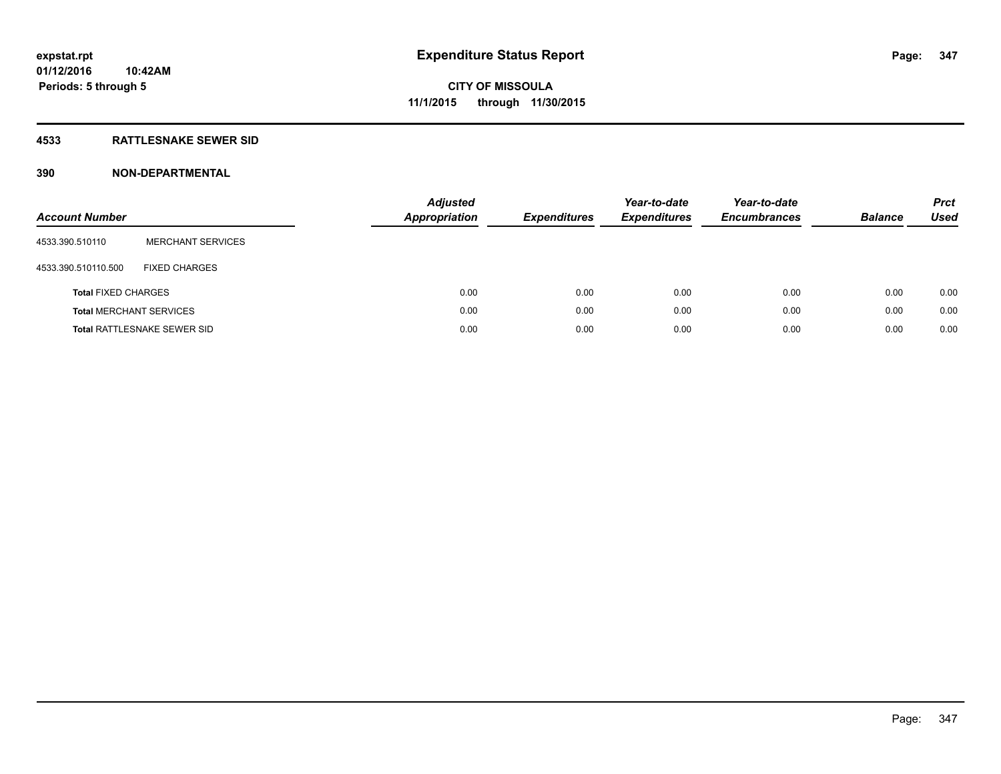#### **4533 RATTLESNAKE SEWER SID**

| <b>Account Number</b>      |                                    | <b>Adjusted</b><br><b>Appropriation</b> | <b>Expenditures</b> | Year-to-date<br><b>Expenditures</b> | Year-to-date<br><b>Encumbrances</b> | <b>Balance</b> | <b>Prct</b><br><b>Used</b> |
|----------------------------|------------------------------------|-----------------------------------------|---------------------|-------------------------------------|-------------------------------------|----------------|----------------------------|
| 4533.390.510110            | <b>MERCHANT SERVICES</b>           |                                         |                     |                                     |                                     |                |                            |
| 4533.390.510110.500        | <b>FIXED CHARGES</b>               |                                         |                     |                                     |                                     |                |                            |
| <b>Total FIXED CHARGES</b> |                                    |                                         | 0.00<br>0.00        | 0.00                                | 0.00                                | 0.00           | 0.00                       |
|                            | <b>Total MERCHANT SERVICES</b>     |                                         | 0.00<br>0.00        | 0.00                                | 0.00                                | 0.00           | 0.00                       |
|                            | <b>Total RATTLESNAKE SEWER SID</b> |                                         | 0.00<br>0.00        | 0.00                                | 0.00                                | 0.00           | 0.00                       |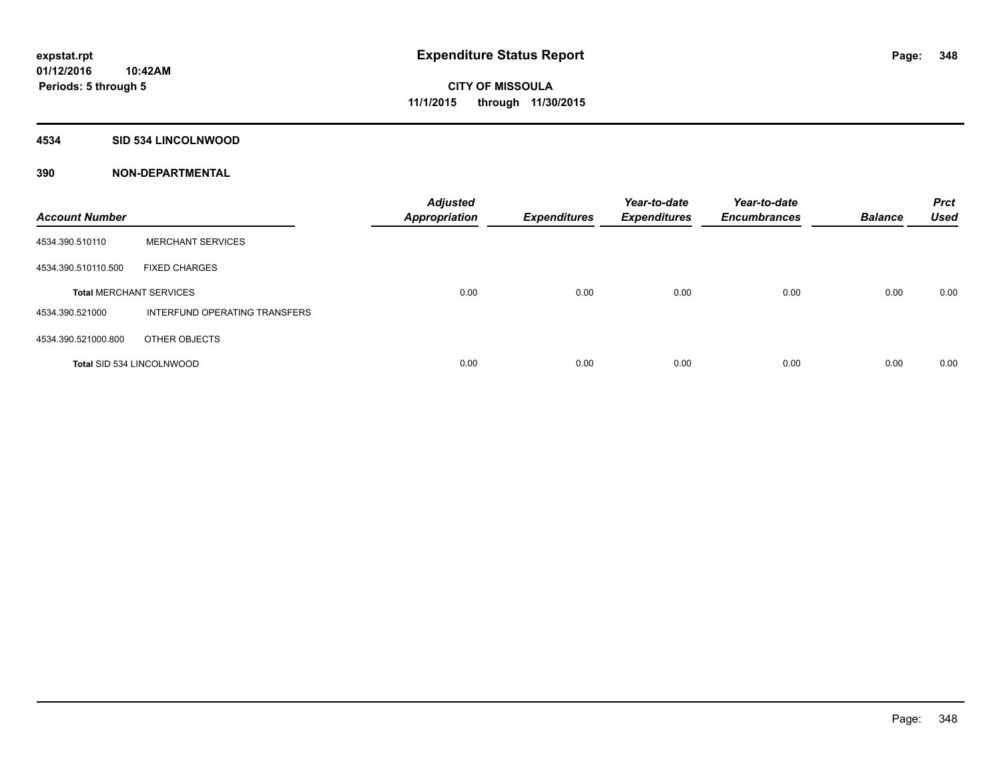#### **4534 SID 534 LINCOLNWOOD**

| <b>Account Number</b>            |                               | <b>Adjusted</b><br><b>Appropriation</b> | <b>Expenditures</b> | Year-to-date<br><b>Expenditures</b> | Year-to-date<br><b>Encumbrances</b> | <b>Balance</b> | <b>Prct</b><br><b>Used</b> |
|----------------------------------|-------------------------------|-----------------------------------------|---------------------|-------------------------------------|-------------------------------------|----------------|----------------------------|
| 4534.390.510110                  | <b>MERCHANT SERVICES</b>      |                                         |                     |                                     |                                     |                |                            |
| 4534.390.510110.500              | <b>FIXED CHARGES</b>          |                                         |                     |                                     |                                     |                |                            |
| <b>Total MERCHANT SERVICES</b>   |                               | 0.00                                    | 0.00                | 0.00                                | 0.00                                | 0.00           | 0.00                       |
| 4534.390.521000                  | INTERFUND OPERATING TRANSFERS |                                         |                     |                                     |                                     |                |                            |
| 4534.390.521000.800              | OTHER OBJECTS                 |                                         |                     |                                     |                                     |                |                            |
| <b>Total SID 534 LINCOLNWOOD</b> |                               | 0.00                                    | 0.00                | 0.00                                | 0.00                                | 0.00           | 0.00                       |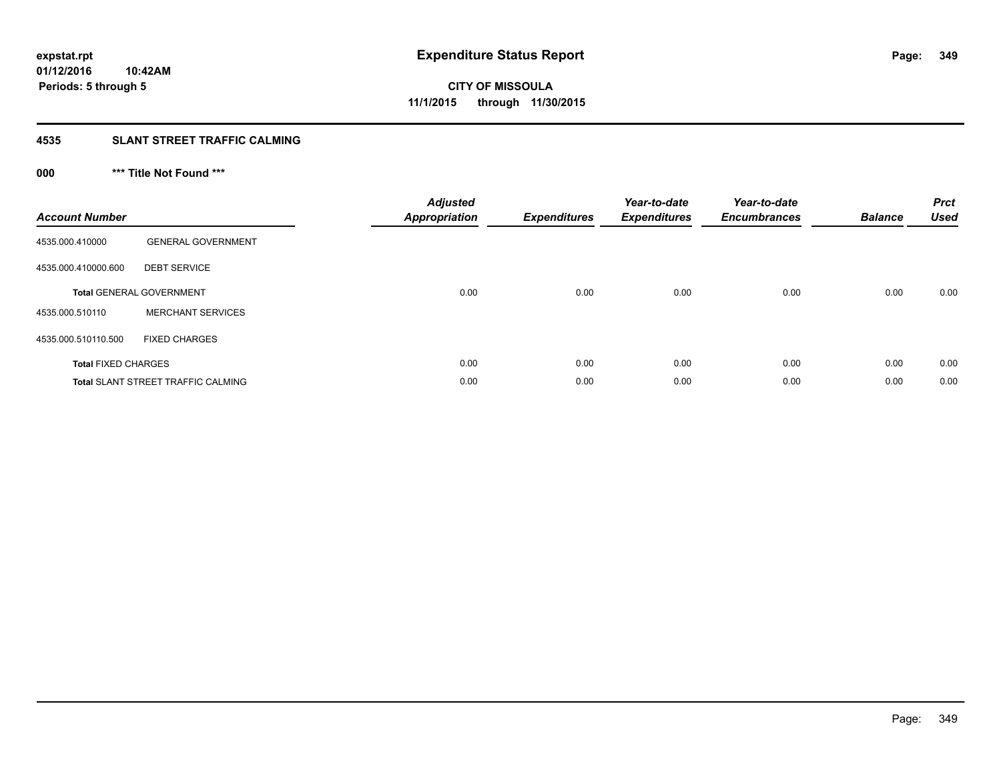#### **4535 SLANT STREET TRAFFIC CALMING**

## **000 \*\*\* Title Not Found \*\*\***

| <b>Account Number</b>      |                                           | <b>Adjusted</b><br><b>Appropriation</b> | <b>Expenditures</b> | Year-to-date<br><b>Expenditures</b> | Year-to-date<br><b>Encumbrances</b> | <b>Balance</b> | <b>Prct</b><br><b>Used</b> |
|----------------------------|-------------------------------------------|-----------------------------------------|---------------------|-------------------------------------|-------------------------------------|----------------|----------------------------|
| 4535.000.410000            | <b>GENERAL GOVERNMENT</b>                 |                                         |                     |                                     |                                     |                |                            |
| 4535.000.410000.600        | <b>DEBT SERVICE</b>                       |                                         |                     |                                     |                                     |                |                            |
|                            | <b>Total GENERAL GOVERNMENT</b>           | 0.00                                    | 0.00                | 0.00                                | 0.00                                | 0.00           | 0.00                       |
| 4535.000.510110            | <b>MERCHANT SERVICES</b>                  |                                         |                     |                                     |                                     |                |                            |
| 4535.000.510110.500        | <b>FIXED CHARGES</b>                      |                                         |                     |                                     |                                     |                |                            |
| <b>Total FIXED CHARGES</b> |                                           | 0.00                                    | 0.00                | 0.00                                | 0.00                                | 0.00           | 0.00                       |
|                            | <b>Total SLANT STREET TRAFFIC CALMING</b> | 0.00                                    | 0.00                | 0.00                                | 0.00                                | 0.00           | 0.00                       |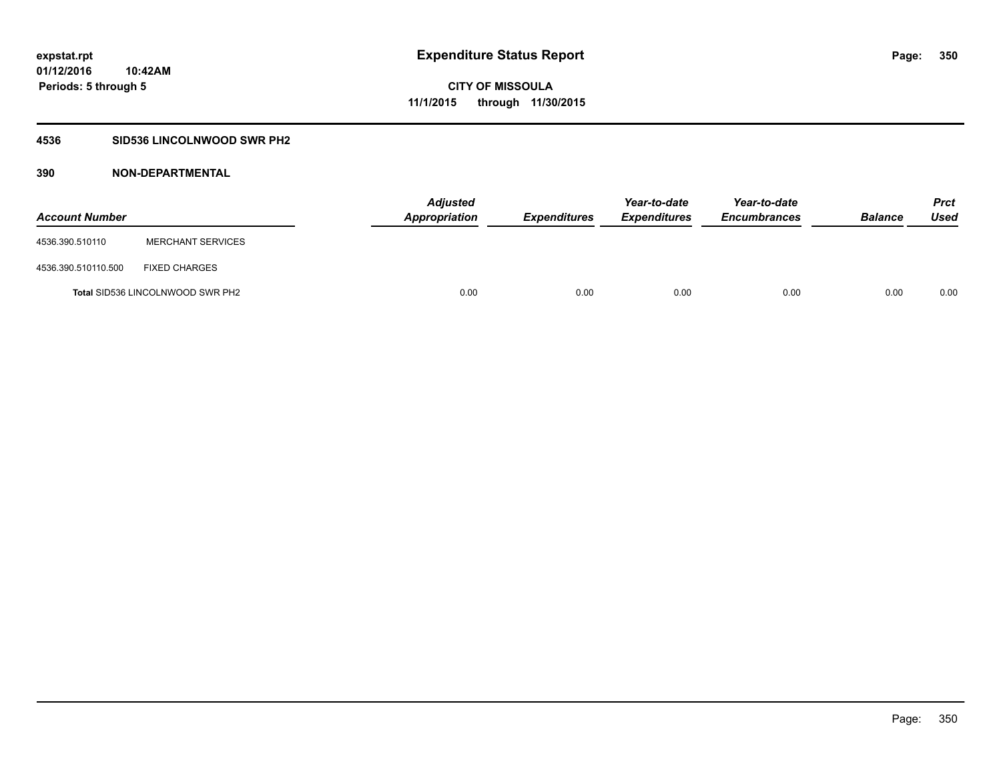### **4536 SID536 LINCOLNWOOD SWR PH2**

| <b>Account Number</b> |                                  | <b>Adjusted</b><br>Appropriation | <b>Expenditures</b> | Year-to-date<br><b>Expenditures</b> | Year-to-date<br><b>Encumbrances</b> | <b>Balance</b> | <b>Prct</b><br><b>Used</b> |
|-----------------------|----------------------------------|----------------------------------|---------------------|-------------------------------------|-------------------------------------|----------------|----------------------------|
| 4536.390.510110       | <b>MERCHANT SERVICES</b>         |                                  |                     |                                     |                                     |                |                            |
| 4536.390.510110.500   | <b>FIXED CHARGES</b>             |                                  |                     |                                     |                                     |                |                            |
|                       | Total SID536 LINCOLNWOOD SWR PH2 | 0.00                             | 0.00                | 0.00                                | 0.00                                | 0.00           | 0.00                       |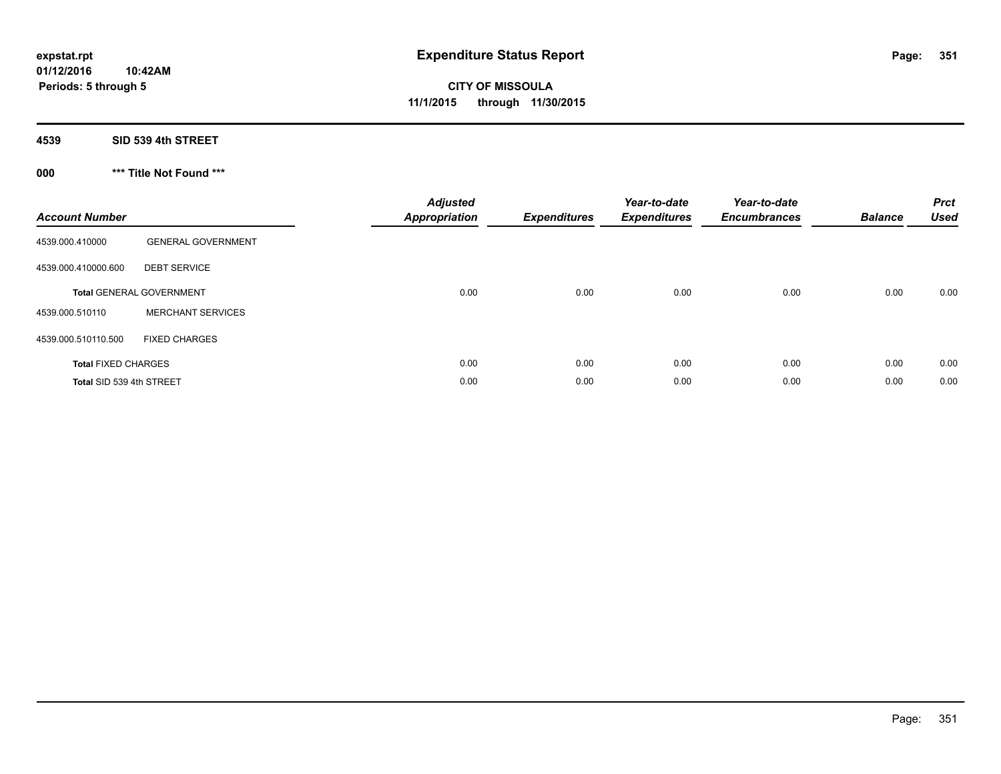#### **4539 SID 539 4th STREET**

## **000 \*\*\* Title Not Found \*\*\***

| <b>Account Number</b>      |                                 | <b>Adjusted</b><br><b>Appropriation</b> | Expenditures | Year-to-date<br><b>Expenditures</b> | Year-to-date<br><b>Encumbrances</b> | <b>Balance</b> | <b>Prct</b><br><b>Used</b> |
|----------------------------|---------------------------------|-----------------------------------------|--------------|-------------------------------------|-------------------------------------|----------------|----------------------------|
| 4539.000.410000            | <b>GENERAL GOVERNMENT</b>       |                                         |              |                                     |                                     |                |                            |
| 4539.000.410000.600        | <b>DEBT SERVICE</b>             |                                         |              |                                     |                                     |                |                            |
|                            | <b>Total GENERAL GOVERNMENT</b> | 0.00                                    | 0.00         | 0.00                                | 0.00                                | 0.00           | 0.00                       |
| 4539.000.510110            | <b>MERCHANT SERVICES</b>        |                                         |              |                                     |                                     |                |                            |
| 4539.000.510110.500        | <b>FIXED CHARGES</b>            |                                         |              |                                     |                                     |                |                            |
| <b>Total FIXED CHARGES</b> |                                 | 0.00                                    | 0.00         | 0.00                                | 0.00                                | 0.00           | 0.00                       |
| Total SID 539 4th STREET   |                                 | 0.00                                    | 0.00         | 0.00                                | 0.00                                | 0.00           | 0.00                       |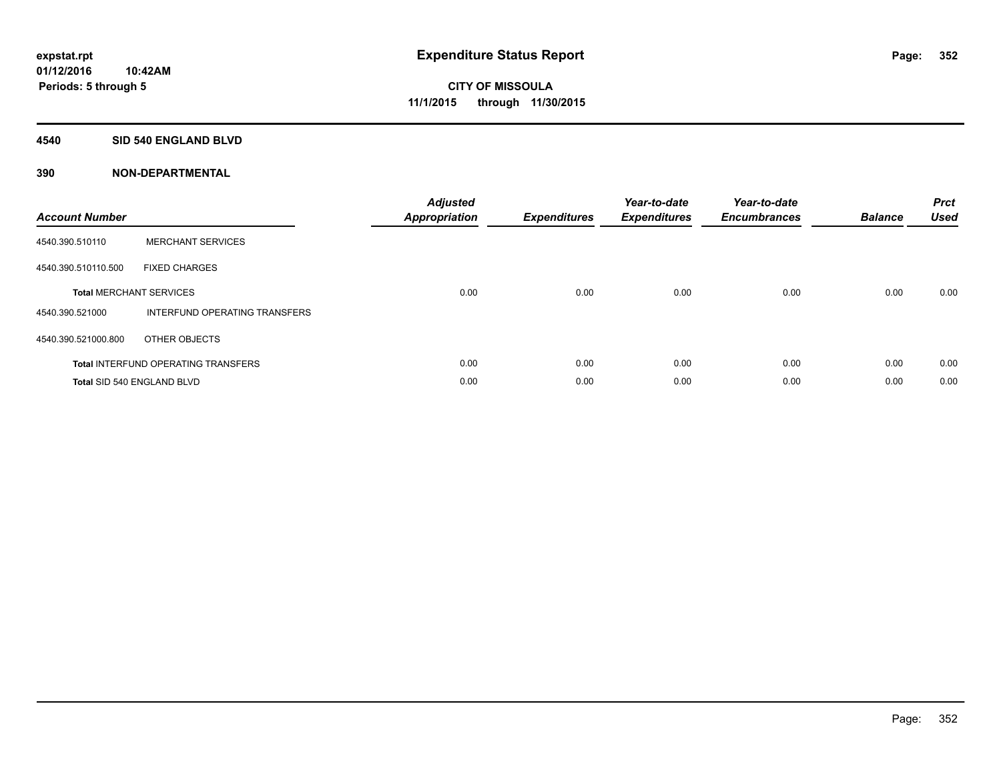#### **4540 SID 540 ENGLAND BLVD**

| <b>Account Number</b> |                                            | <b>Adjusted</b><br>Appropriation | <b>Expenditures</b> | Year-to-date<br><b>Expenditures</b> | Year-to-date<br><b>Encumbrances</b> | <b>Balance</b> | <b>Prct</b><br><b>Used</b> |
|-----------------------|--------------------------------------------|----------------------------------|---------------------|-------------------------------------|-------------------------------------|----------------|----------------------------|
| 4540.390.510110       | <b>MERCHANT SERVICES</b>                   |                                  |                     |                                     |                                     |                |                            |
| 4540.390.510110.500   | <b>FIXED CHARGES</b>                       |                                  |                     |                                     |                                     |                |                            |
|                       | <b>Total MERCHANT SERVICES</b>             | 0.00                             | 0.00                | 0.00                                | 0.00                                | 0.00           | 0.00                       |
| 4540.390.521000       | INTERFUND OPERATING TRANSFERS              |                                  |                     |                                     |                                     |                |                            |
| 4540.390.521000.800   | OTHER OBJECTS                              |                                  |                     |                                     |                                     |                |                            |
|                       | <b>Total INTERFUND OPERATING TRANSFERS</b> | 0.00                             | 0.00                | 0.00                                | 0.00                                | 0.00           | 0.00                       |
|                       | Total SID 540 ENGLAND BLVD                 | 0.00                             | 0.00                | 0.00                                | 0.00                                | 0.00           | 0.00                       |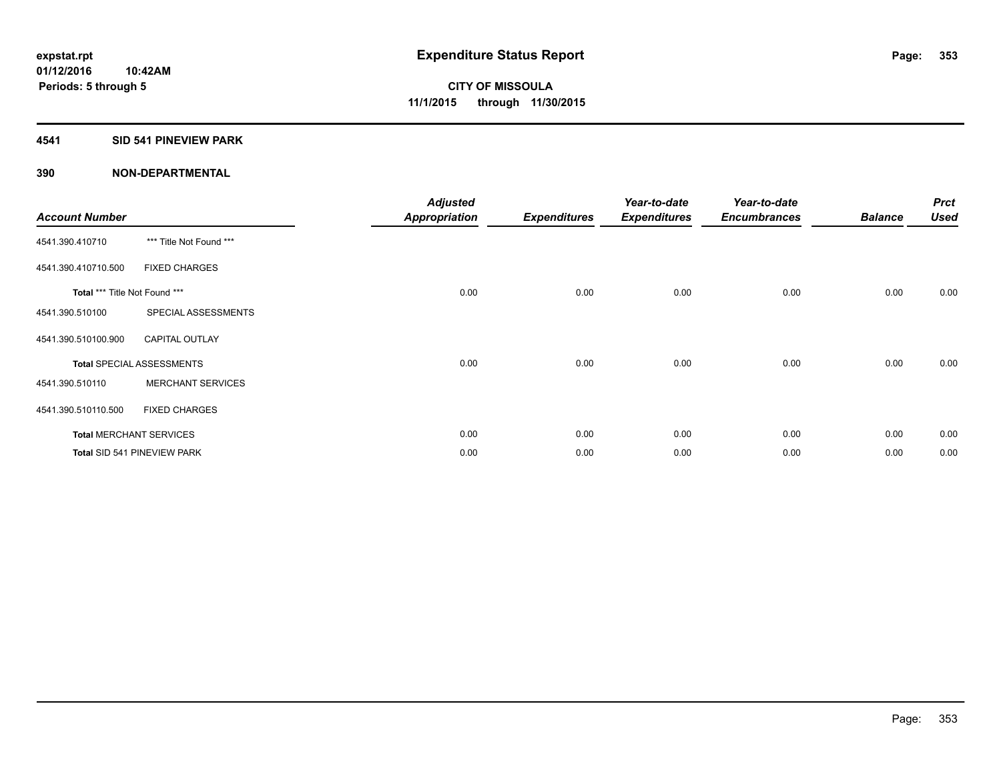#### **4541 SID 541 PINEVIEW PARK**

| <b>Account Number</b>         |                                  | <b>Adjusted</b><br><b>Appropriation</b> | <b>Expenditures</b> | Year-to-date<br><b>Expenditures</b> | Year-to-date<br><b>Encumbrances</b> | <b>Balance</b> | <b>Prct</b><br><b>Used</b> |
|-------------------------------|----------------------------------|-----------------------------------------|---------------------|-------------------------------------|-------------------------------------|----------------|----------------------------|
| 4541.390.410710               | *** Title Not Found ***          |                                         |                     |                                     |                                     |                |                            |
| 4541.390.410710.500           | <b>FIXED CHARGES</b>             |                                         |                     |                                     |                                     |                |                            |
| Total *** Title Not Found *** |                                  | 0.00                                    | 0.00                | 0.00                                | 0.00                                | 0.00           | 0.00                       |
| 4541.390.510100               | SPECIAL ASSESSMENTS              |                                         |                     |                                     |                                     |                |                            |
| 4541.390.510100.900           | <b>CAPITAL OUTLAY</b>            |                                         |                     |                                     |                                     |                |                            |
|                               | <b>Total SPECIAL ASSESSMENTS</b> | 0.00                                    | 0.00                | 0.00                                | 0.00                                | 0.00           | 0.00                       |
| 4541.390.510110               | <b>MERCHANT SERVICES</b>         |                                         |                     |                                     |                                     |                |                            |
| 4541.390.510110.500           | <b>FIXED CHARGES</b>             |                                         |                     |                                     |                                     |                |                            |
|                               | <b>Total MERCHANT SERVICES</b>   | 0.00                                    | 0.00                | 0.00                                | 0.00                                | 0.00           | 0.00                       |
|                               | Total SID 541 PINEVIEW PARK      | 0.00                                    | 0.00                | 0.00                                | 0.00                                | 0.00           | 0.00                       |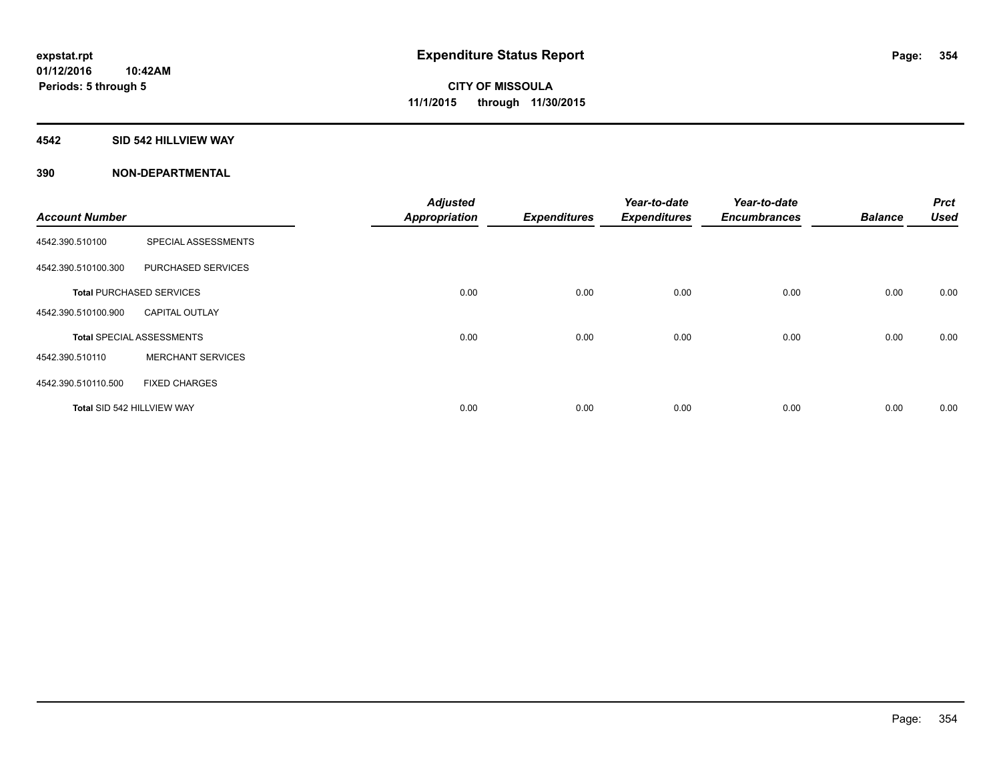#### **4542 SID 542 HILLVIEW WAY**

|                            |                                  | <b>Adjusted</b>      |                     | Year-to-date        | Year-to-date        |                | <b>Prct</b> |
|----------------------------|----------------------------------|----------------------|---------------------|---------------------|---------------------|----------------|-------------|
| <b>Account Number</b>      |                                  | <b>Appropriation</b> | <b>Expenditures</b> | <b>Expenditures</b> | <b>Encumbrances</b> | <b>Balance</b> | <b>Used</b> |
| 4542.390.510100            | SPECIAL ASSESSMENTS              |                      |                     |                     |                     |                |             |
| 4542.390.510100.300        | PURCHASED SERVICES               |                      |                     |                     |                     |                |             |
|                            | <b>Total PURCHASED SERVICES</b>  | 0.00                 | 0.00                | 0.00                | 0.00                | 0.00           | 0.00        |
| 4542.390.510100.900        | <b>CAPITAL OUTLAY</b>            |                      |                     |                     |                     |                |             |
|                            | <b>Total SPECIAL ASSESSMENTS</b> | 0.00                 | 0.00                | 0.00                | 0.00                | 0.00           | 0.00        |
| 4542.390.510110            | <b>MERCHANT SERVICES</b>         |                      |                     |                     |                     |                |             |
| 4542.390.510110.500        | <b>FIXED CHARGES</b>             |                      |                     |                     |                     |                |             |
| Total SID 542 HILLVIEW WAY |                                  | 0.00                 | 0.00                | 0.00                | 0.00                | 0.00           | 0.00        |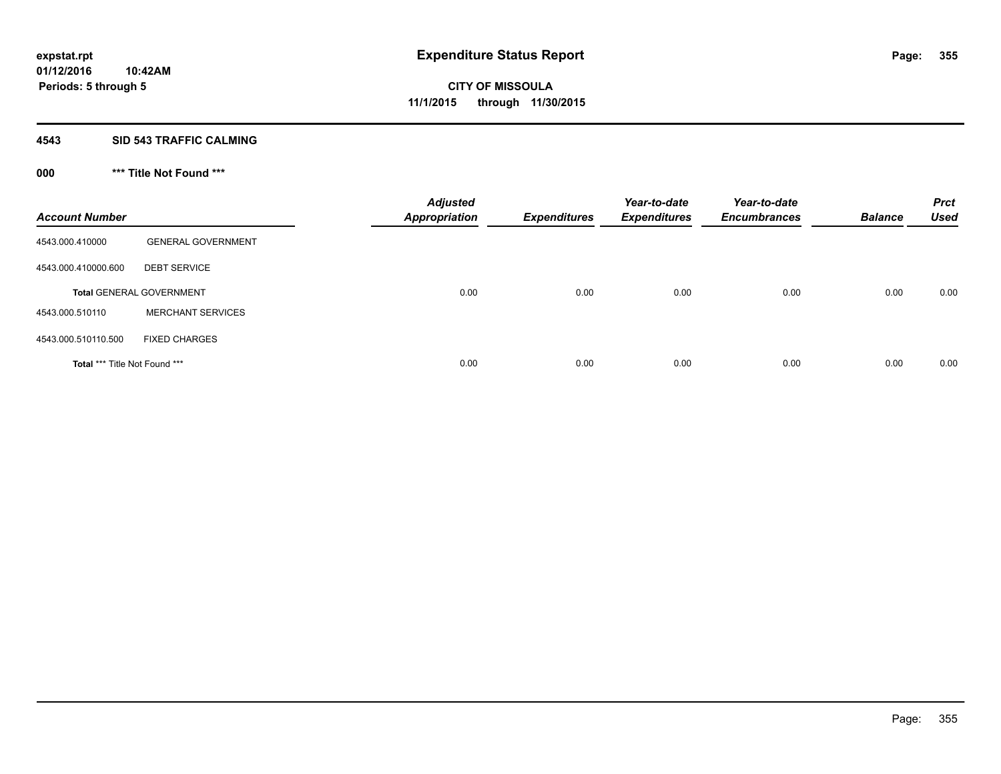#### **4543 SID 543 TRAFFIC CALMING**

## **000 \*\*\* Title Not Found \*\*\***

| <b>Account Number</b>                |                                 | <b>Adjusted</b><br><b>Appropriation</b> | <b>Expenditures</b> | Year-to-date<br><b>Expenditures</b> | Year-to-date<br><b>Encumbrances</b> | <b>Balance</b> | <b>Prct</b><br><b>Used</b> |
|--------------------------------------|---------------------------------|-----------------------------------------|---------------------|-------------------------------------|-------------------------------------|----------------|----------------------------|
| 4543.000.410000                      | <b>GENERAL GOVERNMENT</b>       |                                         |                     |                                     |                                     |                |                            |
| 4543.000.410000.600                  | <b>DEBT SERVICE</b>             |                                         |                     |                                     |                                     |                |                            |
|                                      | <b>Total GENERAL GOVERNMENT</b> | 0.00                                    | 0.00                | 0.00                                | 0.00                                | 0.00           | 0.00                       |
| 4543.000.510110                      | <b>MERCHANT SERVICES</b>        |                                         |                     |                                     |                                     |                |                            |
| 4543.000.510110.500                  | <b>FIXED CHARGES</b>            |                                         |                     |                                     |                                     |                |                            |
| <b>Total *** Title Not Found ***</b> |                                 | 0.00                                    | 0.00                | 0.00                                | 0.00                                | 0.00           | 0.00                       |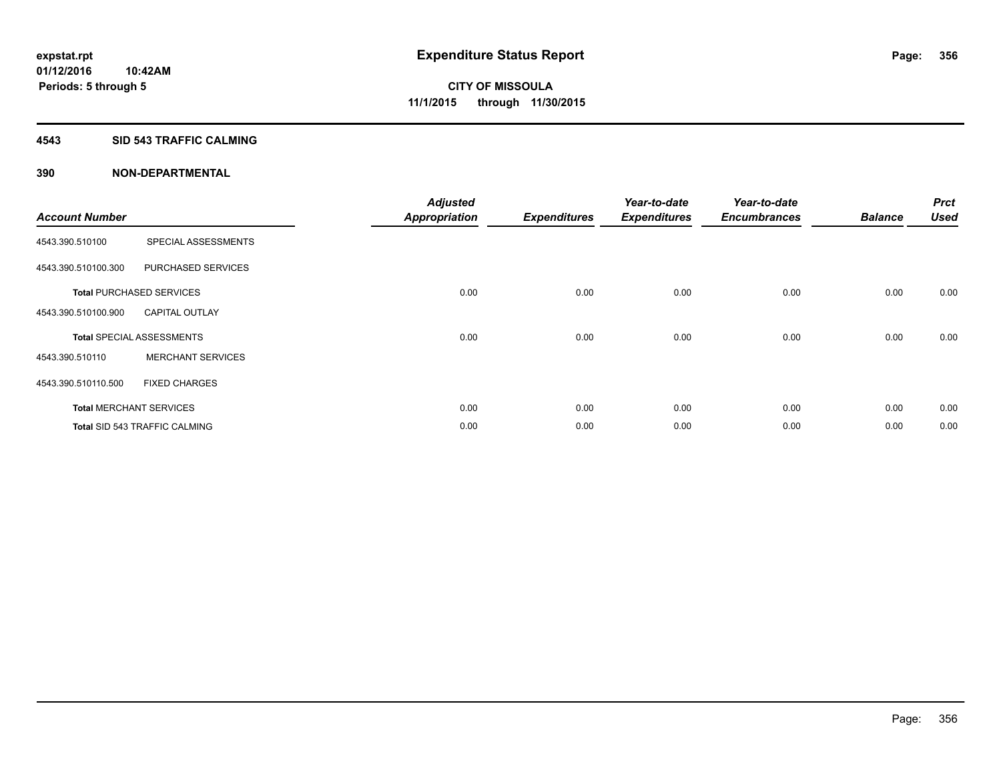#### **4543 SID 543 TRAFFIC CALMING**

| <b>Account Number</b> |                                      | <b>Adjusted</b><br><b>Appropriation</b> | <b>Expenditures</b> | Year-to-date<br><b>Expenditures</b> | Year-to-date<br><b>Encumbrances</b> | <b>Balance</b> | <b>Prct</b><br><b>Used</b> |
|-----------------------|--------------------------------------|-----------------------------------------|---------------------|-------------------------------------|-------------------------------------|----------------|----------------------------|
| 4543.390.510100       | SPECIAL ASSESSMENTS                  |                                         |                     |                                     |                                     |                |                            |
| 4543.390.510100.300   | PURCHASED SERVICES                   |                                         |                     |                                     |                                     |                |                            |
|                       | <b>Total PURCHASED SERVICES</b>      | 0.00                                    | 0.00                | 0.00                                | 0.00                                | 0.00           | 0.00                       |
| 4543.390.510100.900   | <b>CAPITAL OUTLAY</b>                |                                         |                     |                                     |                                     |                |                            |
|                       | <b>Total SPECIAL ASSESSMENTS</b>     | 0.00                                    | 0.00                | 0.00                                | 0.00                                | 0.00           | 0.00                       |
| 4543.390.510110       | <b>MERCHANT SERVICES</b>             |                                         |                     |                                     |                                     |                |                            |
| 4543.390.510110.500   | <b>FIXED CHARGES</b>                 |                                         |                     |                                     |                                     |                |                            |
|                       | <b>Total MERCHANT SERVICES</b>       | 0.00                                    | 0.00                | 0.00                                | 0.00                                | 0.00           | 0.00                       |
|                       | <b>Total SID 543 TRAFFIC CALMING</b> | 0.00                                    | 0.00                | 0.00                                | 0.00                                | 0.00           | 0.00                       |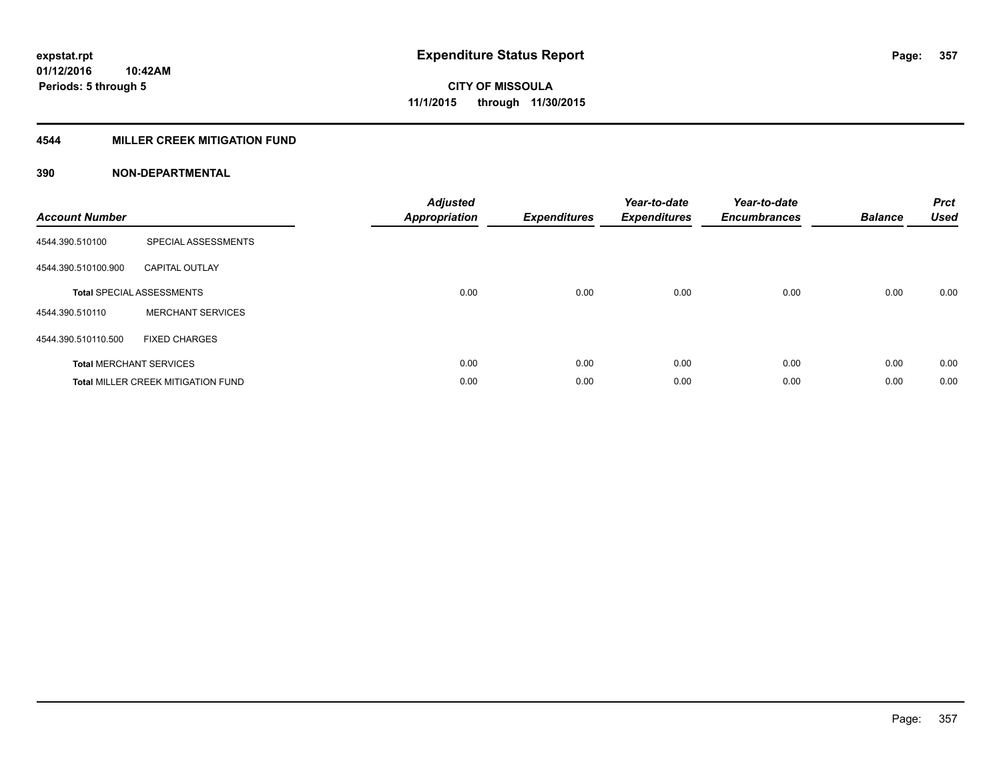### **4544 MILLER CREEK MITIGATION FUND**

| <b>Account Number</b> |                                           | <b>Adjusted</b><br><b>Appropriation</b> | <b>Expenditures</b> | Year-to-date<br><b>Expenditures</b> | Year-to-date<br><b>Encumbrances</b> | <b>Balance</b> | <b>Prct</b><br><b>Used</b> |
|-----------------------|-------------------------------------------|-----------------------------------------|---------------------|-------------------------------------|-------------------------------------|----------------|----------------------------|
| 4544.390.510100       | SPECIAL ASSESSMENTS                       |                                         |                     |                                     |                                     |                |                            |
| 4544.390.510100.900   | <b>CAPITAL OUTLAY</b>                     |                                         |                     |                                     |                                     |                |                            |
|                       | <b>Total SPECIAL ASSESSMENTS</b>          | 0.00                                    | 0.00                | 0.00                                | 0.00                                | 0.00           | 0.00                       |
| 4544.390.510110       | <b>MERCHANT SERVICES</b>                  |                                         |                     |                                     |                                     |                |                            |
| 4544.390.510110.500   | <b>FIXED CHARGES</b>                      |                                         |                     |                                     |                                     |                |                            |
|                       | <b>Total MERCHANT SERVICES</b>            | 0.00                                    | 0.00                | 0.00                                | 0.00                                | 0.00           | 0.00                       |
|                       | <b>Total MILLER CREEK MITIGATION FUND</b> | 0.00                                    | 0.00                | 0.00                                | 0.00                                | 0.00           | 0.00                       |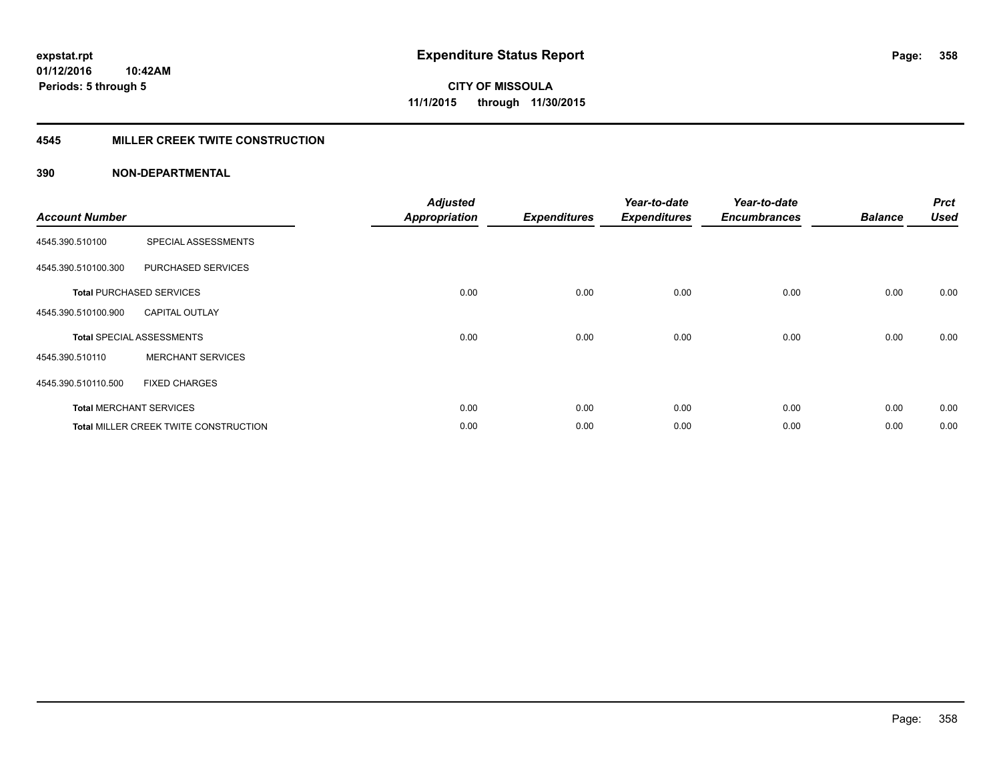#### **4545 MILLER CREEK TWITE CONSTRUCTION**

| <b>Account Number</b> |                                       | <b>Adjusted</b><br><b>Appropriation</b> | <b>Expenditures</b> | Year-to-date<br><b>Expenditures</b> | Year-to-date<br><b>Encumbrances</b> | <b>Balance</b> | <b>Prct</b><br><b>Used</b> |
|-----------------------|---------------------------------------|-----------------------------------------|---------------------|-------------------------------------|-------------------------------------|----------------|----------------------------|
| 4545.390.510100       | SPECIAL ASSESSMENTS                   |                                         |                     |                                     |                                     |                |                            |
| 4545.390.510100.300   | PURCHASED SERVICES                    |                                         |                     |                                     |                                     |                |                            |
|                       | <b>Total PURCHASED SERVICES</b>       | 0.00                                    | 0.00                | 0.00                                | 0.00                                | 0.00           | 0.00                       |
| 4545.390.510100.900   | <b>CAPITAL OUTLAY</b>                 |                                         |                     |                                     |                                     |                |                            |
|                       | <b>Total SPECIAL ASSESSMENTS</b>      | 0.00                                    | 0.00                | 0.00                                | 0.00                                | 0.00           | 0.00                       |
| 4545.390.510110       | <b>MERCHANT SERVICES</b>              |                                         |                     |                                     |                                     |                |                            |
| 4545.390.510110.500   | <b>FIXED CHARGES</b>                  |                                         |                     |                                     |                                     |                |                            |
|                       | <b>Total MERCHANT SERVICES</b>        | 0.00                                    | 0.00                | 0.00                                | 0.00                                | 0.00           | 0.00                       |
|                       | Total MILLER CREEK TWITE CONSTRUCTION | 0.00                                    | 0.00                | 0.00                                | 0.00                                | 0.00           | 0.00                       |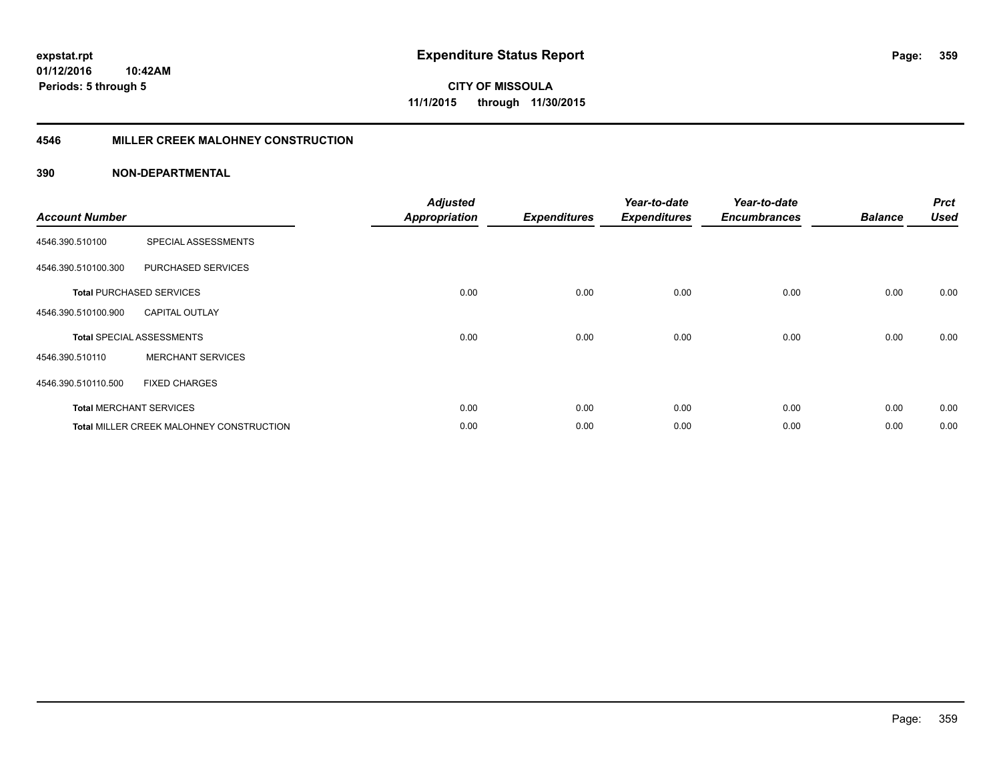#### **4546 MILLER CREEK MALOHNEY CONSTRUCTION**

| <b>Account Number</b> |                                                 | <b>Adjusted</b><br><b>Appropriation</b> | <b>Expenditures</b> | Year-to-date<br><b>Expenditures</b> | Year-to-date<br><b>Encumbrances</b> | <b>Balance</b> | <b>Prct</b><br><b>Used</b> |
|-----------------------|-------------------------------------------------|-----------------------------------------|---------------------|-------------------------------------|-------------------------------------|----------------|----------------------------|
| 4546.390.510100       | SPECIAL ASSESSMENTS                             |                                         |                     |                                     |                                     |                |                            |
| 4546.390.510100.300   | PURCHASED SERVICES                              |                                         |                     |                                     |                                     |                |                            |
|                       | <b>Total PURCHASED SERVICES</b>                 | 0.00                                    | 0.00                | 0.00                                | 0.00                                | 0.00           | 0.00                       |
| 4546.390.510100.900   | <b>CAPITAL OUTLAY</b>                           |                                         |                     |                                     |                                     |                |                            |
|                       | <b>Total SPECIAL ASSESSMENTS</b>                | 0.00                                    | 0.00                | 0.00                                | 0.00                                | 0.00           | 0.00                       |
| 4546.390.510110       | <b>MERCHANT SERVICES</b>                        |                                         |                     |                                     |                                     |                |                            |
| 4546.390.510110.500   | <b>FIXED CHARGES</b>                            |                                         |                     |                                     |                                     |                |                            |
|                       | <b>Total MERCHANT SERVICES</b>                  | 0.00                                    | 0.00                | 0.00                                | 0.00                                | 0.00           | 0.00                       |
|                       | <b>Total MILLER CREEK MALOHNEY CONSTRUCTION</b> | 0.00                                    | 0.00                | 0.00                                | 0.00                                | 0.00           | 0.00                       |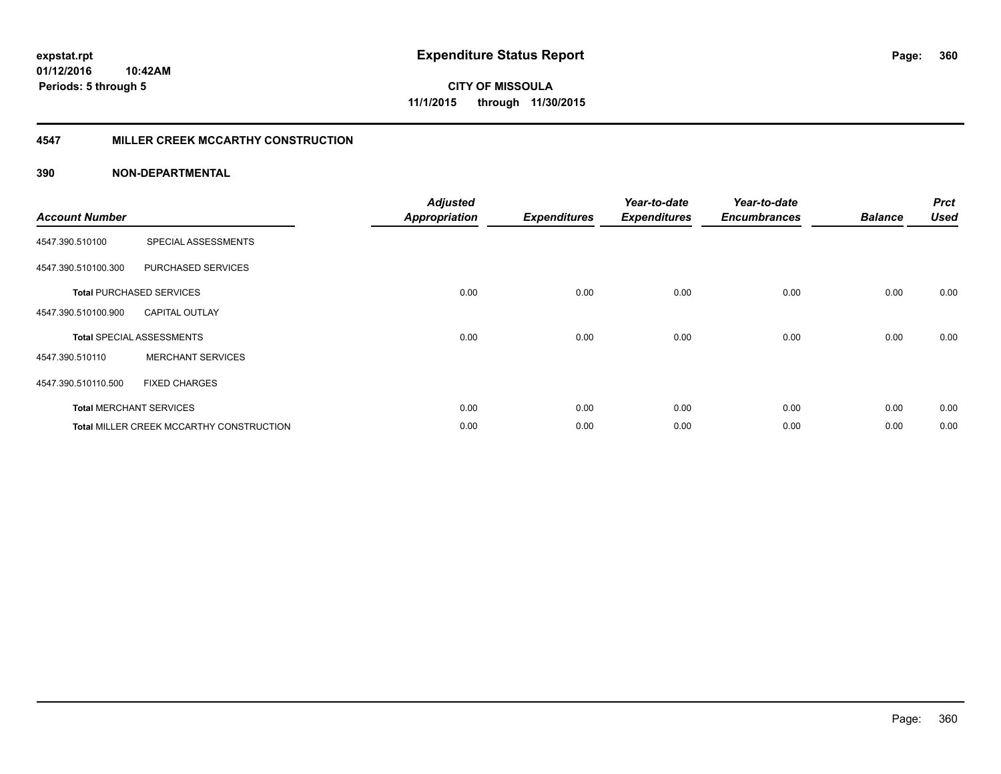#### **4547 MILLER CREEK MCCARTHY CONSTRUCTION**

| <b>Account Number</b> |                                                 | <b>Adjusted</b><br><b>Appropriation</b> | <b>Expenditures</b> | Year-to-date<br><b>Expenditures</b> | Year-to-date<br><b>Encumbrances</b> | <b>Balance</b> | <b>Prct</b><br><b>Used</b> |
|-----------------------|-------------------------------------------------|-----------------------------------------|---------------------|-------------------------------------|-------------------------------------|----------------|----------------------------|
| 4547.390.510100       | SPECIAL ASSESSMENTS                             |                                         |                     |                                     |                                     |                |                            |
| 4547.390.510100.300   | <b>PURCHASED SERVICES</b>                       |                                         |                     |                                     |                                     |                |                            |
|                       | <b>Total PURCHASED SERVICES</b>                 | 0.00                                    | 0.00                | 0.00                                | 0.00                                | 0.00           | 0.00                       |
| 4547.390.510100.900   | <b>CAPITAL OUTLAY</b>                           |                                         |                     |                                     |                                     |                |                            |
|                       | <b>Total SPECIAL ASSESSMENTS</b>                | 0.00                                    | 0.00                | 0.00                                | 0.00                                | 0.00           | 0.00                       |
| 4547.390.510110       | <b>MERCHANT SERVICES</b>                        |                                         |                     |                                     |                                     |                |                            |
| 4547.390.510110.500   | <b>FIXED CHARGES</b>                            |                                         |                     |                                     |                                     |                |                            |
|                       | <b>Total MERCHANT SERVICES</b>                  | 0.00                                    | 0.00                | 0.00                                | 0.00                                | 0.00           | 0.00                       |
|                       | <b>Total MILLER CREEK MCCARTHY CONSTRUCTION</b> | 0.00                                    | 0.00                | 0.00                                | 0.00                                | 0.00           | 0.00                       |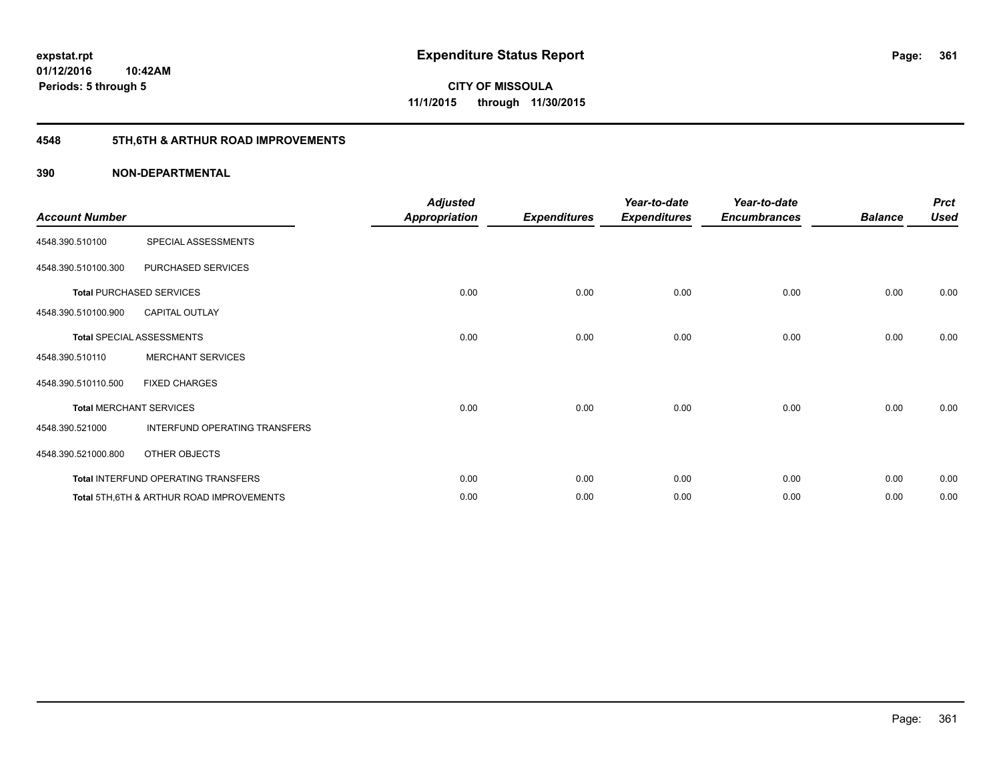## **4548 5TH,6TH & ARTHUR ROAD IMPROVEMENTS**

| <b>Account Number</b> |                                           | <b>Adjusted</b><br>Appropriation | <b>Expenditures</b> | Year-to-date<br><b>Expenditures</b> | Year-to-date<br><b>Encumbrances</b> | <b>Balance</b> | <b>Prct</b><br><b>Used</b> |
|-----------------------|-------------------------------------------|----------------------------------|---------------------|-------------------------------------|-------------------------------------|----------------|----------------------------|
| 4548.390.510100       | SPECIAL ASSESSMENTS                       |                                  |                     |                                     |                                     |                |                            |
| 4548.390.510100.300   | PURCHASED SERVICES                        |                                  |                     |                                     |                                     |                |                            |
|                       | <b>Total PURCHASED SERVICES</b>           | 0.00                             | 0.00                | 0.00                                | 0.00                                | 0.00           | 0.00                       |
| 4548.390.510100.900   | <b>CAPITAL OUTLAY</b>                     |                                  |                     |                                     |                                     |                |                            |
|                       | Total SPECIAL ASSESSMENTS                 | 0.00                             | 0.00                | 0.00                                | 0.00                                | 0.00           | 0.00                       |
| 4548.390.510110       | <b>MERCHANT SERVICES</b>                  |                                  |                     |                                     |                                     |                |                            |
| 4548.390.510110.500   | <b>FIXED CHARGES</b>                      |                                  |                     |                                     |                                     |                |                            |
|                       | <b>Total MERCHANT SERVICES</b>            | 0.00                             | 0.00                | 0.00                                | 0.00                                | 0.00           | 0.00                       |
| 4548.390.521000       | INTERFUND OPERATING TRANSFERS             |                                  |                     |                                     |                                     |                |                            |
| 4548.390.521000.800   | OTHER OBJECTS                             |                                  |                     |                                     |                                     |                |                            |
|                       | Total INTERFUND OPERATING TRANSFERS       | 0.00                             | 0.00                | 0.00                                | 0.00                                | 0.00           | 0.00                       |
|                       | Total 5TH, 6TH & ARTHUR ROAD IMPROVEMENTS | 0.00                             | 0.00                | 0.00                                | 0.00                                | 0.00           | 0.00                       |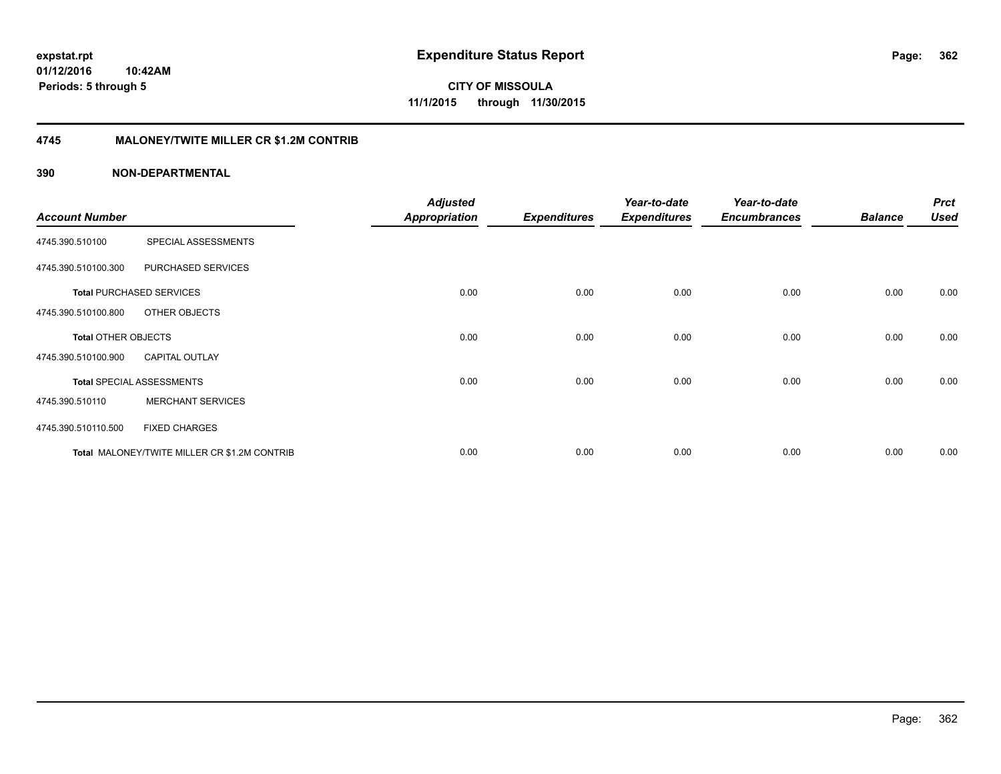#### **4745 MALONEY/TWITE MILLER CR \$1.2M CONTRIB**

| <b>Account Number</b>      |                                              | <b>Adjusted</b><br><b>Appropriation</b> | <b>Expenditures</b> | Year-to-date<br><b>Expenditures</b> | Year-to-date<br><b>Encumbrances</b> | <b>Balance</b> | <b>Prct</b><br><b>Used</b> |
|----------------------------|----------------------------------------------|-----------------------------------------|---------------------|-------------------------------------|-------------------------------------|----------------|----------------------------|
| 4745.390.510100            | SPECIAL ASSESSMENTS                          |                                         |                     |                                     |                                     |                |                            |
| 4745.390.510100.300        | PURCHASED SERVICES                           |                                         |                     |                                     |                                     |                |                            |
|                            | <b>Total PURCHASED SERVICES</b>              | 0.00                                    | 0.00                | 0.00                                | 0.00                                | 0.00           | 0.00                       |
| 4745.390.510100.800        | OTHER OBJECTS                                |                                         |                     |                                     |                                     |                |                            |
| <b>Total OTHER OBJECTS</b> |                                              | 0.00                                    | 0.00                | 0.00                                | 0.00                                | 0.00           | 0.00                       |
| 4745.390.510100.900        | <b>CAPITAL OUTLAY</b>                        |                                         |                     |                                     |                                     |                |                            |
|                            | <b>Total SPECIAL ASSESSMENTS</b>             | 0.00                                    | 0.00                | 0.00                                | 0.00                                | 0.00           | 0.00                       |
| 4745.390.510110            | <b>MERCHANT SERVICES</b>                     |                                         |                     |                                     |                                     |                |                            |
| 4745.390.510110.500        | <b>FIXED CHARGES</b>                         |                                         |                     |                                     |                                     |                |                            |
|                            | Total MALONEY/TWITE MILLER CR \$1.2M CONTRIB | 0.00                                    | 0.00                | 0.00                                | 0.00                                | 0.00           | 0.00                       |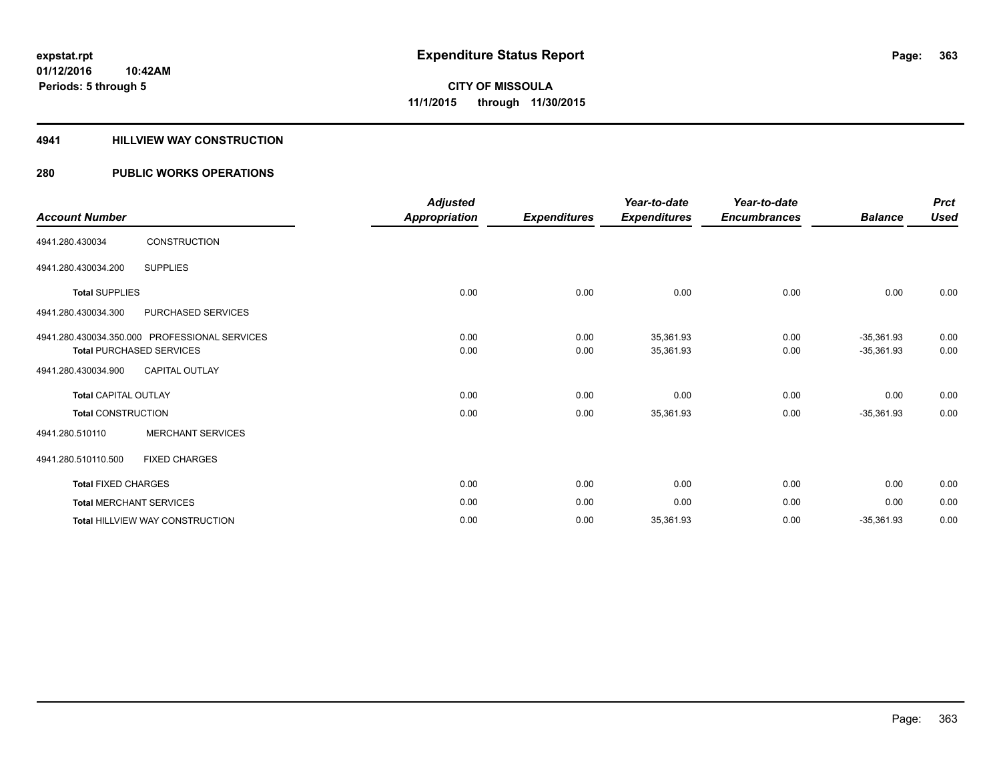#### **4941 HILLVIEW WAY CONSTRUCTION**

### **280 PUBLIC WORKS OPERATIONS**

|                                 |                                               | <b>Adjusted</b> |                     | Year-to-date        | Year-to-date        |                | <b>Prct</b> |
|---------------------------------|-----------------------------------------------|-----------------|---------------------|---------------------|---------------------|----------------|-------------|
| <b>Account Number</b>           |                                               | Appropriation   | <b>Expenditures</b> | <b>Expenditures</b> | <b>Encumbrances</b> | <b>Balance</b> | <b>Used</b> |
| 4941.280.430034                 | <b>CONSTRUCTION</b>                           |                 |                     |                     |                     |                |             |
| 4941.280.430034.200             | <b>SUPPLIES</b>                               |                 |                     |                     |                     |                |             |
| <b>Total SUPPLIES</b>           |                                               | 0.00            | 0.00                | 0.00                | 0.00                | 0.00           | 0.00        |
| 4941.280.430034.300             | PURCHASED SERVICES                            |                 |                     |                     |                     |                |             |
|                                 | 4941.280.430034.350.000 PROFESSIONAL SERVICES | 0.00            | 0.00                | 35,361.93           | 0.00                | $-35,361.93$   | 0.00        |
| <b>Total PURCHASED SERVICES</b> |                                               | 0.00            | 0.00                | 35,361.93           | 0.00                | $-35,361.93$   | 0.00        |
| 4941.280.430034.900             | <b>CAPITAL OUTLAY</b>                         |                 |                     |                     |                     |                |             |
| <b>Total CAPITAL OUTLAY</b>     |                                               | 0.00            | 0.00                | 0.00                | 0.00                | 0.00           | 0.00        |
| <b>Total CONSTRUCTION</b>       |                                               | 0.00            | 0.00                | 35,361.93           | 0.00                | $-35,361.93$   | 0.00        |
| 4941.280.510110                 | <b>MERCHANT SERVICES</b>                      |                 |                     |                     |                     |                |             |
| 4941.280.510110.500             | <b>FIXED CHARGES</b>                          |                 |                     |                     |                     |                |             |
| <b>Total FIXED CHARGES</b>      |                                               | 0.00            | 0.00                | 0.00                | 0.00                | 0.00           | 0.00        |
| <b>Total MERCHANT SERVICES</b>  |                                               | 0.00            | 0.00                | 0.00                | 0.00                | 0.00           | 0.00        |
|                                 | Total HILLVIEW WAY CONSTRUCTION               | 0.00            | 0.00                | 35,361.93           | 0.00                | $-35,361.93$   | 0.00        |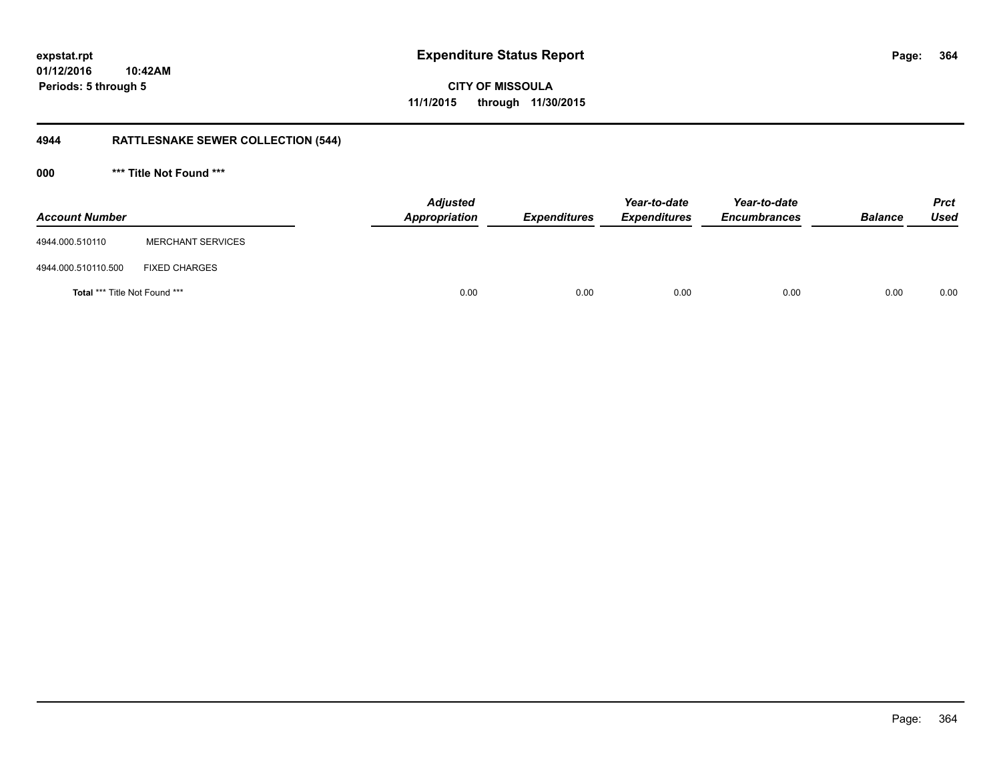**01/12/2016 10:42AM Periods: 5 through 5**

**CITY OF MISSOULA 11/1/2015 through 11/30/2015**

## **4944 RATTLESNAKE SEWER COLLECTION (544)**

**000 \*\*\* Title Not Found \*\*\***

| <b>Account Number</b>                |                          | <b>Adjusted</b><br>Appropriation | <b>Expenditures</b> | Year-to-date<br><b>Expenditures</b> | Year-to-date<br><b>Encumbrances</b> | <b>Balance</b> | <b>Prct</b><br><b>Used</b> |
|--------------------------------------|--------------------------|----------------------------------|---------------------|-------------------------------------|-------------------------------------|----------------|----------------------------|
| 4944.000.510110                      | <b>MERCHANT SERVICES</b> |                                  |                     |                                     |                                     |                |                            |
| 4944.000.510110.500                  | <b>FIXED CHARGES</b>     |                                  |                     |                                     |                                     |                |                            |
| <b>Total *** Title Not Found ***</b> |                          | 0.00                             | 0.00                | 0.00                                | 0.00                                | 0.00           | 0.00                       |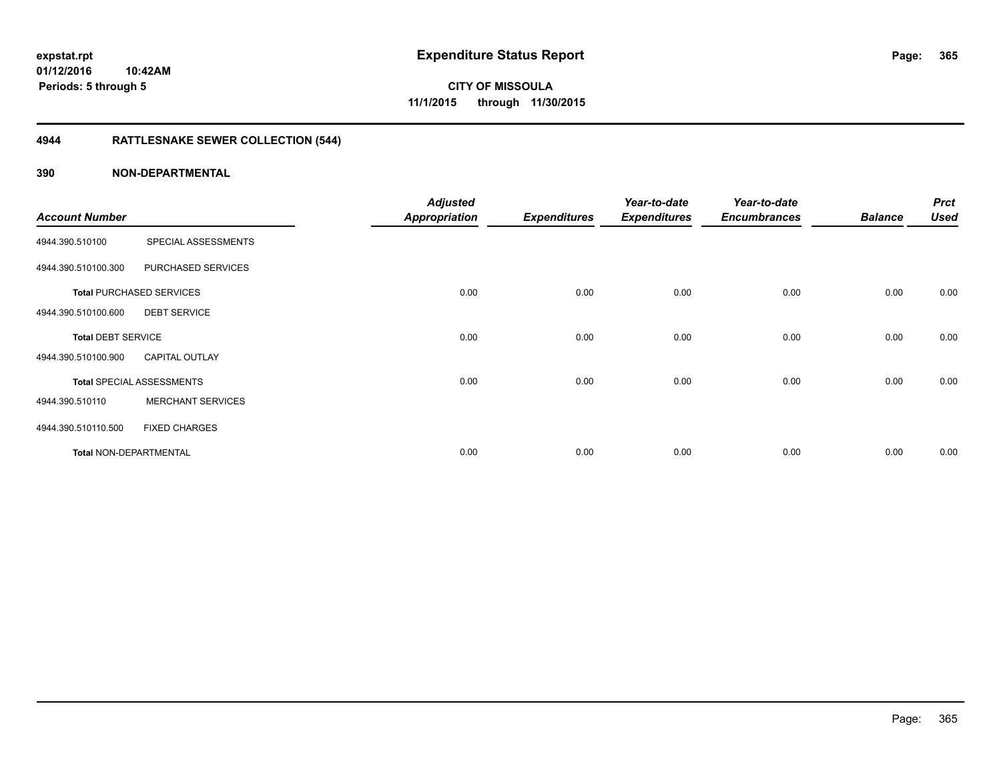## **4944 RATTLESNAKE SEWER COLLECTION (544)**

|                               |                                  | <b>Adjusted</b>      |                     | Year-to-date        | Year-to-date        |                | <b>Prct</b> |
|-------------------------------|----------------------------------|----------------------|---------------------|---------------------|---------------------|----------------|-------------|
| <b>Account Number</b>         |                                  | <b>Appropriation</b> | <b>Expenditures</b> | <b>Expenditures</b> | <b>Encumbrances</b> | <b>Balance</b> | <b>Used</b> |
| 4944.390.510100               | SPECIAL ASSESSMENTS              |                      |                     |                     |                     |                |             |
| 4944.390.510100.300           | PURCHASED SERVICES               |                      |                     |                     |                     |                |             |
|                               | <b>Total PURCHASED SERVICES</b>  | 0.00                 | 0.00                | 0.00                | 0.00                | 0.00           | 0.00        |
| 4944.390.510100.600           | <b>DEBT SERVICE</b>              |                      |                     |                     |                     |                |             |
| <b>Total DEBT SERVICE</b>     |                                  | 0.00                 | 0.00                | 0.00                | 0.00                | 0.00           | 0.00        |
| 4944.390.510100.900           | <b>CAPITAL OUTLAY</b>            |                      |                     |                     |                     |                |             |
|                               | <b>Total SPECIAL ASSESSMENTS</b> | 0.00                 | 0.00                | 0.00                | 0.00                | 0.00           | 0.00        |
| 4944.390.510110               | <b>MERCHANT SERVICES</b>         |                      |                     |                     |                     |                |             |
| 4944.390.510110.500           | <b>FIXED CHARGES</b>             |                      |                     |                     |                     |                |             |
| <b>Total NON-DEPARTMENTAL</b> |                                  | 0.00                 | 0.00                | 0.00                | 0.00                | 0.00           | 0.00        |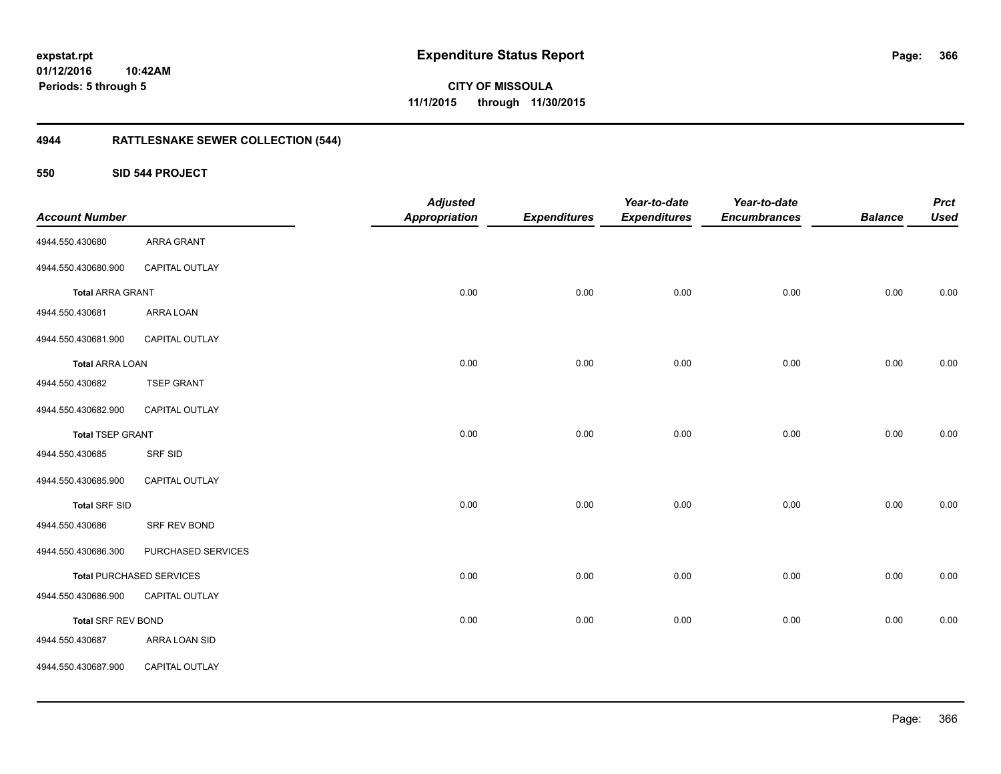**01/12/2016 10:42AM Periods: 5 through 5**

**CITY OF MISSOULA 11/1/2015 through 11/30/2015**

## **4944 RATTLESNAKE SEWER COLLECTION (544)**

**550 SID 544 PROJECT**

| <b>Account Number</b>   |                                 | <b>Adjusted</b><br><b>Appropriation</b> | <b>Expenditures</b> | Year-to-date<br><b>Expenditures</b> | Year-to-date<br><b>Encumbrances</b> | <b>Balance</b> | <b>Prct</b><br><b>Used</b> |
|-------------------------|---------------------------------|-----------------------------------------|---------------------|-------------------------------------|-------------------------------------|----------------|----------------------------|
| 4944.550.430680         | ARRA GRANT                      |                                         |                     |                                     |                                     |                |                            |
| 4944.550.430680.900     | CAPITAL OUTLAY                  |                                         |                     |                                     |                                     |                |                            |
| <b>Total ARRA GRANT</b> |                                 | 0.00                                    | 0.00                | 0.00                                | 0.00                                | 0.00           | 0.00                       |
| 4944.550.430681         | ARRA LOAN                       |                                         |                     |                                     |                                     |                |                            |
| 4944.550.430681.900     | CAPITAL OUTLAY                  |                                         |                     |                                     |                                     |                |                            |
| <b>Total ARRA LOAN</b>  |                                 | 0.00                                    | 0.00                | 0.00                                | 0.00                                | 0.00           | 0.00                       |
| 4944.550.430682         | <b>TSEP GRANT</b>               |                                         |                     |                                     |                                     |                |                            |
| 4944.550.430682.900     | CAPITAL OUTLAY                  |                                         |                     |                                     |                                     |                |                            |
| <b>Total TSEP GRANT</b> |                                 | 0.00                                    | 0.00                | 0.00                                | 0.00                                | 0.00           | 0.00                       |
| 4944.550.430685         | SRF SID                         |                                         |                     |                                     |                                     |                |                            |
| 4944.550.430685.900     | CAPITAL OUTLAY                  |                                         |                     |                                     |                                     |                |                            |
| <b>Total SRF SID</b>    |                                 | 0.00                                    | 0.00                | 0.00                                | 0.00                                | 0.00           | 0.00                       |
| 4944.550.430686         | SRF REV BOND                    |                                         |                     |                                     |                                     |                |                            |
| 4944.550.430686.300     | PURCHASED SERVICES              |                                         |                     |                                     |                                     |                |                            |
|                         | <b>Total PURCHASED SERVICES</b> | 0.00                                    | 0.00                | 0.00                                | 0.00                                | 0.00           | 0.00                       |
| 4944.550.430686.900     | CAPITAL OUTLAY                  |                                         |                     |                                     |                                     |                |                            |
| Total SRF REV BOND      |                                 | 0.00                                    | 0.00                | 0.00                                | 0.00                                | 0.00           | 0.00                       |
| 4944.550.430687         | ARRA LOAN SID                   |                                         |                     |                                     |                                     |                |                            |
| 4944.550.430687.900     | CAPITAL OUTLAY                  |                                         |                     |                                     |                                     |                |                            |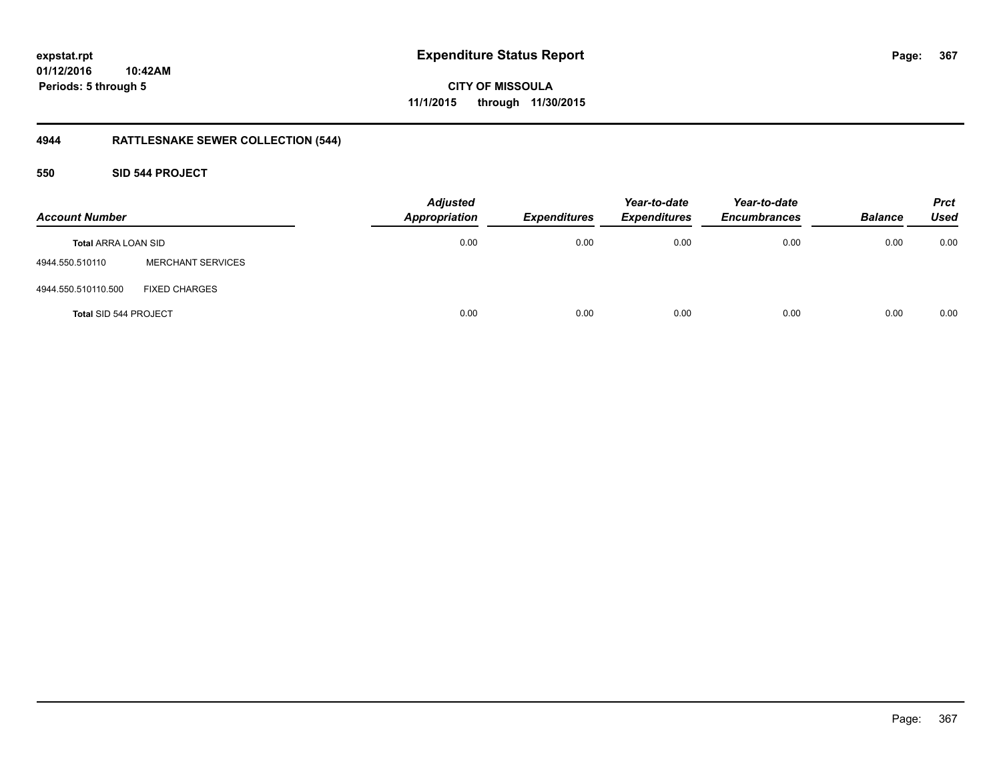### **01/12/2016 10:42AM Periods: 5 through 5**

**CITY OF MISSOULA 11/1/2015 through 11/30/2015**

## **4944 RATTLESNAKE SEWER COLLECTION (544)**

#### **550 SID 544 PROJECT**

| <b>Account Number</b>      |                          | <b>Adjusted</b><br><b>Appropriation</b> | <b>Expenditures</b> | Year-to-date<br><b>Expenditures</b> | Year-to-date<br><b>Encumbrances</b> | <b>Balance</b> | <b>Prct</b><br><b>Used</b> |
|----------------------------|--------------------------|-----------------------------------------|---------------------|-------------------------------------|-------------------------------------|----------------|----------------------------|
| <b>Total ARRA LOAN SID</b> |                          | 0.00                                    | 0.00                | 0.00                                | 0.00                                | 0.00           | 0.00                       |
| 4944.550.510110            | <b>MERCHANT SERVICES</b> |                                         |                     |                                     |                                     |                |                            |
| 4944.550.510110.500        | <b>FIXED CHARGES</b>     |                                         |                     |                                     |                                     |                |                            |
| Total SID 544 PROJECT      |                          | 0.00                                    | 0.00                | 0.00                                | 0.00                                | 0.00           | 0.00                       |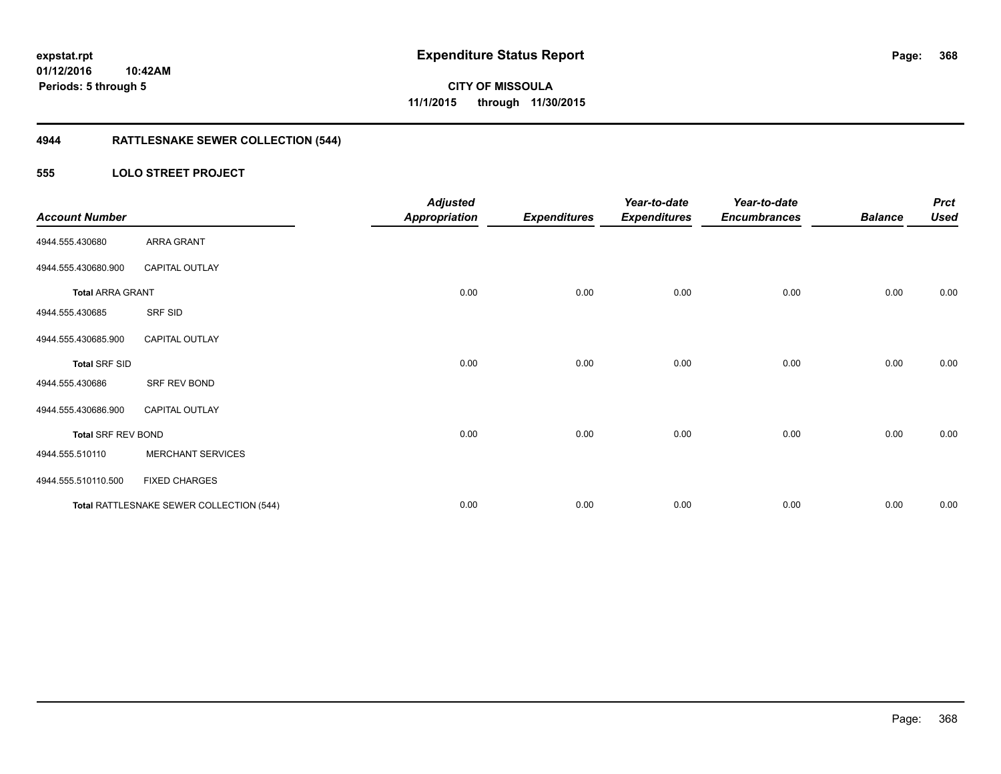## **4944 RATTLESNAKE SEWER COLLECTION (544)**

#### **555 LOLO STREET PROJECT**

| <b>Account Number</b>     |                                          | <b>Adjusted</b><br><b>Appropriation</b> | <b>Expenditures</b> | Year-to-date<br><b>Expenditures</b> | Year-to-date<br><b>Encumbrances</b> | <b>Balance</b> | <b>Prct</b><br><b>Used</b> |
|---------------------------|------------------------------------------|-----------------------------------------|---------------------|-------------------------------------|-------------------------------------|----------------|----------------------------|
| 4944.555.430680           | ARRA GRANT                               |                                         |                     |                                     |                                     |                |                            |
| 4944.555.430680.900       | <b>CAPITAL OUTLAY</b>                    |                                         |                     |                                     |                                     |                |                            |
| <b>Total ARRA GRANT</b>   |                                          | 0.00                                    | 0.00                | 0.00                                | 0.00                                | 0.00           | 0.00                       |
| 4944.555.430685           | SRF SID                                  |                                         |                     |                                     |                                     |                |                            |
| 4944.555.430685.900       | <b>CAPITAL OUTLAY</b>                    |                                         |                     |                                     |                                     |                |                            |
| <b>Total SRF SID</b>      |                                          | 0.00                                    | 0.00                | 0.00                                | 0.00                                | 0.00           | 0.00                       |
| 4944.555.430686           | SRF REV BOND                             |                                         |                     |                                     |                                     |                |                            |
| 4944.555.430686.900       | <b>CAPITAL OUTLAY</b>                    |                                         |                     |                                     |                                     |                |                            |
| <b>Total SRF REV BOND</b> |                                          | 0.00                                    | 0.00                | 0.00                                | 0.00                                | 0.00           | 0.00                       |
| 4944.555.510110           | <b>MERCHANT SERVICES</b>                 |                                         |                     |                                     |                                     |                |                            |
| 4944.555.510110.500       | <b>FIXED CHARGES</b>                     |                                         |                     |                                     |                                     |                |                            |
|                           | Total RATTLESNAKE SEWER COLLECTION (544) | 0.00                                    | 0.00                | 0.00                                | 0.00                                | 0.00           | 0.00                       |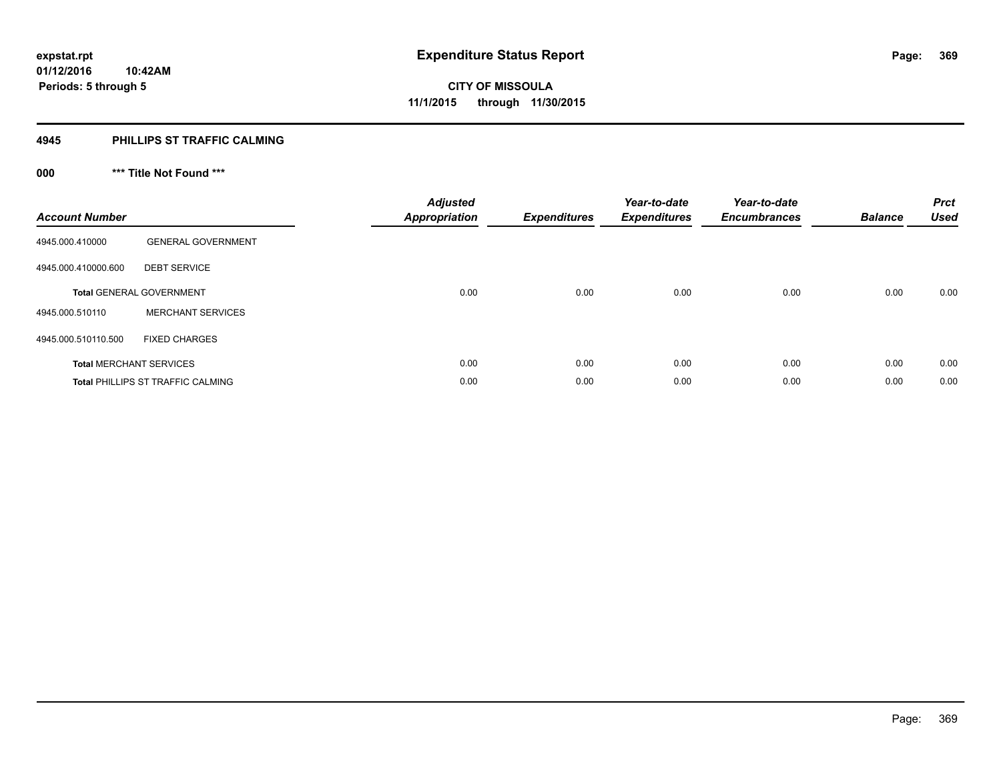#### **4945 PHILLIPS ST TRAFFIC CALMING**

## **000 \*\*\* Title Not Found \*\*\***

| <b>Account Number</b> |                                          | <b>Adjusted</b><br><b>Appropriation</b> | <b>Expenditures</b> | Year-to-date<br><b>Expenditures</b> | Year-to-date<br><b>Encumbrances</b> | <b>Balance</b> | <b>Prct</b><br><b>Used</b> |
|-----------------------|------------------------------------------|-----------------------------------------|---------------------|-------------------------------------|-------------------------------------|----------------|----------------------------|
| 4945.000.410000       | <b>GENERAL GOVERNMENT</b>                |                                         |                     |                                     |                                     |                |                            |
| 4945.000.410000.600   | <b>DEBT SERVICE</b>                      |                                         |                     |                                     |                                     |                |                            |
|                       | <b>Total GENERAL GOVERNMENT</b>          | 0.00                                    | 0.00                | 0.00                                | 0.00                                | 0.00           | 0.00                       |
| 4945.000.510110       | <b>MERCHANT SERVICES</b>                 |                                         |                     |                                     |                                     |                |                            |
| 4945.000.510110.500   | <b>FIXED CHARGES</b>                     |                                         |                     |                                     |                                     |                |                            |
|                       | <b>Total MERCHANT SERVICES</b>           | 0.00                                    | 0.00                | 0.00                                | 0.00                                | 0.00           | 0.00                       |
|                       | <b>Total PHILLIPS ST TRAFFIC CALMING</b> | 0.00                                    | 0.00                | 0.00                                | 0.00                                | 0.00           | 0.00                       |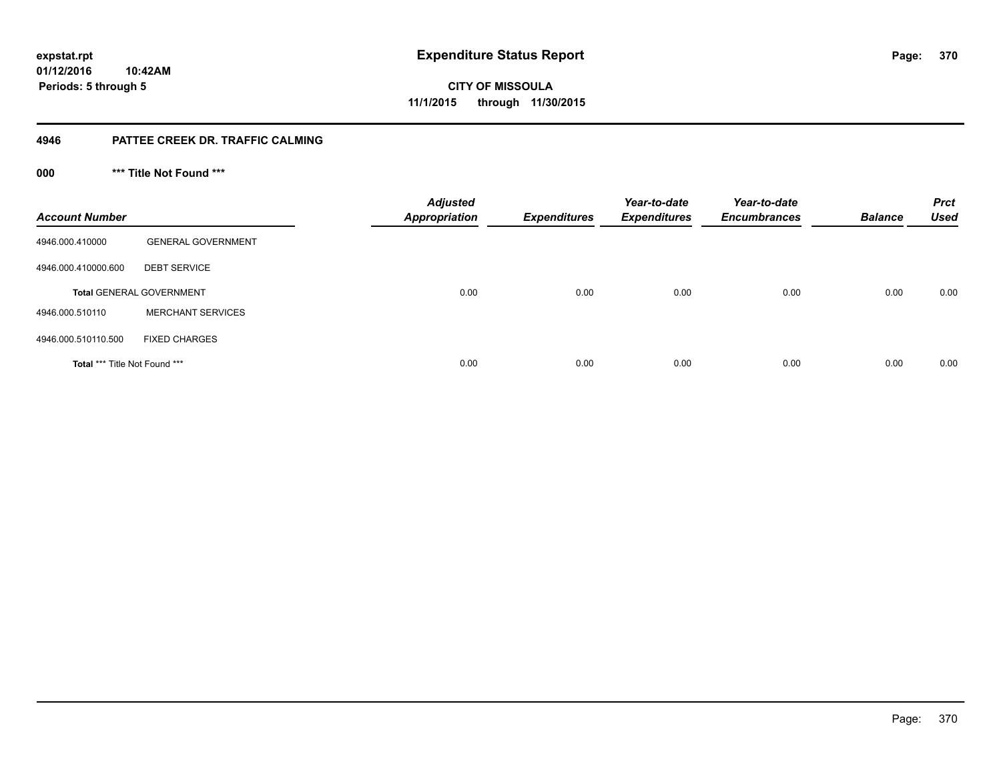### **01/12/2016 10:42AM Periods: 5 through 5**

**CITY OF MISSOULA 11/1/2015 through 11/30/2015**

#### **4946 PATTEE CREEK DR. TRAFFIC CALMING**

**000 \*\*\* Title Not Found \*\*\***

| <b>Account Number</b>                |                                 | <b>Adjusted</b><br><b>Appropriation</b> | <b>Expenditures</b> | Year-to-date<br><b>Expenditures</b> | Year-to-date<br><b>Encumbrances</b> | <b>Balance</b> | <b>Prct</b><br><b>Used</b> |
|--------------------------------------|---------------------------------|-----------------------------------------|---------------------|-------------------------------------|-------------------------------------|----------------|----------------------------|
| 4946.000.410000                      | <b>GENERAL GOVERNMENT</b>       |                                         |                     |                                     |                                     |                |                            |
| 4946.000.410000.600                  | <b>DEBT SERVICE</b>             |                                         |                     |                                     |                                     |                |                            |
|                                      | <b>Total GENERAL GOVERNMENT</b> | 0.00                                    | 0.00                | 0.00                                | 0.00                                | 0.00           | 0.00                       |
| 4946.000.510110                      | <b>MERCHANT SERVICES</b>        |                                         |                     |                                     |                                     |                |                            |
| 4946.000.510110.500                  | <b>FIXED CHARGES</b>            |                                         |                     |                                     |                                     |                |                            |
| <b>Total *** Title Not Found ***</b> |                                 | 0.00                                    | 0.00                | 0.00                                | 0.00                                | 0.00           | 0.00                       |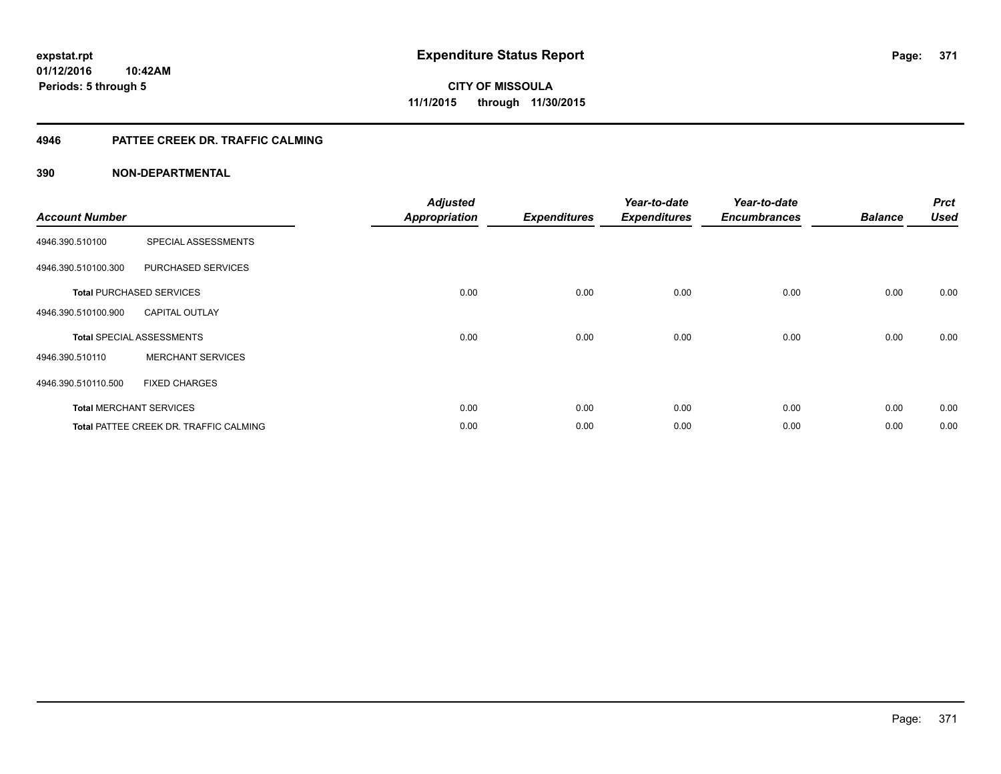#### **4946 PATTEE CREEK DR. TRAFFIC CALMING**

| <b>Account Number</b> |                                               | <b>Adjusted</b><br><b>Appropriation</b> | <b>Expenditures</b> | Year-to-date<br><b>Expenditures</b> | Year-to-date<br><b>Encumbrances</b> | <b>Balance</b> | <b>Prct</b><br><b>Used</b> |
|-----------------------|-----------------------------------------------|-----------------------------------------|---------------------|-------------------------------------|-------------------------------------|----------------|----------------------------|
| 4946.390.510100       | SPECIAL ASSESSMENTS                           |                                         |                     |                                     |                                     |                |                            |
| 4946.390.510100.300   | PURCHASED SERVICES                            |                                         |                     |                                     |                                     |                |                            |
|                       | <b>Total PURCHASED SERVICES</b>               | 0.00                                    | 0.00                | 0.00                                | 0.00                                | 0.00           | 0.00                       |
| 4946.390.510100.900   | <b>CAPITAL OUTLAY</b>                         |                                         |                     |                                     |                                     |                |                            |
|                       | <b>Total SPECIAL ASSESSMENTS</b>              | 0.00                                    | 0.00                | 0.00                                | 0.00                                | 0.00           | 0.00                       |
| 4946.390.510110       | <b>MERCHANT SERVICES</b>                      |                                         |                     |                                     |                                     |                |                            |
| 4946.390.510110.500   | <b>FIXED CHARGES</b>                          |                                         |                     |                                     |                                     |                |                            |
|                       | <b>Total MERCHANT SERVICES</b>                | 0.00                                    | 0.00                | 0.00                                | 0.00                                | 0.00           | 0.00                       |
|                       | <b>Total PATTEE CREEK DR. TRAFFIC CALMING</b> | 0.00                                    | 0.00                | 0.00                                | 0.00                                | 0.00           | 0.00                       |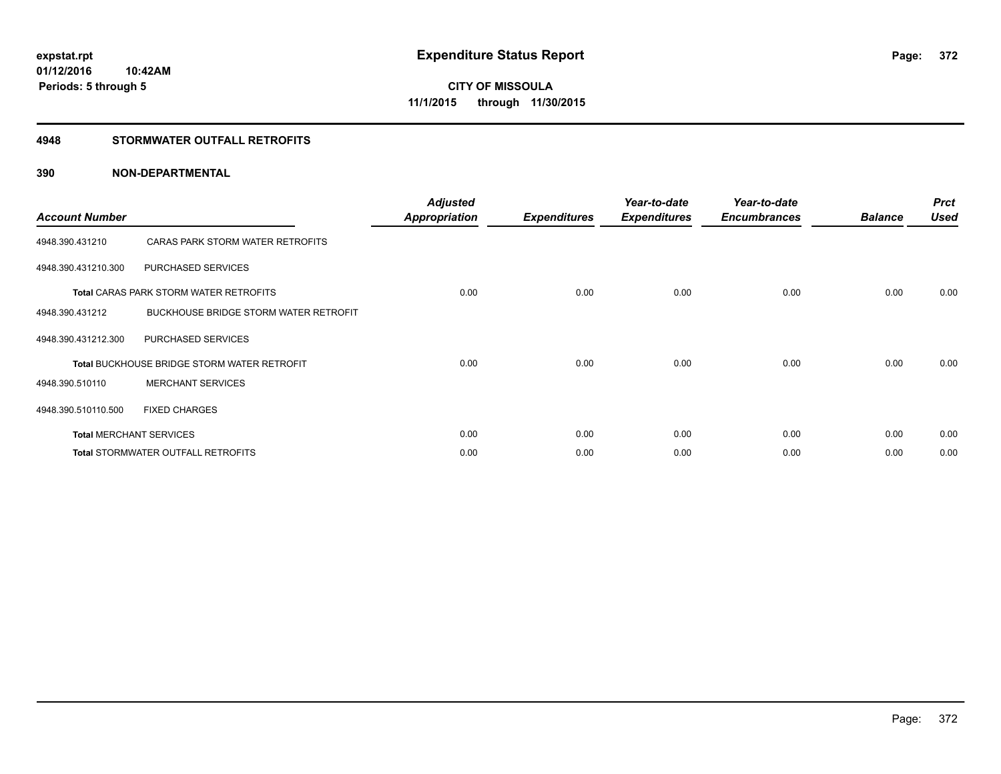#### **4948 STORMWATER OUTFALL RETROFITS**

| <b>Account Number</b> |                                                    | <b>Adjusted</b><br><b>Appropriation</b> | <b>Expenditures</b> | Year-to-date<br><b>Expenditures</b> | Year-to-date<br><b>Encumbrances</b> | <b>Balance</b> | <b>Prct</b><br><b>Used</b> |
|-----------------------|----------------------------------------------------|-----------------------------------------|---------------------|-------------------------------------|-------------------------------------|----------------|----------------------------|
| 4948.390.431210       | CARAS PARK STORM WATER RETROFITS                   |                                         |                     |                                     |                                     |                |                            |
| 4948.390.431210.300   | PURCHASED SERVICES                                 |                                         |                     |                                     |                                     |                |                            |
|                       | <b>Total CARAS PARK STORM WATER RETROFITS</b>      | 0.00                                    | 0.00                | 0.00                                | 0.00                                | 0.00           | 0.00                       |
| 4948.390.431212       | BUCKHOUSE BRIDGE STORM WATER RETROFIT              |                                         |                     |                                     |                                     |                |                            |
| 4948.390.431212.300   | PURCHASED SERVICES                                 |                                         |                     |                                     |                                     |                |                            |
|                       | <b>Total BUCKHOUSE BRIDGE STORM WATER RETROFIT</b> | 0.00                                    | 0.00                | 0.00                                | 0.00                                | 0.00           | 0.00                       |
| 4948.390.510110       | <b>MERCHANT SERVICES</b>                           |                                         |                     |                                     |                                     |                |                            |
| 4948.390.510110.500   | <b>FIXED CHARGES</b>                               |                                         |                     |                                     |                                     |                |                            |
|                       | <b>Total MERCHANT SERVICES</b>                     | 0.00                                    | 0.00                | 0.00                                | 0.00                                | 0.00           | 0.00                       |
|                       | <b>Total STORMWATER OUTFALL RETROFITS</b>          | 0.00                                    | 0.00                | 0.00                                | 0.00                                | 0.00           | 0.00                       |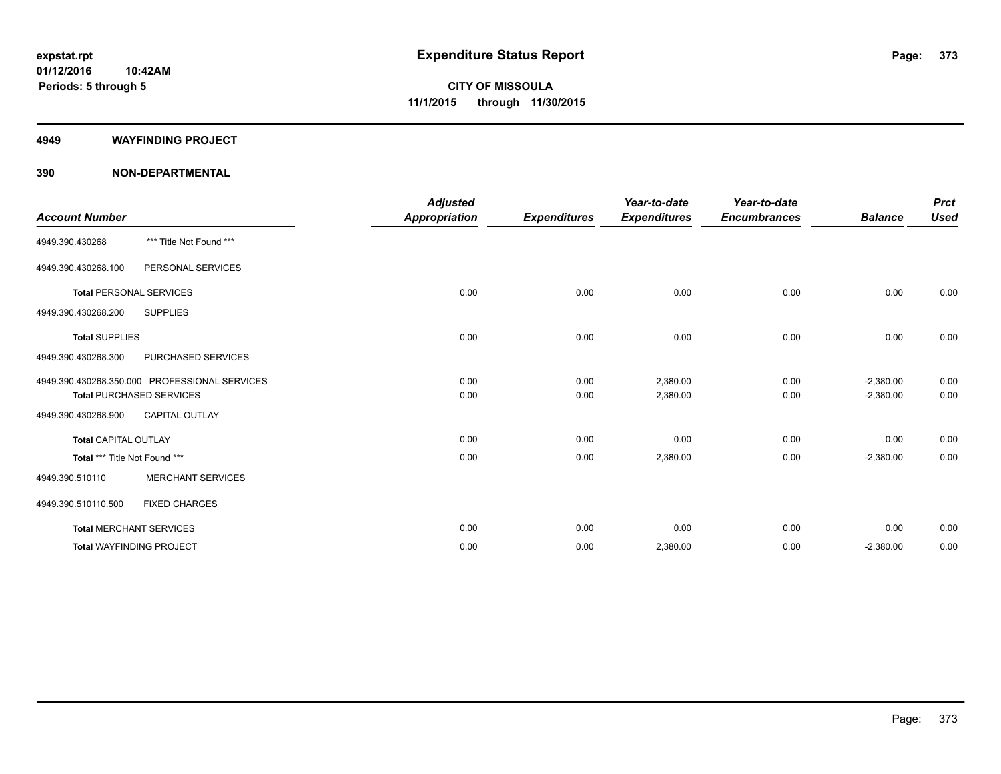#### **4949 WAYFINDING PROJECT**

|                                |                                               | <b>Adjusted</b>      |                     | Year-to-date        | Year-to-date        |                | <b>Prct</b> |
|--------------------------------|-----------------------------------------------|----------------------|---------------------|---------------------|---------------------|----------------|-------------|
| <b>Account Number</b>          |                                               | <b>Appropriation</b> | <b>Expenditures</b> | <b>Expenditures</b> | <b>Encumbrances</b> | <b>Balance</b> | <b>Used</b> |
| 4949.390.430268                | *** Title Not Found ***                       |                      |                     |                     |                     |                |             |
| 4949.390.430268.100            | PERSONAL SERVICES                             |                      |                     |                     |                     |                |             |
| <b>Total PERSONAL SERVICES</b> |                                               | 0.00                 | 0.00                | 0.00                | 0.00                | 0.00           | 0.00        |
| 4949.390.430268.200            | <b>SUPPLIES</b>                               |                      |                     |                     |                     |                |             |
| <b>Total SUPPLIES</b>          |                                               | 0.00                 | 0.00                | 0.00                | 0.00                | 0.00           | 0.00        |
| 4949.390.430268.300            | PURCHASED SERVICES                            |                      |                     |                     |                     |                |             |
|                                | 4949.390.430268.350.000 PROFESSIONAL SERVICES | 0.00                 | 0.00                | 2,380.00            | 0.00                | $-2,380.00$    | 0.00        |
|                                | <b>Total PURCHASED SERVICES</b>               | 0.00                 | 0.00                | 2,380.00            | 0.00                | $-2,380.00$    | 0.00        |
| 4949.390.430268.900            | <b>CAPITAL OUTLAY</b>                         |                      |                     |                     |                     |                |             |
| <b>Total CAPITAL OUTLAY</b>    |                                               | 0.00                 | 0.00                | 0.00                | 0.00                | 0.00           | 0.00        |
| Total *** Title Not Found ***  |                                               | 0.00                 | 0.00                | 2,380.00            | 0.00                | $-2,380.00$    | 0.00        |
| 4949.390.510110                | <b>MERCHANT SERVICES</b>                      |                      |                     |                     |                     |                |             |
| 4949.390.510110.500            | <b>FIXED CHARGES</b>                          |                      |                     |                     |                     |                |             |
|                                | <b>Total MERCHANT SERVICES</b>                | 0.00                 | 0.00                | 0.00                | 0.00                | 0.00           | 0.00        |
|                                | <b>Total WAYFINDING PROJECT</b>               | 0.00                 | 0.00                | 2,380.00            | 0.00                | $-2,380.00$    | 0.00        |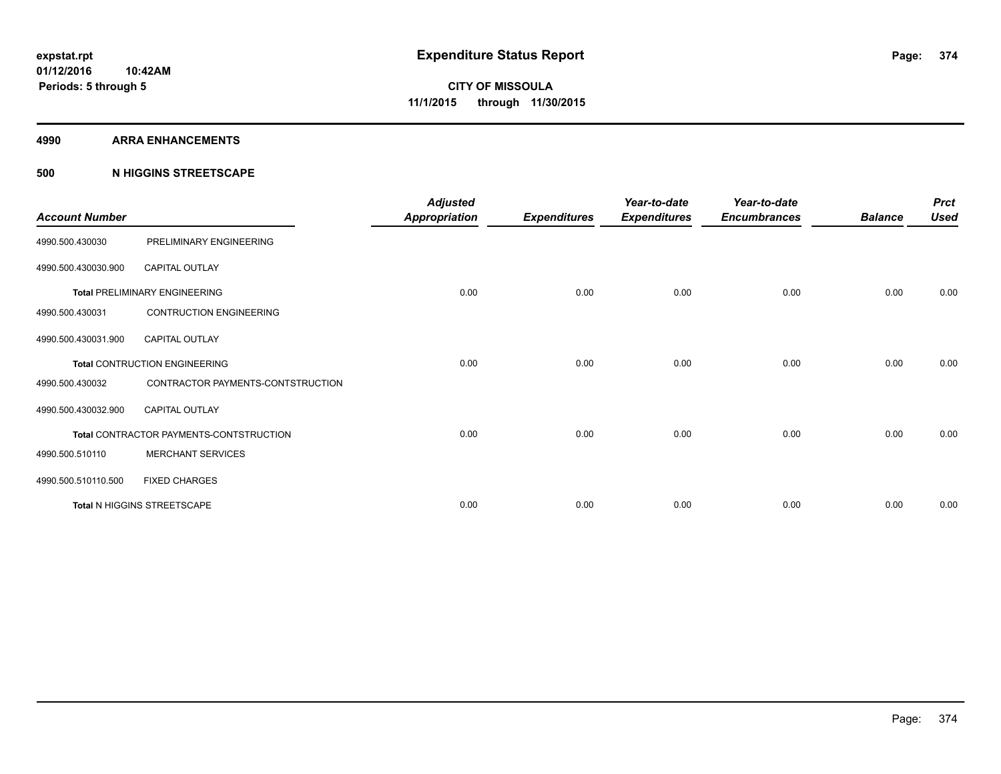#### **4990 ARRA ENHANCEMENTS**

#### **500 N HIGGINS STREETSCAPE**

| <b>Account Number</b> |                                         | <b>Adjusted</b><br><b>Appropriation</b> | <b>Expenditures</b> | Year-to-date<br><b>Expenditures</b> | Year-to-date<br><b>Encumbrances</b> | <b>Balance</b> | <b>Prct</b><br><b>Used</b> |
|-----------------------|-----------------------------------------|-----------------------------------------|---------------------|-------------------------------------|-------------------------------------|----------------|----------------------------|
| 4990.500.430030       | PRELIMINARY ENGINEERING                 |                                         |                     |                                     |                                     |                |                            |
| 4990.500.430030.900   | <b>CAPITAL OUTLAY</b>                   |                                         |                     |                                     |                                     |                |                            |
|                       | <b>Total PRELIMINARY ENGINEERING</b>    | 0.00                                    | 0.00                | 0.00                                | 0.00                                | 0.00           | 0.00                       |
| 4990.500.430031       | <b>CONTRUCTION ENGINEERING</b>          |                                         |                     |                                     |                                     |                |                            |
| 4990.500.430031.900   | <b>CAPITAL OUTLAY</b>                   |                                         |                     |                                     |                                     |                |                            |
|                       | <b>Total CONTRUCTION ENGINEERING</b>    | 0.00                                    | 0.00                | 0.00                                | 0.00                                | 0.00           | 0.00                       |
| 4990.500.430032       | CONTRACTOR PAYMENTS-CONTSTRUCTION       |                                         |                     |                                     |                                     |                |                            |
| 4990.500.430032.900   | <b>CAPITAL OUTLAY</b>                   |                                         |                     |                                     |                                     |                |                            |
|                       | Total CONTRACTOR PAYMENTS-CONTSTRUCTION | 0.00                                    | 0.00                | 0.00                                | 0.00                                | 0.00           | 0.00                       |
| 4990.500.510110       | <b>MERCHANT SERVICES</b>                |                                         |                     |                                     |                                     |                |                            |
| 4990.500.510110.500   | <b>FIXED CHARGES</b>                    |                                         |                     |                                     |                                     |                |                            |
|                       | Total N HIGGINS STREETSCAPE             | 0.00                                    | 0.00                | 0.00                                | 0.00                                | 0.00           | 0.00                       |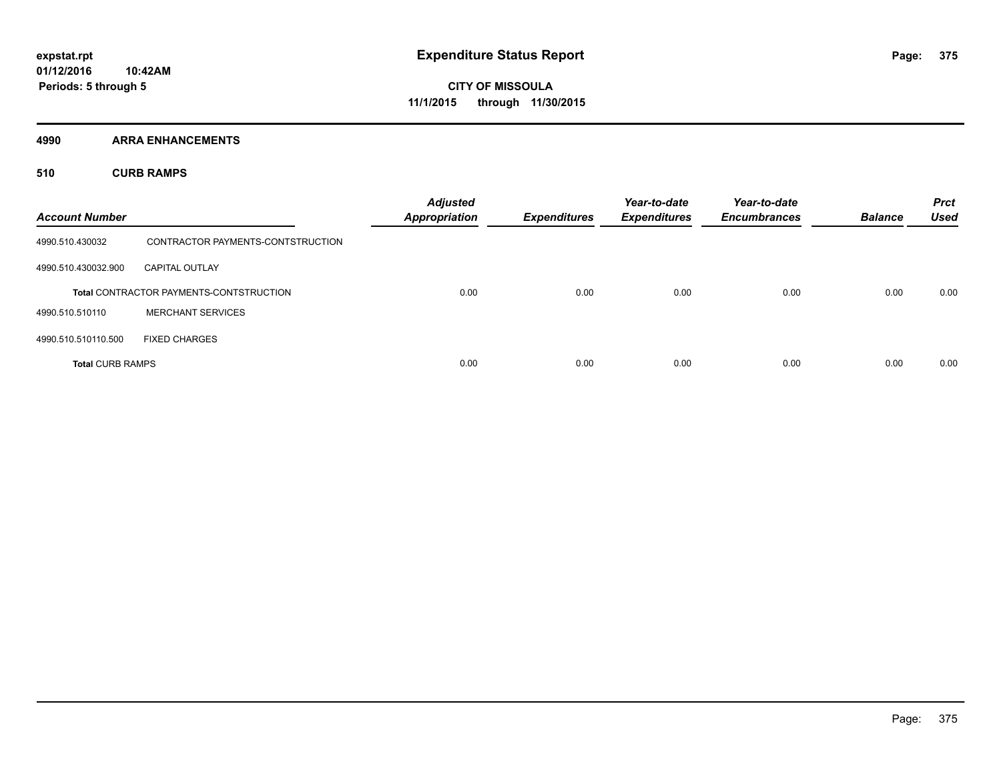**4990 ARRA ENHANCEMENTS**

**510 CURB RAMPS**

| <b>Account Number</b>   |                                                | <b>Adjusted</b><br><b>Appropriation</b> | <b>Expenditures</b> | Year-to-date<br><b>Expenditures</b> | Year-to-date<br><b>Encumbrances</b> | <b>Balance</b> | <b>Prct</b><br><b>Used</b> |
|-------------------------|------------------------------------------------|-----------------------------------------|---------------------|-------------------------------------|-------------------------------------|----------------|----------------------------|
| 4990.510.430032         | CONTRACTOR PAYMENTS-CONTSTRUCTION              |                                         |                     |                                     |                                     |                |                            |
| 4990.510.430032.900     | <b>CAPITAL OUTLAY</b>                          |                                         |                     |                                     |                                     |                |                            |
|                         | <b>Total CONTRACTOR PAYMENTS-CONTSTRUCTION</b> | 0.00                                    | 0.00                | 0.00                                | 0.00                                | 0.00           | 0.00                       |
| 4990.510.510110         | <b>MERCHANT SERVICES</b>                       |                                         |                     |                                     |                                     |                |                            |
| 4990.510.510110.500     | <b>FIXED CHARGES</b>                           |                                         |                     |                                     |                                     |                |                            |
| <b>Total CURB RAMPS</b> |                                                | 0.00                                    | 0.00                | 0.00                                | 0.00                                | 0.00           | 0.00                       |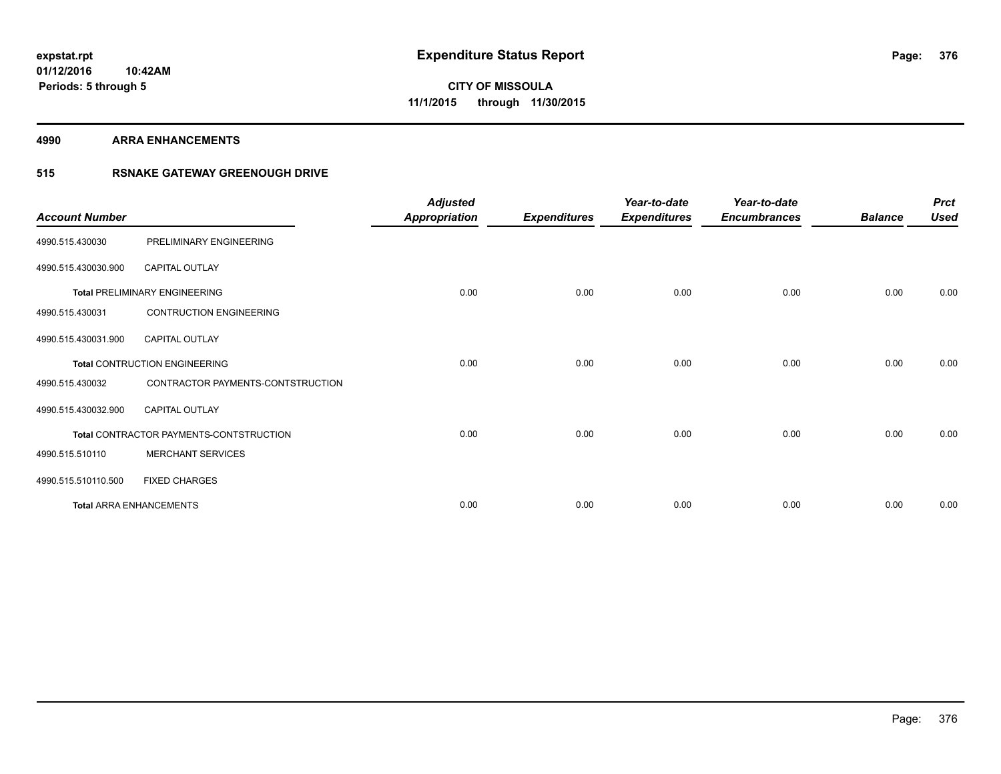**4990 ARRA ENHANCEMENTS**

### **515 RSNAKE GATEWAY GREENOUGH DRIVE**

| <b>Account Number</b> |                                         | <b>Adjusted</b><br><b>Appropriation</b> | <b>Expenditures</b> | Year-to-date<br><b>Expenditures</b> | Year-to-date<br><b>Encumbrances</b> | <b>Balance</b> | <b>Prct</b><br><b>Used</b> |
|-----------------------|-----------------------------------------|-----------------------------------------|---------------------|-------------------------------------|-------------------------------------|----------------|----------------------------|
| 4990.515.430030       | PRELIMINARY ENGINEERING                 |                                         |                     |                                     |                                     |                |                            |
| 4990.515.430030.900   | CAPITAL OUTLAY                          |                                         |                     |                                     |                                     |                |                            |
|                       | <b>Total PRELIMINARY ENGINEERING</b>    | 0.00                                    | 0.00                | 0.00                                | 0.00                                | 0.00           | 0.00                       |
| 4990.515.430031       | <b>CONTRUCTION ENGINEERING</b>          |                                         |                     |                                     |                                     |                |                            |
| 4990.515.430031.900   | <b>CAPITAL OUTLAY</b>                   |                                         |                     |                                     |                                     |                |                            |
|                       | <b>Total CONTRUCTION ENGINEERING</b>    | 0.00                                    | 0.00                | 0.00                                | 0.00                                | 0.00           | 0.00                       |
| 4990.515.430032       | CONTRACTOR PAYMENTS-CONTSTRUCTION       |                                         |                     |                                     |                                     |                |                            |
| 4990.515.430032.900   | <b>CAPITAL OUTLAY</b>                   |                                         |                     |                                     |                                     |                |                            |
|                       | Total CONTRACTOR PAYMENTS-CONTSTRUCTION | 0.00                                    | 0.00                | 0.00                                | 0.00                                | 0.00           | 0.00                       |
| 4990.515.510110       | <b>MERCHANT SERVICES</b>                |                                         |                     |                                     |                                     |                |                            |
| 4990.515.510110.500   | <b>FIXED CHARGES</b>                    |                                         |                     |                                     |                                     |                |                            |
|                       | <b>Total ARRA ENHANCEMENTS</b>          | 0.00                                    | 0.00                | 0.00                                | 0.00                                | 0.00           | 0.00                       |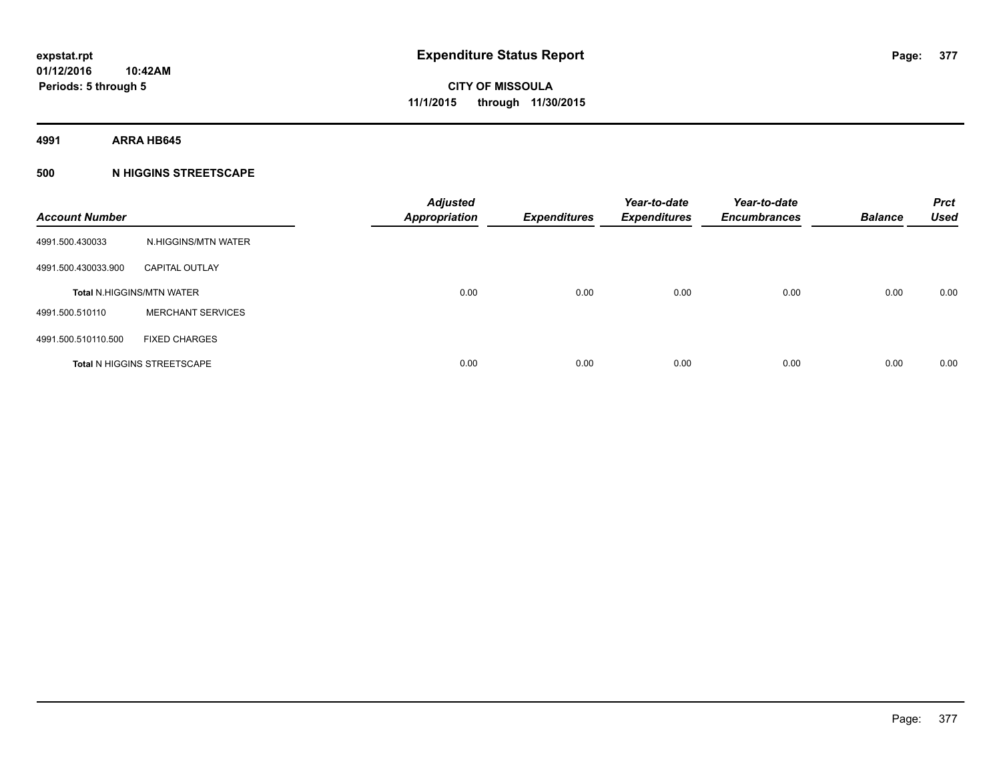**4991 ARRA HB645**

#### **500 N HIGGINS STREETSCAPE**

| <b>Account Number</b> |                                    | <b>Adjusted</b><br><b>Appropriation</b> | <b>Expenditures</b> | Year-to-date<br><b>Expenditures</b> | Year-to-date<br><b>Encumbrances</b> | <b>Balance</b> | <b>Prct</b><br><b>Used</b> |
|-----------------------|------------------------------------|-----------------------------------------|---------------------|-------------------------------------|-------------------------------------|----------------|----------------------------|
| 4991.500.430033       | N.HIGGINS/MTN WATER                |                                         |                     |                                     |                                     |                |                            |
| 4991.500.430033.900   | <b>CAPITAL OUTLAY</b>              |                                         |                     |                                     |                                     |                |                            |
|                       | <b>Total N.HIGGINS/MTN WATER</b>   | 0.00                                    | 0.00                | 0.00                                | 0.00                                | 0.00           | 0.00                       |
| 4991.500.510110       | <b>MERCHANT SERVICES</b>           |                                         |                     |                                     |                                     |                |                            |
| 4991.500.510110.500   | <b>FIXED CHARGES</b>               |                                         |                     |                                     |                                     |                |                            |
|                       | <b>Total N HIGGINS STREETSCAPE</b> | 0.00                                    | 0.00                | 0.00                                | 0.00                                | 0.00           | 0.00                       |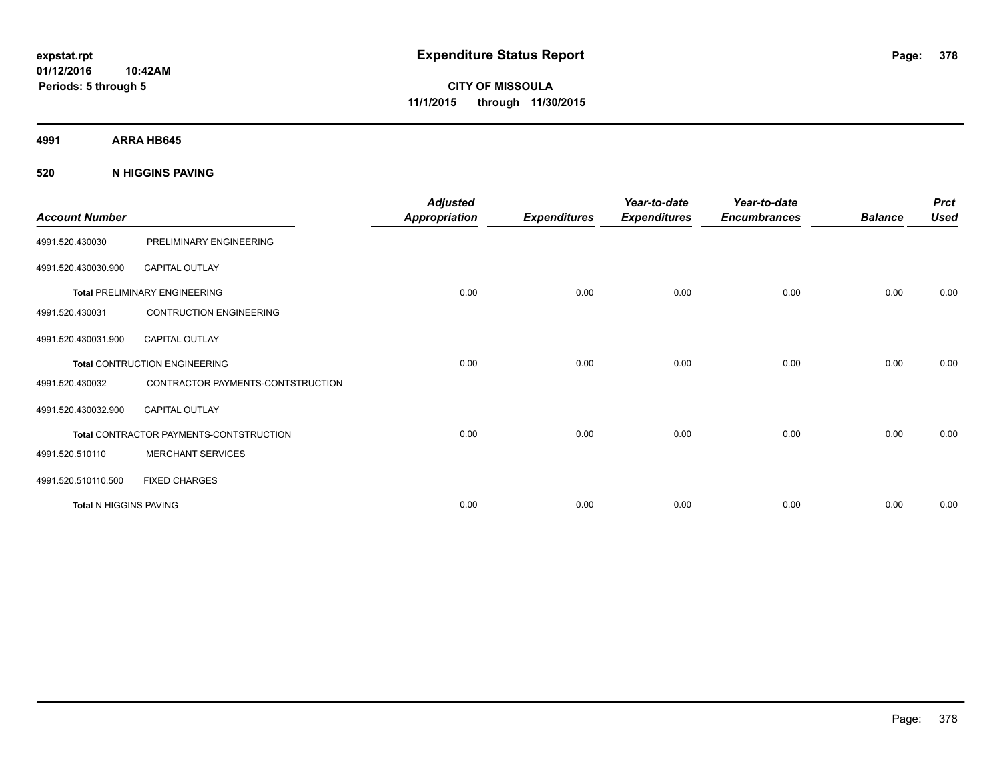**4991 ARRA HB645**

**520 N HIGGINS PAVING**

| <b>Account Number</b>         |                                         | <b>Adjusted</b><br><b>Appropriation</b> | <b>Expenditures</b> | Year-to-date<br><b>Expenditures</b> | Year-to-date<br><b>Encumbrances</b> | <b>Balance</b> | <b>Prct</b><br><b>Used</b> |
|-------------------------------|-----------------------------------------|-----------------------------------------|---------------------|-------------------------------------|-------------------------------------|----------------|----------------------------|
| 4991.520.430030               | PRELIMINARY ENGINEERING                 |                                         |                     |                                     |                                     |                |                            |
| 4991.520.430030.900           | <b>CAPITAL OUTLAY</b>                   |                                         |                     |                                     |                                     |                |                            |
|                               | <b>Total PRELIMINARY ENGINEERING</b>    | 0.00                                    | 0.00                | 0.00                                | 0.00                                | 0.00           | 0.00                       |
| 4991.520.430031               | <b>CONTRUCTION ENGINEERING</b>          |                                         |                     |                                     |                                     |                |                            |
| 4991.520.430031.900           | <b>CAPITAL OUTLAY</b>                   |                                         |                     |                                     |                                     |                |                            |
|                               | <b>Total CONTRUCTION ENGINEERING</b>    | 0.00                                    | 0.00                | 0.00                                | 0.00                                | 0.00           | 0.00                       |
| 4991.520.430032               | CONTRACTOR PAYMENTS-CONTSTRUCTION       |                                         |                     |                                     |                                     |                |                            |
| 4991.520.430032.900           | <b>CAPITAL OUTLAY</b>                   |                                         |                     |                                     |                                     |                |                            |
|                               | Total CONTRACTOR PAYMENTS-CONTSTRUCTION | 0.00                                    | 0.00                | 0.00                                | 0.00                                | 0.00           | 0.00                       |
| 4991.520.510110               | <b>MERCHANT SERVICES</b>                |                                         |                     |                                     |                                     |                |                            |
| 4991.520.510110.500           | <b>FIXED CHARGES</b>                    |                                         |                     |                                     |                                     |                |                            |
| <b>Total N HIGGINS PAVING</b> |                                         | 0.00                                    | 0.00                | 0.00                                | 0.00                                | 0.00           | 0.00                       |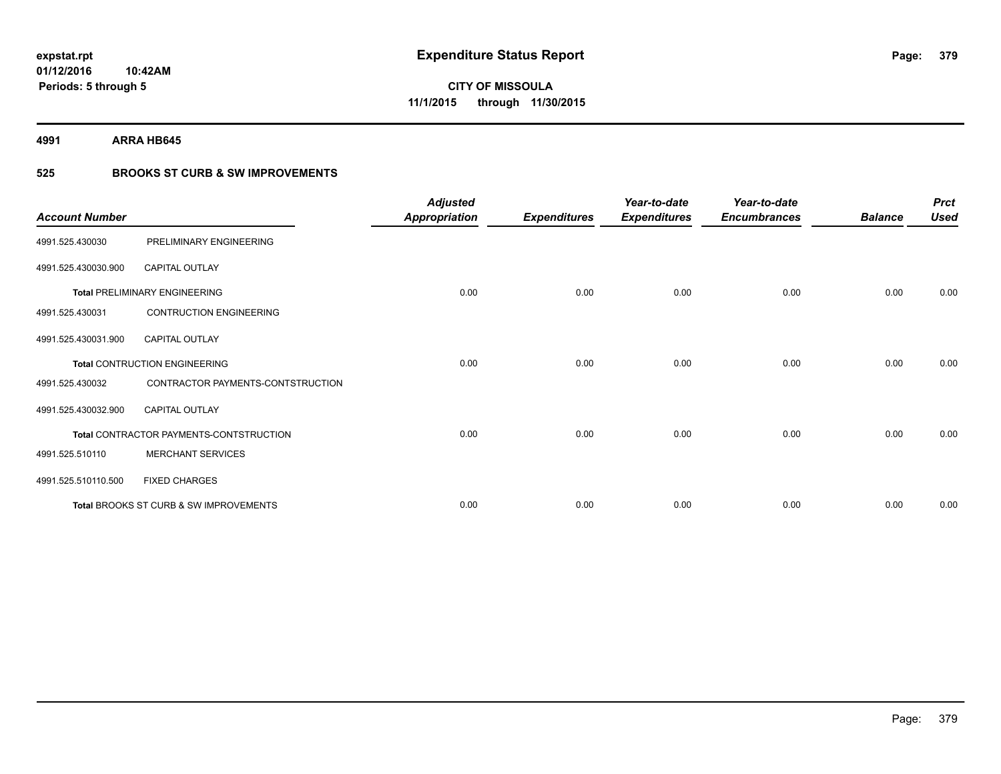**4991 ARRA HB645**

### **525 BROOKS ST CURB & SW IMPROVEMENTS**

| <b>Account Number</b> |                                         | <b>Adjusted</b><br><b>Appropriation</b> | <b>Expenditures</b> | Year-to-date<br><b>Expenditures</b> | Year-to-date<br><b>Encumbrances</b> | <b>Balance</b> | <b>Prct</b><br><b>Used</b> |
|-----------------------|-----------------------------------------|-----------------------------------------|---------------------|-------------------------------------|-------------------------------------|----------------|----------------------------|
| 4991.525.430030       | PRELIMINARY ENGINEERING                 |                                         |                     |                                     |                                     |                |                            |
| 4991.525.430030.900   | <b>CAPITAL OUTLAY</b>                   |                                         |                     |                                     |                                     |                |                            |
|                       | <b>Total PRELIMINARY ENGINEERING</b>    | 0.00                                    | 0.00                | 0.00                                | 0.00                                | 0.00           | 0.00                       |
| 4991.525.430031       | <b>CONTRUCTION ENGINEERING</b>          |                                         |                     |                                     |                                     |                |                            |
| 4991.525.430031.900   | <b>CAPITAL OUTLAY</b>                   |                                         |                     |                                     |                                     |                |                            |
|                       | <b>Total CONTRUCTION ENGINEERING</b>    | 0.00                                    | 0.00                | 0.00                                | 0.00                                | 0.00           | 0.00                       |
| 4991.525.430032       | CONTRACTOR PAYMENTS-CONTSTRUCTION       |                                         |                     |                                     |                                     |                |                            |
| 4991.525.430032.900   | <b>CAPITAL OUTLAY</b>                   |                                         |                     |                                     |                                     |                |                            |
|                       | Total CONTRACTOR PAYMENTS-CONTSTRUCTION | 0.00                                    | 0.00                | 0.00                                | 0.00                                | 0.00           | 0.00                       |
| 4991.525.510110       | <b>MERCHANT SERVICES</b>                |                                         |                     |                                     |                                     |                |                            |
| 4991.525.510110.500   | <b>FIXED CHARGES</b>                    |                                         |                     |                                     |                                     |                |                            |
|                       | Total BROOKS ST CURB & SW IMPROVEMENTS  | 0.00                                    | 0.00                | 0.00                                | 0.00                                | 0.00           | 0.00                       |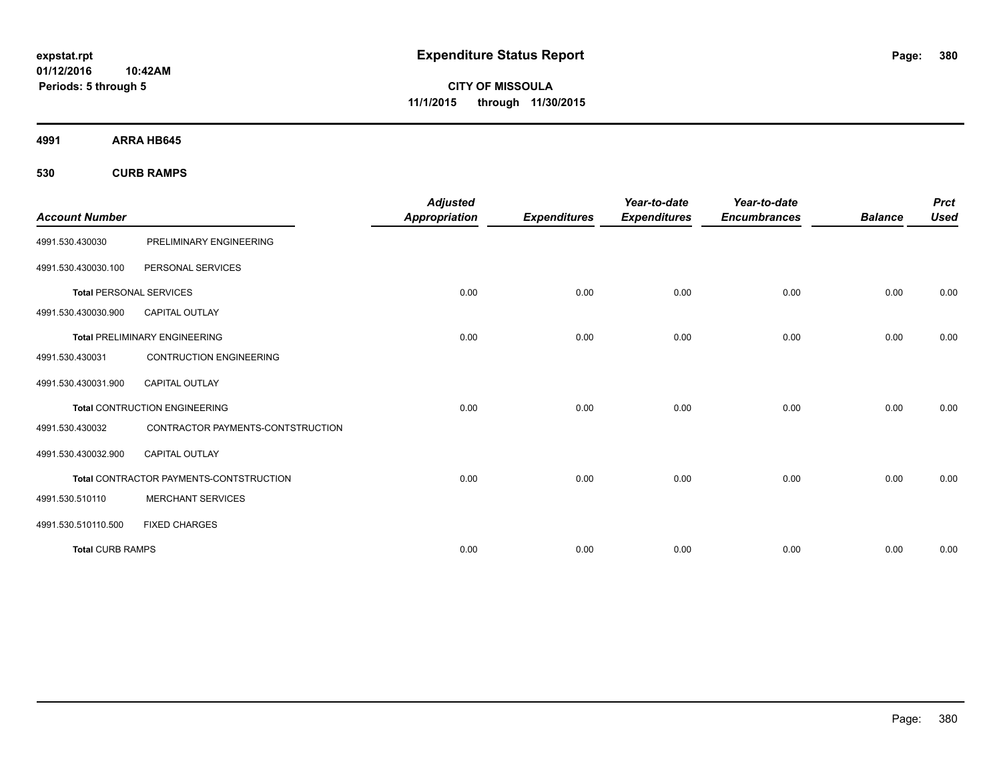**01/12/2016 10:42AM Periods: 5 through 5**

**CITY OF MISSOULA 11/1/2015 through 11/30/2015**

**4991 ARRA HB645**

**530 CURB RAMPS**

| <b>Account Number</b>          |                                         | <b>Adjusted</b><br><b>Appropriation</b> | <b>Expenditures</b> | Year-to-date<br><b>Expenditures</b> | Year-to-date<br><b>Encumbrances</b> | <b>Balance</b> | <b>Prct</b><br><b>Used</b> |
|--------------------------------|-----------------------------------------|-----------------------------------------|---------------------|-------------------------------------|-------------------------------------|----------------|----------------------------|
|                                |                                         |                                         |                     |                                     |                                     |                |                            |
| 4991.530.430030                | PRELIMINARY ENGINEERING                 |                                         |                     |                                     |                                     |                |                            |
| 4991.530.430030.100            | PERSONAL SERVICES                       |                                         |                     |                                     |                                     |                |                            |
| <b>Total PERSONAL SERVICES</b> |                                         | 0.00                                    | 0.00                | 0.00                                | 0.00                                | 0.00           | 0.00                       |
| 4991.530.430030.900            | <b>CAPITAL OUTLAY</b>                   |                                         |                     |                                     |                                     |                |                            |
|                                | <b>Total PRELIMINARY ENGINEERING</b>    | 0.00                                    | 0.00                | 0.00                                | 0.00                                | 0.00           | 0.00                       |
| 4991.530.430031                | <b>CONTRUCTION ENGINEERING</b>          |                                         |                     |                                     |                                     |                |                            |
| 4991.530.430031.900            | <b>CAPITAL OUTLAY</b>                   |                                         |                     |                                     |                                     |                |                            |
|                                | <b>Total CONTRUCTION ENGINEERING</b>    | 0.00                                    | 0.00                | 0.00                                | 0.00                                | 0.00           | 0.00                       |
| 4991.530.430032                | CONTRACTOR PAYMENTS-CONTSTRUCTION       |                                         |                     |                                     |                                     |                |                            |
| 4991.530.430032.900            | <b>CAPITAL OUTLAY</b>                   |                                         |                     |                                     |                                     |                |                            |
|                                | Total CONTRACTOR PAYMENTS-CONTSTRUCTION | 0.00                                    | 0.00                | 0.00                                | 0.00                                | 0.00           | 0.00                       |
| 4991.530.510110                | <b>MERCHANT SERVICES</b>                |                                         |                     |                                     |                                     |                |                            |
| 4991.530.510110.500            | <b>FIXED CHARGES</b>                    |                                         |                     |                                     |                                     |                |                            |
| <b>Total CURB RAMPS</b>        |                                         | 0.00                                    | 0.00                | 0.00                                | 0.00                                | 0.00           | 0.00                       |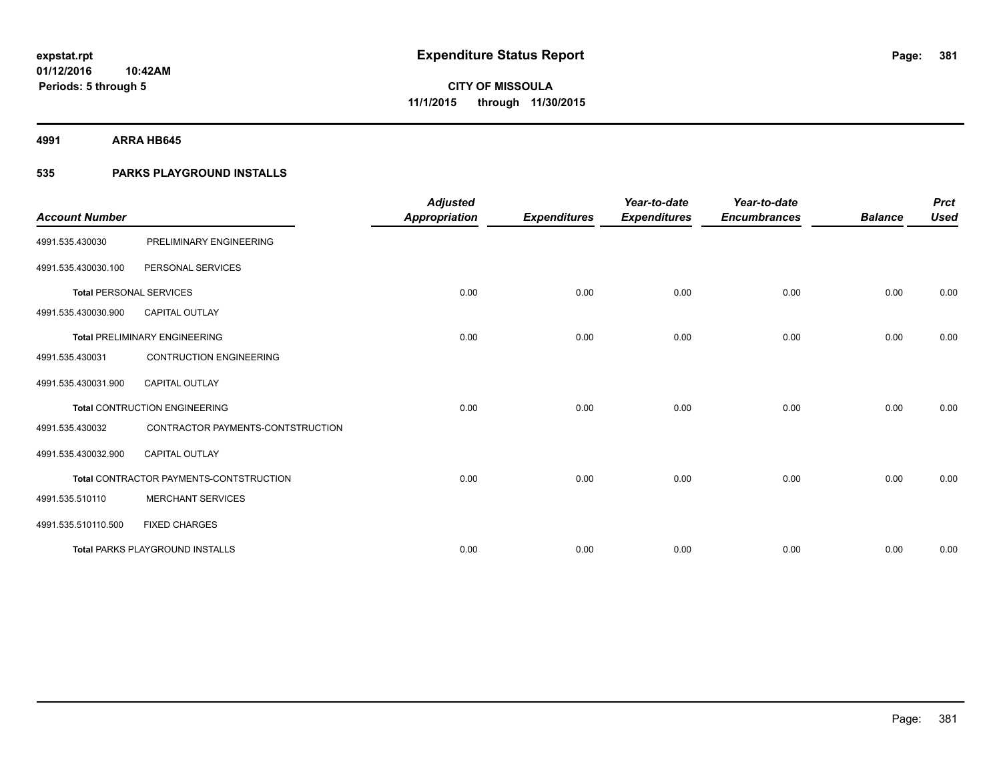**4991 ARRA HB645**

#### **535 PARKS PLAYGROUND INSTALLS**

|                                |                                         | <b>Adjusted</b>      |                     | Year-to-date        | Year-to-date        |                | <b>Prct</b> |
|--------------------------------|-----------------------------------------|----------------------|---------------------|---------------------|---------------------|----------------|-------------|
| <b>Account Number</b>          |                                         | <b>Appropriation</b> | <b>Expenditures</b> | <b>Expenditures</b> | <b>Encumbrances</b> | <b>Balance</b> | <b>Used</b> |
| 4991.535.430030                | PRELIMINARY ENGINEERING                 |                      |                     |                     |                     |                |             |
| 4991.535.430030.100            | PERSONAL SERVICES                       |                      |                     |                     |                     |                |             |
| <b>Total PERSONAL SERVICES</b> |                                         | 0.00                 | 0.00                | 0.00                | 0.00                | 0.00           | 0.00        |
| 4991.535.430030.900            | <b>CAPITAL OUTLAY</b>                   |                      |                     |                     |                     |                |             |
|                                | <b>Total PRELIMINARY ENGINEERING</b>    | 0.00                 | 0.00                | 0.00                | 0.00                | 0.00           | 0.00        |
| 4991.535.430031                | <b>CONTRUCTION ENGINEERING</b>          |                      |                     |                     |                     |                |             |
| 4991.535.430031.900            | <b>CAPITAL OUTLAY</b>                   |                      |                     |                     |                     |                |             |
|                                | <b>Total CONTRUCTION ENGINEERING</b>    | 0.00                 | 0.00                | 0.00                | 0.00                | 0.00           | 0.00        |
| 4991.535.430032                | CONTRACTOR PAYMENTS-CONTSTRUCTION       |                      |                     |                     |                     |                |             |
| 4991.535.430032.900            | <b>CAPITAL OUTLAY</b>                   |                      |                     |                     |                     |                |             |
|                                | Total CONTRACTOR PAYMENTS-CONTSTRUCTION | 0.00                 | 0.00                | 0.00                | 0.00                | 0.00           | 0.00        |
| 4991.535.510110                | <b>MERCHANT SERVICES</b>                |                      |                     |                     |                     |                |             |
| 4991.535.510110.500            | <b>FIXED CHARGES</b>                    |                      |                     |                     |                     |                |             |
|                                | <b>Total PARKS PLAYGROUND INSTALLS</b>  | 0.00                 | 0.00                | 0.00                | 0.00                | 0.00           | 0.00        |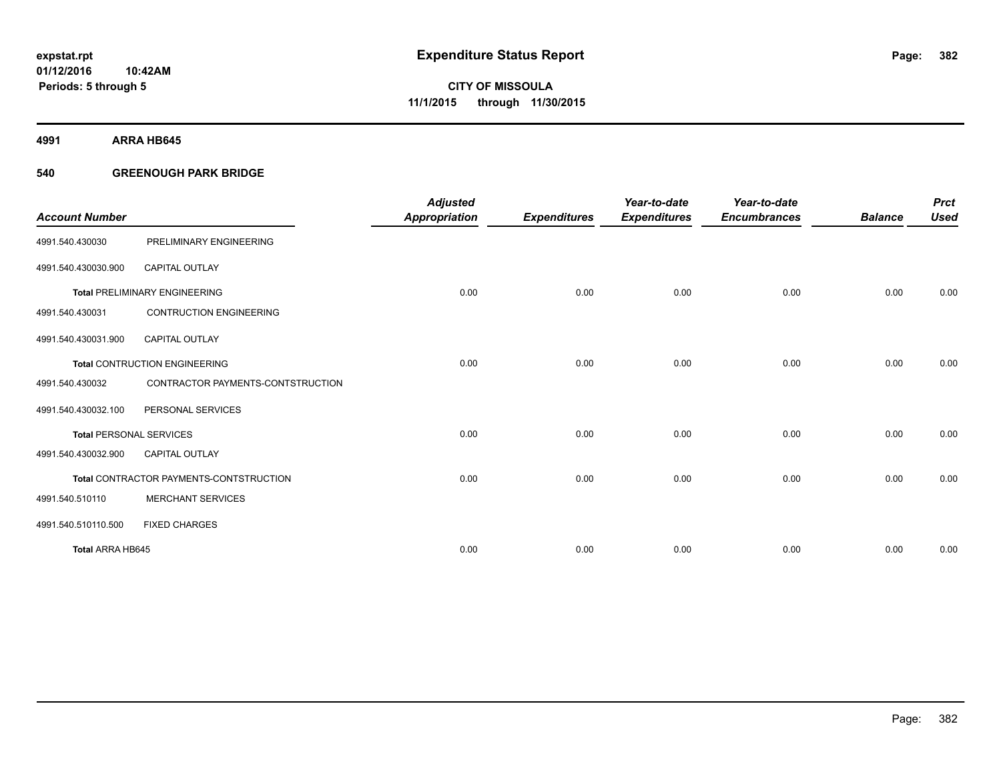**4991 ARRA HB645**

#### **540 GREENOUGH PARK BRIDGE**

|                                |                                         | <b>Adjusted</b>      |                     | Year-to-date        | Year-to-date        |                | <b>Prct</b> |
|--------------------------------|-----------------------------------------|----------------------|---------------------|---------------------|---------------------|----------------|-------------|
| <b>Account Number</b>          |                                         | <b>Appropriation</b> | <b>Expenditures</b> | <b>Expenditures</b> | <b>Encumbrances</b> | <b>Balance</b> | <b>Used</b> |
| 4991.540.430030                | PRELIMINARY ENGINEERING                 |                      |                     |                     |                     |                |             |
| 4991.540.430030.900            | <b>CAPITAL OUTLAY</b>                   |                      |                     |                     |                     |                |             |
|                                | <b>Total PRELIMINARY ENGINEERING</b>    | 0.00                 | 0.00                | 0.00                | 0.00                | 0.00           | 0.00        |
| 4991.540.430031                | <b>CONTRUCTION ENGINEERING</b>          |                      |                     |                     |                     |                |             |
| 4991.540.430031.900            | CAPITAL OUTLAY                          |                      |                     |                     |                     |                |             |
|                                | <b>Total CONTRUCTION ENGINEERING</b>    | 0.00                 | 0.00                | 0.00                | 0.00                | 0.00           | 0.00        |
| 4991.540.430032                | CONTRACTOR PAYMENTS-CONTSTRUCTION       |                      |                     |                     |                     |                |             |
| 4991.540.430032.100            | PERSONAL SERVICES                       |                      |                     |                     |                     |                |             |
| <b>Total PERSONAL SERVICES</b> |                                         | 0.00                 | 0.00                | 0.00                | 0.00                | 0.00           | 0.00        |
| 4991.540.430032.900            | <b>CAPITAL OUTLAY</b>                   |                      |                     |                     |                     |                |             |
|                                | Total CONTRACTOR PAYMENTS-CONTSTRUCTION | 0.00                 | 0.00                | 0.00                | 0.00                | 0.00           | 0.00        |
| 4991.540.510110                | <b>MERCHANT SERVICES</b>                |                      |                     |                     |                     |                |             |
| 4991.540.510110.500            | <b>FIXED CHARGES</b>                    |                      |                     |                     |                     |                |             |
| Total ARRA HB645               |                                         | 0.00                 | 0.00                | 0.00                | 0.00                | 0.00           | 0.00        |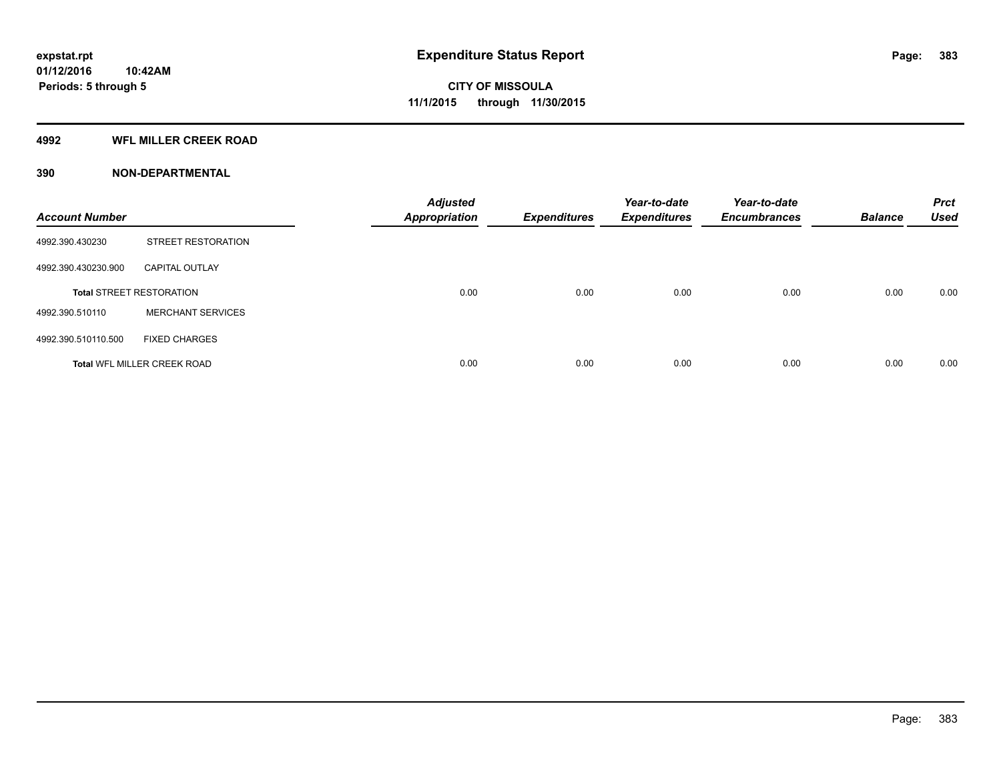#### **4992 WFL MILLER CREEK ROAD**

| <b>Account Number</b> |                                    | <b>Adjusted</b><br><b>Appropriation</b> | <b>Expenditures</b> | Year-to-date<br><b>Expenditures</b> | Year-to-date<br><b>Encumbrances</b> | <b>Balance</b> | <b>Prct</b><br><b>Used</b> |
|-----------------------|------------------------------------|-----------------------------------------|---------------------|-------------------------------------|-------------------------------------|----------------|----------------------------|
| 4992.390.430230       | STREET RESTORATION                 |                                         |                     |                                     |                                     |                |                            |
| 4992.390.430230.900   | <b>CAPITAL OUTLAY</b>              |                                         |                     |                                     |                                     |                |                            |
|                       | <b>Total STREET RESTORATION</b>    | 0.00                                    | 0.00                | 0.00                                | 0.00                                | 0.00           | 0.00                       |
| 4992.390.510110       | <b>MERCHANT SERVICES</b>           |                                         |                     |                                     |                                     |                |                            |
| 4992.390.510110.500   | <b>FIXED CHARGES</b>               |                                         |                     |                                     |                                     |                |                            |
|                       | <b>Total WFL MILLER CREEK ROAD</b> | 0.00                                    | 0.00                | 0.00                                | 0.00                                | 0.00           | 0.00                       |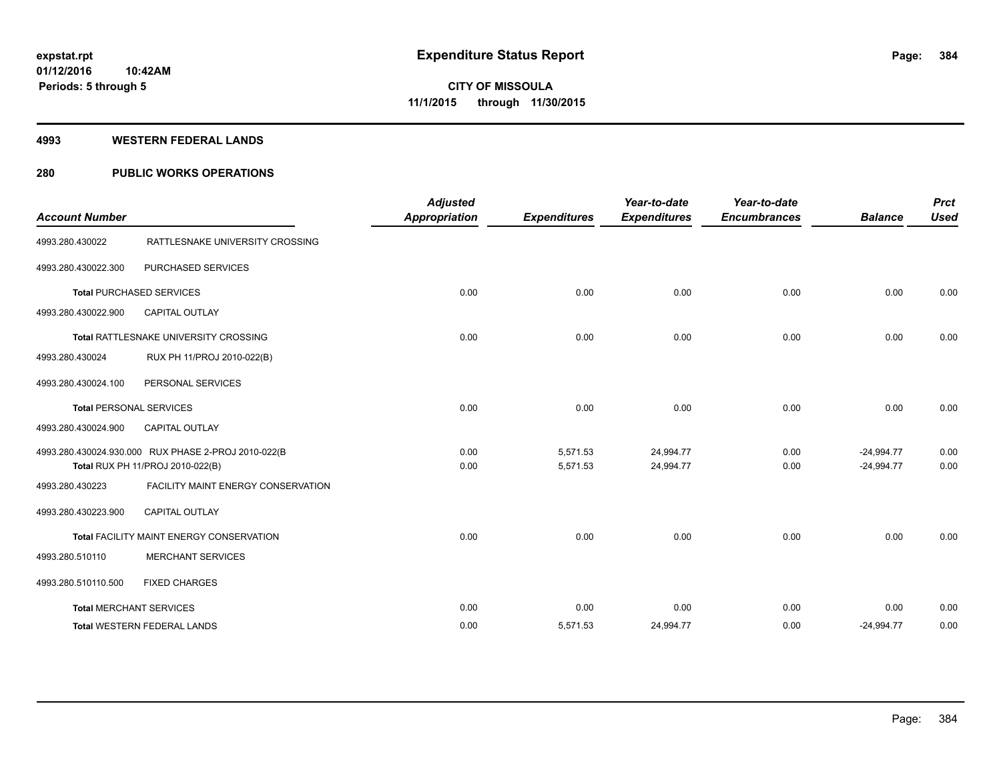#### **4993 WESTERN FEDERAL LANDS**

#### **280 PUBLIC WORKS OPERATIONS**

| <b>Account Number</b> |                                                                                         | <b>Adjusted</b><br><b>Appropriation</b> | <b>Expenditures</b>  | Year-to-date<br><b>Expenditures</b> | Year-to-date<br><b>Encumbrances</b> | <b>Balance</b>               | <b>Prct</b><br><b>Used</b> |
|-----------------------|-----------------------------------------------------------------------------------------|-----------------------------------------|----------------------|-------------------------------------|-------------------------------------|------------------------------|----------------------------|
| 4993.280.430022       | RATTLESNAKE UNIVERSITY CROSSING                                                         |                                         |                      |                                     |                                     |                              |                            |
| 4993.280.430022.300   | PURCHASED SERVICES                                                                      |                                         |                      |                                     |                                     |                              |                            |
|                       | <b>Total PURCHASED SERVICES</b>                                                         | 0.00                                    | 0.00                 | 0.00                                | 0.00                                | 0.00                         | 0.00                       |
| 4993.280.430022.900   | <b>CAPITAL OUTLAY</b>                                                                   |                                         |                      |                                     |                                     |                              |                            |
|                       | Total RATTLESNAKE UNIVERSITY CROSSING                                                   | 0.00                                    | 0.00                 | 0.00                                | 0.00                                | 0.00                         | 0.00                       |
| 4993.280.430024       | RUX PH 11/PROJ 2010-022(B)                                                              |                                         |                      |                                     |                                     |                              |                            |
| 4993.280.430024.100   | PERSONAL SERVICES                                                                       |                                         |                      |                                     |                                     |                              |                            |
|                       | <b>Total PERSONAL SERVICES</b>                                                          | 0.00                                    | 0.00                 | 0.00                                | 0.00                                | 0.00                         | 0.00                       |
| 4993.280.430024.900   | <b>CAPITAL OUTLAY</b>                                                                   |                                         |                      |                                     |                                     |                              |                            |
|                       | 4993.280.430024.930.000 RUX PHASE 2-PROJ 2010-022(B<br>Total RUX PH 11/PROJ 2010-022(B) | 0.00<br>0.00                            | 5,571.53<br>5,571.53 | 24,994.77<br>24,994.77              | 0.00<br>0.00                        | $-24.994.77$<br>$-24,994.77$ | 0.00<br>0.00               |
| 4993.280.430223       | FACILITY MAINT ENERGY CONSERVATION                                                      |                                         |                      |                                     |                                     |                              |                            |
| 4993.280.430223.900   | <b>CAPITAL OUTLAY</b>                                                                   |                                         |                      |                                     |                                     |                              |                            |
|                       | Total FACILITY MAINT ENERGY CONSERVATION                                                | 0.00                                    | 0.00                 | 0.00                                | 0.00                                | 0.00                         | 0.00                       |
| 4993.280.510110       | <b>MERCHANT SERVICES</b>                                                                |                                         |                      |                                     |                                     |                              |                            |
| 4993.280.510110.500   | <b>FIXED CHARGES</b>                                                                    |                                         |                      |                                     |                                     |                              |                            |
|                       | <b>Total MERCHANT SERVICES</b>                                                          | 0.00                                    | 0.00                 | 0.00                                | 0.00                                | 0.00                         | 0.00                       |
|                       | <b>Total WESTERN FEDERAL LANDS</b>                                                      | 0.00                                    | 5,571.53             | 24,994.77                           | 0.00                                | $-24,994.77$                 | 0.00                       |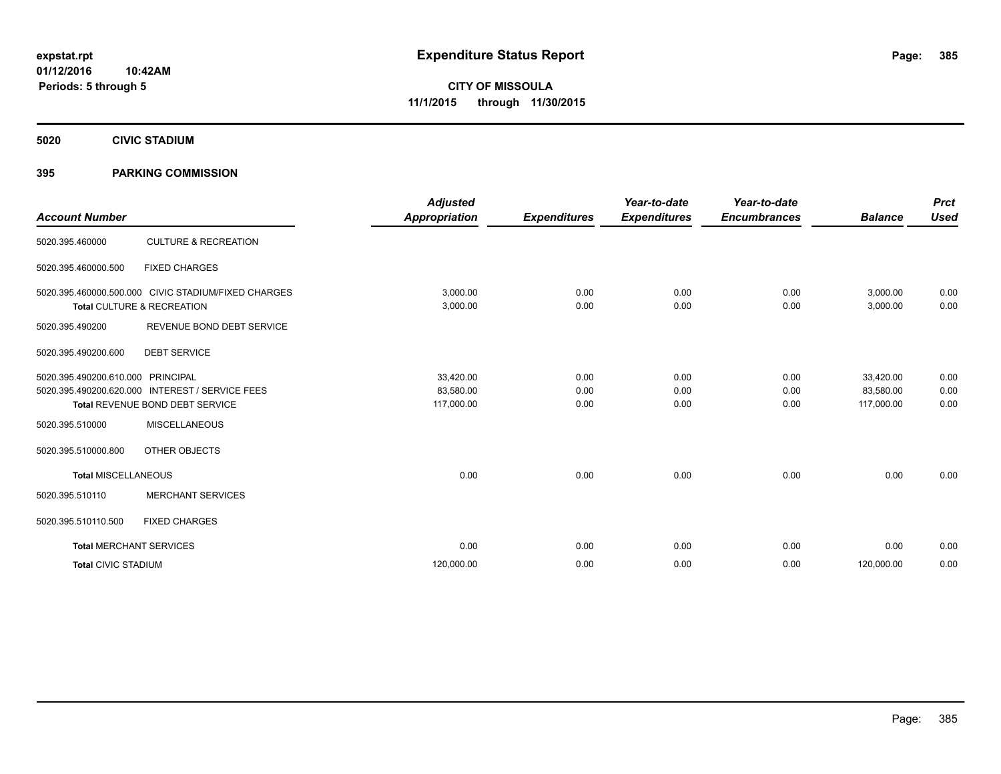**5020 CIVIC STADIUM**

#### **395 PARKING COMMISSION**

| <b>Account Number</b>      |                                                                                                               | <b>Adjusted</b><br><b>Appropriation</b> | <b>Expenditures</b>  | Year-to-date<br><b>Expenditures</b> | Year-to-date<br><b>Encumbrances</b> | <b>Balance</b>                       | <b>Prct</b><br><b>Used</b> |
|----------------------------|---------------------------------------------------------------------------------------------------------------|-----------------------------------------|----------------------|-------------------------------------|-------------------------------------|--------------------------------------|----------------------------|
| 5020.395.460000            | <b>CULTURE &amp; RECREATION</b>                                                                               |                                         |                      |                                     |                                     |                                      |                            |
| 5020.395.460000.500        | <b>FIXED CHARGES</b>                                                                                          |                                         |                      |                                     |                                     |                                      |                            |
|                            | 5020.395.460000.500.000 CIVIC STADIUM/FIXED CHARGES<br>Total CULTURE & RECREATION                             | 3,000.00<br>3,000.00                    | 0.00<br>0.00         | 0.00<br>0.00                        | 0.00<br>0.00                        | 3,000.00<br>3,000.00                 | 0.00<br>0.00               |
| 5020.395.490200            | REVENUE BOND DEBT SERVICE                                                                                     |                                         |                      |                                     |                                     |                                      |                            |
| 5020.395.490200.600        | <b>DEBT SERVICE</b>                                                                                           |                                         |                      |                                     |                                     |                                      |                            |
| 5020.395.490200.610.000    | <b>PRINCIPAL</b><br>5020.395.490200.620.000 INTEREST / SERVICE FEES<br><b>Total REVENUE BOND DEBT SERVICE</b> | 33,420.00<br>83,580.00<br>117,000.00    | 0.00<br>0.00<br>0.00 | 0.00<br>0.00<br>0.00                | 0.00<br>0.00<br>0.00                | 33,420.00<br>83,580.00<br>117,000.00 | 0.00<br>0.00<br>0.00       |
| 5020.395.510000            | <b>MISCELLANEOUS</b>                                                                                          |                                         |                      |                                     |                                     |                                      |                            |
| 5020.395.510000.800        | OTHER OBJECTS                                                                                                 |                                         |                      |                                     |                                     |                                      |                            |
| <b>Total MISCELLANEOUS</b> |                                                                                                               | 0.00                                    | 0.00                 | 0.00                                | 0.00                                | 0.00                                 | 0.00                       |
| 5020.395.510110            | <b>MERCHANT SERVICES</b>                                                                                      |                                         |                      |                                     |                                     |                                      |                            |
| 5020.395.510110.500        | <b>FIXED CHARGES</b>                                                                                          |                                         |                      |                                     |                                     |                                      |                            |
|                            | <b>Total MERCHANT SERVICES</b>                                                                                | 0.00                                    | 0.00                 | 0.00                                | 0.00                                | 0.00                                 | 0.00                       |
| <b>Total CIVIC STADIUM</b> |                                                                                                               | 120,000.00                              | 0.00                 | 0.00                                | 0.00                                | 120,000.00                           | 0.00                       |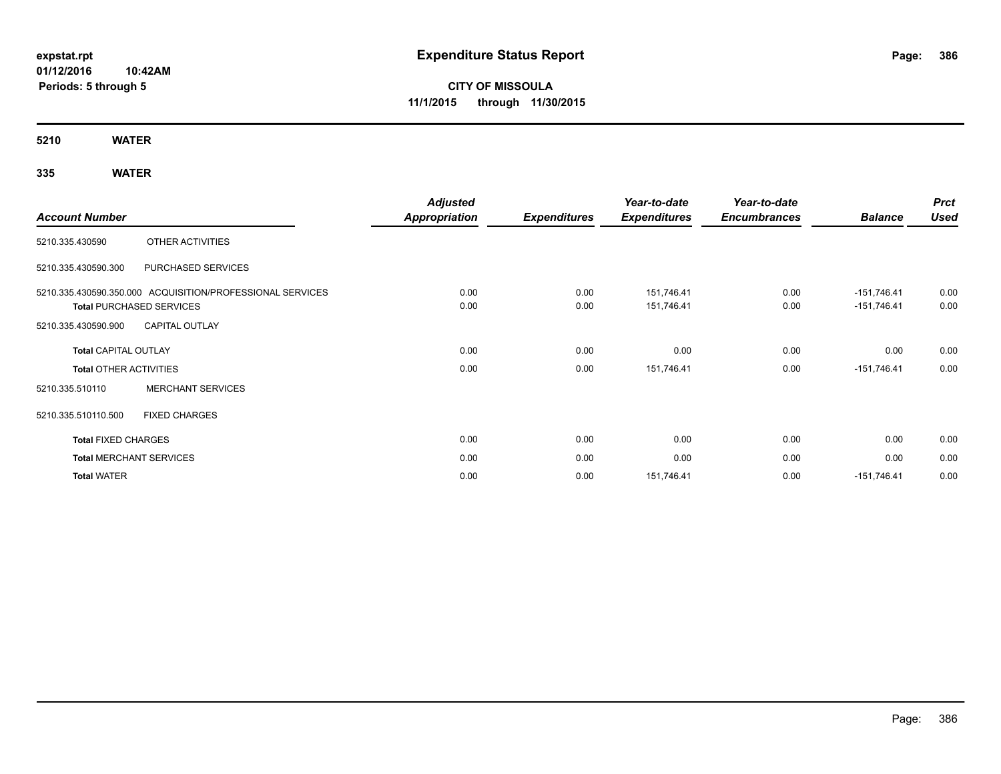**01/12/2016 10:42AM Periods: 5 through 5**

# **CITY OF MISSOULA 11/1/2015 through 11/30/2015**

**5210 WATER**

## **335 WATER**

|                               |                                                           | <b>Adjusted</b>      |                     | Year-to-date        | Year-to-date        |                | <b>Prct</b> |
|-------------------------------|-----------------------------------------------------------|----------------------|---------------------|---------------------|---------------------|----------------|-------------|
| <b>Account Number</b>         |                                                           | <b>Appropriation</b> | <b>Expenditures</b> | <b>Expenditures</b> | <b>Encumbrances</b> | <b>Balance</b> | <b>Used</b> |
| 5210.335.430590               | OTHER ACTIVITIES                                          |                      |                     |                     |                     |                |             |
| 5210.335.430590.300           | PURCHASED SERVICES                                        |                      |                     |                     |                     |                |             |
|                               | 5210.335.430590.350.000 ACQUISITION/PROFESSIONAL SERVICES | 0.00                 | 0.00                | 151,746.41          | 0.00                | $-151,746.41$  | 0.00        |
|                               | <b>Total PURCHASED SERVICES</b>                           | 0.00                 | 0.00                | 151,746.41          | 0.00                | $-151,746.41$  | 0.00        |
| 5210.335.430590.900           | <b>CAPITAL OUTLAY</b>                                     |                      |                     |                     |                     |                |             |
| <b>Total CAPITAL OUTLAY</b>   |                                                           | 0.00                 | 0.00                | 0.00                | 0.00                | 0.00           | 0.00        |
| <b>Total OTHER ACTIVITIES</b> |                                                           | 0.00                 | 0.00                | 151,746.41          | 0.00                | $-151,746.41$  | 0.00        |
| 5210.335.510110               | <b>MERCHANT SERVICES</b>                                  |                      |                     |                     |                     |                |             |
| 5210.335.510110.500           | <b>FIXED CHARGES</b>                                      |                      |                     |                     |                     |                |             |
| <b>Total FIXED CHARGES</b>    |                                                           | 0.00                 | 0.00                | 0.00                | 0.00                | 0.00           | 0.00        |
|                               | <b>Total MERCHANT SERVICES</b>                            | 0.00                 | 0.00                | 0.00                | 0.00                | 0.00           | 0.00        |
| <b>Total WATER</b>            |                                                           | 0.00                 | 0.00                | 151,746.41          | 0.00                | $-151,746.41$  | 0.00        |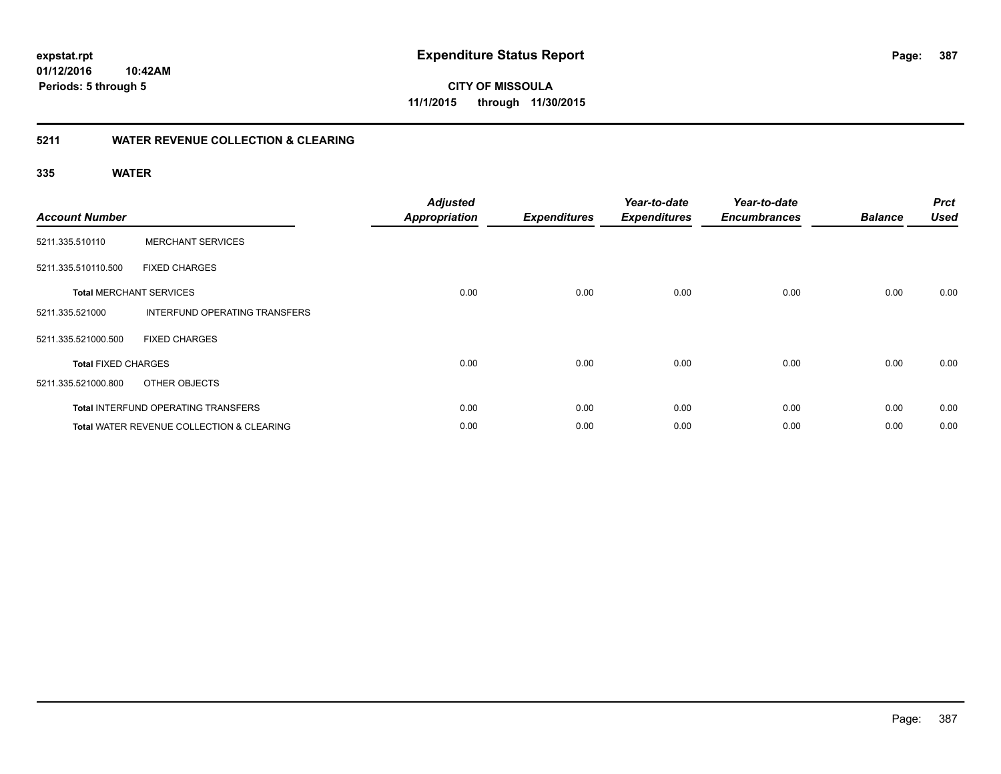**Periods: 5 through 5**

**CITY OF MISSOULA 11/1/2015 through 11/30/2015**

#### **5211 WATER REVENUE COLLECTION & CLEARING**

#### **335 WATER**

| <b>Account Number</b>      |                                                      | <b>Adjusted</b><br><b>Appropriation</b> | <b>Expenditures</b> | Year-to-date<br><b>Expenditures</b> | Year-to-date<br><b>Encumbrances</b> | <b>Balance</b> | <b>Prct</b><br><b>Used</b> |
|----------------------------|------------------------------------------------------|-----------------------------------------|---------------------|-------------------------------------|-------------------------------------|----------------|----------------------------|
| 5211.335.510110            | <b>MERCHANT SERVICES</b>                             |                                         |                     |                                     |                                     |                |                            |
| 5211.335.510110.500        | <b>FIXED CHARGES</b>                                 |                                         |                     |                                     |                                     |                |                            |
|                            | <b>Total MERCHANT SERVICES</b>                       | 0.00                                    | 0.00                | 0.00                                | 0.00                                | 0.00           | 0.00                       |
| 5211.335.521000            | <b>INTERFUND OPERATING TRANSFERS</b>                 |                                         |                     |                                     |                                     |                |                            |
| 5211.335.521000.500        | <b>FIXED CHARGES</b>                                 |                                         |                     |                                     |                                     |                |                            |
| <b>Total FIXED CHARGES</b> |                                                      | 0.00                                    | 0.00                | 0.00                                | 0.00                                | 0.00           | 0.00                       |
| 5211.335.521000.800        | OTHER OBJECTS                                        |                                         |                     |                                     |                                     |                |                            |
|                            | <b>Total INTERFUND OPERATING TRANSFERS</b>           | 0.00                                    | 0.00                | 0.00                                | 0.00                                | 0.00           | 0.00                       |
|                            | <b>Total WATER REVENUE COLLECTION &amp; CLEARING</b> | 0.00                                    | 0.00                | 0.00                                | 0.00                                | 0.00           | 0.00                       |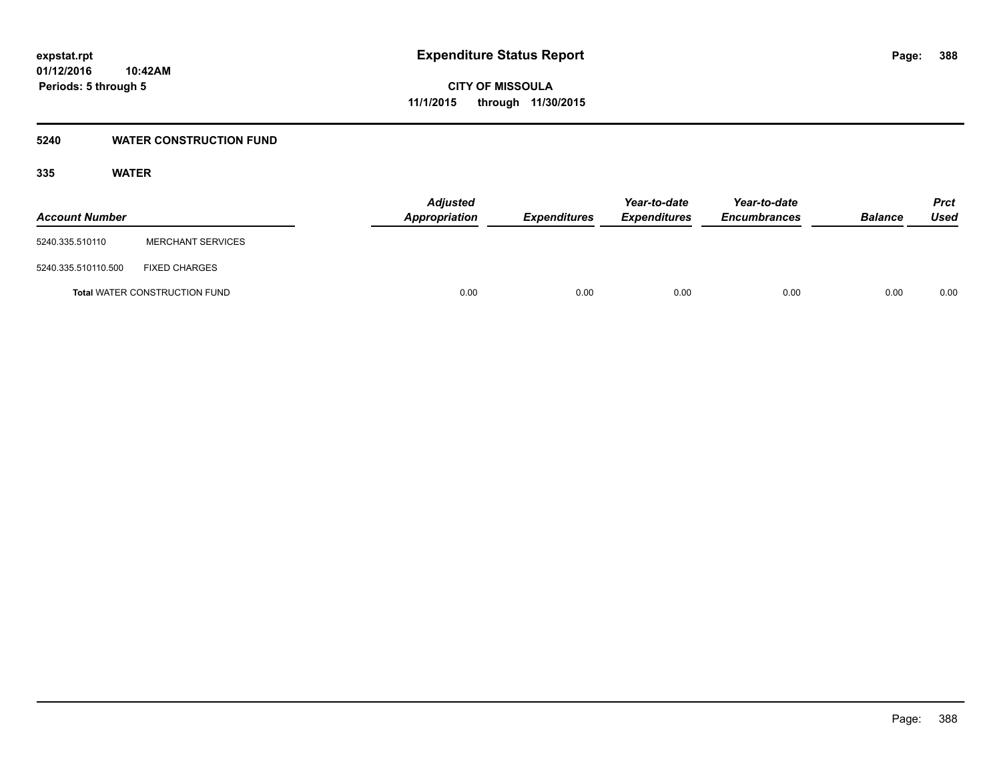#### **5240 WATER CONSTRUCTION FUND**

#### **335 WATER**

| <b>Account Number</b> |                                      | <b>Adjusted</b><br>Appropriation | <b>Expenditures</b> | Year-to-date<br><b>Expenditures</b> | Year-to-date<br><b>Encumbrances</b> | <b>Balance</b> | Prct<br><b>Used</b> |
|-----------------------|--------------------------------------|----------------------------------|---------------------|-------------------------------------|-------------------------------------|----------------|---------------------|
| 5240.335.510110       | <b>MERCHANT SERVICES</b>             |                                  |                     |                                     |                                     |                |                     |
| 5240.335.510110.500   | <b>FIXED CHARGES</b>                 |                                  |                     |                                     |                                     |                |                     |
|                       | <b>Total WATER CONSTRUCTION FUND</b> | 0.00                             | 0.00                | 0.00                                | 0.00                                | 0.00           | 0.00                |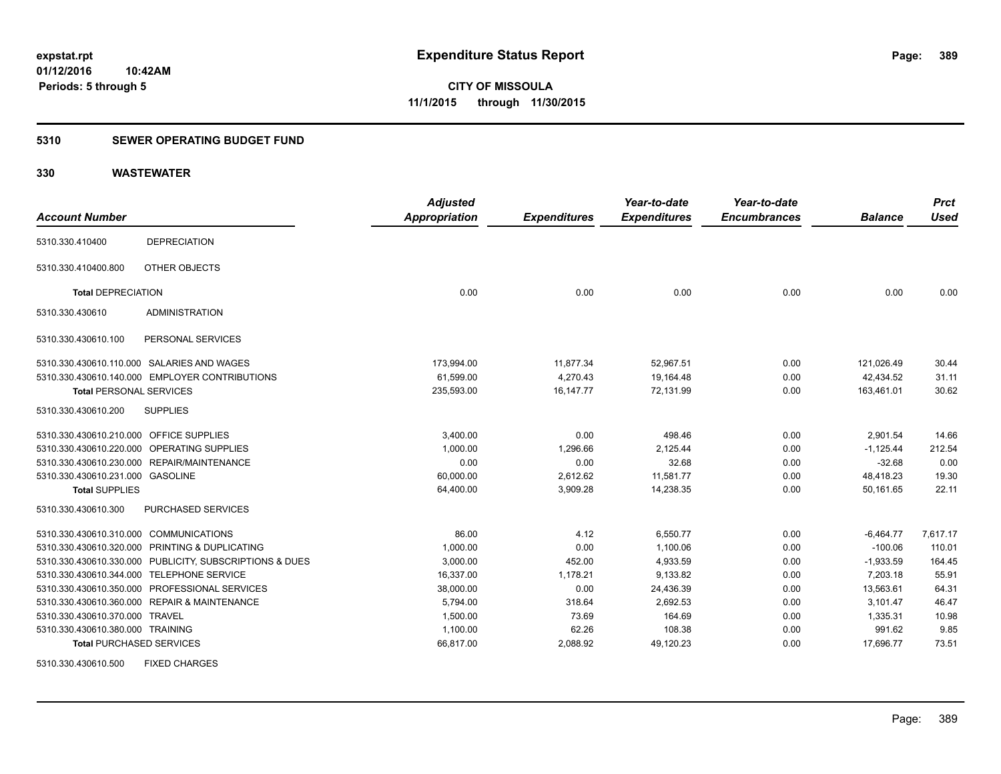#### **5310 SEWER OPERATING BUDGET FUND**

#### **330 WASTEWATER**

| <b>Account Number</b>            |                                                         | <b>Adjusted</b><br><b>Appropriation</b> | <b>Expenditures</b> | Year-to-date<br><b>Expenditures</b> | Year-to-date<br><b>Encumbrances</b> | <b>Balance</b> | <b>Prct</b><br><b>Used</b> |
|----------------------------------|---------------------------------------------------------|-----------------------------------------|---------------------|-------------------------------------|-------------------------------------|----------------|----------------------------|
| 5310.330.410400                  | <b>DEPRECIATION</b>                                     |                                         |                     |                                     |                                     |                |                            |
| 5310.330.410400.800              | OTHER OBJECTS                                           |                                         |                     |                                     |                                     |                |                            |
| <b>Total DEPRECIATION</b>        |                                                         | 0.00                                    | 0.00                | 0.00                                | 0.00                                | 0.00           | 0.00                       |
| 5310.330.430610                  | <b>ADMINISTRATION</b>                                   |                                         |                     |                                     |                                     |                |                            |
| 5310.330.430610.100              | PERSONAL SERVICES                                       |                                         |                     |                                     |                                     |                |                            |
|                                  | 5310.330.430610.110.000 SALARIES AND WAGES              | 173,994.00                              | 11,877.34           | 52,967.51                           | 0.00                                | 121,026.49     | 30.44                      |
|                                  | 5310.330.430610.140.000 EMPLOYER CONTRIBUTIONS          | 61,599.00                               | 4,270.43            | 19,164.48                           | 0.00                                | 42,434.52      | 31.11                      |
| <b>Total PERSONAL SERVICES</b>   |                                                         | 235,593.00                              | 16, 147. 77         | 72.131.99                           | 0.00                                | 163.461.01     | 30.62                      |
| 5310.330.430610.200              | <b>SUPPLIES</b>                                         |                                         |                     |                                     |                                     |                |                            |
| 5310.330.430610.210.000          | <b>OFFICE SUPPLIES</b>                                  | 3.400.00                                | 0.00                | 498.46                              | 0.00                                | 2.901.54       | 14.66                      |
| 5310.330.430610.220.000          | OPERATING SUPPLIES                                      | 1,000.00                                | 1,296.66            | 2,125.44                            | 0.00                                | $-1,125.44$    | 212.54                     |
|                                  | 5310.330.430610.230.000 REPAIR/MAINTENANCE              | 0.00                                    | 0.00                | 32.68                               | 0.00                                | $-32.68$       | 0.00                       |
| 5310.330.430610.231.000 GASOLINE |                                                         | 60,000.00                               | 2,612.62            | 11,581.77                           | 0.00                                | 48,418.23      | 19.30                      |
| <b>Total SUPPLIES</b>            |                                                         | 64,400.00                               | 3,909.28            | 14,238.35                           | 0.00                                | 50,161.65      | 22.11                      |
| 5310.330.430610.300              | PURCHASED SERVICES                                      |                                         |                     |                                     |                                     |                |                            |
| 5310.330.430610.310.000          | <b>COMMUNICATIONS</b>                                   | 86.00                                   | 4.12                | 6,550.77                            | 0.00                                | $-6,464.77$    | 7,617.17                   |
|                                  | 5310.330.430610.320.000 PRINTING & DUPLICATING          | 1,000.00                                | 0.00                | 1,100.06                            | 0.00                                | $-100.06$      | 110.01                     |
|                                  | 5310.330.430610.330.000 PUBLICITY, SUBSCRIPTIONS & DUES | 3,000.00                                | 452.00              | 4,933.59                            | 0.00                                | $-1,933.59$    | 164.45                     |
|                                  | 5310.330.430610.344.000 TELEPHONE SERVICE               | 16,337.00                               | 1,178.21            | 9,133.82                            | 0.00                                | 7.203.18       | 55.91                      |
|                                  | 5310.330.430610.350.000 PROFESSIONAL SERVICES           | 38,000.00                               | 0.00                | 24,436.39                           | 0.00                                | 13,563.61      | 64.31                      |
|                                  | 5310.330.430610.360.000 REPAIR & MAINTENANCE            | 5,794.00                                | 318.64              | 2,692.53                            | 0.00                                | 3,101.47       | 46.47                      |
| 5310.330.430610.370.000 TRAVEL   |                                                         | 1,500.00                                | 73.69               | 164.69                              | 0.00                                | 1,335.31       | 10.98                      |
| 5310.330.430610.380.000 TRAINING |                                                         | 1,100.00                                | 62.26               | 108.38                              | 0.00                                | 991.62         | 9.85                       |
| <b>Total PURCHASED SERVICES</b>  |                                                         | 66,817.00                               | 2,088.92            | 49,120.23                           | 0.00                                | 17,696.77      | 73.51                      |

5310.330.430610.500 FIXED CHARGES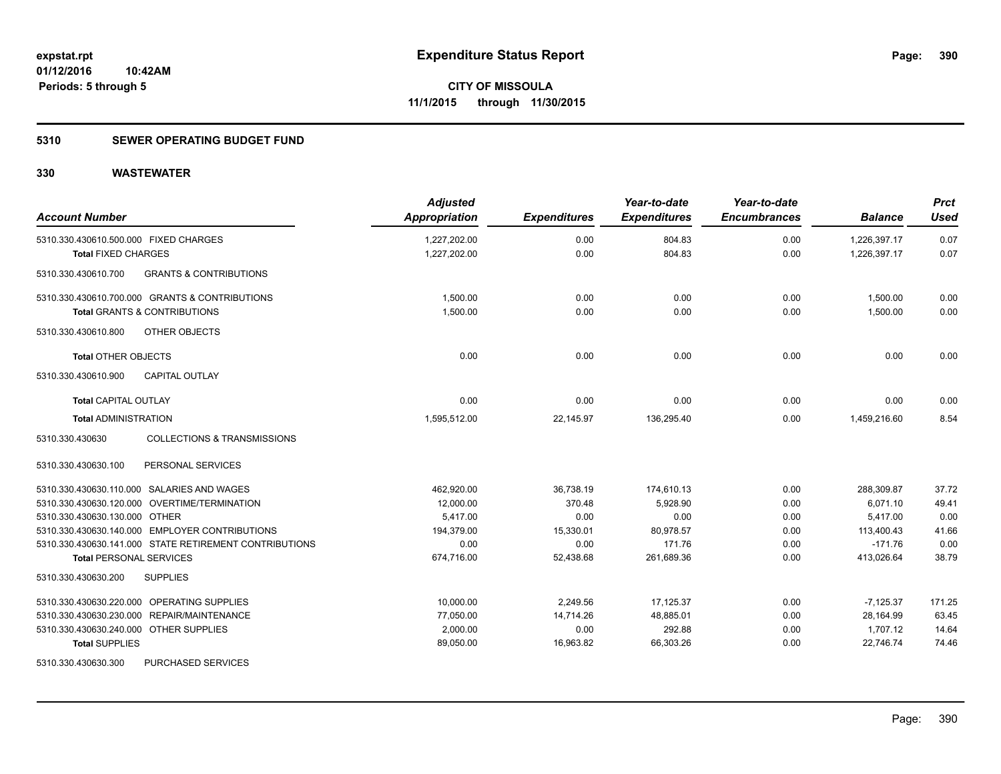#### **5310 SEWER OPERATING BUDGET FUND**

| <b>Account Number</b>                                     | <b>Adjusted</b><br>Appropriation | <b>Expenditures</b> | Year-to-date<br><b>Expenditures</b> | Year-to-date<br><b>Encumbrances</b> | <b>Balance</b> | <b>Prct</b><br><b>Used</b> |
|-----------------------------------------------------------|----------------------------------|---------------------|-------------------------------------|-------------------------------------|----------------|----------------------------|
| 5310.330.430610.500.000 FIXED CHARGES                     | 1,227,202.00                     | 0.00                | 804.83                              | 0.00                                | 1,226,397.17   | 0.07                       |
| <b>Total FIXED CHARGES</b>                                | 1,227,202.00                     | 0.00                | 804.83                              | 0.00                                | 1,226,397.17   | 0.07                       |
| <b>GRANTS &amp; CONTRIBUTIONS</b><br>5310.330.430610.700  |                                  |                     |                                     |                                     |                |                            |
| 5310.330.430610.700.000 GRANTS & CONTRIBUTIONS            | 1,500.00                         | 0.00                | 0.00                                | 0.00                                | 1,500.00       | 0.00                       |
| <b>Total GRANTS &amp; CONTRIBUTIONS</b>                   | 1,500.00                         | 0.00                | 0.00                                | 0.00                                | 1,500.00       | 0.00                       |
| 5310.330.430610.800<br>OTHER OBJECTS                      |                                  |                     |                                     |                                     |                |                            |
| <b>Total OTHER OBJECTS</b>                                | 0.00                             | 0.00                | 0.00                                | 0.00                                | 0.00           | 0.00                       |
| 5310.330.430610.900<br><b>CAPITAL OUTLAY</b>              |                                  |                     |                                     |                                     |                |                            |
| <b>Total CAPITAL OUTLAY</b>                               | 0.00                             | 0.00                | 0.00                                | 0.00                                | 0.00           | 0.00                       |
| <b>Total ADMINISTRATION</b>                               | 1,595,512.00                     | 22,145.97           | 136,295.40                          | 0.00                                | 1,459,216.60   | 8.54                       |
| <b>COLLECTIONS &amp; TRANSMISSIONS</b><br>5310.330.430630 |                                  |                     |                                     |                                     |                |                            |
| 5310.330.430630.100<br>PERSONAL SERVICES                  |                                  |                     |                                     |                                     |                |                            |
| 5310.330.430630.110.000 SALARIES AND WAGES                | 462,920.00                       | 36,738.19           | 174,610.13                          | 0.00                                | 288,309.87     | 37.72                      |
| 5310.330.430630.120.000 OVERTIME/TERMINATION              | 12,000.00                        | 370.48              | 5,928.90                            | 0.00                                | 6,071.10       | 49.41                      |
| 5310.330.430630.130.000 OTHER                             | 5,417.00                         | 0.00                | 0.00                                | 0.00                                | 5,417.00       | 0.00                       |
| 5310.330.430630.140.000 EMPLOYER CONTRIBUTIONS            | 194,379.00                       | 15,330.01           | 80,978.57                           | 0.00                                | 113,400.43     | 41.66                      |
| 5310.330.430630.141.000 STATE RETIREMENT CONTRIBUTIONS    | 0.00                             | 0.00                | 171.76                              | 0.00                                | $-171.76$      | 0.00                       |
| <b>Total PERSONAL SERVICES</b>                            | 674,716.00                       | 52,438.68           | 261,689.36                          | 0.00                                | 413,026.64     | 38.79                      |
| 5310.330.430630.200<br><b>SUPPLIES</b>                    |                                  |                     |                                     |                                     |                |                            |
| 5310.330.430630.220.000 OPERATING SUPPLIES                | 10,000.00                        | 2,249.56            | 17,125.37                           | 0.00                                | $-7,125.37$    | 171.25                     |
| 5310.330.430630.230.000 REPAIR/MAINTENANCE                | 77,050.00                        | 14,714.26           | 48,885.01                           | 0.00                                | 28,164.99      | 63.45                      |
| 5310.330.430630.240.000 OTHER SUPPLIES                    | 2,000.00                         | 0.00                | 292.88                              | 0.00                                | 1,707.12       | 14.64                      |
| <b>Total SUPPLIES</b>                                     | 89,050.00                        | 16,963.82           | 66,303.26                           | 0.00                                | 22,746.74      | 74.46                      |
| 5310.330.430630.300<br>PURCHASED SERVICES                 |                                  |                     |                                     |                                     |                |                            |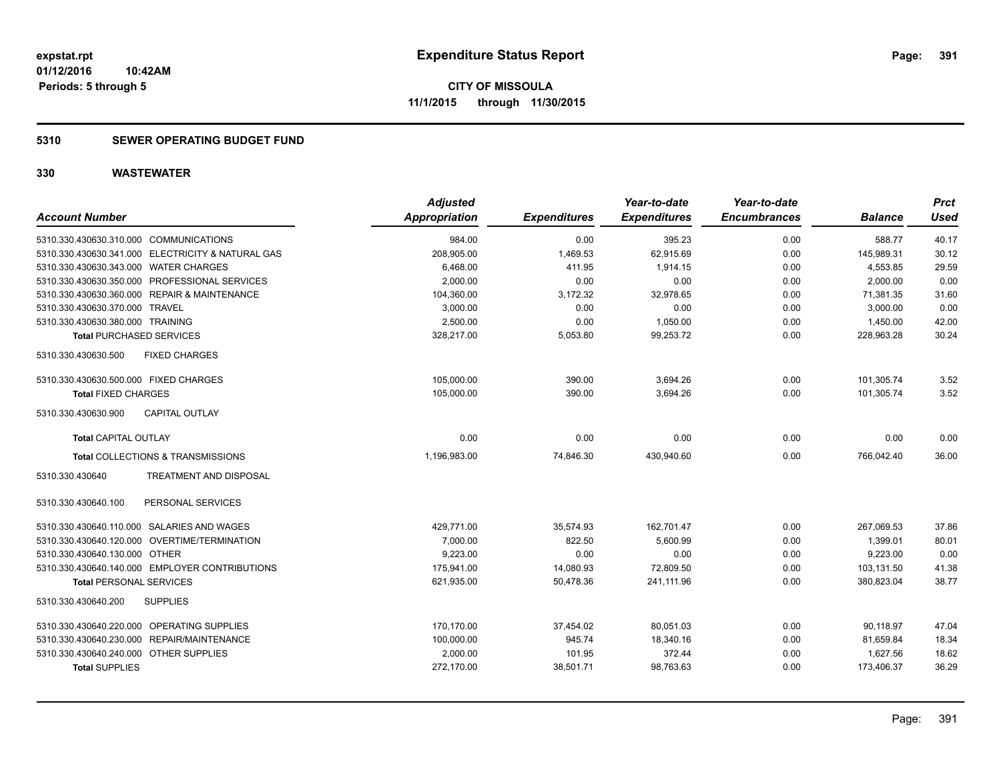#### **5310 SEWER OPERATING BUDGET FUND**

| <b>Account Number</b>                             | <b>Adjusted</b><br><b>Appropriation</b> | <b>Expenditures</b> | Year-to-date<br><b>Expenditures</b> | Year-to-date<br><b>Encumbrances</b> | <b>Balance</b> | <b>Prct</b><br><b>Used</b> |
|---------------------------------------------------|-----------------------------------------|---------------------|-------------------------------------|-------------------------------------|----------------|----------------------------|
| 5310.330.430630.310.000 COMMUNICATIONS            | 984.00                                  | 0.00                | 395.23                              | 0.00                                | 588.77         | 40.17                      |
| 5310.330.430630.341.000 ELECTRICITY & NATURAL GAS | 208,905.00                              | 1,469.53            | 62,915.69                           | 0.00                                | 145,989.31     | 30.12                      |
| 5310.330.430630.343.000 WATER CHARGES             | 6.468.00                                | 411.95              | 1.914.15                            | 0.00                                | 4,553.85       | 29.59                      |
| 5310.330.430630.350.000 PROFESSIONAL SERVICES     | 2,000.00                                | 0.00                | 0.00                                | 0.00                                | 2,000.00       | 0.00                       |
| 5310.330.430630.360.000 REPAIR & MAINTENANCE      | 104,360.00                              | 3,172.32            | 32,978.65                           | 0.00                                | 71,381.35      | 31.60                      |
| 5310.330.430630.370.000 TRAVEL                    | 3,000.00                                | 0.00                | 0.00                                | 0.00                                | 3,000.00       | 0.00                       |
| 5310.330.430630.380.000 TRAINING                  | 2,500.00                                | 0.00                | 1,050.00                            | 0.00                                | 1,450.00       | 42.00                      |
| <b>Total PURCHASED SERVICES</b>                   | 328,217.00                              | 5,053.80            | 99.253.72                           | 0.00                                | 228.963.28     | 30.24                      |
| 5310.330.430630.500<br><b>FIXED CHARGES</b>       |                                         |                     |                                     |                                     |                |                            |
| 5310.330.430630.500.000 FIXED CHARGES             | 105,000.00                              | 390.00              | 3,694.26                            | 0.00                                | 101,305.74     | 3.52                       |
| <b>Total FIXED CHARGES</b>                        | 105,000.00                              | 390.00              | 3,694.26                            | 0.00                                | 101,305.74     | 3.52                       |
| 5310.330.430630.900<br><b>CAPITAL OUTLAY</b>      |                                         |                     |                                     |                                     |                |                            |
| <b>Total CAPITAL OUTLAY</b>                       | 0.00                                    | 0.00                | 0.00                                | 0.00                                | 0.00           | 0.00                       |
| <b>Total COLLECTIONS &amp; TRANSMISSIONS</b>      | 1,196,983.00                            | 74,846.30           | 430,940.60                          | 0.00                                | 766,042.40     | 36.00                      |
| 5310.330.430640<br>TREATMENT AND DISPOSAL         |                                         |                     |                                     |                                     |                |                            |
| PERSONAL SERVICES<br>5310.330.430640.100          |                                         |                     |                                     |                                     |                |                            |
| 5310.330.430640.110.000 SALARIES AND WAGES        | 429,771.00                              | 35,574.93           | 162.701.47                          | 0.00                                | 267.069.53     | 37.86                      |
| 5310.330.430640.120.000 OVERTIME/TERMINATION      | 7,000.00                                | 822.50              | 5,600.99                            | 0.00                                | 1,399.01       | 80.01                      |
| 5310.330.430640.130.000 OTHER                     | 9,223.00                                | 0.00                | 0.00                                | 0.00                                | 9,223.00       | 0.00                       |
| 5310.330.430640.140.000 EMPLOYER CONTRIBUTIONS    | 175,941.00                              | 14,080.93           | 72,809.50                           | 0.00                                | 103,131.50     | 41.38                      |
| <b>Total PERSONAL SERVICES</b>                    | 621,935.00                              | 50,478.36           | 241.111.96                          | 0.00                                | 380,823.04     | 38.77                      |
| 5310.330.430640.200<br><b>SUPPLIES</b>            |                                         |                     |                                     |                                     |                |                            |
| 5310.330.430640.220.000 OPERATING SUPPLIES        | 170,170.00                              | 37,454.02           | 80,051.03                           | 0.00                                | 90,118.97      | 47.04                      |
| 5310.330.430640.230.000 REPAIR/MAINTENANCE        | 100,000.00                              | 945.74              | 18,340.16                           | 0.00                                | 81,659.84      | 18.34                      |
| 5310.330.430640.240.000<br><b>OTHER SUPPLIES</b>  | 2,000.00                                | 101.95              | 372.44                              | 0.00                                | 1,627.56       | 18.62                      |
| <b>Total SUPPLIES</b>                             | 272,170.00                              | 38,501.71           | 98,763.63                           | 0.00                                | 173,406.37     | 36.29                      |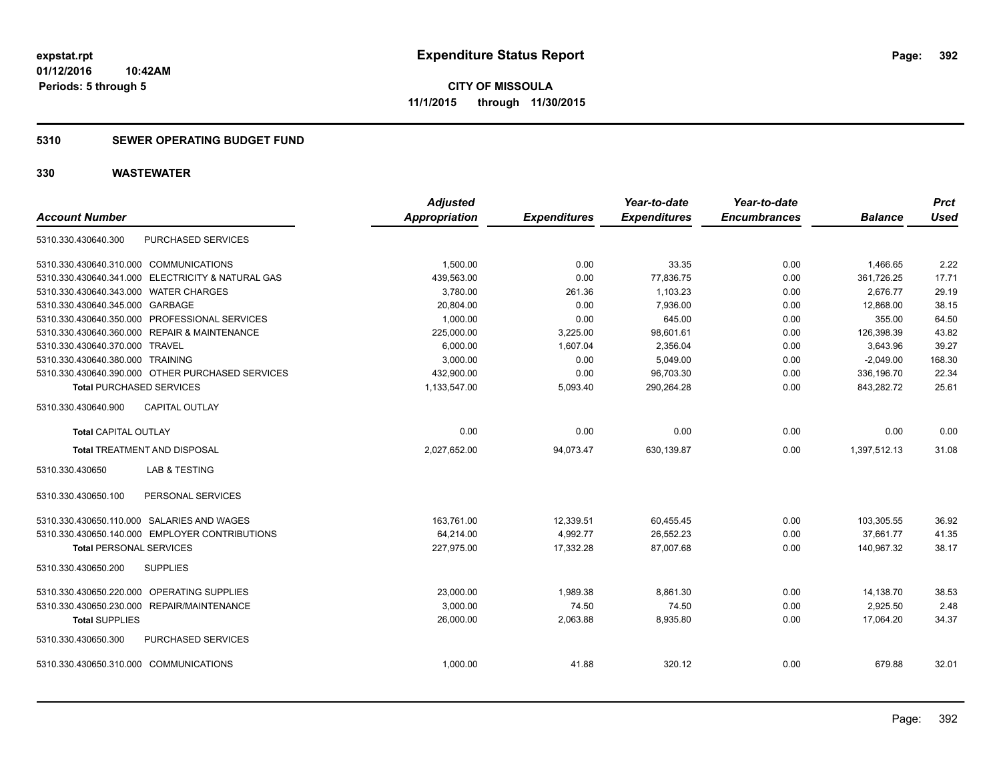#### **5310 SEWER OPERATING BUDGET FUND**

| <b>Account Number</b>                  |                                                   | <b>Adjusted</b><br><b>Appropriation</b> | <b>Expenditures</b> | Year-to-date<br><b>Expenditures</b> | Year-to-date<br><b>Encumbrances</b> | <b>Balance</b> | <b>Prct</b><br>Used |
|----------------------------------------|---------------------------------------------------|-----------------------------------------|---------------------|-------------------------------------|-------------------------------------|----------------|---------------------|
| 5310.330.430640.300                    | PURCHASED SERVICES                                |                                         |                     |                                     |                                     |                |                     |
| 5310.330.430640.310.000 COMMUNICATIONS |                                                   | 1.500.00                                | 0.00                | 33.35                               | 0.00                                | 1,466.65       | 2.22                |
|                                        | 5310.330.430640.341.000 ELECTRICITY & NATURAL GAS | 439,563.00                              | 0.00                | 77,836.75                           | 0.00                                | 361,726.25     | 17.71               |
| 5310.330.430640.343.000 WATER CHARGES  |                                                   | 3,780.00                                | 261.36              | 1,103.23                            | 0.00                                | 2,676.77       | 29.19               |
| 5310.330.430640.345.000 GARBAGE        |                                                   | 20,804.00                               | 0.00                | 7,936.00                            | 0.00                                | 12,868.00      | 38.15               |
|                                        | 5310.330.430640.350.000 PROFESSIONAL SERVICES     | 1,000.00                                | 0.00                | 645.00                              | 0.00                                | 355.00         | 64.50               |
|                                        | 5310.330.430640.360.000 REPAIR & MAINTENANCE      | 225,000.00                              | 3,225.00            | 98,601.61                           | 0.00                                | 126,398.39     | 43.82               |
| 5310.330.430640.370.000 TRAVEL         |                                                   | 6,000.00                                | 1,607.04            | 2,356.04                            | 0.00                                | 3,643.96       | 39.27               |
| 5310.330.430640.380.000 TRAINING       |                                                   | 3.000.00                                | 0.00                | 5,049.00                            | 0.00                                | $-2,049.00$    | 168.30              |
|                                        | 5310.330.430640.390.000 OTHER PURCHASED SERVICES  | 432.900.00                              | 0.00                | 96,703.30                           | 0.00                                | 336,196.70     | 22.34               |
| <b>Total PURCHASED SERVICES</b>        |                                                   | 1,133,547.00                            | 5,093.40            | 290,264.28                          | 0.00                                | 843,282.72     | 25.61               |
| 5310.330.430640.900                    | CAPITAL OUTLAY                                    |                                         |                     |                                     |                                     |                |                     |
| <b>Total CAPITAL OUTLAY</b>            |                                                   | 0.00                                    | 0.00                | 0.00                                | 0.00                                | 0.00           | 0.00                |
|                                        | <b>Total TREATMENT AND DISPOSAL</b>               | 2,027,652.00                            | 94,073.47           | 630,139.87                          | 0.00                                | 1,397,512.13   | 31.08               |
| 5310.330.430650                        | <b>LAB &amp; TESTING</b>                          |                                         |                     |                                     |                                     |                |                     |
| 5310.330.430650.100                    | PERSONAL SERVICES                                 |                                         |                     |                                     |                                     |                |                     |
|                                        | 5310.330.430650.110.000 SALARIES AND WAGES        | 163,761.00                              | 12,339.51           | 60,455.45                           | 0.00                                | 103,305.55     | 36.92               |
|                                        | 5310.330.430650.140.000 EMPLOYER CONTRIBUTIONS    | 64,214.00                               | 4,992.77            | 26,552.23                           | 0.00                                | 37,661.77      | 41.35               |
| <b>Total PERSONAL SERVICES</b>         |                                                   | 227,975.00                              | 17,332.28           | 87,007.68                           | 0.00                                | 140,967.32     | 38.17               |
| 5310.330.430650.200                    | <b>SUPPLIES</b>                                   |                                         |                     |                                     |                                     |                |                     |
|                                        | 5310.330.430650.220.000 OPERATING SUPPLIES        | 23,000.00                               | 1,989.38            | 8,861.30                            | 0.00                                | 14,138.70      | 38.53               |
|                                        | 5310.330.430650.230.000 REPAIR/MAINTENANCE        | 3,000.00                                | 74.50               | 74.50                               | 0.00                                | 2,925.50       | 2.48                |
| <b>Total SUPPLIES</b>                  |                                                   | 26,000.00                               | 2,063.88            | 8,935.80                            | 0.00                                | 17,064.20      | 34.37               |
| 5310.330.430650.300                    | PURCHASED SERVICES                                |                                         |                     |                                     |                                     |                |                     |
| 5310.330.430650.310.000 COMMUNICATIONS |                                                   | 1,000.00                                | 41.88               | 320.12                              | 0.00                                | 679.88         | 32.01               |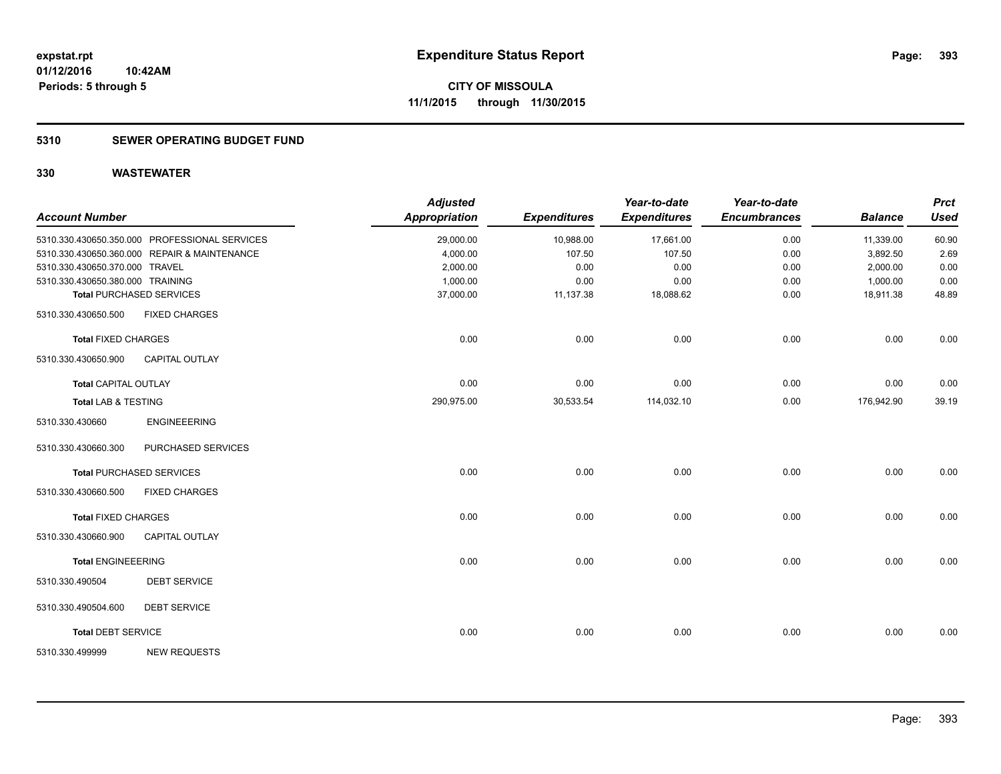#### **5310 SEWER OPERATING BUDGET FUND**

| <b>Account Number</b>            |                                               | <b>Adjusted</b><br><b>Appropriation</b> | <b>Expenditures</b> | Year-to-date<br><b>Expenditures</b> | Year-to-date<br><b>Encumbrances</b> | <b>Balance</b> | <b>Prct</b><br><b>Used</b> |
|----------------------------------|-----------------------------------------------|-----------------------------------------|---------------------|-------------------------------------|-------------------------------------|----------------|----------------------------|
|                                  | 5310.330.430650.350.000 PROFESSIONAL SERVICES | 29,000.00                               | 10,988.00           | 17,661.00                           | 0.00                                | 11,339.00      | 60.90                      |
|                                  | 5310.330.430650.360.000 REPAIR & MAINTENANCE  | 4,000.00                                | 107.50              | 107.50                              | 0.00                                | 3,892.50       | 2.69                       |
| 5310.330.430650.370.000 TRAVEL   |                                               | 2,000.00                                | 0.00                | 0.00                                | 0.00                                | 2,000.00       | 0.00                       |
| 5310.330.430650.380.000 TRAINING |                                               | 1,000.00                                | 0.00                | 0.00                                | 0.00                                | 1,000.00       | 0.00                       |
|                                  | <b>Total PURCHASED SERVICES</b>               | 37,000.00                               | 11,137.38           | 18,088.62                           | 0.00                                | 18,911.38      | 48.89                      |
| 5310.330.430650.500              | <b>FIXED CHARGES</b>                          |                                         |                     |                                     |                                     |                |                            |
| <b>Total FIXED CHARGES</b>       |                                               | 0.00                                    | 0.00                | 0.00                                | 0.00                                | 0.00           | 0.00                       |
| 5310.330.430650.900              | <b>CAPITAL OUTLAY</b>                         |                                         |                     |                                     |                                     |                |                            |
| <b>Total CAPITAL OUTLAY</b>      |                                               | 0.00                                    | 0.00                | 0.00                                | 0.00                                | 0.00           | 0.00                       |
| <b>Total LAB &amp; TESTING</b>   |                                               | 290.975.00                              | 30,533.54           | 114,032.10                          | 0.00                                | 176.942.90     | 39.19                      |
| 5310.330.430660                  | <b>ENGINEEERING</b>                           |                                         |                     |                                     |                                     |                |                            |
| 5310.330.430660.300              | PURCHASED SERVICES                            |                                         |                     |                                     |                                     |                |                            |
|                                  | <b>Total PURCHASED SERVICES</b>               | 0.00                                    | 0.00                | 0.00                                | 0.00                                | 0.00           | 0.00                       |
| 5310.330.430660.500              | <b>FIXED CHARGES</b>                          |                                         |                     |                                     |                                     |                |                            |
| <b>Total FIXED CHARGES</b>       |                                               | 0.00                                    | 0.00                | 0.00                                | 0.00                                | 0.00           | 0.00                       |
| 5310.330.430660.900              | <b>CAPITAL OUTLAY</b>                         |                                         |                     |                                     |                                     |                |                            |
| <b>Total ENGINEEERING</b>        |                                               | 0.00                                    | 0.00                | 0.00                                | 0.00                                | 0.00           | 0.00                       |
| 5310.330.490504                  | <b>DEBT SERVICE</b>                           |                                         |                     |                                     |                                     |                |                            |
| 5310.330.490504.600              | <b>DEBT SERVICE</b>                           |                                         |                     |                                     |                                     |                |                            |
| <b>Total DEBT SERVICE</b>        |                                               | 0.00                                    | 0.00                | 0.00                                | 0.00                                | 0.00           | 0.00                       |
| 5310.330.499999                  | <b>NEW REQUESTS</b>                           |                                         |                     |                                     |                                     |                |                            |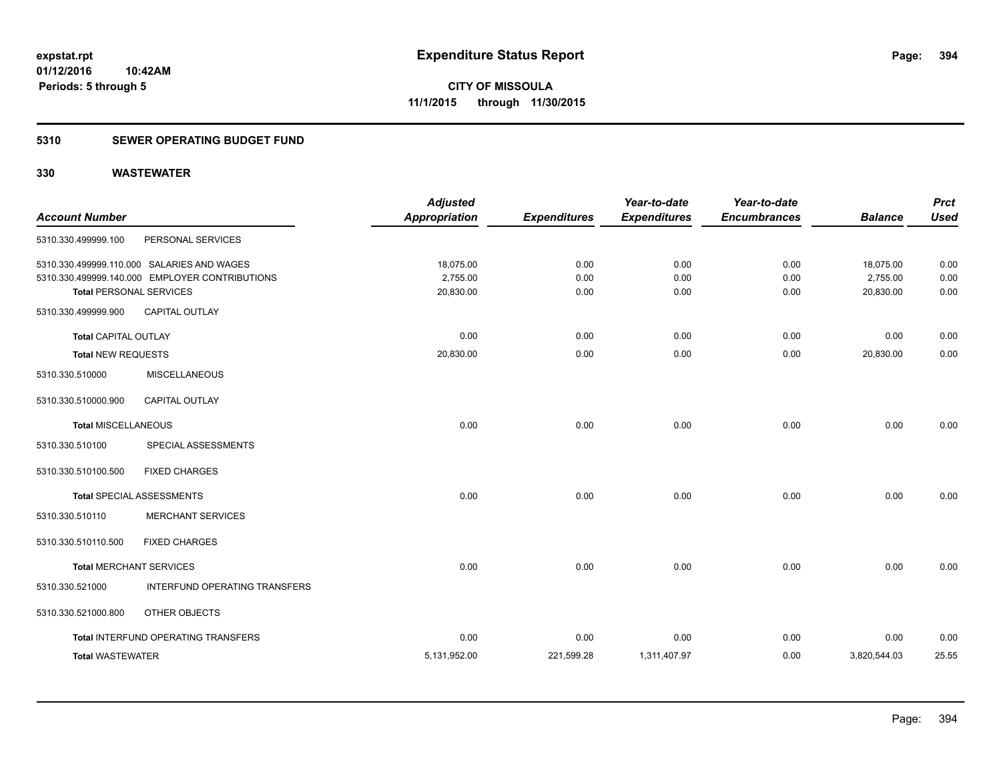#### **5310 SEWER OPERATING BUDGET FUND**

| <b>Account Number</b>          |                                                | <b>Adjusted</b><br><b>Appropriation</b> | <b>Expenditures</b> | Year-to-date<br><b>Expenditures</b> | Year-to-date<br><b>Encumbrances</b> | <b>Balance</b> | <b>Prct</b><br><b>Used</b> |
|--------------------------------|------------------------------------------------|-----------------------------------------|---------------------|-------------------------------------|-------------------------------------|----------------|----------------------------|
| 5310.330.499999.100            | PERSONAL SERVICES                              |                                         |                     |                                     |                                     |                |                            |
|                                | 5310.330.499999.110.000 SALARIES AND WAGES     | 18,075.00                               | 0.00                | 0.00                                | 0.00                                | 18,075.00      | 0.00                       |
|                                | 5310.330.499999.140.000 EMPLOYER CONTRIBUTIONS | 2,755.00                                | 0.00                | 0.00                                | 0.00                                | 2,755.00       | 0.00                       |
| <b>Total PERSONAL SERVICES</b> |                                                | 20,830.00                               | 0.00                | 0.00                                | 0.00                                | 20,830.00      | 0.00                       |
| 5310.330.499999.900            | <b>CAPITAL OUTLAY</b>                          |                                         |                     |                                     |                                     |                |                            |
| <b>Total CAPITAL OUTLAY</b>    |                                                | 0.00                                    | 0.00                | 0.00                                | 0.00                                | 0.00           | 0.00                       |
| <b>Total NEW REQUESTS</b>      |                                                | 20,830.00                               | 0.00                | 0.00                                | 0.00                                | 20,830.00      | 0.00                       |
| 5310.330.510000                | <b>MISCELLANEOUS</b>                           |                                         |                     |                                     |                                     |                |                            |
| 5310.330.510000.900            | CAPITAL OUTLAY                                 |                                         |                     |                                     |                                     |                |                            |
| <b>Total MISCELLANEOUS</b>     |                                                | 0.00                                    | 0.00                | 0.00                                | 0.00                                | 0.00           | 0.00                       |
| 5310.330.510100                | SPECIAL ASSESSMENTS                            |                                         |                     |                                     |                                     |                |                            |
| 5310.330.510100.500            | <b>FIXED CHARGES</b>                           |                                         |                     |                                     |                                     |                |                            |
|                                | Total SPECIAL ASSESSMENTS                      | 0.00                                    | 0.00                | 0.00                                | 0.00                                | 0.00           | 0.00                       |
| 5310.330.510110                | <b>MERCHANT SERVICES</b>                       |                                         |                     |                                     |                                     |                |                            |
| 5310.330.510110.500            | <b>FIXED CHARGES</b>                           |                                         |                     |                                     |                                     |                |                            |
| <b>Total MERCHANT SERVICES</b> |                                                | 0.00                                    | 0.00                | 0.00                                | 0.00                                | 0.00           | 0.00                       |
| 5310.330.521000                | INTERFUND OPERATING TRANSFERS                  |                                         |                     |                                     |                                     |                |                            |
| 5310.330.521000.800            | OTHER OBJECTS                                  |                                         |                     |                                     |                                     |                |                            |
|                                | Total INTERFUND OPERATING TRANSFERS            | 0.00                                    | 0.00                | 0.00                                | 0.00                                | 0.00           | 0.00                       |
| <b>Total WASTEWATER</b>        |                                                | 5,131,952.00                            | 221,599.28          | 1,311,407.97                        | 0.00                                | 3,820,544.03   | 25.55                      |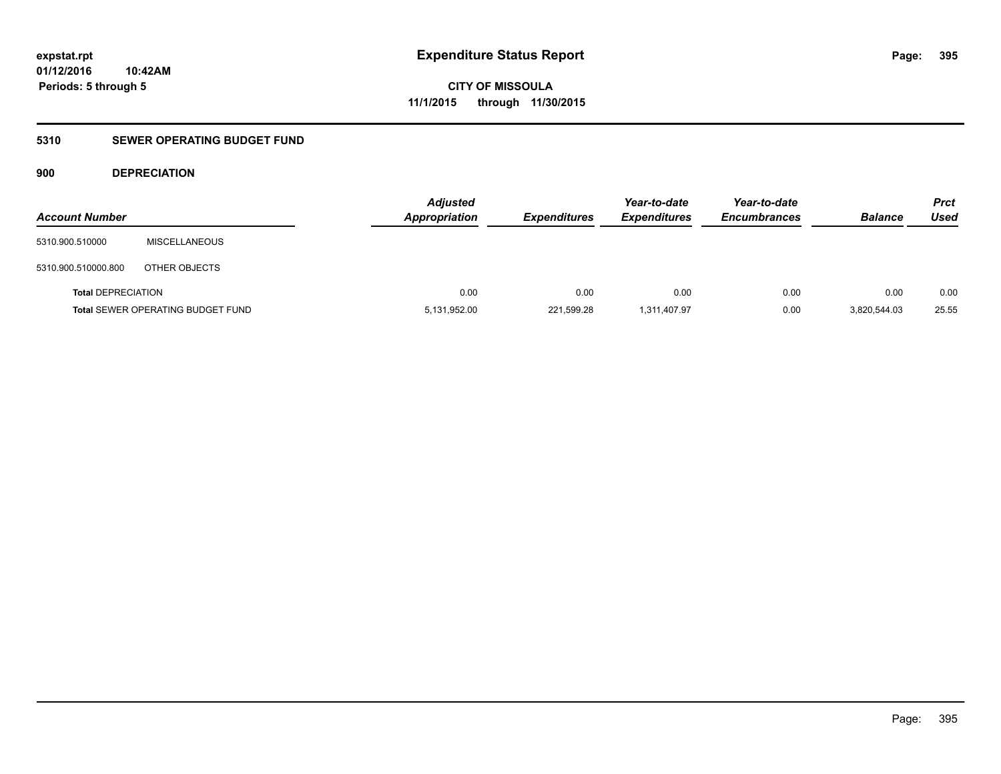#### **5310 SEWER OPERATING BUDGET FUND**

#### **900 DEPRECIATION**

| <b>Account Number</b>     |                                          | <b>Adjusted</b><br><b>Appropriation</b> | <b>Expenditures</b> | Year-to-date<br><b>Expenditures</b> | Year-to-date<br><b>Encumbrances</b> | <b>Balance</b> | <b>Prct</b><br>Used |
|---------------------------|------------------------------------------|-----------------------------------------|---------------------|-------------------------------------|-------------------------------------|----------------|---------------------|
| 5310.900.510000           | <b>MISCELLANEOUS</b>                     |                                         |                     |                                     |                                     |                |                     |
| 5310.900.510000.800       | OTHER OBJECTS                            |                                         |                     |                                     |                                     |                |                     |
| <b>Total DEPRECIATION</b> |                                          | 0.00                                    | 0.00                | 0.00                                | 0.00                                | 0.00           | 0.00                |
|                           | <b>Total SEWER OPERATING BUDGET FUND</b> | 5,131,952.00                            | 221,599.28          | 1,311,407.97                        | 0.00                                | 3.820.544.03   | 25.55               |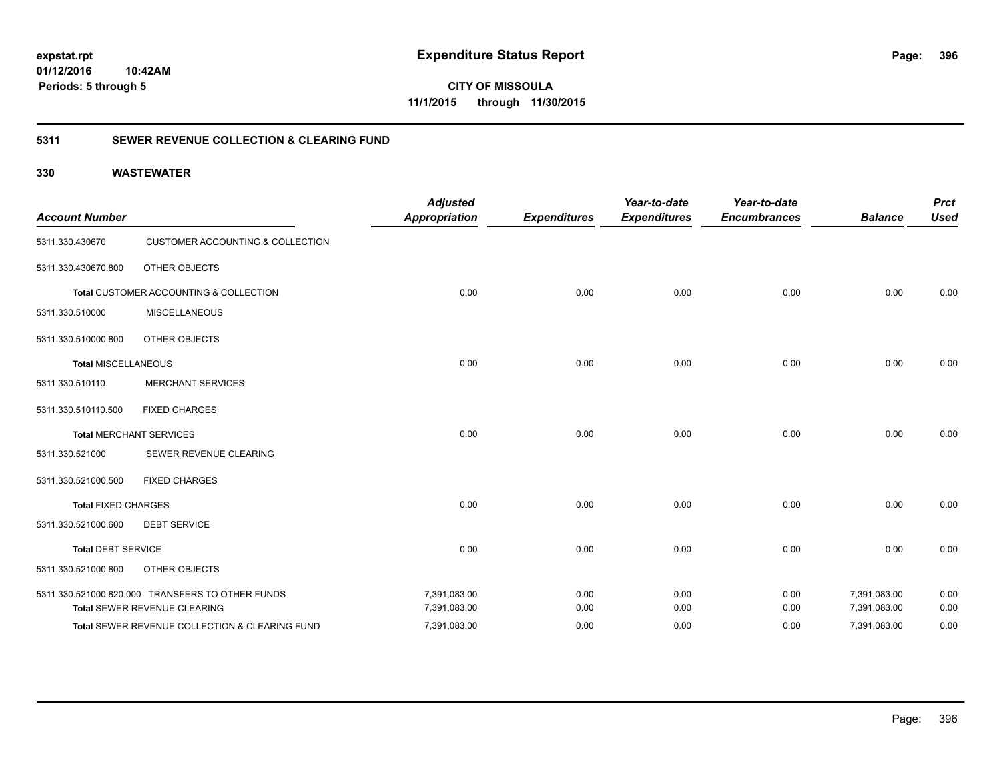**01/12/2016 10:42AM Periods: 5 through 5**

**CITY OF MISSOULA 11/1/2015 through 11/30/2015**

#### **5311 SEWER REVENUE COLLECTION & CLEARING FUND**

| <b>Account Number</b>      |                                                  | <b>Adjusted</b><br><b>Appropriation</b> | <b>Expenditures</b> | Year-to-date<br><b>Expenditures</b> | Year-to-date<br><b>Encumbrances</b> | <b>Balance</b> | <b>Prct</b><br><b>Used</b> |
|----------------------------|--------------------------------------------------|-----------------------------------------|---------------------|-------------------------------------|-------------------------------------|----------------|----------------------------|
| 5311.330.430670            | <b>CUSTOMER ACCOUNTING &amp; COLLECTION</b>      |                                         |                     |                                     |                                     |                |                            |
| 5311.330.430670.800        | OTHER OBJECTS                                    |                                         |                     |                                     |                                     |                |                            |
|                            | Total CUSTOMER ACCOUNTING & COLLECTION           | 0.00                                    | 0.00                | 0.00                                | 0.00                                | 0.00           | 0.00                       |
| 5311.330.510000            | <b>MISCELLANEOUS</b>                             |                                         |                     |                                     |                                     |                |                            |
| 5311.330.510000.800        | OTHER OBJECTS                                    |                                         |                     |                                     |                                     |                |                            |
| <b>Total MISCELLANEOUS</b> |                                                  | 0.00                                    | 0.00                | 0.00                                | 0.00                                | 0.00           | 0.00                       |
| 5311.330.510110            | <b>MERCHANT SERVICES</b>                         |                                         |                     |                                     |                                     |                |                            |
| 5311.330.510110.500        | <b>FIXED CHARGES</b>                             |                                         |                     |                                     |                                     |                |                            |
|                            | <b>Total MERCHANT SERVICES</b>                   | 0.00                                    | 0.00                | 0.00                                | 0.00                                | 0.00           | 0.00                       |
| 5311.330.521000            | SEWER REVENUE CLEARING                           |                                         |                     |                                     |                                     |                |                            |
| 5311.330.521000.500        | <b>FIXED CHARGES</b>                             |                                         |                     |                                     |                                     |                |                            |
| <b>Total FIXED CHARGES</b> |                                                  | 0.00                                    | 0.00                | 0.00                                | 0.00                                | 0.00           | 0.00                       |
| 5311.330.521000.600        | <b>DEBT SERVICE</b>                              |                                         |                     |                                     |                                     |                |                            |
| <b>Total DEBT SERVICE</b>  |                                                  | 0.00                                    | 0.00                | 0.00                                | 0.00                                | 0.00           | 0.00                       |
| 5311.330.521000.800        | OTHER OBJECTS                                    |                                         |                     |                                     |                                     |                |                            |
|                            | 5311.330.521000.820.000 TRANSFERS TO OTHER FUNDS | 7,391,083.00                            | 0.00                | 0.00                                | 0.00                                | 7,391,083.00   | 0.00                       |
|                            | Total SEWER REVENUE CLEARING                     | 7,391,083.00                            | 0.00                | 0.00                                | 0.00                                | 7,391,083.00   | 0.00                       |
|                            | Total SEWER REVENUE COLLECTION & CLEARING FUND   | 7,391,083.00                            | 0.00                | 0.00                                | 0.00                                | 7,391,083.00   | 0.00                       |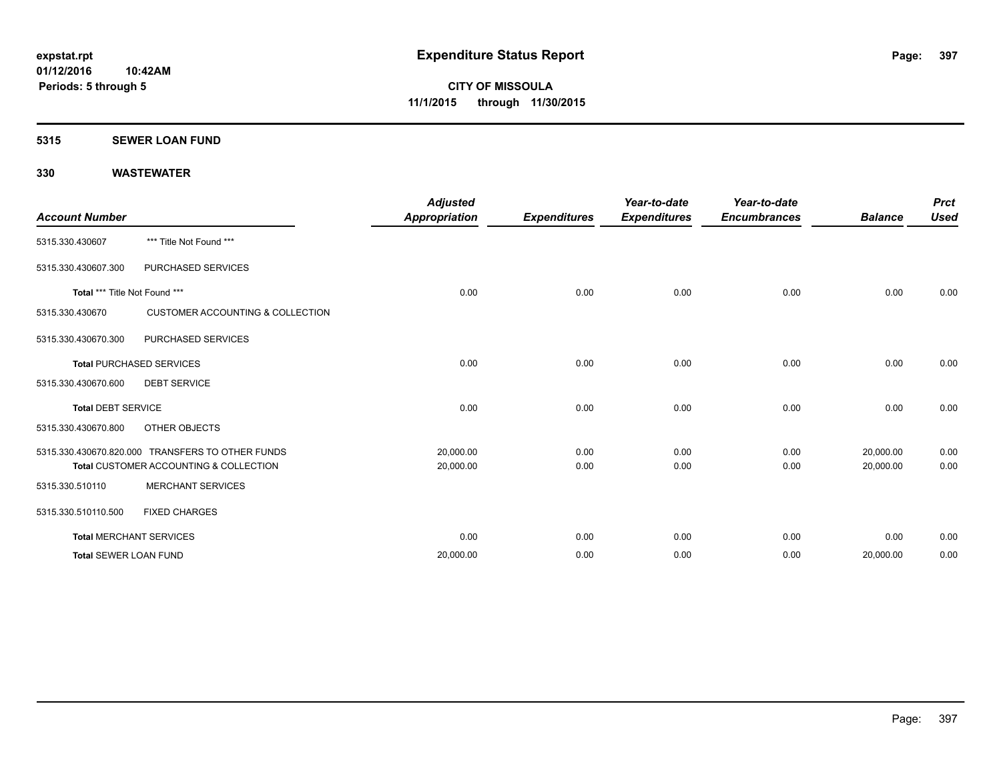#### **5315 SEWER LOAN FUND**

| <b>Account Number</b>         |                                                  | <b>Adjusted</b><br><b>Appropriation</b> | <b>Expenditures</b> | Year-to-date<br><b>Expenditures</b> | Year-to-date<br><b>Encumbrances</b> | <b>Balance</b> | <b>Prct</b><br><b>Used</b> |
|-------------------------------|--------------------------------------------------|-----------------------------------------|---------------------|-------------------------------------|-------------------------------------|----------------|----------------------------|
| 5315.330.430607               | *** Title Not Found ***                          |                                         |                     |                                     |                                     |                |                            |
| 5315.330.430607.300           | PURCHASED SERVICES                               |                                         |                     |                                     |                                     |                |                            |
| Total *** Title Not Found *** |                                                  | 0.00                                    | 0.00                | 0.00                                | 0.00                                | 0.00           | 0.00                       |
| 5315.330.430670               | <b>CUSTOMER ACCOUNTING &amp; COLLECTION</b>      |                                         |                     |                                     |                                     |                |                            |
| 5315.330.430670.300           | PURCHASED SERVICES                               |                                         |                     |                                     |                                     |                |                            |
|                               | <b>Total PURCHASED SERVICES</b>                  | 0.00                                    | 0.00                | 0.00                                | 0.00                                | 0.00           | 0.00                       |
| 5315.330.430670.600           | <b>DEBT SERVICE</b>                              |                                         |                     |                                     |                                     |                |                            |
| <b>Total DEBT SERVICE</b>     |                                                  | 0.00                                    | 0.00                | 0.00                                | 0.00                                | 0.00           | 0.00                       |
| 5315.330.430670.800           | OTHER OBJECTS                                    |                                         |                     |                                     |                                     |                |                            |
|                               | 5315.330.430670.820.000 TRANSFERS TO OTHER FUNDS | 20,000.00                               | 0.00                | 0.00                                | 0.00                                | 20,000.00      | 0.00                       |
|                               | Total CUSTOMER ACCOUNTING & COLLECTION           | 20,000.00                               | 0.00                | 0.00                                | 0.00                                | 20,000.00      | 0.00                       |
| 5315.330.510110               | <b>MERCHANT SERVICES</b>                         |                                         |                     |                                     |                                     |                |                            |
| 5315.330.510110.500           | <b>FIXED CHARGES</b>                             |                                         |                     |                                     |                                     |                |                            |
|                               | <b>Total MERCHANT SERVICES</b>                   | 0.00                                    | 0.00                | 0.00                                | 0.00                                | 0.00           | 0.00                       |
| <b>Total SEWER LOAN FUND</b>  |                                                  | 20,000.00                               | 0.00                | 0.00                                | 0.00                                | 20,000.00      | 0.00                       |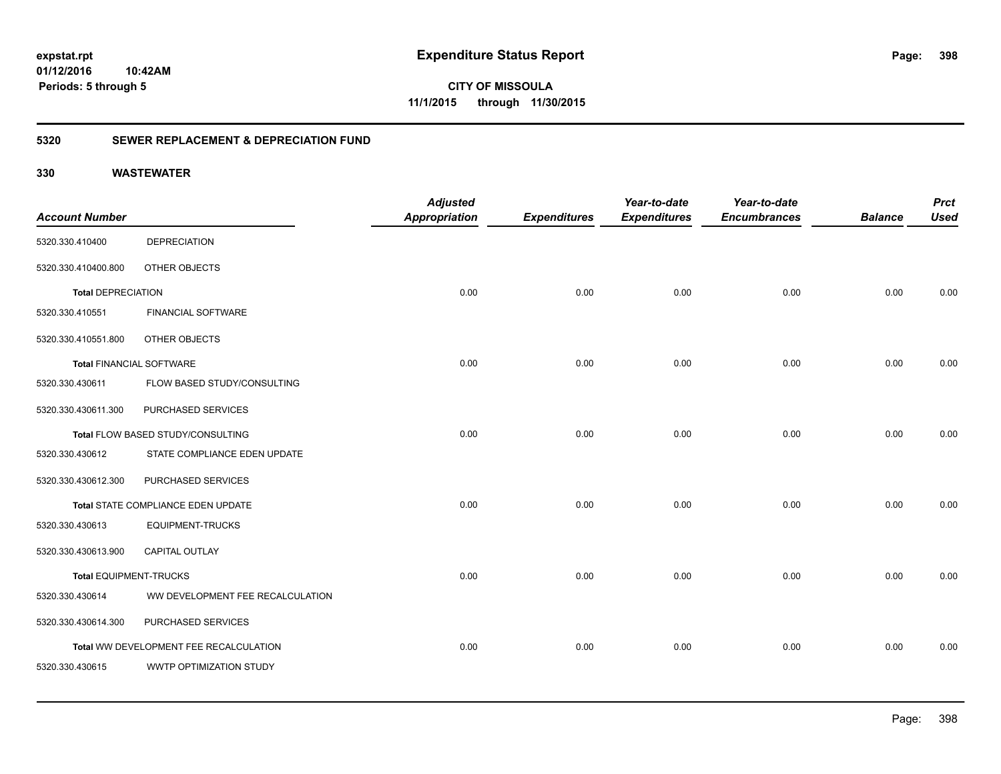**CITY OF MISSOULA 11/1/2015 through 11/30/2015**

### **5320 SEWER REPLACEMENT & DEPRECIATION FUND**

|                                 |                                        | <b>Adjusted</b>      |                     | Year-to-date        | Year-to-date        |                | <b>Prct</b> |
|---------------------------------|----------------------------------------|----------------------|---------------------|---------------------|---------------------|----------------|-------------|
| <b>Account Number</b>           |                                        | <b>Appropriation</b> | <b>Expenditures</b> | <b>Expenditures</b> | <b>Encumbrances</b> | <b>Balance</b> | <b>Used</b> |
| 5320.330.410400                 | <b>DEPRECIATION</b>                    |                      |                     |                     |                     |                |             |
| 5320.330.410400.800             | OTHER OBJECTS                          |                      |                     |                     |                     |                |             |
| <b>Total DEPRECIATION</b>       |                                        | 0.00                 | 0.00                | 0.00                | 0.00                | 0.00           | 0.00        |
| 5320.330.410551                 | <b>FINANCIAL SOFTWARE</b>              |                      |                     |                     |                     |                |             |
| 5320.330.410551.800             | OTHER OBJECTS                          |                      |                     |                     |                     |                |             |
| <b>Total FINANCIAL SOFTWARE</b> |                                        | 0.00                 | 0.00                | 0.00                | 0.00                | 0.00           | 0.00        |
| 5320.330.430611                 | FLOW BASED STUDY/CONSULTING            |                      |                     |                     |                     |                |             |
| 5320.330.430611.300             | PURCHASED SERVICES                     |                      |                     |                     |                     |                |             |
|                                 | Total FLOW BASED STUDY/CONSULTING      | 0.00                 | 0.00                | 0.00                | 0.00                | 0.00           | 0.00        |
| 5320.330.430612                 | STATE COMPLIANCE EDEN UPDATE           |                      |                     |                     |                     |                |             |
| 5320.330.430612.300             | PURCHASED SERVICES                     |                      |                     |                     |                     |                |             |
|                                 | Total STATE COMPLIANCE EDEN UPDATE     | 0.00                 | 0.00                | 0.00                | 0.00                | 0.00           | 0.00        |
| 5320.330.430613                 | <b>EQUIPMENT-TRUCKS</b>                |                      |                     |                     |                     |                |             |
| 5320.330.430613.900             | <b>CAPITAL OUTLAY</b>                  |                      |                     |                     |                     |                |             |
| <b>Total EQUIPMENT-TRUCKS</b>   |                                        | 0.00                 | 0.00                | 0.00                | 0.00                | 0.00           | 0.00        |
| 5320.330.430614                 | WW DEVELOPMENT FEE RECALCULATION       |                      |                     |                     |                     |                |             |
| 5320.330.430614.300             | PURCHASED SERVICES                     |                      |                     |                     |                     |                |             |
|                                 | Total WW DEVELOPMENT FEE RECALCULATION | 0.00                 | 0.00                | 0.00                | 0.00                | 0.00           | 0.00        |
| 5320.330.430615                 | WWTP OPTIMIZATION STUDY                |                      |                     |                     |                     |                |             |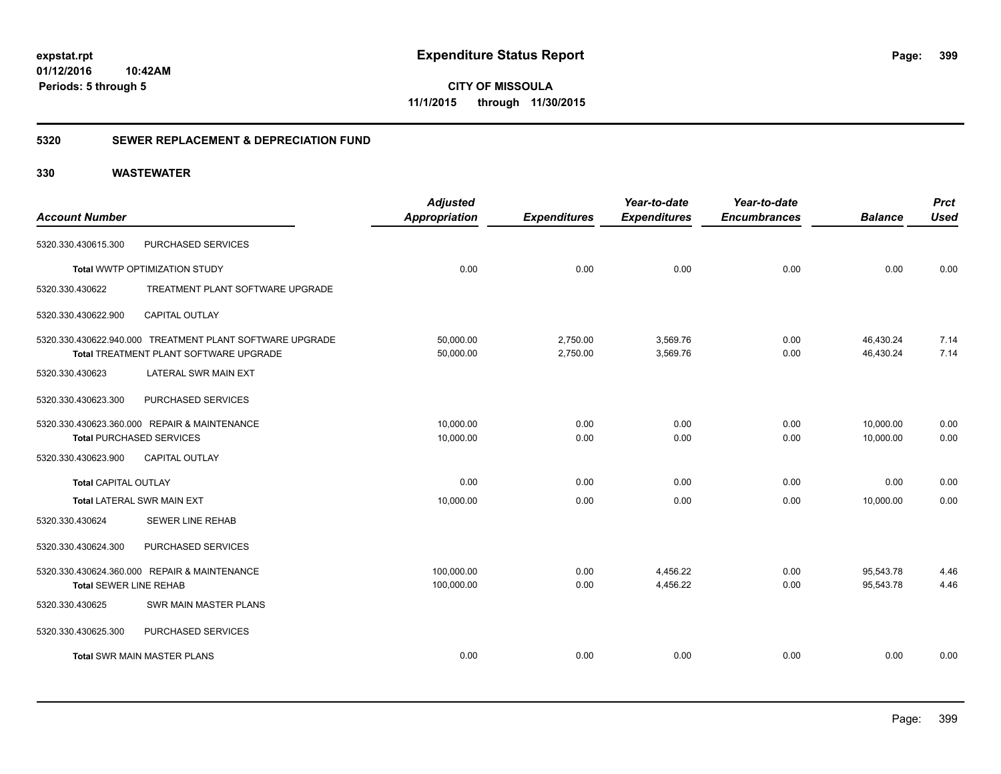**CITY OF MISSOULA 11/1/2015 through 11/30/2015**

### **5320 SEWER REPLACEMENT & DEPRECIATION FUND**

|                               |                                                          | <b>Adjusted</b>      |                     | Year-to-date        | Year-to-date        |                | <b>Prct</b> |
|-------------------------------|----------------------------------------------------------|----------------------|---------------------|---------------------|---------------------|----------------|-------------|
| <b>Account Number</b>         |                                                          | <b>Appropriation</b> | <b>Expenditures</b> | <b>Expenditures</b> | <b>Encumbrances</b> | <b>Balance</b> | <b>Used</b> |
| 5320.330.430615.300           | PURCHASED SERVICES                                       |                      |                     |                     |                     |                |             |
|                               | Total WWTP OPTIMIZATION STUDY                            | 0.00                 | 0.00                | 0.00                | 0.00                | 0.00           | 0.00        |
| 5320.330.430622               | TREATMENT PLANT SOFTWARE UPGRADE                         |                      |                     |                     |                     |                |             |
| 5320.330.430622.900           | <b>CAPITAL OUTLAY</b>                                    |                      |                     |                     |                     |                |             |
|                               | 5320.330.430622.940.000 TREATMENT PLANT SOFTWARE UPGRADE | 50,000.00            | 2,750.00            | 3,569.76            | 0.00                | 46,430.24      | 7.14        |
|                               | Total TREATMENT PLANT SOFTWARE UPGRADE                   | 50,000.00            | 2,750.00            | 3,569.76            | 0.00                | 46,430.24      | 7.14        |
| 5320.330.430623               | LATERAL SWR MAIN EXT                                     |                      |                     |                     |                     |                |             |
| 5320.330.430623.300           | PURCHASED SERVICES                                       |                      |                     |                     |                     |                |             |
|                               | 5320.330.430623.360.000 REPAIR & MAINTENANCE             | 10,000.00            | 0.00                | 0.00                | 0.00                | 10.000.00      | 0.00        |
|                               | <b>Total PURCHASED SERVICES</b>                          | 10,000.00            | 0.00                | 0.00                | 0.00                | 10,000.00      | 0.00        |
| 5320.330.430623.900           | <b>CAPITAL OUTLAY</b>                                    |                      |                     |                     |                     |                |             |
| <b>Total CAPITAL OUTLAY</b>   |                                                          | 0.00                 | 0.00                | 0.00                | 0.00                | 0.00           | 0.00        |
|                               | <b>Total LATERAL SWR MAIN EXT</b>                        | 10,000.00            | 0.00                | 0.00                | 0.00                | 10,000.00      | 0.00        |
| 5320.330.430624               | SEWER LINE REHAB                                         |                      |                     |                     |                     |                |             |
| 5320.330.430624.300           | PURCHASED SERVICES                                       |                      |                     |                     |                     |                |             |
|                               | 5320.330.430624.360.000 REPAIR & MAINTENANCE             | 100,000.00           | 0.00                | 4,456.22            | 0.00                | 95,543.78      | 4.46        |
| <b>Total SEWER LINE REHAB</b> |                                                          | 100,000.00           | 0.00                | 4,456.22            | 0.00                | 95,543.78      | 4.46        |
| 5320.330.430625               | <b>SWR MAIN MASTER PLANS</b>                             |                      |                     |                     |                     |                |             |
| 5320.330.430625.300           | PURCHASED SERVICES                                       |                      |                     |                     |                     |                |             |
|                               | <b>Total SWR MAIN MASTER PLANS</b>                       | 0.00                 | 0.00                | 0.00                | 0.00                | 0.00           | 0.00        |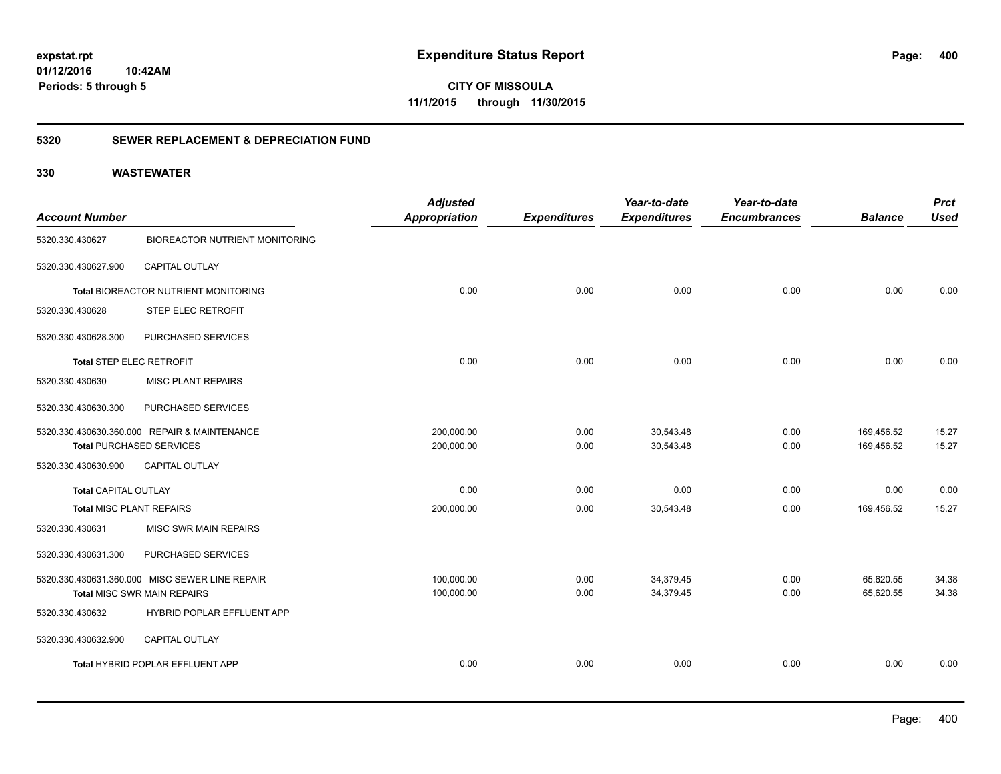**CITY OF MISSOULA 11/1/2015 through 11/30/2015**

### **5320 SEWER REPLACEMENT & DEPRECIATION FUND**

| <b>Account Number</b>           |                                                | <b>Adjusted</b><br><b>Appropriation</b> | <b>Expenditures</b> | Year-to-date<br><b>Expenditures</b> | Year-to-date<br><b>Encumbrances</b> | <b>Balance</b> | <b>Prct</b><br><b>Used</b> |
|---------------------------------|------------------------------------------------|-----------------------------------------|---------------------|-------------------------------------|-------------------------------------|----------------|----------------------------|
| 5320.330.430627                 | <b>BIOREACTOR NUTRIENT MONITORING</b>          |                                         |                     |                                     |                                     |                |                            |
|                                 |                                                |                                         |                     |                                     |                                     |                |                            |
| 5320.330.430627.900             | <b>CAPITAL OUTLAY</b>                          |                                         |                     |                                     |                                     |                |                            |
|                                 | Total BIOREACTOR NUTRIENT MONITORING           | 0.00                                    | 0.00                | 0.00                                | 0.00                                | 0.00           | 0.00                       |
| 5320.330.430628                 | STEP ELEC RETROFIT                             |                                         |                     |                                     |                                     |                |                            |
| 5320.330.430628.300             | PURCHASED SERVICES                             |                                         |                     |                                     |                                     |                |                            |
| Total STEP ELEC RETROFIT        |                                                | 0.00                                    | 0.00                | 0.00                                | 0.00                                | 0.00           | 0.00                       |
| 5320.330.430630                 | <b>MISC PLANT REPAIRS</b>                      |                                         |                     |                                     |                                     |                |                            |
| 5320.330.430630.300             | PURCHASED SERVICES                             |                                         |                     |                                     |                                     |                |                            |
|                                 | 5320.330.430630.360.000 REPAIR & MAINTENANCE   | 200,000.00                              | 0.00                | 30,543.48                           | 0.00                                | 169,456.52     | 15.27                      |
| <b>Total PURCHASED SERVICES</b> |                                                | 200,000.00                              | 0.00                | 30,543.48                           | 0.00                                | 169,456.52     | 15.27                      |
| 5320.330.430630.900             | CAPITAL OUTLAY                                 |                                         |                     |                                     |                                     |                |                            |
| <b>Total CAPITAL OUTLAY</b>     |                                                | 0.00                                    | 0.00                | 0.00                                | 0.00                                | 0.00           | 0.00                       |
| Total MISC PLANT REPAIRS        |                                                | 200,000.00                              | 0.00                | 30,543.48                           | 0.00                                | 169,456.52     | 15.27                      |
| 5320.330.430631                 | MISC SWR MAIN REPAIRS                          |                                         |                     |                                     |                                     |                |                            |
| 5320.330.430631.300             | PURCHASED SERVICES                             |                                         |                     |                                     |                                     |                |                            |
|                                 | 5320.330.430631.360.000 MISC SEWER LINE REPAIR | 100,000.00                              | 0.00                | 34,379.45                           | 0.00                                | 65,620.55      | 34.38                      |
|                                 | <b>Total MISC SWR MAIN REPAIRS</b>             | 100,000.00                              | 0.00                | 34,379.45                           | 0.00                                | 65,620.55      | 34.38                      |
| 5320.330.430632                 | HYBRID POPLAR EFFLUENT APP                     |                                         |                     |                                     |                                     |                |                            |
| 5320.330.430632.900             | CAPITAL OUTLAY                                 |                                         |                     |                                     |                                     |                |                            |
|                                 | Total HYBRID POPLAR EFFLUENT APP               | 0.00                                    | 0.00                | 0.00                                | 0.00                                | 0.00           | 0.00                       |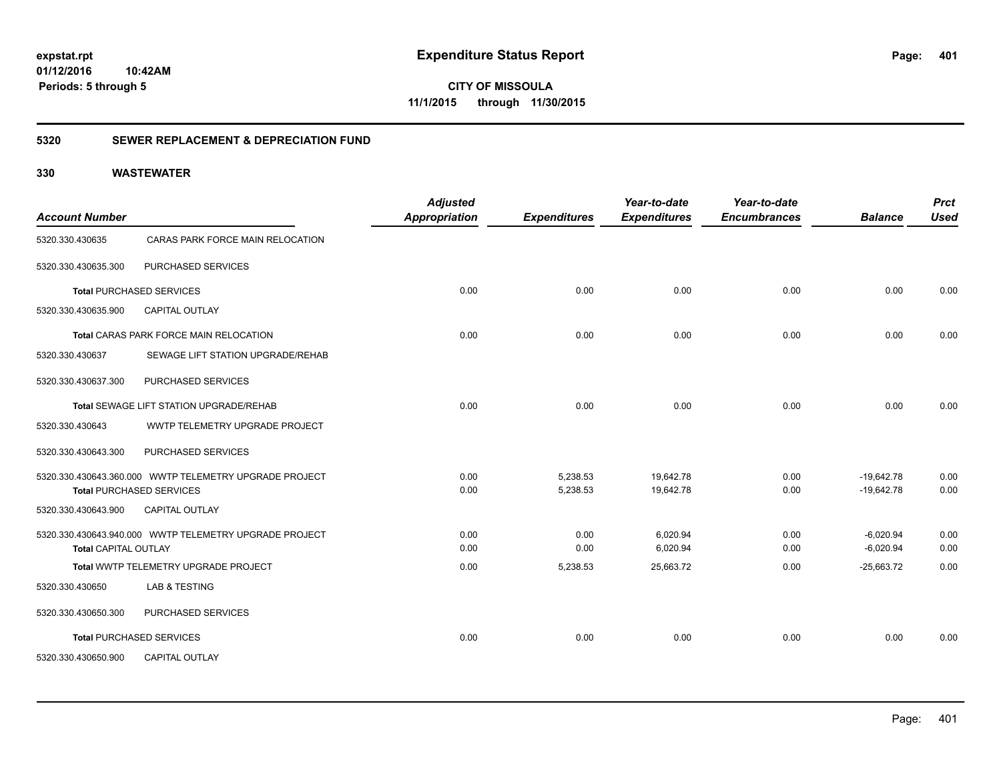**401**

**CITY OF MISSOULA 11/1/2015 through 11/30/2015**

### **5320 SEWER REPLACEMENT & DEPRECIATION FUND**

| <b>Account Number</b>       |                                                        | <b>Adjusted</b><br>Appropriation | <b>Expenditures</b> | Year-to-date<br><b>Expenditures</b> | Year-to-date<br><b>Encumbrances</b> | <b>Balance</b> | <b>Prct</b><br><b>Used</b> |
|-----------------------------|--------------------------------------------------------|----------------------------------|---------------------|-------------------------------------|-------------------------------------|----------------|----------------------------|
| 5320.330.430635             | CARAS PARK FORCE MAIN RELOCATION                       |                                  |                     |                                     |                                     |                |                            |
| 5320.330.430635.300         | PURCHASED SERVICES                                     |                                  |                     |                                     |                                     |                |                            |
|                             | <b>Total PURCHASED SERVICES</b>                        | 0.00                             | 0.00                | 0.00                                | 0.00                                | 0.00           | 0.00                       |
| 5320.330.430635.900         | <b>CAPITAL OUTLAY</b>                                  |                                  |                     |                                     |                                     |                |                            |
|                             | Total CARAS PARK FORCE MAIN RELOCATION                 | 0.00                             | 0.00                | 0.00                                | 0.00                                | 0.00           | 0.00                       |
| 5320.330.430637             | SEWAGE LIFT STATION UPGRADE/REHAB                      |                                  |                     |                                     |                                     |                |                            |
| 5320.330.430637.300         | PURCHASED SERVICES                                     |                                  |                     |                                     |                                     |                |                            |
|                             | Total SEWAGE LIFT STATION UPGRADE/REHAB                | 0.00                             | 0.00                | 0.00                                | 0.00                                | 0.00           | 0.00                       |
| 5320.330.430643             | WWTP TELEMETRY UPGRADE PROJECT                         |                                  |                     |                                     |                                     |                |                            |
| 5320.330.430643.300         | PURCHASED SERVICES                                     |                                  |                     |                                     |                                     |                |                            |
|                             | 5320.330.430643.360.000 WWTP TELEMETRY UPGRADE PROJECT | 0.00                             | 5,238.53            | 19.642.78                           | 0.00                                | $-19.642.78$   | 0.00                       |
|                             | <b>Total PURCHASED SERVICES</b>                        | 0.00                             | 5,238.53            | 19,642.78                           | 0.00                                | $-19,642.78$   | 0.00                       |
| 5320.330.430643.900         | <b>CAPITAL OUTLAY</b>                                  |                                  |                     |                                     |                                     |                |                            |
|                             | 5320.330.430643.940.000 WWTP TELEMETRY UPGRADE PROJECT | 0.00                             | 0.00                | 6,020.94                            | 0.00                                | $-6,020.94$    | 0.00                       |
| <b>Total CAPITAL OUTLAY</b> |                                                        | 0.00                             | 0.00                | 6,020.94                            | 0.00                                | $-6,020.94$    | 0.00                       |
|                             | Total WWTP TELEMETRY UPGRADE PROJECT                   | 0.00                             | 5,238.53            | 25,663.72                           | 0.00                                | $-25,663.72$   | 0.00                       |
| 5320.330.430650             | LAB & TESTING                                          |                                  |                     |                                     |                                     |                |                            |
| 5320.330.430650.300         | PURCHASED SERVICES                                     |                                  |                     |                                     |                                     |                |                            |
|                             | <b>Total PURCHASED SERVICES</b>                        | 0.00                             | 0.00                | 0.00                                | 0.00                                | 0.00           | 0.00                       |
| 5320.330.430650.900         | <b>CAPITAL OUTLAY</b>                                  |                                  |                     |                                     |                                     |                |                            |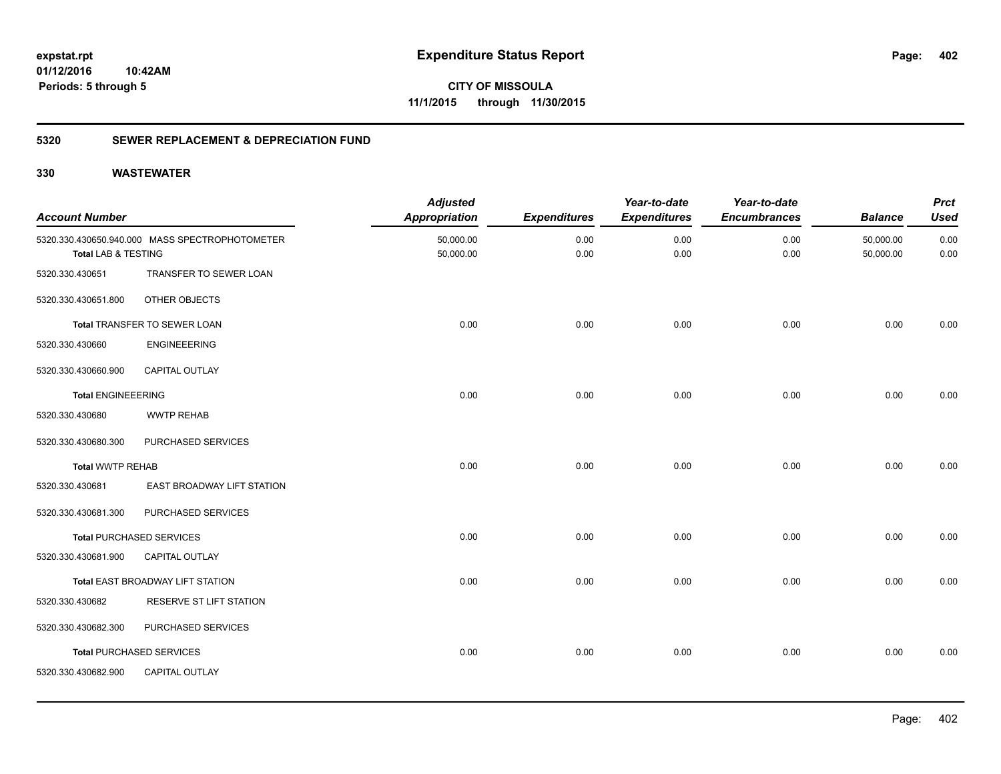**CITY OF MISSOULA 11/1/2015 through 11/30/2015**

### **5320 SEWER REPLACEMENT & DEPRECIATION FUND**

| <b>Account Number</b>     |                                                | <b>Adjusted</b><br><b>Appropriation</b> | <b>Expenditures</b> | Year-to-date<br><b>Expenditures</b> | Year-to-date<br><b>Encumbrances</b> | <b>Balance</b>         | <b>Prct</b><br><b>Used</b> |
|---------------------------|------------------------------------------------|-----------------------------------------|---------------------|-------------------------------------|-------------------------------------|------------------------|----------------------------|
| Total LAB & TESTING       | 5320.330.430650.940.000 MASS SPECTROPHOTOMETER | 50,000.00<br>50,000.00                  | 0.00<br>0.00        | 0.00<br>0.00                        | 0.00<br>0.00                        | 50,000.00<br>50,000.00 | 0.00<br>0.00               |
| 5320.330.430651           | TRANSFER TO SEWER LOAN                         |                                         |                     |                                     |                                     |                        |                            |
| 5320.330.430651.800       | OTHER OBJECTS                                  |                                         |                     |                                     |                                     |                        |                            |
|                           | Total TRANSFER TO SEWER LOAN                   | 0.00                                    | 0.00                | 0.00                                | 0.00                                | 0.00                   | 0.00                       |
| 5320.330.430660           | <b>ENGINEEERING</b>                            |                                         |                     |                                     |                                     |                        |                            |
| 5320.330.430660.900       | <b>CAPITAL OUTLAY</b>                          |                                         |                     |                                     |                                     |                        |                            |
| <b>Total ENGINEEERING</b> |                                                | 0.00                                    | 0.00                | 0.00                                | 0.00                                | 0.00                   | 0.00                       |
| 5320.330.430680           | <b>WWTP REHAB</b>                              |                                         |                     |                                     |                                     |                        |                            |
| 5320.330.430680.300       | PURCHASED SERVICES                             |                                         |                     |                                     |                                     |                        |                            |
| <b>Total WWTP REHAB</b>   |                                                | 0.00                                    | 0.00                | 0.00                                | 0.00                                | 0.00                   | 0.00                       |
| 5320.330.430681           | EAST BROADWAY LIFT STATION                     |                                         |                     |                                     |                                     |                        |                            |
| 5320.330.430681.300       | PURCHASED SERVICES                             |                                         |                     |                                     |                                     |                        |                            |
|                           | <b>Total PURCHASED SERVICES</b>                | 0.00                                    | 0.00                | 0.00                                | 0.00                                | 0.00                   | 0.00                       |
| 5320.330.430681.900       | CAPITAL OUTLAY                                 |                                         |                     |                                     |                                     |                        |                            |
|                           | Total EAST BROADWAY LIFT STATION               | 0.00                                    | 0.00                | 0.00                                | 0.00                                | 0.00                   | 0.00                       |
| 5320.330.430682           | RESERVE ST LIFT STATION                        |                                         |                     |                                     |                                     |                        |                            |
| 5320.330.430682.300       | PURCHASED SERVICES                             |                                         |                     |                                     |                                     |                        |                            |
|                           | <b>Total PURCHASED SERVICES</b>                | 0.00                                    | 0.00                | 0.00                                | 0.00                                | 0.00                   | 0.00                       |
| 5320.330.430682.900       | CAPITAL OUTLAY                                 |                                         |                     |                                     |                                     |                        |                            |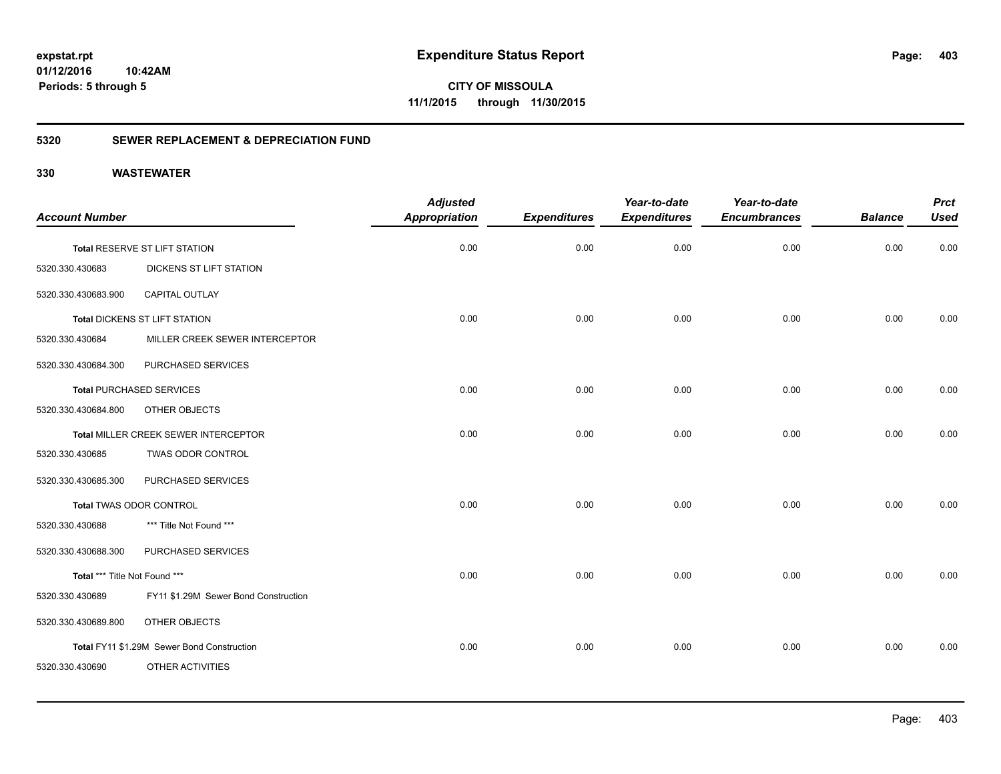**CITY OF MISSOULA 11/1/2015 through 11/30/2015**

### **5320 SEWER REPLACEMENT & DEPRECIATION FUND**

| <b>Account Number</b>         |                                            | <b>Adjusted</b><br><b>Appropriation</b> | <b>Expenditures</b> | Year-to-date<br><b>Expenditures</b> | Year-to-date<br><b>Encumbrances</b> | <b>Balance</b> | <b>Prct</b><br><b>Used</b> |
|-------------------------------|--------------------------------------------|-----------------------------------------|---------------------|-------------------------------------|-------------------------------------|----------------|----------------------------|
|                               | Total RESERVE ST LIFT STATION              | 0.00                                    | 0.00                | 0.00                                | 0.00                                | 0.00           | 0.00                       |
| 5320.330.430683               | DICKENS ST LIFT STATION                    |                                         |                     |                                     |                                     |                |                            |
| 5320.330.430683.900           | CAPITAL OUTLAY                             |                                         |                     |                                     |                                     |                |                            |
|                               | Total DICKENS ST LIFT STATION              | 0.00                                    | 0.00                | 0.00                                | 0.00                                | 0.00           | 0.00                       |
| 5320.330.430684               | MILLER CREEK SEWER INTERCEPTOR             |                                         |                     |                                     |                                     |                |                            |
| 5320.330.430684.300           | PURCHASED SERVICES                         |                                         |                     |                                     |                                     |                |                            |
|                               | <b>Total PURCHASED SERVICES</b>            | 0.00                                    | 0.00                | 0.00                                | 0.00                                | 0.00           | 0.00                       |
| 5320.330.430684.800           | OTHER OBJECTS                              |                                         |                     |                                     |                                     |                |                            |
|                               | Total MILLER CREEK SEWER INTERCEPTOR       | 0.00                                    | 0.00                | 0.00                                | 0.00                                | 0.00           | 0.00                       |
| 5320.330.430685               | TWAS ODOR CONTROL                          |                                         |                     |                                     |                                     |                |                            |
| 5320.330.430685.300           | PURCHASED SERVICES                         |                                         |                     |                                     |                                     |                |                            |
|                               | <b>Total TWAS ODOR CONTROL</b>             | 0.00                                    | 0.00                | 0.00                                | 0.00                                | 0.00           | 0.00                       |
| 5320.330.430688               | *** Title Not Found ***                    |                                         |                     |                                     |                                     |                |                            |
| 5320.330.430688.300           | PURCHASED SERVICES                         |                                         |                     |                                     |                                     |                |                            |
| Total *** Title Not Found *** |                                            | 0.00                                    | 0.00                | 0.00                                | 0.00                                | 0.00           | 0.00                       |
| 5320.330.430689               | FY11 \$1.29M Sewer Bond Construction       |                                         |                     |                                     |                                     |                |                            |
| 5320.330.430689.800           | OTHER OBJECTS                              |                                         |                     |                                     |                                     |                |                            |
|                               | Total FY11 \$1.29M Sewer Bond Construction | 0.00                                    | 0.00                | 0.00                                | 0.00                                | 0.00           | 0.00                       |
| 5320.330.430690               | OTHER ACTIVITIES                           |                                         |                     |                                     |                                     |                |                            |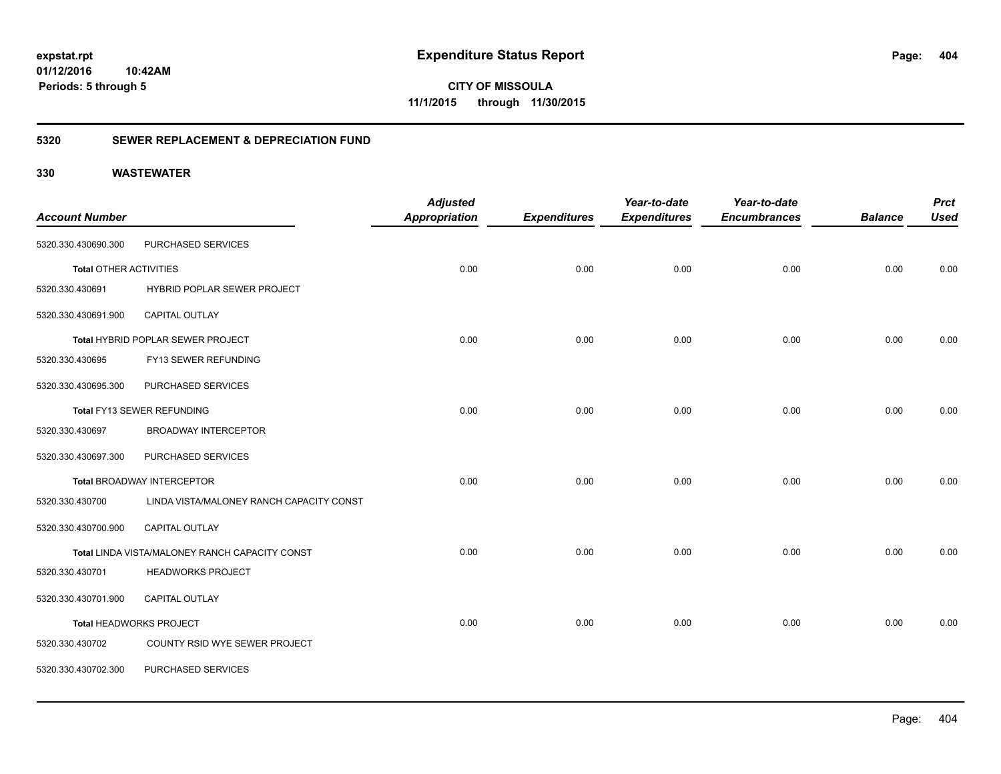**CITY OF MISSOULA 11/1/2015 through 11/30/2015**

### **5320 SEWER REPLACEMENT & DEPRECIATION FUND**

|                               |                                                | <b>Adjusted</b>      |                     | Year-to-date        | Year-to-date        |                | <b>Prct</b> |
|-------------------------------|------------------------------------------------|----------------------|---------------------|---------------------|---------------------|----------------|-------------|
| <b>Account Number</b>         |                                                | <b>Appropriation</b> | <b>Expenditures</b> | <b>Expenditures</b> | <b>Encumbrances</b> | <b>Balance</b> | <b>Used</b> |
| 5320.330.430690.300           | PURCHASED SERVICES                             |                      |                     |                     |                     |                |             |
| <b>Total OTHER ACTIVITIES</b> |                                                | 0.00                 | 0.00                | 0.00                | 0.00                | 0.00           | 0.00        |
| 5320.330.430691               | HYBRID POPLAR SEWER PROJECT                    |                      |                     |                     |                     |                |             |
| 5320.330.430691.900           | CAPITAL OUTLAY                                 |                      |                     |                     |                     |                |             |
|                               | Total HYBRID POPLAR SEWER PROJECT              | 0.00                 | 0.00                | 0.00                | 0.00                | 0.00           | 0.00        |
| 5320.330.430695               | FY13 SEWER REFUNDING                           |                      |                     |                     |                     |                |             |
| 5320.330.430695.300           | PURCHASED SERVICES                             |                      |                     |                     |                     |                |             |
|                               | Total FY13 SEWER REFUNDING                     | 0.00                 | 0.00                | 0.00                | 0.00                | 0.00           | 0.00        |
| 5320.330.430697               | <b>BROADWAY INTERCEPTOR</b>                    |                      |                     |                     |                     |                |             |
| 5320.330.430697.300           | PURCHASED SERVICES                             |                      |                     |                     |                     |                |             |
|                               | <b>Total BROADWAY INTERCEPTOR</b>              | 0.00                 | 0.00                | 0.00                | 0.00                | 0.00           | 0.00        |
| 5320.330.430700               | LINDA VISTA/MALONEY RANCH CAPACITY CONST       |                      |                     |                     |                     |                |             |
| 5320.330.430700.900           | CAPITAL OUTLAY                                 |                      |                     |                     |                     |                |             |
|                               | Total LINDA VISTA/MALONEY RANCH CAPACITY CONST | 0.00                 | 0.00                | 0.00                | 0.00                | 0.00           | 0.00        |
| 5320.330.430701               | <b>HEADWORKS PROJECT</b>                       |                      |                     |                     |                     |                |             |
| 5320.330.430701.900           | CAPITAL OUTLAY                                 |                      |                     |                     |                     |                |             |
|                               | Total HEADWORKS PROJECT                        | 0.00                 | 0.00                | 0.00                | 0.00                | 0.00           | 0.00        |
| 5320.330.430702               | COUNTY RSID WYE SEWER PROJECT                  |                      |                     |                     |                     |                |             |
| 5320.330.430702.300           | PURCHASED SERVICES                             |                      |                     |                     |                     |                |             |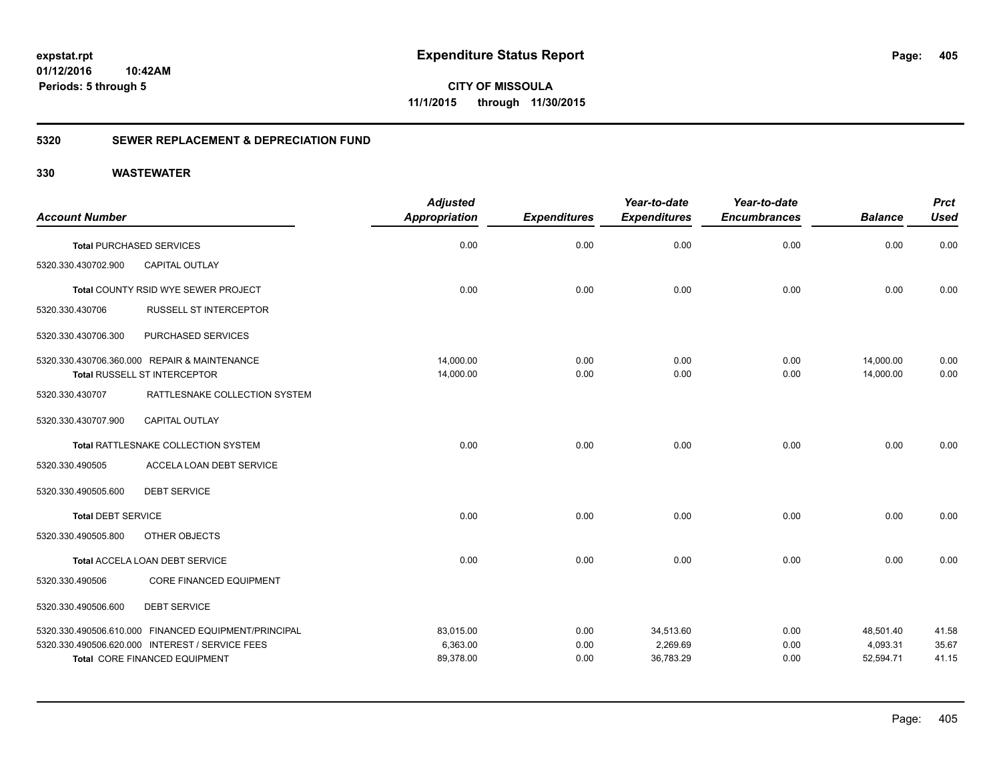**CITY OF MISSOULA 11/1/2015 through 11/30/2015**

### **5320 SEWER REPLACEMENT & DEPRECIATION FUND**

| <b>Account Number</b>     |                                                      | <b>Adjusted</b><br><b>Appropriation</b> | <b>Expenditures</b> | Year-to-date<br><b>Expenditures</b> | Year-to-date<br><b>Encumbrances</b> | <b>Balance</b> | <b>Prct</b><br><b>Used</b> |
|---------------------------|------------------------------------------------------|-----------------------------------------|---------------------|-------------------------------------|-------------------------------------|----------------|----------------------------|
|                           | <b>Total PURCHASED SERVICES</b>                      | 0.00                                    | 0.00                | 0.00                                | 0.00                                | 0.00           | 0.00                       |
| 5320.330.430702.900       | <b>CAPITAL OUTLAY</b>                                |                                         |                     |                                     |                                     |                |                            |
|                           | Total COUNTY RSID WYE SEWER PROJECT                  | 0.00                                    | 0.00                | 0.00                                | 0.00                                | 0.00           | 0.00                       |
| 5320.330.430706           | <b>RUSSELL ST INTERCEPTOR</b>                        |                                         |                     |                                     |                                     |                |                            |
| 5320.330.430706.300       | PURCHASED SERVICES                                   |                                         |                     |                                     |                                     |                |                            |
|                           | 5320.330.430706.360.000 REPAIR & MAINTENANCE         | 14,000.00                               | 0.00                | 0.00                                | 0.00                                | 14,000.00      | 0.00                       |
|                           | Total RUSSELL ST INTERCEPTOR                         | 14,000.00                               | 0.00                | 0.00                                | 0.00                                | 14,000.00      | 0.00                       |
| 5320.330.430707           | RATTLESNAKE COLLECTION SYSTEM                        |                                         |                     |                                     |                                     |                |                            |
| 5320.330.430707.900       | <b>CAPITAL OUTLAY</b>                                |                                         |                     |                                     |                                     |                |                            |
|                           | Total RATTLESNAKE COLLECTION SYSTEM                  | 0.00                                    | 0.00                | 0.00                                | 0.00                                | 0.00           | 0.00                       |
| 5320.330.490505           | ACCELA LOAN DEBT SERVICE                             |                                         |                     |                                     |                                     |                |                            |
| 5320.330.490505.600       | <b>DEBT SERVICE</b>                                  |                                         |                     |                                     |                                     |                |                            |
| <b>Total DEBT SERVICE</b> |                                                      | 0.00                                    | 0.00                | 0.00                                | 0.00                                | 0.00           | 0.00                       |
| 5320.330.490505.800       | OTHER OBJECTS                                        |                                         |                     |                                     |                                     |                |                            |
|                           | Total ACCELA LOAN DEBT SERVICE                       | 0.00                                    | 0.00                | 0.00                                | 0.00                                | 0.00           | 0.00                       |
| 5320.330.490506           | <b>CORE FINANCED EQUIPMENT</b>                       |                                         |                     |                                     |                                     |                |                            |
| 5320.330.490506.600       | <b>DEBT SERVICE</b>                                  |                                         |                     |                                     |                                     |                |                            |
|                           | 5320.330.490506.610.000 FINANCED EQUIPMENT/PRINCIPAL | 83,015.00                               | 0.00                | 34,513.60                           | 0.00                                | 48,501.40      | 41.58                      |
|                           | 5320.330.490506.620.000 INTEREST / SERVICE FEES      | 6,363.00                                | 0.00                | 2,269.69                            | 0.00                                | 4,093.31       | 35.67                      |
|                           | Total CORE FINANCED EQUIPMENT                        | 89,378.00                               | 0.00                | 36,783.29                           | 0.00                                | 52,594.71      | 41.15                      |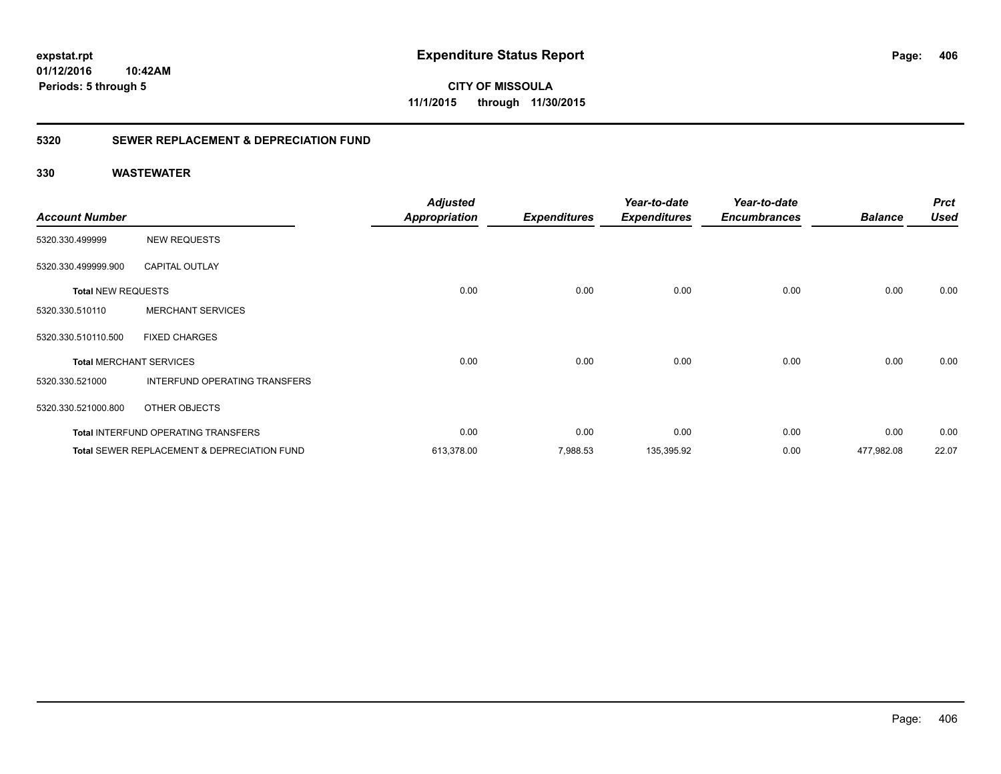**CITY OF MISSOULA 11/1/2015 through 11/30/2015**

### **5320 SEWER REPLACEMENT & DEPRECIATION FUND**

|                           |                                                        | <b>Adjusted</b>      |                     | Year-to-date        | Year-to-date        | <b>Balance</b> | <b>Prct</b><br><b>Used</b> |
|---------------------------|--------------------------------------------------------|----------------------|---------------------|---------------------|---------------------|----------------|----------------------------|
| <b>Account Number</b>     |                                                        | <b>Appropriation</b> | <b>Expenditures</b> | <b>Expenditures</b> | <b>Encumbrances</b> |                |                            |
| 5320.330.499999           | <b>NEW REQUESTS</b>                                    |                      |                     |                     |                     |                |                            |
| 5320.330.499999.900       | <b>CAPITAL OUTLAY</b>                                  |                      |                     |                     |                     |                |                            |
| <b>Total NEW REQUESTS</b> |                                                        | 0.00                 | 0.00                | 0.00                | 0.00                | 0.00           | 0.00                       |
| 5320.330.510110           | <b>MERCHANT SERVICES</b>                               |                      |                     |                     |                     |                |                            |
| 5320.330.510110.500       | <b>FIXED CHARGES</b>                                   |                      |                     |                     |                     |                |                            |
|                           | <b>Total MERCHANT SERVICES</b>                         | 0.00                 | 0.00                | 0.00                | 0.00                | 0.00           | 0.00                       |
| 5320.330.521000           | INTERFUND OPERATING TRANSFERS                          |                      |                     |                     |                     |                |                            |
| 5320.330.521000.800       | OTHER OBJECTS                                          |                      |                     |                     |                     |                |                            |
|                           | <b>Total INTERFUND OPERATING TRANSFERS</b>             | 0.00                 | 0.00                | 0.00                | 0.00                | 0.00           | 0.00                       |
|                           | <b>Total SEWER REPLACEMENT &amp; DEPRECIATION FUND</b> | 613,378.00           | 7,988.53            | 135,395.92          | 0.00                | 477,982.08     | 22.07                      |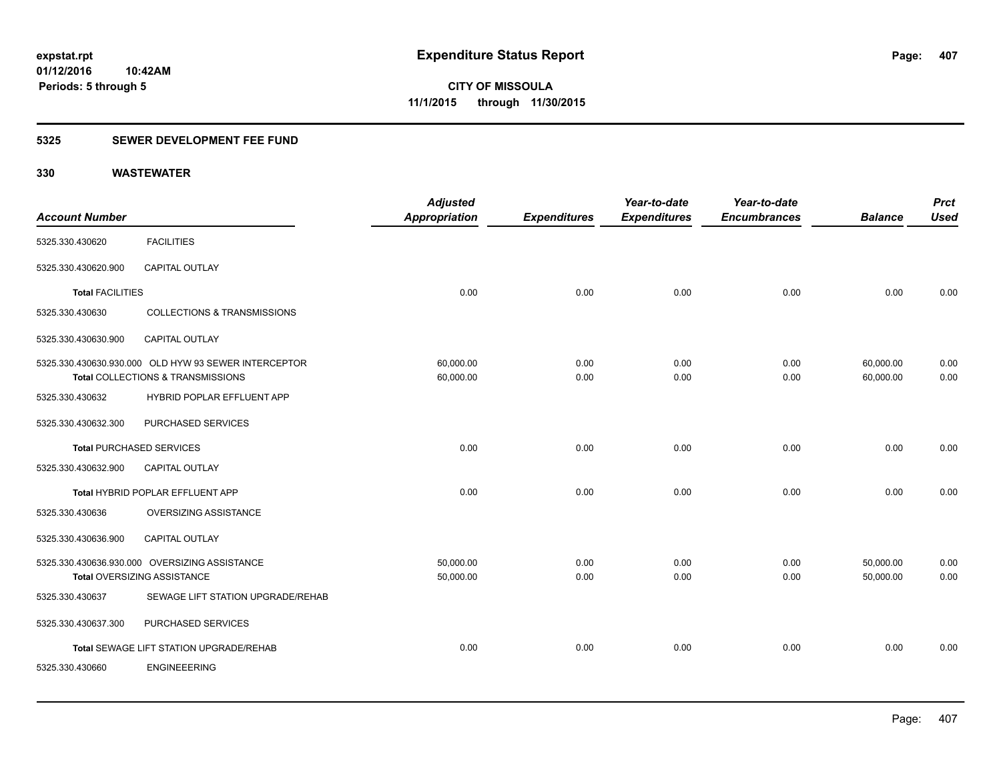### **5325 SEWER DEVELOPMENT FEE FUND**

| <b>Account Number</b>           |                                                                                           | <b>Adjusted</b><br>Appropriation | <b>Expenditures</b> | Year-to-date<br><b>Expenditures</b> | Year-to-date<br><b>Encumbrances</b> | <b>Balance</b>         | <b>Prct</b><br><b>Used</b> |
|---------------------------------|-------------------------------------------------------------------------------------------|----------------------------------|---------------------|-------------------------------------|-------------------------------------|------------------------|----------------------------|
| 5325.330.430620                 | <b>FACILITIES</b>                                                                         |                                  |                     |                                     |                                     |                        |                            |
| 5325.330.430620.900             | <b>CAPITAL OUTLAY</b>                                                                     |                                  |                     |                                     |                                     |                        |                            |
| <b>Total FACILITIES</b>         |                                                                                           | 0.00                             | 0.00                | 0.00                                | 0.00                                | 0.00                   | 0.00                       |
| 5325.330.430630                 | <b>COLLECTIONS &amp; TRANSMISSIONS</b>                                                    |                                  |                     |                                     |                                     |                        |                            |
| 5325.330.430630.900             | CAPITAL OUTLAY                                                                            |                                  |                     |                                     |                                     |                        |                            |
|                                 | 5325.330.430630.930.000 OLD HYW 93 SEWER INTERCEPTOR<br>Total COLLECTIONS & TRANSMISSIONS | 60,000.00<br>60,000.00           | 0.00<br>0.00        | 0.00<br>0.00                        | 0.00<br>0.00                        | 60,000.00<br>60,000.00 | 0.00<br>0.00               |
| 5325.330.430632                 | HYBRID POPLAR EFFLUENT APP                                                                |                                  |                     |                                     |                                     |                        |                            |
| 5325.330.430632.300             | PURCHASED SERVICES                                                                        |                                  |                     |                                     |                                     |                        |                            |
| <b>Total PURCHASED SERVICES</b> |                                                                                           | 0.00                             | 0.00                | 0.00                                | 0.00                                | 0.00                   | 0.00                       |
| 5325.330.430632.900             | <b>CAPITAL OUTLAY</b>                                                                     |                                  |                     |                                     |                                     |                        |                            |
|                                 | Total HYBRID POPLAR EFFLUENT APP                                                          | 0.00                             | 0.00                | 0.00                                | 0.00                                | 0.00                   | 0.00                       |
| 5325.330.430636                 | <b>OVERSIZING ASSISTANCE</b>                                                              |                                  |                     |                                     |                                     |                        |                            |
| 5325.330.430636.900             | <b>CAPITAL OUTLAY</b>                                                                     |                                  |                     |                                     |                                     |                        |                            |
|                                 | 5325.330.430636.930.000 OVERSIZING ASSISTANCE<br>Total OVERSIZING ASSISTANCE              | 50,000.00<br>50,000.00           | 0.00<br>0.00        | 0.00<br>0.00                        | 0.00<br>0.00                        | 50,000.00<br>50,000.00 | 0.00<br>0.00               |
| 5325.330.430637                 | SEWAGE LIFT STATION UPGRADE/REHAB                                                         |                                  |                     |                                     |                                     |                        |                            |
| 5325.330.430637.300             | PURCHASED SERVICES                                                                        |                                  |                     |                                     |                                     |                        |                            |
|                                 | Total SEWAGE LIFT STATION UPGRADE/REHAB                                                   | 0.00                             | 0.00                | 0.00                                | 0.00                                | 0.00                   | 0.00                       |
| 5325.330.430660                 | <b>ENGINEEERING</b>                                                                       |                                  |                     |                                     |                                     |                        |                            |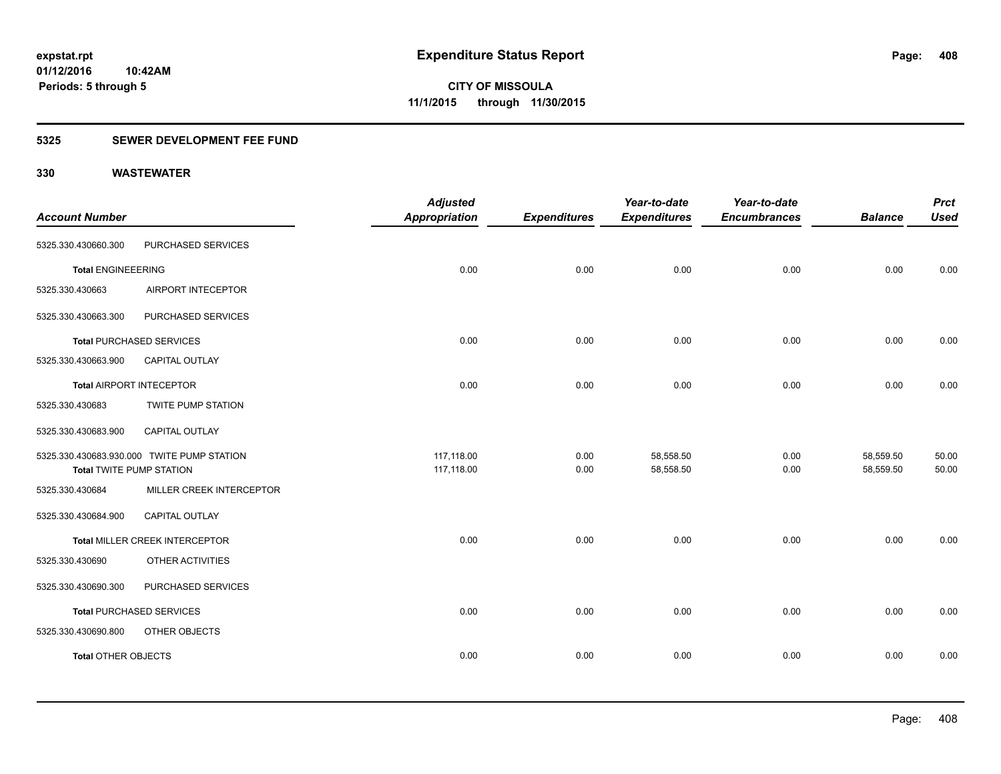### **5325 SEWER DEVELOPMENT FEE FUND**

| <b>Account Number</b>           |                                            | <b>Adjusted</b><br><b>Appropriation</b> | <b>Expenditures</b> | Year-to-date<br><b>Expenditures</b> | Year-to-date<br><b>Encumbrances</b> | <b>Balance</b> | <b>Prct</b><br><b>Used</b> |
|---------------------------------|--------------------------------------------|-----------------------------------------|---------------------|-------------------------------------|-------------------------------------|----------------|----------------------------|
| 5325.330.430660.300             | PURCHASED SERVICES                         |                                         |                     |                                     |                                     |                |                            |
|                                 |                                            |                                         |                     |                                     |                                     |                |                            |
| <b>Total ENGINEEERING</b>       |                                            | 0.00                                    | 0.00                | 0.00                                | 0.00                                | 0.00           | 0.00                       |
| 5325.330.430663                 | AIRPORT INTECEPTOR                         |                                         |                     |                                     |                                     |                |                            |
| 5325.330.430663.300             | PURCHASED SERVICES                         |                                         |                     |                                     |                                     |                |                            |
|                                 | <b>Total PURCHASED SERVICES</b>            | 0.00                                    | 0.00                | 0.00                                | 0.00                                | 0.00           | 0.00                       |
| 5325.330.430663.900             | <b>CAPITAL OUTLAY</b>                      |                                         |                     |                                     |                                     |                |                            |
| <b>Total AIRPORT INTECEPTOR</b> |                                            | 0.00                                    | 0.00                | 0.00                                | 0.00                                | 0.00           | 0.00                       |
| 5325.330.430683                 | <b>TWITE PUMP STATION</b>                  |                                         |                     |                                     |                                     |                |                            |
| 5325.330.430683.900             | CAPITAL OUTLAY                             |                                         |                     |                                     |                                     |                |                            |
|                                 | 5325.330.430683.930.000 TWITE PUMP STATION | 117,118.00                              | 0.00                | 58,558.50                           | 0.00                                | 58,559.50      | 50.00                      |
| <b>Total TWITE PUMP STATION</b> |                                            | 117,118.00                              | 0.00                | 58,558.50                           | 0.00                                | 58,559.50      | 50.00                      |
| 5325.330.430684                 | MILLER CREEK INTERCEPTOR                   |                                         |                     |                                     |                                     |                |                            |
| 5325.330.430684.900             | CAPITAL OUTLAY                             |                                         |                     |                                     |                                     |                |                            |
|                                 | Total MILLER CREEK INTERCEPTOR             | 0.00                                    | 0.00                | 0.00                                | 0.00                                | 0.00           | 0.00                       |
| 5325.330.430690                 | OTHER ACTIVITIES                           |                                         |                     |                                     |                                     |                |                            |
| 5325.330.430690.300             | PURCHASED SERVICES                         |                                         |                     |                                     |                                     |                |                            |
|                                 | Total PURCHASED SERVICES                   | 0.00                                    | 0.00                | 0.00                                | 0.00                                | 0.00           | 0.00                       |
| 5325.330.430690.800             | OTHER OBJECTS                              |                                         |                     |                                     |                                     |                |                            |
| <b>Total OTHER OBJECTS</b>      |                                            | 0.00                                    | 0.00                | 0.00                                | 0.00                                | 0.00           | 0.00                       |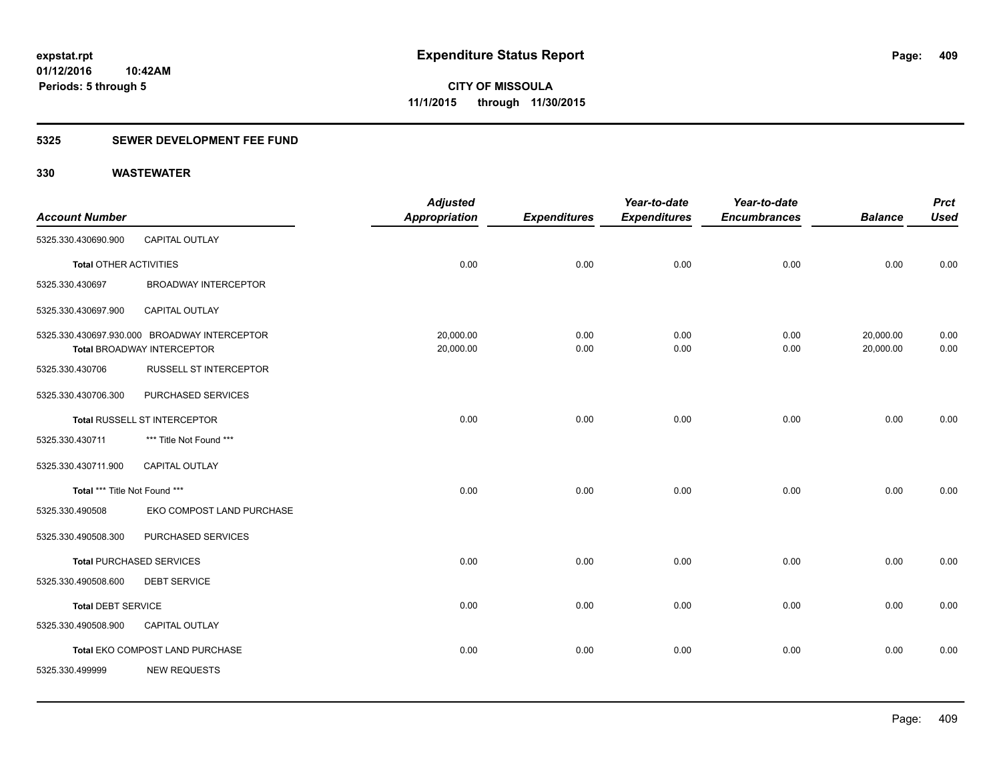### **5325 SEWER DEVELOPMENT FEE FUND**

|                               |                                              | <b>Adjusted</b>      |                     | Year-to-date        | Year-to-date        |                | <b>Prct</b> |
|-------------------------------|----------------------------------------------|----------------------|---------------------|---------------------|---------------------|----------------|-------------|
| <b>Account Number</b>         |                                              | <b>Appropriation</b> | <b>Expenditures</b> | <b>Expenditures</b> | <b>Encumbrances</b> | <b>Balance</b> | <b>Used</b> |
| 5325.330.430690.900           | CAPITAL OUTLAY                               |                      |                     |                     |                     |                |             |
| <b>Total OTHER ACTIVITIES</b> |                                              | 0.00                 | 0.00                | 0.00                | 0.00                | 0.00           | 0.00        |
| 5325.330.430697               | <b>BROADWAY INTERCEPTOR</b>                  |                      |                     |                     |                     |                |             |
| 5325.330.430697.900           | <b>CAPITAL OUTLAY</b>                        |                      |                     |                     |                     |                |             |
|                               | 5325.330.430697.930.000 BROADWAY INTERCEPTOR | 20,000.00            | 0.00                | 0.00                | 0.00                | 20,000.00      | 0.00        |
|                               | <b>Total BROADWAY INTERCEPTOR</b>            | 20,000.00            | 0.00                | 0.00                | 0.00                | 20,000.00      | 0.00        |
| 5325.330.430706               | <b>RUSSELL ST INTERCEPTOR</b>                |                      |                     |                     |                     |                |             |
| 5325.330.430706.300           | PURCHASED SERVICES                           |                      |                     |                     |                     |                |             |
|                               | <b>Total RUSSELL ST INTERCEPTOR</b>          | 0.00                 | 0.00                | 0.00                | 0.00                | 0.00           | 0.00        |
| 5325.330.430711               | *** Title Not Found ***                      |                      |                     |                     |                     |                |             |
| 5325.330.430711.900           | <b>CAPITAL OUTLAY</b>                        |                      |                     |                     |                     |                |             |
| Total *** Title Not Found *** |                                              | 0.00                 | 0.00                | 0.00                | 0.00                | 0.00           | 0.00        |
| 5325.330.490508               | EKO COMPOST LAND PURCHASE                    |                      |                     |                     |                     |                |             |
| 5325.330.490508.300           | PURCHASED SERVICES                           |                      |                     |                     |                     |                |             |
|                               | <b>Total PURCHASED SERVICES</b>              | 0.00                 | 0.00                | 0.00                | 0.00                | 0.00           | 0.00        |
| 5325.330.490508.600           | <b>DEBT SERVICE</b>                          |                      |                     |                     |                     |                |             |
| <b>Total DEBT SERVICE</b>     |                                              | 0.00                 | 0.00                | 0.00                | 0.00                | 0.00           | 0.00        |
| 5325.330.490508.900           | CAPITAL OUTLAY                               |                      |                     |                     |                     |                |             |
|                               | Total EKO COMPOST LAND PURCHASE              | 0.00                 | 0.00                | 0.00                | 0.00                | 0.00           | 0.00        |
| 5325.330.499999               | <b>NEW REQUESTS</b>                          |                      |                     |                     |                     |                |             |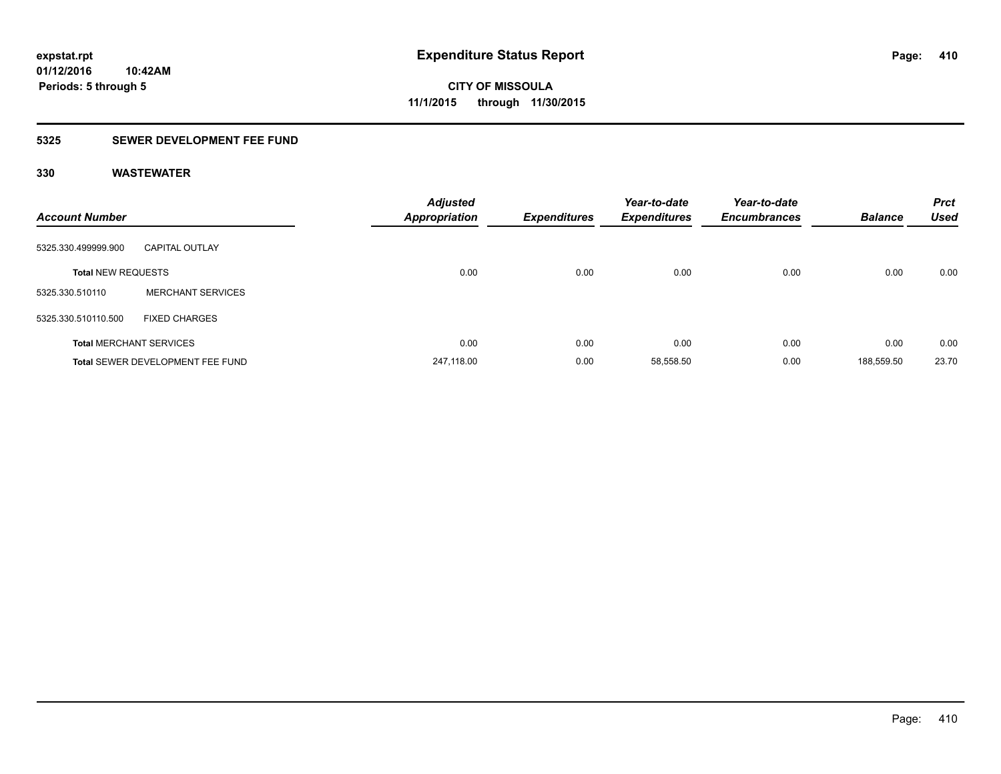### **5325 SEWER DEVELOPMENT FEE FUND**

| <b>Account Number</b>     |                                  | <b>Adjusted</b><br><b>Appropriation</b> | <b>Expenditures</b> | Year-to-date<br><b>Expenditures</b> | Year-to-date<br><b>Encumbrances</b> | <b>Balance</b> | <b>Prct</b><br><b>Used</b> |
|---------------------------|----------------------------------|-----------------------------------------|---------------------|-------------------------------------|-------------------------------------|----------------|----------------------------|
| 5325.330.499999.900       | <b>CAPITAL OUTLAY</b>            |                                         |                     |                                     |                                     |                |                            |
| <b>Total NEW REQUESTS</b> |                                  | 0.00                                    | 0.00                | 0.00                                | 0.00                                | 0.00           | 0.00                       |
| 5325.330.510110           | <b>MERCHANT SERVICES</b>         |                                         |                     |                                     |                                     |                |                            |
| 5325.330.510110.500       | <b>FIXED CHARGES</b>             |                                         |                     |                                     |                                     |                |                            |
|                           | <b>Total MERCHANT SERVICES</b>   | 0.00                                    | 0.00                | 0.00                                | 0.00                                | 0.00           | 0.00                       |
|                           | Total SEWER DEVELOPMENT FEE FUND | 247.118.00                              | 0.00                | 58,558.50                           | 0.00                                | 188,559.50     | 23.70                      |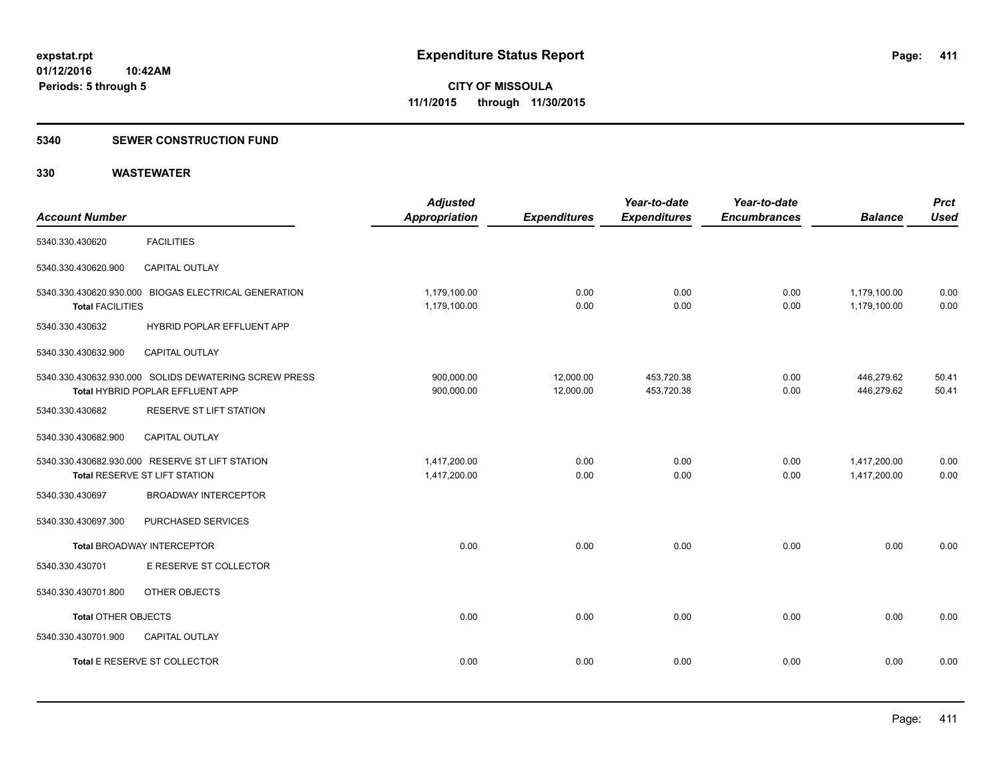#### **5340 SEWER CONSTRUCTION FUND**

| <b>Account Number</b>   |                                                                                           | <b>Adjusted</b><br><b>Appropriation</b> | <b>Expenditures</b>    | Year-to-date<br><b>Expenditures</b> | Year-to-date<br><b>Encumbrances</b> | <b>Balance</b>               | <b>Prct</b><br><b>Used</b> |
|-------------------------|-------------------------------------------------------------------------------------------|-----------------------------------------|------------------------|-------------------------------------|-------------------------------------|------------------------------|----------------------------|
| 5340.330.430620         | <b>FACILITIES</b>                                                                         |                                         |                        |                                     |                                     |                              |                            |
| 5340.330.430620.900     | CAPITAL OUTLAY                                                                            |                                         |                        |                                     |                                     |                              |                            |
| <b>Total FACILITIES</b> | 5340.330.430620.930.000 BIOGAS ELECTRICAL GENERATION                                      | 1,179,100.00<br>1,179,100.00            | 0.00<br>0.00           | 0.00<br>0.00                        | 0.00<br>0.00                        | 1,179,100.00<br>1,179,100.00 | 0.00<br>0.00               |
| 5340.330.430632         | HYBRID POPLAR EFFLUENT APP                                                                |                                         |                        |                                     |                                     |                              |                            |
| 5340.330.430632.900     | CAPITAL OUTLAY                                                                            |                                         |                        |                                     |                                     |                              |                            |
|                         | 5340.330.430632.930.000 SOLIDS DEWATERING SCREW PRESS<br>Total HYBRID POPLAR EFFLUENT APP | 900,000.00<br>900,000.00                | 12,000.00<br>12,000.00 | 453,720.38<br>453,720.38            | 0.00<br>0.00                        | 446,279.62<br>446,279.62     | 50.41<br>50.41             |
| 5340.330.430682         | <b>RESERVE ST LIFT STATION</b>                                                            |                                         |                        |                                     |                                     |                              |                            |
| 5340.330.430682.900     | <b>CAPITAL OUTLAY</b>                                                                     |                                         |                        |                                     |                                     |                              |                            |
|                         | 5340.330.430682.930.000 RESERVE ST LIFT STATION<br>Total RESERVE ST LIFT STATION          | 1,417,200.00<br>1,417,200.00            | 0.00<br>0.00           | 0.00<br>0.00                        | 0.00<br>0.00                        | 1,417,200.00<br>1,417,200.00 | 0.00<br>0.00               |
| 5340.330.430697         | <b>BROADWAY INTERCEPTOR</b>                                                               |                                         |                        |                                     |                                     |                              |                            |
| 5340.330.430697.300     | PURCHASED SERVICES                                                                        |                                         |                        |                                     |                                     |                              |                            |
|                         | <b>Total BROADWAY INTERCEPTOR</b>                                                         | 0.00                                    | 0.00                   | 0.00                                | 0.00                                | 0.00                         | 0.00                       |
| 5340.330.430701         | E RESERVE ST COLLECTOR                                                                    |                                         |                        |                                     |                                     |                              |                            |
| 5340.330.430701.800     | OTHER OBJECTS                                                                             |                                         |                        |                                     |                                     |                              |                            |
| Total OTHER OBJECTS     |                                                                                           | 0.00                                    | 0.00                   | 0.00                                | 0.00                                | 0.00                         | 0.00                       |
| 5340.330.430701.900     | <b>CAPITAL OUTLAY</b>                                                                     |                                         |                        |                                     |                                     |                              |                            |
|                         | Total E RESERVE ST COLLECTOR                                                              | 0.00                                    | 0.00                   | 0.00                                | 0.00                                | 0.00                         | 0.00                       |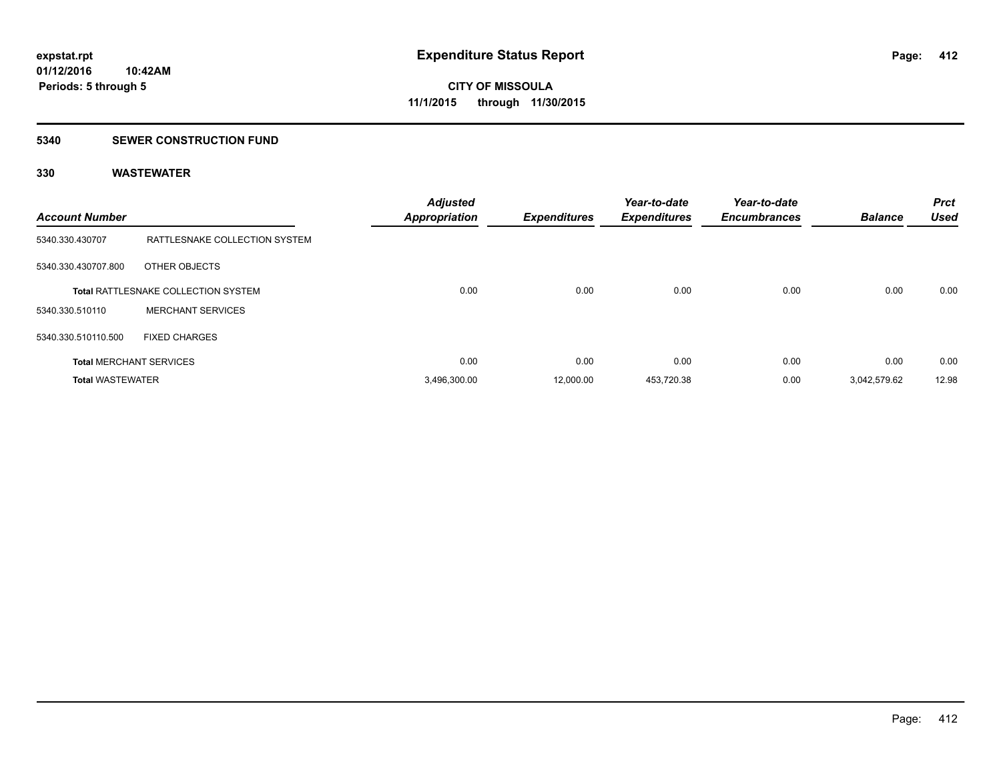#### **5340 SEWER CONSTRUCTION FUND**

| <b>Account Number</b>   |                                            | <b>Adjusted</b><br><b>Appropriation</b> | <b>Expenditures</b> | Year-to-date<br><b>Expenditures</b> | Year-to-date<br><b>Encumbrances</b> | <b>Balance</b> | <b>Prct</b><br><b>Used</b> |
|-------------------------|--------------------------------------------|-----------------------------------------|---------------------|-------------------------------------|-------------------------------------|----------------|----------------------------|
| 5340.330.430707         | RATTLESNAKE COLLECTION SYSTEM              |                                         |                     |                                     |                                     |                |                            |
| 5340.330.430707.800     | OTHER OBJECTS                              |                                         |                     |                                     |                                     |                |                            |
|                         | <b>Total RATTLESNAKE COLLECTION SYSTEM</b> | 0.00                                    | 0.00                | 0.00                                | 0.00                                | 0.00           | 0.00                       |
| 5340.330.510110         | <b>MERCHANT SERVICES</b>                   |                                         |                     |                                     |                                     |                |                            |
| 5340.330.510110.500     | <b>FIXED CHARGES</b>                       |                                         |                     |                                     |                                     |                |                            |
|                         | <b>Total MERCHANT SERVICES</b>             | 0.00                                    | 0.00                | 0.00                                | 0.00                                | 0.00           | 0.00                       |
| <b>Total WASTEWATER</b> |                                            | 3,496,300.00                            | 12,000.00           | 453,720.38                          | 0.00                                | 3,042,579.62   | 12.98                      |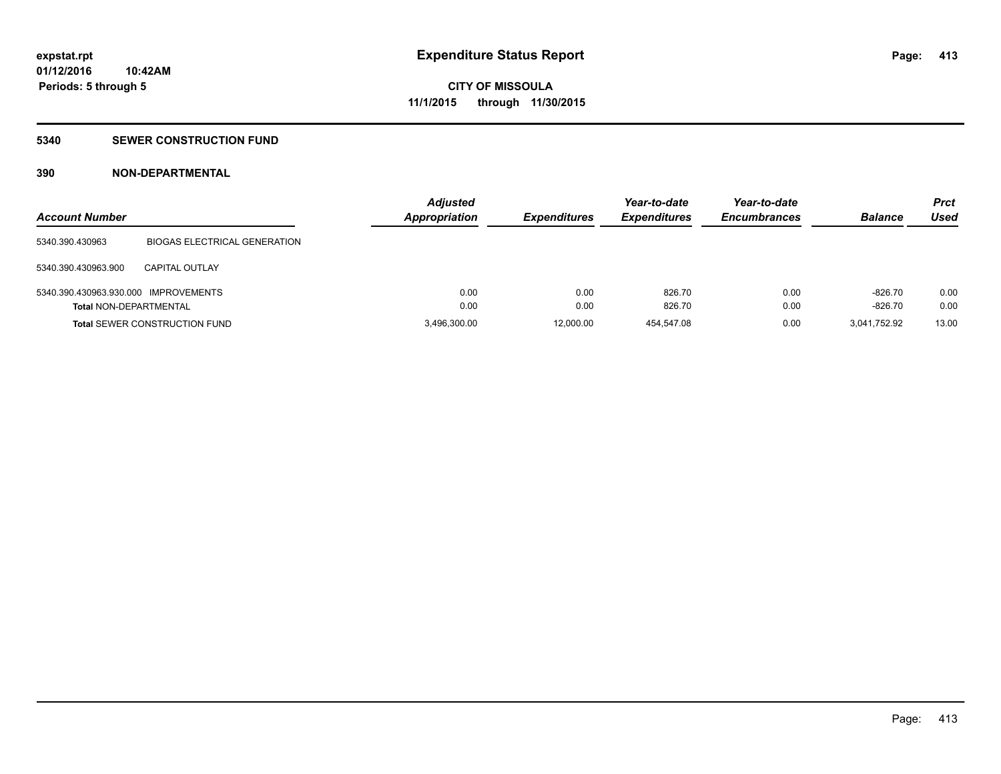#### **5340 SEWER CONSTRUCTION FUND**

### **390 NON-DEPARTMENTAL**

| <b>Account Number</b>                |                                      | <b>Adjusted</b><br><b>Appropriation</b> | <b>Expenditures</b> | Year-to-date<br><b>Expenditures</b> | Year-to-date<br><b>Encumbrances</b> | <b>Balance</b> | Prct<br>Used |
|--------------------------------------|--------------------------------------|-----------------------------------------|---------------------|-------------------------------------|-------------------------------------|----------------|--------------|
| 5340.390.430963                      | <b>BIOGAS ELECTRICAL GENERATION</b>  |                                         |                     |                                     |                                     |                |              |
| 5340.390.430963.900                  | CAPITAL OUTLAY                       |                                         |                     |                                     |                                     |                |              |
| 5340.390.430963.930.000 IMPROVEMENTS |                                      | 0.00                                    | 0.00                | 826.70                              | 0.00                                | $-826.70$      | 0.00         |
| <b>Total NON-DEPARTMENTAL</b>        |                                      | 0.00                                    | 0.00                | 826.70                              | 0.00                                | $-826.70$      | 0.00         |
|                                      | <b>Total SEWER CONSTRUCTION FUND</b> | 3,496,300.00                            | 12,000.00           | 454.547.08                          | 0.00                                | 3.041.752.92   | 13.00        |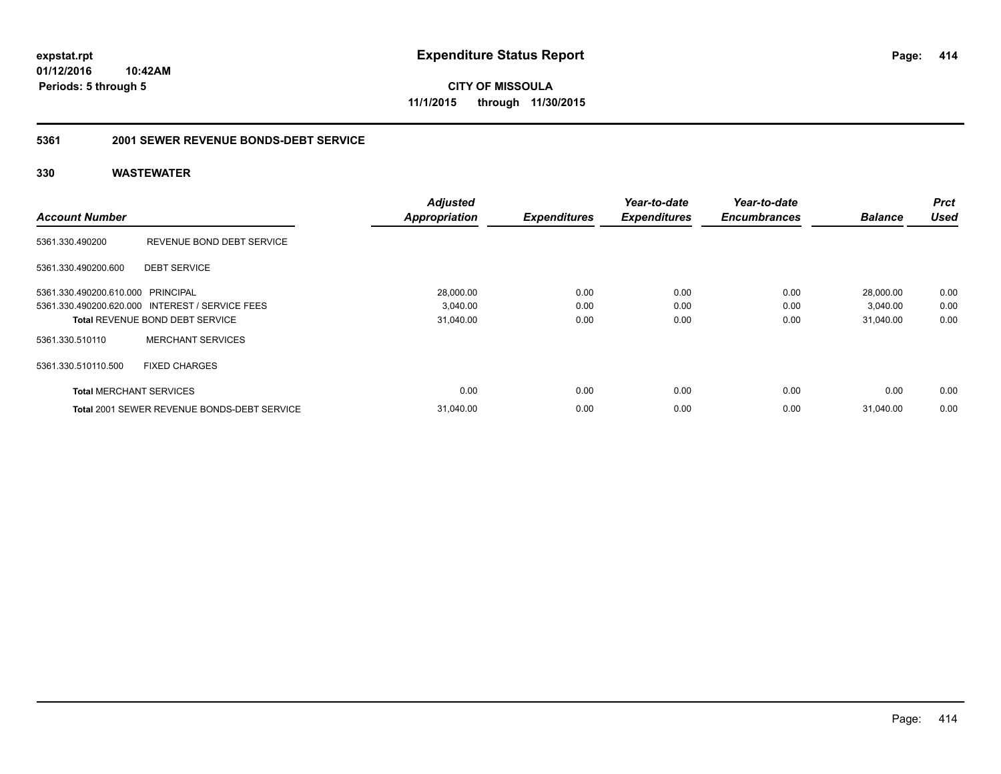**CITY OF MISSOULA 11/1/2015 through 11/30/2015**

### **5361 2001 SEWER REVENUE BONDS-DEBT SERVICE**

|                                   |                                                 | <b>Adjusted</b>      |                     | Year-to-date        | Year-to-date        |                | <b>Prct</b> |
|-----------------------------------|-------------------------------------------------|----------------------|---------------------|---------------------|---------------------|----------------|-------------|
| <b>Account Number</b>             |                                                 | <b>Appropriation</b> | <b>Expenditures</b> | <b>Expenditures</b> | <b>Encumbrances</b> | <b>Balance</b> | <b>Used</b> |
| 5361.330.490200                   | REVENUE BOND DEBT SERVICE                       |                      |                     |                     |                     |                |             |
| 5361.330.490200.600               | <b>DEBT SERVICE</b>                             |                      |                     |                     |                     |                |             |
| 5361.330.490200.610.000 PRINCIPAL |                                                 | 28,000.00            | 0.00                | 0.00                | 0.00                | 28.000.00      | 0.00        |
|                                   | 5361.330.490200.620.000 INTEREST / SERVICE FEES | 3,040.00             | 0.00                | 0.00                | 0.00                | 3,040.00       | 0.00        |
|                                   | <b>Total REVENUE BOND DEBT SERVICE</b>          | 31,040.00            | 0.00                | 0.00                | 0.00                | 31,040.00      | 0.00        |
| 5361.330.510110                   | <b>MERCHANT SERVICES</b>                        |                      |                     |                     |                     |                |             |
| 5361.330.510110.500               | <b>FIXED CHARGES</b>                            |                      |                     |                     |                     |                |             |
| <b>Total MERCHANT SERVICES</b>    |                                                 | 0.00                 | 0.00                | 0.00                | 0.00                | 0.00           | 0.00        |
|                                   | Total 2001 SEWER REVENUE BONDS-DEBT SERVICE     | 31,040.00            | 0.00                | 0.00                | 0.00                | 31,040.00      | 0.00        |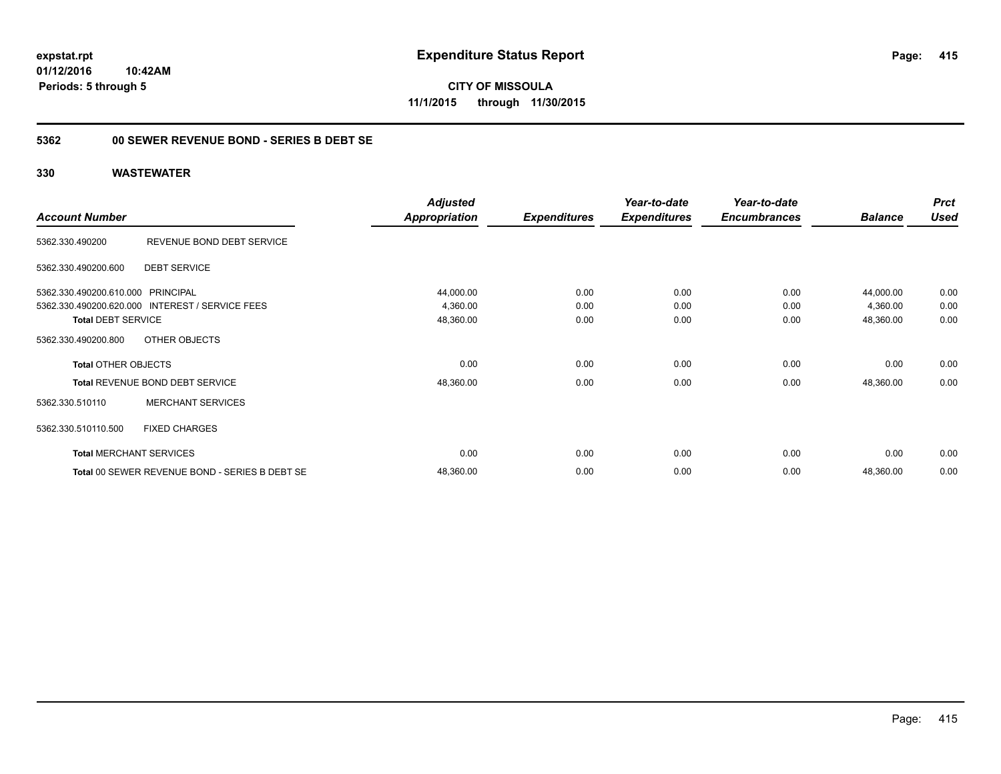### **5362 00 SEWER REVENUE BOND - SERIES B DEBT SE**

|                                   |                                                 | <b>Adjusted</b>      |                     | Year-to-date        | Year-to-date        |                | <b>Prct</b> |
|-----------------------------------|-------------------------------------------------|----------------------|---------------------|---------------------|---------------------|----------------|-------------|
| <b>Account Number</b>             |                                                 | <b>Appropriation</b> | <b>Expenditures</b> | <b>Expenditures</b> | <b>Encumbrances</b> | <b>Balance</b> | <b>Used</b> |
| 5362.330.490200                   | REVENUE BOND DEBT SERVICE                       |                      |                     |                     |                     |                |             |
| 5362.330.490200.600               | <b>DEBT SERVICE</b>                             |                      |                     |                     |                     |                |             |
| 5362.330.490200.610.000 PRINCIPAL |                                                 | 44,000.00            | 0.00                | 0.00                | 0.00                | 44,000.00      | 0.00        |
|                                   | 5362.330.490200.620.000 INTEREST / SERVICE FEES | 4,360.00             | 0.00                | 0.00                | 0.00                | 4,360.00       | 0.00        |
| <b>Total DEBT SERVICE</b>         |                                                 | 48,360.00            | 0.00                | 0.00                | 0.00                | 48,360.00      | 0.00        |
| 5362.330.490200.800               | OTHER OBJECTS                                   |                      |                     |                     |                     |                |             |
| <b>Total OTHER OBJECTS</b>        |                                                 | 0.00                 | 0.00                | 0.00                | 0.00                | 0.00           | 0.00        |
|                                   | Total REVENUE BOND DEBT SERVICE                 | 48,360.00            | 0.00                | 0.00                | 0.00                | 48,360.00      | 0.00        |
| 5362.330.510110                   | <b>MERCHANT SERVICES</b>                        |                      |                     |                     |                     |                |             |
| 5362.330.510110.500               | <b>FIXED CHARGES</b>                            |                      |                     |                     |                     |                |             |
| <b>Total MERCHANT SERVICES</b>    |                                                 | 0.00                 | 0.00                | 0.00                | 0.00                | 0.00           | 0.00        |
|                                   | Total 00 SEWER REVENUE BOND - SERIES B DEBT SE  | 48,360.00            | 0.00                | 0.00                | 0.00                | 48,360.00      | 0.00        |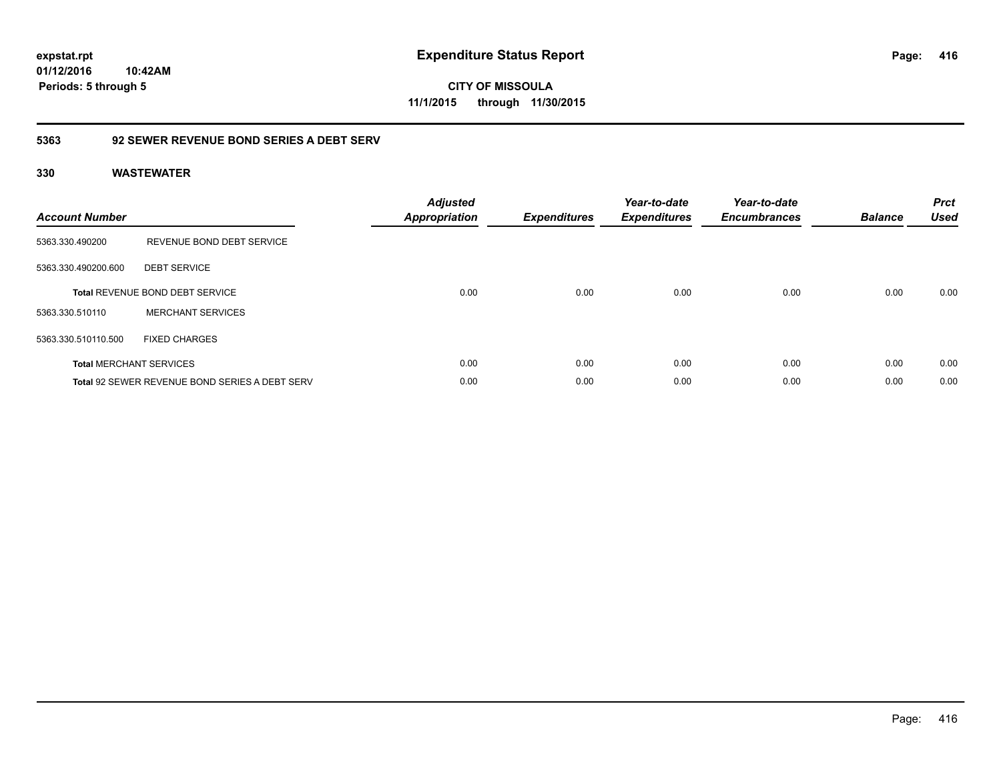**CITY OF MISSOULA 11/1/2015 through 11/30/2015**

### **5363 92 SEWER REVENUE BOND SERIES A DEBT SERV**

| <b>Account Number</b> |                                                       | <b>Adjusted</b><br><b>Appropriation</b> | <b>Expenditures</b> | Year-to-date<br><b>Expenditures</b> | Year-to-date<br><b>Encumbrances</b> | <b>Balance</b> | <b>Prct</b><br><b>Used</b> |
|-----------------------|-------------------------------------------------------|-----------------------------------------|---------------------|-------------------------------------|-------------------------------------|----------------|----------------------------|
| 5363.330.490200       | REVENUE BOND DEBT SERVICE                             |                                         |                     |                                     |                                     |                |                            |
| 5363.330.490200.600   | <b>DEBT SERVICE</b>                                   |                                         |                     |                                     |                                     |                |                            |
|                       | <b>Total REVENUE BOND DEBT SERVICE</b>                | 0.00                                    | 0.00                | 0.00                                | 0.00                                | 0.00           | 0.00                       |
| 5363.330.510110       | <b>MERCHANT SERVICES</b>                              |                                         |                     |                                     |                                     |                |                            |
| 5363.330.510110.500   | <b>FIXED CHARGES</b>                                  |                                         |                     |                                     |                                     |                |                            |
|                       | <b>Total MERCHANT SERVICES</b>                        | 0.00                                    | 0.00                | 0.00                                | 0.00                                | 0.00           | 0.00                       |
|                       | <b>Total 92 SEWER REVENUE BOND SERIES A DEBT SERV</b> | 0.00                                    | 0.00                | 0.00                                | 0.00                                | 0.00           | 0.00                       |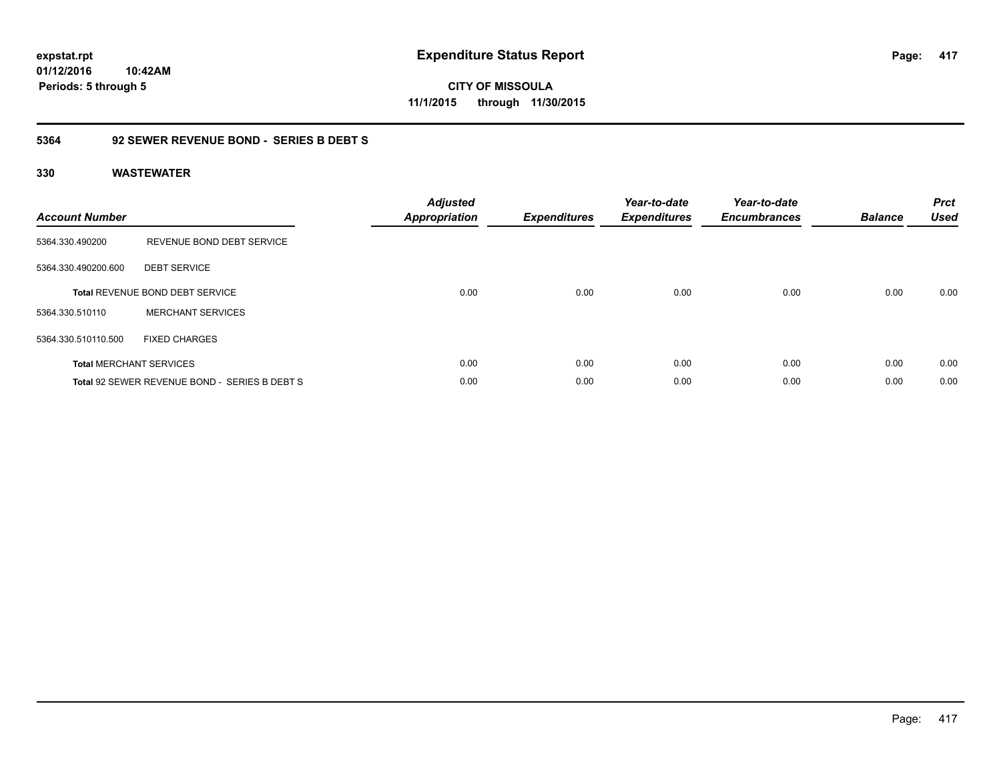**CITY OF MISSOULA 11/1/2015 through 11/30/2015**

### **5364 92 SEWER REVENUE BOND - SERIES B DEBT S**

| <b>Account Number</b> |                                               | <b>Adjusted</b><br><b>Appropriation</b> | <b>Expenditures</b> | Year-to-date<br><b>Expenditures</b> | Year-to-date<br><b>Encumbrances</b> | <b>Balance</b> | <b>Prct</b><br><b>Used</b> |
|-----------------------|-----------------------------------------------|-----------------------------------------|---------------------|-------------------------------------|-------------------------------------|----------------|----------------------------|
| 5364.330.490200       | REVENUE BOND DEBT SERVICE                     |                                         |                     |                                     |                                     |                |                            |
| 5364.330.490200.600   | <b>DEBT SERVICE</b>                           |                                         |                     |                                     |                                     |                |                            |
|                       | <b>Total REVENUE BOND DEBT SERVICE</b>        | 0.00                                    | 0.00                | 0.00                                | 0.00                                | 0.00           | 0.00                       |
| 5364.330.510110       | <b>MERCHANT SERVICES</b>                      |                                         |                     |                                     |                                     |                |                            |
| 5364.330.510110.500   | <b>FIXED CHARGES</b>                          |                                         |                     |                                     |                                     |                |                            |
|                       | <b>Total MERCHANT SERVICES</b>                | 0.00                                    | 0.00                | 0.00                                | 0.00                                | 0.00           | 0.00                       |
|                       | Total 92 SEWER REVENUE BOND - SERIES B DEBT S | 0.00                                    | 0.00                | 0.00                                | 0.00                                | 0.00           | 0.00                       |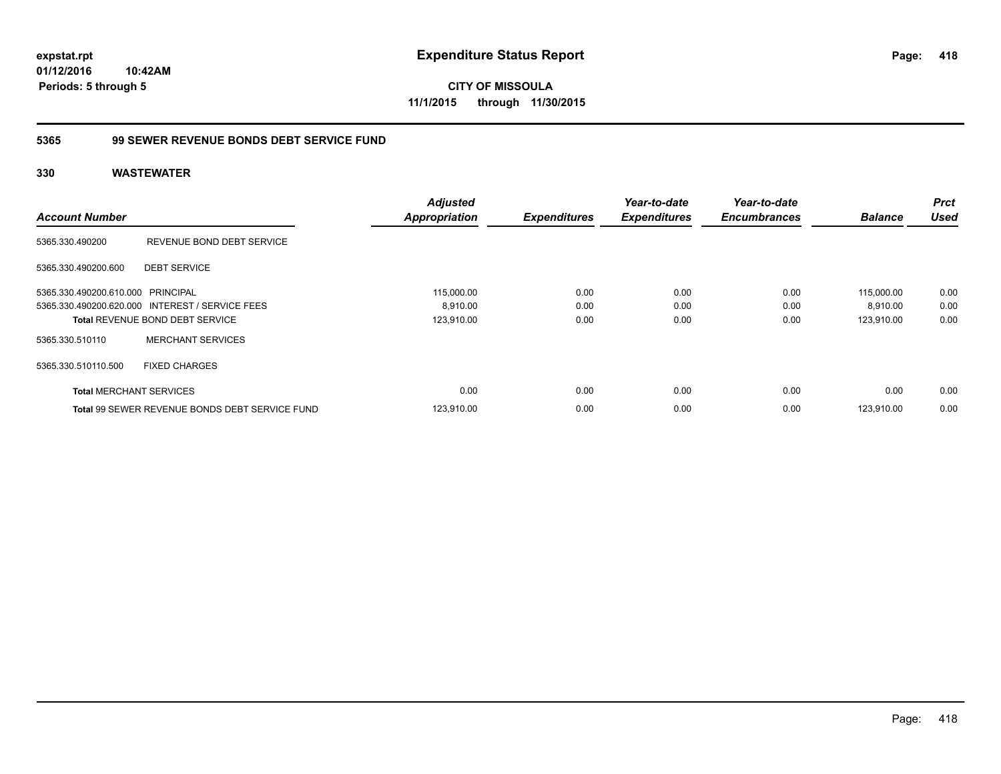**CITY OF MISSOULA 11/1/2015 through 11/30/2015**

### **5365 99 SEWER REVENUE BONDS DEBT SERVICE FUND**

| <b>Account Number</b>             |                                                       | <b>Adjusted</b><br><b>Appropriation</b> | <b>Expenditures</b> | Year-to-date<br><b>Expenditures</b> | Year-to-date<br><b>Encumbrances</b> | <b>Balance</b> | Prct<br><b>Used</b> |
|-----------------------------------|-------------------------------------------------------|-----------------------------------------|---------------------|-------------------------------------|-------------------------------------|----------------|---------------------|
| 5365.330.490200                   | REVENUE BOND DEBT SERVICE                             |                                         |                     |                                     |                                     |                |                     |
| 5365.330.490200.600               | <b>DEBT SERVICE</b>                                   |                                         |                     |                                     |                                     |                |                     |
| 5365.330.490200.610.000 PRINCIPAL |                                                       | 115,000.00                              | 0.00                | 0.00                                | 0.00                                | 115,000.00     | 0.00                |
|                                   | 5365.330.490200.620.000 INTEREST / SERVICE FEES       | 8.910.00                                | 0.00                | 0.00                                | 0.00                                | 8,910.00       | 0.00                |
|                                   | <b>Total REVENUE BOND DEBT SERVICE</b>                | 123,910.00                              | 0.00                | 0.00                                | 0.00                                | 123.910.00     | 0.00                |
| 5365.330.510110                   | <b>MERCHANT SERVICES</b>                              |                                         |                     |                                     |                                     |                |                     |
| 5365.330.510110.500               | <b>FIXED CHARGES</b>                                  |                                         |                     |                                     |                                     |                |                     |
| <b>Total MERCHANT SERVICES</b>    |                                                       | 0.00                                    | 0.00                | 0.00                                | 0.00                                | 0.00           | 0.00                |
|                                   | <b>Total 99 SEWER REVENUE BONDS DEBT SERVICE FUND</b> | 123.910.00                              | 0.00                | 0.00                                | 0.00                                | 123.910.00     | 0.00                |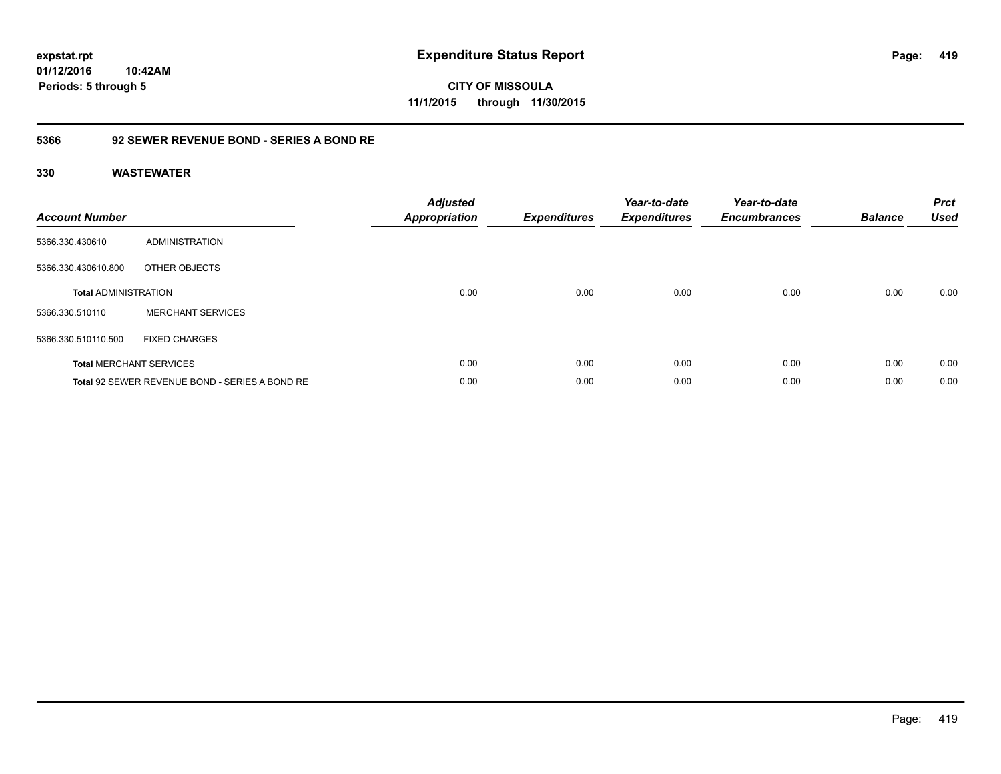**CITY OF MISSOULA 11/1/2015 through 11/30/2015**

### **5366 92 SEWER REVENUE BOND - SERIES A BOND RE**

| <b>Account Number</b>       |                                                | <b>Adjusted</b><br><b>Appropriation</b> | <b>Expenditures</b> | Year-to-date<br><b>Expenditures</b> | Year-to-date<br><b>Encumbrances</b> | <b>Balance</b> | <b>Prct</b><br><b>Used</b> |
|-----------------------------|------------------------------------------------|-----------------------------------------|---------------------|-------------------------------------|-------------------------------------|----------------|----------------------------|
| 5366.330.430610             | <b>ADMINISTRATION</b>                          |                                         |                     |                                     |                                     |                |                            |
| 5366.330.430610.800         | OTHER OBJECTS                                  |                                         |                     |                                     |                                     |                |                            |
| <b>Total ADMINISTRATION</b> |                                                | 0.00                                    | 0.00                | 0.00                                | 0.00                                | 0.00           | 0.00                       |
| 5366.330.510110             | <b>MERCHANT SERVICES</b>                       |                                         |                     |                                     |                                     |                |                            |
| 5366.330.510110.500         | <b>FIXED CHARGES</b>                           |                                         |                     |                                     |                                     |                |                            |
|                             | <b>Total MERCHANT SERVICES</b>                 | 0.00                                    | 0.00                | 0.00                                | 0.00                                | 0.00           | 0.00                       |
|                             | Total 92 SEWER REVENUE BOND - SERIES A BOND RE | 0.00                                    | 0.00                | 0.00                                | 0.00                                | 0.00           | 0.00                       |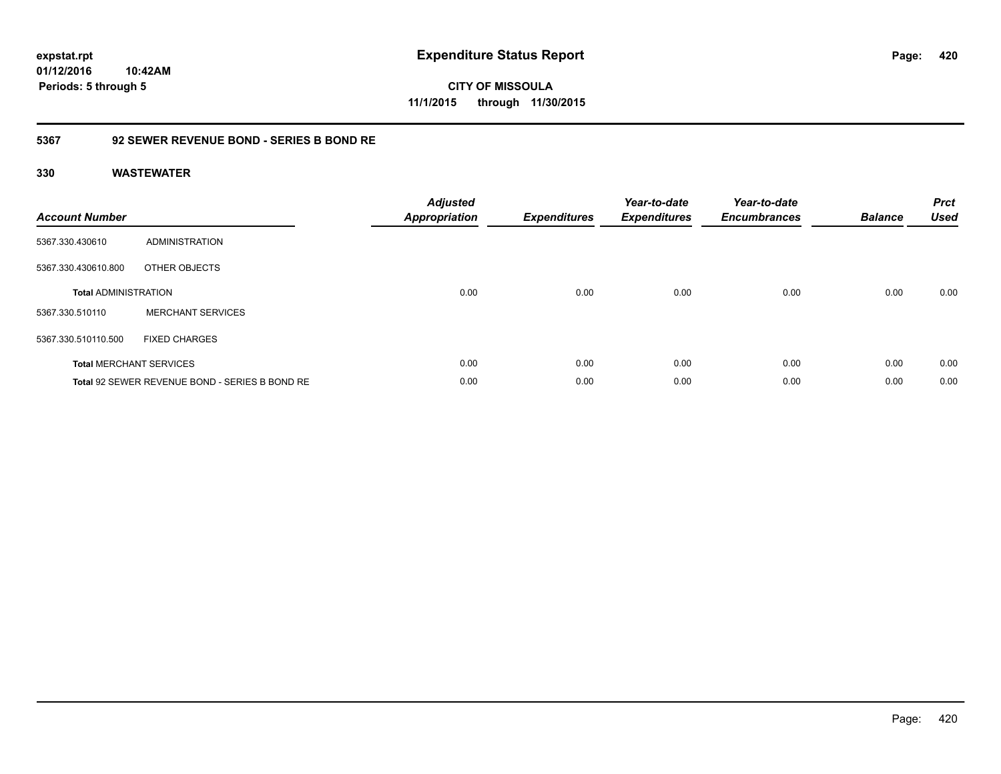**CITY OF MISSOULA 11/1/2015 through 11/30/2015**

### **5367 92 SEWER REVENUE BOND - SERIES B BOND RE**

| <b>Account Number</b>       |                                                | <b>Adjusted</b><br>Appropriation | <b>Expenditures</b> | Year-to-date<br><b>Expenditures</b> | Year-to-date<br><b>Encumbrances</b> | <b>Balance</b> | <b>Prct</b><br><b>Used</b> |
|-----------------------------|------------------------------------------------|----------------------------------|---------------------|-------------------------------------|-------------------------------------|----------------|----------------------------|
| 5367.330.430610             | <b>ADMINISTRATION</b>                          |                                  |                     |                                     |                                     |                |                            |
| 5367.330.430610.800         | OTHER OBJECTS                                  |                                  |                     |                                     |                                     |                |                            |
| <b>Total ADMINISTRATION</b> |                                                | 0.00                             | 0.00                | 0.00                                | 0.00                                | 0.00           | 0.00                       |
| 5367.330.510110             | <b>MERCHANT SERVICES</b>                       |                                  |                     |                                     |                                     |                |                            |
| 5367.330.510110.500         | <b>FIXED CHARGES</b>                           |                                  |                     |                                     |                                     |                |                            |
|                             | <b>Total MERCHANT SERVICES</b>                 | 0.00                             | 0.00                | 0.00                                | 0.00                                | 0.00           | 0.00                       |
|                             | Total 92 SEWER REVENUE BOND - SERIES B BOND RE | 0.00                             | 0.00                | 0.00                                | 0.00                                | 0.00           | 0.00                       |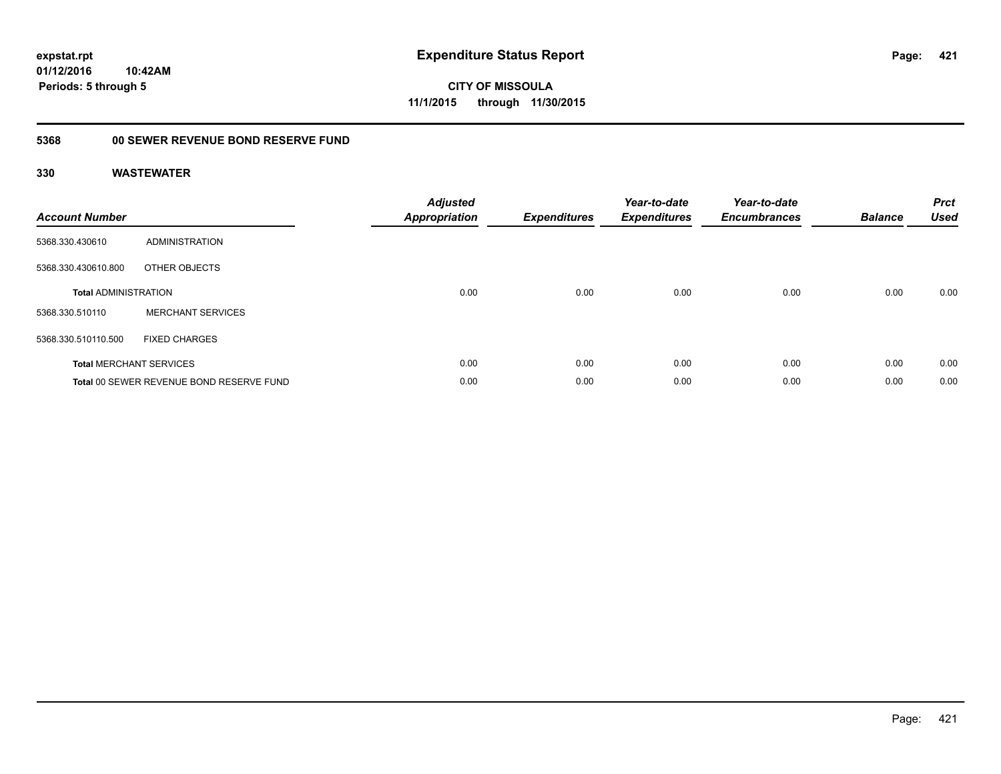# **01/12/2016**

**Periods: 5 through 5**

**10:42AM**

**421**

**CITY OF MISSOULA 11/1/2015 through 11/30/2015**

# **5368 00 SEWER REVENUE BOND RESERVE FUND**

| <b>Account Number</b>       |                                          | <b>Adjusted</b><br>Appropriation | <b>Expenditures</b> | Year-to-date<br><b>Expenditures</b> | Year-to-date<br><b>Encumbrances</b> | <b>Balance</b> | <b>Prct</b><br><b>Used</b> |
|-----------------------------|------------------------------------------|----------------------------------|---------------------|-------------------------------------|-------------------------------------|----------------|----------------------------|
| 5368.330.430610             | <b>ADMINISTRATION</b>                    |                                  |                     |                                     |                                     |                |                            |
| 5368.330.430610.800         | OTHER OBJECTS                            |                                  |                     |                                     |                                     |                |                            |
| <b>Total ADMINISTRATION</b> |                                          | 0.00                             | 0.00                | 0.00                                | 0.00                                | 0.00           | 0.00                       |
| 5368.330.510110             | <b>MERCHANT SERVICES</b>                 |                                  |                     |                                     |                                     |                |                            |
| 5368.330.510110.500         | <b>FIXED CHARGES</b>                     |                                  |                     |                                     |                                     |                |                            |
|                             | <b>Total MERCHANT SERVICES</b>           | 0.00                             | 0.00                | 0.00                                | 0.00                                | 0.00           | 0.00                       |
|                             | Total 00 SEWER REVENUE BOND RESERVE FUND | 0.00                             | 0.00                | 0.00                                | 0.00                                | 0.00           | 0.00                       |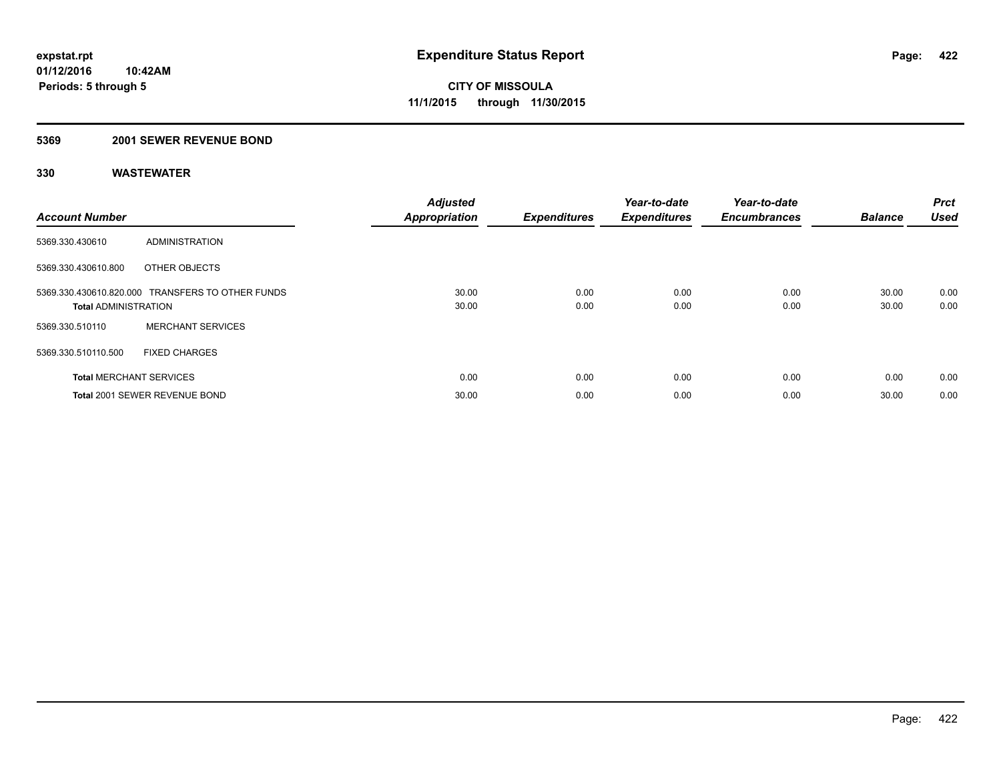### **5369 2001 SEWER REVENUE BOND**

| <b>Account Number</b>          |                                                  | <b>Adjusted</b><br><b>Appropriation</b> | <b>Expenditures</b> | Year-to-date<br><b>Expenditures</b> | Year-to-date<br><b>Encumbrances</b> | <b>Balance</b> | Prct<br><b>Used</b> |
|--------------------------------|--------------------------------------------------|-----------------------------------------|---------------------|-------------------------------------|-------------------------------------|----------------|---------------------|
| 5369.330.430610                | ADMINISTRATION                                   |                                         |                     |                                     |                                     |                |                     |
| 5369.330.430610.800            | OTHER OBJECTS                                    |                                         |                     |                                     |                                     |                |                     |
| <b>Total ADMINISTRATION</b>    | 5369.330.430610.820.000 TRANSFERS TO OTHER FUNDS | 30.00<br>30.00                          | 0.00<br>0.00        | 0.00<br>0.00                        | 0.00<br>0.00                        | 30.00<br>30.00 | 0.00<br>0.00        |
| 5369.330.510110                | <b>MERCHANT SERVICES</b>                         |                                         |                     |                                     |                                     |                |                     |
| 5369.330.510110.500            | <b>FIXED CHARGES</b>                             |                                         |                     |                                     |                                     |                |                     |
| <b>Total MERCHANT SERVICES</b> |                                                  | 0.00                                    | 0.00                | 0.00                                | 0.00                                | 0.00           | 0.00                |
|                                | Total 2001 SEWER REVENUE BOND                    | 30.00                                   | 0.00                | 0.00                                | 0.00                                | 30.00          | 0.00                |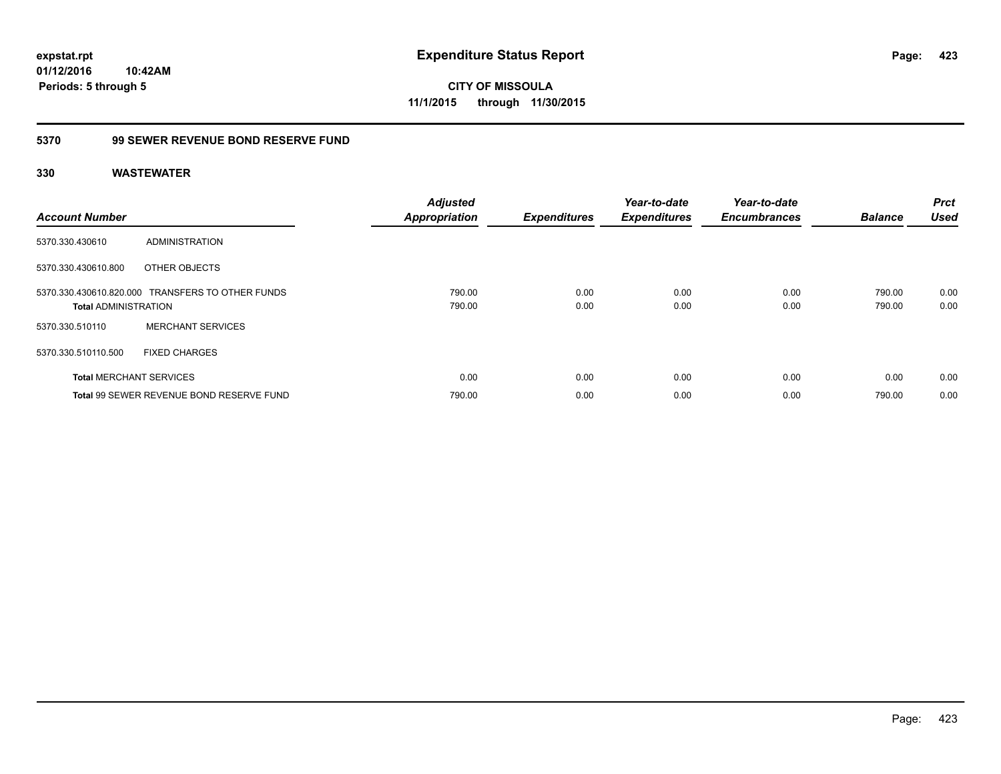**CITY OF MISSOULA 11/1/2015 through 11/30/2015**

# **5370 99 SEWER REVENUE BOND RESERVE FUND**

| <b>Account Number</b>          |                                                  | <b>Adjusted</b><br><b>Appropriation</b> | <b>Expenditures</b> | Year-to-date<br><b>Expenditures</b> | Year-to-date<br><b>Encumbrances</b> | <b>Balance</b>   | <b>Prct</b><br><b>Used</b> |
|--------------------------------|--------------------------------------------------|-----------------------------------------|---------------------|-------------------------------------|-------------------------------------|------------------|----------------------------|
| 5370.330.430610                | ADMINISTRATION                                   |                                         |                     |                                     |                                     |                  |                            |
| 5370.330.430610.800            | OTHER OBJECTS                                    |                                         |                     |                                     |                                     |                  |                            |
| <b>Total ADMINISTRATION</b>    | 5370.330.430610.820.000 TRANSFERS TO OTHER FUNDS | 790.00<br>790.00                        | 0.00<br>0.00        | 0.00<br>0.00                        | 0.00<br>0.00                        | 790.00<br>790.00 | 0.00<br>0.00               |
| 5370.330.510110                | <b>MERCHANT SERVICES</b>                         |                                         |                     |                                     |                                     |                  |                            |
| 5370.330.510110.500            | <b>FIXED CHARGES</b>                             |                                         |                     |                                     |                                     |                  |                            |
| <b>Total MERCHANT SERVICES</b> |                                                  | 0.00                                    | 0.00                | 0.00                                | 0.00                                | 0.00             | 0.00                       |
|                                | Total 99 SEWER REVENUE BOND RESERVE FUND         | 790.00                                  | 0.00                | 0.00                                | 0.00                                | 790.00           | 0.00                       |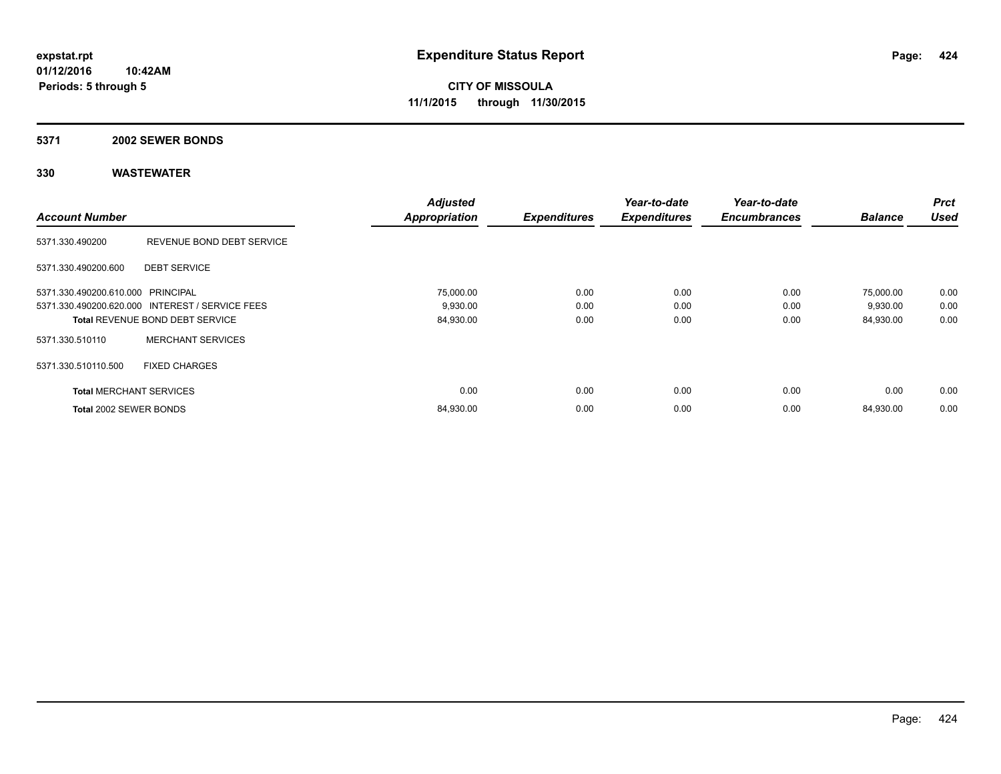#### **5371 2002 SEWER BONDS**

| <b>Account Number</b>             |                                                 | <b>Adjusted</b><br><b>Appropriation</b> | <b>Expenditures</b> | Year-to-date<br><b>Expenditures</b> | Year-to-date<br><b>Encumbrances</b> | <b>Balance</b> | <b>Prct</b><br><b>Used</b> |
|-----------------------------------|-------------------------------------------------|-----------------------------------------|---------------------|-------------------------------------|-------------------------------------|----------------|----------------------------|
|                                   |                                                 |                                         |                     |                                     |                                     |                |                            |
| 5371.330.490200                   | REVENUE BOND DEBT SERVICE                       |                                         |                     |                                     |                                     |                |                            |
| 5371.330.490200.600               | <b>DEBT SERVICE</b>                             |                                         |                     |                                     |                                     |                |                            |
| 5371.330.490200.610.000 PRINCIPAL |                                                 | 75,000.00                               | 0.00                | 0.00                                | 0.00                                | 75,000.00      | 0.00                       |
|                                   | 5371.330.490200.620.000 INTEREST / SERVICE FEES | 9,930.00                                | 0.00                | 0.00                                | 0.00                                | 9,930.00       | 0.00                       |
|                                   | <b>Total REVENUE BOND DEBT SERVICE</b>          | 84,930.00                               | 0.00                | 0.00                                | 0.00                                | 84,930.00      | 0.00                       |
| 5371.330.510110                   | <b>MERCHANT SERVICES</b>                        |                                         |                     |                                     |                                     |                |                            |
| 5371.330.510110.500               | <b>FIXED CHARGES</b>                            |                                         |                     |                                     |                                     |                |                            |
| <b>Total MERCHANT SERVICES</b>    |                                                 | 0.00                                    | 0.00                | 0.00                                | 0.00                                | 0.00           | 0.00                       |
| Total 2002 SEWER BONDS            |                                                 | 84,930.00                               | 0.00                | 0.00                                | 0.00                                | 84,930.00      | 0.00                       |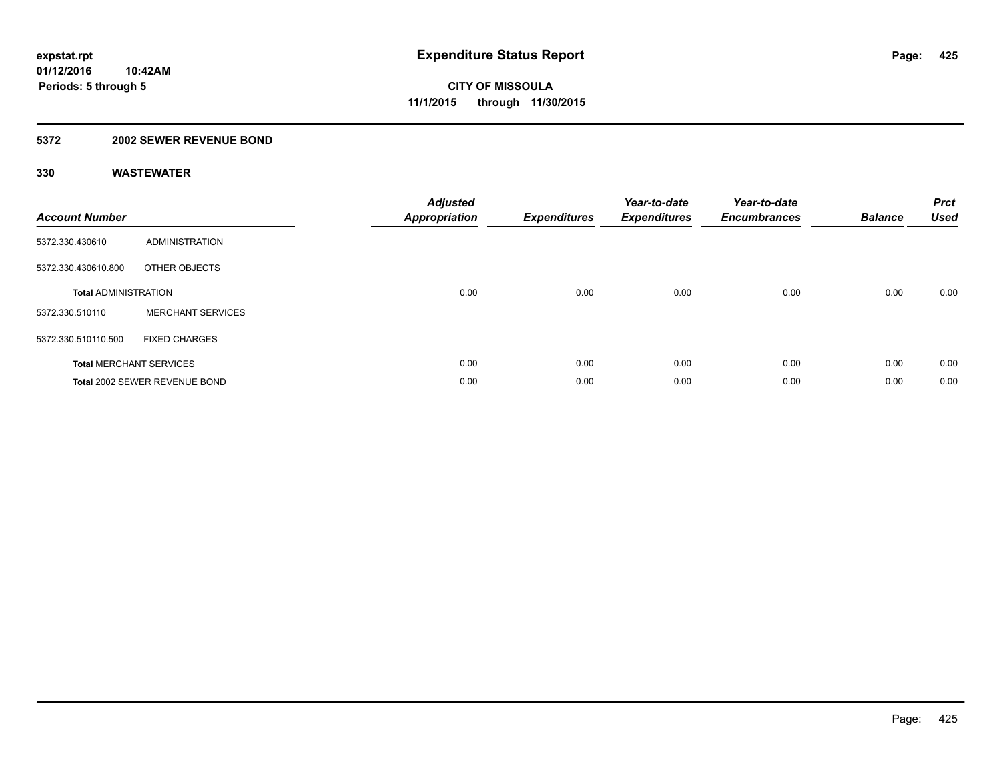### **5372 2002 SEWER REVENUE BOND**

| <b>Account Number</b>       |                                | <b>Adjusted</b><br>Appropriation | <b>Expenditures</b> | Year-to-date<br><b>Expenditures</b> | Year-to-date<br><b>Encumbrances</b> | <b>Balance</b> | <b>Prct</b><br><b>Used</b> |
|-----------------------------|--------------------------------|----------------------------------|---------------------|-------------------------------------|-------------------------------------|----------------|----------------------------|
| 5372.330.430610             | <b>ADMINISTRATION</b>          |                                  |                     |                                     |                                     |                |                            |
| 5372.330.430610.800         | OTHER OBJECTS                  |                                  |                     |                                     |                                     |                |                            |
| <b>Total ADMINISTRATION</b> |                                | 0.00                             | 0.00                | 0.00                                | 0.00                                | 0.00           | 0.00                       |
| 5372.330.510110             | <b>MERCHANT SERVICES</b>       |                                  |                     |                                     |                                     |                |                            |
| 5372.330.510110.500         | <b>FIXED CHARGES</b>           |                                  |                     |                                     |                                     |                |                            |
|                             | <b>Total MERCHANT SERVICES</b> | 0.00                             | 0.00                | 0.00                                | 0.00                                | 0.00           | 0.00                       |
|                             | Total 2002 SEWER REVENUE BOND  | 0.00                             | 0.00                | 0.00                                | 0.00                                | 0.00           | 0.00                       |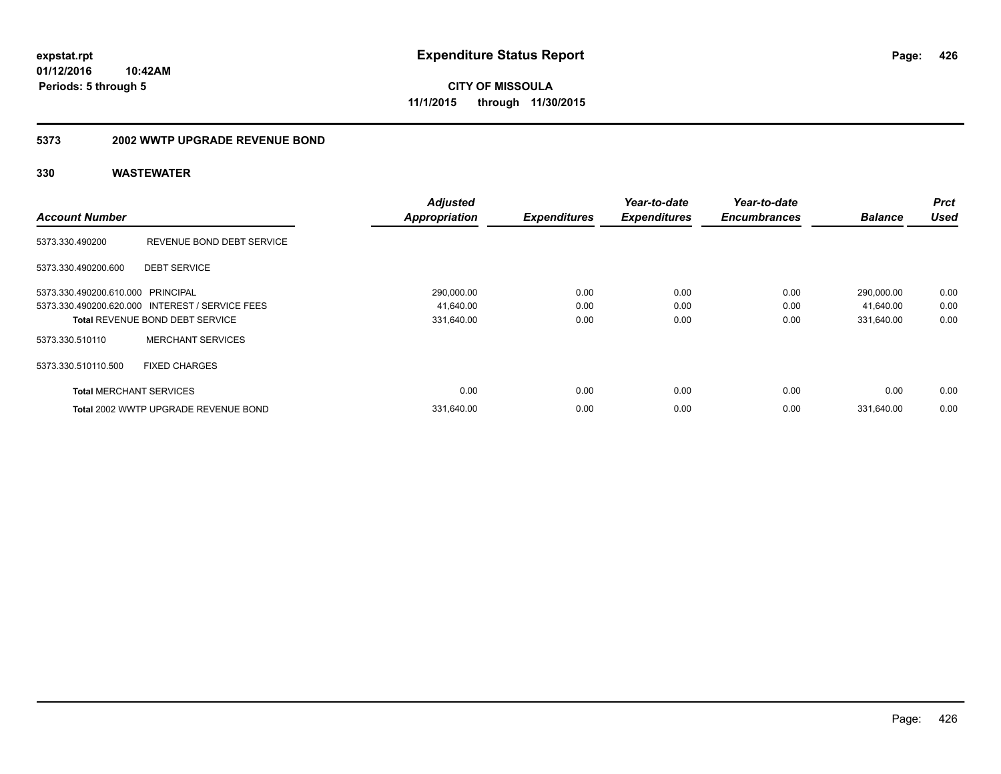**CITY OF MISSOULA 11/1/2015 through 11/30/2015**

#### **5373 2002 WWTP UPGRADE REVENUE BOND**

| <b>Account Number</b>             |                                                 | <b>Adjusted</b><br><b>Appropriation</b> | <b>Expenditures</b> | Year-to-date<br><b>Expenditures</b> | Year-to-date<br><b>Encumbrances</b> | <b>Balance</b> | <b>Prct</b><br><b>Used</b> |
|-----------------------------------|-------------------------------------------------|-----------------------------------------|---------------------|-------------------------------------|-------------------------------------|----------------|----------------------------|
| 5373.330.490200                   | REVENUE BOND DEBT SERVICE                       |                                         |                     |                                     |                                     |                |                            |
| 5373.330.490200.600               | <b>DEBT SERVICE</b>                             |                                         |                     |                                     |                                     |                |                            |
| 5373.330.490200.610.000 PRINCIPAL |                                                 | 290,000.00                              | 0.00                | 0.00                                | 0.00                                | 290,000.00     | 0.00                       |
|                                   | 5373.330.490200.620.000 INTEREST / SERVICE FEES | 41,640.00                               | 0.00                | 0.00                                | 0.00                                | 41,640.00      | 0.00                       |
|                                   | Total REVENUE BOND DEBT SERVICE                 | 331,640.00                              | 0.00                | 0.00                                | 0.00                                | 331,640.00     | 0.00                       |
| 5373.330.510110                   | <b>MERCHANT SERVICES</b>                        |                                         |                     |                                     |                                     |                |                            |
| 5373.330.510110.500               | <b>FIXED CHARGES</b>                            |                                         |                     |                                     |                                     |                |                            |
| <b>Total MERCHANT SERVICES</b>    |                                                 | 0.00                                    | 0.00                | 0.00                                | 0.00                                | 0.00           | 0.00                       |
|                                   | Total 2002 WWTP UPGRADE REVENUE BOND            | 331,640.00                              | 0.00                | 0.00                                | 0.00                                | 331.640.00     | 0.00                       |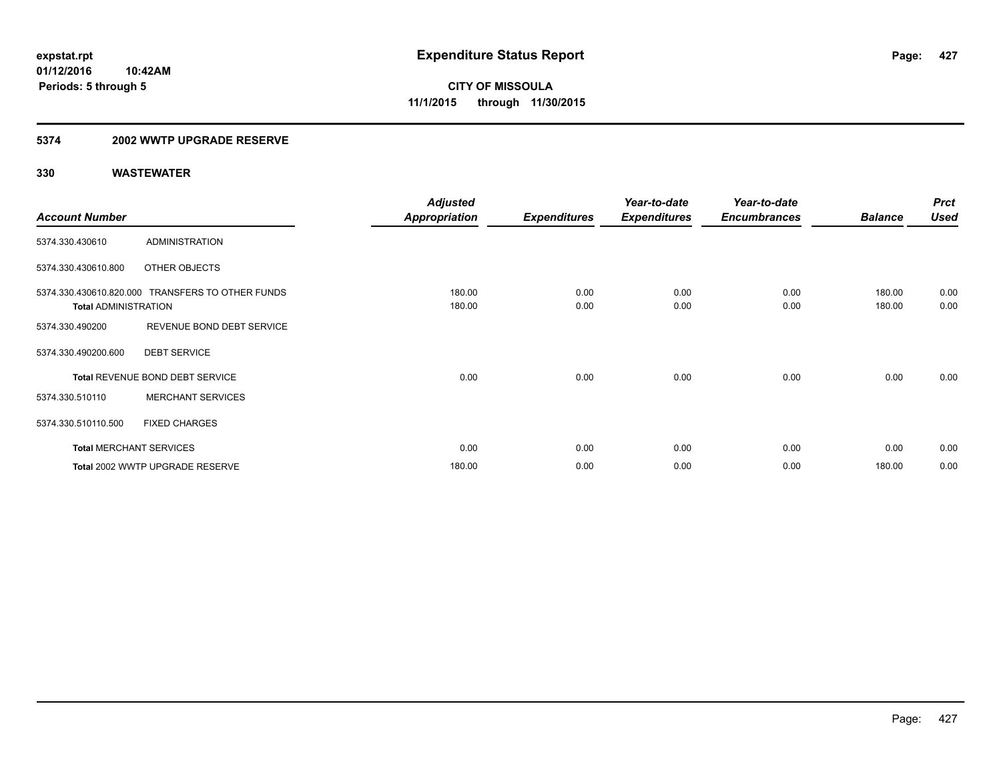### **5374 2002 WWTP UPGRADE RESERVE**

|                             |                                                  | <b>Adjusted</b> |                     | Year-to-date        | Year-to-date        |                | <b>Prct</b> |
|-----------------------------|--------------------------------------------------|-----------------|---------------------|---------------------|---------------------|----------------|-------------|
| <b>Account Number</b>       |                                                  | Appropriation   | <b>Expenditures</b> | <b>Expenditures</b> | <b>Encumbrances</b> | <b>Balance</b> | <b>Used</b> |
| 5374.330.430610             | <b>ADMINISTRATION</b>                            |                 |                     |                     |                     |                |             |
| 5374.330.430610.800         | OTHER OBJECTS                                    |                 |                     |                     |                     |                |             |
|                             | 5374.330.430610.820.000 TRANSFERS TO OTHER FUNDS | 180.00          | 0.00                | 0.00                | 0.00                | 180.00         | 0.00        |
| <b>Total ADMINISTRATION</b> |                                                  | 180.00          | 0.00                | 0.00                | 0.00                | 180.00         | 0.00        |
| 5374.330.490200             | REVENUE BOND DEBT SERVICE                        |                 |                     |                     |                     |                |             |
| 5374.330.490200.600         | <b>DEBT SERVICE</b>                              |                 |                     |                     |                     |                |             |
|                             | Total REVENUE BOND DEBT SERVICE                  | 0.00            | 0.00                | 0.00                | 0.00                | 0.00           | 0.00        |
| 5374.330.510110             | <b>MERCHANT SERVICES</b>                         |                 |                     |                     |                     |                |             |
| 5374.330.510110.500         | <b>FIXED CHARGES</b>                             |                 |                     |                     |                     |                |             |
|                             | <b>Total MERCHANT SERVICES</b>                   | 0.00            | 0.00                | 0.00                | 0.00                | 0.00           | 0.00        |
|                             | Total 2002 WWTP UPGRADE RESERVE                  | 180.00          | 0.00                | 0.00                | 0.00                | 180.00         | 0.00        |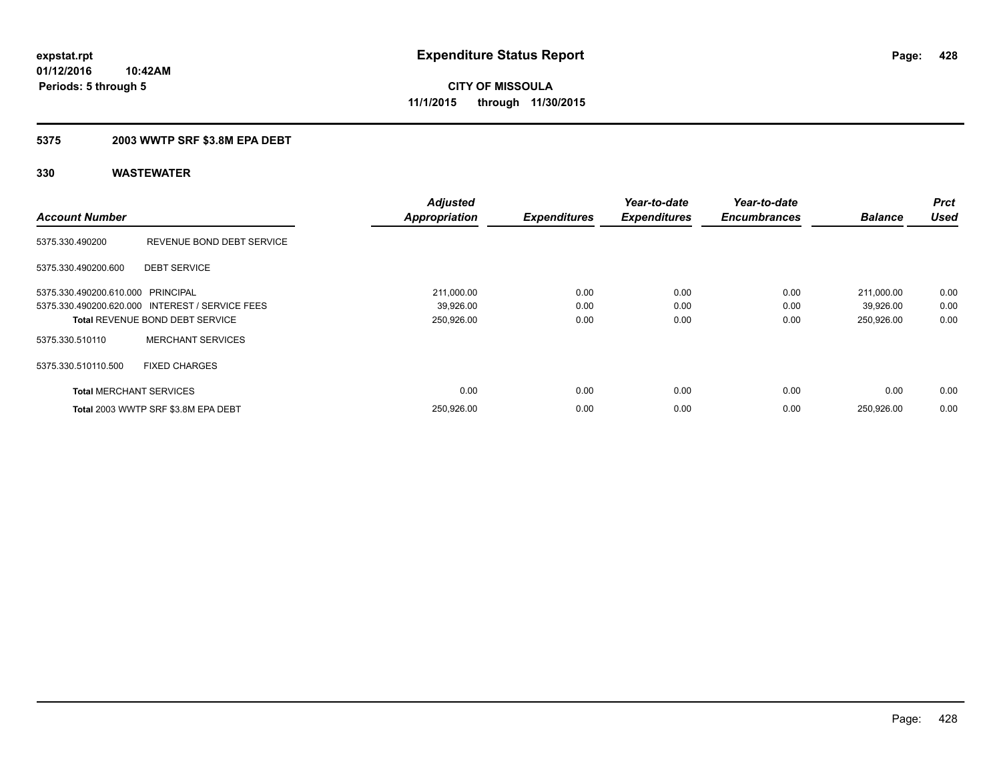### **5375 2003 WWTP SRF \$3.8M EPA DEBT**

| <b>Account Number</b>             |                                                                                           | <b>Adjusted</b><br><b>Appropriation</b> | <b>Expenditures</b>  | Year-to-date<br><b>Expenditures</b> | Year-to-date<br><b>Encumbrances</b> | <b>Balance</b>                        | <b>Prct</b><br><b>Used</b> |
|-----------------------------------|-------------------------------------------------------------------------------------------|-----------------------------------------|----------------------|-------------------------------------|-------------------------------------|---------------------------------------|----------------------------|
| 5375.330.490200                   | REVENUE BOND DEBT SERVICE                                                                 |                                         |                      |                                     |                                     |                                       |                            |
| 5375.330.490200.600               | <b>DEBT SERVICE</b>                                                                       |                                         |                      |                                     |                                     |                                       |                            |
| 5375.330.490200.610.000 PRINCIPAL | 5375.330.490200.620.000 INTEREST / SERVICE FEES<br><b>Total REVENUE BOND DEBT SERVICE</b> | 211,000.00<br>39,926.00<br>250,926.00   | 0.00<br>0.00<br>0.00 | 0.00<br>0.00<br>0.00                | 0.00<br>0.00<br>0.00                | 211,000.00<br>39,926.00<br>250,926.00 | 0.00<br>0.00<br>0.00       |
| 5375.330.510110                   | <b>MERCHANT SERVICES</b>                                                                  |                                         |                      |                                     |                                     |                                       |                            |
| 5375.330.510110.500               | <b>FIXED CHARGES</b>                                                                      |                                         |                      |                                     |                                     |                                       |                            |
| <b>Total MERCHANT SERVICES</b>    |                                                                                           | 0.00                                    | 0.00                 | 0.00                                | 0.00                                | 0.00                                  | 0.00                       |
|                                   | Total 2003 WWTP SRF \$3.8M EPA DEBT                                                       | 250,926.00                              | 0.00                 | 0.00                                | 0.00                                | 250,926.00                            | 0.00                       |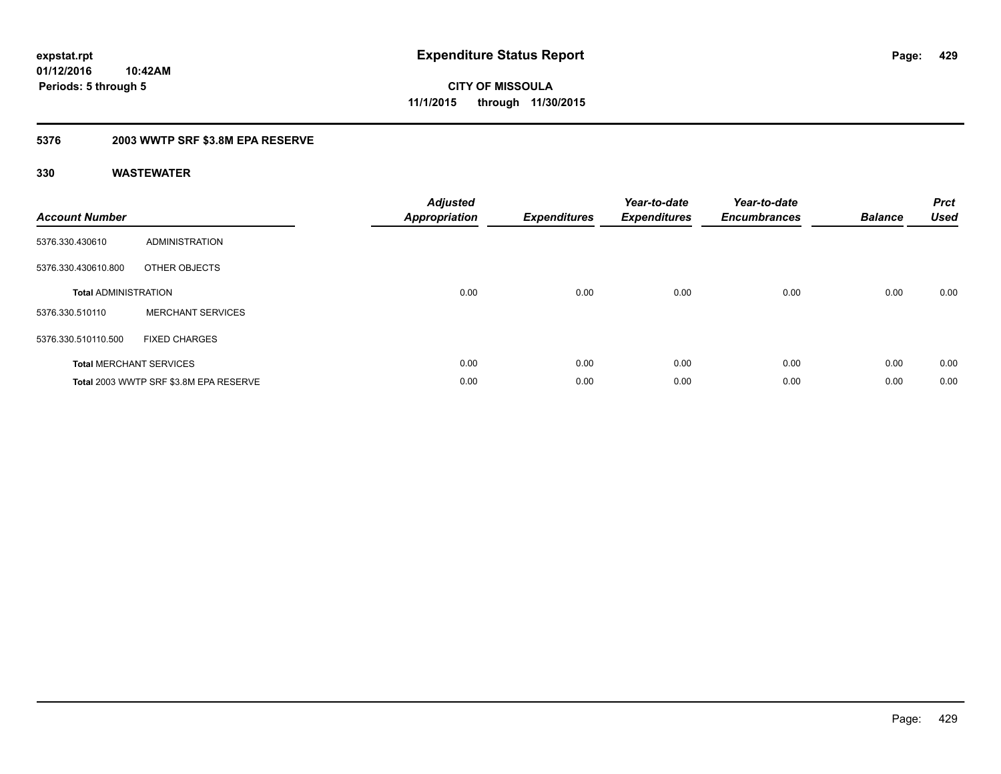### **5376 2003 WWTP SRF \$3.8M EPA RESERVE**

| <b>Account Number</b>       |                                        | <b>Adjusted</b><br>Appropriation | <b>Expenditures</b> | Year-to-date<br><b>Expenditures</b> | Year-to-date<br><b>Encumbrances</b> | <b>Balance</b> | <b>Prct</b><br><b>Used</b> |
|-----------------------------|----------------------------------------|----------------------------------|---------------------|-------------------------------------|-------------------------------------|----------------|----------------------------|
| 5376.330.430610             | ADMINISTRATION                         |                                  |                     |                                     |                                     |                |                            |
| 5376.330.430610.800         | OTHER OBJECTS                          |                                  |                     |                                     |                                     |                |                            |
| <b>Total ADMINISTRATION</b> |                                        | 0.00                             | 0.00                | 0.00                                | 0.00                                | 0.00           | 0.00                       |
| 5376.330.510110             | <b>MERCHANT SERVICES</b>               |                                  |                     |                                     |                                     |                |                            |
| 5376.330.510110.500         | <b>FIXED CHARGES</b>                   |                                  |                     |                                     |                                     |                |                            |
|                             | <b>Total MERCHANT SERVICES</b>         | 0.00                             | 0.00                | 0.00                                | 0.00                                | 0.00           | 0.00                       |
|                             | Total 2003 WWTP SRF \$3.8M EPA RESERVE | 0.00                             | 0.00                | 0.00                                | 0.00                                | 0.00           | 0.00                       |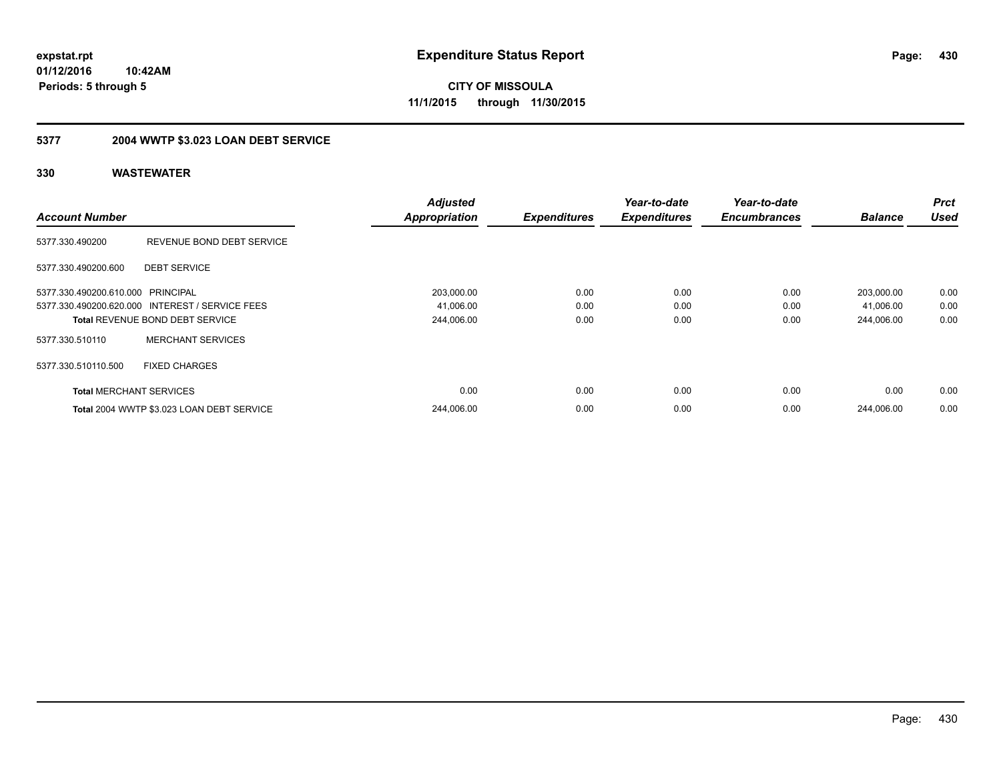**CITY OF MISSOULA 11/1/2015 through 11/30/2015**

# **5377 2004 WWTP \$3.023 LOAN DEBT SERVICE**

|                                   |                                                 | <b>Adjusted</b>      |                     | Year-to-date        | Year-to-date        |                | <b>Prct</b> |
|-----------------------------------|-------------------------------------------------|----------------------|---------------------|---------------------|---------------------|----------------|-------------|
| <b>Account Number</b>             |                                                 | <b>Appropriation</b> | <b>Expenditures</b> | <b>Expenditures</b> | <b>Encumbrances</b> | <b>Balance</b> | <b>Used</b> |
| 5377.330.490200                   | REVENUE BOND DEBT SERVICE                       |                      |                     |                     |                     |                |             |
| 5377.330.490200.600               | <b>DEBT SERVICE</b>                             |                      |                     |                     |                     |                |             |
| 5377.330.490200.610.000 PRINCIPAL |                                                 | 203,000.00           | 0.00                | 0.00                | 0.00                | 203,000.00     | 0.00        |
|                                   | 5377.330.490200.620.000 INTEREST / SERVICE FEES | 41,006.00            | 0.00                | 0.00                | 0.00                | 41,006.00      | 0.00        |
|                                   | <b>Total REVENUE BOND DEBT SERVICE</b>          | 244,006.00           | 0.00                | 0.00                | 0.00                | 244,006.00     | 0.00        |
| 5377.330.510110                   | <b>MERCHANT SERVICES</b>                        |                      |                     |                     |                     |                |             |
| 5377.330.510110.500               | <b>FIXED CHARGES</b>                            |                      |                     |                     |                     |                |             |
| <b>Total MERCHANT SERVICES</b>    |                                                 | 0.00                 | 0.00                | 0.00                | 0.00                | 0.00           | 0.00        |
|                                   | Total 2004 WWTP \$3.023 LOAN DEBT SERVICE       | 244,006.00           | 0.00                | 0.00                | 0.00                | 244.006.00     | 0.00        |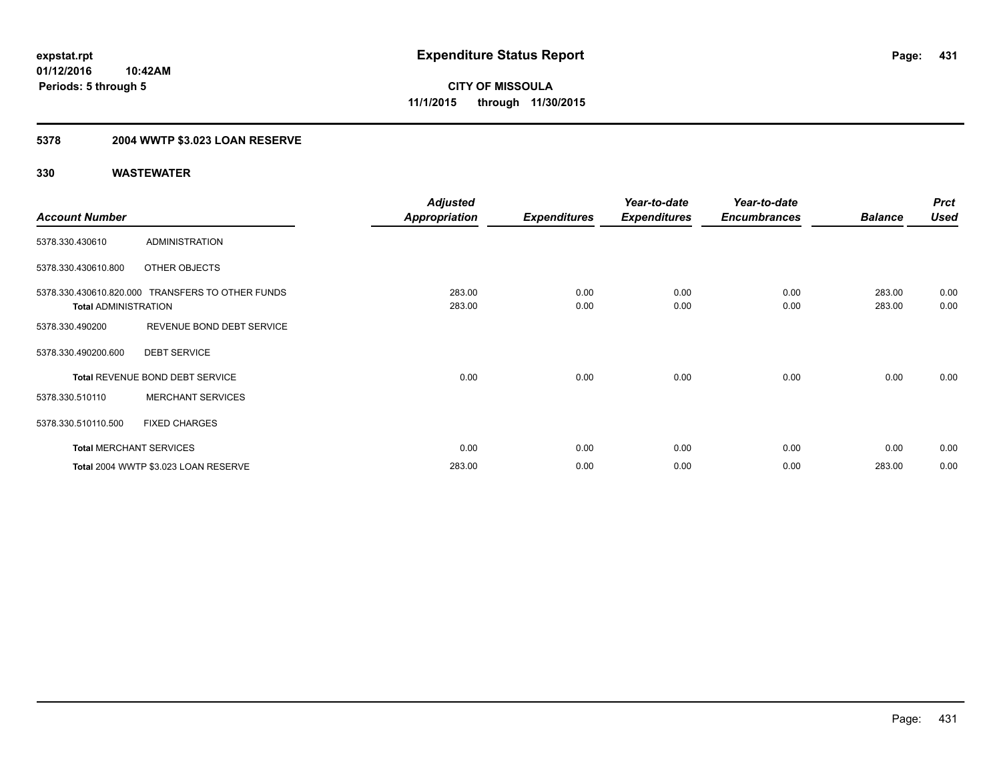### **5378 2004 WWTP \$3.023 LOAN RESERVE**

|                             |                                                  | <b>Adjusted</b>      |                     | Year-to-date        | Year-to-date        |                | <b>Prct</b> |
|-----------------------------|--------------------------------------------------|----------------------|---------------------|---------------------|---------------------|----------------|-------------|
| <b>Account Number</b>       |                                                  | <b>Appropriation</b> | <b>Expenditures</b> | <b>Expenditures</b> | <b>Encumbrances</b> | <b>Balance</b> | <b>Used</b> |
| 5378.330.430610             | <b>ADMINISTRATION</b>                            |                      |                     |                     |                     |                |             |
| 5378.330.430610.800         | OTHER OBJECTS                                    |                      |                     |                     |                     |                |             |
|                             | 5378.330.430610.820.000 TRANSFERS TO OTHER FUNDS | 283.00               | 0.00                | 0.00                | 0.00                | 283.00         | 0.00        |
| <b>Total ADMINISTRATION</b> |                                                  | 283.00               | 0.00                | 0.00                | 0.00                | 283.00         | 0.00        |
| 5378.330.490200             | REVENUE BOND DEBT SERVICE                        |                      |                     |                     |                     |                |             |
| 5378.330.490200.600         | <b>DEBT SERVICE</b>                              |                      |                     |                     |                     |                |             |
|                             | Total REVENUE BOND DEBT SERVICE                  | 0.00                 | 0.00                | 0.00                | 0.00                | 0.00           | 0.00        |
| 5378.330.510110             | <b>MERCHANT SERVICES</b>                         |                      |                     |                     |                     |                |             |
| 5378.330.510110.500         | <b>FIXED CHARGES</b>                             |                      |                     |                     |                     |                |             |
|                             | <b>Total MERCHANT SERVICES</b>                   | 0.00                 | 0.00                | 0.00                | 0.00                | 0.00           | 0.00        |
|                             | Total 2004 WWTP \$3.023 LOAN RESERVE             | 283.00               | 0.00                | 0.00                | 0.00                | 283.00         | 0.00        |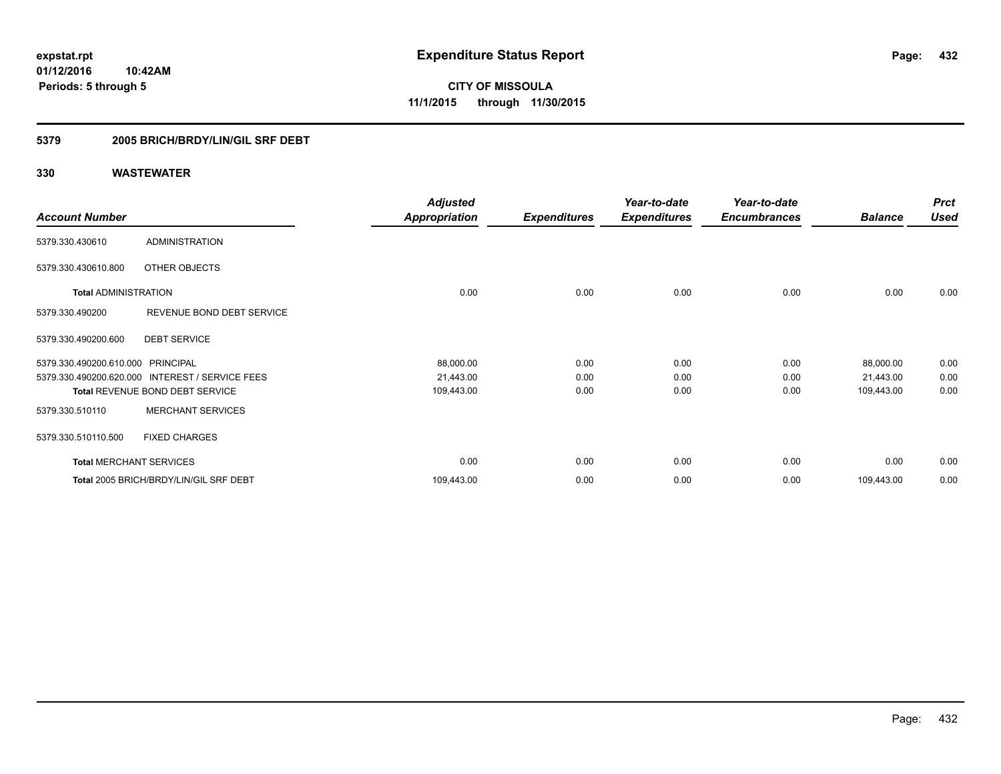**Periods: 5 through 5**

**CITY OF MISSOULA 11/1/2015 through 11/30/2015**

### **5379 2005 BRICH/BRDY/LIN/GIL SRF DEBT**

**10:42AM**

|                                   |                                                 | <b>Adjusted</b>      |                     | Year-to-date        | Year-to-date        |                | <b>Prct</b> |
|-----------------------------------|-------------------------------------------------|----------------------|---------------------|---------------------|---------------------|----------------|-------------|
| <b>Account Number</b>             |                                                 | <b>Appropriation</b> | <b>Expenditures</b> | <b>Expenditures</b> | <b>Encumbrances</b> | <b>Balance</b> | <b>Used</b> |
| 5379.330.430610                   | <b>ADMINISTRATION</b>                           |                      |                     |                     |                     |                |             |
| 5379.330.430610.800               | <b>OTHER OBJECTS</b>                            |                      |                     |                     |                     |                |             |
| <b>Total ADMINISTRATION</b>       |                                                 | 0.00                 | 0.00                | 0.00                | 0.00                | 0.00           | 0.00        |
| 5379.330.490200                   | REVENUE BOND DEBT SERVICE                       |                      |                     |                     |                     |                |             |
| 5379.330.490200.600               | <b>DEBT SERVICE</b>                             |                      |                     |                     |                     |                |             |
| 5379.330.490200.610.000 PRINCIPAL |                                                 | 88,000.00            | 0.00                | 0.00                | 0.00                | 88,000.00      | 0.00        |
|                                   | 5379.330.490200.620.000 INTEREST / SERVICE FEES | 21,443.00            | 0.00                | 0.00                | 0.00                | 21,443.00      | 0.00        |
|                                   | <b>Total REVENUE BOND DEBT SERVICE</b>          | 109,443.00           | 0.00                | 0.00                | 0.00                | 109,443.00     | 0.00        |
| 5379.330.510110                   | <b>MERCHANT SERVICES</b>                        |                      |                     |                     |                     |                |             |
| 5379.330.510110.500               | <b>FIXED CHARGES</b>                            |                      |                     |                     |                     |                |             |
| <b>Total MERCHANT SERVICES</b>    |                                                 | 0.00                 | 0.00                | 0.00                | 0.00                | 0.00           | 0.00        |
|                                   | Total 2005 BRICH/BRDY/LIN/GIL SRF DEBT          | 109,443.00           | 0.00                | 0.00                | 0.00                | 109,443.00     | 0.00        |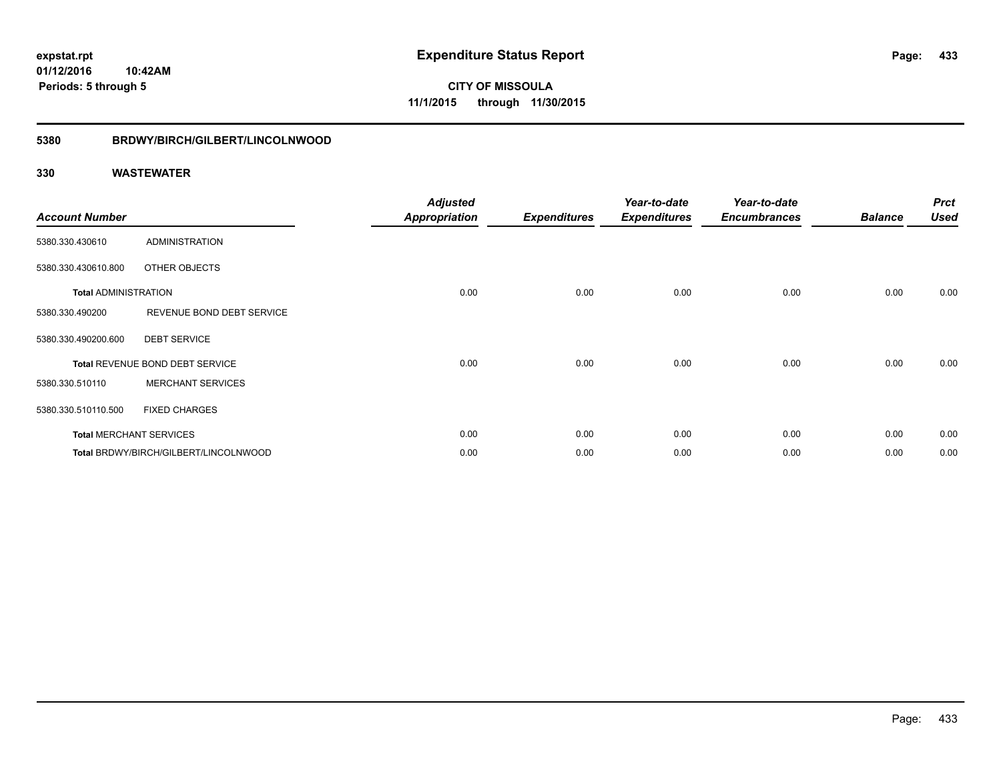## **5380 BRDWY/BIRCH/GILBERT/LINCOLNWOOD**

| <b>Account Number</b>       |                                       | <b>Adjusted</b><br><b>Appropriation</b> | <b>Expenditures</b> | Year-to-date<br><b>Expenditures</b> | Year-to-date<br><b>Encumbrances</b> | <b>Balance</b> | <b>Prct</b><br><b>Used</b> |
|-----------------------------|---------------------------------------|-----------------------------------------|---------------------|-------------------------------------|-------------------------------------|----------------|----------------------------|
| 5380.330.430610             | <b>ADMINISTRATION</b>                 |                                         |                     |                                     |                                     |                |                            |
| 5380.330.430610.800         | OTHER OBJECTS                         |                                         |                     |                                     |                                     |                |                            |
| <b>Total ADMINISTRATION</b> |                                       | 0.00                                    | 0.00                | 0.00                                | 0.00                                | 0.00           | 0.00                       |
| 5380.330.490200             | REVENUE BOND DEBT SERVICE             |                                         |                     |                                     |                                     |                |                            |
| 5380.330.490200.600         | <b>DEBT SERVICE</b>                   |                                         |                     |                                     |                                     |                |                            |
|                             | Total REVENUE BOND DEBT SERVICE       | 0.00                                    | 0.00                | 0.00                                | 0.00                                | 0.00           | 0.00                       |
| 5380.330.510110             | <b>MERCHANT SERVICES</b>              |                                         |                     |                                     |                                     |                |                            |
| 5380.330.510110.500         | <b>FIXED CHARGES</b>                  |                                         |                     |                                     |                                     |                |                            |
|                             | <b>Total MERCHANT SERVICES</b>        | 0.00                                    | 0.00                | 0.00                                | 0.00                                | 0.00           | 0.00                       |
|                             | Total BRDWY/BIRCH/GILBERT/LINCOLNWOOD | 0.00                                    | 0.00                | 0.00                                | 0.00                                | 0.00           | 0.00                       |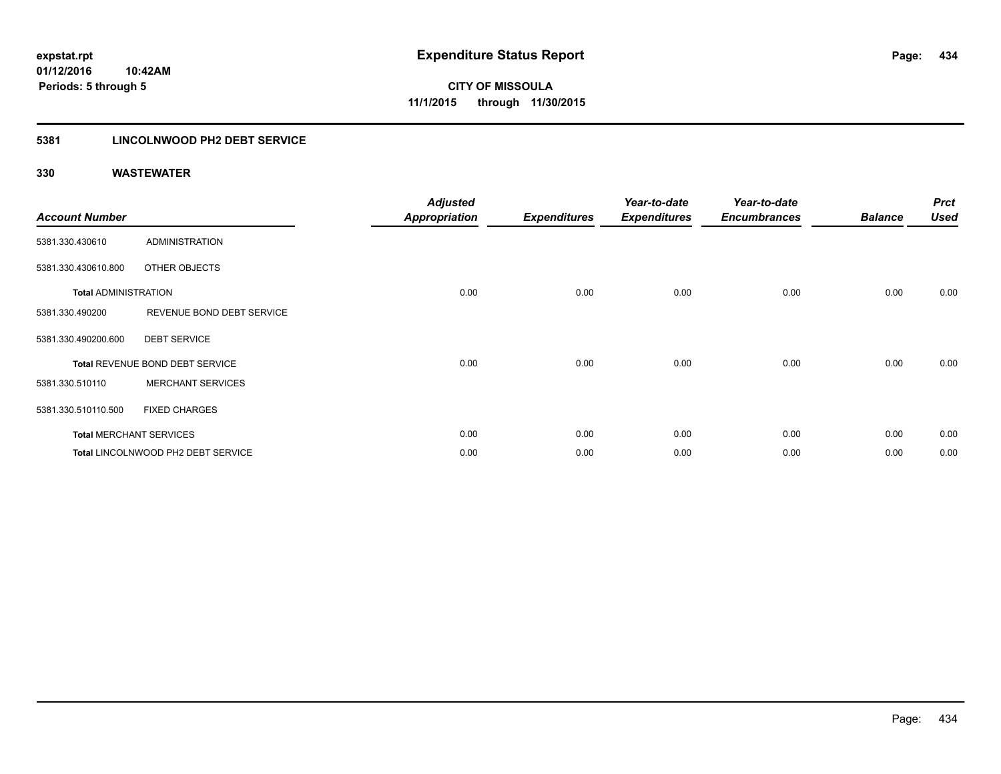## **5381 LINCOLNWOOD PH2 DEBT SERVICE**

| <b>Account Number</b>       |                                    | <b>Adjusted</b><br><b>Appropriation</b> | <b>Expenditures</b> | Year-to-date<br><b>Expenditures</b> | Year-to-date<br><b>Encumbrances</b> | <b>Balance</b> | <b>Prct</b><br><b>Used</b> |
|-----------------------------|------------------------------------|-----------------------------------------|---------------------|-------------------------------------|-------------------------------------|----------------|----------------------------|
| 5381.330.430610             | ADMINISTRATION                     |                                         |                     |                                     |                                     |                |                            |
| 5381.330.430610.800         | OTHER OBJECTS                      |                                         |                     |                                     |                                     |                |                            |
| <b>Total ADMINISTRATION</b> |                                    | 0.00                                    | 0.00                | 0.00                                | 0.00                                | 0.00           | 0.00                       |
| 5381.330.490200             | REVENUE BOND DEBT SERVICE          |                                         |                     |                                     |                                     |                |                            |
| 5381.330.490200.600         | <b>DEBT SERVICE</b>                |                                         |                     |                                     |                                     |                |                            |
|                             | Total REVENUE BOND DEBT SERVICE    | 0.00                                    | 0.00                | 0.00                                | 0.00                                | 0.00           | 0.00                       |
| 5381.330.510110             | <b>MERCHANT SERVICES</b>           |                                         |                     |                                     |                                     |                |                            |
| 5381.330.510110.500         | <b>FIXED CHARGES</b>               |                                         |                     |                                     |                                     |                |                            |
|                             | <b>Total MERCHANT SERVICES</b>     | 0.00                                    | 0.00                | 0.00                                | 0.00                                | 0.00           | 0.00                       |
|                             | Total LINCOLNWOOD PH2 DEBT SERVICE | 0.00                                    | 0.00                | 0.00                                | 0.00                                | 0.00           | 0.00                       |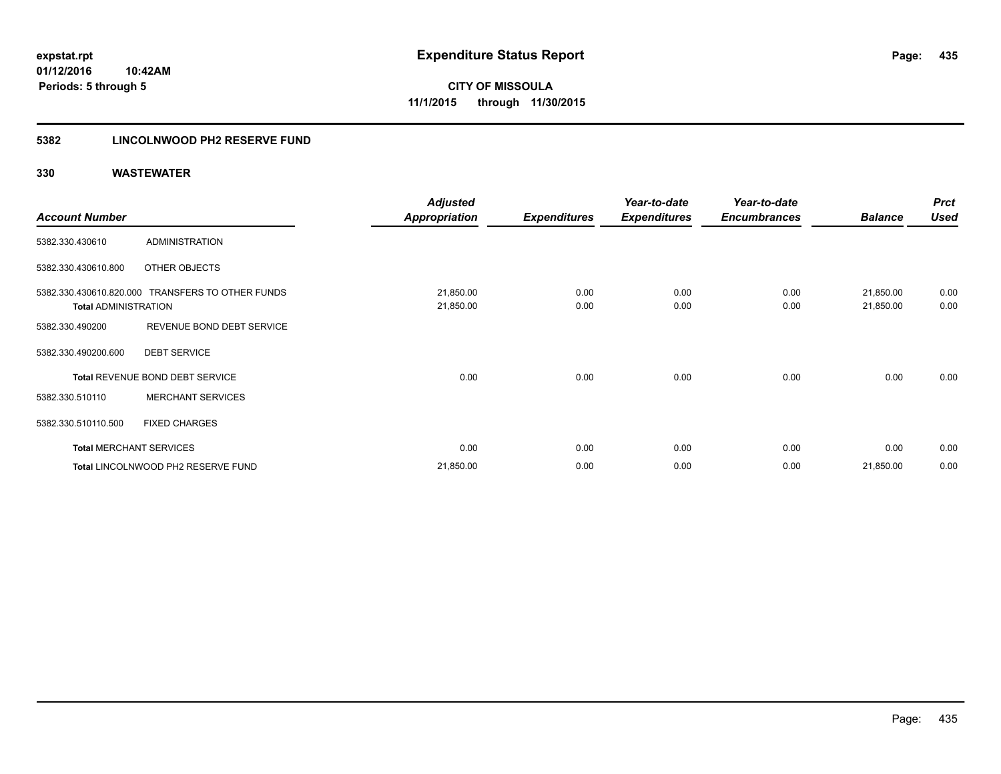## **5382 LINCOLNWOOD PH2 RESERVE FUND**

|                             |                                                  | <b>Adjusted</b>      |                     | Year-to-date        | Year-to-date        |                | <b>Prct</b> |
|-----------------------------|--------------------------------------------------|----------------------|---------------------|---------------------|---------------------|----------------|-------------|
| <b>Account Number</b>       |                                                  | <b>Appropriation</b> | <b>Expenditures</b> | <b>Expenditures</b> | <b>Encumbrances</b> | <b>Balance</b> | <b>Used</b> |
| 5382.330.430610             | <b>ADMINISTRATION</b>                            |                      |                     |                     |                     |                |             |
| 5382.330.430610.800         | OTHER OBJECTS                                    |                      |                     |                     |                     |                |             |
|                             | 5382.330.430610.820.000 TRANSFERS TO OTHER FUNDS | 21,850.00            | 0.00                | 0.00                | 0.00                | 21,850.00      | 0.00        |
| <b>Total ADMINISTRATION</b> |                                                  | 21,850.00            | 0.00                | 0.00                | 0.00                | 21,850.00      | 0.00        |
| 5382.330.490200             | REVENUE BOND DEBT SERVICE                        |                      |                     |                     |                     |                |             |
| 5382.330.490200.600         | <b>DEBT SERVICE</b>                              |                      |                     |                     |                     |                |             |
|                             | Total REVENUE BOND DEBT SERVICE                  | 0.00                 | 0.00                | 0.00                | 0.00                | 0.00           | 0.00        |
| 5382.330.510110             | <b>MERCHANT SERVICES</b>                         |                      |                     |                     |                     |                |             |
| 5382.330.510110.500         | <b>FIXED CHARGES</b>                             |                      |                     |                     |                     |                |             |
|                             | <b>Total MERCHANT SERVICES</b>                   | 0.00                 | 0.00                | 0.00                | 0.00                | 0.00           | 0.00        |
|                             | Total LINCOLNWOOD PH2 RESERVE FUND               | 21,850.00            | 0.00                | 0.00                | 0.00                | 21,850.00      | 0.00        |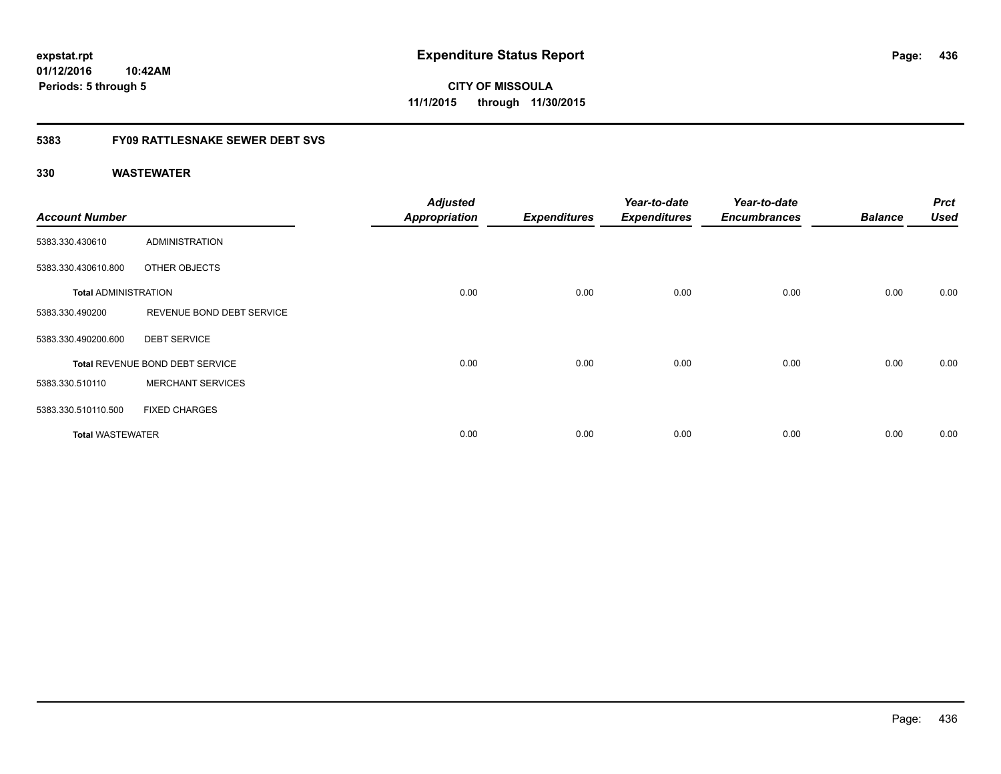**01/12/2016 10:42AM Periods: 5 through 5**

**CITY OF MISSOULA 11/1/2015 through 11/30/2015**

## **5383 FY09 RATTLESNAKE SEWER DEBT SVS**

| <b>Account Number</b>       |                                 | <b>Adjusted</b><br><b>Appropriation</b> | <b>Expenditures</b> | Year-to-date<br><b>Expenditures</b> | Year-to-date<br><b>Encumbrances</b> | <b>Balance</b> | <b>Prct</b><br><b>Used</b> |
|-----------------------------|---------------------------------|-----------------------------------------|---------------------|-------------------------------------|-------------------------------------|----------------|----------------------------|
| 5383.330.430610             | ADMINISTRATION                  |                                         |                     |                                     |                                     |                |                            |
| 5383.330.430610.800         | OTHER OBJECTS                   |                                         |                     |                                     |                                     |                |                            |
| <b>Total ADMINISTRATION</b> |                                 | 0.00                                    | 0.00                | 0.00                                | 0.00                                | 0.00           | 0.00                       |
| 5383.330.490200             | REVENUE BOND DEBT SERVICE       |                                         |                     |                                     |                                     |                |                            |
| 5383.330.490200.600         | <b>DEBT SERVICE</b>             |                                         |                     |                                     |                                     |                |                            |
|                             | Total REVENUE BOND DEBT SERVICE | 0.00                                    | 0.00                | 0.00                                | 0.00                                | 0.00           | 0.00                       |
| 5383.330.510110             | <b>MERCHANT SERVICES</b>        |                                         |                     |                                     |                                     |                |                            |
| 5383.330.510110.500         | <b>FIXED CHARGES</b>            |                                         |                     |                                     |                                     |                |                            |
| <b>Total WASTEWATER</b>     |                                 | 0.00                                    | 0.00                | 0.00                                | 0.00                                | 0.00           | 0.00                       |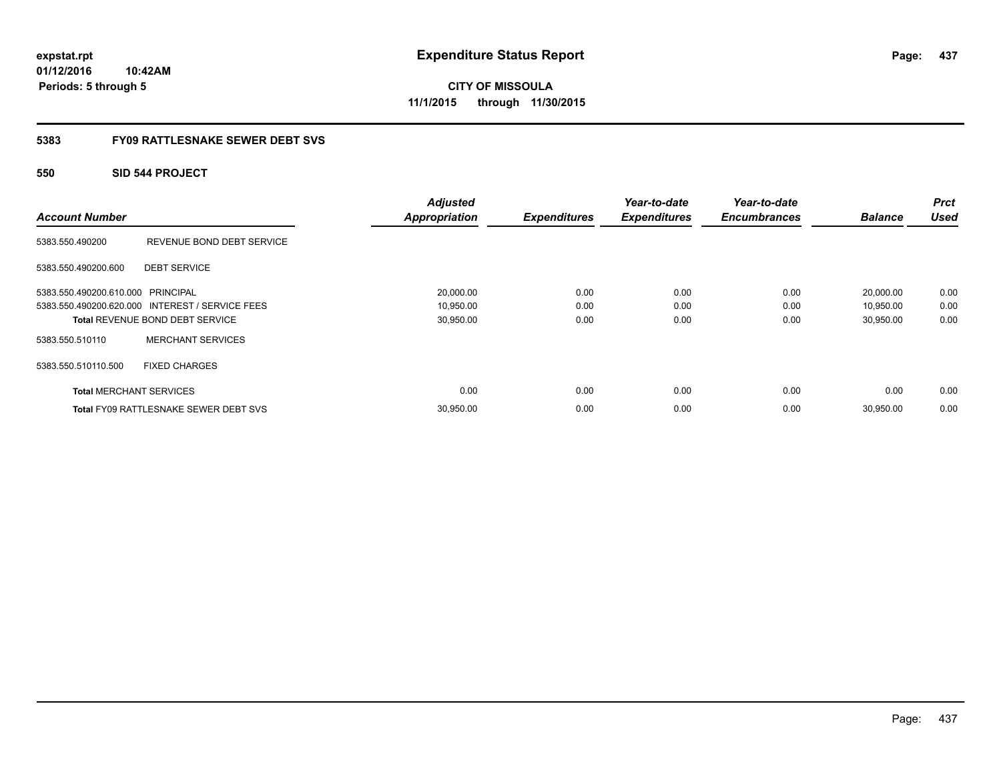**01/12/2016 10:42AM Periods: 5 through 5**

**CITY OF MISSOULA 11/1/2015 through 11/30/2015**

## **5383 FY09 RATTLESNAKE SEWER DEBT SVS**

## **550 SID 544 PROJECT**

|                                   |                                                 | <b>Adjusted</b>      |                     | Year-to-date        | Year-to-date        |                | <b>Prct</b> |
|-----------------------------------|-------------------------------------------------|----------------------|---------------------|---------------------|---------------------|----------------|-------------|
| <b>Account Number</b>             |                                                 | <b>Appropriation</b> | <b>Expenditures</b> | <b>Expenditures</b> | <b>Encumbrances</b> | <b>Balance</b> | <b>Used</b> |
| 5383.550.490200                   | REVENUE BOND DEBT SERVICE                       |                      |                     |                     |                     |                |             |
| 5383.550.490200.600               | <b>DEBT SERVICE</b>                             |                      |                     |                     |                     |                |             |
| 5383.550.490200.610.000 PRINCIPAL |                                                 | 20,000.00            | 0.00                | 0.00                | 0.00                | 20,000.00      | 0.00        |
|                                   | 5383.550.490200.620.000 INTEREST / SERVICE FEES | 10,950.00            | 0.00                | 0.00                | 0.00                | 10,950.00      | 0.00        |
|                                   | <b>Total REVENUE BOND DEBT SERVICE</b>          | 30,950.00            | 0.00                | 0.00                | 0.00                | 30,950.00      | 0.00        |
| 5383.550.510110                   | <b>MERCHANT SERVICES</b>                        |                      |                     |                     |                     |                |             |
| 5383.550.510110.500               | <b>FIXED CHARGES</b>                            |                      |                     |                     |                     |                |             |
| <b>Total MERCHANT SERVICES</b>    |                                                 | 0.00                 | 0.00                | 0.00                | 0.00                | 0.00           | 0.00        |
|                                   | <b>Total FY09 RATTLESNAKE SEWER DEBT SVS</b>    | 30,950.00            | 0.00                | 0.00                | 0.00                | 30,950.00      | 0.00        |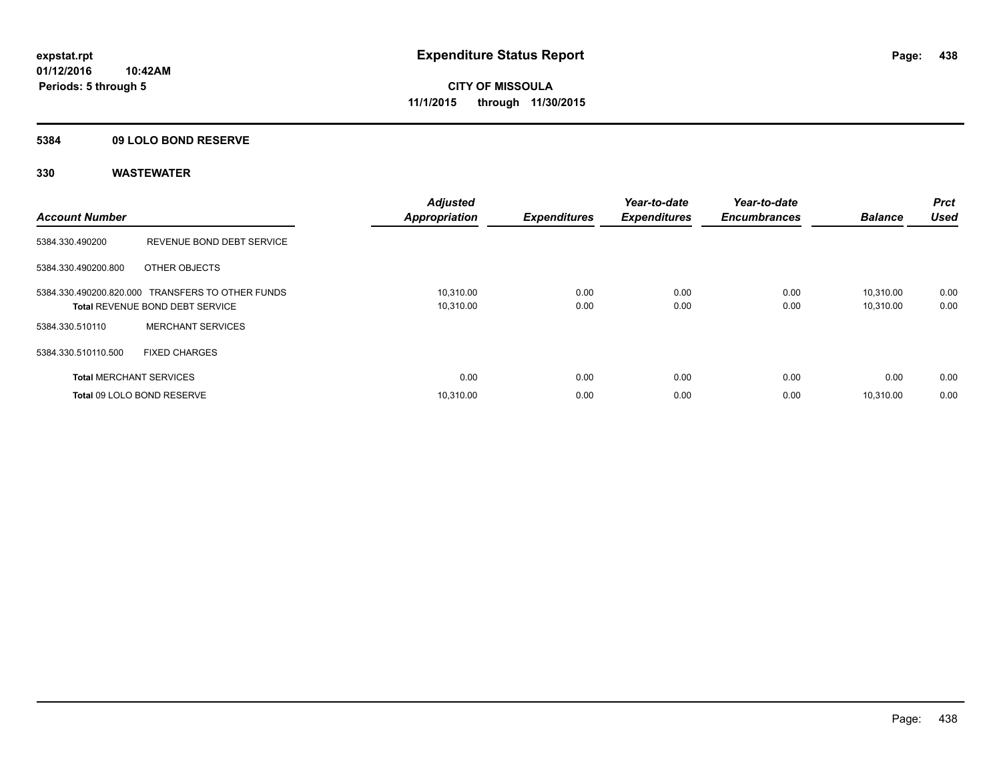## **5384 09 LOLO BOND RESERVE**

| <b>Account Number</b>          |                                                                                            | <b>Adjusted</b><br><b>Appropriation</b> | <b>Expenditures</b> | Year-to-date<br><b>Expenditures</b> | Year-to-date<br><b>Encumbrances</b> | <b>Balance</b>         | <b>Prct</b><br>Used |
|--------------------------------|--------------------------------------------------------------------------------------------|-----------------------------------------|---------------------|-------------------------------------|-------------------------------------|------------------------|---------------------|
| 5384.330.490200                | REVENUE BOND DEBT SERVICE                                                                  |                                         |                     |                                     |                                     |                        |                     |
| 5384.330.490200.800            | OTHER OBJECTS                                                                              |                                         |                     |                                     |                                     |                        |                     |
|                                | 5384.330.490200.820.000 TRANSFERS TO OTHER FUNDS<br><b>Total REVENUE BOND DEBT SERVICE</b> | 10,310.00<br>10,310.00                  | 0.00<br>0.00        | 0.00<br>0.00                        | 0.00<br>0.00                        | 10.310.00<br>10,310.00 | 0.00<br>0.00        |
| 5384.330.510110                | <b>MERCHANT SERVICES</b>                                                                   |                                         |                     |                                     |                                     |                        |                     |
| 5384.330.510110.500            | <b>FIXED CHARGES</b>                                                                       |                                         |                     |                                     |                                     |                        |                     |
| <b>Total MERCHANT SERVICES</b> |                                                                                            | 0.00                                    | 0.00                | 0.00                                | 0.00                                | 0.00                   | 0.00                |
|                                | Total 09 LOLO BOND RESERVE                                                                 | 10.310.00                               | 0.00                | 0.00                                | 0.00                                | 10.310.00              | 0.00                |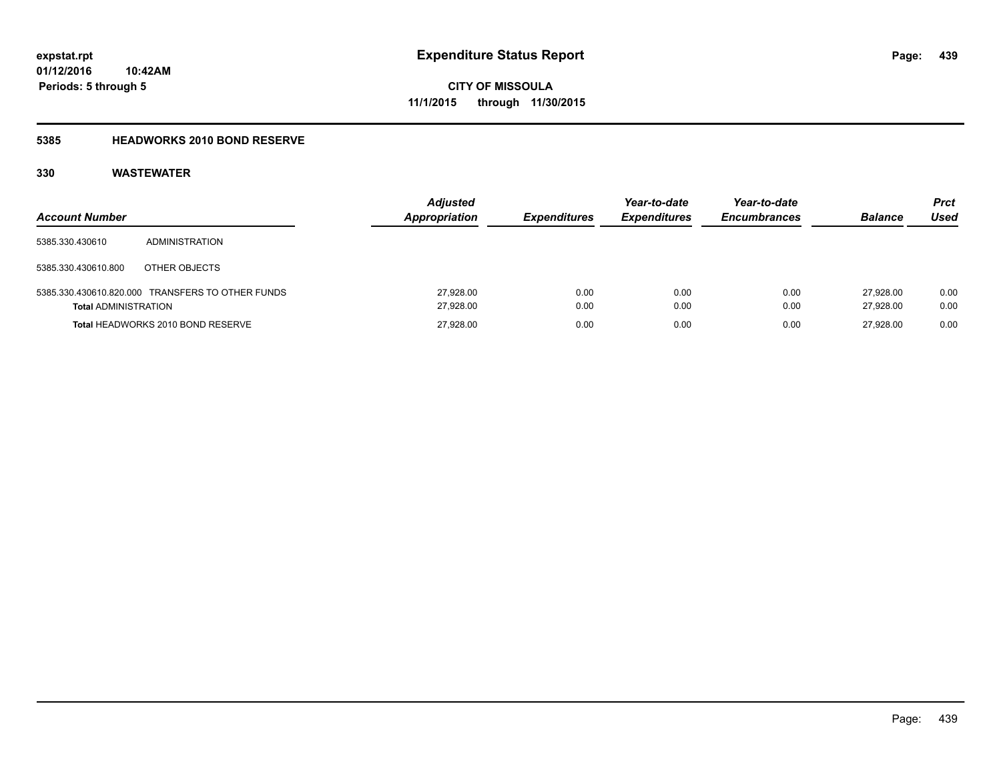## **5385 HEADWORKS 2010 BOND RESERVE**

| <b>Account Number</b>       |                                                  | <b>Adjusted</b><br>Appropriation | <b>Expenditures</b> | Year-to-date<br><b>Expenditures</b> | Year-to-date<br><b>Encumbrances</b> | <b>Balance</b>         | Prct<br>Used |
|-----------------------------|--------------------------------------------------|----------------------------------|---------------------|-------------------------------------|-------------------------------------|------------------------|--------------|
| 5385.330.430610             | <b>ADMINISTRATION</b>                            |                                  |                     |                                     |                                     |                        |              |
| 5385.330.430610.800         | OTHER OBJECTS                                    |                                  |                     |                                     |                                     |                        |              |
| <b>Total ADMINISTRATION</b> | 5385.330.430610.820.000 TRANSFERS TO OTHER FUNDS | 27,928.00<br>27,928.00           | 0.00<br>0.00        | 0.00<br>0.00                        | 0.00<br>0.00                        | 27.928.00<br>27.928.00 | 0.00<br>0.00 |
|                             | Total HEADWORKS 2010 BOND RESERVE                | 27,928.00                        | 0.00                | 0.00                                | 0.00                                | 27.928.00              | 0.00         |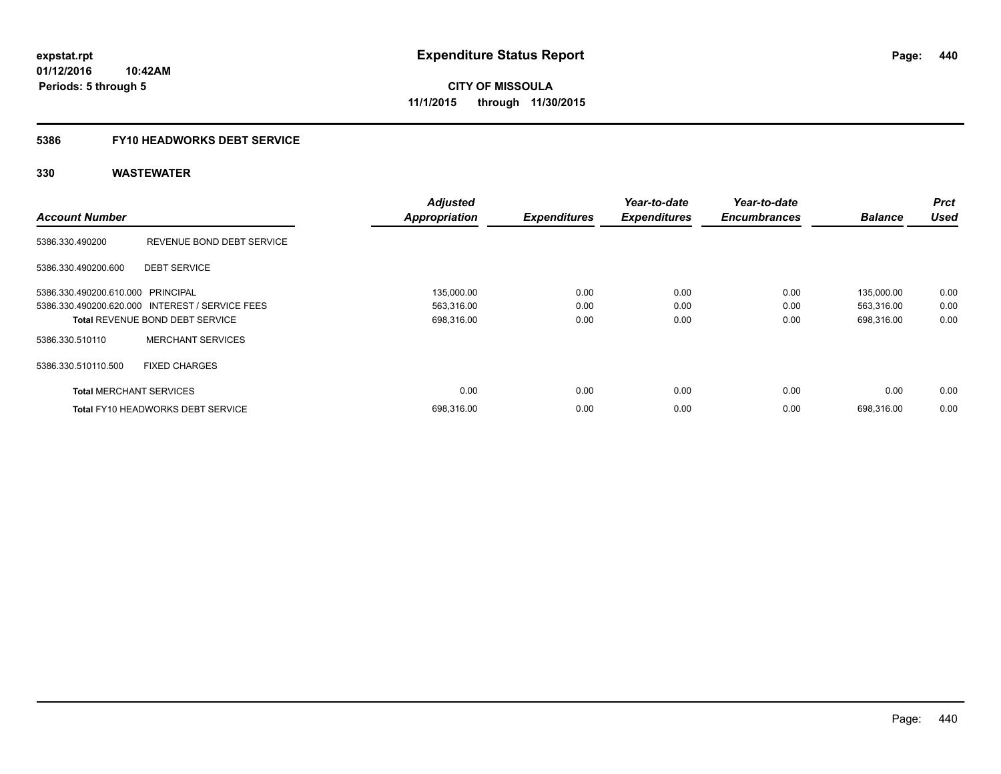# **5386 FY10 HEADWORKS DEBT SERVICE**

| <b>Account Number</b>             |                                                 | <b>Adjusted</b><br><b>Appropriation</b> | <b>Expenditures</b> | Year-to-date<br><b>Expenditures</b> | Year-to-date<br><b>Encumbrances</b> | <b>Balance</b> | <b>Prct</b><br><b>Used</b> |
|-----------------------------------|-------------------------------------------------|-----------------------------------------|---------------------|-------------------------------------|-------------------------------------|----------------|----------------------------|
|                                   |                                                 |                                         |                     |                                     |                                     |                |                            |
| 5386.330.490200                   | REVENUE BOND DEBT SERVICE                       |                                         |                     |                                     |                                     |                |                            |
| 5386.330.490200.600               | <b>DEBT SERVICE</b>                             |                                         |                     |                                     |                                     |                |                            |
| 5386.330.490200.610.000 PRINCIPAL |                                                 | 135,000.00                              | 0.00                | 0.00                                | 0.00                                | 135,000.00     | 0.00                       |
|                                   | 5386.330.490200.620.000 INTEREST / SERVICE FEES | 563,316.00                              | 0.00                | 0.00                                | 0.00                                | 563,316.00     | 0.00                       |
|                                   | <b>Total REVENUE BOND DEBT SERVICE</b>          | 698,316.00                              | 0.00                | 0.00                                | 0.00                                | 698,316.00     | 0.00                       |
| 5386.330.510110                   | <b>MERCHANT SERVICES</b>                        |                                         |                     |                                     |                                     |                |                            |
| 5386.330.510110.500               | <b>FIXED CHARGES</b>                            |                                         |                     |                                     |                                     |                |                            |
| <b>Total MERCHANT SERVICES</b>    |                                                 | 0.00                                    | 0.00                | 0.00                                | 0.00                                | 0.00           | 0.00                       |
|                                   | Total FY10 HEADWORKS DEBT SERVICE               | 698,316.00                              | 0.00                | 0.00                                | 0.00                                | 698.316.00     | 0.00                       |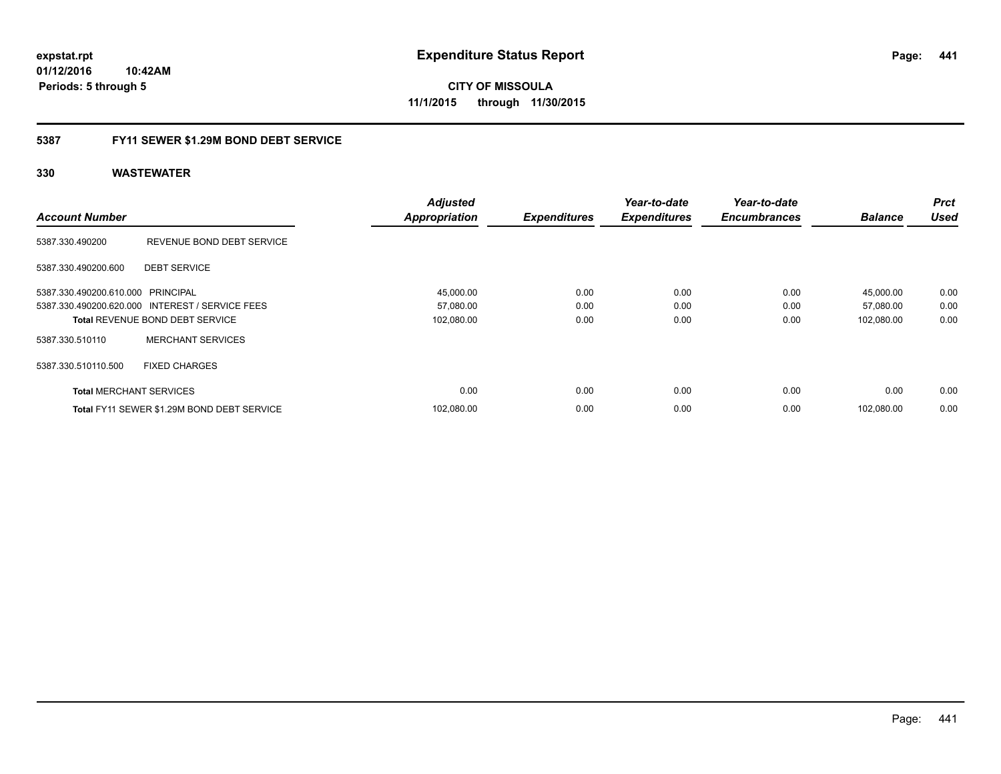**01/12/2016 10:42AM Periods: 5 through 5**

**CITY OF MISSOULA 11/1/2015 through 11/30/2015**

## **5387 FY11 SEWER \$1.29M BOND DEBT SERVICE**

|                                   |                                                 | <b>Adjusted</b>      |                     | Year-to-date        | Year-to-date        |                | <b>Prct</b> |
|-----------------------------------|-------------------------------------------------|----------------------|---------------------|---------------------|---------------------|----------------|-------------|
| <b>Account Number</b>             |                                                 | <b>Appropriation</b> | <b>Expenditures</b> | <b>Expenditures</b> | <b>Encumbrances</b> | <b>Balance</b> | <b>Used</b> |
| 5387.330.490200                   | REVENUE BOND DEBT SERVICE                       |                      |                     |                     |                     |                |             |
| 5387.330.490200.600               | <b>DEBT SERVICE</b>                             |                      |                     |                     |                     |                |             |
| 5387.330.490200.610.000 PRINCIPAL |                                                 | 45,000.00            | 0.00                | 0.00                | 0.00                | 45,000.00      | 0.00        |
|                                   | 5387.330.490200.620.000 INTEREST / SERVICE FEES | 57,080.00            | 0.00                | 0.00                | 0.00                | 57,080.00      | 0.00        |
|                                   | <b>Total REVENUE BOND DEBT SERVICE</b>          | 102,080.00           | 0.00                | 0.00                | 0.00                | 102,080.00     | 0.00        |
| 5387.330.510110                   | <b>MERCHANT SERVICES</b>                        |                      |                     |                     |                     |                |             |
| 5387.330.510110.500               | <b>FIXED CHARGES</b>                            |                      |                     |                     |                     |                |             |
| <b>Total MERCHANT SERVICES</b>    |                                                 | 0.00                 | 0.00                | 0.00                | 0.00                | 0.00           | 0.00        |
|                                   | Total FY11 SEWER \$1.29M BOND DEBT SERVICE      | 102.080.00           | 0.00                | 0.00                | 0.00                | 102.080.00     | 0.00        |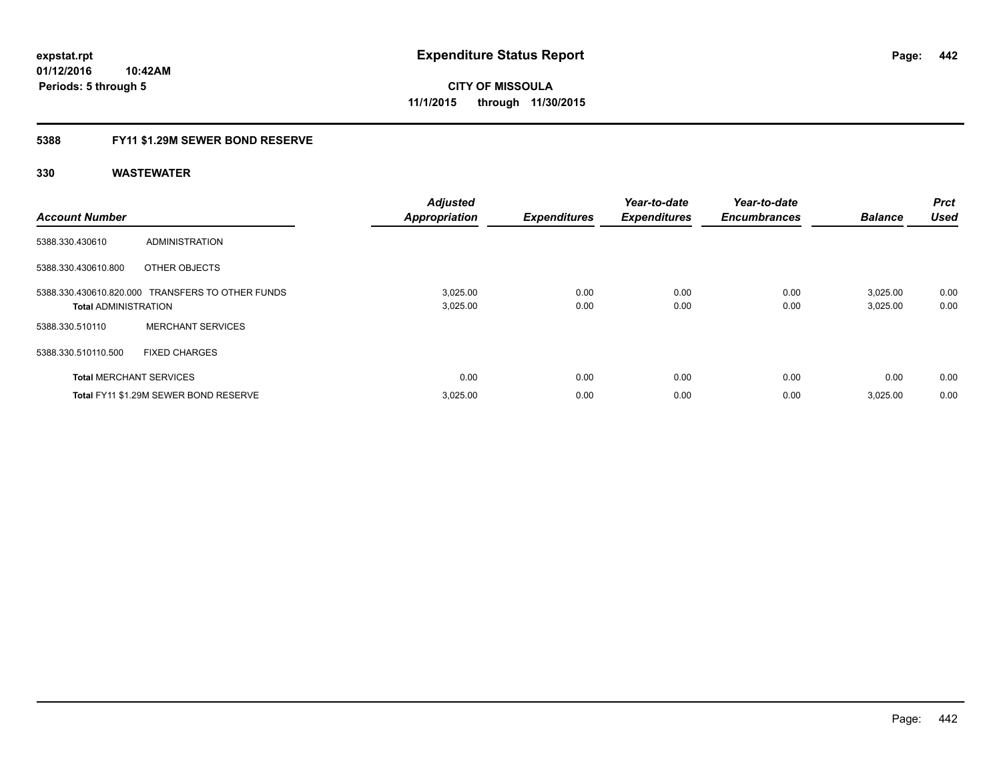## **5388 FY11 \$1.29M SEWER BOND RESERVE**

| <b>Account Number</b>          |                                                  | <b>Adjusted</b><br><b>Appropriation</b> | <b>Expenditures</b> | Year-to-date<br><b>Expenditures</b> | Year-to-date<br><b>Encumbrances</b> | <b>Balance</b>       | <b>Prct</b><br><b>Used</b> |
|--------------------------------|--------------------------------------------------|-----------------------------------------|---------------------|-------------------------------------|-------------------------------------|----------------------|----------------------------|
| 5388.330.430610                | ADMINISTRATION                                   |                                         |                     |                                     |                                     |                      |                            |
| 5388.330.430610.800            | OTHER OBJECTS                                    |                                         |                     |                                     |                                     |                      |                            |
| <b>Total ADMINISTRATION</b>    | 5388.330.430610.820.000 TRANSFERS TO OTHER FUNDS | 3,025.00<br>3,025.00                    | 0.00<br>0.00        | 0.00<br>0.00                        | 0.00<br>0.00                        | 3,025.00<br>3,025.00 | 0.00<br>0.00               |
| 5388.330.510110                | <b>MERCHANT SERVICES</b>                         |                                         |                     |                                     |                                     |                      |                            |
| 5388.330.510110.500            | <b>FIXED CHARGES</b>                             |                                         |                     |                                     |                                     |                      |                            |
| <b>Total MERCHANT SERVICES</b> |                                                  | 0.00                                    | 0.00                | 0.00                                | 0.00                                | 0.00                 | 0.00                       |
|                                | Total FY11 \$1.29M SEWER BOND RESERVE            | 3,025.00                                | 0.00                | 0.00                                | 0.00                                | 3.025.00             | 0.00                       |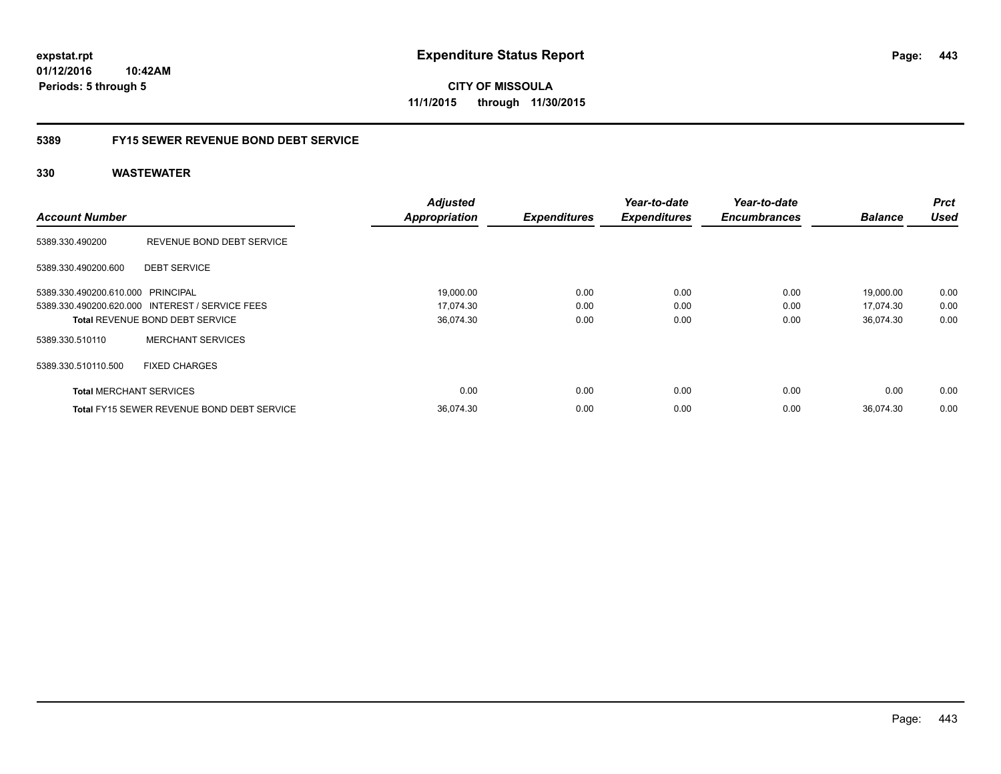**01/12/2016 10:42AM Periods: 5 through 5**

**CITY OF MISSOULA 11/1/2015 through 11/30/2015**

## **5389 FY15 SEWER REVENUE BOND DEBT SERVICE**

|                                   |                                                   | <b>Adjusted</b>      |                     | Year-to-date        | Year-to-date        |                | <b>Prct</b> |
|-----------------------------------|---------------------------------------------------|----------------------|---------------------|---------------------|---------------------|----------------|-------------|
| <b>Account Number</b>             |                                                   | <b>Appropriation</b> | <b>Expenditures</b> | <b>Expenditures</b> | <b>Encumbrances</b> | <b>Balance</b> | <b>Used</b> |
| 5389.330.490200                   | REVENUE BOND DEBT SERVICE                         |                      |                     |                     |                     |                |             |
| 5389.330.490200.600               | <b>DEBT SERVICE</b>                               |                      |                     |                     |                     |                |             |
| 5389.330.490200.610.000 PRINCIPAL |                                                   | 19,000.00            | 0.00                | 0.00                | 0.00                | 19,000.00      | 0.00        |
|                                   | 5389.330.490200.620.000 INTEREST / SERVICE FEES   | 17,074.30            | 0.00                | 0.00                | 0.00                | 17,074.30      | 0.00        |
|                                   | <b>Total REVENUE BOND DEBT SERVICE</b>            | 36,074.30            | 0.00                | 0.00                | 0.00                | 36,074.30      | 0.00        |
| 5389.330.510110                   | <b>MERCHANT SERVICES</b>                          |                      |                     |                     |                     |                |             |
| 5389.330.510110.500               | <b>FIXED CHARGES</b>                              |                      |                     |                     |                     |                |             |
| <b>Total MERCHANT SERVICES</b>    |                                                   | 0.00                 | 0.00                | 0.00                | 0.00                | 0.00           | 0.00        |
|                                   | <b>Total FY15 SEWER REVENUE BOND DEBT SERVICE</b> | 36.074.30            | 0.00                | 0.00                | 0.00                | 36.074.30      | 0.00        |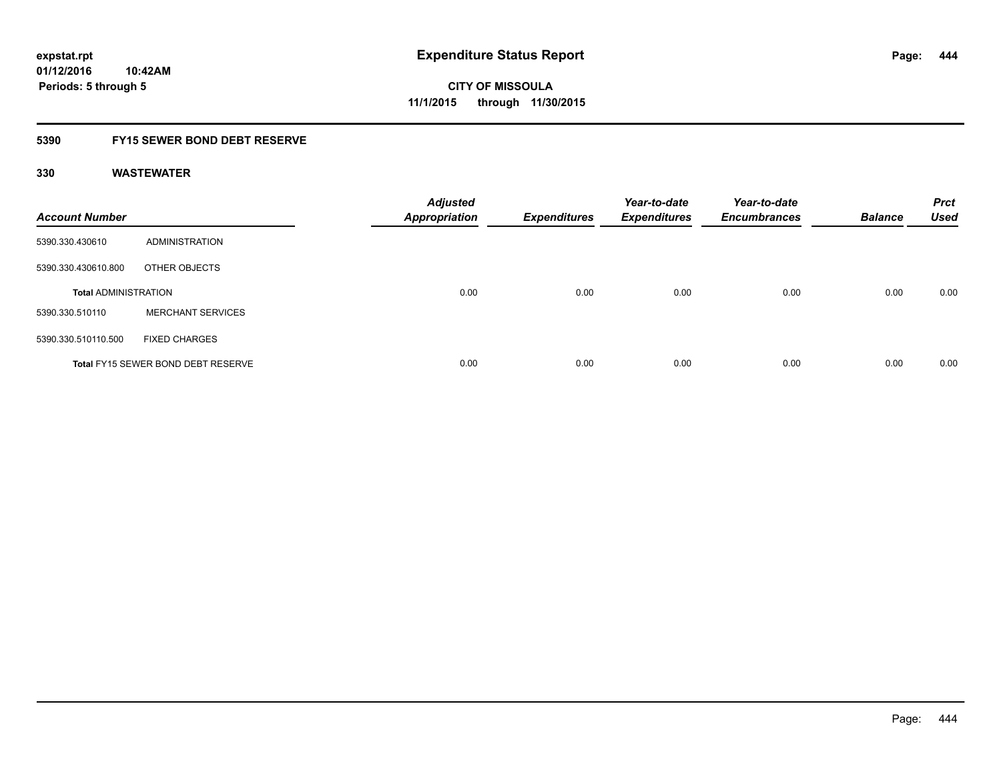## **5390 FY15 SEWER BOND DEBT RESERVE**

| <b>Account Number</b>       |                                           | <b>Adjusted</b><br><b>Appropriation</b> | <b>Expenditures</b> | Year-to-date<br><b>Expenditures</b> | Year-to-date<br><b>Encumbrances</b> | <b>Balance</b> | <b>Prct</b><br><b>Used</b> |
|-----------------------------|-------------------------------------------|-----------------------------------------|---------------------|-------------------------------------|-------------------------------------|----------------|----------------------------|
| 5390.330.430610             | ADMINISTRATION                            |                                         |                     |                                     |                                     |                |                            |
| 5390.330.430610.800         | OTHER OBJECTS                             |                                         |                     |                                     |                                     |                |                            |
| <b>Total ADMINISTRATION</b> |                                           | 0.00                                    | 0.00                | 0.00                                | 0.00                                | 0.00           | 0.00                       |
| 5390.330.510110             | <b>MERCHANT SERVICES</b>                  |                                         |                     |                                     |                                     |                |                            |
| 5390.330.510110.500         | <b>FIXED CHARGES</b>                      |                                         |                     |                                     |                                     |                |                            |
|                             | <b>Total FY15 SEWER BOND DEBT RESERVE</b> | 0.00                                    | 0.00                | 0.00                                | 0.00                                | 0.00           | 0.00                       |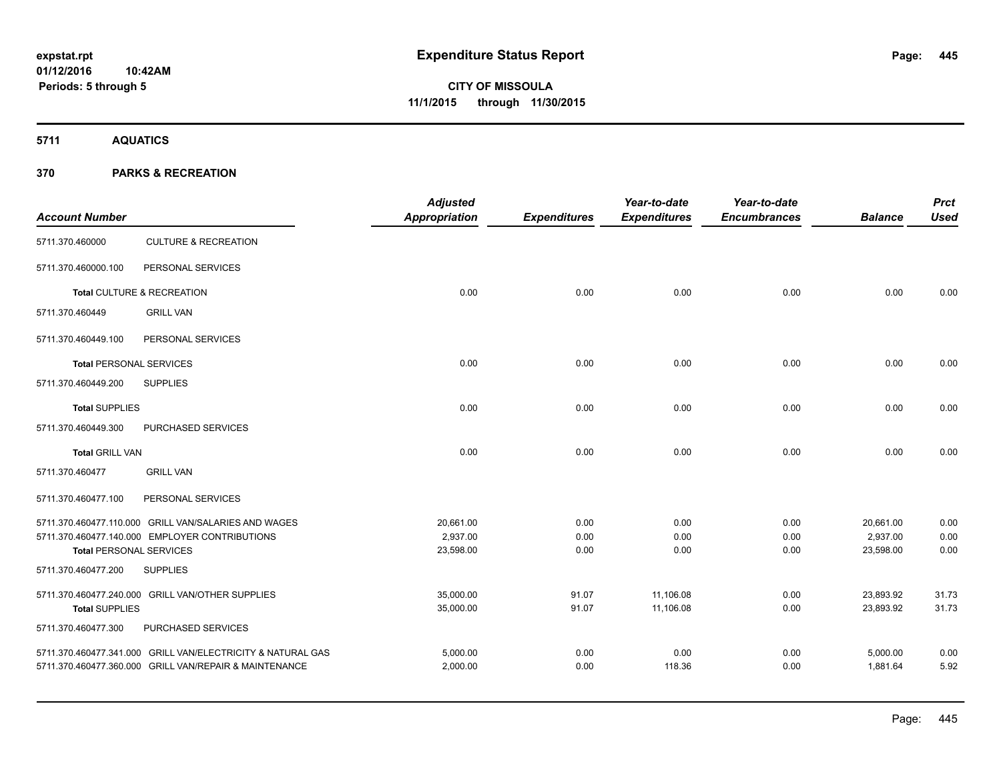**5711 AQUATICS**

| <b>Account Number</b>          |                                                             | <b>Adjusted</b><br>Appropriation | <b>Expenditures</b> | Year-to-date<br><b>Expenditures</b> | Year-to-date<br><b>Encumbrances</b> | <b>Balance</b> | <b>Prct</b><br><b>Used</b> |
|--------------------------------|-------------------------------------------------------------|----------------------------------|---------------------|-------------------------------------|-------------------------------------|----------------|----------------------------|
| 5711.370.460000                | <b>CULTURE &amp; RECREATION</b>                             |                                  |                     |                                     |                                     |                |                            |
| 5711.370.460000.100            | PERSONAL SERVICES                                           |                                  |                     |                                     |                                     |                |                            |
|                                | Total CULTURE & RECREATION                                  | 0.00                             | 0.00                | 0.00                                | 0.00                                | 0.00           | 0.00                       |
| 5711.370.460449                | <b>GRILL VAN</b>                                            |                                  |                     |                                     |                                     |                |                            |
| 5711.370.460449.100            | PERSONAL SERVICES                                           |                                  |                     |                                     |                                     |                |                            |
| <b>Total PERSONAL SERVICES</b> |                                                             | 0.00                             | 0.00                | 0.00                                | 0.00                                | 0.00           | 0.00                       |
| 5711.370.460449.200            | <b>SUPPLIES</b>                                             |                                  |                     |                                     |                                     |                |                            |
| <b>Total SUPPLIES</b>          |                                                             | 0.00                             | 0.00                | 0.00                                | 0.00                                | 0.00           | 0.00                       |
| 5711.370.460449.300            | PURCHASED SERVICES                                          |                                  |                     |                                     |                                     |                |                            |
| <b>Total GRILL VAN</b>         |                                                             | 0.00                             | 0.00                | 0.00                                | 0.00                                | 0.00           | 0.00                       |
| 5711.370.460477                | <b>GRILL VAN</b>                                            |                                  |                     |                                     |                                     |                |                            |
| 5711.370.460477.100            | PERSONAL SERVICES                                           |                                  |                     |                                     |                                     |                |                            |
|                                | 5711.370.460477.110.000 GRILL VAN/SALARIES AND WAGES        | 20,661.00                        | 0.00                | 0.00                                | 0.00                                | 20,661.00      | 0.00                       |
|                                | 5711.370.460477.140.000 EMPLOYER CONTRIBUTIONS              | 2,937.00                         | 0.00                | 0.00                                | 0.00                                | 2,937.00       | 0.00                       |
| <b>Total PERSONAL SERVICES</b> |                                                             | 23,598.00                        | 0.00                | 0.00                                | 0.00                                | 23,598.00      | 0.00                       |
| 5711.370.460477.200            | <b>SUPPLIES</b>                                             |                                  |                     |                                     |                                     |                |                            |
|                                | 5711.370.460477.240.000 GRILL VAN/OTHER SUPPLIES            | 35,000.00                        | 91.07               | 11,106.08                           | 0.00                                | 23,893.92      | 31.73                      |
| <b>Total SUPPLIES</b>          |                                                             | 35,000.00                        | 91.07               | 11,106.08                           | 0.00                                | 23,893.92      | 31.73                      |
| 5711.370.460477.300            | PURCHASED SERVICES                                          |                                  |                     |                                     |                                     |                |                            |
|                                | 5711.370.460477.341.000 GRILL VAN/ELECTRICITY & NATURAL GAS | 5,000.00                         | 0.00                | 0.00                                | 0.00                                | 5,000.00       | 0.00                       |
|                                | 5711.370.460477.360.000 GRILL VAN/REPAIR & MAINTENANCE      | 2,000.00                         | 0.00                | 118.36                              | 0.00                                | 1,881.64       | 5.92                       |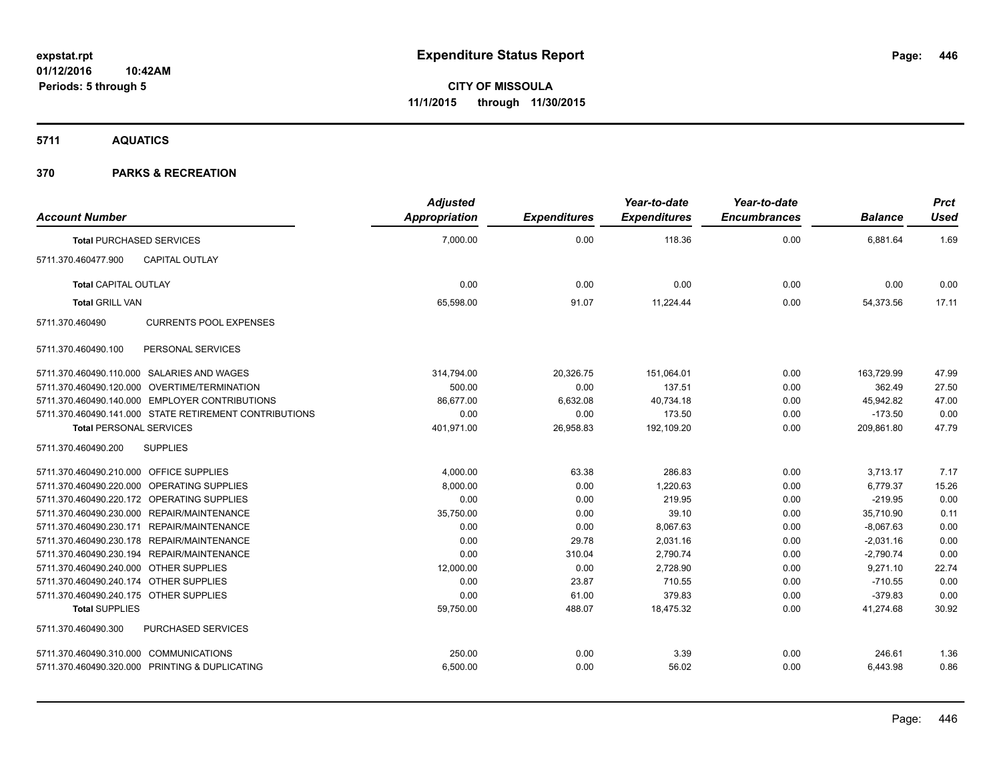**5711 AQUATICS**

| <b>Account Number</b>                                  | <b>Adjusted</b><br>Appropriation | <b>Expenditures</b> | Year-to-date<br><b>Expenditures</b> | Year-to-date<br><b>Encumbrances</b> | <b>Balance</b> | <b>Prct</b><br><b>Used</b> |
|--------------------------------------------------------|----------------------------------|---------------------|-------------------------------------|-------------------------------------|----------------|----------------------------|
| <b>Total PURCHASED SERVICES</b>                        | 7,000.00                         | 0.00                | 118.36                              | 0.00                                | 6,881.64       | 1.69                       |
| 5711.370.460477.900<br><b>CAPITAL OUTLAY</b>           |                                  |                     |                                     |                                     |                |                            |
| <b>Total CAPITAL OUTLAY</b>                            | 0.00                             | 0.00                | 0.00                                | 0.00                                | 0.00           | 0.00                       |
| <b>Total GRILL VAN</b>                                 | 65,598.00                        | 91.07               | 11,224.44                           | 0.00                                | 54,373.56      | 17.11                      |
| <b>CURRENTS POOL EXPENSES</b><br>5711.370.460490       |                                  |                     |                                     |                                     |                |                            |
| 5711.370.460490.100<br>PERSONAL SERVICES               |                                  |                     |                                     |                                     |                |                            |
| 5711.370.460490.110.000 SALARIES AND WAGES             | 314,794.00                       | 20,326.75           | 151,064.01                          | 0.00                                | 163.729.99     | 47.99                      |
| 5711.370.460490.120.000 OVERTIME/TERMINATION           | 500.00                           | 0.00                | 137.51                              | 0.00                                | 362.49         | 27.50                      |
| 5711.370.460490.140.000 EMPLOYER CONTRIBUTIONS         | 86,677.00                        | 6,632.08            | 40,734.18                           | 0.00                                | 45,942.82      | 47.00                      |
| 5711.370.460490.141.000 STATE RETIREMENT CONTRIBUTIONS | 0.00                             | 0.00                | 173.50                              | 0.00                                | $-173.50$      | 0.00                       |
| <b>Total PERSONAL SERVICES</b>                         | 401,971.00                       | 26,958.83           | 192,109.20                          | 0.00                                | 209,861.80     | 47.79                      |
| <b>SUPPLIES</b><br>5711.370.460490.200                 |                                  |                     |                                     |                                     |                |                            |
| 5711.370.460490.210.000 OFFICE SUPPLIES                | 4,000.00                         | 63.38               | 286.83                              | 0.00                                | 3,713.17       | 7.17                       |
| 5711.370.460490.220.000 OPERATING SUPPLIES             | 8,000.00                         | 0.00                | 1,220.63                            | 0.00                                | 6,779.37       | 15.26                      |
| 5711.370.460490.220.172 OPERATING SUPPLIES             | 0.00                             | 0.00                | 219.95                              | 0.00                                | $-219.95$      | 0.00                       |
| 5711.370.460490.230.000 REPAIR/MAINTENANCE             | 35,750.00                        | 0.00                | 39.10                               | 0.00                                | 35,710.90      | 0.11                       |
| 5711.370.460490.230.171 REPAIR/MAINTENANCE             | 0.00                             | 0.00                | 8,067.63                            | 0.00                                | $-8,067.63$    | 0.00                       |
| 5711.370.460490.230.178 REPAIR/MAINTENANCE             | 0.00                             | 29.78               | 2,031.16                            | 0.00                                | $-2,031.16$    | 0.00                       |
| 5711.370.460490.230.194 REPAIR/MAINTENANCE             | 0.00                             | 310.04              | 2,790.74                            | 0.00                                | $-2,790.74$    | 0.00                       |
| 5711.370.460490.240.000 OTHER SUPPLIES                 | 12,000.00                        | 0.00                | 2,728.90                            | 0.00                                | 9,271.10       | 22.74                      |
| 5711.370.460490.240.174 OTHER SUPPLIES                 | 0.00                             | 23.87               | 710.55                              | 0.00                                | $-710.55$      | 0.00                       |
| 5711.370.460490.240.175 OTHER SUPPLIES                 | 0.00                             | 61.00               | 379.83                              | 0.00                                | $-379.83$      | 0.00                       |
| <b>Total SUPPLIES</b>                                  | 59,750.00                        | 488.07              | 18,475.32                           | 0.00                                | 41,274.68      | 30.92                      |
| PURCHASED SERVICES<br>5711.370.460490.300              |                                  |                     |                                     |                                     |                |                            |
| 5711.370.460490.310.000 COMMUNICATIONS                 | 250.00                           | 0.00                | 3.39                                | 0.00                                | 246.61         | 1.36                       |
| 5711.370.460490.320.000 PRINTING & DUPLICATING         | 6,500.00                         | 0.00                | 56.02                               | 0.00                                | 6,443.98       | 0.86                       |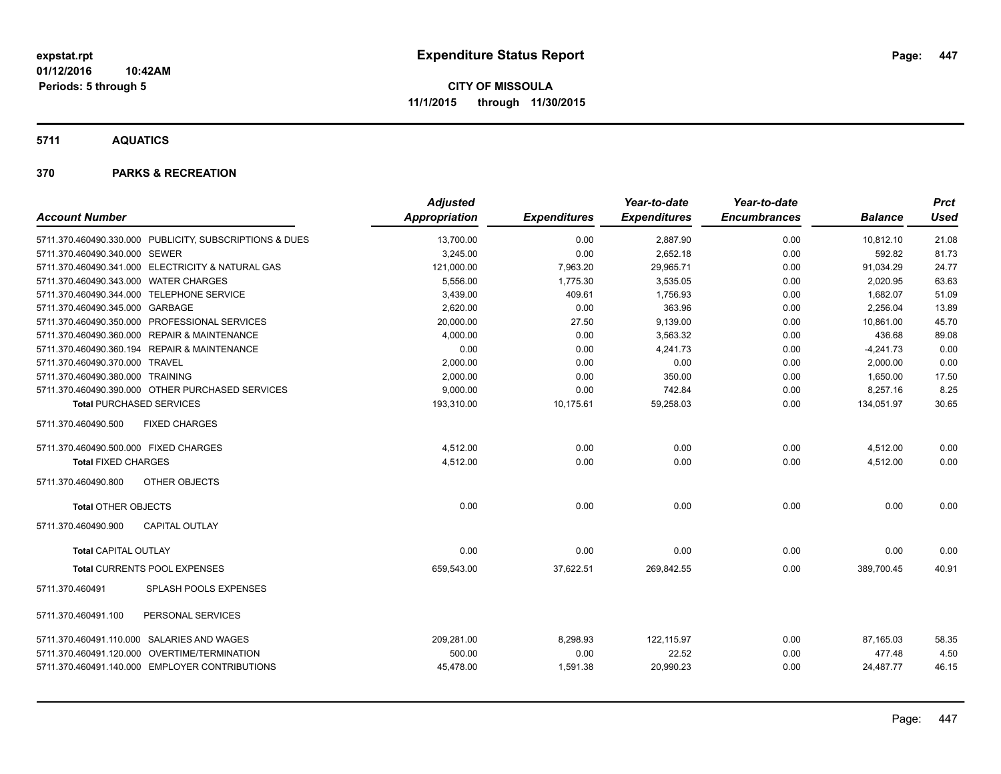**5711 AQUATICS**

| <b>Account Number</b>                                   | <b>Adjusted</b><br>Appropriation | <b>Expenditures</b> | Year-to-date<br><b>Expenditures</b> | Year-to-date<br><b>Encumbrances</b> | <b>Balance</b> | Prct<br>Used |
|---------------------------------------------------------|----------------------------------|---------------------|-------------------------------------|-------------------------------------|----------------|--------------|
| 5711.370.460490.330.000 PUBLICITY, SUBSCRIPTIONS & DUES | 13,700.00                        | 0.00                | 2,887.90                            | 0.00                                | 10,812.10      | 21.08        |
| 5711.370.460490.340.000 SEWER                           | 3,245.00                         | 0.00                | 2,652.18                            | 0.00                                | 592.82         | 81.73        |
| 5711.370.460490.341.000 ELECTRICITY & NATURAL GAS       | 121,000.00                       | 7,963.20            | 29,965.71                           | 0.00                                | 91,034.29      | 24.77        |
| 5711.370.460490.343.000 WATER CHARGES                   | 5,556.00                         | 1,775.30            | 3,535.05                            | 0.00                                | 2,020.95       | 63.63        |
| 5711.370.460490.344.000 TELEPHONE SERVICE               | 3.439.00                         | 409.61              | 1.756.93                            | 0.00                                | 1,682.07       | 51.09        |
| 5711.370.460490.345.000 GARBAGE                         | 2.620.00                         | 0.00                | 363.96                              | 0.00                                | 2.256.04       | 13.89        |
| 5711.370.460490.350.000 PROFESSIONAL SERVICES           | 20,000.00                        | 27.50               | 9,139.00                            | 0.00                                | 10,861.00      | 45.70        |
| 5711.370.460490.360.000 REPAIR & MAINTENANCE            | 4,000.00                         | 0.00                | 3,563.32                            | 0.00                                | 436.68         | 89.08        |
| 5711.370.460490.360.194 REPAIR & MAINTENANCE            | 0.00                             | 0.00                | 4,241.73                            | 0.00                                | $-4,241.73$    | 0.00         |
| 5711.370.460490.370.000 TRAVEL                          | 2,000.00                         | 0.00                | 0.00                                | 0.00                                | 2,000.00       | 0.00         |
| 5711.370.460490.380.000 TRAINING                        | 2,000.00                         | 0.00                | 350.00                              | 0.00                                | 1,650.00       | 17.50        |
| 5711.370.460490.390.000 OTHER PURCHASED SERVICES        | 9,000.00                         | 0.00                | 742.84                              | 0.00                                | 8,257.16       | 8.25         |
| <b>Total PURCHASED SERVICES</b>                         | 193,310.00                       | 10,175.61           | 59,258.03                           | 0.00                                | 134,051.97     | 30.65        |
| 5711.370.460490.500<br><b>FIXED CHARGES</b>             |                                  |                     |                                     |                                     |                |              |
| 5711.370.460490.500.000 FIXED CHARGES                   | 4,512.00                         | 0.00                | 0.00                                | 0.00                                | 4,512.00       | 0.00         |
| <b>Total FIXED CHARGES</b>                              | 4,512.00                         | 0.00                | 0.00                                | 0.00                                | 4,512.00       | 0.00         |
| 5711.370.460490.800<br><b>OTHER OBJECTS</b>             |                                  |                     |                                     |                                     |                |              |
| <b>Total OTHER OBJECTS</b>                              | 0.00                             | 0.00                | 0.00                                | 0.00                                | 0.00           | 0.00         |
| 5711.370.460490.900<br><b>CAPITAL OUTLAY</b>            |                                  |                     |                                     |                                     |                |              |
| <b>Total CAPITAL OUTLAY</b>                             | 0.00                             | 0.00                | 0.00                                | 0.00                                | 0.00           | 0.00         |
| <b>Total CURRENTS POOL EXPENSES</b>                     | 659,543.00                       | 37,622.51           | 269,842.55                          | 0.00                                | 389,700.45     | 40.91        |
| 5711.370.460491<br>SPLASH POOLS EXPENSES                |                                  |                     |                                     |                                     |                |              |
| PERSONAL SERVICES<br>5711.370.460491.100                |                                  |                     |                                     |                                     |                |              |
| 5711.370.460491.110.000 SALARIES AND WAGES              | 209,281.00                       | 8,298.93            | 122,115.97                          | 0.00                                | 87.165.03      | 58.35        |
| 5711.370.460491.120.000 OVERTIME/TERMINATION            | 500.00                           | 0.00                | 22.52                               | 0.00                                | 477.48         | 4.50         |
| 5711.370.460491.140.000 EMPLOYER CONTRIBUTIONS          | 45,478.00                        | 1,591.38            | 20,990.23                           | 0.00                                | 24,487.77      | 46.15        |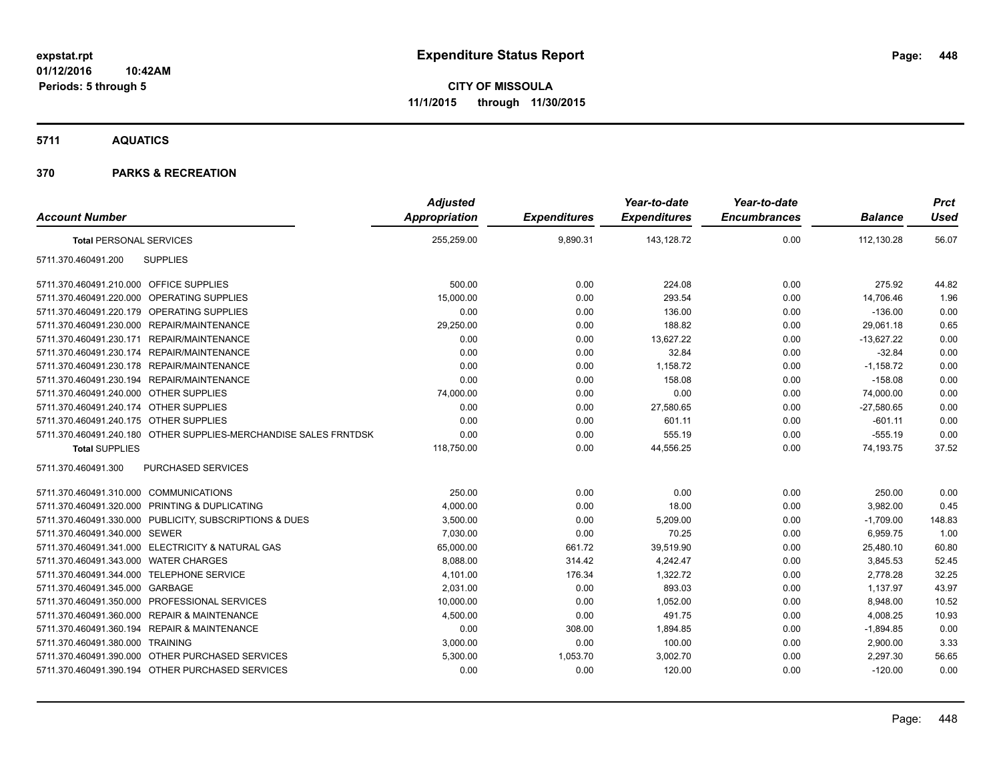**5711 AQUATICS**

| <b>Account Number</b>                                            | <b>Adjusted</b><br>Appropriation | <b>Expenditures</b> | Year-to-date<br><b>Expenditures</b> | Year-to-date<br><b>Encumbrances</b> | <b>Balance</b> | <b>Prct</b><br><b>Used</b> |
|------------------------------------------------------------------|----------------------------------|---------------------|-------------------------------------|-------------------------------------|----------------|----------------------------|
| <b>Total PERSONAL SERVICES</b>                                   | 255,259.00                       | 9,890.31            | 143,128.72                          | 0.00                                | 112,130.28     | 56.07                      |
| <b>SUPPLIES</b><br>5711.370.460491.200                           |                                  |                     |                                     |                                     |                |                            |
| 5711.370.460491.210.000 OFFICE SUPPLIES                          | 500.00                           | 0.00                | 224.08                              | 0.00                                | 275.92         | 44.82                      |
| 5711.370.460491.220.000 OPERATING SUPPLIES                       | 15,000.00                        | 0.00                | 293.54                              | 0.00                                | 14,706.46      | 1.96                       |
| 5711.370.460491.220.179 OPERATING SUPPLIES                       | 0.00                             | 0.00                | 136.00                              | 0.00                                | $-136.00$      | 0.00                       |
| 5711.370.460491.230.000 REPAIR/MAINTENANCE                       | 29,250.00                        | 0.00                | 188.82                              | 0.00                                | 29,061.18      | 0.65                       |
| 5711.370.460491.230.171 REPAIR/MAINTENANCE                       | 0.00                             | 0.00                | 13,627.22                           | 0.00                                | $-13,627.22$   | 0.00                       |
| 5711.370.460491.230.174 REPAIR/MAINTENANCE                       | 0.00                             | 0.00                | 32.84                               | 0.00                                | $-32.84$       | 0.00                       |
| 5711.370.460491.230.178 REPAIR/MAINTENANCE                       | 0.00                             | 0.00                | 1,158.72                            | 0.00                                | $-1,158.72$    | 0.00                       |
| 5711.370.460491.230.194 REPAIR/MAINTENANCE                       | 0.00                             | 0.00                | 158.08                              | 0.00                                | $-158.08$      | 0.00                       |
| 5711.370.460491.240.000 OTHER SUPPLIES                           | 74,000.00                        | 0.00                | 0.00                                | 0.00                                | 74,000.00      | 0.00                       |
| 5711.370.460491.240.174 OTHER SUPPLIES                           | 0.00                             | 0.00                | 27,580.65                           | 0.00                                | $-27,580.65$   | 0.00                       |
| 5711.370.460491.240.175 OTHER SUPPLIES                           | 0.00                             | 0.00                | 601.11                              | 0.00                                | $-601.11$      | 0.00                       |
| 5711.370.460491.240.180 OTHER SUPPLIES-MERCHANDISE SALES FRNTDSK | 0.00                             | 0.00                | 555.19                              | 0.00                                | $-555.19$      | 0.00                       |
| <b>Total SUPPLIES</b>                                            | 118,750.00                       | 0.00                | 44,556.25                           | 0.00                                | 74,193.75      | 37.52                      |
| <b>PURCHASED SERVICES</b><br>5711.370.460491.300                 |                                  |                     |                                     |                                     |                |                            |
| 5711.370.460491.310.000 COMMUNICATIONS                           | 250.00                           | 0.00                | 0.00                                | 0.00                                | 250.00         | 0.00                       |
| 5711.370.460491.320.000 PRINTING & DUPLICATING                   | 4,000.00                         | 0.00                | 18.00                               | 0.00                                | 3,982.00       | 0.45                       |
| 5711.370.460491.330.000 PUBLICITY, SUBSCRIPTIONS & DUES          | 3,500.00                         | 0.00                | 5,209.00                            | 0.00                                | $-1,709.00$    | 148.83                     |
| 5711.370.460491.340.000 SEWER                                    | 7,030.00                         | 0.00                | 70.25                               | 0.00                                | 6,959.75       | 1.00                       |
| 5711.370.460491.341.000 ELECTRICITY & NATURAL GAS                | 65,000.00                        | 661.72              | 39,519.90                           | 0.00                                | 25,480.10      | 60.80                      |
| 5711.370.460491.343.000 WATER CHARGES                            | 8,088.00                         | 314.42              | 4.242.47                            | 0.00                                | 3,845.53       | 52.45                      |
| 5711.370.460491.344.000 TELEPHONE SERVICE                        | 4,101.00                         | 176.34              | 1,322.72                            | 0.00                                | 2,778.28       | 32.25                      |
| 5711.370.460491.345.000 GARBAGE                                  | 2,031.00                         | 0.00                | 893.03                              | 0.00                                | 1,137.97       | 43.97                      |
| 5711.370.460491.350.000 PROFESSIONAL SERVICES                    | 10,000.00                        | 0.00                | 1,052.00                            | 0.00                                | 8,948.00       | 10.52                      |
| 5711.370.460491.360.000 REPAIR & MAINTENANCE                     | 4,500.00                         | 0.00                | 491.75                              | 0.00                                | 4,008.25       | 10.93                      |
| 5711.370.460491.360.194 REPAIR & MAINTENANCE                     | 0.00                             | 308.00              | 1,894.85                            | 0.00                                | $-1,894.85$    | 0.00                       |
| 5711.370.460491.380.000 TRAINING                                 | 3,000.00                         | 0.00                | 100.00                              | 0.00                                | 2,900.00       | 3.33                       |
| 5711.370.460491.390.000 OTHER PURCHASED SERVICES                 | 5,300.00                         | 1,053.70            | 3,002.70                            | 0.00                                | 2,297.30       | 56.65                      |
| 5711.370.460491.390.194 OTHER PURCHASED SERVICES                 | 0.00                             | 0.00                | 120.00                              | 0.00                                | $-120.00$      | 0.00                       |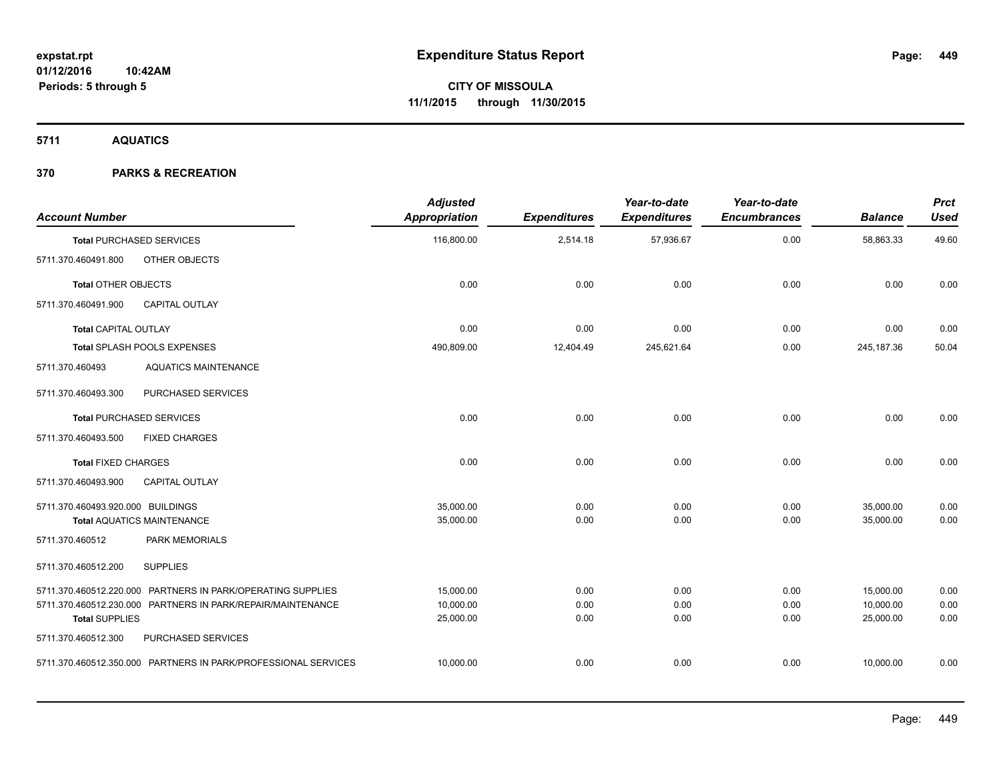**5711 AQUATICS**

| <b>Account Number</b>             |                                                                | <b>Adjusted</b><br><b>Appropriation</b> | <b>Expenditures</b> | Year-to-date<br><b>Expenditures</b> | Year-to-date<br><b>Encumbrances</b> | <b>Balance</b> | <b>Prct</b><br><b>Used</b> |
|-----------------------------------|----------------------------------------------------------------|-----------------------------------------|---------------------|-------------------------------------|-------------------------------------|----------------|----------------------------|
|                                   | <b>Total PURCHASED SERVICES</b>                                | 116,800.00                              | 2,514.18            | 57,936.67                           | 0.00                                | 58,863.33      | 49.60                      |
| 5711.370.460491.800               | OTHER OBJECTS                                                  |                                         |                     |                                     |                                     |                |                            |
| <b>Total OTHER OBJECTS</b>        |                                                                | 0.00                                    | 0.00                | 0.00                                | 0.00                                | 0.00           | 0.00                       |
| 5711.370.460491.900               | <b>CAPITAL OUTLAY</b>                                          |                                         |                     |                                     |                                     |                |                            |
| <b>Total CAPITAL OUTLAY</b>       |                                                                | 0.00                                    | 0.00                | 0.00                                | 0.00                                | 0.00           | 0.00                       |
|                                   | Total SPLASH POOLS EXPENSES                                    | 490,809.00                              | 12,404.49           | 245,621.64                          | 0.00                                | 245, 187. 36   | 50.04                      |
| 5711.370.460493                   | <b>AQUATICS MAINTENANCE</b>                                    |                                         |                     |                                     |                                     |                |                            |
| 5711.370.460493.300               | PURCHASED SERVICES                                             |                                         |                     |                                     |                                     |                |                            |
|                                   | <b>Total PURCHASED SERVICES</b>                                | 0.00                                    | 0.00                | 0.00                                | 0.00                                | 0.00           | 0.00                       |
| 5711.370.460493.500               | <b>FIXED CHARGES</b>                                           |                                         |                     |                                     |                                     |                |                            |
| <b>Total FIXED CHARGES</b>        |                                                                | 0.00                                    | 0.00                | 0.00                                | 0.00                                | 0.00           | 0.00                       |
| 5711.370.460493.900               | <b>CAPITAL OUTLAY</b>                                          |                                         |                     |                                     |                                     |                |                            |
| 5711.370.460493.920.000 BUILDINGS |                                                                | 35.000.00                               | 0.00                | 0.00                                | 0.00                                | 35,000.00      | 0.00                       |
|                                   | <b>Total AQUATICS MAINTENANCE</b>                              | 35,000.00                               | 0.00                | 0.00                                | 0.00                                | 35,000.00      | 0.00                       |
| 5711.370.460512                   | <b>PARK MEMORIALS</b>                                          |                                         |                     |                                     |                                     |                |                            |
| 5711.370.460512.200               | <b>SUPPLIES</b>                                                |                                         |                     |                                     |                                     |                |                            |
|                                   | 5711.370.460512.220.000 PARTNERS IN PARK/OPERATING SUPPLIES    | 15,000.00                               | 0.00                | 0.00                                | 0.00                                | 15,000.00      | 0.00                       |
|                                   | 5711.370.460512.230.000 PARTNERS IN PARK/REPAIR/MAINTENANCE    | 10,000.00                               | 0.00                | 0.00                                | 0.00                                | 10,000.00      | 0.00                       |
| <b>Total SUPPLIES</b>             |                                                                | 25,000.00                               | 0.00                | 0.00                                | 0.00                                | 25,000.00      | 0.00                       |
| 5711.370.460512.300               | PURCHASED SERVICES                                             |                                         |                     |                                     |                                     |                |                            |
|                                   | 5711.370.460512.350.000 PARTNERS IN PARK/PROFESSIONAL SERVICES | 10,000.00                               | 0.00                | 0.00                                | 0.00                                | 10,000.00      | 0.00                       |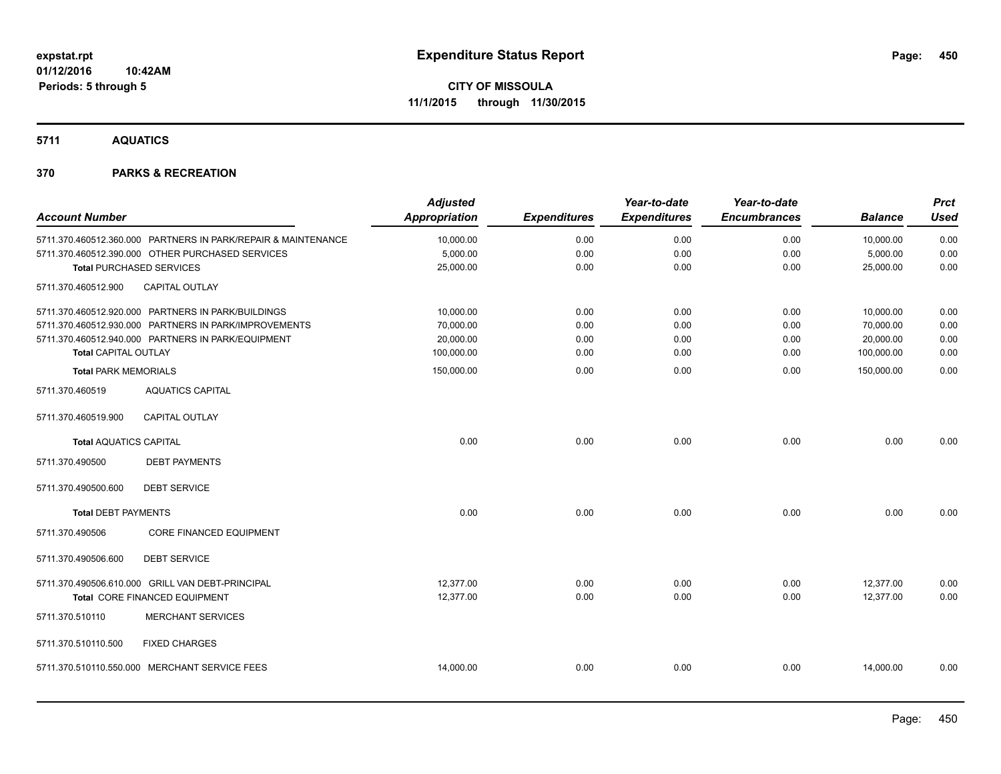**5711 AQUATICS**

|                                 |                                                               | <b>Adjusted</b>      |                     | Year-to-date        | Year-to-date        |                | <b>Prct</b> |
|---------------------------------|---------------------------------------------------------------|----------------------|---------------------|---------------------|---------------------|----------------|-------------|
| <b>Account Number</b>           |                                                               | <b>Appropriation</b> | <b>Expenditures</b> | <b>Expenditures</b> | <b>Encumbrances</b> | <b>Balance</b> | <b>Used</b> |
|                                 | 5711.370.460512.360.000 PARTNERS IN PARK/REPAIR & MAINTENANCE | 10,000.00            | 0.00                | 0.00                | 0.00                | 10,000.00      | 0.00        |
|                                 | 5711.370.460512.390.000 OTHER PURCHASED SERVICES              | 5,000.00             | 0.00                | 0.00                | 0.00                | 5,000.00       | 0.00        |
| <b>Total PURCHASED SERVICES</b> |                                                               | 25,000.00            | 0.00                | 0.00                | 0.00                | 25,000.00      | 0.00        |
| 5711.370.460512.900             | <b>CAPITAL OUTLAY</b>                                         |                      |                     |                     |                     |                |             |
|                                 | 5711.370.460512.920.000 PARTNERS IN PARK/BUILDINGS            | 10,000.00            | 0.00                | 0.00                | 0.00                | 10,000.00      | 0.00        |
|                                 | 5711.370.460512.930.000 PARTNERS IN PARK/IMPROVEMENTS         | 70,000.00            | 0.00                | 0.00                | 0.00                | 70,000.00      | 0.00        |
|                                 | 5711.370.460512.940.000 PARTNERS IN PARK/EQUIPMENT            | 20,000.00            | 0.00                | 0.00                | 0.00                | 20,000.00      | 0.00        |
| Total CAPITAL OUTLAY            |                                                               | 100,000.00           | 0.00                | 0.00                | 0.00                | 100,000.00     | 0.00        |
| <b>Total PARK MEMORIALS</b>     |                                                               | 150,000.00           | 0.00                | 0.00                | 0.00                | 150,000.00     | 0.00        |
| 5711.370.460519                 | <b>AQUATICS CAPITAL</b>                                       |                      |                     |                     |                     |                |             |
| 5711.370.460519.900             | <b>CAPITAL OUTLAY</b>                                         |                      |                     |                     |                     |                |             |
| <b>Total AQUATICS CAPITAL</b>   |                                                               | 0.00                 | 0.00                | 0.00                | 0.00                | 0.00           | 0.00        |
| 5711.370.490500                 | <b>DEBT PAYMENTS</b>                                          |                      |                     |                     |                     |                |             |
| 5711.370.490500.600             | <b>DEBT SERVICE</b>                                           |                      |                     |                     |                     |                |             |
| <b>Total DEBT PAYMENTS</b>      |                                                               | 0.00                 | 0.00                | 0.00                | 0.00                | 0.00           | 0.00        |
| 5711.370.490506                 | CORE FINANCED EQUIPMENT                                       |                      |                     |                     |                     |                |             |
| 5711.370.490506.600             | <b>DEBT SERVICE</b>                                           |                      |                     |                     |                     |                |             |
|                                 | 5711.370.490506.610.000 GRILL VAN DEBT-PRINCIPAL              | 12,377.00            | 0.00                | 0.00                | 0.00                | 12,377.00      | 0.00        |
|                                 | Total CORE FINANCED EQUIPMENT                                 | 12,377.00            | 0.00                | 0.00                | 0.00                | 12,377.00      | 0.00        |
| 5711.370.510110                 | <b>MERCHANT SERVICES</b>                                      |                      |                     |                     |                     |                |             |
| 5711.370.510110.500             | <b>FIXED CHARGES</b>                                          |                      |                     |                     |                     |                |             |
|                                 | 5711.370.510110.550.000 MERCHANT SERVICE FEES                 | 14,000.00            | 0.00                | 0.00                | 0.00                | 14,000.00      | 0.00        |
|                                 |                                                               |                      |                     |                     |                     |                |             |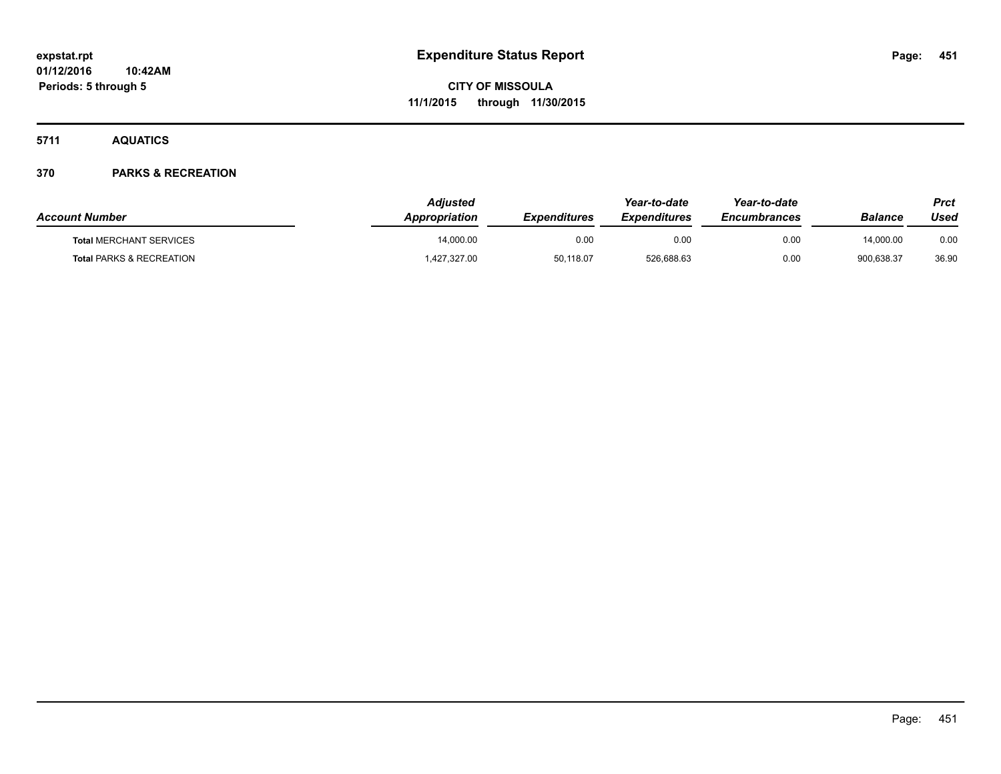**5711 AQUATICS**

| <b>Account Number</b>               | Adiusted<br><b>Appropriation</b> | <b>Expenditures</b> | Year-to-date<br><b>Expenditures</b> | Year-to-date<br><b>Encumbrances</b> | Balance    | Prct<br>Used |
|-------------------------------------|----------------------------------|---------------------|-------------------------------------|-------------------------------------|------------|--------------|
| <b>Total MERCHANT SERVICES</b>      | 14.000.00                        | 0.00                | 0.00                                | 0.00                                | 14.000.00  | 0.00         |
| <b>Total PARKS &amp; RECREATION</b> | 427,327.00                       | 50,118.07           | 526,688.63                          | 0.00                                | 900.638.37 | 36.90        |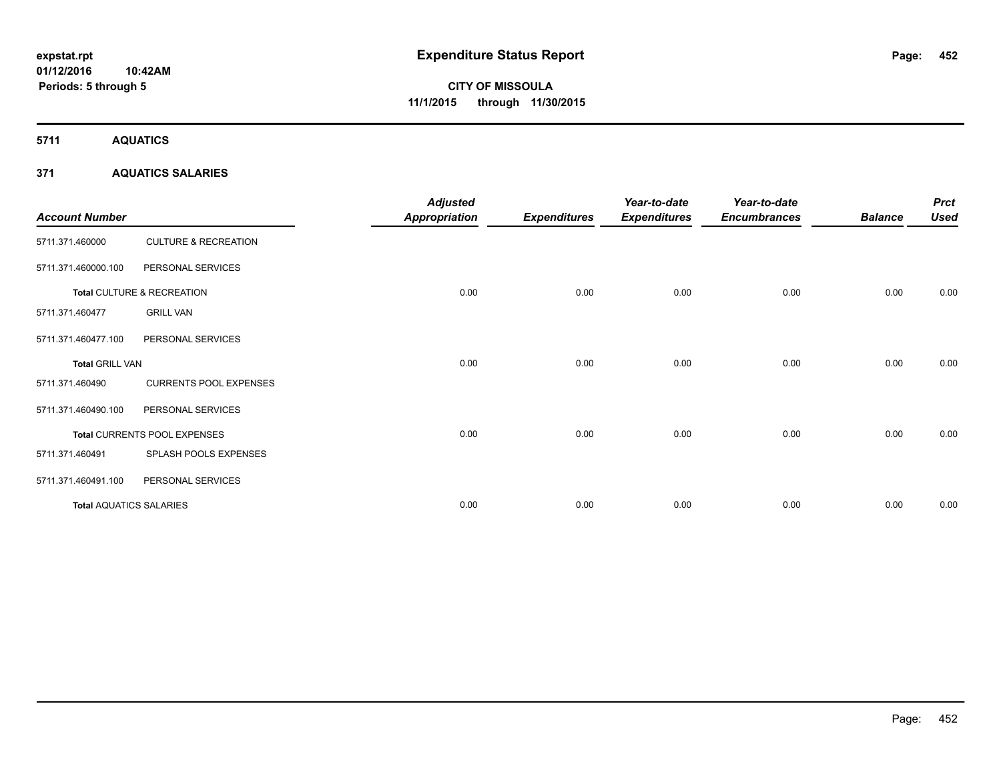**5711 AQUATICS**

## **371 AQUATICS SALARIES**

| <b>Account Number</b>          |                                 | <b>Adjusted</b><br><b>Appropriation</b> | <b>Expenditures</b> | Year-to-date<br><b>Expenditures</b> | Year-to-date<br><b>Encumbrances</b> | <b>Balance</b> | <b>Prct</b><br><b>Used</b> |
|--------------------------------|---------------------------------|-----------------------------------------|---------------------|-------------------------------------|-------------------------------------|----------------|----------------------------|
| 5711.371.460000                | <b>CULTURE &amp; RECREATION</b> |                                         |                     |                                     |                                     |                |                            |
| 5711.371.460000.100            | PERSONAL SERVICES               |                                         |                     |                                     |                                     |                |                            |
|                                | Total CULTURE & RECREATION      | 0.00                                    | 0.00                | 0.00                                | 0.00                                | 0.00           | 0.00                       |
| 5711.371.460477                | <b>GRILL VAN</b>                |                                         |                     |                                     |                                     |                |                            |
| 5711.371.460477.100            | PERSONAL SERVICES               |                                         |                     |                                     |                                     |                |                            |
| <b>Total GRILL VAN</b>         |                                 | 0.00                                    | 0.00                | 0.00                                | 0.00                                | 0.00           | 0.00                       |
| 5711.371.460490                | <b>CURRENTS POOL EXPENSES</b>   |                                         |                     |                                     |                                     |                |                            |
| 5711.371.460490.100            | PERSONAL SERVICES               |                                         |                     |                                     |                                     |                |                            |
|                                | Total CURRENTS POOL EXPENSES    | 0.00                                    | 0.00                | 0.00                                | 0.00                                | 0.00           | 0.00                       |
| 5711.371.460491                | SPLASH POOLS EXPENSES           |                                         |                     |                                     |                                     |                |                            |
| 5711.371.460491.100            | PERSONAL SERVICES               |                                         |                     |                                     |                                     |                |                            |
| <b>Total AQUATICS SALARIES</b> |                                 | 0.00                                    | 0.00                | 0.00                                | 0.00                                | 0.00           | 0.00                       |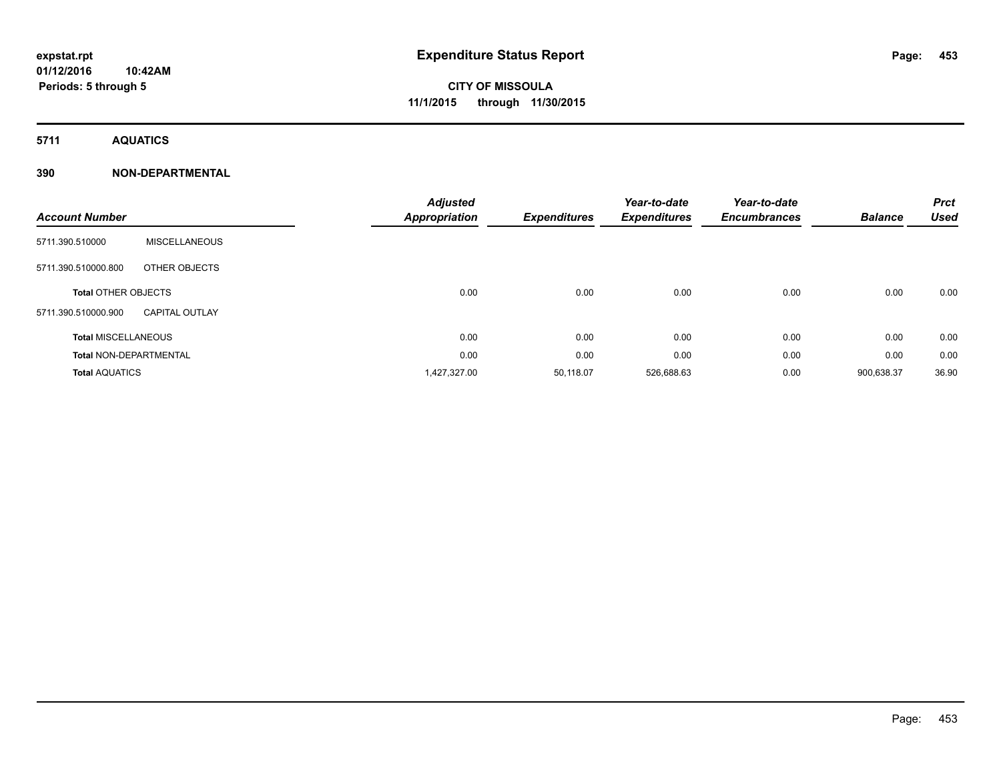**5711 AQUATICS**

## **390 NON-DEPARTMENTAL**

| <b>Account Number</b>         |                       | <b>Adjusted</b><br><b>Appropriation</b> | <b>Expenditures</b> | Year-to-date<br><b>Expenditures</b> | Year-to-date<br><b>Encumbrances</b> | <b>Balance</b> | <b>Prct</b><br><b>Used</b> |
|-------------------------------|-----------------------|-----------------------------------------|---------------------|-------------------------------------|-------------------------------------|----------------|----------------------------|
| 5711.390.510000               | <b>MISCELLANEOUS</b>  |                                         |                     |                                     |                                     |                |                            |
| 5711.390.510000.800           | OTHER OBJECTS         |                                         |                     |                                     |                                     |                |                            |
| <b>Total OTHER OBJECTS</b>    |                       | 0.00                                    | 0.00                | 0.00                                | 0.00                                | 0.00           | 0.00                       |
| 5711.390.510000.900           | <b>CAPITAL OUTLAY</b> |                                         |                     |                                     |                                     |                |                            |
| <b>Total MISCELLANEOUS</b>    |                       | 0.00                                    | 0.00                | 0.00                                | 0.00                                | 0.00           | 0.00                       |
| <b>Total NON-DEPARTMENTAL</b> |                       | 0.00                                    | 0.00                | 0.00                                | 0.00                                | 0.00           | 0.00                       |
| <b>Total AQUATICS</b>         |                       | 1,427,327.00                            | 50,118.07           | 526,688.63                          | 0.00                                | 900,638.37     | 36.90                      |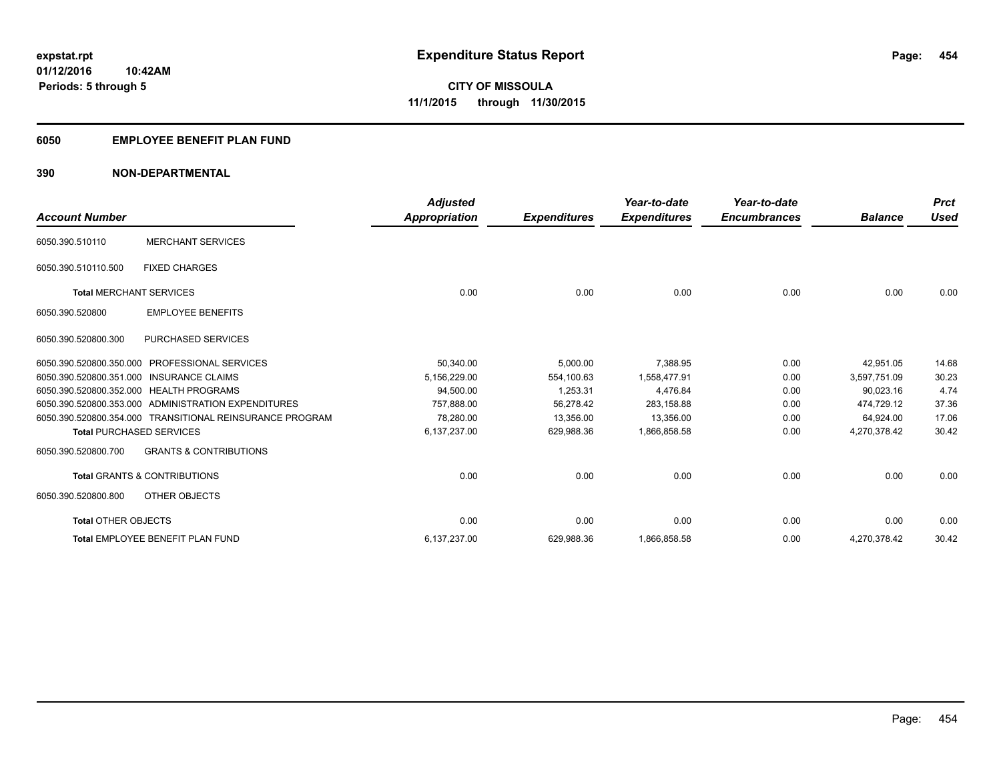## **6050 EMPLOYEE BENEFIT PLAN FUND**

## **390 NON-DEPARTMENTAL**

| <b>Account Number</b>           |                                                          | <b>Adjusted</b><br><b>Appropriation</b> | <b>Expenditures</b> | Year-to-date<br><b>Expenditures</b> | Year-to-date<br><b>Encumbrances</b> | <b>Balance</b> | <b>Prct</b><br><b>Used</b> |
|---------------------------------|----------------------------------------------------------|-----------------------------------------|---------------------|-------------------------------------|-------------------------------------|----------------|----------------------------|
| 6050.390.510110                 | <b>MERCHANT SERVICES</b>                                 |                                         |                     |                                     |                                     |                |                            |
| 6050.390.510110.500             | <b>FIXED CHARGES</b>                                     |                                         |                     |                                     |                                     |                |                            |
| <b>Total MERCHANT SERVICES</b>  |                                                          | 0.00                                    | 0.00                | 0.00                                | 0.00                                | 0.00           | 0.00                       |
| 6050.390.520800                 | <b>EMPLOYEE BENEFITS</b>                                 |                                         |                     |                                     |                                     |                |                            |
| 6050.390.520800.300             | <b>PURCHASED SERVICES</b>                                |                                         |                     |                                     |                                     |                |                            |
| 6050.390.520800.350.000         | <b>PROFESSIONAL SERVICES</b>                             | 50,340.00                               | 5,000.00            | 7,388.95                            | 0.00                                | 42.951.05      | 14.68                      |
|                                 | 6050.390.520800.351.000 INSURANCE CLAIMS                 | 5,156,229.00                            | 554.100.63          | 1.558.477.91                        | 0.00                                | 3,597,751.09   | 30.23                      |
|                                 | 6050.390.520800.352.000 HEALTH PROGRAMS                  | 94,500.00                               | 1,253.31            | 4,476.84                            | 0.00                                | 90,023.16      | 4.74                       |
|                                 | 6050.390.520800.353.000 ADMINISTRATION EXPENDITURES      | 757.888.00                              | 56,278.42           | 283.158.88                          | 0.00                                | 474.729.12     | 37.36                      |
|                                 | 6050.390.520800.354.000 TRANSITIONAL REINSURANCE PROGRAM | 78.280.00                               | 13,356.00           | 13,356.00                           | 0.00                                | 64,924.00      | 17.06                      |
| <b>Total PURCHASED SERVICES</b> |                                                          | 6,137,237.00                            | 629,988.36          | 1,866,858.58                        | 0.00                                | 4,270,378.42   | 30.42                      |
| 6050.390.520800.700             | <b>GRANTS &amp; CONTRIBUTIONS</b>                        |                                         |                     |                                     |                                     |                |                            |
|                                 | <b>Total GRANTS &amp; CONTRIBUTIONS</b>                  | 0.00                                    | 0.00                | 0.00                                | 0.00                                | 0.00           | 0.00                       |
| 6050.390.520800.800             | OTHER OBJECTS                                            |                                         |                     |                                     |                                     |                |                            |
| <b>Total OTHER OBJECTS</b>      |                                                          | 0.00                                    | 0.00                | 0.00                                | 0.00                                | 0.00           | 0.00                       |
|                                 | Total EMPLOYEE BENEFIT PLAN FUND                         | 6,137,237.00                            | 629,988.36          | 1,866,858.58                        | 0.00                                | 4,270,378.42   | 30.42                      |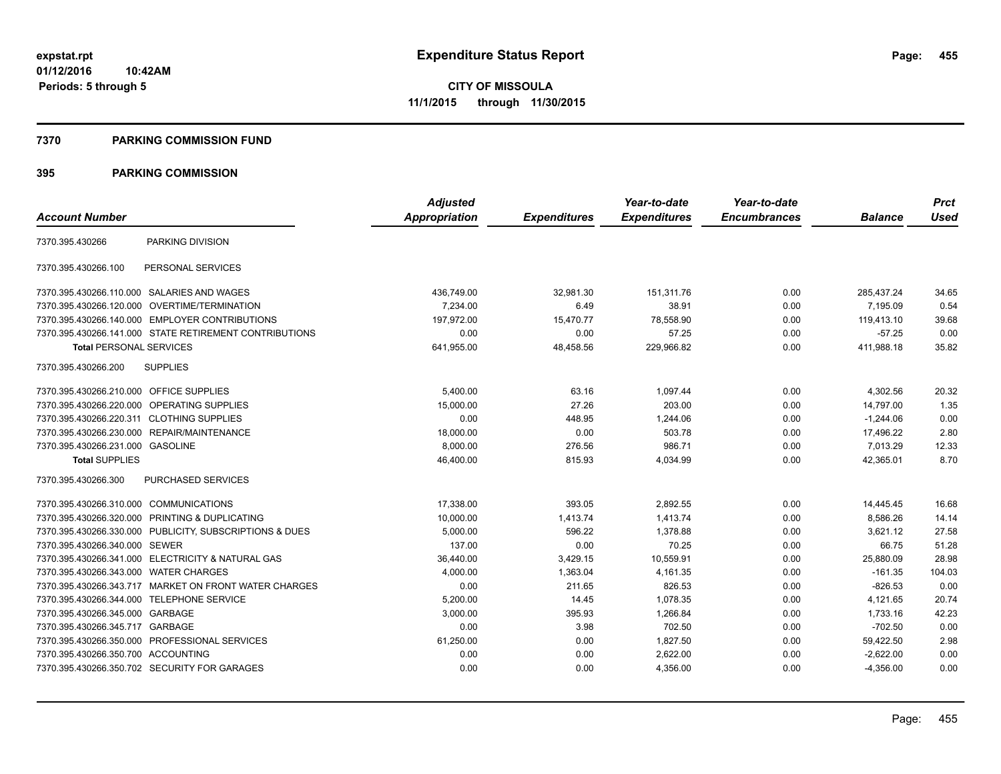#### **7370 PARKING COMMISSION FUND**

|                                           |                                                         | <b>Adjusted</b>      |                     | Year-to-date        | Year-to-date        |                | <b>Prct</b> |
|-------------------------------------------|---------------------------------------------------------|----------------------|---------------------|---------------------|---------------------|----------------|-------------|
| <b>Account Number</b>                     |                                                         | <b>Appropriation</b> | <b>Expenditures</b> | <b>Expenditures</b> | <b>Encumbrances</b> | <b>Balance</b> | <b>Used</b> |
| 7370.395.430266                           | PARKING DIVISION                                        |                      |                     |                     |                     |                |             |
| 7370.395.430266.100                       | PERSONAL SERVICES                                       |                      |                     |                     |                     |                |             |
|                                           | 7370.395.430266.110.000 SALARIES AND WAGES              | 436,749.00           | 32.981.30           | 151.311.76          | 0.00                | 285.437.24     | 34.65       |
| 7370.395.430266.120.000                   | OVERTIME/TERMINATION                                    | 7,234.00             | 6.49                | 38.91               | 0.00                | 7.195.09       | 0.54        |
|                                           | 7370.395.430266.140.000 EMPLOYER CONTRIBUTIONS          | 197.972.00           | 15,470.77           | 78,558.90           | 0.00                | 119,413.10     | 39.68       |
|                                           | 7370.395.430266.141.000 STATE RETIREMENT CONTRIBUTIONS  | 0.00                 | 0.00                | 57.25               | 0.00                | $-57.25$       | 0.00        |
| <b>Total PERSONAL SERVICES</b>            |                                                         | 641,955.00           | 48,458.56           | 229,966.82          | 0.00                | 411,988.18     | 35.82       |
| 7370.395.430266.200                       | <b>SUPPLIES</b>                                         |                      |                     |                     |                     |                |             |
| 7370.395.430266.210.000 OFFICE SUPPLIES   |                                                         | 5.400.00             | 63.16               | 1,097.44            | 0.00                | 4,302.56       | 20.32       |
|                                           | 7370.395.430266.220.000 OPERATING SUPPLIES              | 15,000.00            | 27.26               | 203.00              | 0.00                | 14.797.00      | 1.35        |
| 7370.395.430266.220.311 CLOTHING SUPPLIES |                                                         | 0.00                 | 448.95              | 1,244.06            | 0.00                | $-1,244.06$    | 0.00        |
|                                           | 7370.395.430266.230.000 REPAIR/MAINTENANCE              | 18,000.00            | 0.00                | 503.78              | 0.00                | 17,496.22      | 2.80        |
| 7370.395.430266.231.000 GASOLINE          |                                                         | 8,000.00             | 276.56              | 986.71              | 0.00                | 7,013.29       | 12.33       |
| <b>Total SUPPLIES</b>                     |                                                         | 46,400.00            | 815.93              | 4,034.99            | 0.00                | 42,365.01      | 8.70        |
| 7370.395.430266.300                       | <b>PURCHASED SERVICES</b>                               |                      |                     |                     |                     |                |             |
| 7370.395.430266.310.000 COMMUNICATIONS    |                                                         | 17,338.00            | 393.05              | 2,892.55            | 0.00                | 14,445.45      | 16.68       |
|                                           | 7370.395.430266.320.000 PRINTING & DUPLICATING          | 10,000.00            | 1,413.74            | 1,413.74            | 0.00                | 8,586.26       | 14.14       |
|                                           | 7370.395.430266.330.000 PUBLICITY, SUBSCRIPTIONS & DUES | 5,000.00             | 596.22              | 1,378.88            | 0.00                | 3,621.12       | 27.58       |
| 7370.395.430266.340.000 SEWER             |                                                         | 137.00               | 0.00                | 70.25               | 0.00                | 66.75          | 51.28       |
|                                           | 7370.395.430266.341.000 ELECTRICITY & NATURAL GAS       | 36,440.00            | 3,429.15            | 10,559.91           | 0.00                | 25,880.09      | 28.98       |
| 7370.395.430266.343.000 WATER CHARGES     |                                                         | 4,000.00             | 1,363.04            | 4,161.35            | 0.00                | $-161.35$      | 104.03      |
|                                           | 7370.395.430266.343.717 MARKET ON FRONT WATER CHARGES   | 0.00                 | 211.65              | 826.53              | 0.00                | $-826.53$      | 0.00        |
| 7370.395.430266.344.000 TELEPHONE SERVICE |                                                         | 5,200.00             | 14.45               | 1,078.35            | 0.00                | 4,121.65       | 20.74       |
| 7370.395.430266.345.000 GARBAGE           |                                                         | 3,000.00             | 395.93              | 1,266.84            | 0.00                | 1,733.16       | 42.23       |
| 7370.395.430266.345.717 GARBAGE           |                                                         | 0.00                 | 3.98                | 702.50              | 0.00                | $-702.50$      | 0.00        |
| 7370.395.430266.350.000                   | PROFESSIONAL SERVICES                                   | 61,250.00            | 0.00                | 1,827.50            | 0.00                | 59,422.50      | 2.98        |
| 7370.395.430266.350.700 ACCOUNTING        |                                                         | 0.00                 | 0.00                | 2,622.00            | 0.00                | $-2,622.00$    | 0.00        |
|                                           | 7370.395.430266.350.702 SECURITY FOR GARAGES            | 0.00                 | 0.00                | 4,356.00            | 0.00                | $-4,356.00$    | 0.00        |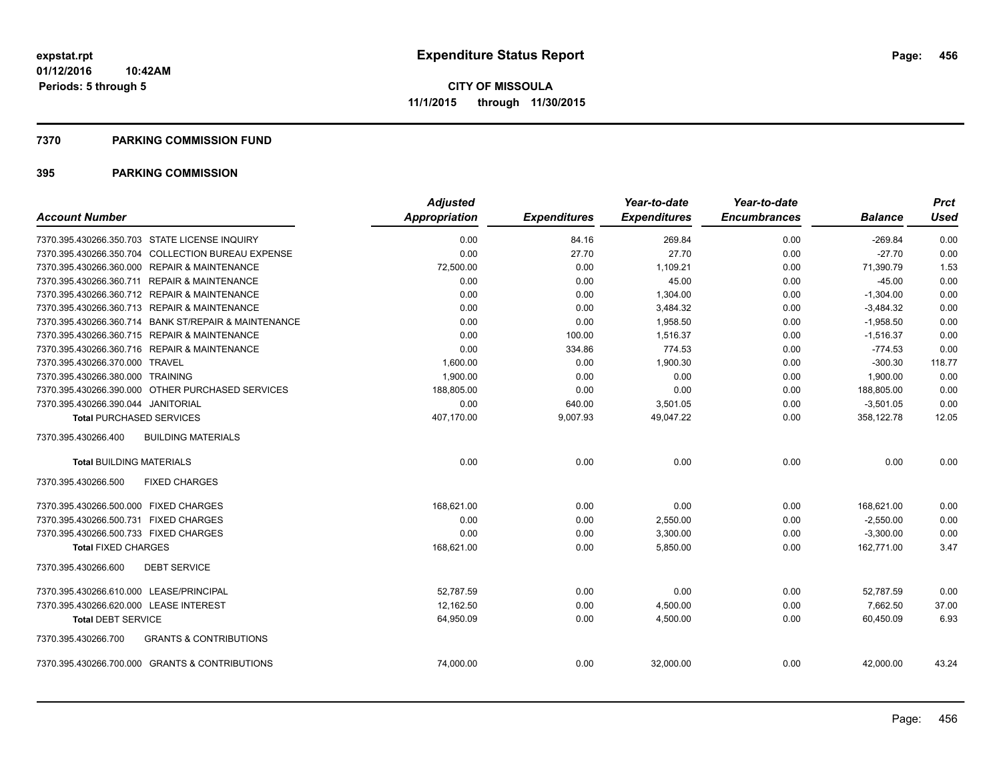#### **7370 PARKING COMMISSION FUND**

| <b>Account Number</b>                                    | <b>Adjusted</b><br><b>Appropriation</b> | <b>Expenditures</b> | Year-to-date<br><b>Expenditures</b> | Year-to-date<br><b>Encumbrances</b> | <b>Balance</b> | <b>Prct</b><br><b>Used</b> |
|----------------------------------------------------------|-----------------------------------------|---------------------|-------------------------------------|-------------------------------------|----------------|----------------------------|
|                                                          |                                         |                     |                                     |                                     |                |                            |
| 7370.395.430266.350.703 STATE LICENSE INQUIRY            | 0.00                                    | 84.16               | 269.84                              | 0.00                                | $-269.84$      | 0.00                       |
| 7370.395.430266.350.704 COLLECTION BUREAU EXPENSE        | 0.00                                    | 27.70               | 27.70                               | 0.00                                | $-27.70$       | 0.00                       |
| 7370.395.430266.360.000 REPAIR & MAINTENANCE             | 72,500.00                               | 0.00                | 1,109.21                            | 0.00                                | 71,390.79      | 1.53                       |
| 7370.395.430266.360.711 REPAIR & MAINTENANCE             | 0.00                                    | 0.00                | 45.00                               | 0.00                                | $-45.00$       | 0.00                       |
| 7370.395.430266.360.712 REPAIR & MAINTENANCE             | 0.00                                    | 0.00                | 1,304.00                            | 0.00                                | $-1,304.00$    | 0.00                       |
| 7370.395.430266.360.713 REPAIR & MAINTENANCE             | 0.00                                    | 0.00                | 3,484.32                            | 0.00                                | $-3,484.32$    | 0.00                       |
| 7370.395.430266.360.714 BANK ST/REPAIR & MAINTENANCE     | 0.00                                    | 0.00                | 1.958.50                            | 0.00                                | $-1,958.50$    | 0.00                       |
| 7370.395.430266.360.715 REPAIR & MAINTENANCE             | 0.00                                    | 100.00              | 1,516.37                            | 0.00                                | $-1,516.37$    | 0.00                       |
| 7370.395.430266.360.716 REPAIR & MAINTENANCE             | 0.00                                    | 334.86              | 774.53                              | 0.00                                | $-774.53$      | 0.00                       |
| 7370.395.430266.370.000 TRAVEL                           | 1,600.00                                | 0.00                | 1,900.30                            | 0.00                                | $-300.30$      | 118.77                     |
| 7370.395.430266.380.000 TRAINING                         | 1,900.00                                | 0.00                | 0.00                                | 0.00                                | 1,900.00       | 0.00                       |
| 7370.395.430266.390.000 OTHER PURCHASED SERVICES         | 188,805.00                              | 0.00                | 0.00                                | 0.00                                | 188,805.00     | 0.00                       |
| 7370.395.430266.390.044 JANITORIAL                       | 0.00                                    | 640.00              | 3,501.05                            | 0.00                                | $-3,501.05$    | 0.00                       |
| <b>Total PURCHASED SERVICES</b>                          | 407,170.00                              | 9,007.93            | 49,047.22                           | 0.00                                | 358,122.78     | 12.05                      |
| 7370.395.430266.400<br><b>BUILDING MATERIALS</b>         |                                         |                     |                                     |                                     |                |                            |
| <b>Total BUILDING MATERIALS</b>                          | 0.00                                    | 0.00                | 0.00                                | 0.00                                | 0.00           | 0.00                       |
| 7370.395.430266.500<br><b>FIXED CHARGES</b>              |                                         |                     |                                     |                                     |                |                            |
| 7370.395.430266.500.000 FIXED CHARGES                    | 168,621.00                              | 0.00                | 0.00                                | 0.00                                | 168,621.00     | 0.00                       |
| 7370.395.430266.500.731 FIXED CHARGES                    | 0.00                                    | 0.00                | 2,550.00                            | 0.00                                | $-2,550.00$    | 0.00                       |
| 7370.395.430266.500.733 FIXED CHARGES                    | 0.00                                    | 0.00                | 3,300.00                            | 0.00                                | $-3,300.00$    | 0.00                       |
| <b>Total FIXED CHARGES</b>                               | 168,621.00                              | 0.00                | 5,850.00                            | 0.00                                | 162,771.00     | 3.47                       |
| 7370.395.430266.600<br><b>DEBT SERVICE</b>               |                                         |                     |                                     |                                     |                |                            |
| 7370.395.430266.610.000 LEASE/PRINCIPAL                  | 52.787.59                               | 0.00                | 0.00                                | 0.00                                | 52,787.59      | 0.00                       |
| 7370.395.430266.620.000 LEASE INTEREST                   | 12,162.50                               | 0.00                | 4,500.00                            | 0.00                                | 7,662.50       | 37.00                      |
| <b>Total DEBT SERVICE</b>                                | 64,950.09                               | 0.00                | 4,500.00                            | 0.00                                | 60,450.09      | 6.93                       |
| <b>GRANTS &amp; CONTRIBUTIONS</b><br>7370.395.430266.700 |                                         |                     |                                     |                                     |                |                            |
| 7370.395.430266.700.000 GRANTS & CONTRIBUTIONS           | 74,000.00                               | 0.00                | 32,000.00                           | 0.00                                | 42,000.00      | 43.24                      |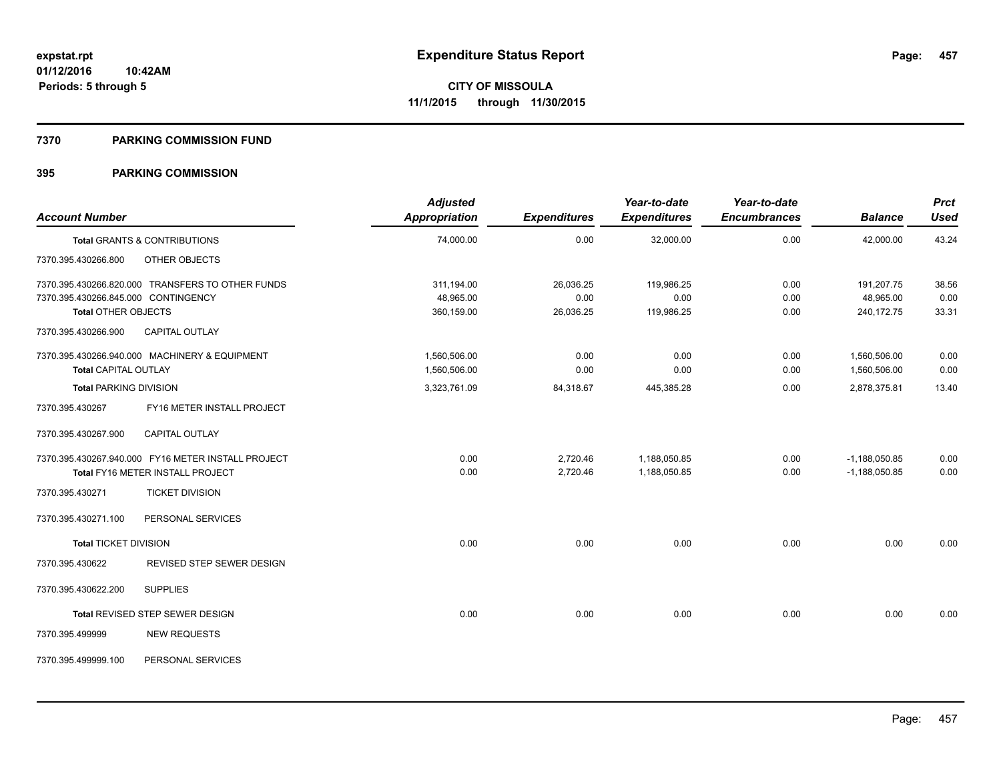#### **7370 PARKING COMMISSION FUND**

| <b>Account Number</b>                                             |                                                                                               | <b>Adjusted</b><br>Appropriation             | <b>Expenditures</b>            | Year-to-date<br><b>Expenditures</b> | Year-to-date<br><b>Encumbrances</b> | <b>Balance</b>                               | <b>Prct</b><br><b>Used</b> |
|-------------------------------------------------------------------|-----------------------------------------------------------------------------------------------|----------------------------------------------|--------------------------------|-------------------------------------|-------------------------------------|----------------------------------------------|----------------------------|
|                                                                   | <b>Total GRANTS &amp; CONTRIBUTIONS</b>                                                       | 74,000.00                                    | 0.00                           | 32,000.00                           | 0.00                                | 42,000.00                                    | 43.24                      |
| 7370.395.430266.800                                               | <b>OTHER OBJECTS</b>                                                                          |                                              |                                |                                     |                                     |                                              |                            |
| 7370.395.430266.845.000 CONTINGENCY<br><b>Total OTHER OBJECTS</b> | 7370.395.430266.820.000 TRANSFERS TO OTHER FUNDS                                              | 311,194.00<br>48,965.00<br>360,159.00        | 26,036.25<br>0.00<br>26,036.25 | 119,986.25<br>0.00<br>119,986.25    | 0.00<br>0.00<br>0.00                | 191,207.75<br>48,965.00<br>240,172.75        | 38.56<br>0.00<br>33.31     |
| 7370.395.430266.900                                               | <b>CAPITAL OUTLAY</b>                                                                         |                                              |                                |                                     |                                     |                                              |                            |
| Total CAPITAL OUTLAY<br><b>Total PARKING DIVISION</b>             | 7370.395.430266.940.000 MACHINERY & EQUIPMENT                                                 | 1,560,506.00<br>1,560,506.00<br>3,323,761.09 | 0.00<br>0.00<br>84,318.67      | 0.00<br>0.00<br>445,385.28          | 0.00<br>0.00<br>0.00                | 1,560,506.00<br>1,560,506.00<br>2,878,375.81 | 0.00<br>0.00<br>13.40      |
| 7370.395.430267                                                   | FY16 METER INSTALL PROJECT                                                                    |                                              |                                |                                     |                                     |                                              |                            |
| 7370.395.430267.900                                               | <b>CAPITAL OUTLAY</b>                                                                         |                                              |                                |                                     |                                     |                                              |                            |
|                                                                   | 7370.395.430267.940.000 FY16 METER INSTALL PROJECT<br><b>Total FY16 METER INSTALL PROJECT</b> | 0.00<br>0.00                                 | 2,720.46<br>2,720.46           | 1,188,050.85<br>1,188,050.85        | 0.00<br>0.00                        | $-1,188,050.85$<br>$-1,188,050.85$           | 0.00<br>0.00               |
| 7370.395.430271                                                   | <b>TICKET DIVISION</b>                                                                        |                                              |                                |                                     |                                     |                                              |                            |
| 7370.395.430271.100                                               | PERSONAL SERVICES                                                                             |                                              |                                |                                     |                                     |                                              |                            |
| <b>Total TICKET DIVISION</b>                                      |                                                                                               | 0.00                                         | 0.00                           | 0.00                                | 0.00                                | 0.00                                         | 0.00                       |
| 7370.395.430622                                                   | REVISED STEP SEWER DESIGN                                                                     |                                              |                                |                                     |                                     |                                              |                            |
| 7370.395.430622.200                                               | <b>SUPPLIES</b>                                                                               |                                              |                                |                                     |                                     |                                              |                            |
|                                                                   | Total REVISED STEP SEWER DESIGN                                                               | 0.00                                         | 0.00                           | 0.00                                | 0.00                                | 0.00                                         | 0.00                       |
| 7370.395.499999                                                   | <b>NEW REQUESTS</b>                                                                           |                                              |                                |                                     |                                     |                                              |                            |
| 7370.395.499999.100                                               | PERSONAL SERVICES                                                                             |                                              |                                |                                     |                                     |                                              |                            |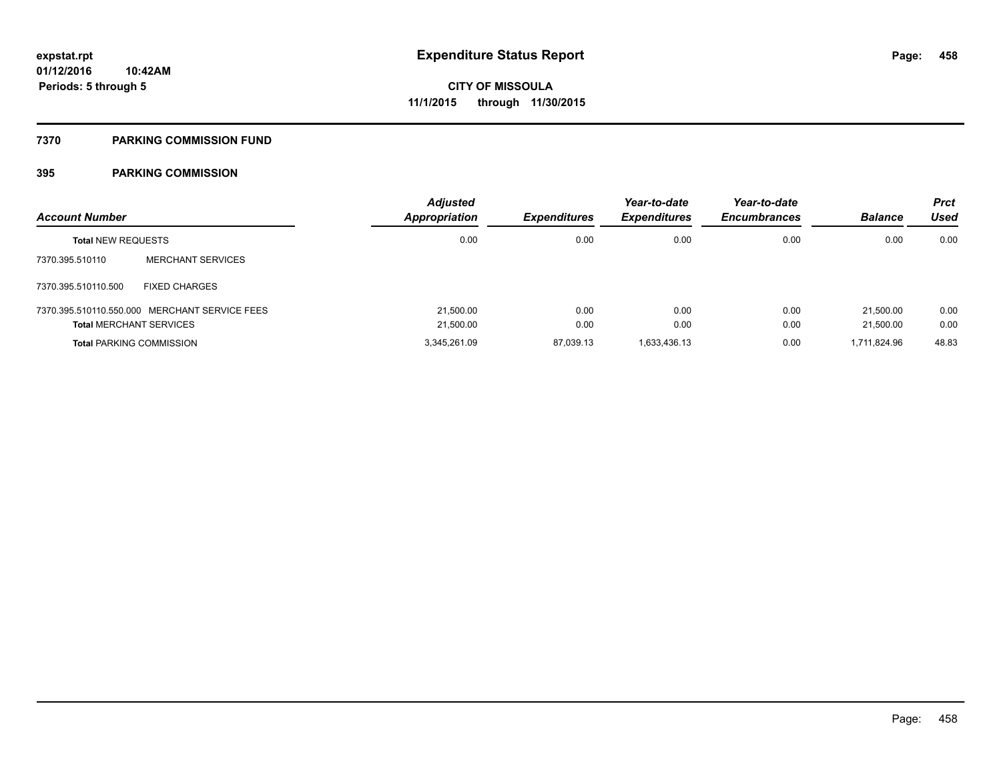#### **7370 PARKING COMMISSION FUND**

| <b>Account Number</b>           |                                               | <b>Adjusted</b><br><b>Appropriation</b> | <b>Expenditures</b> | Year-to-date<br><b>Expenditures</b> | Year-to-date<br><b>Encumbrances</b> | <b>Balance</b> | <b>Prct</b><br>Used |
|---------------------------------|-----------------------------------------------|-----------------------------------------|---------------------|-------------------------------------|-------------------------------------|----------------|---------------------|
| <b>Total NEW REQUESTS</b>       |                                               | 0.00                                    | 0.00                | 0.00                                | 0.00                                | 0.00           | 0.00                |
| 7370.395.510110                 | <b>MERCHANT SERVICES</b>                      |                                         |                     |                                     |                                     |                |                     |
| 7370.395.510110.500             | <b>FIXED CHARGES</b>                          |                                         |                     |                                     |                                     |                |                     |
|                                 | 7370.395.510110.550.000 MERCHANT SERVICE FEES | 21,500.00                               | 0.00                | 0.00                                | 0.00                                | 21,500.00      | 0.00                |
| <b>Total MERCHANT SERVICES</b>  |                                               | 21,500.00                               | 0.00                | 0.00                                | 0.00                                | 21,500.00      | 0.00                |
| <b>Total PARKING COMMISSION</b> |                                               | 3,345,261.09                            | 87,039.13           | 1,633,436.13                        | 0.00                                | 1.711.824.96   | 48.83               |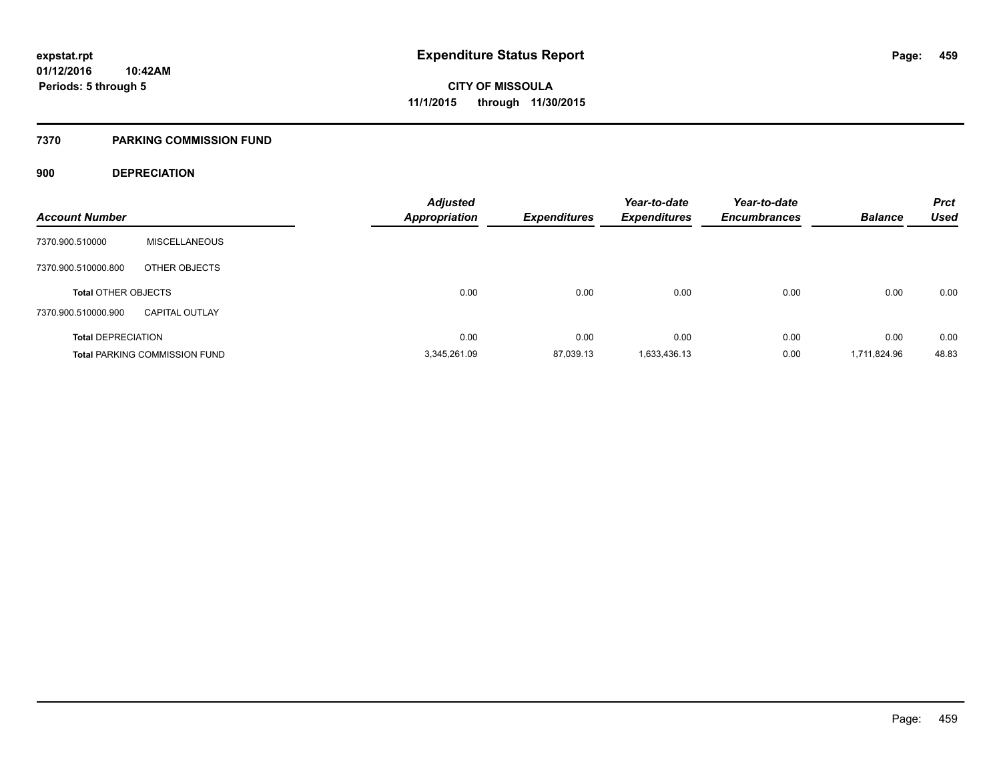#### **7370 PARKING COMMISSION FUND**

## **900 DEPRECIATION**

| <b>Account Number</b>      |                                      | <b>Adjusted</b><br><b>Appropriation</b> | <b>Expenditures</b> | Year-to-date<br><b>Expenditures</b> | Year-to-date<br><b>Encumbrances</b> | <b>Balance</b> | <b>Prct</b><br><b>Used</b> |
|----------------------------|--------------------------------------|-----------------------------------------|---------------------|-------------------------------------|-------------------------------------|----------------|----------------------------|
|                            |                                      |                                         |                     |                                     |                                     |                |                            |
| 7370.900.510000            | <b>MISCELLANEOUS</b>                 |                                         |                     |                                     |                                     |                |                            |
| 7370.900.510000.800        | OTHER OBJECTS                        |                                         |                     |                                     |                                     |                |                            |
| <b>Total OTHER OBJECTS</b> |                                      | 0.00                                    | 0.00                | 0.00                                | 0.00                                | 0.00           | 0.00                       |
| 7370.900.510000.900        | <b>CAPITAL OUTLAY</b>                |                                         |                     |                                     |                                     |                |                            |
| <b>Total DEPRECIATION</b>  |                                      | 0.00                                    | 0.00                | 0.00                                | 0.00                                | 0.00           | 0.00                       |
|                            | <b>Total PARKING COMMISSION FUND</b> | 3.345.261.09                            | 87,039.13           | 1,633,436.13                        | 0.00                                | 1.711.824.96   | 48.83                      |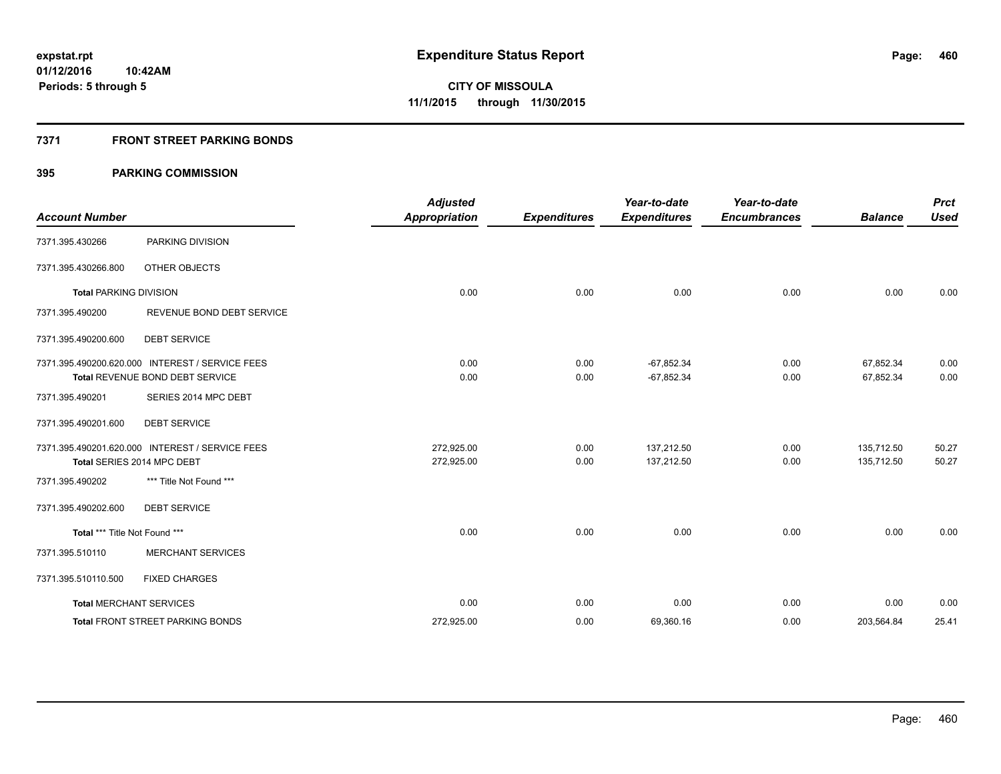## **7371 FRONT STREET PARKING BONDS**

| <b>Account Number</b>         |                                                 | <b>Adjusted</b><br><b>Appropriation</b> | <b>Expenditures</b> | Year-to-date<br><b>Expenditures</b> | Year-to-date<br><b>Encumbrances</b> | <b>Balance</b> | <b>Prct</b><br><b>Used</b> |
|-------------------------------|-------------------------------------------------|-----------------------------------------|---------------------|-------------------------------------|-------------------------------------|----------------|----------------------------|
| 7371.395.430266               | PARKING DIVISION                                |                                         |                     |                                     |                                     |                |                            |
| 7371.395.430266.800           | OTHER OBJECTS                                   |                                         |                     |                                     |                                     |                |                            |
| <b>Total PARKING DIVISION</b> |                                                 | 0.00                                    | 0.00                | 0.00                                | 0.00                                | 0.00           | 0.00                       |
| 7371.395.490200               | REVENUE BOND DEBT SERVICE                       |                                         |                     |                                     |                                     |                |                            |
| 7371.395.490200.600           | <b>DEBT SERVICE</b>                             |                                         |                     |                                     |                                     |                |                            |
|                               | 7371.395.490200.620.000 INTEREST / SERVICE FEES | 0.00                                    | 0.00                | $-67,852.34$                        | 0.00                                | 67,852.34      | 0.00                       |
|                               | <b>Total REVENUE BOND DEBT SERVICE</b>          | 0.00                                    | 0.00                | $-67,852.34$                        | 0.00                                | 67,852.34      | 0.00                       |
| 7371.395.490201               | SERIES 2014 MPC DEBT                            |                                         |                     |                                     |                                     |                |                            |
| 7371.395.490201.600           | <b>DEBT SERVICE</b>                             |                                         |                     |                                     |                                     |                |                            |
|                               | 7371.395.490201.620.000 INTEREST / SERVICE FEES | 272.925.00                              | 0.00                | 137.212.50                          | 0.00                                | 135,712.50     | 50.27                      |
|                               | Total SERIES 2014 MPC DEBT                      | 272,925.00                              | 0.00                | 137,212.50                          | 0.00                                | 135,712.50     | 50.27                      |
| 7371.395.490202               | *** Title Not Found ***                         |                                         |                     |                                     |                                     |                |                            |
| 7371.395.490202.600           | <b>DEBT SERVICE</b>                             |                                         |                     |                                     |                                     |                |                            |
| Total *** Title Not Found *** |                                                 | 0.00                                    | 0.00                | 0.00                                | 0.00                                | 0.00           | 0.00                       |
| 7371.395.510110               | <b>MERCHANT SERVICES</b>                        |                                         |                     |                                     |                                     |                |                            |
| 7371.395.510110.500           | <b>FIXED CHARGES</b>                            |                                         |                     |                                     |                                     |                |                            |
|                               | <b>Total MERCHANT SERVICES</b>                  | 0.00                                    | 0.00                | 0.00                                | 0.00                                | 0.00           | 0.00                       |
|                               | <b>Total FRONT STREET PARKING BONDS</b>         | 272,925.00                              | 0.00                | 69,360.16                           | 0.00                                | 203,564.84     | 25.41                      |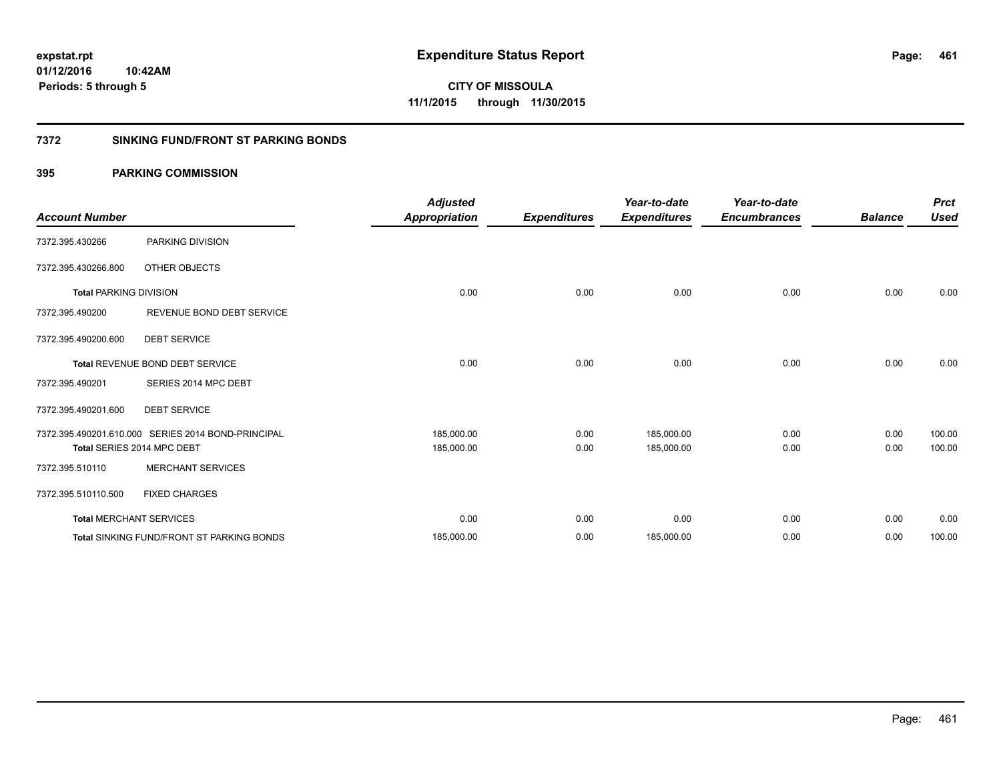**Periods: 5 through 5**

**CITY OF MISSOULA 11/1/2015 through 11/30/2015**

## **7372 SINKING FUND/FRONT ST PARKING BONDS**

| <b>Account Number</b>         |                                                    | <b>Adjusted</b><br><b>Appropriation</b> | <b>Expenditures</b> | Year-to-date<br><b>Expenditures</b> | Year-to-date<br><b>Encumbrances</b> | <b>Balance</b> | <b>Prct</b><br><b>Used</b> |
|-------------------------------|----------------------------------------------------|-----------------------------------------|---------------------|-------------------------------------|-------------------------------------|----------------|----------------------------|
| 7372.395.430266               | PARKING DIVISION                                   |                                         |                     |                                     |                                     |                |                            |
| 7372.395.430266.800           | <b>OTHER OBJECTS</b>                               |                                         |                     |                                     |                                     |                |                            |
| <b>Total PARKING DIVISION</b> |                                                    | 0.00                                    | 0.00                | 0.00                                | 0.00                                | 0.00           | 0.00                       |
| 7372.395.490200               | REVENUE BOND DEBT SERVICE                          |                                         |                     |                                     |                                     |                |                            |
| 7372.395.490200.600           | <b>DEBT SERVICE</b>                                |                                         |                     |                                     |                                     |                |                            |
|                               | Total REVENUE BOND DEBT SERVICE                    | 0.00                                    | 0.00                | 0.00                                | 0.00                                | 0.00           | 0.00                       |
| 7372.395.490201               | SERIES 2014 MPC DEBT                               |                                         |                     |                                     |                                     |                |                            |
| 7372.395.490201.600           | <b>DEBT SERVICE</b>                                |                                         |                     |                                     |                                     |                |                            |
|                               | 7372.395.490201.610.000 SERIES 2014 BOND-PRINCIPAL | 185,000.00                              | 0.00                | 185,000.00                          | 0.00                                | 0.00           | 100.00                     |
|                               | Total SERIES 2014 MPC DEBT                         | 185,000.00                              | 0.00                | 185,000.00                          | 0.00                                | 0.00           | 100.00                     |
| 7372.395.510110               | <b>MERCHANT SERVICES</b>                           |                                         |                     |                                     |                                     |                |                            |
| 7372.395.510110.500           | <b>FIXED CHARGES</b>                               |                                         |                     |                                     |                                     |                |                            |
|                               | <b>Total MERCHANT SERVICES</b>                     | 0.00                                    | 0.00                | 0.00                                | 0.00                                | 0.00           | 0.00                       |
|                               | <b>Total SINKING FUND/FRONT ST PARKING BONDS</b>   | 185,000.00                              | 0.00                | 185,000.00                          | 0.00                                | 0.00           | 100.00                     |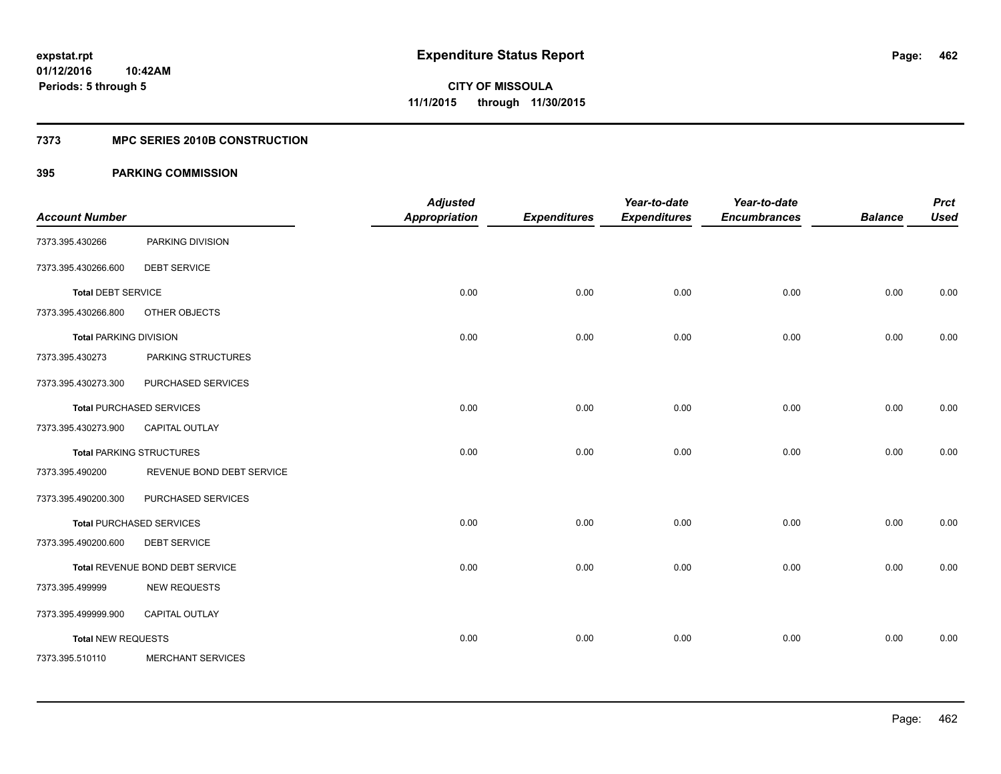## **7373 MPC SERIES 2010B CONSTRUCTION**

| <b>Account Number</b>         |                                 | <b>Adjusted</b><br><b>Appropriation</b> | <b>Expenditures</b> | Year-to-date<br><b>Expenditures</b> | Year-to-date<br><b>Encumbrances</b> | <b>Balance</b> | <b>Prct</b><br><b>Used</b> |
|-------------------------------|---------------------------------|-----------------------------------------|---------------------|-------------------------------------|-------------------------------------|----------------|----------------------------|
| 7373.395.430266               | PARKING DIVISION                |                                         |                     |                                     |                                     |                |                            |
| 7373.395.430266.600           | <b>DEBT SERVICE</b>             |                                         |                     |                                     |                                     |                |                            |
| <b>Total DEBT SERVICE</b>     |                                 | 0.00                                    | 0.00                | 0.00                                | 0.00                                | 0.00           | 0.00                       |
| 7373.395.430266.800           | OTHER OBJECTS                   |                                         |                     |                                     |                                     |                |                            |
| <b>Total PARKING DIVISION</b> |                                 | 0.00                                    | 0.00                | 0.00                                | 0.00                                | 0.00           | 0.00                       |
| 7373.395.430273               | PARKING STRUCTURES              |                                         |                     |                                     |                                     |                |                            |
| 7373.395.430273.300           | PURCHASED SERVICES              |                                         |                     |                                     |                                     |                |                            |
|                               | <b>Total PURCHASED SERVICES</b> | 0.00                                    | 0.00                | 0.00                                | 0.00                                | 0.00           | 0.00                       |
| 7373.395.430273.900           | CAPITAL OUTLAY                  |                                         |                     |                                     |                                     |                |                            |
|                               | <b>Total PARKING STRUCTURES</b> | 0.00                                    | 0.00                | 0.00                                | 0.00                                | 0.00           | 0.00                       |
| 7373.395.490200               | REVENUE BOND DEBT SERVICE       |                                         |                     |                                     |                                     |                |                            |
| 7373.395.490200.300           | PURCHASED SERVICES              |                                         |                     |                                     |                                     |                |                            |
|                               | <b>Total PURCHASED SERVICES</b> | 0.00                                    | 0.00                | 0.00                                | 0.00                                | 0.00           | 0.00                       |
| 7373.395.490200.600           | <b>DEBT SERVICE</b>             |                                         |                     |                                     |                                     |                |                            |
|                               | Total REVENUE BOND DEBT SERVICE | 0.00                                    | 0.00                | 0.00                                | 0.00                                | 0.00           | 0.00                       |
| 7373.395.499999               | <b>NEW REQUESTS</b>             |                                         |                     |                                     |                                     |                |                            |
| 7373.395.499999.900           | CAPITAL OUTLAY                  |                                         |                     |                                     |                                     |                |                            |
| <b>Total NEW REQUESTS</b>     |                                 | 0.00                                    | 0.00                | 0.00                                | 0.00                                | 0.00           | 0.00                       |
| 7373.395.510110               | <b>MERCHANT SERVICES</b>        |                                         |                     |                                     |                                     |                |                            |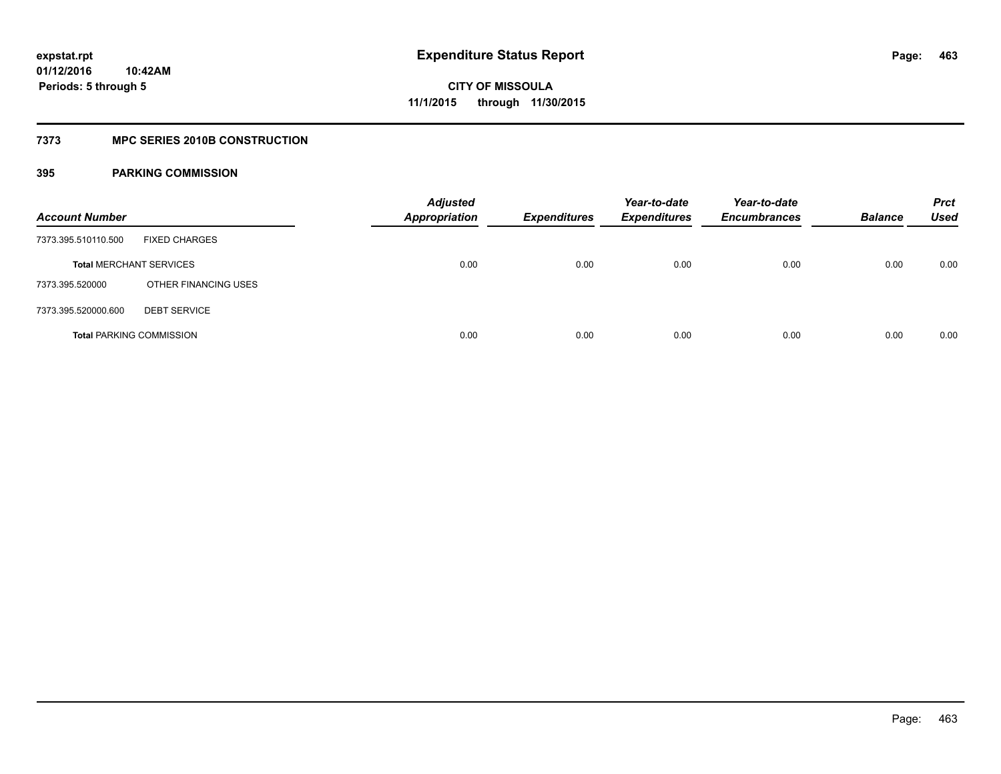## **7373 MPC SERIES 2010B CONSTRUCTION**

| <b>Account Number</b>           |                      | <b>Adjusted</b><br><b>Appropriation</b> | <b>Expenditures</b> | Year-to-date<br><b>Expenditures</b> | Year-to-date<br><b>Encumbrances</b> | <b>Balance</b> | <b>Prct</b><br>Used |
|---------------------------------|----------------------|-----------------------------------------|---------------------|-------------------------------------|-------------------------------------|----------------|---------------------|
| 7373.395.510110.500             | <b>FIXED CHARGES</b> |                                         |                     |                                     |                                     |                |                     |
| <b>Total MERCHANT SERVICES</b>  |                      | 0.00                                    | 0.00                | 0.00                                | 0.00                                | 0.00           | 0.00                |
| 7373.395.520000                 | OTHER FINANCING USES |                                         |                     |                                     |                                     |                |                     |
| 7373.395.520000.600             | <b>DEBT SERVICE</b>  |                                         |                     |                                     |                                     |                |                     |
| <b>Total PARKING COMMISSION</b> |                      | 0.00                                    | 0.00                | 0.00                                | 0.00                                | 0.00           | 0.00                |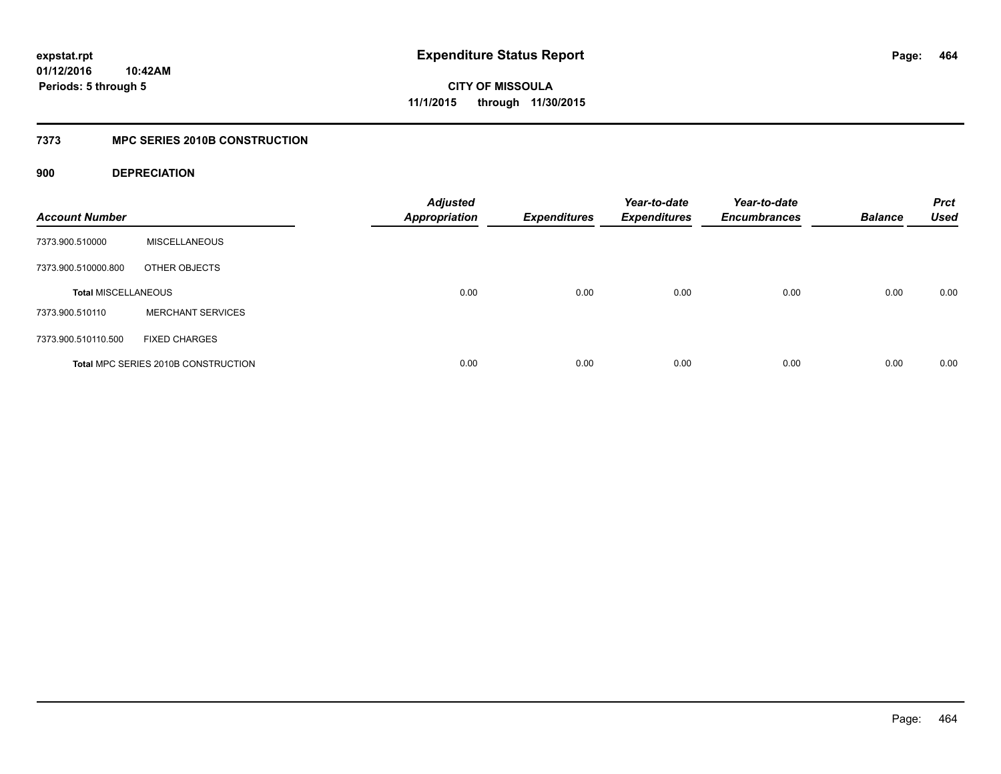## **7373 MPC SERIES 2010B CONSTRUCTION**

## **900 DEPRECIATION**

| <b>Account Number</b>      |                                     | <b>Adjusted</b><br><b>Appropriation</b> | <b>Expenditures</b> | Year-to-date<br><b>Expenditures</b> | Year-to-date<br><b>Encumbrances</b> | <b>Balance</b> | <b>Prct</b><br><b>Used</b> |
|----------------------------|-------------------------------------|-----------------------------------------|---------------------|-------------------------------------|-------------------------------------|----------------|----------------------------|
| 7373.900.510000            | <b>MISCELLANEOUS</b>                |                                         |                     |                                     |                                     |                |                            |
| 7373.900.510000.800        | OTHER OBJECTS                       |                                         |                     |                                     |                                     |                |                            |
| <b>Total MISCELLANEOUS</b> |                                     | 0.00                                    | 0.00                | 0.00                                | 0.00                                | 0.00           | 0.00                       |
| 7373.900.510110            | <b>MERCHANT SERVICES</b>            |                                         |                     |                                     |                                     |                |                            |
| 7373.900.510110.500        | <b>FIXED CHARGES</b>                |                                         |                     |                                     |                                     |                |                            |
|                            | Total MPC SERIES 2010B CONSTRUCTION | 0.00                                    | 0.00                | 0.00                                | 0.00                                | 0.00           | 0.00                       |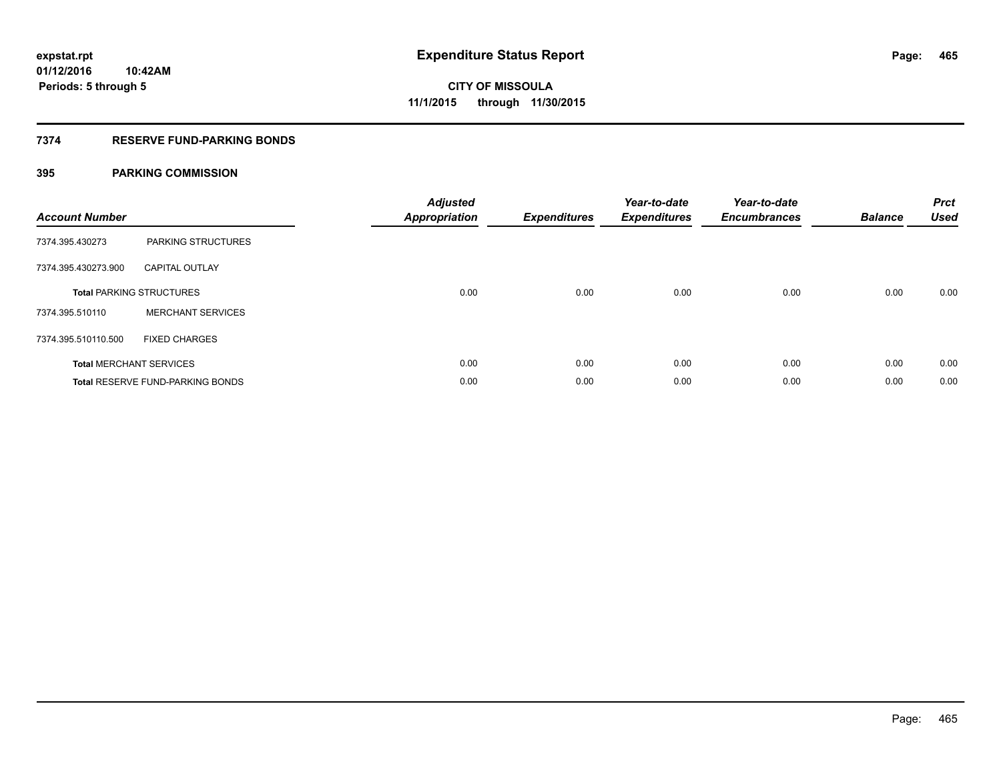## **7374 RESERVE FUND-PARKING BONDS**

| <b>Account Number</b> |                                         | <b>Adjusted</b><br><b>Appropriation</b> | <b>Expenditures</b> | Year-to-date<br><b>Expenditures</b> | Year-to-date<br><b>Encumbrances</b> | <b>Balance</b> | <b>Prct</b><br><b>Used</b> |
|-----------------------|-----------------------------------------|-----------------------------------------|---------------------|-------------------------------------|-------------------------------------|----------------|----------------------------|
| 7374.395.430273       | PARKING STRUCTURES                      |                                         |                     |                                     |                                     |                |                            |
| 7374.395.430273.900   | <b>CAPITAL OUTLAY</b>                   |                                         |                     |                                     |                                     |                |                            |
|                       | <b>Total PARKING STRUCTURES</b>         | 0.00                                    | 0.00                | 0.00                                | 0.00                                | 0.00           | 0.00                       |
| 7374.395.510110       | <b>MERCHANT SERVICES</b>                |                                         |                     |                                     |                                     |                |                            |
| 7374.395.510110.500   | <b>FIXED CHARGES</b>                    |                                         |                     |                                     |                                     |                |                            |
|                       | <b>Total MERCHANT SERVICES</b>          | 0.00                                    | 0.00                | 0.00                                | 0.00                                | 0.00           | 0.00                       |
|                       | <b>Total RESERVE FUND-PARKING BONDS</b> | 0.00                                    | 0.00                | 0.00                                | 0.00                                | 0.00           | 0.00                       |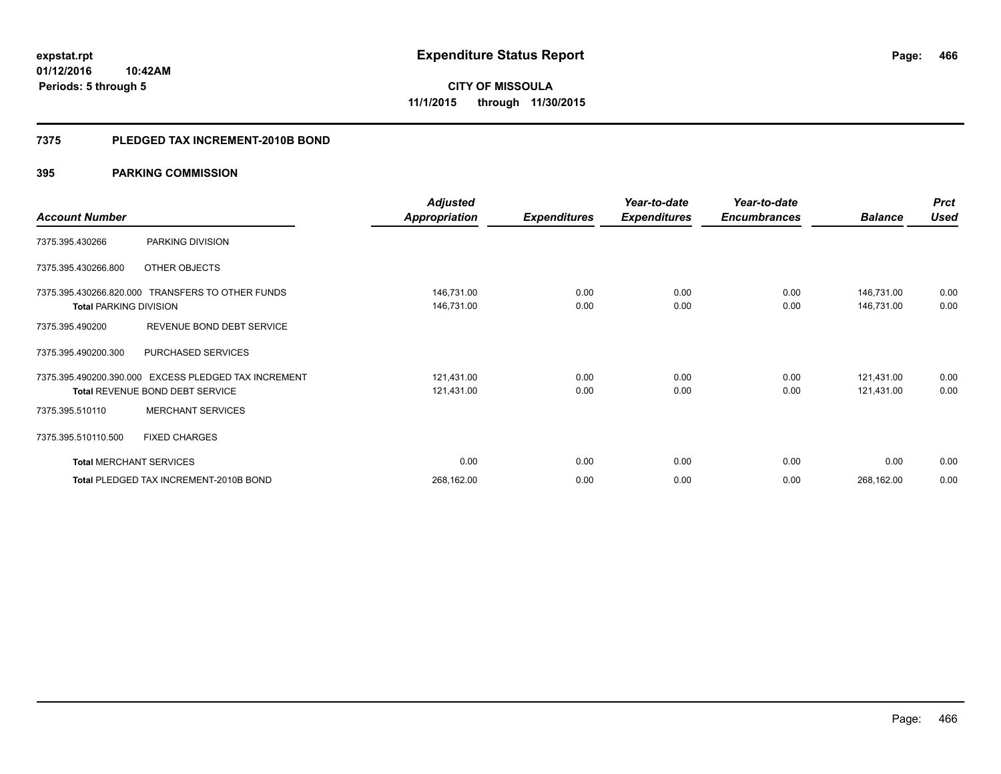**Periods: 5 through 5**

**466**

**CITY OF MISSOULA 11/1/2015 through 11/30/2015**

#### **7375 PLEDGED TAX INCREMENT-2010B BOND**

## **395 PARKING COMMISSION**

**10:42AM**

|                                |                                                      | <b>Adjusted</b>      |                     | Year-to-date        | Year-to-date        |                | <b>Prct</b> |
|--------------------------------|------------------------------------------------------|----------------------|---------------------|---------------------|---------------------|----------------|-------------|
| <b>Account Number</b>          |                                                      | <b>Appropriation</b> | <b>Expenditures</b> | <b>Expenditures</b> | <b>Encumbrances</b> | <b>Balance</b> | <b>Used</b> |
| 7375.395.430266                | PARKING DIVISION                                     |                      |                     |                     |                     |                |             |
| 7375.395.430266.800            | OTHER OBJECTS                                        |                      |                     |                     |                     |                |             |
|                                | 7375.395.430266.820.000 TRANSFERS TO OTHER FUNDS     | 146,731.00           | 0.00                | 0.00                | 0.00                | 146,731.00     | 0.00        |
| <b>Total PARKING DIVISION</b>  |                                                      | 146,731.00           | 0.00                | 0.00                | 0.00                | 146,731.00     | 0.00        |
| 7375.395.490200                | REVENUE BOND DEBT SERVICE                            |                      |                     |                     |                     |                |             |
| 7375.395.490200.300            | PURCHASED SERVICES                                   |                      |                     |                     |                     |                |             |
|                                | 7375.395.490200.390.000 EXCESS PLEDGED TAX INCREMENT | 121,431.00           | 0.00                | 0.00                | 0.00                | 121,431.00     | 0.00        |
|                                | <b>Total REVENUE BOND DEBT SERVICE</b>               | 121,431.00           | 0.00                | 0.00                | 0.00                | 121,431.00     | 0.00        |
| 7375.395.510110                | <b>MERCHANT SERVICES</b>                             |                      |                     |                     |                     |                |             |
| 7375.395.510110.500            | <b>FIXED CHARGES</b>                                 |                      |                     |                     |                     |                |             |
| <b>Total MERCHANT SERVICES</b> |                                                      | 0.00                 | 0.00                | 0.00                | 0.00                | 0.00           | 0.00        |
|                                | Total PLEDGED TAX INCREMENT-2010B BOND               | 268,162.00           | 0.00                | 0.00                | 0.00                | 268,162.00     | 0.00        |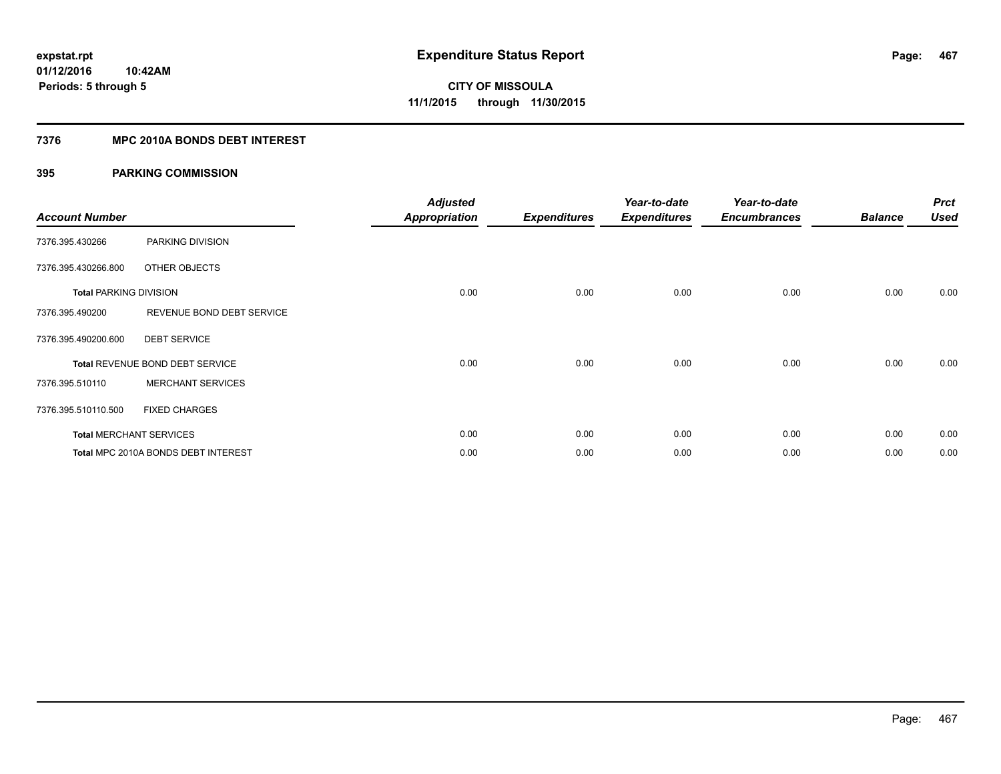## **7376 MPC 2010A BONDS DEBT INTEREST**

| <b>Account Number</b>         |                                     | <b>Adjusted</b><br><b>Appropriation</b> | <b>Expenditures</b> | Year-to-date<br><b>Expenditures</b> | Year-to-date<br><b>Encumbrances</b> | <b>Balance</b> | <b>Prct</b><br><b>Used</b> |
|-------------------------------|-------------------------------------|-----------------------------------------|---------------------|-------------------------------------|-------------------------------------|----------------|----------------------------|
| 7376.395.430266               | PARKING DIVISION                    |                                         |                     |                                     |                                     |                |                            |
| 7376.395.430266.800           | OTHER OBJECTS                       |                                         |                     |                                     |                                     |                |                            |
| <b>Total PARKING DIVISION</b> |                                     | 0.00                                    | 0.00                | 0.00                                | 0.00                                | 0.00           | 0.00                       |
| 7376.395.490200               | REVENUE BOND DEBT SERVICE           |                                         |                     |                                     |                                     |                |                            |
| 7376.395.490200.600           | <b>DEBT SERVICE</b>                 |                                         |                     |                                     |                                     |                |                            |
|                               | Total REVENUE BOND DEBT SERVICE     | 0.00                                    | 0.00                | 0.00                                | 0.00                                | 0.00           | 0.00                       |
| 7376.395.510110               | <b>MERCHANT SERVICES</b>            |                                         |                     |                                     |                                     |                |                            |
| 7376.395.510110.500           | <b>FIXED CHARGES</b>                |                                         |                     |                                     |                                     |                |                            |
|                               | <b>Total MERCHANT SERVICES</b>      | 0.00                                    | 0.00                | 0.00                                | 0.00                                | 0.00           | 0.00                       |
|                               | Total MPC 2010A BONDS DEBT INTEREST | 0.00                                    | 0.00                | 0.00                                | 0.00                                | 0.00           | 0.00                       |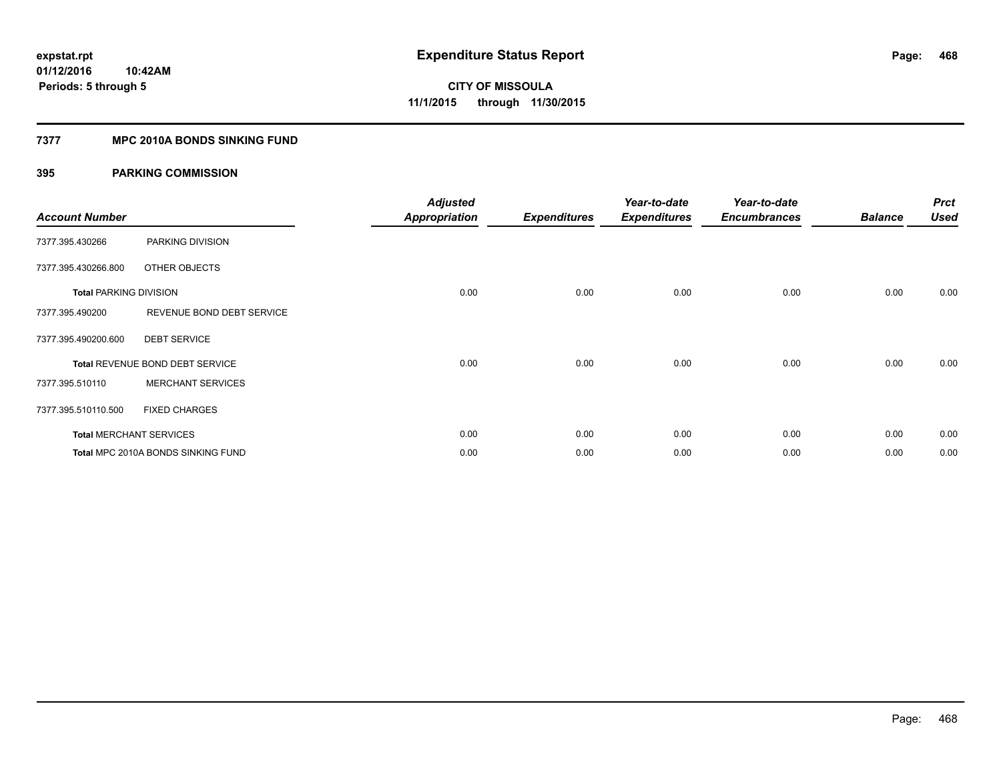## **7377 MPC 2010A BONDS SINKING FUND**

| <b>Account Number</b>         |                                    | <b>Adjusted</b><br><b>Appropriation</b> | <b>Expenditures</b> | Year-to-date<br><b>Expenditures</b> | Year-to-date<br><b>Encumbrances</b> | <b>Balance</b> | <b>Prct</b><br><b>Used</b> |
|-------------------------------|------------------------------------|-----------------------------------------|---------------------|-------------------------------------|-------------------------------------|----------------|----------------------------|
| 7377.395.430266               | PARKING DIVISION                   |                                         |                     |                                     |                                     |                |                            |
| 7377.395.430266.800           | OTHER OBJECTS                      |                                         |                     |                                     |                                     |                |                            |
| <b>Total PARKING DIVISION</b> |                                    | 0.00                                    | 0.00                | 0.00                                | 0.00                                | 0.00           | 0.00                       |
| 7377.395.490200               | REVENUE BOND DEBT SERVICE          |                                         |                     |                                     |                                     |                |                            |
| 7377.395.490200.600           | <b>DEBT SERVICE</b>                |                                         |                     |                                     |                                     |                |                            |
|                               | Total REVENUE BOND DEBT SERVICE    | 0.00                                    | 0.00                | 0.00                                | 0.00                                | 0.00           | 0.00                       |
| 7377.395.510110               | <b>MERCHANT SERVICES</b>           |                                         |                     |                                     |                                     |                |                            |
| 7377.395.510110.500           | <b>FIXED CHARGES</b>               |                                         |                     |                                     |                                     |                |                            |
|                               | <b>Total MERCHANT SERVICES</b>     | 0.00                                    | 0.00                | 0.00                                | 0.00                                | 0.00           | 0.00                       |
|                               | Total MPC 2010A BONDS SINKING FUND | 0.00                                    | 0.00                | 0.00                                | 0.00                                | 0.00           | 0.00                       |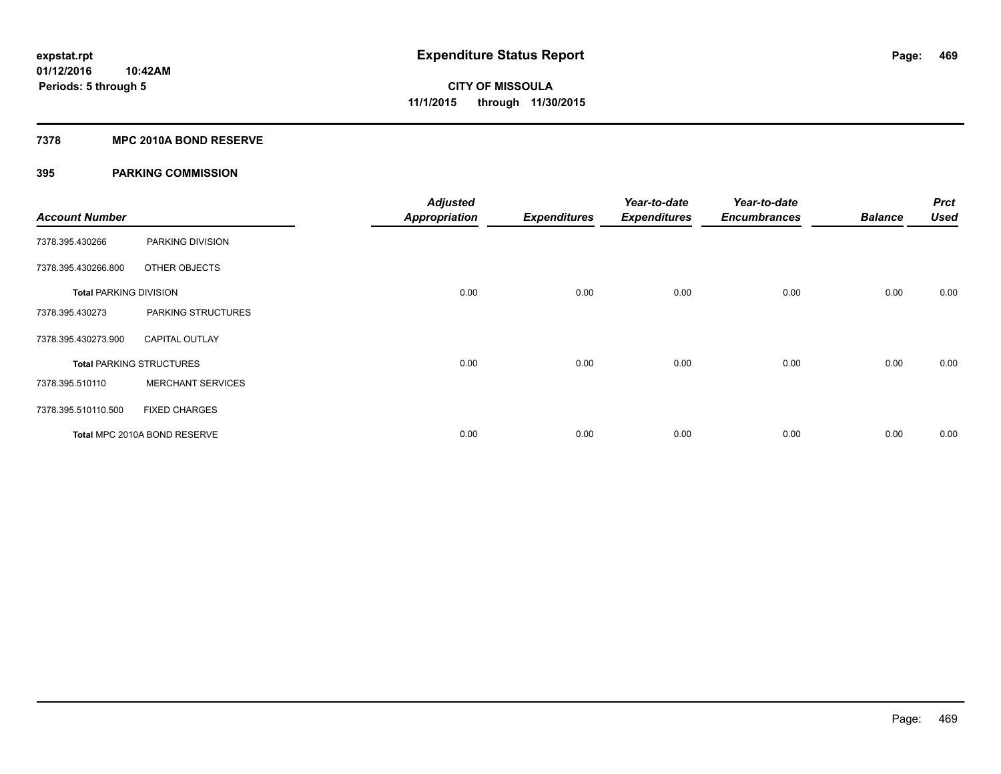## **7378 MPC 2010A BOND RESERVE**

## **395 PARKING COMMISSION**

| <b>Account Number</b>         |                                 | <b>Adjusted</b><br><b>Appropriation</b> | <b>Expenditures</b> | Year-to-date<br><b>Expenditures</b> | Year-to-date<br><b>Encumbrances</b> | <b>Balance</b> | <b>Prct</b><br><b>Used</b> |
|-------------------------------|---------------------------------|-----------------------------------------|---------------------|-------------------------------------|-------------------------------------|----------------|----------------------------|
| 7378.395.430266               | PARKING DIVISION                |                                         |                     |                                     |                                     |                |                            |
| 7378.395.430266.800           | OTHER OBJECTS                   |                                         |                     |                                     |                                     |                |                            |
| <b>Total PARKING DIVISION</b> |                                 | 0.00                                    | 0.00                | 0.00                                | 0.00                                | 0.00           | 0.00                       |
| 7378.395.430273               | PARKING STRUCTURES              |                                         |                     |                                     |                                     |                |                            |
| 7378.395.430273.900           | <b>CAPITAL OUTLAY</b>           |                                         |                     |                                     |                                     |                |                            |
|                               | <b>Total PARKING STRUCTURES</b> | 0.00                                    | 0.00                | 0.00                                | 0.00                                | 0.00           | 0.00                       |
| 7378.395.510110               | <b>MERCHANT SERVICES</b>        |                                         |                     |                                     |                                     |                |                            |
| 7378.395.510110.500           | <b>FIXED CHARGES</b>            |                                         |                     |                                     |                                     |                |                            |
|                               | Total MPC 2010A BOND RESERVE    | 0.00                                    | 0.00                | 0.00                                | 0.00                                | 0.00           | 0.00                       |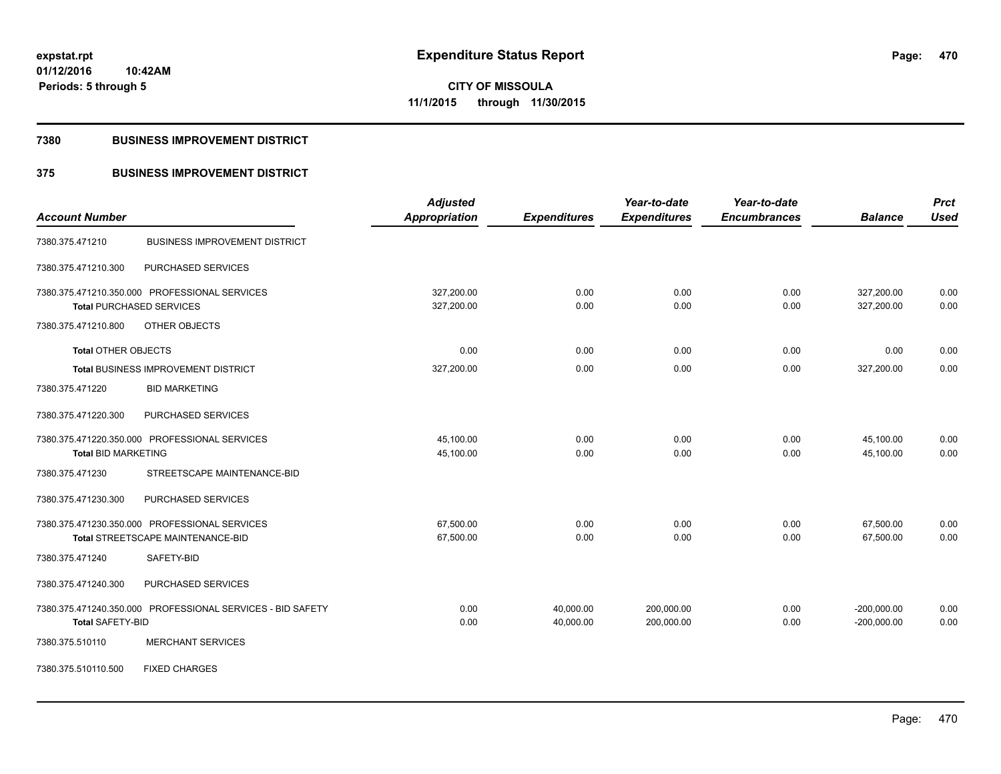# **CITY OF MISSOULA 11/1/2015 through 11/30/2015**

### **7380 BUSINESS IMPROVEMENT DISTRICT**

## **375 BUSINESS IMPROVEMENT DISTRICT**

| <b>Account Number</b>                                      | <b>Adjusted</b><br><b>Appropriation</b> | <b>Expenditures</b> | Year-to-date<br><b>Expenditures</b> | Year-to-date<br><b>Encumbrances</b> | <b>Balance</b> | <b>Prct</b><br><b>Used</b> |
|------------------------------------------------------------|-----------------------------------------|---------------------|-------------------------------------|-------------------------------------|----------------|----------------------------|
|                                                            |                                         |                     |                                     |                                     |                |                            |
| <b>BUSINESS IMPROVEMENT DISTRICT</b><br>7380.375.471210    |                                         |                     |                                     |                                     |                |                            |
| PURCHASED SERVICES<br>7380.375.471210.300                  |                                         |                     |                                     |                                     |                |                            |
| 7380.375.471210.350.000 PROFESSIONAL SERVICES              | 327,200.00                              | 0.00                | 0.00                                | 0.00                                | 327,200.00     | 0.00                       |
| <b>Total PURCHASED SERVICES</b>                            | 327,200.00                              | 0.00                | 0.00                                | 0.00                                | 327,200.00     | 0.00                       |
| OTHER OBJECTS<br>7380.375.471210.800                       |                                         |                     |                                     |                                     |                |                            |
| <b>Total OTHER OBJECTS</b>                                 | 0.00                                    | 0.00                | 0.00                                | 0.00                                | 0.00           | 0.00                       |
| <b>Total BUSINESS IMPROVEMENT DISTRICT</b>                 | 327,200.00                              | 0.00                | 0.00                                | 0.00                                | 327,200.00     | 0.00                       |
| <b>BID MARKETING</b><br>7380.375.471220                    |                                         |                     |                                     |                                     |                |                            |
| 7380.375.471220.300<br>PURCHASED SERVICES                  |                                         |                     |                                     |                                     |                |                            |
| 7380.375.471220.350.000 PROFESSIONAL SERVICES              | 45,100.00                               | 0.00                | 0.00                                | 0.00                                | 45,100.00      | 0.00                       |
| <b>Total BID MARKETING</b>                                 | 45,100.00                               | 0.00                | 0.00                                | 0.00                                | 45,100.00      | 0.00                       |
| 7380.375.471230<br>STREETSCAPE MAINTENANCE-BID             |                                         |                     |                                     |                                     |                |                            |
| 7380.375.471230.300<br>PURCHASED SERVICES                  |                                         |                     |                                     |                                     |                |                            |
| 7380.375.471230.350.000 PROFESSIONAL SERVICES              | 67,500.00                               | 0.00                | 0.00                                | 0.00                                | 67,500.00      | 0.00                       |
| Total STREETSCAPE MAINTENANCE-BID                          | 67,500.00                               | 0.00                | 0.00                                | 0.00                                | 67,500.00      | 0.00                       |
| SAFETY-BID<br>7380.375.471240                              |                                         |                     |                                     |                                     |                |                            |
| 7380.375.471240.300<br>PURCHASED SERVICES                  |                                         |                     |                                     |                                     |                |                            |
| 7380.375.471240.350.000 PROFESSIONAL SERVICES - BID SAFETY | 0.00                                    | 40,000.00           | 200,000.00                          | 0.00                                | $-200,000.00$  | 0.00                       |
| <b>Total SAFETY-BID</b>                                    | 0.00                                    | 40,000.00           | 200,000.00                          | 0.00                                | $-200,000.00$  | 0.00                       |
| <b>MERCHANT SERVICES</b><br>7380.375.510110                |                                         |                     |                                     |                                     |                |                            |
| <b>FIXED CHARGES</b><br>7380.375.510110.500                |                                         |                     |                                     |                                     |                |                            |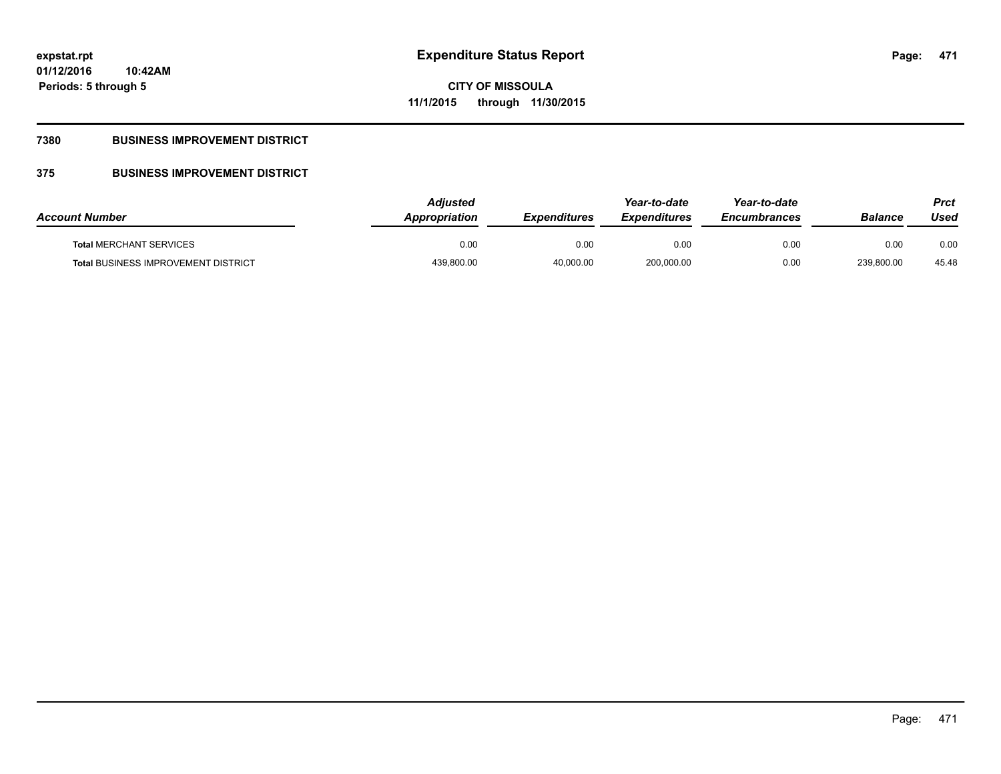**Periods: 5 through 5**

**CITY OF MISSOULA 11/1/2015 through 11/30/2015**

## **7380 BUSINESS IMPROVEMENT DISTRICT**

**10:42AM**

## **375 BUSINESS IMPROVEMENT DISTRICT**

| <b>Account Number</b>                      | <b>Adjusted</b><br>Appropriation | <b>Expenditures</b> | Year-to-date<br><b>Expenditures</b> | Year-to-date<br><b>Encumbrances</b> | <b>Balance</b> | Prct<br>Used |
|--------------------------------------------|----------------------------------|---------------------|-------------------------------------|-------------------------------------|----------------|--------------|
| <b>Total MERCHANT SERVICES</b>             | 0.00                             | 0.00                | 0.00                                | 0.00                                | 0.00           | 0.00         |
| <b>Total BUSINESS IMPROVEMENT DISTRICT</b> | 439,800.00                       | 40,000.00           | 200,000.00                          | 0.00                                | 239,800.00     | 45.48        |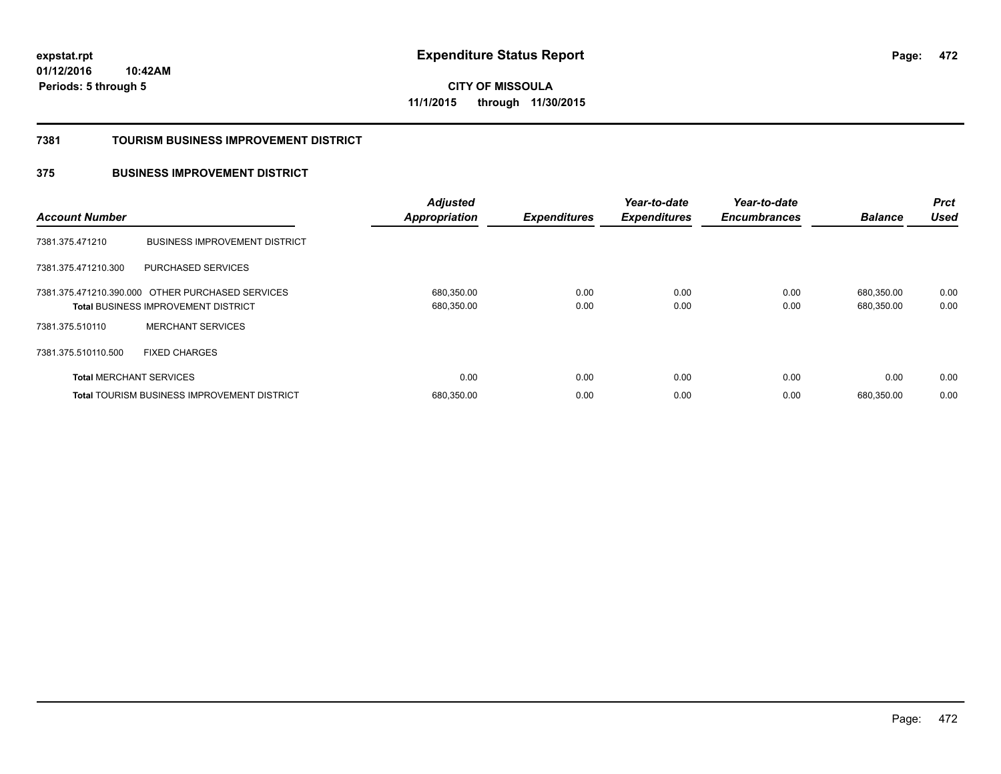**472**

**01/12/2016 10:42AM Periods: 5 through 5**

**CITY OF MISSOULA 11/1/2015 through 11/30/2015**

### **7381 TOURISM BUSINESS IMPROVEMENT DISTRICT**

## **375 BUSINESS IMPROVEMENT DISTRICT**

| <b>Account Number</b>          |                                                                                                | <b>Adjusted</b><br><b>Appropriation</b> | <b>Expenditures</b> | Year-to-date<br><b>Expenditures</b> | Year-to-date<br><b>Encumbrances</b> | <b>Balance</b>           | <b>Prct</b><br><b>Used</b> |
|--------------------------------|------------------------------------------------------------------------------------------------|-----------------------------------------|---------------------|-------------------------------------|-------------------------------------|--------------------------|----------------------------|
| 7381.375.471210                | <b>BUSINESS IMPROVEMENT DISTRICT</b>                                                           |                                         |                     |                                     |                                     |                          |                            |
| 7381.375.471210.300            | PURCHASED SERVICES                                                                             |                                         |                     |                                     |                                     |                          |                            |
|                                | 7381.375.471210.390.000 OTHER PURCHASED SERVICES<br><b>Total BUSINESS IMPROVEMENT DISTRICT</b> | 680,350.00<br>680,350.00                | 0.00<br>0.00        | 0.00<br>0.00                        | 0.00<br>0.00                        | 680,350.00<br>680,350.00 | 0.00<br>0.00               |
| 7381.375.510110                | <b>MERCHANT SERVICES</b>                                                                       |                                         |                     |                                     |                                     |                          |                            |
| 7381.375.510110.500            | <b>FIXED CHARGES</b>                                                                           |                                         |                     |                                     |                                     |                          |                            |
| <b>Total MERCHANT SERVICES</b> |                                                                                                | 0.00                                    | 0.00                | 0.00                                | 0.00                                | 0.00                     | 0.00                       |
|                                | Total TOURISM BUSINESS IMPROVEMENT DISTRICT                                                    | 680,350.00                              | 0.00                | 0.00                                | 0.00                                | 680.350.00               | 0.00                       |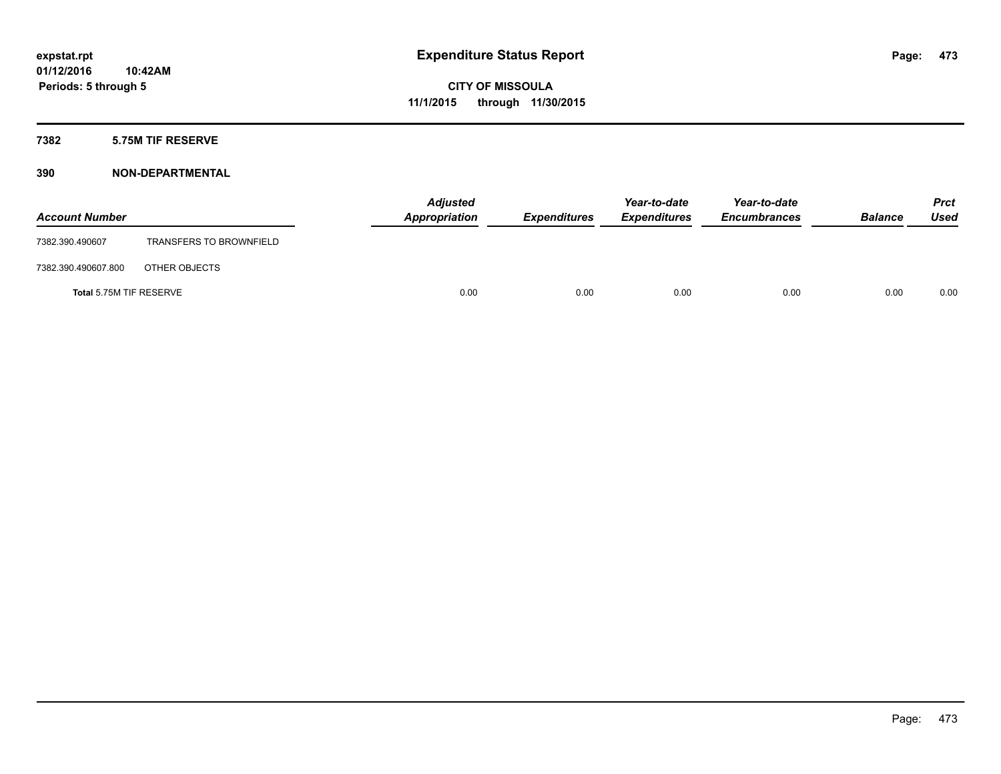## **7382 5.75M TIF RESERVE**

| <b>Account Number</b>   |                                | <b>Adjusted</b><br>Appropriation | <b>Expenditures</b> | Year-to-date<br><b>Expenditures</b> | Year-to-date<br><b>Encumbrances</b> | <b>Balance</b> | Prct<br><b>Used</b> |
|-------------------------|--------------------------------|----------------------------------|---------------------|-------------------------------------|-------------------------------------|----------------|---------------------|
| 7382.390.490607         | <b>TRANSFERS TO BROWNFIELD</b> |                                  |                     |                                     |                                     |                |                     |
| 7382.390.490607.800     | OTHER OBJECTS                  |                                  |                     |                                     |                                     |                |                     |
| Total 5.75M TIF RESERVE |                                | 0.00                             | 0.00                | 0.00                                | 0.00                                | 0.00           | 0.00                |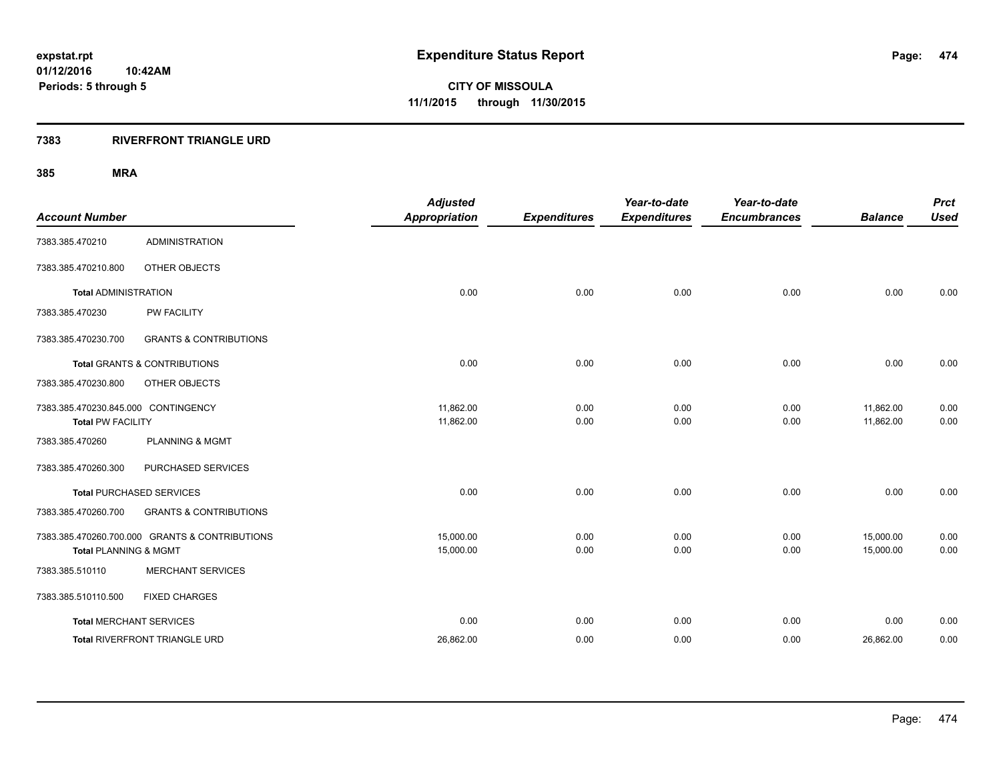## **7383 RIVERFRONT TRIANGLE URD**

| <b>Account Number</b>                                           |                                                | <b>Adjusted</b><br><b>Appropriation</b> | <b>Expenditures</b> | Year-to-date<br><b>Expenditures</b> | Year-to-date<br><b>Encumbrances</b> | <b>Balance</b>         | <b>Prct</b><br><b>Used</b> |
|-----------------------------------------------------------------|------------------------------------------------|-----------------------------------------|---------------------|-------------------------------------|-------------------------------------|------------------------|----------------------------|
| 7383.385.470210                                                 | <b>ADMINISTRATION</b>                          |                                         |                     |                                     |                                     |                        |                            |
| 7383.385.470210.800                                             | OTHER OBJECTS                                  |                                         |                     |                                     |                                     |                        |                            |
| <b>Total ADMINISTRATION</b>                                     |                                                | 0.00                                    | 0.00                | 0.00                                | 0.00                                | 0.00                   | 0.00                       |
| 7383.385.470230                                                 | PW FACILITY                                    |                                         |                     |                                     |                                     |                        |                            |
| 7383.385.470230.700                                             | <b>GRANTS &amp; CONTRIBUTIONS</b>              |                                         |                     |                                     |                                     |                        |                            |
|                                                                 | Total GRANTS & CONTRIBUTIONS                   | 0.00                                    | 0.00                | 0.00                                | 0.00                                | 0.00                   | 0.00                       |
| 7383.385.470230.800                                             | OTHER OBJECTS                                  |                                         |                     |                                     |                                     |                        |                            |
| 7383.385.470230.845.000 CONTINGENCY<br><b>Total PW FACILITY</b> |                                                | 11,862.00<br>11,862.00                  | 0.00<br>0.00        | 0.00<br>0.00                        | 0.00<br>0.00                        | 11,862.00<br>11,862.00 | 0.00<br>0.00               |
| 7383.385.470260                                                 | <b>PLANNING &amp; MGMT</b>                     |                                         |                     |                                     |                                     |                        |                            |
| 7383.385.470260.300                                             | PURCHASED SERVICES                             |                                         |                     |                                     |                                     |                        |                            |
|                                                                 | <b>Total PURCHASED SERVICES</b>                | 0.00                                    | 0.00                | 0.00                                | 0.00                                | 0.00                   | 0.00                       |
| 7383.385.470260.700                                             | <b>GRANTS &amp; CONTRIBUTIONS</b>              |                                         |                     |                                     |                                     |                        |                            |
| <b>Total PLANNING &amp; MGMT</b>                                | 7383.385.470260.700.000 GRANTS & CONTRIBUTIONS | 15,000.00<br>15,000.00                  | 0.00<br>0.00        | 0.00<br>0.00                        | 0.00<br>0.00                        | 15,000.00<br>15,000.00 | 0.00<br>0.00               |
| 7383.385.510110                                                 | <b>MERCHANT SERVICES</b>                       |                                         |                     |                                     |                                     |                        |                            |
| 7383.385.510110.500                                             | <b>FIXED CHARGES</b>                           |                                         |                     |                                     |                                     |                        |                            |
| <b>Total MERCHANT SERVICES</b>                                  |                                                | 0.00                                    | 0.00                | 0.00                                | 0.00                                | 0.00                   | 0.00                       |
|                                                                 | Total RIVERFRONT TRIANGLE URD                  | 26,862.00                               | 0.00                | 0.00                                | 0.00                                | 26,862.00              | 0.00                       |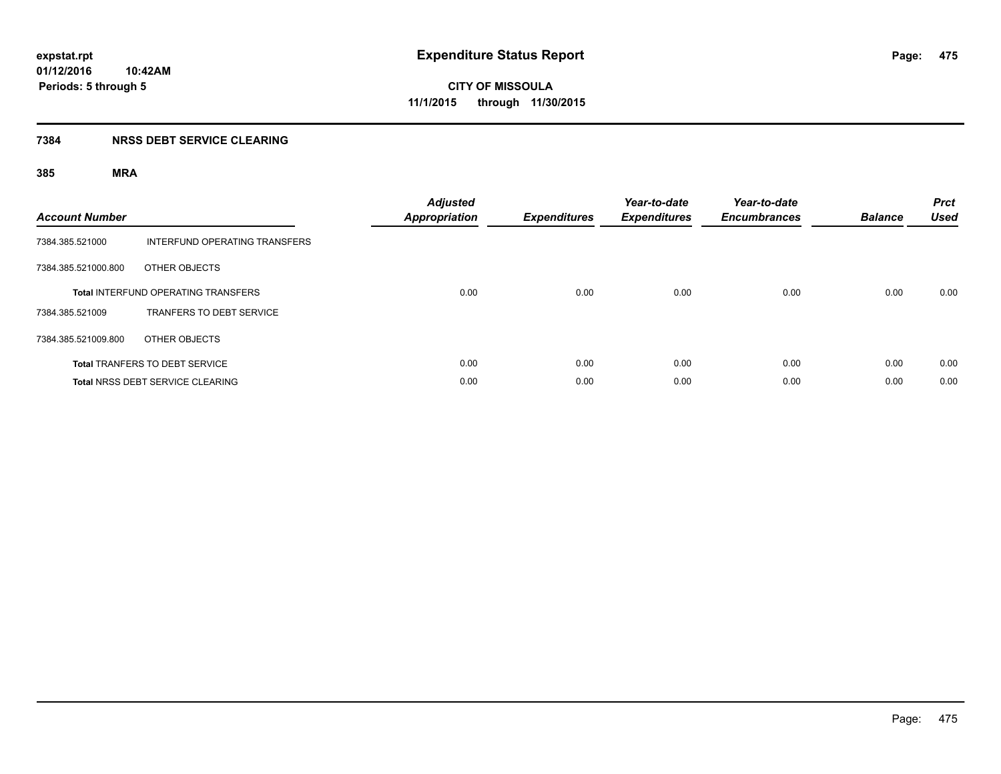## **7384 NRSS DEBT SERVICE CLEARING**

| <b>Account Number</b> |                                            | <b>Adjusted</b><br><b>Appropriation</b> | <b>Expenditures</b> | Year-to-date<br><b>Expenditures</b> | Year-to-date<br><b>Encumbrances</b> | <b>Balance</b> | <b>Prct</b><br><b>Used</b> |
|-----------------------|--------------------------------------------|-----------------------------------------|---------------------|-------------------------------------|-------------------------------------|----------------|----------------------------|
| 7384.385.521000       | INTERFUND OPERATING TRANSFERS              |                                         |                     |                                     |                                     |                |                            |
| 7384.385.521000.800   | OTHER OBJECTS                              |                                         |                     |                                     |                                     |                |                            |
|                       | <b>Total INTERFUND OPERATING TRANSFERS</b> | 0.00                                    | 0.00                | 0.00                                | 0.00                                | 0.00           | 0.00                       |
| 7384.385.521009       | TRANFERS TO DEBT SERVICE                   |                                         |                     |                                     |                                     |                |                            |
| 7384.385.521009.800   | OTHER OBJECTS                              |                                         |                     |                                     |                                     |                |                            |
|                       | <b>Total TRANFERS TO DEBT SERVICE</b>      | 0.00                                    | 0.00                | 0.00                                | 0.00                                | 0.00           | 0.00                       |
|                       | <b>Total NRSS DEBT SERVICE CLEARING</b>    | 0.00                                    | 0.00                | 0.00                                | 0.00                                | 0.00           | 0.00                       |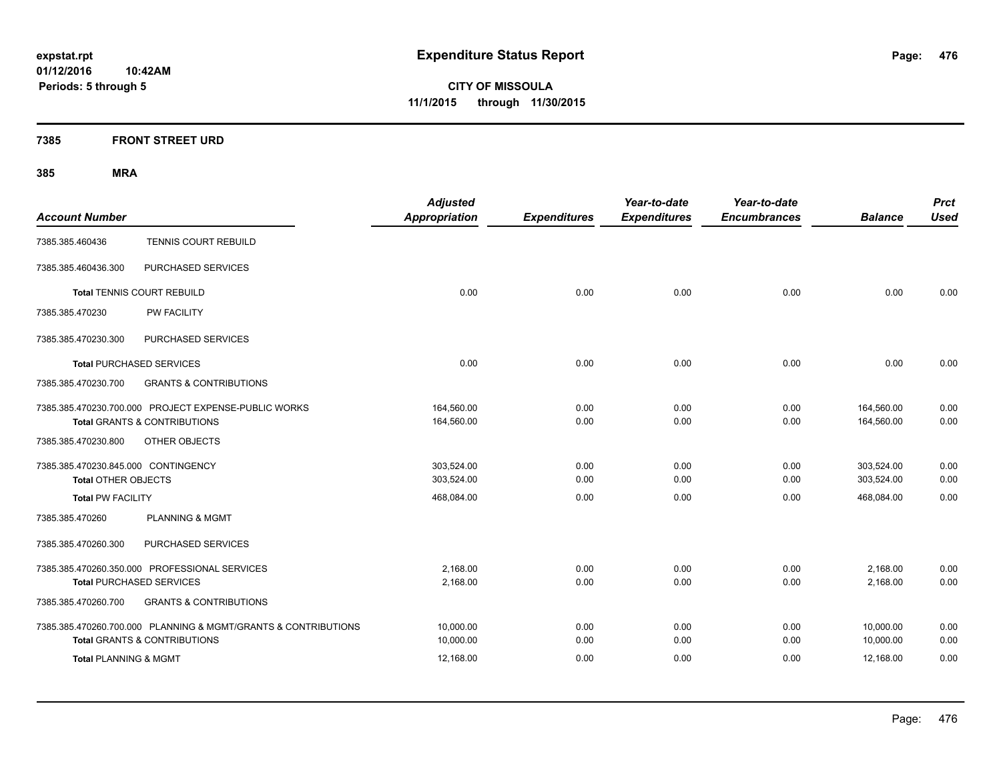**CITY OF MISSOULA 11/1/2015 through 11/30/2015**

## **7385 FRONT STREET URD**

| <b>Account Number</b>                                             |                                                                                                 | <b>Adjusted</b><br><b>Appropriation</b> | <b>Expenditures</b> | Year-to-date<br><b>Expenditures</b> | Year-to-date<br><b>Encumbrances</b> | <b>Balance</b>           | <b>Prct</b><br><b>Used</b> |
|-------------------------------------------------------------------|-------------------------------------------------------------------------------------------------|-----------------------------------------|---------------------|-------------------------------------|-------------------------------------|--------------------------|----------------------------|
| 7385.385.460436                                                   | <b>TENNIS COURT REBUILD</b>                                                                     |                                         |                     |                                     |                                     |                          |                            |
| 7385.385.460436.300                                               | PURCHASED SERVICES                                                                              |                                         |                     |                                     |                                     |                          |                            |
|                                                                   | <b>Total TENNIS COURT REBUILD</b>                                                               | 0.00                                    | 0.00                | 0.00                                | 0.00                                | 0.00                     | 0.00                       |
| 7385.385.470230                                                   | PW FACILITY                                                                                     |                                         |                     |                                     |                                     |                          |                            |
| 7385.385.470230.300                                               | PURCHASED SERVICES                                                                              |                                         |                     |                                     |                                     |                          |                            |
|                                                                   | <b>Total PURCHASED SERVICES</b>                                                                 | 0.00                                    | 0.00                | 0.00                                | 0.00                                | 0.00                     | 0.00                       |
| 7385.385.470230.700                                               | <b>GRANTS &amp; CONTRIBUTIONS</b>                                                               |                                         |                     |                                     |                                     |                          |                            |
|                                                                   | 7385.385.470230.700.000 PROJECT EXPENSE-PUBLIC WORKS<br><b>Total GRANTS &amp; CONTRIBUTIONS</b> | 164,560.00<br>164,560.00                | 0.00<br>0.00        | 0.00<br>0.00                        | 0.00<br>0.00                        | 164,560.00<br>164,560.00 | 0.00<br>0.00               |
| 7385.385.470230.800                                               | OTHER OBJECTS                                                                                   |                                         |                     |                                     |                                     |                          |                            |
| 7385.385.470230.845.000 CONTINGENCY<br><b>Total OTHER OBJECTS</b> |                                                                                                 | 303.524.00<br>303,524.00                | 0.00<br>0.00        | 0.00<br>0.00                        | 0.00<br>0.00                        | 303,524.00<br>303,524.00 | 0.00<br>0.00               |
| <b>Total PW FACILITY</b>                                          |                                                                                                 | 468,084.00                              | 0.00                | 0.00                                | 0.00                                | 468,084.00               | 0.00                       |
| 7385.385.470260                                                   | <b>PLANNING &amp; MGMT</b>                                                                      |                                         |                     |                                     |                                     |                          |                            |
| 7385.385.470260.300                                               | PURCHASED SERVICES                                                                              |                                         |                     |                                     |                                     |                          |                            |
|                                                                   | 7385.385.470260.350.000 PROFESSIONAL SERVICES                                                   | 2,168.00                                | 0.00                | 0.00                                | 0.00                                | 2,168.00                 | 0.00                       |
|                                                                   | <b>Total PURCHASED SERVICES</b>                                                                 | 2,168.00                                | 0.00                | 0.00                                | 0.00                                | 2,168.00                 | 0.00                       |
| 7385.385.470260.700                                               | <b>GRANTS &amp; CONTRIBUTIONS</b>                                                               |                                         |                     |                                     |                                     |                          |                            |
|                                                                   | 7385.385.470260.700.000 PLANNING & MGMT/GRANTS & CONTRIBUTIONS                                  | 10,000.00                               | 0.00                | 0.00                                | 0.00                                | 10,000.00                | 0.00                       |
|                                                                   | <b>Total GRANTS &amp; CONTRIBUTIONS</b>                                                         | 10,000.00                               | 0.00                | 0.00                                | 0.00                                | 10,000.00                | 0.00                       |
| <b>Total PLANNING &amp; MGMT</b>                                  |                                                                                                 | 12,168.00                               | 0.00                | 0.00                                | 0.00                                | 12,168.00                | 0.00                       |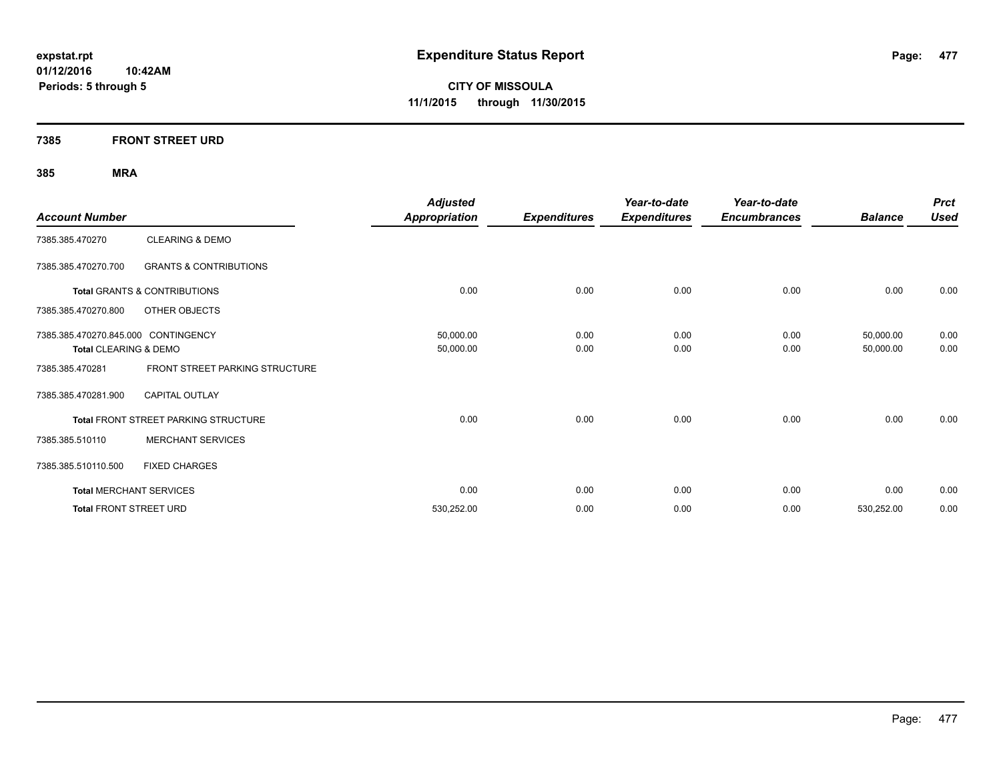**Periods: 5 through 5**

**CITY OF MISSOULA 11/1/2015 through 11/30/2015**

**7385 FRONT STREET URD**

**10:42AM**

| <b>Account Number</b>               |                                         | <b>Adjusted</b><br><b>Appropriation</b> | <b>Expenditures</b> | Year-to-date<br><b>Expenditures</b> | Year-to-date<br><b>Encumbrances</b> | <b>Balance</b> | <b>Prct</b><br><b>Used</b> |
|-------------------------------------|-----------------------------------------|-----------------------------------------|---------------------|-------------------------------------|-------------------------------------|----------------|----------------------------|
| 7385.385.470270                     | <b>CLEARING &amp; DEMO</b>              |                                         |                     |                                     |                                     |                |                            |
|                                     |                                         |                                         |                     |                                     |                                     |                |                            |
| 7385.385.470270.700                 | <b>GRANTS &amp; CONTRIBUTIONS</b>       |                                         |                     |                                     |                                     |                |                            |
|                                     | <b>Total GRANTS &amp; CONTRIBUTIONS</b> | 0.00                                    | 0.00                | 0.00                                | 0.00                                | 0.00           | 0.00                       |
| 7385.385.470270.800                 | OTHER OBJECTS                           |                                         |                     |                                     |                                     |                |                            |
| 7385.385.470270.845.000 CONTINGENCY |                                         | 50,000.00                               | 0.00                | 0.00                                | 0.00                                | 50,000.00      | 0.00                       |
| Total CLEARING & DEMO               |                                         | 50,000.00                               | 0.00                | 0.00                                | 0.00                                | 50,000.00      | 0.00                       |
| 7385.385.470281                     | FRONT STREET PARKING STRUCTURE          |                                         |                     |                                     |                                     |                |                            |
| 7385.385.470281.900                 | <b>CAPITAL OUTLAY</b>                   |                                         |                     |                                     |                                     |                |                            |
|                                     | Total FRONT STREET PARKING STRUCTURE    | 0.00                                    | 0.00                | 0.00                                | 0.00                                | 0.00           | 0.00                       |
| 7385.385.510110                     | <b>MERCHANT SERVICES</b>                |                                         |                     |                                     |                                     |                |                            |
| 7385.385.510110.500                 | <b>FIXED CHARGES</b>                    |                                         |                     |                                     |                                     |                |                            |
|                                     | <b>Total MERCHANT SERVICES</b>          | 0.00                                    | 0.00                | 0.00                                | 0.00                                | 0.00           | 0.00                       |
| <b>Total FRONT STREET URD</b>       |                                         | 530,252.00                              | 0.00                | 0.00                                | 0.00                                | 530,252.00     | 0.00                       |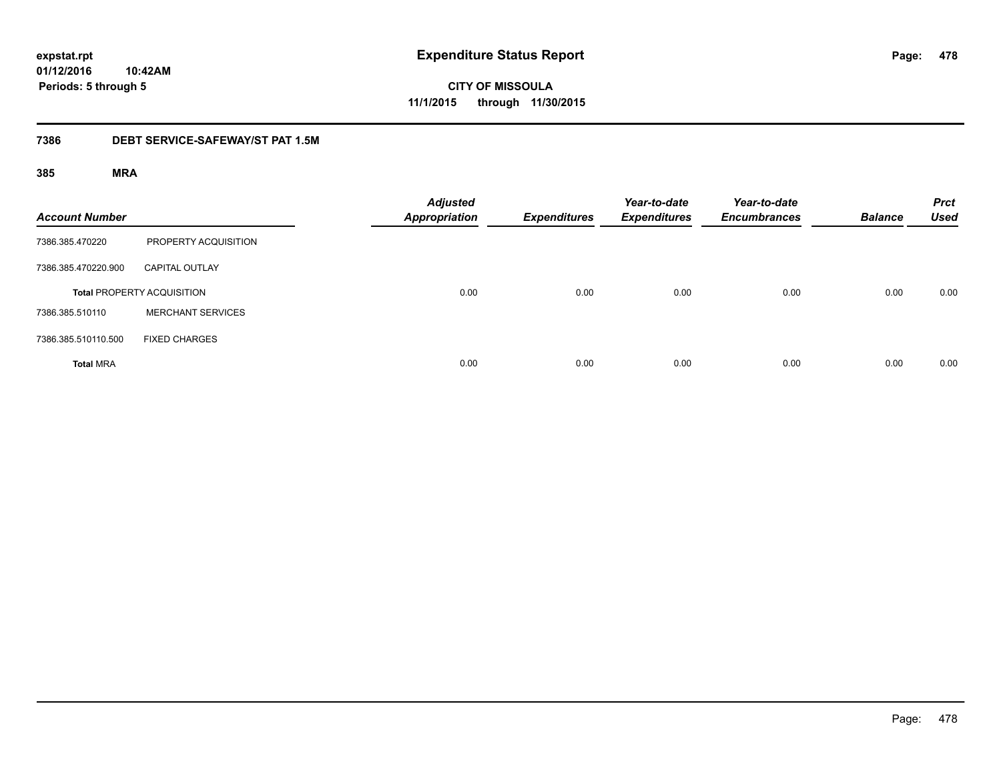**CITY OF MISSOULA 11/1/2015 through 11/30/2015**

## **7386 DEBT SERVICE-SAFEWAY/ST PAT 1.5M**

| <b>Account Number</b> |                                   | <b>Adjusted</b><br><b>Appropriation</b> | <b>Expenditures</b> | Year-to-date<br><b>Expenditures</b> | Year-to-date<br><b>Encumbrances</b> | <b>Balance</b> | <b>Prct</b><br><b>Used</b> |
|-----------------------|-----------------------------------|-----------------------------------------|---------------------|-------------------------------------|-------------------------------------|----------------|----------------------------|
| 7386.385.470220       | PROPERTY ACQUISITION              |                                         |                     |                                     |                                     |                |                            |
| 7386.385.470220.900   | <b>CAPITAL OUTLAY</b>             |                                         |                     |                                     |                                     |                |                            |
|                       | <b>Total PROPERTY ACQUISITION</b> | 0.00                                    | 0.00                | 0.00                                | 0.00                                | 0.00           | 0.00                       |
| 7386.385.510110       | <b>MERCHANT SERVICES</b>          |                                         |                     |                                     |                                     |                |                            |
| 7386.385.510110.500   | <b>FIXED CHARGES</b>              |                                         |                     |                                     |                                     |                |                            |
| <b>Total MRA</b>      |                                   | 0.00                                    | 0.00                | 0.00                                | 0.00                                | 0.00           | 0.00                       |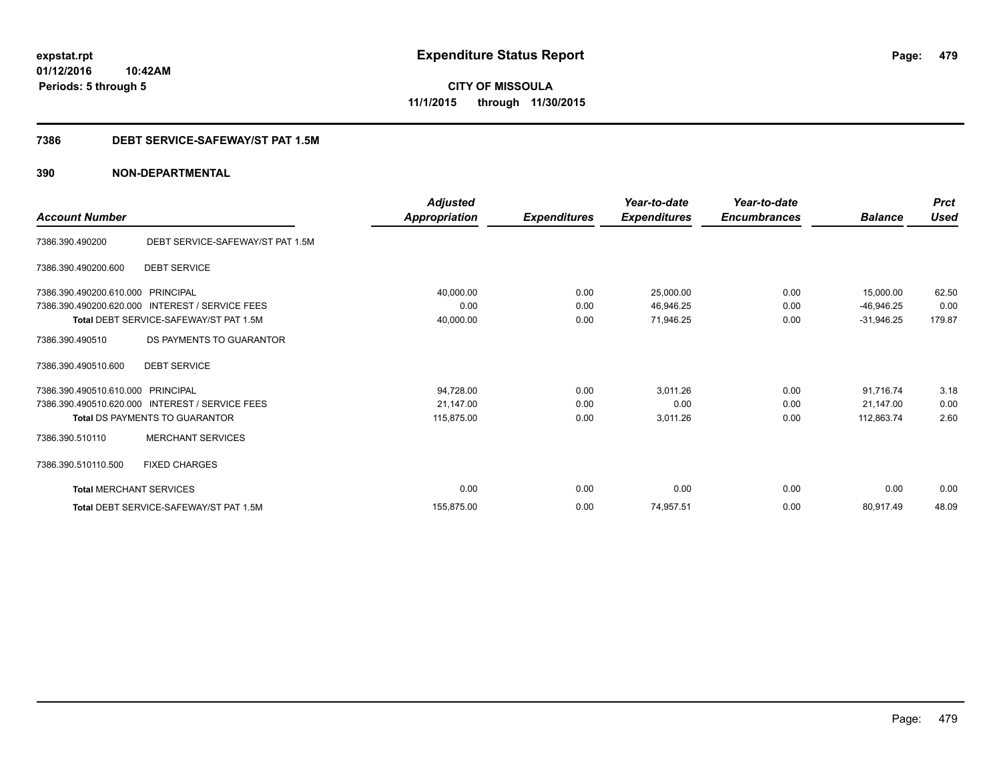**CITY OF MISSOULA 11/1/2015 through 11/30/2015**

## **7386 DEBT SERVICE-SAFEWAY/ST PAT 1.5M**

|                                |                                                 | <b>Adjusted</b> |                     | Year-to-date        | Year-to-date        |                | <b>Prct</b><br><b>Used</b> |
|--------------------------------|-------------------------------------------------|-----------------|---------------------|---------------------|---------------------|----------------|----------------------------|
| <b>Account Number</b>          |                                                 | Appropriation   | <b>Expenditures</b> | <b>Expenditures</b> | <b>Encumbrances</b> | <b>Balance</b> |                            |
| 7386.390.490200                | DEBT SERVICE-SAFEWAY/ST PAT 1.5M                |                 |                     |                     |                     |                |                            |
| 7386.390.490200.600            | <b>DEBT SERVICE</b>                             |                 |                     |                     |                     |                |                            |
| 7386.390.490200.610.000        | PRINCIPAL                                       | 40,000.00       | 0.00                | 25,000.00           | 0.00                | 15,000.00      | 62.50                      |
| 7386.390.490200.620.000        | <b>INTEREST / SERVICE FEES</b>                  | 0.00            | 0.00                | 46,946.25           | 0.00                | $-46,946.25$   | 0.00                       |
|                                | Total DEBT SERVICE-SAFEWAY/ST PAT 1.5M          | 40,000.00       | 0.00                | 71,946.25           | 0.00                | $-31,946.25$   | 179.87                     |
| 7386.390.490510                | DS PAYMENTS TO GUARANTOR                        |                 |                     |                     |                     |                |                            |
| 7386.390.490510.600            | <b>DEBT SERVICE</b>                             |                 |                     |                     |                     |                |                            |
| 7386.390.490510.610.000        | PRINCIPAL                                       | 94,728.00       | 0.00                | 3,011.26            | 0.00                | 91,716.74      | 3.18                       |
|                                | 7386.390.490510.620.000 INTEREST / SERVICE FEES | 21,147.00       | 0.00                | 0.00                | 0.00                | 21.147.00      | 0.00                       |
|                                | <b>Total DS PAYMENTS TO GUARANTOR</b>           | 115,875.00      | 0.00                | 3,011.26            | 0.00                | 112,863.74     | 2.60                       |
| 7386.390.510110                | <b>MERCHANT SERVICES</b>                        |                 |                     |                     |                     |                |                            |
| 7386.390.510110.500            | <b>FIXED CHARGES</b>                            |                 |                     |                     |                     |                |                            |
| <b>Total MERCHANT SERVICES</b> |                                                 | 0.00            | 0.00                | 0.00                | 0.00                | 0.00           | 0.00                       |
|                                | Total DEBT SERVICE-SAFEWAY/ST PAT 1.5M          | 155.875.00      | 0.00                | 74,957.51           | 0.00                | 80,917.49      | 48.09                      |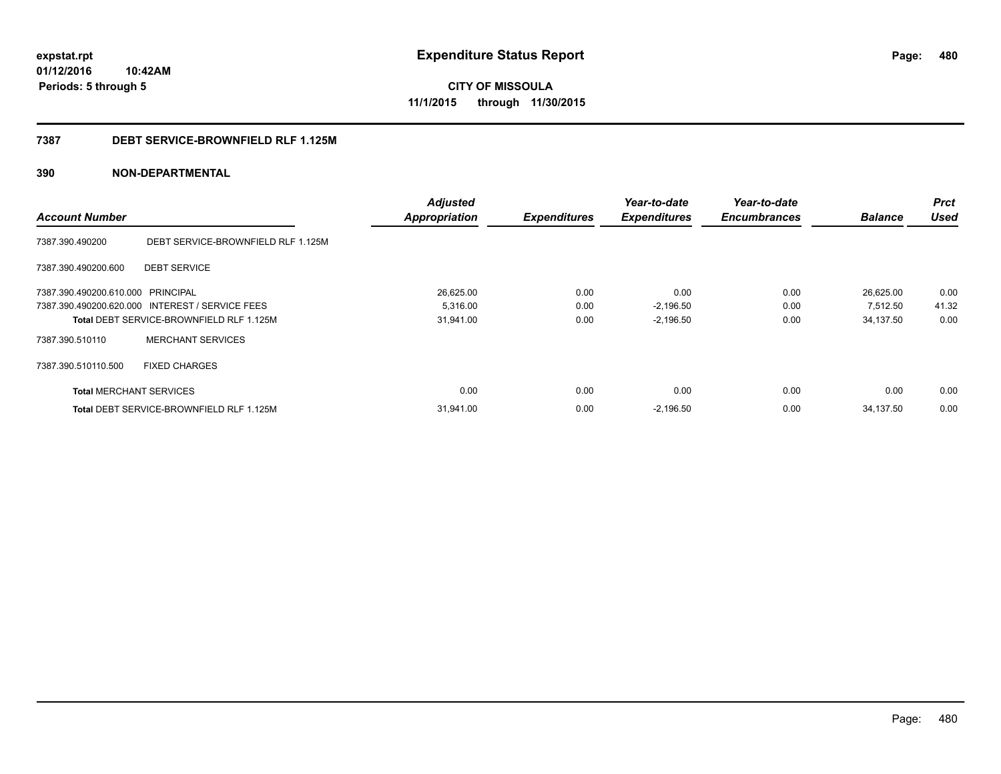**CITY OF MISSOULA 11/1/2015 through 11/30/2015**

## **7387 DEBT SERVICE-BROWNFIELD RLF 1.125M**

|                                   |                                                 | <b>Adjusted</b>      |                     | Year-to-date        | Year-to-date        |                | <b>Prct</b> |
|-----------------------------------|-------------------------------------------------|----------------------|---------------------|---------------------|---------------------|----------------|-------------|
| <b>Account Number</b>             |                                                 | <b>Appropriation</b> | <b>Expenditures</b> | <b>Expenditures</b> | <b>Encumbrances</b> | <b>Balance</b> | <b>Used</b> |
| 7387.390.490200                   | DEBT SERVICE-BROWNFIELD RLF 1.125M              |                      |                     |                     |                     |                |             |
| 7387.390.490200.600               | <b>DEBT SERVICE</b>                             |                      |                     |                     |                     |                |             |
| 7387.390.490200.610.000 PRINCIPAL |                                                 | 26,625.00            | 0.00                | 0.00                | 0.00                | 26,625.00      | 0.00        |
|                                   | 7387.390.490200.620.000 INTEREST / SERVICE FEES | 5,316.00             | 0.00                | $-2,196.50$         | 0.00                | 7,512.50       | 41.32       |
|                                   | Total DEBT SERVICE-BROWNFIELD RLF 1.125M        | 31,941.00            | 0.00                | $-2,196.50$         | 0.00                | 34,137.50      | 0.00        |
| 7387.390.510110                   | <b>MERCHANT SERVICES</b>                        |                      |                     |                     |                     |                |             |
| 7387.390.510110.500               | <b>FIXED CHARGES</b>                            |                      |                     |                     |                     |                |             |
| <b>Total MERCHANT SERVICES</b>    |                                                 | 0.00                 | 0.00                | 0.00                | 0.00                | 0.00           | 0.00        |
|                                   | <b>Total DEBT SERVICE-BROWNFIELD RLF 1.125M</b> | 31,941.00            | 0.00                | $-2,196.50$         | 0.00                | 34,137.50      | 0.00        |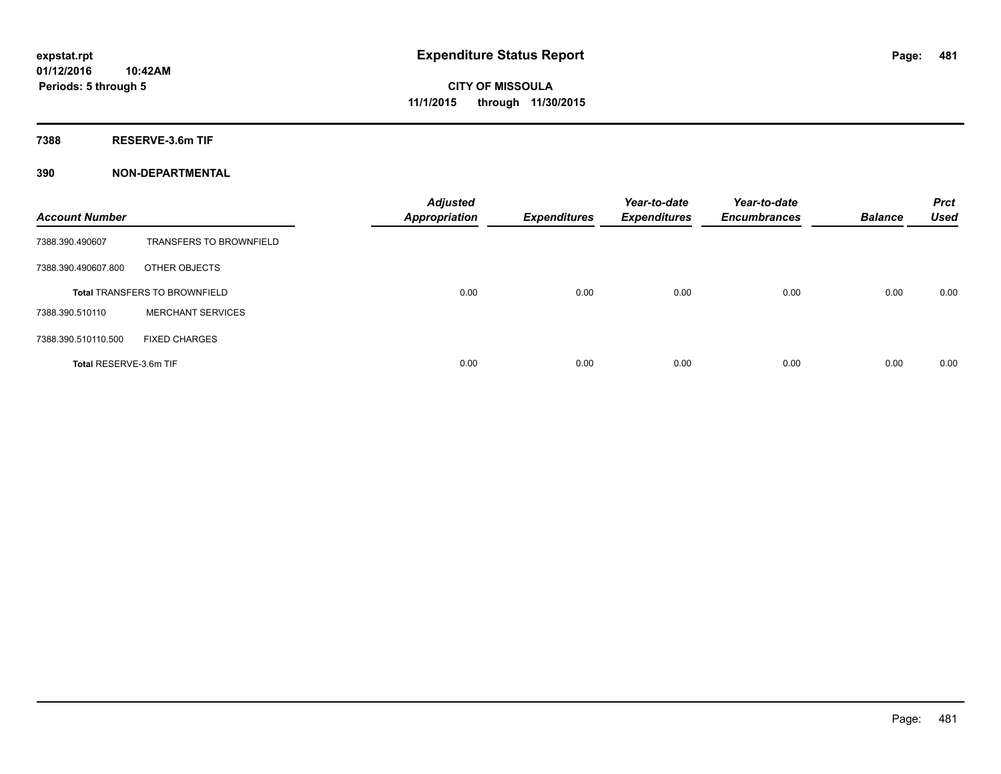**7388 RESERVE-3.6m TIF**

| <b>Account Number</b>  |                                      | <b>Adjusted</b><br><b>Appropriation</b> | <b>Expenditures</b> | Year-to-date<br><b>Expenditures</b> | Year-to-date<br><b>Encumbrances</b> | <b>Balance</b> | <b>Prct</b><br><b>Used</b> |
|------------------------|--------------------------------------|-----------------------------------------|---------------------|-------------------------------------|-------------------------------------|----------------|----------------------------|
| 7388.390.490607        | <b>TRANSFERS TO BROWNFIELD</b>       |                                         |                     |                                     |                                     |                |                            |
| 7388.390.490607.800    | OTHER OBJECTS                        |                                         |                     |                                     |                                     |                |                            |
|                        | <b>Total TRANSFERS TO BROWNFIELD</b> | 0.00                                    | 0.00                | 0.00                                | 0.00                                | 0.00           | 0.00                       |
| 7388.390.510110        | <b>MERCHANT SERVICES</b>             |                                         |                     |                                     |                                     |                |                            |
| 7388.390.510110.500    | <b>FIXED CHARGES</b>                 |                                         |                     |                                     |                                     |                |                            |
| Total RESERVE-3.6m TIF |                                      | 0.00                                    | 0.00                | 0.00                                | 0.00                                | 0.00           | 0.00                       |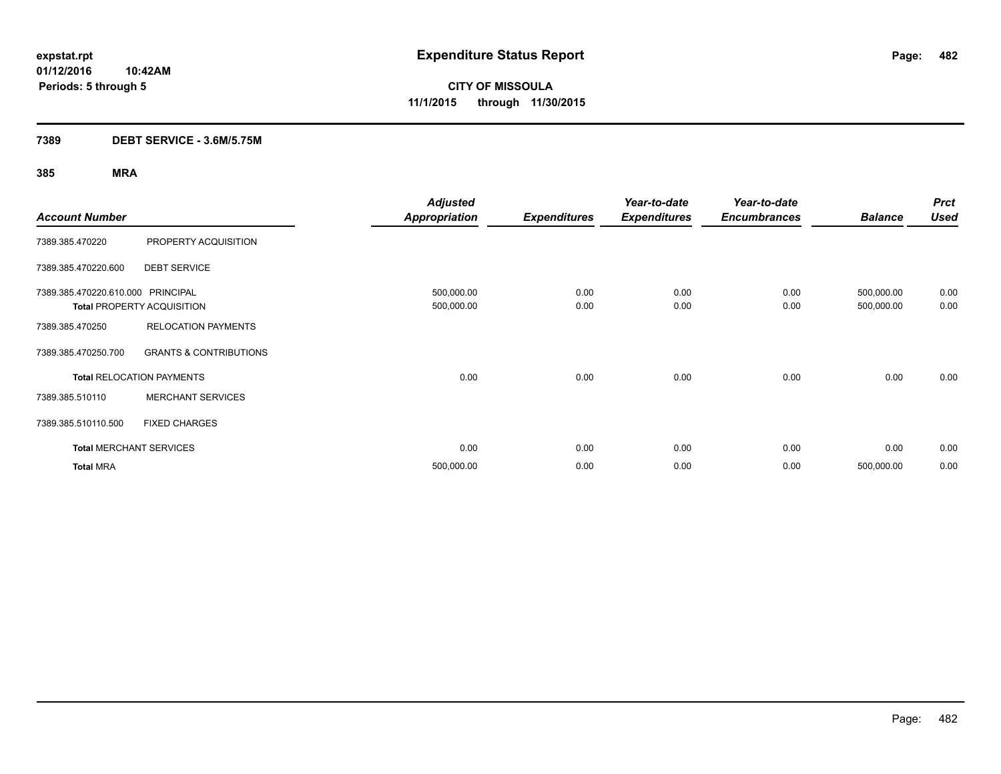## **7389 DEBT SERVICE - 3.6M/5.75M**

| <b>Account Number</b>             |                                   | <b>Adjusted</b><br><b>Appropriation</b> | <b>Expenditures</b> | Year-to-date<br><b>Expenditures</b> | Year-to-date<br><b>Encumbrances</b> | <b>Balance</b>           | <b>Prct</b><br><b>Used</b> |
|-----------------------------------|-----------------------------------|-----------------------------------------|---------------------|-------------------------------------|-------------------------------------|--------------------------|----------------------------|
| 7389.385.470220                   | PROPERTY ACQUISITION              |                                         |                     |                                     |                                     |                          |                            |
| 7389.385.470220.600               | <b>DEBT SERVICE</b>               |                                         |                     |                                     |                                     |                          |                            |
| 7389.385.470220.610.000 PRINCIPAL | <b>Total PROPERTY ACQUISITION</b> | 500,000.00<br>500,000.00                | 0.00<br>0.00        | 0.00<br>0.00                        | 0.00<br>0.00                        | 500,000.00<br>500,000.00 | 0.00<br>0.00               |
| 7389.385.470250                   | <b>RELOCATION PAYMENTS</b>        |                                         |                     |                                     |                                     |                          |                            |
| 7389.385.470250.700               | <b>GRANTS &amp; CONTRIBUTIONS</b> |                                         |                     |                                     |                                     |                          |                            |
|                                   | <b>Total RELOCATION PAYMENTS</b>  | 0.00                                    | 0.00                | 0.00                                | 0.00                                | 0.00                     | 0.00                       |
| 7389.385.510110                   | <b>MERCHANT SERVICES</b>          |                                         |                     |                                     |                                     |                          |                            |
| 7389.385.510110.500               | <b>FIXED CHARGES</b>              |                                         |                     |                                     |                                     |                          |                            |
|                                   | <b>Total MERCHANT SERVICES</b>    | 0.00                                    | 0.00                | 0.00                                | 0.00                                | 0.00                     | 0.00                       |
| <b>Total MRA</b>                  |                                   | 500,000.00                              | 0.00                | 0.00                                | 0.00                                | 500,000.00               | 0.00                       |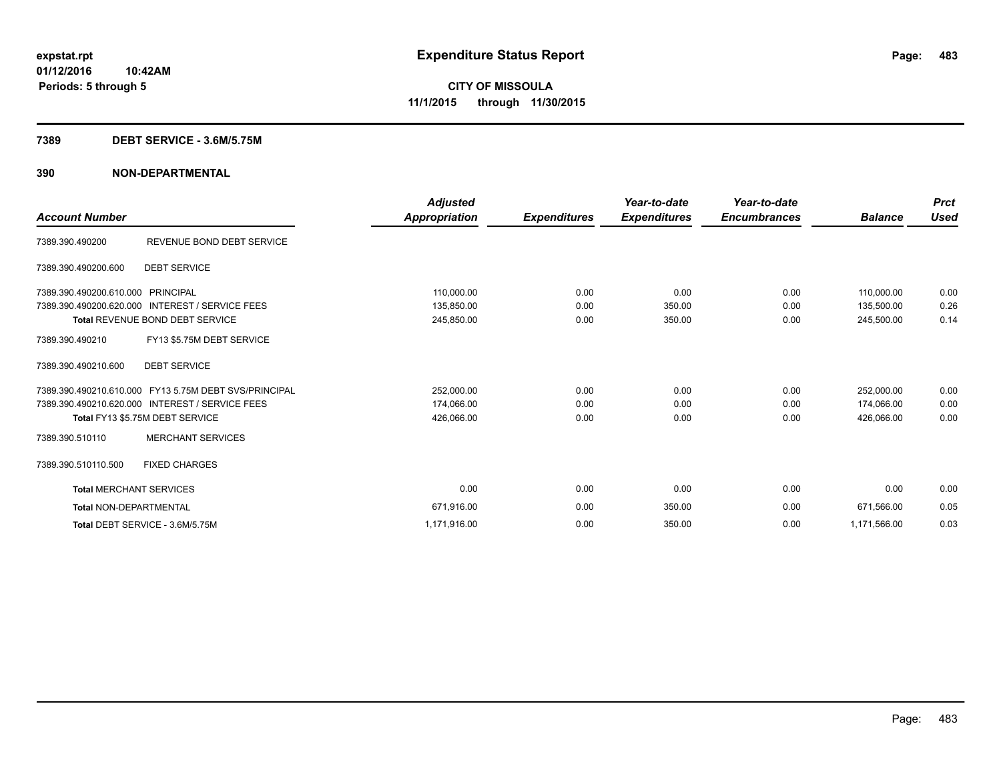### **7389 DEBT SERVICE - 3.6M/5.75M**

|                                   |                                                       | <b>Adjusted</b> |                     | Year-to-date        | Year-to-date        |                | <b>Prct</b> |
|-----------------------------------|-------------------------------------------------------|-----------------|---------------------|---------------------|---------------------|----------------|-------------|
| <b>Account Number</b>             |                                                       | Appropriation   | <b>Expenditures</b> | <b>Expenditures</b> | <b>Encumbrances</b> | <b>Balance</b> | <b>Used</b> |
| 7389.390.490200                   | REVENUE BOND DEBT SERVICE                             |                 |                     |                     |                     |                |             |
| 7389.390.490200.600               | <b>DEBT SERVICE</b>                                   |                 |                     |                     |                     |                |             |
| 7389.390.490200.610.000 PRINCIPAL |                                                       | 110,000.00      | 0.00                | 0.00                | 0.00                | 110,000.00     | 0.00        |
|                                   | 7389.390.490200.620.000 INTEREST / SERVICE FEES       | 135,850.00      | 0.00                | 350.00              | 0.00                | 135,500.00     | 0.26        |
|                                   | <b>Total REVENUE BOND DEBT SERVICE</b>                | 245,850.00      | 0.00                | 350.00              | 0.00                | 245,500.00     | 0.14        |
| 7389.390.490210                   | FY13 \$5.75M DEBT SERVICE                             |                 |                     |                     |                     |                |             |
| 7389.390.490210.600               | <b>DEBT SERVICE</b>                                   |                 |                     |                     |                     |                |             |
|                                   | 7389.390.490210.610.000 FY13 5.75M DEBT SVS/PRINCIPAL | 252,000.00      | 0.00                | 0.00                | 0.00                | 252,000.00     | 0.00        |
|                                   | 7389.390.490210.620.000 INTEREST / SERVICE FEES       | 174,066.00      | 0.00                | 0.00                | 0.00                | 174,066.00     | 0.00        |
|                                   | Total FY13 \$5.75M DEBT SERVICE                       | 426,066.00      | 0.00                | 0.00                | 0.00                | 426.066.00     | 0.00        |
| 7389.390.510110                   | <b>MERCHANT SERVICES</b>                              |                 |                     |                     |                     |                |             |
| 7389.390.510110.500               | <b>FIXED CHARGES</b>                                  |                 |                     |                     |                     |                |             |
| <b>Total MERCHANT SERVICES</b>    |                                                       | 0.00            | 0.00                | 0.00                | 0.00                | 0.00           | 0.00        |
| <b>Total NON-DEPARTMENTAL</b>     |                                                       | 671,916.00      | 0.00                | 350.00              | 0.00                | 671,566.00     | 0.05        |
|                                   | Total DEBT SERVICE - 3.6M/5.75M                       | 1,171,916.00    | 0.00                | 350.00              | 0.00                | 1,171,566.00   | 0.03        |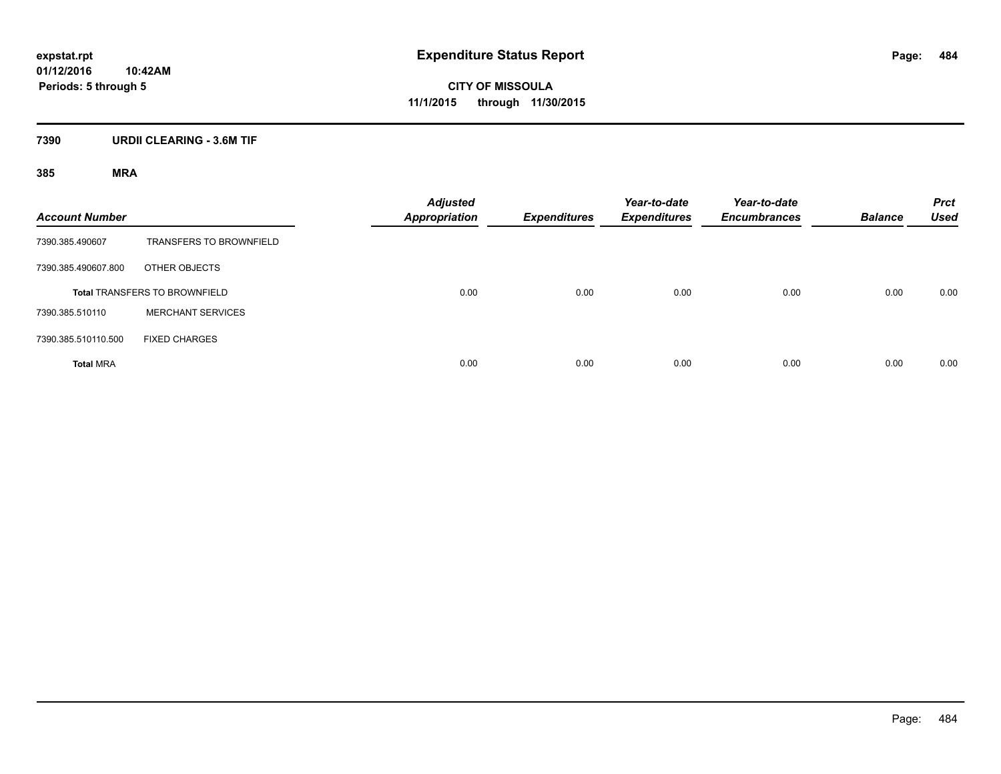## **7390 URDII CLEARING - 3.6M TIF**

| <b>Account Number</b> |                                      | <b>Adjusted</b><br><b>Appropriation</b> | <b>Expenditures</b> | Year-to-date<br><b>Expenditures</b> | Year-to-date<br><b>Encumbrances</b> | <b>Balance</b> | <b>Prct</b><br><b>Used</b> |
|-----------------------|--------------------------------------|-----------------------------------------|---------------------|-------------------------------------|-------------------------------------|----------------|----------------------------|
| 7390.385.490607       | <b>TRANSFERS TO BROWNFIELD</b>       |                                         |                     |                                     |                                     |                |                            |
| 7390.385.490607.800   | OTHER OBJECTS                        |                                         |                     |                                     |                                     |                |                            |
|                       | <b>Total TRANSFERS TO BROWNFIELD</b> | 0.00                                    | 0.00                | 0.00                                | 0.00                                | 0.00           | 0.00                       |
| 7390.385.510110       | <b>MERCHANT SERVICES</b>             |                                         |                     |                                     |                                     |                |                            |
| 7390.385.510110.500   | <b>FIXED CHARGES</b>                 |                                         |                     |                                     |                                     |                |                            |
| <b>Total MRA</b>      |                                      | 0.00                                    | 0.00                | 0.00                                | 0.00                                | 0.00           | 0.00                       |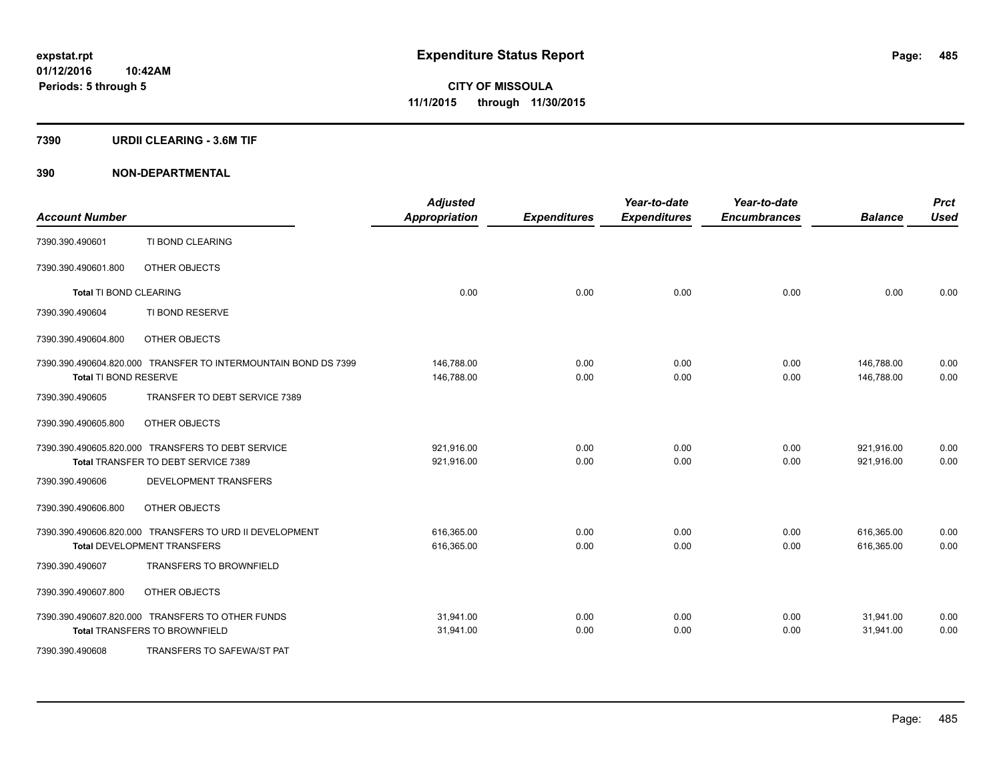### **7390 URDII CLEARING - 3.6M TIF**

| <b>Account Number</b>         |                                                                | <b>Adjusted</b><br><b>Appropriation</b> | <b>Expenditures</b> | Year-to-date<br><b>Expenditures</b> | Year-to-date<br><b>Encumbrances</b> | <b>Balance</b> | <b>Prct</b><br><b>Used</b> |
|-------------------------------|----------------------------------------------------------------|-----------------------------------------|---------------------|-------------------------------------|-------------------------------------|----------------|----------------------------|
| 7390.390.490601               | TI BOND CLEARING                                               |                                         |                     |                                     |                                     |                |                            |
| 7390.390.490601.800           | OTHER OBJECTS                                                  |                                         |                     |                                     |                                     |                |                            |
| <b>Total TI BOND CLEARING</b> |                                                                | 0.00                                    | 0.00                | 0.00                                | 0.00                                | 0.00           | 0.00                       |
| 7390.390.490604               | TI BOND RESERVE                                                |                                         |                     |                                     |                                     |                |                            |
| 7390.390.490604.800           | OTHER OBJECTS                                                  |                                         |                     |                                     |                                     |                |                            |
|                               | 7390.390.490604.820.000 TRANSFER TO INTERMOUNTAIN BOND DS 7399 | 146,788.00                              | 0.00                | 0.00                                | 0.00                                | 146,788.00     | 0.00                       |
| Total TI BOND RESERVE         |                                                                | 146,788.00                              | 0.00                | 0.00                                | 0.00                                | 146,788.00     | 0.00                       |
| 7390.390.490605               | TRANSFER TO DEBT SERVICE 7389                                  |                                         |                     |                                     |                                     |                |                            |
| 7390.390.490605.800           | OTHER OBJECTS                                                  |                                         |                     |                                     |                                     |                |                            |
|                               | 7390.390.490605.820.000 TRANSFERS TO DEBT SERVICE              | 921,916.00                              | 0.00                | 0.00                                | 0.00                                | 921,916.00     | 0.00                       |
|                               | Total TRANSFER TO DEBT SERVICE 7389                            | 921,916.00                              | 0.00                | 0.00                                | 0.00                                | 921,916.00     | 0.00                       |
| 7390.390.490606               | DEVELOPMENT TRANSFERS                                          |                                         |                     |                                     |                                     |                |                            |
| 7390.390.490606.800           | OTHER OBJECTS                                                  |                                         |                     |                                     |                                     |                |                            |
|                               | 7390.390.490606.820.000 TRANSFERS TO URD II DEVELOPMENT        | 616,365.00                              | 0.00                | 0.00                                | 0.00                                | 616,365.00     | 0.00                       |
|                               | <b>Total DEVELOPMENT TRANSFERS</b>                             | 616,365.00                              | 0.00                | 0.00                                | 0.00                                | 616,365.00     | 0.00                       |
| 7390.390.490607               | <b>TRANSFERS TO BROWNFIELD</b>                                 |                                         |                     |                                     |                                     |                |                            |
| 7390.390.490607.800           | OTHER OBJECTS                                                  |                                         |                     |                                     |                                     |                |                            |
|                               | 7390.390.490607.820.000 TRANSFERS TO OTHER FUNDS               | 31,941.00                               | 0.00                | 0.00                                | 0.00                                | 31,941.00      | 0.00                       |
|                               | <b>Total TRANSFERS TO BROWNFIELD</b>                           | 31,941.00                               | 0.00                | 0.00                                | 0.00                                | 31,941.00      | 0.00                       |
| 7390.390.490608               | TRANSFERS TO SAFEWA/ST PAT                                     |                                         |                     |                                     |                                     |                |                            |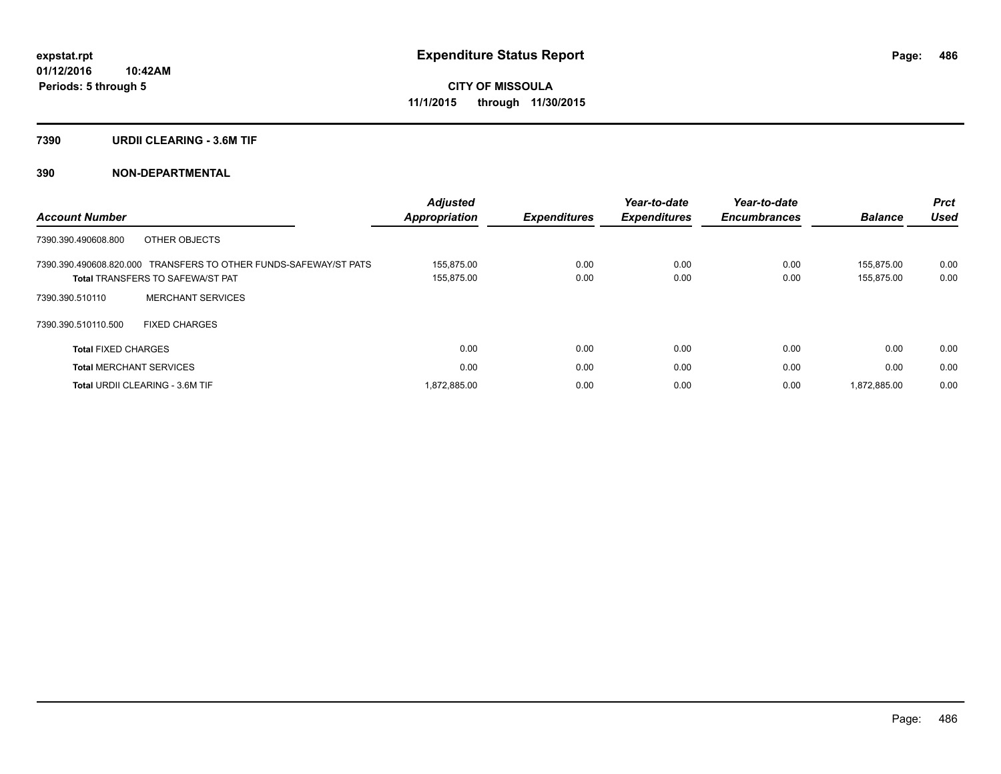### **7390 URDII CLEARING - 3.6M TIF**

|                                                                  | <b>Adjusted</b> |                     | Year-to-date        | Year-to-date        |                | <b>Prct</b> |
|------------------------------------------------------------------|-----------------|---------------------|---------------------|---------------------|----------------|-------------|
| <b>Account Number</b>                                            | Appropriation   | <b>Expenditures</b> | <b>Expenditures</b> | <b>Encumbrances</b> | <b>Balance</b> | <b>Used</b> |
| OTHER OBJECTS<br>7390.390.490608.800                             |                 |                     |                     |                     |                |             |
| 7390.390.490608.820.000 TRANSFERS TO OTHER FUNDS-SAFEWAY/ST PATS | 155.875.00      | 0.00                | 0.00                | 0.00                | 155.875.00     | 0.00        |
| <b>Total TRANSFERS TO SAFEWA/ST PAT</b>                          | 155,875.00      | 0.00                | 0.00                | 0.00                | 155,875.00     | 0.00        |
| <b>MERCHANT SERVICES</b><br>7390.390.510110                      |                 |                     |                     |                     |                |             |
| 7390.390.510110.500<br><b>FIXED CHARGES</b>                      |                 |                     |                     |                     |                |             |
| <b>Total FIXED CHARGES</b>                                       | 0.00            | 0.00                | 0.00                | 0.00                | 0.00           | 0.00        |
| <b>Total MERCHANT SERVICES</b>                                   | 0.00            | 0.00                | 0.00                | 0.00                | 0.00           | 0.00        |
| <b>Total URDII CLEARING - 3.6M TIF</b>                           | 872,885.00      | 0.00                | 0.00                | 0.00                | 1.872.885.00   | 0.00        |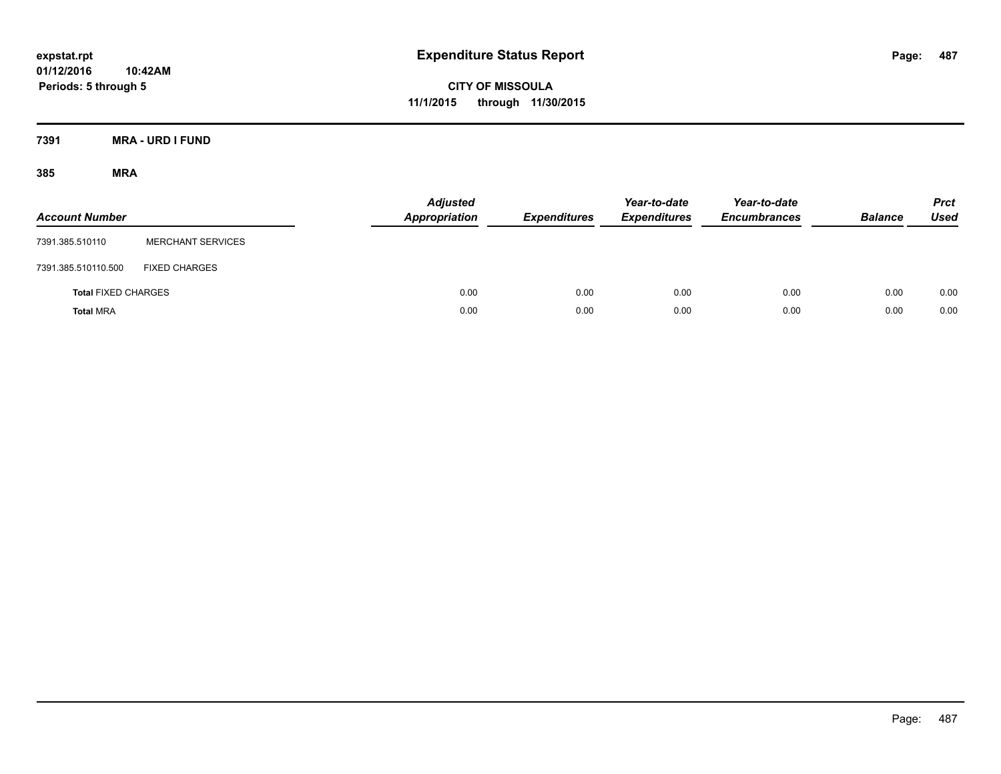**CITY OF MISSOULA 11/1/2015 through 11/30/2015**

**7391 MRA - URD I FUND**

| <b>Account Number</b>      |                          | <b>Adjusted</b><br><b>Appropriation</b> | <b>Expenditures</b> | Year-to-date<br><b>Expenditures</b> | Year-to-date<br><b>Encumbrances</b> | <b>Balance</b> | <b>Prct</b><br><b>Used</b> |
|----------------------------|--------------------------|-----------------------------------------|---------------------|-------------------------------------|-------------------------------------|----------------|----------------------------|
| 7391.385.510110            | <b>MERCHANT SERVICES</b> |                                         |                     |                                     |                                     |                |                            |
| 7391.385.510110.500        | <b>FIXED CHARGES</b>     |                                         |                     |                                     |                                     |                |                            |
| <b>Total FIXED CHARGES</b> |                          | 0.00                                    | 0.00                | 0.00                                | 0.00                                | 0.00           | 0.00                       |
| <b>Total MRA</b>           |                          | 0.00                                    | 0.00                | 0.00                                | 0.00                                | 0.00           | 0.00                       |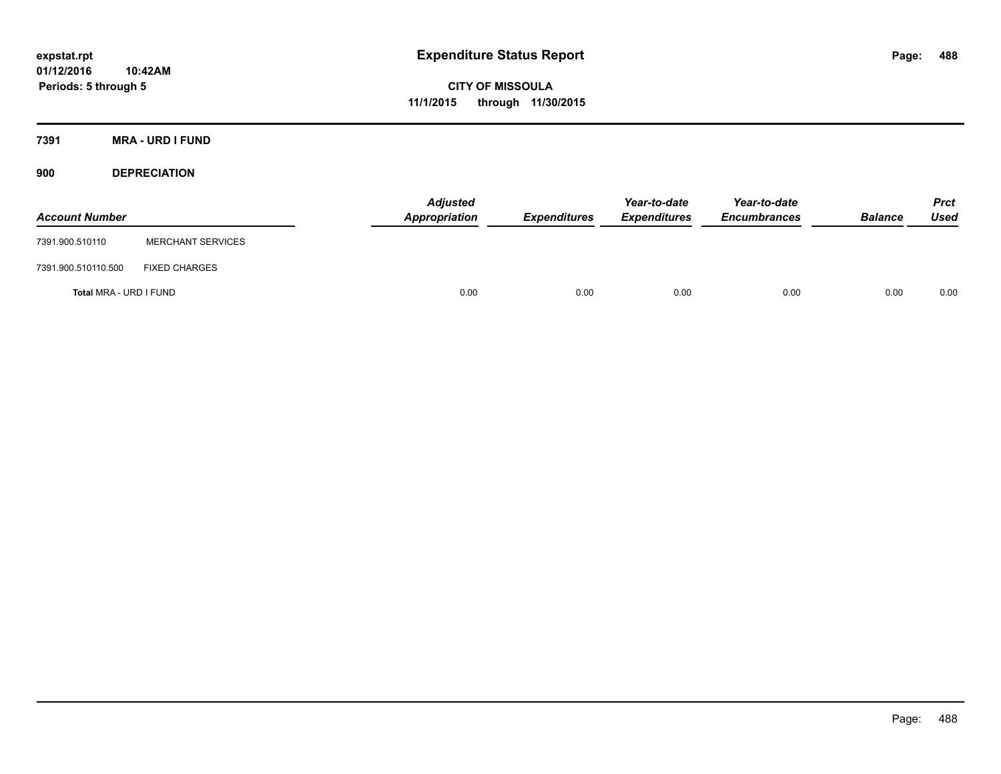**CITY OF MISSOULA 11/1/2015 through 11/30/2015**

**7391 MRA - URD I FUND**

**900 DEPRECIATION**

| <b>Account Number</b>  |                          | <b>Adjusted</b><br><b>Appropriation</b> | <b>Expenditures</b> | Year-to-date<br><b>Expenditures</b> | Year-to-date<br><b>Encumbrances</b> | <b>Balance</b> | <b>Prct</b><br>Used |
|------------------------|--------------------------|-----------------------------------------|---------------------|-------------------------------------|-------------------------------------|----------------|---------------------|
| 7391.900.510110        | <b>MERCHANT SERVICES</b> |                                         |                     |                                     |                                     |                |                     |
| 7391.900.510110.500    | <b>FIXED CHARGES</b>     |                                         |                     |                                     |                                     |                |                     |
| Total MRA - URD I FUND |                          | 0.00                                    | 0.00                | 0.00                                | 0.00                                | 0.00           | 0.00                |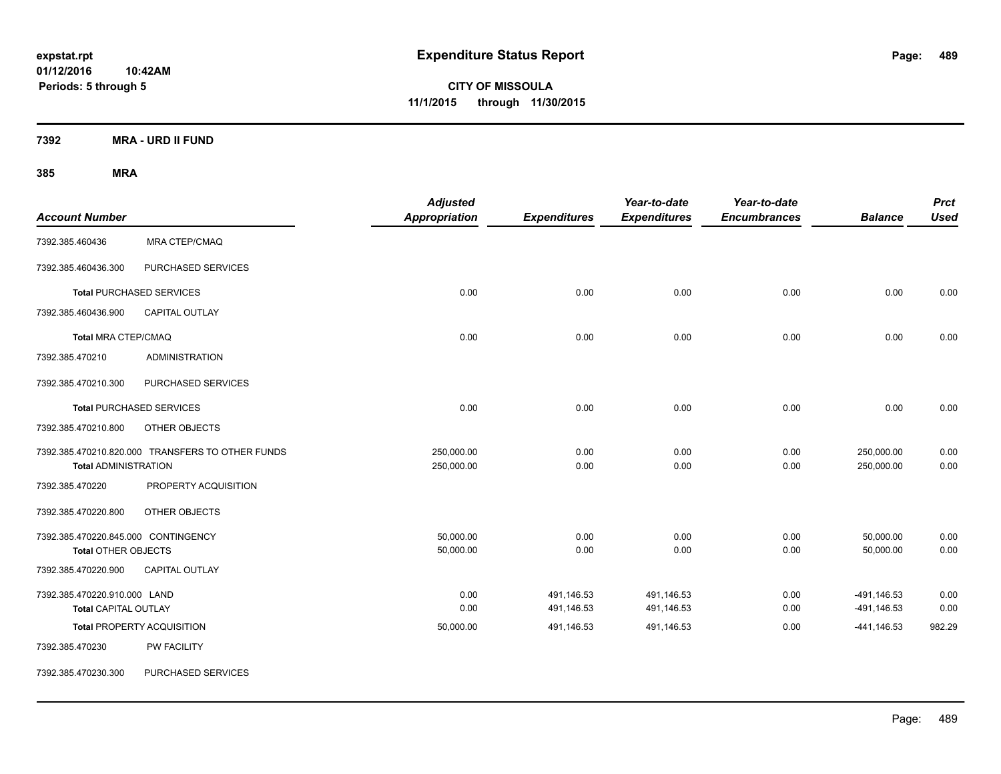**CITY OF MISSOULA 11/1/2015 through 11/30/2015**

**7392 MRA - URD II FUND**

| <b>Account Number</b>                                             |                                                  | <b>Adjusted</b><br><b>Appropriation</b> | <b>Expenditures</b>      | Year-to-date<br><b>Expenditures</b> | Year-to-date<br><b>Encumbrances</b> | <b>Balance</b>             | <b>Prct</b><br><b>Used</b> |
|-------------------------------------------------------------------|--------------------------------------------------|-----------------------------------------|--------------------------|-------------------------------------|-------------------------------------|----------------------------|----------------------------|
| 7392.385.460436                                                   | MRA CTEP/CMAQ                                    |                                         |                          |                                     |                                     |                            |                            |
| 7392.385.460436.300                                               | PURCHASED SERVICES                               |                                         |                          |                                     |                                     |                            |                            |
|                                                                   | Total PURCHASED SERVICES                         | 0.00                                    | 0.00                     | 0.00                                | 0.00                                | 0.00                       | 0.00                       |
| 7392.385.460436.900                                               | <b>CAPITAL OUTLAY</b>                            |                                         |                          |                                     |                                     |                            |                            |
| <b>Total MRA CTEP/CMAQ</b>                                        |                                                  | 0.00                                    | 0.00                     | 0.00                                | 0.00                                | 0.00                       | 0.00                       |
| 7392.385.470210                                                   | <b>ADMINISTRATION</b>                            |                                         |                          |                                     |                                     |                            |                            |
| 7392.385.470210.300                                               | PURCHASED SERVICES                               |                                         |                          |                                     |                                     |                            |                            |
|                                                                   | <b>Total PURCHASED SERVICES</b>                  | 0.00                                    | 0.00                     | 0.00                                | 0.00                                | 0.00                       | 0.00                       |
| 7392.385.470210.800                                               | OTHER OBJECTS                                    |                                         |                          |                                     |                                     |                            |                            |
| <b>Total ADMINISTRATION</b>                                       | 7392.385.470210.820.000 TRANSFERS TO OTHER FUNDS | 250,000.00<br>250,000.00                | 0.00<br>0.00             | 0.00<br>0.00                        | 0.00<br>0.00                        | 250,000.00<br>250,000.00   | 0.00<br>0.00               |
| 7392.385.470220                                                   | PROPERTY ACQUISITION                             |                                         |                          |                                     |                                     |                            |                            |
| 7392.385.470220.800                                               | OTHER OBJECTS                                    |                                         |                          |                                     |                                     |                            |                            |
| 7392.385.470220.845.000 CONTINGENCY<br><b>Total OTHER OBJECTS</b> |                                                  | 50.000.00<br>50,000.00                  | 0.00<br>0.00             | 0.00<br>0.00                        | 0.00<br>0.00                        | 50,000.00<br>50,000.00     | 0.00<br>0.00               |
| 7392.385.470220.900                                               | <b>CAPITAL OUTLAY</b>                            |                                         |                          |                                     |                                     |                            |                            |
| 7392.385.470220.910.000 LAND<br><b>Total CAPITAL OUTLAY</b>       |                                                  | 0.00<br>0.00                            | 491,146.53<br>491,146.53 | 491,146.53<br>491,146.53            | 0.00<br>0.00                        | -491,146.53<br>-491,146.53 | 0.00<br>0.00               |
|                                                                   | <b>Total PROPERTY ACQUISITION</b>                | 50,000.00                               | 491,146.53               | 491,146.53                          | 0.00                                | $-441,146.53$              | 982.29                     |
| 7392.385.470230                                                   | <b>PW FACILITY</b>                               |                                         |                          |                                     |                                     |                            |                            |
| 7392.385.470230.300                                               | PURCHASED SERVICES                               |                                         |                          |                                     |                                     |                            |                            |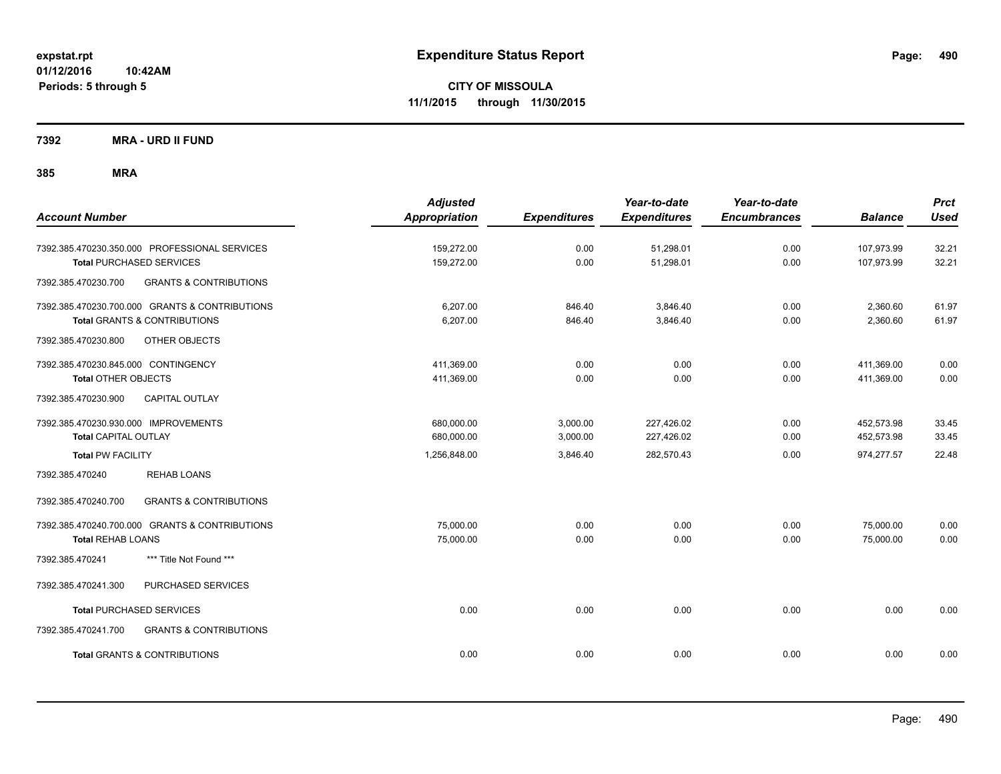**CITY OF MISSOULA 11/1/2015 through 11/30/2015**

**7392 MRA - URD II FUND**

| <b>Account Number</b>                                                                                             | <b>Adjusted</b><br><b>Appropriation</b> | <b>Expenditures</b>  | Year-to-date<br><b>Expenditures</b> | Year-to-date<br><b>Encumbrances</b> | <b>Balance</b>           | <b>Prct</b><br><b>Used</b> |
|-------------------------------------------------------------------------------------------------------------------|-----------------------------------------|----------------------|-------------------------------------|-------------------------------------|--------------------------|----------------------------|
| 7392.385.470230.350.000 PROFESSIONAL SERVICES<br><b>Total PURCHASED SERVICES</b>                                  | 159,272.00<br>159,272.00                | 0.00<br>0.00         | 51,298.01<br>51,298.01              | 0.00<br>0.00                        | 107,973.99<br>107,973.99 | 32.21<br>32.21             |
| <b>GRANTS &amp; CONTRIBUTIONS</b><br>7392.385.470230.700                                                          |                                         |                      |                                     |                                     |                          |                            |
| 7392.385.470230.700.000 GRANTS & CONTRIBUTIONS<br><b>Total GRANTS &amp; CONTRIBUTIONS</b>                         | 6.207.00<br>6,207.00                    | 846.40<br>846.40     | 3,846.40<br>3,846.40                | 0.00<br>0.00                        | 2,360.60<br>2,360.60     | 61.97<br>61.97             |
| 7392.385.470230.800<br>OTHER OBJECTS                                                                              |                                         |                      |                                     |                                     |                          |                            |
| 7392.385.470230.845.000 CONTINGENCY<br><b>Total OTHER OBJECTS</b><br><b>CAPITAL OUTLAY</b><br>7392.385.470230.900 | 411,369.00<br>411,369.00                | 0.00<br>0.00         | 0.00<br>0.00                        | 0.00<br>0.00                        | 411,369.00<br>411,369.00 | 0.00<br>0.00               |
| 7392.385.470230.930.000 IMPROVEMENTS<br><b>Total CAPITAL OUTLAY</b>                                               | 680,000.00<br>680,000.00                | 3,000.00<br>3,000.00 | 227,426.02<br>227,426.02            | 0.00<br>0.00                        | 452,573.98<br>452,573.98 | 33.45<br>33.45             |
| <b>Total PW FACILITY</b>                                                                                          | 1,256,848.00                            | 3,846.40             | 282,570.43                          | 0.00                                | 974,277.57               | 22.48                      |
| 7392.385.470240<br><b>REHAB LOANS</b>                                                                             |                                         |                      |                                     |                                     |                          |                            |
| <b>GRANTS &amp; CONTRIBUTIONS</b><br>7392.385.470240.700                                                          |                                         |                      |                                     |                                     |                          |                            |
| 7392.385.470240.700.000 GRANTS & CONTRIBUTIONS<br><b>Total REHAB LOANS</b>                                        | 75,000.00<br>75,000.00                  | 0.00<br>0.00         | 0.00<br>0.00                        | 0.00<br>0.00                        | 75,000.00<br>75,000.00   | 0.00<br>0.00               |
| *** Title Not Found ***<br>7392.385.470241                                                                        |                                         |                      |                                     |                                     |                          |                            |
| 7392.385.470241.300<br>PURCHASED SERVICES                                                                         |                                         |                      |                                     |                                     |                          |                            |
| <b>Total PURCHASED SERVICES</b>                                                                                   | 0.00                                    | 0.00                 | 0.00                                | 0.00                                | 0.00                     | 0.00                       |
| 7392.385.470241.700<br><b>GRANTS &amp; CONTRIBUTIONS</b>                                                          |                                         |                      |                                     |                                     |                          |                            |
| <b>Total GRANTS &amp; CONTRIBUTIONS</b>                                                                           | 0.00                                    | 0.00                 | 0.00                                | 0.00                                | 0.00                     | 0.00                       |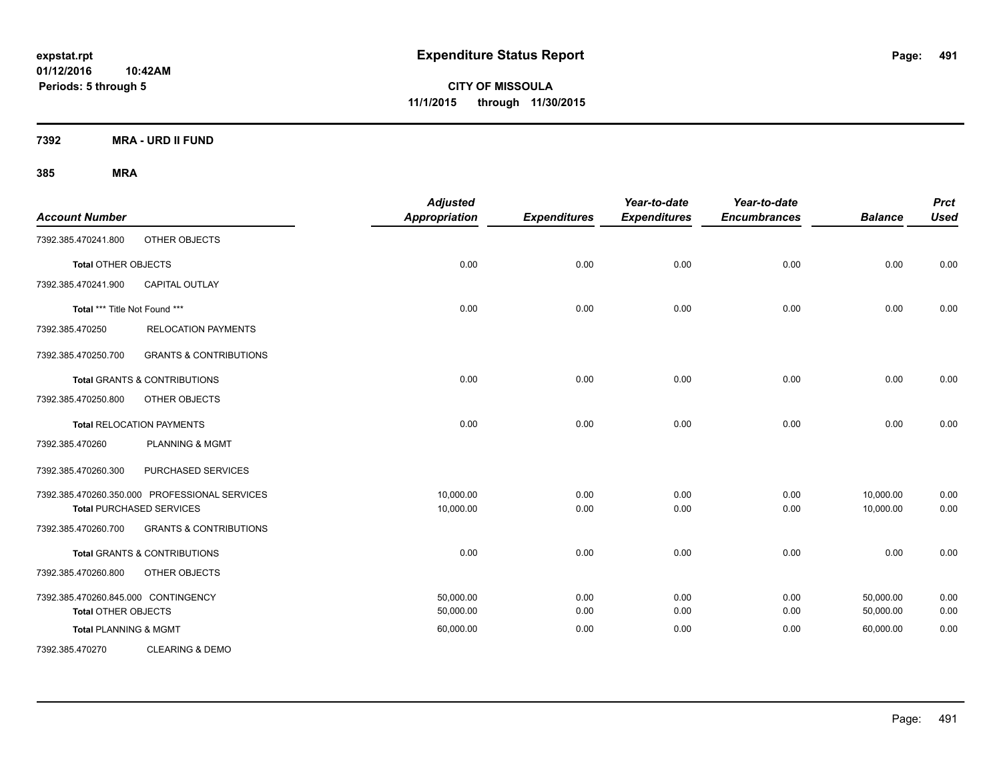**CITY OF MISSOULA 11/1/2015 through 11/30/2015**

**7392 MRA - URD II FUND**

| <b>Account Number</b>               |                                               | <b>Adjusted</b><br><b>Appropriation</b> | <b>Expenditures</b> | Year-to-date<br><b>Expenditures</b> | Year-to-date<br><b>Encumbrances</b> | <b>Balance</b> | <b>Prct</b><br><b>Used</b> |
|-------------------------------------|-----------------------------------------------|-----------------------------------------|---------------------|-------------------------------------|-------------------------------------|----------------|----------------------------|
| 7392.385.470241.800                 | OTHER OBJECTS                                 |                                         |                     |                                     |                                     |                |                            |
| <b>Total OTHER OBJECTS</b>          |                                               | 0.00                                    | 0.00                | 0.00                                | 0.00                                | 0.00           | 0.00                       |
| 7392.385.470241.900                 | CAPITAL OUTLAY                                |                                         |                     |                                     |                                     |                |                            |
| Total *** Title Not Found ***       |                                               | 0.00                                    | 0.00                | 0.00                                | 0.00                                | 0.00           | 0.00                       |
| 7392.385.470250                     | <b>RELOCATION PAYMENTS</b>                    |                                         |                     |                                     |                                     |                |                            |
| 7392.385.470250.700                 | <b>GRANTS &amp; CONTRIBUTIONS</b>             |                                         |                     |                                     |                                     |                |                            |
|                                     | <b>Total GRANTS &amp; CONTRIBUTIONS</b>       | 0.00                                    | 0.00                | 0.00                                | 0.00                                | 0.00           | 0.00                       |
| 7392.385.470250.800                 | OTHER OBJECTS                                 |                                         |                     |                                     |                                     |                |                            |
|                                     | <b>Total RELOCATION PAYMENTS</b>              | 0.00                                    | 0.00                | 0.00                                | 0.00                                | 0.00           | 0.00                       |
| 7392.385.470260                     | <b>PLANNING &amp; MGMT</b>                    |                                         |                     |                                     |                                     |                |                            |
| 7392.385.470260.300                 | PURCHASED SERVICES                            |                                         |                     |                                     |                                     |                |                            |
|                                     | 7392.385.470260.350.000 PROFESSIONAL SERVICES | 10,000.00                               | 0.00                | 0.00                                | 0.00                                | 10,000.00      | 0.00                       |
|                                     | <b>Total PURCHASED SERVICES</b>               | 10,000.00                               | 0.00                | 0.00                                | 0.00                                | 10,000.00      | 0.00                       |
| 7392.385.470260.700                 | <b>GRANTS &amp; CONTRIBUTIONS</b>             |                                         |                     |                                     |                                     |                |                            |
|                                     | Total GRANTS & CONTRIBUTIONS                  | 0.00                                    | 0.00                | 0.00                                | 0.00                                | 0.00           | 0.00                       |
| 7392.385.470260.800                 | OTHER OBJECTS                                 |                                         |                     |                                     |                                     |                |                            |
| 7392.385.470260.845.000 CONTINGENCY |                                               | 50.000.00                               | 0.00                | 0.00                                | 0.00                                | 50.000.00      | 0.00                       |
| <b>Total OTHER OBJECTS</b>          |                                               | 50,000.00                               | 0.00                | 0.00                                | 0.00                                | 50,000.00      | 0.00                       |
| <b>Total PLANNING &amp; MGMT</b>    |                                               | 60,000.00                               | 0.00                | 0.00                                | 0.00                                | 60,000.00      | 0.00                       |
| 7392.385.470270                     | <b>CLEARING &amp; DEMO</b>                    |                                         |                     |                                     |                                     |                |                            |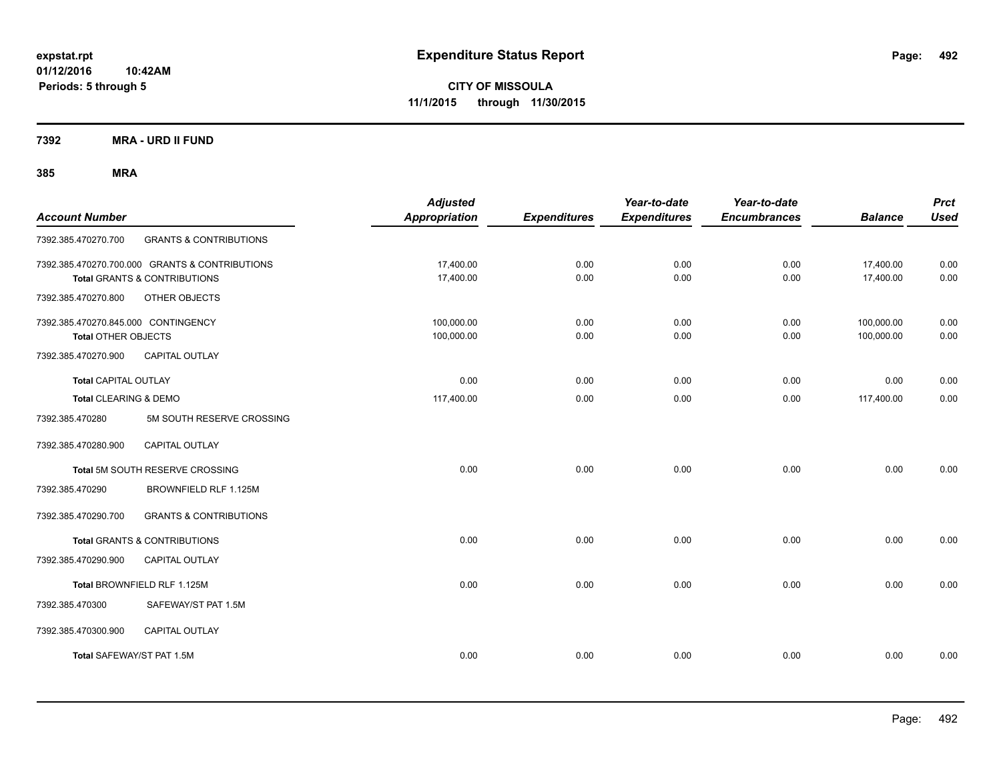**CITY OF MISSOULA 11/1/2015 through 11/30/2015**

**7392 MRA - URD II FUND**

| <b>Account Number</b>                                             |                                                                                | <b>Adjusted</b><br><b>Appropriation</b> | <b>Expenditures</b> | Year-to-date<br><b>Expenditures</b> | Year-to-date<br><b>Encumbrances</b> | <b>Balance</b>           | <b>Prct</b><br><b>Used</b> |
|-------------------------------------------------------------------|--------------------------------------------------------------------------------|-----------------------------------------|---------------------|-------------------------------------|-------------------------------------|--------------------------|----------------------------|
| 7392.385.470270.700                                               | <b>GRANTS &amp; CONTRIBUTIONS</b>                                              |                                         |                     |                                     |                                     |                          |                            |
|                                                                   | 7392.385.470270.700.000 GRANTS & CONTRIBUTIONS<br>Total GRANTS & CONTRIBUTIONS | 17,400.00<br>17,400.00                  | 0.00<br>0.00        | 0.00<br>0.00                        | 0.00<br>0.00                        | 17,400.00<br>17,400.00   | 0.00<br>0.00               |
| 7392.385.470270.800                                               | OTHER OBJECTS                                                                  |                                         |                     |                                     |                                     |                          |                            |
| 7392.385.470270.845.000 CONTINGENCY<br><b>Total OTHER OBJECTS</b> |                                                                                | 100,000.00<br>100,000.00                | 0.00<br>0.00        | 0.00<br>0.00                        | 0.00<br>0.00                        | 100,000.00<br>100,000.00 | 0.00<br>0.00               |
| 7392.385.470270.900                                               | <b>CAPITAL OUTLAY</b>                                                          |                                         |                     |                                     |                                     |                          |                            |
| <b>Total CAPITAL OUTLAY</b>                                       |                                                                                | 0.00                                    | 0.00                | 0.00                                | 0.00                                | 0.00                     | 0.00                       |
| Total CLEARING & DEMO                                             |                                                                                | 117,400.00                              | 0.00                | 0.00                                | 0.00                                | 117,400.00               | 0.00                       |
| 7392.385.470280                                                   | 5M SOUTH RESERVE CROSSING                                                      |                                         |                     |                                     |                                     |                          |                            |
| 7392.385.470280.900                                               | <b>CAPITAL OUTLAY</b>                                                          |                                         |                     |                                     |                                     |                          |                            |
|                                                                   | Total 5M SOUTH RESERVE CROSSING                                                | 0.00                                    | 0.00                | 0.00                                | 0.00                                | 0.00                     | 0.00                       |
| 7392.385.470290                                                   | BROWNFIELD RLF 1.125M                                                          |                                         |                     |                                     |                                     |                          |                            |
| 7392.385.470290.700                                               | <b>GRANTS &amp; CONTRIBUTIONS</b>                                              |                                         |                     |                                     |                                     |                          |                            |
|                                                                   | Total GRANTS & CONTRIBUTIONS                                                   | 0.00                                    | 0.00                | 0.00                                | 0.00                                | 0.00                     | 0.00                       |
| 7392.385.470290.900                                               | CAPITAL OUTLAY                                                                 |                                         |                     |                                     |                                     |                          |                            |
|                                                                   | Total BROWNFIELD RLF 1.125M                                                    | 0.00                                    | 0.00                | 0.00                                | 0.00                                | 0.00                     | 0.00                       |
| 7392.385.470300                                                   | SAFEWAY/ST PAT 1.5M                                                            |                                         |                     |                                     |                                     |                          |                            |
| 7392.385.470300.900                                               | <b>CAPITAL OUTLAY</b>                                                          |                                         |                     |                                     |                                     |                          |                            |
| Total SAFEWAY/ST PAT 1.5M                                         |                                                                                | 0.00                                    | 0.00                | 0.00                                | 0.00                                | 0.00                     | 0.00                       |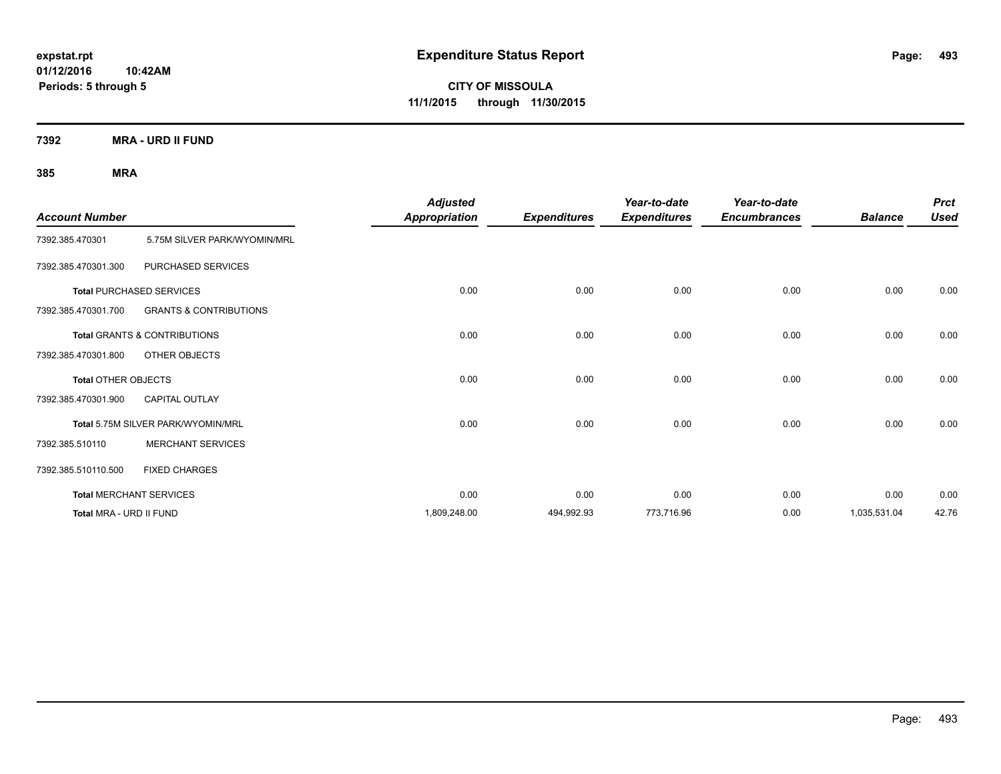**CITY OF MISSOULA 11/1/2015 through 11/30/2015**

**7392 MRA - URD II FUND**

| <b>Account Number</b>      |                                         | <b>Adjusted</b><br><b>Appropriation</b> | <b>Expenditures</b> | Year-to-date<br><b>Expenditures</b> | Year-to-date<br><b>Encumbrances</b> | <b>Balance</b> | <b>Prct</b><br><b>Used</b> |
|----------------------------|-----------------------------------------|-----------------------------------------|---------------------|-------------------------------------|-------------------------------------|----------------|----------------------------|
| 7392.385.470301            | 5.75M SILVER PARK/WYOMIN/MRL            |                                         |                     |                                     |                                     |                |                            |
| 7392.385.470301.300        | PURCHASED SERVICES                      |                                         |                     |                                     |                                     |                |                            |
|                            | <b>Total PURCHASED SERVICES</b>         | 0.00                                    | 0.00                | 0.00                                | 0.00                                | 0.00           | 0.00                       |
| 7392.385.470301.700        | <b>GRANTS &amp; CONTRIBUTIONS</b>       |                                         |                     |                                     |                                     |                |                            |
|                            | <b>Total GRANTS &amp; CONTRIBUTIONS</b> | 0.00                                    | 0.00                | 0.00                                | 0.00                                | 0.00           | 0.00                       |
| 7392.385.470301.800        | OTHER OBJECTS                           |                                         |                     |                                     |                                     |                |                            |
| <b>Total OTHER OBJECTS</b> |                                         | 0.00                                    | 0.00                | 0.00                                | 0.00                                | 0.00           | 0.00                       |
| 7392.385.470301.900        | <b>CAPITAL OUTLAY</b>                   |                                         |                     |                                     |                                     |                |                            |
|                            | Total 5.75M SILVER PARK/WYOMIN/MRL      | 0.00                                    | 0.00                | 0.00                                | 0.00                                | 0.00           | 0.00                       |
| 7392.385.510110            | <b>MERCHANT SERVICES</b>                |                                         |                     |                                     |                                     |                |                            |
| 7392.385.510110.500        | <b>FIXED CHARGES</b>                    |                                         |                     |                                     |                                     |                |                            |
|                            | <b>Total MERCHANT SERVICES</b>          | 0.00                                    | 0.00                | 0.00                                | 0.00                                | 0.00           | 0.00                       |
| Total MRA - URD II FUND    |                                         | 1,809,248.00                            | 494,992.93          | 773,716.96                          | 0.00                                | 1,035,531.04   | 42.76                      |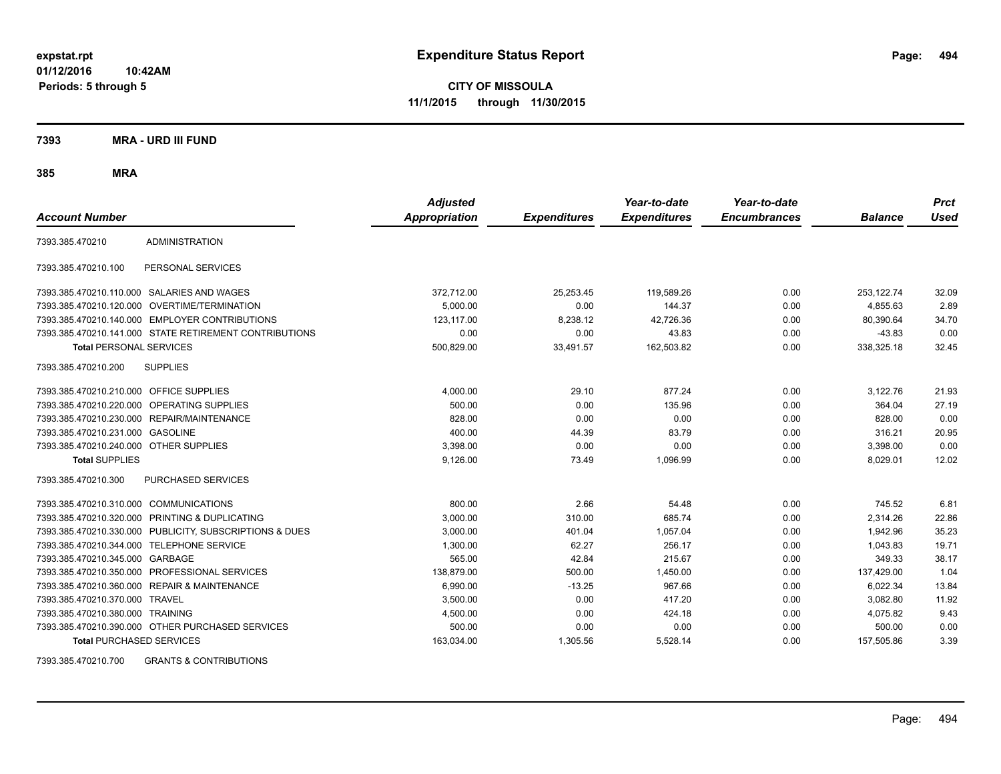**CITY OF MISSOULA 11/1/2015 through 11/30/2015**

**7393 MRA - URD III FUND**

**385 MRA**

| <b>Account Number</b>                   |                                                         | <b>Adjusted</b><br><b>Appropriation</b> | <b>Expenditures</b> | Year-to-date<br><b>Expenditures</b> | Year-to-date<br><b>Encumbrances</b> | <b>Balance</b> | <b>Prct</b><br><b>Used</b> |
|-----------------------------------------|---------------------------------------------------------|-----------------------------------------|---------------------|-------------------------------------|-------------------------------------|----------------|----------------------------|
|                                         |                                                         |                                         |                     |                                     |                                     |                |                            |
| 7393.385.470210                         | <b>ADMINISTRATION</b>                                   |                                         |                     |                                     |                                     |                |                            |
| 7393.385.470210.100                     | PERSONAL SERVICES                                       |                                         |                     |                                     |                                     |                |                            |
|                                         | 7393.385.470210.110.000 SALARIES AND WAGES              | 372,712.00                              | 25,253.45           | 119,589.26                          | 0.00                                | 253,122.74     | 32.09                      |
|                                         | 7393.385.470210.120.000 OVERTIME/TERMINATION            | 5,000.00                                | 0.00                | 144.37                              | 0.00                                | 4,855.63       | 2.89                       |
|                                         | 7393.385.470210.140.000 EMPLOYER CONTRIBUTIONS          | 123.117.00                              | 8,238.12            | 42,726.36                           | 0.00                                | 80.390.64      | 34.70                      |
|                                         | 7393.385.470210.141.000 STATE RETIREMENT CONTRIBUTIONS  | 0.00                                    | 0.00                | 43.83                               | 0.00                                | $-43.83$       | 0.00                       |
| <b>Total PERSONAL SERVICES</b>          |                                                         | 500,829.00                              | 33,491.57           | 162,503.82                          | 0.00                                | 338,325.18     | 32.45                      |
| 7393.385.470210.200                     | <b>SUPPLIES</b>                                         |                                         |                     |                                     |                                     |                |                            |
| 7393.385.470210.210.000 OFFICE SUPPLIES |                                                         | 4,000.00                                | 29.10               | 877.24                              | 0.00                                | 3,122.76       | 21.93                      |
|                                         | 7393.385.470210.220.000 OPERATING SUPPLIES              | 500.00                                  | 0.00                | 135.96                              | 0.00                                | 364.04         | 27.19                      |
|                                         | 7393.385.470210.230.000 REPAIR/MAINTENANCE              | 828.00                                  | 0.00                | 0.00                                | 0.00                                | 828.00         | 0.00                       |
| 7393.385.470210.231.000 GASOLINE        |                                                         | 400.00                                  | 44.39               | 83.79                               | 0.00                                | 316.21         | 20.95                      |
| 7393.385.470210.240.000 OTHER SUPPLIES  |                                                         | 3,398.00                                | 0.00                | 0.00                                | 0.00                                | 3,398.00       | 0.00                       |
| <b>Total SUPPLIES</b>                   |                                                         | 9,126.00                                | 73.49               | 1,096.99                            | 0.00                                | 8,029.01       | 12.02                      |
| 7393.385.470210.300                     | <b>PURCHASED SERVICES</b>                               |                                         |                     |                                     |                                     |                |                            |
| 7393.385.470210.310.000 COMMUNICATIONS  |                                                         | 800.00                                  | 2.66                | 54.48                               | 0.00                                | 745.52         | 6.81                       |
|                                         | 7393.385.470210.320.000 PRINTING & DUPLICATING          | 3.000.00                                | 310.00              | 685.74                              | 0.00                                | 2.314.26       | 22.86                      |
|                                         | 7393.385.470210.330.000 PUBLICITY, SUBSCRIPTIONS & DUES | 3.000.00                                | 401.04              | 1.057.04                            | 0.00                                | 1.942.96       | 35.23                      |
|                                         | 7393.385.470210.344.000 TELEPHONE SERVICE               | 1,300.00                                | 62.27               | 256.17                              | 0.00                                | 1,043.83       | 19.71                      |
| 7393.385.470210.345.000 GARBAGE         |                                                         | 565.00                                  | 42.84               | 215.67                              | 0.00                                | 349.33         | 38.17                      |
|                                         | 7393.385.470210.350.000 PROFESSIONAL SERVICES           | 138.879.00                              | 500.00              | 1,450.00                            | 0.00                                | 137,429.00     | 1.04                       |
| 7393.385.470210.360.000                 | <b>REPAIR &amp; MAINTENANCE</b>                         | 6.990.00                                | $-13.25$            | 967.66                              | 0.00                                | 6.022.34       | 13.84                      |
| 7393.385.470210.370.000 TRAVEL          |                                                         | 3,500.00                                | 0.00                | 417.20                              | 0.00                                | 3,082.80       | 11.92                      |
| 7393.385.470210.380.000 TRAINING        |                                                         | 4,500.00                                | 0.00                | 424.18                              | 0.00                                | 4,075.82       | 9.43                       |
|                                         | 7393.385.470210.390.000 OTHER PURCHASED SERVICES        | 500.00                                  | 0.00                | 0.00                                | 0.00                                | 500.00         | 0.00                       |
| <b>Total PURCHASED SERVICES</b>         |                                                         | 163,034.00                              | 1,305.56            | 5,528.14                            | 0.00                                | 157,505.86     | 3.39                       |

7393.385.470210.700 GRANTS & CONTRIBUTIONS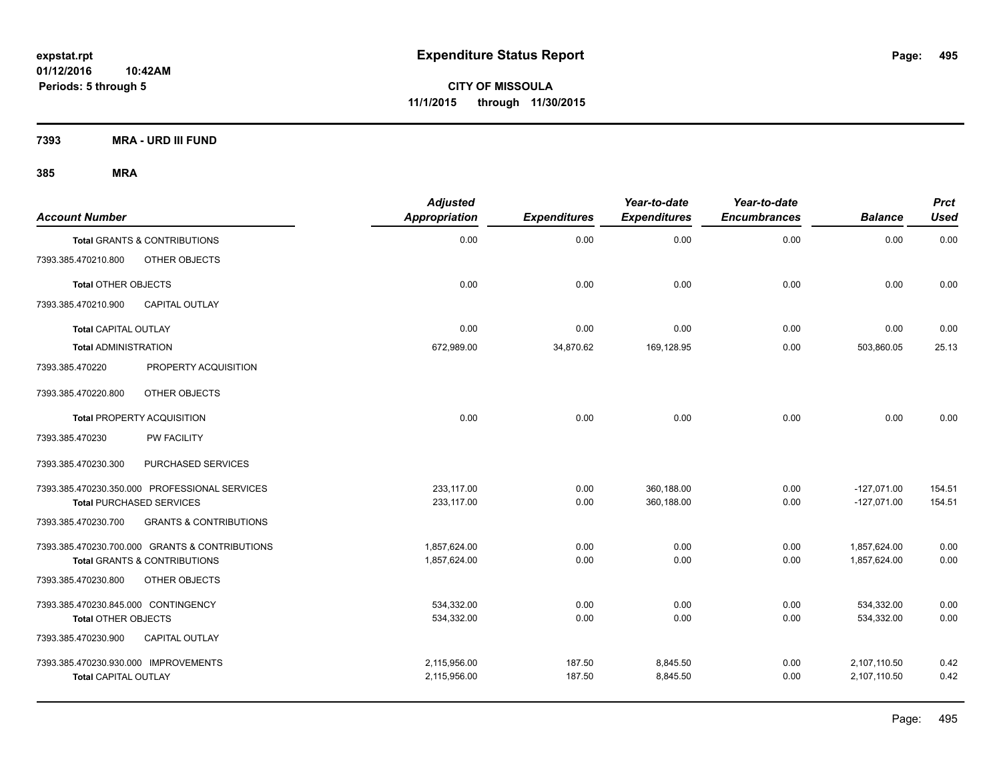**7393 MRA - URD III FUND**

| <b>Account Number</b>                          |                                   | <b>Adjusted</b><br><b>Appropriation</b> | <b>Expenditures</b> | Year-to-date<br><b>Expenditures</b> | Year-to-date<br><b>Encumbrances</b> | <b>Balance</b> | Prct<br><b>Used</b> |
|------------------------------------------------|-----------------------------------|-----------------------------------------|---------------------|-------------------------------------|-------------------------------------|----------------|---------------------|
| <b>Total GRANTS &amp; CONTRIBUTIONS</b>        |                                   | 0.00                                    | 0.00                | 0.00                                | 0.00                                | 0.00           | 0.00                |
| OTHER OBJECTS<br>7393.385.470210.800           |                                   |                                         |                     |                                     |                                     |                |                     |
| <b>Total OTHER OBJECTS</b>                     |                                   | 0.00                                    | 0.00                | 0.00                                | 0.00                                | 0.00           | 0.00                |
| <b>CAPITAL OUTLAY</b><br>7393.385.470210.900   |                                   |                                         |                     |                                     |                                     |                |                     |
| <b>Total CAPITAL OUTLAY</b>                    |                                   | 0.00                                    | 0.00                | 0.00                                | 0.00                                | 0.00           | 0.00                |
| <b>Total ADMINISTRATION</b>                    |                                   | 672,989.00                              | 34,870.62           | 169,128.95                          | 0.00                                | 503,860.05     | 25.13               |
| 7393.385.470220                                | PROPERTY ACQUISITION              |                                         |                     |                                     |                                     |                |                     |
| OTHER OBJECTS<br>7393.385.470220.800           |                                   |                                         |                     |                                     |                                     |                |                     |
| <b>Total PROPERTY ACQUISITION</b>              |                                   | 0.00                                    | 0.00                | 0.00                                | 0.00                                | 0.00           | 0.00                |
| PW FACILITY<br>7393.385.470230                 |                                   |                                         |                     |                                     |                                     |                |                     |
| 7393.385.470230.300                            | PURCHASED SERVICES                |                                         |                     |                                     |                                     |                |                     |
| 7393.385.470230.350.000 PROFESSIONAL SERVICES  |                                   | 233,117.00                              | 0.00                | 360.188.00                          | 0.00                                | $-127,071.00$  | 154.51              |
| <b>Total PURCHASED SERVICES</b>                |                                   | 233,117.00                              | 0.00                | 360,188.00                          | 0.00                                | $-127,071.00$  | 154.51              |
| 7393.385.470230.700                            | <b>GRANTS &amp; CONTRIBUTIONS</b> |                                         |                     |                                     |                                     |                |                     |
| 7393.385.470230.700.000 GRANTS & CONTRIBUTIONS |                                   | 1,857,624.00                            | 0.00                | 0.00                                | 0.00                                | 1.857.624.00   | 0.00                |
| <b>Total GRANTS &amp; CONTRIBUTIONS</b>        |                                   | 1,857,624.00                            | 0.00                | 0.00                                | 0.00                                | 1,857,624.00   | 0.00                |
| OTHER OBJECTS<br>7393.385.470230.800           |                                   |                                         |                     |                                     |                                     |                |                     |
| 7393.385.470230.845.000 CONTINGENCY            |                                   | 534,332.00                              | 0.00                | 0.00                                | 0.00                                | 534,332.00     | 0.00                |
| <b>Total OTHER OBJECTS</b>                     |                                   | 534,332.00                              | 0.00                | 0.00                                | 0.00                                | 534,332.00     | 0.00                |
| 7393.385.470230.900<br><b>CAPITAL OUTLAY</b>   |                                   |                                         |                     |                                     |                                     |                |                     |
| 7393.385.470230.930.000 IMPROVEMENTS           |                                   | 2,115,956.00                            | 187.50              | 8,845.50                            | 0.00                                | 2,107,110.50   | 0.42                |
| <b>Total CAPITAL OUTLAY</b>                    |                                   | 2,115,956.00                            | 187.50              | 8,845.50                            | 0.00                                | 2,107,110.50   | 0.42                |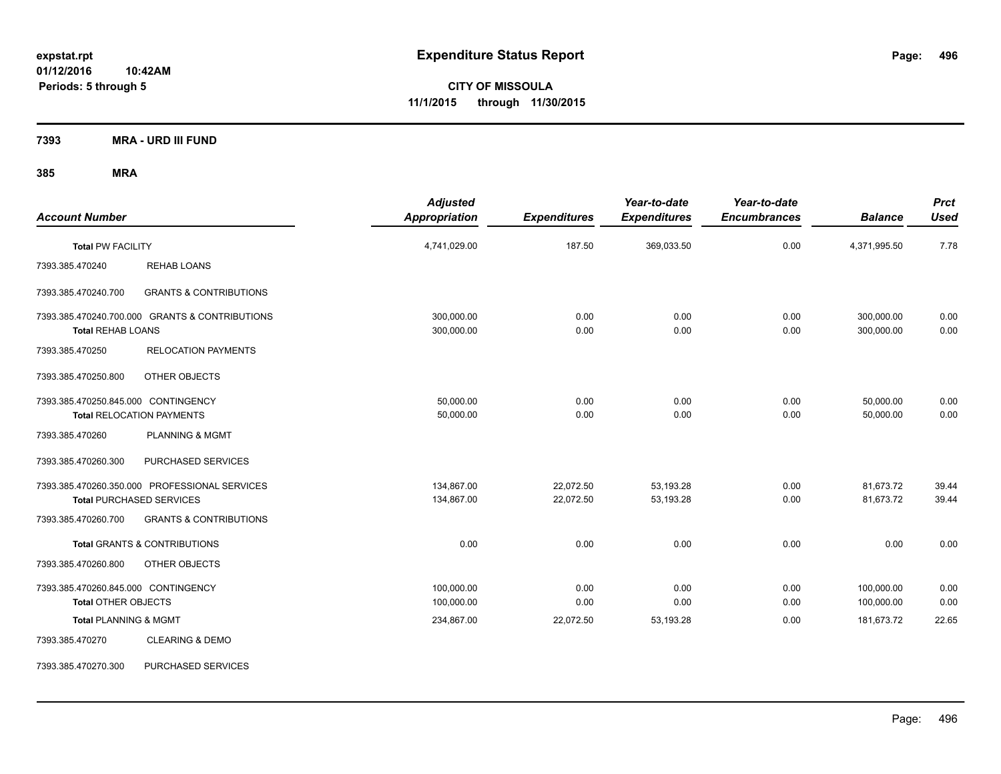**CITY OF MISSOULA 11/1/2015 through 11/30/2015**

**7393 MRA - URD III FUND**

| <b>Account Number</b>                                             |                                                                           | <b>Adjusted</b><br>Appropriation | <b>Expenditures</b>    | Year-to-date<br><b>Expenditures</b> | Year-to-date<br><b>Encumbrances</b> | <b>Balance</b>           | <b>Prct</b><br><b>Used</b> |
|-------------------------------------------------------------------|---------------------------------------------------------------------------|----------------------------------|------------------------|-------------------------------------|-------------------------------------|--------------------------|----------------------------|
| <b>Total PW FACILITY</b>                                          |                                                                           | 4,741,029.00                     | 187.50                 | 369,033.50                          | 0.00                                | 4,371,995.50             | 7.78                       |
| 7393.385.470240                                                   | <b>REHAB LOANS</b>                                                        |                                  |                        |                                     |                                     |                          |                            |
| 7393.385.470240.700                                               | <b>GRANTS &amp; CONTRIBUTIONS</b>                                         |                                  |                        |                                     |                                     |                          |                            |
| <b>Total REHAB LOANS</b>                                          | 7393.385.470240.700.000 GRANTS & CONTRIBUTIONS                            | 300,000.00<br>300,000.00         | 0.00<br>0.00           | 0.00<br>0.00                        | 0.00<br>0.00                        | 300,000.00<br>300,000.00 | 0.00<br>0.00               |
| 7393.385.470250                                                   | <b>RELOCATION PAYMENTS</b>                                                |                                  |                        |                                     |                                     |                          |                            |
| 7393.385.470250.800                                               | OTHER OBJECTS                                                             |                                  |                        |                                     |                                     |                          |                            |
| 7393.385.470250.845.000 CONTINGENCY                               | <b>Total RELOCATION PAYMENTS</b>                                          | 50,000.00<br>50,000.00           | 0.00<br>0.00           | 0.00<br>0.00                        | 0.00<br>0.00                        | 50,000.00<br>50,000.00   | 0.00<br>0.00               |
| 7393.385.470260                                                   | PLANNING & MGMT                                                           |                                  |                        |                                     |                                     |                          |                            |
| 7393.385.470260.300                                               | PURCHASED SERVICES                                                        |                                  |                        |                                     |                                     |                          |                            |
|                                                                   | 7393.385.470260.350.000 PROFESSIONAL SERVICES<br>Total PURCHASED SERVICES | 134,867.00<br>134,867.00         | 22,072.50<br>22,072.50 | 53,193.28<br>53,193.28              | 0.00<br>0.00                        | 81,673.72<br>81,673.72   | 39.44<br>39.44             |
| 7393.385.470260.700                                               | <b>GRANTS &amp; CONTRIBUTIONS</b>                                         |                                  |                        |                                     |                                     |                          |                            |
|                                                                   | <b>Total GRANTS &amp; CONTRIBUTIONS</b>                                   | 0.00                             | 0.00                   | 0.00                                | 0.00                                | 0.00                     | 0.00                       |
| 7393.385.470260.800                                               | OTHER OBJECTS                                                             |                                  |                        |                                     |                                     |                          |                            |
| 7393.385.470260.845.000 CONTINGENCY<br><b>Total OTHER OBJECTS</b> |                                                                           | 100,000.00<br>100,000.00         | 0.00<br>0.00           | 0.00<br>0.00                        | 0.00<br>0.00                        | 100,000.00<br>100,000.00 | 0.00<br>0.00               |
| <b>Total PLANNING &amp; MGMT</b>                                  |                                                                           | 234,867.00                       | 22,072.50              | 53,193.28                           | 0.00                                | 181,673.72               | 22.65                      |
| 7393.385.470270                                                   | <b>CLEARING &amp; DEMO</b>                                                |                                  |                        |                                     |                                     |                          |                            |
| 7393.385.470270.300                                               | PURCHASED SERVICES                                                        |                                  |                        |                                     |                                     |                          |                            |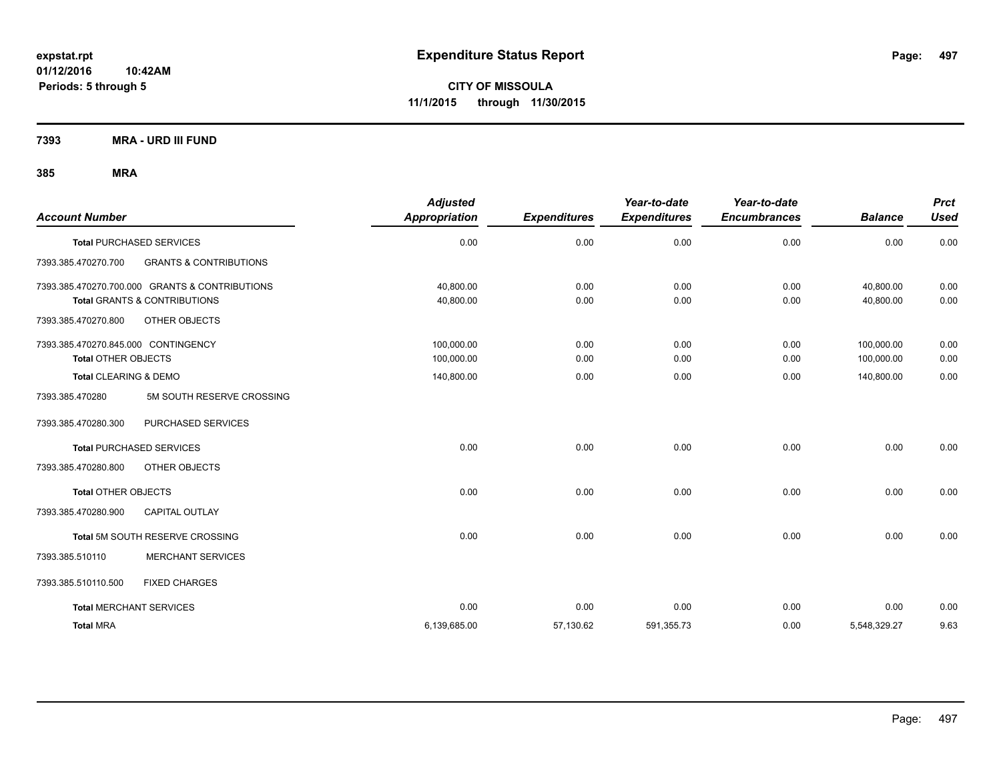**CITY OF MISSOULA 11/1/2015 through 11/30/2015**

**7393 MRA - URD III FUND**

| <b>Account Number</b>               |                                                | <b>Adjusted</b><br>Appropriation | <b>Expenditures</b> | Year-to-date<br><b>Expenditures</b> | Year-to-date<br><b>Encumbrances</b> | <b>Balance</b> | <b>Prct</b><br><b>Used</b> |
|-------------------------------------|------------------------------------------------|----------------------------------|---------------------|-------------------------------------|-------------------------------------|----------------|----------------------------|
|                                     | <b>Total PURCHASED SERVICES</b>                | 0.00                             | 0.00                | 0.00                                | 0.00                                | 0.00           | 0.00                       |
| 7393.385.470270.700                 | <b>GRANTS &amp; CONTRIBUTIONS</b>              |                                  |                     |                                     |                                     |                |                            |
|                                     | 7393.385.470270.700.000 GRANTS & CONTRIBUTIONS | 40.800.00                        | 0.00                | 0.00                                | 0.00                                | 40.800.00      | 0.00                       |
|                                     | <b>Total GRANTS &amp; CONTRIBUTIONS</b>        | 40,800.00                        | 0.00                | 0.00                                | 0.00                                | 40,800.00      | 0.00                       |
| 7393.385.470270.800                 | OTHER OBJECTS                                  |                                  |                     |                                     |                                     |                |                            |
| 7393.385.470270.845.000 CONTINGENCY |                                                | 100,000.00                       | 0.00                | 0.00                                | 0.00                                | 100,000.00     | 0.00                       |
| <b>Total OTHER OBJECTS</b>          |                                                | 100,000.00                       | 0.00                | 0.00                                | 0.00                                | 100,000.00     | 0.00                       |
| <b>Total CLEARING &amp; DEMO</b>    |                                                | 140,800.00                       | 0.00                | 0.00                                | 0.00                                | 140,800.00     | 0.00                       |
| 7393.385.470280                     | 5M SOUTH RESERVE CROSSING                      |                                  |                     |                                     |                                     |                |                            |
| 7393.385.470280.300                 | PURCHASED SERVICES                             |                                  |                     |                                     |                                     |                |                            |
|                                     | <b>Total PURCHASED SERVICES</b>                | 0.00                             | 0.00                | 0.00                                | 0.00                                | 0.00           | 0.00                       |
| 7393.385.470280.800                 | OTHER OBJECTS                                  |                                  |                     |                                     |                                     |                |                            |
| <b>Total OTHER OBJECTS</b>          |                                                | 0.00                             | 0.00                | 0.00                                | 0.00                                | 0.00           | 0.00                       |
| 7393.385.470280.900                 | <b>CAPITAL OUTLAY</b>                          |                                  |                     |                                     |                                     |                |                            |
|                                     | <b>Total 5M SOUTH RESERVE CROSSING</b>         | 0.00                             | 0.00                | 0.00                                | 0.00                                | 0.00           | 0.00                       |
| 7393.385.510110                     | <b>MERCHANT SERVICES</b>                       |                                  |                     |                                     |                                     |                |                            |
| 7393.385.510110.500                 | <b>FIXED CHARGES</b>                           |                                  |                     |                                     |                                     |                |                            |
| <b>Total MERCHANT SERVICES</b>      |                                                | 0.00                             | 0.00                | 0.00                                | 0.00                                | 0.00           | 0.00                       |
| <b>Total MRA</b>                    |                                                | 6,139,685.00                     | 57,130.62           | 591,355.73                          | 0.00                                | 5,548,329.27   | 9.63                       |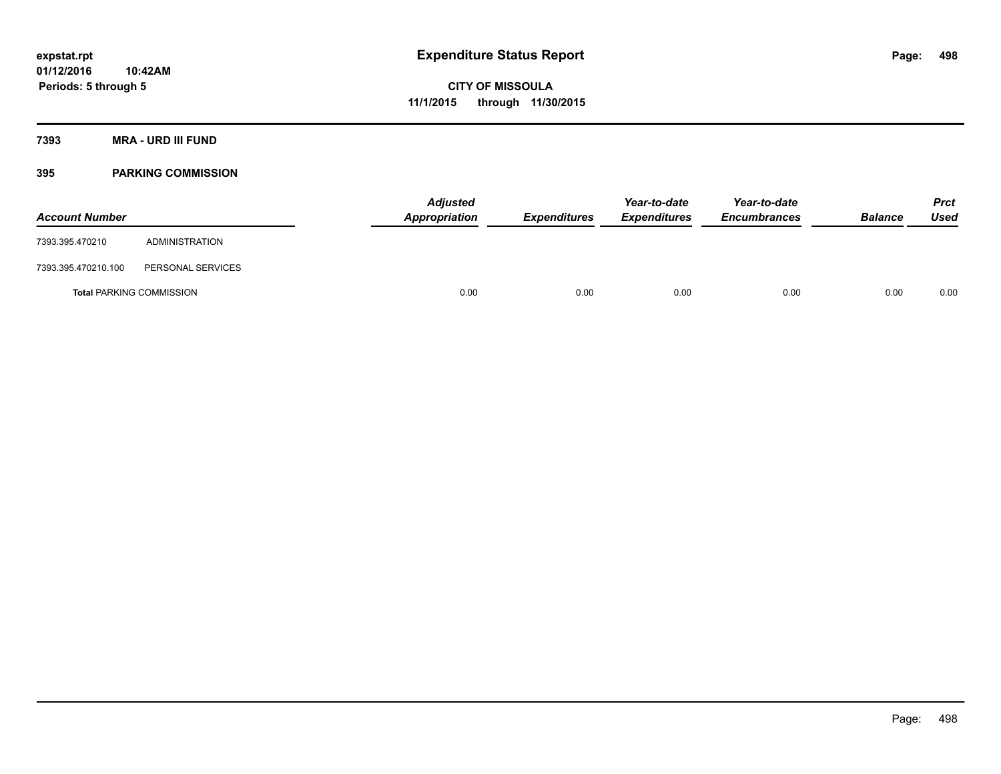**7393 MRA - URD III FUND**

## **395 PARKING COMMISSION**

| <b>Account Number</b>           |                   | <b>Adjusted</b><br>Appropriation | <b>Expenditures</b> | Year-to-date<br><b>Expenditures</b> | Year-to-date<br><b>Encumbrances</b> | <b>Balance</b> | <b>Prct</b><br><b>Used</b> |
|---------------------------------|-------------------|----------------------------------|---------------------|-------------------------------------|-------------------------------------|----------------|----------------------------|
| 7393.395.470210                 | ADMINISTRATION    |                                  |                     |                                     |                                     |                |                            |
| 7393.395.470210.100             | PERSONAL SERVICES |                                  |                     |                                     |                                     |                |                            |
| <b>Total PARKING COMMISSION</b> |                   | 0.00                             | 0.00                | 0.00                                | 0.00                                | 0.00           | 0.00                       |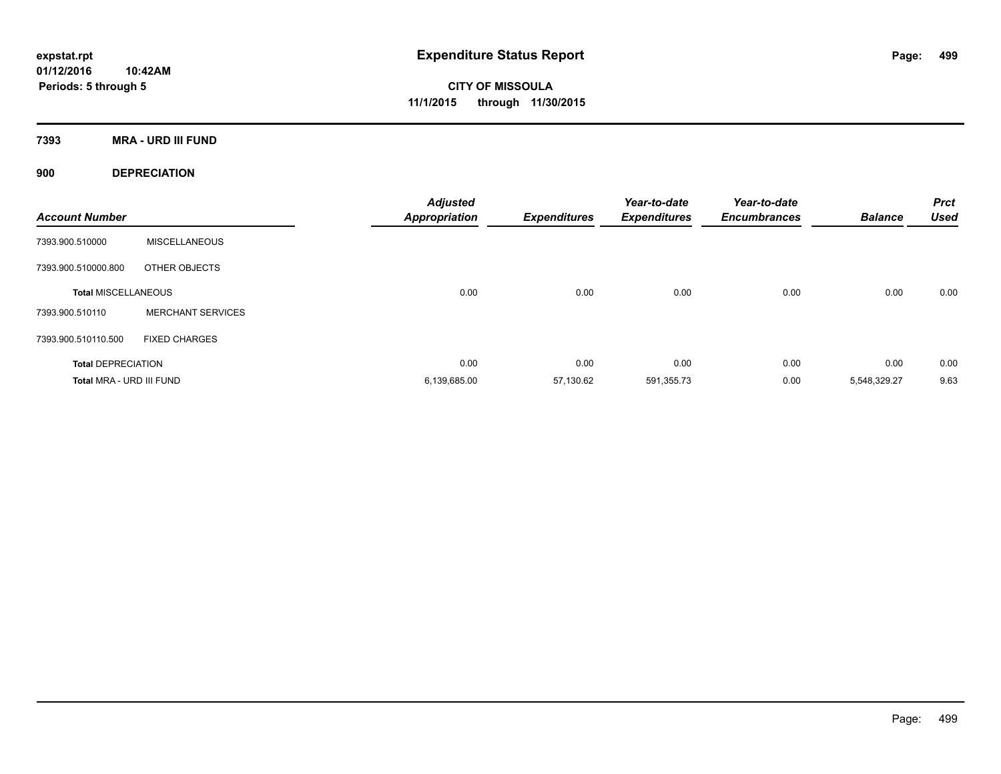**CITY OF MISSOULA 11/1/2015 through 11/30/2015**

**7393 MRA - URD III FUND**

**900 DEPRECIATION**

| <b>Account Number</b>      |                          | <b>Adjusted</b><br><b>Appropriation</b> | <b>Expenditures</b> | Year-to-date<br><b>Expenditures</b> | Year-to-date<br><b>Encumbrances</b> | <b>Balance</b> | <b>Prct</b><br><b>Used</b> |
|----------------------------|--------------------------|-----------------------------------------|---------------------|-------------------------------------|-------------------------------------|----------------|----------------------------|
| 7393.900.510000            | <b>MISCELLANEOUS</b>     |                                         |                     |                                     |                                     |                |                            |
| 7393.900.510000.800        | OTHER OBJECTS            |                                         |                     |                                     |                                     |                |                            |
| <b>Total MISCELLANEOUS</b> |                          | 0.00                                    | 0.00                | 0.00                                | 0.00                                | 0.00           | 0.00                       |
| 7393.900.510110            | <b>MERCHANT SERVICES</b> |                                         |                     |                                     |                                     |                |                            |
| 7393.900.510110.500        | <b>FIXED CHARGES</b>     |                                         |                     |                                     |                                     |                |                            |
| <b>Total DEPRECIATION</b>  |                          | 0.00                                    | 0.00                | 0.00                                | 0.00                                | 0.00           | 0.00                       |
| Total MRA - URD III FUND   |                          | 6,139,685.00                            | 57,130.62           | 591,355.73                          | 0.00                                | 5,548,329.27   | 9.63                       |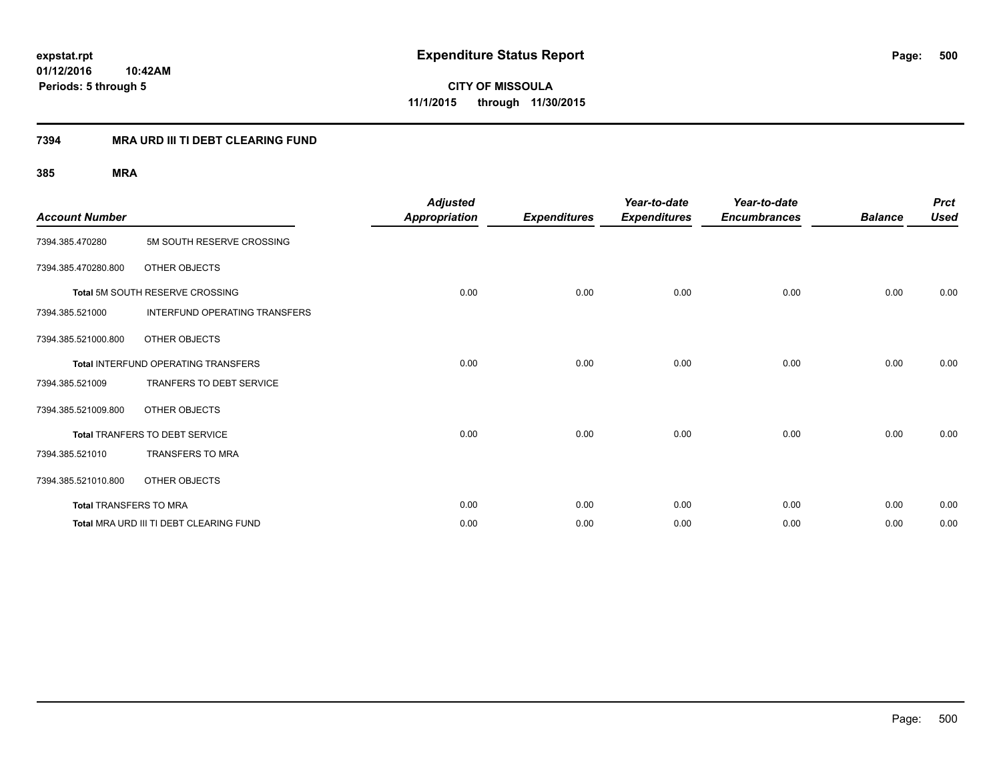**CITY OF MISSOULA 11/1/2015 through 11/30/2015**

## **7394 MRA URD III TI DEBT CLEARING FUND**

| <b>Account Number</b>         |                                         | <b>Adjusted</b><br><b>Appropriation</b> | <b>Expenditures</b> | Year-to-date<br><b>Expenditures</b> | Year-to-date<br><b>Encumbrances</b> | <b>Balance</b> | <b>Prct</b><br><b>Used</b> |
|-------------------------------|-----------------------------------------|-----------------------------------------|---------------------|-------------------------------------|-------------------------------------|----------------|----------------------------|
| 7394.385.470280               | 5M SOUTH RESERVE CROSSING               |                                         |                     |                                     |                                     |                |                            |
| 7394.385.470280.800           | OTHER OBJECTS                           |                                         |                     |                                     |                                     |                |                            |
|                               | Total 5M SOUTH RESERVE CROSSING         | 0.00                                    | 0.00                | 0.00                                | 0.00                                | 0.00           | 0.00                       |
| 7394.385.521000               | <b>INTERFUND OPERATING TRANSFERS</b>    |                                         |                     |                                     |                                     |                |                            |
| 7394.385.521000.800           | OTHER OBJECTS                           |                                         |                     |                                     |                                     |                |                            |
|                               | Total INTERFUND OPERATING TRANSFERS     | 0.00                                    | 0.00                | 0.00                                | 0.00                                | 0.00           | 0.00                       |
| 7394.385.521009               | TRANFERS TO DEBT SERVICE                |                                         |                     |                                     |                                     |                |                            |
| 7394.385.521009.800           | OTHER OBJECTS                           |                                         |                     |                                     |                                     |                |                            |
|                               | Total TRANFERS TO DEBT SERVICE          | 0.00                                    | 0.00                | 0.00                                | 0.00                                | 0.00           | 0.00                       |
| 7394.385.521010               | TRANSFERS TO MRA                        |                                         |                     |                                     |                                     |                |                            |
| 7394.385.521010.800           | OTHER OBJECTS                           |                                         |                     |                                     |                                     |                |                            |
| <b>Total TRANSFERS TO MRA</b> |                                         | 0.00                                    | 0.00                | 0.00                                | 0.00                                | 0.00           | 0.00                       |
|                               | Total MRA URD III TI DEBT CLEARING FUND | 0.00                                    | 0.00                | 0.00                                | 0.00                                | 0.00           | 0.00                       |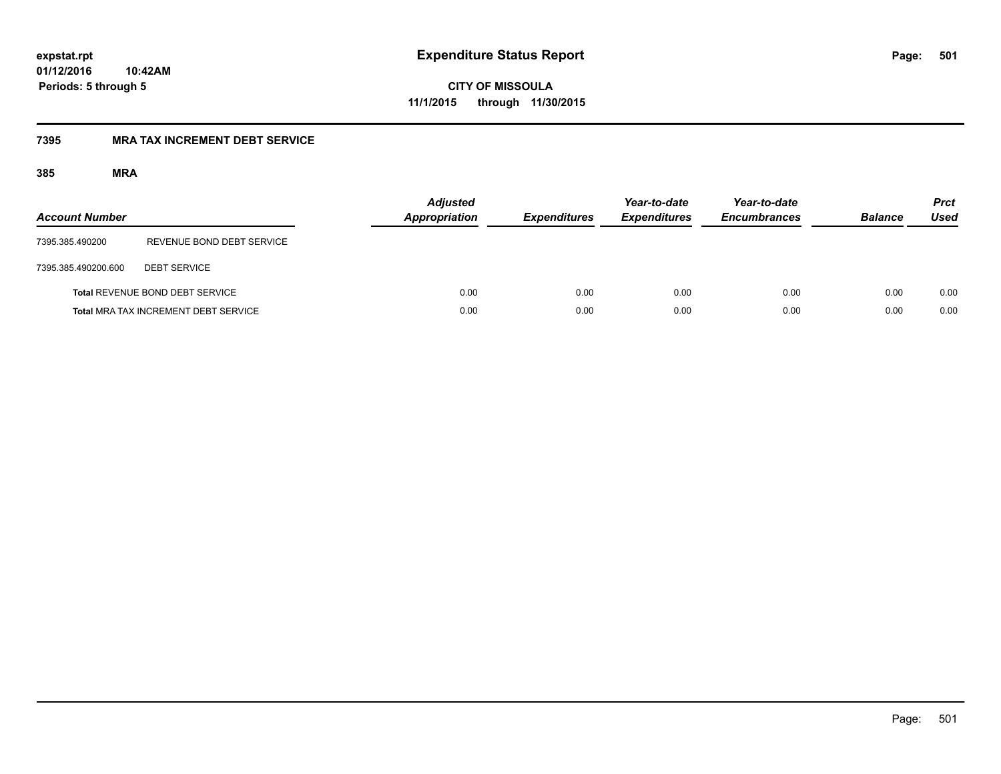**CITY OF MISSOULA 11/1/2015 through 11/30/2015**

## **7395 MRA TAX INCREMENT DEBT SERVICE**

| <b>Account Number</b> |                                             | <b>Adjusted</b><br><b>Appropriation</b> | <b>Expenditures</b> | Year-to-date<br><b>Expenditures</b> | Year-to-date<br><b>Encumbrances</b> | <b>Balance</b> | <b>Prct</b><br>Used |
|-----------------------|---------------------------------------------|-----------------------------------------|---------------------|-------------------------------------|-------------------------------------|----------------|---------------------|
| 7395.385.490200       | REVENUE BOND DEBT SERVICE                   |                                         |                     |                                     |                                     |                |                     |
| 7395.385.490200.600   | <b>DEBT SERVICE</b>                         |                                         |                     |                                     |                                     |                |                     |
|                       | <b>Total REVENUE BOND DEBT SERVICE</b>      | 0.00                                    | 0.00                | 0.00                                | 0.00                                | 0.00           | 0.00                |
|                       | <b>Total MRA TAX INCREMENT DEBT SERVICE</b> | 0.00                                    | 0.00                | 0.00                                | 0.00                                | 0.00           | 0.00                |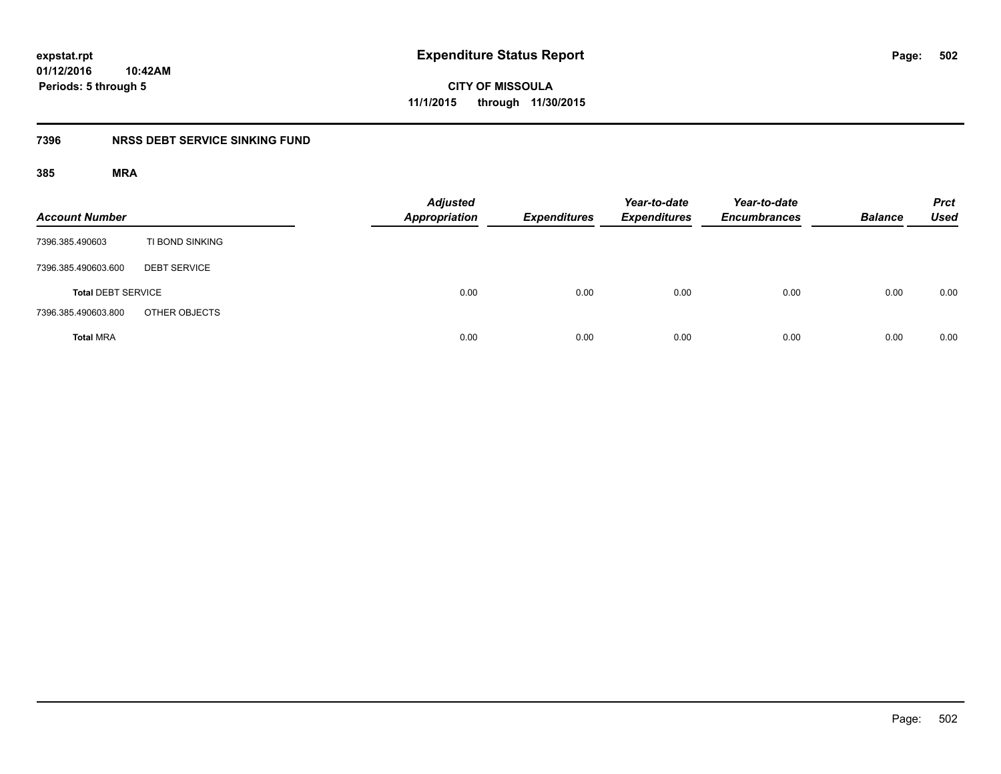**CITY OF MISSOULA 11/1/2015 through 11/30/2015**

## **7396 NRSS DEBT SERVICE SINKING FUND**

| <b>Account Number</b>     |                     | <b>Adjusted</b><br>Appropriation | <b>Expenditures</b> | Year-to-date<br><b>Expenditures</b> | Year-to-date<br><b>Encumbrances</b> | <b>Balance</b> | <b>Prct</b><br><b>Used</b> |
|---------------------------|---------------------|----------------------------------|---------------------|-------------------------------------|-------------------------------------|----------------|----------------------------|
| 7396.385.490603           | TI BOND SINKING     |                                  |                     |                                     |                                     |                |                            |
| 7396.385.490603.600       | <b>DEBT SERVICE</b> |                                  |                     |                                     |                                     |                |                            |
| <b>Total DEBT SERVICE</b> |                     | 0.00                             | 0.00                | 0.00                                | 0.00                                | 0.00           | 0.00                       |
| 7396.385.490603.800       | OTHER OBJECTS       |                                  |                     |                                     |                                     |                |                            |
| <b>Total MRA</b>          |                     | 0.00                             | 0.00                | 0.00                                | 0.00                                | 0.00           | 0.00                       |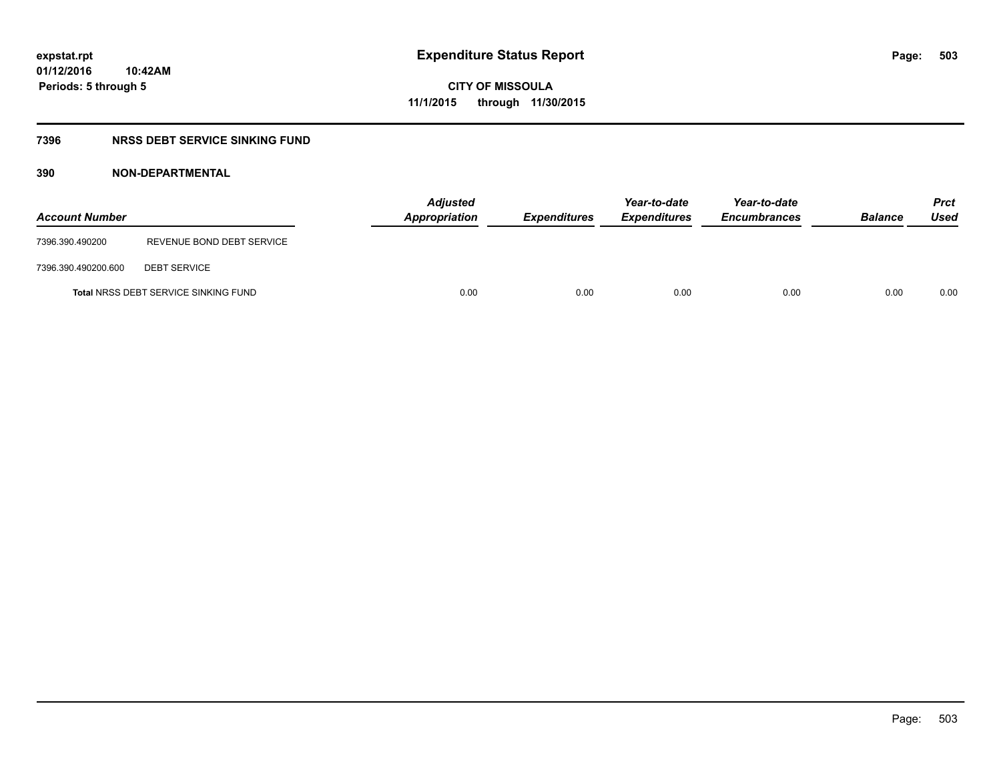**CITY OF MISSOULA 11/1/2015 through 11/30/2015**

## **7396 NRSS DEBT SERVICE SINKING FUND**

| <b>Account Number</b> |                                             | <b>Adjusted</b><br>Appropriation | <b>Expenditures</b> | Year-to-date<br><b>Expenditures</b> | Year-to-date<br><b>Encumbrances</b> | <b>Balance</b> | Prct<br>Used |
|-----------------------|---------------------------------------------|----------------------------------|---------------------|-------------------------------------|-------------------------------------|----------------|--------------|
| 7396.390.490200       | REVENUE BOND DEBT SERVICE                   |                                  |                     |                                     |                                     |                |              |
| 7396.390.490200.600   | <b>DEBT SERVICE</b>                         |                                  |                     |                                     |                                     |                |              |
|                       | <b>Total NRSS DEBT SERVICE SINKING FUND</b> | 0.00                             | 0.00                | 0.00                                | 0.00                                | 0.00           | 0.00         |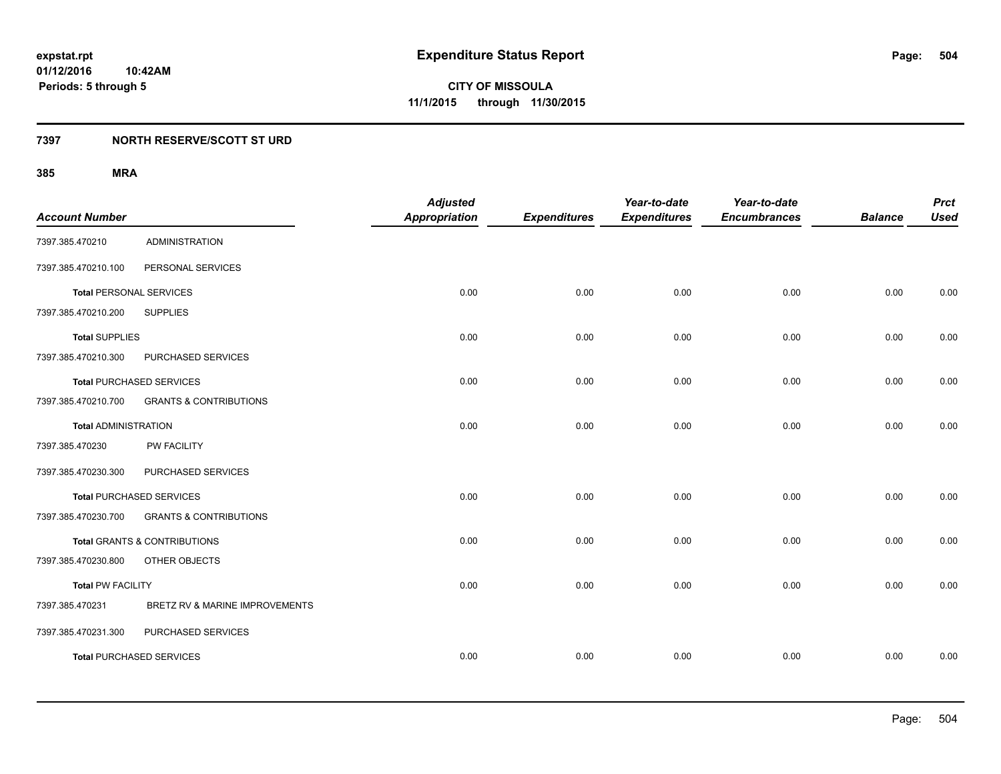## **7397 NORTH RESERVE/SCOTT ST URD**

| <b>Account Number</b>          |                                   | <b>Adjusted</b><br><b>Appropriation</b> | <b>Expenditures</b> | Year-to-date<br><b>Expenditures</b> | Year-to-date<br><b>Encumbrances</b> | <b>Balance</b> | <b>Prct</b><br><b>Used</b> |
|--------------------------------|-----------------------------------|-----------------------------------------|---------------------|-------------------------------------|-------------------------------------|----------------|----------------------------|
| 7397.385.470210                | <b>ADMINISTRATION</b>             |                                         |                     |                                     |                                     |                |                            |
| 7397.385.470210.100            | PERSONAL SERVICES                 |                                         |                     |                                     |                                     |                |                            |
| <b>Total PERSONAL SERVICES</b> |                                   | 0.00                                    | 0.00                | 0.00                                | 0.00                                | 0.00           | 0.00                       |
| 7397.385.470210.200            | <b>SUPPLIES</b>                   |                                         |                     |                                     |                                     |                |                            |
| <b>Total SUPPLIES</b>          |                                   | 0.00                                    | 0.00                | 0.00                                | 0.00                                | 0.00           | 0.00                       |
| 7397.385.470210.300            | PURCHASED SERVICES                |                                         |                     |                                     |                                     |                |                            |
|                                | <b>Total PURCHASED SERVICES</b>   | 0.00                                    | 0.00                | 0.00                                | 0.00                                | 0.00           | 0.00                       |
| 7397.385.470210.700            | <b>GRANTS &amp; CONTRIBUTIONS</b> |                                         |                     |                                     |                                     |                |                            |
| <b>Total ADMINISTRATION</b>    |                                   | 0.00                                    | 0.00                | 0.00                                | 0.00                                | 0.00           | 0.00                       |
| 7397.385.470230                | PW FACILITY                       |                                         |                     |                                     |                                     |                |                            |
| 7397.385.470230.300            | PURCHASED SERVICES                |                                         |                     |                                     |                                     |                |                            |
|                                | <b>Total PURCHASED SERVICES</b>   | 0.00                                    | 0.00                | 0.00                                | 0.00                                | 0.00           | 0.00                       |
| 7397.385.470230.700            | <b>GRANTS &amp; CONTRIBUTIONS</b> |                                         |                     |                                     |                                     |                |                            |
|                                | Total GRANTS & CONTRIBUTIONS      | 0.00                                    | 0.00                | 0.00                                | 0.00                                | 0.00           | 0.00                       |
| 7397.385.470230.800            | OTHER OBJECTS                     |                                         |                     |                                     |                                     |                |                            |
| <b>Total PW FACILITY</b>       |                                   | 0.00                                    | 0.00                | 0.00                                | 0.00                                | 0.00           | 0.00                       |
| 7397.385.470231                | BRETZ RV & MARINE IMPROVEMENTS    |                                         |                     |                                     |                                     |                |                            |
| 7397.385.470231.300            | PURCHASED SERVICES                |                                         |                     |                                     |                                     |                |                            |
|                                | <b>Total PURCHASED SERVICES</b>   | 0.00                                    | 0.00                | 0.00                                | 0.00                                | 0.00           | 0.00                       |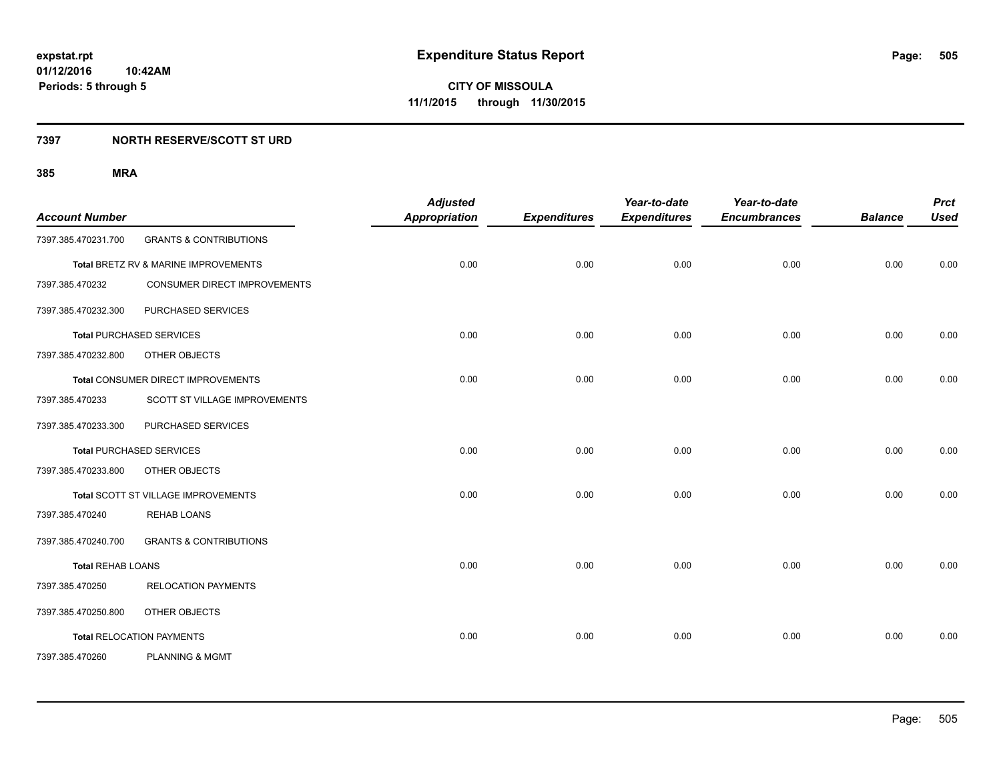#### **7397 NORTH RESERVE/SCOTT ST URD**

| <b>Account Number</b>    |                                      | <b>Adjusted</b><br><b>Appropriation</b> | <b>Expenditures</b> | Year-to-date<br><b>Expenditures</b> | Year-to-date<br><b>Encumbrances</b> | <b>Balance</b> | <b>Prct</b><br><b>Used</b> |
|--------------------------|--------------------------------------|-----------------------------------------|---------------------|-------------------------------------|-------------------------------------|----------------|----------------------------|
| 7397.385.470231.700      | <b>GRANTS &amp; CONTRIBUTIONS</b>    |                                         |                     |                                     |                                     |                |                            |
|                          | Total BRETZ RV & MARINE IMPROVEMENTS | 0.00                                    | 0.00                | 0.00                                | 0.00                                | 0.00           | 0.00                       |
| 7397.385.470232          | CONSUMER DIRECT IMPROVEMENTS         |                                         |                     |                                     |                                     |                |                            |
| 7397.385.470232.300      | PURCHASED SERVICES                   |                                         |                     |                                     |                                     |                |                            |
|                          | <b>Total PURCHASED SERVICES</b>      | 0.00                                    | 0.00                | 0.00                                | 0.00                                | 0.00           | 0.00                       |
| 7397.385.470232.800      | OTHER OBJECTS                        |                                         |                     |                                     |                                     |                |                            |
|                          | Total CONSUMER DIRECT IMPROVEMENTS   | 0.00                                    | 0.00                | 0.00                                | 0.00                                | 0.00           | 0.00                       |
| 7397.385.470233          | <b>SCOTT ST VILLAGE IMPROVEMENTS</b> |                                         |                     |                                     |                                     |                |                            |
| 7397.385.470233.300      | PURCHASED SERVICES                   |                                         |                     |                                     |                                     |                |                            |
|                          | <b>Total PURCHASED SERVICES</b>      | 0.00                                    | 0.00                | 0.00                                | 0.00                                | 0.00           | 0.00                       |
| 7397.385.470233.800      | OTHER OBJECTS                        |                                         |                     |                                     |                                     |                |                            |
|                          | Total SCOTT ST VILLAGE IMPROVEMENTS  | 0.00                                    | 0.00                | 0.00                                | 0.00                                | 0.00           | 0.00                       |
| 7397.385.470240          | <b>REHAB LOANS</b>                   |                                         |                     |                                     |                                     |                |                            |
| 7397.385.470240.700      | <b>GRANTS &amp; CONTRIBUTIONS</b>    |                                         |                     |                                     |                                     |                |                            |
| <b>Total REHAB LOANS</b> |                                      | 0.00                                    | 0.00                | 0.00                                | 0.00                                | 0.00           | 0.00                       |
| 7397.385.470250          | <b>RELOCATION PAYMENTS</b>           |                                         |                     |                                     |                                     |                |                            |
| 7397.385.470250.800      | OTHER OBJECTS                        |                                         |                     |                                     |                                     |                |                            |
|                          | <b>Total RELOCATION PAYMENTS</b>     | 0.00                                    | 0.00                | 0.00                                | 0.00                                | 0.00           | 0.00                       |
| 7397.385.470260          | <b>PLANNING &amp; MGMT</b>           |                                         |                     |                                     |                                     |                |                            |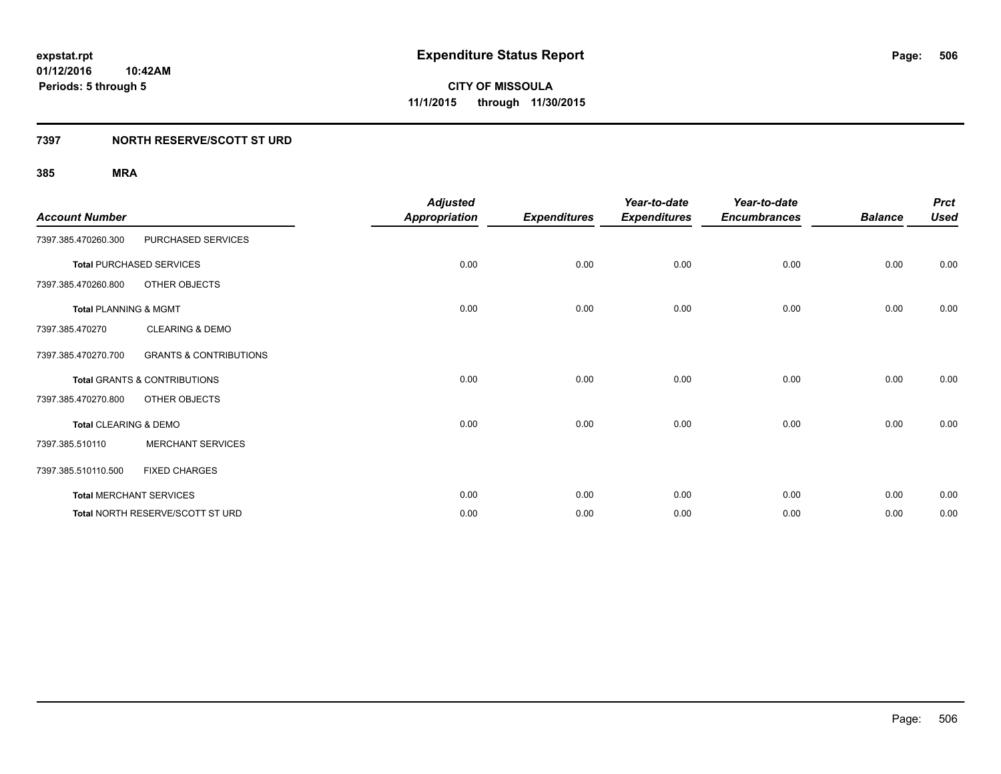### **7397 NORTH RESERVE/SCOTT ST URD**

| <b>Account Number</b>            |                                         | <b>Adjusted</b><br>Appropriation | <b>Expenditures</b> | Year-to-date<br><b>Expenditures</b> | Year-to-date<br><b>Encumbrances</b> | <b>Balance</b> | <b>Prct</b><br><b>Used</b> |
|----------------------------------|-----------------------------------------|----------------------------------|---------------------|-------------------------------------|-------------------------------------|----------------|----------------------------|
| 7397.385.470260.300              | PURCHASED SERVICES                      |                                  |                     |                                     |                                     |                |                            |
|                                  | <b>Total PURCHASED SERVICES</b>         | 0.00                             | 0.00                | 0.00                                | 0.00                                | 0.00           | 0.00                       |
| 7397.385.470260.800              | OTHER OBJECTS                           |                                  |                     |                                     |                                     |                |                            |
| <b>Total PLANNING &amp; MGMT</b> |                                         | 0.00                             | 0.00                | 0.00                                | 0.00                                | 0.00           | 0.00                       |
| 7397.385.470270                  | <b>CLEARING &amp; DEMO</b>              |                                  |                     |                                     |                                     |                |                            |
| 7397.385.470270.700              | <b>GRANTS &amp; CONTRIBUTIONS</b>       |                                  |                     |                                     |                                     |                |                            |
|                                  | Total GRANTS & CONTRIBUTIONS            | 0.00                             | 0.00                | 0.00                                | 0.00                                | 0.00           | 0.00                       |
| 7397.385.470270.800              | OTHER OBJECTS                           |                                  |                     |                                     |                                     |                |                            |
| Total CLEARING & DEMO            |                                         | 0.00                             | 0.00                | 0.00                                | 0.00                                | 0.00           | 0.00                       |
| 7397.385.510110                  | <b>MERCHANT SERVICES</b>                |                                  |                     |                                     |                                     |                |                            |
| 7397.385.510110.500              | <b>FIXED CHARGES</b>                    |                                  |                     |                                     |                                     |                |                            |
|                                  | <b>Total MERCHANT SERVICES</b>          | 0.00                             | 0.00                | 0.00                                | 0.00                                | 0.00           | 0.00                       |
|                                  | <b>Total NORTH RESERVE/SCOTT ST URD</b> | 0.00                             | 0.00                | 0.00                                | 0.00                                | 0.00           | 0.00                       |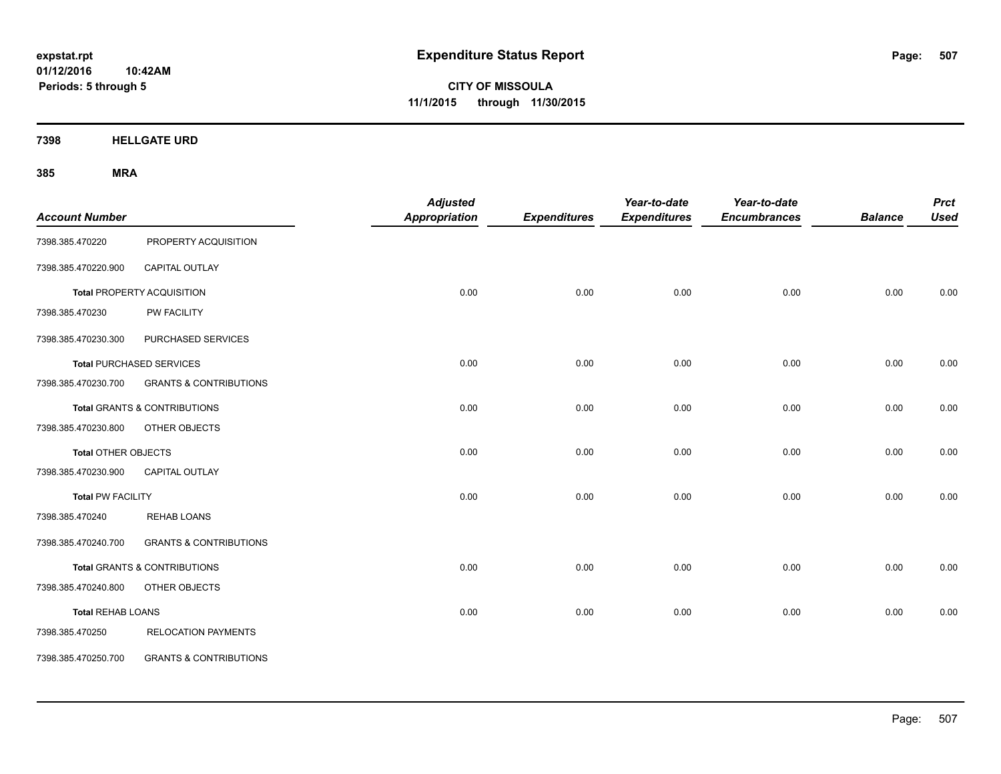**01/12/2016 10:42AM Periods: 5 through 5**

**CITY OF MISSOULA 11/1/2015 through 11/30/2015**

**7398 HELLGATE URD**

| <b>Account Number</b>      |                                         | <b>Adjusted</b><br><b>Appropriation</b> | <b>Expenditures</b> | Year-to-date<br><b>Expenditures</b> | Year-to-date<br><b>Encumbrances</b> | <b>Balance</b> | <b>Prct</b><br><b>Used</b> |
|----------------------------|-----------------------------------------|-----------------------------------------|---------------------|-------------------------------------|-------------------------------------|----------------|----------------------------|
| 7398.385.470220            | PROPERTY ACQUISITION                    |                                         |                     |                                     |                                     |                |                            |
| 7398.385.470220.900        | CAPITAL OUTLAY                          |                                         |                     |                                     |                                     |                |                            |
|                            | Total PROPERTY ACQUISITION              | 0.00                                    | 0.00                | 0.00                                | 0.00                                | 0.00           | 0.00                       |
| 7398.385.470230            | PW FACILITY                             |                                         |                     |                                     |                                     |                |                            |
| 7398.385.470230.300        | PURCHASED SERVICES                      |                                         |                     |                                     |                                     |                |                            |
|                            | <b>Total PURCHASED SERVICES</b>         | 0.00                                    | 0.00                | 0.00                                | 0.00                                | 0.00           | 0.00                       |
| 7398.385.470230.700        | <b>GRANTS &amp; CONTRIBUTIONS</b>       |                                         |                     |                                     |                                     |                |                            |
|                            | <b>Total GRANTS &amp; CONTRIBUTIONS</b> | 0.00                                    | 0.00                | 0.00                                | 0.00                                | 0.00           | 0.00                       |
| 7398.385.470230.800        | OTHER OBJECTS                           |                                         |                     |                                     |                                     |                |                            |
| <b>Total OTHER OBJECTS</b> |                                         | 0.00                                    | 0.00                | 0.00                                | 0.00                                | 0.00           | 0.00                       |
| 7398.385.470230.900        | CAPITAL OUTLAY                          |                                         |                     |                                     |                                     |                |                            |
| <b>Total PW FACILITY</b>   |                                         | 0.00                                    | 0.00                | 0.00                                | 0.00                                | 0.00           | 0.00                       |
| 7398.385.470240            | <b>REHAB LOANS</b>                      |                                         |                     |                                     |                                     |                |                            |
| 7398.385.470240.700        | <b>GRANTS &amp; CONTRIBUTIONS</b>       |                                         |                     |                                     |                                     |                |                            |
|                            | <b>Total GRANTS &amp; CONTRIBUTIONS</b> | 0.00                                    | 0.00                | 0.00                                | 0.00                                | 0.00           | 0.00                       |
| 7398.385.470240.800        | OTHER OBJECTS                           |                                         |                     |                                     |                                     |                |                            |
| <b>Total REHAB LOANS</b>   |                                         | 0.00                                    | 0.00                | 0.00                                | 0.00                                | 0.00           | 0.00                       |
| 7398.385.470250            | <b>RELOCATION PAYMENTS</b>              |                                         |                     |                                     |                                     |                |                            |
| 7398.385.470250.700        | <b>GRANTS &amp; CONTRIBUTIONS</b>       |                                         |                     |                                     |                                     |                |                            |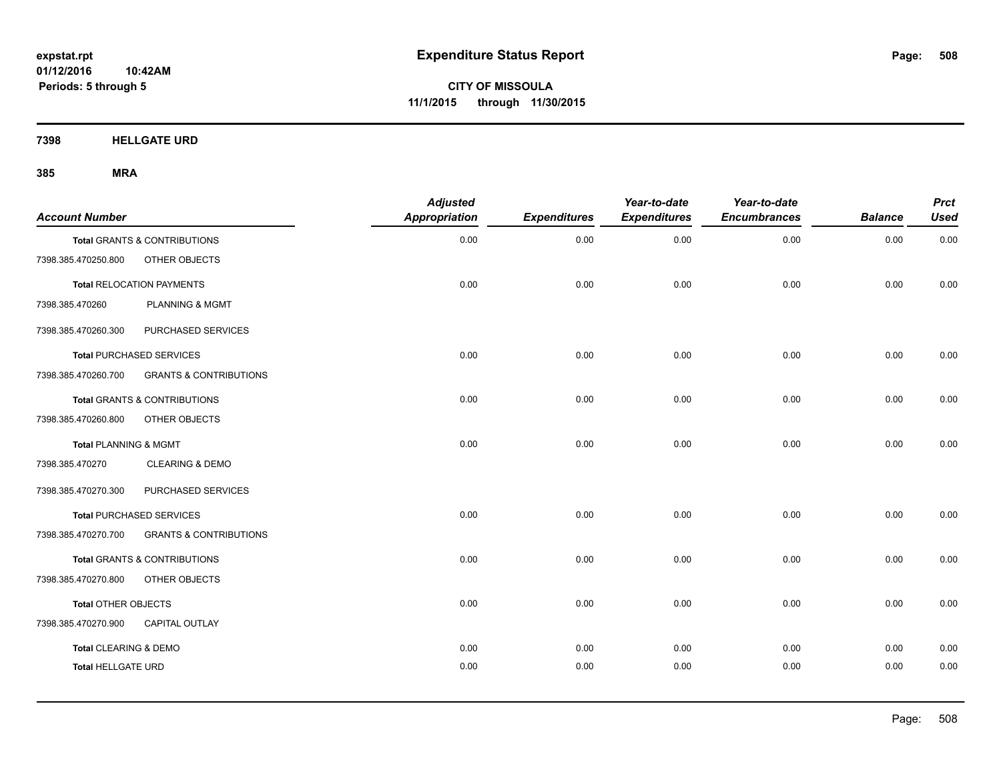**Periods: 5 through 5**

**CITY OF MISSOULA 11/1/2015 through 11/30/2015**

**7398 HELLGATE URD**

| <b>Account Number</b>      |                                         | <b>Adjusted</b><br><b>Appropriation</b> | <b>Expenditures</b> | Year-to-date<br><b>Expenditures</b> | Year-to-date<br><b>Encumbrances</b> | <b>Balance</b> | <b>Prct</b><br><b>Used</b> |
|----------------------------|-----------------------------------------|-----------------------------------------|---------------------|-------------------------------------|-------------------------------------|----------------|----------------------------|
|                            | Total GRANTS & CONTRIBUTIONS            | 0.00                                    | 0.00                | 0.00                                | 0.00                                | 0.00           | 0.00                       |
| 7398.385.470250.800        | OTHER OBJECTS                           |                                         |                     |                                     |                                     |                |                            |
|                            | <b>Total RELOCATION PAYMENTS</b>        | 0.00                                    | 0.00                | 0.00                                | 0.00                                | 0.00           | 0.00                       |
| 7398.385.470260            | <b>PLANNING &amp; MGMT</b>              |                                         |                     |                                     |                                     |                |                            |
| 7398.385.470260.300        | PURCHASED SERVICES                      |                                         |                     |                                     |                                     |                |                            |
|                            | <b>Total PURCHASED SERVICES</b>         | 0.00                                    | 0.00                | 0.00                                | 0.00                                | 0.00           | 0.00                       |
| 7398.385.470260.700        | <b>GRANTS &amp; CONTRIBUTIONS</b>       |                                         |                     |                                     |                                     |                |                            |
|                            | <b>Total GRANTS &amp; CONTRIBUTIONS</b> | 0.00                                    | 0.00                | 0.00                                | 0.00                                | 0.00           | 0.00                       |
| 7398.385.470260.800        | OTHER OBJECTS                           |                                         |                     |                                     |                                     |                |                            |
| Total PLANNING & MGMT      |                                         | 0.00                                    | 0.00                | 0.00                                | 0.00                                | 0.00           | 0.00                       |
| 7398.385.470270            | <b>CLEARING &amp; DEMO</b>              |                                         |                     |                                     |                                     |                |                            |
| 7398.385.470270.300        | PURCHASED SERVICES                      |                                         |                     |                                     |                                     |                |                            |
|                            | <b>Total PURCHASED SERVICES</b>         | 0.00                                    | 0.00                | 0.00                                | 0.00                                | 0.00           | 0.00                       |
| 7398.385.470270.700        | <b>GRANTS &amp; CONTRIBUTIONS</b>       |                                         |                     |                                     |                                     |                |                            |
|                            | <b>Total GRANTS &amp; CONTRIBUTIONS</b> | 0.00                                    | 0.00                | 0.00                                | 0.00                                | 0.00           | 0.00                       |
| 7398.385.470270.800        | OTHER OBJECTS                           |                                         |                     |                                     |                                     |                |                            |
| <b>Total OTHER OBJECTS</b> |                                         | 0.00                                    | 0.00                | 0.00                                | 0.00                                | 0.00           | 0.00                       |
| 7398.385.470270.900        | <b>CAPITAL OUTLAY</b>                   |                                         |                     |                                     |                                     |                |                            |
| Total CLEARING & DEMO      |                                         | 0.00                                    | 0.00                | 0.00                                | 0.00                                | 0.00           | 0.00                       |
| <b>Total HELLGATE URD</b>  |                                         | 0.00                                    | 0.00                | 0.00                                | 0.00                                | 0.00           | 0.00                       |
|                            |                                         |                                         |                     |                                     |                                     |                |                            |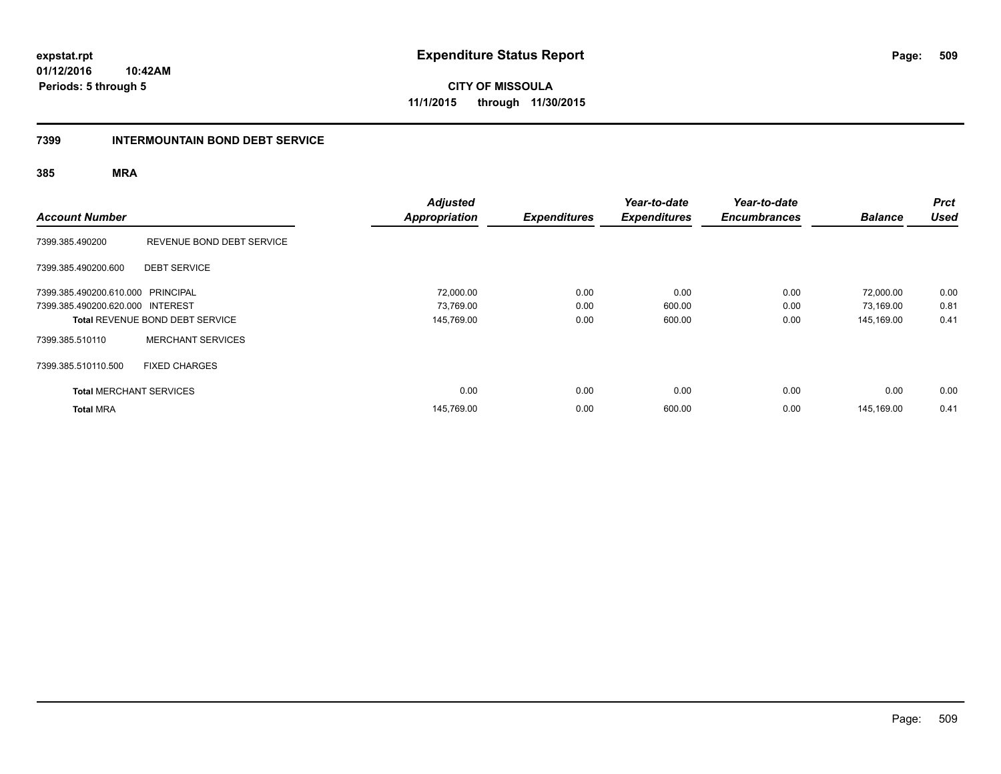**01/12/2016 10:42AM Periods: 5 through 5**

**CITY OF MISSOULA 11/1/2015 through 11/30/2015**

#### **7399 INTERMOUNTAIN BOND DEBT SERVICE**

| <b>Account Number</b>             |                                        | <b>Adjusted</b><br><b>Appropriation</b> | <b>Expenditures</b> | Year-to-date<br><b>Expenditures</b> | Year-to-date<br><b>Encumbrances</b> | <b>Balance</b> | <b>Prct</b><br><b>Used</b> |
|-----------------------------------|----------------------------------------|-----------------------------------------|---------------------|-------------------------------------|-------------------------------------|----------------|----------------------------|
| 7399.385.490200                   | REVENUE BOND DEBT SERVICE              |                                         |                     |                                     |                                     |                |                            |
| 7399.385.490200.600               | <b>DEBT SERVICE</b>                    |                                         |                     |                                     |                                     |                |                            |
| 7399.385.490200.610.000 PRINCIPAL |                                        | 72,000.00                               | 0.00                | 0.00                                | 0.00                                | 72,000.00      | 0.00                       |
| 7399.385.490200.620.000 INTEREST  |                                        | 73,769.00                               | 0.00                | 600.00                              | 0.00                                | 73,169.00      | 0.81                       |
|                                   | <b>Total REVENUE BOND DEBT SERVICE</b> | 145,769.00                              | 0.00                | 600.00                              | 0.00                                | 145,169.00     | 0.41                       |
| 7399.385.510110                   | <b>MERCHANT SERVICES</b>               |                                         |                     |                                     |                                     |                |                            |
| 7399.385.510110.500               | <b>FIXED CHARGES</b>                   |                                         |                     |                                     |                                     |                |                            |
| <b>Total MERCHANT SERVICES</b>    |                                        | 0.00                                    | 0.00                | 0.00                                | 0.00                                | 0.00           | 0.00                       |
| <b>Total MRA</b>                  |                                        | 145,769.00                              | 0.00                | 600.00                              | 0.00                                | 145.169.00     | 0.41                       |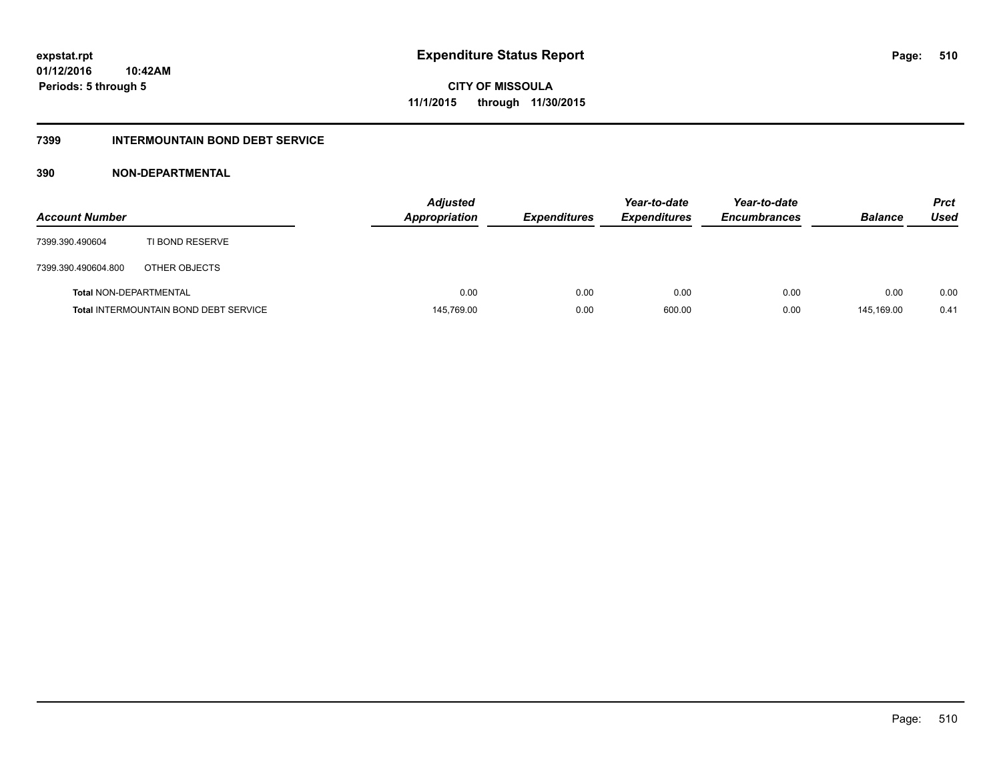### **7399 INTERMOUNTAIN BOND DEBT SERVICE**

### **390 NON-DEPARTMENTAL**

| <b>Account Number</b>  |                                              | <b>Adjusted</b><br><b>Appropriation</b> | <b>Expenditures</b> | Year-to-date<br><b>Expenditures</b> | Year-to-date<br><b>Encumbrances</b> | <b>Balance</b> | <b>Prct</b><br>Used |
|------------------------|----------------------------------------------|-----------------------------------------|---------------------|-------------------------------------|-------------------------------------|----------------|---------------------|
| 7399.390.490604        | TI BOND RESERVE                              |                                         |                     |                                     |                                     |                |                     |
| 7399.390.490604.800    | OTHER OBJECTS                                |                                         |                     |                                     |                                     |                |                     |
| Total NON-DEPARTMENTAL |                                              | 0.00                                    | 0.00                | 0.00                                | 0.00                                | 0.00           | 0.00                |
|                        | <b>Total INTERMOUNTAIN BOND DEBT SERVICE</b> | 145,769.00                              | 0.00                | 600.00                              | 0.00                                | 145.169.00     | 0.41                |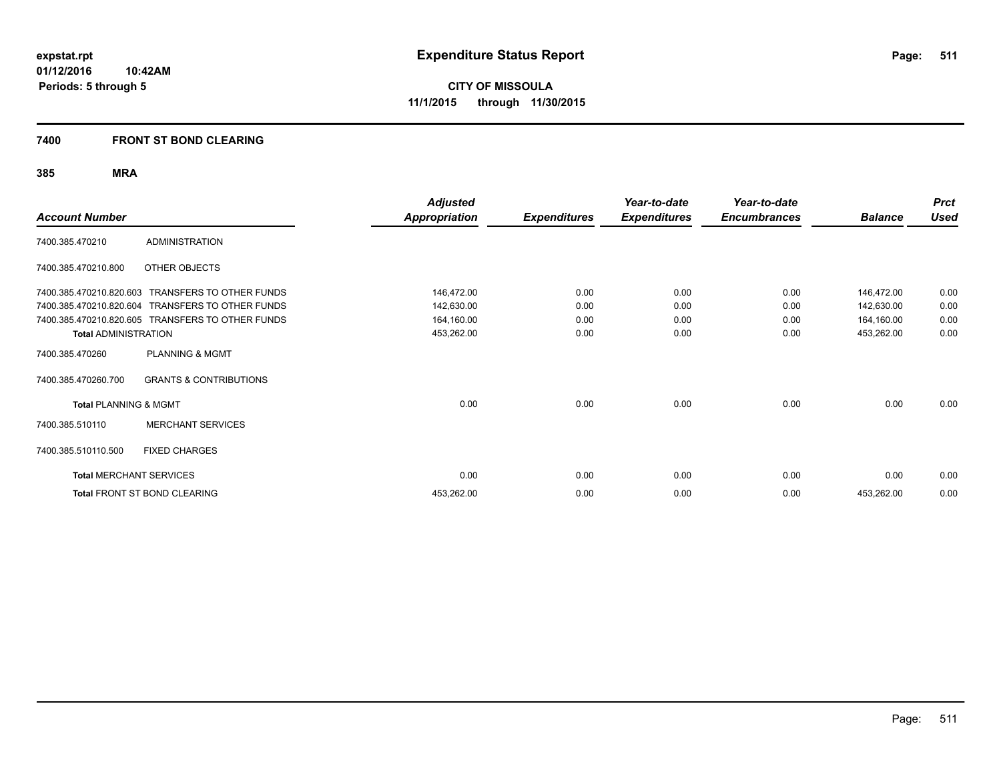#### **7400 FRONT ST BOND CLEARING**

| <b>Account Number</b>            |                                                  | <b>Adjusted</b><br><b>Appropriation</b> | <b>Expenditures</b> | Year-to-date<br><b>Expenditures</b> | Year-to-date<br><b>Encumbrances</b> | <b>Balance</b> | <b>Prct</b><br><b>Used</b> |
|----------------------------------|--------------------------------------------------|-----------------------------------------|---------------------|-------------------------------------|-------------------------------------|----------------|----------------------------|
| 7400.385.470210                  | <b>ADMINISTRATION</b>                            |                                         |                     |                                     |                                     |                |                            |
| 7400.385.470210.800              | OTHER OBJECTS                                    |                                         |                     |                                     |                                     |                |                            |
| 7400.385.470210.820.603          | <b>TRANSFERS TO OTHER FUNDS</b>                  | 146,472.00                              | 0.00                | 0.00                                | 0.00                                | 146,472.00     | 0.00                       |
| 7400.385.470210.820.604          | <b>TRANSFERS TO OTHER FUNDS</b>                  | 142,630.00                              | 0.00                | 0.00                                | 0.00                                | 142,630.00     | 0.00                       |
|                                  | 7400.385.470210.820.605 TRANSFERS TO OTHER FUNDS | 164,160.00                              | 0.00                | 0.00                                | 0.00                                | 164,160.00     | 0.00                       |
| <b>Total ADMINISTRATION</b>      |                                                  | 453,262.00                              | 0.00                | 0.00                                | 0.00                                | 453,262.00     | 0.00                       |
| 7400.385.470260                  | <b>PLANNING &amp; MGMT</b>                       |                                         |                     |                                     |                                     |                |                            |
| 7400.385.470260.700              | <b>GRANTS &amp; CONTRIBUTIONS</b>                |                                         |                     |                                     |                                     |                |                            |
| <b>Total PLANNING &amp; MGMT</b> |                                                  | 0.00                                    | 0.00                | 0.00                                | 0.00                                | 0.00           | 0.00                       |
| 7400.385.510110                  | <b>MERCHANT SERVICES</b>                         |                                         |                     |                                     |                                     |                |                            |
| 7400.385.510110.500              | <b>FIXED CHARGES</b>                             |                                         |                     |                                     |                                     |                |                            |
| <b>Total MERCHANT SERVICES</b>   |                                                  | 0.00                                    | 0.00                | 0.00                                | 0.00                                | 0.00           | 0.00                       |
|                                  | Total FRONT ST BOND CLEARING                     | 453,262.00                              | 0.00                | 0.00                                | 0.00                                | 453,262.00     | 0.00                       |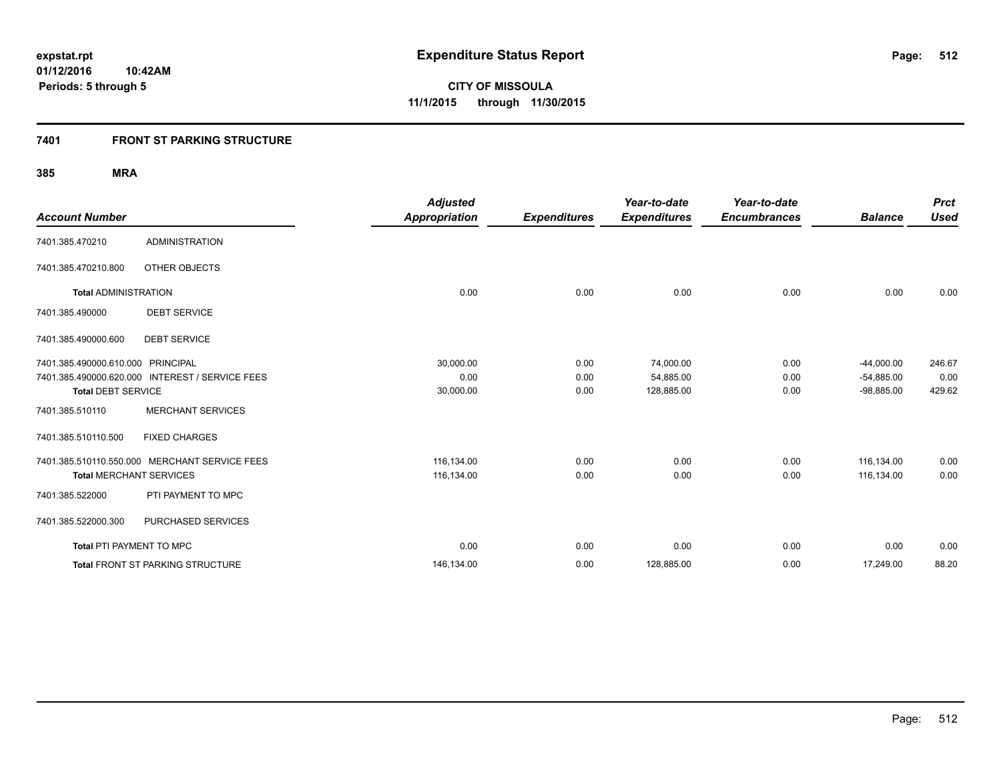### **7401 FRONT ST PARKING STRUCTURE**

|                                   |                                                 | <b>Adjusted</b>      |                     | Year-to-date        | Year-to-date        |                | <b>Prct</b> |
|-----------------------------------|-------------------------------------------------|----------------------|---------------------|---------------------|---------------------|----------------|-------------|
| <b>Account Number</b>             |                                                 | <b>Appropriation</b> | <b>Expenditures</b> | <b>Expenditures</b> | <b>Encumbrances</b> | <b>Balance</b> | <b>Used</b> |
| 7401.385.470210                   | <b>ADMINISTRATION</b>                           |                      |                     |                     |                     |                |             |
| 7401.385.470210.800               | OTHER OBJECTS                                   |                      |                     |                     |                     |                |             |
| <b>Total ADMINISTRATION</b>       |                                                 | 0.00                 | 0.00                | 0.00                | 0.00                | 0.00           | 0.00        |
| 7401.385.490000                   | <b>DEBT SERVICE</b>                             |                      |                     |                     |                     |                |             |
| 7401.385.490000.600               | <b>DEBT SERVICE</b>                             |                      |                     |                     |                     |                |             |
| 7401.385.490000.610.000 PRINCIPAL |                                                 | 30,000.00            | 0.00                | 74,000.00           | 0.00                | $-44,000.00$   | 246.67      |
|                                   | 7401.385.490000.620.000 INTEREST / SERVICE FEES | 0.00                 | 0.00                | 54,885.00           | 0.00                | $-54,885.00$   | 0.00        |
| <b>Total DEBT SERVICE</b>         |                                                 | 30,000.00            | 0.00                | 128,885.00          | 0.00                | $-98,885.00$   | 429.62      |
| 7401.385.510110                   | <b>MERCHANT SERVICES</b>                        |                      |                     |                     |                     |                |             |
| 7401.385.510110.500               | <b>FIXED CHARGES</b>                            |                      |                     |                     |                     |                |             |
|                                   | 7401.385.510110.550.000 MERCHANT SERVICE FEES   | 116,134.00           | 0.00                | 0.00                | 0.00                | 116,134.00     | 0.00        |
| <b>Total MERCHANT SERVICES</b>    |                                                 | 116,134.00           | 0.00                | 0.00                | 0.00                | 116,134.00     | 0.00        |
| 7401.385.522000                   | PTI PAYMENT TO MPC                              |                      |                     |                     |                     |                |             |
| 7401.385.522000.300               | PURCHASED SERVICES                              |                      |                     |                     |                     |                |             |
| Total PTI PAYMENT TO MPC          |                                                 | 0.00                 | 0.00                | 0.00                | 0.00                | 0.00           | 0.00        |
|                                   | <b>Total FRONT ST PARKING STRUCTURE</b>         | 146,134.00           | 0.00                | 128,885.00          | 0.00                | 17,249.00      | 88.20       |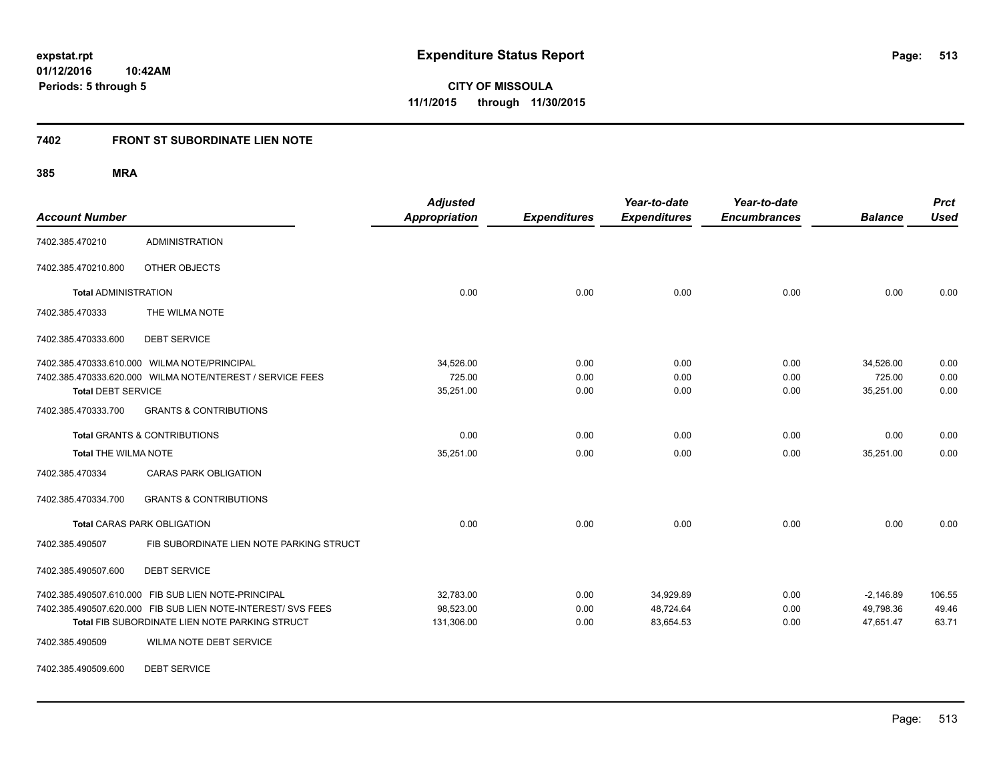**513**

**01/12/2016 10:42AM Periods: 5 through 5**

**CITY OF MISSOULA 11/1/2015 through 11/30/2015**

#### **7402 FRONT ST SUBORDINATE LIEN NOTE**

**385 MRA**

| <b>Account Number</b>       |                                                                                                                | <b>Adjusted</b><br><b>Appropriation</b> | <b>Expenditures</b> | Year-to-date<br><b>Expenditures</b> | Year-to-date<br><b>Encumbrances</b> | <b>Balance</b>         | <b>Prct</b><br><b>Used</b> |
|-----------------------------|----------------------------------------------------------------------------------------------------------------|-----------------------------------------|---------------------|-------------------------------------|-------------------------------------|------------------------|----------------------------|
| 7402.385.470210             | <b>ADMINISTRATION</b>                                                                                          |                                         |                     |                                     |                                     |                        |                            |
| 7402.385.470210.800         | OTHER OBJECTS                                                                                                  |                                         |                     |                                     |                                     |                        |                            |
| <b>Total ADMINISTRATION</b> |                                                                                                                | 0.00                                    | 0.00                | 0.00                                | 0.00                                | 0.00                   | 0.00                       |
| 7402.385.470333             | THE WILMA NOTE                                                                                                 |                                         |                     |                                     |                                     |                        |                            |
| 7402.385.470333.600         | <b>DEBT SERVICE</b>                                                                                            |                                         |                     |                                     |                                     |                        |                            |
|                             | 7402.385.470333.610.000 WILMA NOTE/PRINCIPAL                                                                   | 34,526.00                               | 0.00                | 0.00                                | 0.00                                | 34,526.00              | 0.00                       |
| <b>Total DEBT SERVICE</b>   | 7402.385.470333.620.000 WILMA NOTE/NTEREST / SERVICE FEES                                                      | 725.00<br>35,251.00                     | 0.00<br>0.00        | 0.00<br>0.00                        | 0.00<br>0.00                        | 725.00<br>35,251.00    | 0.00<br>0.00               |
| 7402.385.470333.700         | <b>GRANTS &amp; CONTRIBUTIONS</b>                                                                              |                                         |                     |                                     |                                     |                        |                            |
|                             | <b>Total GRANTS &amp; CONTRIBUTIONS</b>                                                                        | 0.00                                    | 0.00                | 0.00                                | 0.00                                | 0.00                   | 0.00                       |
| <b>Total THE WILMA NOTE</b> |                                                                                                                | 35,251.00                               | 0.00                | 0.00                                | 0.00                                | 35,251.00              | 0.00                       |
| 7402.385.470334             | <b>CARAS PARK OBLIGATION</b>                                                                                   |                                         |                     |                                     |                                     |                        |                            |
| 7402.385.470334.700         | <b>GRANTS &amp; CONTRIBUTIONS</b>                                                                              |                                         |                     |                                     |                                     |                        |                            |
|                             | <b>Total CARAS PARK OBLIGATION</b>                                                                             | 0.00                                    | 0.00                | 0.00                                | 0.00                                | 0.00                   | 0.00                       |
| 7402.385.490507             | FIB SUBORDINATE LIEN NOTE PARKING STRUCT                                                                       |                                         |                     |                                     |                                     |                        |                            |
| 7402.385.490507.600         | <b>DEBT SERVICE</b>                                                                                            |                                         |                     |                                     |                                     |                        |                            |
|                             | 7402.385.490507.610.000 FIB SUB LIEN NOTE-PRINCIPAL                                                            | 32,783.00                               | 0.00                | 34,929.89                           | 0.00                                | $-2,146.89$            | 106.55                     |
|                             | 7402.385.490507.620.000 FIB SUB LIEN NOTE-INTEREST/ SVS FEES<br>Total FIB SUBORDINATE LIEN NOTE PARKING STRUCT | 98,523.00<br>131,306.00                 | 0.00<br>0.00        | 48,724.64<br>83,654.53              | 0.00<br>0.00                        | 49,798.36<br>47,651.47 | 49.46<br>63.71             |
| 7402.385.490509             | WILMA NOTE DEBT SERVICE                                                                                        |                                         |                     |                                     |                                     |                        |                            |

7402.385.490509.600 DEBT SERVICE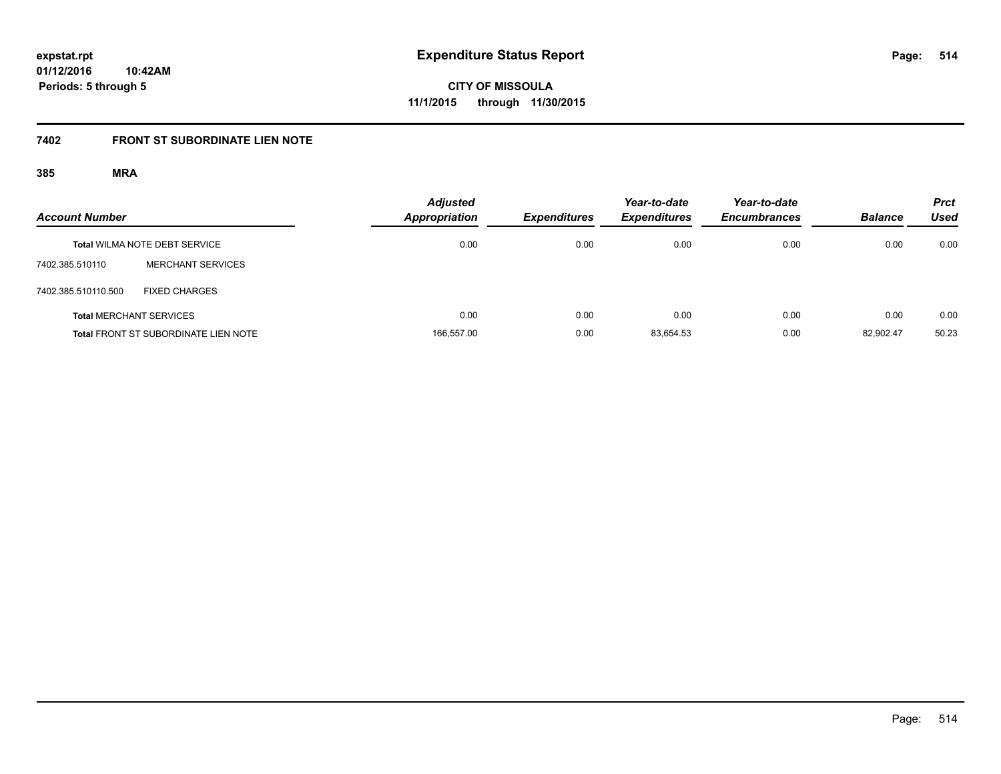**514**

**01/12/2016 10:42AM Periods: 5 through 5**

**CITY OF MISSOULA 11/1/2015 through 11/30/2015**

# **7402 FRONT ST SUBORDINATE LIEN NOTE**

| <b>Account Number</b>          |                                             | <b>Adjusted</b><br><b>Appropriation</b> | <b>Expenditures</b> | Year-to-date<br><b>Expenditures</b> | Year-to-date<br><b>Encumbrances</b> | <b>Balance</b> | <b>Prct</b><br><b>Used</b> |
|--------------------------------|---------------------------------------------|-----------------------------------------|---------------------|-------------------------------------|-------------------------------------|----------------|----------------------------|
|                                | <b>Total WILMA NOTE DEBT SERVICE</b>        | 0.00                                    | 0.00                | 0.00                                | 0.00                                | 0.00           | 0.00                       |
| 7402.385.510110                | <b>MERCHANT SERVICES</b>                    |                                         |                     |                                     |                                     |                |                            |
| 7402.385.510110.500            | <b>FIXED CHARGES</b>                        |                                         |                     |                                     |                                     |                |                            |
| <b>Total MERCHANT SERVICES</b> |                                             | 0.00                                    | 0.00                | 0.00                                | 0.00                                | 0.00           | 0.00                       |
|                                | <b>Total FRONT ST SUBORDINATE LIEN NOTE</b> | 166.557.00                              | 0.00                | 83.654.53                           | 0.00                                | 82.902.47      | 50.23                      |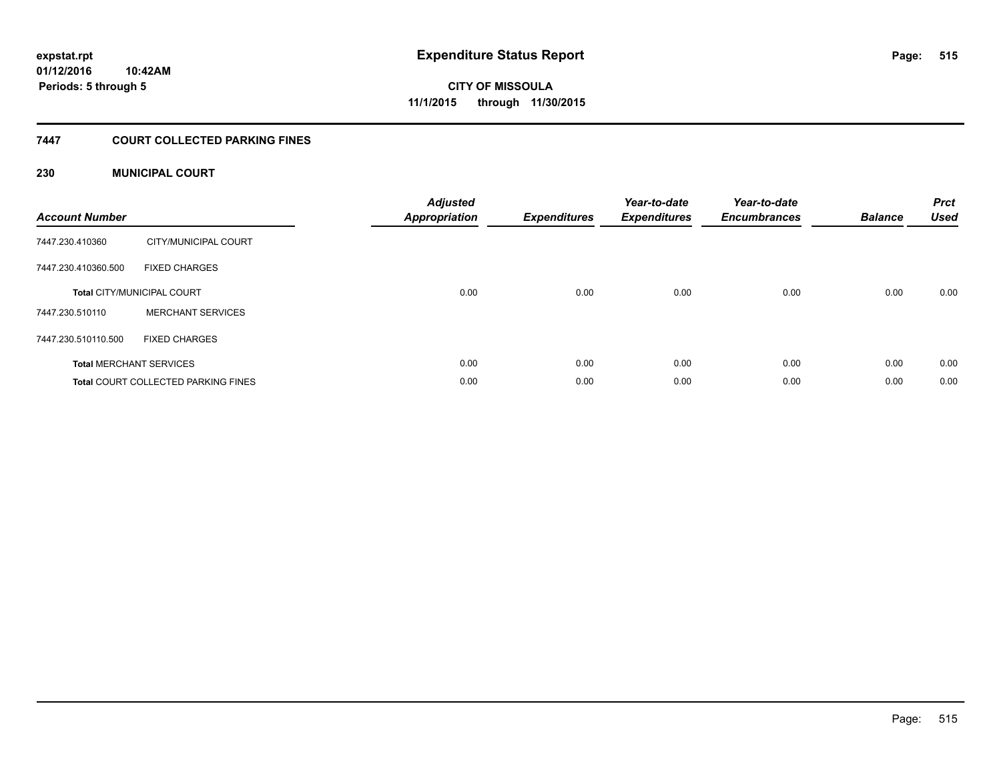### **7447 COURT COLLECTED PARKING FINES**

#### **230 MUNICIPAL COURT**

| <b>Account Number</b> |                                            | <b>Adjusted</b><br>Appropriation | <b>Expenditures</b> | Year-to-date<br><b>Expenditures</b> | Year-to-date<br><b>Encumbrances</b> | <b>Balance</b> | <b>Prct</b><br><b>Used</b> |
|-----------------------|--------------------------------------------|----------------------------------|---------------------|-------------------------------------|-------------------------------------|----------------|----------------------------|
| 7447.230.410360       | CITY/MUNICIPAL COURT                       |                                  |                     |                                     |                                     |                |                            |
| 7447.230.410360.500   | <b>FIXED CHARGES</b>                       |                                  |                     |                                     |                                     |                |                            |
|                       | <b>Total CITY/MUNICIPAL COURT</b>          | 0.00                             | 0.00                | 0.00                                | 0.00                                | 0.00           | 0.00                       |
| 7447.230.510110       | <b>MERCHANT SERVICES</b>                   |                                  |                     |                                     |                                     |                |                            |
| 7447.230.510110.500   | <b>FIXED CHARGES</b>                       |                                  |                     |                                     |                                     |                |                            |
|                       | <b>Total MERCHANT SERVICES</b>             | 0.00                             | 0.00                | 0.00                                | 0.00                                | 0.00           | 0.00                       |
|                       | <b>Total COURT COLLECTED PARKING FINES</b> | 0.00                             | 0.00                | 0.00                                | 0.00                                | 0.00           | 0.00                       |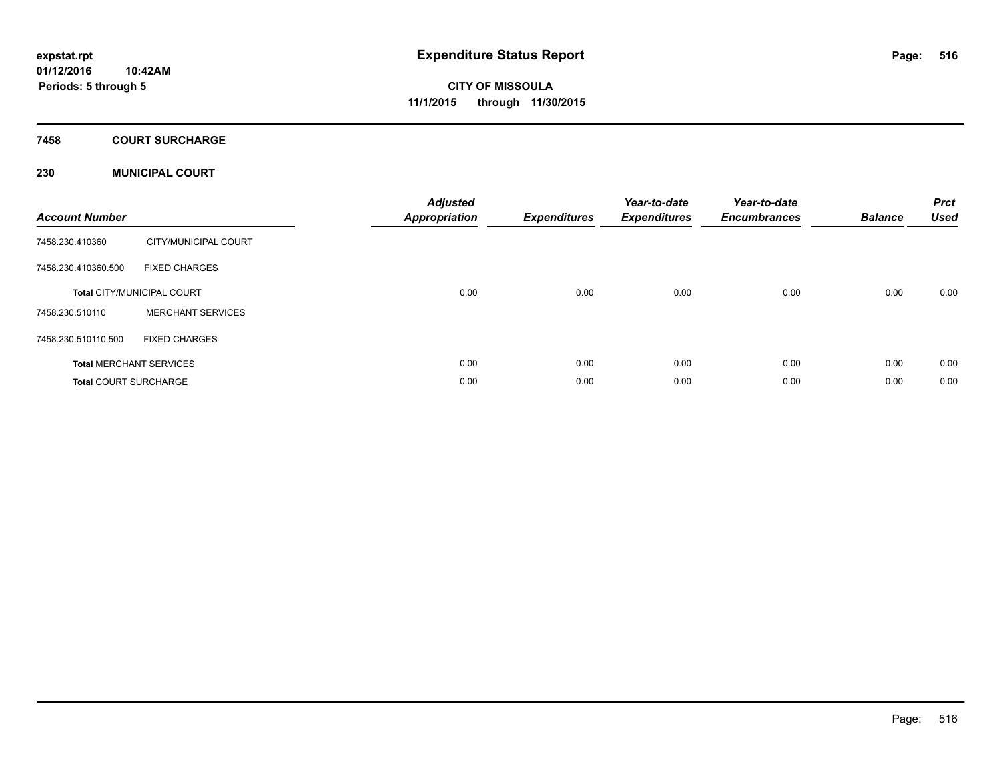### **7458 COURT SURCHARGE**

#### **230 MUNICIPAL COURT**

| <b>Account Number</b>        |                                   | <b>Adjusted</b><br><b>Appropriation</b> | <b>Expenditures</b> | Year-to-date<br><b>Expenditures</b> | Year-to-date<br><b>Encumbrances</b> | <b>Balance</b> | <b>Prct</b><br><b>Used</b> |
|------------------------------|-----------------------------------|-----------------------------------------|---------------------|-------------------------------------|-------------------------------------|----------------|----------------------------|
| 7458.230.410360              | CITY/MUNICIPAL COURT              |                                         |                     |                                     |                                     |                |                            |
| 7458.230.410360.500          | <b>FIXED CHARGES</b>              |                                         |                     |                                     |                                     |                |                            |
|                              | <b>Total CITY/MUNICIPAL COURT</b> | 0.00                                    | 0.00                | 0.00                                | 0.00                                | 0.00           | 0.00                       |
| 7458.230.510110              | <b>MERCHANT SERVICES</b>          |                                         |                     |                                     |                                     |                |                            |
| 7458.230.510110.500          | <b>FIXED CHARGES</b>              |                                         |                     |                                     |                                     |                |                            |
|                              | <b>Total MERCHANT SERVICES</b>    | 0.00                                    | 0.00                | 0.00                                | 0.00                                | 0.00           | 0.00                       |
| <b>Total COURT SURCHARGE</b> |                                   | 0.00                                    | 0.00                | 0.00                                | 0.00                                | 0.00           | 0.00                       |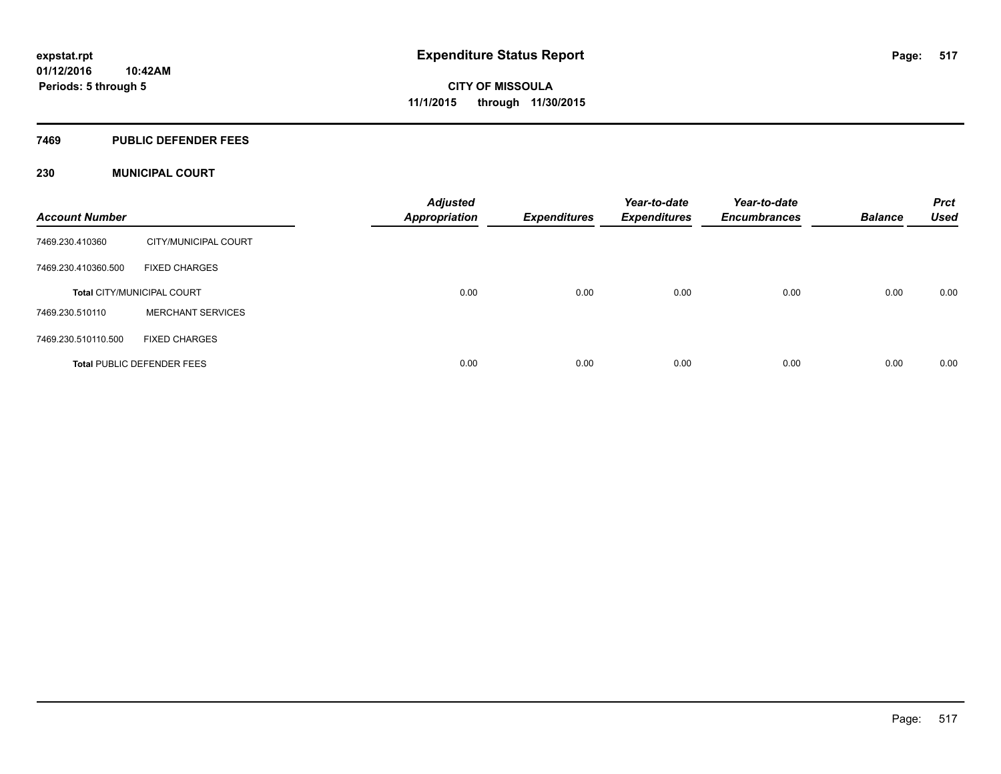#### **7469 PUBLIC DEFENDER FEES**

#### **230 MUNICIPAL COURT**

| <b>Account Number</b>             |                          | <b>Adjusted</b><br><b>Appropriation</b> | <b>Expenditures</b> | Year-to-date<br><b>Expenditures</b> | Year-to-date<br><b>Encumbrances</b> | <b>Balance</b> | <b>Prct</b><br><b>Used</b> |
|-----------------------------------|--------------------------|-----------------------------------------|---------------------|-------------------------------------|-------------------------------------|----------------|----------------------------|
| 7469.230.410360                   | CITY/MUNICIPAL COURT     |                                         |                     |                                     |                                     |                |                            |
| 7469.230.410360.500               | <b>FIXED CHARGES</b>     |                                         |                     |                                     |                                     |                |                            |
| <b>Total CITY/MUNICIPAL COURT</b> |                          | 0.00                                    | 0.00                | 0.00                                | 0.00                                | 0.00           | 0.00                       |
| 7469.230.510110                   | <b>MERCHANT SERVICES</b> |                                         |                     |                                     |                                     |                |                            |
| 7469.230.510110.500               | <b>FIXED CHARGES</b>     |                                         |                     |                                     |                                     |                |                            |
| <b>Total PUBLIC DEFENDER FEES</b> |                          | 0.00                                    | 0.00                | 0.00                                | 0.00                                | 0.00           | 0.00                       |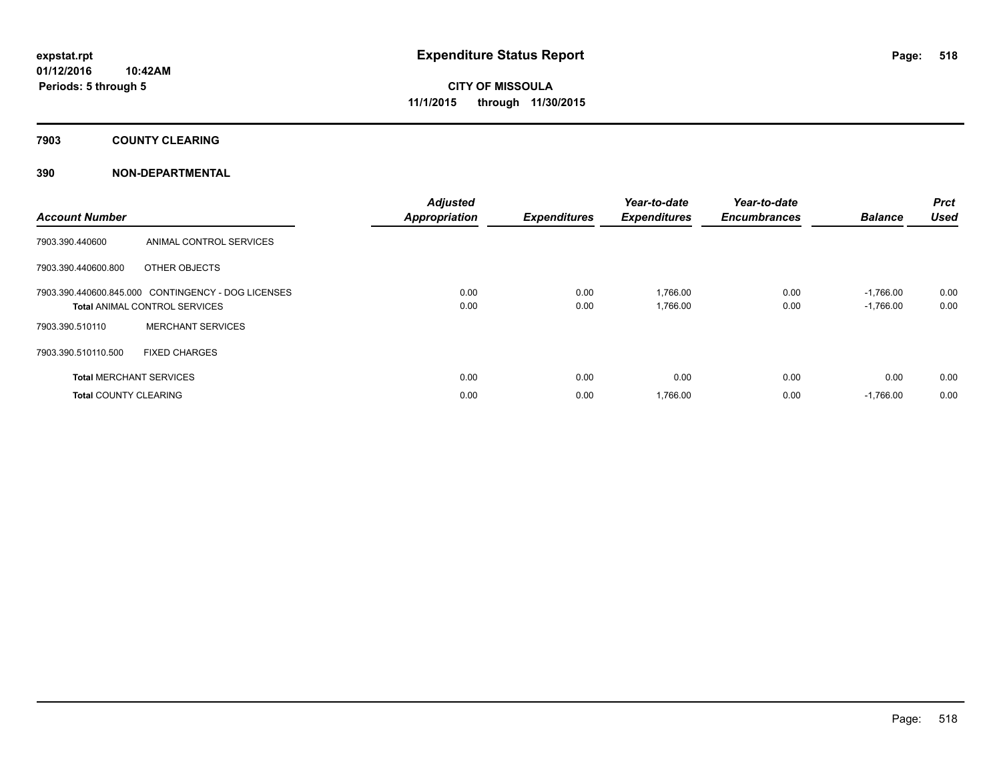### **7903 COUNTY CLEARING**

#### **390 NON-DEPARTMENTAL**

| <b>Account Number</b>                                                                      |                                | <b>Adjusted</b><br><b>Appropriation</b> | <b>Expenditures</b> | Year-to-date<br><b>Expenditures</b> | Year-to-date<br><b>Encumbrances</b> | <b>Balance</b>             | Prct<br><b>Used</b> |
|--------------------------------------------------------------------------------------------|--------------------------------|-----------------------------------------|---------------------|-------------------------------------|-------------------------------------|----------------------------|---------------------|
| 7903.390.440600                                                                            | ANIMAL CONTROL SERVICES        |                                         |                     |                                     |                                     |                            |                     |
| 7903.390.440600.800                                                                        | OTHER OBJECTS                  |                                         |                     |                                     |                                     |                            |                     |
| 7903.390.440600.845.000 CONTINGENCY - DOG LICENSES<br><b>Total ANIMAL CONTROL SERVICES</b> |                                | 0.00<br>0.00                            | 0.00<br>0.00        | 1,766.00<br>1,766.00                | 0.00<br>0.00                        | $-1,766.00$<br>$-1,766.00$ | 0.00<br>0.00        |
| 7903.390.510110                                                                            | <b>MERCHANT SERVICES</b>       |                                         |                     |                                     |                                     |                            |                     |
| 7903.390.510110.500                                                                        | <b>FIXED CHARGES</b>           |                                         |                     |                                     |                                     |                            |                     |
|                                                                                            | <b>Total MERCHANT SERVICES</b> | 0.00                                    | 0.00                | 0.00                                | 0.00                                | 0.00                       | 0.00                |
| <b>Total COUNTY CLEARING</b>                                                               |                                | 0.00                                    | 0.00                | 1,766.00                            | 0.00                                | $-1.766.00$                | 0.00                |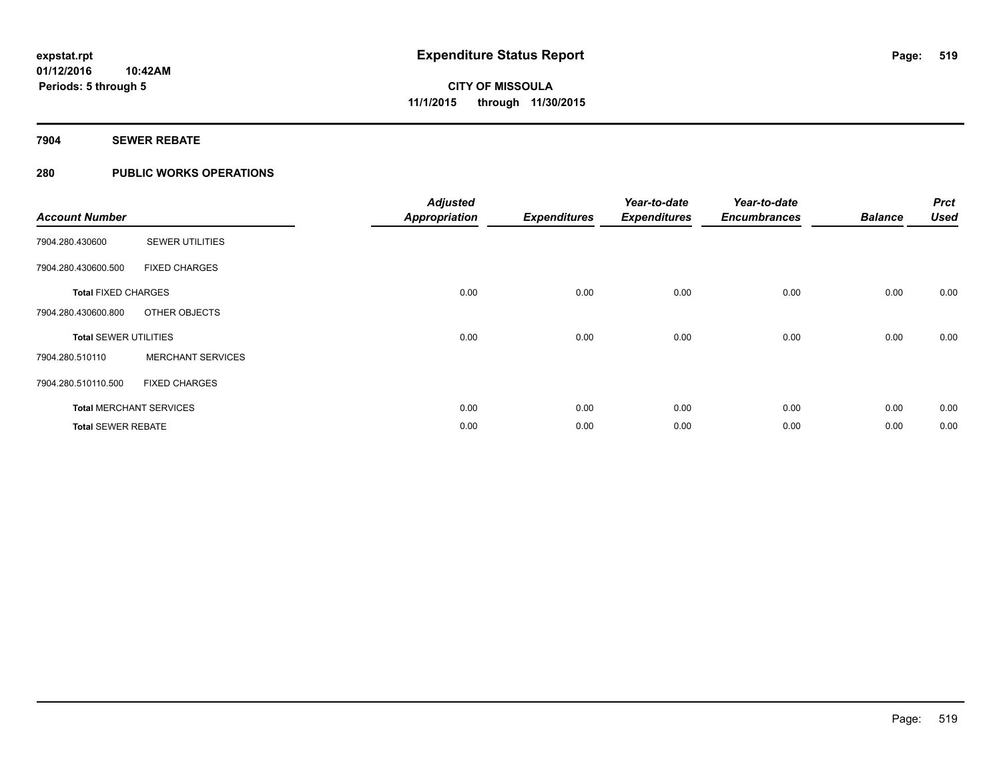### **7904 SEWER REBATE**

### **280 PUBLIC WORKS OPERATIONS**

| <b>Account Number</b>        |                                | <b>Adjusted</b><br><b>Appropriation</b> | <b>Expenditures</b> | Year-to-date<br><b>Expenditures</b> | Year-to-date<br><b>Encumbrances</b> | <b>Balance</b> | <b>Prct</b><br><b>Used</b> |
|------------------------------|--------------------------------|-----------------------------------------|---------------------|-------------------------------------|-------------------------------------|----------------|----------------------------|
| 7904.280.430600              | <b>SEWER UTILITIES</b>         |                                         |                     |                                     |                                     |                |                            |
| 7904.280.430600.500          | <b>FIXED CHARGES</b>           |                                         |                     |                                     |                                     |                |                            |
| <b>Total FIXED CHARGES</b>   |                                | 0.00                                    | 0.00                | 0.00                                | 0.00                                | 0.00           | 0.00                       |
| 7904.280.430600.800          | OTHER OBJECTS                  |                                         |                     |                                     |                                     |                |                            |
| <b>Total SEWER UTILITIES</b> |                                | 0.00                                    | 0.00                | 0.00                                | 0.00                                | 0.00           | 0.00                       |
| 7904.280.510110              | <b>MERCHANT SERVICES</b>       |                                         |                     |                                     |                                     |                |                            |
| 7904.280.510110.500          | <b>FIXED CHARGES</b>           |                                         |                     |                                     |                                     |                |                            |
|                              | <b>Total MERCHANT SERVICES</b> | 0.00                                    | 0.00                | 0.00                                | 0.00                                | 0.00           | 0.00                       |
| <b>Total SEWER REBATE</b>    |                                | 0.00                                    | 0.00                | 0.00                                | 0.00                                | 0.00           | 0.00                       |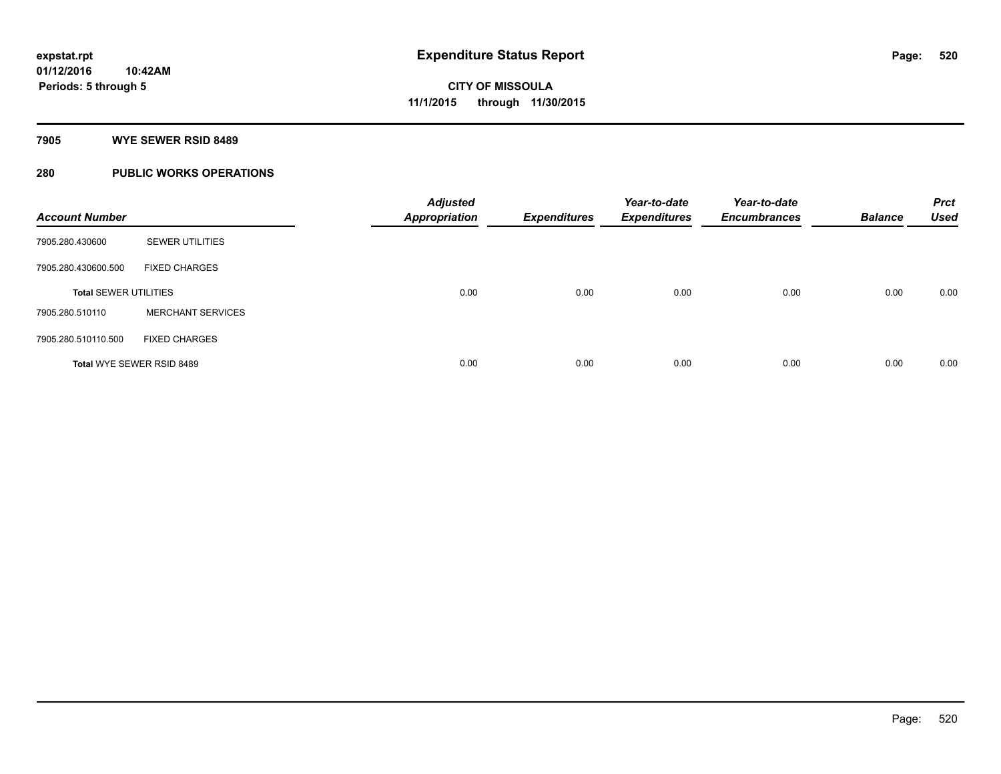#### **7905 WYE SEWER RSID 8489**

### **280 PUBLIC WORKS OPERATIONS**

| <b>Account Number</b>        |                          | <b>Adjusted</b><br><b>Appropriation</b> | <b>Expenditures</b> | Year-to-date<br><b>Expenditures</b> | Year-to-date<br><b>Encumbrances</b> | <b>Balance</b> | <b>Prct</b><br><b>Used</b> |
|------------------------------|--------------------------|-----------------------------------------|---------------------|-------------------------------------|-------------------------------------|----------------|----------------------------|
| 7905.280.430600              | <b>SEWER UTILITIES</b>   |                                         |                     |                                     |                                     |                |                            |
| 7905.280.430600.500          | <b>FIXED CHARGES</b>     |                                         |                     |                                     |                                     |                |                            |
| <b>Total SEWER UTILITIES</b> |                          | 0.00                                    | 0.00                | 0.00                                | 0.00                                | 0.00           | 0.00                       |
| 7905.280.510110              | <b>MERCHANT SERVICES</b> |                                         |                     |                                     |                                     |                |                            |
| 7905.280.510110.500          | <b>FIXED CHARGES</b>     |                                         |                     |                                     |                                     |                |                            |
| Total WYE SEWER RSID 8489    |                          | 0.00                                    | 0.00                | 0.00                                | 0.00                                | 0.00           | 0.00                       |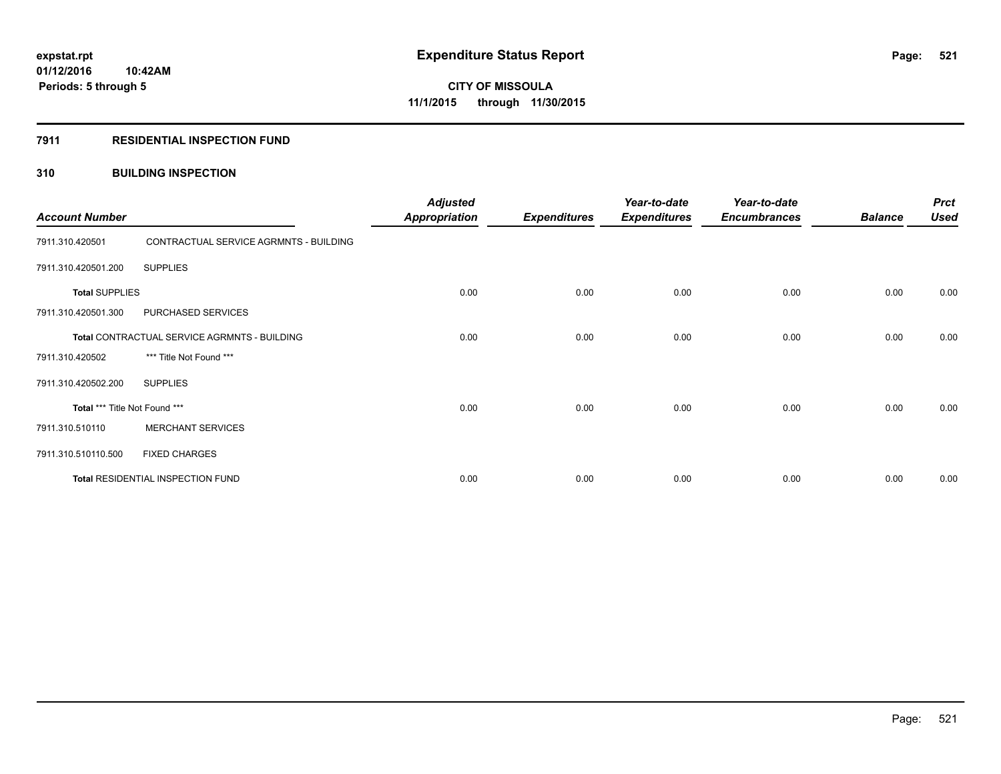#### **7911 RESIDENTIAL INSPECTION FUND**

#### **310 BUILDING INSPECTION**

| <b>Account Number</b>                        |                                        | <b>Adjusted</b><br><b>Appropriation</b> | <b>Expenditures</b> | Year-to-date<br><b>Expenditures</b> | Year-to-date<br><b>Encumbrances</b> | <b>Balance</b> | <b>Prct</b><br><b>Used</b> |
|----------------------------------------------|----------------------------------------|-----------------------------------------|---------------------|-------------------------------------|-------------------------------------|----------------|----------------------------|
| 7911.310.420501                              | CONTRACTUAL SERVICE AGRMNTS - BUILDING |                                         |                     |                                     |                                     |                |                            |
| 7911.310.420501.200                          | <b>SUPPLIES</b>                        |                                         |                     |                                     |                                     |                |                            |
| <b>Total SUPPLIES</b>                        |                                        | 0.00                                    | 0.00                | 0.00                                | 0.00                                | 0.00           | 0.00                       |
| 7911.310.420501.300                          | PURCHASED SERVICES                     |                                         |                     |                                     |                                     |                |                            |
| Total CONTRACTUAL SERVICE AGRMNTS - BUILDING |                                        | 0.00                                    | 0.00                | 0.00                                | 0.00                                | 0.00           | 0.00                       |
| 7911.310.420502                              | *** Title Not Found ***                |                                         |                     |                                     |                                     |                |                            |
| 7911.310.420502.200                          | <b>SUPPLIES</b>                        |                                         |                     |                                     |                                     |                |                            |
| Total *** Title Not Found ***                |                                        | 0.00                                    | 0.00                | 0.00                                | 0.00                                | 0.00           | 0.00                       |
| 7911.310.510110                              | <b>MERCHANT SERVICES</b>               |                                         |                     |                                     |                                     |                |                            |
| 7911.310.510110.500                          | <b>FIXED CHARGES</b>                   |                                         |                     |                                     |                                     |                |                            |
|                                              | Total RESIDENTIAL INSPECTION FUND      | 0.00                                    | 0.00                | 0.00                                | 0.00                                | 0.00           | 0.00                       |